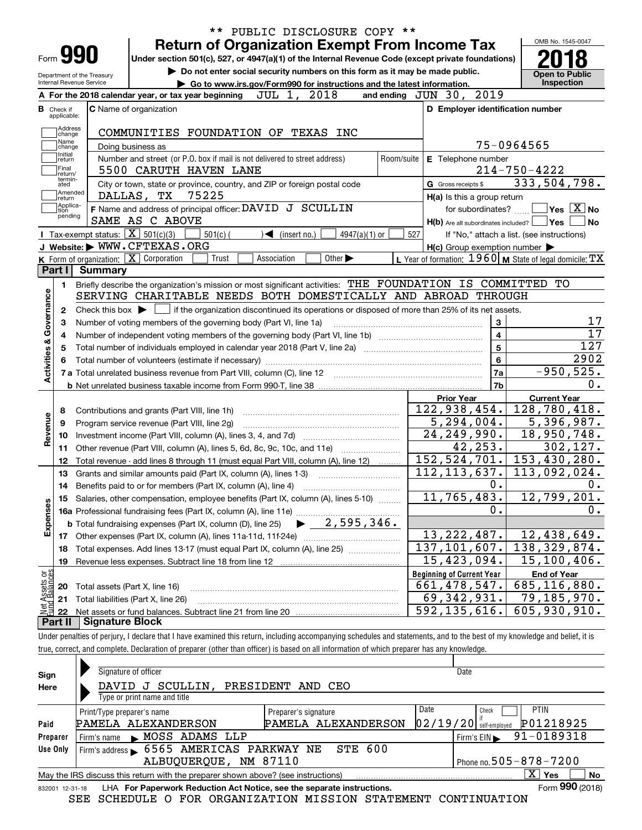|                                |                             |                                                   | PUBLIC DISCLOSURE COPY **<br>$***$                                                                                                                                         |                |                                                     |                                                                                                                                                                                                                                                                 |
|--------------------------------|-----------------------------|---------------------------------------------------|----------------------------------------------------------------------------------------------------------------------------------------------------------------------------|----------------|-----------------------------------------------------|-----------------------------------------------------------------------------------------------------------------------------------------------------------------------------------------------------------------------------------------------------------------|
|                                |                             |                                                   | <b>Return of Organization Exempt From Income Tax</b>                                                                                                                       |                |                                                     | OMB No. 1545-0047                                                                                                                                                                                                                                               |
|                                | Form <b>990</b>             |                                                   | Under section 501(c), 527, or 4947(a)(1) of the Internal Revenue Code (except private foundations)                                                                         |                |                                                     |                                                                                                                                                                                                                                                                 |
|                                |                             | Department of the Treasury                        | Do not enter social security numbers on this form as it may be made public.                                                                                                |                |                                                     | <b>Open to Public</b>                                                                                                                                                                                                                                           |
|                                | Internal Revenue Service    |                                                   | Go to www.irs.gov/Form990 for instructions and the latest information.                                                                                                     |                |                                                     | Inspection                                                                                                                                                                                                                                                      |
|                                |                             |                                                   | JUL 1, 2018<br>A For the 2018 calendar year, or tax year beginning                                                                                                         |                | and ending JUN 30, 2019                             |                                                                                                                                                                                                                                                                 |
| в.                             | Check if                    |                                                   | C Name of organization                                                                                                                                                     |                | D Employer identification number                    |                                                                                                                                                                                                                                                                 |
|                                | applicable:                 |                                                   |                                                                                                                                                                            |                |                                                     |                                                                                                                                                                                                                                                                 |
|                                | Address<br>change           |                                                   | COMMUNITIES FOUNDATION OF TEXAS INC                                                                                                                                        |                |                                                     |                                                                                                                                                                                                                                                                 |
|                                | Name<br>change              |                                                   | Doing business as                                                                                                                                                          |                |                                                     | 75-0964565                                                                                                                                                                                                                                                      |
|                                | Initial<br>return           |                                                   | Number and street (or P.O. box if mail is not delivered to street address)                                                                                                 | Room/suite     | E Telephone number                                  |                                                                                                                                                                                                                                                                 |
|                                | Final<br>return/<br>termin- |                                                   | 5500 CARUTH HAVEN LANE                                                                                                                                                     |                |                                                     | $214 - 750 - 4222$                                                                                                                                                                                                                                              |
|                                | ated                        |                                                   | City or town, state or province, country, and ZIP or foreign postal code                                                                                                   |                | G Gross receipts \$                                 | 333,504,798.                                                                                                                                                                                                                                                    |
|                                | Amended<br> return          |                                                   | 75225<br>DALLAS, TX                                                                                                                                                        |                | H(a) Is this a group return                         |                                                                                                                                                                                                                                                                 |
|                                | Applica-<br>tion<br>pending |                                                   | F Name and address of principal officer: DAVID J SCULLIN                                                                                                                   |                | for subordinates?                                   | $\blacksquare$ Yes $\lceil$ $\overline{\mathrm{X}}\rceil$ No                                                                                                                                                                                                    |
|                                |                             |                                                   | SAME AS C ABOVE                                                                                                                                                            |                | $H(b)$ Are all subordinates included? $\Box$ Yes    | ∣No                                                                                                                                                                                                                                                             |
|                                |                             | Tax-exempt status: $\boxed{\mathbf{X}}$ 501(c)(3) | $501(c)$ (<br>4947(a)(1) or<br>$\sqrt{\frac{1}{1}}$ (insert no.)                                                                                                           | 527            |                                                     | If "No," attach a list. (see instructions)                                                                                                                                                                                                                      |
|                                |                             |                                                   | J Website: WWW.CFTEXAS.ORG                                                                                                                                                 |                | $H(c)$ Group exemption number $\blacktriangleright$ |                                                                                                                                                                                                                                                                 |
|                                |                             |                                                   | K Form of organization: $\boxed{\mathbf{X}}$ Corporation<br>Trust<br>Association<br>Other $\blacktriangleright$                                                            |                |                                                     | L Year of formation: $1960$ M State of legal domicile: TX                                                                                                                                                                                                       |
|                                | Part I                      | Summary                                           |                                                                                                                                                                            |                |                                                     |                                                                                                                                                                                                                                                                 |
|                                | 1.                          |                                                   | Briefly describe the organization's mission or most significant activities: THE FOUNDATION IS COMMITTED TO                                                                 |                |                                                     |                                                                                                                                                                                                                                                                 |
|                                |                             |                                                   | SERVING CHARITABLE NEEDS BOTH DOMESTICALLY AND ABROAD THROUGH                                                                                                              |                |                                                     |                                                                                                                                                                                                                                                                 |
|                                | 2                           |                                                   | Check this box $\blacktriangleright$ $\blacksquare$ if the organization discontinued its operations or disposed of more than 25% of its net assets.                        |                |                                                     |                                                                                                                                                                                                                                                                 |
|                                | 3                           |                                                   | Number of voting members of the governing body (Part VI, line 1a)                                                                                                          |                | $\mathbf{3}$                                        | 17                                                                                                                                                                                                                                                              |
|                                |                             |                                                   |                                                                                                                                                                            | $\overline{4}$ | 17                                                  |                                                                                                                                                                                                                                                                 |
|                                |                             |                                                   | $\overline{5}$<br>Total number of individuals employed in calendar year 2018 (Part V, line 2a) manufacture of individuals employed in calendar year 2018 (Part V, line 2a) | 127            |                                                     |                                                                                                                                                                                                                                                                 |
| Activities & Governance        |                             |                                                   |                                                                                                                                                                            |                |                                                     |                                                                                                                                                                                                                                                                 |
|                                |                             |                                                   |                                                                                                                                                                            |                | $6\phantom{a}$                                      |                                                                                                                                                                                                                                                                 |
|                                |                             |                                                   |                                                                                                                                                                            |                | 7a                                                  |                                                                                                                                                                                                                                                                 |
|                                |                             |                                                   |                                                                                                                                                                            |                | 7b                                                  |                                                                                                                                                                                                                                                                 |
|                                |                             |                                                   |                                                                                                                                                                            |                | <b>Prior Year</b>                                   | <b>Current Year</b>                                                                                                                                                                                                                                             |
|                                | 8                           |                                                   | Contributions and grants (Part VIII, line 1h)                                                                                                                              |                | 122, 938, 454.                                      |                                                                                                                                                                                                                                                                 |
|                                | 9                           |                                                   | Program service revenue (Part VIII, line 2g)                                                                                                                               |                | 5, 294, 004.                                        |                                                                                                                                                                                                                                                                 |
|                                | 10                          |                                                   |                                                                                                                                                                            |                | $\overline{24}$ , 249, 990.                         |                                                                                                                                                                                                                                                                 |
|                                | 11                          |                                                   | Other revenue (Part VIII, column (A), lines 5, 6d, 8c, 9c, 10c, and 11e)                                                                                                   |                | 42,253.                                             |                                                                                                                                                                                                                                                                 |
|                                | 12                          |                                                   | Total revenue - add lines 8 through 11 (must equal Part VIII, column (A), line 12)                                                                                         |                | 152, 524, 701.                                      |                                                                                                                                                                                                                                                                 |
|                                | 13                          |                                                   | Grants and similar amounts paid (Part IX, column (A), lines 1-3)                                                                                                           |                | $\overline{112,113,637}$ .                          |                                                                                                                                                                                                                                                                 |
|                                | 14                          |                                                   | Benefits paid to or for members (Part IX, column (A), line 4)                                                                                                              |                | $0$ .                                               |                                                                                                                                                                                                                                                                 |
|                                |                             |                                                   | 15 Salaries, other compensation, employee benefits (Part IX, column (A), lines 5-10)                                                                                       |                | 11,765,483.                                         |                                                                                                                                                                                                                                                                 |
|                                |                             |                                                   |                                                                                                                                                                            |                | 0.                                                  |                                                                                                                                                                                                                                                                 |
|                                |                             |                                                   | $\blacktriangleright$ 2,595,346.<br><b>b</b> Total fundraising expenses (Part IX, column (D), line 25)                                                                     |                |                                                     |                                                                                                                                                                                                                                                                 |
|                                |                             |                                                   |                                                                                                                                                                            |                | 13, 222, 487.                                       |                                                                                                                                                                                                                                                                 |
|                                | 18                          |                                                   | Total expenses. Add lines 13-17 (must equal Part IX, column (A), line 25)                                                                                                  |                | $\overline{137}$ , 101, 607.                        |                                                                                                                                                                                                                                                                 |
|                                | 19                          |                                                   | Revenue less expenses. Subtract line 18 from line 12                                                                                                                       |                | 15,423,094.                                         |                                                                                                                                                                                                                                                                 |
|                                |                             |                                                   |                                                                                                                                                                            |                | <b>Beginning of Current Year</b>                    | <b>End of Year</b>                                                                                                                                                                                                                                              |
|                                | 20                          |                                                   | Total assets (Part X, line 16)                                                                                                                                             |                | 661, 478, 547.                                      |                                                                                                                                                                                                                                                                 |
| Revenue<br>Expenses            | 21                          |                                                   | Total liabilities (Part X, line 26)                                                                                                                                        |                | 69,342,931.                                         | 2902<br>$-950,525.$<br>0.<br>128,780,418.<br>$\overline{5}$ , 396, 987.<br>$\overline{18}$ , 950, 748.<br>302, 127.<br>153,430,280.<br>113,092,024.<br>0.<br>12,799,201.<br>0.<br>12,438,649.<br>138, 329, 874.<br>15, 100, 406.<br>685,116,880.<br>79,185,970. |
| Net Assets or<br>Fund Balances | 22                          |                                                   |                                                                                                                                                                            |                | 592, 135, 616.                                      | 605,930,910.                                                                                                                                                                                                                                                    |

true, correct, and complete. Declaration of preparer (other than officer) is based on all information of which preparer has any knowledge.

| Sign     | Signature of officer                                                                                         |                      | Date                       |             |  |  |  |  |  |  |
|----------|--------------------------------------------------------------------------------------------------------------|----------------------|----------------------------|-------------|--|--|--|--|--|--|
| Here     | SCULLIN,<br>PRESIDENT AND CEO<br>DAVID<br>J                                                                  |                      |                            |             |  |  |  |  |  |  |
|          | Type or print name and title                                                                                 |                      |                            |             |  |  |  |  |  |  |
|          | Print/Type preparer's name                                                                                   | Preparer's signature | Date<br>Check              | <b>PTIN</b> |  |  |  |  |  |  |
| Paid     | PAMELA ALEXANDERSON                                                                                          | PAMELA ALEXANDERSON  | 02/19/20 <br>self-emploved | P01218925   |  |  |  |  |  |  |
| Preparer | Firm's name MOSS ADAMS<br>LLP                                                                                |                      | Firm's $EIN$               | 91-0189318  |  |  |  |  |  |  |
| Use Only | Firm's address 6565 AMERICAS PARKWAY NE                                                                      | <b>STE 600</b>       |                            |             |  |  |  |  |  |  |
|          | ALBUQUERQUE, NM 87110                                                                                        |                      | Phone no. 505-878-7200     |             |  |  |  |  |  |  |
|          | x<br><b>No</b><br>Yes<br>May the IRS discuss this return with the preparer shown above? (see instructions)   |                      |                            |             |  |  |  |  |  |  |
|          | Form 990 (2018)<br>LHA For Paperwork Reduction Act Notice, see the separate instructions.<br>832001 12-31-18 |                      |                            |             |  |  |  |  |  |  |

SEE SCHEDULE O FOR ORGANIZATION MISSION STATEMENT CONTINUATION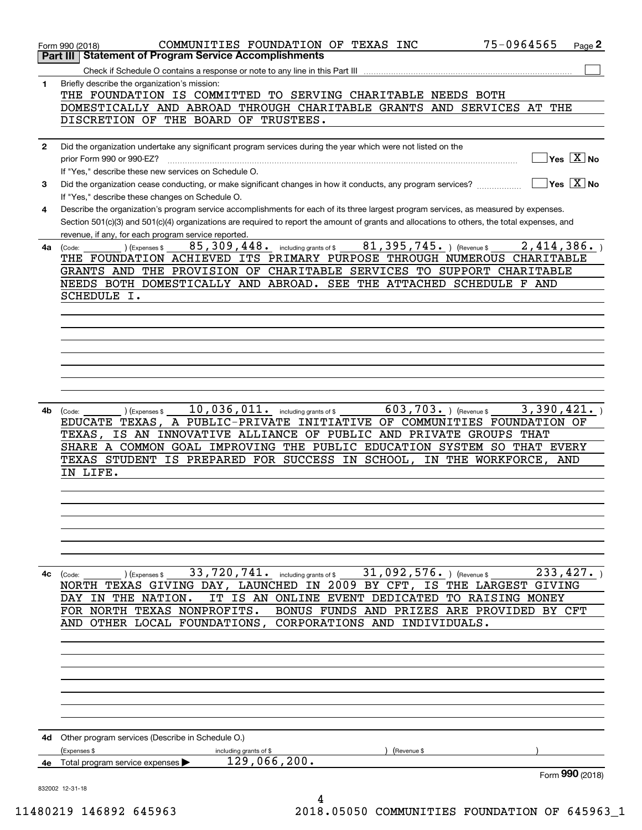|              | 75-0964565<br>COMMUNITIES FOUNDATION OF TEXAS INC<br>Page 2<br>Form 990 (2018)<br><b>Statement of Program Service Accomplishments</b><br>Part III                  |
|--------------|--------------------------------------------------------------------------------------------------------------------------------------------------------------------|
|              |                                                                                                                                                                    |
|              |                                                                                                                                                                    |
| $\mathbf{1}$ | Briefly describe the organization's mission:                                                                                                                       |
|              | THE FOUNDATION IS COMMITTED TO SERVING CHARITABLE NEEDS BOTH                                                                                                       |
|              | DOMESTICALLY AND ABROAD THROUGH CHARITABLE GRANTS AND SERVICES AT THE                                                                                              |
|              | DISCRETION OF THE BOARD OF TRUSTEES.                                                                                                                               |
|              |                                                                                                                                                                    |
| $\mathbf{2}$ | Did the organization undertake any significant program services during the year which were not listed on the                                                       |
|              | $\sqrt{}$ Yes $\sqrt{}$ X $\sqrt{}$ No<br>prior Form 990 or 990-EZ?                                                                                                |
|              | If "Yes," describe these new services on Schedule O.                                                                                                               |
|              |                                                                                                                                                                    |
| 3            | $\overline{\mathsf{Yes} \mathrel{\overline{X}}$ No<br>Did the organization cease conducting, or make significant changes in how it conducts, any program services? |
|              | If "Yes," describe these changes on Schedule O.                                                                                                                    |
| 4            | Describe the organization's program service accomplishments for each of its three largest program services, as measured by expenses.                               |
|              | Section 501(c)(3) and 501(c)(4) organizations are required to report the amount of grants and allocations to others, the total expenses, and                       |
|              | revenue, if any, for each program service reported.                                                                                                                |
|              | including grants of $$81,395,745.$ (Revenue \$)<br>2,414,386.<br>85,309,448.<br>4a (Code:<br>CExpenses \$                                                          |
|              | THE FOUNDATION ACHIEVED ITS PRIMARY PURPOSE THROUGH NUMEROUS CHARITABLE                                                                                            |
|              | GRANTS AND THE PROVISION OF CHARITABLE SERVICES TO SUPPORT CHARITABLE                                                                                              |
|              | NEEDS BOTH DOMESTICALLY AND ABROAD. SEE THE ATTACHED SCHEDULE F AND                                                                                                |
|              |                                                                                                                                                                    |
|              | SCHEDULE I.                                                                                                                                                        |
|              |                                                                                                                                                                    |
|              |                                                                                                                                                                    |
|              |                                                                                                                                                                    |
|              |                                                                                                                                                                    |
|              |                                                                                                                                                                    |
|              |                                                                                                                                                                    |
|              |                                                                                                                                                                    |
|              |                                                                                                                                                                    |
|              | 10,036,011.<br>3,390,421.                                                                                                                                          |
| 4b           | $\overline{603}$ , 703. ) (Revenue \$<br>(Expenses \$<br>including grants of \$<br>(Code:                                                                          |
|              | EDUCATE TEXAS, A PUBLIC-PRIVATE<br>OF COMMUNITIES FOUNDATION OF<br>INITIATIVE                                                                                      |
|              | IS AN INNOVATIVE ALLIANCE OF PUBLIC AND PRIVATE GROUPS THAT<br>TEXAS.                                                                                              |
|              | SHARE A COMMON GOAL IMPROVING THE PUBLIC EDUCATION SYSTEM SO THAT EVERY                                                                                            |
|              | TEXAS STUDENT IS PREPARED FOR SUCCESS IN SCHOOL,<br>IN THE WORKFORCE,<br>AND                                                                                       |
|              | IN LIFE.                                                                                                                                                           |
|              |                                                                                                                                                                    |
|              |                                                                                                                                                                    |
|              |                                                                                                                                                                    |
|              |                                                                                                                                                                    |
|              |                                                                                                                                                                    |
|              |                                                                                                                                                                    |
|              |                                                                                                                                                                    |
|              |                                                                                                                                                                    |
| 4с           | 33,720,741. including grants of \$<br>31,092,576. ) (Revenue \$<br>233, 427.<br>(Expenses \$<br>(Code:                                                             |
|              | NORTH TEXAS GIVING DAY, LAUNCHED IN 2009 BY CFT, IS THE LARGEST GIVING                                                                                             |
|              | IT<br>IS AN ONLINE EVENT DEDICATED TO RAISING MONEY<br>THE NATION.<br>DAY<br>IN                                                                                    |
|              | FOR NORTH TEXAS NONPROFITS.<br>BONUS FUNDS AND PRIZES ARE PROVIDED BY CFT                                                                                          |
|              | CORPORATIONS AND INDIVIDUALS.<br>AND OTHER LOCAL FOUNDATIONS,                                                                                                      |
|              |                                                                                                                                                                    |
|              |                                                                                                                                                                    |
|              |                                                                                                                                                                    |
|              |                                                                                                                                                                    |
|              |                                                                                                                                                                    |
|              |                                                                                                                                                                    |
|              |                                                                                                                                                                    |
|              |                                                                                                                                                                    |
|              |                                                                                                                                                                    |
| 4d           | Other program services (Describe in Schedule O.)                                                                                                                   |
|              | (Expenses \$<br>including grants of \$<br>(Revenue \$                                                                                                              |
|              | 129,066,200.                                                                                                                                                       |
| 4e           | Total program service expenses<br>Form 990 (2018)                                                                                                                  |
|              |                                                                                                                                                                    |
|              | 832002 12-31-18                                                                                                                                                    |
|              | 4                                                                                                                                                                  |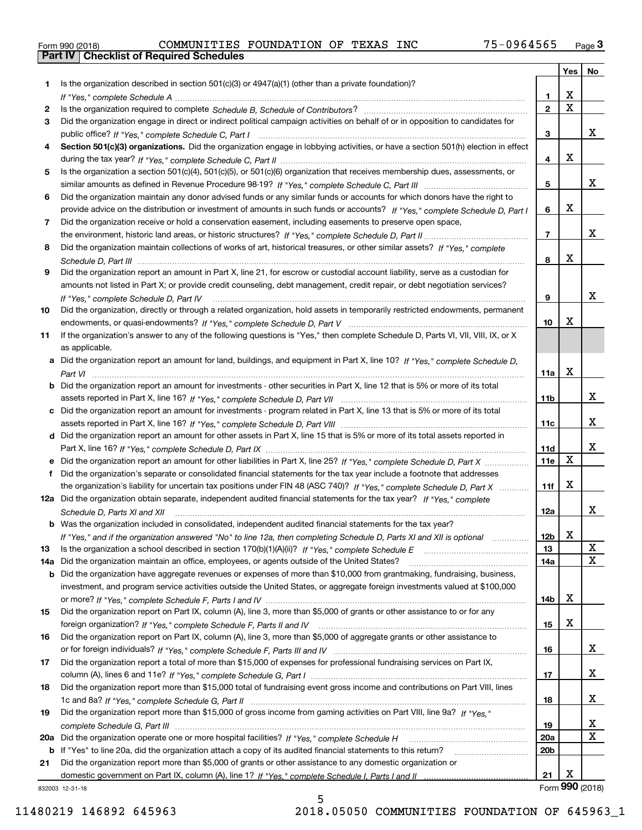|  | Form 990 (2018) |  |
|--|-----------------|--|

|     |                                                                                                                                                     |                 | Yes                     | No              |
|-----|-----------------------------------------------------------------------------------------------------------------------------------------------------|-----------------|-------------------------|-----------------|
| 1.  | Is the organization described in section $501(c)(3)$ or $4947(a)(1)$ (other than a private foundation)?                                             |                 |                         |                 |
|     |                                                                                                                                                     | 1.              | X                       |                 |
| 2   |                                                                                                                                                     | $\overline{2}$  | $\overline{\mathbf{x}}$ |                 |
| 3   | Did the organization engage in direct or indirect political campaign activities on behalf of or in opposition to candidates for                     |                 |                         |                 |
|     |                                                                                                                                                     | 3               |                         | x               |
| 4   | Section 501(c)(3) organizations. Did the organization engage in lobbying activities, or have a section 501(h) election in effect                    |                 |                         |                 |
|     |                                                                                                                                                     | 4               | X                       |                 |
| 5   | Is the organization a section 501(c)(4), 501(c)(5), or 501(c)(6) organization that receives membership dues, assessments, or                        |                 |                         |                 |
|     |                                                                                                                                                     | 5               |                         | x               |
| 6   | Did the organization maintain any donor advised funds or any similar funds or accounts for which donors have the right to                           |                 |                         |                 |
|     | provide advice on the distribution or investment of amounts in such funds or accounts? If "Yes," complete Schedule D, Part I                        | 6               | X                       |                 |
| 7   | Did the organization receive or hold a conservation easement, including easements to preserve open space,                                           |                 |                         |                 |
|     |                                                                                                                                                     | $\overline{7}$  |                         | x               |
| 8   | Did the organization maintain collections of works of art, historical treasures, or other similar assets? If "Yes," complete                        |                 | X                       |                 |
|     |                                                                                                                                                     | 8               |                         |                 |
| 9   | Did the organization report an amount in Part X, line 21, for escrow or custodial account liability, serve as a custodian for                       |                 |                         |                 |
|     | amounts not listed in Part X; or provide credit counseling, debt management, credit repair, or debt negotiation services?                           |                 |                         | х               |
|     | If "Yes," complete Schedule D, Part IV                                                                                                              | 9               |                         |                 |
| 10  | Did the organization, directly or through a related organization, hold assets in temporarily restricted endowments, permanent                       | 10              | X                       |                 |
| 11  |                                                                                                                                                     |                 |                         |                 |
|     | If the organization's answer to any of the following questions is "Yes," then complete Schedule D, Parts VI, VIII, VIII, IX, or X<br>as applicable. |                 |                         |                 |
| a   | Did the organization report an amount for land, buildings, and equipment in Part X, line 10? If "Yes," complete Schedule D,                         |                 |                         |                 |
|     |                                                                                                                                                     | 11a             | X                       |                 |
| b   | Did the organization report an amount for investments - other securities in Part X, line 12 that is 5% or more of its total                         |                 |                         |                 |
|     |                                                                                                                                                     | 11 <sub>b</sub> |                         | x               |
| c   | Did the organization report an amount for investments - program related in Part X, line 13 that is 5% or more of its total                          |                 |                         |                 |
|     |                                                                                                                                                     | 11c             |                         | x               |
| d   | Did the organization report an amount for other assets in Part X, line 15 that is 5% or more of its total assets reported in                        |                 |                         |                 |
|     |                                                                                                                                                     | 11d             |                         | x               |
|     | Did the organization report an amount for other liabilities in Part X, line 25? If "Yes," complete Schedule D, Part X                               | 11e             | $\mathbf X$             |                 |
|     | Did the organization's separate or consolidated financial statements for the tax year include a footnote that addresses                             |                 |                         |                 |
|     | the organization's liability for uncertain tax positions under FIN 48 (ASC 740)? If "Yes," complete Schedule D, Part X                              | 11f             | X                       |                 |
|     | 12a Did the organization obtain separate, independent audited financial statements for the tax year? If "Yes," complete                             |                 |                         |                 |
|     | Schedule D, Parts XI and XII                                                                                                                        | 12a             |                         | x               |
|     | <b>b</b> Was the organization included in consolidated, independent audited financial statements for the tax year?                                  |                 |                         |                 |
|     | If "Yes," and if the organization answered "No" to line 12a, then completing Schedule D, Parts XI and XII is optional metallion                     | 12b             | X                       |                 |
| 13  |                                                                                                                                                     | 13              |                         | X               |
| 14a | Did the organization maintain an office, employees, or agents outside of the United States?                                                         | 14a             |                         | X               |
| b   | Did the organization have aggregate revenues or expenses of more than \$10,000 from grantmaking, fundraising, business,                             |                 |                         |                 |
|     | investment, and program service activities outside the United States, or aggregate foreign investments valued at \$100,000                          |                 |                         |                 |
|     |                                                                                                                                                     | 14b             | х                       |                 |
| 15  | Did the organization report on Part IX, column (A), line 3, more than \$5,000 of grants or other assistance to or for any                           |                 |                         |                 |
|     |                                                                                                                                                     | 15              | х                       |                 |
| 16  | Did the organization report on Part IX, column (A), line 3, more than \$5,000 of aggregate grants or other assistance to                            |                 |                         |                 |
|     |                                                                                                                                                     | 16              |                         | x               |
| 17  | Did the organization report a total of more than \$15,000 of expenses for professional fundraising services on Part IX,                             |                 |                         |                 |
|     |                                                                                                                                                     | 17              |                         | x               |
| 18  | Did the organization report more than \$15,000 total of fundraising event gross income and contributions on Part VIII, lines                        |                 |                         |                 |
|     |                                                                                                                                                     | 18              |                         | x               |
| 19  | Did the organization report more than \$15,000 of gross income from gaming activities on Part VIII, line 9a? If "Yes."                              |                 |                         |                 |
|     |                                                                                                                                                     | 19              |                         | X               |
| 20a |                                                                                                                                                     | 20a             |                         | х               |
| b   | If "Yes" to line 20a, did the organization attach a copy of its audited financial statements to this return?                                        | 20 <sub>b</sub> |                         |                 |
| 21  | Did the organization report more than \$5,000 of grants or other assistance to any domestic organization or                                         |                 |                         |                 |
|     |                                                                                                                                                     | 21              | х                       |                 |
|     | 832003 12-31-18                                                                                                                                     |                 |                         | Form 990 (2018) |

5

832003 12-31-18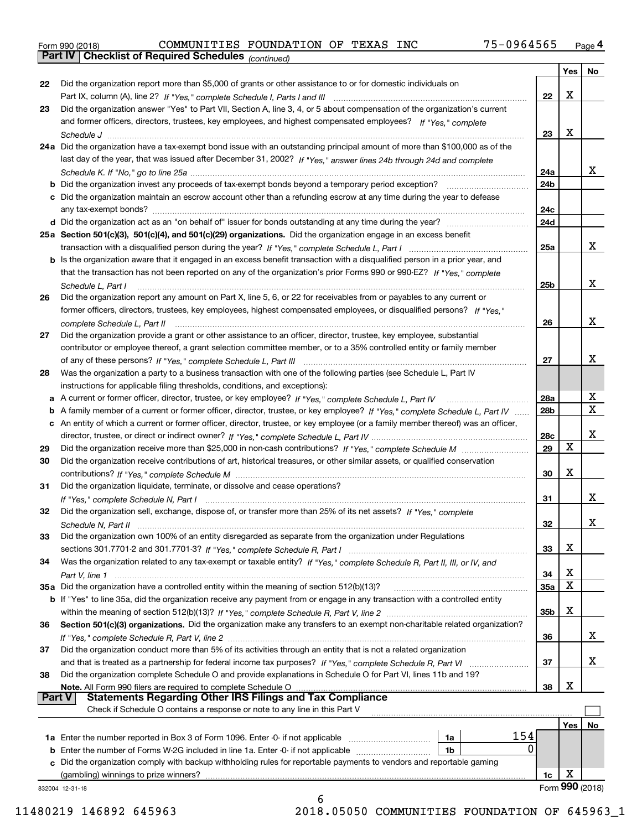|  | Form 990 (2018) |  |
|--|-----------------|--|
|  |                 |  |

*(continued)*

|               |                                                                                                                                    |                 | Yes | No              |
|---------------|------------------------------------------------------------------------------------------------------------------------------------|-----------------|-----|-----------------|
| 22            | Did the organization report more than \$5,000 of grants or other assistance to or for domestic individuals on                      |                 |     |                 |
|               |                                                                                                                                    | 22              | х   |                 |
| 23            | Did the organization answer "Yes" to Part VII, Section A, line 3, 4, or 5 about compensation of the organization's current         |                 |     |                 |
|               | and former officers, directors, trustees, key employees, and highest compensated employees? If "Yes," complete                     |                 |     |                 |
|               |                                                                                                                                    | 23              | х   |                 |
|               | 24a Did the organization have a tax-exempt bond issue with an outstanding principal amount of more than \$100,000 as of the        |                 |     |                 |
|               | last day of the year, that was issued after December 31, 2002? If "Yes," answer lines 24b through 24d and complete                 |                 |     |                 |
|               |                                                                                                                                    | 24a             |     | х               |
|               |                                                                                                                                    | 24b             |     |                 |
|               | c Did the organization maintain an escrow account other than a refunding escrow at any time during the year to defease             |                 |     |                 |
|               |                                                                                                                                    | 24c             |     |                 |
|               |                                                                                                                                    | 24d             |     |                 |
|               | 25a Section 501(c)(3), 501(c)(4), and 501(c)(29) organizations. Did the organization engage in an excess benefit                   |                 |     |                 |
|               |                                                                                                                                    | 25a             |     | х               |
|               |                                                                                                                                    |                 |     |                 |
|               | b Is the organization aware that it engaged in an excess benefit transaction with a disqualified person in a prior year, and       |                 |     |                 |
|               | that the transaction has not been reported on any of the organization's prior Forms 990 or 990-EZ? If "Yes," complete              |                 |     |                 |
|               | Schedule L, Part I                                                                                                                 | 25 <sub>b</sub> |     | х               |
| 26            | Did the organization report any amount on Part X, line 5, 6, or 22 for receivables from or payables to any current or              |                 |     |                 |
|               | former officers, directors, trustees, key employees, highest compensated employees, or disqualified persons? If "Yes."             |                 |     |                 |
|               |                                                                                                                                    | 26              |     | х               |
| 27            | Did the organization provide a grant or other assistance to an officer, director, trustee, key employee, substantial               |                 |     |                 |
|               | contributor or employee thereof, a grant selection committee member, or to a 35% controlled entity or family member                |                 |     |                 |
|               |                                                                                                                                    | 27              |     | х               |
| 28            | Was the organization a party to a business transaction with one of the following parties (see Schedule L, Part IV                  |                 |     |                 |
|               | instructions for applicable filing thresholds, conditions, and exceptions):                                                        |                 |     |                 |
|               |                                                                                                                                    | <b>28a</b>      |     | х               |
|               | b A family member of a current or former officer, director, trustee, or key employee? If "Yes," complete Schedule L, Part IV       | 28b             |     | $\mathbf X$     |
|               | c An entity of which a current or former officer, director, trustee, or key employee (or a family member thereof) was an officer,  |                 |     |                 |
|               |                                                                                                                                    | 28c             |     | х               |
| 29            |                                                                                                                                    | 29              | X   |                 |
| 30            | Did the organization receive contributions of art, historical treasures, or other similar assets, or qualified conservation        |                 |     |                 |
|               |                                                                                                                                    | 30              | х   |                 |
| 31            | Did the organization liquidate, terminate, or dissolve and cease operations?                                                       |                 |     |                 |
|               |                                                                                                                                    | 31              |     | х               |
| 32            | Did the organization sell, exchange, dispose of, or transfer more than 25% of its net assets? If "Yes," complete                   |                 |     |                 |
|               |                                                                                                                                    | 32              |     | х               |
| 33            | Did the organization own 100% of an entity disregarded as separate from the organization under Regulations                         |                 |     |                 |
|               |                                                                                                                                    | 33              | Χ   |                 |
|               |                                                                                                                                    |                 |     |                 |
| 34            | Was the organization related to any tax-exempt or taxable entity? If "Yes," complete Schedule R, Part II, III, or IV, and          |                 | Χ   |                 |
|               |                                                                                                                                    | 34              | х   |                 |
|               | 35a Did the organization have a controlled entity within the meaning of section 512(b)(13)?                                        | 35а             |     |                 |
|               | <b>b</b> If "Yes" to line 35a, did the organization receive any payment from or engage in any transaction with a controlled entity |                 | X   |                 |
|               |                                                                                                                                    | 35b             |     |                 |
| 36            | Section 501(c)(3) organizations. Did the organization make any transfers to an exempt non-charitable related organization?         |                 |     |                 |
|               |                                                                                                                                    | 36              |     | x               |
| 37            | Did the organization conduct more than 5% of its activities through an entity that is not a related organization                   |                 |     |                 |
|               | and that is treated as a partnership for federal income tax purposes? If "Yes," complete Schedule R, Part VI                       | 37              |     | х               |
| 38            | Did the organization complete Schedule O and provide explanations in Schedule O for Part VI, lines 11b and 19?                     |                 |     |                 |
|               | Note. All Form 990 filers are required to complete Schedule O                                                                      | 38              | х   |                 |
| <b>Part V</b> | <b>Statements Regarding Other IRS Filings and Tax Compliance</b>                                                                   |                 |     |                 |
|               | Check if Schedule O contains a response or note to any line in this Part V                                                         |                 |     |                 |
|               |                                                                                                                                    |                 | Yes | No              |
|               | 154<br>1a                                                                                                                          |                 |     |                 |
|               | 0<br>1b                                                                                                                            |                 |     |                 |
|               | c Did the organization comply with backup withholding rules for reportable payments to vendors and reportable gaming               |                 |     |                 |
|               | (gambling) winnings to prize winners?                                                                                              | 1c              | х   |                 |
|               | 832004 12-31-18                                                                                                                    |                 |     | Form 990 (2018) |
|               | 6                                                                                                                                  |                 |     |                 |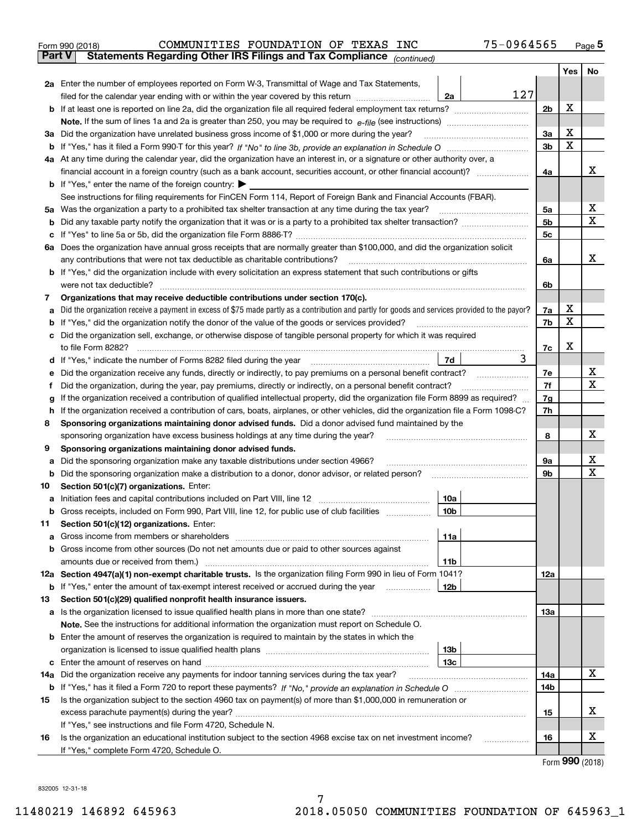| Form 990 (2018) |                                                                                                | COMMUNITIES FOUNDATION OF TEXAS INC |  | 75-0964565 | Page 5 |
|-----------------|------------------------------------------------------------------------------------------------|-------------------------------------|--|------------|--------|
|                 | <b>Part V</b> Statements Regarding Other IRS Filings and Tax Compliance <sub>(continued)</sub> |                                     |  |            |        |

|     |                                                                                                                                                                                                                                 |     |                | Yes | No          |  |  |  |  |
|-----|---------------------------------------------------------------------------------------------------------------------------------------------------------------------------------------------------------------------------------|-----|----------------|-----|-------------|--|--|--|--|
|     | <b>2a</b> Enter the number of employees reported on Form W-3, Transmittal of Wage and Tax Statements,                                                                                                                           |     |                |     |             |  |  |  |  |
|     | filed for the calendar year ending with or within the year covered by this return<br>2a                                                                                                                                         | 127 |                |     |             |  |  |  |  |
|     | <b>b</b> If at least one is reported on line 2a, did the organization file all required federal employment tax returns?                                                                                                         |     | 2b             | X   |             |  |  |  |  |
|     | <b>Note.</b> If the sum of lines 1a and 2a is greater than 250, you may be required to $e$ -file (see instructions) <i>marrouum</i> manu-                                                                                       |     |                |     |             |  |  |  |  |
|     | 3a Did the organization have unrelated business gross income of \$1,000 or more during the year?                                                                                                                                |     | 3a             | X   |             |  |  |  |  |
|     |                                                                                                                                                                                                                                 |     |                |     |             |  |  |  |  |
|     | 4a At any time during the calendar year, did the organization have an interest in, or a signature or other authority over, a                                                                                                    |     |                |     |             |  |  |  |  |
|     |                                                                                                                                                                                                                                 |     | 4a             |     | х           |  |  |  |  |
|     | <b>b</b> If "Yes," enter the name of the foreign country: $\blacktriangleright$                                                                                                                                                 |     |                |     |             |  |  |  |  |
|     | See instructions for filing requirements for FinCEN Form 114, Report of Foreign Bank and Financial Accounts (FBAR).                                                                                                             |     |                |     |             |  |  |  |  |
|     | 5a Was the organization a party to a prohibited tax shelter transaction at any time during the tax year?                                                                                                                        |     | 5a             |     | х           |  |  |  |  |
|     | <b>b</b> Did any taxable party notify the organization that it was or is a party to a prohibited tax shelter transaction?                                                                                                       |     | 5 <sub>b</sub> |     | $\mathbf X$ |  |  |  |  |
|     |                                                                                                                                                                                                                                 |     | 5c             |     |             |  |  |  |  |
|     | 6a Does the organization have annual gross receipts that are normally greater than \$100,000, and did the organization solicit                                                                                                  |     |                |     |             |  |  |  |  |
|     | any contributions that were not tax deductible as charitable contributions?                                                                                                                                                     |     | 6a             |     | х           |  |  |  |  |
|     | <b>b</b> If "Yes," did the organization include with every solicitation an express statement that such contributions or gifts                                                                                                   |     |                |     |             |  |  |  |  |
|     | were not tax deductible?                                                                                                                                                                                                        |     | 6b             |     |             |  |  |  |  |
| 7   | Organizations that may receive deductible contributions under section 170(c).                                                                                                                                                   |     |                |     |             |  |  |  |  |
| а   | Did the organization receive a payment in excess of \$75 made partly as a contribution and partly for goods and services provided to the payor?                                                                                 |     | 7a             | X   |             |  |  |  |  |
|     | <b>b</b> If "Yes," did the organization notify the donor of the value of the goods or services provided?                                                                                                                        |     | 7b             | X   |             |  |  |  |  |
|     | c Did the organization sell, exchange, or otherwise dispose of tangible personal property for which it was required                                                                                                             |     |                | X   |             |  |  |  |  |
|     | to file Form 8282?<br>7d                                                                                                                                                                                                        | 3   | 7c             |     |             |  |  |  |  |
|     | d If "Yes," indicate the number of Forms 8282 filed during the year                                                                                                                                                             |     | 7e             |     | х           |  |  |  |  |
| е   | Did the organization receive any funds, directly or indirectly, to pay premiums on a personal benefit contract?<br>Did the organization, during the year, pay premiums, directly or indirectly, on a personal benefit contract? |     | 7f             |     | $\mathbf X$ |  |  |  |  |
| Ť   | If the organization received a contribution of qualified intellectual property, did the organization file Form 8899 as required?                                                                                                |     | 7g             |     |             |  |  |  |  |
|     | g<br>h If the organization received a contribution of cars, boats, airplanes, or other vehicles, did the organization file a Form 1098-C?                                                                                       |     |                |     |             |  |  |  |  |
| 8   | Sponsoring organizations maintaining donor advised funds. Did a donor advised fund maintained by the                                                                                                                            |     |                |     |             |  |  |  |  |
|     | sponsoring organization have excess business holdings at any time during the year?                                                                                                                                              |     | 8              |     | х           |  |  |  |  |
| 9   | Sponsoring organizations maintaining donor advised funds.                                                                                                                                                                       |     |                |     |             |  |  |  |  |
| а   | Did the sponsoring organization make any taxable distributions under section 4966?                                                                                                                                              |     | 9а             |     | х           |  |  |  |  |
| b   | Did the sponsoring organization make a distribution to a donor, donor advisor, or related person?                                                                                                                               |     | 9b             |     | $\mathbf x$ |  |  |  |  |
| 10  | Section 501(c)(7) organizations. Enter:                                                                                                                                                                                         |     |                |     |             |  |  |  |  |
| а   | Initiation fees and capital contributions included on Part VIII, line 12 [100] [100] [100] [100] [100] [100] [<br>10a                                                                                                           |     |                |     |             |  |  |  |  |
| b   | 10 <sub>b</sub><br>Gross receipts, included on Form 990, Part VIII, line 12, for public use of club facilities                                                                                                                  |     |                |     |             |  |  |  |  |
| 11  | Section 501(c)(12) organizations. Enter:                                                                                                                                                                                        |     |                |     |             |  |  |  |  |
|     | 11a                                                                                                                                                                                                                             |     |                |     |             |  |  |  |  |
|     | <b>b</b> Gross income from other sources (Do not net amounts due or paid to other sources against                                                                                                                               |     |                |     |             |  |  |  |  |
|     | 11b                                                                                                                                                                                                                             |     |                |     |             |  |  |  |  |
|     | 12a Section 4947(a)(1) non-exempt charitable trusts. Is the organization filing Form 990 in lieu of Form 1041?                                                                                                                  |     | 12a            |     |             |  |  |  |  |
|     | <b>b</b> If "Yes," enter the amount of tax-exempt interest received or accrued during the year<br>12b                                                                                                                           |     |                |     |             |  |  |  |  |
| 13  | Section 501(c)(29) qualified nonprofit health insurance issuers.                                                                                                                                                                |     |                |     |             |  |  |  |  |
|     | a Is the organization licensed to issue qualified health plans in more than one state?                                                                                                                                          |     | 13а            |     |             |  |  |  |  |
|     | <b>Note.</b> See the instructions for additional information the organization must report on Schedule O.                                                                                                                        |     |                |     |             |  |  |  |  |
|     | <b>b</b> Enter the amount of reserves the organization is required to maintain by the states in which the                                                                                                                       |     |                |     |             |  |  |  |  |
|     | 13b                                                                                                                                                                                                                             |     |                |     |             |  |  |  |  |
|     | 13с                                                                                                                                                                                                                             |     |                |     | X           |  |  |  |  |
| 14a | Did the organization receive any payments for indoor tanning services during the tax year?                                                                                                                                      |     | 14a            |     |             |  |  |  |  |
|     |                                                                                                                                                                                                                                 |     | 14b            |     |             |  |  |  |  |
| 15  | Is the organization subject to the section 4960 tax on payment(s) of more than \$1,000,000 in remuneration or                                                                                                                   |     | 15             |     | х           |  |  |  |  |
|     | If "Yes," see instructions and file Form 4720, Schedule N.                                                                                                                                                                      |     |                |     |             |  |  |  |  |
| 16  | Is the organization an educational institution subject to the section 4968 excise tax on net investment income?                                                                                                                 | .   | 16             |     | х           |  |  |  |  |
|     | If "Yes," complete Form 4720, Schedule O.                                                                                                                                                                                       |     |                |     |             |  |  |  |  |

Form (2018) **990**

832005 12-31-18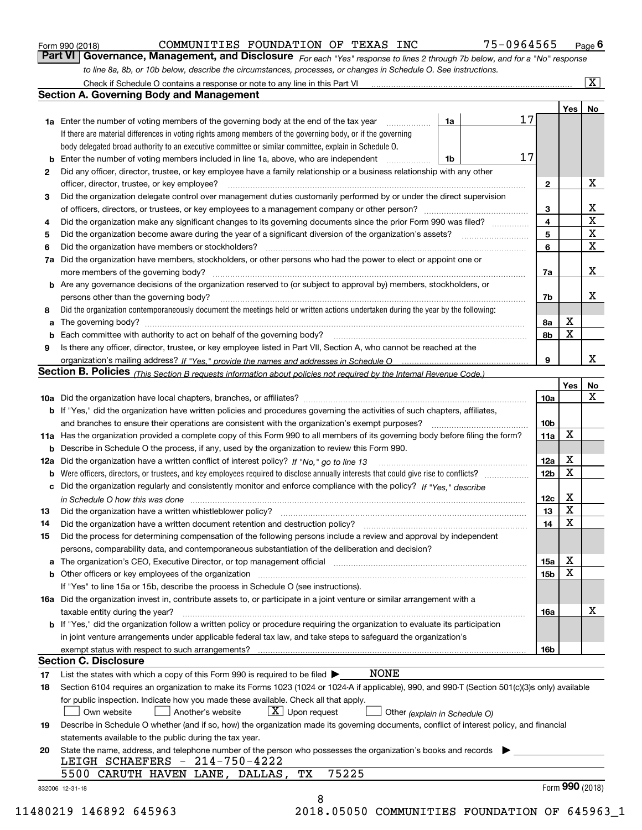| Form 990 (2018) |  |  |
|-----------------|--|--|
|                 |  |  |

### COMMUNITIES FOUNDATION OF TEXAS INC 75-0964565

*For each "Yes" response to lines 2 through 7b below, and for a "No" response to line 8a, 8b, or 10b below, describe the circumstances, processes, or changes in Schedule O. See instructions.* Form 990 (2018) **COMMUNITIES FOUNDATION OF TEXAS INC** 75-0964565 Page 6<br>**Part VI Governance, Management, and Disclosure** For each "Yes" response to lines 2 through 7b below, and for a "No" response

|     | Check if Schedule O contains a response or note to any line in this Part VI                                                                                                                                                   |    |    |                     |                  | $\overline{\mathbf{x}}$ |  |  |  |  |  |
|-----|-------------------------------------------------------------------------------------------------------------------------------------------------------------------------------------------------------------------------------|----|----|---------------------|------------------|-------------------------|--|--|--|--|--|
|     | <b>Section A. Governing Body and Management</b>                                                                                                                                                                               |    |    |                     |                  |                         |  |  |  |  |  |
|     |                                                                                                                                                                                                                               |    |    |                     | Yes              | No                      |  |  |  |  |  |
|     | <b>1a</b> Enter the number of voting members of the governing body at the end of the tax year                                                                                                                                 | 1a | 17 |                     |                  |                         |  |  |  |  |  |
|     | If there are material differences in voting rights among members of the governing body, or if the governing                                                                                                                   |    |    |                     |                  |                         |  |  |  |  |  |
|     | body delegated broad authority to an executive committee or similar committee, explain in Schedule O.                                                                                                                         |    |    |                     |                  |                         |  |  |  |  |  |
| b   | Enter the number of voting members included in line 1a, above, who are independent                                                                                                                                            | 1b | 17 |                     |                  |                         |  |  |  |  |  |
| 2   | Did any officer, director, trustee, or key employee have a family relationship or a business relationship with any other                                                                                                      |    |    |                     |                  |                         |  |  |  |  |  |
|     | officer, director, trustee, or key employee?                                                                                                                                                                                  |    |    | $\mathbf{2}$        |                  | X                       |  |  |  |  |  |
| 3   | Did the organization delegate control over management duties customarily performed by or under the direct supervision                                                                                                         |    |    |                     |                  |                         |  |  |  |  |  |
|     |                                                                                                                                                                                                                               |    |    |                     |                  |                         |  |  |  |  |  |
| 4   | Did the organization make any significant changes to its governing documents since the prior Form 990 was filed?                                                                                                              |    |    |                     |                  |                         |  |  |  |  |  |
| 5   |                                                                                                                                                                                                                               |    |    | $\overline{4}$<br>5 |                  | X<br>$\mathbf X$        |  |  |  |  |  |
| 6   |                                                                                                                                                                                                                               |    |    | 6                   |                  | $\mathbf X$             |  |  |  |  |  |
| 7a  | Did the organization have members or stockholders?<br>Did the organization have members, stockholders, or other persons who had the power to elect or appoint one or                                                          |    |    |                     |                  |                         |  |  |  |  |  |
|     | more members of the governing body?                                                                                                                                                                                           |    |    |                     |                  | х                       |  |  |  |  |  |
|     |                                                                                                                                                                                                                               |    |    | 7a                  |                  |                         |  |  |  |  |  |
| b   | Are any governance decisions of the organization reserved to (or subject to approval by) members, stockholders, or                                                                                                            |    |    |                     |                  | x                       |  |  |  |  |  |
|     | persons other than the governing body?                                                                                                                                                                                        |    |    | 7b                  |                  |                         |  |  |  |  |  |
| 8   | Did the organization contemporaneously document the meetings held or written actions undertaken during the year by the following:                                                                                             |    |    |                     |                  |                         |  |  |  |  |  |
| а   |                                                                                                                                                                                                                               |    |    | 8a                  | X<br>$\mathbf X$ |                         |  |  |  |  |  |
| b   |                                                                                                                                                                                                                               |    |    | 8b                  |                  |                         |  |  |  |  |  |
| 9   | Is there any officer, director, trustee, or key employee listed in Part VII, Section A, who cannot be reached at the                                                                                                          |    |    |                     |                  |                         |  |  |  |  |  |
|     |                                                                                                                                                                                                                               |    |    | 9                   |                  | х                       |  |  |  |  |  |
|     | Section B. Policies <sub>(This Section B requests information about policies not required by the Internal Revenue Code.)</sub>                                                                                                |    |    |                     |                  |                         |  |  |  |  |  |
|     |                                                                                                                                                                                                                               |    |    |                     | Yes              | No                      |  |  |  |  |  |
|     |                                                                                                                                                                                                                               |    |    | 10a                 |                  | х                       |  |  |  |  |  |
|     | <b>b</b> If "Yes," did the organization have written policies and procedures governing the activities of such chapters, affiliates,                                                                                           |    |    |                     |                  |                         |  |  |  |  |  |
|     | and branches to ensure their operations are consistent with the organization's exempt purposes?                                                                                                                               |    |    | 10b                 |                  |                         |  |  |  |  |  |
| 11a | Has the organization provided a complete copy of this Form 990 to all members of its governing body before filing the form?                                                                                                   |    |    | 11a                 | $\mathbf X$      |                         |  |  |  |  |  |
| b   | Describe in Schedule O the process, if any, used by the organization to review this Form 990.                                                                                                                                 |    |    |                     |                  |                         |  |  |  |  |  |
| 12a | Did the organization have a written conflict of interest policy? If "No," go to line 13                                                                                                                                       |    |    | 12a                 | X                |                         |  |  |  |  |  |
| b   |                                                                                                                                                                                                                               |    |    | 12 <sub>b</sub>     | X                |                         |  |  |  |  |  |
| с   | Did the organization regularly and consistently monitor and enforce compliance with the policy? If "Yes." describe                                                                                                            |    |    |                     |                  |                         |  |  |  |  |  |
|     |                                                                                                                                                                                                                               |    |    | 12c                 | X                |                         |  |  |  |  |  |
| 13  | Did the organization have a written whistleblower policy?                                                                                                                                                                     |    |    | 13                  | $\mathbf X$      |                         |  |  |  |  |  |
| 14  | Did the organization have a written document retention and destruction policy?                                                                                                                                                |    |    | 14                  | X                |                         |  |  |  |  |  |
| 15  | Did the process for determining compensation of the following persons include a review and approval by independent                                                                                                            |    |    |                     |                  |                         |  |  |  |  |  |
|     | persons, comparability data, and contemporaneous substantiation of the deliberation and decision?                                                                                                                             |    |    |                     |                  |                         |  |  |  |  |  |
| а   | The organization's CEO, Executive Director, or top management official manufactured contains and contained a support of the Director, or top management official manufactured and contain a support of the state of the state |    |    | 15a                 | х                |                         |  |  |  |  |  |
| b   | Other officers or key employees of the organization                                                                                                                                                                           |    |    | 15b                 | X                |                         |  |  |  |  |  |
|     | If "Yes" to line 15a or 15b, describe the process in Schedule O (see instructions).                                                                                                                                           |    |    |                     |                  |                         |  |  |  |  |  |
|     | 16a Did the organization invest in, contribute assets to, or participate in a joint venture or similar arrangement with a                                                                                                     |    |    |                     |                  |                         |  |  |  |  |  |
|     | taxable entity during the year?                                                                                                                                                                                               |    |    | 16a                 |                  | х                       |  |  |  |  |  |
|     | b If "Yes," did the organization follow a written policy or procedure requiring the organization to evaluate its participation                                                                                                |    |    |                     |                  |                         |  |  |  |  |  |
|     | in joint venture arrangements under applicable federal tax law, and take steps to safequard the organization's                                                                                                                |    |    |                     |                  |                         |  |  |  |  |  |
|     | exempt status with respect to such arrangements?                                                                                                                                                                              |    |    | 16b                 |                  |                         |  |  |  |  |  |
|     | <b>Section C. Disclosure</b>                                                                                                                                                                                                  |    |    |                     |                  |                         |  |  |  |  |  |
| 17  | <b>NONE</b><br>List the states with which a copy of this Form 990 is required to be filed $\blacktriangleright$                                                                                                               |    |    |                     |                  |                         |  |  |  |  |  |
| 18  | Section 6104 requires an organization to make its Forms 1023 (1024 or 1024-A if applicable), 990, and 990-T (Section 501(c)(3)s only) available                                                                               |    |    |                     |                  |                         |  |  |  |  |  |
|     | for public inspection. Indicate how you made these available. Check all that apply.                                                                                                                                           |    |    |                     |                  |                         |  |  |  |  |  |
|     | $X$ Upon request<br>Own website<br>Another's website<br>Other (explain in Schedule O)                                                                                                                                         |    |    |                     |                  |                         |  |  |  |  |  |
| 19  | Describe in Schedule O whether (and if so, how) the organization made its governing documents, conflict of interest policy, and financial                                                                                     |    |    |                     |                  |                         |  |  |  |  |  |
|     | statements available to the public during the tax year.                                                                                                                                                                       |    |    |                     |                  |                         |  |  |  |  |  |
| 20  | State the name, address, and telephone number of the person who possesses the organization's books and records                                                                                                                |    |    |                     |                  |                         |  |  |  |  |  |
|     | LEIGH SCHAEFERS - 214-750-4222                                                                                                                                                                                                |    |    |                     |                  |                         |  |  |  |  |  |
|     | 75225<br>TХ<br>5500 CARUTH HAVEN LANE, DALLAS,                                                                                                                                                                                |    |    |                     |                  |                         |  |  |  |  |  |
|     | 832006 12-31-18                                                                                                                                                                                                               |    |    |                     |                  | Form 990 (2018)         |  |  |  |  |  |
|     | 8                                                                                                                                                                                                                             |    |    |                     |                  |                         |  |  |  |  |  |
|     |                                                                                                                                                                                                                               |    |    |                     |                  |                         |  |  |  |  |  |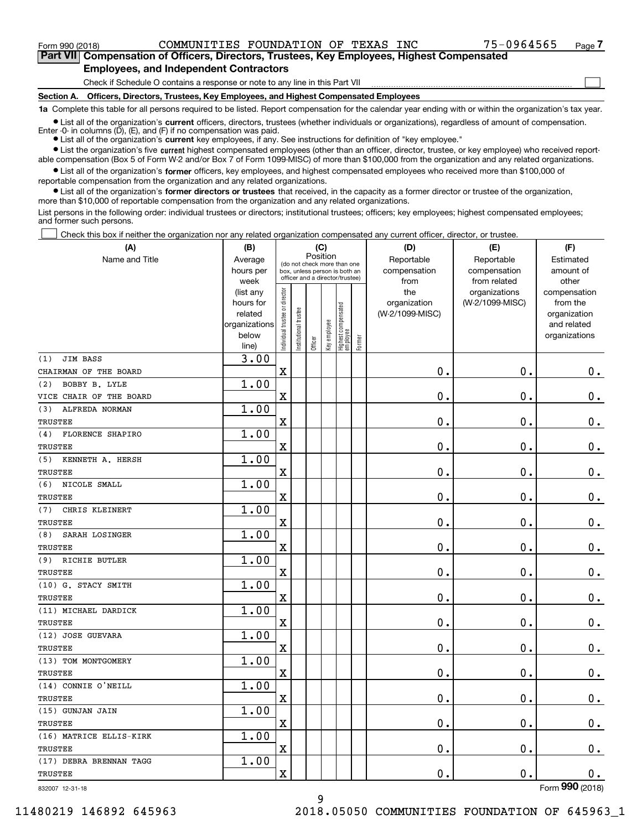**(A)**

 $\mathcal{L}^{\text{max}}$ 

**7Part VII Compensation of Officers, Directors, Trustees, Key Employees, Highest Compensated Employees, and Independent Contractors**

Check if Schedule O contains a response or note to any line in this Part VII

**Section A. Officers, Directors, Trustees, Key Employees, and Highest Compensated Employees**

**1a**  Complete this table for all persons required to be listed. Report compensation for the calendar year ending with or within the organization's tax year.

**•** List all of the organization's current officers, directors, trustees (whether individuals or organizations), regardless of amount of compensation. Enter -0- in columns  $(D)$ ,  $(E)$ , and  $(F)$  if no compensation was paid.

● List all of the organization's **current** key employees, if any. See instructions for definition of "key employee."

**•** List the organization's five current highest compensated employees (other than an officer, director, trustee, or key employee) who received reportable compensation (Box 5 of Form W-2 and/or Box 7 of Form 1099-MISC) of more than \$100,000 from the organization and any related organizations.

 $\bullet$  List all of the organization's **former** officers, key employees, and highest compensated employees who received more than \$100,000 of reportable compensation from the organization and any related organizations.

**•** List all of the organization's former directors or trustees that received, in the capacity as a former director or trustee of the organization, more than \$10,000 of reportable compensation from the organization and any related organizations.

List persons in the following order: individual trustees or directors; institutional trustees; officers; key employees; highest compensated employees; and former such persons.

Check this box if neither the organization nor any related organization compensated any current officer, director, or trustee.  $\mathcal{L}^{\text{max}}$ 

| (A)                            | (B)                    |                                         |                                                                  | (C)     |              |                                   |        | (D)                 | (E)                              | (F)                      |
|--------------------------------|------------------------|-----------------------------------------|------------------------------------------------------------------|---------|--------------|-----------------------------------|--------|---------------------|----------------------------------|--------------------------|
| Name and Title                 | Average                | Position<br>(do not check more than one |                                                                  |         |              |                                   |        | Reportable          | Reportable                       | Estimated                |
|                                | hours per              |                                         | box, unless person is both an<br>officer and a director/trustee) |         |              |                                   |        | compensation        | compensation                     | amount of                |
|                                | week                   |                                         |                                                                  |         |              |                                   |        | from                | from related                     | other                    |
|                                | (list any<br>hours for |                                         |                                                                  |         |              |                                   |        | the<br>organization | organizations<br>(W-2/1099-MISC) | compensation<br>from the |
|                                | related                |                                         |                                                                  |         |              |                                   |        | (W-2/1099-MISC)     |                                  | organization             |
|                                | organizations          |                                         |                                                                  |         |              |                                   |        |                     |                                  | and related              |
|                                | below                  | Individual trustee or director          | Institutional trustee                                            |         |              |                                   |        |                     |                                  | organizations            |
|                                | line)                  |                                         |                                                                  | Officer | Key employee | Highest compensated<br>  employee | Former |                     |                                  |                          |
| <b>JIM BASS</b><br>(1)         | 3.00                   |                                         |                                                                  |         |              |                                   |        |                     |                                  |                          |
| CHAIRMAN OF THE BOARD          |                        | $\overline{\mathbf{X}}$                 |                                                                  |         |              |                                   |        | 0.                  | $\mathbf 0$ .                    | $0$ .                    |
| BOBBY B. LYLE<br>(2)           | 1.00                   |                                         |                                                                  |         |              |                                   |        |                     |                                  |                          |
| VICE CHAIR OF THE BOARD        |                        | X                                       |                                                                  |         |              |                                   |        | 0.                  | $\mathbf 0$ .                    | $0_{.}$                  |
| ALFREDA NORMAN<br>(3)          | 1.00                   |                                         |                                                                  |         |              |                                   |        |                     |                                  |                          |
| <b>TRUSTEE</b>                 |                        | X                                       |                                                                  |         |              |                                   |        | 0.                  | 0.                               | $\mathbf 0$ .            |
| <b>FLORENCE SHAPIRO</b><br>(4) | 1.00                   |                                         |                                                                  |         |              |                                   |        |                     |                                  |                          |
| <b>TRUSTEE</b>                 |                        | X                                       |                                                                  |         |              |                                   |        | 0.                  | 0.                               | $\mathbf 0$ .            |
| (5)<br>KENNETH A. HERSH        | 1.00                   |                                         |                                                                  |         |              |                                   |        |                     |                                  |                          |
| TRUSTEE                        |                        | $\mathbf x$                             |                                                                  |         |              |                                   |        | $\mathbf 0$ .       | $\mathbf 0$ .                    | $\mathbf 0$ .            |
| NICOLE SMALL<br>(6)            | 1.00                   |                                         |                                                                  |         |              |                                   |        |                     |                                  |                          |
| TRUSTEE                        |                        | $\mathbf x$                             |                                                                  |         |              |                                   |        | 0.                  | $\mathbf 0$ .                    | 0.                       |
| CHRIS KLEINERT<br>(7)          | 1.00                   |                                         |                                                                  |         |              |                                   |        |                     |                                  |                          |
| TRUSTEE                        |                        | $\mathbf X$                             |                                                                  |         |              |                                   |        | 0.                  | $\mathbf 0$ .                    | $0_{.}$                  |
| (8)<br>SARAH LOSINGER          | 1.00                   |                                         |                                                                  |         |              |                                   |        |                     |                                  |                          |
| TRUSTEE                        |                        | X                                       |                                                                  |         |              |                                   |        | 0.                  | 0.                               | $\mathbf 0$ .            |
| RICHIE BUTLER<br>(9)           | 1.00                   |                                         |                                                                  |         |              |                                   |        |                     |                                  |                          |
| TRUSTEE                        |                        | $\mathbf X$                             |                                                                  |         |              |                                   |        | $\mathbf 0$ .       | $\mathbf 0$ .                    | 0.                       |
| (10) G. STACY SMITH            | 1.00                   |                                         |                                                                  |         |              |                                   |        |                     |                                  |                          |
| TRUSTEE                        |                        | X                                       |                                                                  |         |              |                                   |        | 0.                  | 0.                               | $\mathbf 0$ .            |
| (11) MICHAEL DARDICK           | 1.00                   |                                         |                                                                  |         |              |                                   |        |                     |                                  |                          |
| TRUSTEE                        |                        | $\mathbf X$                             |                                                                  |         |              |                                   |        | $\mathbf 0$ .       | $\mathbf 0$ .                    | $\mathbf 0$ .            |
| (12) JOSE GUEVARA              | 1.00                   |                                         |                                                                  |         |              |                                   |        |                     |                                  |                          |
| <b>TRUSTEE</b>                 |                        | X                                       |                                                                  |         |              |                                   |        | 0.                  | $\mathbf 0$ .                    | 0.                       |
| (13) TOM MONTGOMERY            | 1.00                   |                                         |                                                                  |         |              |                                   |        |                     |                                  |                          |
| <b>TRUSTEE</b>                 |                        | X                                       |                                                                  |         |              |                                   |        | 0.                  | $\mathbf 0$ .                    | 0.                       |
| (14) CONNIE O'NEILL            | 1.00                   |                                         |                                                                  |         |              |                                   |        |                     |                                  |                          |
| TRUSTEE                        |                        | $\overline{\text{X}}$                   |                                                                  |         |              |                                   |        | 0.                  | $\mathbf 0$ .                    | $0_{.}$                  |
| (15) GUNJAN JAIN               | 1.00                   |                                         |                                                                  |         |              |                                   |        |                     |                                  |                          |
| TRUSTEE                        |                        | X                                       |                                                                  |         |              |                                   |        | $\mathbf 0$ .       | 0.                               | $\mathbf 0$ .            |
| (16) MATRICE ELLIS-KIRK        | 1.00                   |                                         |                                                                  |         |              |                                   |        |                     |                                  |                          |
| TRUSTEE                        |                        | X                                       |                                                                  |         |              |                                   |        | 0.                  | $\mathbf 0$ .                    | 0.                       |
| (17) DEBRA BRENNAN TAGG        | 1.00                   |                                         |                                                                  |         |              |                                   |        |                     |                                  |                          |
| TRUSTEE                        |                        | X                                       |                                                                  |         |              |                                   |        | 0.                  | О.                               | $\mathbf 0$ .            |
| 832007 12-31-18                |                        |                                         |                                                                  |         |              |                                   |        |                     |                                  | Form 990 (2018)          |

9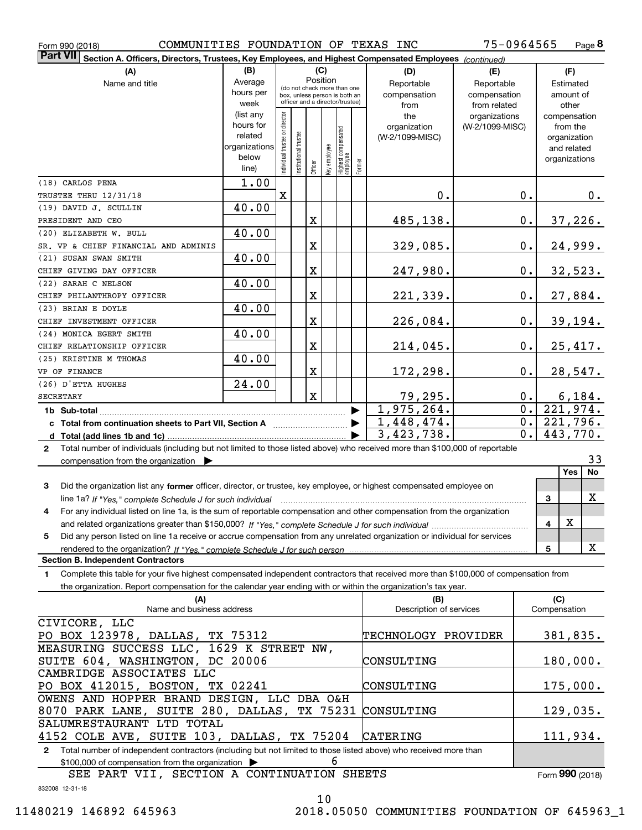| COMMUNITIES FOUNDATION OF TEXAS INC<br>Form 990 (2018)                                                                                       |               |                                |                       |             |          |                                                              |        |                         | 75-0964565      |                  |              | Page 8        |
|----------------------------------------------------------------------------------------------------------------------------------------------|---------------|--------------------------------|-----------------------|-------------|----------|--------------------------------------------------------------|--------|-------------------------|-----------------|------------------|--------------|---------------|
| <b>Part VII</b><br>Section A. Officers, Directors, Trustees, Key Employees, and Highest Compensated Employees (continued)                    |               |                                |                       |             |          |                                                              |        |                         |                 |                  |              |               |
| (A)                                                                                                                                          | (B)           |                                |                       |             | (C)      |                                                              |        | (D)                     | (E)             |                  | (F)          |               |
| Name and title                                                                                                                               | Average       |                                |                       |             | Position |                                                              |        | Reportable              | Reportable      |                  | Estimated    |               |
|                                                                                                                                              | hours per     |                                |                       |             |          | (do not check more than one<br>box, unless person is both an |        | compensation            | compensation    |                  | amount of    |               |
|                                                                                                                                              | week          |                                |                       |             |          | officer and a director/trustee)                              |        | from                    | from related    |                  | other        |               |
|                                                                                                                                              | (list any     |                                |                       |             |          |                                                              |        | the                     | organizations   |                  |              | compensation  |
|                                                                                                                                              | hours for     |                                |                       |             |          |                                                              |        | organization            | (W-2/1099-MISC) |                  | from the     |               |
|                                                                                                                                              | related       |                                |                       |             |          |                                                              |        | (W-2/1099-MISC)         |                 |                  | organization |               |
|                                                                                                                                              | organizations |                                |                       |             |          |                                                              |        |                         |                 |                  | and related  |               |
|                                                                                                                                              | below         | Individual trustee or director | Institutional trustee |             |          |                                                              | Former |                         |                 |                  |              | organizations |
|                                                                                                                                              | line)         |                                |                       |             |          | Officer<br>Key employee<br>Highest compensated<br>employee   |        |                         |                 |                  |              |               |
| (18) CARLOS PENA                                                                                                                             | 1.00          |                                |                       |             |          |                                                              |        |                         |                 |                  |              |               |
| TRUSTEE THRU 12/31/18                                                                                                                        |               | X                              |                       |             |          |                                                              |        | 0.                      |                 | 0.               |              | $0$ .         |
| (19) DAVID J. SCULLIN                                                                                                                        | 40.00         |                                |                       |             |          |                                                              |        |                         |                 |                  |              |               |
| PRESIDENT AND CEO                                                                                                                            |               |                                |                       | X           |          |                                                              |        | 485,138.                |                 | 0.               |              | 37, 226.      |
| (20) ELIZABETH W. BULL                                                                                                                       | 40.00         |                                |                       |             |          |                                                              |        |                         |                 |                  |              |               |
| SR. VP & CHIEF FINANCIAL AND ADMINIS                                                                                                         |               |                                |                       | X           |          |                                                              |        | 329,085.                |                 | $0\cdot$         |              | 24,999.       |
| (21) SUSAN SWAN SMITH                                                                                                                        | 40.00         |                                |                       |             |          |                                                              |        |                         |                 |                  |              |               |
| CHIEF GIVING DAY OFFICER                                                                                                                     |               |                                |                       | X           |          |                                                              |        | 247,980.                |                 | $0\cdot$         |              | 32,523.       |
| (22) SARAH C NELSON                                                                                                                          | 40.00         |                                |                       |             |          |                                                              |        |                         |                 |                  |              |               |
| CHIEF PHILANTHROPY OFFICER                                                                                                                   |               |                                |                       | X           |          |                                                              |        | 221,339.                |                 | $0$ .            |              | 27,884.       |
| (23) BRIAN E DOYLE                                                                                                                           | 40.00         |                                |                       |             |          |                                                              |        |                         |                 |                  |              |               |
| CHIEF INVESTMENT OFFICER                                                                                                                     |               |                                |                       | X           |          |                                                              |        | 226,084.                |                 | $0$ .            |              | 39, 194.      |
| (24) MONICA EGERT SMITH                                                                                                                      | 40.00         |                                |                       |             |          |                                                              |        |                         |                 |                  |              |               |
| CHIEF RELATIONSHIP OFFICER                                                                                                                   |               |                                |                       | X           |          |                                                              |        | 214,045.                |                 | $0$ .            |              | 25,417.       |
| (25) KRISTINE M THOMAS                                                                                                                       | 40.00         |                                |                       |             |          |                                                              |        |                         |                 |                  |              |               |
| VP OF FINANCE                                                                                                                                |               |                                |                       | X           |          |                                                              |        | 172,298.                |                 | $0$ .            |              | 28,547.       |
| (26) D'ETTA HUGHES                                                                                                                           | 24.00         |                                |                       |             |          |                                                              |        |                         |                 |                  |              |               |
| <b>SECRETARY</b>                                                                                                                             |               |                                |                       | $\mathbf X$ |          |                                                              |        | 79, 295.                |                 | $0$ .            |              | 6,184.        |
|                                                                                                                                              |               |                                |                       |             |          |                                                              |        | 1,975,264.              |                 | $\overline{0}$ . |              | 221,974.      |
| c Total from continuation sheets to Part VII, Section A                                                                                      |               |                                |                       |             |          |                                                              |        | 1,448,474.              |                 | $0$ .            |              | 221,796.      |
|                                                                                                                                              |               |                                |                       |             |          |                                                              |        | 3,423,738.              |                 | $0$ .            |              | 443,770.      |
| Total number of individuals (including but not limited to those listed above) who received more than \$100,000 of reportable<br>$\mathbf{2}$ |               |                                |                       |             |          |                                                              |        |                         |                 |                  |              |               |
| compensation from the organization $\blacktriangleright$                                                                                     |               |                                |                       |             |          |                                                              |        |                         |                 |                  |              | 33            |
|                                                                                                                                              |               |                                |                       |             |          |                                                              |        |                         |                 |                  | <b>Yes</b>   | No            |
| 3<br>Did the organization list any former officer, director, or trustee, key employee, or highest compensated employee on                    |               |                                |                       |             |          |                                                              |        |                         |                 |                  |              |               |
| line 1a? If "Yes," complete Schedule J for such individual manufactured contained and the Ves," complete Schedule J for such individual      |               |                                |                       |             |          |                                                              |        |                         |                 |                  | 3            | X             |
| For any individual listed on line 1a, is the sum of reportable compensation and other compensation from the organization                     |               |                                |                       |             |          |                                                              |        |                         |                 |                  |              |               |
|                                                                                                                                              |               |                                |                       |             |          |                                                              |        |                         |                 |                  | Χ<br>4       |               |
| Did any person listed on line 1a receive or accrue compensation from any unrelated organization or individual for services<br>5              |               |                                |                       |             |          |                                                              |        |                         |                 |                  |              |               |
|                                                                                                                                              |               |                                |                       |             |          |                                                              |        |                         |                 |                  | 5            | X             |
| <b>Section B. Independent Contractors</b>                                                                                                    |               |                                |                       |             |          |                                                              |        |                         |                 |                  |              |               |
| Complete this table for your five highest compensated independent contractors that received more than \$100,000 of compensation from<br>1.   |               |                                |                       |             |          |                                                              |        |                         |                 |                  |              |               |
| the organization. Report compensation for the calendar year ending with or within the organization's tax year.                               |               |                                |                       |             |          |                                                              |        |                         |                 |                  |              |               |
| (A)                                                                                                                                          |               |                                |                       |             |          |                                                              |        | (B)                     |                 |                  | (C)          |               |
| Name and business address                                                                                                                    |               |                                |                       |             |          |                                                              |        | Description of services |                 |                  | Compensation |               |
| CIVICORE, LLC                                                                                                                                |               |                                |                       |             |          |                                                              |        |                         |                 |                  |              |               |
| PO BOX 123978, DALLAS, TX 75312                                                                                                              |               |                                |                       |             |          |                                                              |        | TECHNOLOGY PROVIDER     |                 |                  |              | 381,835.      |
| MEASURING SUCCESS LLC, 1629 K STREET NW,                                                                                                     |               |                                |                       |             |          |                                                              |        |                         |                 |                  |              |               |
| SUITE 604, WASHINGTON, DC 20006<br>CONSULTING                                                                                                |               |                                |                       |             |          |                                                              |        |                         |                 |                  |              | 180,000.      |
| CAMBRIDGE ASSOCIATES LLC                                                                                                                     |               |                                |                       |             |          |                                                              |        |                         |                 |                  |              |               |
| PO BOX 412015, BOSTON, TX 02241                                                                                                              |               |                                |                       |             |          |                                                              |        | CONSULTING              |                 |                  |              |               |
| OWENS AND HOPPER BRAND DESIGN, LLC DBA O&H                                                                                                   |               |                                |                       |             |          |                                                              |        |                         |                 |                  |              | 175,000.      |
| 8070 PARK LANE, SUITE 280, DALLAS, TX 75231                                                                                                  |               |                                |                       |             |          |                                                              |        | CONSULTING              |                 |                  |              | 129,035.      |
| SALUMRESTAURANT LTD TOTAL                                                                                                                    |               |                                |                       |             |          |                                                              |        |                         |                 |                  |              |               |
| 4152 COLE AVE, SUITE 103, DALLAS, TX 75204                                                                                                   |               |                                |                       |             |          |                                                              |        | CATERING                |                 |                  |              | 111,934.      |
| 2 Total number of independent contractors (including but not limited to those listed above) who received more than                           |               |                                |                       |             |          |                                                              |        |                         |                 |                  |              |               |

\$100,000 of compensation from the organization | 6

832008 12-31-18 Form (2018) **990** SEE PART VII, SECTION A CONTINUATION SHEETS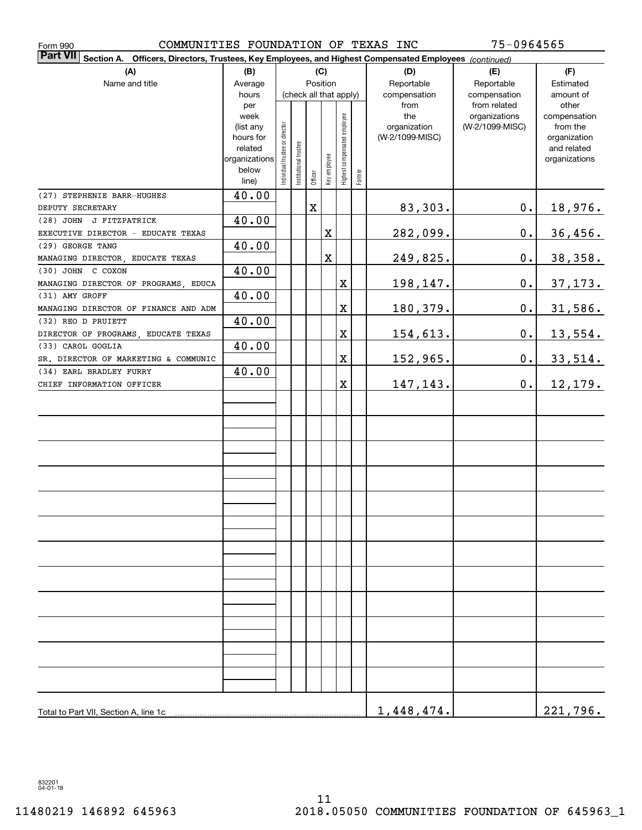| COMMUNITIES FOUNDATION OF TEXAS INC<br>Form 990                                                                              | 75-0964565     |                                |                       |             |                        |                              |        |                 |                               |                       |  |  |  |
|------------------------------------------------------------------------------------------------------------------------------|----------------|--------------------------------|-----------------------|-------------|------------------------|------------------------------|--------|-----------------|-------------------------------|-----------------------|--|--|--|
| <b>Part VII</b><br>Officers, Directors, Trustees, Key Employees, and Highest Compensated Employees (continued)<br>Section A. |                |                                |                       |             |                        |                              |        |                 |                               |                       |  |  |  |
| (A)                                                                                                                          | (B)            | (C)                            |                       |             |                        |                              |        | (D)             | (E)                           | (F)                   |  |  |  |
| Name and title                                                                                                               | Average        |                                |                       |             | Position               |                              |        | Reportable      | Reportable                    | Estimated             |  |  |  |
|                                                                                                                              | hours          |                                |                       |             | (check all that apply) |                              |        | compensation    | compensation                  | amount of             |  |  |  |
|                                                                                                                              | per<br>week    |                                |                       |             |                        |                              |        | from<br>the     | from related<br>organizations | other<br>compensation |  |  |  |
|                                                                                                                              | (list any      |                                |                       |             |                        |                              |        | organization    | (W-2/1099-MISC)               | from the              |  |  |  |
|                                                                                                                              | hours for      |                                |                       |             |                        |                              |        | (W-2/1099-MISC) |                               | organization          |  |  |  |
|                                                                                                                              | related        |                                |                       |             |                        |                              |        |                 |                               | and related           |  |  |  |
|                                                                                                                              | organizations  |                                |                       |             |                        |                              |        |                 |                               | organizations         |  |  |  |
|                                                                                                                              | below<br>line) | Individual trustee or director | Institutional trustee | Officer     | Key employee           | Highest compensated employee | Former |                 |                               |                       |  |  |  |
| (27) STEPHENIE BARR-HUGHES                                                                                                   | 40.00          |                                |                       |             |                        |                              |        |                 |                               |                       |  |  |  |
| DEPUTY SECRETARY                                                                                                             |                |                                |                       | $\mathbf X$ |                        |                              |        | 83,303.         | $\mathbf 0$ .                 | <u>18,976.</u>        |  |  |  |
| (28) JOHN J FITZPATRICK                                                                                                      | 40.00          |                                |                       |             |                        |                              |        |                 |                               |                       |  |  |  |
| EXECUTIVE DIRECTOR - EDUCATE TEXAS                                                                                           |                |                                |                       |             | X                      |                              |        | 282,099.        | $0$ .                         | 36,456.               |  |  |  |
| (29) GEORGE TANG                                                                                                             | 40.00          |                                |                       |             |                        |                              |        |                 |                               |                       |  |  |  |
| MANAGING DIRECTOR, EDUCATE TEXAS                                                                                             |                |                                |                       |             | $\mathbf X$            |                              |        | 249,825.        | 0.                            | 38, 358.              |  |  |  |
| (30) JOHN C COXON                                                                                                            | 40.00          |                                |                       |             |                        |                              |        |                 |                               |                       |  |  |  |
| MANAGING DIRECTOR OF PROGRAMS, EDUCA                                                                                         |                |                                |                       |             |                        | $\mathbf X$                  |        | 198,147.        | 0.                            | 37, 173.              |  |  |  |
| (31) AMY GROFF                                                                                                               | 40.00          |                                |                       |             |                        |                              |        |                 |                               |                       |  |  |  |
| MANAGING DIRECTOR OF FINANCE AND ADM                                                                                         |                |                                |                       |             |                        | $\mathbf X$                  |        | 180,379.        | 0.                            | 31,586.               |  |  |  |
| (32) REO D PRUIETT                                                                                                           | 40.00          |                                |                       |             |                        |                              |        |                 |                               |                       |  |  |  |
| DIRECTOR OF PROGRAMS, EDUCATE TEXAS                                                                                          |                |                                |                       |             |                        | $\mathbf X$                  |        | 154,613.        | 0.                            | 13,554.               |  |  |  |
| (33) CAROL GOGLIA                                                                                                            | 40.00          |                                |                       |             |                        |                              |        |                 |                               |                       |  |  |  |
| SR. DIRECTOR OF MARKETING & COMMUNIC                                                                                         |                |                                |                       |             |                        | $\mathbf X$                  |        | 152,965.        | 0.                            | 33,514.               |  |  |  |
| (34) EARL BRADLEY FURRY                                                                                                      | 40.00          |                                |                       |             |                        |                              |        |                 |                               |                       |  |  |  |
| CHIEF INFORMATION OFFICER                                                                                                    |                |                                |                       |             |                        | $\mathbf X$                  |        | 147,143.        | $\mathbf 0$ .                 | 12, 179.              |  |  |  |
|                                                                                                                              |                |                                |                       |             |                        |                              |        |                 |                               |                       |  |  |  |
|                                                                                                                              |                |                                |                       |             |                        |                              |        |                 |                               |                       |  |  |  |
|                                                                                                                              |                |                                |                       |             |                        |                              |        |                 |                               |                       |  |  |  |
|                                                                                                                              |                |                                |                       |             |                        |                              |        |                 |                               |                       |  |  |  |
|                                                                                                                              |                |                                |                       |             |                        |                              |        |                 |                               |                       |  |  |  |
|                                                                                                                              |                |                                |                       |             |                        |                              |        |                 |                               |                       |  |  |  |
|                                                                                                                              |                |                                |                       |             |                        |                              |        |                 |                               |                       |  |  |  |
|                                                                                                                              |                |                                |                       |             |                        |                              |        |                 |                               |                       |  |  |  |
|                                                                                                                              |                |                                |                       |             |                        |                              |        |                 |                               |                       |  |  |  |
|                                                                                                                              |                |                                |                       |             |                        |                              |        |                 |                               |                       |  |  |  |
|                                                                                                                              |                |                                |                       |             |                        |                              |        |                 |                               |                       |  |  |  |
|                                                                                                                              |                |                                |                       |             |                        |                              |        |                 |                               |                       |  |  |  |
|                                                                                                                              |                |                                |                       |             |                        |                              |        |                 |                               |                       |  |  |  |
|                                                                                                                              |                |                                |                       |             |                        |                              |        |                 |                               |                       |  |  |  |
|                                                                                                                              |                |                                |                       |             |                        |                              |        |                 |                               |                       |  |  |  |
|                                                                                                                              |                |                                |                       |             |                        |                              |        |                 |                               |                       |  |  |  |
|                                                                                                                              |                |                                |                       |             |                        |                              |        |                 |                               |                       |  |  |  |
|                                                                                                                              |                |                                |                       |             |                        |                              |        |                 |                               |                       |  |  |  |
|                                                                                                                              |                |                                |                       |             |                        |                              |        |                 |                               |                       |  |  |  |
|                                                                                                                              |                |                                |                       |             |                        |                              |        |                 |                               |                       |  |  |  |
|                                                                                                                              |                |                                |                       |             |                        |                              |        |                 |                               |                       |  |  |  |
|                                                                                                                              |                |                                |                       |             |                        |                              |        |                 |                               |                       |  |  |  |
|                                                                                                                              |                |                                |                       |             |                        |                              |        |                 |                               |                       |  |  |  |
| Total to Part VII, Section A, line 1c                                                                                        |                |                                |                       |             |                        |                              |        | 1,448,474.      |                               | 221,796.              |  |  |  |

832201 04-01-18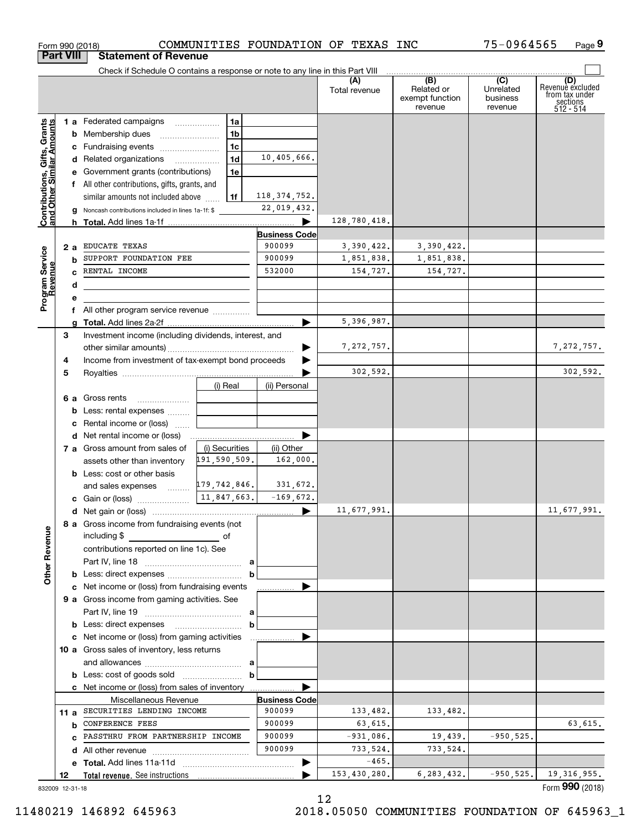|                                                           |    |    | Form 990 (2018)                                                                           |                |                | COMMUNITIES FOUNDATION OF TEXAS INC |                      |                                                 | 75-0964565                              | Page 9                                                             |
|-----------------------------------------------------------|----|----|-------------------------------------------------------------------------------------------|----------------|----------------|-------------------------------------|----------------------|-------------------------------------------------|-----------------------------------------|--------------------------------------------------------------------|
| <b>Part VIII</b>                                          |    |    | <b>Statement of Revenue</b>                                                               |                |                |                                     |                      |                                                 |                                         |                                                                    |
|                                                           |    |    | Check if Schedule O contains a response or note to any line in this Part VIII             |                |                |                                     |                      |                                                 |                                         |                                                                    |
|                                                           |    |    |                                                                                           |                |                |                                     | (A)<br>Total revenue | (B)<br>Related or<br>exempt function<br>revenue | (C)<br>Unrelated<br>business<br>revenue | (D)<br>Revenuè excluded<br>from tax under<br>sections<br>512 - 514 |
|                                                           |    |    | 1 a Federated campaigns                                                                   |                | 1a             |                                     |                      |                                                 |                                         |                                                                    |
| Contributions, Gifts, Grants<br>and Other Similar Amounts |    |    |                                                                                           |                | 1 <sub>b</sub> |                                     |                      |                                                 |                                         |                                                                    |
|                                                           |    |    | c Fundraising events                                                                      |                | 1c             |                                     |                      |                                                 |                                         |                                                                    |
|                                                           |    |    | d Related organizations                                                                   |                | 1d             | 10,405,666.                         |                      |                                                 |                                         |                                                                    |
|                                                           |    |    |                                                                                           |                | 1e             |                                     |                      |                                                 |                                         |                                                                    |
|                                                           |    |    | e Government grants (contributions)<br>f All other contributions, gifts, grants, and      |                |                |                                     |                      |                                                 |                                         |                                                                    |
|                                                           |    |    |                                                                                           |                |                | 118, 374, 752.                      |                      |                                                 |                                         |                                                                    |
|                                                           |    |    | similar amounts not included above                                                        |                | 1f             | 22,019,432.                         |                      |                                                 |                                         |                                                                    |
|                                                           |    |    | <b>g</b> Noncash contributions included in lines 1a-1f: \$                                |                |                |                                     |                      |                                                 |                                         |                                                                    |
|                                                           |    |    |                                                                                           |                |                |                                     | 128,780,418.         |                                                 |                                         |                                                                    |
|                                                           |    |    |                                                                                           |                |                | <b>Business Code</b><br>900099      |                      |                                                 |                                         |                                                                    |
|                                                           |    | 2a | EDUCATE TEXAS<br>SUPPORT FOUNDATION FEE                                                   |                |                | 900099                              | 3,390,422.           | 3,390,422.                                      |                                         |                                                                    |
|                                                           |    | b  |                                                                                           |                |                |                                     | 1,851,838.           | 1,851,838.                                      |                                         |                                                                    |
|                                                           |    | c. | RENTAL INCOME                                                                             |                |                | 532000                              | 154,727.             | 154,727.                                        |                                         |                                                                    |
| Program Service<br>Revenue                                |    | d  | the control of the control of the control of the control of the control of the control of |                |                |                                     |                      |                                                 |                                         |                                                                    |
|                                                           |    | е  |                                                                                           |                |                |                                     |                      |                                                 |                                         |                                                                    |
|                                                           |    |    | f All other program service revenue                                                       |                |                |                                     |                      |                                                 |                                         |                                                                    |
|                                                           |    |    |                                                                                           |                |                |                                     | 5,396,987.           |                                                 |                                         |                                                                    |
|                                                           | 3  |    | Investment income (including dividends, interest, and                                     |                |                |                                     |                      |                                                 |                                         |                                                                    |
|                                                           |    |    |                                                                                           |                |                |                                     | 7, 272, 757.         |                                                 |                                         | 7, 272, 757.                                                       |
|                                                           | 4  |    | Income from investment of tax-exempt bond proceeds                                        |                |                |                                     |                      |                                                 |                                         |                                                                    |
|                                                           | 5  |    |                                                                                           |                |                |                                     | 302,592.             |                                                 |                                         | 302,592.                                                           |
|                                                           |    |    |                                                                                           | (i) Real       |                | (ii) Personal                       |                      |                                                 |                                         |                                                                    |
|                                                           |    |    | 6 a Gross rents                                                                           |                |                |                                     |                      |                                                 |                                         |                                                                    |
|                                                           |    |    | <b>b</b> Less: rental expenses                                                            |                |                |                                     |                      |                                                 |                                         |                                                                    |
|                                                           |    |    | c Rental income or (loss)                                                                 |                |                |                                     |                      |                                                 |                                         |                                                                    |
|                                                           |    |    |                                                                                           |                |                |                                     |                      |                                                 |                                         |                                                                    |
|                                                           |    |    | 7 a Gross amount from sales of                                                            | (i) Securities |                | (ii) Other                          |                      |                                                 |                                         |                                                                    |
|                                                           |    |    | assets other than inventory                                                               | 191,590,509.   |                | 162,000.                            |                      |                                                 |                                         |                                                                    |
|                                                           |    |    | <b>b</b> Less: cost or other basis                                                        |                |                |                                     |                      |                                                 |                                         |                                                                    |
|                                                           |    |    | and sales expenses $\frac{179}{79}$ , 742, 846.                                           |                |                | 331,672.                            |                      |                                                 |                                         |                                                                    |
|                                                           |    |    | c Gain or (loss)                                                                          | 11,847,663.    |                | $-169,672.$                         |                      |                                                 |                                         |                                                                    |
|                                                           |    |    |                                                                                           |                |                |                                     | 11,677,991.          |                                                 |                                         | 11,677,991.                                                        |
| <b>Other Revenue</b>                                      |    |    | 8 a Gross income from fundraising events (not<br>including \$                             |                |                |                                     |                      |                                                 |                                         |                                                                    |
|                                                           |    |    | contributions reported on line 1c). See                                                   |                |                |                                     |                      |                                                 |                                         |                                                                    |
|                                                           |    |    |                                                                                           |                |                |                                     |                      |                                                 |                                         |                                                                    |
|                                                           |    |    |                                                                                           |                | b              |                                     |                      |                                                 |                                         |                                                                    |
|                                                           |    |    | c Net income or (loss) from fundraising events                                            |                |                |                                     |                      |                                                 |                                         |                                                                    |
|                                                           |    |    | 9 a Gross income from gaming activities. See                                              |                |                |                                     |                      |                                                 |                                         |                                                                    |
|                                                           |    |    |                                                                                           |                |                |                                     |                      |                                                 |                                         |                                                                    |
|                                                           |    |    |                                                                                           |                | b              |                                     |                      |                                                 |                                         |                                                                    |
|                                                           |    |    |                                                                                           |                |                |                                     |                      |                                                 |                                         |                                                                    |
|                                                           |    |    | 10 a Gross sales of inventory, less returns                                               |                |                |                                     |                      |                                                 |                                         |                                                                    |
|                                                           |    |    |                                                                                           |                |                |                                     |                      |                                                 |                                         |                                                                    |
|                                                           |    |    |                                                                                           |                | $\mathbf b$    |                                     |                      |                                                 |                                         |                                                                    |
|                                                           |    |    |                                                                                           |                |                |                                     |                      |                                                 |                                         |                                                                    |
|                                                           |    |    | c Net income or (loss) from sales of inventory                                            |                |                |                                     |                      |                                                 |                                         |                                                                    |
|                                                           |    |    | Miscellaneous Revenue<br>11 a SECURITIES LENDING INCOME                                   |                |                | <b>Business Code</b><br>900099      |                      |                                                 |                                         |                                                                    |
|                                                           |    |    |                                                                                           |                |                |                                     | 133,482.             | 133,482.                                        |                                         |                                                                    |
|                                                           |    |    | <b>b</b> CONFERENCE FEES                                                                  |                |                | 900099                              | 63,615.              |                                                 |                                         | 63,615.                                                            |
|                                                           |    | c. | PASSTHRU FROM PARTNERSHIP INCOME                                                          |                |                | 900099                              | $-931,086$ .         | 19,439.                                         | $-950, 525.$                            |                                                                    |
|                                                           |    |    |                                                                                           |                |                | 900099                              | 733,524.             | 733,524.                                        |                                         |                                                                    |
|                                                           |    |    |                                                                                           |                |                |                                     | $-465.$              |                                                 |                                         |                                                                    |
|                                                           | 12 |    |                                                                                           |                |                |                                     | 153,430,280.         | 6, 283, 432.                                    | $-950, 525.$                            | 19, 316, 955.                                                      |
| 832009 12-31-18                                           |    |    |                                                                                           |                |                |                                     |                      |                                                 |                                         | Form 990 (2018)                                                    |

832009 12-31-18

12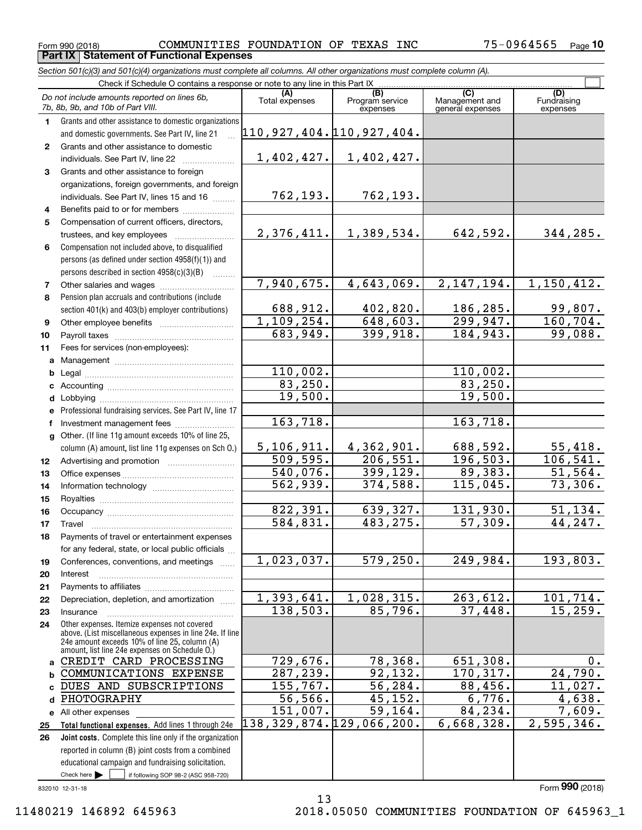**Part IX Statement of Functional Expenses**

<code>Form</code> 990 (2018) COMMUNITIES <code>FOUNDATION OF TEXAS INC</code> 75-0964565  $_{\sf Page}$ **10**

*Section 501(c)(3) and 501(c)(4) organizations must complete all columns. All other organizations must complete column (A).*

|                 | Check if Schedule O contains a response or note to any line in this Part IX                                    |                               |                                    |                                    |                         |  |  |  |
|-----------------|----------------------------------------------------------------------------------------------------------------|-------------------------------|------------------------------------|------------------------------------|-------------------------|--|--|--|
|                 | Do not include amounts reported on lines 6b,<br>7b, 8b, 9b, and 10b of Part VIII.                              | Total expenses                | (B)<br>Program service<br>expenses | Management and<br>general expenses | Fundraising<br>expenses |  |  |  |
| $\mathbf 1$     | Grants and other assistance to domestic organizations                                                          |                               |                                    |                                    |                         |  |  |  |
|                 | and domestic governments. See Part IV, line 21                                                                 | 110, 927, 404. 110, 927, 404. |                                    |                                    |                         |  |  |  |
| $\mathbf{2}$    | Grants and other assistance to domestic                                                                        |                               |                                    |                                    |                         |  |  |  |
|                 | individuals. See Part IV, line 22                                                                              | 1,402,427.                    | 1,402,427.                         |                                    |                         |  |  |  |
| 3               | Grants and other assistance to foreign                                                                         |                               |                                    |                                    |                         |  |  |  |
|                 | organizations, foreign governments, and foreign                                                                |                               |                                    |                                    |                         |  |  |  |
|                 | individuals. See Part IV, lines 15 and 16                                                                      | 762,193.                      | 762,193.                           |                                    |                         |  |  |  |
| 4               | Benefits paid to or for members                                                                                |                               |                                    |                                    |                         |  |  |  |
| 5               | Compensation of current officers, directors,                                                                   |                               |                                    |                                    |                         |  |  |  |
|                 | trustees, and key employees                                                                                    | 2,376,411.                    | 1,389,534.                         | 642,592.                           | 344,285.                |  |  |  |
| 6               | Compensation not included above, to disqualified                                                               |                               |                                    |                                    |                         |  |  |  |
|                 | persons (as defined under section 4958(f)(1)) and                                                              |                               |                                    |                                    |                         |  |  |  |
|                 | persons described in section 4958(c)(3)(B)                                                                     |                               |                                    |                                    |                         |  |  |  |
| 7               |                                                                                                                | 7,940,675.                    | 4,643,069.                         | 2, 147, 194.                       | 1,150,412.              |  |  |  |
| 8               | Pension plan accruals and contributions (include                                                               |                               |                                    |                                    |                         |  |  |  |
|                 | section 401(k) and 403(b) employer contributions)                                                              | 688,912.                      | 402,820.                           | 186,285.                           | 99,807.                 |  |  |  |
| 9               |                                                                                                                | 1,109,254.                    | 648,603.                           | 299,947.                           | 160, 704.               |  |  |  |
| 10              |                                                                                                                | 683,949.                      | 399,918.                           | 184,943.                           | 99,088.                 |  |  |  |
| 11              | Fees for services (non-employees):                                                                             |                               |                                    |                                    |                         |  |  |  |
|                 |                                                                                                                |                               |                                    |                                    |                         |  |  |  |
| b               |                                                                                                                | 110,002.                      |                                    | 110,002.                           |                         |  |  |  |
|                 |                                                                                                                | 83, 250.                      |                                    | 83, 250.                           |                         |  |  |  |
| d               |                                                                                                                | 19,500.                       |                                    | 19,500.                            |                         |  |  |  |
|                 | e Professional fundraising services. See Part IV, line 17                                                      |                               |                                    |                                    |                         |  |  |  |
|                 |                                                                                                                | 163,718.                      |                                    | 163,718.                           |                         |  |  |  |
|                 | g Other. (If line 11g amount exceeds 10% of line 25,                                                           |                               |                                    |                                    |                         |  |  |  |
|                 | column (A) amount, list line 11g expenses on Sch O.)                                                           | 5, 106, 911.                  | 4,362,901.                         | 688,592.                           | 55,418.                 |  |  |  |
| 12 <sup>°</sup> |                                                                                                                | 509,595.                      | $\overline{206,551}$ .             | 196,503.                           | 106, 541.               |  |  |  |
| 13              |                                                                                                                | 540,076.                      | 399,129.                           | 89,383.                            | 51,564.                 |  |  |  |
| 14              |                                                                                                                | $\overline{562,939}$ .        | 374,588.                           | 115,045.                           | 73,306.                 |  |  |  |
| 15              |                                                                                                                |                               |                                    |                                    |                         |  |  |  |
| 16              |                                                                                                                | 822,391.                      | 639,327.                           | 131,930.                           | 51, 134.                |  |  |  |
| 17              | Travel                                                                                                         | 584,831.                      | 483, 275.                          | 57,309.                            | 44,247.                 |  |  |  |
| 18              | Payments of travel or entertainment expenses                                                                   |                               |                                    |                                    |                         |  |  |  |
|                 | for any federal, state, or local public officials                                                              |                               |                                    |                                    |                         |  |  |  |
| 19              | Conferences, conventions, and meetings                                                                         | 1,023,037.                    | 579, 250.                          | 249,984.                           | 193,803.                |  |  |  |
| 20              | Interest                                                                                                       |                               |                                    |                                    |                         |  |  |  |
| 21              |                                                                                                                |                               |                                    |                                    |                         |  |  |  |
| 22              | Depreciation, depletion, and amortization                                                                      | 1,393,641.                    | 1,028,315.                         | 263,612.                           | 101, 714.               |  |  |  |
| 23              | Insurance                                                                                                      | 138,503.                      | 85,796.                            | 37,448.                            | 15, 259.                |  |  |  |
| 24              | Other expenses. Itemize expenses not covered<br>above. (List miscellaneous expenses in line 24e. If line       |                               |                                    |                                    |                         |  |  |  |
|                 | 24e amount exceeds 10% of line 25, column (A)                                                                  |                               |                                    |                                    |                         |  |  |  |
|                 | amount, list line 24e expenses on Schedule O.)<br>CREDIT CARD PROCESSING                                       | 729,676.                      | 78,368.                            | 651,308.                           | $0$ .                   |  |  |  |
| a               | COMMUNICATIONS EXPENSE                                                                                         |                               |                                    | 170, 317.                          | 24,790.                 |  |  |  |
| b               | DUES AND SUBSCRIPTIONS                                                                                         | 287,239.<br>155,767.          | 92,132.<br>56,284.                 | 88,456.                            | 11,027.                 |  |  |  |
| c               | PHOTOGRAPHY                                                                                                    | 56,566.                       | 45,152.                            | 6,776.                             | 4,638.                  |  |  |  |
| d               |                                                                                                                | 151,007.                      | 59,164.                            | 84,234.                            | 7,609.                  |  |  |  |
|                 | e All other expenses                                                                                           | 138,329,874.129,066,200.      |                                    | 6,668,328.                         | 2,595,346.              |  |  |  |
| 25              | Total functional expenses. Add lines 1 through 24e                                                             |                               |                                    |                                    |                         |  |  |  |
| 26              | Joint costs. Complete this line only if the organization<br>reported in column (B) joint costs from a combined |                               |                                    |                                    |                         |  |  |  |
|                 | educational campaign and fundraising solicitation.                                                             |                               |                                    |                                    |                         |  |  |  |
|                 | Check here $\blacktriangleright$<br>if following SOP 98-2 (ASC 958-720)                                        |                               |                                    |                                    |                         |  |  |  |
|                 |                                                                                                                |                               |                                    |                                    |                         |  |  |  |

13

832010 12-31-18

Form (2018) **990**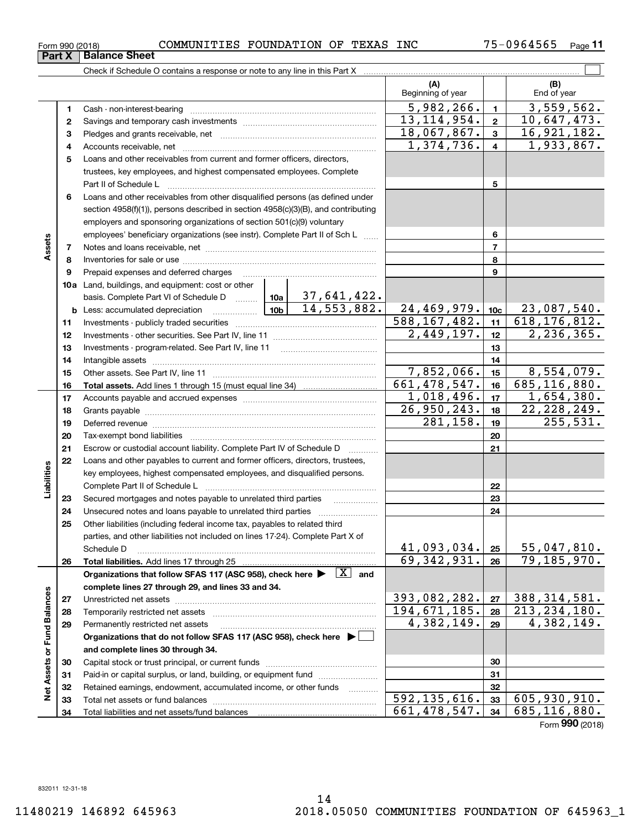| Part X          | <b>Balance Sheet</b> |             |            |    |       |            |                                      |      |
|-----------------|----------------------|-------------|------------|----|-------|------------|--------------------------------------|------|
| Form 990 (2018) |                      | COMMUNITIES | FOUNDATION | OF | TEXAS | <b>INC</b> | $\mathbf{A} - \mathbf{B}$<br>1964565 | Page |

 $\overline{\phantom{0}}$ 

|                             |    | Check if Schedule O contains a response or note to any line in this Part X                                                                                                                                                           |                             |                                               |                              |                |                              |
|-----------------------------|----|--------------------------------------------------------------------------------------------------------------------------------------------------------------------------------------------------------------------------------------|-----------------------------|-----------------------------------------------|------------------------------|----------------|------------------------------|
|                             |    |                                                                                                                                                                                                                                      |                             |                                               | (A)<br>Beginning of year     |                | (B)<br>End of year           |
|                             | 1  |                                                                                                                                                                                                                                      |                             |                                               | 5,982,266.                   | $\mathbf{1}$   | $\overline{3}$ , 559, 562.   |
|                             | 2  |                                                                                                                                                                                                                                      |                             |                                               | 13, 114, 954.                | $\mathbf{2}$   | 10,647,473.                  |
|                             | з  |                                                                                                                                                                                                                                      |                             |                                               | 18,067,867.                  | $\mathbf{3}$   | 16,921,182.                  |
|                             | 4  |                                                                                                                                                                                                                                      |                             |                                               | $\overline{1}$ , 374, 736.   | $\overline{4}$ | 1,933,867.                   |
|                             | 5  | Loans and other receivables from current and former officers, directors,                                                                                                                                                             |                             |                                               |                              |                |                              |
|                             |    | trustees, key employees, and highest compensated employees. Complete                                                                                                                                                                 |                             |                                               |                              |                |                              |
|                             |    | Part II of Schedule L                                                                                                                                                                                                                |                             |                                               |                              | 5              |                              |
|                             | 6  | Loans and other receivables from other disqualified persons (as defined under                                                                                                                                                        |                             |                                               |                              |                |                              |
|                             |    | section 4958(f)(1)), persons described in section 4958(c)(3)(B), and contributing                                                                                                                                                    |                             |                                               |                              |                |                              |
|                             |    | employers and sponsoring organizations of section 501(c)(9) voluntary                                                                                                                                                                |                             |                                               |                              |                |                              |
|                             |    | employees' beneficiary organizations (see instr). Complete Part II of Sch L                                                                                                                                                          |                             | 6                                             |                              |                |                              |
| Assets                      | 7  |                                                                                                                                                                                                                                      |                             |                                               | $\overline{7}$               |                |                              |
|                             | 8  |                                                                                                                                                                                                                                      |                             |                                               |                              | 8              |                              |
|                             | 9  |                                                                                                                                                                                                                                      |                             |                                               |                              | 9              |                              |
|                             |    | <b>10a</b> Land, buildings, and equipment: cost or other                                                                                                                                                                             |                             |                                               |                              |                |                              |
|                             |    | basis. Complete Part VI of Schedule D    10a   37,641,422.                                                                                                                                                                           |                             |                                               |                              |                |                              |
|                             |    |                                                                                                                                                                                                                                      |                             | 14, 553, 882.                                 | 24,469,979.                  | 10c            | 23,087,540.                  |
|                             | 11 |                                                                                                                                                                                                                                      | $\overline{588, 167, 482.}$ | 11                                            | 618, 176, 812.               |                |                              |
|                             | 12 |                                                                                                                                                                                                                                      | $\overline{2,449,197}$ .    | 12 <sup>12</sup>                              | 2, 236, 365.                 |                |                              |
|                             | 13 |                                                                                                                                                                                                                                      |                             | 13                                            |                              |                |                              |
|                             | 14 |                                                                                                                                                                                                                                      |                             | 14                                            |                              |                |                              |
|                             | 15 |                                                                                                                                                                                                                                      |                             |                                               | 7,852,066.                   | 15             | 8,554,079.                   |
|                             | 16 |                                                                                                                                                                                                                                      |                             |                                               | $\overline{661, 478, 547}$ . | 16             | $\overline{685}$ , 116, 880. |
|                             | 17 |                                                                                                                                                                                                                                      | $\overline{1}$ , 018, 496.  | 17 <sub>1</sub>                               | 1,654,380.                   |                |                              |
|                             | 18 |                                                                                                                                                                                                                                      | 26,950,243.                 | 18                                            | 22, 228, 249.                |                |                              |
|                             | 19 | Deferred revenue <b>contract and the contract of the contract of the contract of the contract of the contract of the contract of the contract of the contract of the contract of the contract of the contract of the contract of</b> |                             |                                               | 281,158.                     | 19             | 255,531.                     |
|                             | 20 |                                                                                                                                                                                                                                      |                             |                                               |                              | 20             |                              |
|                             | 21 | Escrow or custodial account liability. Complete Part IV of Schedule D                                                                                                                                                                |                             | $\mathcal{L}$ . The contract of $\mathcal{L}$ |                              | 21             |                              |
|                             | 22 | Loans and other payables to current and former officers, directors, trustees,<br>key employees, highest compensated employees, and disqualified persons.                                                                             |                             |                                               |                              |                |                              |
| Liabilities                 |    |                                                                                                                                                                                                                                      |                             |                                               |                              | 22             |                              |
|                             | 23 | Secured mortgages and notes payable to unrelated third parties                                                                                                                                                                       |                             |                                               |                              | 23             |                              |
|                             | 24 |                                                                                                                                                                                                                                      |                             |                                               |                              | 24             |                              |
|                             | 25 | Other liabilities (including federal income tax, payables to related third                                                                                                                                                           |                             |                                               |                              |                |                              |
|                             |    | parties, and other liabilities not included on lines 17-24). Complete Part X of                                                                                                                                                      |                             |                                               |                              |                |                              |
|                             |    | Schedule D                                                                                                                                                                                                                           |                             |                                               | 41,093,034.                  | 25             | 55,047,810.                  |
|                             | 26 | Total liabilities. Add lines 17 through 25                                                                                                                                                                                           |                             |                                               | $\overline{69}$ , 342, 931.  | 26             | 79,185,970.                  |
|                             |    | Organizations that follow SFAS 117 (ASC 958), check here $\blacktriangleright \begin{array}{c} \boxed{X} \end{array}$ and                                                                                                            |                             |                                               |                              |                |                              |
|                             |    | complete lines 27 through 29, and lines 33 and 34.                                                                                                                                                                                   |                             |                                               |                              |                |                              |
|                             | 27 |                                                                                                                                                                                                                                      |                             |                                               | 393,082,282.                 | 27             | 388, 314, 581.               |
|                             | 28 | Temporarily restricted net assets                                                                                                                                                                                                    |                             |                                               | 194,671,185.                 | 28             | 213, 234, 180.               |
|                             | 29 | Permanently restricted net assets                                                                                                                                                                                                    |                             |                                               | $\overline{4}$ , 382, 149.   | 29             | 4,382,149.                   |
| Net Assets or Fund Balances |    | Organizations that do not follow SFAS 117 (ASC 958), check here ▶ │                                                                                                                                                                  |                             |                                               |                              |                |                              |
|                             |    | and complete lines 30 through 34.                                                                                                                                                                                                    |                             |                                               |                              |                |                              |
|                             | 30 |                                                                                                                                                                                                                                      |                             |                                               |                              | 30             |                              |
|                             | 31 |                                                                                                                                                                                                                                      |                             |                                               |                              | 31             |                              |
|                             | 32 | Retained earnings, endowment, accumulated income, or other funds                                                                                                                                                                     |                             | 1.1.1.1.1.1.1.1.1                             |                              | 32             |                              |
|                             | 33 |                                                                                                                                                                                                                                      |                             |                                               | 592, 135, 616.               | 33             | 605,930,910.                 |
|                             | 34 |                                                                                                                                                                                                                                      |                             |                                               | 661, 478, 547.               | 34             | 685,116,880.                 |

Form (2018) **990**

| Form 990 (2018) |                               | <b>COMM</b> |
|-----------------|-------------------------------|-------------|
|                 | <b>Part X   Balance Sheet</b> |             |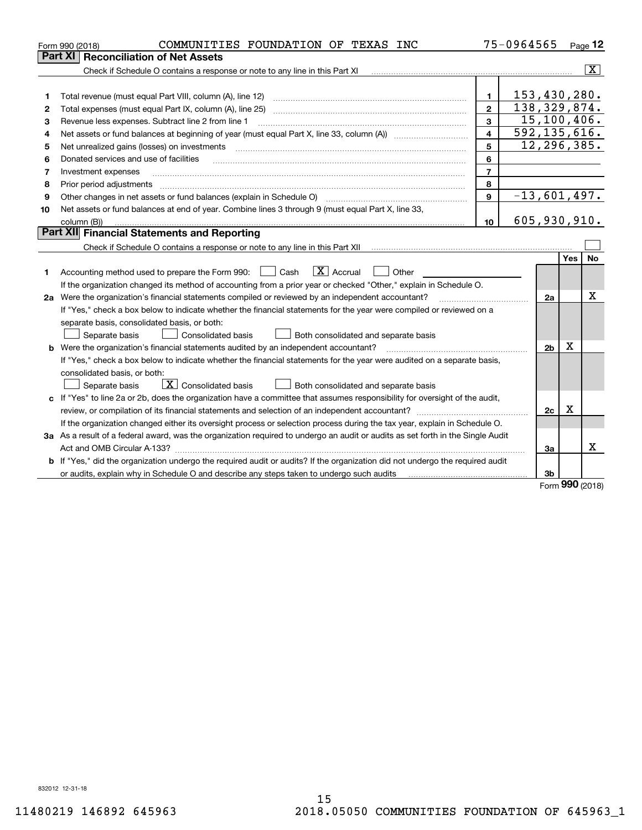|         | COMMUNITIES FOUNDATION OF TEXAS INC<br>Form 990 (2018)                                                                          |                 | 75-0964565     |                |     | Page $12$               |  |  |  |
|---------|---------------------------------------------------------------------------------------------------------------------------------|-----------------|----------------|----------------|-----|-------------------------|--|--|--|
| Part XI | <b>Reconciliation of Net Assets</b>                                                                                             |                 |                |                |     |                         |  |  |  |
|         | Check if Schedule O contains a response or note to any line in this Part XI                                                     |                 |                |                |     | $\overline{\mathbf{x}}$ |  |  |  |
|         |                                                                                                                                 |                 |                |                |     |                         |  |  |  |
| 1       |                                                                                                                                 | 1               | 153, 430, 280. |                |     |                         |  |  |  |
| 2       | Total expenses (must equal Part IX, column (A), line 25)                                                                        | $\mathbf{2}$    | 138,329,874.   |                |     |                         |  |  |  |
| 3       | Revenue less expenses. Subtract line 2 from line 1                                                                              | $\overline{3}$  |                | 15, 100, 406.  |     |                         |  |  |  |
| 4       | 592, 135, 616.<br>$\overline{\mathbf{A}}$                                                                                       |                 |                |                |     |                         |  |  |  |
| 5       | Net unrealized gains (losses) on investments                                                                                    | 5               |                | 12,296,385.    |     |                         |  |  |  |
| 6       | Donated services and use of facilities                                                                                          | 6               |                |                |     |                         |  |  |  |
| 7       | Investment expenses                                                                                                             | $\overline{7}$  |                |                |     |                         |  |  |  |
| 8       | Prior period adjustments                                                                                                        | 8               |                |                |     |                         |  |  |  |
| 9       | Other changes in net assets or fund balances (explain in Schedule O)                                                            | 9               | $-13,601,497.$ |                |     |                         |  |  |  |
| 10      | Net assets or fund balances at end of year. Combine lines 3 through 9 (must equal Part X, line 33,                              |                 |                |                |     |                         |  |  |  |
|         | column (B))                                                                                                                     | 10 <sup>1</sup> | 605,930,910.   |                |     |                         |  |  |  |
|         | Part XII Financial Statements and Reporting                                                                                     |                 |                |                |     |                         |  |  |  |
|         |                                                                                                                                 |                 |                |                |     |                         |  |  |  |
|         |                                                                                                                                 |                 |                |                | Yes | No                      |  |  |  |
| 1       | $\boxed{\text{X}}$ Accrual<br>Accounting method used to prepare the Form 990: <u>June</u> Cash<br>Other                         |                 |                |                |     |                         |  |  |  |
|         | If the organization changed its method of accounting from a prior year or checked "Other," explain in Schedule O.               |                 |                |                |     |                         |  |  |  |
|         | 2a Were the organization's financial statements compiled or reviewed by an independent accountant?                              |                 |                | 2a             |     | x                       |  |  |  |
|         | If "Yes," check a box below to indicate whether the financial statements for the year were compiled or reviewed on a            |                 |                |                |     |                         |  |  |  |
|         | separate basis, consolidated basis, or both:                                                                                    |                 |                |                |     |                         |  |  |  |
|         | Separate basis<br><b>Consolidated basis</b><br>Both consolidated and separate basis                                             |                 |                |                |     |                         |  |  |  |
|         | <b>b</b> Were the organization's financial statements audited by an independent accountant?                                     |                 |                | 2 <sub>b</sub> | X   |                         |  |  |  |
|         | If "Yes," check a box below to indicate whether the financial statements for the year were audited on a separate basis,         |                 |                |                |     |                         |  |  |  |
|         | consolidated basis, or both:                                                                                                    |                 |                |                |     |                         |  |  |  |
|         | $\boxed{\text{X}}$ Consolidated basis<br>Separate basis<br>Both consolidated and separate basis                                 |                 |                |                |     |                         |  |  |  |
|         | c If "Yes" to line 2a or 2b, does the organization have a committee that assumes responsibility for oversight of the audit,     |                 |                |                |     |                         |  |  |  |
|         |                                                                                                                                 |                 |                | 2c             | х   |                         |  |  |  |
|         | If the organization changed either its oversight process or selection process during the tax year, explain in Schedule O.       |                 |                |                |     |                         |  |  |  |
|         | 3a As a result of a federal award, was the organization required to undergo an audit or audits as set forth in the Single Audit |                 |                |                |     |                         |  |  |  |
|         |                                                                                                                                 |                 |                | За             |     | x                       |  |  |  |
|         | b If "Yes," did the organization undergo the required audit or audits? If the organization did not undergo the required audit   |                 |                |                |     |                         |  |  |  |
|         | or audits, explain why in Schedule O and describe any steps taken to undergo such audits [11] connection-connection-            |                 |                | 3b             | 000 |                         |  |  |  |

Form (2018) **990**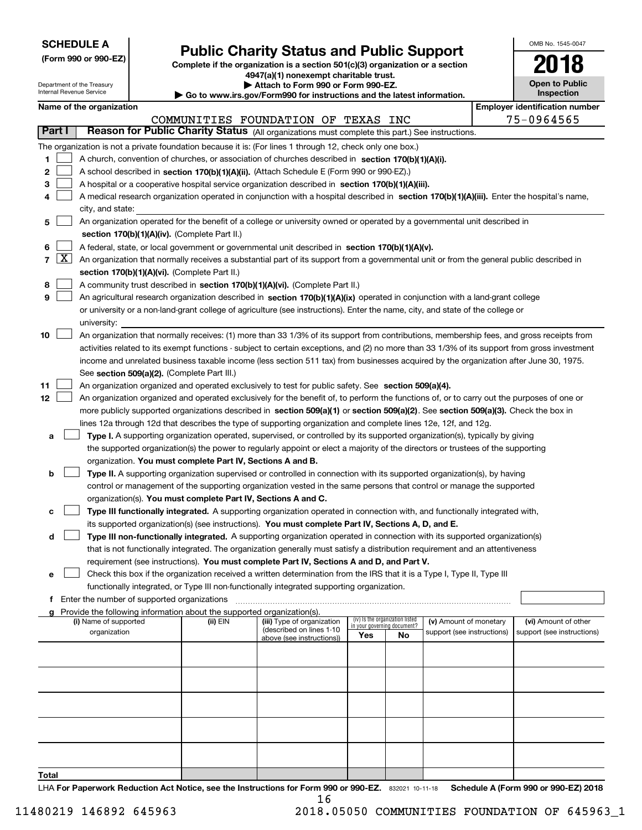| <b>SCHEDULE A</b> |
|-------------------|
|-------------------|

**(Form 990 or 990-EZ)**

# **Public Charity Status and Public Support**

**Complete if the organization is a section 501(c)(3) organization or a section 4947(a)(1) nonexempt charitable trust. | Attach to Form 990 or Form 990-EZ.** 

| OMB No 1545-0047                    |
|-------------------------------------|
| 2018                                |
| <b>Open to Public</b><br>Inspection |

|        |            | Department of the Treasury<br>Internal Revenue Service                                                                                    |                                                      | Attach to Form 990 or Form 990-EZ.<br>Go to www.irs.gov/Form990 for instructions and the latest information. |                                                                                                                                               | <b>Open to Public</b><br>Inspection |                                 |                            |  |                                       |  |  |  |
|--------|------------|-------------------------------------------------------------------------------------------------------------------------------------------|------------------------------------------------------|--------------------------------------------------------------------------------------------------------------|-----------------------------------------------------------------------------------------------------------------------------------------------|-------------------------------------|---------------------------------|----------------------------|--|---------------------------------------|--|--|--|
|        |            | Name of the organization                                                                                                                  |                                                      |                                                                                                              |                                                                                                                                               |                                     |                                 |                            |  | <b>Employer identification number</b> |  |  |  |
|        |            |                                                                                                                                           |                                                      |                                                                                                              | COMMUNITIES FOUNDATION OF TEXAS INC                                                                                                           |                                     |                                 |                            |  | 75-0964565                            |  |  |  |
| Part I |            |                                                                                                                                           |                                                      |                                                                                                              | Reason for Public Charity Status (All organizations must complete this part.) See instructions.                                               |                                     |                                 |                            |  |                                       |  |  |  |
|        |            |                                                                                                                                           |                                                      |                                                                                                              | The organization is not a private foundation because it is: (For lines 1 through 12, check only one box.)                                     |                                     |                                 |                            |  |                                       |  |  |  |
|        |            |                                                                                                                                           |                                                      |                                                                                                              |                                                                                                                                               |                                     |                                 |                            |  |                                       |  |  |  |
| 1      |            |                                                                                                                                           |                                                      |                                                                                                              | A church, convention of churches, or association of churches described in section 170(b)(1)(A)(i).                                            |                                     |                                 |                            |  |                                       |  |  |  |
| 2      |            |                                                                                                                                           |                                                      |                                                                                                              | A school described in section 170(b)(1)(A)(ii). (Attach Schedule E (Form 990 or 990-EZ).)                                                     |                                     |                                 |                            |  |                                       |  |  |  |
| з      |            |                                                                                                                                           |                                                      |                                                                                                              | A hospital or a cooperative hospital service organization described in section 170(b)(1)(A)(iii).                                             |                                     |                                 |                            |  |                                       |  |  |  |
| 4      |            |                                                                                                                                           |                                                      |                                                                                                              | A medical research organization operated in conjunction with a hospital described in section 170(b)(1)(A)(iii). Enter the hospital's name,    |                                     |                                 |                            |  |                                       |  |  |  |
|        |            | city, and state:                                                                                                                          |                                                      |                                                                                                              |                                                                                                                                               |                                     |                                 |                            |  |                                       |  |  |  |
| 5      |            |                                                                                                                                           |                                                      |                                                                                                              | An organization operated for the benefit of a college or university owned or operated by a governmental unit described in                     |                                     |                                 |                            |  |                                       |  |  |  |
|        |            |                                                                                                                                           |                                                      | section 170(b)(1)(A)(iv). (Complete Part II.)                                                                |                                                                                                                                               |                                     |                                 |                            |  |                                       |  |  |  |
| 6      |            |                                                                                                                                           |                                                      |                                                                                                              | A federal, state, or local government or governmental unit described in section 170(b)(1)(A)(v).                                              |                                     |                                 |                            |  |                                       |  |  |  |
|        | $7 \times$ | An organization that normally receives a substantial part of its support from a governmental unit or from the general public described in |                                                      |                                                                                                              |                                                                                                                                               |                                     |                                 |                            |  |                                       |  |  |  |
|        |            | section 170(b)(1)(A)(vi). (Complete Part II.)                                                                                             |                                                      |                                                                                                              |                                                                                                                                               |                                     |                                 |                            |  |                                       |  |  |  |
| 8      |            |                                                                                                                                           |                                                      |                                                                                                              | A community trust described in section 170(b)(1)(A)(vi). (Complete Part II.)                                                                  |                                     |                                 |                            |  |                                       |  |  |  |
| 9      |            |                                                                                                                                           |                                                      |                                                                                                              | An agricultural research organization described in section 170(b)(1)(A)(ix) operated in conjunction with a land-grant college                 |                                     |                                 |                            |  |                                       |  |  |  |
|        |            |                                                                                                                                           |                                                      |                                                                                                              | or university or a non-land-grant college of agriculture (see instructions). Enter the name, city, and state of the college or                |                                     |                                 |                            |  |                                       |  |  |  |
|        |            | university:                                                                                                                               |                                                      |                                                                                                              |                                                                                                                                               |                                     |                                 |                            |  |                                       |  |  |  |
| 10     |            |                                                                                                                                           |                                                      |                                                                                                              | An organization that normally receives: (1) more than 33 1/3% of its support from contributions, membership fees, and gross receipts from     |                                     |                                 |                            |  |                                       |  |  |  |
|        |            |                                                                                                                                           |                                                      |                                                                                                              | activities related to its exempt functions - subject to certain exceptions, and (2) no more than 33 1/3% of its support from gross investment |                                     |                                 |                            |  |                                       |  |  |  |
|        |            |                                                                                                                                           |                                                      |                                                                                                              | income and unrelated business taxable income (less section 511 tax) from businesses acquired by the organization after June 30, 1975.         |                                     |                                 |                            |  |                                       |  |  |  |
|        |            | See section 509(a)(2). (Complete Part III.)                                                                                               |                                                      |                                                                                                              |                                                                                                                                               |                                     |                                 |                            |  |                                       |  |  |  |
| 11     |            |                                                                                                                                           |                                                      |                                                                                                              | An organization organized and operated exclusively to test for public safety. See section 509(a)(4).                                          |                                     |                                 |                            |  |                                       |  |  |  |
| 12     |            |                                                                                                                                           |                                                      |                                                                                                              | An organization organized and operated exclusively for the benefit of, to perform the functions of, or to carry out the purposes of one or    |                                     |                                 |                            |  |                                       |  |  |  |
|        |            |                                                                                                                                           |                                                      |                                                                                                              | more publicly supported organizations described in section 509(a)(1) or section 509(a)(2). See section 509(a)(3). Check the box in            |                                     |                                 |                            |  |                                       |  |  |  |
|        |            |                                                                                                                                           |                                                      |                                                                                                              | lines 12a through 12d that describes the type of supporting organization and complete lines 12e, 12f, and 12g.                                |                                     |                                 |                            |  |                                       |  |  |  |
| а      |            |                                                                                                                                           |                                                      |                                                                                                              | Type I. A supporting organization operated, supervised, or controlled by its supported organization(s), typically by giving                   |                                     |                                 |                            |  |                                       |  |  |  |
|        |            |                                                                                                                                           |                                                      |                                                                                                              | the supported organization(s) the power to regularly appoint or elect a majority of the directors or trustees of the supporting               |                                     |                                 |                            |  |                                       |  |  |  |
|        |            |                                                                                                                                           |                                                      | organization. You must complete Part IV, Sections A and B.                                                   |                                                                                                                                               |                                     |                                 |                            |  |                                       |  |  |  |
| b      |            |                                                                                                                                           |                                                      |                                                                                                              | Type II. A supporting organization supervised or controlled in connection with its supported organization(s), by having                       |                                     |                                 |                            |  |                                       |  |  |  |
|        |            |                                                                                                                                           |                                                      |                                                                                                              | control or management of the supporting organization vested in the same persons that control or manage the supported                          |                                     |                                 |                            |  |                                       |  |  |  |
|        |            |                                                                                                                                           |                                                      |                                                                                                              | organization(s). You must complete Part IV, Sections A and C.                                                                                 |                                     |                                 |                            |  |                                       |  |  |  |
| с      |            |                                                                                                                                           |                                                      |                                                                                                              | Type III functionally integrated. A supporting organization operated in connection with, and functionally integrated with,                    |                                     |                                 |                            |  |                                       |  |  |  |
|        |            |                                                                                                                                           |                                                      |                                                                                                              | its supported organization(s) (see instructions). You must complete Part IV, Sections A, D, and E.                                            |                                     |                                 |                            |  |                                       |  |  |  |
| d      |            |                                                                                                                                           |                                                      |                                                                                                              | Type III non-functionally integrated. A supporting organization operated in connection with its supported organization(s)                     |                                     |                                 |                            |  |                                       |  |  |  |
|        |            |                                                                                                                                           |                                                      |                                                                                                              | that is not functionally integrated. The organization generally must satisfy a distribution requirement and an attentiveness                  |                                     |                                 |                            |  |                                       |  |  |  |
|        |            |                                                                                                                                           |                                                      |                                                                                                              | requirement (see instructions). You must complete Part IV, Sections A and D, and Part V.                                                      |                                     |                                 |                            |  |                                       |  |  |  |
| е      |            |                                                                                                                                           |                                                      |                                                                                                              | Check this box if the organization received a written determination from the IRS that it is a Type I, Type II, Type III                       |                                     |                                 |                            |  |                                       |  |  |  |
|        |            |                                                                                                                                           |                                                      |                                                                                                              | functionally integrated, or Type III non-functionally integrated supporting organization.                                                     |                                     |                                 |                            |  |                                       |  |  |  |
|        |            |                                                                                                                                           | <b>f</b> Enter the number of supported organizations |                                                                                                              |                                                                                                                                               |                                     |                                 |                            |  |                                       |  |  |  |
|        |            | (i) Name of supported                                                                                                                     |                                                      | (ii) EIN                                                                                                     | Provide the following information about the supported organization(s).<br>(iii) Type of organization                                          |                                     | (iv) Is the organization listed | (v) Amount of monetary     |  | (vi) Amount of other                  |  |  |  |
|        |            | organization                                                                                                                              |                                                      |                                                                                                              | (described on lines 1-10                                                                                                                      |                                     | in your governing document?     | support (see instructions) |  | support (see instructions)            |  |  |  |
|        |            |                                                                                                                                           |                                                      |                                                                                                              | above (see instructions))                                                                                                                     | Yes                                 | No                              |                            |  |                                       |  |  |  |
|        |            |                                                                                                                                           |                                                      |                                                                                                              |                                                                                                                                               |                                     |                                 |                            |  |                                       |  |  |  |
|        |            |                                                                                                                                           |                                                      |                                                                                                              |                                                                                                                                               |                                     |                                 |                            |  |                                       |  |  |  |
|        |            |                                                                                                                                           |                                                      |                                                                                                              |                                                                                                                                               |                                     |                                 |                            |  |                                       |  |  |  |
|        |            |                                                                                                                                           |                                                      |                                                                                                              |                                                                                                                                               |                                     |                                 |                            |  |                                       |  |  |  |
|        |            |                                                                                                                                           |                                                      |                                                                                                              |                                                                                                                                               |                                     |                                 |                            |  |                                       |  |  |  |
|        |            |                                                                                                                                           |                                                      |                                                                                                              |                                                                                                                                               |                                     |                                 |                            |  |                                       |  |  |  |
|        |            |                                                                                                                                           |                                                      |                                                                                                              |                                                                                                                                               |                                     |                                 |                            |  |                                       |  |  |  |
|        |            |                                                                                                                                           |                                                      |                                                                                                              |                                                                                                                                               |                                     |                                 |                            |  |                                       |  |  |  |
|        |            |                                                                                                                                           |                                                      |                                                                                                              |                                                                                                                                               |                                     |                                 |                            |  |                                       |  |  |  |
|        |            |                                                                                                                                           |                                                      |                                                                                                              |                                                                                                                                               |                                     |                                 |                            |  |                                       |  |  |  |

**Total**

LHA For Paperwork Reduction Act Notice, see the Instructions for Form 990 or 990-EZ. 832021 10-11-18 Schedule A (Form 990 or 990-EZ) 2018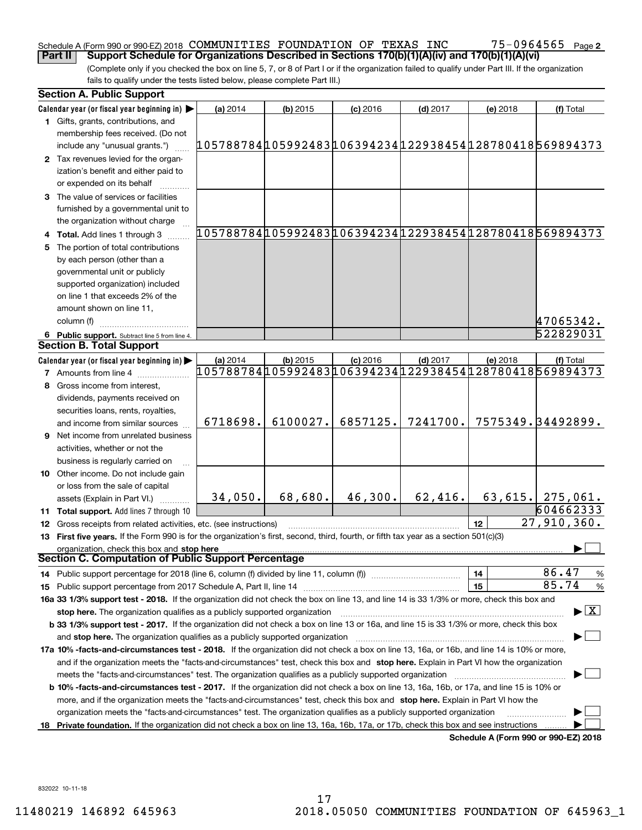#### Schedule A (Form 990 or 990-EZ) 2018 Page COMMUNITIES FOUNDATION OF TEXAS INC 75-0964565 **Part II Support Schedule for Organizations Described in Sections 170(b)(1)(A)(iv) and 170(b)(1)(A)(vi)**

75-0964565 <sub>Page 2</sub>

(Complete only if you checked the box on line 5, 7, or 8 of Part I or if the organization failed to qualify under Part III. If the organization fails to qualify under the tests listed below, please complete Part III.)

| <b>Section A. Public Support</b>                                                                                                                                                                                                                                                                                                   |                                                        |            |                                                                      |            |                                      |                                                        |
|------------------------------------------------------------------------------------------------------------------------------------------------------------------------------------------------------------------------------------------------------------------------------------------------------------------------------------|--------------------------------------------------------|------------|----------------------------------------------------------------------|------------|--------------------------------------|--------------------------------------------------------|
| Calendar year (or fiscal year beginning in)                                                                                                                                                                                                                                                                                        | (a) 2014                                               | $(b)$ 2015 | $(c)$ 2016                                                           | $(d)$ 2017 | (e) 2018                             | (f) Total                                              |
| 1 Gifts, grants, contributions, and<br>membership fees received. (Do not                                                                                                                                                                                                                                                           |                                                        |            |                                                                      |            |                                      |                                                        |
| include any "unusual grants.")                                                                                                                                                                                                                                                                                                     | 105788784105992483106394234122938454128780418569894373 |            |                                                                      |            |                                      |                                                        |
| 2 Tax revenues levied for the organ-<br>ization's benefit and either paid to<br>or expended on its behalf                                                                                                                                                                                                                          |                                                        |            |                                                                      |            |                                      |                                                        |
| 3 The value of services or facilities<br>furnished by a governmental unit to<br>the organization without charge                                                                                                                                                                                                                    |                                                        |            |                                                                      |            |                                      |                                                        |
| 4 Total. Add lines 1 through 3                                                                                                                                                                                                                                                                                                     |                                                        |            |                                                                      |            |                                      | 105788784105992483106394234122938454128780418569894373 |
| 5 The portion of total contributions                                                                                                                                                                                                                                                                                               |                                                        |            |                                                                      |            |                                      |                                                        |
| by each person (other than a                                                                                                                                                                                                                                                                                                       |                                                        |            |                                                                      |            |                                      |                                                        |
| governmental unit or publicly                                                                                                                                                                                                                                                                                                      |                                                        |            |                                                                      |            |                                      |                                                        |
| supported organization) included                                                                                                                                                                                                                                                                                                   |                                                        |            |                                                                      |            |                                      |                                                        |
| on line 1 that exceeds 2% of the                                                                                                                                                                                                                                                                                                   |                                                        |            |                                                                      |            |                                      |                                                        |
| amount shown on line 11,                                                                                                                                                                                                                                                                                                           |                                                        |            |                                                                      |            |                                      |                                                        |
| column (f)                                                                                                                                                                                                                                                                                                                         |                                                        |            |                                                                      |            |                                      | 47065342.                                              |
|                                                                                                                                                                                                                                                                                                                                    |                                                        |            |                                                                      |            |                                      | 522829031                                              |
| 6 Public support. Subtract line 5 from line 4.<br><b>Section B. Total Support</b>                                                                                                                                                                                                                                                  |                                                        |            |                                                                      |            |                                      |                                                        |
|                                                                                                                                                                                                                                                                                                                                    | (a) 2014                                               |            |                                                                      |            |                                      |                                                        |
| Calendar year (or fiscal year beginning in)<br><b>7</b> Amounts from line 4                                                                                                                                                                                                                                                        |                                                        | $(b)$ 2015 | $(c)$ 2016<br>105788784105992483106394234122938454128780418569894373 | $(d)$ 2017 | (e) 2018                             | (f) Total                                              |
| 8 Gross income from interest,                                                                                                                                                                                                                                                                                                      |                                                        |            |                                                                      |            |                                      |                                                        |
|                                                                                                                                                                                                                                                                                                                                    |                                                        |            |                                                                      |            |                                      |                                                        |
| dividends, payments received on                                                                                                                                                                                                                                                                                                    |                                                        |            |                                                                      |            |                                      |                                                        |
| securities loans, rents, royalties,                                                                                                                                                                                                                                                                                                | 6718698.                                               | 6100027.   | 6857125.                                                             | 7241700.   |                                      | 7575349. 34492899.                                     |
| and income from similar sources                                                                                                                                                                                                                                                                                                    |                                                        |            |                                                                      |            |                                      |                                                        |
| <b>9</b> Net income from unrelated business                                                                                                                                                                                                                                                                                        |                                                        |            |                                                                      |            |                                      |                                                        |
| activities, whether or not the                                                                                                                                                                                                                                                                                                     |                                                        |            |                                                                      |            |                                      |                                                        |
| business is regularly carried on                                                                                                                                                                                                                                                                                                   |                                                        |            |                                                                      |            |                                      |                                                        |
| <b>10</b> Other income. Do not include gain                                                                                                                                                                                                                                                                                        |                                                        |            |                                                                      |            |                                      |                                                        |
| or loss from the sale of capital                                                                                                                                                                                                                                                                                                   |                                                        | 68,680.    | 46,300.                                                              | 62,416.    |                                      |                                                        |
| assets (Explain in Part VI.)                                                                                                                                                                                                                                                                                                       | 34,050.                                                |            |                                                                      |            |                                      | $63, 615.$ 275,061.<br>604662333                       |
| <b>11 Total support.</b> Add lines 7 through 10                                                                                                                                                                                                                                                                                    |                                                        |            |                                                                      |            |                                      | 27,910,360.                                            |
| 12 Gross receipts from related activities, etc. (see instructions)                                                                                                                                                                                                                                                                 |                                                        |            |                                                                      |            | 12                                   |                                                        |
| 13 First five years. If the Form 990 is for the organization's first, second, third, fourth, or fifth tax year as a section 501(c)(3)                                                                                                                                                                                              |                                                        |            |                                                                      |            |                                      |                                                        |
| organization, check this box and stop here<br>Section C. Computation of Public Support Percentage                                                                                                                                                                                                                                  |                                                        |            |                                                                      |            |                                      |                                                        |
|                                                                                                                                                                                                                                                                                                                                    |                                                        |            |                                                                      |            | 14                                   | 86.47<br>%                                             |
| 14 Public support percentage for 2018 (line 6, column (f) divided by line 11, column (f) <i></i><br>15 Public support percentage from 2017 Schedule A, Part II, line 14 [11] [11] manument continuum manument of Public support percentage from 2017 Schedule A, Part II, line 14 [11] manument continuum manument of Public suppo |                                                        |            |                                                                      |            | 15                                   | 85.74<br>$\%$                                          |
| 16a 33 1/3% support test - 2018. If the organization did not check the box on line 13, and line 14 is 33 1/3% or more, check this box and                                                                                                                                                                                          |                                                        |            |                                                                      |            |                                      |                                                        |
| stop here. The organization qualifies as a publicly supported organization                                                                                                                                                                                                                                                         |                                                        |            |                                                                      |            |                                      | $\blacktriangleright$ $\boxed{\text{X}}$               |
| b 33 1/3% support test - 2017. If the organization did not check a box on line 13 or 16a, and line 15 is 33 1/3% or more, check this box                                                                                                                                                                                           |                                                        |            |                                                                      |            |                                      |                                                        |
| and stop here. The organization qualifies as a publicly supported organization manufaction manufacture manufacture manufacture manufacture manufacture manufacture manufacture manufacture manufacture manufacture manufacture                                                                                                     |                                                        |            |                                                                      |            |                                      |                                                        |
| 17a 10% -facts-and-circumstances test - 2018. If the organization did not check a box on line 13, 16a, or 16b, and line 14 is 10% or more,                                                                                                                                                                                         |                                                        |            |                                                                      |            |                                      |                                                        |
| and if the organization meets the "facts-and-circumstances" test, check this box and stop here. Explain in Part VI how the organization                                                                                                                                                                                            |                                                        |            |                                                                      |            |                                      |                                                        |
|                                                                                                                                                                                                                                                                                                                                    |                                                        |            |                                                                      |            |                                      |                                                        |
|                                                                                                                                                                                                                                                                                                                                    |                                                        |            |                                                                      |            |                                      |                                                        |
| <b>b 10% -facts-and-circumstances test - 2017.</b> If the organization did not check a box on line 13, 16a, 16b, or 17a, and line 15 is 10% or                                                                                                                                                                                     |                                                        |            |                                                                      |            |                                      |                                                        |
| more, and if the organization meets the "facts-and-circumstances" test, check this box and stop here. Explain in Part VI how the<br>organization meets the "facts-and-circumstances" test. The organization qualifies as a publicly supported organization                                                                         |                                                        |            |                                                                      |            |                                      |                                                        |
| 18 Private foundation. If the organization did not check a box on line 13, 16a, 16b, 17a, or 17b, check this box and see instructions                                                                                                                                                                                              |                                                        |            |                                                                      |            |                                      |                                                        |
|                                                                                                                                                                                                                                                                                                                                    |                                                        |            |                                                                      |            | Schedule A (Form 990 or 990-EZ) 2018 |                                                        |

832022 10-11-18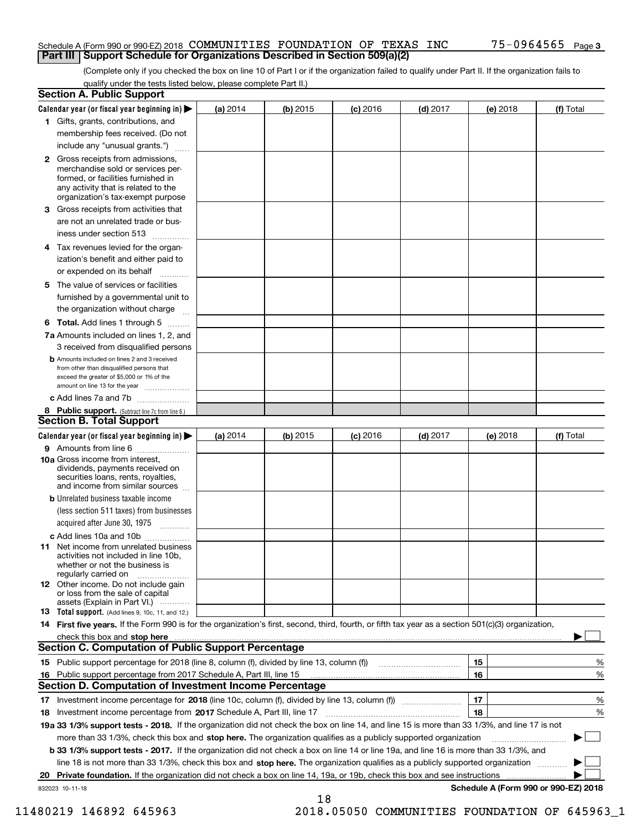#### Schedule A (Form 990 or 990-EZ) 2018 Page COMMUNITIES FOUNDATION OF TEXAS INC 75-0964565 **Part III Support Schedule for Organizations Described in Section 509(a)(2)**

(Complete only if you checked the box on line 10 of Part I or if the organization failed to qualify under Part II. If the organization fails to qualify under the tests listed below, please complete Part II.)

|    | <b>Section A. Public Support</b>                                                                                                                                                                                               |          |          |            |            |          |                                      |
|----|--------------------------------------------------------------------------------------------------------------------------------------------------------------------------------------------------------------------------------|----------|----------|------------|------------|----------|--------------------------------------|
|    | Calendar year (or fiscal year beginning in) $\blacktriangleright$                                                                                                                                                              | (a) 2014 | (b) 2015 | $(c)$ 2016 | $(d)$ 2017 | (e) 2018 | (f) Total                            |
|    | 1 Gifts, grants, contributions, and                                                                                                                                                                                            |          |          |            |            |          |                                      |
|    | membership fees received. (Do not                                                                                                                                                                                              |          |          |            |            |          |                                      |
|    | include any "unusual grants.")                                                                                                                                                                                                 |          |          |            |            |          |                                      |
|    | <b>2</b> Gross receipts from admissions,<br>merchandise sold or services per-<br>formed, or facilities furnished in<br>any activity that is related to the<br>organization's tax-exempt purpose                                |          |          |            |            |          |                                      |
|    | 3 Gross receipts from activities that<br>are not an unrelated trade or bus-                                                                                                                                                    |          |          |            |            |          |                                      |
|    | iness under section 513                                                                                                                                                                                                        |          |          |            |            |          |                                      |
|    | 4 Tax revenues levied for the organ-<br>ization's benefit and either paid to                                                                                                                                                   |          |          |            |            |          |                                      |
|    | or expended on its behalf                                                                                                                                                                                                      |          |          |            |            |          |                                      |
|    | 5 The value of services or facilities<br>furnished by a governmental unit to                                                                                                                                                   |          |          |            |            |          |                                      |
|    | the organization without charge                                                                                                                                                                                                |          |          |            |            |          |                                      |
|    | <b>6 Total.</b> Add lines 1 through 5                                                                                                                                                                                          |          |          |            |            |          |                                      |
|    | 7a Amounts included on lines 1, 2, and<br>3 received from disqualified persons                                                                                                                                                 |          |          |            |            |          |                                      |
|    | <b>b</b> Amounts included on lines 2 and 3 received<br>from other than disqualified persons that<br>exceed the greater of \$5,000 or 1% of the<br>amount on line 13 for the year                                               |          |          |            |            |          |                                      |
|    | c Add lines 7a and 7b                                                                                                                                                                                                          |          |          |            |            |          |                                      |
|    | 8 Public support. (Subtract line 7c from line 6.)<br><b>Section B. Total Support</b>                                                                                                                                           |          |          |            |            |          |                                      |
|    | Calendar year (or fiscal year beginning in)                                                                                                                                                                                    | (a) 2014 | (b) 2015 | $(c)$ 2016 | $(d)$ 2017 | (e) 2018 | (f) Total                            |
|    | 9 Amounts from line 6                                                                                                                                                                                                          |          |          |            |            |          |                                      |
|    | <b>10a</b> Gross income from interest,<br>dividends, payments received on<br>securities loans, rents, royalties,<br>and income from similar sources                                                                            |          |          |            |            |          |                                      |
|    | <b>b</b> Unrelated business taxable income<br>(less section 511 taxes) from businesses                                                                                                                                         |          |          |            |            |          |                                      |
|    | acquired after June 30, 1975                                                                                                                                                                                                   |          |          |            |            |          |                                      |
|    | c Add lines 10a and 10b                                                                                                                                                                                                        |          |          |            |            |          |                                      |
|    | 11 Net income from unrelated business<br>activities not included in line 10b,<br>whether or not the business is<br>regularly carried on                                                                                        |          |          |            |            |          |                                      |
|    | <b>12</b> Other income. Do not include gain<br>or loss from the sale of capital<br>assets (Explain in Part VI.)                                                                                                                |          |          |            |            |          |                                      |
|    | 13 Total support. (Add lines 9, 10c, 11, and 12.)                                                                                                                                                                              |          |          |            |            |          |                                      |
|    | 14 First five years. If the Form 990 is for the organization's first, second, third, fourth, or fifth tax year as a section 501(c)(3) organization,                                                                            |          |          |            |            |          |                                      |
|    | check this box and stop here measurements and contact the contract of the contract of the contract of the contract of the contract of the contract of the contract of the contract of the contract of the contract of the cont |          |          |            |            |          |                                      |
|    | <b>Section C. Computation of Public Support Percentage</b>                                                                                                                                                                     |          |          |            |            |          |                                      |
|    |                                                                                                                                                                                                                                |          |          |            |            | 15       | %                                    |
| 16 | Public support percentage from 2017 Schedule A, Part III, line 15                                                                                                                                                              |          |          |            |            | 16       | %                                    |
|    | <b>Section D. Computation of Investment Income Percentage</b>                                                                                                                                                                  |          |          |            |            |          |                                      |
|    | 17 Investment income percentage for 2018 (line 10c, column (f), divided by line 13, column (f))                                                                                                                                |          |          |            |            | 17<br>18 | %<br>%                               |
|    | 18 Investment income percentage from 2017 Schedule A, Part III, line 17<br>19a 33 1/3% support tests - 2018. If the organization did not check the box on line 14, and line 15 is more than 33 1/3%, and line 17 is not        |          |          |            |            |          |                                      |
|    | more than 33 1/3%, check this box and stop here. The organization qualifies as a publicly supported organization                                                                                                               |          |          |            |            |          |                                      |
|    | b 33 1/3% support tests - 2017. If the organization did not check a box on line 14 or line 19a, and line 16 is more than 33 1/3%, and                                                                                          |          |          |            |            |          |                                      |
|    | line 18 is not more than 33 1/3%, check this box and stop here. The organization qualifies as a publicly supported organization                                                                                                |          |          |            |            |          |                                      |
| 20 | <b>Private foundation.</b> If the organization did not check a box on line 14, 19a, or 19b, check this box and see instructions                                                                                                |          |          |            |            |          | .                                    |
|    | 832023 10-11-18                                                                                                                                                                                                                |          |          |            |            |          | Schedule A (Form 990 or 990-EZ) 2018 |
|    |                                                                                                                                                                                                                                |          | 18       |            |            |          |                                      |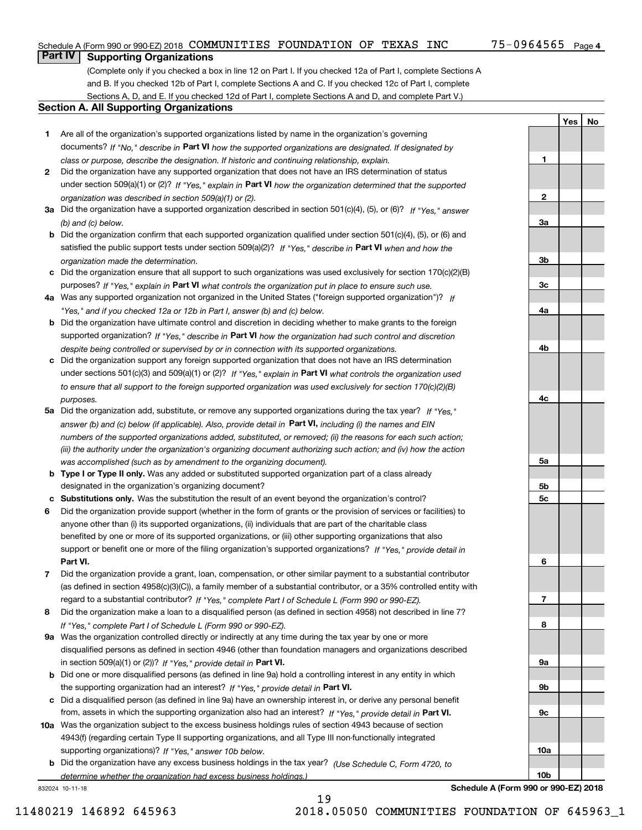**1**

**YesNo**

# **Part IV Supporting Organizations**

(Complete only if you checked a box in line 12 on Part I. If you checked 12a of Part I, complete Sections A and B. If you checked 12b of Part I, complete Sections A and C. If you checked 12c of Part I, complete Sections A, D, and E. If you checked 12d of Part I, complete Sections A and D, and complete Part V.)

#### **Section A. All Supporting Organizations**

- **1** Are all of the organization's supported organizations listed by name in the organization's governing documents? If "No," describe in **Part VI** how the supported organizations are designated. If designated by *class or purpose, describe the designation. If historic and continuing relationship, explain.*
- **2** Did the organization have any supported organization that does not have an IRS determination of status under section 509(a)(1) or (2)? If "Yes," explain in Part VI how the organization determined that the supported *organization was described in section 509(a)(1) or (2).*
- **3a** Did the organization have a supported organization described in section 501(c)(4), (5), or (6)? If "Yes," answer *(b) and (c) below.*
- **b** Did the organization confirm that each supported organization qualified under section 501(c)(4), (5), or (6) and satisfied the public support tests under section 509(a)(2)? If "Yes," describe in **Part VI** when and how the *organization made the determination.*
- **c**Did the organization ensure that all support to such organizations was used exclusively for section 170(c)(2)(B) purposes? If "Yes," explain in **Part VI** what controls the organization put in place to ensure such use.
- **4a***If* Was any supported organization not organized in the United States ("foreign supported organization")? *"Yes," and if you checked 12a or 12b in Part I, answer (b) and (c) below.*
- **b** Did the organization have ultimate control and discretion in deciding whether to make grants to the foreign supported organization? If "Yes," describe in **Part VI** how the organization had such control and discretion *despite being controlled or supervised by or in connection with its supported organizations.*
- **c** Did the organization support any foreign supported organization that does not have an IRS determination under sections 501(c)(3) and 509(a)(1) or (2)? If "Yes," explain in **Part VI** what controls the organization used *to ensure that all support to the foreign supported organization was used exclusively for section 170(c)(2)(B) purposes.*
- **5a** Did the organization add, substitute, or remove any supported organizations during the tax year? If "Yes," answer (b) and (c) below (if applicable). Also, provide detail in **Part VI,** including (i) the names and EIN *numbers of the supported organizations added, substituted, or removed; (ii) the reasons for each such action; (iii) the authority under the organization's organizing document authorizing such action; and (iv) how the action was accomplished (such as by amendment to the organizing document).*
- **b** Type I or Type II only. Was any added or substituted supported organization part of a class already designated in the organization's organizing document?
- **cSubstitutions only.**  Was the substitution the result of an event beyond the organization's control?
- **6** Did the organization provide support (whether in the form of grants or the provision of services or facilities) to **Part VI.** *If "Yes," provide detail in* support or benefit one or more of the filing organization's supported organizations? anyone other than (i) its supported organizations, (ii) individuals that are part of the charitable class benefited by one or more of its supported organizations, or (iii) other supporting organizations that also
- **7**Did the organization provide a grant, loan, compensation, or other similar payment to a substantial contributor *If "Yes," complete Part I of Schedule L (Form 990 or 990-EZ).* regard to a substantial contributor? (as defined in section 4958(c)(3)(C)), a family member of a substantial contributor, or a 35% controlled entity with
- **8** Did the organization make a loan to a disqualified person (as defined in section 4958) not described in line 7? *If "Yes," complete Part I of Schedule L (Form 990 or 990-EZ).*
- **9a** Was the organization controlled directly or indirectly at any time during the tax year by one or more in section 509(a)(1) or (2))? If "Yes," *provide detail in* <code>Part VI.</code> disqualified persons as defined in section 4946 (other than foundation managers and organizations described
- **b** Did one or more disqualified persons (as defined in line 9a) hold a controlling interest in any entity in which the supporting organization had an interest? If "Yes," provide detail in P**art VI**.
- **c**Did a disqualified person (as defined in line 9a) have an ownership interest in, or derive any personal benefit from, assets in which the supporting organization also had an interest? If "Yes," provide detail in P**art VI.**
- **10a** Was the organization subject to the excess business holdings rules of section 4943 because of section supporting organizations)? If "Yes," answer 10b below. 4943(f) (regarding certain Type II supporting organizations, and all Type III non-functionally integrated
- **b** Did the organization have any excess business holdings in the tax year? (Use Schedule C, Form 4720, to *determine whether the organization had excess business holdings.)*

832024 10-11-18



**Schedule A (Form 990 or 990-EZ) 2018**

19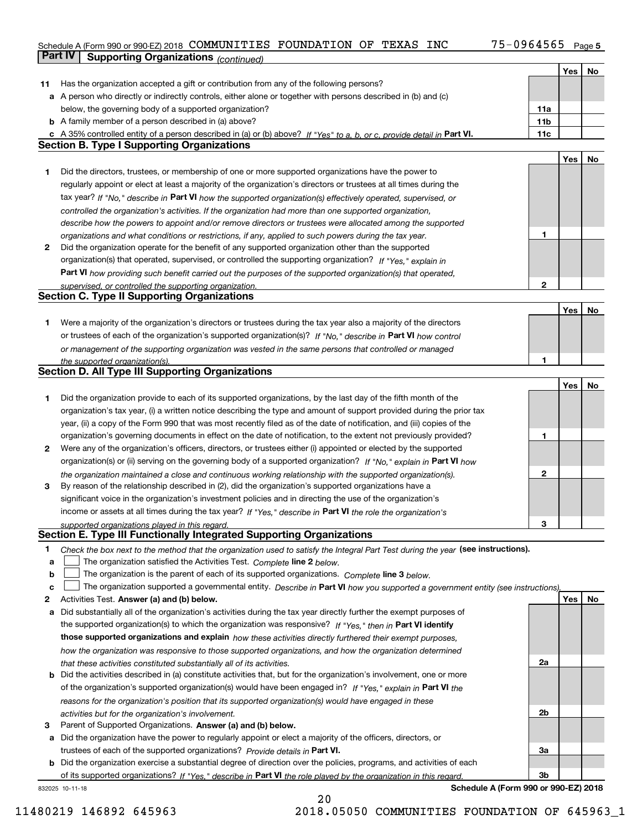## Schedule A (Form 990 or 990-EZ) 2018 Page COMMUNITIES FOUNDATION OF TEXAS INC 75-0964565 **Part IV Supporting Organizations** *(continued)*

|    |                                                                                                                                   |                 | Yes | No |
|----|-----------------------------------------------------------------------------------------------------------------------------------|-----------------|-----|----|
| 11 | Has the organization accepted a gift or contribution from any of the following persons?                                           |                 |     |    |
|    | a A person who directly or indirectly controls, either alone or together with persons described in (b) and (c)                    |                 |     |    |
|    | below, the governing body of a supported organization?                                                                            | 11a             |     |    |
|    | <b>b</b> A family member of a person described in (a) above?                                                                      | 11 <sub>b</sub> |     |    |
|    | c A 35% controlled entity of a person described in (a) or (b) above? If "Yes" to a, b, or c, provide detail in Part VI.           | 11c             |     |    |
|    | <b>Section B. Type I Supporting Organizations</b>                                                                                 |                 |     |    |
|    |                                                                                                                                   |                 | Yes | No |
| 1  | Did the directors, trustees, or membership of one or more supported organizations have the power to                               |                 |     |    |
|    | regularly appoint or elect at least a majority of the organization's directors or trustees at all times during the                |                 |     |    |
|    | tax year? If "No," describe in Part VI how the supported organization(s) effectively operated, supervised, or                     |                 |     |    |
|    | controlled the organization's activities. If the organization had more than one supported organization,                           |                 |     |    |
|    | describe how the powers to appoint and/or remove directors or trustees were allocated among the supported                         |                 |     |    |
|    | organizations and what conditions or restrictions, if any, applied to such powers during the tax year.                            | 1               |     |    |
| 2  | Did the organization operate for the benefit of any supported organization other than the supported                               |                 |     |    |
|    | organization(s) that operated, supervised, or controlled the supporting organization? If "Yes," explain in                        |                 |     |    |
|    | Part VI how providing such benefit carried out the purposes of the supported organization(s) that operated,                       |                 |     |    |
|    | supervised, or controlled the supporting organization.                                                                            | $\mathbf{2}$    |     |    |
|    | <b>Section C. Type II Supporting Organizations</b>                                                                                |                 |     |    |
|    |                                                                                                                                   |                 | Yes | No |
| 1. | Were a majority of the organization's directors or trustees during the tax year also a majority of the directors                  |                 |     |    |
|    | or trustees of each of the organization's supported organization(s)? If "No," describe in Part VI how control                     |                 |     |    |
|    | or management of the supporting organization was vested in the same persons that controlled or managed                            |                 |     |    |
|    | the supported organization(s).                                                                                                    | 1               |     |    |
|    | <b>Section D. All Type III Supporting Organizations</b>                                                                           |                 |     |    |
|    |                                                                                                                                   |                 | Yes | No |
| 1  | Did the organization provide to each of its supported organizations, by the last day of the fifth month of the                    |                 |     |    |
|    | organization's tax year, (i) a written notice describing the type and amount of support provided during the prior tax             |                 |     |    |
|    | year, (ii) a copy of the Form 990 that was most recently filed as of the date of notification, and (iii) copies of the            |                 |     |    |
|    | organization's governing documents in effect on the date of notification, to the extent not previously provided?                  | 1               |     |    |
| 2  | Were any of the organization's officers, directors, or trustees either (i) appointed or elected by the supported                  |                 |     |    |
|    | organization(s) or (ii) serving on the governing body of a supported organization? If "No," explain in Part VI how                |                 |     |    |
|    | the organization maintained a close and continuous working relationship with the supported organization(s).                       | $\mathbf{2}$    |     |    |
| 3  | By reason of the relationship described in (2), did the organization's supported organizations have a                             |                 |     |    |
|    | significant voice in the organization's investment policies and in directing the use of the organization's                        |                 |     |    |
|    | income or assets at all times during the tax year? If "Yes," describe in Part VI the role the organization's                      |                 |     |    |
|    | supported organizations played in this regard.                                                                                    | 3               |     |    |
|    | Section E. Type III Functionally Integrated Supporting Organizations                                                              |                 |     |    |
| 1  | Check the box next to the method that the organization used to satisfy the Integral Part Test during the year (see instructions). |                 |     |    |
| a  | The organization satisfied the Activities Test. Complete line 2 below.                                                            |                 |     |    |
| b  | The organization is the parent of each of its supported organizations. Complete line 3 below.                                     |                 |     |    |
| c  | The organization supported a governmental entity. Describe in Part VI how you supported a government entity (see instructions),   |                 |     |    |
| 2  | Activities Test. Answer (a) and (b) below.                                                                                        |                 | Yes | No |
| a  | Did substantially all of the organization's activities during the tax year directly further the exempt purposes of                |                 |     |    |
|    | the supported organization(s) to which the organization was responsive? If "Yes," then in Part VI identify                        |                 |     |    |
|    | those supported organizations and explain how these activities directly furthered their exempt purposes,                          |                 |     |    |
|    | how the organization was responsive to those supported organizations, and how the organization determined                         |                 |     |    |
|    | that these activities constituted substantially all of its activities.                                                            | 2a              |     |    |
| b  | Did the activities described in (a) constitute activities that, but for the organization's involvement, one or more               |                 |     |    |
|    | of the organization's supported organization(s) would have been engaged in? If "Yes," explain in Part VI the                      |                 |     |    |
|    | reasons for the organization's position that its supported organization(s) would have engaged in these                            |                 |     |    |
|    | activities but for the organization's involvement.                                                                                | 2b              |     |    |
| 3  | Parent of Supported Organizations. Answer (a) and (b) below.                                                                      |                 |     |    |
| а  | Did the organization have the power to regularly appoint or elect a majority of the officers, directors, or                       |                 |     |    |
|    | trustees of each of the supported organizations? Provide details in Part VI.                                                      | За              |     |    |
| b  | Did the organization exercise a substantial degree of direction over the policies, programs, and activities of each               |                 |     |    |
|    | of its supported organizations? If "Yes," describe in Part VI the role played by the organization in this regard.                 | 3b              |     |    |

20

832025 10-11-18

**Schedule A (Form 990 or 990-EZ) 2018**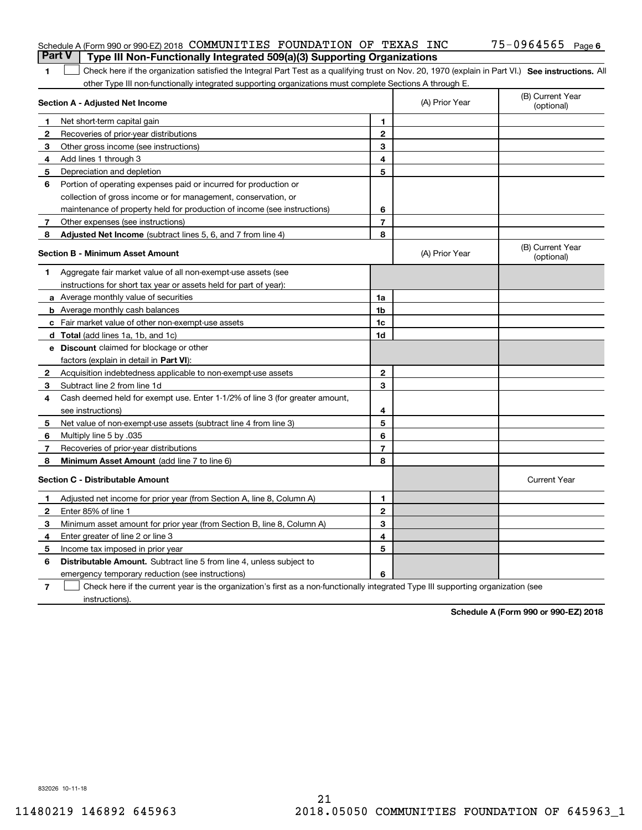| <b>Part V</b> | Schedule A (Form 990 or 990-EZ) 2018 COMMUNITIES FOUNDATION OF TEXAS INC<br>Type III Non-Functionally Integrated 509(a)(3) Supporting Organizations |                |                | 75-0964565 Page 6              |
|---------------|-----------------------------------------------------------------------------------------------------------------------------------------------------|----------------|----------------|--------------------------------|
| 1             | Check here if the organization satisfied the Integral Part Test as a qualifying trust on Nov. 20, 1970 (explain in Part VI.) See instructions. All  |                |                |                                |
|               | other Type III non-functionally integrated supporting organizations must complete Sections A through E.                                             |                |                |                                |
|               | <b>Section A - Adjusted Net Income</b>                                                                                                              |                | (A) Prior Year | (B) Current Year<br>(optional) |
|               | Net short-term capital gain                                                                                                                         | 1.             |                |                                |
| 2             | Recoveries of prior-year distributions                                                                                                              | $\mathbf{2}$   |                |                                |
| З             | Other gross income (see instructions)                                                                                                               | 3              |                |                                |
| 4             | Add lines 1 through 3                                                                                                                               | 4              |                |                                |
| 5             | Depreciation and depletion                                                                                                                          | 5              |                |                                |
| 6             | Portion of operating expenses paid or incurred for production or                                                                                    |                |                |                                |
|               | collection of gross income or for management, conservation, or                                                                                      |                |                |                                |
|               | maintenance of property held for production of income (see instructions)                                                                            | 6              |                |                                |
| 7             | Other expenses (see instructions)                                                                                                                   | $\overline{7}$ |                |                                |
| 8             | Adjusted Net Income (subtract lines 5, 6, and 7 from line 4)                                                                                        | 8              |                |                                |
|               | <b>Section B - Minimum Asset Amount</b>                                                                                                             |                | (A) Prior Year | (B) Current Year<br>(optional) |
| 1             | Aggregate fair market value of all non-exempt-use assets (see                                                                                       |                |                |                                |
|               | instructions for short tax year or assets held for part of year):                                                                                   |                |                |                                |
|               | <b>a</b> Average monthly value of securities                                                                                                        | 1a             |                |                                |
|               | <b>b</b> Average monthly cash balances                                                                                                              | 1b             |                |                                |
|               | c Fair market value of other non-exempt-use assets                                                                                                  | 1c             |                |                                |
|               | d Total (add lines 1a, 1b, and 1c)                                                                                                                  | 1d             |                |                                |
|               | <b>e</b> Discount claimed for blockage or other                                                                                                     |                |                |                                |
|               | factors (explain in detail in Part VI):                                                                                                             |                |                |                                |
| 2             | Acquisition indebtedness applicable to non-exempt-use assets                                                                                        | $\mathbf{2}$   |                |                                |
| З             | Subtract line 2 from line 1d                                                                                                                        | 3              |                |                                |
| 4             | Cash deemed held for exempt use. Enter 1-1/2% of line 3 (for greater amount,                                                                        |                |                |                                |
|               | see instructions)                                                                                                                                   | 4              |                |                                |
| 5             | Net value of non-exempt-use assets (subtract line 4 from line 3)                                                                                    | 5              |                |                                |
| 6             | Multiply line 5 by .035                                                                                                                             | 6              |                |                                |
| 7             | Recoveries of prior-year distributions                                                                                                              | $\overline{7}$ |                |                                |
| 8             | Minimum Asset Amount (add line 7 to line 6)                                                                                                         | 8              |                |                                |
|               | <b>Section C - Distributable Amount</b>                                                                                                             |                |                | <b>Current Year</b>            |
|               | Adjusted net income for prior year (from Section A, line 8, Column A)                                                                               | 1              |                |                                |
|               | Enter 85% of line 1                                                                                                                                 | 2              |                |                                |
| 3             | Minimum asset amount for prior year (from Section B, line 8, Column A)                                                                              | 3              |                |                                |
| 4             | Enter greater of line 2 or line 3                                                                                                                   | 4              |                |                                |
| 5             | Income tax imposed in prior year                                                                                                                    | 5              |                |                                |
| 6             | <b>Distributable Amount.</b> Subtract line 5 from line 4, unless subject to                                                                         |                |                |                                |
|               | emergency temporary reduction (see instructions)                                                                                                    | 6              |                |                                |
| $\mathbf{7}$  | Check here if the current year is the organization's first as a non-functionally integrated Type III supporting organization (see                   |                |                |                                |

instructions).

**Schedule A (Form 990 or 990-EZ) 2018**

832026 10-11-18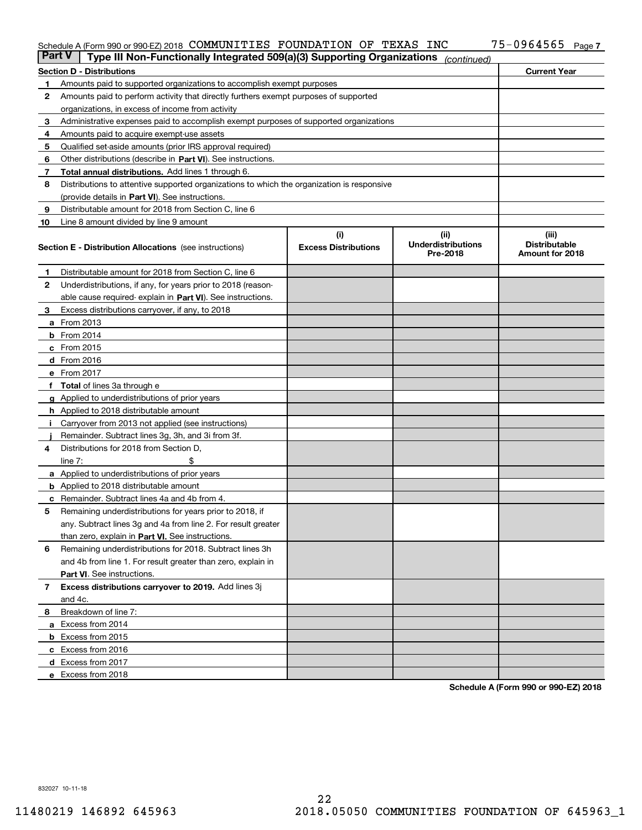#### Schedule A (Form 990 or 990-EZ) 2018 COMMUNITILES FOUNDATION OF TEXAS INC 75─U964565 Page COMMUNITIES FOUNDATION OF TEXAS INC 75-0964565

| <b>Part V</b> | Type III Non-Functionally Integrated 509(a)(3) Supporting Organizations                    |                                    | (continued)                                    |                                                  |  |  |  |  |
|---------------|--------------------------------------------------------------------------------------------|------------------------------------|------------------------------------------------|--------------------------------------------------|--|--|--|--|
|               | <b>Section D - Distributions</b>                                                           |                                    |                                                | <b>Current Year</b>                              |  |  |  |  |
| 1             | Amounts paid to supported organizations to accomplish exempt purposes                      |                                    |                                                |                                                  |  |  |  |  |
| 2             | Amounts paid to perform activity that directly furthers exempt purposes of supported       |                                    |                                                |                                                  |  |  |  |  |
|               | organizations, in excess of income from activity                                           |                                    |                                                |                                                  |  |  |  |  |
| 3             | Administrative expenses paid to accomplish exempt purposes of supported organizations      |                                    |                                                |                                                  |  |  |  |  |
| 4             | Amounts paid to acquire exempt-use assets                                                  |                                    |                                                |                                                  |  |  |  |  |
| 5             | Qualified set-aside amounts (prior IRS approval required)                                  |                                    |                                                |                                                  |  |  |  |  |
| 6             | Other distributions (describe in Part VI). See instructions.                               |                                    |                                                |                                                  |  |  |  |  |
| 7             | Total annual distributions. Add lines 1 through 6.                                         |                                    |                                                |                                                  |  |  |  |  |
| 8             | Distributions to attentive supported organizations to which the organization is responsive |                                    |                                                |                                                  |  |  |  |  |
|               | (provide details in Part VI). See instructions.                                            |                                    |                                                |                                                  |  |  |  |  |
| 9             | Distributable amount for 2018 from Section C, line 6                                       |                                    |                                                |                                                  |  |  |  |  |
| 10            | Line 8 amount divided by line 9 amount                                                     |                                    |                                                |                                                  |  |  |  |  |
|               | <b>Section E - Distribution Allocations</b> (see instructions)                             | (i)<br><b>Excess Distributions</b> | (iii)<br><b>Underdistributions</b><br>Pre-2018 | (iii)<br><b>Distributable</b><br>Amount for 2018 |  |  |  |  |
| 1.            | Distributable amount for 2018 from Section C, line 6                                       |                                    |                                                |                                                  |  |  |  |  |
| 2             | Underdistributions, if any, for years prior to 2018 (reason-                               |                                    |                                                |                                                  |  |  |  |  |
|               | able cause required-explain in Part VI). See instructions.                                 |                                    |                                                |                                                  |  |  |  |  |
| З             | Excess distributions carryover, if any, to 2018                                            |                                    |                                                |                                                  |  |  |  |  |
|               | <b>a</b> From 2013                                                                         |                                    |                                                |                                                  |  |  |  |  |
|               | <b>b</b> From $2014$                                                                       |                                    |                                                |                                                  |  |  |  |  |
|               | $c$ From 2015                                                                              |                                    |                                                |                                                  |  |  |  |  |
|               | $d$ From 2016                                                                              |                                    |                                                |                                                  |  |  |  |  |
|               | e From 2017                                                                                |                                    |                                                |                                                  |  |  |  |  |
|               | <b>Total</b> of lines 3a through e                                                         |                                    |                                                |                                                  |  |  |  |  |
|               | <b>g</b> Applied to underdistributions of prior years                                      |                                    |                                                |                                                  |  |  |  |  |
|               | <b>h</b> Applied to 2018 distributable amount                                              |                                    |                                                |                                                  |  |  |  |  |
|               | Carryover from 2013 not applied (see instructions)                                         |                                    |                                                |                                                  |  |  |  |  |
|               | Remainder. Subtract lines 3g, 3h, and 3i from 3f.                                          |                                    |                                                |                                                  |  |  |  |  |
| 4             | Distributions for 2018 from Section D,                                                     |                                    |                                                |                                                  |  |  |  |  |
|               | line $7:$                                                                                  |                                    |                                                |                                                  |  |  |  |  |
|               | <b>a</b> Applied to underdistributions of prior years                                      |                                    |                                                |                                                  |  |  |  |  |
|               | <b>b</b> Applied to 2018 distributable amount                                              |                                    |                                                |                                                  |  |  |  |  |
|               | c Remainder. Subtract lines 4a and 4b from 4.                                              |                                    |                                                |                                                  |  |  |  |  |
| 5             | Remaining underdistributions for years prior to 2018, if                                   |                                    |                                                |                                                  |  |  |  |  |
|               | any. Subtract lines 3g and 4a from line 2. For result greater                              |                                    |                                                |                                                  |  |  |  |  |
|               | than zero, explain in Part VI. See instructions.                                           |                                    |                                                |                                                  |  |  |  |  |
| 6             | Remaining underdistributions for 2018. Subtract lines 3h                                   |                                    |                                                |                                                  |  |  |  |  |
|               | and 4b from line 1. For result greater than zero, explain in                               |                                    |                                                |                                                  |  |  |  |  |
|               | Part VI. See instructions.                                                                 |                                    |                                                |                                                  |  |  |  |  |
| 7             | Excess distributions carryover to 2019. Add lines 3j                                       |                                    |                                                |                                                  |  |  |  |  |
| 8             | and 4c.<br>Breakdown of line 7:                                                            |                                    |                                                |                                                  |  |  |  |  |
|               | a Excess from 2014                                                                         |                                    |                                                |                                                  |  |  |  |  |
|               | <b>b</b> Excess from 2015                                                                  |                                    |                                                |                                                  |  |  |  |  |
|               | c Excess from 2016                                                                         |                                    |                                                |                                                  |  |  |  |  |
|               | d Excess from 2017                                                                         |                                    |                                                |                                                  |  |  |  |  |
|               | e Excess from 2018                                                                         |                                    |                                                |                                                  |  |  |  |  |
|               |                                                                                            |                                    |                                                |                                                  |  |  |  |  |

**Schedule A (Form 990 or 990-EZ) 2018**

832027 10-11-18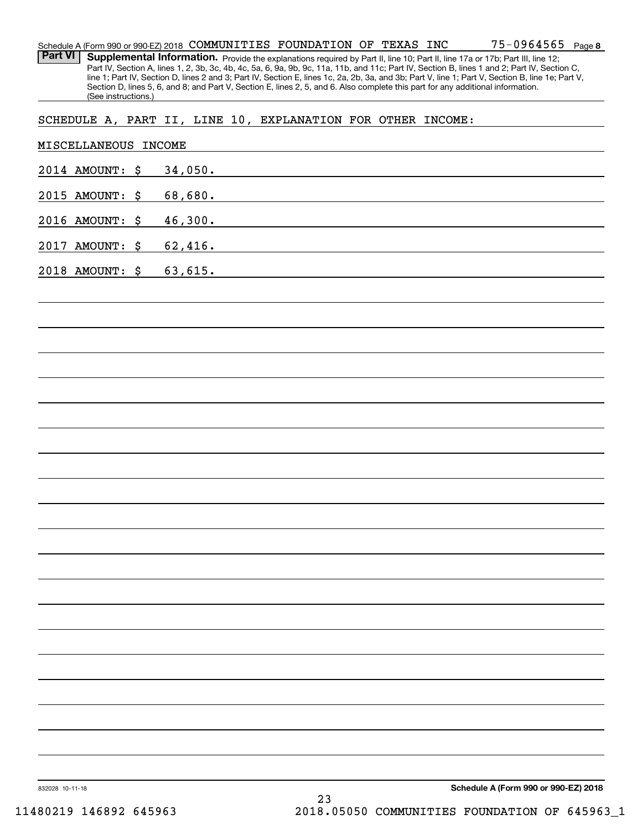| Schedule A (Form 990 or 990-EZ) 2018 | COMMUNITIES | FOUNDATION | OF | TEXAS | INC | -0964565 | $P$ age $8$ |
|--------------------------------------|-------------|------------|----|-------|-----|----------|-------------|
|                                      |             |            |    |       |     |          |             |

Part VI | Supplemental Information. Provide the explanations required by Part II, line 10; Part II, line 17a or 17b; Part III, line 12; Part IV, Section A, lines 1, 2, 3b, 3c, 4b, 4c, 5a, 6, 9a, 9b, 9c, 11a, 11b, and 11c; Part IV, Section B, lines 1 and 2; Part IV, Section C, line 1; Part IV, Section D, lines 2 and 3; Part IV, Section E, lines 1c, 2a, 2b, 3a, and 3b; Part V, line 1; Part V, Section B, line 1e; Part V, Section D, lines 5, 6, and 8; and Part V, Section E, lines 2, 5, and 6. Also complete this part for any additional information. (See instructions.)

### SCHEDULE A, PART II, LINE 10, EXPLANATION FOR OTHER INCOME:

|                 | MISCELLANEOUS INCOME |         |  |    |                                                                                                                        |                                      |  |
|-----------------|----------------------|---------|--|----|------------------------------------------------------------------------------------------------------------------------|--------------------------------------|--|
|                 | 2014 AMOUNT: \$      | 34,050. |  |    | <u> 1989 - Johann Stoff, deutscher Stoffen und der Stoffen und der Stoffen und der Stoffen und der Stoffen und der</u> |                                      |  |
|                 | 2015 AMOUNT: \$      | 68,680. |  |    |                                                                                                                        |                                      |  |
|                 | 2016 AMOUNT: \$      | 46,300. |  |    | <u> 1989 - Johann Barn, mars ann an t-Amhain Aonaich an t-Aonaich an t-Aonaich ann an t-Aonaich ann an t-Aonaich</u>   |                                      |  |
|                 | 2017 AMOUNT: \$      | 62,416. |  |    | <u> 1989 - Johann Stein, fransk politik (d. 1989)</u>                                                                  |                                      |  |
|                 | 2018 AMOUNT: \$      | 63,615. |  |    | <u> 1989 - Johann Barbara, martxa alemaniar arg</u>                                                                    |                                      |  |
|                 |                      |         |  |    |                                                                                                                        |                                      |  |
|                 |                      |         |  |    |                                                                                                                        |                                      |  |
|                 |                      |         |  |    |                                                                                                                        |                                      |  |
|                 |                      |         |  |    |                                                                                                                        |                                      |  |
|                 |                      |         |  |    |                                                                                                                        |                                      |  |
|                 |                      |         |  |    |                                                                                                                        |                                      |  |
|                 |                      |         |  |    |                                                                                                                        |                                      |  |
|                 |                      |         |  |    |                                                                                                                        |                                      |  |
|                 |                      |         |  |    |                                                                                                                        |                                      |  |
|                 |                      |         |  |    |                                                                                                                        |                                      |  |
|                 |                      |         |  |    |                                                                                                                        |                                      |  |
|                 |                      |         |  |    |                                                                                                                        |                                      |  |
|                 |                      |         |  |    |                                                                                                                        |                                      |  |
|                 |                      |         |  |    |                                                                                                                        |                                      |  |
|                 |                      |         |  |    |                                                                                                                        |                                      |  |
|                 |                      |         |  |    |                                                                                                                        |                                      |  |
|                 |                      |         |  |    |                                                                                                                        |                                      |  |
|                 |                      |         |  |    |                                                                                                                        |                                      |  |
|                 |                      |         |  |    |                                                                                                                        |                                      |  |
| 832028 10-11-18 |                      |         |  | 23 |                                                                                                                        | Schedule A (Form 990 or 990-EZ) 2018 |  |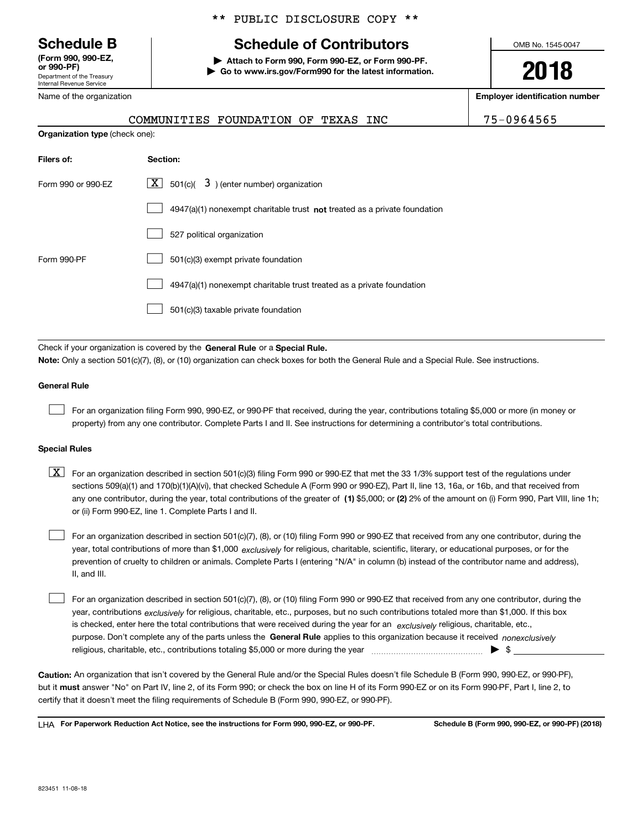Department of the Treasury Internal Revenue Service **(Form 990, 990-EZ, or 990-PF)**

Name of the organization

**Organization type** (check one):

### \*\* PUBLIC DISCLOSURE COPY \*\*

# **Schedule B Schedule of Contributors**

**| Attach to Form 990, Form 990-EZ, or Form 990-PF. | Go to www.irs.gov/Form990 for the latest information.** OMB No. 1545-0047

**2018**

**Employer identification number**

| COMMUNITIES FOUNDATION OF TEXAS |  |  |
|---------------------------------|--|--|
|                                 |  |  |

INC 75-0964565

| Filers of:         | Section:                                                                  |
|--------------------|---------------------------------------------------------------------------|
| Form 990 or 990-FZ | $\lfloor x \rfloor$ 501(c)( 3) (enter number) organization                |
|                    | 4947(a)(1) nonexempt charitable trust not treated as a private foundation |
|                    | 527 political organization                                                |
| Form 990-PF        | 501(c)(3) exempt private foundation                                       |
|                    | 4947(a)(1) nonexempt charitable trust treated as a private foundation     |
|                    | 501(c)(3) taxable private foundation                                      |

Check if your organization is covered by the **General Rule** or a **Special Rule. Note:**  Only a section 501(c)(7), (8), or (10) organization can check boxes for both the General Rule and a Special Rule. See instructions.

#### **General Rule**

 $\mathcal{L}^{\text{max}}$ 

For an organization filing Form 990, 990-EZ, or 990-PF that received, during the year, contributions totaling \$5,000 or more (in money or property) from any one contributor. Complete Parts I and II. See instructions for determining a contributor's total contributions.

#### **Special Rules**

any one contributor, during the year, total contributions of the greater of  $\,$  (1) \$5,000; or **(2)** 2% of the amount on (i) Form 990, Part VIII, line 1h;  $\boxed{\textbf{X}}$  For an organization described in section 501(c)(3) filing Form 990 or 990-EZ that met the 33 1/3% support test of the regulations under sections 509(a)(1) and 170(b)(1)(A)(vi), that checked Schedule A (Form 990 or 990-EZ), Part II, line 13, 16a, or 16b, and that received from or (ii) Form 990-EZ, line 1. Complete Parts I and II.

year, total contributions of more than \$1,000 *exclusively* for religious, charitable, scientific, literary, or educational purposes, or for the For an organization described in section 501(c)(7), (8), or (10) filing Form 990 or 990-EZ that received from any one contributor, during the prevention of cruelty to children or animals. Complete Parts I (entering "N/A" in column (b) instead of the contributor name and address), II, and III.  $\mathcal{L}^{\text{max}}$ 

purpose. Don't complete any of the parts unless the **General Rule** applies to this organization because it received *nonexclusively* year, contributions <sub>exclusively</sub> for religious, charitable, etc., purposes, but no such contributions totaled more than \$1,000. If this box is checked, enter here the total contributions that were received during the year for an  $\;$ exclusively religious, charitable, etc., For an organization described in section 501(c)(7), (8), or (10) filing Form 990 or 990-EZ that received from any one contributor, during the religious, charitable, etc., contributions totaling \$5,000 or more during the year  $\Box$ — $\Box$   $\Box$  $\mathcal{L}^{\text{max}}$ 

**Caution:**  An organization that isn't covered by the General Rule and/or the Special Rules doesn't file Schedule B (Form 990, 990-EZ, or 990-PF),  **must** but it answer "No" on Part IV, line 2, of its Form 990; or check the box on line H of its Form 990-EZ or on its Form 990-PF, Part I, line 2, to certify that it doesn't meet the filing requirements of Schedule B (Form 990, 990-EZ, or 990-PF).

**For Paperwork Reduction Act Notice, see the instructions for Form 990, 990-EZ, or 990-PF. Schedule B (Form 990, 990-EZ, or 990-PF) (2018)** LHA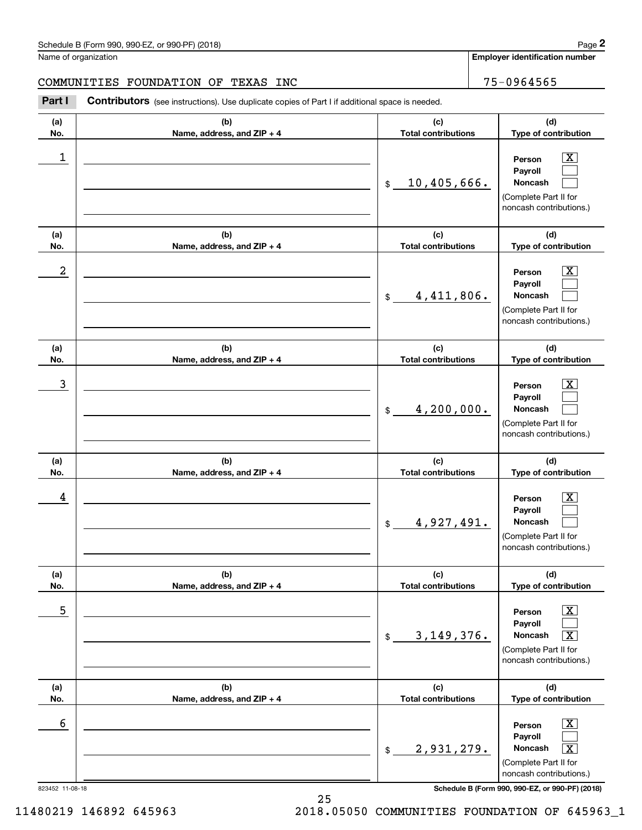**Employer identification number**

### COMMUNITIES FOUNDATION OF TEXAS INC<br>
75-0964565

Chedule B (Form 990, 990-EZ, or 990-PF) (2018)<br>
lame of organization<br> **20 COMMUNITIES FOUNDATION OF TEXAS INC**<br> **2Part I Contributors** (see instructions). Use duplicate copies of Part I if additional space is needed.

| (a)<br>No. | (b)<br>Name, address, and ZIP + 4 | (c)<br><b>Total contributions</b> | (d)<br>Type of contribution                                                                                                            |
|------------|-----------------------------------|-----------------------------------|----------------------------------------------------------------------------------------------------------------------------------------|
| 1          |                                   | 10,405,666.<br>$$\mathbb{S}$$     | $\overline{\textbf{x}}$<br>Person<br>Payroll<br>Noncash<br>(Complete Part II for<br>noncash contributions.)                            |
| (a)<br>No. | (b)<br>Name, address, and ZIP + 4 | (c)<br><b>Total contributions</b> | (d)<br>Type of contribution                                                                                                            |
| 2          |                                   | 4,411,806.<br>$$\mathbb{S}$$      | х<br>Person<br>Payroll<br>Noncash<br>(Complete Part II for<br>noncash contributions.)                                                  |
| (a)<br>No. | (b)<br>Name, address, and ZIP + 4 | (c)<br><b>Total contributions</b> | (d)<br>Type of contribution                                                                                                            |
| 3          |                                   | 4,200,000.<br>$\$$                | х<br>Person<br>Payroll<br><b>Noncash</b><br>(Complete Part II for<br>noncash contributions.)                                           |
| (a)<br>No. | (b)<br>Name, address, and ZIP + 4 | (c)<br><b>Total contributions</b> | (d)<br>Type of contribution                                                                                                            |
| 4          |                                   | 4,927,491.<br>$$\mathbb{S}$$      | Person<br>Payroll<br>Noncash<br>(Complete Part II for<br>noncash contributions.)                                                       |
| (a)<br>No. | (b)<br>Name, address, and ZIP + 4 | (c)<br><b>Total contributions</b> | (d)<br>Type of contribution                                                                                                            |
| 5          |                                   | 3, 149, 376.<br>\$                | $\overline{\texttt{x}}$<br>Person<br>Payroll<br>$\overline{\texttt{x}}$<br>Noncash<br>(Complete Part II for<br>noncash contributions.) |
| (a)<br>No. | (b)<br>Name, address, and ZIP + 4 | (c)<br><b>Total contributions</b> | (d)<br>Type of contribution                                                                                                            |
| 6          |                                   | 2,931,279.<br>\$                  | $\overline{\text{X}}$<br>Person<br>Payroll<br>$\overline{\texttt{x}}$<br>Noncash<br>(Complete Part II for<br>noncash contributions.)   |

823452 11-08-18 **Schedule B (Form 990, 990-EZ, or 990-PF) (2018)**

25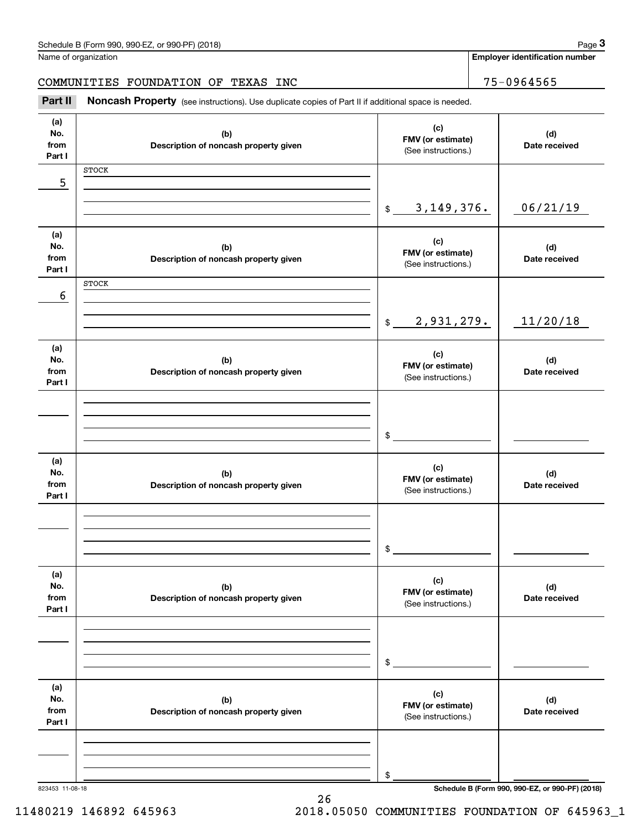| Schedule B (Form 990, 990-EZ, or 990-PF) (2018) | Page |
|-------------------------------------------------|------|
|-------------------------------------------------|------|

**Employer identification number**

Chedule B (Form 990, 990-EZ, or 990-PF) (2018)<br>
Iame of organization<br> **3Part II is Noncash Property** (see instructions). Use duplicate copies of Part II if additional space is needed.<br> **3Part II is Noncash Property** (see i COMMUNITIES FOUNDATION OF TEXAS INC<br>
75-0964565

| , art 11                     | <b>NUTIONAL PROPERTY</b> (See instructions). Ose duplicate copies or Fare in additional space is needed. |                                                 |                      |
|------------------------------|----------------------------------------------------------------------------------------------------------|-------------------------------------------------|----------------------|
| (a)<br>No.<br>from<br>Part I | (b)<br>Description of noncash property given                                                             | (c)<br>FMV (or estimate)<br>(See instructions.) | (d)<br>Date received |
| 5                            | <b>STOCK</b>                                                                                             |                                                 |                      |
|                              |                                                                                                          |                                                 |                      |
|                              |                                                                                                          | 3, 149, 376.<br>$$\mathbb{S}$$                  | 06/21/19             |
| (a)                          |                                                                                                          | (c)                                             |                      |
| No.<br>from                  | (b)<br>Description of noncash property given                                                             | FMV (or estimate)<br>(See instructions.)        | (d)<br>Date received |
| Part I                       | <b>STOCK</b>                                                                                             |                                                 |                      |
| 6                            |                                                                                                          |                                                 |                      |
|                              |                                                                                                          | 2,931,279.<br>$$\mathbb{S}$$                    | 11/20/18             |
|                              |                                                                                                          |                                                 |                      |
| (a)<br>No.<br>from           | (b)<br>Description of noncash property given                                                             | (c)<br>FMV (or estimate)<br>(See instructions.) | (d)<br>Date received |
| Part I                       |                                                                                                          |                                                 |                      |
|                              |                                                                                                          |                                                 |                      |
|                              |                                                                                                          | \$                                              |                      |
| (a)                          |                                                                                                          |                                                 |                      |
| No.                          | (b)                                                                                                      | (c)<br>FMV (or estimate)                        | (d)                  |
| from<br>Part I               | Description of noncash property given                                                                    | (See instructions.)                             | Date received        |
|                              |                                                                                                          |                                                 |                      |
|                              |                                                                                                          |                                                 |                      |
|                              |                                                                                                          | \$                                              |                      |
| (a)<br>No.                   |                                                                                                          | (c)                                             |                      |
| from                         | (b)<br>Description of noncash property given                                                             | FMV (or estimate)<br>(See instructions.)        | (d)<br>Date received |
| Part I                       |                                                                                                          |                                                 |                      |
|                              |                                                                                                          |                                                 |                      |
|                              |                                                                                                          | \$                                              |                      |
|                              |                                                                                                          |                                                 |                      |
| (a)<br>No.                   | (b)                                                                                                      | (c)<br>FMV (or estimate)                        | (d)                  |
| from<br>Part I               | Description of noncash property given                                                                    | (See instructions.)                             | Date received        |
|                              |                                                                                                          |                                                 |                      |
|                              |                                                                                                          |                                                 |                      |
|                              |                                                                                                          | \$                                              |                      |

823453 11-08-18 **Schedule B (Form 990, 990-EZ, or 990-PF) (2018)**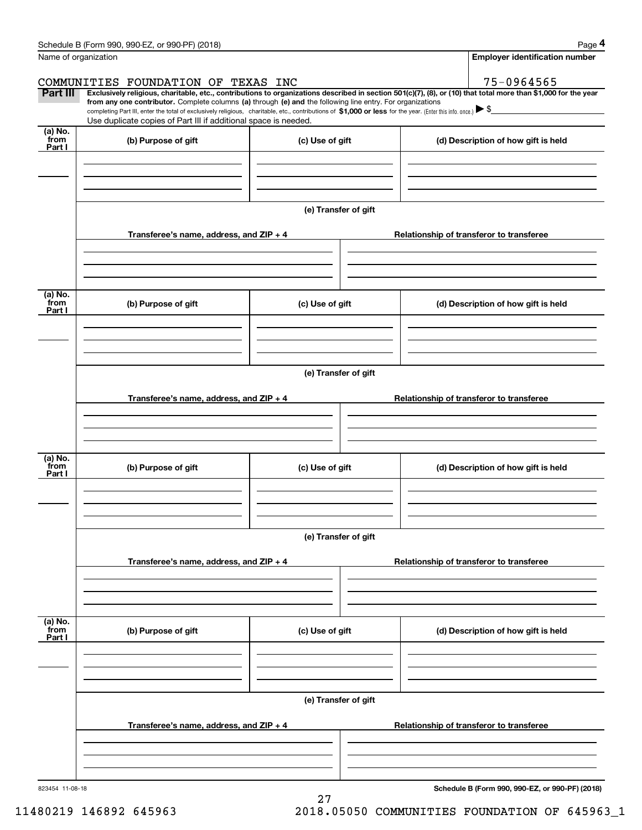|                           | Schedule B (Form 990, 990-EZ, or 990-PF) (2018)                                                                                                                                                                                                                              |                      |                                          | Page 4                                          |  |  |  |
|---------------------------|------------------------------------------------------------------------------------------------------------------------------------------------------------------------------------------------------------------------------------------------------------------------------|----------------------|------------------------------------------|-------------------------------------------------|--|--|--|
|                           | Name of organization                                                                                                                                                                                                                                                         |                      |                                          | <b>Employer identification number</b>           |  |  |  |
|                           | COMMUNITIES FOUNDATION OF TEXAS INC                                                                                                                                                                                                                                          |                      |                                          | 75-0964565                                      |  |  |  |
| Part III                  | Exclusively religious, charitable, etc., contributions to organizations described in section 501(c)(7), (8), or (10) that total more than \$1,000 for the year<br>from any one contributor. Complete columns (a) through (e) and the following line entry. For organizations |                      |                                          |                                                 |  |  |  |
|                           | completing Part III, enter the total of exclusively religious, charitable, etc., contributions of \$1,000 or less for the year. (Enter this info. once.) $\blacktriangleright$ \$<br>Use duplicate copies of Part III if additional space is needed.                         |                      |                                          |                                                 |  |  |  |
| (a) No.<br>from<br>Part I | (b) Purpose of gift                                                                                                                                                                                                                                                          | (c) Use of gift      |                                          | (d) Description of how gift is held             |  |  |  |
|                           |                                                                                                                                                                                                                                                                              |                      |                                          |                                                 |  |  |  |
|                           |                                                                                                                                                                                                                                                                              | (e) Transfer of gift |                                          |                                                 |  |  |  |
|                           | Transferee's name, address, and ZIP + 4                                                                                                                                                                                                                                      |                      |                                          | Relationship of transferor to transferee        |  |  |  |
|                           |                                                                                                                                                                                                                                                                              |                      |                                          |                                                 |  |  |  |
|                           |                                                                                                                                                                                                                                                                              |                      |                                          |                                                 |  |  |  |
| (a) No.<br>from<br>Part I | (b) Purpose of gift                                                                                                                                                                                                                                                          | (c) Use of gift      |                                          | (d) Description of how gift is held             |  |  |  |
|                           |                                                                                                                                                                                                                                                                              |                      |                                          |                                                 |  |  |  |
|                           |                                                                                                                                                                                                                                                                              |                      |                                          |                                                 |  |  |  |
|                           |                                                                                                                                                                                                                                                                              | (e) Transfer of gift |                                          |                                                 |  |  |  |
|                           |                                                                                                                                                                                                                                                                              |                      |                                          |                                                 |  |  |  |
|                           | Transferee's name, address, and ZIP + 4                                                                                                                                                                                                                                      |                      |                                          | Relationship of transferor to transferee        |  |  |  |
|                           |                                                                                                                                                                                                                                                                              |                      |                                          |                                                 |  |  |  |
|                           |                                                                                                                                                                                                                                                                              |                      |                                          |                                                 |  |  |  |
| (a) No.<br>from<br>Part I | (b) Purpose of gift                                                                                                                                                                                                                                                          | (c) Use of gift      |                                          | (d) Description of how gift is held             |  |  |  |
|                           |                                                                                                                                                                                                                                                                              |                      |                                          |                                                 |  |  |  |
|                           |                                                                                                                                                                                                                                                                              |                      |                                          |                                                 |  |  |  |
|                           |                                                                                                                                                                                                                                                                              | (e) Transfer of gift |                                          |                                                 |  |  |  |
|                           |                                                                                                                                                                                                                                                                              |                      |                                          |                                                 |  |  |  |
|                           | Transferee's name, address, and $ZIP + 4$                                                                                                                                                                                                                                    |                      |                                          | Relationship of transferor to transferee        |  |  |  |
|                           |                                                                                                                                                                                                                                                                              |                      |                                          |                                                 |  |  |  |
|                           |                                                                                                                                                                                                                                                                              |                      |                                          |                                                 |  |  |  |
| (a) No.<br>from<br>Part I | (b) Purpose of gift                                                                                                                                                                                                                                                          | (c) Use of gift      |                                          | (d) Description of how gift is held             |  |  |  |
|                           |                                                                                                                                                                                                                                                                              |                      |                                          |                                                 |  |  |  |
|                           |                                                                                                                                                                                                                                                                              |                      |                                          |                                                 |  |  |  |
|                           | (e) Transfer of gift                                                                                                                                                                                                                                                         |                      |                                          |                                                 |  |  |  |
|                           | Transferee's name, address, and $ZIP + 4$                                                                                                                                                                                                                                    |                      | Relationship of transferor to transferee |                                                 |  |  |  |
|                           |                                                                                                                                                                                                                                                                              |                      |                                          |                                                 |  |  |  |
|                           |                                                                                                                                                                                                                                                                              |                      |                                          |                                                 |  |  |  |
| 823454 11-08-18           |                                                                                                                                                                                                                                                                              |                      |                                          | Schedule B (Form 990, 990-EZ, or 990-PF) (2018) |  |  |  |
|                           |                                                                                                                                                                                                                                                                              | 27                   |                                          |                                                 |  |  |  |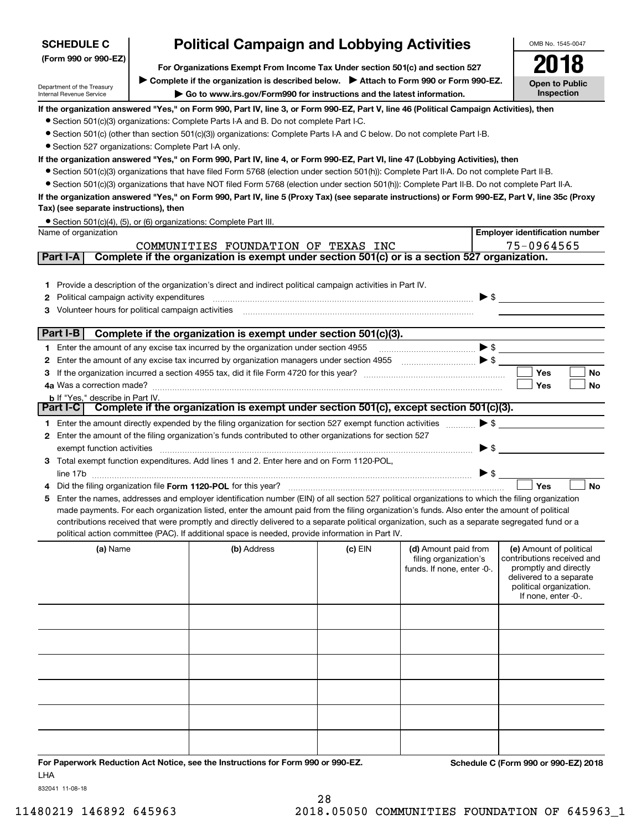| <b>SCHEDULE C</b>                                      | <b>Political Campaign and Lobbying Activities</b>                                                                                                                                                                                                                                                   |           |                                                     | OMB No. 1545-0047                                   |
|--------------------------------------------------------|-----------------------------------------------------------------------------------------------------------------------------------------------------------------------------------------------------------------------------------------------------------------------------------------------------|-----------|-----------------------------------------------------|-----------------------------------------------------|
| (Form 990 or 990-EZ)                                   |                                                                                                                                                                                                                                                                                                     |           |                                                     |                                                     |
|                                                        | For Organizations Exempt From Income Tax Under section 501(c) and section 527<br>► Complete if the organization is described below. ► Attach to Form 990 or Form 990-EZ.                                                                                                                            |           |                                                     |                                                     |
| Department of the Treasury<br>Internal Revenue Service | Go to www.irs.gov/Form990 for instructions and the latest information.                                                                                                                                                                                                                              |           |                                                     | <b>Open to Public</b><br>Inspection                 |
|                                                        | If the organization answered "Yes," on Form 990, Part IV, line 3, or Form 990-EZ, Part V, line 46 (Political Campaign Activities), then                                                                                                                                                             |           |                                                     |                                                     |
|                                                        | • Section 501(c)(3) organizations: Complete Parts I-A and B. Do not complete Part I-C.                                                                                                                                                                                                              |           |                                                     |                                                     |
|                                                        | • Section 501(c) (other than section 501(c)(3)) organizations: Complete Parts I-A and C below. Do not complete Part I-B.                                                                                                                                                                            |           |                                                     |                                                     |
| • Section 527 organizations: Complete Part I-A only.   |                                                                                                                                                                                                                                                                                                     |           |                                                     |                                                     |
|                                                        | If the organization answered "Yes," on Form 990, Part IV, line 4, or Form 990-EZ, Part VI, line 47 (Lobbying Activities), then                                                                                                                                                                      |           |                                                     |                                                     |
|                                                        | • Section 501(c)(3) organizations that have filed Form 5768 (election under section 501(h)): Complete Part II-A. Do not complete Part II-B.                                                                                                                                                         |           |                                                     |                                                     |
|                                                        | • Section 501(c)(3) organizations that have NOT filed Form 5768 (election under section 501(h)): Complete Part II-B. Do not complete Part II-A.<br>If the organization answered "Yes," on Form 990, Part IV, line 5 (Proxy Tax) (see separate instructions) or Form 990-EZ, Part V, line 35c (Proxy |           |                                                     |                                                     |
| Tax) (see separate instructions), then                 |                                                                                                                                                                                                                                                                                                     |           |                                                     |                                                     |
|                                                        | • Section 501(c)(4), (5), or (6) organizations: Complete Part III.                                                                                                                                                                                                                                  |           |                                                     |                                                     |
| Name of organization                                   |                                                                                                                                                                                                                                                                                                     |           |                                                     | <b>Employer identification number</b>               |
|                                                        | COMMUNITIES FOUNDATION OF TEXAS INC<br>Complete if the organization is exempt under section 501(c) or is a section 527 organization.                                                                                                                                                                |           |                                                     | 75-0964565                                          |
| Part I-A                                               |                                                                                                                                                                                                                                                                                                     |           |                                                     |                                                     |
|                                                        | 1 Provide a description of the organization's direct and indirect political campaign activities in Part IV.                                                                                                                                                                                         |           |                                                     |                                                     |
| <b>2</b> Political campaign activity expenditures      |                                                                                                                                                                                                                                                                                                     |           |                                                     | $\blacktriangleright$ \$                            |
| 3 Volunteer hours for political campaign activities    |                                                                                                                                                                                                                                                                                                     |           |                                                     |                                                     |
|                                                        |                                                                                                                                                                                                                                                                                                     |           |                                                     |                                                     |
| Part I-B                                               | Complete if the organization is exempt under section 501(c)(3).                                                                                                                                                                                                                                     |           |                                                     |                                                     |
|                                                        | 1 Enter the amount of any excise tax incurred by the organization under section 4955                                                                                                                                                                                                                |           |                                                     |                                                     |
|                                                        | 2 Enter the amount of any excise tax incurred by organization managers under section 4955                                                                                                                                                                                                           |           | $\ldots$ $\bullet$ $\bullet$ $\ldots$               |                                                     |
| З                                                      |                                                                                                                                                                                                                                                                                                     |           |                                                     | Yes<br>No                                           |
| <b>b</b> If "Yes," describe in Part IV.                |                                                                                                                                                                                                                                                                                                     |           |                                                     | Yes<br>No                                           |
|                                                        | Part I-C   Complete if the organization is exempt under section 501(c), except section 501(c)(3).                                                                                                                                                                                                   |           |                                                     |                                                     |
|                                                        | 1 Enter the amount directly expended by the filing organization for section 527 exempt function activities                                                                                                                                                                                          |           |                                                     | $\blacktriangleright$ \$                            |
|                                                        | 2 Enter the amount of the filing organization's funds contributed to other organizations for section 527                                                                                                                                                                                            |           |                                                     |                                                     |
| exempt function activities                             |                                                                                                                                                                                                                                                                                                     |           |                                                     | $\blacktriangleright$ \$                            |
|                                                        | 3 Total exempt function expenditures. Add lines 1 and 2. Enter here and on Form 1120-POL,                                                                                                                                                                                                           |           |                                                     |                                                     |
|                                                        |                                                                                                                                                                                                                                                                                                     |           |                                                     | $\triangleright$ \$<br><b>No</b>                    |
| 5                                                      | Enter the names, addresses and employer identification number (EIN) of all section 527 political organizations to which the filing organization                                                                                                                                                     |           |                                                     | Yes                                                 |
|                                                        | made payments. For each organization listed, enter the amount paid from the filing organization's funds. Also enter the amount of political                                                                                                                                                         |           |                                                     |                                                     |
|                                                        | contributions received that were promptly and directly delivered to a separate political organization, such as a separate segregated fund or a                                                                                                                                                      |           |                                                     |                                                     |
|                                                        | political action committee (PAC). If additional space is needed, provide information in Part IV.                                                                                                                                                                                                    |           |                                                     |                                                     |
| (a) Name                                               | (b) Address                                                                                                                                                                                                                                                                                         | $(c)$ EIN | (d) Amount paid from                                | (e) Amount of political                             |
|                                                        |                                                                                                                                                                                                                                                                                                     |           | filing organization's<br>funds. If none, enter -0-. | contributions received and<br>promptly and directly |
|                                                        |                                                                                                                                                                                                                                                                                                     |           |                                                     | delivered to a separate                             |
|                                                        |                                                                                                                                                                                                                                                                                                     |           |                                                     | political organization.<br>If none, enter -0-.      |
|                                                        |                                                                                                                                                                                                                                                                                                     |           |                                                     |                                                     |
|                                                        |                                                                                                                                                                                                                                                                                                     |           |                                                     |                                                     |
|                                                        |                                                                                                                                                                                                                                                                                                     |           |                                                     |                                                     |
|                                                        |                                                                                                                                                                                                                                                                                                     |           |                                                     |                                                     |
|                                                        |                                                                                                                                                                                                                                                                                                     |           |                                                     |                                                     |
|                                                        |                                                                                                                                                                                                                                                                                                     |           |                                                     |                                                     |
|                                                        |                                                                                                                                                                                                                                                                                                     |           |                                                     |                                                     |

**For Paperwork Reduction Act Notice, see the Instructions for Form 990 or 990-EZ. Schedule C (Form 990 or 990-EZ) 2018** LHA

832041 11-08-18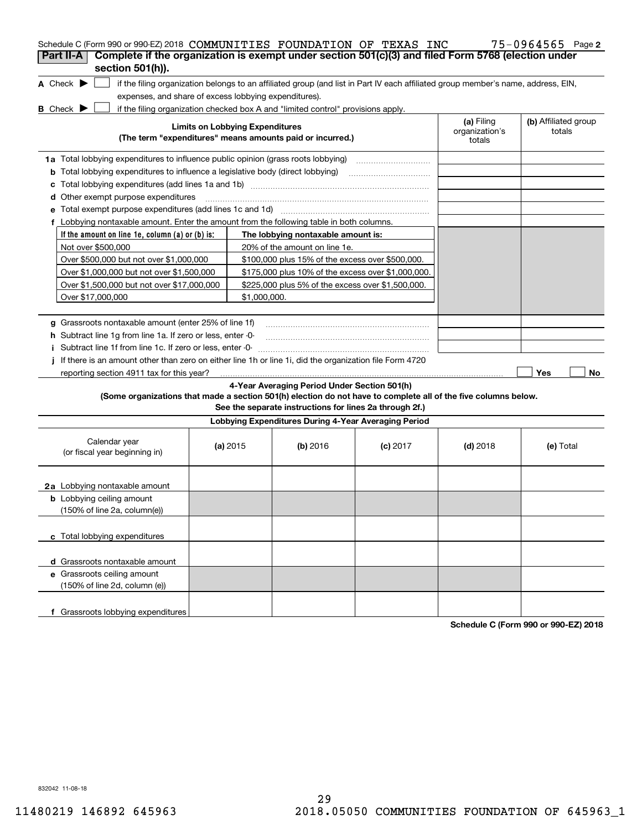| Schedule C (Form 990 or 990-EZ) 2018 COMMUNITIES FOUNDATION OF TEXAS INC                                                            |                                        |              |                                                                                  |                                                                                                                                   |                              | $75 - 0964565$ Page 2          |
|-------------------------------------------------------------------------------------------------------------------------------------|----------------------------------------|--------------|----------------------------------------------------------------------------------|-----------------------------------------------------------------------------------------------------------------------------------|------------------------------|--------------------------------|
| Complete if the organization is exempt under section 501(c)(3) and filed Form 5768 (election under<br>Part II-A<br>section 501(h)). |                                        |              |                                                                                  |                                                                                                                                   |                              |                                |
|                                                                                                                                     |                                        |              |                                                                                  |                                                                                                                                   |                              |                                |
| A Check $\blacktriangleright$                                                                                                       |                                        |              |                                                                                  | if the filing organization belongs to an affiliated group (and list in Part IV each affiliated group member's name, address, EIN, |                              |                                |
| expenses, and share of excess lobbying expenditures).                                                                               |                                        |              |                                                                                  |                                                                                                                                   |                              |                                |
| B Check D                                                                                                                           | <b>Limits on Lobbying Expenditures</b> |              | if the filing organization checked box A and "limited control" provisions apply. |                                                                                                                                   | (a) Filing<br>organization's | (b) Affiliated group<br>totals |
|                                                                                                                                     |                                        |              | (The term "expenditures" means amounts paid or incurred.)                        |                                                                                                                                   | totals                       |                                |
| 1a Total lobbying expenditures to influence public opinion (grass roots lobbying)                                                   |                                        |              |                                                                                  |                                                                                                                                   |                              |                                |
| <b>b</b> Total lobbying expenditures to influence a legislative body (direct lobbying) <i>manumumumum</i>                           |                                        |              |                                                                                  |                                                                                                                                   |                              |                                |
| c                                                                                                                                   |                                        |              |                                                                                  |                                                                                                                                   |                              |                                |
| <b>d</b> Other exempt purpose expenditures                                                                                          |                                        |              |                                                                                  |                                                                                                                                   |                              |                                |
|                                                                                                                                     |                                        |              |                                                                                  |                                                                                                                                   |                              |                                |
| f Lobbying nontaxable amount. Enter the amount from the following table in both columns.                                            |                                        |              |                                                                                  |                                                                                                                                   |                              |                                |
| If the amount on line 1e, column $(a)$ or $(b)$ is:                                                                                 |                                        |              | The lobbying nontaxable amount is:                                               |                                                                                                                                   |                              |                                |
| Not over \$500,000                                                                                                                  |                                        |              | 20% of the amount on line 1e.                                                    |                                                                                                                                   |                              |                                |
| Over \$500,000 but not over \$1,000,000                                                                                             |                                        |              | \$100,000 plus 15% of the excess over \$500,000.                                 |                                                                                                                                   |                              |                                |
| Over \$1,000,000 but not over \$1,500,000                                                                                           |                                        |              | \$175,000 plus 10% of the excess over \$1,000,000.                               |                                                                                                                                   |                              |                                |
| Over \$1,500,000 but not over \$17,000,000                                                                                          |                                        |              | \$225,000 plus 5% of the excess over \$1,500,000.                                |                                                                                                                                   |                              |                                |
| Over \$17,000,000                                                                                                                   |                                        | \$1,000,000. |                                                                                  |                                                                                                                                   |                              |                                |
|                                                                                                                                     |                                        |              |                                                                                  |                                                                                                                                   |                              |                                |
| g Grassroots nontaxable amount (enter 25% of line 1f)                                                                               |                                        |              |                                                                                  |                                                                                                                                   |                              |                                |
| <b>h</b> Subtract line 1g from line 1a. If zero or less, enter -0-                                                                  |                                        |              |                                                                                  |                                                                                                                                   |                              |                                |
| i Subtract line 1f from line 1c. If zero or less, enter -0-                                                                         |                                        |              |                                                                                  |                                                                                                                                   |                              |                                |
| If there is an amount other than zero on either line 1h or line 1i, did the organization file Form 4720                             |                                        |              |                                                                                  |                                                                                                                                   |                              |                                |
| reporting section 4911 tax for this year?                                                                                           |                                        |              |                                                                                  |                                                                                                                                   |                              | Yes<br>No                      |
|                                                                                                                                     |                                        |              | 4-Year Averaging Period Under Section 501(h)                                     |                                                                                                                                   |                              |                                |
| (Some organizations that made a section 501(h) election do not have to complete all of the five columns below.                      |                                        |              | See the separate instructions for lines 2a through 2f.)                          |                                                                                                                                   |                              |                                |
|                                                                                                                                     |                                        |              | Lobbying Expenditures During 4-Year Averaging Period                             |                                                                                                                                   |                              |                                |
| Calendar year<br>(or fiscal year beginning in)                                                                                      | (a) $2015$                             |              | $(b)$ 2016                                                                       | $(c)$ 2017                                                                                                                        | $(d)$ 2018                   | (e) Total                      |
| 2a Lobbying nontaxable amount                                                                                                       |                                        |              |                                                                                  |                                                                                                                                   |                              |                                |
| <b>b</b> Lobbying ceiling amount<br>(150% of line 2a, column(e))                                                                    |                                        |              |                                                                                  |                                                                                                                                   |                              |                                |
| c Total lobbying expenditures                                                                                                       |                                        |              |                                                                                  |                                                                                                                                   |                              |                                |
| d Grassroots nontaxable amount                                                                                                      |                                        |              |                                                                                  |                                                                                                                                   |                              |                                |
| e Grassroots ceiling amount<br>(150% of line 2d, column (e))                                                                        |                                        |              |                                                                                  |                                                                                                                                   |                              |                                |
| f Grassroots lobbying expenditures                                                                                                  |                                        |              |                                                                                  |                                                                                                                                   |                              |                                |

**Schedule C (Form 990 or 990-EZ) 2018**

832042 11-08-18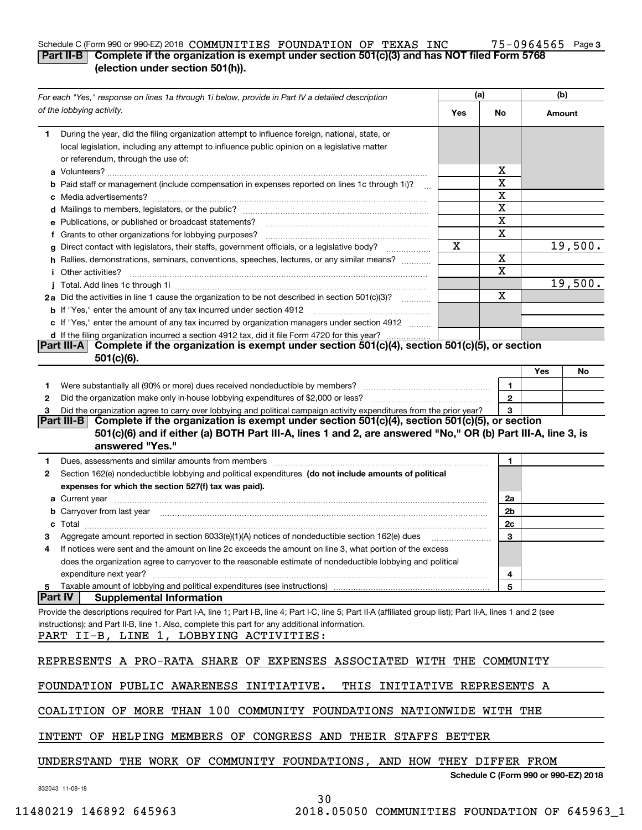#### **3** Schedule C (Form 990 or 990-EZ) 2018 **COMMUNITIES FOUNDATION OF TEXAS INC 75-0964565 Page Part II-B Complete if the organization is exempt under section 501(c)(3) and has NOT filed Form 5768 (election under section 501(h)).** COMMUNITIES FOUNDATION OF TEXAS INC 75-0964565

|                | For each "Yes," response on lines 1a through 1i below, provide in Part IV a detailed description                                                                                                                              | (a)    |              | (b)                                  |         |
|----------------|-------------------------------------------------------------------------------------------------------------------------------------------------------------------------------------------------------------------------------|--------|--------------|--------------------------------------|---------|
|                | of the lobbying activity.                                                                                                                                                                                                     | Yes    | No           | Amount                               |         |
| 1.             | During the year, did the filing organization attempt to influence foreign, national, state, or                                                                                                                                |        |              |                                      |         |
|                | local legislation, including any attempt to influence public opinion on a legislative matter                                                                                                                                  |        |              |                                      |         |
|                | or referendum, through the use of:                                                                                                                                                                                            |        |              |                                      |         |
|                |                                                                                                                                                                                                                               |        | х            |                                      |         |
|                | <b>b</b> Paid staff or management (include compensation in expenses reported on lines 1c through 1i)?                                                                                                                         |        | x            |                                      |         |
|                |                                                                                                                                                                                                                               |        | X            |                                      |         |
|                |                                                                                                                                                                                                                               |        | x            |                                      |         |
|                | e Publications, or published or broadcast statements?                                                                                                                                                                         |        | X            |                                      |         |
|                | f Grants to other organizations for lobbying purposes?                                                                                                                                                                        |        | X            |                                      |         |
|                | g Direct contact with legislators, their staffs, government officials, or a legislative body?                                                                                                                                 | x      |              |                                      | 19,500. |
|                | h Rallies, demonstrations, seminars, conventions, speeches, lectures, or any similar means?                                                                                                                                   |        | x            |                                      |         |
|                | <i>i</i> Other activities?                                                                                                                                                                                                    |        | x            |                                      |         |
|                |                                                                                                                                                                                                                               |        |              |                                      | 19,500. |
|                | 2a Did the activities in line 1 cause the organization to be not described in section 501(c)(3)?                                                                                                                              |        | X            |                                      |         |
|                |                                                                                                                                                                                                                               |        |              |                                      |         |
|                | c If "Yes," enter the amount of any tax incurred by organization managers under section 4912                                                                                                                                  |        |              |                                      |         |
|                | d If the filing organization incurred a section 4912 tax, did it file Form 4720 for this year?                                                                                                                                |        |              |                                      |         |
|                | Complete if the organization is exempt under section 501(c)(4), section 501(c)(5), or section<br> Part III-A                                                                                                                  |        |              |                                      |         |
|                | $501(c)(6)$ .                                                                                                                                                                                                                 |        |              |                                      |         |
|                |                                                                                                                                                                                                                               |        |              | Yes                                  | No      |
| 1              |                                                                                                                                                                                                                               |        | 1            |                                      |         |
| 2              |                                                                                                                                                                                                                               |        | $\mathbf{2}$ |                                      |         |
| 3              | Did the organization agree to carry over lobbying and political campaign activity expenditures from the prior year?                                                                                                           |        | 3            |                                      |         |
|                | Complete if the organization is exempt under section 501(c)(4), section 501(c)(5), or section<br>Part III-BI                                                                                                                  |        |              |                                      |         |
|                | 501(c)(6) and if either (a) BOTH Part III-A, lines 1 and 2, are answered "No," OR (b) Part III-A, line 3, is                                                                                                                  |        |              |                                      |         |
|                | answered "Yes."                                                                                                                                                                                                               |        |              |                                      |         |
| 1              | Dues, assessments and similar amounts from members [111] www.community.community.community.community.community                                                                                                                |        | 1.           |                                      |         |
| 2              | Section 162(e) nondeductible lobbying and political expenditures (do not include amounts of political                                                                                                                         |        |              |                                      |         |
|                | expenses for which the section 527(f) tax was paid).                                                                                                                                                                          |        |              |                                      |         |
|                | <b>a</b> Current year                                                                                                                                                                                                         |        | 2a           |                                      |         |
|                | b Carryover from last year manufactured and continuum contract to contact the contract of the contract of the contract of the contract of the contract of contract of the contract of the contract of contract of contract of |        | 2b           |                                      |         |
|                |                                                                                                                                                                                                                               |        | 2c           |                                      |         |
|                | Aggregate amount reported in section 6033(e)(1)(A) notices of nondeductible section 162(e) dues                                                                                                                               |        | 3            |                                      |         |
| 4              | If notices were sent and the amount on line 2c exceeds the amount on line 3, what portion of the excess                                                                                                                       |        |              |                                      |         |
|                | does the organization agree to carryover to the reasonable estimate of nondeductible lobbying and political                                                                                                                   |        |              |                                      |         |
|                | expenditure next year?                                                                                                                                                                                                        |        | 4            |                                      |         |
| 5              | Taxable amount of lobbying and political expenditures (see instructions)                                                                                                                                                      |        | 5            |                                      |         |
| <b>Part IV</b> | <b>Supplemental Information</b>                                                                                                                                                                                               |        |              |                                      |         |
|                | Provide the descriptions required for Part I-A, line 1; Part I-B, line 4; Part I-C, line 5; Part II-A (affiliated group list); Part II-A, lines 1 and 2 (see                                                                  |        |              |                                      |         |
|                | instructions); and Part II-B, line 1. Also, complete this part for any additional information.                                                                                                                                |        |              |                                      |         |
|                | PART II-B, LINE 1, LOBBYING ACTIVITIES:                                                                                                                                                                                       |        |              |                                      |         |
|                |                                                                                                                                                                                                                               |        |              |                                      |         |
|                | REPRESENTS A PRO-RATA SHARE OF EXPENSES ASSOCIATED WITH THE COMMUNITY                                                                                                                                                         |        |              |                                      |         |
|                |                                                                                                                                                                                                                               |        |              |                                      |         |
|                | FOUNDATION PUBLIC AWARENESS<br>INITIATIVE.<br>INITIATIVE REPRESENTS A<br>THIS                                                                                                                                                 |        |              |                                      |         |
|                |                                                                                                                                                                                                                               |        |              |                                      |         |
|                | COALITION OF MORE THAN 100<br>COMMUNITY FOUNDATIONS NATIONWIDE WITH THE                                                                                                                                                       |        |              |                                      |         |
|                |                                                                                                                                                                                                                               |        |              |                                      |         |
|                | HELPING MEMBERS OF CONGRESS AND<br>THEIR STAFFS<br><b>INTENT</b><br>ΟF                                                                                                                                                        | BETTER |              |                                      |         |
|                |                                                                                                                                                                                                                               |        |              |                                      |         |
|                | THE WORK OF COMMUNITY FOUNDATIONS, AND HOW THEY DIFFER FROM<br>UNDERSTAND                                                                                                                                                     |        |              |                                      |         |
|                |                                                                                                                                                                                                                               |        |              | Schedule C (Form 990 or 990-EZ) 2018 |         |
|                | 832043 11-08-18                                                                                                                                                                                                               |        |              |                                      |         |

30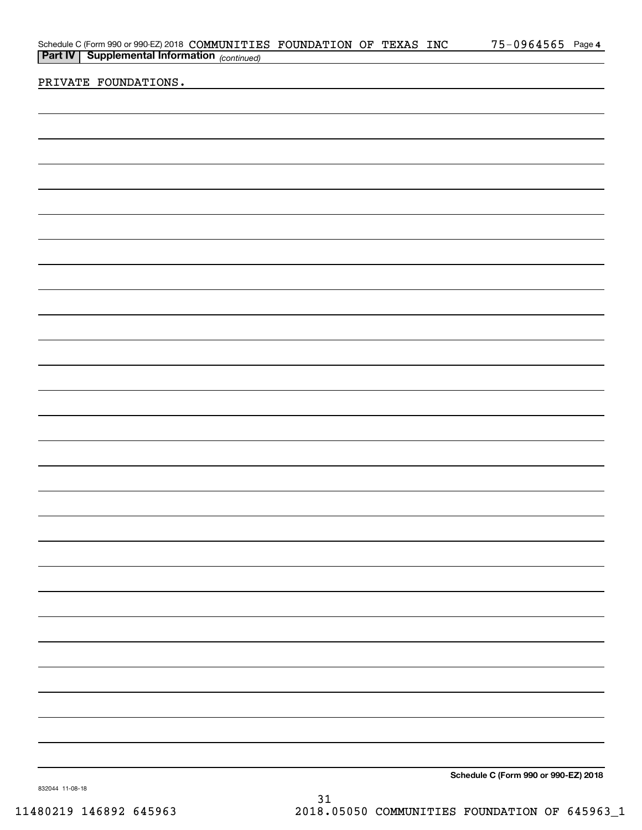| Schedule C (Form 990 or 990-EZ) 2018 COMMUNITIES FOUNDATION OF TEXAS INC<br><b>Part IV</b> Supplemental Information (continued) | 75-0964565 Page 4                      |
|---------------------------------------------------------------------------------------------------------------------------------|----------------------------------------|
|                                                                                                                                 |                                        |
| PRIVATE FOUNDATIONS.                                                                                                            |                                        |
|                                                                                                                                 |                                        |
|                                                                                                                                 |                                        |
|                                                                                                                                 |                                        |
|                                                                                                                                 |                                        |
|                                                                                                                                 |                                        |
|                                                                                                                                 |                                        |
|                                                                                                                                 |                                        |
|                                                                                                                                 |                                        |
|                                                                                                                                 |                                        |
|                                                                                                                                 |                                        |
|                                                                                                                                 |                                        |
|                                                                                                                                 |                                        |
|                                                                                                                                 |                                        |
|                                                                                                                                 |                                        |
|                                                                                                                                 |                                        |
|                                                                                                                                 |                                        |
|                                                                                                                                 |                                        |
|                                                                                                                                 |                                        |
|                                                                                                                                 |                                        |
|                                                                                                                                 |                                        |
|                                                                                                                                 |                                        |
|                                                                                                                                 |                                        |
|                                                                                                                                 |                                        |
|                                                                                                                                 |                                        |
|                                                                                                                                 |                                        |
|                                                                                                                                 |                                        |
|                                                                                                                                 |                                        |
|                                                                                                                                 |                                        |
|                                                                                                                                 |                                        |
|                                                                                                                                 |                                        |
|                                                                                                                                 |                                        |
|                                                                                                                                 |                                        |
|                                                                                                                                 |                                        |
|                                                                                                                                 |                                        |
|                                                                                                                                 |                                        |
|                                                                                                                                 |                                        |
|                                                                                                                                 |                                        |
|                                                                                                                                 |                                        |
|                                                                                                                                 |                                        |
|                                                                                                                                 |                                        |
|                                                                                                                                 |                                        |
|                                                                                                                                 |                                        |
|                                                                                                                                 |                                        |
|                                                                                                                                 | Calcadole O (Fauge 000 au 000 FZ) 0040 |

**Schedule C (Form 990 or 990-EZ) 2018**

832044 11-08-18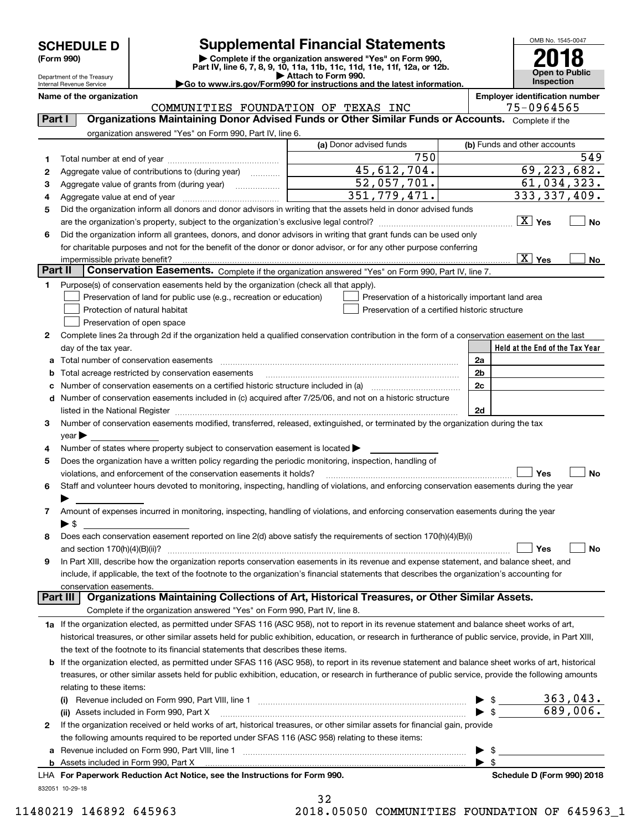Department of the Treasury

# **SCHEDULE D Supplemental Financial Statements**

(Form 990)<br>
Pepartment of the Treasury<br>
Department of the Treasury<br>
Department of the Treasury<br>
Department of the Treasury<br> **Co to www.irs.gov/Form990 for instructions and the latest information.**<br> **Co to www.irs.gov/Form9** 



Internal Revenue Service

**Name of the organization Employer identification number**

COMMUNITIES FOUNDATION OF TEXAS INC 75-0964565

| Part I  | Organizations Maintaining Donor Advised Funds or Other Similar Funds or Accounts. Complete if the                                                          |                                                    |                                                                                                                                                                                         |
|---------|------------------------------------------------------------------------------------------------------------------------------------------------------------|----------------------------------------------------|-----------------------------------------------------------------------------------------------------------------------------------------------------------------------------------------|
|         | organization answered "Yes" on Form 990, Part IV, line 6.                                                                                                  |                                                    |                                                                                                                                                                                         |
|         |                                                                                                                                                            | (a) Donor advised funds                            | (b) Funds and other accounts                                                                                                                                                            |
| 1       |                                                                                                                                                            | 750                                                | 549                                                                                                                                                                                     |
| 2       | Aggregate value of contributions to (during year)                                                                                                          | 45,612,704.                                        | 69, 223, 682.                                                                                                                                                                           |
| 3       | Aggregate value of grants from (during year)                                                                                                               | 52,057,701.                                        | 61,034,323.                                                                                                                                                                             |
| 4       |                                                                                                                                                            | 351,779,471.                                       | 333, 337, 409.                                                                                                                                                                          |
| 5       | Did the organization inform all donors and donor advisors in writing that the assets held in donor advised funds                                           |                                                    |                                                                                                                                                                                         |
|         |                                                                                                                                                            |                                                    | $\boxed{\text{X}}$ Yes<br>No                                                                                                                                                            |
| 6       | Did the organization inform all grantees, donors, and donor advisors in writing that grant funds can be used only                                          |                                                    |                                                                                                                                                                                         |
|         | for charitable purposes and not for the benefit of the donor or donor advisor, or for any other purpose conferring                                         |                                                    |                                                                                                                                                                                         |
|         |                                                                                                                                                            |                                                    | $\overline{X}$ Yes<br>No                                                                                                                                                                |
| Part II | Conservation Easements. Complete if the organization answered "Yes" on Form 990, Part IV, line 7.                                                          |                                                    |                                                                                                                                                                                         |
| 1.      | Purpose(s) of conservation easements held by the organization (check all that apply).                                                                      |                                                    |                                                                                                                                                                                         |
|         | Preservation of land for public use (e.g., recreation or education)                                                                                        | Preservation of a historically important land area |                                                                                                                                                                                         |
|         | Protection of natural habitat                                                                                                                              | Preservation of a certified historic structure     |                                                                                                                                                                                         |
|         | Preservation of open space                                                                                                                                 |                                                    |                                                                                                                                                                                         |
| 2       | Complete lines 2a through 2d if the organization held a qualified conservation contribution in the form of a conservation easement on the last             |                                                    |                                                                                                                                                                                         |
|         | day of the tax year.                                                                                                                                       |                                                    | Held at the End of the Tax Year                                                                                                                                                         |
| а       |                                                                                                                                                            |                                                    | 2a                                                                                                                                                                                      |
| b       | Total acreage restricted by conservation easements                                                                                                         |                                                    | 2 <sub>b</sub>                                                                                                                                                                          |
|         |                                                                                                                                                            |                                                    | 2c                                                                                                                                                                                      |
|         | d Number of conservation easements included in (c) acquired after 7/25/06, and not on a historic structure                                                 |                                                    |                                                                                                                                                                                         |
|         | listed in the National Register [111] March 1999 State of March 1999 State of March 1999 State of March 1999 St                                            |                                                    | 2d                                                                                                                                                                                      |
| З       | Number of conservation easements modified, transferred, released, extinguished, or terminated by the organization during the tax                           |                                                    |                                                                                                                                                                                         |
|         | year                                                                                                                                                       |                                                    |                                                                                                                                                                                         |
| 4       | Number of states where property subject to conservation easement is located >                                                                              |                                                    |                                                                                                                                                                                         |
| 5       | Does the organization have a written policy regarding the periodic monitoring, inspection, handling of                                                     |                                                    |                                                                                                                                                                                         |
|         | violations, and enforcement of the conservation easements it holds?                                                                                        |                                                    | Yes<br>No                                                                                                                                                                               |
| 6       | Staff and volunteer hours devoted to monitoring, inspecting, handling of violations, and enforcing conservation easements during the year                  |                                                    |                                                                                                                                                                                         |
|         |                                                                                                                                                            |                                                    |                                                                                                                                                                                         |
| 7       | Amount of expenses incurred in monitoring, inspecting, handling of violations, and enforcing conservation easements during the year                        |                                                    |                                                                                                                                                                                         |
|         | $\blacktriangleright$ S                                                                                                                                    |                                                    |                                                                                                                                                                                         |
| 8       | Does each conservation easement reported on line 2(d) above satisfy the requirements of section 170(h)(4)(B)(i)                                            |                                                    |                                                                                                                                                                                         |
|         |                                                                                                                                                            |                                                    | Yes<br>No                                                                                                                                                                               |
| 9       | In Part XIII, describe how the organization reports conservation easements in its revenue and expense statement, and balance sheet, and                    |                                                    |                                                                                                                                                                                         |
|         | include, if applicable, the text of the footnote to the organization's financial statements that describes the organization's accounting for               |                                                    |                                                                                                                                                                                         |
|         | conservation easements.                                                                                                                                    |                                                    |                                                                                                                                                                                         |
|         | Organizations Maintaining Collections of Art, Historical Treasures, or Other Similar Assets.<br>Part III                                                   |                                                    |                                                                                                                                                                                         |
|         | Complete if the organization answered "Yes" on Form 990, Part IV, line 8.                                                                                  |                                                    |                                                                                                                                                                                         |
|         | 1a If the organization elected, as permitted under SFAS 116 (ASC 958), not to report in its revenue statement and balance sheet works of art,              |                                                    |                                                                                                                                                                                         |
|         | historical treasures, or other similar assets held for public exhibition, education, or research in furtherance of public service, provide, in Part XIII,  |                                                    |                                                                                                                                                                                         |
|         | the text of the footnote to its financial statements that describes these items.                                                                           |                                                    |                                                                                                                                                                                         |
|         | <b>b</b> If the organization elected, as permitted under SFAS 116 (ASC 958), to report in its revenue statement and balance sheet works of art, historical |                                                    |                                                                                                                                                                                         |
|         | treasures, or other similar assets held for public exhibition, education, or research in furtherance of public service, provide the following amounts      |                                                    |                                                                                                                                                                                         |
|         | relating to these items:                                                                                                                                   |                                                    |                                                                                                                                                                                         |
|         | (i)                                                                                                                                                        |                                                    | $\begin{array}{r} \triangleright \ \ $ \text{\textsterling}$ & \quad \text{\textsterling} \ 363,043. \\ \hline \triangleright \ \$ & \quad \text{\textsterling} \ 689,006. \end{array}$ |
|         | (ii) Assets included in Form 990, Part X                                                                                                                   |                                                    |                                                                                                                                                                                         |
| 2       | If the organization received or held works of art, historical treasures, or other similar assets for financial gain, provide                               |                                                    |                                                                                                                                                                                         |
|         | the following amounts required to be reported under SFAS 116 (ASC 958) relating to these items:                                                            |                                                    |                                                                                                                                                                                         |
| а       |                                                                                                                                                            |                                                    | - \$<br>▶                                                                                                                                                                               |
|         |                                                                                                                                                            |                                                    | $\blacktriangleright$ \$                                                                                                                                                                |
|         | LHA For Paperwork Reduction Act Notice, see the Instructions for Form 990.                                                                                 |                                                    | Schedule D (Form 990) 2018                                                                                                                                                              |
|         | 832051 10-29-18                                                                                                                                            |                                                    |                                                                                                                                                                                         |

32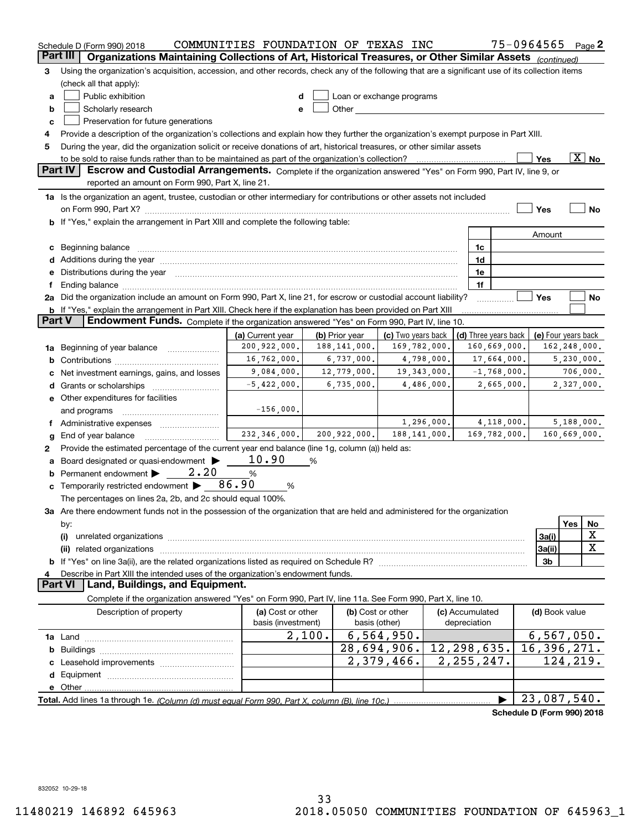|               | Schedule D (Form 990) 2018                                                                                                                                                                                                     | COMMUNITIES FOUNDATION OF TEXAS INC |        |                |                           |              |                 |                      | 75-0964565                 |     | Page 2                   |
|---------------|--------------------------------------------------------------------------------------------------------------------------------------------------------------------------------------------------------------------------------|-------------------------------------|--------|----------------|---------------------------|--------------|-----------------|----------------------|----------------------------|-----|--------------------------|
|               | Part III<br>Organizations Maintaining Collections of Art, Historical Treasures, or Other Similar Assets (continued)                                                                                                            |                                     |        |                |                           |              |                 |                      |                            |     |                          |
| 3             | Using the organization's acquisition, accession, and other records, check any of the following that are a significant use of its collection items                                                                              |                                     |        |                |                           |              |                 |                      |                            |     |                          |
|               | (check all that apply):                                                                                                                                                                                                        |                                     |        |                |                           |              |                 |                      |                            |     |                          |
| а             | Public exhibition                                                                                                                                                                                                              | d                                   |        |                | Loan or exchange programs |              |                 |                      |                            |     |                          |
| b             | Scholarly research                                                                                                                                                                                                             | е                                   |        |                |                           |              |                 |                      |                            |     |                          |
| с             | Preservation for future generations                                                                                                                                                                                            |                                     |        |                |                           |              |                 |                      |                            |     |                          |
| 4             | Provide a description of the organization's collections and explain how they further the organization's exempt purpose in Part XIII.                                                                                           |                                     |        |                |                           |              |                 |                      |                            |     |                          |
| 5             | During the year, did the organization solicit or receive donations of art, historical treasures, or other similar assets                                                                                                       |                                     |        |                |                           |              |                 |                      |                            |     |                          |
|               | to be sold to raise funds rather than to be maintained as part of the organization's collection?                                                                                                                               |                                     |        |                |                           | . <u>.</u> . |                 |                      | Yes                        |     | $\overline{\text{X}}$ No |
|               | <b>Part IV</b><br>Escrow and Custodial Arrangements. Complete if the organization answered "Yes" on Form 990, Part IV, line 9, or<br>reported an amount on Form 990, Part X, line 21.                                          |                                     |        |                |                           |              |                 |                      |                            |     |                          |
|               |                                                                                                                                                                                                                                |                                     |        |                |                           |              |                 |                      |                            |     |                          |
|               | 1a Is the organization an agent, trustee, custodian or other intermediary for contributions or other assets not included                                                                                                       |                                     |        |                |                           |              |                 |                      |                            |     |                          |
|               | <b>b</b> If "Yes," explain the arrangement in Part XIII and complete the following table:                                                                                                                                      |                                     |        |                |                           |              |                 |                      | Yes                        |     | No                       |
|               |                                                                                                                                                                                                                                |                                     |        |                |                           |              |                 |                      |                            |     |                          |
|               |                                                                                                                                                                                                                                |                                     |        |                |                           |              | 1c              |                      | Amount                     |     |                          |
|               | c Beginning balance measurements and the contract of the contract of the contract of the contract of the contract of the contract of the contract of the contract of the contract of the contract of the contract of the contr |                                     |        |                |                           |              | 1d              |                      |                            |     |                          |
|               |                                                                                                                                                                                                                                |                                     |        |                |                           |              | 1e              |                      |                            |     |                          |
|               | e Distributions during the year manufactured and an according to the year manufactured and the year manufactur                                                                                                                 |                                     |        |                |                           |              | 1f              |                      |                            |     |                          |
|               | 2a Did the organization include an amount on Form 990, Part X, line 21, for escrow or custodial account liability?                                                                                                             |                                     |        |                |                           |              |                 |                      | Yes                        |     | No                       |
|               | <b>b</b> If "Yes," explain the arrangement in Part XIII. Check here if the explanation has been provided on Part XIII                                                                                                          |                                     |        |                |                           |              |                 |                      |                            |     |                          |
| <b>Part V</b> | Endowment Funds. Complete if the organization answered "Yes" on Form 990, Part IV, line 10.                                                                                                                                    |                                     |        |                |                           |              |                 |                      |                            |     |                          |
|               |                                                                                                                                                                                                                                | (a) Current year                    |        | (b) Prior year | (c) Two years back        |              |                 | (d) Three years back |                            |     | (e) Four years back      |
|               | 1a Beginning of year balance                                                                                                                                                                                                   | 200,922,000.                        |        | 188, 141, 000. | 169,782,000.              |              |                 | 160,669,000.         |                            |     | 162,248,000.             |
|               |                                                                                                                                                                                                                                | 16,762,000.                         |        | 6,737,000.     |                           | 4,798,000.   |                 | 17,664,000.          |                            |     | 5,230,000.               |
| c             | Net investment earnings, gains, and losses                                                                                                                                                                                     | 9,084,000.                          |        | 12,779,000.    |                           | 19,343,000.  |                 | $-1,768,000.$        |                            |     | 706,000.                 |
|               |                                                                                                                                                                                                                                | $-5,422,000.$                       |        | 6,735,000.     |                           | 4,486,000.   |                 | 2,665,000.           |                            |     | 2,327,000.               |
|               | e Other expenditures for facilities                                                                                                                                                                                            |                                     |        |                |                           |              |                 |                      |                            |     |                          |
|               | and programs                                                                                                                                                                                                                   | $-156,000.$                         |        |                |                           |              |                 |                      |                            |     |                          |
|               | f Administrative expenses                                                                                                                                                                                                      |                                     |        |                |                           | 1,296,000.   |                 | 4,118,000.           |                            |     | 5,188,000.               |
| g             | End of year balance                                                                                                                                                                                                            | 232, 346, 000.                      |        | 200,922,000.   | 188, 141, 000.            |              |                 | 169,782,000.         |                            |     | 160,669,000.             |
| 2             | Provide the estimated percentage of the current year end balance (line 1g, column (a)) held as:                                                                                                                                |                                     |        |                |                           |              |                 |                      |                            |     |                          |
| а             | Board designated or quasi-endowment                                                                                                                                                                                            | 10.90                               | %      |                |                           |              |                 |                      |                            |     |                          |
|               | <b>b</b> Permanent endowment $\blacktriangleright$<br>2.20                                                                                                                                                                     | %                                   |        |                |                           |              |                 |                      |                            |     |                          |
|               | <b>c</b> Temporarily restricted endowment $\triangleright$ 86.90                                                                                                                                                               | %                                   |        |                |                           |              |                 |                      |                            |     |                          |
|               | The percentages on lines 2a, 2b, and 2c should equal 100%.                                                                                                                                                                     |                                     |        |                |                           |              |                 |                      |                            |     |                          |
|               | 3a Are there endowment funds not in the possession of the organization that are held and administered for the organization                                                                                                     |                                     |        |                |                           |              |                 |                      |                            |     |                          |
|               | by:                                                                                                                                                                                                                            |                                     |        |                |                           |              |                 |                      |                            | Yes | No                       |
|               | (i)                                                                                                                                                                                                                            |                                     |        |                |                           |              |                 |                      | 3a(i)                      |     | х                        |
|               |                                                                                                                                                                                                                                |                                     |        |                |                           |              |                 |                      | 3a(ii)                     |     | X                        |
|               |                                                                                                                                                                                                                                |                                     |        |                |                           |              |                 |                      | 3b                         |     |                          |
| 4             | Describe in Part XIII the intended uses of the organization's endowment funds.                                                                                                                                                 |                                     |        |                |                           |              |                 |                      |                            |     |                          |
|               | Land, Buildings, and Equipment.<br><b>Part VI</b>                                                                                                                                                                              |                                     |        |                |                           |              |                 |                      |                            |     |                          |
|               | Complete if the organization answered "Yes" on Form 990, Part IV, line 11a. See Form 990, Part X, line 10.                                                                                                                     |                                     |        |                |                           |              |                 |                      |                            |     |                          |
|               | Description of property                                                                                                                                                                                                        | (a) Cost or other                   |        |                | (b) Cost or other         |              | (c) Accumulated |                      | (d) Book value             |     |                          |
|               |                                                                                                                                                                                                                                | basis (investment)                  |        |                | basis (other)             |              | depreciation    |                      |                            |     |                          |
|               |                                                                                                                                                                                                                                |                                     | 2,100. |                | 6, 564, 950.              |              |                 |                      | 6, 567, 050.               |     |                          |
| b             |                                                                                                                                                                                                                                |                                     |        |                | 28,694,906.               |              | 12,298,635.     |                      | 16,396,271.                |     |                          |
|               |                                                                                                                                                                                                                                |                                     |        |                | 2,379,466.                |              | 2, 255, 247.    |                      |                            |     | 124,219.                 |
|               |                                                                                                                                                                                                                                |                                     |        |                |                           |              |                 |                      |                            |     |                          |
|               |                                                                                                                                                                                                                                |                                     |        |                |                           |              |                 |                      |                            |     |                          |
|               |                                                                                                                                                                                                                                |                                     |        |                |                           |              |                 |                      | 23,087,540.                |     |                          |
|               |                                                                                                                                                                                                                                |                                     |        |                |                           |              |                 |                      | Schedule D (Form 990) 2018 |     |                          |

832052 10-29-18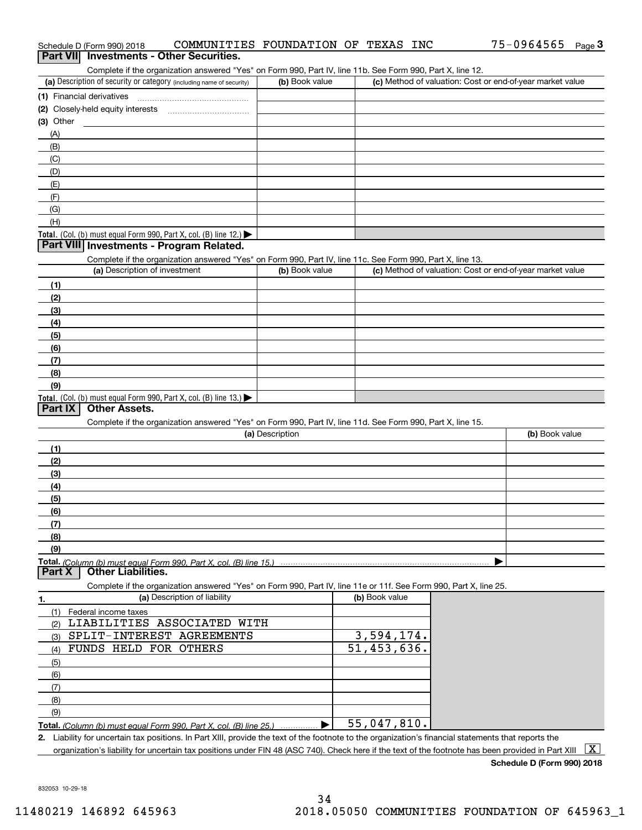| Complete if the organization answered "Yes" on Form 990, Part IV, line 11b. See Form 990, Part X, line 12.                                           |                 |                             |                                                           |
|------------------------------------------------------------------------------------------------------------------------------------------------------|-----------------|-----------------------------|-----------------------------------------------------------|
| (a) Description of security or category (including name of security)                                                                                 | (b) Book value  |                             | (c) Method of valuation: Cost or end-of-year market value |
|                                                                                                                                                      |                 |                             |                                                           |
|                                                                                                                                                      |                 |                             |                                                           |
| $(3)$ Other                                                                                                                                          |                 |                             |                                                           |
| (A)                                                                                                                                                  |                 |                             |                                                           |
| (B)                                                                                                                                                  |                 |                             |                                                           |
| (C)                                                                                                                                                  |                 |                             |                                                           |
| (D)                                                                                                                                                  |                 |                             |                                                           |
| (E)                                                                                                                                                  |                 |                             |                                                           |
| (F)                                                                                                                                                  |                 |                             |                                                           |
| (G)                                                                                                                                                  |                 |                             |                                                           |
| (H)                                                                                                                                                  |                 |                             |                                                           |
| Total. (Col. (b) must equal Form 990, Part X, col. (B) line 12.) $\blacktriangleright$                                                               |                 |                             |                                                           |
| Part VIII Investments - Program Related.                                                                                                             |                 |                             |                                                           |
| Complete if the organization answered "Yes" on Form 990, Part IV, line 11c. See Form 990, Part X, line 13.                                           |                 |                             |                                                           |
| (a) Description of investment                                                                                                                        | (b) Book value  |                             | (c) Method of valuation: Cost or end-of-year market value |
| (1)                                                                                                                                                  |                 |                             |                                                           |
| (2)                                                                                                                                                  |                 |                             |                                                           |
| (3)                                                                                                                                                  |                 |                             |                                                           |
| (4)                                                                                                                                                  |                 |                             |                                                           |
| (5)                                                                                                                                                  |                 |                             |                                                           |
| (6)                                                                                                                                                  |                 |                             |                                                           |
| (7)                                                                                                                                                  |                 |                             |                                                           |
| (8)                                                                                                                                                  |                 |                             |                                                           |
| (9)                                                                                                                                                  |                 |                             |                                                           |
| Total. (Col. (b) must equal Form 990, Part X, col. (B) line 13.)                                                                                     |                 |                             |                                                           |
| Part IX<br><b>Other Assets.</b>                                                                                                                      |                 |                             |                                                           |
| Complete if the organization answered "Yes" on Form 990, Part IV, line 11d. See Form 990, Part X, line 15.                                           | (a) Description |                             | (b) Book value                                            |
|                                                                                                                                                      |                 |                             |                                                           |
| (1)                                                                                                                                                  |                 |                             |                                                           |
| (2)                                                                                                                                                  |                 |                             |                                                           |
| (3)                                                                                                                                                  |                 |                             |                                                           |
| (4)                                                                                                                                                  |                 |                             |                                                           |
| (5)                                                                                                                                                  |                 |                             |                                                           |
| (6)                                                                                                                                                  |                 |                             |                                                           |
| (7)                                                                                                                                                  |                 |                             |                                                           |
| (8)                                                                                                                                                  |                 |                             |                                                           |
| (9)                                                                                                                                                  |                 |                             |                                                           |
| Total. (Column (b) must equal Form 990. Part X, col. (B) line 15.)<br>Part X<br><b>Other Liabilities.</b>                                            |                 |                             |                                                           |
|                                                                                                                                                      |                 |                             |                                                           |
| Complete if the organization answered "Yes" on Form 990, Part IV, line 11e or 11f. See Form 990, Part X, line 25.<br>(a) Description of liability    |                 | (b) Book value              |                                                           |
| 1.<br>(1) Federal income taxes                                                                                                                       |                 |                             |                                                           |
| LIABILITIES ASSOCIATED WITH<br>(2)                                                                                                                   |                 |                             |                                                           |
| SPLIT-INTEREST AGREEMENTS                                                                                                                            |                 | 3,594,174.                  |                                                           |
| (3)<br>FUNDS HELD FOR OTHERS<br>(4)                                                                                                                  |                 | $\overline{51}$ , 453, 636. |                                                           |
|                                                                                                                                                      |                 |                             |                                                           |
| (5)                                                                                                                                                  |                 |                             |                                                           |
| (6)<br>(7)                                                                                                                                           |                 |                             |                                                           |
|                                                                                                                                                      |                 |                             |                                                           |
| (8)                                                                                                                                                  |                 |                             |                                                           |
| (9)                                                                                                                                                  |                 | 55,047,810.                 |                                                           |
| 2. Liability for uncertain tax positions. In Part XIII, provide the text of the footnote to the organization's financial statements that reports the |                 |                             |                                                           |
|                                                                                                                                                      |                 |                             | $\overline{$                                              |

organization's liability for uncertain tax positions under FIN 48 (ASC 740). Check here if the text of the footnote has been provided in Part XIII  $~\boxed{\rm X}$ 

# Schedule D (Form 990) 2018 COMMUNITIES FOUNDATION OF TEXAS INC 75-0964565 <sub>Page</sub> 3<br>| **Part VII** | Investments - Other Securities.

| (a) Description of security or category (including name of security) | (b) Book value | (c) Method of valuation: Cost or end-of-year market value |
|----------------------------------------------------------------------|----------------|-----------------------------------------------------------|
| 1) Financial derivatives                                             |                |                                                           |
| 2) Closely-held equity interests                                     |                |                                                           |
| 3) Other                                                             |                |                                                           |
| $\Delta$                                                             |                |                                                           |
| (B)                                                                  |                |                                                           |
| (C)                                                                  |                |                                                           |
| (D)                                                                  |                |                                                           |
| (E)                                                                  |                |                                                           |
| (F)                                                                  |                |                                                           |
| (G)                                                                  |                |                                                           |
| (H)                                                                  |                |                                                           |
| Total. (Col. (b) must equal Form 990, Part X, col. (B) line $12$ .)  |                |                                                           |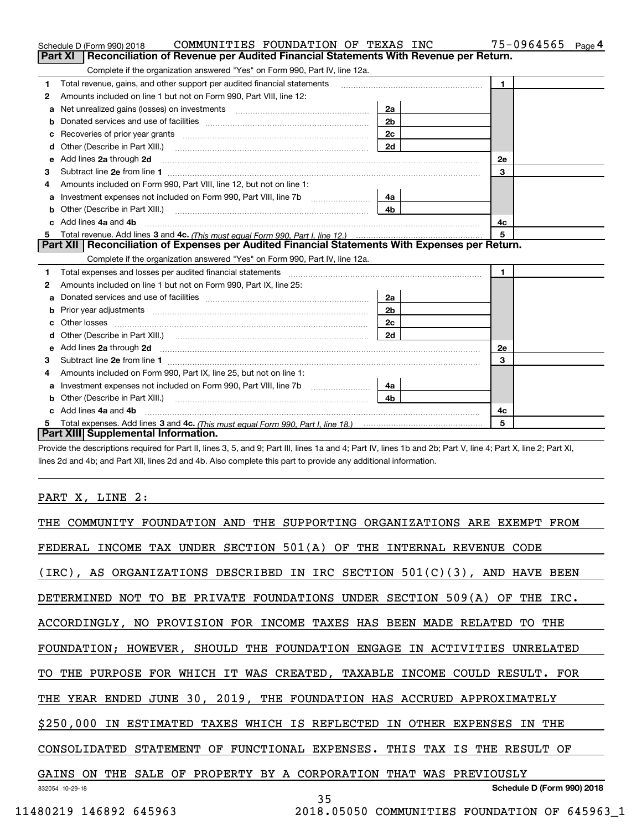|    | COMMUNITIES FOUNDATION OF TEXAS INC<br>Schedule D (Form 990) 2018                                                                                                                                                                  |                | 75-0964565<br>Page 4 |
|----|------------------------------------------------------------------------------------------------------------------------------------------------------------------------------------------------------------------------------------|----------------|----------------------|
|    | Reconciliation of Revenue per Audited Financial Statements With Revenue per Return.<br>Part XI                                                                                                                                     |                |                      |
|    | Complete if the organization answered "Yes" on Form 990, Part IV, line 12a.                                                                                                                                                        |                |                      |
| 1  | Total revenue, gains, and other support per audited financial statements                                                                                                                                                           |                | $\blacksquare$       |
| 2  | Amounts included on line 1 but not on Form 990, Part VIII, line 12:                                                                                                                                                                |                |                      |
| a  |                                                                                                                                                                                                                                    | 2a             |                      |
|    |                                                                                                                                                                                                                                    | 2 <sub>b</sub> |                      |
|    |                                                                                                                                                                                                                                    | 2c             |                      |
| d  | Other (Describe in Part XIII.) <b>Construction Contract Construction</b> Chemistry Chemistry Chemistry Chemistry Chemistry                                                                                                         | 2d             |                      |
| е  | Add lines 2a through 2d                                                                                                                                                                                                            |                | 2e                   |
| 3  |                                                                                                                                                                                                                                    |                | 3                    |
| 4  | Amounts included on Form 990, Part VIII, line 12, but not on line 1:                                                                                                                                                               |                |                      |
| а  |                                                                                                                                                                                                                                    | 4a             |                      |
| b  |                                                                                                                                                                                                                                    | 4 <sub>b</sub> |                      |
| c. | Add lines 4a and 4b                                                                                                                                                                                                                |                | 4с                   |
|    |                                                                                                                                                                                                                                    |                | 5                    |
|    | Part XII   Reconciliation of Expenses per Audited Financial Statements With Expenses per Return.                                                                                                                                   |                |                      |
|    | Complete if the organization answered "Yes" on Form 990, Part IV, line 12a.                                                                                                                                                        |                |                      |
| 1  |                                                                                                                                                                                                                                    |                | $\mathbf{1}$         |
| 2  | Amounts included on line 1 but not on Form 990, Part IX, line 25:                                                                                                                                                                  |                |                      |
| a  |                                                                                                                                                                                                                                    | 2a             |                      |
| b  |                                                                                                                                                                                                                                    | 2 <sub>b</sub> |                      |
| c  |                                                                                                                                                                                                                                    | 2с             |                      |
| d  |                                                                                                                                                                                                                                    | 2d             |                      |
| е  | Add lines 2a through 2d <b>contract and all anomalisation</b> and all anomalisation of the state of the state of the state of the state of the state of the state of the state of the state of the state of the state of the state |                | 2e                   |
| 3  |                                                                                                                                                                                                                                    |                | 3                    |
| 4  | Amounts included on Form 990, Part IX, line 25, but not on line 1:                                                                                                                                                                 |                |                      |
| а  |                                                                                                                                                                                                                                    | 4a l           |                      |
| b  |                                                                                                                                                                                                                                    | 4b             |                      |
|    |                                                                                                                                                                                                                                    |                |                      |
|    | Add lines 4a and 4b                                                                                                                                                                                                                |                | 4c                   |
|    | Part XIII Supplemental Information.                                                                                                                                                                                                |                | 5                    |

Provide the descriptions required for Part II, lines 3, 5, and 9; Part III, lines 1a and 4; Part IV, lines 1b and 2b; Part V, line 4; Part X, line 2; Part XI, lines 2d and 4b; and Part XII, lines 2d and 4b. Also complete this part to provide any additional information.

# PART X, LINE 2:

| THE COMMUNITY FOUNDATION AND THE SUPPORTING ORGANIZATIONS ARE EXEMPT FROM    |
|------------------------------------------------------------------------------|
| FEDERAL INCOME TAX UNDER SECTION 501(A) OF THE INTERNAL REVENUE CODE         |
| $(IRC)$ , AS ORGANIZATIONS DESCRIBED IN IRC SECTION 501(C)(3), AND HAVE BEEN |
| DETERMINED NOT TO BE PRIVATE FOUNDATIONS UNDER SECTION 509(A) OF THE IRC.    |
| ACCORDINGLY, NO PROVISION FOR INCOME TAXES HAS BEEN MADE RELATED<br>TO THE   |
| FOUNDATION; HOWEVER, SHOULD THE FOUNDATION ENGAGE IN ACTIVITIES UNRELATED    |
| TO THE PURPOSE FOR WHICH IT WAS CREATED, TAXABLE INCOME COULD RESULT. FOR    |
| THE YEAR ENDED JUNE 30, 2019, THE FOUNDATION HAS ACCRUED APPROXIMATELY       |
| \$250,000 IN ESTIMATED TAXES WHICH IS REFLECTED IN OTHER EXPENSES<br>IN THE  |
| CONSOLIDATED STATEMENT OF FUNCTIONAL EXPENSES. THIS TAX IS THE RESULT OF     |
| PROPERTY BY A CORPORATION THAT WAS PREVIOUSLY<br>GAINS ON THE SALE OF        |
| Schedule D (Form 990) 2018<br>832054 10-29-18<br>35                          |
| 11480219 146892 645963<br>2018.05050 COMMUNITIES FOUNDATION OF 645963 1      |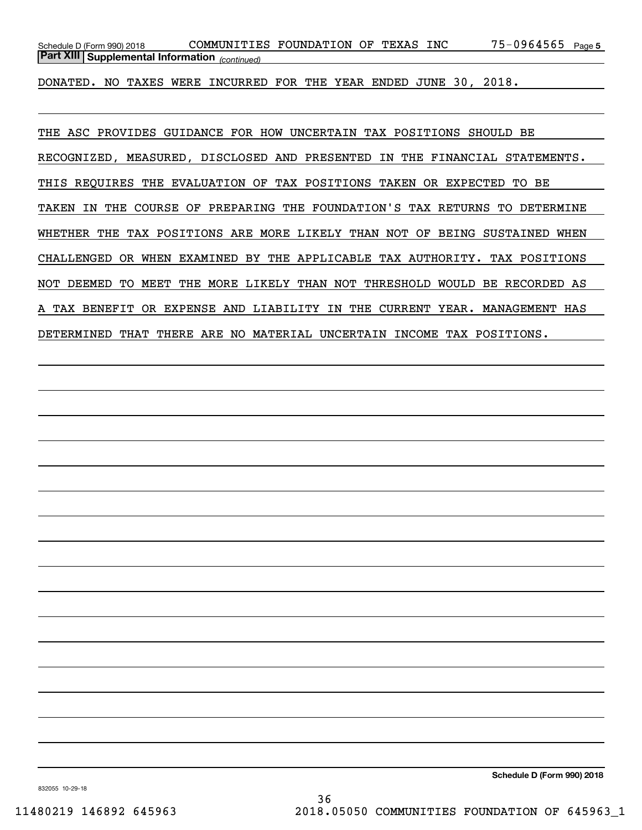75-0964565 Page 5 *(continued)* **Part XIII Supplemental Information**  Schedule D (Form 990) 2018 CO**MMUNITIES FOUNDATION OF TEXAS INC** 75-0964565 <sub>Page</sub>

DONATED. NO TAXES WERE INCURRED FOR THE YEAR ENDED JUNE 30, 2018.

THE ASC PROVIDES GUIDANCE FOR HOW UNCERTAIN TAX POSITIONS SHOULD BE RECOGNIZED, MEASURED, DISCLOSED AND PRESENTED IN THE FINANCIAL STATEMENTS. THIS REQUIRES THE EVALUATION OF TAX POSITIONS TAKEN OR EXPECTED TO BE TAKEN IN THE COURSE OF PREPARING THE FOUNDATION'S TAX RETURNS TO DETERMINE WHETHER THE TAX POSITIONS ARE MORE LIKELY THAN NOT OF BEING SUSTAINED WHEN CHALLENGED OR WHEN EXAMINED BY THE APPLICABLE TAX AUTHORITY. TAX POSITIONS NOT DEEMED TO MEET THE MORE LIKELY THAN NOT THRESHOLD WOULD BE RECORDED AS A TAX BENEFIT OR EXPENSE AND LIABILITY IN THE CURRENT YEAR. MANAGEMENT HAS DETERMINED THAT THERE ARE NO MATERIAL UNCERTAIN INCOME TAX POSITIONS.

832055 10-29-18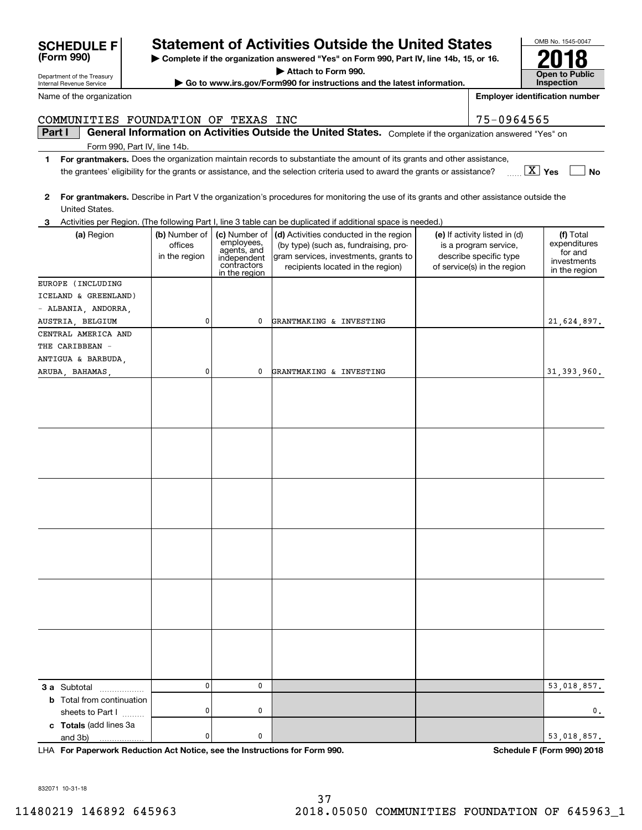$\pmb{0}$ 

0

0

0

0

0

| <b>SCHEDULE F</b><br>(Form 990)                        |                                           |                                                                                           | <b>Statement of Activities Outside the United States</b><br>Complete if the organization answered "Yes" on Form 990, Part IV, line 14b, 15, or 16.            |                                                                                                                 | OMB No. 1545-0047                                                    |
|--------------------------------------------------------|-------------------------------------------|-------------------------------------------------------------------------------------------|---------------------------------------------------------------------------------------------------------------------------------------------------------------|-----------------------------------------------------------------------------------------------------------------|----------------------------------------------------------------------|
|                                                        |                                           |                                                                                           | Attach to Form 990.                                                                                                                                           |                                                                                                                 |                                                                      |
| Department of the Treasury<br>Internal Revenue Service |                                           |                                                                                           | Go to www.irs.gov/Form990 for instructions and the latest information.                                                                                        |                                                                                                                 | <b>Open to Public</b><br><b>Inspection</b>                           |
| Name of the organization                               |                                           |                                                                                           |                                                                                                                                                               |                                                                                                                 | <b>Employer identification number</b>                                |
| COMMUNITIES FOUNDATION OF TEXAS INC                    |                                           |                                                                                           |                                                                                                                                                               | 75-0964565                                                                                                      |                                                                      |
| Part I                                                 |                                           |                                                                                           | General Information on Activities Outside the United States. Complete if the organization answered "Yes" on                                                   |                                                                                                                 |                                                                      |
| Form 990, Part IV, line 14b.                           |                                           |                                                                                           |                                                                                                                                                               |                                                                                                                 |                                                                      |
| 1                                                      |                                           |                                                                                           | For grantmakers. Does the organization maintain records to substantiate the amount of its grants and other assistance,                                        |                                                                                                                 |                                                                      |
|                                                        |                                           |                                                                                           | the grantees' eligibility for the grants or assistance, and the selection criteria used to award the grants or assistance?                                    |                                                                                                                 | $\boxed{\text{X}}$ Yes<br>No                                         |
| 2<br>United States.                                    |                                           |                                                                                           | For grantmakers. Describe in Part V the organization's procedures for monitoring the use of its grants and other assistance outside the                       |                                                                                                                 |                                                                      |
|                                                        |                                           |                                                                                           | Activities per Region. (The following Part I, line 3 table can be duplicated if additional space is needed.)                                                  |                                                                                                                 |                                                                      |
| (a) Region                                             | (b) Number of<br>offices<br>in the region | (c) Number of<br>employees,<br>agents, and<br>independent<br>contractors<br>in the region | (d) Activities conducted in the region<br>(by type) (such as, fundraising, pro-<br>gram services, investments, grants to<br>recipients located in the region) | (e) If activity listed in (d)<br>is a program service,<br>describe specific type<br>of service(s) in the region | (f) Total<br>expenditures<br>for and<br>investments<br>in the region |
| EUROPE (INCLUDING                                      |                                           |                                                                                           |                                                                                                                                                               |                                                                                                                 |                                                                      |
| ICELAND & GREENLAND)                                   |                                           |                                                                                           |                                                                                                                                                               |                                                                                                                 |                                                                      |
| - ALBANIA, ANDORRA,                                    |                                           |                                                                                           |                                                                                                                                                               |                                                                                                                 |                                                                      |
| AUSTRIA, BELGIUM                                       | 0                                         | 0                                                                                         | GRANTMAKING & INVESTING                                                                                                                                       |                                                                                                                 | 21,624,897.                                                          |
| CENTRAL AMERICA AND                                    |                                           |                                                                                           |                                                                                                                                                               |                                                                                                                 |                                                                      |
| THE CARIBBEAN -                                        |                                           |                                                                                           |                                                                                                                                                               |                                                                                                                 |                                                                      |
| ANTIGUA & BARBUDA,                                     |                                           |                                                                                           |                                                                                                                                                               |                                                                                                                 |                                                                      |
| ARUBA, BAHAMAS,                                        | 0                                         | 0                                                                                         | GRANTMAKING & INVESTING                                                                                                                                       |                                                                                                                 | 31, 393, 960.                                                        |
|                                                        |                                           |                                                                                           |                                                                                                                                                               |                                                                                                                 |                                                                      |
|                                                        |                                           |                                                                                           |                                                                                                                                                               |                                                                                                                 |                                                                      |
|                                                        |                                           |                                                                                           |                                                                                                                                                               |                                                                                                                 |                                                                      |
|                                                        |                                           |                                                                                           |                                                                                                                                                               |                                                                                                                 |                                                                      |

**For Paperwork Reduction Act Notice, see the Instructions for Form 990. Schedule F (Form 990) 2018** LHA

53,018,857.

0.

53,018,857.

**3 a** Subtotal .................. **b** Total from continuation

**c Totals**  (add lines 3a

and 3b)

sheets to Part  $1$  ........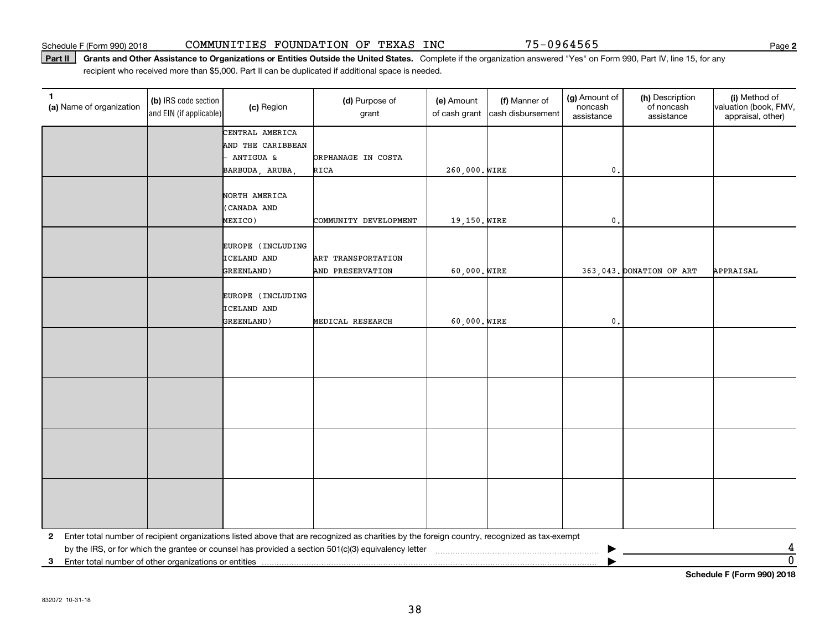#### Part II | Grants and Other Assistance to Organizations or Entities Outside the United States. Complete if the organization answered "Yes" on Form 990, Part IV, line 15, for any recipient who received more than \$5,000. Part II can be duplicated if additional space is needed.

| $\mathbf{1}$<br>(a) Name of organization                   | (b) IRS code section<br>and EIN (if applicable) | (c) Region                       | (d) Purpose of<br>grant                                                                                                                      | (e) Amount<br>of cash grant | (f) Manner of<br>cash disbursement | (g) Amount of<br>noncash<br>assistance | (h) Description<br>of noncash<br>assistance | (i) Method of<br>valuation (book, FMV,<br>appraisal, other) |
|------------------------------------------------------------|-------------------------------------------------|----------------------------------|----------------------------------------------------------------------------------------------------------------------------------------------|-----------------------------|------------------------------------|----------------------------------------|---------------------------------------------|-------------------------------------------------------------|
|                                                            |                                                 | CENTRAL AMERICA                  |                                                                                                                                              |                             |                                    |                                        |                                             |                                                             |
|                                                            |                                                 | AND THE CARIBBEAN                |                                                                                                                                              |                             |                                    |                                        |                                             |                                                             |
|                                                            |                                                 | ANTIGUA &                        | ORPHANAGE IN COSTA                                                                                                                           |                             |                                    |                                        |                                             |                                                             |
|                                                            |                                                 | BARBUDA, ARUBA,                  | RICA                                                                                                                                         | 260,000. WIRE               |                                    | $\mathbf{0}$ .                         |                                             |                                                             |
|                                                            |                                                 |                                  |                                                                                                                                              |                             |                                    |                                        |                                             |                                                             |
|                                                            |                                                 | NORTH AMERICA                    |                                                                                                                                              |                             |                                    |                                        |                                             |                                                             |
|                                                            |                                                 | (CANADA AND                      |                                                                                                                                              |                             |                                    |                                        |                                             |                                                             |
|                                                            |                                                 | MEXICO)                          | COMMUNITY DEVELOPMENT                                                                                                                        | 19,150. WIRE                |                                    | $\mathbf 0$ .                          |                                             |                                                             |
|                                                            |                                                 |                                  |                                                                                                                                              |                             |                                    |                                        |                                             |                                                             |
|                                                            |                                                 | EUROPE (INCLUDING<br>ICELAND AND | ART TRANSPORTATION                                                                                                                           |                             |                                    |                                        |                                             |                                                             |
|                                                            |                                                 | GREENLAND)                       | AND PRESERVATION                                                                                                                             | 60,000. WIRE                |                                    |                                        | 363,043. DONATION OF ART                    | APPRAISAL                                                   |
|                                                            |                                                 |                                  |                                                                                                                                              |                             |                                    |                                        |                                             |                                                             |
|                                                            |                                                 | EUROPE (INCLUDING                |                                                                                                                                              |                             |                                    |                                        |                                             |                                                             |
|                                                            |                                                 | ICELAND AND                      |                                                                                                                                              |                             |                                    |                                        |                                             |                                                             |
|                                                            |                                                 | GREENLAND)                       | MEDICAL RESEARCH                                                                                                                             | 60,000. WIRE                |                                    | $\mathfrak o$ .                        |                                             |                                                             |
|                                                            |                                                 |                                  |                                                                                                                                              |                             |                                    |                                        |                                             |                                                             |
|                                                            |                                                 |                                  |                                                                                                                                              |                             |                                    |                                        |                                             |                                                             |
|                                                            |                                                 |                                  |                                                                                                                                              |                             |                                    |                                        |                                             |                                                             |
|                                                            |                                                 |                                  |                                                                                                                                              |                             |                                    |                                        |                                             |                                                             |
|                                                            |                                                 |                                  |                                                                                                                                              |                             |                                    |                                        |                                             |                                                             |
|                                                            |                                                 |                                  |                                                                                                                                              |                             |                                    |                                        |                                             |                                                             |
|                                                            |                                                 |                                  |                                                                                                                                              |                             |                                    |                                        |                                             |                                                             |
|                                                            |                                                 |                                  |                                                                                                                                              |                             |                                    |                                        |                                             |                                                             |
|                                                            |                                                 |                                  |                                                                                                                                              |                             |                                    |                                        |                                             |                                                             |
|                                                            |                                                 |                                  |                                                                                                                                              |                             |                                    |                                        |                                             |                                                             |
|                                                            |                                                 |                                  |                                                                                                                                              |                             |                                    |                                        |                                             |                                                             |
|                                                            |                                                 |                                  |                                                                                                                                              |                             |                                    |                                        |                                             |                                                             |
|                                                            |                                                 |                                  |                                                                                                                                              |                             |                                    |                                        |                                             |                                                             |
|                                                            |                                                 |                                  |                                                                                                                                              |                             |                                    |                                        |                                             |                                                             |
|                                                            |                                                 |                                  |                                                                                                                                              |                             |                                    |                                        |                                             |                                                             |
| $\mathbf{2}$                                               |                                                 |                                  | Enter total number of recipient organizations listed above that are recognized as charities by the foreign country, recognized as tax-exempt |                             |                                    |                                        |                                             |                                                             |
|                                                            |                                                 |                                  |                                                                                                                                              |                             |                                    |                                        |                                             | 4                                                           |
| Enter total number of other organizations or entities<br>3 |                                                 |                                  |                                                                                                                                              |                             |                                    |                                        |                                             | $\overline{0}$                                              |
|                                                            |                                                 |                                  |                                                                                                                                              |                             |                                    |                                        |                                             | Schedule F (Form 990) 2018                                  |

**2**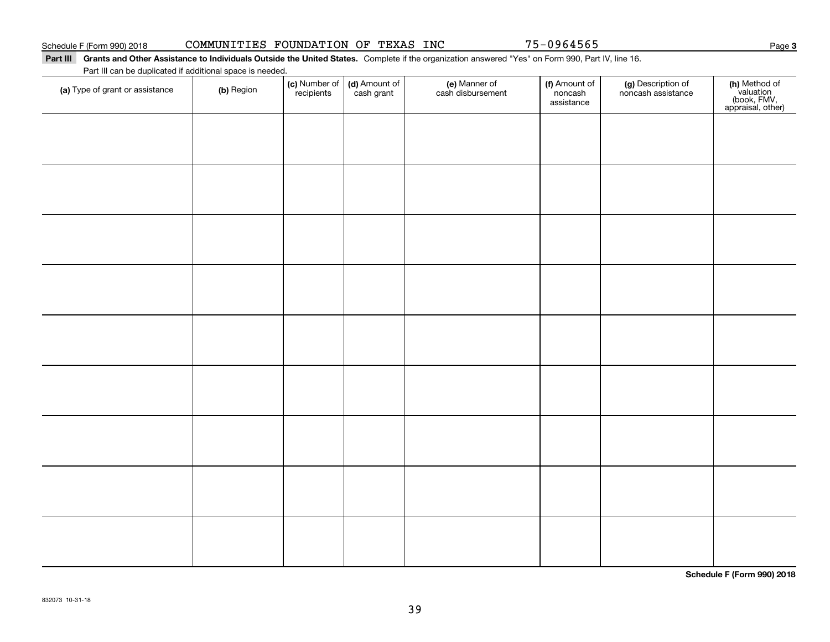# Schedule F (Form 990) 2018 CO**MMUNITIES FOUNDATION OF TEXAS INC** 75-0964565 Page

#### Part III Grants and Other Assistance to Individuals Outside the United States. Complete if the organization answered "Yes" on Form 990, Part IV, line 16. Part III can be duplicated if additional space is needed.

| (a) Type of grant or assistance | (b) Region | (c) Number of<br>recipients | (d) Amount of<br>cash grant | (e) Manner of<br>cash disbursement | (f) Amount of<br>noncash<br>assistance | (g) Description of<br>noncash assistance | (h) Method of<br>valuation<br>(book, FMV,<br>appraisal, other) |
|---------------------------------|------------|-----------------------------|-----------------------------|------------------------------------|----------------------------------------|------------------------------------------|----------------------------------------------------------------|
|                                 |            |                             |                             |                                    |                                        |                                          |                                                                |
|                                 |            |                             |                             |                                    |                                        |                                          |                                                                |
|                                 |            |                             |                             |                                    |                                        |                                          |                                                                |
|                                 |            |                             |                             |                                    |                                        |                                          |                                                                |
|                                 |            |                             |                             |                                    |                                        |                                          |                                                                |
|                                 |            |                             |                             |                                    |                                        |                                          |                                                                |
|                                 |            |                             |                             |                                    |                                        |                                          |                                                                |
|                                 |            |                             |                             |                                    |                                        |                                          |                                                                |
|                                 |            |                             |                             |                                    |                                        |                                          |                                                                |
|                                 |            |                             |                             |                                    |                                        |                                          |                                                                |
|                                 |            |                             |                             |                                    |                                        |                                          |                                                                |
|                                 |            |                             |                             |                                    |                                        |                                          |                                                                |
|                                 |            |                             |                             |                                    |                                        |                                          |                                                                |
|                                 |            |                             |                             |                                    |                                        |                                          |                                                                |
|                                 |            |                             |                             |                                    |                                        |                                          |                                                                |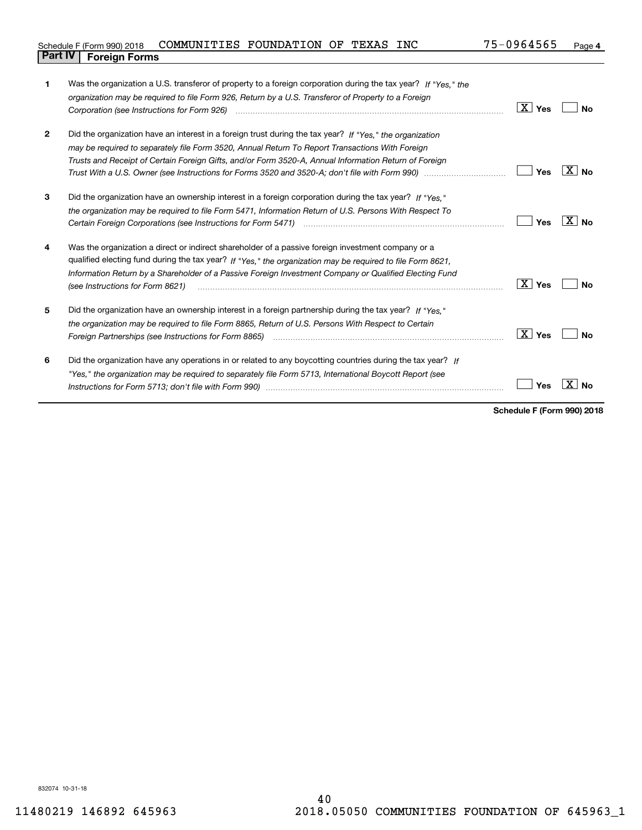| Schedule F (Form 990) 2018     | COMMUNITIES FOUNDATION OF TEXAS |  | <b>INC</b> | 75-0964565 | Page 4 |
|--------------------------------|---------------------------------|--|------------|------------|--------|
| <b>Part IV   Foreign Forms</b> |                                 |  |            |            |        |

| 1            | Was the organization a U.S. transferor of property to a foreign corporation during the tax year? If "Yes." the        |                        |       |
|--------------|-----------------------------------------------------------------------------------------------------------------------|------------------------|-------|
|              | organization may be required to file Form 926, Return by a U.S. Transferor of Property to a Foreign                   |                        |       |
|              |                                                                                                                       | $\boxed{\text{X}}$ Yes | No    |
|              |                                                                                                                       |                        |       |
| $\mathbf{2}$ | Did the organization have an interest in a foreign trust during the tax year? If "Yes," the organization              |                        |       |
|              | may be required to separately file Form 3520, Annual Return To Report Transactions With Foreign                       |                        |       |
|              | Trusts and Receipt of Certain Foreign Gifts, and/or Form 3520-A, Annual Information Return of Foreign                 |                        |       |
|              |                                                                                                                       | Yes                    | ∣X∣No |
| 3            | Did the organization have an ownership interest in a foreign corporation during the tax year? If "Yes."               |                        |       |
|              | the organization may be required to file Form 5471, Information Return of U.S. Persons With Respect To                |                        |       |
|              | Certain Foreign Corporations (see Instructions for Form 5471) <i>manual contention contention contention</i> contents | Yes                    | ∣X∣no |
| 4            | Was the organization a direct or indirect shareholder of a passive foreign investment company or a                    |                        |       |
|              | qualified electing fund during the tax year? If "Yes," the organization may be required to file Form 8621,            |                        |       |
|              | Information Return by a Shareholder of a Passive Foreign Investment Company or Qualified Electing Fund                |                        |       |
|              |                                                                                                                       |                        |       |
|              | (see Instructions for Form 8621)                                                                                      | ∣ X ∣ γes              | Nο    |
| 5            | Did the organization have an ownership interest in a foreign partnership during the tax year? If "Yes."               |                        |       |
|              | the organization may be required to file Form 8865, Return of U.S. Persons With Respect to Certain                    |                        |       |
|              |                                                                                                                       | $\boxed{\text{X}}$ Yes | Nο    |
| 6            | Did the organization have any operations in or related to any boycotting countries during the tax year? If            |                        |       |
|              | "Yes," the organization may be required to separately file Form 5713, International Boycott Report (see               |                        |       |
|              |                                                                                                                       | Yes                    | No    |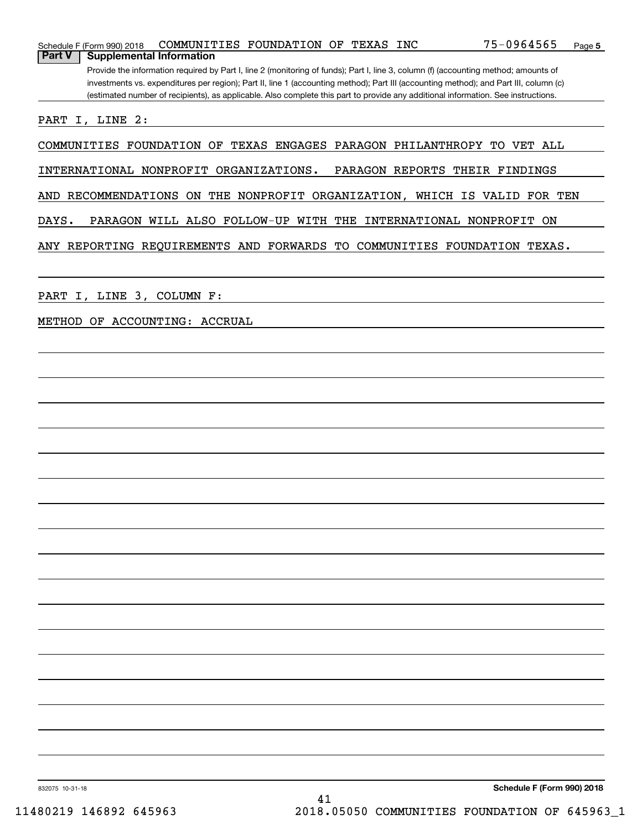| COMMUNITIES FOUNDATION OF TEXAS INC<br>Schedule F (Form 990) 2018                                                                                                                                                                                                            | 75-0964565<br>Page 5       |
|------------------------------------------------------------------------------------------------------------------------------------------------------------------------------------------------------------------------------------------------------------------------------|----------------------------|
| <b>Part V</b><br><b>Supplemental Information</b>                                                                                                                                                                                                                             |                            |
| Provide the information required by Part I, line 2 (monitoring of funds); Part I, line 3, column (f) (accounting method; amounts of<br>investments vs. expenditures per region); Part II, line 1 (accounting method); Part III (accounting method); and Part III, column (c) |                            |
| (estimated number of recipients), as applicable. Also complete this part to provide any additional information. See instructions.                                                                                                                                            |                            |
|                                                                                                                                                                                                                                                                              |                            |
| PART I, LINE 2:                                                                                                                                                                                                                                                              |                            |
| COMMUNITIES FOUNDATION OF TEXAS ENGAGES PARAGON PHILANTHROPY TO VET ALL                                                                                                                                                                                                      |                            |
| INTERNATIONAL NONPROFIT ORGANIZATIONS.<br>PARAGON REPORTS THEIR FINDINGS                                                                                                                                                                                                     |                            |
| AND RECOMMENDATIONS ON THE NONPROFIT ORGANIZATION, WHICH IS VALID FOR TEN                                                                                                                                                                                                    |                            |
| DAYS.<br>PARAGON WILL ALSO FOLLOW-UP WITH THE INTERNATIONAL NONPROFIT ON                                                                                                                                                                                                     |                            |
| ANY REPORTING REQUIREMENTS AND FORWARDS TO COMMUNITIES FOUNDATION TEXAS.                                                                                                                                                                                                     |                            |
|                                                                                                                                                                                                                                                                              |                            |
|                                                                                                                                                                                                                                                                              |                            |
| PART I, LINE 3, COLUMN F:                                                                                                                                                                                                                                                    |                            |
| METHOD OF ACCOUNTING: ACCRUAL                                                                                                                                                                                                                                                |                            |
|                                                                                                                                                                                                                                                                              |                            |
|                                                                                                                                                                                                                                                                              |                            |
|                                                                                                                                                                                                                                                                              |                            |
|                                                                                                                                                                                                                                                                              |                            |
|                                                                                                                                                                                                                                                                              |                            |
|                                                                                                                                                                                                                                                                              |                            |
|                                                                                                                                                                                                                                                                              |                            |
|                                                                                                                                                                                                                                                                              |                            |
|                                                                                                                                                                                                                                                                              |                            |
|                                                                                                                                                                                                                                                                              |                            |
|                                                                                                                                                                                                                                                                              |                            |
|                                                                                                                                                                                                                                                                              |                            |
|                                                                                                                                                                                                                                                                              |                            |
|                                                                                                                                                                                                                                                                              |                            |
|                                                                                                                                                                                                                                                                              |                            |
|                                                                                                                                                                                                                                                                              |                            |
|                                                                                                                                                                                                                                                                              |                            |
|                                                                                                                                                                                                                                                                              |                            |
|                                                                                                                                                                                                                                                                              |                            |
|                                                                                                                                                                                                                                                                              |                            |
|                                                                                                                                                                                                                                                                              |                            |
| 832075 10-31-18                                                                                                                                                                                                                                                              | Schedule F (Form 990) 2018 |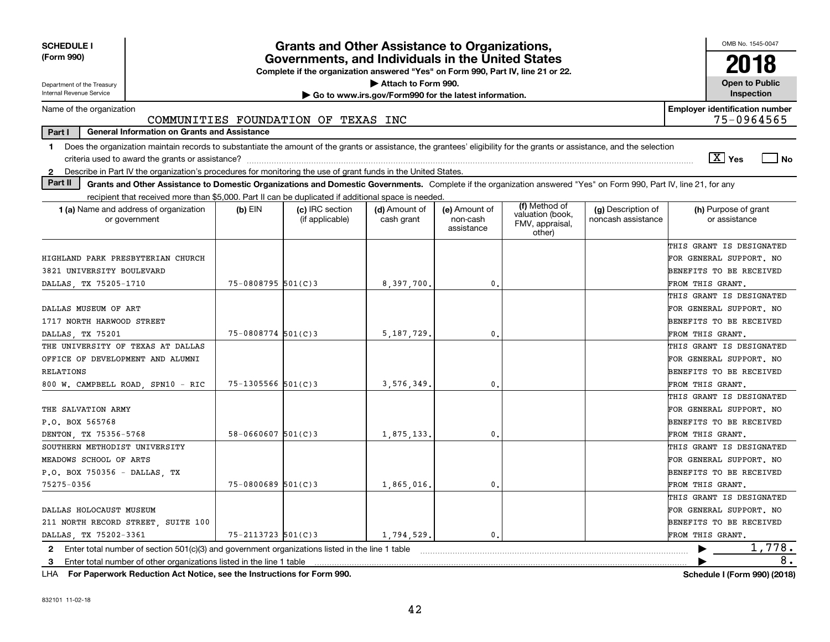| <b>SCHEDULE I</b><br>(Form 990)                                                                                                                                               |                          | <b>Grants and Other Assistance to Organizations,</b><br>Governments, and Individuals in the United States |                                                       |                                         |                                                                |                                          | OMB No. 1545-0047<br>2018                                                                          |
|-------------------------------------------------------------------------------------------------------------------------------------------------------------------------------|--------------------------|-----------------------------------------------------------------------------------------------------------|-------------------------------------------------------|-----------------------------------------|----------------------------------------------------------------|------------------------------------------|----------------------------------------------------------------------------------------------------|
|                                                                                                                                                                               |                          | Complete if the organization answered "Yes" on Form 990, Part IV, line 21 or 22.                          | Attach to Form 990.                                   |                                         |                                                                |                                          | <b>Open to Public</b>                                                                              |
| Department of the Treasury<br>Internal Revenue Service                                                                                                                        |                          |                                                                                                           | Go to www.irs.gov/Form990 for the latest information. |                                         |                                                                |                                          | <b>Inspection</b>                                                                                  |
| Name of the organization                                                                                                                                                      |                          | COMMUNITIES FOUNDATION OF TEXAS INC                                                                       |                                                       |                                         |                                                                |                                          | <b>Employer identification number</b><br>75-0964565                                                |
| Part I<br><b>General Information on Grants and Assistance</b>                                                                                                                 |                          |                                                                                                           |                                                       |                                         |                                                                |                                          |                                                                                                    |
| 1 Does the organization maintain records to substantiate the amount of the grants or assistance, the grantees' eligibility for the grants or assistance, and the selection    |                          |                                                                                                           |                                                       |                                         |                                                                |                                          | $\overline{X}$ Yes<br>  No                                                                         |
| Describe in Part IV the organization's procedures for monitoring the use of grant funds in the United States.<br>$\mathbf{2}$                                                 |                          |                                                                                                           |                                                       |                                         |                                                                |                                          |                                                                                                    |
| Part II<br>Grants and Other Assistance to Domestic Organizations and Domestic Governments. Complete if the organization answered "Yes" on Form 990, Part IV, line 21, for any |                          |                                                                                                           |                                                       |                                         |                                                                |                                          |                                                                                                    |
| recipient that received more than \$5,000. Part II can be duplicated if additional space is needed.                                                                           |                          |                                                                                                           |                                                       |                                         |                                                                |                                          |                                                                                                    |
| <b>1 (a)</b> Name and address of organization<br>or government                                                                                                                | $(b)$ EIN                | (c) IRC section<br>(if applicable)                                                                        | (d) Amount of<br>cash grant                           | (e) Amount of<br>non-cash<br>assistance | (f) Method of<br>valuation (book,<br>FMV, appraisal,<br>other) | (g) Description of<br>noncash assistance | (h) Purpose of grant<br>or assistance                                                              |
| HIGHLAND PARK PRESBYTERIAN CHURCH<br>3821 UNIVERSITY BOULEVARD                                                                                                                | $75 - 0808795$ 501(C)3   |                                                                                                           |                                                       | 0.                                      |                                                                |                                          | THIS GRANT IS DESIGNATED<br>FOR GENERAL SUPPORT. NO<br>BENEFITS TO BE RECEIVED                     |
| DALLAS TX 75205-1710                                                                                                                                                          |                          |                                                                                                           | 8,397,700,                                            |                                         |                                                                |                                          | FROM THIS GRANT.                                                                                   |
| DALLAS MUSEUM OF ART<br>1717 NORTH HARWOOD STREET                                                                                                                             |                          |                                                                                                           |                                                       |                                         |                                                                |                                          | THIS GRANT IS DESIGNATED<br>FOR GENERAL SUPPORT. NO<br>BENEFITS TO BE RECEIVED                     |
| DALLAS, TX 75201                                                                                                                                                              | $75 - 0808774$ 501(C)3   |                                                                                                           | 5, 187, 729,                                          | 0                                       |                                                                |                                          | FROM THIS GRANT.                                                                                   |
| THE UNIVERSITY OF TEXAS AT DALLAS<br>OFFICE OF DEVELOPMENT AND ALUMNI<br>RELATIONS                                                                                            |                          |                                                                                                           |                                                       |                                         |                                                                |                                          | THIS GRANT IS DESIGNATED<br>FOR GENERAL SUPPORT. NO<br>BENEFITS TO BE RECEIVED                     |
| 800 W. CAMPBELL ROAD, SPN10 - RIC                                                                                                                                             | $75 - 1305566$ $501(C)3$ |                                                                                                           | 3,576,349.                                            | 0.                                      |                                                                |                                          | FROM THIS GRANT.                                                                                   |
| THE SALVATION ARMY<br>P.O. BOX 565768<br>DENTON, TX 75356-5768                                                                                                                | $58 - 0660607$ 501(C)3   |                                                                                                           | 1,875,133.                                            | 0.                                      |                                                                |                                          | THIS GRANT IS DESIGNATED<br>FOR GENERAL SUPPORT. NO<br>BENEFITS TO BE RECEIVED<br>FROM THIS GRANT. |
| SOUTHERN METHODIST UNIVERSITY                                                                                                                                                 |                          |                                                                                                           |                                                       |                                         |                                                                |                                          | THIS GRANT IS DESIGNATED                                                                           |
| MEADOWS SCHOOL OF ARTS                                                                                                                                                        |                          |                                                                                                           |                                                       |                                         |                                                                |                                          | FOR GENERAL SUPPORT. NO                                                                            |
| P.O. BOX 750356 - DALLAS, TX                                                                                                                                                  |                          |                                                                                                           |                                                       |                                         |                                                                |                                          | BENEFITS TO BE RECEIVED                                                                            |
| 75275-0356                                                                                                                                                                    | $75 - 0800689$ 501(C)3   |                                                                                                           | 1,865,016.                                            | 0.                                      |                                                                |                                          | FROM THIS GRANT.                                                                                   |
| DALLAS HOLOCAUST MUSEUM<br>211 NORTH RECORD STREET, SUITE 100                                                                                                                 |                          |                                                                                                           |                                                       |                                         |                                                                |                                          | THIS GRANT IS DESIGNATED<br>FOR GENERAL SUPPORT. NO<br>BENEFITS TO BE RECEIVED                     |
| DALLAS TX 75202-3361                                                                                                                                                          | $75 - 2113723$ 501(C) 3  |                                                                                                           | 1,794,529.                                            | 0.                                      |                                                                |                                          | FROM THIS GRANT.                                                                                   |
| 2 Enter total number of section $501(c)(3)$ and government organizations listed in the line 1 table<br>3 Enter total number of other organizations listed in the line 1 table |                          |                                                                                                           |                                                       |                                         |                                                                |                                          | 1,778.<br>8.                                                                                       |

**For Paperwork Reduction Act Notice, see the Instructions for Form 990. Schedule I (Form 990) (2018)** LHA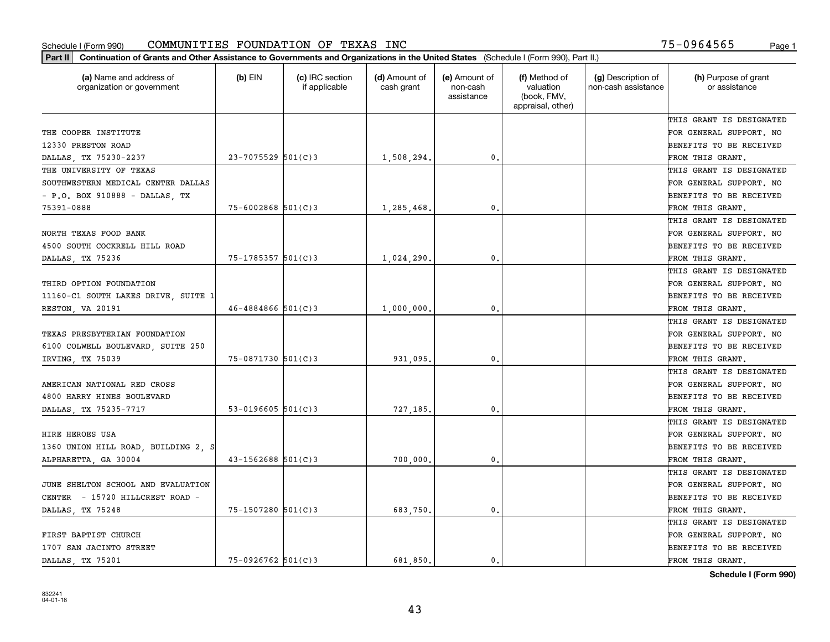| (a) Name and address of<br>organization or government | $(b)$ EIN              | (c) IRC section<br>if applicable | (d) Amount of<br>cash grant | (e) Amount of<br>non-cash<br>assistance | (f) Method of<br>valuation<br>(book, FMV,<br>appraisal, other) | (g) Description of<br>non-cash assistance | (h) Purpose of grant<br>or assistance |
|-------------------------------------------------------|------------------------|----------------------------------|-----------------------------|-----------------------------------------|----------------------------------------------------------------|-------------------------------------------|---------------------------------------|
|                                                       |                        |                                  |                             |                                         |                                                                |                                           | THIS GRANT IS DESIGNATED              |
| THE COOPER INSTITUTE                                  |                        |                                  |                             |                                         |                                                                |                                           | FOR GENERAL SUPPORT. NO               |
| 12330 PRESTON ROAD                                    |                        |                                  |                             |                                         |                                                                |                                           | <b>BENEFITS TO BE RECEIVED</b>        |
| DALLAS, TX 75230-2237                                 | $23 - 7075529$ 501(C)3 |                                  | 1,508,294.                  | 0.                                      |                                                                |                                           | FROM THIS GRANT.                      |
| THE UNIVERSITY OF TEXAS                               |                        |                                  |                             |                                         |                                                                |                                           | THIS GRANT IS DESIGNATED              |
| SOUTHWESTERN MEDICAL CENTER DALLAS                    |                        |                                  |                             |                                         |                                                                |                                           | FOR GENERAL SUPPORT. NO               |
| - P.O. BOX 910888 - DALLAS, TX                        |                        |                                  |                             |                                         |                                                                |                                           | BENEFITS TO BE RECEIVED               |
| 75391-0888                                            | $75 - 6002868$ 501(C)3 |                                  | 1,285,468,                  | 0.                                      |                                                                |                                           | FROM THIS GRANT.                      |
|                                                       |                        |                                  |                             |                                         |                                                                |                                           | THIS GRANT IS DESIGNATED              |
| NORTH TEXAS FOOD BANK                                 |                        |                                  |                             |                                         |                                                                |                                           | FOR GENERAL SUPPORT. NO               |
| 4500 SOUTH COCKRELL HILL ROAD                         |                        |                                  |                             |                                         |                                                                |                                           | BENEFITS TO BE RECEIVED               |
| DALLAS, TX 75236                                      | 75-1785357 501(C)3     |                                  | 1,024,290,                  | $^{\rm 0}$ .                            |                                                                |                                           | FROM THIS GRANT.                      |
|                                                       |                        |                                  |                             |                                         |                                                                |                                           | THIS GRANT IS DESIGNATED              |
| THIRD OPTION FOUNDATION                               |                        |                                  |                             |                                         |                                                                |                                           | FOR GENERAL SUPPORT. NO               |
| 11160-C1 SOUTH LAKES DRIVE, SUITE 1                   |                        |                                  |                             |                                         |                                                                |                                           | <b>BENEFITS TO BE RECEIVED</b>        |
| RESTON, VA 20191                                      | $46 - 4884866$ 501(C)3 |                                  | 1,000,000                   | 0.                                      |                                                                |                                           | FROM THIS GRANT.                      |
|                                                       |                        |                                  |                             |                                         |                                                                |                                           | THIS GRANT IS DESIGNATED              |
| TEXAS PRESBYTERIAN FOUNDATION                         |                        |                                  |                             |                                         |                                                                |                                           | FOR GENERAL SUPPORT. NO               |
| 6100 COLWELL BOULEVARD, SUITE 250                     |                        |                                  |                             |                                         |                                                                |                                           | <b>BENEFITS TO BE RECEIVED</b>        |
| IRVING, TX 75039                                      | 75-0871730 501(C)3     |                                  | 931,095.                    | 0.                                      |                                                                |                                           | FROM THIS GRANT.                      |
|                                                       |                        |                                  |                             |                                         |                                                                |                                           | THIS GRANT IS DESIGNATED              |
| AMERICAN NATIONAL RED CROSS                           |                        |                                  |                             |                                         |                                                                |                                           | FOR GENERAL SUPPORT. NO               |
| 4800 HARRY HINES BOULEVARD                            |                        |                                  |                             |                                         |                                                                |                                           | <b>BENEFITS TO BE RECEIVED</b>        |
| DALLAS, TX 75235-7717                                 | 53-0196605 $501(C)3$   |                                  | 727,185,                    | 0.                                      |                                                                |                                           | FROM THIS GRANT.                      |
|                                                       |                        |                                  |                             |                                         |                                                                |                                           | THIS GRANT IS DESIGNATED              |
| HIRE HEROES USA                                       |                        |                                  |                             |                                         |                                                                |                                           | FOR GENERAL SUPPORT. NO               |
| 1360 UNION HILL ROAD, BUILDING 2, S                   |                        |                                  |                             |                                         |                                                                |                                           | <b>BENEFITS TO BE RECEIVED</b>        |
| ALPHARETTA, GA 30004                                  | $43 - 1562688$ 501(C)3 |                                  | 700,000                     | $^{\rm 0}$ .                            |                                                                |                                           | FROM THIS GRANT.                      |
|                                                       |                        |                                  |                             |                                         |                                                                |                                           | THIS GRANT IS DESIGNATED              |
| JUNE SHELTON SCHOOL AND EVALUATION                    |                        |                                  |                             |                                         |                                                                |                                           | FOR GENERAL SUPPORT. NO               |
| CENTER - 15720 HILLCREST ROAD -                       |                        |                                  |                             |                                         |                                                                |                                           | BENEFITS TO BE RECEIVED               |
| DALLAS, TX 75248                                      | 75-1507280 501(C)3     |                                  | 683,750.                    | $\mathbf{0}$ .                          |                                                                |                                           | FROM THIS GRANT.                      |
|                                                       |                        |                                  |                             |                                         |                                                                |                                           | THIS GRANT IS DESIGNATED              |
| FIRST BAPTIST CHURCH                                  |                        |                                  |                             |                                         |                                                                |                                           | FOR GENERAL SUPPORT. NO               |
| 1707 SAN JACINTO STREET                               |                        |                                  |                             |                                         |                                                                |                                           | <b>BENEFITS TO BE RECEIVED</b>        |
| DALLAS, TX 75201                                      | $75 - 0926762$ 501(C)3 |                                  | 681.850.                    | $\mathbf{0}$ .                          |                                                                |                                           | FROM THIS GRANT.                      |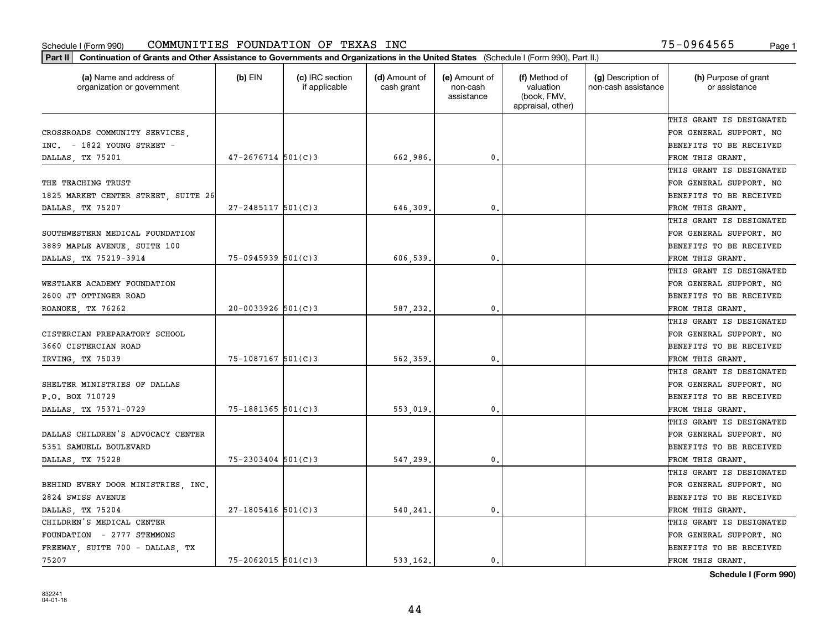| (a) Name and address of<br>organization or government | $(b)$ EIN              | (c) IRC section<br>if applicable | (d) Amount of<br>cash grant | (e) Amount of<br>non-cash<br>assistance | (f) Method of<br>valuation<br>(book, FMV,<br>appraisal, other) | (g) Description of<br>non-cash assistance | (h) Purpose of grant<br>or assistance |
|-------------------------------------------------------|------------------------|----------------------------------|-----------------------------|-----------------------------------------|----------------------------------------------------------------|-------------------------------------------|---------------------------------------|
|                                                       |                        |                                  |                             |                                         |                                                                |                                           | THIS GRANT IS DESIGNATED              |
| CROSSROADS COMMUNITY SERVICES,                        |                        |                                  |                             |                                         |                                                                |                                           | FOR GENERAL SUPPORT. NO               |
| $INC. - 1822$ YOUNG STREET -                          |                        |                                  |                             |                                         |                                                                |                                           | BENEFITS TO BE RECEIVED               |
| DALLAS, TX 75201                                      | $47 - 2676714$ 501(C)3 |                                  | 662,986.                    | 0.                                      |                                                                |                                           | FROM THIS GRANT.                      |
|                                                       |                        |                                  |                             |                                         |                                                                |                                           | THIS GRANT IS DESIGNATED              |
| THE TEACHING TRUST                                    |                        |                                  |                             |                                         |                                                                |                                           | FOR GENERAL SUPPORT. NO               |
| 1825 MARKET CENTER STREET, SUITE 26                   |                        |                                  |                             |                                         |                                                                |                                           | BENEFITS TO BE RECEIVED               |
| DALLAS, TX 75207                                      | $27 - 2485117$ 501(C)3 |                                  | 646,309                     | $\mathbf{0}$                            |                                                                |                                           | FROM THIS GRANT.                      |
|                                                       |                        |                                  |                             |                                         |                                                                |                                           | THIS GRANT IS DESIGNATED              |
| SOUTHWESTERN MEDICAL FOUNDATION                       |                        |                                  |                             |                                         |                                                                |                                           | FOR GENERAL SUPPORT. NO               |
| 3889 MAPLE AVENUE, SUITE 100                          |                        |                                  |                             |                                         |                                                                |                                           | BENEFITS TO BE RECEIVED               |
| DALLAS, TX 75219-3914                                 | 75-0945939 501(C)3     |                                  | 606,539                     | $\mathbf{0}$ .                          |                                                                |                                           | FROM THIS GRANT.                      |
|                                                       |                        |                                  |                             |                                         |                                                                |                                           | THIS GRANT IS DESIGNATED              |
| WESTLAKE ACADEMY FOUNDATION                           |                        |                                  |                             |                                         |                                                                |                                           | FOR GENERAL SUPPORT. NO               |
| 2600 JT OTTINGER ROAD                                 |                        |                                  |                             |                                         |                                                                |                                           | BENEFITS TO BE RECEIVED               |
| ROANOKE, TX 76262                                     | $20 - 0033926$ 501(C)3 |                                  | 587,232.                    | 0.                                      |                                                                |                                           | FROM THIS GRANT.                      |
|                                                       |                        |                                  |                             |                                         |                                                                |                                           | THIS GRANT IS DESIGNATED              |
| CISTERCIAN PREPARATORY SCHOOL                         |                        |                                  |                             |                                         |                                                                |                                           | FOR GENERAL SUPPORT. NO               |
| 3660 CISTERCIAN ROAD                                  |                        |                                  |                             |                                         |                                                                |                                           | BENEFITS TO BE RECEIVED               |
| IRVING, TX 75039                                      | 75-1087167 501(C)3     |                                  | 562,359                     | $\mathbf{0}$                            |                                                                |                                           | FROM THIS GRANT.                      |
|                                                       |                        |                                  |                             |                                         |                                                                |                                           | THIS GRANT IS DESIGNATED              |
| SHELTER MINISTRIES OF DALLAS                          |                        |                                  |                             |                                         |                                                                |                                           | FOR GENERAL SUPPORT. NO               |
| P.O. BOX 710729                                       |                        |                                  |                             |                                         |                                                                |                                           | BENEFITS TO BE RECEIVED               |
| DALLAS, TX 75371-0729                                 | 75-1881365 501(C)3     |                                  | 553,019                     | $\mathbf{0}$                            |                                                                |                                           | FROM THIS GRANT.                      |
|                                                       |                        |                                  |                             |                                         |                                                                |                                           | THIS GRANT IS DESIGNATED              |
| DALLAS CHILDREN'S ADVOCACY CENTER                     |                        |                                  |                             |                                         |                                                                |                                           | FOR GENERAL SUPPORT. NO               |
| 5351 SAMUELL BOULEVARD                                |                        |                                  |                             |                                         |                                                                |                                           | BENEFITS TO BE RECEIVED               |
| DALLAS, TX 75228                                      | $75 - 2303404$ 501(C)3 |                                  | 547,299                     | $\mathbf{0}$ .                          |                                                                |                                           | FROM THIS GRANT.                      |
|                                                       |                        |                                  |                             |                                         |                                                                |                                           | THIS GRANT IS DESIGNATED              |
| BEHIND EVERY DOOR MINISTRIES, INC.                    |                        |                                  |                             |                                         |                                                                |                                           | FOR GENERAL SUPPORT. NO               |
| 2824 SWISS AVENUE                                     |                        |                                  |                             |                                         |                                                                |                                           | BENEFITS TO BE RECEIVED               |
| DALLAS, TX 75204                                      | $27 - 1805416$ 501(C)3 |                                  | 540,241.                    | $\mathbf{0}$ .                          |                                                                |                                           | FROM THIS GRANT.                      |
| CHILDREN'S MEDICAL CENTER                             |                        |                                  |                             |                                         |                                                                |                                           | THIS GRANT IS DESIGNATED              |
| FOUNDATION - 2777 STEMMONS                            |                        |                                  |                             |                                         |                                                                |                                           | FOR GENERAL SUPPORT. NO               |
| FREEWAY, SUITE 700 - DALLAS, TX                       |                        |                                  |                             |                                         |                                                                |                                           | BENEFITS TO BE RECEIVED               |
| 75207                                                 | 75-2062015 501(C)3     |                                  | 533.162.                    | 0.                                      |                                                                |                                           | FROM THIS GRANT.                      |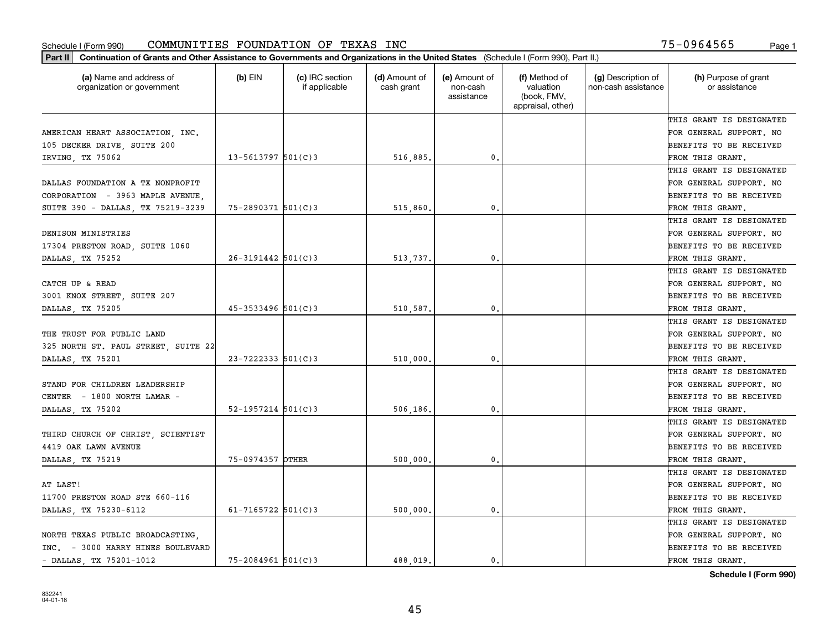| Part II   Continuation of Grants and Other Assistance to Governments and Organizations in the United States (Schedule I (Form 990), Part II.) |                          |                                  |                             |                                         |                                                                |                                           |                                       |
|-----------------------------------------------------------------------------------------------------------------------------------------------|--------------------------|----------------------------------|-----------------------------|-----------------------------------------|----------------------------------------------------------------|-------------------------------------------|---------------------------------------|
| (a) Name and address of<br>organization or government                                                                                         | $(b)$ EIN                | (c) IRC section<br>if applicable | (d) Amount of<br>cash grant | (e) Amount of<br>non-cash<br>assistance | (f) Method of<br>valuation<br>(book, FMV,<br>appraisal, other) | (g) Description of<br>non-cash assistance | (h) Purpose of grant<br>or assistance |
|                                                                                                                                               |                          |                                  |                             |                                         |                                                                |                                           | THIS GRANT IS DESIGNATED              |
| AMERICAN HEART ASSOCIATION, INC.                                                                                                              |                          |                                  |                             |                                         |                                                                |                                           | FOR GENERAL SUPPORT. NO               |
| 105 DECKER DRIVE, SUITE 200                                                                                                                   |                          |                                  |                             |                                         |                                                                |                                           | BENEFITS TO BE RECEIVED               |
| IRVING, TX 75062                                                                                                                              | $13 - 5613797$ 501(C)3   |                                  | 516,885.                    | 0.                                      |                                                                |                                           | FROM THIS GRANT.                      |
|                                                                                                                                               |                          |                                  |                             |                                         |                                                                |                                           | THIS GRANT IS DESIGNATED              |
| DALLAS FOUNDATION A TX NONPROFIT                                                                                                              |                          |                                  |                             |                                         |                                                                |                                           | FOR GENERAL SUPPORT. NO               |
| CORPORATION - 3963 MAPLE AVENUE                                                                                                               |                          |                                  |                             |                                         |                                                                |                                           | BENEFITS TO BE RECEIVED               |
| SUITE 390 - DALLAS, TX 75219-3239                                                                                                             | 75-2890371 501(C)3       |                                  | 515,860.                    | 0.                                      |                                                                |                                           | FROM THIS GRANT.                      |
|                                                                                                                                               |                          |                                  |                             |                                         |                                                                |                                           | THIS GRANT IS DESIGNATED              |
| DENISON MINISTRIES                                                                                                                            |                          |                                  |                             |                                         |                                                                |                                           | FOR GENERAL SUPPORT. NO               |
| 17304 PRESTON ROAD, SUITE 1060                                                                                                                |                          |                                  |                             |                                         |                                                                |                                           | BENEFITS TO BE RECEIVED               |
| DALLAS, TX 75252                                                                                                                              | $26 - 3191442$ 501(C)3   |                                  | 513,737.                    | $\mathfrak{o}$ .                        |                                                                |                                           | FROM THIS GRANT.                      |
|                                                                                                                                               |                          |                                  |                             |                                         |                                                                |                                           | THIS GRANT IS DESIGNATED              |
| CATCH UP & READ                                                                                                                               |                          |                                  |                             |                                         |                                                                |                                           | FOR GENERAL SUPPORT. NO               |
| 3001 KNOX STREET, SUITE 207                                                                                                                   |                          |                                  |                             |                                         |                                                                |                                           | <b>BENEFITS TO BE RECEIVED</b>        |
| DALLAS, TX 75205                                                                                                                              | $45 - 3533496$ 501(C)3   |                                  | 510,587.                    | $\mathbf{0}$ .                          |                                                                |                                           | FROM THIS GRANT.                      |
|                                                                                                                                               |                          |                                  |                             |                                         |                                                                |                                           | THIS GRANT IS DESIGNATED              |
| THE TRUST FOR PUBLIC LAND                                                                                                                     |                          |                                  |                             |                                         |                                                                |                                           | FOR GENERAL SUPPORT. NO               |
| 325 NORTH ST. PAUL STREET, SUITE 22                                                                                                           |                          |                                  |                             |                                         |                                                                |                                           | BENEFITS TO BE RECEIVED               |
| DALLAS, TX 75201                                                                                                                              | $23 - 7222333$ 501(C)3   |                                  | 510,000.                    | 0.                                      |                                                                |                                           | FROM THIS GRANT.                      |
|                                                                                                                                               |                          |                                  |                             |                                         |                                                                |                                           | THIS GRANT IS DESIGNATED              |
| STAND FOR CHILDREN LEADERSHIP                                                                                                                 |                          |                                  |                             |                                         |                                                                |                                           | FOR GENERAL SUPPORT. NO               |
| CENTER - 1800 NORTH LAMAR -                                                                                                                   |                          |                                  |                             |                                         |                                                                |                                           | BENEFITS TO BE RECEIVED               |
| DALLAS, TX 75202                                                                                                                              | $52 - 1957214$ $501(C)3$ |                                  | 506,186.                    | $\mathfrak{o}$ .                        |                                                                |                                           | FROM THIS GRANT.                      |
|                                                                                                                                               |                          |                                  |                             |                                         |                                                                |                                           | THIS GRANT IS DESIGNATED              |
| THIRD CHURCH OF CHRIST, SCIENTIST                                                                                                             |                          |                                  |                             |                                         |                                                                |                                           | FOR GENERAL SUPPORT. NO               |
| 4419 OAK LAWN AVENUE                                                                                                                          |                          |                                  |                             |                                         |                                                                |                                           | BENEFITS TO BE RECEIVED               |
| DALLAS, TX 75219                                                                                                                              | 75-0974357 OTHER         |                                  | 500,000                     | 0.                                      |                                                                |                                           | FROM THIS GRANT.                      |
|                                                                                                                                               |                          |                                  |                             |                                         |                                                                |                                           | THIS GRANT IS DESIGNATED              |
| AT LAST!                                                                                                                                      |                          |                                  |                             |                                         |                                                                |                                           | FOR GENERAL SUPPORT. NO               |
| 11700 PRESTON ROAD STE 660-116                                                                                                                |                          |                                  |                             |                                         |                                                                |                                           | BENEFITS TO BE RECEIVED               |
| DALLAS, TX 75230-6112                                                                                                                         | 61-7165722 $501(C)3$     |                                  | 500,000.                    | $\mathbf{0}$ .                          |                                                                |                                           | FROM THIS GRANT.                      |
|                                                                                                                                               |                          |                                  |                             |                                         |                                                                |                                           | THIS GRANT IS DESIGNATED              |
| NORTH TEXAS PUBLIC BROADCASTING.                                                                                                              |                          |                                  |                             |                                         |                                                                |                                           | FOR GENERAL SUPPORT. NO               |
| INC. - 3000 HARRY HINES BOULEVARD                                                                                                             |                          |                                  |                             |                                         |                                                                |                                           | <b>BENEFITS TO BE RECEIVED</b>        |
| - DALLAS, TX 75201-1012                                                                                                                       | $75 - 2084961$ 501(C)3   |                                  | 488.019.                    | 0.                                      |                                                                |                                           | FROM THIS GRANT.                      |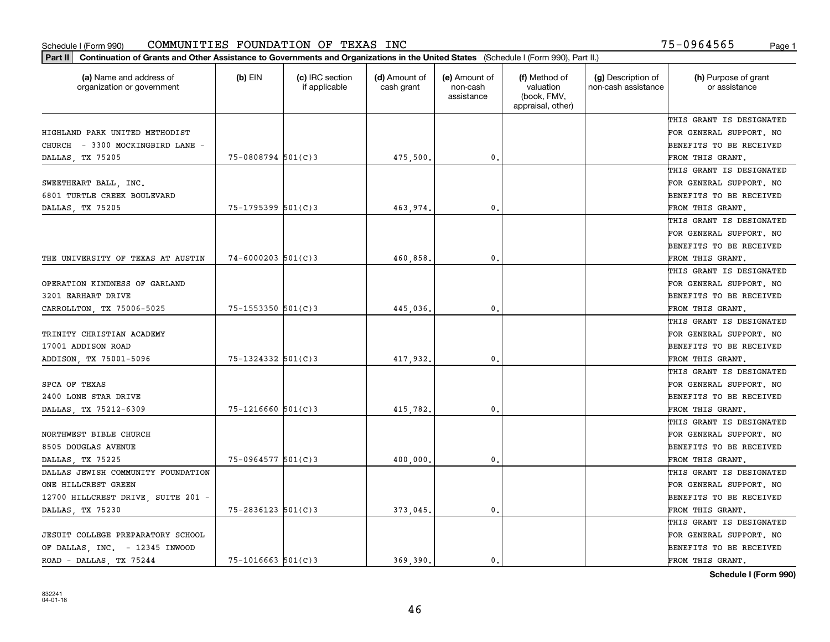| (a) Name and address of            | (b) EIN                | (c) IRC section | (d) Amount of | (e) Amount of          | (f) Method of                                 | (g) Description of  | (h) Purpose of grant     |
|------------------------------------|------------------------|-----------------|---------------|------------------------|-----------------------------------------------|---------------------|--------------------------|
| organization or government         |                        | if applicable   | cash grant    | non-cash<br>assistance | valuation<br>(book, FMV,<br>appraisal, other) | non-cash assistance | or assistance            |
|                                    |                        |                 |               |                        |                                               |                     | THIS GRANT IS DESIGNATED |
| HIGHLAND PARK UNITED METHODIST     |                        |                 |               |                        |                                               |                     | FOR GENERAL SUPPORT. NO  |
| CHURCH - 3300 MOCKINGBIRD LANE -   |                        |                 |               |                        |                                               |                     | BENEFITS TO BE RECEIVED  |
| DALLAS, TX 75205                   | 75-0808794 501(C)3     |                 | 475,500       | 0.                     |                                               |                     | FROM THIS GRANT.         |
|                                    |                        |                 |               |                        |                                               |                     | THIS GRANT IS DESIGNATED |
| SWEETHEART BALL, INC.              |                        |                 |               |                        |                                               |                     | FOR GENERAL SUPPORT. NO  |
| 6801 TURTLE CREEK BOULEVARD        |                        |                 |               |                        |                                               |                     | BENEFITS TO BE RECEIVED  |
| DALLAS, TX 75205                   | 75-1795399 501(C)3     |                 | 463,974       | $\mathbf{0}$           |                                               |                     | FROM THIS GRANT.         |
|                                    |                        |                 |               |                        |                                               |                     | THIS GRANT IS DESIGNATED |
|                                    |                        |                 |               |                        |                                               |                     | FOR GENERAL SUPPORT. NO  |
|                                    |                        |                 |               |                        |                                               |                     | BENEFITS TO BE RECEIVED  |
| THE UNIVERSITY OF TEXAS AT AUSTIN  | $74 - 6000203$ 501(C)3 |                 | 460,858       | $\mathfrak{o}$ .       |                                               |                     | FROM THIS GRANT.         |
|                                    |                        |                 |               |                        |                                               |                     | THIS GRANT IS DESIGNATED |
| OPERATION KINDNESS OF GARLAND      |                        |                 |               |                        |                                               |                     | FOR GENERAL SUPPORT. NO  |
| 3201 EARHART DRIVE                 |                        |                 |               |                        |                                               |                     | BENEFITS TO BE RECEIVED  |
| CARROLLTON, TX 75006-5025          | $75 - 1553350$ 501(C)3 |                 | 445,036       | $\mathbf{0}$           |                                               |                     | FROM THIS GRANT.         |
|                                    |                        |                 |               |                        |                                               |                     | THIS GRANT IS DESIGNATED |
| TRINITY CHRISTIAN ACADEMY          |                        |                 |               |                        |                                               |                     | FOR GENERAL SUPPORT. NO  |
| 17001 ADDISON ROAD                 |                        |                 |               |                        |                                               |                     | BENEFITS TO BE RECEIVED  |
| ADDISON, TX 75001-5096             | 75-1324332 501(C)3     |                 | 417,932.      | 0.                     |                                               |                     | FROM THIS GRANT.         |
|                                    |                        |                 |               |                        |                                               |                     | THIS GRANT IS DESIGNATED |
| SPCA OF TEXAS                      |                        |                 |               |                        |                                               |                     | FOR GENERAL SUPPORT. NO  |
| 2400 LONE STAR DRIVE               |                        |                 |               |                        |                                               |                     | BENEFITS TO BE RECEIVED  |
| DALLAS, TX 75212-6309              | $75 - 1216660$ 501(C)3 |                 | 415,782.      | $\mathbf{0}$           |                                               |                     | FROM THIS GRANT.         |
|                                    |                        |                 |               |                        |                                               |                     | THIS GRANT IS DESIGNATED |
| NORTHWEST BIBLE CHURCH             |                        |                 |               |                        |                                               |                     | FOR GENERAL SUPPORT. NO  |
| 8505 DOUGLAS AVENUE                |                        |                 |               |                        |                                               |                     | BENEFITS TO BE RECEIVED  |
| DALLAS, TX 75225                   | 75-0964577 501(C)3     |                 | 400,000       | $\mathbf{0}$ .         |                                               |                     | FROM THIS GRANT.         |
| DALLAS JEWISH COMMUNITY FOUNDATION |                        |                 |               |                        |                                               |                     | THIS GRANT IS DESIGNATED |
| ONE HILLCREST GREEN                |                        |                 |               |                        |                                               |                     | FOR GENERAL SUPPORT. NO  |
| 12700 HILLCREST DRIVE, SUITE 201 - |                        |                 |               |                        |                                               |                     | BENEFITS TO BE RECEIVED  |
| DALLAS, TX 75230                   | $75 - 2836123$ 501(C)3 |                 | 373,045       | $\mathbf{0}$           |                                               |                     | FROM THIS GRANT.         |
|                                    |                        |                 |               |                        |                                               |                     | THIS GRANT IS DESIGNATED |
| JESUIT COLLEGE PREPARATORY SCHOOL  |                        |                 |               |                        |                                               |                     | FOR GENERAL SUPPORT. NO  |
| OF DALLAS, INC. - 12345 INWOOD     |                        |                 |               |                        |                                               |                     | BENEFITS TO BE RECEIVED  |
| ROAD - DALLAS, TX 75244            | $75 - 1016663$ 501(C)3 |                 | 369.390.      | 0.                     |                                               |                     | FROM THIS GRANT.         |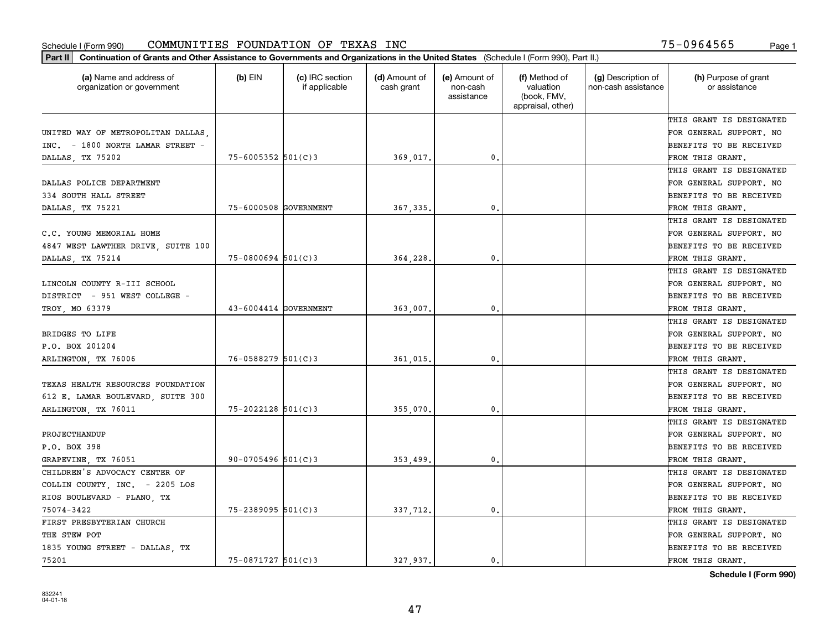|                                                       | Part II   Continuation of Grants and Other Assistance to Governments and Organizations in the United States (Schedule I (Form 990), Part II.) |                                  |                             |                                         |                                                                |                                           |                                       |  |  |  |
|-------------------------------------------------------|-----------------------------------------------------------------------------------------------------------------------------------------------|----------------------------------|-----------------------------|-----------------------------------------|----------------------------------------------------------------|-------------------------------------------|---------------------------------------|--|--|--|
| (a) Name and address of<br>organization or government | $(b)$ EIN                                                                                                                                     | (c) IRC section<br>if applicable | (d) Amount of<br>cash grant | (e) Amount of<br>non-cash<br>assistance | (f) Method of<br>valuation<br>(book, FMV,<br>appraisal, other) | (g) Description of<br>non-cash assistance | (h) Purpose of grant<br>or assistance |  |  |  |
|                                                       |                                                                                                                                               |                                  |                             |                                         |                                                                |                                           | THIS GRANT IS DESIGNATED              |  |  |  |
| UNITED WAY OF METROPOLITAN DALLAS                     |                                                                                                                                               |                                  |                             |                                         |                                                                |                                           | FOR GENERAL SUPPORT. NO               |  |  |  |
| INC. - 1800 NORTH LAMAR STREET -                      |                                                                                                                                               |                                  |                             |                                         |                                                                |                                           | <b>BENEFITS TO BE RECEIVED</b>        |  |  |  |
| DALLAS, TX 75202                                      | $75 - 6005352$ 501(C)3                                                                                                                        |                                  | 369,017.                    | 0.                                      |                                                                |                                           | FROM THIS GRANT.                      |  |  |  |
|                                                       |                                                                                                                                               |                                  |                             |                                         |                                                                |                                           | THIS GRANT IS DESIGNATED              |  |  |  |
| DALLAS POLICE DEPARTMENT                              |                                                                                                                                               |                                  |                             |                                         |                                                                |                                           | FOR GENERAL SUPPORT. NO               |  |  |  |
| 334 SOUTH HALL STREET                                 |                                                                                                                                               |                                  |                             |                                         |                                                                |                                           | <b>BENEFITS TO BE RECEIVED</b>        |  |  |  |
| DALLAS, TX 75221                                      | 75-6000508 GOVERNMENT                                                                                                                         |                                  | 367, 335.                   | 0.                                      |                                                                |                                           | FROM THIS GRANT.                      |  |  |  |
|                                                       |                                                                                                                                               |                                  |                             |                                         |                                                                |                                           | THIS GRANT IS DESIGNATED              |  |  |  |
| C.C. YOUNG MEMORIAL HOME                              |                                                                                                                                               |                                  |                             |                                         |                                                                |                                           | FOR GENERAL SUPPORT. NO               |  |  |  |
| 4847 WEST LAWTHER DRIVE, SUITE 100                    |                                                                                                                                               |                                  |                             |                                         |                                                                |                                           | BENEFITS TO BE RECEIVED               |  |  |  |
| DALLAS, TX 75214                                      | $75 - 0800694$ 501(C)3                                                                                                                        |                                  | 364,228.                    | $\mathfrak{o}$ .                        |                                                                |                                           | FROM THIS GRANT.                      |  |  |  |
|                                                       |                                                                                                                                               |                                  |                             |                                         |                                                                |                                           | THIS GRANT IS DESIGNATED              |  |  |  |
| LINCOLN COUNTY R-III SCHOOL                           |                                                                                                                                               |                                  |                             |                                         |                                                                |                                           | FOR GENERAL SUPPORT. NO               |  |  |  |
| DISTRICT - 951 WEST COLLEGE -                         |                                                                                                                                               |                                  |                             |                                         |                                                                |                                           | <b>BENEFITS TO BE RECEIVED</b>        |  |  |  |
| TROY, MO 63379                                        | 43-6004414 GOVERNMENT                                                                                                                         |                                  | 363,007.                    | 0.                                      |                                                                |                                           | FROM THIS GRANT.                      |  |  |  |
|                                                       |                                                                                                                                               |                                  |                             |                                         |                                                                |                                           | THIS GRANT IS DESIGNATED              |  |  |  |
| BRIDGES TO LIFE                                       |                                                                                                                                               |                                  |                             |                                         |                                                                |                                           | FOR GENERAL SUPPORT. NO               |  |  |  |
| P.O. BOX 201204                                       |                                                                                                                                               |                                  |                             |                                         |                                                                |                                           | <b>BENEFITS TO BE RECEIVED</b>        |  |  |  |
| ARLINGTON, TX 76006                                   | $76 - 0588279$ 501(C)3                                                                                                                        |                                  | 361,015.                    | 0.                                      |                                                                |                                           | FROM THIS GRANT.                      |  |  |  |
|                                                       |                                                                                                                                               |                                  |                             |                                         |                                                                |                                           | THIS GRANT IS DESIGNATED              |  |  |  |
| TEXAS HEALTH RESOURCES FOUNDATION                     |                                                                                                                                               |                                  |                             |                                         |                                                                |                                           | FOR GENERAL SUPPORT. NO               |  |  |  |
| 612 E. LAMAR BOULEVARD, SUITE 300                     |                                                                                                                                               |                                  |                             |                                         |                                                                |                                           | <b>BENEFITS TO BE RECEIVED</b>        |  |  |  |
| ARLINGTON, TX 76011                                   | $75 - 2022128$ 501(C)3                                                                                                                        |                                  | 355,070                     | 0.                                      |                                                                |                                           | FROM THIS GRANT.                      |  |  |  |
|                                                       |                                                                                                                                               |                                  |                             |                                         |                                                                |                                           | THIS GRANT IS DESIGNATED              |  |  |  |
| PROJECTHANDUP                                         |                                                                                                                                               |                                  |                             |                                         |                                                                |                                           | FOR GENERAL SUPPORT. NO               |  |  |  |
| P.O. BOX 398                                          |                                                                                                                                               |                                  |                             |                                         |                                                                |                                           | <b>BENEFITS TO BE RECEIVED</b>        |  |  |  |
| GRAPEVINE TX 76051                                    | $90 - 0705496$ 501(C)3                                                                                                                        |                                  | 353,499                     | $\mathbf{0}$ .                          |                                                                |                                           | FROM THIS GRANT.                      |  |  |  |
| CHILDREN'S ADVOCACY CENTER OF                         |                                                                                                                                               |                                  |                             |                                         |                                                                |                                           | THIS GRANT IS DESIGNATED              |  |  |  |
| COLLIN COUNTY, INC. - 2205 LOS                        |                                                                                                                                               |                                  |                             |                                         |                                                                |                                           | FOR GENERAL SUPPORT. NO               |  |  |  |
| RIOS BOULEVARD - PLANO, TX                            |                                                                                                                                               |                                  |                             |                                         |                                                                |                                           | BENEFITS TO BE RECEIVED               |  |  |  |
| 75074-3422                                            | $75 - 2389095$ 501(C)3                                                                                                                        |                                  | 337,712.                    | 0.                                      |                                                                |                                           | FROM THIS GRANT.                      |  |  |  |
| FIRST PRESBYTERIAN CHURCH                             |                                                                                                                                               |                                  |                             |                                         |                                                                |                                           | THIS GRANT IS DESIGNATED              |  |  |  |
| THE STEW POT                                          |                                                                                                                                               |                                  |                             |                                         |                                                                |                                           | FOR GENERAL SUPPORT. NO               |  |  |  |
| 1835 YOUNG STREET - DALLAS, TX                        |                                                                                                                                               |                                  |                             |                                         |                                                                |                                           | <b>BENEFITS TO BE RECEIVED</b>        |  |  |  |
| 75201                                                 | 75-0871727 501(C)3                                                                                                                            |                                  | 327.937.                    | 0.                                      |                                                                |                                           | FROM THIS GRANT.                      |  |  |  |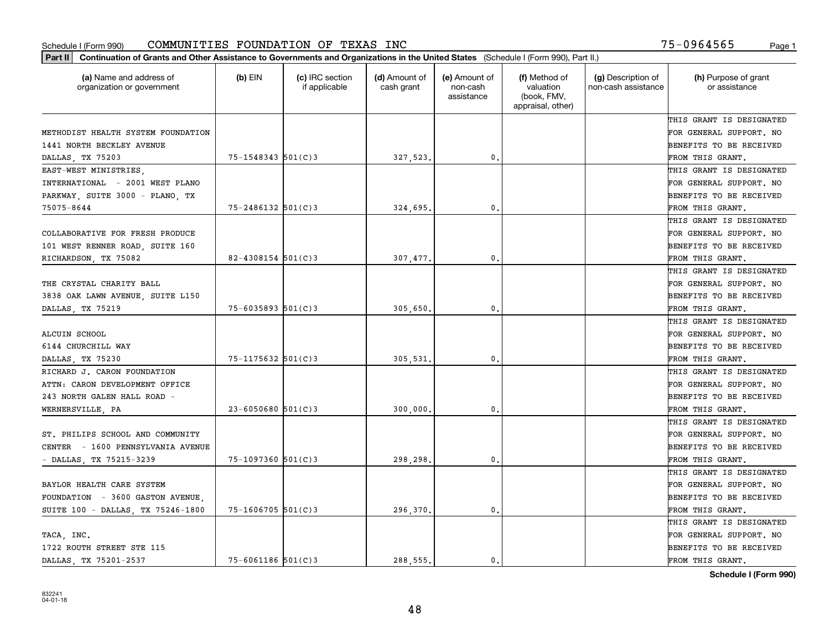| (a) Name and address of<br>organization or government | $(b)$ EIN              | (c) IRC section<br>if applicable | (d) Amount of<br>cash grant | (e) Amount of<br>non-cash<br>assistance | (f) Method of<br>valuation<br>(book, FMV,<br>appraisal, other) | (g) Description of<br>non-cash assistance | (h) Purpose of grant<br>or assistance |
|-------------------------------------------------------|------------------------|----------------------------------|-----------------------------|-----------------------------------------|----------------------------------------------------------------|-------------------------------------------|---------------------------------------|
|                                                       |                        |                                  |                             |                                         |                                                                |                                           | THIS GRANT IS DESIGNATED              |
| METHODIST HEALTH SYSTEM FOUNDATION                    |                        |                                  |                             |                                         |                                                                |                                           | FOR GENERAL SUPPORT. NO               |
| 1441 NORTH BECKLEY AVENUE                             |                        |                                  |                             |                                         |                                                                |                                           | BENEFITS TO BE RECEIVED               |
| DALLAS, TX 75203                                      | $75 - 1548343$ 501(C)3 |                                  | 327,523.                    | 0.                                      |                                                                |                                           | FROM THIS GRANT.                      |
| EAST-WEST MINISTRIES                                  |                        |                                  |                             |                                         |                                                                |                                           | THIS GRANT IS DESIGNATED              |
| INTERNATIONAL - 2001 WEST PLANO                       |                        |                                  |                             |                                         |                                                                |                                           | FOR GENERAL SUPPORT. NO               |
| PARKWAY, SUITE 3000 - PLANO, TX                       |                        |                                  |                             |                                         |                                                                |                                           | BENEFITS TO BE RECEIVED               |
| 75075-8644                                            | $75 - 2486132$ 501(C)3 |                                  | 324,695                     | $\mathbf{0}$                            |                                                                |                                           | FROM THIS GRANT.                      |
|                                                       |                        |                                  |                             |                                         |                                                                |                                           | THIS GRANT IS DESIGNATED              |
| COLLABORATIVE FOR FRESH PRODUCE                       |                        |                                  |                             |                                         |                                                                |                                           | FOR GENERAL SUPPORT. NO               |
| 101 WEST RENNER ROAD, SUITE 160                       |                        |                                  |                             |                                         |                                                                |                                           | BENEFITS TO BE RECEIVED               |
| RICHARDSON, TX 75082                                  | $82 - 4308154$ 501(C)3 |                                  | 307,477.                    | $\mathbf{0}$ .                          |                                                                |                                           | FROM THIS GRANT.                      |
|                                                       |                        |                                  |                             |                                         |                                                                |                                           | THIS GRANT IS DESIGNATED              |
| THE CRYSTAL CHARITY BALL                              |                        |                                  |                             |                                         |                                                                |                                           | FOR GENERAL SUPPORT. NO               |
| 3838 OAK LAWN AVENUE, SUITE L150                      |                        |                                  |                             |                                         |                                                                |                                           | BENEFITS TO BE RECEIVED               |
| DALLAS, TX 75219                                      | $75 - 6035893$ 501(C)3 |                                  | 305,650                     | $\mathbf{0}$                            |                                                                |                                           | FROM THIS GRANT.                      |
|                                                       |                        |                                  |                             |                                         |                                                                |                                           | THIS GRANT IS DESIGNATED              |
| ALCUIN SCHOOL                                         |                        |                                  |                             |                                         |                                                                |                                           | FOR GENERAL SUPPORT. NO               |
| 6144 CHURCHILL WAY                                    |                        |                                  |                             |                                         |                                                                |                                           | BENEFITS TO BE RECEIVED               |
| DALLAS, TX 75230                                      | 75-1175632 501(C)3     |                                  | 305,531                     | $\mathbf{0}$                            |                                                                |                                           | FROM THIS GRANT.                      |
| RICHARD J. CARON FOUNDATION                           |                        |                                  |                             |                                         |                                                                |                                           | THIS GRANT IS DESIGNATED              |
| ATTN: CARON DEVELOPMENT OFFICE                        |                        |                                  |                             |                                         |                                                                |                                           | FOR GENERAL SUPPORT. NO               |
| 243 NORTH GALEN HALL ROAD -                           |                        |                                  |                             |                                         |                                                                |                                           | BENEFITS TO BE RECEIVED               |
| WERNERSVILLE, PA                                      | $23 - 6050680$ 501(C)3 |                                  | 300,000                     | $\mathbf{0}$                            |                                                                |                                           | FROM THIS GRANT.                      |
|                                                       |                        |                                  |                             |                                         |                                                                |                                           | THIS GRANT IS DESIGNATED              |
| ST. PHILIPS SCHOOL AND COMMUNITY                      |                        |                                  |                             |                                         |                                                                |                                           | FOR GENERAL SUPPORT. NO               |
| CENTER - 1600 PENNSYLVANIA AVENUE                     |                        |                                  |                             |                                         |                                                                |                                           | BENEFITS TO BE RECEIVED               |
| - DALLAS, TX 75215-3239                               | $75 - 1097360$ 501(C)3 |                                  | 298,298                     | $\mathbf{0}$ .                          |                                                                |                                           | FROM THIS GRANT.                      |
|                                                       |                        |                                  |                             |                                         |                                                                |                                           | THIS GRANT IS DESIGNATED              |
| BAYLOR HEALTH CARE SYSTEM                             |                        |                                  |                             |                                         |                                                                |                                           | FOR GENERAL SUPPORT. NO               |
| FOUNDATION - 3600 GASTON AVENUE,                      |                        |                                  |                             |                                         |                                                                |                                           | BENEFITS TO BE RECEIVED               |
| SUITE 100 - DALLAS, TX 75246-1800                     | $75 - 1606705$ 501(C)3 |                                  | 296,370.                    | $\mathbf{0}$ .                          |                                                                |                                           | FROM THIS GRANT.                      |
|                                                       |                        |                                  |                             |                                         |                                                                |                                           | THIS GRANT IS DESIGNATED              |
| TACA, INC.                                            |                        |                                  |                             |                                         |                                                                |                                           | FOR GENERAL SUPPORT. NO               |
| 1722 ROUTH STREET STE 115                             |                        |                                  |                             |                                         |                                                                |                                           | BENEFITS TO BE RECEIVED               |
| DALLAS, TX 75201-2537                                 | $75 - 6061186$ 501(C)3 |                                  | 288.555.                    | 0.                                      |                                                                |                                           | FROM THIS GRANT.                      |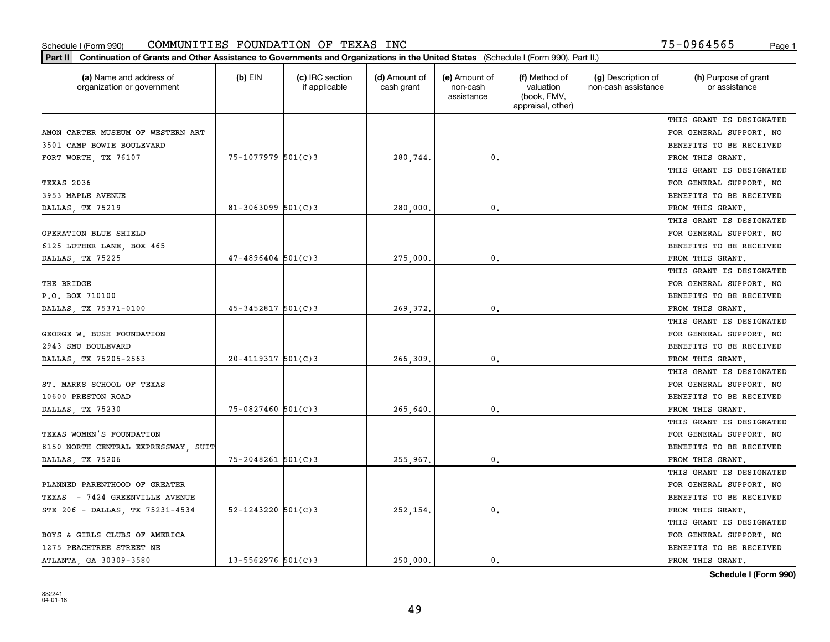| (a) Name and address of<br>organization or government | $(b)$ EIN                | (c) IRC section<br>if applicable | (d) Amount of<br>cash grant | (e) Amount of<br>non-cash<br>assistance | (f) Method of<br>valuation<br>(book, FMV,<br>appraisal, other) | (g) Description of<br>non-cash assistance | (h) Purpose of grant<br>or assistance |
|-------------------------------------------------------|--------------------------|----------------------------------|-----------------------------|-----------------------------------------|----------------------------------------------------------------|-------------------------------------------|---------------------------------------|
|                                                       |                          |                                  |                             |                                         |                                                                |                                           | THIS GRANT IS DESIGNATED              |
| AMON CARTER MUSEUM OF WESTERN ART                     |                          |                                  |                             |                                         |                                                                |                                           | FOR GENERAL SUPPORT. NO               |
| 3501 CAMP BOWIE BOULEVARD                             |                          |                                  |                             |                                         |                                                                |                                           | BENEFITS TO BE RECEIVED               |
| FORT WORTH, TX 76107                                  | 75-1077979 501(C)3       |                                  | 280,744.                    | 0.                                      |                                                                |                                           | FROM THIS GRANT.                      |
|                                                       |                          |                                  |                             |                                         |                                                                |                                           | THIS GRANT IS DESIGNATED              |
| TEXAS 2036                                            |                          |                                  |                             |                                         |                                                                |                                           | FOR GENERAL SUPPORT. NO               |
| 3953 MAPLE AVENUE                                     |                          |                                  |                             |                                         |                                                                |                                           | BENEFITS TO BE RECEIVED               |
| DALLAS, TX 75219                                      | $81 - 3063099$ $501(C)3$ |                                  | 280,000                     | $\mathbf{0}$                            |                                                                |                                           | FROM THIS GRANT.                      |
|                                                       |                          |                                  |                             |                                         |                                                                |                                           | THIS GRANT IS DESIGNATED              |
| OPERATION BLUE SHIELD                                 |                          |                                  |                             |                                         |                                                                |                                           | FOR GENERAL SUPPORT. NO               |
| 6125 LUTHER LANE, BOX 465                             |                          |                                  |                             |                                         |                                                                |                                           | BENEFITS TO BE RECEIVED               |
| DALLAS, TX 75225                                      | $47 - 4896404$ 501(C)3   |                                  | 275,000                     | $\mathbf{0}$ .                          |                                                                |                                           | FROM THIS GRANT.                      |
|                                                       |                          |                                  |                             |                                         |                                                                |                                           | THIS GRANT IS DESIGNATED              |
| THE BRIDGE                                            |                          |                                  |                             |                                         |                                                                |                                           | FOR GENERAL SUPPORT. NO               |
| P.O. BOX 710100                                       |                          |                                  |                             |                                         |                                                                |                                           | BENEFITS TO BE RECEIVED               |
| DALLAS, TX 75371-0100                                 | $45 - 3452817$ 501(C)3   |                                  | 269,372                     | $\mathbf{0}$                            |                                                                |                                           | FROM THIS GRANT.                      |
|                                                       |                          |                                  |                             |                                         |                                                                |                                           | THIS GRANT IS DESIGNATED              |
| GEORGE W. BUSH FOUNDATION                             |                          |                                  |                             |                                         |                                                                |                                           | FOR GENERAL SUPPORT. NO               |
| 2943 SMU BOULEVARD                                    |                          |                                  |                             |                                         |                                                                |                                           | BENEFITS TO BE RECEIVED               |
| DALLAS, TX 75205-2563                                 | $20 - 4119317$ 501(C)3   |                                  | 266,309                     | $\mathbf{0}$                            |                                                                |                                           | FROM THIS GRANT.                      |
|                                                       |                          |                                  |                             |                                         |                                                                |                                           | THIS GRANT IS DESIGNATED              |
| ST. MARKS SCHOOL OF TEXAS                             |                          |                                  |                             |                                         |                                                                |                                           | FOR GENERAL SUPPORT. NO               |
| 10600 PRESTON ROAD                                    |                          |                                  |                             |                                         |                                                                |                                           | BENEFITS TO BE RECEIVED               |
| DALLAS, TX 75230                                      | $75 - 0827460$ 501(C)3   |                                  | 265,640                     | $\mathbf{0}$                            |                                                                |                                           | FROM THIS GRANT.                      |
|                                                       |                          |                                  |                             |                                         |                                                                |                                           | THIS GRANT IS DESIGNATED              |
| TEXAS WOMEN'S FOUNDATION                              |                          |                                  |                             |                                         |                                                                |                                           | FOR GENERAL SUPPORT. NO               |
| 8150 NORTH CENTRAL EXPRESSWAY, SUIT                   |                          |                                  |                             |                                         |                                                                |                                           | BENEFITS TO BE RECEIVED               |
| DALLAS, TX 75206                                      | $75 - 2048261$ 501(C)3   |                                  | 255,967.                    | $\mathbf{0}$ .                          |                                                                |                                           | FROM THIS GRANT.                      |
|                                                       |                          |                                  |                             |                                         |                                                                |                                           | THIS GRANT IS DESIGNATED              |
| PLANNED PARENTHOOD OF GREATER                         |                          |                                  |                             |                                         |                                                                |                                           | FOR GENERAL SUPPORT. NO               |
| TEXAS - 7424 GREENVILLE AVENUE                        |                          |                                  |                             |                                         |                                                                |                                           | BENEFITS TO BE RECEIVED               |
| STE 206 - DALLAS, TX 75231-4534                       | 52-1243220 $501(C)3$     |                                  | 252,154.                    | $\mathbf{0}$ .                          |                                                                |                                           | FROM THIS GRANT.                      |
|                                                       |                          |                                  |                             |                                         |                                                                |                                           | THIS GRANT IS DESIGNATED              |
| BOYS & GIRLS CLUBS OF AMERICA                         |                          |                                  |                             |                                         |                                                                |                                           | FOR GENERAL SUPPORT. NO               |
| 1275 PEACHTREE STREET NE                              |                          |                                  |                             |                                         |                                                                |                                           | BENEFITS TO BE RECEIVED               |
| ATLANTA, GA 30309-3580                                | $13 - 5562976$ 501(C)3   |                                  | 250,000.                    | 0.                                      |                                                                |                                           | FROM THIS GRANT.                      |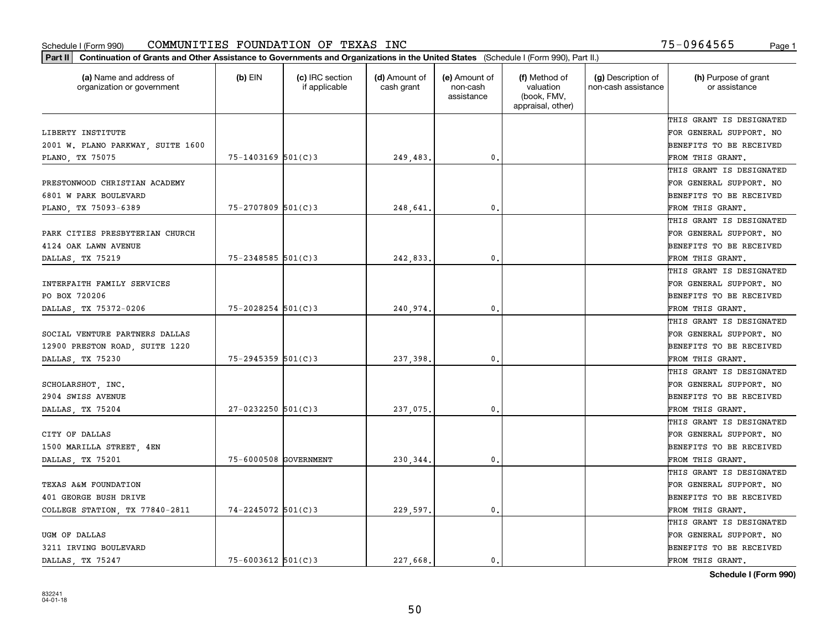| Part II   Continuation of Grants and Other Assistance to Governments and Organizations in the United States (Schedule I (Form 990), Part II.) |                        |                                  |                             |                                         |                                                                |                                           |                                       |
|-----------------------------------------------------------------------------------------------------------------------------------------------|------------------------|----------------------------------|-----------------------------|-----------------------------------------|----------------------------------------------------------------|-------------------------------------------|---------------------------------------|
| (a) Name and address of<br>organization or government                                                                                         | $(b)$ EIN              | (c) IRC section<br>if applicable | (d) Amount of<br>cash grant | (e) Amount of<br>non-cash<br>assistance | (f) Method of<br>valuation<br>(book, FMV,<br>appraisal, other) | (g) Description of<br>non-cash assistance | (h) Purpose of grant<br>or assistance |
|                                                                                                                                               |                        |                                  |                             |                                         |                                                                |                                           | THIS GRANT IS DESIGNATED              |
| LIBERTY INSTITUTE                                                                                                                             |                        |                                  |                             |                                         |                                                                |                                           | FOR GENERAL SUPPORT. NO               |
| 2001 W. PLANO PARKWAY, SUITE 1600                                                                                                             |                        |                                  |                             |                                         |                                                                |                                           | BENEFITS TO BE RECEIVED               |
| PLANO, TX 75075                                                                                                                               | $75 - 1403169$ 501(C)3 |                                  | 249,483.                    | 0.                                      |                                                                |                                           | FROM THIS GRANT.                      |
|                                                                                                                                               |                        |                                  |                             |                                         |                                                                |                                           | THIS GRANT IS DESIGNATED              |
| PRESTONWOOD CHRISTIAN ACADEMY                                                                                                                 |                        |                                  |                             |                                         |                                                                |                                           | FOR GENERAL SUPPORT. NO               |
| 6801 W PARK BOULEVARD                                                                                                                         |                        |                                  |                             |                                         |                                                                |                                           | BENEFITS TO BE RECEIVED               |
| PLANO, TX 75093-6389                                                                                                                          | $75 - 2707809$ 501(C)3 |                                  | 248,641.                    | 0.                                      |                                                                |                                           | FROM THIS GRANT.                      |
|                                                                                                                                               |                        |                                  |                             |                                         |                                                                |                                           | THIS GRANT IS DESIGNATED              |
| PARK CITIES PRESBYTERIAN CHURCH                                                                                                               |                        |                                  |                             |                                         |                                                                |                                           | FOR GENERAL SUPPORT. NO               |
| 4124 OAK LAWN AVENUE                                                                                                                          |                        |                                  |                             |                                         |                                                                |                                           | BENEFITS TO BE RECEIVED               |
| DALLAS, TX 75219                                                                                                                              | $75 - 2348585$ 501(C)3 |                                  | 242,833.                    | 0.                                      |                                                                |                                           | FROM THIS GRANT.                      |
|                                                                                                                                               |                        |                                  |                             |                                         |                                                                |                                           | THIS GRANT IS DESIGNATED              |
| INTERFAITH FAMILY SERVICES                                                                                                                    |                        |                                  |                             |                                         |                                                                |                                           | FOR GENERAL SUPPORT. NO               |
| PO BOX 720206                                                                                                                                 |                        |                                  |                             |                                         |                                                                |                                           | <b>BENEFITS TO BE RECEIVED</b>        |
| DALLAS, TX 75372-0206                                                                                                                         | $75 - 2028254$ 501(C)3 |                                  | 240,974.                    | 0.                                      |                                                                |                                           | FROM THIS GRANT.                      |
|                                                                                                                                               |                        |                                  |                             |                                         |                                                                |                                           | THIS GRANT IS DESIGNATED              |
| SOCIAL VENTURE PARTNERS DALLAS                                                                                                                |                        |                                  |                             |                                         |                                                                |                                           | FOR GENERAL SUPPORT. NO               |
| 12900 PRESTON ROAD, SUITE 1220                                                                                                                |                        |                                  |                             |                                         |                                                                |                                           | BENEFITS TO BE RECEIVED               |
| DALLAS, TX 75230                                                                                                                              | $75 - 2945359$ 501(C)3 |                                  | 237,398.                    | 0.                                      |                                                                |                                           | FROM THIS GRANT.                      |
|                                                                                                                                               |                        |                                  |                             |                                         |                                                                |                                           | THIS GRANT IS DESIGNATED              |
| SCHOLARSHOT, INC.                                                                                                                             |                        |                                  |                             |                                         |                                                                |                                           | FOR GENERAL SUPPORT. NO               |
| 2904 SWISS AVENUE                                                                                                                             |                        |                                  |                             |                                         |                                                                |                                           | <b>BENEFITS TO BE RECEIVED</b>        |
| DALLAS, TX 75204                                                                                                                              | $27 - 0232250$ 501(C)3 |                                  | 237,075.                    | 0.                                      |                                                                |                                           | FROM THIS GRANT.                      |
|                                                                                                                                               |                        |                                  |                             |                                         |                                                                |                                           | THIS GRANT IS DESIGNATED              |
| CITY OF DALLAS                                                                                                                                |                        |                                  |                             |                                         |                                                                |                                           | FOR GENERAL SUPPORT. NO               |
| 1500 MARILLA STREET, 4EN                                                                                                                      |                        |                                  |                             |                                         |                                                                |                                           | <b>BENEFITS TO BE RECEIVED</b>        |
| DALLAS, TX 75201                                                                                                                              | 75-6000508 GOVERNMENT  |                                  | 230,344.                    | 0.                                      |                                                                |                                           | FROM THIS GRANT.                      |
|                                                                                                                                               |                        |                                  |                             |                                         |                                                                |                                           | THIS GRANT IS DESIGNATED              |
| TEXAS A&M FOUNDATION                                                                                                                          |                        |                                  |                             |                                         |                                                                |                                           | FOR GENERAL SUPPORT. NO               |
| 401 GEORGE BUSH DRIVE                                                                                                                         |                        |                                  |                             |                                         |                                                                |                                           | BENEFITS TO BE RECEIVED               |
| COLLEGE STATION, TX 77840-2811                                                                                                                | 74-2245072 501(C)3     |                                  | 229,597.                    | $\mathbf{0}$ .                          |                                                                |                                           | FROM THIS GRANT.                      |
|                                                                                                                                               |                        |                                  |                             |                                         |                                                                |                                           | THIS GRANT IS DESIGNATED              |
| UGM OF DALLAS                                                                                                                                 |                        |                                  |                             |                                         |                                                                |                                           | FOR GENERAL SUPPORT. NO               |
| 3211 IRVING BOULEVARD                                                                                                                         |                        |                                  |                             |                                         |                                                                |                                           | <b>BENEFITS TO BE RECEIVED</b>        |
| DALLAS, TX 75247                                                                                                                              | $75 - 6003612$ 501(C)3 |                                  | 227.668.                    | $\mathbf{0}$ .                          |                                                                |                                           | FROM THIS GRANT.                      |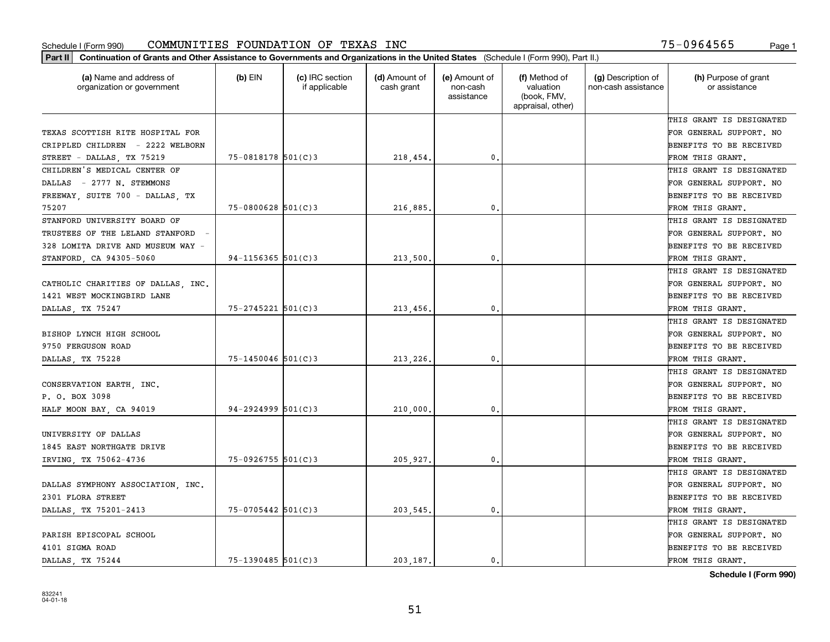| Part II   Continuation of Grants and Other Assistance to Governments and Organizations in the United States (Schedule I (Form 990), Part II.) |                        |                                  |                             |                                         |                                                                |                                           |                                       |
|-----------------------------------------------------------------------------------------------------------------------------------------------|------------------------|----------------------------------|-----------------------------|-----------------------------------------|----------------------------------------------------------------|-------------------------------------------|---------------------------------------|
| (a) Name and address of<br>organization or government                                                                                         | $(b)$ EIN              | (c) IRC section<br>if applicable | (d) Amount of<br>cash grant | (e) Amount of<br>non-cash<br>assistance | (f) Method of<br>valuation<br>(book, FMV,<br>appraisal, other) | (g) Description of<br>non-cash assistance | (h) Purpose of grant<br>or assistance |
|                                                                                                                                               |                        |                                  |                             |                                         |                                                                |                                           | THIS GRANT IS DESIGNATED              |
| TEXAS SCOTTISH RITE HOSPITAL FOR                                                                                                              |                        |                                  |                             |                                         |                                                                |                                           | FOR GENERAL SUPPORT. NO               |
| CRIPPLED CHILDREN - 2222 WELBORN                                                                                                              |                        |                                  |                             |                                         |                                                                |                                           | BENEFITS TO BE RECEIVED               |
| STREET - DALLAS, TX 75219                                                                                                                     | $75 - 0818178$ 501(C)3 |                                  | 218,454.                    | 0.                                      |                                                                |                                           | FROM THIS GRANT.                      |
| CHILDREN'S MEDICAL CENTER OF                                                                                                                  |                        |                                  |                             |                                         |                                                                |                                           | THIS GRANT IS DESIGNATED              |
| DALLAS - 2777 N. STEMMONS                                                                                                                     |                        |                                  |                             |                                         |                                                                |                                           | FOR GENERAL SUPPORT. NO               |
| FREEWAY, SUITE 700 - DALLAS, TX                                                                                                               |                        |                                  |                             |                                         |                                                                |                                           | BENEFITS TO BE RECEIVED               |
| 75207                                                                                                                                         | $75 - 0800628$ 501(C)3 |                                  | 216,885.                    | 0.                                      |                                                                |                                           | FROM THIS GRANT.                      |
| STANFORD UNIVERSITY BOARD OF                                                                                                                  |                        |                                  |                             |                                         |                                                                |                                           | THIS GRANT IS DESIGNATED              |
| TRUSTEES OF THE LELAND STANFORD                                                                                                               |                        |                                  |                             |                                         |                                                                |                                           | FOR GENERAL SUPPORT. NO               |
| 328 LOMITA DRIVE AND MUSEUM WAY -                                                                                                             |                        |                                  |                             |                                         |                                                                |                                           | BENEFITS TO BE RECEIVED               |
| STANFORD, CA 94305-5060                                                                                                                       | $94 - 1156365$ 501(C)3 |                                  | 213,500,                    | 0.                                      |                                                                |                                           | FROM THIS GRANT.                      |
|                                                                                                                                               |                        |                                  |                             |                                         |                                                                |                                           | THIS GRANT IS DESIGNATED              |
| CATHOLIC CHARITIES OF DALLAS, INC.                                                                                                            |                        |                                  |                             |                                         |                                                                |                                           | FOR GENERAL SUPPORT. NO               |
| 1421 WEST MOCKINGBIRD LANE                                                                                                                    |                        |                                  |                             |                                         |                                                                |                                           | <b>BENEFITS TO BE RECEIVED</b>        |
| DALLAS, TX 75247                                                                                                                              | $75 - 2745221$ 501(C)3 |                                  | 213,456.                    | 0.                                      |                                                                |                                           | FROM THIS GRANT.                      |
|                                                                                                                                               |                        |                                  |                             |                                         |                                                                |                                           | THIS GRANT IS DESIGNATED              |
| BISHOP LYNCH HIGH SCHOOL                                                                                                                      |                        |                                  |                             |                                         |                                                                |                                           | FOR GENERAL SUPPORT. NO               |
| 9750 FERGUSON ROAD                                                                                                                            |                        |                                  |                             |                                         |                                                                |                                           | BENEFITS TO BE RECEIVED               |
| DALLAS, TX 75228                                                                                                                              | $75 - 1450046$ 501(C)3 |                                  | 213,226.                    | 0.                                      |                                                                |                                           | FROM THIS GRANT.                      |
|                                                                                                                                               |                        |                                  |                             |                                         |                                                                |                                           | THIS GRANT IS DESIGNATED              |
| CONSERVATION EARTH, INC.                                                                                                                      |                        |                                  |                             |                                         |                                                                |                                           | FOR GENERAL SUPPORT. NO               |
| P. O. BOX 3098                                                                                                                                |                        |                                  |                             |                                         |                                                                |                                           | <b>BENEFITS TO BE RECEIVED</b>        |
| HALF MOON BAY, CA 94019                                                                                                                       | $94 - 2924999$ 501(C)3 |                                  | 210,000                     | 0.                                      |                                                                |                                           | FROM THIS GRANT.                      |
|                                                                                                                                               |                        |                                  |                             |                                         |                                                                |                                           | THIS GRANT IS DESIGNATED              |
| UNIVERSITY OF DALLAS                                                                                                                          |                        |                                  |                             |                                         |                                                                |                                           | FOR GENERAL SUPPORT. NO               |
| 1845 EAST NORTHGATE DRIVE                                                                                                                     |                        |                                  |                             |                                         |                                                                |                                           | <b>BENEFITS TO BE RECEIVED</b>        |
| IRVING, TX 75062-4736                                                                                                                         | $75 - 0926755$ 501(C)3 |                                  | 205,927.                    | 0.                                      |                                                                |                                           | FROM THIS GRANT.                      |
|                                                                                                                                               |                        |                                  |                             |                                         |                                                                |                                           | THIS GRANT IS DESIGNATED              |
| DALLAS SYMPHONY ASSOCIATION, INC.                                                                                                             |                        |                                  |                             |                                         |                                                                |                                           | FOR GENERAL SUPPORT. NO               |
| 2301 FLORA STREET                                                                                                                             |                        |                                  |                             |                                         |                                                                |                                           | BENEFITS TO BE RECEIVED               |
| DALLAS, TX 75201-2413                                                                                                                         | 75-0705442 501(C)3     |                                  | 203,545.                    | $\mathbf{0}$ .                          |                                                                |                                           | FROM THIS GRANT.                      |
|                                                                                                                                               |                        |                                  |                             |                                         |                                                                |                                           | THIS GRANT IS DESIGNATED              |
| PARISH EPISCOPAL SCHOOL                                                                                                                       |                        |                                  |                             |                                         |                                                                |                                           | FOR GENERAL SUPPORT. NO               |
| 4101 SIGMA ROAD                                                                                                                               |                        |                                  |                             |                                         |                                                                |                                           | <b>BENEFITS TO BE RECEIVED</b>        |
| DALLAS, TX 75244                                                                                                                              | $75 - 1390485$ 501(C)3 |                                  | 203.187.                    | $\mathbf{0}$ .                          |                                                                |                                           | FROM THIS GRANT.                      |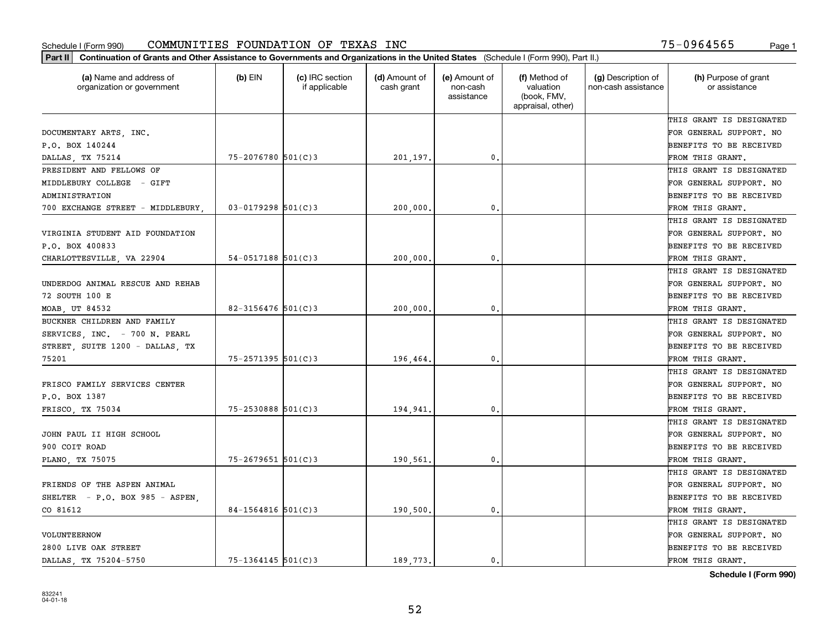| (a) Name and address of<br>organization or government | $(b)$ EIN              | (c) IRC section<br>if applicable | (d) Amount of<br>cash grant | (e) Amount of<br>non-cash<br>assistance | (f) Method of<br>valuation<br>(book, FMV,<br>appraisal, other) | (g) Description of<br>non-cash assistance | (h) Purpose of grant<br>or assistance |
|-------------------------------------------------------|------------------------|----------------------------------|-----------------------------|-----------------------------------------|----------------------------------------------------------------|-------------------------------------------|---------------------------------------|
|                                                       |                        |                                  |                             |                                         |                                                                |                                           | THIS GRANT IS DESIGNATED              |
| DOCUMENTARY ARTS, INC.                                |                        |                                  |                             |                                         |                                                                |                                           | FOR GENERAL SUPPORT. NO               |
| P.O. BOX 140244                                       |                        |                                  |                             |                                         |                                                                |                                           | BENEFITS TO BE RECEIVED               |
| DALLAS, TX 75214                                      | 75-2076780 501(C)3     |                                  | 201,197.                    | $\mathfrak{o}$ .                        |                                                                |                                           | FROM THIS GRANT.                      |
| PRESIDENT AND FELLOWS OF                              |                        |                                  |                             |                                         |                                                                |                                           | THIS GRANT IS DESIGNATED              |
| MIDDLEBURY COLLEGE - GIFT                             |                        |                                  |                             |                                         |                                                                |                                           | FOR GENERAL SUPPORT. NO               |
| ADMINISTRATION                                        |                        |                                  |                             |                                         |                                                                |                                           | BENEFITS TO BE RECEIVED               |
| 700 EXCHANGE STREET - MIDDLEBURY                      | $03 - 0179298$ 501(C)3 |                                  | 200,000                     | $\mathbf{0}$                            |                                                                |                                           | FROM THIS GRANT.                      |
|                                                       |                        |                                  |                             |                                         |                                                                |                                           | THIS GRANT IS DESIGNATED              |
| VIRGINIA STUDENT AID FOUNDATION                       |                        |                                  |                             |                                         |                                                                |                                           | FOR GENERAL SUPPORT. NO               |
| P.O. BOX 400833                                       |                        |                                  |                             |                                         |                                                                |                                           | BENEFITS TO BE RECEIVED               |
| CHARLOTTESVILLE, VA 22904                             | $54-0517188$ 501(C)3   |                                  | 200,000                     | $\mathbf{0}$ .                          |                                                                |                                           | FROM THIS GRANT.                      |
|                                                       |                        |                                  |                             |                                         |                                                                |                                           | THIS GRANT IS DESIGNATED              |
| UNDERDOG ANIMAL RESCUE AND REHAB                      |                        |                                  |                             |                                         |                                                                |                                           | FOR GENERAL SUPPORT. NO               |
| 72 SOUTH 100 E                                        |                        |                                  |                             |                                         |                                                                |                                           | BENEFITS TO BE RECEIVED               |
| MOAB, UT 84532                                        | $82 - 3156476$ 501(C)3 |                                  | 200,000                     | 0.                                      |                                                                |                                           | FROM THIS GRANT.                      |
| BUCKNER CHILDREN AND FAMILY                           |                        |                                  |                             |                                         |                                                                |                                           | THIS GRANT IS DESIGNATED              |
| SERVICES, INC. - 700 N. PEARL                         |                        |                                  |                             |                                         |                                                                |                                           | FOR GENERAL SUPPORT. NO               |
| STREET, SUITE 1200 - DALLAS, TX                       |                        |                                  |                             |                                         |                                                                |                                           | BENEFITS TO BE RECEIVED               |
| 75201                                                 | $75 - 2571395$ 501(C)3 |                                  | 196,464                     | $\mathbf{0}$                            |                                                                |                                           | FROM THIS GRANT.                      |
|                                                       |                        |                                  |                             |                                         |                                                                |                                           | THIS GRANT IS DESIGNATED              |
| FRISCO FAMILY SERVICES CENTER                         |                        |                                  |                             |                                         |                                                                |                                           | FOR GENERAL SUPPORT. NO               |
| P.O. BOX 1387                                         |                        |                                  |                             |                                         |                                                                |                                           | BENEFITS TO BE RECEIVED               |
| FRISCO, TX 75034                                      | 75-2530888 501(C)3     |                                  | 194,941                     | $\mathbf{0}$                            |                                                                |                                           | FROM THIS GRANT.                      |
|                                                       |                        |                                  |                             |                                         |                                                                |                                           | THIS GRANT IS DESIGNATED              |
| JOHN PAUL II HIGH SCHOOL                              |                        |                                  |                             |                                         |                                                                |                                           | FOR GENERAL SUPPORT. NO               |
| 900 COIT ROAD                                         |                        |                                  |                             |                                         |                                                                |                                           | BENEFITS TO BE RECEIVED               |
| PLANO, TX 75075                                       | $75 - 2679651$ 501(C)3 |                                  | 190,561                     | $\mathbf{0}$ .                          |                                                                |                                           | FROM THIS GRANT.                      |
|                                                       |                        |                                  |                             |                                         |                                                                |                                           | THIS GRANT IS DESIGNATED              |
| FRIENDS OF THE ASPEN ANIMAL                           |                        |                                  |                             |                                         |                                                                |                                           | FOR GENERAL SUPPORT. NO               |
| SHELTER - P.O. BOX 985 - ASPEN,                       |                        |                                  |                             |                                         |                                                                |                                           | BENEFITS TO BE RECEIVED               |
| CO 81612                                              | 84-1564816 501(C)3     |                                  | 190,500.                    | $\mathbf{0}$ .                          |                                                                |                                           | FROM THIS GRANT.                      |
|                                                       |                        |                                  |                             |                                         |                                                                |                                           | THIS GRANT IS DESIGNATED              |
| VOLUNTEERNOW                                          |                        |                                  |                             |                                         |                                                                |                                           | FOR GENERAL SUPPORT. NO               |
| 2800 LIVE OAK STREET                                  |                        |                                  |                             |                                         |                                                                |                                           | BENEFITS TO BE RECEIVED               |
| DALLAS TX 75204-5750                                  | $75 - 1364145$ 501(C)3 |                                  | 189.773.                    | 0.                                      |                                                                |                                           | FROM THIS GRANT.                      |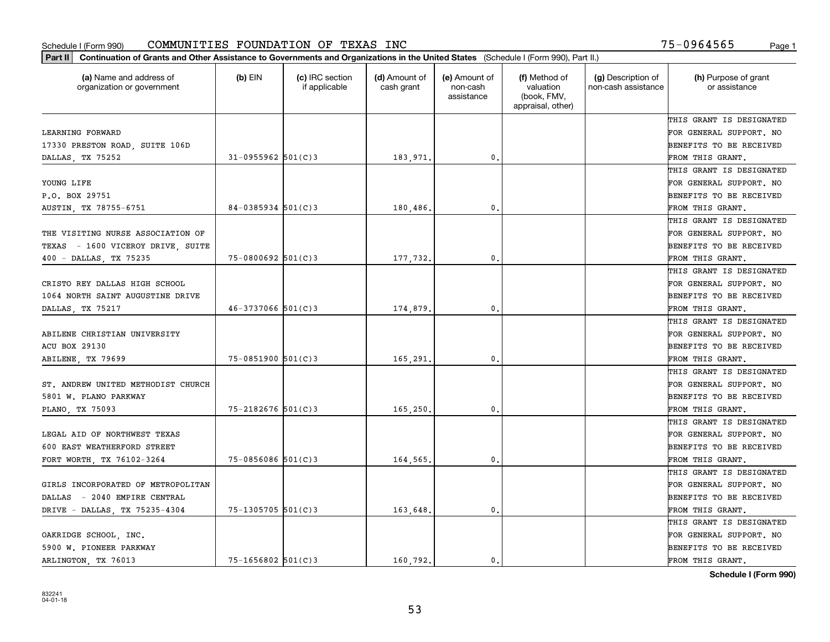| Part II   Continuation of Grants and Other Assistance to Governments and Organizations in the United States (Schedule I (Form 990), Part II.) |                        |                                  |                             |                                         |                                                                |                                           |                                       |
|-----------------------------------------------------------------------------------------------------------------------------------------------|------------------------|----------------------------------|-----------------------------|-----------------------------------------|----------------------------------------------------------------|-------------------------------------------|---------------------------------------|
| (a) Name and address of<br>organization or government                                                                                         | $(b)$ EIN              | (c) IRC section<br>if applicable | (d) Amount of<br>cash grant | (e) Amount of<br>non-cash<br>assistance | (f) Method of<br>valuation<br>(book, FMV,<br>appraisal, other) | (g) Description of<br>non-cash assistance | (h) Purpose of grant<br>or assistance |
|                                                                                                                                               |                        |                                  |                             |                                         |                                                                |                                           | THIS GRANT IS DESIGNATED              |
| LEARNING FORWARD                                                                                                                              |                        |                                  |                             |                                         |                                                                |                                           | FOR GENERAL SUPPORT. NO               |
| 17330 PRESTON ROAD, SUITE 106D                                                                                                                |                        |                                  |                             |                                         |                                                                |                                           | BENEFITS TO BE RECEIVED               |
| DALLAS, TX 75252                                                                                                                              | $31 - 0955962$ 501(C)3 |                                  | 183,971.                    | 0.                                      |                                                                |                                           | FROM THIS GRANT.                      |
|                                                                                                                                               |                        |                                  |                             |                                         |                                                                |                                           | THIS GRANT IS DESIGNATED              |
| YOUNG LIFE                                                                                                                                    |                        |                                  |                             |                                         |                                                                |                                           | FOR GENERAL SUPPORT. NO               |
| P.O. BOX 29751                                                                                                                                |                        |                                  |                             |                                         |                                                                |                                           | BENEFITS TO BE RECEIVED               |
| AUSTIN, TX 78755-6751                                                                                                                         | $84 - 0385934$ 501(C)3 |                                  | 180,486.                    | 0.                                      |                                                                |                                           | FROM THIS GRANT.                      |
|                                                                                                                                               |                        |                                  |                             |                                         |                                                                |                                           | THIS GRANT IS DESIGNATED              |
| THE VISITING NURSE ASSOCIATION OF                                                                                                             |                        |                                  |                             |                                         |                                                                |                                           | FOR GENERAL SUPPORT. NO               |
| TEXAS - 1600 VICEROY DRIVE, SUITE                                                                                                             |                        |                                  |                             |                                         |                                                                |                                           | BENEFITS TO BE RECEIVED               |
| 400 - DALLAS, TX 75235                                                                                                                        | $75 - 0800692$ 501(C)3 |                                  | 177,732.                    | $\mathfrak{o}$ .                        |                                                                |                                           | FROM THIS GRANT.                      |
|                                                                                                                                               |                        |                                  |                             |                                         |                                                                |                                           | THIS GRANT IS DESIGNATED              |
| CRISTO REY DALLAS HIGH SCHOOL                                                                                                                 |                        |                                  |                             |                                         |                                                                |                                           | FOR GENERAL SUPPORT. NO               |
| 1064 NORTH SAINT AUGUSTINE DRIVE                                                                                                              |                        |                                  |                             |                                         |                                                                |                                           | <b>BENEFITS TO BE RECEIVED</b>        |
| DALLAS, TX 75217                                                                                                                              | $46 - 3737066$ 501(C)3 |                                  | 174,879.                    | $\mathbf{0}$ .                          |                                                                |                                           | FROM THIS GRANT.                      |
|                                                                                                                                               |                        |                                  |                             |                                         |                                                                |                                           | THIS GRANT IS DESIGNATED              |
| ABILENE CHRISTIAN UNIVERSITY                                                                                                                  |                        |                                  |                             |                                         |                                                                |                                           | FOR GENERAL SUPPORT. NO               |
| <b>ACU BOX 29130</b>                                                                                                                          |                        |                                  |                             |                                         |                                                                |                                           | BENEFITS TO BE RECEIVED               |
| ABILENE, TX 79699                                                                                                                             | $75 - 0851900$ 501(C)3 |                                  | 165,291.                    | 0.                                      |                                                                |                                           | FROM THIS GRANT.                      |
|                                                                                                                                               |                        |                                  |                             |                                         |                                                                |                                           | THIS GRANT IS DESIGNATED              |
| ST. ANDREW UNITED METHODIST CHURCH                                                                                                            |                        |                                  |                             |                                         |                                                                |                                           | FOR GENERAL SUPPORT. NO               |
| 5801 W. PLANO PARKWAY                                                                                                                         |                        |                                  |                             |                                         |                                                                |                                           | BENEFITS TO BE RECEIVED               |
| PLANO, TX 75093                                                                                                                               | $75 - 2182676$ 501(C)3 |                                  | 165,250.                    | $\mathfrak{o}$ .                        |                                                                |                                           | FROM THIS GRANT.                      |
|                                                                                                                                               |                        |                                  |                             |                                         |                                                                |                                           | THIS GRANT IS DESIGNATED              |
| LEGAL AID OF NORTHWEST TEXAS                                                                                                                  |                        |                                  |                             |                                         |                                                                |                                           | FOR GENERAL SUPPORT. NO               |
| 600 EAST WEATHERFORD STREET                                                                                                                   |                        |                                  |                             |                                         |                                                                |                                           | BENEFITS TO BE RECEIVED               |
| FORT WORTH, TX 76102-3264                                                                                                                     | $75 - 0856086$ 501(C)3 |                                  | 164,565.                    | 0.                                      |                                                                |                                           | FROM THIS GRANT.                      |
|                                                                                                                                               |                        |                                  |                             |                                         |                                                                |                                           | THIS GRANT IS DESIGNATED              |
| GIRLS INCORPORATED OF METROPOLITAN                                                                                                            |                        |                                  |                             |                                         |                                                                |                                           | FOR GENERAL SUPPORT. NO               |
| - 2040 EMPIRE CENTRAL<br>DALLAS                                                                                                               |                        |                                  |                             |                                         |                                                                |                                           | BENEFITS TO BE RECEIVED               |
| DRIVE - DALLAS, TX 75235-4304                                                                                                                 | 75-1305705 501(C)3     |                                  | 163,648.                    | $\mathbf{0}$ .                          |                                                                |                                           | FROM THIS GRANT.                      |
|                                                                                                                                               |                        |                                  |                             |                                         |                                                                |                                           | THIS GRANT IS DESIGNATED              |
| OAKRIDGE SCHOOL, INC.                                                                                                                         |                        |                                  |                             |                                         |                                                                |                                           | FOR GENERAL SUPPORT. NO               |
| 5900 W. PIONEER PARKWAY                                                                                                                       |                        |                                  |                             |                                         |                                                                |                                           | <b>BENEFITS TO BE RECEIVED</b>        |
| ARLINGTON, TX 76013                                                                                                                           | $75 - 1656802$ 501(C)3 |                                  | 160.792.                    | 0.                                      |                                                                |                                           | FROM THIS GRANT.                      |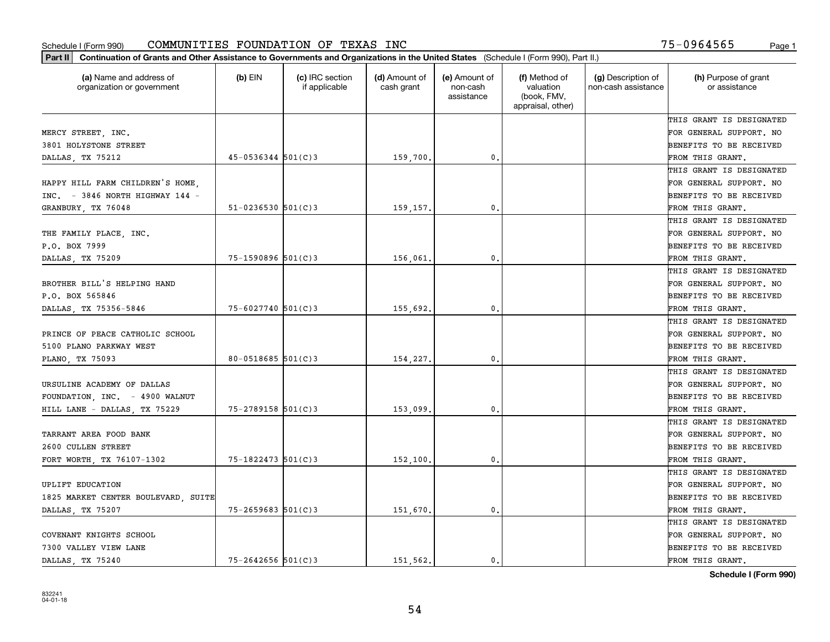| Part II   Continuation of Grants and Other Assistance to Governments and Organizations in the United States (Schedule I (Form 990), Part II.) |                          |                                  |                             |                                         |                                                                |                                           |                                       |
|-----------------------------------------------------------------------------------------------------------------------------------------------|--------------------------|----------------------------------|-----------------------------|-----------------------------------------|----------------------------------------------------------------|-------------------------------------------|---------------------------------------|
| (a) Name and address of<br>organization or government                                                                                         | $(b)$ EIN                | (c) IRC section<br>if applicable | (d) Amount of<br>cash grant | (e) Amount of<br>non-cash<br>assistance | (f) Method of<br>valuation<br>(book, FMV,<br>appraisal, other) | (g) Description of<br>non-cash assistance | (h) Purpose of grant<br>or assistance |
|                                                                                                                                               |                          |                                  |                             |                                         |                                                                |                                           | THIS GRANT IS DESIGNATED              |
| MERCY STREET, INC.                                                                                                                            |                          |                                  |                             |                                         |                                                                |                                           | FOR GENERAL SUPPORT. NO               |
| 3801 HOLYSTONE STREET                                                                                                                         |                          |                                  |                             |                                         |                                                                |                                           | BENEFITS TO BE RECEIVED               |
| DALLAS, TX 75212                                                                                                                              | $45 - 0536344$ 501(C)3   |                                  | 159,700.                    | 0.                                      |                                                                |                                           | FROM THIS GRANT.                      |
|                                                                                                                                               |                          |                                  |                             |                                         |                                                                |                                           | THIS GRANT IS DESIGNATED              |
| HAPPY HILL FARM CHILDREN'S HOME,                                                                                                              |                          |                                  |                             |                                         |                                                                |                                           | FOR GENERAL SUPPORT. NO               |
| $INC. = 3846$ NORTH HIGHWAY 144 -                                                                                                             |                          |                                  |                             |                                         |                                                                |                                           | BENEFITS TO BE RECEIVED               |
| GRANBURY, TX 76048                                                                                                                            | $51 - 0236530$ $501(C)3$ |                                  | 159,157.                    | 0.                                      |                                                                |                                           | FROM THIS GRANT.                      |
|                                                                                                                                               |                          |                                  |                             |                                         |                                                                |                                           | THIS GRANT IS DESIGNATED              |
| THE FAMILY PLACE, INC.                                                                                                                        |                          |                                  |                             |                                         |                                                                |                                           | FOR GENERAL SUPPORT. NO               |
| P.O. BOX 7999                                                                                                                                 |                          |                                  |                             |                                         |                                                                |                                           | BENEFITS TO BE RECEIVED               |
| DALLAS, TX 75209                                                                                                                              | $75 - 1590896$ 501(C)3   |                                  | 156,061.                    | 0.                                      |                                                                |                                           | FROM THIS GRANT.                      |
|                                                                                                                                               |                          |                                  |                             |                                         |                                                                |                                           | THIS GRANT IS DESIGNATED              |
| BROTHER BILL'S HELPING HAND                                                                                                                   |                          |                                  |                             |                                         |                                                                |                                           | FOR GENERAL SUPPORT. NO               |
| P.O. BOX 565846                                                                                                                               |                          |                                  |                             |                                         |                                                                |                                           | <b>BENEFITS TO BE RECEIVED</b>        |
| DALLAS, TX 75356-5846                                                                                                                         | 75-6027740 501(C)3       |                                  | 155,692.                    | 0.                                      |                                                                |                                           | FROM THIS GRANT.                      |
|                                                                                                                                               |                          |                                  |                             |                                         |                                                                |                                           | THIS GRANT IS DESIGNATED              |
| PRINCE OF PEACE CATHOLIC SCHOOL                                                                                                               |                          |                                  |                             |                                         |                                                                |                                           | FOR GENERAL SUPPORT. NO               |
| 5100 PLANO PARKWAY WEST                                                                                                                       |                          |                                  |                             |                                         |                                                                |                                           | BENEFITS TO BE RECEIVED               |
| PLANO, TX 75093                                                                                                                               | 80-0518685 $501(C)3$     |                                  | 154,227.                    | 0.                                      |                                                                |                                           | FROM THIS GRANT.                      |
|                                                                                                                                               |                          |                                  |                             |                                         |                                                                |                                           | THIS GRANT IS DESIGNATED              |
| URSULINE ACADEMY OF DALLAS                                                                                                                    |                          |                                  |                             |                                         |                                                                |                                           | FOR GENERAL SUPPORT. NO               |
| FOUNDATION, INC. - 4900 WALNUT                                                                                                                |                          |                                  |                             |                                         |                                                                |                                           | BENEFITS TO BE RECEIVED               |
| HILL LANE - DALLAS, TX 75229                                                                                                                  | $75 - 2789158$ 501(C)3   |                                  | 153,099                     | 0.                                      |                                                                |                                           | FROM THIS GRANT.                      |
|                                                                                                                                               |                          |                                  |                             |                                         |                                                                |                                           | THIS GRANT IS DESIGNATED              |
| TARRANT AREA FOOD BANK                                                                                                                        |                          |                                  |                             |                                         |                                                                |                                           | FOR GENERAL SUPPORT. NO               |
| 2600 CULLEN STREET                                                                                                                            |                          |                                  |                             |                                         |                                                                |                                           | BENEFITS TO BE RECEIVED               |
| FORT WORTH, TX 76107-1302                                                                                                                     | $75 - 1822473$ 501(C)3   |                                  | 152,100,                    | 0.                                      |                                                                |                                           | FROM THIS GRANT.                      |
|                                                                                                                                               |                          |                                  |                             |                                         |                                                                |                                           | THIS GRANT IS DESIGNATED              |
| UPLIFT EDUCATION                                                                                                                              |                          |                                  |                             |                                         |                                                                |                                           | FOR GENERAL SUPPORT. NO               |
| 1825 MARKET CENTER BOULEVARD, SUITE                                                                                                           |                          |                                  |                             |                                         |                                                                |                                           | BENEFITS TO BE RECEIVED               |
| DALLAS, TX 75207                                                                                                                              | $75 - 2659683$ 501(C)3   |                                  | 151,670.                    | $\mathbf{0}$ .                          |                                                                |                                           | FROM THIS GRANT.                      |
|                                                                                                                                               |                          |                                  |                             |                                         |                                                                |                                           | THIS GRANT IS DESIGNATED              |
| COVENANT KNIGHTS SCHOOL                                                                                                                       |                          |                                  |                             |                                         |                                                                |                                           | FOR GENERAL SUPPORT. NO               |
| 7300 VALLEY VIEW LANE                                                                                                                         |                          |                                  |                             |                                         |                                                                |                                           | <b>BENEFITS TO BE RECEIVED</b>        |
| DALLAS, TX 75240                                                                                                                              | $75 - 2642656$ 501(C)3   |                                  | 151 562.                    | $\mathbf{0}$ .                          |                                                                |                                           | FROM THIS GRANT.                      |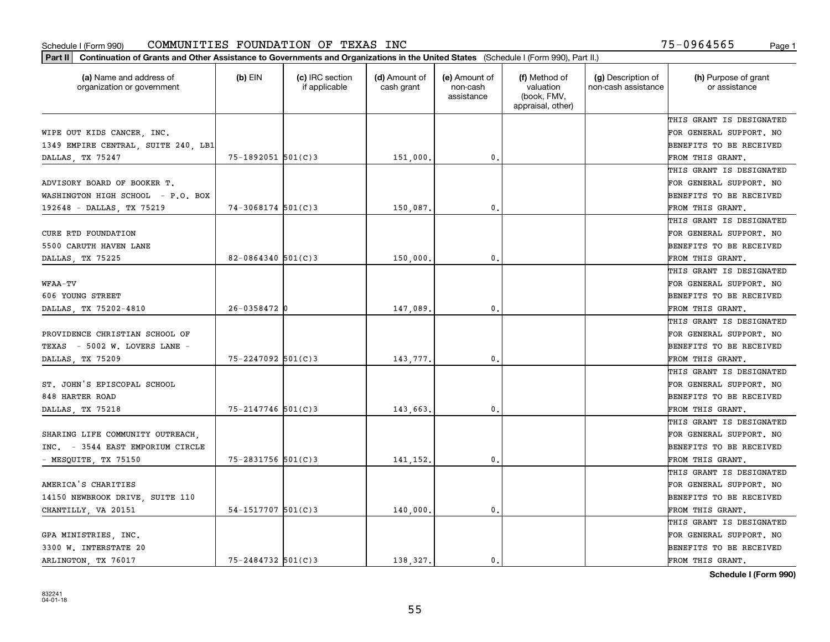| (a) Name and address of<br>organization or government | $(b)$ EIN              | (c) IRC section<br>if applicable | (d) Amount of<br>cash grant | (e) Amount of<br>non-cash<br>assistance | (f) Method of<br>valuation<br>(book, FMV,<br>appraisal, other) | (g) Description of<br>non-cash assistance | (h) Purpose of grant<br>or assistance |
|-------------------------------------------------------|------------------------|----------------------------------|-----------------------------|-----------------------------------------|----------------------------------------------------------------|-------------------------------------------|---------------------------------------|
|                                                       |                        |                                  |                             |                                         |                                                                |                                           | THIS GRANT IS DESIGNATED              |
| WIPE OUT KIDS CANCER, INC.                            |                        |                                  |                             |                                         |                                                                |                                           | FOR GENERAL SUPPORT. NO               |
| 1349 EMPIRE CENTRAL, SUITE 240, LB1                   |                        |                                  |                             |                                         |                                                                |                                           | BENEFITS TO BE RECEIVED               |
| DALLAS, TX 75247                                      | 75-1892051 501(C)3     |                                  | 151,000                     | $\mathbf{0}$ .                          |                                                                |                                           | FROM THIS GRANT.                      |
|                                                       |                        |                                  |                             |                                         |                                                                |                                           | THIS GRANT IS DESIGNATED              |
| ADVISORY BOARD OF BOOKER T.                           |                        |                                  |                             |                                         |                                                                |                                           | FOR GENERAL SUPPORT. NO               |
| WASHINGTON HIGH SCHOOL - P.O. BOX                     |                        |                                  |                             |                                         |                                                                |                                           | BENEFITS TO BE RECEIVED               |
| 192648 - DALLAS, TX 75219                             | $74-3068174$ 501(C)3   |                                  | 150,087                     | 0.                                      |                                                                |                                           | FROM THIS GRANT.                      |
|                                                       |                        |                                  |                             |                                         |                                                                |                                           | THIS GRANT IS DESIGNATED              |
| CURE RTD FOUNDATION                                   |                        |                                  |                             |                                         |                                                                |                                           | FOR GENERAL SUPPORT. NO               |
| 5500 CARUTH HAVEN LANE                                |                        |                                  |                             |                                         |                                                                |                                           | BENEFITS TO BE RECEIVED               |
| DALLAS, TX 75225                                      | 82-0864340 $501(C)3$   |                                  | 150,000.                    | $\mathfrak{o}$ .                        |                                                                |                                           | FROM THIS GRANT.                      |
|                                                       |                        |                                  |                             |                                         |                                                                |                                           | THIS GRANT IS DESIGNATED              |
| <b>WFAA-TV</b>                                        |                        |                                  |                             |                                         |                                                                |                                           | FOR GENERAL SUPPORT. NO               |
| 606 YOUNG STREET                                      |                        |                                  |                             |                                         |                                                                |                                           | BENEFITS TO BE RECEIVED               |
| DALLAS, TX 75202-4810                                 | $26 - 0358472$ 0       |                                  | 147,089                     | $\mathbf{0}$                            |                                                                |                                           | FROM THIS GRANT.                      |
|                                                       |                        |                                  |                             |                                         |                                                                |                                           | THIS GRANT IS DESIGNATED              |
| PROVIDENCE CHRISTIAN SCHOOL OF                        |                        |                                  |                             |                                         |                                                                |                                           | FOR GENERAL SUPPORT. NO               |
| $-$ 5002 W. LOVERS LANE $-$<br>TEXAS                  |                        |                                  |                             |                                         |                                                                |                                           | BENEFITS TO BE RECEIVED               |
| DALLAS, TX 75209                                      | 75-2247092 501(C)3     |                                  | 143,777.                    | $\mathfrak{o}$ .                        |                                                                |                                           | FROM THIS GRANT.                      |
|                                                       |                        |                                  |                             |                                         |                                                                |                                           | THIS GRANT IS DESIGNATED              |
| ST. JOHN'S EPISCOPAL SCHOOL                           |                        |                                  |                             |                                         |                                                                |                                           | FOR GENERAL SUPPORT. NO               |
| 848 HARTER ROAD                                       |                        |                                  |                             |                                         |                                                                |                                           | BENEFITS TO BE RECEIVED               |
| DALLAS, TX 75218                                      | $75 - 2147746$ 501(C)3 |                                  | 143,663                     | 0.                                      |                                                                |                                           | FROM THIS GRANT.                      |
|                                                       |                        |                                  |                             |                                         |                                                                |                                           | THIS GRANT IS DESIGNATED              |
| SHARING LIFE COMMUNITY OUTREACH,                      |                        |                                  |                             |                                         |                                                                |                                           | FOR GENERAL SUPPORT. NO               |
| INC. - 3544 EAST EMPORIUM CIRCLE                      |                        |                                  |                             |                                         |                                                                |                                           | BENEFITS TO BE RECEIVED               |
| - $MESQUITE$ , TX 75150                               | 75-2831756 501(C)3     |                                  | 141,152.                    | $\mathbf{0}$ .                          |                                                                |                                           | FROM THIS GRANT.                      |
|                                                       |                        |                                  |                             |                                         |                                                                |                                           | THIS GRANT IS DESIGNATED              |
| AMERICA'S CHARITIES                                   |                        |                                  |                             |                                         |                                                                |                                           | FOR GENERAL SUPPORT. NO               |
| 14150 NEWBROOK DRIVE, SUITE 110                       |                        |                                  |                             |                                         |                                                                |                                           | BENEFITS TO BE RECEIVED               |
| CHANTILLY, VA 20151                                   | $54-1517707$ 501(C)3   |                                  | 140,000                     | 0.                                      |                                                                |                                           | FROM THIS GRANT.                      |
|                                                       |                        |                                  |                             |                                         |                                                                |                                           | THIS GRANT IS DESIGNATED              |
| GPA MINISTRIES, INC.                                  |                        |                                  |                             |                                         |                                                                |                                           | FOR GENERAL SUPPORT. NO               |
| 3300 W. INTERSTATE 20                                 |                        |                                  |                             |                                         |                                                                |                                           | BENEFITS TO BE RECEIVED               |
| ARLINGTON, TX 76017                                   | $75 - 2484732$ 501(C)3 |                                  | 138,327.                    | $\mathbf{0}$ .                          |                                                                |                                           | FROM THIS GRANT.                      |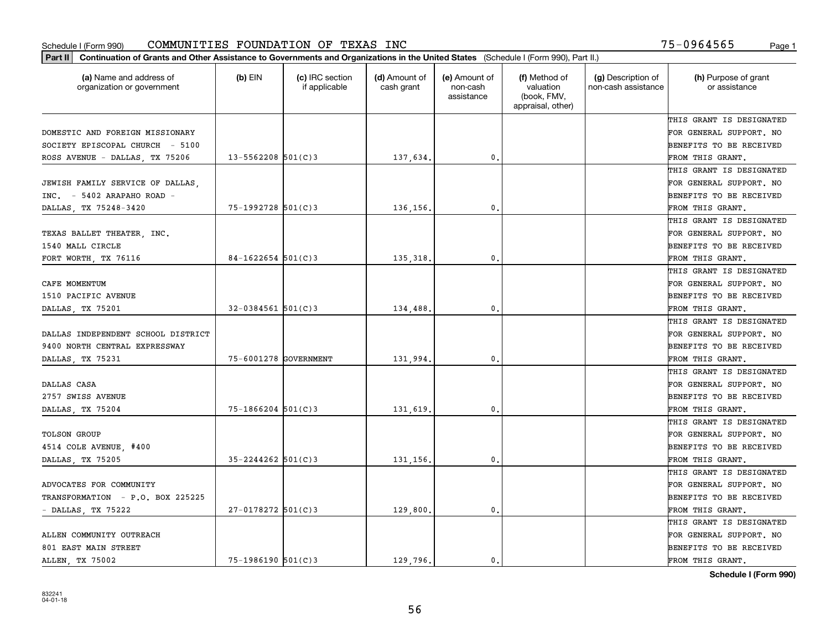| Part II   Continuation of Grants and Other Assistance to Governments and Organizations in the United States (Schedule I (Form 990), Part II.) |                        |                                  |                             |                                         |                                                                |                                           |                                       |
|-----------------------------------------------------------------------------------------------------------------------------------------------|------------------------|----------------------------------|-----------------------------|-----------------------------------------|----------------------------------------------------------------|-------------------------------------------|---------------------------------------|
| (a) Name and address of<br>organization or government                                                                                         | $(b)$ EIN              | (c) IRC section<br>if applicable | (d) Amount of<br>cash grant | (e) Amount of<br>non-cash<br>assistance | (f) Method of<br>valuation<br>(book, FMV,<br>appraisal, other) | (g) Description of<br>non-cash assistance | (h) Purpose of grant<br>or assistance |
|                                                                                                                                               |                        |                                  |                             |                                         |                                                                |                                           | THIS GRANT IS DESIGNATED              |
| DOMESTIC AND FOREIGN MISSIONARY                                                                                                               |                        |                                  |                             |                                         |                                                                |                                           | FOR GENERAL SUPPORT. NO               |
| SOCIETY EPISCOPAL CHURCH - 5100                                                                                                               |                        |                                  |                             |                                         |                                                                |                                           | BENEFITS TO BE RECEIVED               |
| ROSS AVENUE - DALLAS, TX 75206                                                                                                                | $13 - 5562208$ 501(C)3 |                                  | 137,634.                    | 0.                                      |                                                                |                                           | FROM THIS GRANT.                      |
|                                                                                                                                               |                        |                                  |                             |                                         |                                                                |                                           | THIS GRANT IS DESIGNATED              |
| JEWISH FAMILY SERVICE OF DALLAS,                                                                                                              |                        |                                  |                             |                                         |                                                                |                                           | FOR GENERAL SUPPORT. NO               |
| $INC. = 5402$ ARAPAHO ROAD -                                                                                                                  |                        |                                  |                             |                                         |                                                                |                                           | BENEFITS TO BE RECEIVED               |
| DALLAS, TX 75248-3420                                                                                                                         | 75-1992728 501(C)3     |                                  | 136,156.                    | 0.                                      |                                                                |                                           | FROM THIS GRANT.                      |
|                                                                                                                                               |                        |                                  |                             |                                         |                                                                |                                           | THIS GRANT IS DESIGNATED              |
| TEXAS BALLET THEATER, INC.                                                                                                                    |                        |                                  |                             |                                         |                                                                |                                           | FOR GENERAL SUPPORT. NO               |
| 1540 MALL CIRCLE                                                                                                                              |                        |                                  |                             |                                         |                                                                |                                           | BENEFITS TO BE RECEIVED               |
| FORT WORTH, TX 76116                                                                                                                          | $84-1622654$ 501(C)3   |                                  | 135,318.                    | 0.                                      |                                                                |                                           | FROM THIS GRANT.                      |
|                                                                                                                                               |                        |                                  |                             |                                         |                                                                |                                           | THIS GRANT IS DESIGNATED              |
| CAFE MOMENTUM                                                                                                                                 |                        |                                  |                             |                                         |                                                                |                                           | FOR GENERAL SUPPORT. NO               |
| 1510 PACIFIC AVENUE                                                                                                                           |                        |                                  |                             |                                         |                                                                |                                           | <b>BENEFITS TO BE RECEIVED</b>        |
| DALLAS, TX 75201                                                                                                                              | $32 - 0384561$ 501(C)3 |                                  | 134,488.                    | 0.                                      |                                                                |                                           | FROM THIS GRANT.                      |
|                                                                                                                                               |                        |                                  |                             |                                         |                                                                |                                           | THIS GRANT IS DESIGNATED              |
| DALLAS INDEPENDENT SCHOOL DISTRICT                                                                                                            |                        |                                  |                             |                                         |                                                                |                                           | FOR GENERAL SUPPORT. NO               |
| 9400 NORTH CENTRAL EXPRESSWAY                                                                                                                 |                        |                                  |                             |                                         |                                                                |                                           | BENEFITS TO BE RECEIVED               |
| DALLAS, TX 75231                                                                                                                              | 75-6001278 GOVERNMENT  |                                  | 131,994.                    | 0.                                      |                                                                |                                           | FROM THIS GRANT.                      |
|                                                                                                                                               |                        |                                  |                             |                                         |                                                                |                                           | THIS GRANT IS DESIGNATED              |
| DALLAS CASA                                                                                                                                   |                        |                                  |                             |                                         |                                                                |                                           | FOR GENERAL SUPPORT. NO               |
| 2757 SWISS AVENUE                                                                                                                             |                        |                                  |                             |                                         |                                                                |                                           | BENEFITS TO BE RECEIVED               |
| DALLAS, TX 75204                                                                                                                              | $75 - 1866204$ 501(C)3 |                                  | 131,619                     | 0.                                      |                                                                |                                           | FROM THIS GRANT.                      |
|                                                                                                                                               |                        |                                  |                             |                                         |                                                                |                                           | THIS GRANT IS DESIGNATED              |
| <b>TOLSON GROUP</b>                                                                                                                           |                        |                                  |                             |                                         |                                                                |                                           | FOR GENERAL SUPPORT. NO               |
| 4514 COLE AVENUE, #400                                                                                                                        |                        |                                  |                             |                                         |                                                                |                                           | BENEFITS TO BE RECEIVED               |
| DALLAS, TX 75205                                                                                                                              | $35 - 2244262$ 501(C)3 |                                  | 131,156.                    | 0.                                      |                                                                |                                           | FROM THIS GRANT.                      |
|                                                                                                                                               |                        |                                  |                             |                                         |                                                                |                                           | THIS GRANT IS DESIGNATED              |
| ADVOCATES FOR COMMUNITY                                                                                                                       |                        |                                  |                             |                                         |                                                                |                                           | FOR GENERAL SUPPORT. NO               |
| TRANSFORMATION - P.O. BOX 225225                                                                                                              |                        |                                  |                             |                                         |                                                                |                                           | BENEFITS TO BE RECEIVED               |
| - DALLAS, TX 75222                                                                                                                            | 27-0178272 501(C)3     |                                  | 129,800.                    | 0.                                      |                                                                |                                           | FROM THIS GRANT.                      |
|                                                                                                                                               |                        |                                  |                             |                                         |                                                                |                                           | THIS GRANT IS DESIGNATED              |
| ALLEN COMMUNITY OUTREACH                                                                                                                      |                        |                                  |                             |                                         |                                                                |                                           | FOR GENERAL SUPPORT. NO               |
| 801 EAST MAIN STREET                                                                                                                          |                        |                                  |                             |                                         |                                                                |                                           | BENEFITS TO BE RECEIVED               |
| ALLEN, TX 75002                                                                                                                               | $75 - 1986190$ 501(C)3 |                                  | 129,796.                    | 0.                                      |                                                                |                                           | FROM THIS GRANT.                      |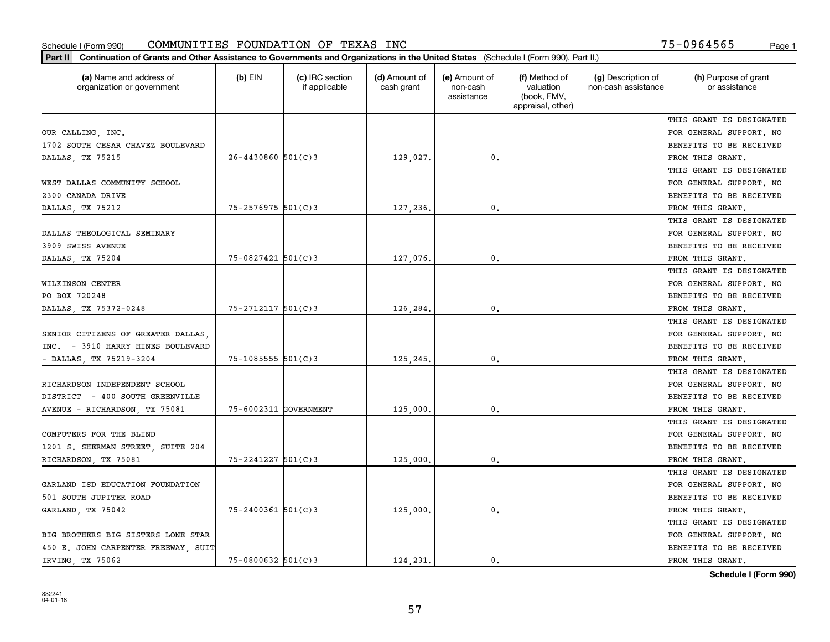| (a) Name and address of<br>organization or government | $(b)$ EIN              | (c) IRC section<br>if applicable | (d) Amount of<br>cash grant | (e) Amount of<br>non-cash<br>assistance | (f) Method of<br>valuation<br>(book, FMV,<br>appraisal, other) | (g) Description of<br>non-cash assistance | (h) Purpose of grant<br>or assistance |
|-------------------------------------------------------|------------------------|----------------------------------|-----------------------------|-----------------------------------------|----------------------------------------------------------------|-------------------------------------------|---------------------------------------|
|                                                       |                        |                                  |                             |                                         |                                                                |                                           | THIS GRANT IS DESIGNATED              |
| OUR CALLING, INC.                                     |                        |                                  |                             |                                         |                                                                |                                           | FOR GENERAL SUPPORT. NO               |
| 1702 SOUTH CESAR CHAVEZ BOULEVARD                     |                        |                                  |                             |                                         |                                                                |                                           | BENEFITS TO BE RECEIVED               |
| DALLAS, TX 75215                                      | $26 - 4430860$ 501(C)3 |                                  | 129,027.                    | 0.                                      |                                                                |                                           | FROM THIS GRANT.                      |
|                                                       |                        |                                  |                             |                                         |                                                                |                                           | THIS GRANT IS DESIGNATED              |
| WEST DALLAS COMMUNITY SCHOOL                          |                        |                                  |                             |                                         |                                                                |                                           | FOR GENERAL SUPPORT. NO               |
| 2300 CANADA DRIVE                                     |                        |                                  |                             |                                         |                                                                |                                           | BENEFITS TO BE RECEIVED               |
| DALLAS, TX 75212                                      | $75 - 2576975$ 501(C)3 |                                  | 127,236.                    | 0.                                      |                                                                |                                           | FROM THIS GRANT.                      |
|                                                       |                        |                                  |                             |                                         |                                                                |                                           | THIS GRANT IS DESIGNATED              |
| DALLAS THEOLOGICAL SEMINARY                           |                        |                                  |                             |                                         |                                                                |                                           | FOR GENERAL SUPPORT. NO               |
| 3909 SWISS AVENUE                                     |                        |                                  |                             |                                         |                                                                |                                           | BENEFITS TO BE RECEIVED               |
| DALLAS, TX 75204                                      | 75-0827421 501(C)3     |                                  | 127,076.                    | $\mathbf{0}$ .                          |                                                                |                                           | FROM THIS GRANT.                      |
|                                                       |                        |                                  |                             |                                         |                                                                |                                           | THIS GRANT IS DESIGNATED              |
| WILKINSON CENTER                                      |                        |                                  |                             |                                         |                                                                |                                           | FOR GENERAL SUPPORT. NO               |
| PO BOX 720248                                         |                        |                                  |                             |                                         |                                                                |                                           | BENEFITS TO BE RECEIVED               |
| DALLAS, TX 75372-0248                                 | $75 - 2712117$ 501(C)3 |                                  | 126,284                     | 0.                                      |                                                                |                                           | FROM THIS GRANT.                      |
|                                                       |                        |                                  |                             |                                         |                                                                |                                           | THIS GRANT IS DESIGNATED              |
| SENIOR CITIZENS OF GREATER DALLAS,                    |                        |                                  |                             |                                         |                                                                |                                           | FOR GENERAL SUPPORT. NO               |
| INC. - 3910 HARRY HINES BOULEVARD                     |                        |                                  |                             |                                         |                                                                |                                           | BENEFITS TO BE RECEIVED               |
| - DALLAS, TX 75219-3204                               | $75 - 1085555$ 501(C)3 |                                  | 125,245.                    | 0.                                      |                                                                |                                           | FROM THIS GRANT.                      |
|                                                       |                        |                                  |                             |                                         |                                                                |                                           | THIS GRANT IS DESIGNATED              |
| RICHARDSON INDEPENDENT SCHOOL                         |                        |                                  |                             |                                         |                                                                |                                           | FOR GENERAL SUPPORT. NO               |
| DISTRICT - 400 SOUTH GREENVILLE                       |                        |                                  |                             |                                         |                                                                |                                           | BENEFITS TO BE RECEIVED               |
| AVENUE - RICHARDSON, TX 75081                         | 75-6002311 GOVERNMENT  |                                  | 125,000                     | 0.                                      |                                                                |                                           | FROM THIS GRANT.                      |
|                                                       |                        |                                  |                             |                                         |                                                                |                                           | THIS GRANT IS DESIGNATED              |
| COMPUTERS FOR THE BLIND                               |                        |                                  |                             |                                         |                                                                |                                           | FOR GENERAL SUPPORT. NO               |
| 1201 S. SHERMAN STREET, SUITE 204                     |                        |                                  |                             |                                         |                                                                |                                           | BENEFITS TO BE RECEIVED               |
| RICHARDSON, TX 75081                                  | 75-2241227 501(C)3     |                                  | 125,000                     | $\mathbf{0}$ .                          |                                                                |                                           | FROM THIS GRANT.                      |
|                                                       |                        |                                  |                             |                                         |                                                                |                                           | THIS GRANT IS DESIGNATED              |
| GARLAND ISD EDUCATION FOUNDATION                      |                        |                                  |                             |                                         |                                                                |                                           | FOR GENERAL SUPPORT. NO               |
| 501 SOUTH JUPITER ROAD                                |                        |                                  |                             |                                         |                                                                |                                           | BENEFITS TO BE RECEIVED               |
| GARLAND, TX 75042                                     | $75 - 2400361$ 501(C)3 |                                  | 125,000                     | 0.                                      |                                                                |                                           | FROM THIS GRANT.                      |
|                                                       |                        |                                  |                             |                                         |                                                                |                                           | THIS GRANT IS DESIGNATED              |
| BIG BROTHERS BIG SISTERS LONE STAR                    |                        |                                  |                             |                                         |                                                                |                                           | FOR GENERAL SUPPORT. NO               |
| 450 E. JOHN CARPENTER FREEWAY, SUIT                   |                        |                                  |                             |                                         |                                                                |                                           | BENEFITS TO BE RECEIVED               |
| IRVING, TX 75062                                      | 75-0800632 501(C)3     |                                  | 124,231.                    | 0.                                      |                                                                |                                           | FROM THIS GRANT.                      |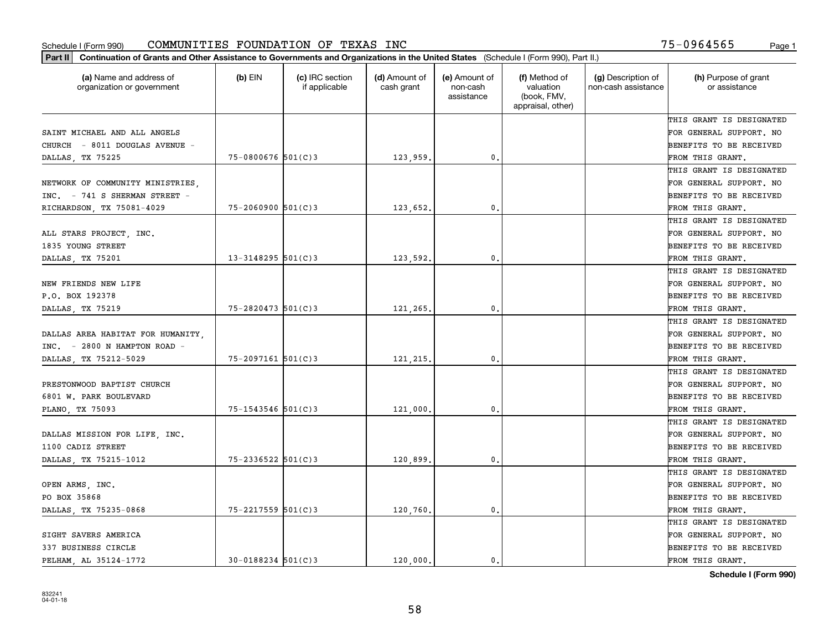| Part II   Continuation of Grants and Other Assistance to Governments and Organizations in the United States (Schedule I (Form 990), Part II.) |                        |                                  |                             |                                         |                                                                |                                           |                                       |
|-----------------------------------------------------------------------------------------------------------------------------------------------|------------------------|----------------------------------|-----------------------------|-----------------------------------------|----------------------------------------------------------------|-------------------------------------------|---------------------------------------|
| (a) Name and address of<br>organization or government                                                                                         | $(b)$ EIN              | (c) IRC section<br>if applicable | (d) Amount of<br>cash grant | (e) Amount of<br>non-cash<br>assistance | (f) Method of<br>valuation<br>(book, FMV,<br>appraisal, other) | (g) Description of<br>non-cash assistance | (h) Purpose of grant<br>or assistance |
|                                                                                                                                               |                        |                                  |                             |                                         |                                                                |                                           | THIS GRANT IS DESIGNATED              |
| SAINT MICHAEL AND ALL ANGELS                                                                                                                  |                        |                                  |                             |                                         |                                                                |                                           | FOR GENERAL SUPPORT. NO               |
| CHURCH - 8011 DOUGLAS AVENUE -                                                                                                                |                        |                                  |                             |                                         |                                                                |                                           | BENEFITS TO BE RECEIVED               |
| DALLAS, TX 75225                                                                                                                              | $75 - 0800676$ 501(C)3 |                                  | 123,959.                    | 0.                                      |                                                                |                                           | FROM THIS GRANT.                      |
|                                                                                                                                               |                        |                                  |                             |                                         |                                                                |                                           | THIS GRANT IS DESIGNATED              |
| NETWORK OF COMMUNITY MINISTRIES,                                                                                                              |                        |                                  |                             |                                         |                                                                |                                           | FOR GENERAL SUPPORT. NO               |
| INC. - 741 S SHERMAN STREET -                                                                                                                 |                        |                                  |                             |                                         |                                                                |                                           | BENEFITS TO BE RECEIVED               |
| RICHARDSON, TX 75081-4029                                                                                                                     | $75 - 2060900$ 501(C)3 |                                  | 123,652.                    | 0.                                      |                                                                |                                           | FROM THIS GRANT.                      |
|                                                                                                                                               |                        |                                  |                             |                                         |                                                                |                                           | THIS GRANT IS DESIGNATED              |
| ALL STARS PROJECT, INC.                                                                                                                       |                        |                                  |                             |                                         |                                                                |                                           | FOR GENERAL SUPPORT. NO               |
| 1835 YOUNG STREET                                                                                                                             |                        |                                  |                             |                                         |                                                                |                                           | BENEFITS TO BE RECEIVED               |
| DALLAS, TX 75201                                                                                                                              | $13 - 3148295$ 501(C)3 |                                  | 123,592.                    | 0.                                      |                                                                |                                           | FROM THIS GRANT.                      |
|                                                                                                                                               |                        |                                  |                             |                                         |                                                                |                                           | THIS GRANT IS DESIGNATED              |
| NEW FRIENDS NEW LIFE                                                                                                                          |                        |                                  |                             |                                         |                                                                |                                           | FOR GENERAL SUPPORT. NO               |
| P.O. BOX 192378                                                                                                                               |                        |                                  |                             |                                         |                                                                |                                           | <b>BENEFITS TO BE RECEIVED</b>        |
| DALLAS, TX 75219                                                                                                                              | $75 - 2820473$ 501(C)3 |                                  | 121,265.                    | 0.                                      |                                                                |                                           | FROM THIS GRANT.                      |
|                                                                                                                                               |                        |                                  |                             |                                         |                                                                |                                           | THIS GRANT IS DESIGNATED              |
| DALLAS AREA HABITAT FOR HUMANITY,                                                                                                             |                        |                                  |                             |                                         |                                                                |                                           | FOR GENERAL SUPPORT. NO               |
| INC. - 2800 N HAMPTON ROAD -                                                                                                                  |                        |                                  |                             |                                         |                                                                |                                           | BENEFITS TO BE RECEIVED               |
| DALLAS, TX 75212-5029                                                                                                                         | 75-2097161 501(C)3     |                                  | 121,215.                    | 0.                                      |                                                                |                                           | FROM THIS GRANT.                      |
|                                                                                                                                               |                        |                                  |                             |                                         |                                                                |                                           | THIS GRANT IS DESIGNATED              |
| PRESTONWOOD BAPTIST CHURCH                                                                                                                    |                        |                                  |                             |                                         |                                                                |                                           | FOR GENERAL SUPPORT. NO               |
| 6801 W. PARK BOULEVARD                                                                                                                        |                        |                                  |                             |                                         |                                                                |                                           | BENEFITS TO BE RECEIVED               |
| PLANO, TX 75093                                                                                                                               | $75 - 1543546$ 501(C)3 |                                  | 121,000                     | 0.                                      |                                                                |                                           | FROM THIS GRANT.                      |
|                                                                                                                                               |                        |                                  |                             |                                         |                                                                |                                           | THIS GRANT IS DESIGNATED              |
| DALLAS MISSION FOR LIFE, INC.                                                                                                                 |                        |                                  |                             |                                         |                                                                |                                           | FOR GENERAL SUPPORT. NO               |
| 1100 CADIZ STREET                                                                                                                             |                        |                                  |                             |                                         |                                                                |                                           | BENEFITS TO BE RECEIVED               |
| DALLAS, TX 75215-1012                                                                                                                         | $75 - 2336522$ 501(C)3 |                                  | 120,899                     | 0.                                      |                                                                |                                           | FROM THIS GRANT.                      |
|                                                                                                                                               |                        |                                  |                             |                                         |                                                                |                                           | THIS GRANT IS DESIGNATED              |
| OPEN ARMS, INC.                                                                                                                               |                        |                                  |                             |                                         |                                                                |                                           | FOR GENERAL SUPPORT. NO               |
| PO BOX 35868                                                                                                                                  |                        |                                  |                             |                                         |                                                                |                                           | BENEFITS TO BE RECEIVED               |
| DALLAS, TX 75235-0868                                                                                                                         | 75-2217559 501(C)3     |                                  | 120,760.                    | $\mathbf{0}$ .                          |                                                                |                                           | FROM THIS GRANT.                      |
|                                                                                                                                               |                        |                                  |                             |                                         |                                                                |                                           | THIS GRANT IS DESIGNATED              |
| SIGHT SAVERS AMERICA                                                                                                                          |                        |                                  |                             |                                         |                                                                |                                           | FOR GENERAL SUPPORT. NO               |
| 337 BUSINESS CIRCLE                                                                                                                           |                        |                                  |                             |                                         |                                                                |                                           | <b>BENEFITS TO BE RECEIVED</b>        |
| PELHAM AL 35124-1772                                                                                                                          | $30 - 0188234$ 501(C)3 |                                  | 120,000.                    | $\mathbf{0}$ .                          |                                                                |                                           | FROM THIS GRANT.                      |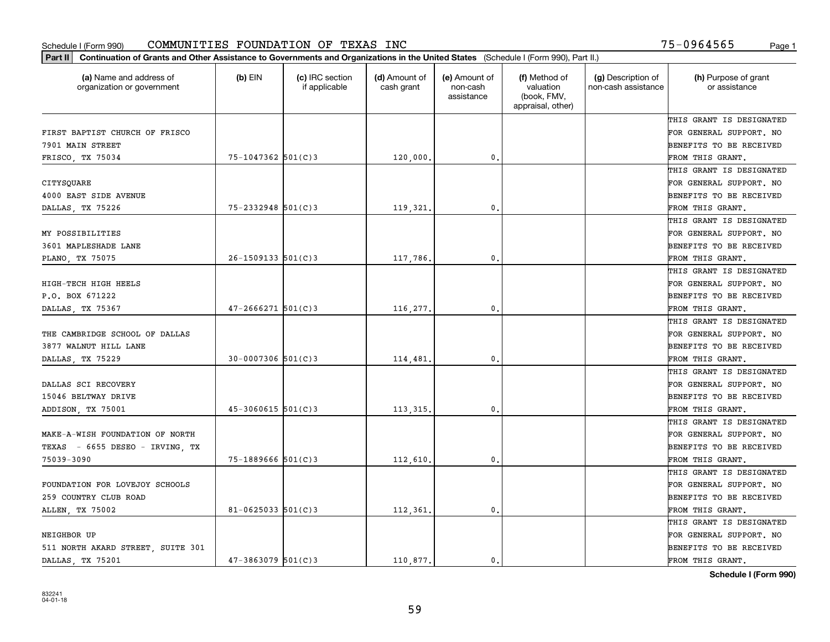| Part II   Continuation of Grants and Other Assistance to Governments and Organizations in the United States (Schedule I (Form 990), Part II.) |                          |                                  |                             |                                         |                                                                |                                           |                                       |
|-----------------------------------------------------------------------------------------------------------------------------------------------|--------------------------|----------------------------------|-----------------------------|-----------------------------------------|----------------------------------------------------------------|-------------------------------------------|---------------------------------------|
| (a) Name and address of<br>organization or government                                                                                         | $(b)$ EIN                | (c) IRC section<br>if applicable | (d) Amount of<br>cash grant | (e) Amount of<br>non-cash<br>assistance | (f) Method of<br>valuation<br>(book, FMV,<br>appraisal, other) | (g) Description of<br>non-cash assistance | (h) Purpose of grant<br>or assistance |
|                                                                                                                                               |                          |                                  |                             |                                         |                                                                |                                           | THIS GRANT IS DESIGNATED              |
| FIRST BAPTIST CHURCH OF FRISCO                                                                                                                |                          |                                  |                             |                                         |                                                                |                                           | FOR GENERAL SUPPORT. NO               |
| 7901 MAIN STREET                                                                                                                              |                          |                                  |                             |                                         |                                                                |                                           | BENEFITS TO BE RECEIVED               |
| FRISCO, TX 75034                                                                                                                              | $75 - 1047362$ 501(C)3   |                                  | 120,000,                    | 0.                                      |                                                                |                                           | FROM THIS GRANT.                      |
|                                                                                                                                               |                          |                                  |                             |                                         |                                                                |                                           | THIS GRANT IS DESIGNATED              |
| CITYSQUARE                                                                                                                                    |                          |                                  |                             |                                         |                                                                |                                           | FOR GENERAL SUPPORT. NO               |
| 4000 EAST SIDE AVENUE                                                                                                                         |                          |                                  |                             |                                         |                                                                |                                           | BENEFITS TO BE RECEIVED               |
| DALLAS, TX 75226                                                                                                                              | $75 - 2332948$ 501(C)3   |                                  | 119,321.                    | 0.                                      |                                                                |                                           | FROM THIS GRANT.                      |
|                                                                                                                                               |                          |                                  |                             |                                         |                                                                |                                           | THIS GRANT IS DESIGNATED              |
| MY POSSIBILITIES                                                                                                                              |                          |                                  |                             |                                         |                                                                |                                           | FOR GENERAL SUPPORT. NO               |
| 3601 MAPLESHADE LANE                                                                                                                          |                          |                                  |                             |                                         |                                                                |                                           | BENEFITS TO BE RECEIVED               |
| PLANO, TX 75075                                                                                                                               | $26 - 1509133$ $501(C)3$ |                                  | 117,786.                    | 0.                                      |                                                                |                                           | FROM THIS GRANT.                      |
|                                                                                                                                               |                          |                                  |                             |                                         |                                                                |                                           | THIS GRANT IS DESIGNATED              |
| HIGH-TECH HIGH HEELS                                                                                                                          |                          |                                  |                             |                                         |                                                                |                                           | FOR GENERAL SUPPORT. NO               |
| P.O. BOX 671222                                                                                                                               |                          |                                  |                             |                                         |                                                                |                                           | <b>BENEFITS TO BE RECEIVED</b>        |
| DALLAS, TX 75367                                                                                                                              | $47 - 2666271$ 501(C)3   |                                  | 116,277.                    | 0.                                      |                                                                |                                           | FROM THIS GRANT.                      |
|                                                                                                                                               |                          |                                  |                             |                                         |                                                                |                                           | THIS GRANT IS DESIGNATED              |
| THE CAMBRIDGE SCHOOL OF DALLAS                                                                                                                |                          |                                  |                             |                                         |                                                                |                                           | FOR GENERAL SUPPORT. NO               |
| 3877 WALNUT HILL LANE                                                                                                                         |                          |                                  |                             |                                         |                                                                |                                           | BENEFITS TO BE RECEIVED               |
| DALLAS, TX 75229                                                                                                                              | $30 - 0007306$ 501(C)3   |                                  | 114,481.                    | 0.                                      |                                                                |                                           | FROM THIS GRANT.                      |
|                                                                                                                                               |                          |                                  |                             |                                         |                                                                |                                           | THIS GRANT IS DESIGNATED              |
| DALLAS SCI RECOVERY                                                                                                                           |                          |                                  |                             |                                         |                                                                |                                           | FOR GENERAL SUPPORT. NO               |
| 15046 BELTWAY DRIVE                                                                                                                           |                          |                                  |                             |                                         |                                                                |                                           | BENEFITS TO BE RECEIVED               |
| ADDISON, TX 75001                                                                                                                             | $45 - 3060615$ 501(C)3   |                                  | 113, 315.                   | 0.                                      |                                                                |                                           | FROM THIS GRANT.                      |
|                                                                                                                                               |                          |                                  |                             |                                         |                                                                |                                           | THIS GRANT IS DESIGNATED              |
| MAKE-A-WISH FOUNDATION OF NORTH                                                                                                               |                          |                                  |                             |                                         |                                                                |                                           | FOR GENERAL SUPPORT. NO               |
| TEXAS - 6655 DESEO - IRVING, TX                                                                                                               |                          |                                  |                             |                                         |                                                                |                                           | BENEFITS TO BE RECEIVED               |
| 75039-3090                                                                                                                                    | $75 - 1889666$ 501(C)3   |                                  | 112,610,                    | 0.                                      |                                                                |                                           | FROM THIS GRANT.                      |
|                                                                                                                                               |                          |                                  |                             |                                         |                                                                |                                           | THIS GRANT IS DESIGNATED              |
| FOUNDATION FOR LOVEJOY SCHOOLS                                                                                                                |                          |                                  |                             |                                         |                                                                |                                           | FOR GENERAL SUPPORT. NO               |
| 259 COUNTRY CLUB ROAD                                                                                                                         |                          |                                  |                             |                                         |                                                                |                                           | BENEFITS TO BE RECEIVED               |
| ALLEN, TX 75002                                                                                                                               | 81-0625033 $501(C)3$     |                                  | 112,361.                    | $\mathbf{0}$ .                          |                                                                |                                           | FROM THIS GRANT.                      |
|                                                                                                                                               |                          |                                  |                             |                                         |                                                                |                                           | THIS GRANT IS DESIGNATED              |
| NEIGHBOR UP                                                                                                                                   |                          |                                  |                             |                                         |                                                                |                                           | FOR GENERAL SUPPORT. NO               |
| 511 NORTH AKARD STREET, SUITE 301                                                                                                             |                          |                                  |                             |                                         |                                                                |                                           | <b>BENEFITS TO BE RECEIVED</b>        |
| DALLAS, TX 75201                                                                                                                              | $47 - 3863079$ 501(C)3   |                                  | 110.877.                    | 0.                                      |                                                                |                                           | FROM THIS GRANT.                      |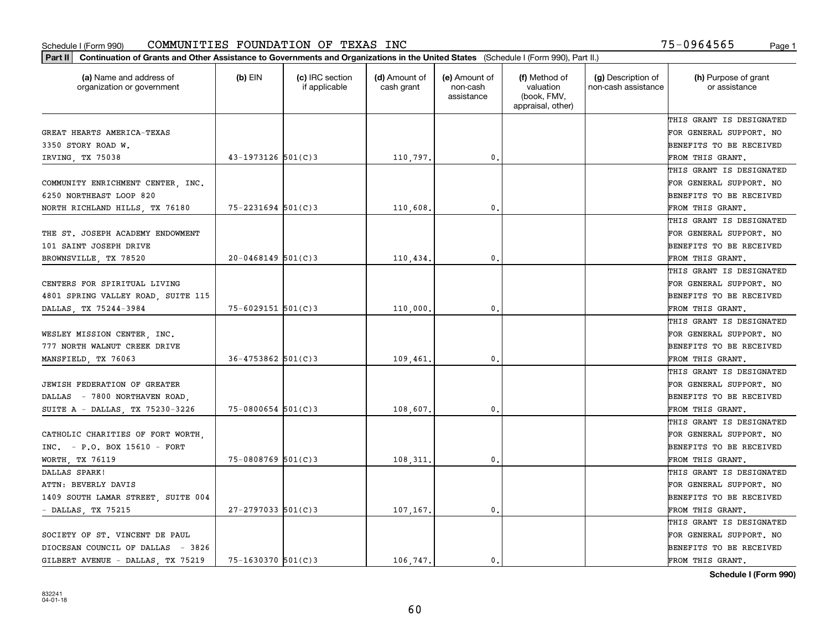| (a) Name and address of<br>organization or government | (b) EIN                | (c) IRC section<br>if applicable | (d) Amount of<br>cash grant | (e) Amount of<br>non-cash<br>assistance | (f) Method of<br>valuation<br>(book, FMV,<br>appraisal, other) | (g) Description of<br>non-cash assistance | (h) Purpose of grant<br>or assistance |
|-------------------------------------------------------|------------------------|----------------------------------|-----------------------------|-----------------------------------------|----------------------------------------------------------------|-------------------------------------------|---------------------------------------|
|                                                       |                        |                                  |                             |                                         |                                                                |                                           | THIS GRANT IS DESIGNATED              |
| GREAT HEARTS AMERICA-TEXAS                            |                        |                                  |                             |                                         |                                                                |                                           | FOR GENERAL SUPPORT. NO               |
| 3350 STORY ROAD W.                                    |                        |                                  |                             |                                         |                                                                |                                           | BENEFITS TO BE RECEIVED               |
| IRVING, TX 75038                                      | 43-1973126 501(C)3     |                                  | 110,797.                    | 0.                                      |                                                                |                                           | FROM THIS GRANT.                      |
|                                                       |                        |                                  |                             |                                         |                                                                |                                           | THIS GRANT IS DESIGNATED              |
| COMMUNITY ENRICHMENT CENTER, INC.                     |                        |                                  |                             |                                         |                                                                |                                           | FOR GENERAL SUPPORT. NO               |
| 6250 NORTHEAST LOOP 820                               |                        |                                  |                             |                                         |                                                                |                                           | BENEFITS TO BE RECEIVED               |
| NORTH RICHLAND HILLS, TX 76180                        | $75 - 2231694$ 501(C)3 |                                  | 110,608                     | $\mathbf{0}$                            |                                                                |                                           | FROM THIS GRANT.                      |
|                                                       |                        |                                  |                             |                                         |                                                                |                                           | THIS GRANT IS DESIGNATED              |
| THE ST. JOSEPH ACADEMY ENDOWMENT                      |                        |                                  |                             |                                         |                                                                |                                           | FOR GENERAL SUPPORT. NO               |
| 101 SAINT JOSEPH DRIVE                                |                        |                                  |                             |                                         |                                                                |                                           | BENEFITS TO BE RECEIVED               |
| BROWNSVILLE, TX 78520                                 | $20 - 0468149$ 501(C)3 |                                  | 110,434.                    | $\mathbf{0}$ .                          |                                                                |                                           | FROM THIS GRANT.                      |
|                                                       |                        |                                  |                             |                                         |                                                                |                                           | THIS GRANT IS DESIGNATED              |
| CENTERS FOR SPIRITUAL LIVING                          |                        |                                  |                             |                                         |                                                                |                                           | FOR GENERAL SUPPORT. NO               |
| 4801 SPRING VALLEY ROAD, SUITE 115                    |                        |                                  |                             |                                         |                                                                |                                           | BENEFITS TO BE RECEIVED               |
| DALLAS, TX 75244-3984                                 | $75 - 6029151$ 501(C)3 |                                  | 110,000                     | $\mathbf{0}$                            |                                                                |                                           | FROM THIS GRANT.                      |
|                                                       |                        |                                  |                             |                                         |                                                                |                                           | THIS GRANT IS DESIGNATED              |
| WESLEY MISSION CENTER, INC.                           |                        |                                  |                             |                                         |                                                                |                                           | FOR GENERAL SUPPORT. NO               |
| 777 NORTH WALNUT CREEK DRIVE                          |                        |                                  |                             |                                         |                                                                |                                           | BENEFITS TO BE RECEIVED               |
| MANSFIELD, TX 76063                                   | $36 - 4753862$ 501(C)3 |                                  | 109,461                     | 0.                                      |                                                                |                                           | FROM THIS GRANT.                      |
|                                                       |                        |                                  |                             |                                         |                                                                |                                           | THIS GRANT IS DESIGNATED              |
| JEWISH FEDERATION OF GREATER                          |                        |                                  |                             |                                         |                                                                |                                           | FOR GENERAL SUPPORT. NO               |
| DALLAS - 7800 NORTHAVEN ROAD,                         |                        |                                  |                             |                                         |                                                                |                                           | BENEFITS TO BE RECEIVED               |
| SUITE A - DALLAS, TX 75230-3226                       | $75 - 0800654$ 501(C)3 |                                  | 108,607                     | $\mathbf{0}$                            |                                                                |                                           | FROM THIS GRANT.                      |
|                                                       |                        |                                  |                             |                                         |                                                                |                                           | THIS GRANT IS DESIGNATED              |
| CATHOLIC CHARITIES OF FORT WORTH,                     |                        |                                  |                             |                                         |                                                                |                                           | FOR GENERAL SUPPORT. NO               |
| INC. - P.O. BOX 15610 - FORT                          |                        |                                  |                             |                                         |                                                                |                                           | BENEFITS TO BE RECEIVED               |
| WORTH, TX 76119                                       | 75-0808769 501(C)3     |                                  | 108,311                     | $\mathbf{0}$ .                          |                                                                |                                           | FROM THIS GRANT.                      |
| DALLAS SPARK!                                         |                        |                                  |                             |                                         |                                                                |                                           | THIS GRANT IS DESIGNATED              |
| ATTN: BEVERLY DAVIS                                   |                        |                                  |                             |                                         |                                                                |                                           | FOR GENERAL SUPPORT. NO               |
| 1409 SOUTH LAMAR STREET, SUITE 004                    |                        |                                  |                             |                                         |                                                                |                                           | BENEFITS TO BE RECEIVED               |
| - DALLAS, TX 75215                                    | $27 - 2797033$ 501(C)3 |                                  | 107,167.                    | $\mathbf{0}$                            |                                                                |                                           | FROM THIS GRANT.                      |
|                                                       |                        |                                  |                             |                                         |                                                                |                                           | THIS GRANT IS DESIGNATED              |
| SOCIETY OF ST. VINCENT DE PAUL                        |                        |                                  |                             |                                         |                                                                |                                           | FOR GENERAL SUPPORT. NO               |
| DIOCESAN COUNCIL OF DALLAS - 3826                     |                        |                                  |                             |                                         |                                                                |                                           | BENEFITS TO BE RECEIVED               |
| GILBERT AVENUE - DALLAS, TX 75219                     | $75 - 1630370$ 501(C)3 |                                  | 106.747.                    | 0.                                      |                                                                |                                           | FROM THIS GRANT.                      |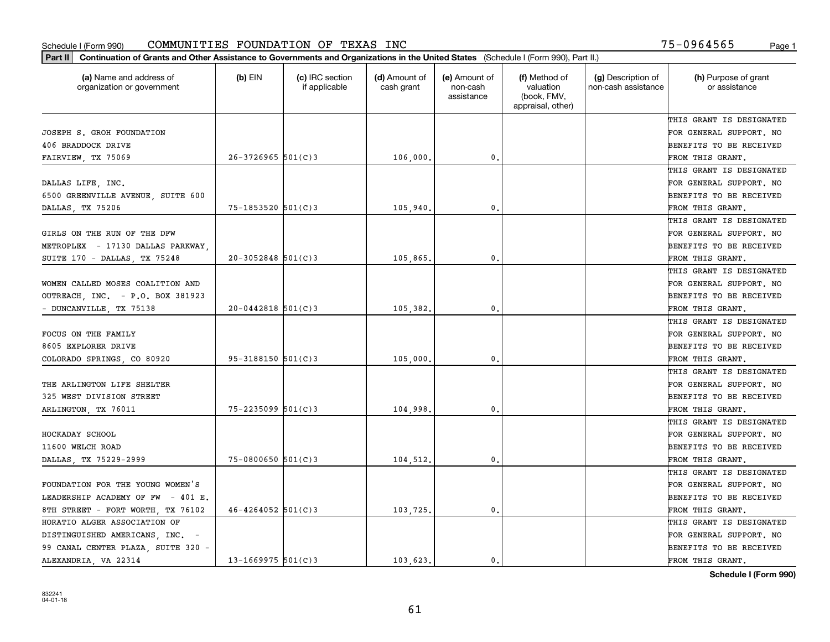| (a) Name and address of<br>organization or government | (b) EIN                  | (c) IRC section<br>if applicable | (d) Amount of<br>cash grant | (e) Amount of<br>non-cash | (f) Method of<br>valuation       | (g) Description of<br>non-cash assistance | (h) Purpose of grant<br>or assistance |
|-------------------------------------------------------|--------------------------|----------------------------------|-----------------------------|---------------------------|----------------------------------|-------------------------------------------|---------------------------------------|
|                                                       |                          |                                  |                             | assistance                | (book, FMV,<br>appraisal, other) |                                           |                                       |
|                                                       |                          |                                  |                             |                           |                                  |                                           | THIS GRANT IS DESIGNATED              |
| JOSEPH S. GROH FOUNDATION                             |                          |                                  |                             |                           |                                  |                                           | FOR GENERAL SUPPORT. NO               |
| 406 BRADDOCK DRIVE                                    |                          |                                  |                             |                           |                                  |                                           | BENEFITS TO BE RECEIVED               |
| FAIRVIEW, TX 75069                                    | $26-3726965$ $501(C)3$   |                                  | 106,000                     | 0.                        |                                  |                                           | FROM THIS GRANT.                      |
|                                                       |                          |                                  |                             |                           |                                  |                                           | THIS GRANT IS DESIGNATED              |
| DALLAS LIFE, INC.                                     |                          |                                  |                             |                           |                                  |                                           | FOR GENERAL SUPPORT. NO               |
| 6500 GREENVILLE AVENUE, SUITE 600                     |                          |                                  |                             |                           |                                  |                                           | BENEFITS TO BE RECEIVED               |
| DALLAS, TX 75206                                      | 75-1853520 501(C)3       |                                  | 105,940                     | $\mathbf{0}$              |                                  |                                           | FROM THIS GRANT.                      |
|                                                       |                          |                                  |                             |                           |                                  |                                           | THIS GRANT IS DESIGNATED              |
| GIRLS ON THE RUN OF THE DFW                           |                          |                                  |                             |                           |                                  |                                           | FOR GENERAL SUPPORT. NO               |
| METROPLEX - 17130 DALLAS PARKWAY,                     |                          |                                  |                             |                           |                                  |                                           | BENEFITS TO BE RECEIVED               |
| SUITE 170 - DALLAS, TX 75248                          | $20-3052848$ 501(C)3     |                                  | 105,865                     | $\mathbf{0}$ .            |                                  |                                           | FROM THIS GRANT.                      |
|                                                       |                          |                                  |                             |                           |                                  |                                           | THIS GRANT IS DESIGNATED              |
| WOMEN CALLED MOSES COALITION AND                      |                          |                                  |                             |                           |                                  |                                           | FOR GENERAL SUPPORT. NO               |
| OUTREACH, INC. - P.O. BOX 381923                      |                          |                                  |                             |                           |                                  |                                           | BENEFITS TO BE RECEIVED               |
| - DUNCANVILLE, TX 75138                               | $20 - 0442818$ 501(C)3   |                                  | 105,382                     | $\mathbf{0}$              |                                  |                                           | FROM THIS GRANT.                      |
|                                                       |                          |                                  |                             |                           |                                  |                                           | THIS GRANT IS DESIGNATED              |
| FOCUS ON THE FAMILY                                   |                          |                                  |                             |                           |                                  |                                           | FOR GENERAL SUPPORT. NO               |
| 8605 EXPLORER DRIVE                                   |                          |                                  |                             |                           |                                  |                                           | BENEFITS TO BE RECEIVED               |
| COLORADO SPRINGS, CO 80920                            | $95 - 3188150$ $501(C)3$ |                                  | 105,000                     | 0.                        |                                  |                                           | FROM THIS GRANT.                      |
|                                                       |                          |                                  |                             |                           |                                  |                                           | THIS GRANT IS DESIGNATED              |
| THE ARLINGTON LIFE SHELTER                            |                          |                                  |                             |                           |                                  |                                           | FOR GENERAL SUPPORT. NO               |
| 325 WEST DIVISION STREET                              |                          |                                  |                             |                           |                                  |                                           | BENEFITS TO BE RECEIVED               |
| ARLINGTON, TX 76011                                   | 75-2235099 501(C)3       |                                  | 104,998                     | $\mathbf{0}$              |                                  |                                           | FROM THIS GRANT.                      |
|                                                       |                          |                                  |                             |                           |                                  |                                           | THIS GRANT IS DESIGNATED              |
| HOCKADAY SCHOOL                                       |                          |                                  |                             |                           |                                  |                                           | FOR GENERAL SUPPORT. NO               |
| 11600 WELCH ROAD                                      |                          |                                  |                             |                           |                                  |                                           | BENEFITS TO BE RECEIVED               |
| DALLAS, TX 75229-2999                                 | $75 - 0800650$ 501(C)3   |                                  | 104,512.                    | $\mathbf{0}$ .            |                                  |                                           | FROM THIS GRANT.                      |
|                                                       |                          |                                  |                             |                           |                                  |                                           | THIS GRANT IS DESIGNATED              |
| FOUNDATION FOR THE YOUNG WOMEN'S                      |                          |                                  |                             |                           |                                  |                                           | FOR GENERAL SUPPORT. NO               |
| LEADERSHIP ACADEMY OF FW - 401 E.                     |                          |                                  |                             |                           |                                  |                                           | BENEFITS TO BE RECEIVED               |
| 8TH STREET - FORT WORTH, TX 76102                     | $46 - 4264052$ 501(C)3   |                                  | 103,725                     | $\mathbf{0}$              |                                  |                                           | FROM THIS GRANT.                      |
| HORATIO ALGER ASSOCIATION OF                          |                          |                                  |                             |                           |                                  |                                           | THIS GRANT IS DESIGNATED              |
| DISTINGUISHED AMERICANS, INC. -                       |                          |                                  |                             |                           |                                  |                                           | FOR GENERAL SUPPORT. NO               |
| 99 CANAL CENTER PLAZA, SUITE 320 -                    |                          |                                  |                             |                           |                                  |                                           | BENEFITS TO BE RECEIVED               |
| ALEXANDRIA, VA 22314                                  | $13 - 1669975$ 501(C)3   |                                  | 103.623.                    | 0.                        |                                  |                                           | FROM THIS GRANT.                      |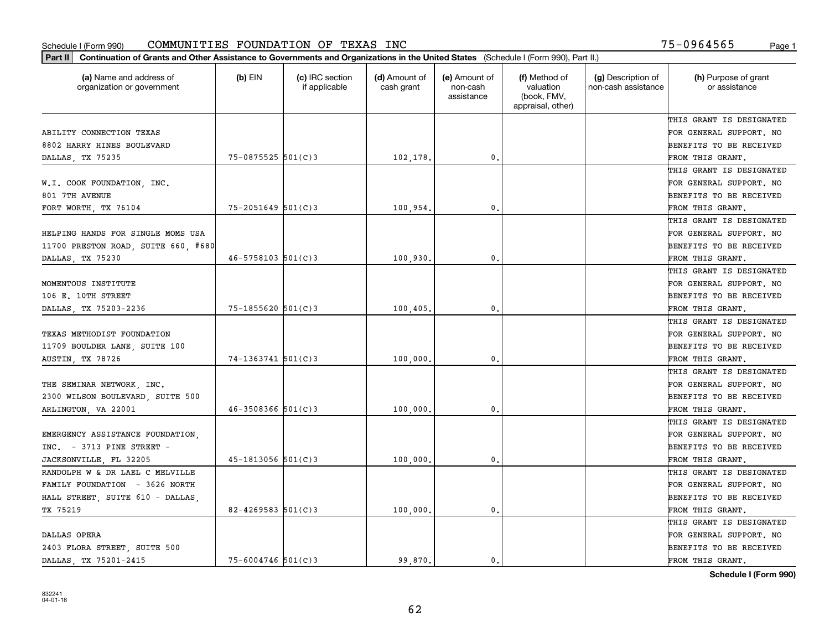| (a) Name and address of<br>organization or government | (b) EIN                  | (c) IRC section<br>if applicable | (d) Amount of<br>cash grant | (e) Amount of<br>non-cash<br>assistance | (f) Method of<br>valuation<br>(book, FMV,<br>appraisal, other) | (g) Description of<br>non-cash assistance | (h) Purpose of grant<br>or assistance |
|-------------------------------------------------------|--------------------------|----------------------------------|-----------------------------|-----------------------------------------|----------------------------------------------------------------|-------------------------------------------|---------------------------------------|
|                                                       |                          |                                  |                             |                                         |                                                                |                                           | THIS GRANT IS DESIGNATED              |
| ABILITY CONNECTION TEXAS                              |                          |                                  |                             |                                         |                                                                |                                           | FOR GENERAL SUPPORT. NO               |
| 8802 HARRY HINES BOULEVARD                            |                          |                                  |                             |                                         |                                                                |                                           | BENEFITS TO BE RECEIVED               |
| DALLAS, TX 75235                                      | 75-0875525 501(C)3       |                                  | 102,178.                    | $\mathfrak{o}$ .                        |                                                                |                                           | FROM THIS GRANT.                      |
|                                                       |                          |                                  |                             |                                         |                                                                |                                           | THIS GRANT IS DESIGNATED              |
| W.I. COOK FOUNDATION, INC.                            |                          |                                  |                             |                                         |                                                                |                                           | FOR GENERAL SUPPORT. NO               |
| 801 7TH AVENUE                                        |                          |                                  |                             |                                         |                                                                |                                           | BENEFITS TO BE RECEIVED               |
| FORT WORTH, TX 76104                                  | $75 - 2051649$ $501(C)3$ |                                  | 100,954                     | $\mathbf{0}$                            |                                                                |                                           | FROM THIS GRANT.                      |
|                                                       |                          |                                  |                             |                                         |                                                                |                                           | THIS GRANT IS DESIGNATED              |
| HELPING HANDS FOR SINGLE MOMS USA                     |                          |                                  |                             |                                         |                                                                |                                           | FOR GENERAL SUPPORT. NO               |
| 11700 PRESTON ROAD, SUITE 660, #680                   |                          |                                  |                             |                                         |                                                                |                                           | BENEFITS TO BE RECEIVED               |
| DALLAS, TX 75230                                      | $46 - 5758103$ $501(C)3$ |                                  | 100,930.                    | $\mathbf{0}$ .                          |                                                                |                                           | FROM THIS GRANT.                      |
|                                                       |                          |                                  |                             |                                         |                                                                |                                           | THIS GRANT IS DESIGNATED              |
| MOMENTOUS INSTITUTE                                   |                          |                                  |                             |                                         |                                                                |                                           | FOR GENERAL SUPPORT. NO               |
| 106 E. 10TH STREET                                    |                          |                                  |                             |                                         |                                                                |                                           | BENEFITS TO BE RECEIVED               |
| DALLAS, TX 75203-2236                                 | $75 - 1855620$ 501(C)3   |                                  | 100,405                     | $\mathbf{0}$                            |                                                                |                                           | FROM THIS GRANT.                      |
|                                                       |                          |                                  |                             |                                         |                                                                |                                           | THIS GRANT IS DESIGNATED              |
| TEXAS METHODIST FOUNDATION                            |                          |                                  |                             |                                         |                                                                |                                           | FOR GENERAL SUPPORT. NO               |
| 11709 BOULDER LANE, SUITE 100                         |                          |                                  |                             |                                         |                                                                |                                           | BENEFITS TO BE RECEIVED               |
| AUSTIN, TX 78726                                      | $74-1363741$ 501(C)3     |                                  | 100,000                     | 0.                                      |                                                                |                                           | FROM THIS GRANT.                      |
|                                                       |                          |                                  |                             |                                         |                                                                |                                           | THIS GRANT IS DESIGNATED              |
| THE SEMINAR NETWORK, INC.                             |                          |                                  |                             |                                         |                                                                |                                           | FOR GENERAL SUPPORT. NO               |
| 2300 WILSON BOULEVARD, SUITE 500                      |                          |                                  |                             |                                         |                                                                |                                           | BENEFITS TO BE RECEIVED               |
| ARLINGTON, VA 22001                                   | $46 - 3508366$ 501(C)3   |                                  | 100,000                     | $\mathbf{0}$                            |                                                                |                                           | FROM THIS GRANT.                      |
|                                                       |                          |                                  |                             |                                         |                                                                |                                           | THIS GRANT IS DESIGNATED              |
| EMERGENCY ASSISTANCE FOUNDATION,                      |                          |                                  |                             |                                         |                                                                |                                           | FOR GENERAL SUPPORT. NO               |
| $INC. = 3713$ PINE STREET -                           |                          |                                  |                             |                                         |                                                                |                                           | BENEFITS TO BE RECEIVED               |
| JACKSONVILLE, FL 32205                                | $45 - 1813056$ 501(C)3   |                                  | 100,000                     | $\mathbf{0}$ .                          |                                                                |                                           | FROM THIS GRANT.                      |
| RANDOLPH W & DR LAEL C MELVILLE                       |                          |                                  |                             |                                         |                                                                |                                           | THIS GRANT IS DESIGNATED              |
| FAMILY FOUNDATION - 3626 NORTH                        |                          |                                  |                             |                                         |                                                                |                                           | FOR GENERAL SUPPORT. NO               |
| HALL STREET, SUITE 610 - DALLAS,                      |                          |                                  |                             |                                         |                                                                |                                           | BENEFITS TO BE RECEIVED               |
| TX 75219                                              | $82 - 4269583$ 501(C)3   |                                  | 100,000                     | $\mathbf{0}$                            |                                                                |                                           | FROM THIS GRANT.                      |
|                                                       |                          |                                  |                             |                                         |                                                                |                                           | THIS GRANT IS DESIGNATED              |
| DALLAS OPERA                                          |                          |                                  |                             |                                         |                                                                |                                           | FOR GENERAL SUPPORT. NO               |
| 2403 FLORA STREET, SUITE 500                          |                          |                                  |                             |                                         |                                                                |                                           | BENEFITS TO BE RECEIVED               |
| DALLAS TX 75201-2415                                  | $75 - 6004746$ 501(C)3   |                                  | 99.870.                     | 0.                                      |                                                                |                                           | FROM THIS GRANT.                      |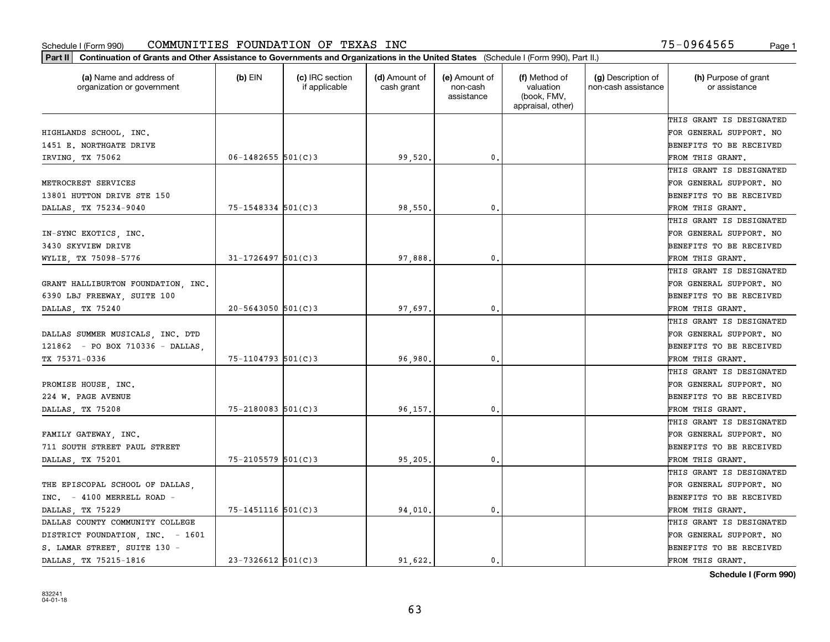| Part II   Continuation of Grants and Other Assistance to Governments and Organizations in the United States (Schedule I (Form 990), Part II.) |                          |                                  |                             |                                         |                                                                |                                           |                                       |
|-----------------------------------------------------------------------------------------------------------------------------------------------|--------------------------|----------------------------------|-----------------------------|-----------------------------------------|----------------------------------------------------------------|-------------------------------------------|---------------------------------------|
| (a) Name and address of<br>organization or government                                                                                         | (b) $EIN$                | (c) IRC section<br>if applicable | (d) Amount of<br>cash grant | (e) Amount of<br>non-cash<br>assistance | (f) Method of<br>valuation<br>(book, FMV,<br>appraisal, other) | (g) Description of<br>non-cash assistance | (h) Purpose of grant<br>or assistance |
|                                                                                                                                               |                          |                                  |                             |                                         |                                                                |                                           | THIS GRANT IS DESIGNATED              |
| HIGHLANDS SCHOOL, INC.                                                                                                                        |                          |                                  |                             |                                         |                                                                |                                           | FOR GENERAL SUPPORT. NO               |
| 1451 E. NORTHGATE DRIVE                                                                                                                       |                          |                                  |                             |                                         |                                                                |                                           | <b>BENEFITS TO BE RECEIVED</b>        |
| IRVING, TX 75062                                                                                                                              | $06 - 1482655$ 501(C)3   |                                  | 99,520                      | 0.                                      |                                                                |                                           | FROM THIS GRANT.                      |
|                                                                                                                                               |                          |                                  |                             |                                         |                                                                |                                           | THIS GRANT IS DESIGNATED              |
| METROCREST SERVICES                                                                                                                           |                          |                                  |                             |                                         |                                                                |                                           | FOR GENERAL SUPPORT. NO               |
| 13801 HUTTON DRIVE STE 150                                                                                                                    |                          |                                  |                             |                                         |                                                                |                                           | BENEFITS TO BE RECEIVED               |
| DALLAS, TX 75234-9040                                                                                                                         | $75 - 1548334$ 501(C)3   |                                  | 98,550                      | 0.                                      |                                                                |                                           | FROM THIS GRANT.                      |
|                                                                                                                                               |                          |                                  |                             |                                         |                                                                |                                           | THIS GRANT IS DESIGNATED              |
| IN-SYNC EXOTICS, INC.                                                                                                                         |                          |                                  |                             |                                         |                                                                |                                           | FOR GENERAL SUPPORT. NO               |
| 3430 SKYVIEW DRIVE                                                                                                                            |                          |                                  |                             |                                         |                                                                |                                           | BENEFITS TO BE RECEIVED               |
| WYLIE, TX 75098-5776                                                                                                                          | $31 - 1726497$ 501(C)3   |                                  | 97,888                      | 0.                                      |                                                                |                                           | FROM THIS GRANT.                      |
|                                                                                                                                               |                          |                                  |                             |                                         |                                                                |                                           | THIS GRANT IS DESIGNATED              |
| GRANT HALLIBURTON FOUNDATION, INC.                                                                                                            |                          |                                  |                             |                                         |                                                                |                                           | FOR GENERAL SUPPORT. NO               |
| 6390 LBJ FREEWAY, SUITE 100                                                                                                                   |                          |                                  |                             |                                         |                                                                |                                           | BENEFITS TO BE RECEIVED               |
| DALLAS, TX 75240                                                                                                                              | $20 - 5643050$ 501(C)3   |                                  | 97,697                      | 0.                                      |                                                                |                                           | FROM THIS GRANT.                      |
|                                                                                                                                               |                          |                                  |                             |                                         |                                                                |                                           | THIS GRANT IS DESIGNATED              |
| DALLAS SUMMER MUSICALS, INC. DTD                                                                                                              |                          |                                  |                             |                                         |                                                                |                                           | FOR GENERAL SUPPORT. NO               |
| 121862 - PO BOX 710336 - DALLAS                                                                                                               |                          |                                  |                             |                                         |                                                                |                                           | BENEFITS TO BE RECEIVED               |
| TX 75371-0336                                                                                                                                 | $75 - 1104793$ 501(C)3   |                                  | 96,980                      | 0.                                      |                                                                |                                           | FROM THIS GRANT.                      |
|                                                                                                                                               |                          |                                  |                             |                                         |                                                                |                                           | THIS GRANT IS DESIGNATED              |
| PROMISE HOUSE, INC.                                                                                                                           |                          |                                  |                             |                                         |                                                                |                                           | FOR GENERAL SUPPORT. NO               |
| 224 W. PAGE AVENUE                                                                                                                            |                          |                                  |                             |                                         |                                                                |                                           | BENEFITS TO BE RECEIVED               |
| DALLAS, TX 75208                                                                                                                              | $75 - 2180083$ 501(C)3   |                                  | 96,157                      | 0.                                      |                                                                |                                           | FROM THIS GRANT.                      |
|                                                                                                                                               |                          |                                  |                             |                                         |                                                                |                                           | THIS GRANT IS DESIGNATED              |
| FAMILY GATEWAY, INC.                                                                                                                          |                          |                                  |                             |                                         |                                                                |                                           | FOR GENERAL SUPPORT. NO               |
| 711 SOUTH STREET PAUL STREET                                                                                                                  |                          |                                  |                             |                                         |                                                                |                                           | BENEFITS TO BE RECEIVED               |
| DALLAS, TX 75201                                                                                                                              | 75-2105579 501(C)3       |                                  | 95,205                      | $\mathfrak o$ .                         |                                                                |                                           | FROM THIS GRANT.                      |
|                                                                                                                                               |                          |                                  |                             |                                         |                                                                |                                           | THIS GRANT IS DESIGNATED              |
| THE EPISCOPAL SCHOOL OF DALLAS,                                                                                                               |                          |                                  |                             |                                         |                                                                |                                           | FOR GENERAL SUPPORT. NO               |
| INC. - 4100 MERRELL ROAD -                                                                                                                    |                          |                                  |                             |                                         |                                                                |                                           | BENEFITS TO BE RECEIVED               |
| DALLAS TX 75229                                                                                                                               | $75 - 1451116$ $501(C)3$ |                                  | 94,010                      | 0.                                      |                                                                |                                           | FROM THIS GRANT.                      |
| DALLAS COUNTY COMMUNITY COLLEGE                                                                                                               |                          |                                  |                             |                                         |                                                                |                                           | THIS GRANT IS DESIGNATED              |
| DISTRICT FOUNDATION, INC. - 1601                                                                                                              |                          |                                  |                             |                                         |                                                                |                                           | FOR GENERAL SUPPORT. NO               |
| S. LAMAR STREET, SUITE 130 -                                                                                                                  |                          |                                  |                             |                                         |                                                                |                                           | BENEFITS TO BE RECEIVED               |
| DALLAS TX 75215-1816                                                                                                                          | $23 - 7326612$ 501(C)3   |                                  | 91.622.                     | 0.                                      |                                                                |                                           | FROM THIS GRANT.                      |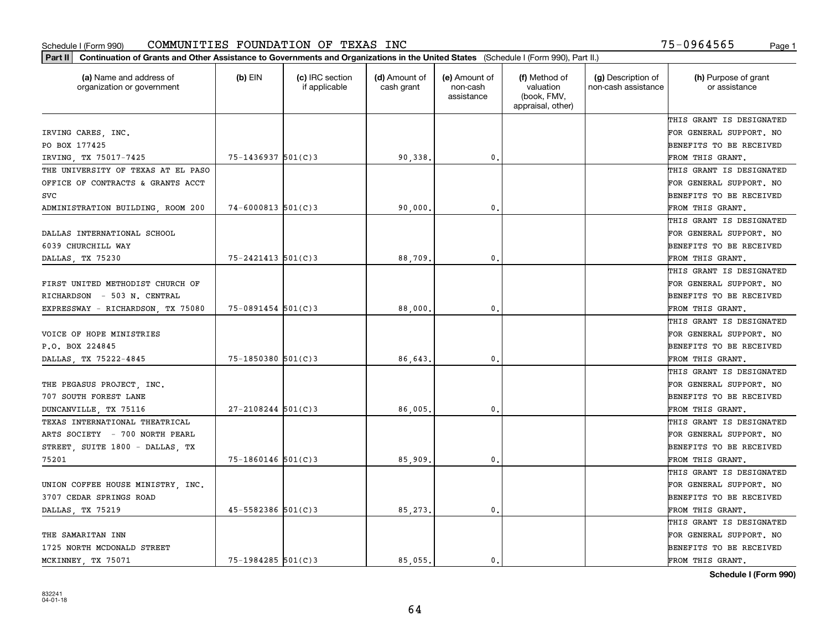| Part II   Continuation of Grants and Other Assistance to Governments and Organizations in the United States (Schedule I (Form 990), Part II.) |                          |                                  |                             |                                         |                                                                |                                           |                                       |
|-----------------------------------------------------------------------------------------------------------------------------------------------|--------------------------|----------------------------------|-----------------------------|-----------------------------------------|----------------------------------------------------------------|-------------------------------------------|---------------------------------------|
| (a) Name and address of<br>organization or government                                                                                         | $(b)$ EIN                | (c) IRC section<br>if applicable | (d) Amount of<br>cash grant | (e) Amount of<br>non-cash<br>assistance | (f) Method of<br>valuation<br>(book, FMV,<br>appraisal, other) | (g) Description of<br>non-cash assistance | (h) Purpose of grant<br>or assistance |
|                                                                                                                                               |                          |                                  |                             |                                         |                                                                |                                           | THIS GRANT IS DESIGNATED              |
| IRVING CARES, INC.                                                                                                                            |                          |                                  |                             |                                         |                                                                |                                           | FOR GENERAL SUPPORT. NO               |
| PO BOX 177425                                                                                                                                 |                          |                                  |                             |                                         |                                                                |                                           | BENEFITS TO BE RECEIVED               |
| IRVING, TX 75017-7425                                                                                                                         | 75-1436937 501(C)3       |                                  | 90,338.                     | 0.                                      |                                                                |                                           | FROM THIS GRANT.                      |
| THE UNIVERSITY OF TEXAS AT EL PASO                                                                                                            |                          |                                  |                             |                                         |                                                                |                                           | THIS GRANT IS DESIGNATED              |
| OFFICE OF CONTRACTS & GRANTS ACCT                                                                                                             |                          |                                  |                             |                                         |                                                                |                                           | FOR GENERAL SUPPORT. NO               |
| <b>SVC</b>                                                                                                                                    |                          |                                  |                             |                                         |                                                                |                                           | BENEFITS TO BE RECEIVED               |
| ADMINISTRATION BUILDING, ROOM 200                                                                                                             | $74 - 6000813$ 501(C)3   |                                  | 90,000                      | 0.                                      |                                                                |                                           | FROM THIS GRANT.                      |
|                                                                                                                                               |                          |                                  |                             |                                         |                                                                |                                           | THIS GRANT IS DESIGNATED              |
| DALLAS INTERNATIONAL SCHOOL                                                                                                                   |                          |                                  |                             |                                         |                                                                |                                           | FOR GENERAL SUPPORT. NO               |
| 6039 CHURCHILL WAY                                                                                                                            |                          |                                  |                             |                                         |                                                                |                                           | BENEFITS TO BE RECEIVED               |
| DALLAS, TX 75230                                                                                                                              | $75 - 2421413$ $501(C)3$ |                                  | 88,709.                     | $\mathfrak{o}$ .                        |                                                                |                                           | FROM THIS GRANT.                      |
|                                                                                                                                               |                          |                                  |                             |                                         |                                                                |                                           | THIS GRANT IS DESIGNATED              |
| FIRST UNITED METHODIST CHURCH OF                                                                                                              |                          |                                  |                             |                                         |                                                                |                                           | FOR GENERAL SUPPORT. NO               |
| RICHARDSON - 503 N. CENTRAL                                                                                                                   |                          |                                  |                             |                                         |                                                                |                                           | <b>BENEFITS TO BE RECEIVED</b>        |
| EXPRESSWAY - RICHARDSON, TX 75080                                                                                                             | $75 - 0891454$ 501(C)3   |                                  | 88,000.                     | $\mathbf{0}$ .                          |                                                                |                                           | FROM THIS GRANT.                      |
|                                                                                                                                               |                          |                                  |                             |                                         |                                                                |                                           | THIS GRANT IS DESIGNATED              |
| VOICE OF HOPE MINISTRIES                                                                                                                      |                          |                                  |                             |                                         |                                                                |                                           | FOR GENERAL SUPPORT. NO               |
| P.O. BOX 224845                                                                                                                               |                          |                                  |                             |                                         |                                                                |                                           | BENEFITS TO BE RECEIVED               |
| DALLAS, TX 75222-4845                                                                                                                         | $75 - 1850380$ 501(C)3   |                                  | 86,643                      | 0.                                      |                                                                |                                           | FROM THIS GRANT.                      |
|                                                                                                                                               |                          |                                  |                             |                                         |                                                                |                                           | THIS GRANT IS DESIGNATED              |
| THE PEGASUS PROJECT, INC.                                                                                                                     |                          |                                  |                             |                                         |                                                                |                                           | FOR GENERAL SUPPORT. NO               |
| 707 SOUTH FOREST LANE                                                                                                                         |                          |                                  |                             |                                         |                                                                |                                           | BENEFITS TO BE RECEIVED               |
| DUNCANVILLE, TX 75116                                                                                                                         | $27 - 2108244$ 501(C)3   |                                  | 86,005.                     | $\mathfrak{o}$ .                        |                                                                |                                           | FROM THIS GRANT.                      |
| TEXAS INTERNATIONAL THEATRICAL                                                                                                                |                          |                                  |                             |                                         |                                                                |                                           | THIS GRANT IS DESIGNATED              |
| ARTS SOCIETY - 700 NORTH PEARL                                                                                                                |                          |                                  |                             |                                         |                                                                |                                           | FOR GENERAL SUPPORT. NO               |
| STREET, SUITE 1800 - DALLAS, TX                                                                                                               |                          |                                  |                             |                                         |                                                                |                                           | BENEFITS TO BE RECEIVED               |
| 75201                                                                                                                                         | $75 - 1860146$ 501(C)3   |                                  | 85,909                      | $\mathfrak{o}$ .                        |                                                                |                                           | FROM THIS GRANT.                      |
|                                                                                                                                               |                          |                                  |                             |                                         |                                                                |                                           | THIS GRANT IS DESIGNATED              |
| UNION COFFEE HOUSE MINISTRY, INC.                                                                                                             |                          |                                  |                             |                                         |                                                                |                                           | FOR GENERAL SUPPORT. NO               |
| 3707 CEDAR SPRINGS ROAD                                                                                                                       |                          |                                  |                             |                                         |                                                                |                                           | BENEFITS TO BE RECEIVED               |
| DALLAS, TX 75219                                                                                                                              | 45-5582386 501(C)3       |                                  | 85,273.                     | 0.                                      |                                                                |                                           | FROM THIS GRANT.                      |
|                                                                                                                                               |                          |                                  |                             |                                         |                                                                |                                           | THIS GRANT IS DESIGNATED              |
| THE SAMARITAN INN                                                                                                                             |                          |                                  |                             |                                         |                                                                |                                           | FOR GENERAL SUPPORT. NO               |
| 1725 NORTH MCDONALD STREET                                                                                                                    |                          |                                  |                             |                                         |                                                                |                                           | <b>BENEFITS TO BE RECEIVED</b>        |
| MCKINNEY, TX 75071                                                                                                                            | $75 - 1984285$ 501(C)3   |                                  | 85.055.                     | 0.                                      |                                                                |                                           | FROM THIS GRANT.                      |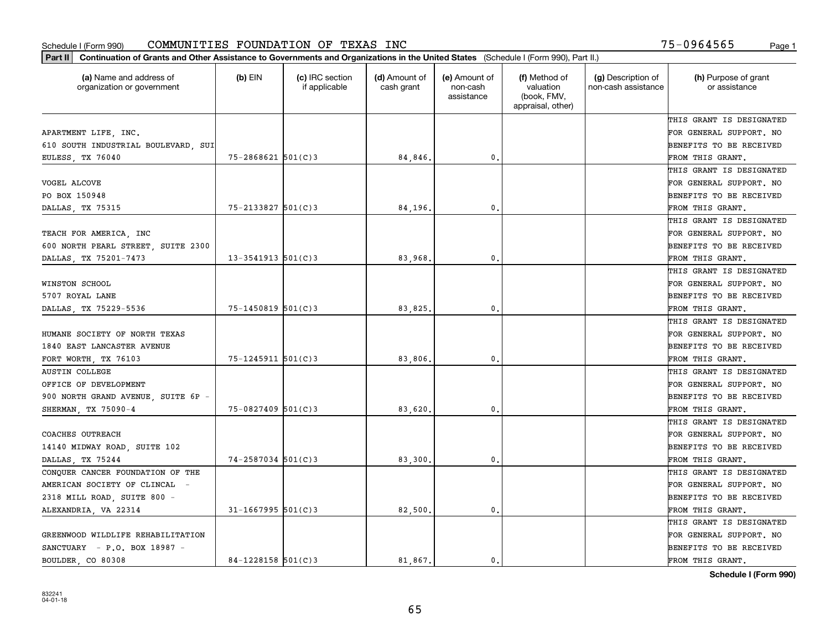| Part II   Continuation of Grants and Other Assistance to Governments and Organizations in the United States (Schedule I (Form 990), Part II.) |                        |                                  |                             |                                         |                                                                |                                           |                                       |
|-----------------------------------------------------------------------------------------------------------------------------------------------|------------------------|----------------------------------|-----------------------------|-----------------------------------------|----------------------------------------------------------------|-------------------------------------------|---------------------------------------|
| (a) Name and address of<br>organization or government                                                                                         | $(b)$ EIN              | (c) IRC section<br>if applicable | (d) Amount of<br>cash grant | (e) Amount of<br>non-cash<br>assistance | (f) Method of<br>valuation<br>(book, FMV,<br>appraisal, other) | (g) Description of<br>non-cash assistance | (h) Purpose of grant<br>or assistance |
|                                                                                                                                               |                        |                                  |                             |                                         |                                                                |                                           | THIS GRANT IS DESIGNATED              |
| APARTMENT LIFE, INC.                                                                                                                          |                        |                                  |                             |                                         |                                                                |                                           | FOR GENERAL SUPPORT. NO               |
| 610 SOUTH INDUSTRIAL BOULEVARD, SUI                                                                                                           |                        |                                  |                             |                                         |                                                                |                                           | <b>BENEFITS TO BE RECEIVED</b>        |
| EULESS, TX 76040                                                                                                                              | 75-2868621 501(C)3     |                                  | 84,846.                     | 0.                                      |                                                                |                                           | FROM THIS GRANT.                      |
|                                                                                                                                               |                        |                                  |                             |                                         |                                                                |                                           | THIS GRANT IS DESIGNATED              |
| VOGEL ALCOVE                                                                                                                                  |                        |                                  |                             |                                         |                                                                |                                           | FOR GENERAL SUPPORT. NO               |
| PO BOX 150948                                                                                                                                 |                        |                                  |                             |                                         |                                                                |                                           | <b>BENEFITS TO BE RECEIVED</b>        |
| DALLAS, TX 75315                                                                                                                              | 75-2133827 501(C)3     |                                  | 84,196.                     | 0.                                      |                                                                |                                           | FROM THIS GRANT.                      |
|                                                                                                                                               |                        |                                  |                             |                                         |                                                                |                                           | THIS GRANT IS DESIGNATED              |
| TEACH FOR AMERICA, INC                                                                                                                        |                        |                                  |                             |                                         |                                                                |                                           | FOR GENERAL SUPPORT. NO               |
| 600 NORTH PEARL STREET, SUITE 2300                                                                                                            |                        |                                  |                             |                                         |                                                                |                                           | BENEFITS TO BE RECEIVED               |
| DALLAS, TX 75201-7473                                                                                                                         | $13 - 3541913$ 501(C)3 |                                  | 83,968.                     | 0.                                      |                                                                |                                           | FROM THIS GRANT.                      |
|                                                                                                                                               |                        |                                  |                             |                                         |                                                                |                                           | THIS GRANT IS DESIGNATED              |
| WINSTON SCHOOL                                                                                                                                |                        |                                  |                             |                                         |                                                                |                                           | FOR GENERAL SUPPORT. NO               |
| 5707 ROYAL LANE                                                                                                                               |                        |                                  |                             |                                         |                                                                |                                           | <b>BENEFITS TO BE RECEIVED</b>        |
| DALLAS, TX 75229-5536                                                                                                                         | 75-1450819 501(C)3     |                                  | 83,825.                     | 0.                                      |                                                                |                                           | FROM THIS GRANT.                      |
|                                                                                                                                               |                        |                                  |                             |                                         |                                                                |                                           | THIS GRANT IS DESIGNATED              |
| HUMANE SOCIETY OF NORTH TEXAS                                                                                                                 |                        |                                  |                             |                                         |                                                                |                                           | FOR GENERAL SUPPORT. NO               |
| 1840 EAST LANCASTER AVENUE                                                                                                                    |                        |                                  |                             |                                         |                                                                |                                           | BENEFITS TO BE RECEIVED               |
| FORT WORTH, TX 76103                                                                                                                          | $75 - 1245911$ 501(C)3 |                                  | 83,806.                     | 0.                                      |                                                                |                                           | FROM THIS GRANT.                      |
| <b>AUSTIN COLLEGE</b>                                                                                                                         |                        |                                  |                             |                                         |                                                                |                                           | THIS GRANT IS DESIGNATED              |
| OFFICE OF DEVELOPMENT                                                                                                                         |                        |                                  |                             |                                         |                                                                |                                           | FOR GENERAL SUPPORT. NO               |
| 900 NORTH GRAND AVENUE, SUITE 6P -                                                                                                            |                        |                                  |                             |                                         |                                                                |                                           | BENEFITS TO BE RECEIVED               |
| SHERMAN, TX 75090-4                                                                                                                           | $75 - 0827409$ 501(C)3 |                                  | 83,620                      | 0.                                      |                                                                |                                           | FROM THIS GRANT.                      |
|                                                                                                                                               |                        |                                  |                             |                                         |                                                                |                                           | THIS GRANT IS DESIGNATED              |
| COACHES OUTREACH                                                                                                                              |                        |                                  |                             |                                         |                                                                |                                           | FOR GENERAL SUPPORT. NO               |
| 14140 MIDWAY ROAD, SUITE 102                                                                                                                  |                        |                                  |                             |                                         |                                                                |                                           | <b>BENEFITS TO BE RECEIVED</b>        |
| DALLAS, TX 75244                                                                                                                              | $74 - 2587034$ 501(C)3 |                                  | 83,300                      | $\mathbf{0}$ .                          |                                                                |                                           | FROM THIS GRANT.                      |
| CONQUER CANCER FOUNDATION OF THE                                                                                                              |                        |                                  |                             |                                         |                                                                |                                           | THIS GRANT IS DESIGNATED              |
| AMERICAN SOCIETY OF CLINCAL -                                                                                                                 |                        |                                  |                             |                                         |                                                                |                                           | FOR GENERAL SUPPORT. NO               |
| 2318 MILL ROAD, SUITE 800 -                                                                                                                   |                        |                                  |                             |                                         |                                                                |                                           | BENEFITS TO BE RECEIVED               |
| ALEXANDRIA, VA 22314                                                                                                                          | $31 - 1667995$ 501(C)3 |                                  | 82,500.                     | 0.                                      |                                                                |                                           | FROM THIS GRANT.                      |
|                                                                                                                                               |                        |                                  |                             |                                         |                                                                |                                           | THIS GRANT IS DESIGNATED              |
| GREENWOOD WILDLIFE REHABILITATION                                                                                                             |                        |                                  |                             |                                         |                                                                |                                           | FOR GENERAL SUPPORT. NO               |
| SANCTUARY - P.O. BOX 18987 -                                                                                                                  |                        |                                  |                             |                                         |                                                                |                                           | <b>BENEFITS TO BE RECEIVED</b>        |
| BOULDER CO 80308                                                                                                                              | $84 - 1228158$ 501(C)3 |                                  | 81,867.                     | 0.                                      |                                                                |                                           | FROM THIS GRANT.                      |
|                                                                                                                                               |                        |                                  |                             |                                         |                                                                |                                           |                                       |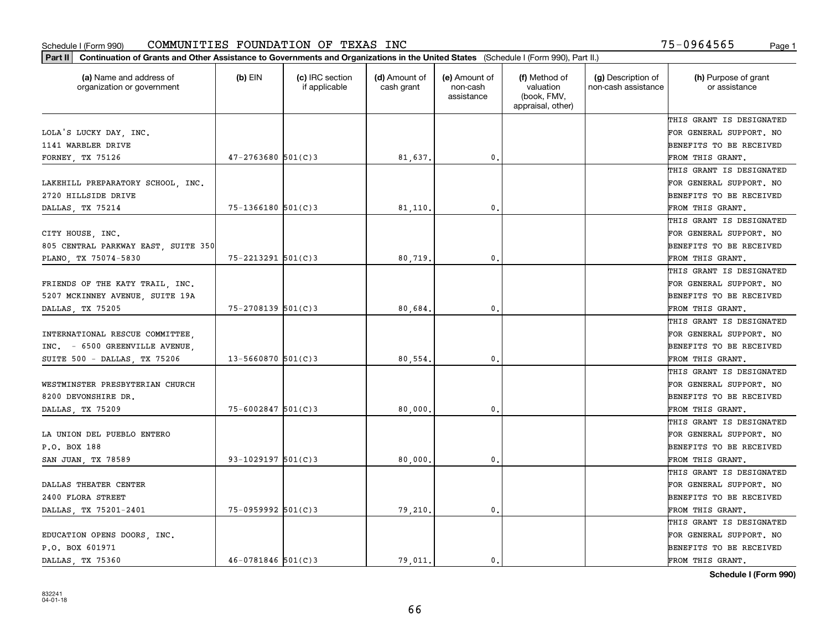| Part II   Continuation of Grants and Other Assistance to Governments and Organizations in the United States (Schedule I (Form 990), Part II.) |                        |                                  |                             |                                         |                                                                |                                           |                                       |
|-----------------------------------------------------------------------------------------------------------------------------------------------|------------------------|----------------------------------|-----------------------------|-----------------------------------------|----------------------------------------------------------------|-------------------------------------------|---------------------------------------|
| (a) Name and address of<br>organization or government                                                                                         | $(b)$ EIN              | (c) IRC section<br>if applicable | (d) Amount of<br>cash grant | (e) Amount of<br>non-cash<br>assistance | (f) Method of<br>valuation<br>(book, FMV,<br>appraisal, other) | (g) Description of<br>non-cash assistance | (h) Purpose of grant<br>or assistance |
|                                                                                                                                               |                        |                                  |                             |                                         |                                                                |                                           | THIS GRANT IS DESIGNATED              |
| LOLA'S LUCKY DAY, INC.                                                                                                                        |                        |                                  |                             |                                         |                                                                |                                           | FOR GENERAL SUPPORT. NO               |
| 1141 WARBLER DRIVE                                                                                                                            |                        |                                  |                             |                                         |                                                                |                                           | BENEFITS TO BE RECEIVED               |
| FORNEY, TX 75126                                                                                                                              | $47 - 2763680$ 501(C)3 |                                  | 81,637.                     | 0.                                      |                                                                |                                           | FROM THIS GRANT.                      |
|                                                                                                                                               |                        |                                  |                             |                                         |                                                                |                                           | THIS GRANT IS DESIGNATED              |
| LAKEHILL PREPARATORY SCHOOL, INC.                                                                                                             |                        |                                  |                             |                                         |                                                                |                                           | FOR GENERAL SUPPORT. NO               |
| 2720 HILLSIDE DRIVE                                                                                                                           |                        |                                  |                             |                                         |                                                                |                                           | BENEFITS TO BE RECEIVED               |
| DALLAS, TX 75214                                                                                                                              | $75 - 1366180$ 501(C)3 |                                  | 81,110                      | 0.                                      |                                                                |                                           | FROM THIS GRANT.                      |
|                                                                                                                                               |                        |                                  |                             |                                         |                                                                |                                           | THIS GRANT IS DESIGNATED              |
| CITY HOUSE, INC.                                                                                                                              |                        |                                  |                             |                                         |                                                                |                                           | FOR GENERAL SUPPORT. NO               |
| 805 CENTRAL PARKWAY EAST, SUITE 350                                                                                                           |                        |                                  |                             |                                         |                                                                |                                           | BENEFITS TO BE RECEIVED               |
| PLANO, TX 75074-5830                                                                                                                          | $75 - 2213291$ 501(C)3 |                                  | 80,719.                     | 0.                                      |                                                                |                                           | FROM THIS GRANT.                      |
|                                                                                                                                               |                        |                                  |                             |                                         |                                                                |                                           | THIS GRANT IS DESIGNATED              |
| FRIENDS OF THE KATY TRAIL, INC.                                                                                                               |                        |                                  |                             |                                         |                                                                |                                           | FOR GENERAL SUPPORT. NO               |
| 5207 MCKINNEY AVENUE, SUITE 19A                                                                                                               |                        |                                  |                             |                                         |                                                                |                                           | <b>BENEFITS TO BE RECEIVED</b>        |
| DALLAS, TX 75205                                                                                                                              | $75 - 2708139$ 501(C)3 |                                  | 80,684.                     | 0.                                      |                                                                |                                           | FROM THIS GRANT.                      |
|                                                                                                                                               |                        |                                  |                             |                                         |                                                                |                                           | THIS GRANT IS DESIGNATED              |
| INTERNATIONAL RESCUE COMMITTEE,                                                                                                               |                        |                                  |                             |                                         |                                                                |                                           | FOR GENERAL SUPPORT. NO               |
| INC. - 6500 GREENVILLE AVENUE.                                                                                                                |                        |                                  |                             |                                         |                                                                |                                           | BENEFITS TO BE RECEIVED               |
| SUITE 500 - DALLAS, TX 75206                                                                                                                  | $13 - 5660870$ 501(C)3 |                                  | 80,554.                     | 0.                                      |                                                                |                                           | FROM THIS GRANT.                      |
|                                                                                                                                               |                        |                                  |                             |                                         |                                                                |                                           | THIS GRANT IS DESIGNATED              |
| WESTMINSTER PRESBYTERIAN CHURCH                                                                                                               |                        |                                  |                             |                                         |                                                                |                                           | FOR GENERAL SUPPORT. NO               |
| 8200 DEVONSHIRE DR.                                                                                                                           |                        |                                  |                             |                                         |                                                                |                                           | <b>BENEFITS TO BE RECEIVED</b>        |
| DALLAS, TX 75209                                                                                                                              | $75 - 6002847$ 501(C)3 |                                  | 80,000                      | 0.                                      |                                                                |                                           | FROM THIS GRANT.                      |
|                                                                                                                                               |                        |                                  |                             |                                         |                                                                |                                           | THIS GRANT IS DESIGNATED              |
| LA UNION DEL PUEBLO ENTERO                                                                                                                    |                        |                                  |                             |                                         |                                                                |                                           | FOR GENERAL SUPPORT. NO               |
| P.O. BOX 188                                                                                                                                  |                        |                                  |                             |                                         |                                                                |                                           | <b>BENEFITS TO BE RECEIVED</b>        |
| SAN JUAN, TX 78589                                                                                                                            | $93 - 1029197$ 501(C)3 |                                  | 80,000                      | 0.                                      |                                                                |                                           | FROM THIS GRANT.                      |
|                                                                                                                                               |                        |                                  |                             |                                         |                                                                |                                           | THIS GRANT IS DESIGNATED              |
| DALLAS THEATER CENTER                                                                                                                         |                        |                                  |                             |                                         |                                                                |                                           | FOR GENERAL SUPPORT. NO               |
| 2400 FLORA STREET                                                                                                                             |                        |                                  |                             |                                         |                                                                |                                           | BENEFITS TO BE RECEIVED               |
| DALLAS, TX 75201-2401                                                                                                                         | 75-0959992 501(C)3     |                                  | 79,210.                     | 0.                                      |                                                                |                                           | FROM THIS GRANT.                      |
|                                                                                                                                               |                        |                                  |                             |                                         |                                                                |                                           | THIS GRANT IS DESIGNATED              |
| EDUCATION OPENS DOORS, INC.                                                                                                                   |                        |                                  |                             |                                         |                                                                |                                           | FOR GENERAL SUPPORT. NO               |
| P.O. BOX 601971                                                                                                                               |                        |                                  |                             |                                         |                                                                |                                           | <b>BENEFITS TO BE RECEIVED</b>        |
| DALLAS TX 75360                                                                                                                               | $46 - 0781846$ 501(C)3 |                                  | 79.011.                     | $\mathbf{0}$ .                          |                                                                |                                           | FROM THIS GRANT.                      |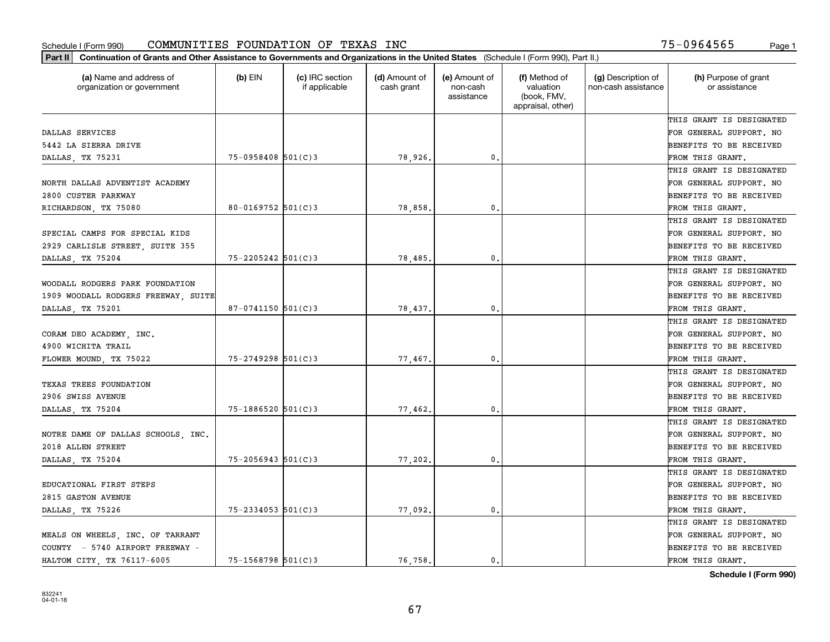| Part II   Continuation of Grants and Other Assistance to Governments and Organizations in the United States (Schedule I (Form 990), Part II.) |                        |                                  |                             |                                         |                                                                |                                           |                                       |
|-----------------------------------------------------------------------------------------------------------------------------------------------|------------------------|----------------------------------|-----------------------------|-----------------------------------------|----------------------------------------------------------------|-------------------------------------------|---------------------------------------|
| (a) Name and address of<br>organization or government                                                                                         | $(b)$ EIN              | (c) IRC section<br>if applicable | (d) Amount of<br>cash grant | (e) Amount of<br>non-cash<br>assistance | (f) Method of<br>valuation<br>(book, FMV,<br>appraisal, other) | (g) Description of<br>non-cash assistance | (h) Purpose of grant<br>or assistance |
|                                                                                                                                               |                        |                                  |                             |                                         |                                                                |                                           | THIS GRANT IS DESIGNATED              |
| DALLAS SERVICES                                                                                                                               |                        |                                  |                             |                                         |                                                                |                                           | FOR GENERAL SUPPORT. NO               |
| 5442 LA SIERRA DRIVE                                                                                                                          |                        |                                  |                             |                                         |                                                                |                                           | <b>BENEFITS TO BE RECEIVED</b>        |
| DALLAS, TX 75231                                                                                                                              | 75-0958408 501(C)3     |                                  | 78,926.                     | 0.                                      |                                                                |                                           | FROM THIS GRANT.                      |
|                                                                                                                                               |                        |                                  |                             |                                         |                                                                |                                           | THIS GRANT IS DESIGNATED              |
| NORTH DALLAS ADVENTIST ACADEMY                                                                                                                |                        |                                  |                             |                                         |                                                                |                                           | FOR GENERAL SUPPORT. NO               |
| 2800 CUSTER PARKWAY                                                                                                                           |                        |                                  |                             |                                         |                                                                |                                           | <b>BENEFITS TO BE RECEIVED</b>        |
| RICHARDSON, TX 75080                                                                                                                          | 80-0169752 $501(C)3$   |                                  | 78,858.                     | 0.                                      |                                                                |                                           | FROM THIS GRANT.                      |
|                                                                                                                                               |                        |                                  |                             |                                         |                                                                |                                           | THIS GRANT IS DESIGNATED              |
| SPECIAL CAMPS FOR SPECIAL KIDS                                                                                                                |                        |                                  |                             |                                         |                                                                |                                           | FOR GENERAL SUPPORT. NO               |
| 2929 CARLISLE STREET, SUITE 355                                                                                                               |                        |                                  |                             |                                         |                                                                |                                           | <b>BENEFITS TO BE RECEIVED</b>        |
| DALLAS, TX 75204                                                                                                                              | 75-2205242 501(C)3     |                                  | 78,485.                     | $\mathfrak{o}$ .                        |                                                                |                                           | FROM THIS GRANT.                      |
|                                                                                                                                               |                        |                                  |                             |                                         |                                                                |                                           | THIS GRANT IS DESIGNATED              |
| WOODALL RODGERS PARK FOUNDATION                                                                                                               |                        |                                  |                             |                                         |                                                                |                                           | FOR GENERAL SUPPORT. NO               |
| 1909 WOODALL RODGERS FREEWAY, SUITE                                                                                                           |                        |                                  |                             |                                         |                                                                |                                           | <b>BENEFITS TO BE RECEIVED</b>        |
| DALLAS, TX 75201                                                                                                                              | $87-0741150$ 501(C)3   |                                  | 78,437.                     | 0.                                      |                                                                |                                           | FROM THIS GRANT.                      |
|                                                                                                                                               |                        |                                  |                             |                                         |                                                                |                                           | THIS GRANT IS DESIGNATED              |
| CORAM DEO ACADEMY, INC.                                                                                                                       |                        |                                  |                             |                                         |                                                                |                                           | FOR GENERAL SUPPORT. NO               |
| 4900 WICHITA TRAIL                                                                                                                            |                        |                                  |                             |                                         |                                                                |                                           | <b>BENEFITS TO BE RECEIVED</b>        |
| FLOWER MOUND, TX 75022                                                                                                                        | $75 - 2749298$ 501(C)3 |                                  | 77,467.                     | 0.                                      |                                                                |                                           | FROM THIS GRANT.                      |
|                                                                                                                                               |                        |                                  |                             |                                         |                                                                |                                           | THIS GRANT IS DESIGNATED              |
| TEXAS TREES FOUNDATION                                                                                                                        |                        |                                  |                             |                                         |                                                                |                                           | FOR GENERAL SUPPORT. NO               |
| 2906 SWISS AVENUE                                                                                                                             |                        |                                  |                             |                                         |                                                                |                                           | <b>BENEFITS TO BE RECEIVED</b>        |
| DALLAS, TX 75204                                                                                                                              | $75 - 1886520$ 501(C)3 |                                  | 77,462.                     | 0.                                      |                                                                |                                           | FROM THIS GRANT.                      |
|                                                                                                                                               |                        |                                  |                             |                                         |                                                                |                                           | THIS GRANT IS DESIGNATED              |
| NOTRE DAME OF DALLAS SCHOOLS, INC.                                                                                                            |                        |                                  |                             |                                         |                                                                |                                           | FOR GENERAL SUPPORT. NO               |
| 2018 ALLEN STREET                                                                                                                             |                        |                                  |                             |                                         |                                                                |                                           | <b>BENEFITS TO BE RECEIVED</b>        |
| DALLAS, TX 75204                                                                                                                              | $75 - 2056943$ 501(C)3 |                                  | 77,202.                     | $\mathbf{0}$ .                          |                                                                |                                           | FROM THIS GRANT.                      |
|                                                                                                                                               |                        |                                  |                             |                                         |                                                                |                                           | THIS GRANT IS DESIGNATED              |
| EDUCATIONAL FIRST STEPS                                                                                                                       |                        |                                  |                             |                                         |                                                                |                                           | FOR GENERAL SUPPORT. NO               |
| 2815 GASTON AVENUE                                                                                                                            |                        |                                  |                             |                                         |                                                                |                                           | BENEFITS TO BE RECEIVED               |
| DALLAS, TX 75226                                                                                                                              | $75 - 2334053$ 501(C)3 |                                  | 77,092.                     | 0.                                      |                                                                |                                           | FROM THIS GRANT.                      |
|                                                                                                                                               |                        |                                  |                             |                                         |                                                                |                                           | THIS GRANT IS DESIGNATED              |
| MEALS ON WHEELS, INC. OF TARRANT                                                                                                              |                        |                                  |                             |                                         |                                                                |                                           | FOR GENERAL SUPPORT. NO               |
| COUNTY - 5740 AIRPORT FREEWAY -                                                                                                               |                        |                                  |                             |                                         |                                                                |                                           | <b>BENEFITS TO BE RECEIVED</b>        |
| HALTOM CITY TX 76117-6005                                                                                                                     | 75-1568798 501(C)3     |                                  | 76,758.                     | 0.                                      |                                                                |                                           | FROM THIS GRANT.                      |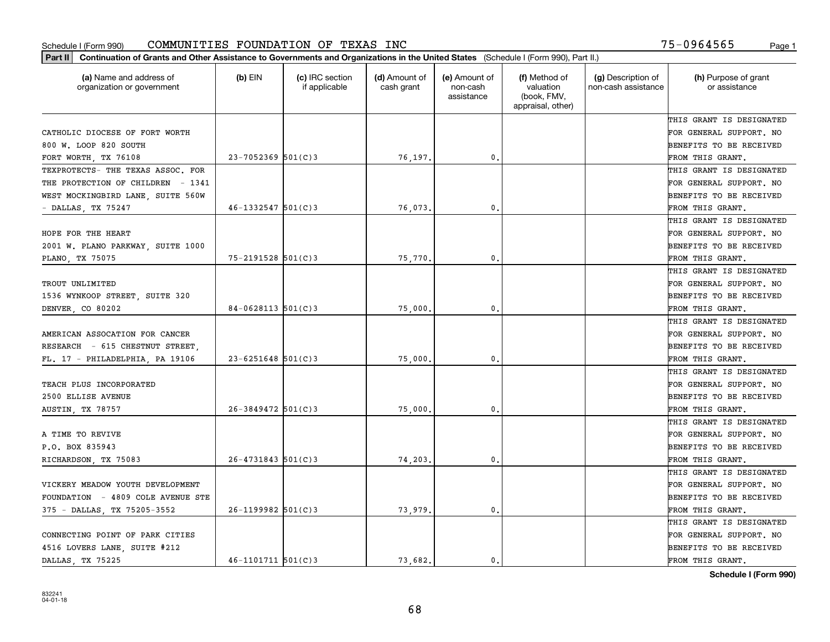| Part II   Continuation of Grants and Other Assistance to Governments and Organizations in the United States (Schedule I (Form 990), Part II.) |                         |                                  |                             |                                         |                                                                |                                           |                                       |
|-----------------------------------------------------------------------------------------------------------------------------------------------|-------------------------|----------------------------------|-----------------------------|-----------------------------------------|----------------------------------------------------------------|-------------------------------------------|---------------------------------------|
| (a) Name and address of<br>organization or government                                                                                         | $(b)$ EIN               | (c) IRC section<br>if applicable | (d) Amount of<br>cash grant | (e) Amount of<br>non-cash<br>assistance | (f) Method of<br>valuation<br>(book, FMV,<br>appraisal, other) | (g) Description of<br>non-cash assistance | (h) Purpose of grant<br>or assistance |
|                                                                                                                                               |                         |                                  |                             |                                         |                                                                |                                           | THIS GRANT IS DESIGNATED              |
| CATHOLIC DIOCESE OF FORT WORTH                                                                                                                |                         |                                  |                             |                                         |                                                                |                                           | FOR GENERAL SUPPORT. NO               |
| 800 W. LOOP 820 SOUTH                                                                                                                         |                         |                                  |                             |                                         |                                                                |                                           | BENEFITS TO BE RECEIVED               |
| FORT WORTH, TX 76108                                                                                                                          | $23 - 7052369$ 501(C)3  |                                  | 76,197.                     | 0.                                      |                                                                |                                           | FROM THIS GRANT.                      |
| TEXPROTECTS- THE TEXAS ASSOC. FOR                                                                                                             |                         |                                  |                             |                                         |                                                                |                                           | THIS GRANT IS DESIGNATED              |
| THE PROTECTION OF CHILDREN - 1341                                                                                                             |                         |                                  |                             |                                         |                                                                |                                           | FOR GENERAL SUPPORT. NO               |
| WEST MOCKINGBIRD LANE, SUITE 560W                                                                                                             |                         |                                  |                             |                                         |                                                                |                                           | BENEFITS TO BE RECEIVED               |
| - DALLAS, TX 75247                                                                                                                            | $46 - 1332547$ 501(C)3  |                                  | 76,073.                     | 0.                                      |                                                                |                                           | FROM THIS GRANT.                      |
|                                                                                                                                               |                         |                                  |                             |                                         |                                                                |                                           | THIS GRANT IS DESIGNATED              |
| HOPE FOR THE HEART                                                                                                                            |                         |                                  |                             |                                         |                                                                |                                           | FOR GENERAL SUPPORT. NO               |
| 2001 W. PLANO PARKWAY, SUITE 1000                                                                                                             |                         |                                  |                             |                                         |                                                                |                                           | BENEFITS TO BE RECEIVED               |
| PLANO, TX 75075                                                                                                                               | $75 - 2191528$ 501(C)3  |                                  | 75,770.                     | 0.                                      |                                                                |                                           | FROM THIS GRANT.                      |
|                                                                                                                                               |                         |                                  |                             |                                         |                                                                |                                           | THIS GRANT IS DESIGNATED              |
| TROUT UNLIMITED                                                                                                                               |                         |                                  |                             |                                         |                                                                |                                           | FOR GENERAL SUPPORT. NO               |
| 1536 WYNKOOP STREET, SUITE 320                                                                                                                |                         |                                  |                             |                                         |                                                                |                                           | <b>BENEFITS TO BE RECEIVED</b>        |
| DENVER, CO 80202                                                                                                                              | $84 - 0628113$ 501(C)3  |                                  | 75,000                      | 0.                                      |                                                                |                                           | FROM THIS GRANT.                      |
|                                                                                                                                               |                         |                                  |                             |                                         |                                                                |                                           | THIS GRANT IS DESIGNATED              |
| AMERICAN ASSOCATION FOR CANCER                                                                                                                |                         |                                  |                             |                                         |                                                                |                                           | FOR GENERAL SUPPORT. NO               |
| RESEARCH - 615 CHESTNUT STREET                                                                                                                |                         |                                  |                             |                                         |                                                                |                                           | BENEFITS TO BE RECEIVED               |
| FL. 17 - PHILADELPHIA, PA 19106                                                                                                               | $23 - 6251648$ 501(C)3  |                                  | 75,000                      | 0.                                      |                                                                |                                           | FROM THIS GRANT.                      |
|                                                                                                                                               |                         |                                  |                             |                                         |                                                                |                                           | THIS GRANT IS DESIGNATED              |
| TEACH PLUS INCORPORATED                                                                                                                       |                         |                                  |                             |                                         |                                                                |                                           | FOR GENERAL SUPPORT. NO               |
| 2500 ELLISE AVENUE                                                                                                                            |                         |                                  |                             |                                         |                                                                |                                           | <b>BENEFITS TO BE RECEIVED</b>        |
| <b>AUSTIN, TX 78757</b>                                                                                                                       | $26 - 3849472$ 501(C)3  |                                  | 75,000                      | 0.                                      |                                                                |                                           | FROM THIS GRANT.                      |
|                                                                                                                                               |                         |                                  |                             |                                         |                                                                |                                           | THIS GRANT IS DESIGNATED              |
| A TIME TO REVIVE                                                                                                                              |                         |                                  |                             |                                         |                                                                |                                           | FOR GENERAL SUPPORT. NO               |
| P.O. BOX 835943                                                                                                                               |                         |                                  |                             |                                         |                                                                |                                           | <b>BENEFITS TO BE RECEIVED</b>        |
| RICHARDSON, TX 75083                                                                                                                          | $26 - 4731843$ 501(C)3  |                                  | 74,203.                     | 0.                                      |                                                                |                                           | FROM THIS GRANT.                      |
|                                                                                                                                               |                         |                                  |                             |                                         |                                                                |                                           | THIS GRANT IS DESIGNATED              |
| VICKERY MEADOW YOUTH DEVELOPMENT                                                                                                              |                         |                                  |                             |                                         |                                                                |                                           | FOR GENERAL SUPPORT. NO               |
| FOUNDATION - 4809 COLE AVENUE STE                                                                                                             |                         |                                  |                             |                                         |                                                                |                                           | BENEFITS TO BE RECEIVED               |
| 375 - DALLAS, TX 75205-3552                                                                                                                   | $26 - 1199982$ 501(C)3  |                                  | 73,979.                     | 0.                                      |                                                                |                                           | FROM THIS GRANT.                      |
|                                                                                                                                               |                         |                                  |                             |                                         |                                                                |                                           | THIS GRANT IS DESIGNATED              |
| CONNECTING POINT OF PARK CITIES                                                                                                               |                         |                                  |                             |                                         |                                                                |                                           | FOR GENERAL SUPPORT. NO               |
| 4516 LOVERS LANE, SUITE #212                                                                                                                  |                         |                                  |                             |                                         |                                                                |                                           | <b>BENEFITS TO BE RECEIVED</b>        |
| DALLAS, TX 75225                                                                                                                              | $46 - 1101711$ 501(C) 3 |                                  | 73.682.                     | $\mathbf{0}$ .                          |                                                                |                                           | FROM THIS GRANT.                      |
|                                                                                                                                               |                         |                                  |                             |                                         |                                                                |                                           |                                       |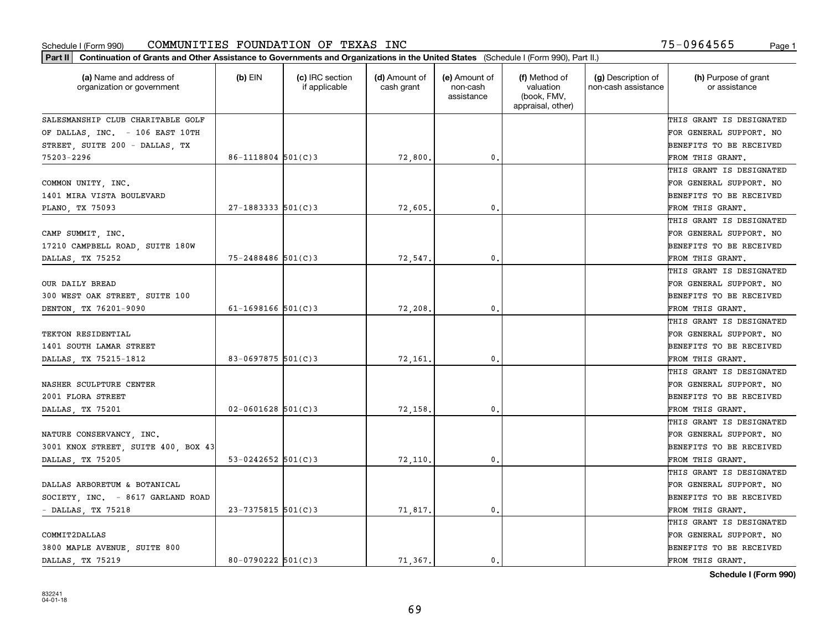| Part II   Continuation of Grants and Other Assistance to Governments and Organizations in the United States (Schedule I (Form 990), Part II.) |                          |                                  |                             |                                         |                                                                |                                           |                                       |
|-----------------------------------------------------------------------------------------------------------------------------------------------|--------------------------|----------------------------------|-----------------------------|-----------------------------------------|----------------------------------------------------------------|-------------------------------------------|---------------------------------------|
| (a) Name and address of<br>organization or government                                                                                         | $(b)$ EIN                | (c) IRC section<br>if applicable | (d) Amount of<br>cash grant | (e) Amount of<br>non-cash<br>assistance | (f) Method of<br>valuation<br>(book, FMV,<br>appraisal, other) | (g) Description of<br>non-cash assistance | (h) Purpose of grant<br>or assistance |
| SALESMANSHIP CLUB CHARITABLE GOLF                                                                                                             |                          |                                  |                             |                                         |                                                                |                                           | THIS GRANT IS DESIGNATED              |
| OF DALLAS, INC. - 106 EAST 10TH                                                                                                               |                          |                                  |                             |                                         |                                                                |                                           | FOR GENERAL SUPPORT. NO               |
| STREET, SUITE 200 - DALLAS, TX                                                                                                                |                          |                                  |                             |                                         |                                                                |                                           | BENEFITS TO BE RECEIVED               |
| 75203-2296                                                                                                                                    | $86 - 1118804$ 501(C)3   |                                  | 72,800.                     | 0.                                      |                                                                |                                           | FROM THIS GRANT.                      |
|                                                                                                                                               |                          |                                  |                             |                                         |                                                                |                                           | THIS GRANT IS DESIGNATED              |
| COMMON UNITY, INC.                                                                                                                            |                          |                                  |                             |                                         |                                                                |                                           | FOR GENERAL SUPPORT. NO               |
| 1401 MIRA VISTA BOULEVARD                                                                                                                     |                          |                                  |                             |                                         |                                                                |                                           | BENEFITS TO BE RECEIVED               |
| PLANO, TX 75093                                                                                                                               | $27 - 1883333$ $501(C)3$ |                                  | 72,605.                     | 0.                                      |                                                                |                                           | FROM THIS GRANT.                      |
|                                                                                                                                               |                          |                                  |                             |                                         |                                                                |                                           | THIS GRANT IS DESIGNATED              |
| CAMP SUMMIT, INC.                                                                                                                             |                          |                                  |                             |                                         |                                                                |                                           | FOR GENERAL SUPPORT. NO               |
| 17210 CAMPBELL ROAD, SUITE 180W                                                                                                               |                          |                                  |                             |                                         |                                                                |                                           | BENEFITS TO BE RECEIVED               |
| DALLAS, TX 75252                                                                                                                              | 75-2488486 501(C)3       |                                  | 72,547.                     | 0.                                      |                                                                |                                           | FROM THIS GRANT.                      |
|                                                                                                                                               |                          |                                  |                             |                                         |                                                                |                                           | THIS GRANT IS DESIGNATED              |
| OUR DAILY BREAD                                                                                                                               |                          |                                  |                             |                                         |                                                                |                                           | FOR GENERAL SUPPORT. NO               |
| 300 WEST OAK STREET, SUITE 100                                                                                                                |                          |                                  |                             |                                         |                                                                |                                           | <b>BENEFITS TO BE RECEIVED</b>        |
| DENTON, TX 76201-9090                                                                                                                         | 61-1698166 $501(C)3$     |                                  | 72,208.                     | 0.                                      |                                                                |                                           | FROM THIS GRANT.                      |
|                                                                                                                                               |                          |                                  |                             |                                         |                                                                |                                           | THIS GRANT IS DESIGNATED              |
| TEKTON RESIDENTIAL                                                                                                                            |                          |                                  |                             |                                         |                                                                |                                           | FOR GENERAL SUPPORT. NO               |
| 1401 SOUTH LAMAR STREET                                                                                                                       |                          |                                  |                             |                                         |                                                                |                                           | BENEFITS TO BE RECEIVED               |
| DALLAS, TX 75215-1812                                                                                                                         | 83-0697875 $501(C)3$     |                                  | 72,161.                     | 0.                                      |                                                                |                                           | FROM THIS GRANT.                      |
|                                                                                                                                               |                          |                                  |                             |                                         |                                                                |                                           | THIS GRANT IS DESIGNATED              |
| NASHER SCULPTURE CENTER                                                                                                                       |                          |                                  |                             |                                         |                                                                |                                           | FOR GENERAL SUPPORT. NO               |
| 2001 FLORA STREET                                                                                                                             |                          |                                  |                             |                                         |                                                                |                                           | <b>BENEFITS TO BE RECEIVED</b>        |
| DALLAS, TX 75201                                                                                                                              | $02 - 0601628$ 501(C)3   |                                  | 72,158.                     | 0.                                      |                                                                |                                           | FROM THIS GRANT.                      |
|                                                                                                                                               |                          |                                  |                             |                                         |                                                                |                                           | THIS GRANT IS DESIGNATED              |
| NATURE CONSERVANCY, INC.                                                                                                                      |                          |                                  |                             |                                         |                                                                |                                           | FOR GENERAL SUPPORT. NO               |
| 3001 KNOX STREET, SUITE 400, BOX 43                                                                                                           |                          |                                  |                             |                                         |                                                                |                                           | <b>BENEFITS TO BE RECEIVED</b>        |
| DALLAS, TX 75205                                                                                                                              | 53-0242652 $501(C)$ 3    |                                  | 72,110,                     | 0.                                      |                                                                |                                           | FROM THIS GRANT.                      |
|                                                                                                                                               |                          |                                  |                             |                                         |                                                                |                                           | THIS GRANT IS DESIGNATED              |
| DALLAS ARBORETUM & BOTANICAL                                                                                                                  |                          |                                  |                             |                                         |                                                                |                                           | FOR GENERAL SUPPORT. NO               |
| SOCIETY, INC. - 8617 GARLAND ROAD                                                                                                             |                          |                                  |                             |                                         |                                                                |                                           | BENEFITS TO BE RECEIVED               |
| - DALLAS, TX 75218                                                                                                                            | 23-7375815 501(C)3       |                                  | 71,817.                     | $\mathbf{0}$ .                          |                                                                |                                           | FROM THIS GRANT.                      |
|                                                                                                                                               |                          |                                  |                             |                                         |                                                                |                                           | THIS GRANT IS DESIGNATED              |
| COMMIT2DALLAS                                                                                                                                 |                          |                                  |                             |                                         |                                                                |                                           | FOR GENERAL SUPPORT. NO               |
| 3800 MAPLE AVENUE, SUITE 800                                                                                                                  |                          |                                  |                             |                                         |                                                                |                                           | <b>BENEFITS TO BE RECEIVED</b>        |
| DALLAS, TX 75219                                                                                                                              | $80 - 0790222$ 501(C)3   |                                  | 71.367.                     | $\mathbf{0}$ .                          |                                                                |                                           | FROM THIS GRANT.                      |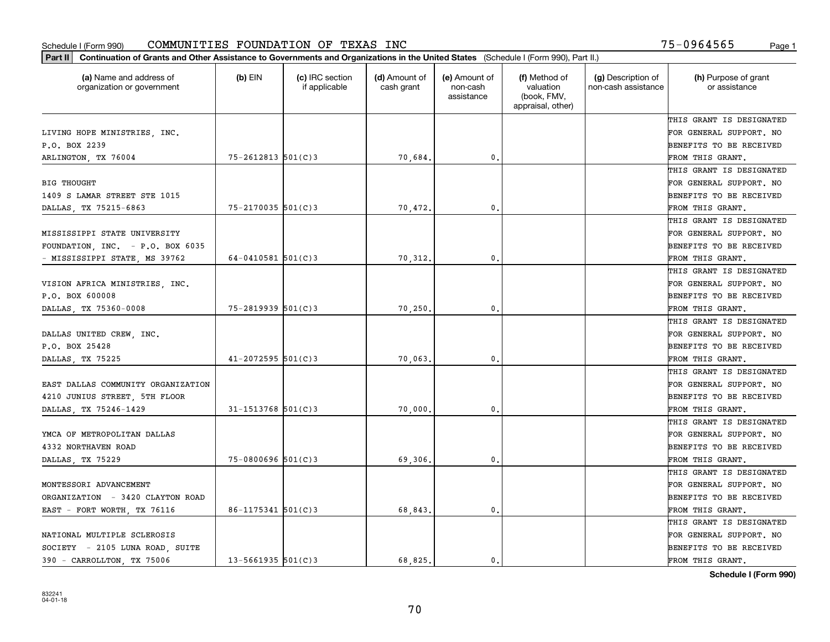| (a) Name and address of<br>organization or government | $(b)$ EIN              | (c) IRC section<br>if applicable | (d) Amount of<br>cash grant | (e) Amount of<br>non-cash<br>assistance | (f) Method of<br>valuation<br>(book, FMV,<br>appraisal, other) | (g) Description of<br>non-cash assistance | (h) Purpose of grant<br>or assistance |
|-------------------------------------------------------|------------------------|----------------------------------|-----------------------------|-----------------------------------------|----------------------------------------------------------------|-------------------------------------------|---------------------------------------|
|                                                       |                        |                                  |                             |                                         |                                                                |                                           | THIS GRANT IS DESIGNATED              |
| LIVING HOPE MINISTRIES, INC.                          |                        |                                  |                             |                                         |                                                                |                                           | FOR GENERAL SUPPORT. NO               |
| P.O. BOX 2239                                         |                        |                                  |                             |                                         |                                                                |                                           | BENEFITS TO BE RECEIVED               |
| ARLINGTON, TX 76004                                   | $75 - 2612813$ 501(C)3 |                                  | 70,684.                     | 0.                                      |                                                                |                                           | FROM THIS GRANT.                      |
|                                                       |                        |                                  |                             |                                         |                                                                |                                           | THIS GRANT IS DESIGNATED              |
| BIG THOUGHT                                           |                        |                                  |                             |                                         |                                                                |                                           | FOR GENERAL SUPPORT. NO               |
| 1409 S LAMAR STREET STE 1015                          |                        |                                  |                             |                                         |                                                                |                                           | BENEFITS TO BE RECEIVED               |
| DALLAS, TX 75215-6863                                 | $75 - 2170035$ 501(C)3 |                                  | 70,472.                     | 0.                                      |                                                                |                                           | FROM THIS GRANT.                      |
|                                                       |                        |                                  |                             |                                         |                                                                |                                           | THIS GRANT IS DESIGNATED              |
| MISSISSIPPI STATE UNIVERSITY                          |                        |                                  |                             |                                         |                                                                |                                           | FOR GENERAL SUPPORT. NO               |
| FOUNDATION, INC. - P.O. BOX 6035                      |                        |                                  |                             |                                         |                                                                |                                           | BENEFITS TO BE RECEIVED               |
| - MISSISSIPPI STATE, MS 39762                         | 64-0410581 $501(C)$ 3  |                                  | 70,312.                     | $\mathbf{0}$ .                          |                                                                |                                           | FROM THIS GRANT.                      |
|                                                       |                        |                                  |                             |                                         |                                                                |                                           | THIS GRANT IS DESIGNATED              |
| VISION AFRICA MINISTRIES, INC.                        |                        |                                  |                             |                                         |                                                                |                                           | FOR GENERAL SUPPORT. NO               |
| P.O. BOX 600008                                       |                        |                                  |                             |                                         |                                                                |                                           | <b>BENEFITS TO BE RECEIVED</b>        |
| DALLAS, TX 75360-0008                                 | $75 - 2819939$ 501(C)3 |                                  | 70,250                      | 0.                                      |                                                                |                                           | FROM THIS GRANT.                      |
|                                                       |                        |                                  |                             |                                         |                                                                |                                           | THIS GRANT IS DESIGNATED              |
| DALLAS UNITED CREW, INC.                              |                        |                                  |                             |                                         |                                                                |                                           | FOR GENERAL SUPPORT. NO               |
| P.O. BOX 25428                                        |                        |                                  |                             |                                         |                                                                |                                           | BENEFITS TO BE RECEIVED               |
| DALLAS, TX 75225                                      | $41 - 2072595$ 501(C)3 |                                  | 70,063                      | 0.                                      |                                                                |                                           | FROM THIS GRANT.                      |
|                                                       |                        |                                  |                             |                                         |                                                                |                                           | THIS GRANT IS DESIGNATED              |
| EAST DALLAS COMMUNITY ORGANIZATION                    |                        |                                  |                             |                                         |                                                                |                                           | FOR GENERAL SUPPORT. NO               |
| 4210 JUNIUS STREET, 5TH FLOOR                         |                        |                                  |                             |                                         |                                                                |                                           | BENEFITS TO BE RECEIVED               |
| DALLAS, TX 75246-1429                                 | $31 - 1513768$ 501(C)3 |                                  | 70,000                      | 0.                                      |                                                                |                                           | FROM THIS GRANT.                      |
|                                                       |                        |                                  |                             |                                         |                                                                |                                           | THIS GRANT IS DESIGNATED              |
| YMCA OF METROPOLITAN DALLAS                           |                        |                                  |                             |                                         |                                                                |                                           | FOR GENERAL SUPPORT. NO               |
| 4332 NORTHAVEN ROAD                                   |                        |                                  |                             |                                         |                                                                |                                           | BENEFITS TO BE RECEIVED               |
| DALLAS, TX 75229                                      | $75 - 0800696$ 501(C)3 |                                  | 69,306                      | 0.                                      |                                                                |                                           | FROM THIS GRANT.                      |
|                                                       |                        |                                  |                             |                                         |                                                                |                                           | THIS GRANT IS DESIGNATED              |
| MONTESSORI ADVANCEMENT                                |                        |                                  |                             |                                         |                                                                |                                           | FOR GENERAL SUPPORT. NO               |
| ORGANIZATION - 3420 CLAYTON ROAD                      |                        |                                  |                             |                                         |                                                                |                                           | BENEFITS TO BE RECEIVED               |
| EAST - FORT WORTH, TX 76116                           | $86 - 1175341$ 501(C)3 |                                  | 68,843.                     | 0.                                      |                                                                |                                           | FROM THIS GRANT.                      |
|                                                       |                        |                                  |                             |                                         |                                                                |                                           | THIS GRANT IS DESIGNATED              |
| NATIONAL MULTIPLE SCLEROSIS                           |                        |                                  |                             |                                         |                                                                |                                           | FOR GENERAL SUPPORT. NO               |
| SOCIETY - 2105 LUNA ROAD, SUITE                       |                        |                                  |                             |                                         |                                                                |                                           | BENEFITS TO BE RECEIVED               |
| 390 - CARROLLTON, TX 75006                            | $13 - 5661935$ 501(C)3 |                                  | 68.825.                     | $\mathbf{0}$ .                          |                                                                |                                           | FROM THIS GRANT.                      |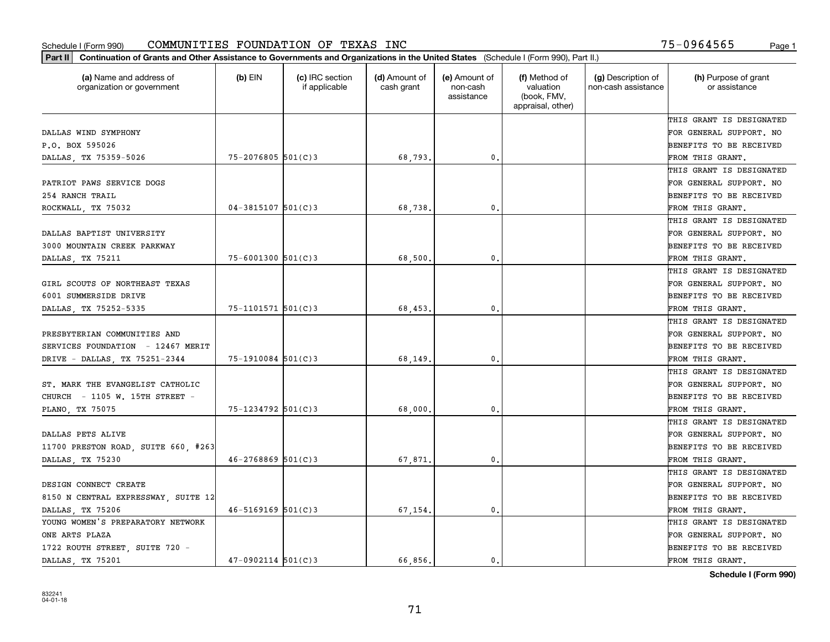| Part II   Continuation of Grants and Other Assistance to Governments and Organizations in the United States (Schedule I (Form 990), Part II.) |                          |                                  |                             |                                         |                                                                |                                           |                                       |
|-----------------------------------------------------------------------------------------------------------------------------------------------|--------------------------|----------------------------------|-----------------------------|-----------------------------------------|----------------------------------------------------------------|-------------------------------------------|---------------------------------------|
| (a) Name and address of<br>organization or government                                                                                         | $(b)$ EIN                | (c) IRC section<br>if applicable | (d) Amount of<br>cash grant | (e) Amount of<br>non-cash<br>assistance | (f) Method of<br>valuation<br>(book, FMV,<br>appraisal, other) | (g) Description of<br>non-cash assistance | (h) Purpose of grant<br>or assistance |
|                                                                                                                                               |                          |                                  |                             |                                         |                                                                |                                           | THIS GRANT IS DESIGNATED              |
| DALLAS WIND SYMPHONY                                                                                                                          |                          |                                  |                             |                                         |                                                                |                                           | FOR GENERAL SUPPORT. NO               |
| P.O. BOX 595026                                                                                                                               |                          |                                  |                             |                                         |                                                                |                                           | BENEFITS TO BE RECEIVED               |
| DALLAS, TX 75359-5026                                                                                                                         | $75 - 2076805$ 501(C)3   |                                  | 68,793.                     | 0.                                      |                                                                |                                           | FROM THIS GRANT.                      |
|                                                                                                                                               |                          |                                  |                             |                                         |                                                                |                                           | THIS GRANT IS DESIGNATED              |
| PATRIOT PAWS SERVICE DOGS                                                                                                                     |                          |                                  |                             |                                         |                                                                |                                           | FOR GENERAL SUPPORT. NO               |
| 254 RANCH TRAIL                                                                                                                               |                          |                                  |                             |                                         |                                                                |                                           | BENEFITS TO BE RECEIVED               |
| ROCKWALL, TX 75032                                                                                                                            | $04 - 3815107$ 501(C)3   |                                  | 68,738,                     | 0.                                      |                                                                |                                           | FROM THIS GRANT.                      |
|                                                                                                                                               |                          |                                  |                             |                                         |                                                                |                                           | THIS GRANT IS DESIGNATED              |
| DALLAS BAPTIST UNIVERSITY                                                                                                                     |                          |                                  |                             |                                         |                                                                |                                           | FOR GENERAL SUPPORT. NO               |
| 3000 MOUNTAIN CREEK PARKWAY                                                                                                                   |                          |                                  |                             |                                         |                                                                |                                           | BENEFITS TO BE RECEIVED               |
| DALLAS, TX 75211                                                                                                                              | $75 - 6001300$ 501(C)3   |                                  | 68,500.                     | $\mathfrak{o}$ .                        |                                                                |                                           | FROM THIS GRANT.                      |
|                                                                                                                                               |                          |                                  |                             |                                         |                                                                |                                           | THIS GRANT IS DESIGNATED              |
| GIRL SCOUTS OF NORTHEAST TEXAS                                                                                                                |                          |                                  |                             |                                         |                                                                |                                           | FOR GENERAL SUPPORT. NO               |
| 6001 SUMMERSIDE DRIVE                                                                                                                         |                          |                                  |                             |                                         |                                                                |                                           | <b>BENEFITS TO BE RECEIVED</b>        |
| DALLAS, TX 75252-5335                                                                                                                         | $75 - 1101571$ 501(C)3   |                                  | 68,453.                     | $\mathbf{0}$ .                          |                                                                |                                           | FROM THIS GRANT.                      |
|                                                                                                                                               |                          |                                  |                             |                                         |                                                                |                                           | THIS GRANT IS DESIGNATED              |
| PRESBYTERIAN COMMUNITIES AND                                                                                                                  |                          |                                  |                             |                                         |                                                                |                                           | FOR GENERAL SUPPORT. NO               |
| SERVICES FOUNDATION - 12467 MERIT                                                                                                             |                          |                                  |                             |                                         |                                                                |                                           | BENEFITS TO BE RECEIVED               |
| DRIVE - DALLAS, TX 75251-2344                                                                                                                 | $75 - 1910084$ 501(C)3   |                                  | 68,149.                     | 0.                                      |                                                                |                                           | FROM THIS GRANT.                      |
|                                                                                                                                               |                          |                                  |                             |                                         |                                                                |                                           | THIS GRANT IS DESIGNATED              |
| ST. MARK THE EVANGELIST CATHOLIC                                                                                                              |                          |                                  |                             |                                         |                                                                |                                           | FOR GENERAL SUPPORT. NO               |
| CHURCH - 1105 W. 15TH STREET -                                                                                                                |                          |                                  |                             |                                         |                                                                |                                           | BENEFITS TO BE RECEIVED               |
| PLANO, TX 75075                                                                                                                               | $75 - 1234792$ 501(C)3   |                                  | 68,000,                     | $\mathfrak{o}$ .                        |                                                                |                                           | FROM THIS GRANT.                      |
|                                                                                                                                               |                          |                                  |                             |                                         |                                                                |                                           | THIS GRANT IS DESIGNATED              |
| DALLAS PETS ALIVE                                                                                                                             |                          |                                  |                             |                                         |                                                                |                                           | FOR GENERAL SUPPORT. NO               |
| 11700 PRESTON ROAD, SUITE 660, #263                                                                                                           |                          |                                  |                             |                                         |                                                                |                                           | BENEFITS TO BE RECEIVED               |
| DALLAS, TX 75230                                                                                                                              | $46 - 2768869$ 501(C)3   |                                  | 67,871.                     | $\mathfrak{o}$ .                        |                                                                |                                           | FROM THIS GRANT.                      |
|                                                                                                                                               |                          |                                  |                             |                                         |                                                                |                                           | THIS GRANT IS DESIGNATED              |
| DESIGN CONNECT CREATE                                                                                                                         |                          |                                  |                             |                                         |                                                                |                                           | FOR GENERAL SUPPORT. NO               |
| 8150 N CENTRAL EXPRESSWAY, SUITE 12                                                                                                           |                          |                                  |                             |                                         |                                                                |                                           | BENEFITS TO BE RECEIVED               |
| DALLAS, TX 75206                                                                                                                              | $46 - 5169169$ $501(C)3$ |                                  | 67,154.                     | $\mathbf{0}$ .                          |                                                                |                                           | FROM THIS GRANT.                      |
| YOUNG WOMEN'S PREPARATORY NETWORK                                                                                                             |                          |                                  |                             |                                         |                                                                |                                           | THIS GRANT IS DESIGNATED              |
| ONE ARTS PLAZA                                                                                                                                |                          |                                  |                             |                                         |                                                                |                                           | FOR GENERAL SUPPORT. NO               |
| 1722 ROUTH STREET, SUITE 720 -                                                                                                                |                          |                                  |                             |                                         |                                                                |                                           | <b>BENEFITS TO BE RECEIVED</b>        |
| DALLAS, TX 75201                                                                                                                              | $47-0902114$ 501(C)3     |                                  | 66.856.                     | 0.                                      |                                                                |                                           | FROM THIS GRANT.                      |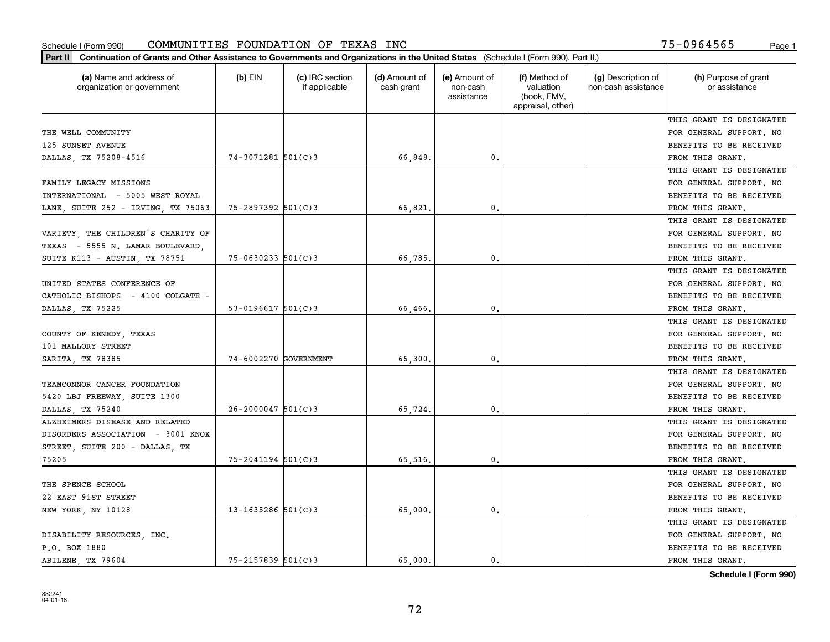| Part II   Continuation of Grants and Other Assistance to Governments and Organizations in the United States (Schedule I (Form 990), Part II.) |                        |                                  |                             |                                         |                                                                |                                           |                                       |
|-----------------------------------------------------------------------------------------------------------------------------------------------|------------------------|----------------------------------|-----------------------------|-----------------------------------------|----------------------------------------------------------------|-------------------------------------------|---------------------------------------|
| (a) Name and address of<br>organization or government                                                                                         | $(b)$ EIN              | (c) IRC section<br>if applicable | (d) Amount of<br>cash grant | (e) Amount of<br>non-cash<br>assistance | (f) Method of<br>valuation<br>(book, FMV,<br>appraisal, other) | (g) Description of<br>non-cash assistance | (h) Purpose of grant<br>or assistance |
|                                                                                                                                               |                        |                                  |                             |                                         |                                                                |                                           | THIS GRANT IS DESIGNATED              |
| THE WELL COMMUNITY                                                                                                                            |                        |                                  |                             |                                         |                                                                |                                           | FOR GENERAL SUPPORT. NO               |
| 125 SUNSET AVENUE                                                                                                                             |                        |                                  |                             |                                         |                                                                |                                           | <b>BENEFITS TO BE RECEIVED</b>        |
| DALLAS, TX 75208-4516                                                                                                                         | $74 - 3071281$ 501(C)3 |                                  | 66,848.                     | 0.                                      |                                                                |                                           | FROM THIS GRANT.                      |
|                                                                                                                                               |                        |                                  |                             |                                         |                                                                |                                           | THIS GRANT IS DESIGNATED              |
| FAMILY LEGACY MISSIONS                                                                                                                        |                        |                                  |                             |                                         |                                                                |                                           | FOR GENERAL SUPPORT. NO               |
| INTERNATIONAL - 5005 WEST ROYAL                                                                                                               |                        |                                  |                             |                                         |                                                                |                                           | BENEFITS TO BE RECEIVED               |
| LANE, SUITE 252 - IRVING, TX 75063                                                                                                            | 75-2897392 501(C)3     |                                  | 66,821                      | 0.                                      |                                                                |                                           | FROM THIS GRANT.                      |
|                                                                                                                                               |                        |                                  |                             |                                         |                                                                |                                           | THIS GRANT IS DESIGNATED              |
| VARIETY, THE CHILDREN'S CHARITY OF                                                                                                            |                        |                                  |                             |                                         |                                                                |                                           | FOR GENERAL SUPPORT. NO               |
| TEXAS - 5555 N. LAMAR BOULEVARD,                                                                                                              |                        |                                  |                             |                                         |                                                                |                                           | BENEFITS TO BE RECEIVED               |
| SUITE K113 - AUSTIN, TX 78751                                                                                                                 | $75 - 0630233$ 501(C)3 |                                  | 66,785.                     | $^{\rm 0}$ .                            |                                                                |                                           | FROM THIS GRANT.                      |
|                                                                                                                                               |                        |                                  |                             |                                         |                                                                |                                           | THIS GRANT IS DESIGNATED              |
| UNITED STATES CONFERENCE OF                                                                                                                   |                        |                                  |                             |                                         |                                                                |                                           | FOR GENERAL SUPPORT. NO               |
| CATHOLIC BISHOPS - 4100 COLGATE -                                                                                                             |                        |                                  |                             |                                         |                                                                |                                           | <b>BENEFITS TO BE RECEIVED</b>        |
| DALLAS, TX 75225                                                                                                                              | $53 - 0196617$ 501(C)3 |                                  | 66,466.                     | 0.                                      |                                                                |                                           | FROM THIS GRANT.                      |
|                                                                                                                                               |                        |                                  |                             |                                         |                                                                |                                           | THIS GRANT IS DESIGNATED              |
| COUNTY OF KENEDY, TEXAS                                                                                                                       |                        |                                  |                             |                                         |                                                                |                                           | FOR GENERAL SUPPORT. NO               |
| 101 MALLORY STREET                                                                                                                            |                        |                                  |                             |                                         |                                                                |                                           | <b>BENEFITS TO BE RECEIVED</b>        |
| SARITA, TX 78385                                                                                                                              | 74-6002270 GOVERNMENT  |                                  | 66,300                      | 0.                                      |                                                                |                                           | FROM THIS GRANT.                      |
|                                                                                                                                               |                        |                                  |                             |                                         |                                                                |                                           | THIS GRANT IS DESIGNATED              |
| TEAMCONNOR CANCER FOUNDATION                                                                                                                  |                        |                                  |                             |                                         |                                                                |                                           | FOR GENERAL SUPPORT. NO               |
| 5420 LBJ FREEWAY, SUITE 1300                                                                                                                  |                        |                                  |                             |                                         |                                                                |                                           | <b>BENEFITS TO BE RECEIVED</b>        |
| DALLAS, TX 75240                                                                                                                              | $26 - 2000047$ 501(C)3 |                                  | 65,724.                     | 0.                                      |                                                                |                                           | FROM THIS GRANT.                      |
| ALZHEIMERS DISEASE AND RELATED                                                                                                                |                        |                                  |                             |                                         |                                                                |                                           | THIS GRANT IS DESIGNATED              |
| DISORDERS ASSOCIATION - 3001 KNOX                                                                                                             |                        |                                  |                             |                                         |                                                                |                                           | FOR GENERAL SUPPORT. NO               |
| STREET, SUITE 200 - DALLAS, TX                                                                                                                |                        |                                  |                             |                                         |                                                                |                                           | <b>BENEFITS TO BE RECEIVED</b>        |
| 75205                                                                                                                                         | $75 - 2041194$ 501(C)3 |                                  | 65,516.                     | $^{\rm 0}$ .                            |                                                                |                                           | FROM THIS GRANT.                      |
|                                                                                                                                               |                        |                                  |                             |                                         |                                                                |                                           | THIS GRANT IS DESIGNATED              |
| THE SPENCE SCHOOL                                                                                                                             |                        |                                  |                             |                                         |                                                                |                                           | FOR GENERAL SUPPORT. NO               |
| 22 EAST 91ST STREET                                                                                                                           |                        |                                  |                             |                                         |                                                                |                                           | BENEFITS TO BE RECEIVED               |
| NEW YORK, NY 10128                                                                                                                            | 13-1635286 $501(C)$ 3  |                                  | 65,000.                     | 0.                                      |                                                                |                                           | FROM THIS GRANT.                      |
|                                                                                                                                               |                        |                                  |                             |                                         |                                                                |                                           | THIS GRANT IS DESIGNATED              |
| DISABILITY RESOURCES, INC.                                                                                                                    |                        |                                  |                             |                                         |                                                                |                                           | FOR GENERAL SUPPORT. NO               |
| P.O. BOX 1880                                                                                                                                 |                        |                                  |                             |                                         |                                                                |                                           | <b>BENEFITS TO BE RECEIVED</b>        |
| ABILENE, TX 79604                                                                                                                             | $75 - 2157839$ 501(C)3 |                                  | 65,000.                     | $\mathbf{0}$ .                          |                                                                |                                           | FROM THIS GRANT.                      |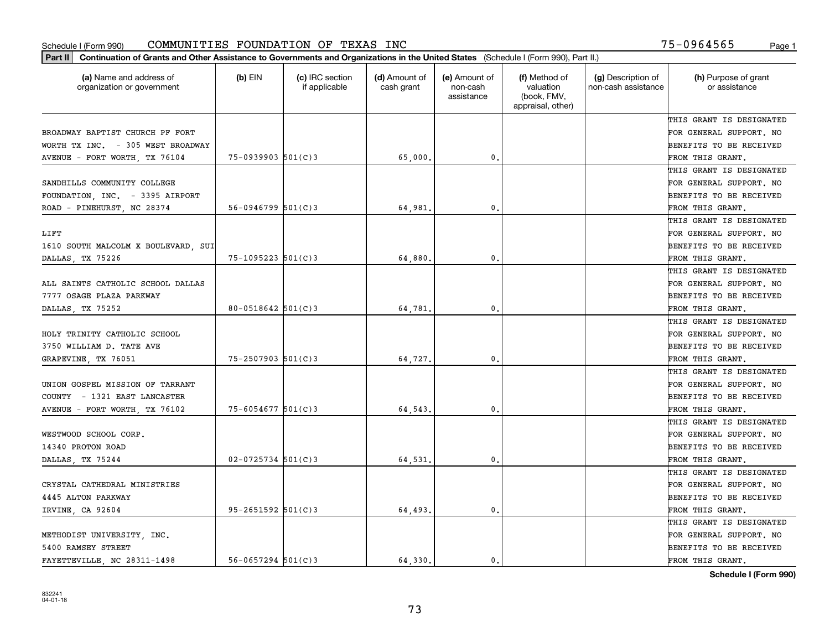| (a) Name and address of<br>organization or government | $(b)$ EIN                | (c) IRC section<br>if applicable | (d) Amount of<br>cash grant | (e) Amount of<br>non-cash<br>assistance | (f) Method of<br>valuation<br>(book, FMV,<br>appraisal, other) | (g) Description of<br>non-cash assistance | (h) Purpose of grant<br>or assistance |
|-------------------------------------------------------|--------------------------|----------------------------------|-----------------------------|-----------------------------------------|----------------------------------------------------------------|-------------------------------------------|---------------------------------------|
|                                                       |                          |                                  |                             |                                         |                                                                |                                           | THIS GRANT IS DESIGNATED              |
| BROADWAY BAPTIST CHURCH PF FORT                       |                          |                                  |                             |                                         |                                                                |                                           | FOR GENERAL SUPPORT. NO               |
| WORTH TX INC. - 305 WEST BROADWAY                     |                          |                                  |                             |                                         |                                                                |                                           | <b>BENEFITS TO BE RECEIVED</b>        |
| AVENUE - FORT WORTH, TX 76104                         | $75 - 0939903$ $501(C)3$ |                                  | 65,000,                     | 0.                                      |                                                                |                                           | FROM THIS GRANT.                      |
|                                                       |                          |                                  |                             |                                         |                                                                |                                           | THIS GRANT IS DESIGNATED              |
| SANDHILLS COMMUNITY COLLEGE                           |                          |                                  |                             |                                         |                                                                |                                           | FOR GENERAL SUPPORT. NO               |
| FOUNDATION, INC. - 3395 AIRPORT                       |                          |                                  |                             |                                         |                                                                |                                           | <b>BENEFITS TO BE RECEIVED</b>        |
| ROAD - PINEHURST, NC 28374                            | $56 - 0946799$ $501(C)3$ |                                  | 64,981                      | 0.                                      |                                                                |                                           | FROM THIS GRANT.                      |
|                                                       |                          |                                  |                             |                                         |                                                                |                                           | THIS GRANT IS DESIGNATED              |
| LIFT                                                  |                          |                                  |                             |                                         |                                                                |                                           | FOR GENERAL SUPPORT. NO               |
| 1610 SOUTH MALCOLM X BOULEVARD, SUI                   |                          |                                  |                             |                                         |                                                                |                                           | <b>BENEFITS TO BE RECEIVED</b>        |
| DALLAS, TX 75226                                      | $75 - 1095223$ $501(C)3$ |                                  | 64,880                      | 0.                                      |                                                                |                                           | FROM THIS GRANT.                      |
|                                                       |                          |                                  |                             |                                         |                                                                |                                           | THIS GRANT IS DESIGNATED              |
| ALL SAINTS CATHOLIC SCHOOL DALLAS                     |                          |                                  |                             |                                         |                                                                |                                           | FOR GENERAL SUPPORT. NO               |
| 7777 OSAGE PLAZA PARKWAY                              |                          |                                  |                             |                                         |                                                                |                                           | <b>BENEFITS TO BE RECEIVED</b>        |
| DALLAS, TX 75252                                      | $80 - 0518642$ 501(C)3   |                                  | 64,781                      | $\mathbf{0}$ .                          |                                                                |                                           | FROM THIS GRANT.                      |
|                                                       |                          |                                  |                             |                                         |                                                                |                                           | THIS GRANT IS DESIGNATED              |
| HOLY TRINITY CATHOLIC SCHOOL                          |                          |                                  |                             |                                         |                                                                |                                           | FOR GENERAL SUPPORT. NO               |
| 3750 WILLIAM D. TATE AVE                              |                          |                                  |                             |                                         |                                                                |                                           | <b>BENEFITS TO BE RECEIVED</b>        |
| GRAPEVINE, TX 76051                                   | $75 - 2507903$ 501(C)3   |                                  | 64,727.                     | 0.                                      |                                                                |                                           | FROM THIS GRANT.                      |
|                                                       |                          |                                  |                             |                                         |                                                                |                                           | THIS GRANT IS DESIGNATED              |
| UNION GOSPEL MISSION OF TARRANT                       |                          |                                  |                             |                                         |                                                                |                                           | FOR GENERAL SUPPORT. NO               |
| COUNTY - 1321 EAST LANCASTER                          |                          |                                  |                             |                                         |                                                                |                                           | <b>BENEFITS TO BE RECEIVED</b>        |
| AVENUE - FORT WORTH, TX 76102                         | $75 - 6054677$ 501(C) 3  |                                  | 64,543.                     | $\mathbf{0}$                            |                                                                |                                           | FROM THIS GRANT.                      |
|                                                       |                          |                                  |                             |                                         |                                                                |                                           | THIS GRANT IS DESIGNATED              |
| WESTWOOD SCHOOL CORP.                                 |                          |                                  |                             |                                         |                                                                |                                           | FOR GENERAL SUPPORT. NO               |
| 14340 PROTON ROAD                                     |                          |                                  |                             |                                         |                                                                |                                           | <b>BENEFITS TO BE RECEIVED</b>        |
| DALLAS, TX 75244                                      | $02 - 0725734$ 501(C)3   |                                  | 64,531                      | 0.                                      |                                                                |                                           | FROM THIS GRANT.                      |
|                                                       |                          |                                  |                             |                                         |                                                                |                                           | THIS GRANT IS DESIGNATED              |
| CRYSTAL CATHEDRAL MINISTRIES                          |                          |                                  |                             |                                         |                                                                |                                           | FOR GENERAL SUPPORT. NO               |
| 4445 ALTON PARKWAY                                    |                          |                                  |                             |                                         |                                                                |                                           | BENEFITS TO BE RECEIVED               |
| IRVINE, CA 92604                                      | $95 - 2651592$ $501(C)3$ |                                  | 64,493.                     | 0.                                      |                                                                |                                           | FROM THIS GRANT.                      |
|                                                       |                          |                                  |                             |                                         |                                                                |                                           | THIS GRANT IS DESIGNATED              |
| METHODIST UNIVERSITY, INC.                            |                          |                                  |                             |                                         |                                                                |                                           | FOR GENERAL SUPPORT. NO               |
| 5400 RAMSEY STREET                                    |                          |                                  |                             |                                         |                                                                |                                           | <b>BENEFITS TO BE RECEIVED</b>        |
| FAYETTEVILLE, NC 28311-1498                           | $56 - 0657294$ 501(C)3   |                                  | 64.330.                     | $\mathfrak{o}$ .                        |                                                                |                                           | FROM THIS GRANT.                      |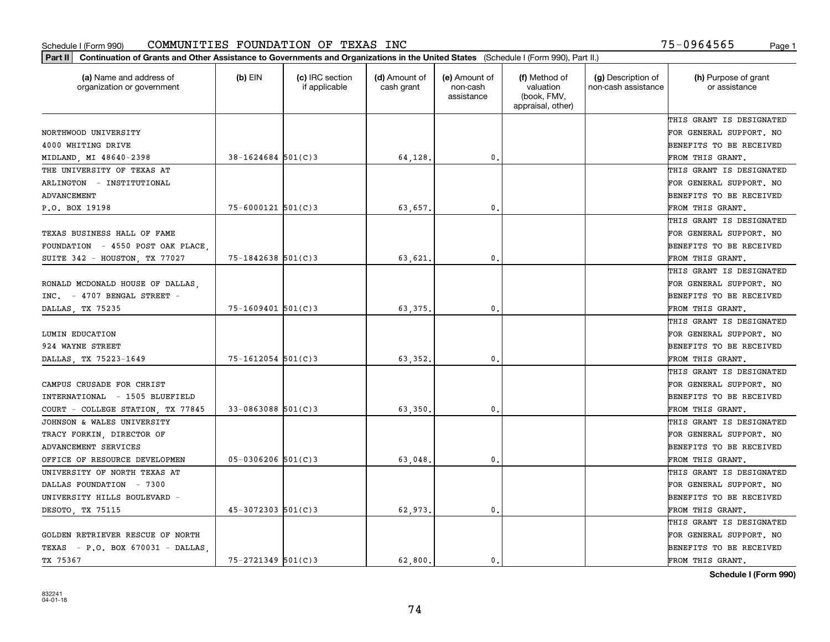| Part II   Continuation of Grants and Other Assistance to Governments and Organizations in the United States (Schedule I (Form 990), Part II.) |                        |                                  |                             |                                         |                                                                |                                           |                                       |
|-----------------------------------------------------------------------------------------------------------------------------------------------|------------------------|----------------------------------|-----------------------------|-----------------------------------------|----------------------------------------------------------------|-------------------------------------------|---------------------------------------|
| (a) Name and address of<br>organization or government                                                                                         | (b) $EIN$              | (c) IRC section<br>if applicable | (d) Amount of<br>cash grant | (e) Amount of<br>non-cash<br>assistance | (f) Method of<br>valuation<br>(book, FMV,<br>appraisal, other) | (g) Description of<br>non-cash assistance | (h) Purpose of grant<br>or assistance |
|                                                                                                                                               |                        |                                  |                             |                                         |                                                                |                                           | THIS GRANT IS DESIGNATED              |
| NORTHWOOD UNIVERSITY                                                                                                                          |                        |                                  |                             |                                         |                                                                |                                           | FOR GENERAL SUPPORT. NO               |
| 4000 WHITING DRIVE                                                                                                                            |                        |                                  |                             |                                         |                                                                |                                           | BENEFITS TO BE RECEIVED               |
| MIDLAND, MI 48640-2398                                                                                                                        | $38 - 1624684$ 501(C)3 |                                  | 64,128.                     | 0.                                      |                                                                |                                           | FROM THIS GRANT.                      |
| THE UNIVERSITY OF TEXAS AT                                                                                                                    |                        |                                  |                             |                                         |                                                                |                                           | THIS GRANT IS DESIGNATED              |
| ARLINGTON - INSTITUTIONAL                                                                                                                     |                        |                                  |                             |                                         |                                                                |                                           | FOR GENERAL SUPPORT. NO               |
| ADVANCEMENT                                                                                                                                   |                        |                                  |                             |                                         |                                                                |                                           | BENEFITS TO BE RECEIVED               |
| P.O. BOX 19198                                                                                                                                | $75 - 6000121$ 501(C)3 |                                  | 63,657,                     | 0.                                      |                                                                |                                           | FROM THIS GRANT.                      |
|                                                                                                                                               |                        |                                  |                             |                                         |                                                                |                                           | THIS GRANT IS DESIGNATED              |
| TEXAS BUSINESS HALL OF FAME                                                                                                                   |                        |                                  |                             |                                         |                                                                |                                           | FOR GENERAL SUPPORT. NO               |
| FOUNDATION - 4550 POST OAK PLACE,                                                                                                             |                        |                                  |                             |                                         |                                                                |                                           | BENEFITS TO BE RECEIVED               |
| SUITE 342 - HOUSTON, TX 77027                                                                                                                 | $75 - 1842638$ 501(C)3 |                                  | 63,621.                     | 0.                                      |                                                                |                                           | FROM THIS GRANT.                      |
|                                                                                                                                               |                        |                                  |                             |                                         |                                                                |                                           | THIS GRANT IS DESIGNATED              |
| RONALD MCDONALD HOUSE OF DALLAS,                                                                                                              |                        |                                  |                             |                                         |                                                                |                                           | FOR GENERAL SUPPORT. NO               |
| INC. - 4707 BENGAL STREET -                                                                                                                   |                        |                                  |                             |                                         |                                                                |                                           | <b>BENEFITS TO BE RECEIVED</b>        |
| DALLAS, TX 75235                                                                                                                              | $75 - 1609401$ 501(C)3 |                                  | 63,375.                     | 0.                                      |                                                                |                                           | FROM THIS GRANT.                      |
|                                                                                                                                               |                        |                                  |                             |                                         |                                                                |                                           | THIS GRANT IS DESIGNATED              |
| LUMIN EDUCATION                                                                                                                               |                        |                                  |                             |                                         |                                                                |                                           | FOR GENERAL SUPPORT. NO               |
| 924 WAYNE STREET                                                                                                                              |                        |                                  |                             |                                         |                                                                |                                           | BENEFITS TO BE RECEIVED               |
| DALLAS, TX 75223-1649                                                                                                                         | $75 - 1612054$ 501(C)3 |                                  | 63,352.                     | 0.                                      |                                                                |                                           | FROM THIS GRANT.                      |
|                                                                                                                                               |                        |                                  |                             |                                         |                                                                |                                           | THIS GRANT IS DESIGNATED              |
| CAMPUS CRUSADE FOR CHRIST                                                                                                                     |                        |                                  |                             |                                         |                                                                |                                           | FOR GENERAL SUPPORT. NO               |
| INTERNATIONAL - 1505 BLUEFIELD                                                                                                                |                        |                                  |                             |                                         |                                                                |                                           | BENEFITS TO BE RECEIVED               |
| COURT - COLLEGE STATION, TX 77845                                                                                                             | $33 - 0863088$ 501(C)3 |                                  | 63,350                      | 0.                                      |                                                                |                                           | FROM THIS GRANT.                      |
| JOHNSON & WALES UNIVERSITY                                                                                                                    |                        |                                  |                             |                                         |                                                                |                                           | THIS GRANT IS DESIGNATED              |
| TRACY FORKIN, DIRECTOR OF                                                                                                                     |                        |                                  |                             |                                         |                                                                |                                           | FOR GENERAL SUPPORT. NO               |
| ADVANCEMENT SERVICES                                                                                                                          |                        |                                  |                             |                                         |                                                                |                                           | <b>BENEFITS TO BE RECEIVED</b>        |
| OFFICE OF RESOURCE DEVELOPMEN                                                                                                                 | $05 - 0306206$ 501(C)3 |                                  | 63,048                      | 0.                                      |                                                                |                                           | FROM THIS GRANT.                      |
| UNIVERSITY OF NORTH TEXAS AT                                                                                                                  |                        |                                  |                             |                                         |                                                                |                                           | THIS GRANT IS DESIGNATED              |
| DALLAS FOUNDATION - 7300                                                                                                                      |                        |                                  |                             |                                         |                                                                |                                           | FOR GENERAL SUPPORT. NO               |
| UNIVERSITY HILLS BOULEVARD -                                                                                                                  |                        |                                  |                             |                                         |                                                                |                                           | BENEFITS TO BE RECEIVED               |
| DESOTO TX 75115                                                                                                                               | $45 - 3072303$ 501(C)3 |                                  | 62,973.                     | 0.                                      |                                                                |                                           | FROM THIS GRANT.                      |
|                                                                                                                                               |                        |                                  |                             |                                         |                                                                |                                           | THIS GRANT IS DESIGNATED              |
| GOLDEN RETRIEVER RESCUE OF NORTH                                                                                                              |                        |                                  |                             |                                         |                                                                |                                           | FOR GENERAL SUPPORT. NO               |
| TEXAS - P.O. BOX 670031 - DALLAS                                                                                                              |                        |                                  |                             |                                         |                                                                |                                           | <b>BENEFITS TO BE RECEIVED</b>        |
| TX 75367                                                                                                                                      | $75 - 2721349$ 501(C)3 |                                  | 62,800.                     | $\mathbf{0}$ .                          |                                                                |                                           | FROM THIS GRANT.                      |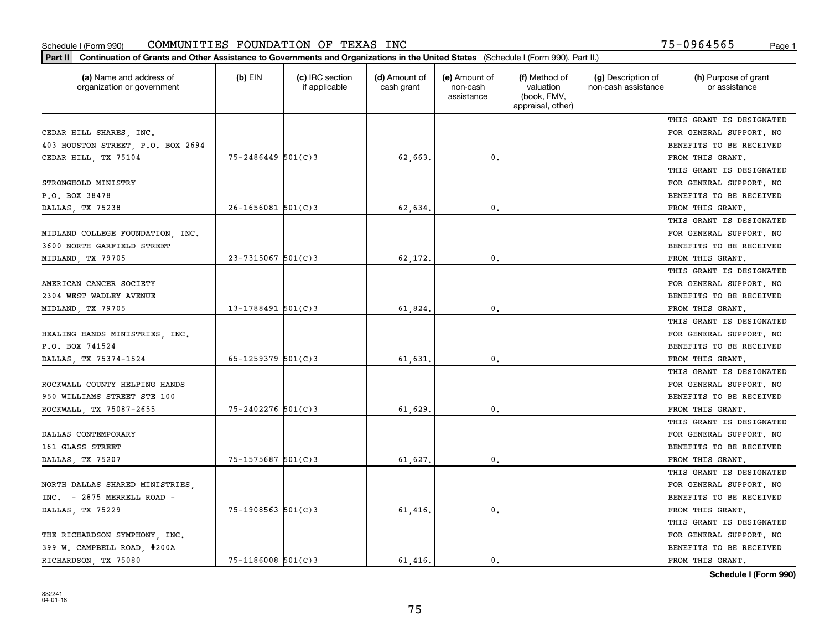| Part II   Continuation of Grants and Other Assistance to Governments and Organizations in the United States (Schedule I (Form 990), Part II.) |                        |                                  |                             |                                         |                                                                |                                           |                                       |
|-----------------------------------------------------------------------------------------------------------------------------------------------|------------------------|----------------------------------|-----------------------------|-----------------------------------------|----------------------------------------------------------------|-------------------------------------------|---------------------------------------|
| (a) Name and address of<br>organization or government                                                                                         | $(b)$ EIN              | (c) IRC section<br>if applicable | (d) Amount of<br>cash grant | (e) Amount of<br>non-cash<br>assistance | (f) Method of<br>valuation<br>(book, FMV,<br>appraisal, other) | (g) Description of<br>non-cash assistance | (h) Purpose of grant<br>or assistance |
|                                                                                                                                               |                        |                                  |                             |                                         |                                                                |                                           | THIS GRANT IS DESIGNATED              |
| CEDAR HILL SHARES, INC.                                                                                                                       |                        |                                  |                             |                                         |                                                                |                                           | FOR GENERAL SUPPORT. NO               |
| 403 HOUSTON STREET, P.O. BOX 2694                                                                                                             |                        |                                  |                             |                                         |                                                                |                                           | <b>BENEFITS TO BE RECEIVED</b>        |
| CEDAR HILL, TX 75104                                                                                                                          | $75 - 2486449$ 501(C)3 |                                  | 62,663.                     | 0.                                      |                                                                |                                           | FROM THIS GRANT.                      |
|                                                                                                                                               |                        |                                  |                             |                                         |                                                                |                                           | THIS GRANT IS DESIGNATED              |
| STRONGHOLD MINISTRY                                                                                                                           |                        |                                  |                             |                                         |                                                                |                                           | FOR GENERAL SUPPORT. NO               |
| P.O. BOX 38478                                                                                                                                |                        |                                  |                             |                                         |                                                                |                                           | BENEFITS TO BE RECEIVED               |
| DALLAS, TX 75238                                                                                                                              | $26 - 1656081$ 501(C)3 |                                  | 62,634.                     | 0.                                      |                                                                |                                           | FROM THIS GRANT.                      |
|                                                                                                                                               |                        |                                  |                             |                                         |                                                                |                                           | THIS GRANT IS DESIGNATED              |
| MIDLAND COLLEGE FOUNDATION, INC.                                                                                                              |                        |                                  |                             |                                         |                                                                |                                           | FOR GENERAL SUPPORT. NO               |
| 3600 NORTH GARFIELD STREET                                                                                                                    |                        |                                  |                             |                                         |                                                                |                                           | BENEFITS TO BE RECEIVED               |
| MIDLAND, TX 79705                                                                                                                             | $23 - 7315067$ 501(C)3 |                                  | 62,172.                     | $^{\rm 0}$ .                            |                                                                |                                           | FROM THIS GRANT.                      |
|                                                                                                                                               |                        |                                  |                             |                                         |                                                                |                                           | THIS GRANT IS DESIGNATED              |
| AMERICAN CANCER SOCIETY                                                                                                                       |                        |                                  |                             |                                         |                                                                |                                           | FOR GENERAL SUPPORT. NO               |
| 2304 WEST WADLEY AVENUE                                                                                                                       |                        |                                  |                             |                                         |                                                                |                                           | <b>BENEFITS TO BE RECEIVED</b>        |
| MIDLAND, TX 79705                                                                                                                             | $13 - 1788491$ 501(C)3 |                                  | 61,824.                     | 0.                                      |                                                                |                                           | FROM THIS GRANT.                      |
|                                                                                                                                               |                        |                                  |                             |                                         |                                                                |                                           | THIS GRANT IS DESIGNATED              |
| HEALING HANDS MINISTRIES, INC.                                                                                                                |                        |                                  |                             |                                         |                                                                |                                           | FOR GENERAL SUPPORT. NO               |
| P.O. BOX 741524                                                                                                                               |                        |                                  |                             |                                         |                                                                |                                           | <b>BENEFITS TO BE RECEIVED</b>        |
| DALLAS, TX 75374-1524                                                                                                                         | 65-1259379 $501(C)$ 3  |                                  | 61,631                      | 0.                                      |                                                                |                                           | FROM THIS GRANT.                      |
|                                                                                                                                               |                        |                                  |                             |                                         |                                                                |                                           | THIS GRANT IS DESIGNATED              |
| ROCKWALL COUNTY HELPING HANDS                                                                                                                 |                        |                                  |                             |                                         |                                                                |                                           | FOR GENERAL SUPPORT. NO               |
| 950 WILLIAMS STREET STE 100                                                                                                                   |                        |                                  |                             |                                         |                                                                |                                           | <b>BENEFITS TO BE RECEIVED</b>        |
| ROCKWALL, TX 75087-2655                                                                                                                       | $75 - 2402276$ 501(C)3 |                                  | 61,629                      | 0.                                      |                                                                |                                           | FROM THIS GRANT.                      |
|                                                                                                                                               |                        |                                  |                             |                                         |                                                                |                                           | THIS GRANT IS DESIGNATED              |
| DALLAS CONTEMPORARY                                                                                                                           |                        |                                  |                             |                                         |                                                                |                                           | FOR GENERAL SUPPORT. NO               |
| 161 GLASS STREET                                                                                                                              |                        |                                  |                             |                                         |                                                                |                                           | BENEFITS TO BE RECEIVED               |
| DALLAS, TX 75207                                                                                                                              | $75 - 1575687$ 501(C)3 |                                  | 61,627.                     | $\mathfrak{o}$ .                        |                                                                |                                           | FROM THIS GRANT.                      |
|                                                                                                                                               |                        |                                  |                             |                                         |                                                                |                                           | THIS GRANT IS DESIGNATED              |
| NORTH DALLAS SHARED MINISTRIES,                                                                                                               |                        |                                  |                             |                                         |                                                                |                                           | FOR GENERAL SUPPORT. NO               |
| INC. - 2875 MERRELL ROAD -                                                                                                                    |                        |                                  |                             |                                         |                                                                |                                           | BENEFITS TO BE RECEIVED               |
| DALLAS, TX 75229                                                                                                                              | $75 - 1908563$ 501(C)3 |                                  | 61,416.                     | $\mathbf{0}$ .                          |                                                                |                                           | FROM THIS GRANT.                      |
|                                                                                                                                               |                        |                                  |                             |                                         |                                                                |                                           | THIS GRANT IS DESIGNATED              |
| THE RICHARDSON SYMPHONY INC.                                                                                                                  |                        |                                  |                             |                                         |                                                                |                                           | FOR GENERAL SUPPORT. NO               |
| 399 W. CAMPBELL ROAD, #200A                                                                                                                   |                        |                                  |                             |                                         |                                                                |                                           | <b>BENEFITS TO BE RECEIVED</b>        |
| RICHARDSON, TX 75080                                                                                                                          | $75 - 1186008$ 501(C)3 |                                  | 61.416.                     | $\mathbf{0}$ .                          |                                                                |                                           | FROM THIS GRANT.                      |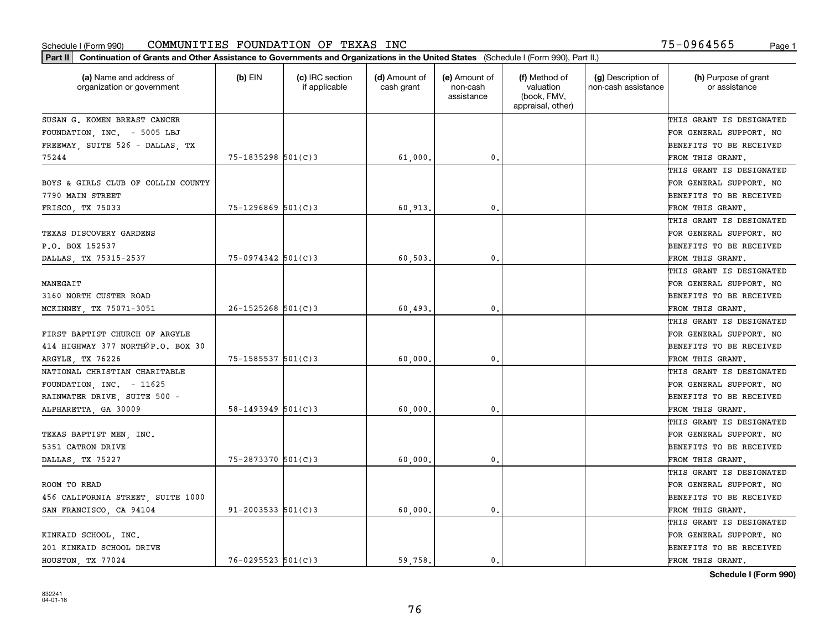| (a) Name and address of<br>organization or government | $(b)$ EIN                | (c) IRC section<br>if applicable | (d) Amount of<br>cash grant | (e) Amount of<br>non-cash<br>assistance | (f) Method of<br>valuation<br>(book, FMV,<br>appraisal, other) | (g) Description of<br>non-cash assistance | (h) Purpose of grant<br>or assistance |
|-------------------------------------------------------|--------------------------|----------------------------------|-----------------------------|-----------------------------------------|----------------------------------------------------------------|-------------------------------------------|---------------------------------------|
| SUSAN G. KOMEN BREAST CANCER                          |                          |                                  |                             |                                         |                                                                |                                           | THIS GRANT IS DESIGNATED              |
| FOUNDATION, INC. - 5005 LBJ                           |                          |                                  |                             |                                         |                                                                |                                           | FOR GENERAL SUPPORT. NO               |
| FREEWAY, SUITE 526 - DALLAS, TX                       |                          |                                  |                             |                                         |                                                                |                                           | BENEFITS TO BE RECEIVED               |
| 75244                                                 | $75 - 1835298$ 501(C)3   |                                  | 61,000.                     | 0.                                      |                                                                |                                           | FROM THIS GRANT.                      |
|                                                       |                          |                                  |                             |                                         |                                                                |                                           | THIS GRANT IS DESIGNATED              |
| BOYS & GIRLS CLUB OF COLLIN COUNTY                    |                          |                                  |                             |                                         |                                                                |                                           | FOR GENERAL SUPPORT. NO               |
| 7790 MAIN STREET                                      |                          |                                  |                             |                                         |                                                                |                                           | BENEFITS TO BE RECEIVED               |
| FRISCO, TX 75033                                      | $75 - 1296869$ $501(C)3$ |                                  | 60,913                      | $\mathbf{0}$                            |                                                                |                                           | FROM THIS GRANT.                      |
|                                                       |                          |                                  |                             |                                         |                                                                |                                           | THIS GRANT IS DESIGNATED              |
| TEXAS DISCOVERY GARDENS                               |                          |                                  |                             |                                         |                                                                |                                           | FOR GENERAL SUPPORT. NO               |
| P.O. BOX 152537                                       |                          |                                  |                             |                                         |                                                                |                                           | BENEFITS TO BE RECEIVED               |
| DALLAS, TX 75315-2537                                 | 75-0974342 501(C)3       |                                  | 60,503                      | $\mathbf{0}$ .                          |                                                                |                                           | FROM THIS GRANT.                      |
|                                                       |                          |                                  |                             |                                         |                                                                |                                           | THIS GRANT IS DESIGNATED              |
| MANEGAIT                                              |                          |                                  |                             |                                         |                                                                |                                           | FOR GENERAL SUPPORT. NO               |
| 3160 NORTH CUSTER ROAD                                |                          |                                  |                             |                                         |                                                                |                                           | BENEFITS TO BE RECEIVED               |
| MCKINNEY, TX 75071-3051                               | $26 - 1525268$ 501(C)3   |                                  | 60,493                      | $\mathbf{0}$                            |                                                                |                                           | FROM THIS GRANT.                      |
|                                                       |                          |                                  |                             |                                         |                                                                |                                           | THIS GRANT IS DESIGNATED              |
| FIRST BAPTIST CHURCH OF ARGYLE                        |                          |                                  |                             |                                         |                                                                |                                           | FOR GENERAL SUPPORT. NO               |
| 414 HIGHWAY 377 NORTHOP.O. BOX 30                     |                          |                                  |                             |                                         |                                                                |                                           | BENEFITS TO BE RECEIVED               |
| ARGYLE, TX 76226                                      | 75-1585537 501(C)3       |                                  | 60,000                      | $\mathbf{0}$                            |                                                                |                                           | FROM THIS GRANT.                      |
| NATIONAL CHRISTIAN CHARITABLE                         |                          |                                  |                             |                                         |                                                                |                                           | THIS GRANT IS DESIGNATED              |
| FOUNDATION, INC. $-11625$                             |                          |                                  |                             |                                         |                                                                |                                           | FOR GENERAL SUPPORT. NO               |
| RAINWATER DRIVE, SUITE 500 -                          |                          |                                  |                             |                                         |                                                                |                                           | BENEFITS TO BE RECEIVED               |
| ALPHARETTA, GA 30009                                  | $58 - 1493949$ $501(C)3$ |                                  | 60,000                      | $\mathbf{0}$                            |                                                                |                                           | FROM THIS GRANT.                      |
|                                                       |                          |                                  |                             |                                         |                                                                |                                           | THIS GRANT IS DESIGNATED              |
| TEXAS BAPTIST MEN, INC.                               |                          |                                  |                             |                                         |                                                                |                                           | FOR GENERAL SUPPORT. NO               |
| 5351 CATRON DRIVE                                     |                          |                                  |                             |                                         |                                                                |                                           | BENEFITS TO BE RECEIVED               |
| DALLAS, TX 75227                                      | 75-2873370 501(C)3       |                                  | 60,000                      | $\mathbf{0}$ .                          |                                                                |                                           | FROM THIS GRANT.                      |
|                                                       |                          |                                  |                             |                                         |                                                                |                                           | THIS GRANT IS DESIGNATED              |
| ROOM TO READ                                          |                          |                                  |                             |                                         |                                                                |                                           | FOR GENERAL SUPPORT. NO               |
| 456 CALIFORNIA STREET, SUITE 1000                     |                          |                                  |                             |                                         |                                                                |                                           | BENEFITS TO BE RECEIVED               |
| SAN FRANCISCO, CA 94104                               | $91 - 2003533$ $501(C)3$ |                                  | 60,000,                     | $\mathbf{0}$ .                          |                                                                |                                           | FROM THIS GRANT.                      |
|                                                       |                          |                                  |                             |                                         |                                                                |                                           | THIS GRANT IS DESIGNATED              |
| KINKAID SCHOOL, INC.                                  |                          |                                  |                             |                                         |                                                                |                                           | FOR GENERAL SUPPORT. NO               |
| 201 KINKAID SCHOOL DRIVE                              |                          |                                  |                             |                                         |                                                                |                                           | BENEFITS TO BE RECEIVED               |
| HOUSTON, TX 77024                                     | $76 - 0295523$ 501(C)3   |                                  | 59.758.                     | 0.                                      |                                                                |                                           | FROM THIS GRANT.                      |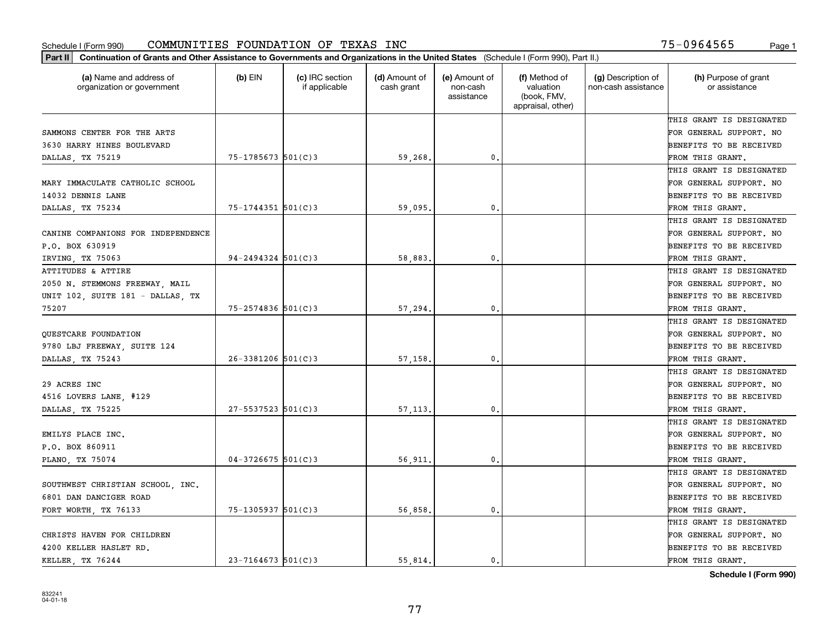| Part II   Continuation of Grants and Other Assistance to Governments and Organizations in the United States (Schedule I (Form 990), Part II.) |                        |                                  |                             |                                         |                                                                |                                           |                                       |
|-----------------------------------------------------------------------------------------------------------------------------------------------|------------------------|----------------------------------|-----------------------------|-----------------------------------------|----------------------------------------------------------------|-------------------------------------------|---------------------------------------|
| (a) Name and address of<br>organization or government                                                                                         | $(b)$ EIN              | (c) IRC section<br>if applicable | (d) Amount of<br>cash grant | (e) Amount of<br>non-cash<br>assistance | (f) Method of<br>valuation<br>(book, FMV,<br>appraisal, other) | (g) Description of<br>non-cash assistance | (h) Purpose of grant<br>or assistance |
|                                                                                                                                               |                        |                                  |                             |                                         |                                                                |                                           | THIS GRANT IS DESIGNATED              |
| SAMMONS CENTER FOR THE ARTS                                                                                                                   |                        |                                  |                             |                                         |                                                                |                                           | FOR GENERAL SUPPORT. NO               |
| 3630 HARRY HINES BOULEVARD                                                                                                                    |                        |                                  |                             |                                         |                                                                |                                           | BENEFITS TO BE RECEIVED               |
| DALLAS, TX 75219                                                                                                                              | $75 - 1785673$ 501(C)3 |                                  | 59,268.                     | 0.                                      |                                                                |                                           | FROM THIS GRANT.                      |
|                                                                                                                                               |                        |                                  |                             |                                         |                                                                |                                           | THIS GRANT IS DESIGNATED              |
| MARY IMMACULATE CATHOLIC SCHOOL                                                                                                               |                        |                                  |                             |                                         |                                                                |                                           | FOR GENERAL SUPPORT. NO               |
| 14032 DENNIS LANE                                                                                                                             |                        |                                  |                             |                                         |                                                                |                                           | BENEFITS TO BE RECEIVED               |
| DALLAS, TX 75234                                                                                                                              | $75 - 1744351$ 501(C)3 |                                  | 59,095.                     | 0.                                      |                                                                |                                           | FROM THIS GRANT.                      |
|                                                                                                                                               |                        |                                  |                             |                                         |                                                                |                                           | THIS GRANT IS DESIGNATED              |
| CANINE COMPANIONS FOR INDEPENDENCE                                                                                                            |                        |                                  |                             |                                         |                                                                |                                           | FOR GENERAL SUPPORT. NO               |
| P.O. BOX 630919                                                                                                                               |                        |                                  |                             |                                         |                                                                |                                           | BENEFITS TO BE RECEIVED               |
| IRVING, TX 75063                                                                                                                              | $94 - 2494324$ 501(C)3 |                                  | 58,883.                     | 0.                                      |                                                                |                                           | FROM THIS GRANT.                      |
| ATTITUDES & ATTIRE                                                                                                                            |                        |                                  |                             |                                         |                                                                |                                           | THIS GRANT IS DESIGNATED              |
| 2050 N. STEMMONS FREEWAY, MAIL                                                                                                                |                        |                                  |                             |                                         |                                                                |                                           | FOR GENERAL SUPPORT. NO               |
| UNIT 102, SUITE 181 - DALLAS, TX                                                                                                              |                        |                                  |                             |                                         |                                                                |                                           | <b>BENEFITS TO BE RECEIVED</b>        |
| 75207                                                                                                                                         | 75-2574836 501(C)3     |                                  | 57,294.                     | $\mathbf{0}$ .                          |                                                                |                                           | FROM THIS GRANT.                      |
|                                                                                                                                               |                        |                                  |                             |                                         |                                                                |                                           | THIS GRANT IS DESIGNATED              |
| QUESTCARE FOUNDATION                                                                                                                          |                        |                                  |                             |                                         |                                                                |                                           | FOR GENERAL SUPPORT. NO               |
| 9780 LBJ FREEWAY, SUITE 124                                                                                                                   |                        |                                  |                             |                                         |                                                                |                                           | BENEFITS TO BE RECEIVED               |
| DALLAS, TX 75243                                                                                                                              | $26 - 3381206$ 501(C)3 |                                  | 57,158.                     | 0.                                      |                                                                |                                           | FROM THIS GRANT.                      |
|                                                                                                                                               |                        |                                  |                             |                                         |                                                                |                                           | THIS GRANT IS DESIGNATED              |
| 29 ACRES INC                                                                                                                                  |                        |                                  |                             |                                         |                                                                |                                           | FOR GENERAL SUPPORT. NO               |
| 4516 LOVERS LANE, #129                                                                                                                        |                        |                                  |                             |                                         |                                                                |                                           | BENEFITS TO BE RECEIVED               |
| DALLAS, TX 75225                                                                                                                              | $27 - 5537523$ 501(C)3 |                                  | 57,113.                     | $\mathfrak{o}$ .                        |                                                                |                                           | FROM THIS GRANT.                      |
|                                                                                                                                               |                        |                                  |                             |                                         |                                                                |                                           | THIS GRANT IS DESIGNATED              |
| EMILYS PLACE INC.                                                                                                                             |                        |                                  |                             |                                         |                                                                |                                           | FOR GENERAL SUPPORT. NO               |
| P.O. BOX 860911                                                                                                                               |                        |                                  |                             |                                         |                                                                |                                           | BENEFITS TO BE RECEIVED               |
| PLANO, TX 75074                                                                                                                               | $04 - 3726675$ 501(C)3 |                                  | 56,911.                     | 0.                                      |                                                                |                                           | FROM THIS GRANT.                      |
|                                                                                                                                               |                        |                                  |                             |                                         |                                                                |                                           | THIS GRANT IS DESIGNATED              |
| SOUTHWEST CHRISTIAN SCHOOL, INC.                                                                                                              |                        |                                  |                             |                                         |                                                                |                                           | FOR GENERAL SUPPORT. NO               |
| 6801 DAN DANCIGER ROAD                                                                                                                        |                        |                                  |                             |                                         |                                                                |                                           | BENEFITS TO BE RECEIVED               |
| FORT WORTH, TX 76133                                                                                                                          | 75-1305937 501(C)3     |                                  | 56,858.                     | $\mathbf{0}$ .                          |                                                                |                                           | FROM THIS GRANT.                      |
|                                                                                                                                               |                        |                                  |                             |                                         |                                                                |                                           | THIS GRANT IS DESIGNATED              |
| CHRISTS HAVEN FOR CHILDREN                                                                                                                    |                        |                                  |                             |                                         |                                                                |                                           | FOR GENERAL SUPPORT. NO               |
| 4200 KELLER HASLET RD.                                                                                                                        |                        |                                  |                             |                                         |                                                                |                                           | <b>BENEFITS TO BE RECEIVED</b>        |
| KELLER, TX 76244                                                                                                                              | $23 - 7164673$ 501(C)3 |                                  | 55.814.                     | 0.                                      |                                                                |                                           | FROM THIS GRANT.                      |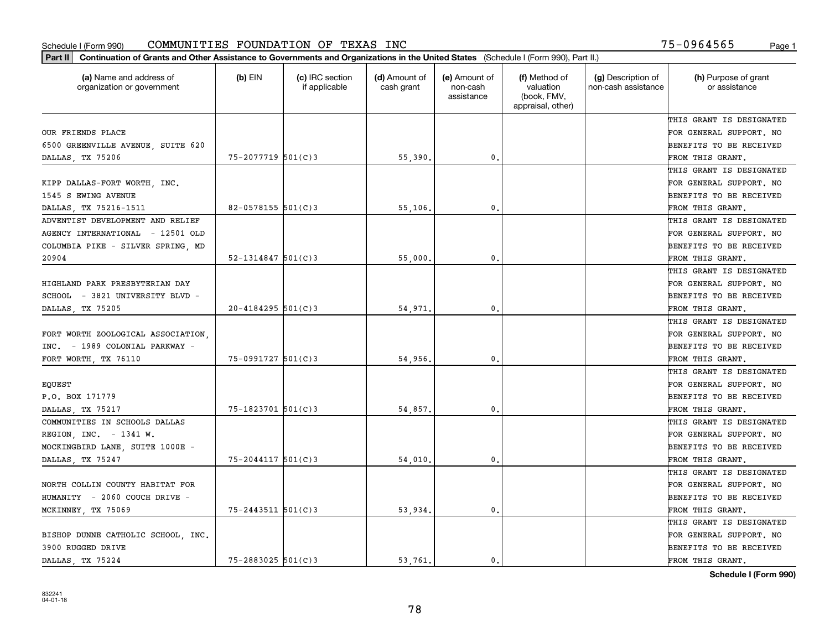| (f) Method of<br>(a) Name and address of<br>$(b)$ EIN<br>(c) IRC section<br>(d) Amount of<br>(e) Amount of<br>organization or government<br>if applicable<br>cash grant<br>non-cash<br>valuation<br>(book, FMV,<br>assistance<br>appraisal, other)<br>OUR FRIENDS PLACE<br>6500 GREENVILLE AVENUE, SUITE 620<br>75-2077719 501(C)3<br>55,390.<br>0.<br>DALLAS, TX 75206<br>KIPP DALLAS-FORT WORTH, INC.<br>1545 S EWING AVENUE<br>$82 - 0578155$ 501(C) 3<br>55,106,<br>0.<br>DALLAS TX 75216-1511<br>ADVENTIST DEVELOPMENT AND RELIEF<br>AGENCY INTERNATIONAL - 12501 OLD |                                           |                                       |
|----------------------------------------------------------------------------------------------------------------------------------------------------------------------------------------------------------------------------------------------------------------------------------------------------------------------------------------------------------------------------------------------------------------------------------------------------------------------------------------------------------------------------------------------------------------------------|-------------------------------------------|---------------------------------------|
|                                                                                                                                                                                                                                                                                                                                                                                                                                                                                                                                                                            | (g) Description of<br>non-cash assistance | (h) Purpose of grant<br>or assistance |
|                                                                                                                                                                                                                                                                                                                                                                                                                                                                                                                                                                            |                                           | THIS GRANT IS DESIGNATED              |
|                                                                                                                                                                                                                                                                                                                                                                                                                                                                                                                                                                            |                                           | FOR GENERAL SUPPORT. NO               |
|                                                                                                                                                                                                                                                                                                                                                                                                                                                                                                                                                                            |                                           | <b>BENEFITS TO BE RECEIVED</b>        |
|                                                                                                                                                                                                                                                                                                                                                                                                                                                                                                                                                                            |                                           | FROM THIS GRANT.                      |
|                                                                                                                                                                                                                                                                                                                                                                                                                                                                                                                                                                            |                                           | THIS GRANT IS DESIGNATED              |
|                                                                                                                                                                                                                                                                                                                                                                                                                                                                                                                                                                            |                                           | FOR GENERAL SUPPORT. NO               |
|                                                                                                                                                                                                                                                                                                                                                                                                                                                                                                                                                                            |                                           | BENEFITS TO BE RECEIVED               |
|                                                                                                                                                                                                                                                                                                                                                                                                                                                                                                                                                                            |                                           | FROM THIS GRANT.                      |
|                                                                                                                                                                                                                                                                                                                                                                                                                                                                                                                                                                            |                                           | THIS GRANT IS DESIGNATED              |
|                                                                                                                                                                                                                                                                                                                                                                                                                                                                                                                                                                            |                                           | FOR GENERAL SUPPORT. NO               |
| COLUMBIA PIKE - SILVER SPRING, MD                                                                                                                                                                                                                                                                                                                                                                                                                                                                                                                                          |                                           | BENEFITS TO BE RECEIVED               |
| $52 - 1314847$ 501(C)3<br>55,000<br>$\mathfrak{o}$ .<br>20904                                                                                                                                                                                                                                                                                                                                                                                                                                                                                                              |                                           | FROM THIS GRANT.                      |
|                                                                                                                                                                                                                                                                                                                                                                                                                                                                                                                                                                            |                                           | THIS GRANT IS DESIGNATED              |
| HIGHLAND PARK PRESBYTERIAN DAY                                                                                                                                                                                                                                                                                                                                                                                                                                                                                                                                             |                                           | FOR GENERAL SUPPORT. NO               |
| SCHOOL - 3821 UNIVERSITY BLVD -                                                                                                                                                                                                                                                                                                                                                                                                                                                                                                                                            |                                           | <b>BENEFITS TO BE RECEIVED</b>        |
| $20 - 4184295$ 501(C)3<br>DALLAS, TX 75205<br>54,971.<br>0.                                                                                                                                                                                                                                                                                                                                                                                                                                                                                                                |                                           | FROM THIS GRANT.                      |
|                                                                                                                                                                                                                                                                                                                                                                                                                                                                                                                                                                            |                                           | THIS GRANT IS DESIGNATED              |
| FORT WORTH ZOOLOGICAL ASSOCIATION,                                                                                                                                                                                                                                                                                                                                                                                                                                                                                                                                         |                                           | FOR GENERAL SUPPORT. NO               |
| INC. - 1989 COLONIAL PARKWAY -                                                                                                                                                                                                                                                                                                                                                                                                                                                                                                                                             |                                           | BENEFITS TO BE RECEIVED               |
| 75-0991727 501(C)3<br>54,956.<br>FORT WORTH, TX 76110<br>0.                                                                                                                                                                                                                                                                                                                                                                                                                                                                                                                |                                           | FROM THIS GRANT.                      |
|                                                                                                                                                                                                                                                                                                                                                                                                                                                                                                                                                                            |                                           | THIS GRANT IS DESIGNATED              |
| EQUEST                                                                                                                                                                                                                                                                                                                                                                                                                                                                                                                                                                     |                                           | FOR GENERAL SUPPORT. NO               |
| P.O. BOX 171779                                                                                                                                                                                                                                                                                                                                                                                                                                                                                                                                                            |                                           | <b>BENEFITS TO BE RECEIVED</b>        |
| 75-1823701 501(C)3<br>54,857.<br>0.<br>DALLAS, TX 75217                                                                                                                                                                                                                                                                                                                                                                                                                                                                                                                    |                                           | FROM THIS GRANT.                      |
| COMMUNITIES IN SCHOOLS DALLAS                                                                                                                                                                                                                                                                                                                                                                                                                                                                                                                                              |                                           | THIS GRANT IS DESIGNATED              |
| REGION, INC. $-1341$ W.                                                                                                                                                                                                                                                                                                                                                                                                                                                                                                                                                    |                                           | FOR GENERAL SUPPORT. NO               |
| MOCKINGBIRD LANE, SUITE 1000E -                                                                                                                                                                                                                                                                                                                                                                                                                                                                                                                                            |                                           | <b>BENEFITS TO BE RECEIVED</b>        |
| 75-2044117 501(C)3<br>$\mathbf{0}$ .<br>DALLAS, TX 75247<br>54,010                                                                                                                                                                                                                                                                                                                                                                                                                                                                                                         |                                           | FROM THIS GRANT.                      |
|                                                                                                                                                                                                                                                                                                                                                                                                                                                                                                                                                                            |                                           | THIS GRANT IS DESIGNATED              |
| NORTH COLLIN COUNTY HABITAT FOR                                                                                                                                                                                                                                                                                                                                                                                                                                                                                                                                            |                                           | FOR GENERAL SUPPORT. NO               |
| HUMANITY - 2060 COUCH DRIVE -                                                                                                                                                                                                                                                                                                                                                                                                                                                                                                                                              |                                           | BENEFITS TO BE RECEIVED               |
| $75 - 2443511$ $501(C)3$<br>53,934.<br>0.<br>MCKINNEY, TX 75069                                                                                                                                                                                                                                                                                                                                                                                                                                                                                                            |                                           | FROM THIS GRANT.                      |
|                                                                                                                                                                                                                                                                                                                                                                                                                                                                                                                                                                            |                                           | THIS GRANT IS DESIGNATED              |
| BISHOP DUNNE CATHOLIC SCHOOL INC.                                                                                                                                                                                                                                                                                                                                                                                                                                                                                                                                          |                                           | FOR GENERAL SUPPORT. NO               |
| 3900 RUGGED DRIVE                                                                                                                                                                                                                                                                                                                                                                                                                                                                                                                                                          |                                           | <b>BENEFITS TO BE RECEIVED</b>        |
| $75 - 2883025$ 501(C)3<br>DALLAS TX 75224<br>53.761.<br>0.                                                                                                                                                                                                                                                                                                                                                                                                                                                                                                                 |                                           | FROM THIS GRANT.                      |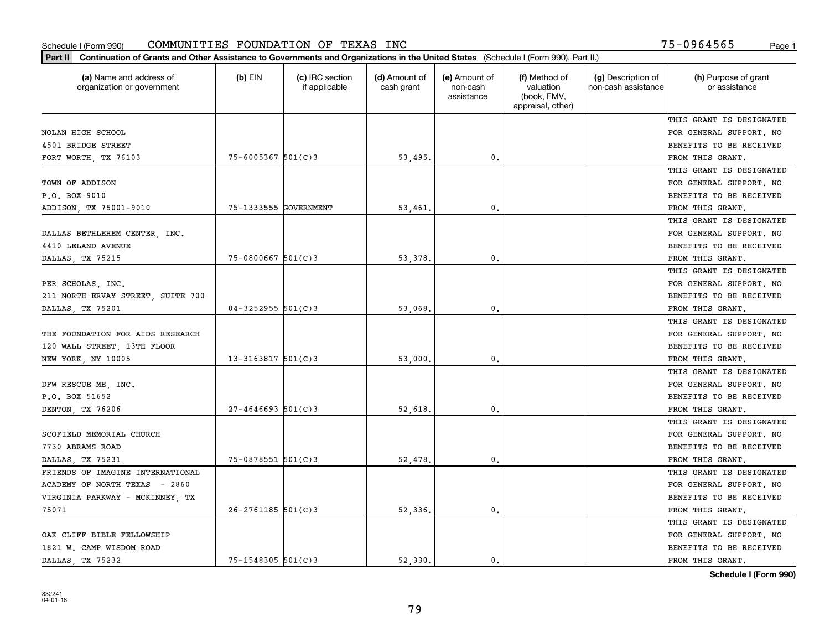| (a) Name and address of<br>organization or government | $(b)$ EIN              | (c) IRC section<br>if applicable | (d) Amount of<br>cash grant | (e) Amount of<br>non-cash<br>assistance | (f) Method of<br>valuation<br>(book, FMV,<br>appraisal, other) | (g) Description of<br>non-cash assistance | (h) Purpose of grant<br>or assistance |
|-------------------------------------------------------|------------------------|----------------------------------|-----------------------------|-----------------------------------------|----------------------------------------------------------------|-------------------------------------------|---------------------------------------|
|                                                       |                        |                                  |                             |                                         |                                                                |                                           | THIS GRANT IS DESIGNATED              |
| NOLAN HIGH SCHOOL                                     |                        |                                  |                             |                                         |                                                                |                                           | FOR GENERAL SUPPORT. NO               |
| 4501 BRIDGE STREET                                    |                        |                                  |                             |                                         |                                                                |                                           | BENEFITS TO BE RECEIVED               |
| FORT WORTH, TX 76103                                  | $75 - 6005367$ 501(C)3 |                                  | 53,495.                     | 0.                                      |                                                                |                                           | FROM THIS GRANT.                      |
|                                                       |                        |                                  |                             |                                         |                                                                |                                           | THIS GRANT IS DESIGNATED              |
| TOWN OF ADDISON                                       |                        |                                  |                             |                                         |                                                                |                                           | FOR GENERAL SUPPORT. NO               |
| P.O. BOX 9010                                         |                        |                                  |                             |                                         |                                                                |                                           | BENEFITS TO BE RECEIVED               |
| ADDISON, TX 75001-9010                                | 75-1333555 GOVERNMENT  |                                  | 53,461                      | $\mathbf{0}$                            |                                                                |                                           | FROM THIS GRANT.                      |
|                                                       |                        |                                  |                             |                                         |                                                                |                                           | THIS GRANT IS DESIGNATED              |
| DALLAS BETHLEHEM CENTER, INC.                         |                        |                                  |                             |                                         |                                                                |                                           | FOR GENERAL SUPPORT. NO               |
| 4410 LELAND AVENUE                                    |                        |                                  |                             |                                         |                                                                |                                           | BENEFITS TO BE RECEIVED               |
| DALLAS, TX 75215                                      | $75 - 0800667$ 501(C)3 |                                  | 53,378                      | $\mathbf{0}$ .                          |                                                                |                                           | FROM THIS GRANT.                      |
|                                                       |                        |                                  |                             |                                         |                                                                |                                           | THIS GRANT IS DESIGNATED              |
| PER SCHOLAS, INC.                                     |                        |                                  |                             |                                         |                                                                |                                           | FOR GENERAL SUPPORT. NO               |
| 211 NORTH ERVAY STREET, SUITE 700                     |                        |                                  |                             |                                         |                                                                |                                           | BENEFITS TO BE RECEIVED               |
| DALLAS, TX 75201                                      | $04 - 3252955$ 501(C)3 |                                  | 53,068                      | 0.                                      |                                                                |                                           | FROM THIS GRANT.                      |
|                                                       |                        |                                  |                             |                                         |                                                                |                                           | THIS GRANT IS DESIGNATED              |
| THE FOUNDATION FOR AIDS RESEARCH                      |                        |                                  |                             |                                         |                                                                |                                           | FOR GENERAL SUPPORT. NO               |
| 120 WALL STREET, 13TH FLOOR                           |                        |                                  |                             |                                         |                                                                |                                           | BENEFITS TO BE RECEIVED               |
| NEW YORK, NY 10005                                    | $13 - 3163817$ 501(C)3 |                                  | 53,000                      | 0.                                      |                                                                |                                           | FROM THIS GRANT.                      |
|                                                       |                        |                                  |                             |                                         |                                                                |                                           | THIS GRANT IS DESIGNATED              |
| DFW RESCUE ME, INC.                                   |                        |                                  |                             |                                         |                                                                |                                           | FOR GENERAL SUPPORT. NO               |
| P.O. BOX 51652                                        |                        |                                  |                             |                                         |                                                                |                                           | BENEFITS TO BE RECEIVED               |
| DENTON, TX 76206                                      | $27 - 4646693$ 501(C)3 |                                  | 52,618                      | $\mathbf{0}$                            |                                                                |                                           | FROM THIS GRANT.                      |
|                                                       |                        |                                  |                             |                                         |                                                                |                                           | THIS GRANT IS DESIGNATED              |
| SCOFIELD MEMORIAL CHURCH                              |                        |                                  |                             |                                         |                                                                |                                           | FOR GENERAL SUPPORT. NO               |
| 7730 ABRAMS ROAD                                      |                        |                                  |                             |                                         |                                                                |                                           | BENEFITS TO BE RECEIVED               |
| DALLAS, TX 75231                                      | $75 - 0878551$ 501(C)3 |                                  | 52,478                      | $\mathbf{0}$ .                          |                                                                |                                           | FROM THIS GRANT.                      |
| FRIENDS OF IMAGINE INTERNATIONAL                      |                        |                                  |                             |                                         |                                                                |                                           | THIS GRANT IS DESIGNATED              |
| ACADEMY OF NORTH TEXAS - 2860                         |                        |                                  |                             |                                         |                                                                |                                           | FOR GENERAL SUPPORT. NO               |
| VIRGINIA PARKWAY - MCKINNEY, TX                       |                        |                                  |                             |                                         |                                                                |                                           | BENEFITS TO BE RECEIVED               |
| 75071                                                 | $26 - 2761185$ 501(C)3 |                                  | 52,336.                     | $\mathbf{0}$ .                          |                                                                |                                           | FROM THIS GRANT.                      |
|                                                       |                        |                                  |                             |                                         |                                                                |                                           | THIS GRANT IS DESIGNATED              |
| OAK CLIFF BIBLE FELLOWSHIP                            |                        |                                  |                             |                                         |                                                                |                                           | FOR GENERAL SUPPORT. NO               |
| 1821 W. CAMP WISDOM ROAD                              |                        |                                  |                             |                                         |                                                                |                                           | BENEFITS TO BE RECEIVED               |
| DALLAS, TX 75232                                      | $75 - 1548305$ 501(C)3 |                                  | 52.330.                     | 0.                                      |                                                                |                                           | FROM THIS GRANT.                      |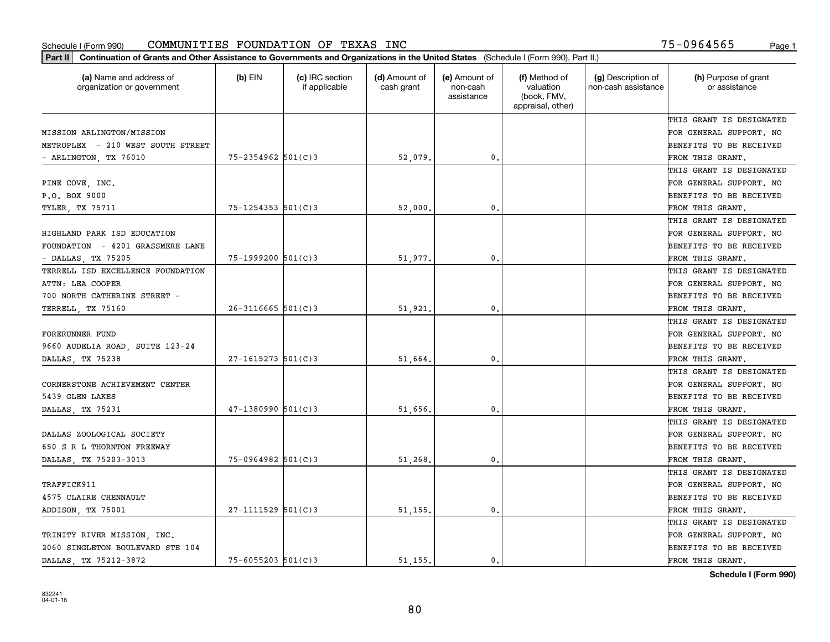| (a) Name and address of<br>organization or government | $(b)$ EIN                | (c) IRC section<br>if applicable | (d) Amount of<br>cash grant | (e) Amount of<br>non-cash<br>assistance | (f) Method of<br>valuation<br>(book, FMV,<br>appraisal, other) | (g) Description of<br>non-cash assistance | (h) Purpose of grant<br>or assistance |
|-------------------------------------------------------|--------------------------|----------------------------------|-----------------------------|-----------------------------------------|----------------------------------------------------------------|-------------------------------------------|---------------------------------------|
|                                                       |                          |                                  |                             |                                         |                                                                |                                           | THIS GRANT IS DESIGNATED              |
| MISSION ARLINGTON/MISSION                             |                          |                                  |                             |                                         |                                                                |                                           | FOR GENERAL SUPPORT. NO               |
| METROPLEX - 210 WEST SOUTH STREET                     |                          |                                  |                             |                                         |                                                                |                                           | BENEFITS TO BE RECEIVED               |
| - ARLINGTON, TX 76010                                 | $75 - 2354962$ 501(C)3   |                                  | 52,079                      | $\mathfrak{o}$ .                        |                                                                |                                           | FROM THIS GRANT.                      |
|                                                       |                          |                                  |                             |                                         |                                                                |                                           | THIS GRANT IS DESIGNATED              |
| PINE COVE, INC.                                       |                          |                                  |                             |                                         |                                                                |                                           | FOR GENERAL SUPPORT. NO               |
| P.O. BOX 9000                                         |                          |                                  |                             |                                         |                                                                |                                           | BENEFITS TO BE RECEIVED               |
| <b>TYLER, TX 75711</b>                                | $75 - 1254353$ $501(C)3$ |                                  | 52,000                      | $\mathbf{0}$                            |                                                                |                                           | FROM THIS GRANT.                      |
|                                                       |                          |                                  |                             |                                         |                                                                |                                           | THIS GRANT IS DESIGNATED              |
| HIGHLAND PARK ISD EDUCATION                           |                          |                                  |                             |                                         |                                                                |                                           | FOR GENERAL SUPPORT. NO               |
| FOUNDATION - 4201 GRASSMERE LANE                      |                          |                                  |                             |                                         |                                                                |                                           | BENEFITS TO BE RECEIVED               |
| - DALLAS, TX 75205                                    | 75-1999200 501(C)3       |                                  | 51,977.                     | $\mathbf{0}$ .                          |                                                                |                                           | FROM THIS GRANT.                      |
| TERRELL ISD EXCELLENCE FOUNDATION                     |                          |                                  |                             |                                         |                                                                |                                           | THIS GRANT IS DESIGNATED              |
| ATTN: LEA COOPER                                      |                          |                                  |                             |                                         |                                                                |                                           | FOR GENERAL SUPPORT. NO               |
| 700 NORTH CATHERINE STREET -                          |                          |                                  |                             |                                         |                                                                |                                           | BENEFITS TO BE RECEIVED               |
| TERRELL, TX 75160                                     | $26 - 3116665$ 501(C)3   |                                  | 51,921                      | 0.                                      |                                                                |                                           | FROM THIS GRANT.                      |
|                                                       |                          |                                  |                             |                                         |                                                                |                                           | THIS GRANT IS DESIGNATED              |
| FORERUNNER FUND                                       |                          |                                  |                             |                                         |                                                                |                                           | FOR GENERAL SUPPORT. NO               |
| 9660 AUDELIA ROAD, SUITE 123-24                       |                          |                                  |                             |                                         |                                                                |                                           | BENEFITS TO BE RECEIVED               |
| DALLAS, TX 75238                                      | $27 - 1615273$ 501(C)3   |                                  | 51,664                      | $\mathbf{0}$                            |                                                                |                                           | FROM THIS GRANT.                      |
|                                                       |                          |                                  |                             |                                         |                                                                |                                           | THIS GRANT IS DESIGNATED              |
| CORNERSTONE ACHIEVEMENT CENTER                        |                          |                                  |                             |                                         |                                                                |                                           | FOR GENERAL SUPPORT. NO               |
| 5439 GLEN LAKES                                       |                          |                                  |                             |                                         |                                                                |                                           | BENEFITS TO BE RECEIVED               |
| DALLAS, TX 75231                                      | $47 - 1380990$ 501(C)3   |                                  | 51,656.                     | $\mathbf{0}$                            |                                                                |                                           | FROM THIS GRANT.                      |
|                                                       |                          |                                  |                             |                                         |                                                                |                                           | THIS GRANT IS DESIGNATED              |
| DALLAS ZOOLOGICAL SOCIETY                             |                          |                                  |                             |                                         |                                                                |                                           | FOR GENERAL SUPPORT. NO               |
| 650 S R L THORNTON FREEWAY                            |                          |                                  |                             |                                         |                                                                |                                           | BENEFITS TO BE RECEIVED               |
| DALLAS, TX 75203-3013                                 | 75-0964982 501(C)3       |                                  | 51,268                      | $\mathbf{0}$ .                          |                                                                |                                           | FROM THIS GRANT.                      |
|                                                       |                          |                                  |                             |                                         |                                                                |                                           | THIS GRANT IS DESIGNATED              |
| TRAFFICK911                                           |                          |                                  |                             |                                         |                                                                |                                           | FOR GENERAL SUPPORT. NO               |
| 4575 CLAIRE CHENNAULT                                 |                          |                                  |                             |                                         |                                                                |                                           | BENEFITS TO BE RECEIVED               |
| ADDISON, TX 75001                                     | $27-1111529$ 501(C)3     |                                  | 51,155.                     | $\mathbf{0}$ .                          |                                                                |                                           | FROM THIS GRANT.                      |
|                                                       |                          |                                  |                             |                                         |                                                                |                                           | THIS GRANT IS DESIGNATED              |
| TRINITY RIVER MISSION, INC.                           |                          |                                  |                             |                                         |                                                                |                                           | FOR GENERAL SUPPORT. NO               |
| 2060 SINGLETON BOULEVARD STE 104                      |                          |                                  |                             |                                         |                                                                |                                           | BENEFITS TO BE RECEIVED               |
| DALLAS TX 75212-3872                                  | $75 - 6055203$ 501(C)3   |                                  | 51 155.                     | 0.                                      |                                                                |                                           | FROM THIS GRANT.                      |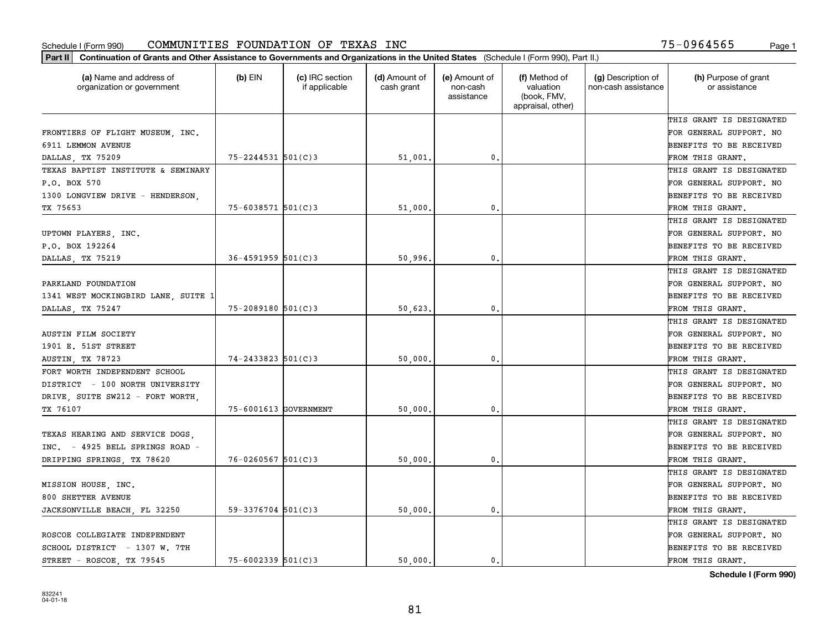| Part II   Continuation of Grants and Other Assistance to Governments and Organizations in the United States (Schedule I (Form 990), Part II.) |                          |                                  |                             |                                         |                                                                |                                           |                                       |
|-----------------------------------------------------------------------------------------------------------------------------------------------|--------------------------|----------------------------------|-----------------------------|-----------------------------------------|----------------------------------------------------------------|-------------------------------------------|---------------------------------------|
| (a) Name and address of<br>organization or government                                                                                         | $(b)$ EIN                | (c) IRC section<br>if applicable | (d) Amount of<br>cash grant | (e) Amount of<br>non-cash<br>assistance | (f) Method of<br>valuation<br>(book, FMV,<br>appraisal, other) | (g) Description of<br>non-cash assistance | (h) Purpose of grant<br>or assistance |
|                                                                                                                                               |                          |                                  |                             |                                         |                                                                |                                           | THIS GRANT IS DESIGNATED              |
| FRONTIERS OF FLIGHT MUSEUM, INC.                                                                                                              |                          |                                  |                             |                                         |                                                                |                                           | FOR GENERAL SUPPORT. NO               |
| 6911 LEMMON AVENUE                                                                                                                            |                          |                                  |                             |                                         |                                                                |                                           | <b>BENEFITS TO BE RECEIVED</b>        |
| DALLAS, TX 75209                                                                                                                              | $75 - 2244531$ 501(C)3   |                                  | 51,001.                     | 0.                                      |                                                                |                                           | FROM THIS GRANT.                      |
| TEXAS BAPTIST INSTITUTE & SEMINARY                                                                                                            |                          |                                  |                             |                                         |                                                                |                                           | THIS GRANT IS DESIGNATED              |
| P.O. BOX 570                                                                                                                                  |                          |                                  |                             |                                         |                                                                |                                           | FOR GENERAL SUPPORT. NO               |
| 1300 LONGVIEW DRIVE - HENDERSON,                                                                                                              |                          |                                  |                             |                                         |                                                                |                                           | BENEFITS TO BE RECEIVED               |
| TX 75653                                                                                                                                      | $75 - 6038571$ 501(C)3   |                                  | 51,000                      | 0.                                      |                                                                |                                           | FROM THIS GRANT.                      |
|                                                                                                                                               |                          |                                  |                             |                                         |                                                                |                                           | THIS GRANT IS DESIGNATED              |
| UPTOWN PLAYERS, INC.                                                                                                                          |                          |                                  |                             |                                         |                                                                |                                           | FOR GENERAL SUPPORT. NO               |
| P.O. BOX 192264                                                                                                                               |                          |                                  |                             |                                         |                                                                |                                           | BENEFITS TO BE RECEIVED               |
| DALLAS, TX 75219                                                                                                                              | $36 - 4591959$ $501(C)3$ |                                  | 50,996                      | $\mathbf{0}$ .                          |                                                                |                                           | FROM THIS GRANT.                      |
|                                                                                                                                               |                          |                                  |                             |                                         |                                                                |                                           | THIS GRANT IS DESIGNATED              |
| PARKLAND FOUNDATION                                                                                                                           |                          |                                  |                             |                                         |                                                                |                                           | FOR GENERAL SUPPORT. NO               |
| 1341 WEST MOCKINGBIRD LANE, SUITE 1                                                                                                           |                          |                                  |                             |                                         |                                                                |                                           | <b>BENEFITS TO BE RECEIVED</b>        |
| DALLAS, TX 75247                                                                                                                              | $75 - 2089180$ 501(C)3   |                                  | 50,623.                     | 0.                                      |                                                                |                                           | FROM THIS GRANT.                      |
|                                                                                                                                               |                          |                                  |                             |                                         |                                                                |                                           | THIS GRANT IS DESIGNATED              |
| AUSTIN FILM SOCIETY                                                                                                                           |                          |                                  |                             |                                         |                                                                |                                           | FOR GENERAL SUPPORT. NO               |
| 1901 E. 51ST STREET                                                                                                                           |                          |                                  |                             |                                         |                                                                |                                           | <b>BENEFITS TO BE RECEIVED</b>        |
| <b>AUSTIN, TX 78723</b>                                                                                                                       | $74 - 2433823$ 501(C)3   |                                  | 50,000                      | 0.                                      |                                                                |                                           | FROM THIS GRANT.                      |
| FORT WORTH INDEPENDENT SCHOOL                                                                                                                 |                          |                                  |                             |                                         |                                                                |                                           | THIS GRANT IS DESIGNATED              |
| DISTRICT - 100 NORTH UNIVERSITY                                                                                                               |                          |                                  |                             |                                         |                                                                |                                           | FOR GENERAL SUPPORT. NO               |
| DRIVE, SUITE SW212 - FORT WORTH,                                                                                                              |                          |                                  |                             |                                         |                                                                |                                           | <b>BENEFITS TO BE RECEIVED</b>        |
| TX 76107                                                                                                                                      | 75-6001613 GOVERNMENT    |                                  | 50,000                      | 0.                                      |                                                                |                                           | FROM THIS GRANT.                      |
|                                                                                                                                               |                          |                                  |                             |                                         |                                                                |                                           | THIS GRANT IS DESIGNATED              |
| TEXAS HEARING AND SERVICE DOGS,                                                                                                               |                          |                                  |                             |                                         |                                                                |                                           | FOR GENERAL SUPPORT. NO               |
| INC. - 4925 BELL SPRINGS ROAD -                                                                                                               |                          |                                  |                             |                                         |                                                                |                                           | <b>BENEFITS TO BE RECEIVED</b>        |
| DRIPPING SPRINGS, TX 78620                                                                                                                    | $76 - 0260567$ 501(C)3   |                                  | 50,000                      | $\mathfrak{o}$ .                        |                                                                |                                           | FROM THIS GRANT.                      |
|                                                                                                                                               |                          |                                  |                             |                                         |                                                                |                                           | THIS GRANT IS DESIGNATED              |
| MISSION HOUSE, INC.                                                                                                                           |                          |                                  |                             |                                         |                                                                |                                           | FOR GENERAL SUPPORT. NO               |
| 800 SHETTER AVENUE                                                                                                                            |                          |                                  |                             |                                         |                                                                |                                           | BENEFITS TO BE RECEIVED               |
| JACKSONVILLE BEACH, FL 32250                                                                                                                  | $59 - 3376704$ 501(C)3   |                                  | 50,000.                     | 0.                                      |                                                                |                                           | FROM THIS GRANT.                      |
|                                                                                                                                               |                          |                                  |                             |                                         |                                                                |                                           | THIS GRANT IS DESIGNATED              |
| ROSCOE COLLEGIATE INDEPENDENT                                                                                                                 |                          |                                  |                             |                                         |                                                                |                                           | FOR GENERAL SUPPORT. NO               |
| SCHOOL DISTRICT - 1307 W. 7TH                                                                                                                 |                          |                                  |                             |                                         |                                                                |                                           | <b>BENEFITS TO BE RECEIVED</b>        |
| STREET - ROSCOE, TX 79545                                                                                                                     | $75 - 6002339$ 501(C)3   |                                  | 50.000.                     | $\mathbf{0}$ .                          |                                                                |                                           | FROM THIS GRANT.                      |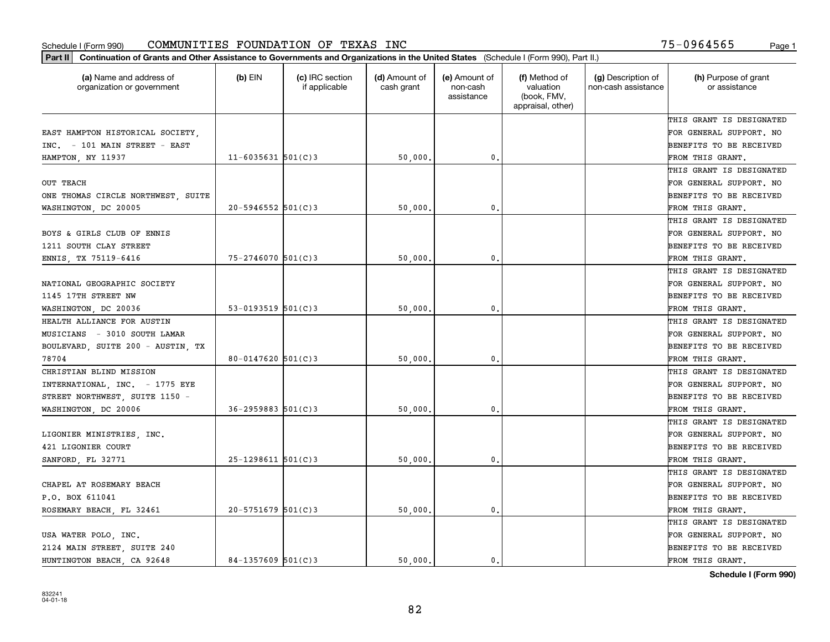|                                                       | Part II   Continuation of Grants and Other Assistance to Governments and Organizations in the United States (Schedule I (Form 990), Part II.) |                                  |                             |                                         |                                                                |                                           |                                       |  |  |  |
|-------------------------------------------------------|-----------------------------------------------------------------------------------------------------------------------------------------------|----------------------------------|-----------------------------|-----------------------------------------|----------------------------------------------------------------|-------------------------------------------|---------------------------------------|--|--|--|
| (a) Name and address of<br>organization or government | $(b)$ EIN                                                                                                                                     | (c) IRC section<br>if applicable | (d) Amount of<br>cash grant | (e) Amount of<br>non-cash<br>assistance | (f) Method of<br>valuation<br>(book, FMV,<br>appraisal, other) | (g) Description of<br>non-cash assistance | (h) Purpose of grant<br>or assistance |  |  |  |
|                                                       |                                                                                                                                               |                                  |                             |                                         |                                                                |                                           | THIS GRANT IS DESIGNATED              |  |  |  |
| EAST HAMPTON HISTORICAL SOCIETY,                      |                                                                                                                                               |                                  |                             |                                         |                                                                |                                           | FOR GENERAL SUPPORT. NO               |  |  |  |
| INC. - 101 MAIN STREET - EAST                         |                                                                                                                                               |                                  |                             |                                         |                                                                |                                           | BENEFITS TO BE RECEIVED               |  |  |  |
| HAMPTON, NY 11937                                     | $11 - 6035631$ 501(C)3                                                                                                                        |                                  | 50,000.                     | 0.                                      |                                                                |                                           | FROM THIS GRANT.                      |  |  |  |
|                                                       |                                                                                                                                               |                                  |                             |                                         |                                                                |                                           | THIS GRANT IS DESIGNATED              |  |  |  |
| <b>OUT TEACH</b>                                      |                                                                                                                                               |                                  |                             |                                         |                                                                |                                           | FOR GENERAL SUPPORT. NO               |  |  |  |
| ONE THOMAS CIRCLE NORTHWEST, SUITE                    |                                                                                                                                               |                                  |                             |                                         |                                                                |                                           | BENEFITS TO BE RECEIVED               |  |  |  |
| WASHINGTON, DC 20005                                  | $20 - 5946552$ 501(C)3                                                                                                                        |                                  | 50,000                      | $\mathbf{0}$                            |                                                                |                                           | FROM THIS GRANT.                      |  |  |  |
|                                                       |                                                                                                                                               |                                  |                             |                                         |                                                                |                                           | THIS GRANT IS DESIGNATED              |  |  |  |
| BOYS & GIRLS CLUB OF ENNIS                            |                                                                                                                                               |                                  |                             |                                         |                                                                |                                           | FOR GENERAL SUPPORT. NO               |  |  |  |
| 1211 SOUTH CLAY STREET                                |                                                                                                                                               |                                  |                             |                                         |                                                                |                                           | BENEFITS TO BE RECEIVED               |  |  |  |
| ENNIS, TX 75119-6416                                  | $75 - 2746070$ 501(C)3                                                                                                                        |                                  | 50,000                      | 0.                                      |                                                                |                                           | FROM THIS GRANT.                      |  |  |  |
|                                                       |                                                                                                                                               |                                  |                             |                                         |                                                                |                                           | THIS GRANT IS DESIGNATED              |  |  |  |
| NATIONAL GEOGRAPHIC SOCIETY                           |                                                                                                                                               |                                  |                             |                                         |                                                                |                                           | FOR GENERAL SUPPORT. NO               |  |  |  |
| 1145 17TH STREET NW                                   |                                                                                                                                               |                                  |                             |                                         |                                                                |                                           | <b>BENEFITS TO BE RECEIVED</b>        |  |  |  |
| WASHINGTON, DC 20036                                  | $53 - 0193519$ 501(C)3                                                                                                                        |                                  | 50,000.                     | 0.                                      |                                                                |                                           | FROM THIS GRANT.                      |  |  |  |
| HEALTH ALLIANCE FOR AUSTIN                            |                                                                                                                                               |                                  |                             |                                         |                                                                |                                           | THIS GRANT IS DESIGNATED              |  |  |  |
| MUSICIANS - 3010 SOUTH LAMAR                          |                                                                                                                                               |                                  |                             |                                         |                                                                |                                           | FOR GENERAL SUPPORT. NO               |  |  |  |
| BOULEVARD, SUITE 200 - AUSTIN, TX                     |                                                                                                                                               |                                  |                             |                                         |                                                                |                                           | BENEFITS TO BE RECEIVED               |  |  |  |
| 78704                                                 | $80 - 0147620$ 501(C)3                                                                                                                        |                                  | 50,000                      | $\mathbf{0}$                            |                                                                |                                           | FROM THIS GRANT.                      |  |  |  |
| CHRISTIAN BLIND MISSION                               |                                                                                                                                               |                                  |                             |                                         |                                                                |                                           | THIS GRANT IS DESIGNATED              |  |  |  |
| INTERNATIONAL, INC. - 1775 EYE                        |                                                                                                                                               |                                  |                             |                                         |                                                                |                                           | FOR GENERAL SUPPORT. NO               |  |  |  |
| STREET NORTHWEST, SUITE 1150 -                        |                                                                                                                                               |                                  |                             |                                         |                                                                |                                           | BENEFITS TO BE RECEIVED               |  |  |  |
| WASHINGTON, DC 20006                                  | $36 - 2959883$ $501(C)3$                                                                                                                      |                                  | 50,000                      | 0.                                      |                                                                |                                           | FROM THIS GRANT.                      |  |  |  |
|                                                       |                                                                                                                                               |                                  |                             |                                         |                                                                |                                           | THIS GRANT IS DESIGNATED              |  |  |  |
| LIGONIER MINISTRIES, INC.                             |                                                                                                                                               |                                  |                             |                                         |                                                                |                                           | FOR GENERAL SUPPORT. NO               |  |  |  |
| 421 LIGONIER COURT                                    |                                                                                                                                               |                                  |                             |                                         |                                                                |                                           | BENEFITS TO BE RECEIVED               |  |  |  |
| SANFORD, FL 32771                                     | $25 - 1298611$ 501(C)3                                                                                                                        |                                  | 50,000                      | 0.                                      |                                                                |                                           | FROM THIS GRANT.                      |  |  |  |
|                                                       |                                                                                                                                               |                                  |                             |                                         |                                                                |                                           | THIS GRANT IS DESIGNATED              |  |  |  |
| CHAPEL AT ROSEMARY BEACH                              |                                                                                                                                               |                                  |                             |                                         |                                                                |                                           | FOR GENERAL SUPPORT. NO               |  |  |  |
| P.O. BOX 611041                                       |                                                                                                                                               |                                  |                             |                                         |                                                                |                                           | BENEFITS TO BE RECEIVED               |  |  |  |
| ROSEMARY BEACH, FL 32461                              | $20 - 5751679$ 501(C)3                                                                                                                        |                                  | 50,000.                     | $\mathbf{0}$ .                          |                                                                |                                           | FROM THIS GRANT.                      |  |  |  |
|                                                       |                                                                                                                                               |                                  |                             |                                         |                                                                |                                           | THIS GRANT IS DESIGNATED              |  |  |  |
| USA WATER POLO, INC.                                  |                                                                                                                                               |                                  |                             |                                         |                                                                |                                           | FOR GENERAL SUPPORT. NO               |  |  |  |
| 2124 MAIN STREET, SUITE 240                           |                                                                                                                                               |                                  |                             |                                         |                                                                |                                           | <b>BENEFITS TO BE RECEIVED</b>        |  |  |  |
| HUNTINGTON BEACH, CA 92648                            | $84 - 1357609$ 501(C)3                                                                                                                        |                                  | 50.000.                     | $\mathbf{0}$ .                          |                                                                |                                           | FROM THIS GRANT.                      |  |  |  |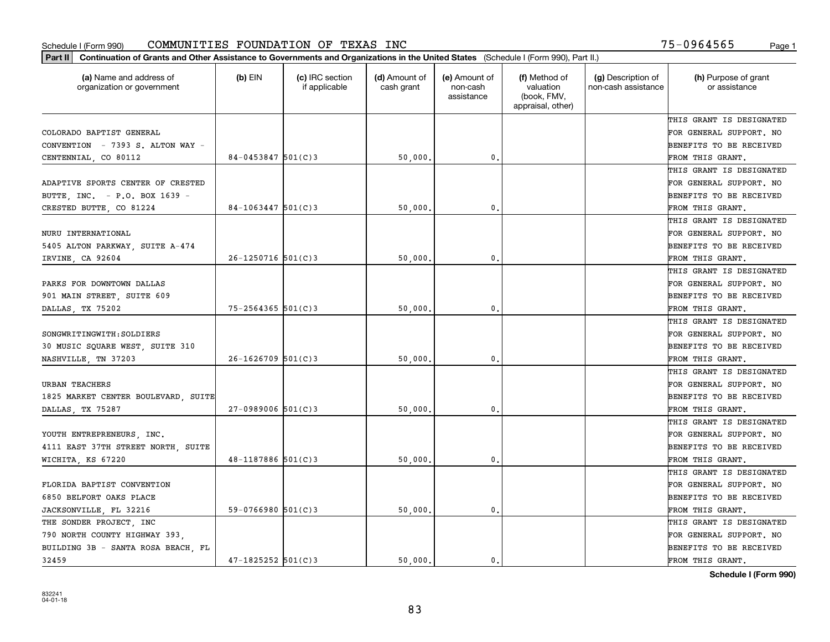| (a) Name and address of<br>organization or government | $(b)$ EIN              | (c) IRC section<br>if applicable | (d) Amount of<br>cash grant | (e) Amount of<br>non-cash<br>assistance | (f) Method of<br>valuation<br>(book, FMV,<br>appraisal, other) | (g) Description of<br>non-cash assistance | (h) Purpose of grant<br>or assistance |
|-------------------------------------------------------|------------------------|----------------------------------|-----------------------------|-----------------------------------------|----------------------------------------------------------------|-------------------------------------------|---------------------------------------|
|                                                       |                        |                                  |                             |                                         |                                                                |                                           | THIS GRANT IS DESIGNATED              |
| COLORADO BAPTIST GENERAL                              |                        |                                  |                             |                                         |                                                                |                                           | FOR GENERAL SUPPORT. NO               |
| CONVENTION - 7393 S. ALTON WAY -                      |                        |                                  |                             |                                         |                                                                |                                           | BENEFITS TO BE RECEIVED               |
| CENTENNIAL, CO 80112                                  | $84 - 0453847$ 501(C)3 |                                  | 50,000.                     | 0.                                      |                                                                |                                           | FROM THIS GRANT.                      |
|                                                       |                        |                                  |                             |                                         |                                                                |                                           | THIS GRANT IS DESIGNATED              |
| ADAPTIVE SPORTS CENTER OF CRESTED                     |                        |                                  |                             |                                         |                                                                |                                           | FOR GENERAL SUPPORT. NO               |
| BUTTE, INC. - P.O. BOX 1639 -                         |                        |                                  |                             |                                         |                                                                |                                           | BENEFITS TO BE RECEIVED               |
| CRESTED BUTTE, CO 81224                               | $84 - 1063447$ 501(C)3 |                                  | 50,000                      | $\mathbf{0}$                            |                                                                |                                           | FROM THIS GRANT.                      |
|                                                       |                        |                                  |                             |                                         |                                                                |                                           | THIS GRANT IS DESIGNATED              |
| NURU INTERNATIONAL                                    |                        |                                  |                             |                                         |                                                                |                                           | FOR GENERAL SUPPORT. NO               |
| 5405 ALTON PARKWAY, SUITE A-474                       |                        |                                  |                             |                                         |                                                                |                                           | BENEFITS TO BE RECEIVED               |
| IRVINE, CA 92604                                      | $26 - 1250716$ 501(C)3 |                                  | 50,000                      | 0.                                      |                                                                |                                           | FROM THIS GRANT.                      |
|                                                       |                        |                                  |                             |                                         |                                                                |                                           | THIS GRANT IS DESIGNATED              |
| PARKS FOR DOWNTOWN DALLAS                             |                        |                                  |                             |                                         |                                                                |                                           | FOR GENERAL SUPPORT. NO               |
| 901 MAIN STREET, SUITE 609                            |                        |                                  |                             |                                         |                                                                |                                           | <b>BENEFITS TO BE RECEIVED</b>        |
| DALLAS, TX 75202                                      | 75-2564365 501(C)3     |                                  | 50,000                      | 0.                                      |                                                                |                                           | FROM THIS GRANT.                      |
|                                                       |                        |                                  |                             |                                         |                                                                |                                           | THIS GRANT IS DESIGNATED              |
| SONGWRITINGWITH: SOLDIERS                             |                        |                                  |                             |                                         |                                                                |                                           | FOR GENERAL SUPPORT. NO               |
| 30 MUSIC SQUARE WEST, SUITE 310                       |                        |                                  |                             |                                         |                                                                |                                           | BENEFITS TO BE RECEIVED               |
| NASHVILLE, TN 37203                                   | $26 - 1626709$ 501(C)3 |                                  | 50,000,                     | $\mathbf{0}$                            |                                                                |                                           | FROM THIS GRANT.                      |
|                                                       |                        |                                  |                             |                                         |                                                                |                                           | THIS GRANT IS DESIGNATED              |
| <b>URBAN TEACHERS</b>                                 |                        |                                  |                             |                                         |                                                                |                                           | FOR GENERAL SUPPORT. NO               |
| 1825 MARKET CENTER BOULEVARD, SUITE                   |                        |                                  |                             |                                         |                                                                |                                           | BENEFITS TO BE RECEIVED               |
| DALLAS, TX 75287                                      | $27-0989006$ 501(C)3   |                                  | 50,000                      | $\mathbf{0}$ .                          |                                                                |                                           | FROM THIS GRANT.                      |
|                                                       |                        |                                  |                             |                                         |                                                                |                                           | THIS GRANT IS DESIGNATED              |
| YOUTH ENTREPRENEURS, INC.                             |                        |                                  |                             |                                         |                                                                |                                           | FOR GENERAL SUPPORT. NO               |
| 4111 EAST 37TH STREET NORTH, SUITE                    |                        |                                  |                             |                                         |                                                                |                                           | BENEFITS TO BE RECEIVED               |
| WICHITA, KS 67220                                     | $48 - 1187886$ 501(C)3 |                                  | 50,000                      | 0.                                      |                                                                |                                           | FROM THIS GRANT.                      |
|                                                       |                        |                                  |                             |                                         |                                                                |                                           | THIS GRANT IS DESIGNATED              |
| FLORIDA BAPTIST CONVENTION                            |                        |                                  |                             |                                         |                                                                |                                           | FOR GENERAL SUPPORT. NO               |
| 6850 BELFORT OAKS PLACE                               |                        |                                  |                             |                                         |                                                                |                                           | BENEFITS TO BE RECEIVED               |
| JACKSONVILLE, FL 32216                                | 59-0766980 $501(C)3$   |                                  | 50,000.                     | 0.                                      |                                                                |                                           | FROM THIS GRANT.                      |
| THE SONDER PROJECT, INC                               |                        |                                  |                             |                                         |                                                                |                                           | THIS GRANT IS DESIGNATED              |
| 790 NORTH COUNTY HIGHWAY 393.                         |                        |                                  |                             |                                         |                                                                |                                           | FOR GENERAL SUPPORT. NO               |
| BUILDING 3B - SANTA ROSA BEACH, FL                    |                        |                                  |                             |                                         |                                                                |                                           | BENEFITS TO BE RECEIVED               |
| 32459                                                 | $47 - 1825252$ 501(C)3 |                                  | 50.000.                     | $\mathbf{0}$ .                          |                                                                |                                           | FROM THIS GRANT.                      |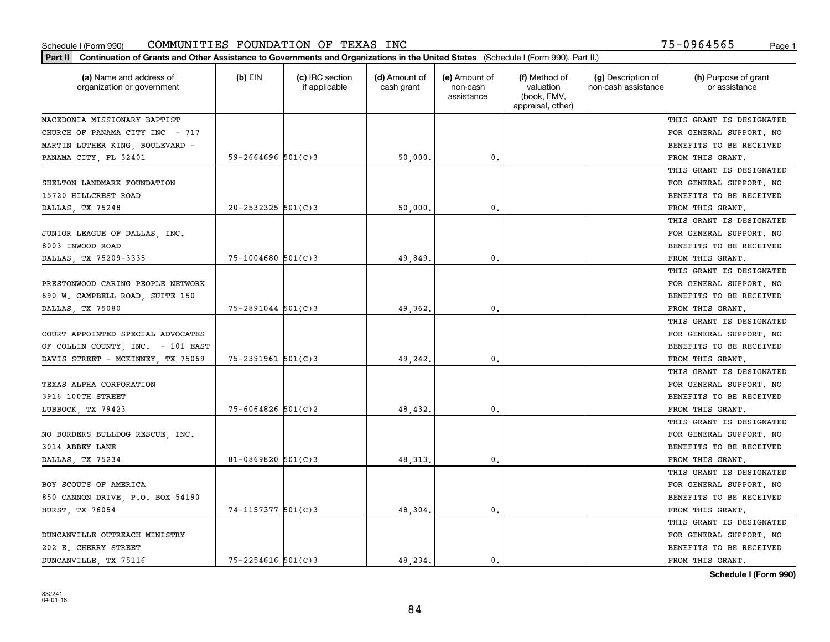| Part II   Continuation of Grants and Other Assistance to Governments and Organizations in the United States (Schedule I (Form 990), Part II.) |                        |                                  |                             |                                         |                                                                |                                           |                                       |
|-----------------------------------------------------------------------------------------------------------------------------------------------|------------------------|----------------------------------|-----------------------------|-----------------------------------------|----------------------------------------------------------------|-------------------------------------------|---------------------------------------|
| (a) Name and address of<br>organization or government                                                                                         | $(b)$ EIN              | (c) IRC section<br>if applicable | (d) Amount of<br>cash grant | (e) Amount of<br>non-cash<br>assistance | (f) Method of<br>valuation<br>(book, FMV,<br>appraisal, other) | (g) Description of<br>non-cash assistance | (h) Purpose of grant<br>or assistance |
| MACEDONIA MISSIONARY BAPTIST                                                                                                                  |                        |                                  |                             |                                         |                                                                |                                           | THIS GRANT IS DESIGNATED              |
| CHURCH OF PANAMA CITY INC - 717                                                                                                               |                        |                                  |                             |                                         |                                                                |                                           | FOR GENERAL SUPPORT. NO               |
| MARTIN LUTHER KING, BOULEVARD -                                                                                                               |                        |                                  |                             |                                         |                                                                |                                           | <b>BENEFITS TO BE RECEIVED</b>        |
| PANAMA CITY, FL 32401                                                                                                                         | 59-2664696 $501(C)3$   |                                  | 50,000.                     | $\mathbf{0}$ .                          |                                                                |                                           | FROM THIS GRANT.                      |
|                                                                                                                                               |                        |                                  |                             |                                         |                                                                |                                           | THIS GRANT IS DESIGNATED              |
| SHELTON LANDMARK FOUNDATION                                                                                                                   |                        |                                  |                             |                                         |                                                                |                                           | FOR GENERAL SUPPORT. NO               |
| 15720 HILLCREST ROAD                                                                                                                          |                        |                                  |                             |                                         |                                                                |                                           | <b>BENEFITS TO BE RECEIVED</b>        |
| DALLAS, TX 75248                                                                                                                              | $20 - 2532325$ 501(C)3 |                                  | 50,000                      | 0.                                      |                                                                |                                           | FROM THIS GRANT.                      |
|                                                                                                                                               |                        |                                  |                             |                                         |                                                                |                                           | THIS GRANT IS DESIGNATED              |
| JUNIOR LEAGUE OF DALLAS, INC.                                                                                                                 |                        |                                  |                             |                                         |                                                                |                                           | FOR GENERAL SUPPORT. NO               |
| 8003 INWOOD ROAD                                                                                                                              |                        |                                  |                             |                                         |                                                                |                                           | BENEFITS TO BE RECEIVED               |
| DALLAS, TX 75209-3335                                                                                                                         | $75 - 1004680$ 501(C)3 |                                  | 49,849                      | $\mathfrak{o}$ .                        |                                                                |                                           | FROM THIS GRANT.                      |
|                                                                                                                                               |                        |                                  |                             |                                         |                                                                |                                           | THIS GRANT IS DESIGNATED              |
| PRESTONWOOD CARING PEOPLE NETWORK                                                                                                             |                        |                                  |                             |                                         |                                                                |                                           | FOR GENERAL SUPPORT. NO               |
| 690 W. CAMPBELL ROAD, SUITE 150                                                                                                               |                        |                                  |                             |                                         |                                                                |                                           | <b>BENEFITS TO BE RECEIVED</b>        |
| DALLAS, TX 75080                                                                                                                              | $75 - 2891044$ 501(C)3 |                                  | 49,362.                     | 0.                                      |                                                                |                                           | FROM THIS GRANT.                      |
|                                                                                                                                               |                        |                                  |                             |                                         |                                                                |                                           | THIS GRANT IS DESIGNATED              |
| COURT APPOINTED SPECIAL ADVOCATES                                                                                                             |                        |                                  |                             |                                         |                                                                |                                           | FOR GENERAL SUPPORT. NO               |
| OF COLLIN COUNTY, INC. - 101 EAST                                                                                                             |                        |                                  |                             |                                         |                                                                |                                           | <b>BENEFITS TO BE RECEIVED</b>        |
| DAVIS STREET - MCKINNEY, TX 75069                                                                                                             | $75 - 2391961$ 501(C)3 |                                  | 49,242.                     | 0.                                      |                                                                |                                           | FROM THIS GRANT.                      |
|                                                                                                                                               |                        |                                  |                             |                                         |                                                                |                                           | THIS GRANT IS DESIGNATED              |
| TEXAS ALPHA CORPORATION                                                                                                                       |                        |                                  |                             |                                         |                                                                |                                           | FOR GENERAL SUPPORT. NO               |
| 3916 100TH STREET                                                                                                                             |                        |                                  |                             |                                         |                                                                |                                           | <b>BENEFITS TO BE RECEIVED</b>        |
| LUBBOCK, TX 79423                                                                                                                             | $75 - 6064826$ 501(C)2 |                                  | 48,432.                     | 0.                                      |                                                                |                                           | FROM THIS GRANT.                      |
|                                                                                                                                               |                        |                                  |                             |                                         |                                                                |                                           | THIS GRANT IS DESIGNATED              |
| NO BORDERS BULLDOG RESCUE, INC.                                                                                                               |                        |                                  |                             |                                         |                                                                |                                           | FOR GENERAL SUPPORT. NO               |
| 3014 ABBEY LANE                                                                                                                               |                        |                                  |                             |                                         |                                                                |                                           | <b>BENEFITS TO BE RECEIVED</b>        |
| DALLAS, TX 75234                                                                                                                              | 81-0869820 $501(C)3$   |                                  | 48, 313.                    | $\mathbf{0}$ .                          |                                                                |                                           | FROM THIS GRANT.                      |
|                                                                                                                                               |                        |                                  |                             |                                         |                                                                |                                           | THIS GRANT IS DESIGNATED              |
| BOY SCOUTS OF AMERICA                                                                                                                         |                        |                                  |                             |                                         |                                                                |                                           | FOR GENERAL SUPPORT. NO               |
| 850 CANNON DRIVE, P.O. BOX 54190                                                                                                              |                        |                                  |                             |                                         |                                                                |                                           | BENEFITS TO BE RECEIVED               |
| HURST, TX 76054                                                                                                                               | 74-1157377 501(C)3     |                                  | 48,304.                     | 0.                                      |                                                                |                                           | FROM THIS GRANT.                      |
|                                                                                                                                               |                        |                                  |                             |                                         |                                                                |                                           | THIS GRANT IS DESIGNATED              |
| DUNCANVILLE OUTREACH MINISTRY                                                                                                                 |                        |                                  |                             |                                         |                                                                |                                           | FOR GENERAL SUPPORT. NO               |
| 202 E. CHERRY STREET                                                                                                                          |                        |                                  |                             |                                         |                                                                |                                           | <b>BENEFITS TO BE RECEIVED</b>        |
| DUNCANVILLE, TX 75116                                                                                                                         | $75 - 2254616$ 501(C)3 |                                  | 48.234.                     | 0.                                      |                                                                |                                           | FROM THIS GRANT.                      |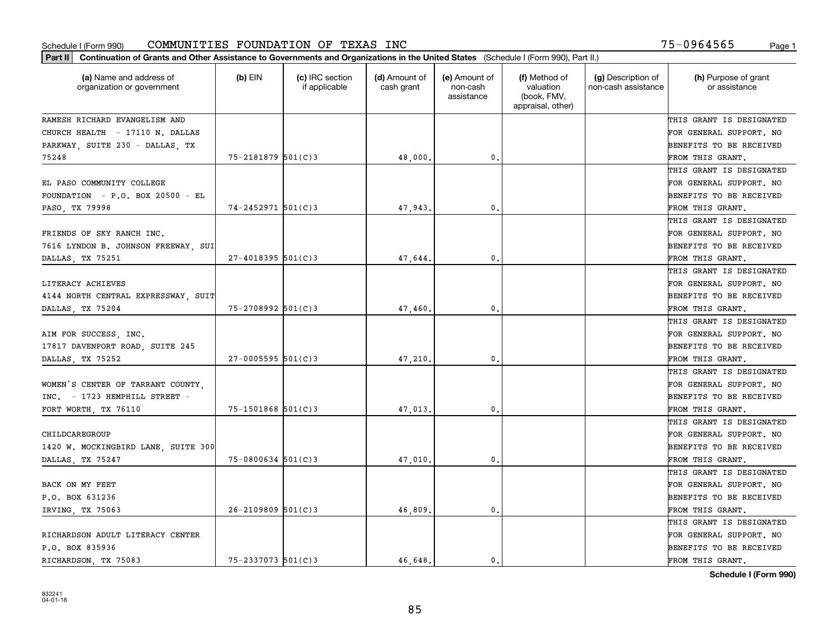| Part II   Continuation of Grants and Other Assistance to Governments and Organizations in the United States (Schedule I (Form 990), Part II.) |                        |                                  |                             |                                         |                                                                |                                           |                                       |
|-----------------------------------------------------------------------------------------------------------------------------------------------|------------------------|----------------------------------|-----------------------------|-----------------------------------------|----------------------------------------------------------------|-------------------------------------------|---------------------------------------|
| (a) Name and address of<br>organization or government                                                                                         | $(b)$ EIN              | (c) IRC section<br>if applicable | (d) Amount of<br>cash grant | (e) Amount of<br>non-cash<br>assistance | (f) Method of<br>valuation<br>(book, FMV,<br>appraisal, other) | (g) Description of<br>non-cash assistance | (h) Purpose of grant<br>or assistance |
| RAMESH RICHARD EVANGELISM AND                                                                                                                 |                        |                                  |                             |                                         |                                                                |                                           | THIS GRANT IS DESIGNATED              |
| CHURCH HEALTH - 17110 N. DALLAS                                                                                                               |                        |                                  |                             |                                         |                                                                |                                           | FOR GENERAL SUPPORT. NO               |
| PARKWAY, SUITE 230 - DALLAS, TX                                                                                                               |                        |                                  |                             |                                         |                                                                |                                           | <b>BENEFITS TO BE RECEIVED</b>        |
| 75248                                                                                                                                         | $75 - 2181879$ 501(C)3 |                                  | 48,000                      | 0.                                      |                                                                |                                           | FROM THIS GRANT.                      |
|                                                                                                                                               |                        |                                  |                             |                                         |                                                                |                                           | THIS GRANT IS DESIGNATED              |
| EL PASO COMMUNITY COLLEGE                                                                                                                     |                        |                                  |                             |                                         |                                                                |                                           | FOR GENERAL SUPPORT. NO               |
| FOUNDATION - P.O. BOX 20500 - EL                                                                                                              |                        |                                  |                             |                                         |                                                                |                                           | BENEFITS TO BE RECEIVED               |
| PASO, TX 79998                                                                                                                                | $74 - 2452971$ 501(C)3 |                                  | 47,943                      | 0.                                      |                                                                |                                           | FROM THIS GRANT.                      |
|                                                                                                                                               |                        |                                  |                             |                                         |                                                                |                                           | THIS GRANT IS DESIGNATED              |
| FRIENDS OF SKY RANCH INC.                                                                                                                     |                        |                                  |                             |                                         |                                                                |                                           | FOR GENERAL SUPPORT. NO               |
| 7616 LYNDON B. JOHNSON FREEWAY, SUI                                                                                                           |                        |                                  |                             |                                         |                                                                |                                           | BENEFITS TO BE RECEIVED               |
| DALLAS, TX 75251                                                                                                                              | $27 - 4018395$ 501(C)3 |                                  | 47,644                      | 0.                                      |                                                                |                                           | FROM THIS GRANT.                      |
|                                                                                                                                               |                        |                                  |                             |                                         |                                                                |                                           | THIS GRANT IS DESIGNATED              |
| LITERACY ACHIEVES                                                                                                                             |                        |                                  |                             |                                         |                                                                |                                           | FOR GENERAL SUPPORT. NO               |
| 4144 NORTH CENTRAL EXPRESSWAY, SUIT                                                                                                           |                        |                                  |                             |                                         |                                                                |                                           | BENEFITS TO BE RECEIVED               |
| DALLAS, TX 75204                                                                                                                              | $75 - 2708992$ 501(C)3 |                                  | 47,460                      | 0.                                      |                                                                |                                           | FROM THIS GRANT.                      |
|                                                                                                                                               |                        |                                  |                             |                                         |                                                                |                                           | THIS GRANT IS DESIGNATED              |
| AIM FOR SUCCESS, INC.                                                                                                                         |                        |                                  |                             |                                         |                                                                |                                           | FOR GENERAL SUPPORT. NO               |
| 17817 DAVENPORT ROAD, SUITE 245                                                                                                               |                        |                                  |                             |                                         |                                                                |                                           | BENEFITS TO BE RECEIVED               |
| DALLAS, TX 75252                                                                                                                              | $27-0005595$ 501(C)3   |                                  | 47,210                      | 0.                                      |                                                                |                                           | FROM THIS GRANT.                      |
|                                                                                                                                               |                        |                                  |                             |                                         |                                                                |                                           | THIS GRANT IS DESIGNATED              |
| WOMEN'S CENTER OF TARRANT COUNTY.                                                                                                             |                        |                                  |                             |                                         |                                                                |                                           | FOR GENERAL SUPPORT. NO               |
| INC. - 1723 HEMPHILL STREET -                                                                                                                 |                        |                                  |                             |                                         |                                                                |                                           | <b>BENEFITS TO BE RECEIVED</b>        |
| FORT WORTH, TX 76110                                                                                                                          | $75 - 1501868$ 501(C)3 |                                  | 47,013                      | 0.                                      |                                                                |                                           | FROM THIS GRANT.                      |
|                                                                                                                                               |                        |                                  |                             |                                         |                                                                |                                           | THIS GRANT IS DESIGNATED              |
| CHILDCAREGROUP                                                                                                                                |                        |                                  |                             |                                         |                                                                |                                           | FOR GENERAL SUPPORT. NO               |
| 1420 W. MOCKINGBIRD LANE, SUITE 300                                                                                                           |                        |                                  |                             |                                         |                                                                |                                           | <b>BENEFITS TO BE RECEIVED</b>        |
| DALLAS, TX 75247                                                                                                                              | $75 - 0800634$ 501(C)3 |                                  | 47,010                      | $\mathbf{0}$ .                          |                                                                |                                           | FROM THIS GRANT.                      |
|                                                                                                                                               |                        |                                  |                             |                                         |                                                                |                                           | THIS GRANT IS DESIGNATED              |
| BACK ON MY FEET                                                                                                                               |                        |                                  |                             |                                         |                                                                |                                           | FOR GENERAL SUPPORT. NO               |
| P.O. BOX 631236                                                                                                                               |                        |                                  |                             |                                         |                                                                |                                           | BENEFITS TO BE RECEIVED               |
| IRVING, TX 75063                                                                                                                              | $26 - 2109809$ 501(C)3 |                                  | 46,809                      | $\mathfrak o$ .                         |                                                                |                                           | FROM THIS GRANT.                      |
|                                                                                                                                               |                        |                                  |                             |                                         |                                                                |                                           | THIS GRANT IS DESIGNATED              |
| RICHARDSON ADULT LITERACY CENTER                                                                                                              |                        |                                  |                             |                                         |                                                                |                                           | FOR GENERAL SUPPORT. NO               |
| P.O. BOX 835936                                                                                                                               |                        |                                  |                             |                                         |                                                                |                                           | BENEFITS TO BE RECEIVED               |
| RICHARDSON, TX 75083                                                                                                                          | $75 - 2337073$ 501(C)3 |                                  | 46.648.                     | 0.                                      |                                                                |                                           | FROM THIS GRANT.                      |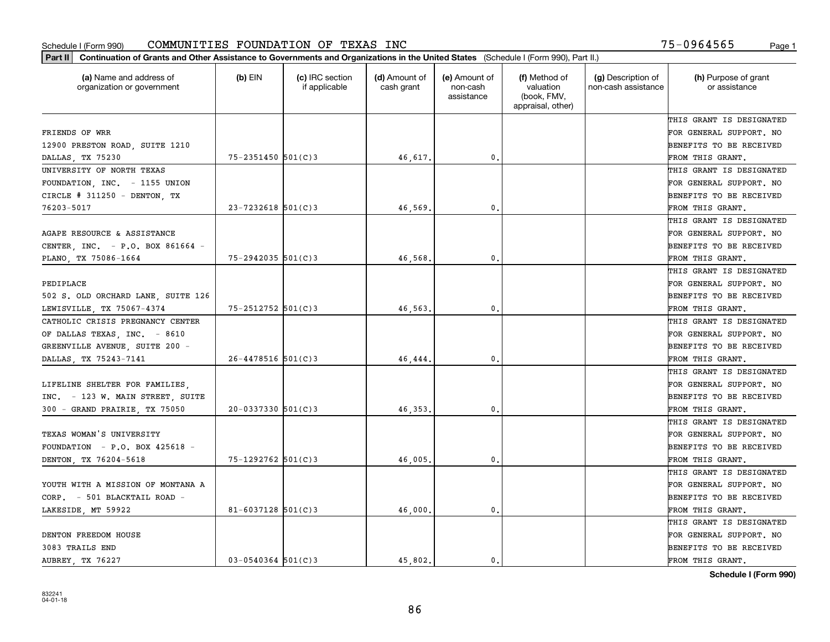| (a) Name and address of<br>organization or government | $(b)$ EIN              | (c) IRC section<br>if applicable | (d) Amount of<br>cash grant | (e) Amount of<br>non-cash<br>assistance | (f) Method of<br>valuation<br>(book, FMV,<br>appraisal, other) | (g) Description of<br>non-cash assistance | (h) Purpose of grant<br>or assistance |
|-------------------------------------------------------|------------------------|----------------------------------|-----------------------------|-----------------------------------------|----------------------------------------------------------------|-------------------------------------------|---------------------------------------|
|                                                       |                        |                                  |                             |                                         |                                                                |                                           | THIS GRANT IS DESIGNATED              |
| FRIENDS OF WRR                                        |                        |                                  |                             |                                         |                                                                |                                           | FOR GENERAL SUPPORT. NO               |
| 12900 PRESTON ROAD, SUITE 1210                        |                        |                                  |                             |                                         |                                                                |                                           | BENEFITS TO BE RECEIVED               |
| DALLAS, TX 75230                                      | $75 - 2351450$ 501(C)3 |                                  | 46,617.                     | 0.                                      |                                                                |                                           | FROM THIS GRANT.                      |
| UNIVERSITY OF NORTH TEXAS                             |                        |                                  |                             |                                         |                                                                |                                           | THIS GRANT IS DESIGNATED              |
| FOUNDATION, INC. - 1155 UNION                         |                        |                                  |                             |                                         |                                                                |                                           | FOR GENERAL SUPPORT. NO               |
| CIRCLE $# 311250 -$ DENTON, TX                        |                        |                                  |                             |                                         |                                                                |                                           | BENEFITS TO BE RECEIVED               |
| 76203-5017                                            | $23 - 7232618$ 501(C)3 |                                  | 46.569                      | $\mathbf{0}$                            |                                                                |                                           | FROM THIS GRANT.                      |
|                                                       |                        |                                  |                             |                                         |                                                                |                                           | THIS GRANT IS DESIGNATED              |
| AGAPE RESOURCE & ASSISTANCE                           |                        |                                  |                             |                                         |                                                                |                                           | FOR GENERAL SUPPORT. NO               |
| CENTER, INC. - P.O. BOX 861664 -                      |                        |                                  |                             |                                         |                                                                |                                           | BENEFITS TO BE RECEIVED               |
| PLANO, TX 75086-1664                                  | $75 - 2942035$ 501(C)3 |                                  | 46,568                      | 0.                                      |                                                                |                                           | FROM THIS GRANT.                      |
|                                                       |                        |                                  |                             |                                         |                                                                |                                           | THIS GRANT IS DESIGNATED              |
| PEDIPLACE                                             |                        |                                  |                             |                                         |                                                                |                                           | FOR GENERAL SUPPORT. NO               |
| 502 S. OLD ORCHARD LANE, SUITE 126                    |                        |                                  |                             |                                         |                                                                |                                           | <b>BENEFITS TO BE RECEIVED</b>        |
| LEWISVILLE, TX 75067-4374                             | 75-2512752 501(C)3     |                                  | 46,563                      | $\mathbf{0}$ .                          |                                                                |                                           | FROM THIS GRANT.                      |
| CATHOLIC CRISIS PREGNANCY CENTER                      |                        |                                  |                             |                                         |                                                                |                                           | THIS GRANT IS DESIGNATED              |
| OF DALLAS TEXAS, INC. - 8610                          |                        |                                  |                             |                                         |                                                                |                                           | FOR GENERAL SUPPORT. NO               |
| GREENVILLE AVENUE, SUITE 200 -                        |                        |                                  |                             |                                         |                                                                |                                           | BENEFITS TO BE RECEIVED               |
| DALLAS, TX 75243-7141                                 | $26 - 4478516$ 501(C)3 |                                  | 46,444                      | $\mathbf{0}$                            |                                                                |                                           | FROM THIS GRANT.                      |
|                                                       |                        |                                  |                             |                                         |                                                                |                                           | THIS GRANT IS DESIGNATED              |
| LIFELINE SHELTER FOR FAMILIES                         |                        |                                  |                             |                                         |                                                                |                                           | FOR GENERAL SUPPORT. NO               |
| INC. - 123 W. MAIN STREET, SUITE                      |                        |                                  |                             |                                         |                                                                |                                           | BENEFITS TO BE RECEIVED               |
| 300 - GRAND PRAIRIE, TX 75050                         | $20 - 0337330$ 501(C)3 |                                  | 46, 353,                    | $\mathbf{0}$ .                          |                                                                |                                           | FROM THIS GRANT.                      |
|                                                       |                        |                                  |                             |                                         |                                                                |                                           | THIS GRANT IS DESIGNATED              |
| TEXAS WOMAN'S UNIVERSITY                              |                        |                                  |                             |                                         |                                                                |                                           | FOR GENERAL SUPPORT. NO               |
| FOUNDATION - $P.O.$ BOX 425618 -                      |                        |                                  |                             |                                         |                                                                |                                           | BENEFITS TO BE RECEIVED               |
| DENTON, TX 76204-5618                                 | 75-1292762 501(C)3     |                                  | 46,005.                     | 0.                                      |                                                                |                                           | FROM THIS GRANT.                      |
|                                                       |                        |                                  |                             |                                         |                                                                |                                           | THIS GRANT IS DESIGNATED              |
| YOUTH WITH A MISSION OF MONTANA A                     |                        |                                  |                             |                                         |                                                                |                                           | FOR GENERAL SUPPORT. NO               |
| CORP. - 501 BLACKTAIL ROAD -                          |                        |                                  |                             |                                         |                                                                |                                           | BENEFITS TO BE RECEIVED               |
| LAKESIDE, MT 59922                                    | 81-6037128 $501(C)3$   |                                  | 46,000.                     | 0.                                      |                                                                |                                           | FROM THIS GRANT.                      |
|                                                       |                        |                                  |                             |                                         |                                                                |                                           | THIS GRANT IS DESIGNATED              |
| DENTON FREEDOM HOUSE                                  |                        |                                  |                             |                                         |                                                                |                                           | FOR GENERAL SUPPORT. NO               |
| 3083 TRAILS END                                       |                        |                                  |                             |                                         |                                                                |                                           | BENEFITS TO BE RECEIVED               |
|                                                       | $03 - 0540364$ 501(C)3 |                                  | 45.802.                     | $\mathbf{0}$ .                          |                                                                |                                           | FROM THIS GRANT.                      |
| AUBREY TX 76227                                       |                        |                                  |                             |                                         |                                                                |                                           |                                       |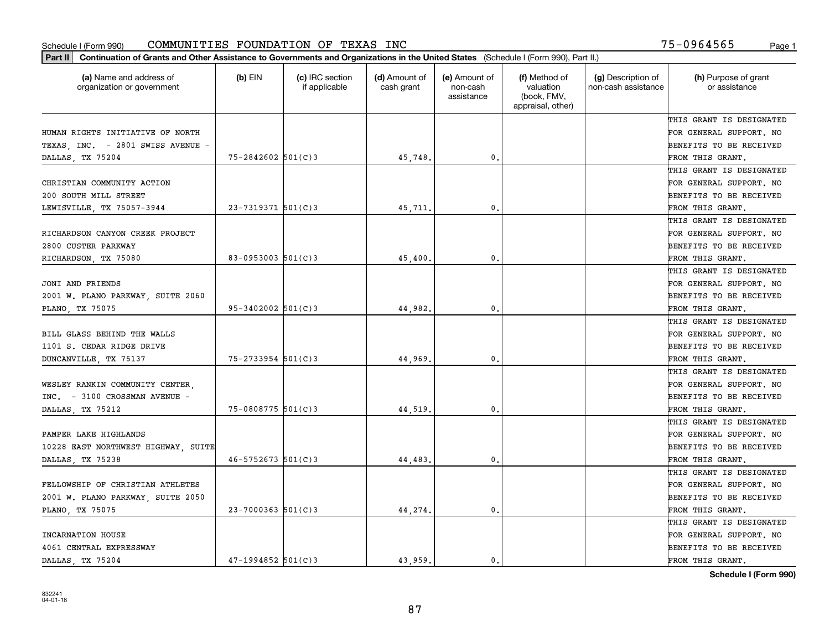| Part II   Continuation of Grants and Other Assistance to Governments and Organizations in the United States (Schedule I (Form 990), Part II.) |                        |                                  |                             |                                         |                                                                |                                           |                                       |
|-----------------------------------------------------------------------------------------------------------------------------------------------|------------------------|----------------------------------|-----------------------------|-----------------------------------------|----------------------------------------------------------------|-------------------------------------------|---------------------------------------|
| (a) Name and address of<br>organization or government                                                                                         | $(b)$ EIN              | (c) IRC section<br>if applicable | (d) Amount of<br>cash grant | (e) Amount of<br>non-cash<br>assistance | (f) Method of<br>valuation<br>(book, FMV,<br>appraisal, other) | (g) Description of<br>non-cash assistance | (h) Purpose of grant<br>or assistance |
|                                                                                                                                               |                        |                                  |                             |                                         |                                                                |                                           | THIS GRANT IS DESIGNATED              |
| HUMAN RIGHTS INITIATIVE OF NORTH                                                                                                              |                        |                                  |                             |                                         |                                                                |                                           | FOR GENERAL SUPPORT. NO               |
| TEXAS, INC. - 2801 SWISS AVENUE -                                                                                                             |                        |                                  |                             |                                         |                                                                |                                           | BENEFITS TO BE RECEIVED               |
| DALLAS, TX 75204                                                                                                                              | $75 - 2842602$ 501(C)3 |                                  | 45,748.                     | 0.                                      |                                                                |                                           | FROM THIS GRANT.                      |
|                                                                                                                                               |                        |                                  |                             |                                         |                                                                |                                           | THIS GRANT IS DESIGNATED              |
| CHRISTIAN COMMUNITY ACTION                                                                                                                    |                        |                                  |                             |                                         |                                                                |                                           | FOR GENERAL SUPPORT. NO               |
| 200 SOUTH MILL STREET                                                                                                                         |                        |                                  |                             |                                         |                                                                |                                           | BENEFITS TO BE RECEIVED               |
| LEWISVILLE, TX 75057-3944                                                                                                                     | $23 - 7319371$ 501(C)3 |                                  | 45,711.                     | 0.                                      |                                                                |                                           | FROM THIS GRANT.                      |
|                                                                                                                                               |                        |                                  |                             |                                         |                                                                |                                           | THIS GRANT IS DESIGNATED              |
| RICHARDSON CANYON CREEK PROJECT                                                                                                               |                        |                                  |                             |                                         |                                                                |                                           | FOR GENERAL SUPPORT. NO               |
| 2800 CUSTER PARKWAY                                                                                                                           |                        |                                  |                             |                                         |                                                                |                                           | BENEFITS TO BE RECEIVED               |
| RICHARDSON, TX 75080                                                                                                                          | 83-0953003 $501(C)$ 3  |                                  | 45,400.                     | 0.                                      |                                                                |                                           | FROM THIS GRANT.                      |
|                                                                                                                                               |                        |                                  |                             |                                         |                                                                |                                           | THIS GRANT IS DESIGNATED              |
| JONI AND FRIENDS                                                                                                                              |                        |                                  |                             |                                         |                                                                |                                           | FOR GENERAL SUPPORT. NO               |
| 2001 W. PLANO PARKWAY, SUITE 2060                                                                                                             |                        |                                  |                             |                                         |                                                                |                                           | <b>BENEFITS TO BE RECEIVED</b>        |
| PLANO, TX 75075                                                                                                                               | $95 - 3402002$ 501(C)3 |                                  | 44,982.                     | $\mathbf{0}$ .                          |                                                                |                                           | FROM THIS GRANT.                      |
|                                                                                                                                               |                        |                                  |                             |                                         |                                                                |                                           | THIS GRANT IS DESIGNATED              |
| BILL GLASS BEHIND THE WALLS                                                                                                                   |                        |                                  |                             |                                         |                                                                |                                           | FOR GENERAL SUPPORT. NO               |
| 1101 S. CEDAR RIDGE DRIVE                                                                                                                     |                        |                                  |                             |                                         |                                                                |                                           | BENEFITS TO BE RECEIVED               |
| DUNCANVILLE, TX 75137                                                                                                                         | $75 - 2733954$ 501(C)3 |                                  | 44,969                      | 0.                                      |                                                                |                                           | FROM THIS GRANT.                      |
|                                                                                                                                               |                        |                                  |                             |                                         |                                                                |                                           | THIS GRANT IS DESIGNATED              |
| WESLEY RANKIN COMMUNITY CENTER,                                                                                                               |                        |                                  |                             |                                         |                                                                |                                           | FOR GENERAL SUPPORT. NO               |
| INC. - 3100 CROSSMAN AVENUE -                                                                                                                 |                        |                                  |                             |                                         |                                                                |                                           | BENEFITS TO BE RECEIVED               |
| DALLAS, TX 75212                                                                                                                              | 75-0808775 501(C)3     |                                  | 44,519                      | $\mathfrak{o}$ .                        |                                                                |                                           | FROM THIS GRANT.                      |
|                                                                                                                                               |                        |                                  |                             |                                         |                                                                |                                           | THIS GRANT IS DESIGNATED              |
| PAMPER LAKE HIGHLANDS                                                                                                                         |                        |                                  |                             |                                         |                                                                |                                           | FOR GENERAL SUPPORT. NO               |
| 10228 EAST NORTHWEST HIGHWAY, SUITE                                                                                                           |                        |                                  |                             |                                         |                                                                |                                           | BENEFITS TO BE RECEIVED               |
| DALLAS, TX 75238                                                                                                                              | $46 - 5752673$ 501(C)3 |                                  | 44,483.                     | 0.                                      |                                                                |                                           | FROM THIS GRANT.                      |
|                                                                                                                                               |                        |                                  |                             |                                         |                                                                |                                           | THIS GRANT IS DESIGNATED              |
| FELLOWSHIP OF CHRISTIAN ATHLETES                                                                                                              |                        |                                  |                             |                                         |                                                                |                                           | FOR GENERAL SUPPORT. NO               |
| 2001 W. PLANO PARKWAY, SUITE 2050                                                                                                             |                        |                                  |                             |                                         |                                                                |                                           | BENEFITS TO BE RECEIVED               |
| PLANO, TX 75075                                                                                                                               | $23 - 7000363$ 501(C)3 |                                  | 44,274.                     | 0.                                      |                                                                |                                           | FROM THIS GRANT.                      |
|                                                                                                                                               |                        |                                  |                             |                                         |                                                                |                                           | THIS GRANT IS DESIGNATED              |
| INCARNATION HOUSE                                                                                                                             |                        |                                  |                             |                                         |                                                                |                                           | FOR GENERAL SUPPORT. NO               |
| 4061 CENTRAL EXPRESSWAY                                                                                                                       |                        |                                  |                             |                                         |                                                                |                                           | <b>BENEFITS TO BE RECEIVED</b>        |
| DALLAS, TX 75204                                                                                                                              | $47 - 1994852$ 501(C)3 |                                  | 43.959.                     | 0.                                      |                                                                |                                           | FROM THIS GRANT.                      |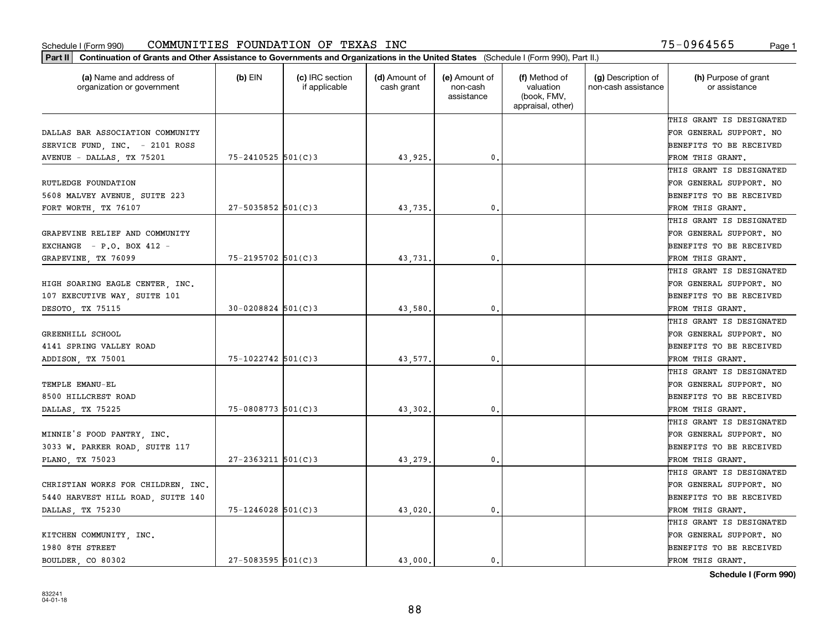| Part II   Continuation of Grants and Other Assistance to Governments and Organizations in the United States (Schedule I (Form 990), Part II.) |                        |                                  |                             |                                         |                                                                |                                           |                                       |
|-----------------------------------------------------------------------------------------------------------------------------------------------|------------------------|----------------------------------|-----------------------------|-----------------------------------------|----------------------------------------------------------------|-------------------------------------------|---------------------------------------|
| (a) Name and address of<br>organization or government                                                                                         | $(b)$ EIN              | (c) IRC section<br>if applicable | (d) Amount of<br>cash grant | (e) Amount of<br>non-cash<br>assistance | (f) Method of<br>valuation<br>(book, FMV,<br>appraisal, other) | (g) Description of<br>non-cash assistance | (h) Purpose of grant<br>or assistance |
|                                                                                                                                               |                        |                                  |                             |                                         |                                                                |                                           | THIS GRANT IS DESIGNATED              |
| DALLAS BAR ASSOCIATION COMMUNITY                                                                                                              |                        |                                  |                             |                                         |                                                                |                                           | FOR GENERAL SUPPORT. NO               |
| SERVICE FUND, INC. - 2101 ROSS                                                                                                                |                        |                                  |                             |                                         |                                                                |                                           | BENEFITS TO BE RECEIVED               |
| AVENUE - DALLAS, TX 75201                                                                                                                     | $75 - 2410525$ 501(C)3 |                                  | 43,925.                     | 0.                                      |                                                                |                                           | FROM THIS GRANT.                      |
|                                                                                                                                               |                        |                                  |                             |                                         |                                                                |                                           | THIS GRANT IS DESIGNATED              |
| RUTLEDGE FOUNDATION                                                                                                                           |                        |                                  |                             |                                         |                                                                |                                           | FOR GENERAL SUPPORT. NO               |
| 5608 MALVEY AVENUE, SUITE 223                                                                                                                 |                        |                                  |                             |                                         |                                                                |                                           | BENEFITS TO BE RECEIVED               |
| FORT WORTH, TX 76107                                                                                                                          | $27 - 5035852$ 501(C)3 |                                  | 43,735.                     | $\mathbf{0}$                            |                                                                |                                           | FROM THIS GRANT.                      |
|                                                                                                                                               |                        |                                  |                             |                                         |                                                                |                                           | THIS GRANT IS DESIGNATED              |
| GRAPEVINE RELIEF AND COMMUNITY                                                                                                                |                        |                                  |                             |                                         |                                                                |                                           | FOR GENERAL SUPPORT. NO               |
| EXCHANGE $- P.0. BOX 412 -$                                                                                                                   |                        |                                  |                             |                                         |                                                                |                                           | BENEFITS TO BE RECEIVED               |
| GRAPEVINE, TX 76099                                                                                                                           | 75-2195702 501(C)3     |                                  | 43,731.                     | 0.                                      |                                                                |                                           | FROM THIS GRANT.                      |
|                                                                                                                                               |                        |                                  |                             |                                         |                                                                |                                           | THIS GRANT IS DESIGNATED              |
| HIGH SOARING EAGLE CENTER, INC.                                                                                                               |                        |                                  |                             |                                         |                                                                |                                           | FOR GENERAL SUPPORT. NO               |
| 107 EXECUTIVE WAY, SUITE 101                                                                                                                  |                        |                                  |                             |                                         |                                                                |                                           | <b>BENEFITS TO BE RECEIVED</b>        |
| DESOTO, TX 75115                                                                                                                              | $30 - 0208824$ 501(C)3 |                                  | 43,580.                     | $\mathbf{0}$ .                          |                                                                |                                           | FROM THIS GRANT.                      |
|                                                                                                                                               |                        |                                  |                             |                                         |                                                                |                                           | THIS GRANT IS DESIGNATED              |
| GREENHILL SCHOOL                                                                                                                              |                        |                                  |                             |                                         |                                                                |                                           | FOR GENERAL SUPPORT. NO               |
| 4141 SPRING VALLEY ROAD                                                                                                                       |                        |                                  |                             |                                         |                                                                |                                           | BENEFITS TO BE RECEIVED               |
| ADDISON, TX 75001                                                                                                                             | 75-1022742 501(C)3     |                                  | 43,577.                     | $\mathbf{0}$                            |                                                                |                                           | FROM THIS GRANT.                      |
|                                                                                                                                               |                        |                                  |                             |                                         |                                                                |                                           | THIS GRANT IS DESIGNATED              |
| TEMPLE EMANU-EL                                                                                                                               |                        |                                  |                             |                                         |                                                                |                                           | FOR GENERAL SUPPORT. NO               |
| 8500 HILLCREST ROAD                                                                                                                           |                        |                                  |                             |                                         |                                                                |                                           | BENEFITS TO BE RECEIVED               |
| DALLAS, TX 75225                                                                                                                              | $75 - 0808773$ 501(C)3 |                                  | 43,302.                     | 0.                                      |                                                                |                                           | FROM THIS GRANT.                      |
|                                                                                                                                               |                        |                                  |                             |                                         |                                                                |                                           | THIS GRANT IS DESIGNATED              |
| MINNIE'S FOOD PANTRY, INC.                                                                                                                    |                        |                                  |                             |                                         |                                                                |                                           | FOR GENERAL SUPPORT. NO               |
| 3033 W. PARKER ROAD, SUITE 117                                                                                                                |                        |                                  |                             |                                         |                                                                |                                           | BENEFITS TO BE RECEIVED               |
| PLANO, TX 75023                                                                                                                               | $27 - 2363211$ 501(C)3 |                                  | 43,279                      | 0.                                      |                                                                |                                           | FROM THIS GRANT.                      |
|                                                                                                                                               |                        |                                  |                             |                                         |                                                                |                                           | THIS GRANT IS DESIGNATED              |
| CHRISTIAN WORKS FOR CHILDREN, INC.                                                                                                            |                        |                                  |                             |                                         |                                                                |                                           | FOR GENERAL SUPPORT. NO               |
| 5440 HARVEST HILL ROAD, SUITE 140                                                                                                             |                        |                                  |                             |                                         |                                                                |                                           | BENEFITS TO BE RECEIVED               |
| DALLAS, TX 75230                                                                                                                              | $75 - 1246028$ 501(C)3 |                                  | 43,020.                     | $\mathbf{0}$ .                          |                                                                |                                           | FROM THIS GRANT.                      |
|                                                                                                                                               |                        |                                  |                             |                                         |                                                                |                                           | THIS GRANT IS DESIGNATED              |
| KITCHEN COMMUNITY, INC.                                                                                                                       |                        |                                  |                             |                                         |                                                                |                                           | FOR GENERAL SUPPORT. NO               |
| 1980 8TH STREET                                                                                                                               |                        |                                  |                             |                                         |                                                                |                                           | <b>BENEFITS TO BE RECEIVED</b>        |
| BOULDER CO 80302                                                                                                                              | $27 - 5083595$ 501(C)3 |                                  | 43.000.                     | 0.                                      |                                                                |                                           | FROM THIS GRANT.                      |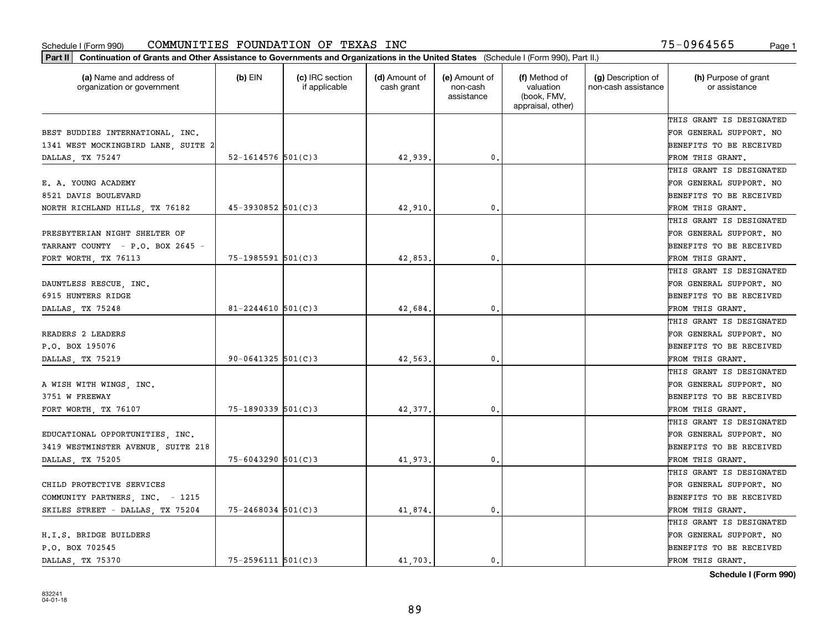| Part II   Continuation of Grants and Other Assistance to Governments and Organizations in the United States (Schedule I (Form 990), Part II.) |                          |                                  |                             |                                         |                                                                |                                           |                                       |
|-----------------------------------------------------------------------------------------------------------------------------------------------|--------------------------|----------------------------------|-----------------------------|-----------------------------------------|----------------------------------------------------------------|-------------------------------------------|---------------------------------------|
| (a) Name and address of<br>organization or government                                                                                         | $(b)$ EIN                | (c) IRC section<br>if applicable | (d) Amount of<br>cash grant | (e) Amount of<br>non-cash<br>assistance | (f) Method of<br>valuation<br>(book, FMV,<br>appraisal, other) | (g) Description of<br>non-cash assistance | (h) Purpose of grant<br>or assistance |
|                                                                                                                                               |                          |                                  |                             |                                         |                                                                |                                           | THIS GRANT IS DESIGNATED              |
| BEST BUDDIES INTERNATIONAL, INC.                                                                                                              |                          |                                  |                             |                                         |                                                                |                                           | FOR GENERAL SUPPORT. NO               |
| 1341 WEST MOCKINGBIRD LANE, SUITE 2                                                                                                           |                          |                                  |                             |                                         |                                                                |                                           | BENEFITS TO BE RECEIVED               |
| DALLAS, TX 75247                                                                                                                              | $52 - 1614576$ 501(C)3   |                                  | 42,939.                     | 0.                                      |                                                                |                                           | FROM THIS GRANT.                      |
|                                                                                                                                               |                          |                                  |                             |                                         |                                                                |                                           | THIS GRANT IS DESIGNATED              |
| E. A. YOUNG ACADEMY                                                                                                                           |                          |                                  |                             |                                         |                                                                |                                           | FOR GENERAL SUPPORT. NO               |
| 8521 DAVIS BOULEVARD                                                                                                                          |                          |                                  |                             |                                         |                                                                |                                           | BENEFITS TO BE RECEIVED               |
| NORTH RICHLAND HILLS, TX 76182                                                                                                                | $45 - 3930852$ 501(C)3   |                                  | 42,910.                     | 0.                                      |                                                                |                                           | FROM THIS GRANT.                      |
|                                                                                                                                               |                          |                                  |                             |                                         |                                                                |                                           | THIS GRANT IS DESIGNATED              |
| PRESBYTERIAN NIGHT SHELTER OF                                                                                                                 |                          |                                  |                             |                                         |                                                                |                                           | FOR GENERAL SUPPORT. NO               |
| TARRANT COUNTY - P.O. BOX 2645 -                                                                                                              |                          |                                  |                             |                                         |                                                                |                                           | BENEFITS TO BE RECEIVED               |
| FORT WORTH, TX 76113                                                                                                                          | $75 - 1985591$ 501(C)3   |                                  | 42,853.                     | 0.                                      |                                                                |                                           | FROM THIS GRANT.                      |
|                                                                                                                                               |                          |                                  |                             |                                         |                                                                |                                           | THIS GRANT IS DESIGNATED              |
| DAUNTLESS RESCUE, INC.                                                                                                                        |                          |                                  |                             |                                         |                                                                |                                           | FOR GENERAL SUPPORT. NO               |
| 6915 HUNTERS RIDGE                                                                                                                            |                          |                                  |                             |                                         |                                                                |                                           | <b>BENEFITS TO BE RECEIVED</b>        |
| DALLAS, TX 75248                                                                                                                              | 81-2244610 $501(C)3$     |                                  | 42,684.                     | $\mathbf{0}$ .                          |                                                                |                                           | FROM THIS GRANT.                      |
|                                                                                                                                               |                          |                                  |                             |                                         |                                                                |                                           | THIS GRANT IS DESIGNATED              |
| READERS 2 LEADERS                                                                                                                             |                          |                                  |                             |                                         |                                                                |                                           | FOR GENERAL SUPPORT. NO               |
| P.O. BOX 195076                                                                                                                               |                          |                                  |                             |                                         |                                                                |                                           | BENEFITS TO BE RECEIVED               |
| DALLAS, TX 75219                                                                                                                              | $90 - 0641325$ 501(C)3   |                                  | 42,563                      | 0.                                      |                                                                |                                           | FROM THIS GRANT.                      |
|                                                                                                                                               |                          |                                  |                             |                                         |                                                                |                                           | THIS GRANT IS DESIGNATED              |
| A WISH WITH WINGS, INC.                                                                                                                       |                          |                                  |                             |                                         |                                                                |                                           | FOR GENERAL SUPPORT. NO               |
| 3751 W FREEWAY                                                                                                                                |                          |                                  |                             |                                         |                                                                |                                           | BENEFITS TO BE RECEIVED               |
| FORT WORTH, TX 76107                                                                                                                          | $75 - 1890339$ $501(C)3$ |                                  | 42,377.                     | $\mathfrak{o}$ .                        |                                                                |                                           | FROM THIS GRANT.                      |
|                                                                                                                                               |                          |                                  |                             |                                         |                                                                |                                           | THIS GRANT IS DESIGNATED              |
| EDUCATIONAL OPPORTUNITIES, INC.                                                                                                               |                          |                                  |                             |                                         |                                                                |                                           | FOR GENERAL SUPPORT. NO               |
| 3419 WESTMINSTER AVENUE, SUITE 218                                                                                                            |                          |                                  |                             |                                         |                                                                |                                           | BENEFITS TO BE RECEIVED               |
| DALLAS, TX 75205                                                                                                                              | $75 - 6043290$ 501(C)3   |                                  | 41,973.                     | 0.                                      |                                                                |                                           | FROM THIS GRANT.                      |
|                                                                                                                                               |                          |                                  |                             |                                         |                                                                |                                           | THIS GRANT IS DESIGNATED              |
| CHILD PROTECTIVE SERVICES                                                                                                                     |                          |                                  |                             |                                         |                                                                |                                           | FOR GENERAL SUPPORT. NO               |
| COMMUNITY PARTNERS, INC. - 1215                                                                                                               |                          |                                  |                             |                                         |                                                                |                                           | BENEFITS TO BE RECEIVED               |
| SKILES STREET - DALLAS, TX 75204                                                                                                              | $75 - 2468034$ 501(C)3   |                                  | 41,874.                     | 0.                                      |                                                                |                                           | FROM THIS GRANT.                      |
|                                                                                                                                               |                          |                                  |                             |                                         |                                                                |                                           | THIS GRANT IS DESIGNATED              |
| H.I.S. BRIDGE BUILDERS                                                                                                                        |                          |                                  |                             |                                         |                                                                |                                           | FOR GENERAL SUPPORT. NO               |
| P.O. BOX 702545                                                                                                                               |                          |                                  |                             |                                         |                                                                |                                           | <b>BENEFITS TO BE RECEIVED</b>        |
| DALLAS, TX 75370                                                                                                                              | $75 - 2596111$ 501(C)3   |                                  | 41.703.                     | 0.                                      |                                                                |                                           | FROM THIS GRANT.                      |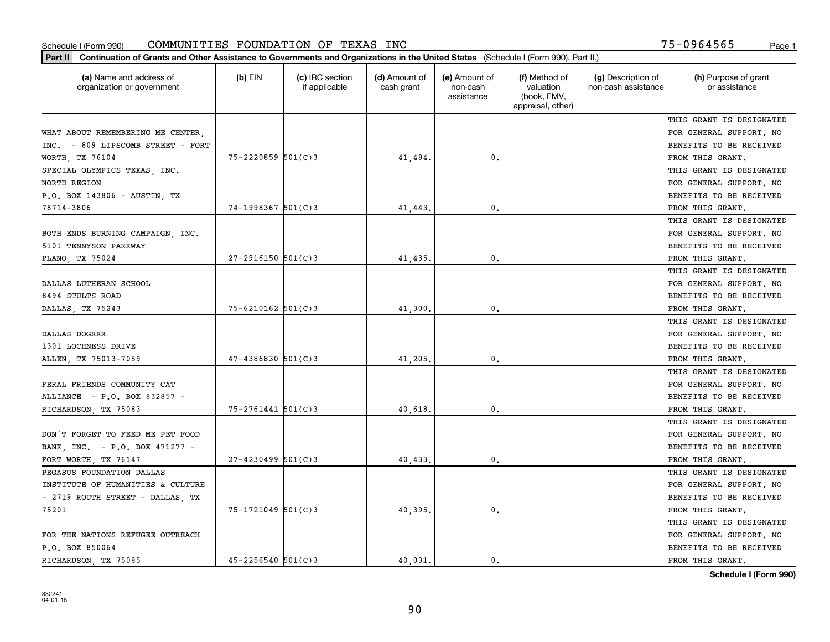| (a) Name and address of<br>organization or government | $(b)$ EIN              | (c) IRC section<br>if applicable | (d) Amount of<br>cash grant | (e) Amount of<br>non-cash<br>assistance | (f) Method of<br>valuation<br>(book, FMV,<br>appraisal, other) | (g) Description of<br>non-cash assistance | (h) Purpose of grant<br>or assistance |
|-------------------------------------------------------|------------------------|----------------------------------|-----------------------------|-----------------------------------------|----------------------------------------------------------------|-------------------------------------------|---------------------------------------|
|                                                       |                        |                                  |                             |                                         |                                                                |                                           | THIS GRANT IS DESIGNATED              |
| WHAT ABOUT REMEMBERING ME CENTER.                     |                        |                                  |                             |                                         |                                                                |                                           | FOR GENERAL SUPPORT. NO               |
| INC. - 809 LIPSCOMB STREET - FORT                     |                        |                                  |                             |                                         |                                                                |                                           | BENEFITS TO BE RECEIVED               |
| WORTH, TX 76104                                       | $75 - 2220859$ 501(C)3 |                                  | 41,484.                     | $\mathfrak{o}$ .                        |                                                                |                                           | FROM THIS GRANT.                      |
| SPECIAL OLYMPICS TEXAS, INC.                          |                        |                                  |                             |                                         |                                                                |                                           | THIS GRANT IS DESIGNATED              |
| <b>NORTH REGION</b>                                   |                        |                                  |                             |                                         |                                                                |                                           | FOR GENERAL SUPPORT. NO               |
| P.O. BOX 143806 - AUSTIN, TX                          |                        |                                  |                             |                                         |                                                                |                                           | BENEFITS TO BE RECEIVED               |
| 78714-3806                                            | 74-1998367 501(C)3     |                                  | 41,443                      | $\mathbf{0}$                            |                                                                |                                           | FROM THIS GRANT.                      |
|                                                       |                        |                                  |                             |                                         |                                                                |                                           | THIS GRANT IS DESIGNATED              |
| BOTH ENDS BURNING CAMPAIGN, INC.                      |                        |                                  |                             |                                         |                                                                |                                           | FOR GENERAL SUPPORT. NO               |
| 5101 TENNYSON PARKWAY                                 |                        |                                  |                             |                                         |                                                                |                                           | BENEFITS TO BE RECEIVED               |
| PLANO, TX 75024                                       | $27 - 2916150$ 501(C)3 |                                  | 41,435                      | $\mathbf{0}$ .                          |                                                                |                                           | FROM THIS GRANT.                      |
|                                                       |                        |                                  |                             |                                         |                                                                |                                           | THIS GRANT IS DESIGNATED              |
| DALLAS LUTHERAN SCHOOL                                |                        |                                  |                             |                                         |                                                                |                                           | FOR GENERAL SUPPORT. NO               |
| 8494 STULTS ROAD                                      |                        |                                  |                             |                                         |                                                                |                                           | BENEFITS TO BE RECEIVED               |
| DALLAS, TX 75243                                      | $75 - 6210162$ 501(C)3 |                                  | 41,300                      | 0.                                      |                                                                |                                           | FROM THIS GRANT.                      |
|                                                       |                        |                                  |                             |                                         |                                                                |                                           | THIS GRANT IS DESIGNATED              |
| <b>DALLAS DOGRRR</b>                                  |                        |                                  |                             |                                         |                                                                |                                           | FOR GENERAL SUPPORT. NO               |
| 1301 LOCHNESS DRIVE                                   |                        |                                  |                             |                                         |                                                                |                                           | BENEFITS TO BE RECEIVED               |
| ALLEN, TX 75013-7059                                  | $47 - 4386830$ 501(C)3 |                                  | 41,205                      | 0.                                      |                                                                |                                           | FROM THIS GRANT.                      |
|                                                       |                        |                                  |                             |                                         |                                                                |                                           | THIS GRANT IS DESIGNATED              |
| FERAL FRIENDS COMMUNITY CAT                           |                        |                                  |                             |                                         |                                                                |                                           | FOR GENERAL SUPPORT. NO               |
| ALLIANCE - P.O. BOX 832857 -                          |                        |                                  |                             |                                         |                                                                |                                           | BENEFITS TO BE RECEIVED               |
| RICHARDSON, TX 75083                                  | $75 - 2761441$ 501(C)3 |                                  | 40,618                      | 0.                                      |                                                                |                                           | FROM THIS GRANT.                      |
|                                                       |                        |                                  |                             |                                         |                                                                |                                           | THIS GRANT IS DESIGNATED              |
| DON'T FORGET TO FEED ME PET FOOD                      |                        |                                  |                             |                                         |                                                                |                                           | FOR GENERAL SUPPORT. NO               |
| BANK, INC. - P.O. BOX 471277 -                        |                        |                                  |                             |                                         |                                                                |                                           | BENEFITS TO BE RECEIVED               |
| FORT WORTH, TX 76147                                  | $27 - 4230499$ 501(C)3 |                                  | 40,433                      | 0.                                      |                                                                |                                           | FROM THIS GRANT.                      |
| PEGASUS FOUNDATION DALLAS                             |                        |                                  |                             |                                         |                                                                |                                           | THIS GRANT IS DESIGNATED              |
| INSTITUTE OF HUMANITIES & CULTURE                     |                        |                                  |                             |                                         |                                                                |                                           | FOR GENERAL SUPPORT. NO               |
| - 2719 ROUTH STREET - DALLAS, TX                      |                        |                                  |                             |                                         |                                                                |                                           | BENEFITS TO BE RECEIVED               |
| 75201                                                 | 75-1721049 501(C)3     |                                  | 40,395.                     | 0.                                      |                                                                |                                           | FROM THIS GRANT.                      |
|                                                       |                        |                                  |                             |                                         |                                                                |                                           | THIS GRANT IS DESIGNATED              |
| FOR THE NATIONS REFUGEE OUTREACH                      |                        |                                  |                             |                                         |                                                                |                                           | FOR GENERAL SUPPORT. NO               |
| P.O. BOX 850064                                       |                        |                                  |                             |                                         |                                                                |                                           | BENEFITS TO BE RECEIVED               |
| RICHARDSON, TX 75085                                  | $45 - 2256540$ 501(C)3 |                                  | 40.031.                     | 0.                                      |                                                                |                                           | FROM THIS GRANT.                      |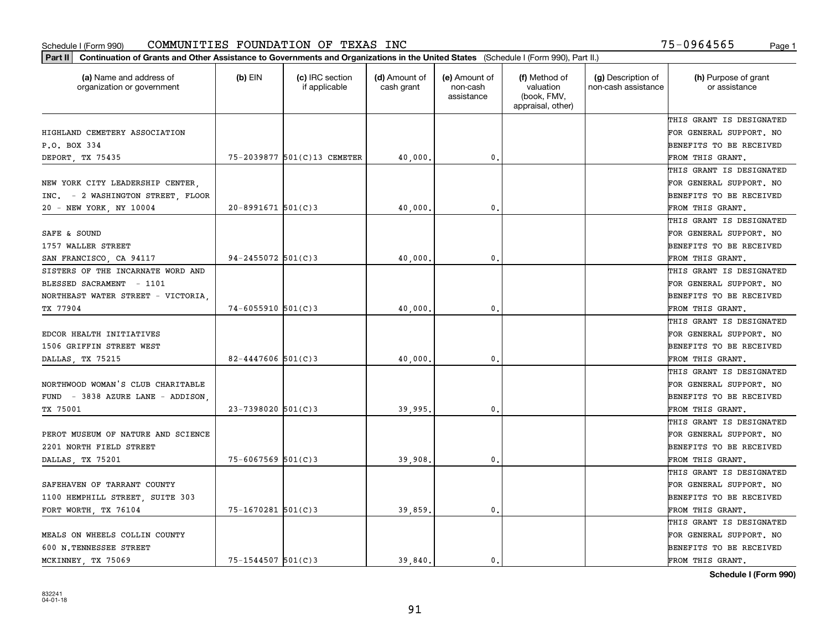| Part II   Continuation of Grants and Other Assistance to Governments and Organizations in the United States (Schedule I (Form 990), Part II.) |                         |                                  |                             |                                         |                                                                |                                           |                                       |
|-----------------------------------------------------------------------------------------------------------------------------------------------|-------------------------|----------------------------------|-----------------------------|-----------------------------------------|----------------------------------------------------------------|-------------------------------------------|---------------------------------------|
| (a) Name and address of<br>organization or government                                                                                         | $(b)$ EIN               | (c) IRC section<br>if applicable | (d) Amount of<br>cash grant | (e) Amount of<br>non-cash<br>assistance | (f) Method of<br>valuation<br>(book, FMV,<br>appraisal, other) | (g) Description of<br>non-cash assistance | (h) Purpose of grant<br>or assistance |
|                                                                                                                                               |                         |                                  |                             |                                         |                                                                |                                           | THIS GRANT IS DESIGNATED              |
| HIGHLAND CEMETERY ASSOCIATION                                                                                                                 |                         |                                  |                             |                                         |                                                                |                                           | FOR GENERAL SUPPORT. NO               |
| P.O. BOX 334                                                                                                                                  |                         |                                  |                             |                                         |                                                                |                                           | BENEFITS TO BE RECEIVED               |
| DEPORT, TX 75435                                                                                                                              |                         | 75-2039877 501(C)13 CEMETER      | 40,000.                     | 0.                                      |                                                                |                                           | FROM THIS GRANT.                      |
|                                                                                                                                               |                         |                                  |                             |                                         |                                                                |                                           | THIS GRANT IS DESIGNATED              |
| NEW YORK CITY LEADERSHIP CENTER.                                                                                                              |                         |                                  |                             |                                         |                                                                |                                           | FOR GENERAL SUPPORT. NO               |
| INC. - 2 WASHINGTON STREET, FLOOR                                                                                                             |                         |                                  |                             |                                         |                                                                |                                           | BENEFITS TO BE RECEIVED               |
| 20 - NEW YORK, NY 10004                                                                                                                       | $20 - 8991671$ 501(C)3  |                                  | 40,000                      | $\mathbf{0}$                            |                                                                |                                           | FROM THIS GRANT.                      |
|                                                                                                                                               |                         |                                  |                             |                                         |                                                                |                                           | THIS GRANT IS DESIGNATED              |
| SAFE & SOUND                                                                                                                                  |                         |                                  |                             |                                         |                                                                |                                           | FOR GENERAL SUPPORT. NO               |
| 1757 WALLER STREET                                                                                                                            |                         |                                  |                             |                                         |                                                                |                                           | BENEFITS TO BE RECEIVED               |
| SAN FRANCISCO, CA 94117                                                                                                                       | $94 - 2455072$ 501(C)3  |                                  | 40,000,                     | $\mathfrak{o}$ .                        |                                                                |                                           | FROM THIS GRANT.                      |
| SISTERS OF THE INCARNATE WORD AND                                                                                                             |                         |                                  |                             |                                         |                                                                |                                           | THIS GRANT IS DESIGNATED              |
| BLESSED SACRAMENT - 1101                                                                                                                      |                         |                                  |                             |                                         |                                                                |                                           | FOR GENERAL SUPPORT. NO               |
| NORTHEAST WATER STREET - VICTORIA,                                                                                                            |                         |                                  |                             |                                         |                                                                |                                           | <b>BENEFITS TO BE RECEIVED</b>        |
| TX 77904                                                                                                                                      | $74 - 6055910$ 501(C)3  |                                  | 40,000.                     | 0.                                      |                                                                |                                           | FROM THIS GRANT.                      |
|                                                                                                                                               |                         |                                  |                             |                                         |                                                                |                                           | THIS GRANT IS DESIGNATED              |
| EDCOR HEALTH INITIATIVES                                                                                                                      |                         |                                  |                             |                                         |                                                                |                                           | FOR GENERAL SUPPORT. NO               |
| 1506 GRIFFIN STREET WEST                                                                                                                      |                         |                                  |                             |                                         |                                                                |                                           | BENEFITS TO BE RECEIVED               |
| DALLAS, TX 75215                                                                                                                              | $82 - 4447606$ 501(C)3  |                                  | 40,000                      | 0.                                      |                                                                |                                           | FROM THIS GRANT.                      |
|                                                                                                                                               |                         |                                  |                             |                                         |                                                                |                                           | THIS GRANT IS DESIGNATED              |
| NORTHWOOD WOMAN'S CLUB CHARITABLE                                                                                                             |                         |                                  |                             |                                         |                                                                |                                           | FOR GENERAL SUPPORT. NO               |
| FUND - 3838 AZURE LANE - ADDISON,                                                                                                             |                         |                                  |                             |                                         |                                                                |                                           | BENEFITS TO BE RECEIVED               |
| TX 75001                                                                                                                                      | $23 - 7398020$ 501(C)3  |                                  | 39,995                      | 0.                                      |                                                                |                                           | FROM THIS GRANT.                      |
|                                                                                                                                               |                         |                                  |                             |                                         |                                                                |                                           | THIS GRANT IS DESIGNATED              |
| PEROT MUSEUM OF NATURE AND SCIENCE                                                                                                            |                         |                                  |                             |                                         |                                                                |                                           | FOR GENERAL SUPPORT. NO               |
| 2201 NORTH FIELD STREET                                                                                                                       |                         |                                  |                             |                                         |                                                                |                                           | <b>BENEFITS TO BE RECEIVED</b>        |
| DALLAS, TX 75201                                                                                                                              | $75 - 6067569$ 501(C)3  |                                  | 39,908                      | $\mathbf{0}$ .                          |                                                                |                                           | FROM THIS GRANT.                      |
|                                                                                                                                               |                         |                                  |                             |                                         |                                                                |                                           | THIS GRANT IS DESIGNATED              |
| SAFEHAVEN OF TARRANT COUNTY                                                                                                                   |                         |                                  |                             |                                         |                                                                |                                           | FOR GENERAL SUPPORT. NO               |
| 1100 HEMPHILL STREET, SUITE 303                                                                                                               |                         |                                  |                             |                                         |                                                                |                                           | BENEFITS TO BE RECEIVED               |
| FORT WORTH TX 76104                                                                                                                           | $75 - 1670281$ 501(C)3  |                                  | 39,859                      | 0.                                      |                                                                |                                           | FROM THIS GRANT.                      |
|                                                                                                                                               |                         |                                  |                             |                                         |                                                                |                                           | THIS GRANT IS DESIGNATED              |
| MEALS ON WHEELS COLLIN COUNTY                                                                                                                 |                         |                                  |                             |                                         |                                                                |                                           | FOR GENERAL SUPPORT. NO               |
| 600 N.TENNESSEE STREET                                                                                                                        |                         |                                  |                             |                                         |                                                                |                                           | <b>BENEFITS TO BE RECEIVED</b>        |
| MCKINNEY, TX 75069                                                                                                                            | $75 - 1544507$ 501(C) 3 |                                  | 39,840.                     | 0.                                      |                                                                |                                           | FROM THIS GRANT.                      |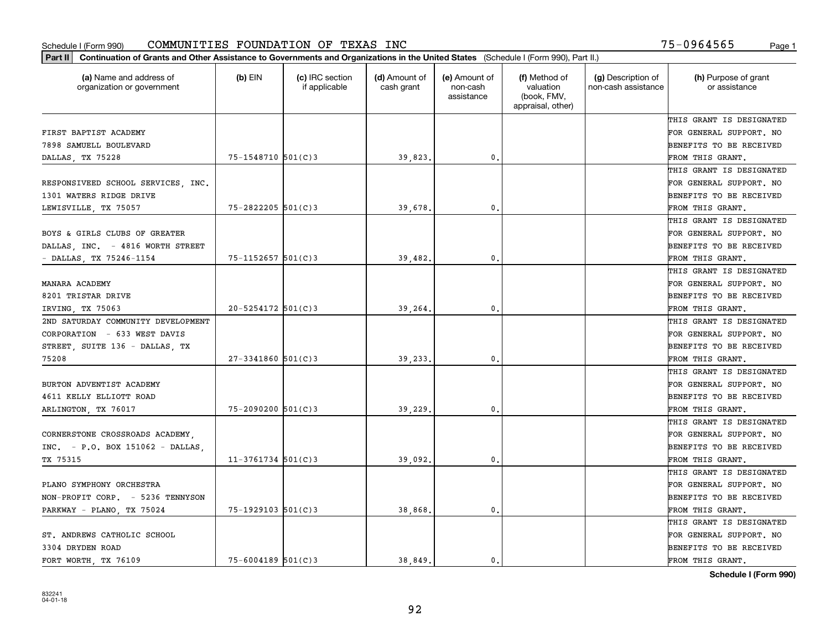| FIRST BAPTIST ACADEMY<br>7898 SAMUELL BOULEVARD<br>0.<br>$75 - 1548710$ 501(C)3<br>39,823.<br>DALLAS, TX 75228<br>RESPONSIVEED SCHOOL SERVICES, INC.<br>1301 WATERS RIDGE DRIVE<br>$75 - 2822205$ 501(C)3<br>39,678<br>$\mathbf{0}$<br>LEWISVILLE, TX 75057<br>BOYS & GIRLS CLUBS OF GREATER<br>DALLAS, INC. - 4816 WORTH STREET<br>$75 - 1152657$ 501(C)3<br>$\mathbf{0}$ .<br>- DALLAS, TX 75246-1154<br>39,482.<br>MANARA ACADEMY<br>8201 TRISTAR DRIVE<br>$20 - 5254172$ 501(C)3<br>$\mathbf{0}$<br>IRVING, TX 75063<br>39,264<br>2ND SATURDAY COMMUNITY DEVELOPMENT | THIS GRANT IS DESIGNATED<br>FOR GENERAL SUPPORT. NO<br>BENEFITS TO BE RECEIVED |
|--------------------------------------------------------------------------------------------------------------------------------------------------------------------------------------------------------------------------------------------------------------------------------------------------------------------------------------------------------------------------------------------------------------------------------------------------------------------------------------------------------------------------------------------------------------------------|--------------------------------------------------------------------------------|
|                                                                                                                                                                                                                                                                                                                                                                                                                                                                                                                                                                          |                                                                                |
|                                                                                                                                                                                                                                                                                                                                                                                                                                                                                                                                                                          |                                                                                |
|                                                                                                                                                                                                                                                                                                                                                                                                                                                                                                                                                                          |                                                                                |
|                                                                                                                                                                                                                                                                                                                                                                                                                                                                                                                                                                          | FROM THIS GRANT.                                                               |
|                                                                                                                                                                                                                                                                                                                                                                                                                                                                                                                                                                          | THIS GRANT IS DESIGNATED                                                       |
|                                                                                                                                                                                                                                                                                                                                                                                                                                                                                                                                                                          | FOR GENERAL SUPPORT. NO                                                        |
|                                                                                                                                                                                                                                                                                                                                                                                                                                                                                                                                                                          | BENEFITS TO BE RECEIVED                                                        |
|                                                                                                                                                                                                                                                                                                                                                                                                                                                                                                                                                                          | FROM THIS GRANT.                                                               |
|                                                                                                                                                                                                                                                                                                                                                                                                                                                                                                                                                                          | THIS GRANT IS DESIGNATED                                                       |
|                                                                                                                                                                                                                                                                                                                                                                                                                                                                                                                                                                          | FOR GENERAL SUPPORT. NO                                                        |
|                                                                                                                                                                                                                                                                                                                                                                                                                                                                                                                                                                          | BENEFITS TO BE RECEIVED                                                        |
|                                                                                                                                                                                                                                                                                                                                                                                                                                                                                                                                                                          | FROM THIS GRANT.                                                               |
|                                                                                                                                                                                                                                                                                                                                                                                                                                                                                                                                                                          | THIS GRANT IS DESIGNATED                                                       |
|                                                                                                                                                                                                                                                                                                                                                                                                                                                                                                                                                                          | FOR GENERAL SUPPORT. NO                                                        |
|                                                                                                                                                                                                                                                                                                                                                                                                                                                                                                                                                                          | BENEFITS TO BE RECEIVED                                                        |
|                                                                                                                                                                                                                                                                                                                                                                                                                                                                                                                                                                          | FROM THIS GRANT.                                                               |
|                                                                                                                                                                                                                                                                                                                                                                                                                                                                                                                                                                          | THIS GRANT IS DESIGNATED                                                       |
| CORPORATION - 633 WEST DAVIS                                                                                                                                                                                                                                                                                                                                                                                                                                                                                                                                             | FOR GENERAL SUPPORT. NO                                                        |
| STREET, SUITE 136 - DALLAS, TX                                                                                                                                                                                                                                                                                                                                                                                                                                                                                                                                           | BENEFITS TO BE RECEIVED                                                        |
| $27 - 3341860$ 501(C)3<br>0.<br>75208<br>39,233                                                                                                                                                                                                                                                                                                                                                                                                                                                                                                                          | FROM THIS GRANT.                                                               |
|                                                                                                                                                                                                                                                                                                                                                                                                                                                                                                                                                                          | THIS GRANT IS DESIGNATED                                                       |
| BURTON ADVENTIST ACADEMY                                                                                                                                                                                                                                                                                                                                                                                                                                                                                                                                                 | FOR GENERAL SUPPORT. NO                                                        |
| 4611 KELLY ELLIOTT ROAD                                                                                                                                                                                                                                                                                                                                                                                                                                                                                                                                                  | BENEFITS TO BE RECEIVED                                                        |
| 75-2090200 501(C)3<br>$\mathbf{0}$<br>39,229<br>ARLINGTON, TX 76017                                                                                                                                                                                                                                                                                                                                                                                                                                                                                                      | FROM THIS GRANT.                                                               |
|                                                                                                                                                                                                                                                                                                                                                                                                                                                                                                                                                                          | THIS GRANT IS DESIGNATED                                                       |
| CORNERSTONE CROSSROADS ACADEMY,                                                                                                                                                                                                                                                                                                                                                                                                                                                                                                                                          | FOR GENERAL SUPPORT. NO                                                        |
| $INC. - P.O. BOX 151062 - DALLAS.$                                                                                                                                                                                                                                                                                                                                                                                                                                                                                                                                       | BENEFITS TO BE RECEIVED                                                        |
| $11-3761734$ 501(C)3<br>0.<br>TX 75315<br>39,092                                                                                                                                                                                                                                                                                                                                                                                                                                                                                                                         | FROM THIS GRANT.                                                               |
|                                                                                                                                                                                                                                                                                                                                                                                                                                                                                                                                                                          | THIS GRANT IS DESIGNATED                                                       |
| PLANO SYMPHONY ORCHESTRA                                                                                                                                                                                                                                                                                                                                                                                                                                                                                                                                                 | FOR GENERAL SUPPORT. NO                                                        |
| NON-PROFIT CORP. - 5236 TENNYSON                                                                                                                                                                                                                                                                                                                                                                                                                                                                                                                                         | BENEFITS TO BE RECEIVED                                                        |
| $75 - 1929103$ 501(C)3<br>38,868<br>$\mathbf{0}$<br>PARKWAY - PLANO, TX 75024                                                                                                                                                                                                                                                                                                                                                                                                                                                                                            | FROM THIS GRANT.                                                               |
|                                                                                                                                                                                                                                                                                                                                                                                                                                                                                                                                                                          | THIS GRANT IS DESIGNATED                                                       |
| ST. ANDREWS CATHOLIC SCHOOL                                                                                                                                                                                                                                                                                                                                                                                                                                                                                                                                              | FOR GENERAL SUPPORT. NO                                                        |
| 3304 DRYDEN ROAD                                                                                                                                                                                                                                                                                                                                                                                                                                                                                                                                                         | BENEFITS TO BE RECEIVED                                                        |
| 75-6004189 501(C)3<br>FORT WORTH, TX 76109<br>38.849.<br>0.                                                                                                                                                                                                                                                                                                                                                                                                                                                                                                              |                                                                                |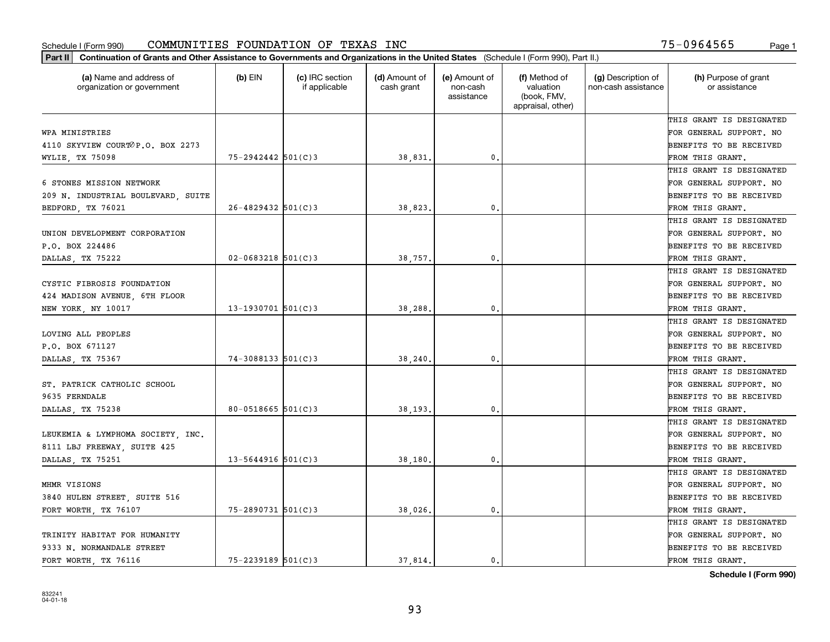| (a) Name and address of<br>organization or government | $(b)$ EIN                | (c) IRC section<br>if applicable | (d) Amount of<br>cash grant | (e) Amount of<br>non-cash<br>assistance | (f) Method of<br>valuation<br>(book, FMV,<br>appraisal, other) | (g) Description of<br>non-cash assistance | (h) Purpose of grant<br>or assistance |
|-------------------------------------------------------|--------------------------|----------------------------------|-----------------------------|-----------------------------------------|----------------------------------------------------------------|-------------------------------------------|---------------------------------------|
|                                                       |                          |                                  |                             |                                         |                                                                |                                           | THIS GRANT IS DESIGNATED              |
| WPA MINISTRIES                                        |                          |                                  |                             |                                         |                                                                |                                           | FOR GENERAL SUPPORT. NO               |
| 4110 SKYVIEW COURTOP.O. BOX 2273                      |                          |                                  |                             |                                         |                                                                |                                           | <b>BENEFITS TO BE RECEIVED</b>        |
| WYLIE, TX 75098                                       | $75 - 2942442$ 501(C)3   |                                  | 38,831.                     | 0.                                      |                                                                |                                           | FROM THIS GRANT.                      |
|                                                       |                          |                                  |                             |                                         |                                                                |                                           | THIS GRANT IS DESIGNATED              |
| 6 STONES MISSION NETWORK                              |                          |                                  |                             |                                         |                                                                |                                           | FOR GENERAL SUPPORT. NO               |
| 209 N. INDUSTRIAL BOULEVARD, SUITE                    |                          |                                  |                             |                                         |                                                                |                                           | BENEFITS TO BE RECEIVED               |
| BEDFORD, TX 76021                                     | $26 - 4829432$ 501(C)3   |                                  | 38,823.                     | 0.                                      |                                                                |                                           | FROM THIS GRANT.                      |
|                                                       |                          |                                  |                             |                                         |                                                                |                                           | THIS GRANT IS DESIGNATED              |
| UNION DEVELOPMENT CORPORATION                         |                          |                                  |                             |                                         |                                                                |                                           | FOR GENERAL SUPPORT. NO               |
| P.O. BOX 224486                                       |                          |                                  |                             |                                         |                                                                |                                           | BENEFITS TO BE RECEIVED               |
| DALLAS, TX 75222                                      | $02 - 0683218$ 501(C)3   |                                  | 38,757.                     | $\mathfrak{o}$ .                        |                                                                |                                           | FROM THIS GRANT.                      |
|                                                       |                          |                                  |                             |                                         |                                                                |                                           | THIS GRANT IS DESIGNATED              |
| CYSTIC FIBROSIS FOUNDATION                            |                          |                                  |                             |                                         |                                                                |                                           | FOR GENERAL SUPPORT. NO               |
| 424 MADISON AVENUE, 6TH FLOOR                         |                          |                                  |                             |                                         |                                                                |                                           | <b>BENEFITS TO BE RECEIVED</b>        |
| NEW YORK, NY 10017                                    | $13 - 1930701$ 501(C)3   |                                  | 38,288                      | 0.                                      |                                                                |                                           | FROM THIS GRANT.                      |
|                                                       |                          |                                  |                             |                                         |                                                                |                                           | THIS GRANT IS DESIGNATED              |
| LOVING ALL PEOPLES                                    |                          |                                  |                             |                                         |                                                                |                                           | FOR GENERAL SUPPORT. NO               |
| P.O. BOX 671127                                       |                          |                                  |                             |                                         |                                                                |                                           | <b>BENEFITS TO BE RECEIVED</b>        |
| DALLAS, TX 75367                                      | $74 - 3088133$ $501(C)3$ |                                  | 38,240                      | 0.                                      |                                                                |                                           | FROM THIS GRANT.                      |
|                                                       |                          |                                  |                             |                                         |                                                                |                                           | THIS GRANT IS DESIGNATED              |
| ST. PATRICK CATHOLIC SCHOOL                           |                          |                                  |                             |                                         |                                                                |                                           | FOR GENERAL SUPPORT. NO               |
| 9635 FERNDALE                                         |                          |                                  |                             |                                         |                                                                |                                           | <b>BENEFITS TO BE RECEIVED</b>        |
| DALLAS, TX 75238                                      | 80-0518665 $501(C)3$     |                                  | 38,193.                     | 0.                                      |                                                                |                                           | FROM THIS GRANT.                      |
|                                                       |                          |                                  |                             |                                         |                                                                |                                           | THIS GRANT IS DESIGNATED              |
| LEUKEMIA & LYMPHOMA SOCIETY, INC.                     |                          |                                  |                             |                                         |                                                                |                                           | FOR GENERAL SUPPORT. NO               |
| 8111 LBJ FREEWAY, SUITE 425                           |                          |                                  |                             |                                         |                                                                |                                           | <b>BENEFITS TO BE RECEIVED</b>        |
| DALLAS, TX 75251                                      | $13 - 5644916$ 501(C)3   |                                  | 38,180                      | $\mathfrak{o}$ .                        |                                                                |                                           | FROM THIS GRANT.                      |
|                                                       |                          |                                  |                             |                                         |                                                                |                                           | THIS GRANT IS DESIGNATED              |
| MHMR VISIONS                                          |                          |                                  |                             |                                         |                                                                |                                           | FOR GENERAL SUPPORT. NO               |
| 3840 HULEN STREET, SUITE 516                          |                          |                                  |                             |                                         |                                                                |                                           | BENEFITS TO BE RECEIVED               |
| FORT WORTH, TX 76107                                  | $75 - 2890731$ 501(C)3   |                                  | 38,026.                     | $\mathbf{0}$ .                          |                                                                |                                           | FROM THIS GRANT.                      |
|                                                       |                          |                                  |                             |                                         |                                                                |                                           | THIS GRANT IS DESIGNATED              |
| TRINITY HABITAT FOR HUMANITY                          |                          |                                  |                             |                                         |                                                                |                                           | FOR GENERAL SUPPORT. NO               |
| 9333 N. NORMANDALE STREET                             |                          |                                  |                             |                                         |                                                                |                                           | <b>BENEFITS TO BE RECEIVED</b>        |
| FORT WORTH, TX 76116                                  | $75 - 2239189$ 501(C)3   |                                  | 37.814.                     | $\mathbf{0}$ .                          |                                                                |                                           | FROM THIS GRANT.                      |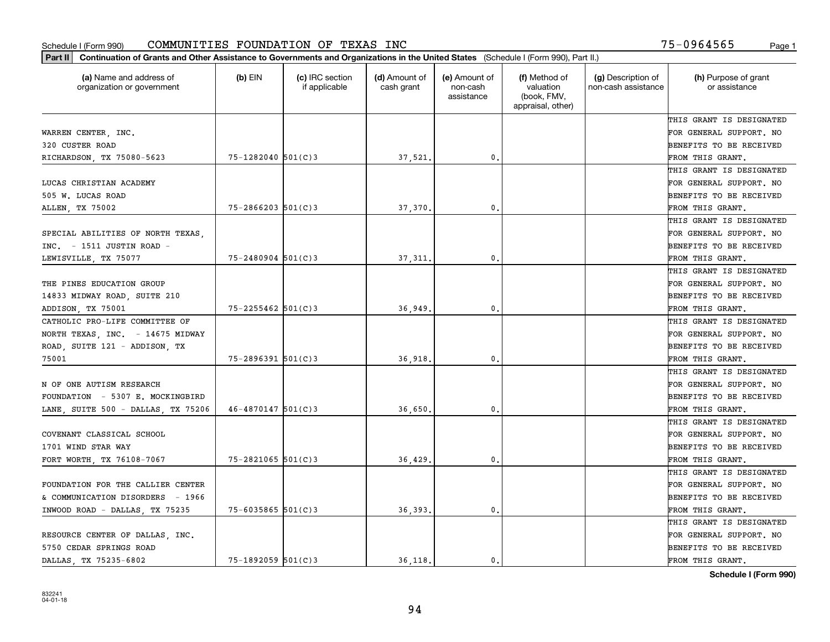| Part II   Continuation of Grants and Other Assistance to Governments and Organizations in the United States (Schedule I (Form 990), Part II.) |                        |                                  |                             |                                         |                                                                |                                           |                                       |
|-----------------------------------------------------------------------------------------------------------------------------------------------|------------------------|----------------------------------|-----------------------------|-----------------------------------------|----------------------------------------------------------------|-------------------------------------------|---------------------------------------|
| (a) Name and address of<br>organization or government                                                                                         | $(b)$ EIN              | (c) IRC section<br>if applicable | (d) Amount of<br>cash grant | (e) Amount of<br>non-cash<br>assistance | (f) Method of<br>valuation<br>(book, FMV,<br>appraisal, other) | (g) Description of<br>non-cash assistance | (h) Purpose of grant<br>or assistance |
|                                                                                                                                               |                        |                                  |                             |                                         |                                                                |                                           | THIS GRANT IS DESIGNATED              |
| WARREN CENTER, INC.                                                                                                                           |                        |                                  |                             |                                         |                                                                |                                           | FOR GENERAL SUPPORT. NO               |
| 320 CUSTER ROAD                                                                                                                               |                        |                                  |                             |                                         |                                                                |                                           | BENEFITS TO BE RECEIVED               |
| RICHARDSON, TX 75080-5623                                                                                                                     | $75 - 1282040$ 501(C)3 |                                  | 37,521.                     | 0.                                      |                                                                |                                           | FROM THIS GRANT.                      |
|                                                                                                                                               |                        |                                  |                             |                                         |                                                                |                                           | THIS GRANT IS DESIGNATED              |
| LUCAS CHRISTIAN ACADEMY                                                                                                                       |                        |                                  |                             |                                         |                                                                |                                           | FOR GENERAL SUPPORT. NO               |
| 505 W. LUCAS ROAD                                                                                                                             |                        |                                  |                             |                                         |                                                                |                                           | BENEFITS TO BE RECEIVED               |
| ALLEN, TX 75002                                                                                                                               | $75 - 2866203$ 501(C)3 |                                  | 37,370.                     | 0.                                      |                                                                |                                           | FROM THIS GRANT.                      |
|                                                                                                                                               |                        |                                  |                             |                                         |                                                                |                                           | THIS GRANT IS DESIGNATED              |
| SPECIAL ABILITIES OF NORTH TEXAS,                                                                                                             |                        |                                  |                             |                                         |                                                                |                                           | FOR GENERAL SUPPORT. NO               |
| $INC. = 1511$ JUSTIN ROAD -                                                                                                                   |                        |                                  |                             |                                         |                                                                |                                           | BENEFITS TO BE RECEIVED               |
| LEWISVILLE, TX 75077                                                                                                                          | $75 - 2480904$ 501(C)3 |                                  | 37,311.                     | 0.                                      |                                                                |                                           | FROM THIS GRANT.                      |
|                                                                                                                                               |                        |                                  |                             |                                         |                                                                |                                           | THIS GRANT IS DESIGNATED              |
| THE PINES EDUCATION GROUP                                                                                                                     |                        |                                  |                             |                                         |                                                                |                                           | FOR GENERAL SUPPORT. NO               |
| 14833 MIDWAY ROAD, SUITE 210                                                                                                                  |                        |                                  |                             |                                         |                                                                |                                           | <b>BENEFITS TO BE RECEIVED</b>        |
| ADDISON, TX 75001                                                                                                                             | $75 - 2255462$ 501(C)3 |                                  | 36,949                      | 0.                                      |                                                                |                                           | FROM THIS GRANT.                      |
| CATHOLIC PRO-LIFE COMMITTEE OF                                                                                                                |                        |                                  |                             |                                         |                                                                |                                           | THIS GRANT IS DESIGNATED              |
| NORTH TEXAS, INC. - 14675 MIDWAY                                                                                                              |                        |                                  |                             |                                         |                                                                |                                           | FOR GENERAL SUPPORT. NO               |
| ROAD, SUITE 121 - ADDISON, TX                                                                                                                 |                        |                                  |                             |                                         |                                                                |                                           | BENEFITS TO BE RECEIVED               |
| 75001                                                                                                                                         | 75-2896391 501(C)3     |                                  | 36,918.                     | 0.                                      |                                                                |                                           | FROM THIS GRANT.                      |
|                                                                                                                                               |                        |                                  |                             |                                         |                                                                |                                           | THIS GRANT IS DESIGNATED              |
| N OF ONE AUTISM RESEARCH                                                                                                                      |                        |                                  |                             |                                         |                                                                |                                           | FOR GENERAL SUPPORT. NO               |
| FOUNDATION - 5307 E. MOCKINGBIRD                                                                                                              |                        |                                  |                             |                                         |                                                                |                                           | <b>BENEFITS TO BE RECEIVED</b>        |
| LANE, SUITE 500 - DALLAS, TX 75206                                                                                                            | $46 - 4870147$ 501(C)3 |                                  | 36,650                      | 0.                                      |                                                                |                                           | FROM THIS GRANT.                      |
|                                                                                                                                               |                        |                                  |                             |                                         |                                                                |                                           | THIS GRANT IS DESIGNATED              |
| COVENANT CLASSICAL SCHOOL                                                                                                                     |                        |                                  |                             |                                         |                                                                |                                           | FOR GENERAL SUPPORT. NO               |
| 1701 WIND STAR WAY                                                                                                                            |                        |                                  |                             |                                         |                                                                |                                           | <b>BENEFITS TO BE RECEIVED</b>        |
| FORT WORTH, TX 76108-7067                                                                                                                     | $75 - 2821065$ 501(C)3 |                                  | 36,429                      | 0.                                      |                                                                |                                           | FROM THIS GRANT.                      |
|                                                                                                                                               |                        |                                  |                             |                                         |                                                                |                                           | THIS GRANT IS DESIGNATED              |
| FOUNDATION FOR THE CALLIER CENTER                                                                                                             |                        |                                  |                             |                                         |                                                                |                                           | FOR GENERAL SUPPORT. NO               |
| & COMMUNICATION DISORDERS - 1966                                                                                                              |                        |                                  |                             |                                         |                                                                |                                           | BENEFITS TO BE RECEIVED               |
| INWOOD ROAD - DALLAS, TX 75235                                                                                                                | $75 - 6035865$ 501(C)3 |                                  | 36,393.                     | 0.                                      |                                                                |                                           | FROM THIS GRANT.                      |
|                                                                                                                                               |                        |                                  |                             |                                         |                                                                |                                           | THIS GRANT IS DESIGNATED              |
| RESOURCE CENTER OF DALLAS, INC.                                                                                                               |                        |                                  |                             |                                         |                                                                |                                           | FOR GENERAL SUPPORT. NO               |
| 5750 CEDAR SPRINGS ROAD                                                                                                                       |                        |                                  |                             |                                         |                                                                |                                           | <b>BENEFITS TO BE RECEIVED</b>        |
| DALLAS TX 75235-6802                                                                                                                          | $75 - 1892059$ 501(C)3 |                                  | 36 118.                     | $\mathbf{0}$ .                          |                                                                |                                           | FROM THIS GRANT.                      |
|                                                                                                                                               |                        |                                  |                             |                                         |                                                                |                                           |                                       |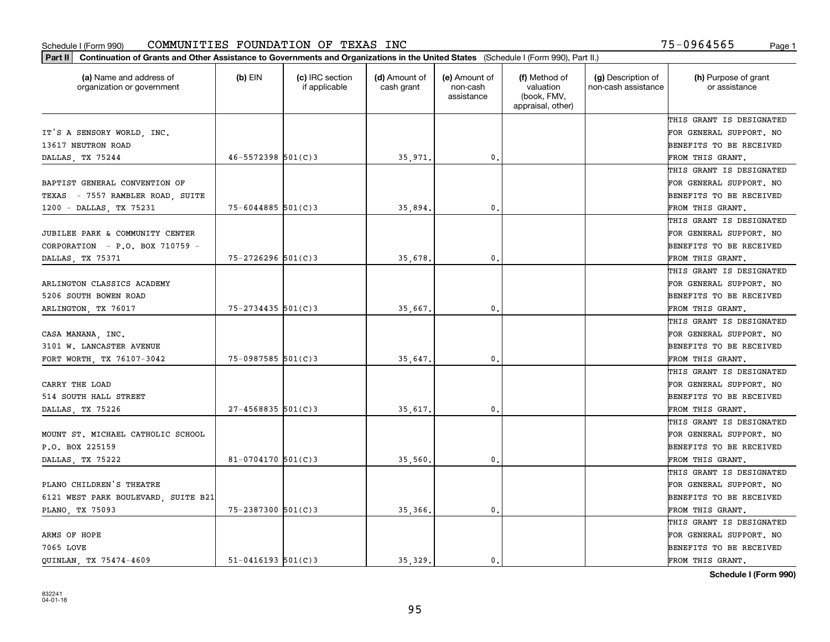| (a) Name and address of<br>organization or government | $(b)$ EIN                | (c) IRC section<br>if applicable | (d) Amount of<br>cash grant | (e) Amount of<br>non-cash<br>assistance | (f) Method of<br>valuation<br>(book, FMV,<br>appraisal, other) | (g) Description of<br>non-cash assistance | (h) Purpose of grant<br>or assistance |
|-------------------------------------------------------|--------------------------|----------------------------------|-----------------------------|-----------------------------------------|----------------------------------------------------------------|-------------------------------------------|---------------------------------------|
|                                                       |                          |                                  |                             |                                         |                                                                |                                           | THIS GRANT IS DESIGNATED              |
| IT'S A SENSORY WORLD, INC.                            |                          |                                  |                             |                                         |                                                                |                                           | FOR GENERAL SUPPORT. NO               |
| 13617 NEUTRON ROAD                                    |                          |                                  |                             |                                         |                                                                |                                           | <b>BENEFITS TO BE RECEIVED</b>        |
| DALLAS, TX 75244                                      | $46 - 5572398$ $501(C)3$ |                                  | 35,971                      | 0.                                      |                                                                |                                           | FROM THIS GRANT.                      |
|                                                       |                          |                                  |                             |                                         |                                                                |                                           | THIS GRANT IS DESIGNATED              |
| BAPTIST GENERAL CONVENTION OF                         |                          |                                  |                             |                                         |                                                                |                                           | FOR GENERAL SUPPORT. NO               |
| TEXAS - 7557 RAMBLER ROAD, SUITE                      |                          |                                  |                             |                                         |                                                                |                                           | BENEFITS TO BE RECEIVED               |
| 1200 - DALLAS, TX 75231                               | $75 - 6044885$ 501(C)3   |                                  | 35,894                      | 0.                                      |                                                                |                                           | FROM THIS GRANT.                      |
|                                                       |                          |                                  |                             |                                         |                                                                |                                           | THIS GRANT IS DESIGNATED              |
| JUBILEE PARK & COMMUNITY CENTER                       |                          |                                  |                             |                                         |                                                                |                                           | FOR GENERAL SUPPORT. NO               |
| CORPORATION - P.O. BOX 710759 -                       |                          |                                  |                             |                                         |                                                                |                                           | BENEFITS TO BE RECEIVED               |
| DALLAS, TX 75371                                      | $75 - 2726296$ 501(C)3   |                                  | 35,678                      | $\mathfrak o$ .                         |                                                                |                                           | FROM THIS GRANT.                      |
|                                                       |                          |                                  |                             |                                         |                                                                |                                           | THIS GRANT IS DESIGNATED              |
| ARLINGTON CLASSICS ACADEMY                            |                          |                                  |                             |                                         |                                                                |                                           | FOR GENERAL SUPPORT. NO               |
| 5206 SOUTH BOWEN ROAD                                 |                          |                                  |                             |                                         |                                                                |                                           | BENEFITS TO BE RECEIVED               |
| ARLINGTON, TX 76017                                   | $75 - 2734435$ 501(C)3   |                                  | 35,667                      | 0.                                      |                                                                |                                           | FROM THIS GRANT.                      |
|                                                       |                          |                                  |                             |                                         |                                                                |                                           | THIS GRANT IS DESIGNATED              |
| CASA MANANA, INC.                                     |                          |                                  |                             |                                         |                                                                |                                           | FOR GENERAL SUPPORT. NO               |
| 3101 W. LANCASTER AVENUE                              |                          |                                  |                             |                                         |                                                                |                                           | BENEFITS TO BE RECEIVED               |
| FORT WORTH, TX 76107-3042                             | 75-0987585 501(C)3       |                                  | 35,647                      | 0.                                      |                                                                |                                           | FROM THIS GRANT.                      |
|                                                       |                          |                                  |                             |                                         |                                                                |                                           | THIS GRANT IS DESIGNATED              |
| CARRY THE LOAD                                        |                          |                                  |                             |                                         |                                                                |                                           | FOR GENERAL SUPPORT. NO               |
| 514 SOUTH HALL STREET                                 |                          |                                  |                             |                                         |                                                                |                                           | <b>BENEFITS TO BE RECEIVED</b>        |
| DALLAS, TX 75226                                      | $27 - 4568835$ 501(C)3   |                                  | 35,617                      | 0.                                      |                                                                |                                           | FROM THIS GRANT.                      |
|                                                       |                          |                                  |                             |                                         |                                                                |                                           | THIS GRANT IS DESIGNATED              |
| MOUNT ST. MICHAEL CATHOLIC SCHOOL                     |                          |                                  |                             |                                         |                                                                |                                           | FOR GENERAL SUPPORT. NO               |
| P.O. BOX 225159                                       |                          |                                  |                             |                                         |                                                                |                                           | <b>BENEFITS TO BE RECEIVED</b>        |
| DALLAS, TX 75222                                      | 81-0704170 $501(C)3$     |                                  | 35,560                      | $\mathbf{0}$ .                          |                                                                |                                           | FROM THIS GRANT.                      |
|                                                       |                          |                                  |                             |                                         |                                                                |                                           | THIS GRANT IS DESIGNATED              |
| PLANO CHILDREN'S THEATRE                              |                          |                                  |                             |                                         |                                                                |                                           | FOR GENERAL SUPPORT. NO               |
| 6121 WEST PARK BOULEVARD, SUITE B21                   |                          |                                  |                             |                                         |                                                                |                                           | BENEFITS TO BE RECEIVED               |
| PLANO, TX 75093                                       | 75-2387300 501(C)3       |                                  | 35,366.                     | $\mathfrak o$ .                         |                                                                |                                           | FROM THIS GRANT.                      |
|                                                       |                          |                                  |                             |                                         |                                                                |                                           | THIS GRANT IS DESIGNATED              |
| ARMS OF HOPE                                          |                          |                                  |                             |                                         |                                                                |                                           | FOR GENERAL SUPPORT. NO               |
| 7065 LOVE                                             |                          |                                  |                             |                                         |                                                                |                                           | BENEFITS TO BE RECEIVED               |
| QUINLAN, TX 75474-4609                                | $51 - 0416193$ 501(C)3   |                                  | 35.329.                     | 0.                                      |                                                                |                                           | FROM THIS GRANT.                      |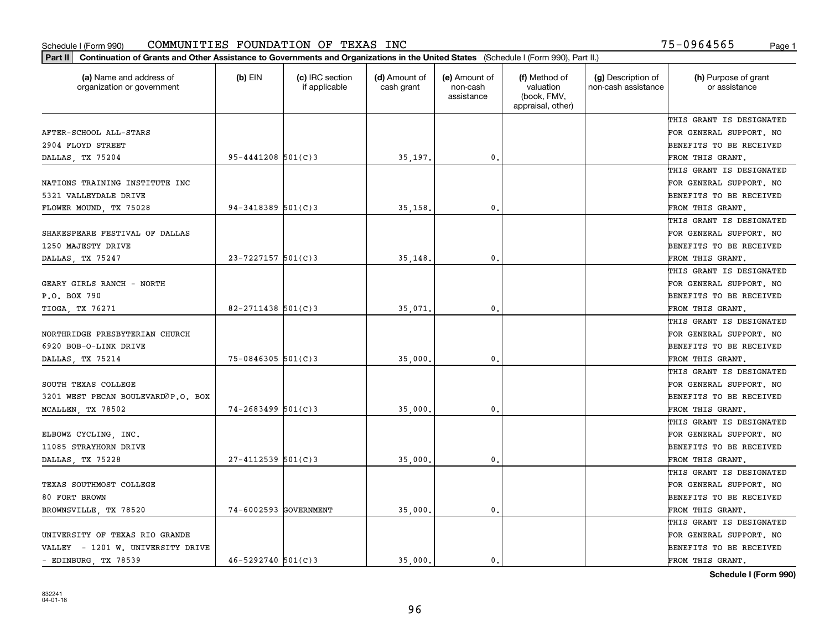| (a) Name and address of<br>organization or government | $(b)$ EIN                | (c) IRC section<br>if applicable | (d) Amount of<br>cash grant | (e) Amount of<br>non-cash<br>assistance | (f) Method of<br>valuation<br>(book, FMV,<br>appraisal, other) | (g) Description of<br>non-cash assistance | (h) Purpose of grant<br>or assistance |
|-------------------------------------------------------|--------------------------|----------------------------------|-----------------------------|-----------------------------------------|----------------------------------------------------------------|-------------------------------------------|---------------------------------------|
|                                                       |                          |                                  |                             |                                         |                                                                |                                           | THIS GRANT IS DESIGNATED              |
| AFTER-SCHOOL ALL-STARS                                |                          |                                  |                             |                                         |                                                                |                                           | FOR GENERAL SUPPORT. NO               |
| 2904 FLOYD STREET                                     |                          |                                  |                             |                                         |                                                                |                                           | BENEFITS TO BE RECEIVED               |
| DALLAS, TX 75204                                      | $95 - 4441208$ 501(C)3   |                                  | 35,197.                     | $\mathfrak{o}$ .                        |                                                                |                                           | FROM THIS GRANT.                      |
|                                                       |                          |                                  |                             |                                         |                                                                |                                           | THIS GRANT IS DESIGNATED              |
| NATIONS TRAINING INSTITUTE INC                        |                          |                                  |                             |                                         |                                                                |                                           | FOR GENERAL SUPPORT. NO               |
| 5321 VALLEYDALE DRIVE                                 |                          |                                  |                             |                                         |                                                                |                                           | BENEFITS TO BE RECEIVED               |
| FLOWER MOUND, TX 75028                                | $94 - 3418389$ $501(C)3$ |                                  | 35,158                      | $\mathbf{0}$                            |                                                                |                                           | FROM THIS GRANT.                      |
|                                                       |                          |                                  |                             |                                         |                                                                |                                           | THIS GRANT IS DESIGNATED              |
| SHAKESPEARE FESTIVAL OF DALLAS                        |                          |                                  |                             |                                         |                                                                |                                           | FOR GENERAL SUPPORT. NO               |
| 1250 MAJESTY DRIVE                                    |                          |                                  |                             |                                         |                                                                |                                           | BENEFITS TO BE RECEIVED               |
| DALLAS, TX 75247                                      | $23 - 7227157$ 501(C)3   |                                  | 35,148                      | 0.                                      |                                                                |                                           | FROM THIS GRANT.                      |
|                                                       |                          |                                  |                             |                                         |                                                                |                                           | THIS GRANT IS DESIGNATED              |
| GEARY GIRLS RANCH - NORTH                             |                          |                                  |                             |                                         |                                                                |                                           | FOR GENERAL SUPPORT. NO               |
| P.O. BOX 790                                          |                          |                                  |                             |                                         |                                                                |                                           | BENEFITS TO BE RECEIVED               |
| TIOGA, TX 76271                                       | $82 - 2711438$ 501(C)3   |                                  | 35,071                      | $\mathbf{0}$                            |                                                                |                                           | FROM THIS GRANT.                      |
|                                                       |                          |                                  |                             |                                         |                                                                |                                           | THIS GRANT IS DESIGNATED              |
| NORTHRIDGE PRESBYTERIAN CHURCH                        |                          |                                  |                             |                                         |                                                                |                                           | FOR GENERAL SUPPORT. NO               |
| 6920 BOB-O-LINK DRIVE                                 |                          |                                  |                             |                                         |                                                                |                                           | BENEFITS TO BE RECEIVED               |
| DALLAS, TX 75214                                      | $75 - 0846305$ 501(C)3   |                                  | 35,000                      | $\mathbf{0}$                            |                                                                |                                           | FROM THIS GRANT.                      |
|                                                       |                          |                                  |                             |                                         |                                                                |                                           | THIS GRANT IS DESIGNATED              |
| SOUTH TEXAS COLLEGE                                   |                          |                                  |                             |                                         |                                                                |                                           | FOR GENERAL SUPPORT. NO               |
| 3201 WEST PECAN BOULEVARDOP.O. BOX                    |                          |                                  |                             |                                         |                                                                |                                           | BENEFITS TO BE RECEIVED               |
| MCALLEN, TX 78502                                     | $74 - 2683499$ 501(C)3   |                                  | 35,000                      | $\mathbf{0}$                            |                                                                |                                           | FROM THIS GRANT.                      |
|                                                       |                          |                                  |                             |                                         |                                                                |                                           | THIS GRANT IS DESIGNATED              |
| ELBOWZ CYCLING, INC.                                  |                          |                                  |                             |                                         |                                                                |                                           | FOR GENERAL SUPPORT. NO               |
| 11085 STRAYHORN DRIVE                                 |                          |                                  |                             |                                         |                                                                |                                           | BENEFITS TO BE RECEIVED               |
| DALLAS, TX 75228                                      | 27-4112539 501(C)3       |                                  | 35,000                      | $\mathbf{0}$ .                          |                                                                |                                           | FROM THIS GRANT.                      |
|                                                       |                          |                                  |                             |                                         |                                                                |                                           | THIS GRANT IS DESIGNATED              |
| TEXAS SOUTHMOST COLLEGE                               |                          |                                  |                             |                                         |                                                                |                                           | FOR GENERAL SUPPORT. NO               |
| 80 FORT BROWN                                         |                          |                                  |                             |                                         |                                                                |                                           | BENEFITS TO BE RECEIVED               |
| BROWNSVILLE, TX 78520                                 | 74-6002593 GOVERNMENT    |                                  | 35,000.                     | 0.                                      |                                                                |                                           | FROM THIS GRANT.                      |
|                                                       |                          |                                  |                             |                                         |                                                                |                                           | THIS GRANT IS DESIGNATED              |
| UNIVERSITY OF TEXAS RIO GRANDE                        |                          |                                  |                             |                                         |                                                                |                                           | FOR GENERAL SUPPORT. NO               |
| VALLEY - 1201 W. UNIVERSITY DRIVE                     |                          |                                  |                             |                                         |                                                                |                                           | BENEFITS TO BE RECEIVED               |
| - EDINBURG, TX 78539                                  | $46 - 5292740$ 501(C)3   |                                  | 35,000.                     | 0.                                      |                                                                |                                           | FROM THIS GRANT.                      |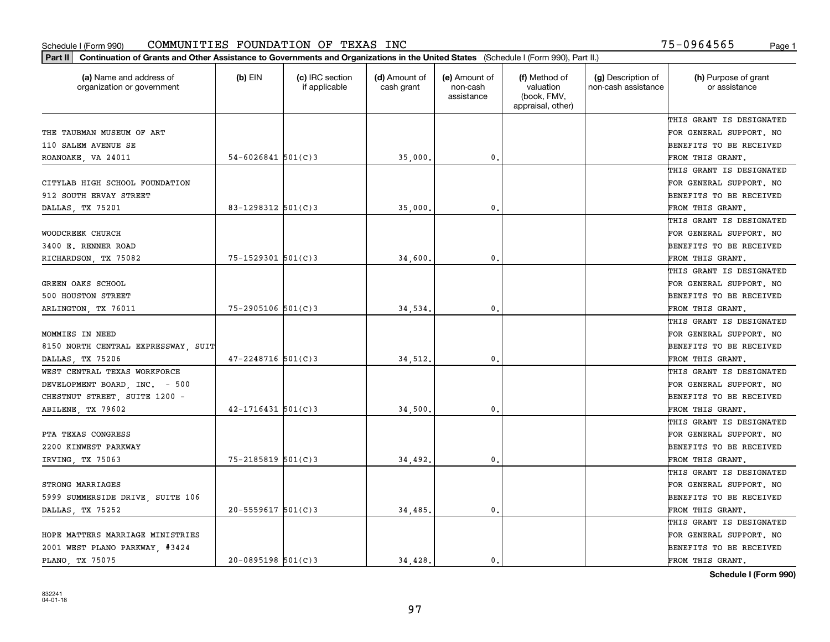| (a) Name and address of<br>organization or government | $(b)$ EIN                | (c) IRC section<br>if applicable | (d) Amount of<br>cash grant | (e) Amount of<br>non-cash<br>assistance | (f) Method of<br>valuation<br>(book, FMV,<br>appraisal, other) | (g) Description of<br>non-cash assistance | (h) Purpose of grant<br>or assistance |
|-------------------------------------------------------|--------------------------|----------------------------------|-----------------------------|-----------------------------------------|----------------------------------------------------------------|-------------------------------------------|---------------------------------------|
|                                                       |                          |                                  |                             |                                         |                                                                |                                           | THIS GRANT IS DESIGNATED              |
| THE TAUBMAN MUSEUM OF ART                             |                          |                                  |                             |                                         |                                                                |                                           | FOR GENERAL SUPPORT. NO               |
| 110 SALEM AVENUE SE                                   |                          |                                  |                             |                                         |                                                                |                                           | <b>BENEFITS TO BE RECEIVED</b>        |
| ROANOAKE, VA 24011                                    | $54 - 6026841$ 501(C)3   |                                  | 35,000.                     | 0.                                      |                                                                |                                           | FROM THIS GRANT.                      |
|                                                       |                          |                                  |                             |                                         |                                                                |                                           | THIS GRANT IS DESIGNATED              |
| CITYLAB HIGH SCHOOL FOUNDATION                        |                          |                                  |                             |                                         |                                                                |                                           | FOR GENERAL SUPPORT. NO               |
| 912 SOUTH ERVAY STREET                                |                          |                                  |                             |                                         |                                                                |                                           | <b>BENEFITS TO BE RECEIVED</b>        |
| DALLAS, TX 75201                                      | 83-1298312 501(C)3       |                                  | 35,000                      | $\mathbf{0}$                            |                                                                |                                           | FROM THIS GRANT.                      |
|                                                       |                          |                                  |                             |                                         |                                                                |                                           | THIS GRANT IS DESIGNATED              |
| WOODCREEK CHURCH                                      |                          |                                  |                             |                                         |                                                                |                                           | FOR GENERAL SUPPORT. NO               |
| 3400 E. RENNER ROAD                                   |                          |                                  |                             |                                         |                                                                |                                           | BENEFITS TO BE RECEIVED               |
| RICHARDSON, TX 75082                                  | $75 - 1529301$ 501(C)3   |                                  | 34,600.                     | $\mathfrak{o}$ .                        |                                                                |                                           | FROM THIS GRANT.                      |
|                                                       |                          |                                  |                             |                                         |                                                                |                                           | THIS GRANT IS DESIGNATED              |
| GREEN OAKS SCHOOL                                     |                          |                                  |                             |                                         |                                                                |                                           | FOR GENERAL SUPPORT. NO               |
| 500 HOUSTON STREET                                    |                          |                                  |                             |                                         |                                                                |                                           | <b>BENEFITS TO BE RECEIVED</b>        |
| ARLINGTON, TX 76011                                   | $75 - 2905106$ 501(C)3   |                                  | 34,534.                     | 0.                                      |                                                                |                                           | FROM THIS GRANT.                      |
|                                                       |                          |                                  |                             |                                         |                                                                |                                           | THIS GRANT IS DESIGNATED              |
| MOMMIES IN NEED                                       |                          |                                  |                             |                                         |                                                                |                                           | FOR GENERAL SUPPORT. NO               |
| 8150 NORTH CENTRAL EXPRESSWAY, SUIT                   |                          |                                  |                             |                                         |                                                                |                                           | BENEFITS TO BE RECEIVED               |
| DALLAS, TX 75206                                      | $47 - 2248716$ 501(C)3   |                                  | 34,512.                     | $\mathbf 0$ .                           |                                                                |                                           | FROM THIS GRANT.                      |
| WEST CENTRAL TEXAS WORKFORCE                          |                          |                                  |                             |                                         |                                                                |                                           | THIS GRANT IS DESIGNATED              |
| DEVELOPMENT BOARD, INC. - 500                         |                          |                                  |                             |                                         |                                                                |                                           | FOR GENERAL SUPPORT. NO               |
| CHESTNUT STREET, SUITE 1200 -                         |                          |                                  |                             |                                         |                                                                |                                           | <b>BENEFITS TO BE RECEIVED</b>        |
| ABILENE, TX 79602                                     | $42 - 1716431$ 501(C)3   |                                  | 34,500                      | $\mathbf{0}$                            |                                                                |                                           | FROM THIS GRANT.                      |
|                                                       |                          |                                  |                             |                                         |                                                                |                                           | THIS GRANT IS DESIGNATED              |
| PTA TEXAS CONGRESS                                    |                          |                                  |                             |                                         |                                                                |                                           | FOR GENERAL SUPPORT. NO               |
| 2200 KINWEST PARKWAY                                  |                          |                                  |                             |                                         |                                                                |                                           | <b>BENEFITS TO BE RECEIVED</b>        |
| IRVING, TX 75063                                      | $75 - 2185819$ $501(C)3$ |                                  | 34,492.                     | 0.                                      |                                                                |                                           | FROM THIS GRANT.                      |
|                                                       |                          |                                  |                             |                                         |                                                                |                                           | THIS GRANT IS DESIGNATED              |
| STRONG MARRIAGES                                      |                          |                                  |                             |                                         |                                                                |                                           | FOR GENERAL SUPPORT. NO               |
| 5999 SUMMERSIDE DRIVE, SUITE 106                      |                          |                                  |                             |                                         |                                                                |                                           | <b>BENEFITS TO BE RECEIVED</b>        |
| DALLAS, TX 75252                                      | $20 - 5559617$ 501(C)3   |                                  | 34,485.                     | $\mathbf{0}$ .                          |                                                                |                                           | FROM THIS GRANT.                      |
|                                                       |                          |                                  |                             |                                         |                                                                |                                           | THIS GRANT IS DESIGNATED              |
| HOPE MATTERS MARRIAGE MINISTRIES                      |                          |                                  |                             |                                         |                                                                |                                           | FOR GENERAL SUPPORT. NO               |
| 2001 WEST PLANO PARKWAY, #3424                        |                          |                                  |                             |                                         |                                                                |                                           | <b>BENEFITS TO BE RECEIVED</b>        |
| PLANO, TX 75075                                       | $20 - 0895198$ 501(C)3   |                                  | 34,428.                     | 0.                                      |                                                                |                                           | FROM THIS GRANT.                      |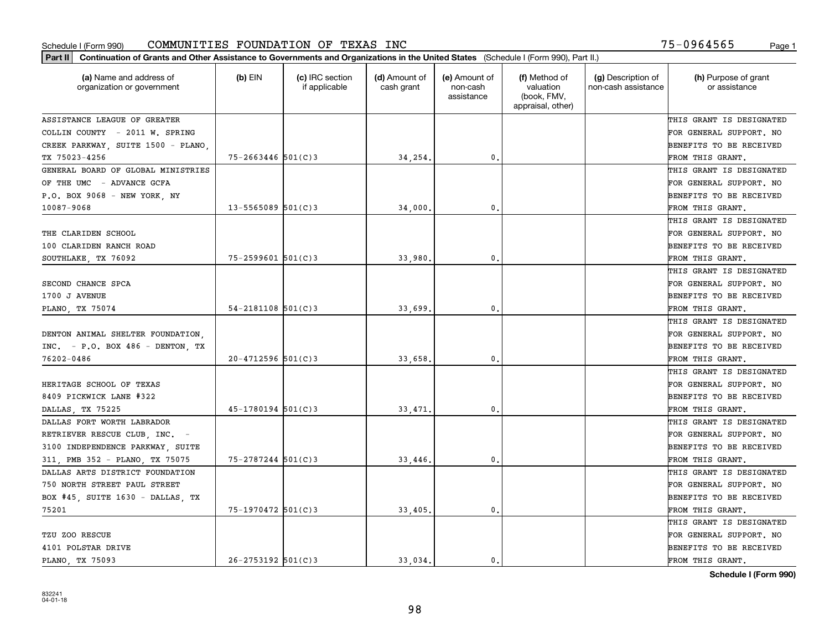| Part II   Continuation of Grants and Other Assistance to Governments and Organizations in the United States (Schedule I (Form 990), Part II.) |                          |                                  |                             |                                         |                                                                |                                           |                                       |
|-----------------------------------------------------------------------------------------------------------------------------------------------|--------------------------|----------------------------------|-----------------------------|-----------------------------------------|----------------------------------------------------------------|-------------------------------------------|---------------------------------------|
| (a) Name and address of<br>organization or government                                                                                         | $(b)$ EIN                | (c) IRC section<br>if applicable | (d) Amount of<br>cash grant | (e) Amount of<br>non-cash<br>assistance | (f) Method of<br>valuation<br>(book, FMV,<br>appraisal, other) | (g) Description of<br>non-cash assistance | (h) Purpose of grant<br>or assistance |
| ASSISTANCE LEAGUE OF GREATER                                                                                                                  |                          |                                  |                             |                                         |                                                                |                                           | THIS GRANT IS DESIGNATED              |
| COLLIN COUNTY - 2011 W. SPRING                                                                                                                |                          |                                  |                             |                                         |                                                                |                                           | FOR GENERAL SUPPORT. NO               |
| CREEK PARKWAY, SUITE 1500 - PLANO,                                                                                                            |                          |                                  |                             |                                         |                                                                |                                           | BENEFITS TO BE RECEIVED               |
| TX 75023-4256                                                                                                                                 | 75-2663446 501(C)3       |                                  | 34,254.                     | 0.                                      |                                                                |                                           | FROM THIS GRANT.                      |
| GENERAL BOARD OF GLOBAL MINISTRIES                                                                                                            |                          |                                  |                             |                                         |                                                                |                                           | THIS GRANT IS DESIGNATED              |
| OF THE UMC - ADVANCE GCFA                                                                                                                     |                          |                                  |                             |                                         |                                                                |                                           | FOR GENERAL SUPPORT. NO               |
| P.O. BOX 9068 - NEW YORK, NY                                                                                                                  |                          |                                  |                             |                                         |                                                                |                                           | BENEFITS TO BE RECEIVED               |
| 10087-9068                                                                                                                                    | $13 - 5565089$ 501(C)3   |                                  | 34,000                      | 0.                                      |                                                                |                                           | FROM THIS GRANT.                      |
|                                                                                                                                               |                          |                                  |                             |                                         |                                                                |                                           | THIS GRANT IS DESIGNATED              |
| THE CLARIDEN SCHOOL                                                                                                                           |                          |                                  |                             |                                         |                                                                |                                           | FOR GENERAL SUPPORT. NO               |
| 100 CLARIDEN RANCH ROAD                                                                                                                       |                          |                                  |                             |                                         |                                                                |                                           | BENEFITS TO BE RECEIVED               |
| SOUTHLAKE, TX 76092                                                                                                                           | 75-2599601 501(C)3       |                                  | 33,980                      | $\mathbf{0}$ .                          |                                                                |                                           | FROM THIS GRANT.                      |
|                                                                                                                                               |                          |                                  |                             |                                         |                                                                |                                           | THIS GRANT IS DESIGNATED              |
| SECOND CHANCE SPCA                                                                                                                            |                          |                                  |                             |                                         |                                                                |                                           | FOR GENERAL SUPPORT. NO               |
| 1700 J AVENUE                                                                                                                                 |                          |                                  |                             |                                         |                                                                |                                           | BENEFITS TO BE RECEIVED               |
| PLANO, TX 75074                                                                                                                               | $54 - 2181108$ $501(C)3$ |                                  | 33,699                      | $\mathbf 0$ .                           |                                                                |                                           | FROM THIS GRANT.                      |
|                                                                                                                                               |                          |                                  |                             |                                         |                                                                |                                           | THIS GRANT IS DESIGNATED              |
| DENTON ANIMAL SHELTER FOUNDATION,                                                                                                             |                          |                                  |                             |                                         |                                                                |                                           | FOR GENERAL SUPPORT. NO               |
| $INC. - P.0. BOX 486 - DENTON. TX$                                                                                                            |                          |                                  |                             |                                         |                                                                |                                           | BENEFITS TO BE RECEIVED               |
| 76202-0486                                                                                                                                    | $20 - 4712596$ 501(C)3   |                                  | 33,658                      | 0.                                      |                                                                |                                           | FROM THIS GRANT.                      |
|                                                                                                                                               |                          |                                  |                             |                                         |                                                                |                                           | THIS GRANT IS DESIGNATED              |
| HERITAGE SCHOOL OF TEXAS                                                                                                                      |                          |                                  |                             |                                         |                                                                |                                           | FOR GENERAL SUPPORT. NO               |
| 8409 PICKWICK LANE #322                                                                                                                       |                          |                                  |                             |                                         |                                                                |                                           | BENEFITS TO BE RECEIVED               |
| DALLAS, TX 75225                                                                                                                              | $45 - 1780194$ 501(C)3   |                                  | 33,471                      | $\mathbf{0}$ .                          |                                                                |                                           | FROM THIS GRANT.                      |
| DALLAS FORT WORTH LABRADOR                                                                                                                    |                          |                                  |                             |                                         |                                                                |                                           | THIS GRANT IS DESIGNATED              |
| RETRIEVER RESCUE CLUB, INC. -                                                                                                                 |                          |                                  |                             |                                         |                                                                |                                           | FOR GENERAL SUPPORT. NO               |
| 3100 INDEPENDENCE PARKWAY, SUITE                                                                                                              |                          |                                  |                             |                                         |                                                                |                                           | BENEFITS TO BE RECEIVED               |
| 311, PMB 352 - PLANO, TX 75075                                                                                                                | 75-2787244 501(C)3       |                                  | 33,446                      | $\mathbf{0}$ .                          |                                                                |                                           | FROM THIS GRANT.                      |
| DALLAS ARTS DISTRICT FOUNDATION                                                                                                               |                          |                                  |                             |                                         |                                                                |                                           | THIS GRANT IS DESIGNATED              |
| 750 NORTH STREET PAUL STREET                                                                                                                  |                          |                                  |                             |                                         |                                                                |                                           | FOR GENERAL SUPPORT. NO               |
| BOX #45, SUITE 1630 - DALLAS, TX                                                                                                              |                          |                                  |                             |                                         |                                                                |                                           | BENEFITS TO BE RECEIVED               |
| 75201                                                                                                                                         | 75-1970472 501(C)3       |                                  | 33,405                      | 0.                                      |                                                                |                                           | FROM THIS GRANT.                      |
|                                                                                                                                               |                          |                                  |                             |                                         |                                                                |                                           | THIS GRANT IS DESIGNATED              |
| TZU ZOO RESCUE                                                                                                                                |                          |                                  |                             |                                         |                                                                |                                           | FOR GENERAL SUPPORT. NO               |
| 4101 POLSTAR DRIVE                                                                                                                            |                          |                                  |                             |                                         |                                                                |                                           | BENEFITS TO BE RECEIVED               |
| PLANO, TX 75093                                                                                                                               | $26 - 2753192$ 501(C)3   |                                  | 33,034.                     | 0.                                      |                                                                |                                           | FROM THIS GRANT.                      |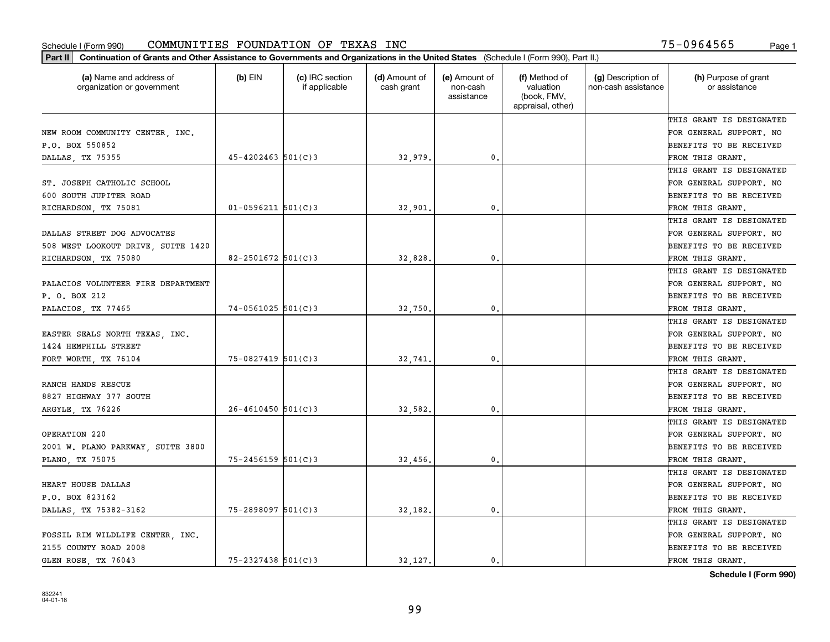| (a) Name and address of<br>organization or government | (b) EIN                | (c) IRC section<br>if applicable | (d) Amount of<br>cash grant | (e) Amount of<br>non-cash<br>assistance | (f) Method of<br>valuation<br>(book, FMV,<br>appraisal, other) | (g) Description of<br>non-cash assistance | (h) Purpose of grant<br>or assistance |
|-------------------------------------------------------|------------------------|----------------------------------|-----------------------------|-----------------------------------------|----------------------------------------------------------------|-------------------------------------------|---------------------------------------|
|                                                       |                        |                                  |                             |                                         |                                                                |                                           | THIS GRANT IS DESIGNATED              |
| NEW ROOM COMMUNITY CENTER, INC.                       |                        |                                  |                             |                                         |                                                                |                                           | FOR GENERAL SUPPORT. NO               |
| P.O. BOX 550852                                       |                        |                                  |                             |                                         |                                                                |                                           | BENEFITS TO BE RECEIVED               |
| DALLAS, TX 75355                                      | $45 - 4202463$ 501(C)3 |                                  | 32,979                      | 0.                                      |                                                                |                                           | FROM THIS GRANT.                      |
|                                                       |                        |                                  |                             |                                         |                                                                |                                           | THIS GRANT IS DESIGNATED              |
| ST. JOSEPH CATHOLIC SCHOOL                            |                        |                                  |                             |                                         |                                                                |                                           | FOR GENERAL SUPPORT. NO               |
| 600 SOUTH JUPITER ROAD                                |                        |                                  |                             |                                         |                                                                |                                           | BENEFITS TO BE RECEIVED               |
| RICHARDSON, TX 75081                                  | $01 - 0596211$ 501(C)3 |                                  | 32,901                      | $\mathbf{0}$                            |                                                                |                                           | FROM THIS GRANT.                      |
|                                                       |                        |                                  |                             |                                         |                                                                |                                           | THIS GRANT IS DESIGNATED              |
| DALLAS STREET DOG ADVOCATES                           |                        |                                  |                             |                                         |                                                                |                                           | FOR GENERAL SUPPORT. NO               |
| 508 WEST LOOKOUT DRIVE, SUITE 1420                    |                        |                                  |                             |                                         |                                                                |                                           | BENEFITS TO BE RECEIVED               |
| RICHARDSON, TX 75080                                  | 82-2501672 $501(C)3$   |                                  | 32,828                      | $\mathbf{0}$ .                          |                                                                |                                           | FROM THIS GRANT.                      |
|                                                       |                        |                                  |                             |                                         |                                                                |                                           | THIS GRANT IS DESIGNATED              |
| PALACIOS VOLUNTEER FIRE DEPARTMENT                    |                        |                                  |                             |                                         |                                                                |                                           | FOR GENERAL SUPPORT. NO               |
| P. O. BOX 212                                         |                        |                                  |                             |                                         |                                                                |                                           | BENEFITS TO BE RECEIVED               |
| PALACIOS, TX 77465                                    | $74 - 0561025$ 501(C)3 |                                  | 32,750                      | $\mathbf{0}$                            |                                                                |                                           | FROM THIS GRANT.                      |
|                                                       |                        |                                  |                             |                                         |                                                                |                                           | THIS GRANT IS DESIGNATED              |
| EASTER SEALS NORTH TEXAS, INC.                        |                        |                                  |                             |                                         |                                                                |                                           | FOR GENERAL SUPPORT. NO               |
| 1424 HEMPHILL STREET                                  |                        |                                  |                             |                                         |                                                                |                                           | BENEFITS TO BE RECEIVED               |
| FORT WORTH, TX 76104                                  | 75-0827419 501(C)3     |                                  | 32,741                      | 0.                                      |                                                                |                                           | FROM THIS GRANT.                      |
|                                                       |                        |                                  |                             |                                         |                                                                |                                           | THIS GRANT IS DESIGNATED              |
| RANCH HANDS RESCUE                                    |                        |                                  |                             |                                         |                                                                |                                           | FOR GENERAL SUPPORT. NO               |
| 8827 HIGHWAY 377 SOUTH                                |                        |                                  |                             |                                         |                                                                |                                           | BENEFITS TO BE RECEIVED               |
| ARGYLE, TX 76226                                      | $26 - 4610450$ 501(C)3 |                                  | 32,582.                     | $\mathbf{0}$                            |                                                                |                                           | FROM THIS GRANT.                      |
|                                                       |                        |                                  |                             |                                         |                                                                |                                           | THIS GRANT IS DESIGNATED              |
| OPERATION 220                                         |                        |                                  |                             |                                         |                                                                |                                           | FOR GENERAL SUPPORT. NO               |
| 2001 W. PLANO PARKWAY, SUITE 3800                     |                        |                                  |                             |                                         |                                                                |                                           | BENEFITS TO BE RECEIVED               |
| PLANO, TX 75075                                       | $75 - 2456159$ 501(C)3 |                                  | 32,456                      | 0.                                      |                                                                |                                           | FROM THIS GRANT.                      |
|                                                       |                        |                                  |                             |                                         |                                                                |                                           | THIS GRANT IS DESIGNATED              |
| HEART HOUSE DALLAS                                    |                        |                                  |                             |                                         |                                                                |                                           | FOR GENERAL SUPPORT. NO               |
| P.O. BOX 823162                                       |                        |                                  |                             |                                         |                                                                |                                           | BENEFITS TO BE RECEIVED               |
| DALLAS, TX 75382-3162                                 | 75-2898097 501(C)3     |                                  | 32,182.                     | $\mathbf{0}$                            |                                                                |                                           | FROM THIS GRANT.                      |
|                                                       |                        |                                  |                             |                                         |                                                                |                                           | THIS GRANT IS DESIGNATED              |
| FOSSIL RIM WILDLIFE CENTER, INC.                      |                        |                                  |                             |                                         |                                                                |                                           | FOR GENERAL SUPPORT. NO               |
| 2155 COUNTY ROAD 2008                                 |                        |                                  |                             |                                         |                                                                |                                           | BENEFITS TO BE RECEIVED               |
| GLEN ROSE, TX 76043                                   | $75 - 2327438$ 501(C)3 |                                  | 32.127.                     | 0.                                      |                                                                |                                           | FROM THIS GRANT.                      |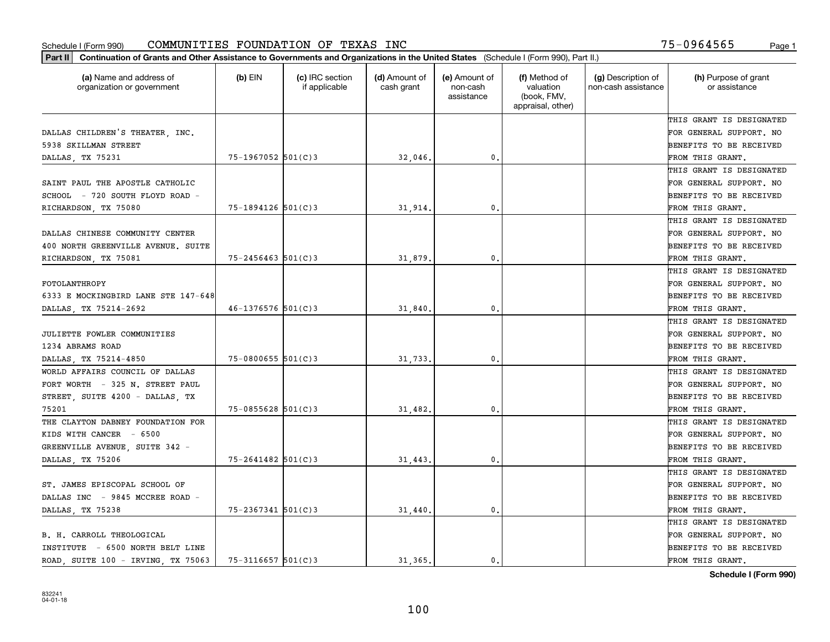| (a) Name and address of<br>organization or government | $(b)$ EIN              | (c) IRC section<br>if applicable | (d) Amount of<br>cash grant | (e) Amount of<br>non-cash<br>assistance | (f) Method of<br>valuation<br>(book, FMV,<br>appraisal, other) | (g) Description of<br>non-cash assistance | (h) Purpose of grant<br>or assistance |
|-------------------------------------------------------|------------------------|----------------------------------|-----------------------------|-----------------------------------------|----------------------------------------------------------------|-------------------------------------------|---------------------------------------|
|                                                       |                        |                                  |                             |                                         |                                                                |                                           | THIS GRANT IS DESIGNATED              |
| DALLAS CHILDREN'S THEATER, INC.                       |                        |                                  |                             |                                         |                                                                |                                           | FOR GENERAL SUPPORT. NO               |
| 5938 SKILLMAN STREET                                  |                        |                                  |                             |                                         |                                                                |                                           | BENEFITS TO BE RECEIVED               |
| DALLAS, TX 75231                                      | 75-1967052 501(C)3     |                                  | 32,046.                     | $\mathfrak{o}$ .                        |                                                                |                                           | FROM THIS GRANT.                      |
|                                                       |                        |                                  |                             |                                         |                                                                |                                           | THIS GRANT IS DESIGNATED              |
| SAINT PAUL THE APOSTLE CATHOLIC                       |                        |                                  |                             |                                         |                                                                |                                           | FOR GENERAL SUPPORT. NO               |
| SCHOOL - 720 SOUTH FLOYD ROAD -                       |                        |                                  |                             |                                         |                                                                |                                           | BENEFITS TO BE RECEIVED               |
| RICHARDSON, TX 75080                                  | 75-1894126 501(C)3     |                                  | 31,914                      | $\mathbf{0}$                            |                                                                |                                           | FROM THIS GRANT.                      |
|                                                       |                        |                                  |                             |                                         |                                                                |                                           | THIS GRANT IS DESIGNATED              |
| DALLAS CHINESE COMMUNITY CENTER                       |                        |                                  |                             |                                         |                                                                |                                           | FOR GENERAL SUPPORT. NO               |
| 400 NORTH GREENVILLE AVENUE. SUITE                    |                        |                                  |                             |                                         |                                                                |                                           | BENEFITS TO BE RECEIVED               |
| RICHARDSON, TX 75081                                  | $75 - 2456463$ 501(C)3 |                                  | 31,879                      | $\mathbf{0}$ .                          |                                                                |                                           | FROM THIS GRANT.                      |
|                                                       |                        |                                  |                             |                                         |                                                                |                                           | THIS GRANT IS DESIGNATED              |
| FOTOLANTHROPY                                         |                        |                                  |                             |                                         |                                                                |                                           | FOR GENERAL SUPPORT. NO               |
| 6333 E MOCKINGBIRD LANE STE 147-648                   |                        |                                  |                             |                                         |                                                                |                                           | BENEFITS TO BE RECEIVED               |
| DALLAS, TX 75214-2692                                 | $46 - 1376576$ 501(C)3 |                                  | 31,840                      | 0.                                      |                                                                |                                           | FROM THIS GRANT.                      |
|                                                       |                        |                                  |                             |                                         |                                                                |                                           | THIS GRANT IS DESIGNATED              |
| JULIETTE FOWLER COMMUNITIES                           |                        |                                  |                             |                                         |                                                                |                                           | FOR GENERAL SUPPORT. NO               |
| 1234 ABRAMS ROAD                                      |                        |                                  |                             |                                         |                                                                |                                           | BENEFITS TO BE RECEIVED               |
| DALLAS, TX 75214-4850                                 | $75 - 0800655$ 501(C)3 |                                  | 31,733                      | $\mathbf{0}$                            |                                                                |                                           | FROM THIS GRANT.                      |
| WORLD AFFAIRS COUNCIL OF DALLAS                       |                        |                                  |                             |                                         |                                                                |                                           | THIS GRANT IS DESIGNATED              |
| FORT WORTH - 325 N. STREET PAUL                       |                        |                                  |                             |                                         |                                                                |                                           | FOR GENERAL SUPPORT. NO               |
| STREET, SUITE 4200 - DALLAS, TX                       |                        |                                  |                             |                                         |                                                                |                                           | BENEFITS TO BE RECEIVED               |
| 75201                                                 | $75 - 0855628$ 501(C)3 |                                  | 31,482.                     | $\mathbf{0}$                            |                                                                |                                           | FROM THIS GRANT.                      |
| THE CLAYTON DABNEY FOUNDATION FOR                     |                        |                                  |                             |                                         |                                                                |                                           | THIS GRANT IS DESIGNATED              |
| KIDS WITH CANCER - 6500                               |                        |                                  |                             |                                         |                                                                |                                           | FOR GENERAL SUPPORT. NO               |
| GREENVILLE AVENUE, SUITE 342 -                        |                        |                                  |                             |                                         |                                                                |                                           | BENEFITS TO BE RECEIVED               |
| DALLAS, TX 75206                                      | $75 - 2641482$ 501(C)3 |                                  | 31,443                      | $\mathbf{0}$ .                          |                                                                |                                           | FROM THIS GRANT.                      |
|                                                       |                        |                                  |                             |                                         |                                                                |                                           | THIS GRANT IS DESIGNATED              |
| ST. JAMES EPISCOPAL SCHOOL OF                         |                        |                                  |                             |                                         |                                                                |                                           | FOR GENERAL SUPPORT. NO               |
| DALLAS INC - 9845 MCCREE ROAD -                       |                        |                                  |                             |                                         |                                                                |                                           | BENEFITS TO BE RECEIVED               |
| DALLAS, TX 75238                                      | 75-2367341 501(C)3     |                                  | 31,440.                     | 0.                                      |                                                                |                                           | FROM THIS GRANT.                      |
|                                                       |                        |                                  |                             |                                         |                                                                |                                           | THIS GRANT IS DESIGNATED              |
| B. H. CARROLL THEOLOGICAL                             |                        |                                  |                             |                                         |                                                                |                                           | FOR GENERAL SUPPORT. NO               |
| INSTITUTE - 6500 NORTH BELT LINE                      |                        |                                  |                             |                                         |                                                                |                                           | BENEFITS TO BE RECEIVED               |
| ROAD, SUITE 100 - IRVING, TX 75063                    | $75 - 3116657$ 501(C)3 |                                  | 31.365.                     | 0.                                      |                                                                |                                           | FROM THIS GRANT.                      |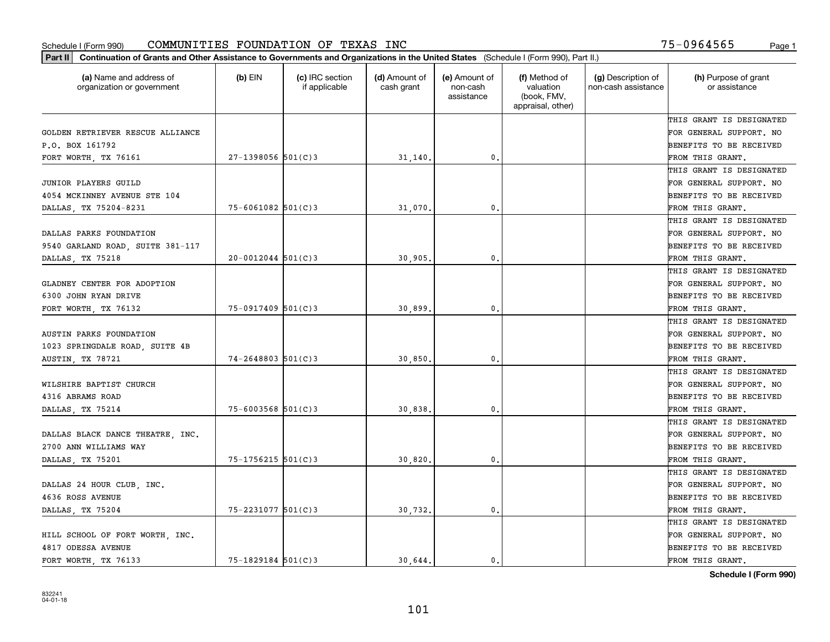| (a) Name and address of<br>organization or government | $(b)$ EIN              | (c) IRC section<br>if applicable | (d) Amount of<br>cash grant | (e) Amount of<br>non-cash<br>assistance | (f) Method of<br>valuation<br>(book, FMV,<br>appraisal, other) | (g) Description of<br>non-cash assistance | (h) Purpose of grant<br>or assistance |
|-------------------------------------------------------|------------------------|----------------------------------|-----------------------------|-----------------------------------------|----------------------------------------------------------------|-------------------------------------------|---------------------------------------|
|                                                       |                        |                                  |                             |                                         |                                                                |                                           | THIS GRANT IS DESIGNATED              |
| GOLDEN RETRIEVER RESCUE ALLIANCE                      |                        |                                  |                             |                                         |                                                                |                                           | FOR GENERAL SUPPORT. NO               |
| P.O. BOX 161792                                       |                        |                                  |                             |                                         |                                                                |                                           | BENEFITS TO BE RECEIVED               |
| FORT WORTH, TX 76161                                  | $27-1398056$ 501(C)3   |                                  | 31,140.                     | 0.                                      |                                                                |                                           | FROM THIS GRANT.                      |
|                                                       |                        |                                  |                             |                                         |                                                                |                                           | THIS GRANT IS DESIGNATED              |
| JUNIOR PLAYERS GUILD                                  |                        |                                  |                             |                                         |                                                                |                                           | FOR GENERAL SUPPORT. NO               |
| 4054 MCKINNEY AVENUE STE 104                          |                        |                                  |                             |                                         |                                                                |                                           | BENEFITS TO BE RECEIVED               |
| DALLAS, TX 75204-8231                                 | $75 - 6061082$ 501(C)3 |                                  | 31,070                      | $\mathbf{0}$                            |                                                                |                                           | FROM THIS GRANT.                      |
|                                                       |                        |                                  |                             |                                         |                                                                |                                           | THIS GRANT IS DESIGNATED              |
| DALLAS PARKS FOUNDATION                               |                        |                                  |                             |                                         |                                                                |                                           | FOR GENERAL SUPPORT. NO               |
| 9540 GARLAND ROAD, SUITE 381-117                      |                        |                                  |                             |                                         |                                                                |                                           | BENEFITS TO BE RECEIVED               |
| DALLAS, TX 75218                                      | $20 - 0012044$ 501(C)3 |                                  | 30,905                      | $\mathbf{0}$ .                          |                                                                |                                           | FROM THIS GRANT.                      |
|                                                       |                        |                                  |                             |                                         |                                                                |                                           | THIS GRANT IS DESIGNATED              |
| GLADNEY CENTER FOR ADOPTION                           |                        |                                  |                             |                                         |                                                                |                                           | FOR GENERAL SUPPORT. NO               |
| 6300 JOHN RYAN DRIVE                                  |                        |                                  |                             |                                         |                                                                |                                           | BENEFITS TO BE RECEIVED               |
| FORT WORTH, TX 76132                                  | $75 - 0917409$ 501(C)3 |                                  | 30,899                      | $\mathbf{0}$                            |                                                                |                                           | FROM THIS GRANT.                      |
|                                                       |                        |                                  |                             |                                         |                                                                |                                           | THIS GRANT IS DESIGNATED              |
| <b>AUSTIN PARKS FOUNDATION</b>                        |                        |                                  |                             |                                         |                                                                |                                           | FOR GENERAL SUPPORT. NO               |
| 1023 SPRINGDALE ROAD, SUITE 4B                        |                        |                                  |                             |                                         |                                                                |                                           | BENEFITS TO BE RECEIVED               |
| <b>AUSTIN, TX 78721</b>                               | $74 - 2648803$ 501(C)3 |                                  | 30,850                      | $\mathbf{0}$                            |                                                                |                                           | FROM THIS GRANT.                      |
|                                                       |                        |                                  |                             |                                         |                                                                |                                           | THIS GRANT IS DESIGNATED              |
| WILSHIRE BAPTIST CHURCH                               |                        |                                  |                             |                                         |                                                                |                                           | FOR GENERAL SUPPORT. NO               |
| 4316 ABRAMS ROAD                                      |                        |                                  |                             |                                         |                                                                |                                           | BENEFITS TO BE RECEIVED               |
| DALLAS, TX 75214                                      | $75 - 6003568$ 501(C)3 |                                  | 30,838                      | $\mathbf{0}$                            |                                                                |                                           | FROM THIS GRANT.                      |
|                                                       |                        |                                  |                             |                                         |                                                                |                                           | THIS GRANT IS DESIGNATED              |
| DALLAS BLACK DANCE THEATRE, INC.                      |                        |                                  |                             |                                         |                                                                |                                           | FOR GENERAL SUPPORT. NO               |
| 2700 ANN WILLIAMS WAY                                 |                        |                                  |                             |                                         |                                                                |                                           | BENEFITS TO BE RECEIVED               |
| DALLAS, TX 75201                                      | 75-1756215 501(C)3     |                                  | 30,820                      | $\mathbf{0}$ .                          |                                                                |                                           | FROM THIS GRANT.                      |
|                                                       |                        |                                  |                             |                                         |                                                                |                                           | THIS GRANT IS DESIGNATED              |
| DALLAS 24 HOUR CLUB, INC.                             |                        |                                  |                             |                                         |                                                                |                                           | FOR GENERAL SUPPORT. NO               |
| 4636 ROSS AVENUE                                      |                        |                                  |                             |                                         |                                                                |                                           | BENEFITS TO BE RECEIVED               |
| DALLAS, TX 75204                                      | 75-2231077 501(C)3     |                                  | 30,732.                     | 0.                                      |                                                                |                                           | FROM THIS GRANT.                      |
|                                                       |                        |                                  |                             |                                         |                                                                |                                           | THIS GRANT IS DESIGNATED              |
| HILL SCHOOL OF FORT WORTH, INC.                       |                        |                                  |                             |                                         |                                                                |                                           | FOR GENERAL SUPPORT. NO               |
| 4817 ODESSA AVENUE                                    |                        |                                  |                             |                                         |                                                                |                                           | BENEFITS TO BE RECEIVED               |
| FORT WORTH, TX 76133                                  | $75 - 1829184$ 501(C)3 |                                  | 30.644.                     | 0.                                      |                                                                |                                           | FROM THIS GRANT.                      |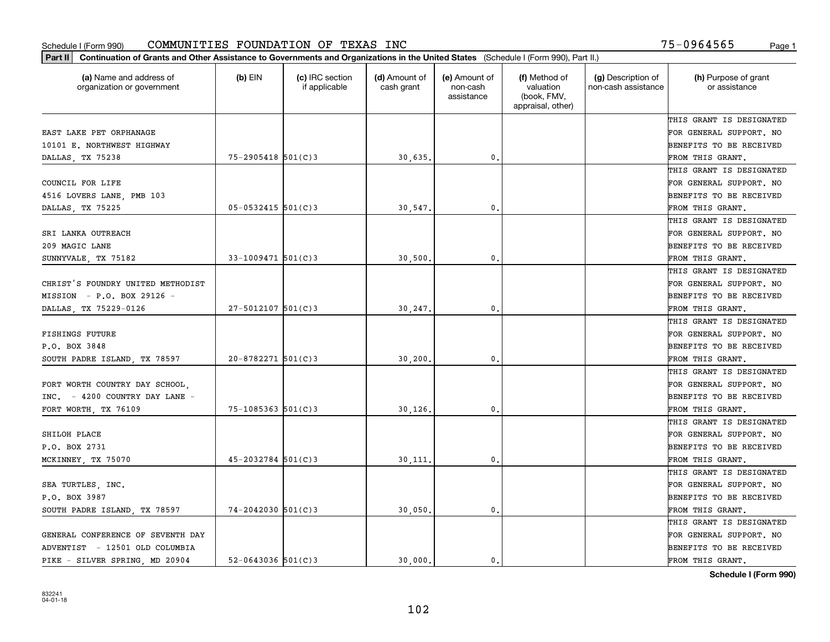| (a) Name and address of<br>organization or government | $(b)$ EIN                | (c) IRC section<br>if applicable | (d) Amount of<br>cash grant | (e) Amount of<br>non-cash<br>assistance | (f) Method of<br>valuation<br>(book, FMV,<br>appraisal, other) | (g) Description of<br>non-cash assistance | (h) Purpose of grant<br>or assistance |
|-------------------------------------------------------|--------------------------|----------------------------------|-----------------------------|-----------------------------------------|----------------------------------------------------------------|-------------------------------------------|---------------------------------------|
|                                                       |                          |                                  |                             |                                         |                                                                |                                           | THIS GRANT IS DESIGNATED              |
| EAST LAKE PET ORPHANAGE                               |                          |                                  |                             |                                         |                                                                |                                           | FOR GENERAL SUPPORT. NO               |
| 10101 E. NORTHWEST HIGHWAY                            |                          |                                  |                             |                                         |                                                                |                                           | <b>BENEFITS TO BE RECEIVED</b>        |
| DALLAS, TX 75238                                      | $75 - 2905418$ 501(C)3   |                                  | 30,635.                     | 0.                                      |                                                                |                                           | FROM THIS GRANT.                      |
|                                                       |                          |                                  |                             |                                         |                                                                |                                           | THIS GRANT IS DESIGNATED              |
| COUNCIL FOR LIFE                                      |                          |                                  |                             |                                         |                                                                |                                           | FOR GENERAL SUPPORT. NO               |
| 4516 LOVERS LANE, PMB 103                             |                          |                                  |                             |                                         |                                                                |                                           | BENEFITS TO BE RECEIVED               |
| DALLAS, TX 75225                                      | $05 - 0532415$ 501(C)3   |                                  | 30,547.                     | 0.                                      |                                                                |                                           | FROM THIS GRANT.                      |
|                                                       |                          |                                  |                             |                                         |                                                                |                                           | THIS GRANT IS DESIGNATED              |
| SRI LANKA OUTREACH                                    |                          |                                  |                             |                                         |                                                                |                                           | FOR GENERAL SUPPORT. NO               |
| 209 MAGIC LANE                                        |                          |                                  |                             |                                         |                                                                |                                           | BENEFITS TO BE RECEIVED               |
| SUNNYVALE, TX 75182                                   | $33 - 1009471$ 501(C)3   |                                  | 30,500                      | $^{\rm 0}$ .                            |                                                                |                                           | FROM THIS GRANT.                      |
|                                                       |                          |                                  |                             |                                         |                                                                |                                           | THIS GRANT IS DESIGNATED              |
| CHRIST'S FOUNDRY UNITED METHODIST                     |                          |                                  |                             |                                         |                                                                |                                           | FOR GENERAL SUPPORT. NO               |
| MISSION - P.O. BOX 29126 -                            |                          |                                  |                             |                                         |                                                                |                                           | <b>BENEFITS TO BE RECEIVED</b>        |
| DALLAS, TX 75229-0126                                 | $27 - 5012107$ 501(C)3   |                                  | 30,247.                     | 0.                                      |                                                                |                                           | FROM THIS GRANT.                      |
|                                                       |                          |                                  |                             |                                         |                                                                |                                           | THIS GRANT IS DESIGNATED              |
| <b>FISHINGS FUTURE</b>                                |                          |                                  |                             |                                         |                                                                |                                           | FOR GENERAL SUPPORT. NO               |
| P.O. BOX 3848                                         |                          |                                  |                             |                                         |                                                                |                                           | <b>BENEFITS TO BE RECEIVED</b>        |
| SOUTH PADRE ISLAND, TX 78597                          | $20 - 8782271$ 501(C)3   |                                  | 30,200                      | 0.                                      |                                                                |                                           | FROM THIS GRANT.                      |
|                                                       |                          |                                  |                             |                                         |                                                                |                                           | THIS GRANT IS DESIGNATED              |
| FORT WORTH COUNTRY DAY SCHOOL,                        |                          |                                  |                             |                                         |                                                                |                                           | FOR GENERAL SUPPORT. NO               |
| INC. - 4200 COUNTRY DAY LANE -                        |                          |                                  |                             |                                         |                                                                |                                           | <b>BENEFITS TO BE RECEIVED</b>        |
| FORT WORTH, TX 76109                                  | $75 - 1085363$ $501(C)3$ |                                  | 30,126,                     | 0.                                      |                                                                |                                           | FROM THIS GRANT.                      |
|                                                       |                          |                                  |                             |                                         |                                                                |                                           | THIS GRANT IS DESIGNATED              |
| SHILOH PLACE                                          |                          |                                  |                             |                                         |                                                                |                                           | FOR GENERAL SUPPORT. NO               |
| P.O. BOX 2731                                         |                          |                                  |                             |                                         |                                                                |                                           | <b>BENEFITS TO BE RECEIVED</b>        |
| MCKINNEY, TX 75070                                    | $45 - 2032784$ 501(C)3   |                                  | 30, 111.                    | $\mathfrak{o}$ .                        |                                                                |                                           | FROM THIS GRANT.                      |
|                                                       |                          |                                  |                             |                                         |                                                                |                                           | THIS GRANT IS DESIGNATED              |
| SEA TURTLES, INC.                                     |                          |                                  |                             |                                         |                                                                |                                           | FOR GENERAL SUPPORT. NO               |
| P.O. BOX 3987                                         |                          |                                  |                             |                                         |                                                                |                                           | BENEFITS TO BE RECEIVED               |
| SOUTH PADRE ISLAND, TX 78597                          | $74 - 2042030$ 501(C)3   |                                  | 30,050.                     | $\mathbf{0}$ .                          |                                                                |                                           | FROM THIS GRANT.                      |
|                                                       |                          |                                  |                             |                                         |                                                                |                                           | THIS GRANT IS DESIGNATED              |
| GENERAL CONFERENCE OF SEVENTH DAY                     |                          |                                  |                             |                                         |                                                                |                                           | FOR GENERAL SUPPORT. NO               |
| ADVENTIST - 12501 OLD COLUMBIA                        |                          |                                  |                             |                                         |                                                                |                                           | <b>BENEFITS TO BE RECEIVED</b>        |
| PIKE - SILVER SPRING, MD 20904                        | $52 - 0643036$ 501(C)3   |                                  | 30.000.                     | $\mathbf{0}$ .                          |                                                                |                                           | FROM THIS GRANT.                      |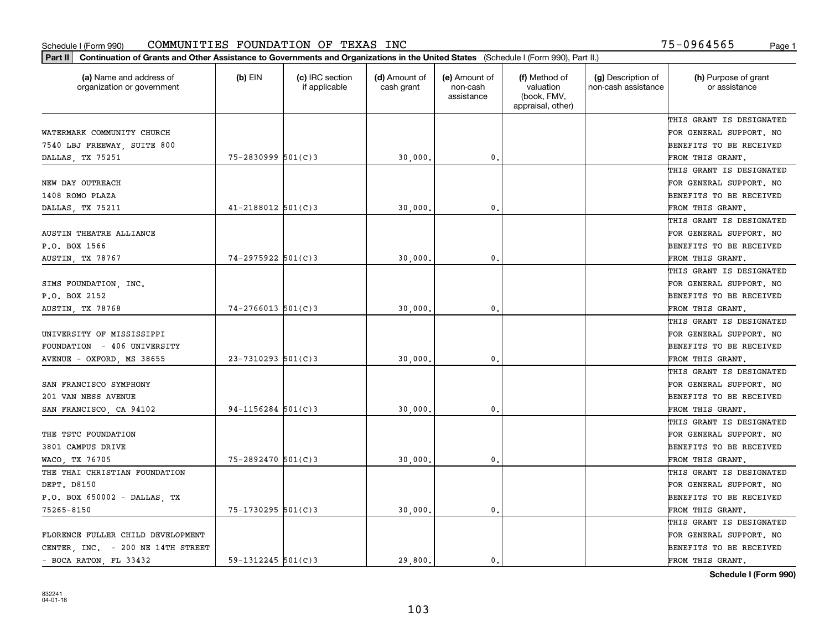| Part II   Continuation of Grants and Other Assistance to Governments and Organizations in the United States (Schedule I (Form 990), Part II.) |                        |                                  |                             |                                         |                                                                |                                           |                                       |
|-----------------------------------------------------------------------------------------------------------------------------------------------|------------------------|----------------------------------|-----------------------------|-----------------------------------------|----------------------------------------------------------------|-------------------------------------------|---------------------------------------|
| (a) Name and address of<br>organization or government                                                                                         | $(b)$ EIN              | (c) IRC section<br>if applicable | (d) Amount of<br>cash grant | (e) Amount of<br>non-cash<br>assistance | (f) Method of<br>valuation<br>(book, FMV,<br>appraisal, other) | (g) Description of<br>non-cash assistance | (h) Purpose of grant<br>or assistance |
|                                                                                                                                               |                        |                                  |                             |                                         |                                                                |                                           | THIS GRANT IS DESIGNATED              |
| WATERMARK COMMUNITY CHURCH                                                                                                                    |                        |                                  |                             |                                         |                                                                |                                           | FOR GENERAL SUPPORT. NO               |
| 7540 LBJ FREEWAY, SUITE 800                                                                                                                   |                        |                                  |                             |                                         |                                                                |                                           | BENEFITS TO BE RECEIVED               |
| DALLAS, TX 75251                                                                                                                              | 75-2830999 501(C)3     |                                  | 30,000.                     | 0.                                      |                                                                |                                           | FROM THIS GRANT.                      |
|                                                                                                                                               |                        |                                  |                             |                                         |                                                                |                                           | THIS GRANT IS DESIGNATED              |
| NEW DAY OUTREACH                                                                                                                              |                        |                                  |                             |                                         |                                                                |                                           | FOR GENERAL SUPPORT. NO               |
| 1408 ROMO PLAZA                                                                                                                               |                        |                                  |                             |                                         |                                                                |                                           | BENEFITS TO BE RECEIVED               |
| DALLAS, TX 75211                                                                                                                              | $41 - 2188012$ 501(C)3 |                                  | 30,000                      | 0.                                      |                                                                |                                           | FROM THIS GRANT.                      |
|                                                                                                                                               |                        |                                  |                             |                                         |                                                                |                                           | THIS GRANT IS DESIGNATED              |
| AUSTIN THEATRE ALLIANCE                                                                                                                       |                        |                                  |                             |                                         |                                                                |                                           | FOR GENERAL SUPPORT. NO               |
| P.O. BOX 1566                                                                                                                                 |                        |                                  |                             |                                         |                                                                |                                           | BENEFITS TO BE RECEIVED               |
| AUSTIN, TX 78767                                                                                                                              | $74 - 2975922$ 501(C)3 |                                  | 30,000                      | $\mathfrak{o}$ .                        |                                                                |                                           | FROM THIS GRANT.                      |
|                                                                                                                                               |                        |                                  |                             |                                         |                                                                |                                           | THIS GRANT IS DESIGNATED              |
| SIMS FOUNDATION, INC.                                                                                                                         |                        |                                  |                             |                                         |                                                                |                                           | FOR GENERAL SUPPORT. NO               |
| P.O. BOX 2152                                                                                                                                 |                        |                                  |                             |                                         |                                                                |                                           | <b>BENEFITS TO BE RECEIVED</b>        |
| AUSTIN, TX 78768                                                                                                                              | $74 - 2766013$ 501(C)3 |                                  | 30,000.                     | 0.                                      |                                                                |                                           | FROM THIS GRANT.                      |
|                                                                                                                                               |                        |                                  |                             |                                         |                                                                |                                           | THIS GRANT IS DESIGNATED              |
| UNIVERSITY OF MISSISSIPPI                                                                                                                     |                        |                                  |                             |                                         |                                                                |                                           | FOR GENERAL SUPPORT. NO               |
| FOUNDATION - 406 UNIVERSITY                                                                                                                   |                        |                                  |                             |                                         |                                                                |                                           | BENEFITS TO BE RECEIVED               |
| AVENUE - OXFORD, MS 38655                                                                                                                     | $23 - 7310293$ 501(C)3 |                                  | 30,000                      | 0.                                      |                                                                |                                           | FROM THIS GRANT.                      |
|                                                                                                                                               |                        |                                  |                             |                                         |                                                                |                                           | THIS GRANT IS DESIGNATED              |
| SAN FRANCISCO SYMPHONY                                                                                                                        |                        |                                  |                             |                                         |                                                                |                                           | FOR GENERAL SUPPORT. NO               |
| 201 VAN NESS AVENUE                                                                                                                           |                        |                                  |                             |                                         |                                                                |                                           | BENEFITS TO BE RECEIVED               |
| SAN FRANCISCO, CA 94102                                                                                                                       | $94 - 1156284$ 501(C)3 |                                  | 30,000                      | 0.                                      |                                                                |                                           | FROM THIS GRANT.                      |
|                                                                                                                                               |                        |                                  |                             |                                         |                                                                |                                           | THIS GRANT IS DESIGNATED              |
| THE TSTC FOUNDATION                                                                                                                           |                        |                                  |                             |                                         |                                                                |                                           | FOR GENERAL SUPPORT. NO               |
| 3801 CAMPUS DRIVE                                                                                                                             |                        |                                  |                             |                                         |                                                                |                                           | <b>BENEFITS TO BE RECEIVED</b>        |
| WACO, TX 76705                                                                                                                                | 75-2892470 501(C)3     |                                  | 30,000                      | 0.                                      |                                                                |                                           | FROM THIS GRANT.                      |
| THE THAI CHRISTIAN FOUNDATION                                                                                                                 |                        |                                  |                             |                                         |                                                                |                                           | THIS GRANT IS DESIGNATED              |
| DEPT. D8150                                                                                                                                   |                        |                                  |                             |                                         |                                                                |                                           | FOR GENERAL SUPPORT. NO               |
| P.O. BOX 650002 - DALLAS, TX                                                                                                                  |                        |                                  |                             |                                         |                                                                |                                           | BENEFITS TO BE RECEIVED               |
| 75265-8150                                                                                                                                    | 75-1730295 501(C)3     |                                  | 30,000                      | 0.                                      |                                                                |                                           | FROM THIS GRANT.                      |
|                                                                                                                                               |                        |                                  |                             |                                         |                                                                |                                           | THIS GRANT IS DESIGNATED              |
| FLORENCE FULLER CHILD DEVELOPMENT                                                                                                             |                        |                                  |                             |                                         |                                                                |                                           | FOR GENERAL SUPPORT. NO               |
| CENTER, INC. - 200 NE 14TH STREET                                                                                                             |                        |                                  |                             |                                         |                                                                |                                           | <b>BENEFITS TO BE RECEIVED</b>        |
| - BOCA RATON, FL 33432                                                                                                                        | $59 - 1312245$ 501(C)3 |                                  | 29,800.                     | 0.                                      |                                                                |                                           | FROM THIS GRANT.                      |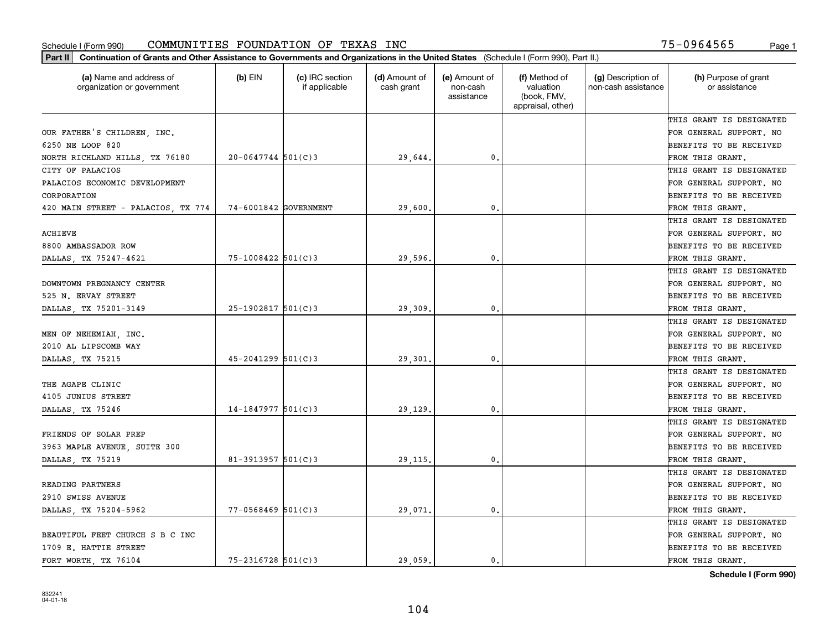| (a) Name and address of<br>organization or government | $(b)$ EIN              | (c) IRC section<br>if applicable | (d) Amount of<br>cash grant | (e) Amount of<br>non-cash<br>assistance | (f) Method of<br>valuation<br>(book, FMV,<br>appraisal, other) | (g) Description of<br>non-cash assistance | (h) Purpose of grant<br>or assistance |
|-------------------------------------------------------|------------------------|----------------------------------|-----------------------------|-----------------------------------------|----------------------------------------------------------------|-------------------------------------------|---------------------------------------|
|                                                       |                        |                                  |                             |                                         |                                                                |                                           | THIS GRANT IS DESIGNATED              |
| OUR FATHER'S CHILDREN, INC.                           |                        |                                  |                             |                                         |                                                                |                                           | FOR GENERAL SUPPORT. NO               |
| 6250 NE LOOP 820                                      |                        |                                  |                             |                                         |                                                                |                                           | BENEFITS TO BE RECEIVED               |
| NORTH RICHLAND HILLS, TX 76180                        | $20 - 0647744$ 501(C)3 |                                  | 29,644.                     | $\mathfrak{o}$ .                        |                                                                |                                           | FROM THIS GRANT.                      |
| CITY OF PALACIOS                                      |                        |                                  |                             |                                         |                                                                |                                           | THIS GRANT IS DESIGNATED              |
| PALACIOS ECONOMIC DEVELOPMENT                         |                        |                                  |                             |                                         |                                                                |                                           | FOR GENERAL SUPPORT. NO               |
| CORPORATION                                           |                        |                                  |                             |                                         |                                                                |                                           | BENEFITS TO BE RECEIVED               |
| 420 MAIN STREET - PALACIOS, TX 774                    | 74-6001842 GOVERNMENT  |                                  | 29,600                      | $\mathbf{0}$                            |                                                                |                                           | FROM THIS GRANT.                      |
|                                                       |                        |                                  |                             |                                         |                                                                |                                           | THIS GRANT IS DESIGNATED              |
| ACHIEVE                                               |                        |                                  |                             |                                         |                                                                |                                           | FOR GENERAL SUPPORT. NO               |
| 8800 AMBASSADOR ROW                                   |                        |                                  |                             |                                         |                                                                |                                           | BENEFITS TO BE RECEIVED               |
| DALLAS, TX 75247-4621                                 | $75 - 1008422$ 501(C)3 |                                  | 29,596.                     | $\mathbf{0}$ .                          |                                                                |                                           | FROM THIS GRANT.                      |
|                                                       |                        |                                  |                             |                                         |                                                                |                                           | THIS GRANT IS DESIGNATED              |
| DOWNTOWN PREGNANCY CENTER                             |                        |                                  |                             |                                         |                                                                |                                           | FOR GENERAL SUPPORT. NO               |
| 525 N. ERVAY STREET                                   |                        |                                  |                             |                                         |                                                                |                                           | BENEFITS TO BE RECEIVED               |
| DALLAS, TX 75201-3149                                 | $25-1902817$ 501(C)3   |                                  | 29,309                      | $\mathbf{0}$                            |                                                                |                                           | FROM THIS GRANT.                      |
|                                                       |                        |                                  |                             |                                         |                                                                |                                           | THIS GRANT IS DESIGNATED              |
| MEN OF NEHEMIAH, INC.                                 |                        |                                  |                             |                                         |                                                                |                                           | FOR GENERAL SUPPORT. NO               |
| 2010 AL LIPSCOMB WAY                                  |                        |                                  |                             |                                         |                                                                |                                           | BENEFITS TO BE RECEIVED               |
| DALLAS, TX 75215                                      | $45 - 2041299$ 501(C)3 |                                  | 29,301                      | $\mathbf{0}$                            |                                                                |                                           | FROM THIS GRANT.                      |
|                                                       |                        |                                  |                             |                                         |                                                                |                                           | THIS GRANT IS DESIGNATED              |
| THE AGAPE CLINIC                                      |                        |                                  |                             |                                         |                                                                |                                           | FOR GENERAL SUPPORT. NO               |
| 4105 JUNIUS STREET                                    |                        |                                  |                             |                                         |                                                                |                                           | BENEFITS TO BE RECEIVED               |
| DALLAS, TX 75246                                      | $14-1847977$ 501(C)3   |                                  | 29,129                      | $\mathbf{0}$                            |                                                                |                                           | FROM THIS GRANT.                      |
|                                                       |                        |                                  |                             |                                         |                                                                |                                           | THIS GRANT IS DESIGNATED              |
| FRIENDS OF SOLAR PREP                                 |                        |                                  |                             |                                         |                                                                |                                           | FOR GENERAL SUPPORT. NO               |
| 3963 MAPLE AVENUE, SUITE 300                          |                        |                                  |                             |                                         |                                                                |                                           | BENEFITS TO BE RECEIVED               |
| DALLAS, TX 75219                                      | 81-3913957 $501(C)$ 3  |                                  | 29,115                      | $\mathbf{0}$ .                          |                                                                |                                           | FROM THIS GRANT.                      |
|                                                       |                        |                                  |                             |                                         |                                                                |                                           | THIS GRANT IS DESIGNATED              |
| READING PARTNERS                                      |                        |                                  |                             |                                         |                                                                |                                           | FOR GENERAL SUPPORT. NO               |
| 2910 SWISS AVENUE                                     |                        |                                  |                             |                                         |                                                                |                                           | BENEFITS TO BE RECEIVED               |
| DALLAS, TX 75204-5962                                 | $77 - 0568469$ 501(C)3 |                                  | 29,071.                     | $\mathbf{0}$ .                          |                                                                |                                           | FROM THIS GRANT.                      |
|                                                       |                        |                                  |                             |                                         |                                                                |                                           | THIS GRANT IS DESIGNATED              |
| BEAUTIFUL FEET CHURCH S B C INC                       |                        |                                  |                             |                                         |                                                                |                                           | FOR GENERAL SUPPORT. NO               |
| 1709 E. HATTIE STREET                                 |                        |                                  |                             |                                         |                                                                |                                           | BENEFITS TO BE RECEIVED               |
| FORT WORTH, TX 76104                                  | $75 - 2316728$ 501(C)3 |                                  | 29.059.                     | 0.                                      |                                                                |                                           | FROM THIS GRANT.                      |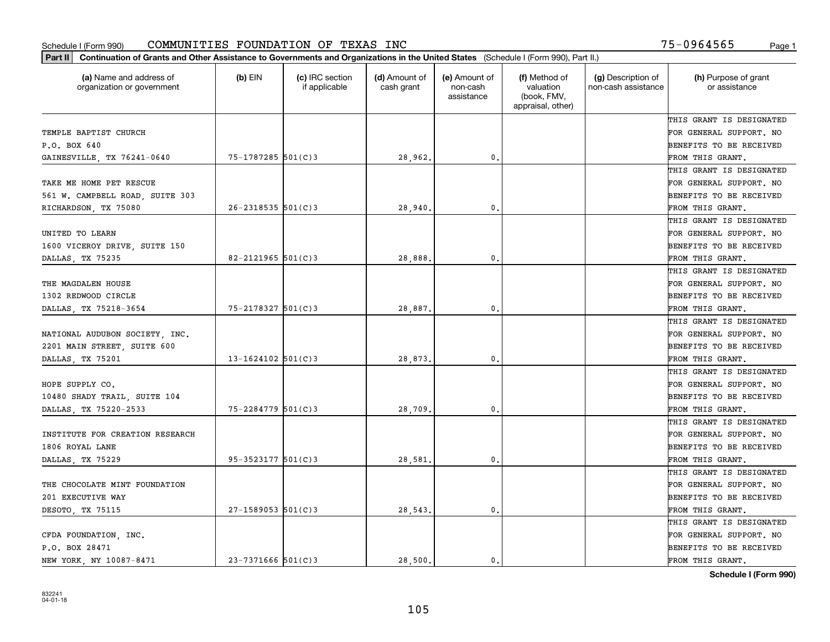| (a) Name and address of<br>organization or government | $(b)$ EIN                | (c) IRC section<br>if applicable | (d) Amount of<br>cash grant | (e) Amount of<br>non-cash<br>assistance | (f) Method of<br>valuation<br>(book, FMV,<br>appraisal, other) | (g) Description of<br>non-cash assistance | (h) Purpose of grant<br>or assistance |
|-------------------------------------------------------|--------------------------|----------------------------------|-----------------------------|-----------------------------------------|----------------------------------------------------------------|-------------------------------------------|---------------------------------------|
|                                                       |                          |                                  |                             |                                         |                                                                |                                           | THIS GRANT IS DESIGNATED              |
| TEMPLE BAPTIST CHURCH                                 |                          |                                  |                             |                                         |                                                                |                                           | FOR GENERAL SUPPORT. NO               |
| P.O. BOX 640                                          |                          |                                  |                             |                                         |                                                                |                                           | BENEFITS TO BE RECEIVED               |
| GAINESVILLE, TX 76241-0640                            | 75-1787285 501(C)3       |                                  | 28,962.                     | 0.                                      |                                                                |                                           | FROM THIS GRANT.                      |
|                                                       |                          |                                  |                             |                                         |                                                                |                                           | THIS GRANT IS DESIGNATED              |
| TAKE ME HOME PET RESCUE                               |                          |                                  |                             |                                         |                                                                |                                           | FOR GENERAL SUPPORT. NO               |
| 561 W. CAMPBELL ROAD, SUITE 303                       |                          |                                  |                             |                                         |                                                                |                                           | BENEFITS TO BE RECEIVED               |
| RICHARDSON, TX 75080                                  | $26 - 2318535$ $501(C)3$ |                                  | 28,940                      | $\mathbf{0}$                            |                                                                |                                           | FROM THIS GRANT.                      |
|                                                       |                          |                                  |                             |                                         |                                                                |                                           | THIS GRANT IS DESIGNATED              |
| UNITED TO LEARN                                       |                          |                                  |                             |                                         |                                                                |                                           | FOR GENERAL SUPPORT. NO               |
| 1600 VICEROY DRIVE, SUITE 150                         |                          |                                  |                             |                                         |                                                                |                                           | BENEFITS TO BE RECEIVED               |
| DALLAS, TX 75235                                      | 82-2121965 501(C)3       |                                  | 28,888                      | $\mathbf{0}$ .                          |                                                                |                                           | FROM THIS GRANT.                      |
|                                                       |                          |                                  |                             |                                         |                                                                |                                           | THIS GRANT IS DESIGNATED              |
| THE MAGDALEN HOUSE                                    |                          |                                  |                             |                                         |                                                                |                                           | FOR GENERAL SUPPORT. NO               |
| 1302 REDWOOD CIRCLE                                   |                          |                                  |                             |                                         |                                                                |                                           | BENEFITS TO BE RECEIVED               |
| DALLAS, TX 75218-3654                                 | $75 - 2178327$ 501(C)3   |                                  | 28,887                      | $\mathbf{0}$                            |                                                                |                                           | FROM THIS GRANT.                      |
|                                                       |                          |                                  |                             |                                         |                                                                |                                           | THIS GRANT IS DESIGNATED              |
| NATIONAL AUDUBON SOCIETY, INC.                        |                          |                                  |                             |                                         |                                                                |                                           | FOR GENERAL SUPPORT. NO               |
| 2201 MAIN STREET, SUITE 600                           |                          |                                  |                             |                                         |                                                                |                                           | BENEFITS TO BE RECEIVED               |
| DALLAS, TX 75201                                      | $13 - 1624102$ 501(C)3   |                                  | 28,873                      | $\mathbf{0}$                            |                                                                |                                           | FROM THIS GRANT.                      |
|                                                       |                          |                                  |                             |                                         |                                                                |                                           | THIS GRANT IS DESIGNATED              |
| HOPE SUPPLY CO.                                       |                          |                                  |                             |                                         |                                                                |                                           | FOR GENERAL SUPPORT. NO               |
| 10480 SHADY TRAIL, SUITE 104                          |                          |                                  |                             |                                         |                                                                |                                           | BENEFITS TO BE RECEIVED               |
| DALLAS, TX 75220-2533                                 | $75 - 2284779$ 501(C)3   |                                  | 28,709                      | $\mathbf{0}$                            |                                                                |                                           | FROM THIS GRANT.                      |
|                                                       |                          |                                  |                             |                                         |                                                                |                                           | THIS GRANT IS DESIGNATED              |
| INSTITUTE FOR CREATION RESEARCH                       |                          |                                  |                             |                                         |                                                                |                                           | FOR GENERAL SUPPORT. NO               |
| 1806 ROYAL LANE                                       |                          |                                  |                             |                                         |                                                                |                                           | BENEFITS TO BE RECEIVED               |
| DALLAS, TX 75229                                      | $95 - 3523177$ $501(C)3$ |                                  | 28,581                      | $\mathbf{0}$ .                          |                                                                |                                           | FROM THIS GRANT.                      |
|                                                       |                          |                                  |                             |                                         |                                                                |                                           | THIS GRANT IS DESIGNATED              |
| THE CHOCOLATE MINT FOUNDATION                         |                          |                                  |                             |                                         |                                                                |                                           | FOR GENERAL SUPPORT. NO               |
| 201 EXECUTIVE WAY                                     |                          |                                  |                             |                                         |                                                                |                                           | BENEFITS TO BE RECEIVED               |
| DESOTO, TX 75115                                      | $27 - 1589053$ 501(C)3   |                                  | 28,543.                     | $\mathbf{0}$ .                          |                                                                |                                           | FROM THIS GRANT.                      |
|                                                       |                          |                                  |                             |                                         |                                                                |                                           | THIS GRANT IS DESIGNATED              |
| CFDA FOUNDATION, INC.                                 |                          |                                  |                             |                                         |                                                                |                                           | FOR GENERAL SUPPORT. NO               |
| P.O. BOX 28471                                        |                          |                                  |                             |                                         |                                                                |                                           | BENEFITS TO BE RECEIVED               |
| NEW YORK, NY 10087-8471                               | $23 - 7371666$ 501(C)3   |                                  | 28.500.                     | 0.                                      |                                                                |                                           | FROM THIS GRANT.                      |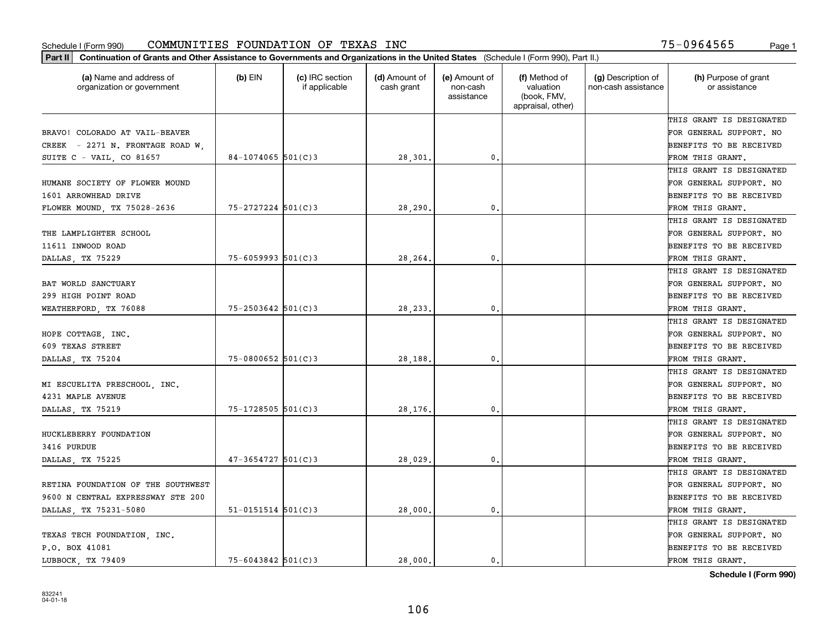| Part II   Continuation of Grants and Other Assistance to Governments and Organizations in the United States (Schedule I (Form 990), Part II.) |                          |                                  |                             |                                         |                                                                |                                           |                                       |
|-----------------------------------------------------------------------------------------------------------------------------------------------|--------------------------|----------------------------------|-----------------------------|-----------------------------------------|----------------------------------------------------------------|-------------------------------------------|---------------------------------------|
| (a) Name and address of<br>organization or government                                                                                         | $(b)$ EIN                | (c) IRC section<br>if applicable | (d) Amount of<br>cash grant | (e) Amount of<br>non-cash<br>assistance | (f) Method of<br>valuation<br>(book, FMV,<br>appraisal, other) | (g) Description of<br>non-cash assistance | (h) Purpose of grant<br>or assistance |
|                                                                                                                                               |                          |                                  |                             |                                         |                                                                |                                           | THIS GRANT IS DESIGNATED              |
| BRAVO! COLORADO AT VAIL-BEAVER                                                                                                                |                          |                                  |                             |                                         |                                                                |                                           | FOR GENERAL SUPPORT. NO               |
| CREEK - 2271 N. FRONTAGE ROAD W.                                                                                                              |                          |                                  |                             |                                         |                                                                |                                           | BENEFITS TO BE RECEIVED               |
| SUITE $C - VAIL$ , $CO 81657$                                                                                                                 | $84 - 1074065$ 501(C)3   |                                  | 28,301.                     | 0.                                      |                                                                |                                           | FROM THIS GRANT.                      |
|                                                                                                                                               |                          |                                  |                             |                                         |                                                                |                                           | THIS GRANT IS DESIGNATED              |
| HUMANE SOCIETY OF FLOWER MOUND                                                                                                                |                          |                                  |                             |                                         |                                                                |                                           | FOR GENERAL SUPPORT. NO               |
| 1601 ARROWHEAD DRIVE                                                                                                                          |                          |                                  |                             |                                         |                                                                |                                           | BENEFITS TO BE RECEIVED               |
| FLOWER MOUND, TX 75028-2636                                                                                                                   | $75 - 2727224$ 501(C)3   |                                  | 28,290                      | 0.                                      |                                                                |                                           | FROM THIS GRANT.                      |
|                                                                                                                                               |                          |                                  |                             |                                         |                                                                |                                           | THIS GRANT IS DESIGNATED              |
| THE LAMPLIGHTER SCHOOL                                                                                                                        |                          |                                  |                             |                                         |                                                                |                                           | FOR GENERAL SUPPORT. NO               |
| 11611 INWOOD ROAD                                                                                                                             |                          |                                  |                             |                                         |                                                                |                                           | BENEFITS TO BE RECEIVED               |
| DALLAS, TX 75229                                                                                                                              | $75 - 6059993$ 501(C)3   |                                  | 28,264.                     | 0.                                      |                                                                |                                           | FROM THIS GRANT.                      |
|                                                                                                                                               |                          |                                  |                             |                                         |                                                                |                                           | THIS GRANT IS DESIGNATED              |
| BAT WORLD SANCTUARY                                                                                                                           |                          |                                  |                             |                                         |                                                                |                                           | FOR GENERAL SUPPORT. NO               |
| 299 HIGH POINT ROAD                                                                                                                           |                          |                                  |                             |                                         |                                                                |                                           | <b>BENEFITS TO BE RECEIVED</b>        |
| WEATHERFORD, TX 76088                                                                                                                         | $75 - 2503642$ 501(C)3   |                                  | 28, 233.                    | $\mathbf{0}$ .                          |                                                                |                                           | FROM THIS GRANT.                      |
|                                                                                                                                               |                          |                                  |                             |                                         |                                                                |                                           | THIS GRANT IS DESIGNATED              |
| HOPE COTTAGE, INC.                                                                                                                            |                          |                                  |                             |                                         |                                                                |                                           | FOR GENERAL SUPPORT. NO               |
| 609 TEXAS STREET                                                                                                                              |                          |                                  |                             |                                         |                                                                |                                           | BENEFITS TO BE RECEIVED               |
| DALLAS, TX 75204                                                                                                                              | $75 - 0800652$ 501(C)3   |                                  | 28,188.                     | 0.                                      |                                                                |                                           | FROM THIS GRANT.                      |
|                                                                                                                                               |                          |                                  |                             |                                         |                                                                |                                           | THIS GRANT IS DESIGNATED              |
| MI ESCUELITA PRESCHOOL, INC.                                                                                                                  |                          |                                  |                             |                                         |                                                                |                                           | FOR GENERAL SUPPORT. NO               |
| 4231 MAPLE AVENUE                                                                                                                             |                          |                                  |                             |                                         |                                                                |                                           | BENEFITS TO BE RECEIVED               |
| DALLAS, TX 75219                                                                                                                              | $75 - 1728505$ 501(C)3   |                                  | 28,176.                     | $\mathfrak{o}$ .                        |                                                                |                                           | FROM THIS GRANT.                      |
|                                                                                                                                               |                          |                                  |                             |                                         |                                                                |                                           | THIS GRANT IS DESIGNATED              |
| HUCKLEBERRY FOUNDATION                                                                                                                        |                          |                                  |                             |                                         |                                                                |                                           | FOR GENERAL SUPPORT. NO               |
| 3416 PURDUE                                                                                                                                   |                          |                                  |                             |                                         |                                                                |                                           | BENEFITS TO BE RECEIVED               |
| DALLAS, TX 75225                                                                                                                              | $47 - 3654727$ 501(C)3   |                                  | 28,029                      | 0.                                      |                                                                |                                           | FROM THIS GRANT.                      |
|                                                                                                                                               |                          |                                  |                             |                                         |                                                                |                                           | THIS GRANT IS DESIGNATED              |
| RETINA FOUNDATION OF THE SOUTHWEST                                                                                                            |                          |                                  |                             |                                         |                                                                |                                           | FOR GENERAL SUPPORT. NO               |
| 9600 N CENTRAL EXPRESSWAY STE 200                                                                                                             |                          |                                  |                             |                                         |                                                                |                                           | BENEFITS TO BE RECEIVED               |
| DALLAS, TX 75231-5080                                                                                                                         | $51 - 0151514$ $501(C)3$ |                                  | 28,000.                     | $\mathbf{0}$ .                          |                                                                |                                           | FROM THIS GRANT.                      |
|                                                                                                                                               |                          |                                  |                             |                                         |                                                                |                                           | THIS GRANT IS DESIGNATED              |
| TEXAS TECH FOUNDATION, INC.                                                                                                                   |                          |                                  |                             |                                         |                                                                |                                           | FOR GENERAL SUPPORT. NO               |
| P.O. BOX 41081                                                                                                                                |                          |                                  |                             |                                         |                                                                |                                           | <b>BENEFITS TO BE RECEIVED</b>        |
| LUBBOCK TX 79409                                                                                                                              | $75 - 6043842$ 501(C)3   |                                  | 28,000.                     | 0.                                      |                                                                |                                           | FROM THIS GRANT.                      |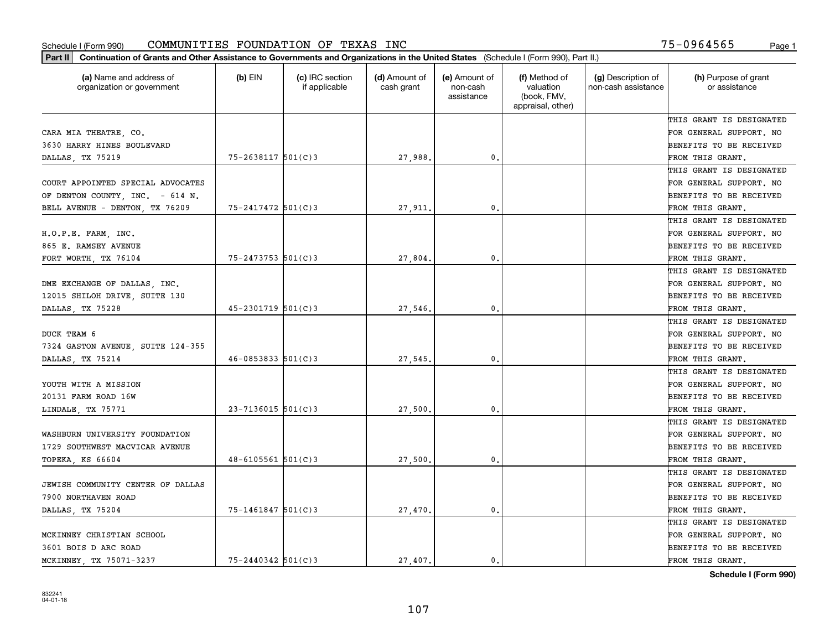| (a) Name and address of<br>organization or government | $(b)$ EIN                | (c) IRC section<br>if applicable | (d) Amount of<br>cash grant | (e) Amount of<br>non-cash<br>assistance | (f) Method of<br>valuation<br>(book, FMV,<br>appraisal, other) | (g) Description of<br>non-cash assistance | (h) Purpose of grant<br>or assistance |
|-------------------------------------------------------|--------------------------|----------------------------------|-----------------------------|-----------------------------------------|----------------------------------------------------------------|-------------------------------------------|---------------------------------------|
|                                                       |                          |                                  |                             |                                         |                                                                |                                           | THIS GRANT IS DESIGNATED              |
| CARA MIA THEATRE, CO.                                 |                          |                                  |                             |                                         |                                                                |                                           | FOR GENERAL SUPPORT. NO               |
| 3630 HARRY HINES BOULEVARD                            |                          |                                  |                             |                                         |                                                                |                                           | <b>BENEFITS TO BE RECEIVED</b>        |
| DALLAS, TX 75219                                      | $75 - 2638117$ 501(C)3   |                                  | 27,988.                     | 0.                                      |                                                                |                                           | FROM THIS GRANT.                      |
|                                                       |                          |                                  |                             |                                         |                                                                |                                           | THIS GRANT IS DESIGNATED              |
| COURT APPOINTED SPECIAL ADVOCATES                     |                          |                                  |                             |                                         |                                                                |                                           | FOR GENERAL SUPPORT. NO               |
| OF DENTON COUNTY, INC. - 614 N.                       |                          |                                  |                             |                                         |                                                                |                                           | BENEFITS TO BE RECEIVED               |
| BELL AVENUE - DENTON, TX 76209                        | $75 - 2417472$ 501(C)3   |                                  | 27,911.                     | 0.                                      |                                                                |                                           | FROM THIS GRANT.                      |
|                                                       |                          |                                  |                             |                                         |                                                                |                                           | THIS GRANT IS DESIGNATED              |
| H.O.P.E. FARM, INC.                                   |                          |                                  |                             |                                         |                                                                |                                           | FOR GENERAL SUPPORT. NO               |
| 865 E. RAMSEY AVENUE                                  |                          |                                  |                             |                                         |                                                                |                                           | BENEFITS TO BE RECEIVED               |
| FORT WORTH, TX 76104                                  | $75 - 2473753$ 501(C)3   |                                  | 27,804.                     | $^{\rm 0}$ .                            |                                                                |                                           | FROM THIS GRANT.                      |
|                                                       |                          |                                  |                             |                                         |                                                                |                                           | THIS GRANT IS DESIGNATED              |
| DME EXCHANGE OF DALLAS, INC.                          |                          |                                  |                             |                                         |                                                                |                                           | FOR GENERAL SUPPORT. NO               |
| 12015 SHILOH DRIVE, SUITE 130                         |                          |                                  |                             |                                         |                                                                |                                           | <b>BENEFITS TO BE RECEIVED</b>        |
| DALLAS, TX 75228                                      | $45 - 2301719$ 501(C)3   |                                  | 27,546.                     | 0.                                      |                                                                |                                           | FROM THIS GRANT.                      |
|                                                       |                          |                                  |                             |                                         |                                                                |                                           | THIS GRANT IS DESIGNATED              |
| DUCK TEAM 6                                           |                          |                                  |                             |                                         |                                                                |                                           | FOR GENERAL SUPPORT. NO               |
| 7324 GASTON AVENUE, SUITE 124-355                     |                          |                                  |                             |                                         |                                                                |                                           | <b>BENEFITS TO BE RECEIVED</b>        |
| DALLAS, TX 75214                                      | $46 - 0853833$ $501(C)3$ |                                  | 27,545.                     | 0.                                      |                                                                |                                           | FROM THIS GRANT.                      |
|                                                       |                          |                                  |                             |                                         |                                                                |                                           | THIS GRANT IS DESIGNATED              |
| YOUTH WITH A MISSION                                  |                          |                                  |                             |                                         |                                                                |                                           | FOR GENERAL SUPPORT. NO               |
| 20131 FARM ROAD 16W                                   |                          |                                  |                             |                                         |                                                                |                                           | <b>BENEFITS TO BE RECEIVED</b>        |
| LINDALE, TX 75771                                     | $23 - 7136015$ 501(C)3   |                                  | 27,500                      | 0.                                      |                                                                |                                           | FROM THIS GRANT.                      |
|                                                       |                          |                                  |                             |                                         |                                                                |                                           | THIS GRANT IS DESIGNATED              |
| WASHBURN UNIVERSITY FOUNDATION                        |                          |                                  |                             |                                         |                                                                |                                           | FOR GENERAL SUPPORT. NO               |
| 1729 SOUTHWEST MACVICAR AVENUE                        |                          |                                  |                             |                                         |                                                                |                                           | <b>BENEFITS TO BE RECEIVED</b>        |
| TOPEKA, KS 66604                                      | $48 - 6105561$ 501(C)3   |                                  | 27,500                      | $^{\rm 0}$ .                            |                                                                |                                           | FROM THIS GRANT.                      |
|                                                       |                          |                                  |                             |                                         |                                                                |                                           | THIS GRANT IS DESIGNATED              |
| JEWISH COMMUNITY CENTER OF DALLAS                     |                          |                                  |                             |                                         |                                                                |                                           | FOR GENERAL SUPPORT. NO               |
| 7900 NORTHAVEN ROAD                                   |                          |                                  |                             |                                         |                                                                |                                           | BENEFITS TO BE RECEIVED               |
| DALLAS, TX 75204                                      | 75-1461847 501(C)3       |                                  | 27,470.                     | $\mathbf{0}$ .                          |                                                                |                                           | FROM THIS GRANT.                      |
|                                                       |                          |                                  |                             |                                         |                                                                |                                           | THIS GRANT IS DESIGNATED              |
| MCKINNEY CHRISTIAN SCHOOL                             |                          |                                  |                             |                                         |                                                                |                                           | FOR GENERAL SUPPORT. NO               |
| 3601 BOIS D ARC ROAD                                  |                          |                                  |                             |                                         |                                                                |                                           | <b>BENEFITS TO BE RECEIVED</b>        |
| MCKINNEY, TX 75071-3237                               | $75 - 2440342$ 501(C)3   |                                  | 27.407.                     | $\mathbf{0}$ .                          |                                                                |                                           | FROM THIS GRANT.                      |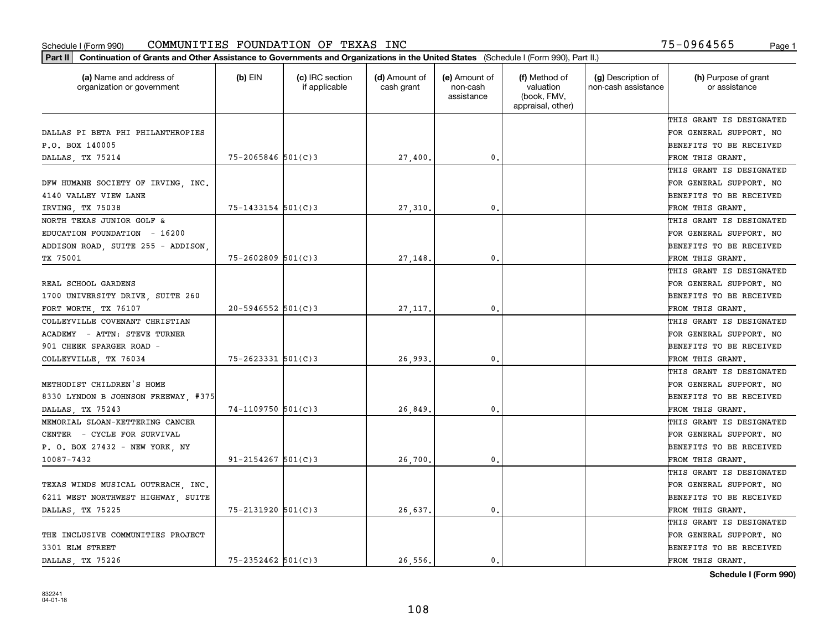| Part II   Continuation of Grants and Other Assistance to Governments and Organizations in the United States (Schedule I (Form 990), Part II.) |                        |                                  |                             |                                         |                                                                |                                           |                                       |
|-----------------------------------------------------------------------------------------------------------------------------------------------|------------------------|----------------------------------|-----------------------------|-----------------------------------------|----------------------------------------------------------------|-------------------------------------------|---------------------------------------|
| (a) Name and address of<br>organization or government                                                                                         | $(b)$ EIN              | (c) IRC section<br>if applicable | (d) Amount of<br>cash grant | (e) Amount of<br>non-cash<br>assistance | (f) Method of<br>valuation<br>(book, FMV,<br>appraisal, other) | (g) Description of<br>non-cash assistance | (h) Purpose of grant<br>or assistance |
|                                                                                                                                               |                        |                                  |                             |                                         |                                                                |                                           | THIS GRANT IS DESIGNATED              |
| DALLAS PI BETA PHI PHILANTHROPIES                                                                                                             |                        |                                  |                             |                                         |                                                                |                                           | FOR GENERAL SUPPORT. NO               |
| P.O. BOX 140005                                                                                                                               |                        |                                  |                             |                                         |                                                                |                                           | BENEFITS TO BE RECEIVED               |
| DALLAS, TX 75214                                                                                                                              | $75 - 2065846$ 501(C)3 |                                  | 27,400.                     | 0.                                      |                                                                |                                           | FROM THIS GRANT.                      |
|                                                                                                                                               |                        |                                  |                             |                                         |                                                                |                                           | THIS GRANT IS DESIGNATED              |
| DFW HUMANE SOCIETY OF IRVING, INC.                                                                                                            |                        |                                  |                             |                                         |                                                                |                                           | FOR GENERAL SUPPORT. NO               |
| 4140 VALLEY VIEW LANE                                                                                                                         |                        |                                  |                             |                                         |                                                                |                                           | BENEFITS TO BE RECEIVED               |
| IRVING TX 75038                                                                                                                               | $75 - 1433154$ 501(C)3 |                                  | 27,310.                     | 0.                                      |                                                                |                                           | FROM THIS GRANT.                      |
| NORTH TEXAS JUNIOR GOLF &                                                                                                                     |                        |                                  |                             |                                         |                                                                |                                           | THIS GRANT IS DESIGNATED              |
| EDUCATION FOUNDATION - 16200                                                                                                                  |                        |                                  |                             |                                         |                                                                |                                           | FOR GENERAL SUPPORT. NO               |
| ADDISON ROAD, SUITE 255 - ADDISON,                                                                                                            |                        |                                  |                             |                                         |                                                                |                                           | BENEFITS TO BE RECEIVED               |
| TX 75001                                                                                                                                      | $75 - 2602809$ 501(C)3 |                                  | 27,148.                     | 0.                                      |                                                                |                                           | FROM THIS GRANT.                      |
|                                                                                                                                               |                        |                                  |                             |                                         |                                                                |                                           | THIS GRANT IS DESIGNATED              |
| REAL SCHOOL GARDENS                                                                                                                           |                        |                                  |                             |                                         |                                                                |                                           | FOR GENERAL SUPPORT. NO               |
| 1700 UNIVERSITY DRIVE, SUITE 260                                                                                                              |                        |                                  |                             |                                         |                                                                |                                           | <b>BENEFITS TO BE RECEIVED</b>        |
| FORT WORTH, TX 76107                                                                                                                          | $20 - 5946552$ 501(C)3 |                                  | 27, 117.                    | 0.                                      |                                                                |                                           | FROM THIS GRANT.                      |
| COLLEYVILLE COVENANT CHRISTIAN                                                                                                                |                        |                                  |                             |                                         |                                                                |                                           | THIS GRANT IS DESIGNATED              |
| ACADEMY - ATTN: STEVE TURNER                                                                                                                  |                        |                                  |                             |                                         |                                                                |                                           | FOR GENERAL SUPPORT. NO               |
| 901 CHEEK SPARGER ROAD -                                                                                                                      |                        |                                  |                             |                                         |                                                                |                                           | BENEFITS TO BE RECEIVED               |
| COLLEYVILLE, TX 76034                                                                                                                         | $75 - 2623331$ 501(C)3 |                                  | 26,993.                     | 0.                                      |                                                                |                                           | FROM THIS GRANT.                      |
|                                                                                                                                               |                        |                                  |                             |                                         |                                                                |                                           | THIS GRANT IS DESIGNATED              |
| METHODIST CHILDREN'S HOME                                                                                                                     |                        |                                  |                             |                                         |                                                                |                                           | FOR GENERAL SUPPORT. NO               |
| 8330 LYNDON B JOHNSON FREEWAY, #375                                                                                                           |                        |                                  |                             |                                         |                                                                |                                           | <b>BENEFITS TO BE RECEIVED</b>        |
| DALLAS, TX 75243                                                                                                                              | $74 - 1109750$ 501(C)3 |                                  | 26,849                      | 0.                                      |                                                                |                                           | FROM THIS GRANT.                      |
| MEMORIAL SLOAN-KETTERING CANCER                                                                                                               |                        |                                  |                             |                                         |                                                                |                                           | THIS GRANT IS DESIGNATED              |
| CENTER - CYCLE FOR SURVIVAL                                                                                                                   |                        |                                  |                             |                                         |                                                                |                                           | FOR GENERAL SUPPORT. NO               |
| P. O. BOX 27432 - NEW YORK, NY                                                                                                                |                        |                                  |                             |                                         |                                                                |                                           | <b>BENEFITS TO BE RECEIVED</b>        |
| 10087-7432                                                                                                                                    | $91 - 2154267$ 501(C)3 |                                  | 26,700                      | 0.                                      |                                                                |                                           | FROM THIS GRANT.                      |
|                                                                                                                                               |                        |                                  |                             |                                         |                                                                |                                           | THIS GRANT IS DESIGNATED              |
| TEXAS WINDS MUSICAL OUTREACH, INC.                                                                                                            |                        |                                  |                             |                                         |                                                                |                                           | FOR GENERAL SUPPORT. NO               |
| 6211 WEST NORTHWEST HIGHWAY, SUITE                                                                                                            |                        |                                  |                             |                                         |                                                                |                                           | BENEFITS TO BE RECEIVED               |
| DALLAS, TX 75225                                                                                                                              | 75-2131920 501(C)3     |                                  | 26,637.                     | 0.                                      |                                                                |                                           | FROM THIS GRANT.                      |
|                                                                                                                                               |                        |                                  |                             |                                         |                                                                |                                           | THIS GRANT IS DESIGNATED              |
| THE INCLUSIVE COMMUNITIES PROJECT                                                                                                             |                        |                                  |                             |                                         |                                                                |                                           | FOR GENERAL SUPPORT. NO               |
| 3301 ELM STREET                                                                                                                               |                        |                                  |                             |                                         |                                                                |                                           | <b>BENEFITS TO BE RECEIVED</b>        |
| DALLAS, TX 75226                                                                                                                              | $75 - 2352462$ 501(C)3 |                                  | 26.556.                     | $\mathbf{0}$ .                          |                                                                |                                           | FROM THIS GRANT.                      |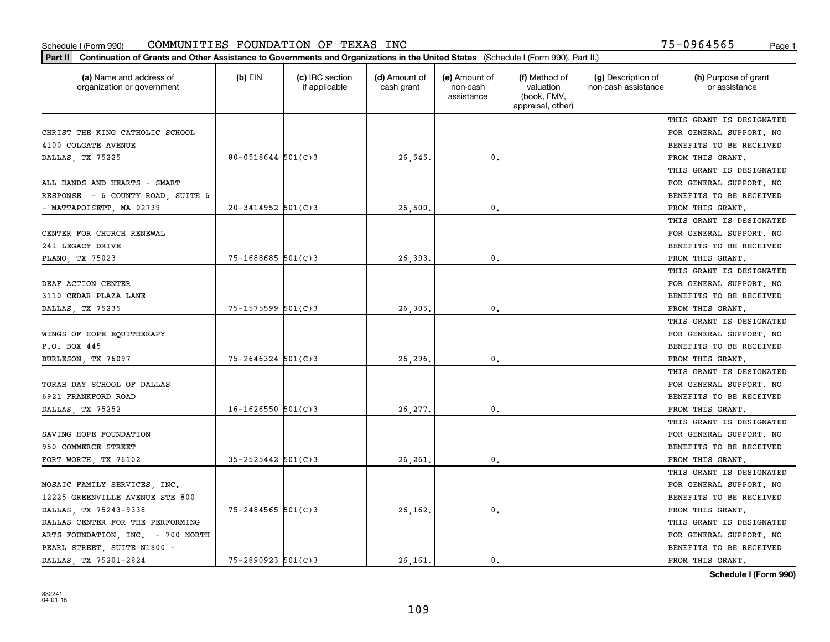| (a) Name and address of<br>organization or government | $(b)$ EIN              | (c) IRC section<br>if applicable | (d) Amount of<br>cash grant | (e) Amount of<br>non-cash<br>assistance | (f) Method of<br>valuation<br>(book, FMV,<br>appraisal, other) | (g) Description of<br>non-cash assistance | (h) Purpose of grant<br>or assistance |
|-------------------------------------------------------|------------------------|----------------------------------|-----------------------------|-----------------------------------------|----------------------------------------------------------------|-------------------------------------------|---------------------------------------|
|                                                       |                        |                                  |                             |                                         |                                                                |                                           | THIS GRANT IS DESIGNATED              |
| CHRIST THE KING CATHOLIC SCHOOL                       |                        |                                  |                             |                                         |                                                                |                                           | FOR GENERAL SUPPORT. NO               |
| 4100 COLGATE AVENUE                                   |                        |                                  |                             |                                         |                                                                |                                           | BENEFITS TO BE RECEIVED               |
| DALLAS, TX 75225                                      | $80 - 0518644$ 501(C)3 |                                  | 26,545.                     | 0.                                      |                                                                |                                           | FROM THIS GRANT.                      |
|                                                       |                        |                                  |                             |                                         |                                                                |                                           | THIS GRANT IS DESIGNATED              |
| ALL HANDS AND HEARTS - SMART                          |                        |                                  |                             |                                         |                                                                |                                           | FOR GENERAL SUPPORT. NO               |
| RESPONSE - 6 COUNTY ROAD, SUITE 6                     |                        |                                  |                             |                                         |                                                                |                                           | BENEFITS TO BE RECEIVED               |
| - MATTAPOISETT, MA 02739                              | $20 - 3414952$ 501(C)3 |                                  | 26,500                      | $\mathbf{0}$                            |                                                                |                                           | FROM THIS GRANT.                      |
|                                                       |                        |                                  |                             |                                         |                                                                |                                           | THIS GRANT IS DESIGNATED              |
| CENTER FOR CHURCH RENEWAL                             |                        |                                  |                             |                                         |                                                                |                                           | FOR GENERAL SUPPORT. NO               |
| 241 LEGACY DRIVE                                      |                        |                                  |                             |                                         |                                                                |                                           | BENEFITS TO BE RECEIVED               |
| PLANO, TX 75023                                       | $75 - 1688685$ 501(C)3 |                                  | 26,393                      | $\mathbf{0}$ .                          |                                                                |                                           | FROM THIS GRANT.                      |
|                                                       |                        |                                  |                             |                                         |                                                                |                                           | THIS GRANT IS DESIGNATED              |
| DEAF ACTION CENTER                                    |                        |                                  |                             |                                         |                                                                |                                           | FOR GENERAL SUPPORT. NO               |
| 3110 CEDAR PLAZA LANE                                 |                        |                                  |                             |                                         |                                                                |                                           | BENEFITS TO BE RECEIVED               |
| DALLAS, TX 75235                                      | $75 - 1575599$ 501(C)3 |                                  | 26,305                      | $\mathbf{0}$                            |                                                                |                                           | FROM THIS GRANT.                      |
|                                                       |                        |                                  |                             |                                         |                                                                |                                           | THIS GRANT IS DESIGNATED              |
| WINGS OF HOPE EQUITHERAPY                             |                        |                                  |                             |                                         |                                                                |                                           | FOR GENERAL SUPPORT. NO               |
| P.O. BOX 445                                          |                        |                                  |                             |                                         |                                                                |                                           | BENEFITS TO BE RECEIVED               |
| BURLESON, TX 76097                                    | $75 - 2646324$ 501(C)3 |                                  | 26,296.                     | $\mathbf{0}$                            |                                                                |                                           | FROM THIS GRANT.                      |
|                                                       |                        |                                  |                             |                                         |                                                                |                                           | THIS GRANT IS DESIGNATED              |
| TORAH DAY SCHOOL OF DALLAS                            |                        |                                  |                             |                                         |                                                                |                                           | FOR GENERAL SUPPORT. NO               |
| 6921 FRANKFORD ROAD                                   |                        |                                  |                             |                                         |                                                                |                                           | BENEFITS TO BE RECEIVED               |
| DALLAS, TX 75252                                      | $16 - 1626550$ 501(C)3 |                                  | 26,277                      | $\mathbf{0}$                            |                                                                |                                           | FROM THIS GRANT.                      |
|                                                       |                        |                                  |                             |                                         |                                                                |                                           | THIS GRANT IS DESIGNATED              |
| SAVING HOPE FOUNDATION                                |                        |                                  |                             |                                         |                                                                |                                           | FOR GENERAL SUPPORT. NO               |
| 950 COMMERCE STREET                                   |                        |                                  |                             |                                         |                                                                |                                           | BENEFITS TO BE RECEIVED               |
| FORT WORTH, TX 76102                                  | $35 - 2525442$ 501(C)3 |                                  | 26,261                      | $\mathbf{0}$ .                          |                                                                |                                           | FROM THIS GRANT.                      |
|                                                       |                        |                                  |                             |                                         |                                                                |                                           | THIS GRANT IS DESIGNATED              |
| MOSAIC FAMILY SERVICES, INC.                          |                        |                                  |                             |                                         |                                                                |                                           | FOR GENERAL SUPPORT. NO               |
| 12225 GREENVILLE AVENUE STE 800                       |                        |                                  |                             |                                         |                                                                |                                           | BENEFITS TO BE RECEIVED               |
| DALLAS, TX 75243-9338                                 | $75 - 2484565$ 501(C)3 |                                  | 26,162.                     | $\mathbf{0}$ .                          |                                                                |                                           | FROM THIS GRANT.                      |
| DALLAS CENTER FOR THE PERFORMING                      |                        |                                  |                             |                                         |                                                                |                                           | THIS GRANT IS DESIGNATED              |
| ARTS FOUNDATION, INC. - 700 NORTH                     |                        |                                  |                             |                                         |                                                                |                                           | FOR GENERAL SUPPORT. NO               |
| PEARL STREET, SUITE N1800 -                           |                        |                                  |                             |                                         |                                                                |                                           | BENEFITS TO BE RECEIVED               |
| DALLAS TX 75201-2824                                  | $75 - 2890923$ 501(C)3 |                                  | 26.161.                     | 0.                                      |                                                                |                                           | FROM THIS GRANT.                      |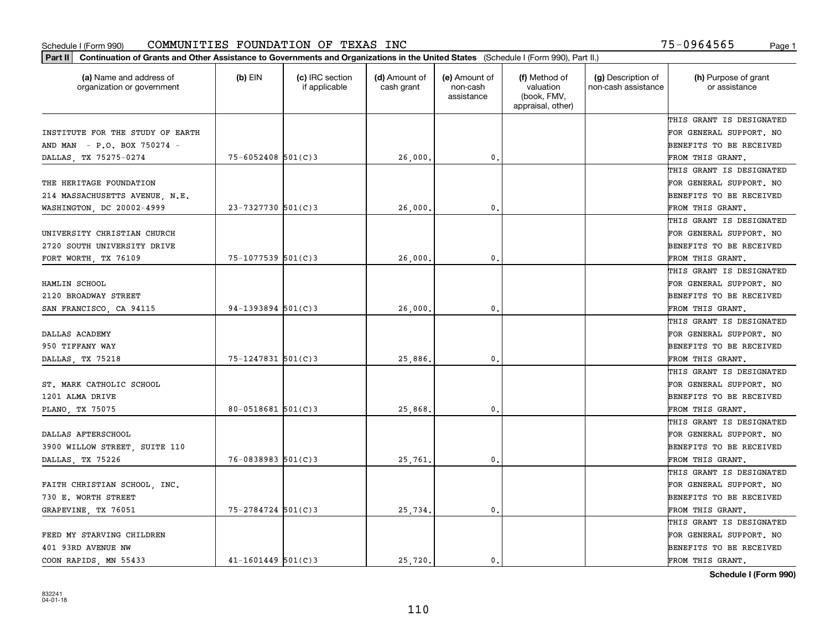| (a) Name and address of<br>organization or government | $(b)$ EIN              | (c) IRC section<br>if applicable | (d) Amount of<br>cash grant | (e) Amount of<br>non-cash<br>assistance | (f) Method of<br>valuation<br>(book, FMV,<br>appraisal, other) | (g) Description of<br>non-cash assistance | (h) Purpose of grant<br>or assistance |
|-------------------------------------------------------|------------------------|----------------------------------|-----------------------------|-----------------------------------------|----------------------------------------------------------------|-------------------------------------------|---------------------------------------|
|                                                       |                        |                                  |                             |                                         |                                                                |                                           | THIS GRANT IS DESIGNATED              |
| INSTITUTE FOR THE STUDY OF EARTH                      |                        |                                  |                             |                                         |                                                                |                                           | FOR GENERAL SUPPORT. NO               |
| AND MAN - P.O. BOX 750274 -                           |                        |                                  |                             |                                         |                                                                |                                           | BENEFITS TO BE RECEIVED               |
| DALLAS, TX 75275-0274                                 | $75 - 6052408$ 501(C)3 |                                  | 26,000                      | 0.                                      |                                                                |                                           | FROM THIS GRANT.                      |
|                                                       |                        |                                  |                             |                                         |                                                                |                                           | THIS GRANT IS DESIGNATED              |
| THE HERITAGE FOUNDATION                               |                        |                                  |                             |                                         |                                                                |                                           | FOR GENERAL SUPPORT. NO               |
| 214 MASSACHUSETTS AVENUE, N.E.                        |                        |                                  |                             |                                         |                                                                |                                           | BENEFITS TO BE RECEIVED               |
| WASHINGTON, DC 20002-4999                             | $23 - 7327730$ 501(C)3 |                                  | 26,000                      | $\mathbf{0}$                            |                                                                |                                           | FROM THIS GRANT.                      |
|                                                       |                        |                                  |                             |                                         |                                                                |                                           | THIS GRANT IS DESIGNATED              |
| UNIVERSITY CHRISTIAN CHURCH                           |                        |                                  |                             |                                         |                                                                |                                           | FOR GENERAL SUPPORT. NO               |
| 2720 SOUTH UNIVERSITY DRIVE                           |                        |                                  |                             |                                         |                                                                |                                           | BENEFITS TO BE RECEIVED               |
| FORT WORTH, TX 76109                                  | 75-1077539 501(C)3     |                                  | 26,000                      | $\mathbf{0}$ .                          |                                                                |                                           | FROM THIS GRANT.                      |
|                                                       |                        |                                  |                             |                                         |                                                                |                                           | THIS GRANT IS DESIGNATED              |
| HAMLIN SCHOOL                                         |                        |                                  |                             |                                         |                                                                |                                           | FOR GENERAL SUPPORT. NO               |
| 2120 BROADWAY STREET                                  |                        |                                  |                             |                                         |                                                                |                                           | BENEFITS TO BE RECEIVED               |
| SAN FRANCISCO, CA 94115                               | $94 - 1393894$ 501(C)3 |                                  | 26,000                      | $\mathbf{0}$                            |                                                                |                                           | FROM THIS GRANT.                      |
|                                                       |                        |                                  |                             |                                         |                                                                |                                           | THIS GRANT IS DESIGNATED              |
| DALLAS ACADEMY                                        |                        |                                  |                             |                                         |                                                                |                                           | FOR GENERAL SUPPORT. NO               |
| 950 TIFFANY WAY                                       |                        |                                  |                             |                                         |                                                                |                                           | BENEFITS TO BE RECEIVED               |
| DALLAS, TX 75218                                      | $75 - 1247831$ 501(C)3 |                                  | 25,886                      | $\mathbf{0}$                            |                                                                |                                           | FROM THIS GRANT.                      |
|                                                       |                        |                                  |                             |                                         |                                                                |                                           | THIS GRANT IS DESIGNATED              |
| ST. MARK CATHOLIC SCHOOL                              |                        |                                  |                             |                                         |                                                                |                                           | FOR GENERAL SUPPORT. NO               |
| 1201 ALMA DRIVE                                       |                        |                                  |                             |                                         |                                                                |                                           | BENEFITS TO BE RECEIVED               |
| PLANO, TX 75075                                       | $80 - 0518681$ 501(C)3 |                                  | 25,868                      | $\mathbf{0}$                            |                                                                |                                           | FROM THIS GRANT.                      |
|                                                       |                        |                                  |                             |                                         |                                                                |                                           | THIS GRANT IS DESIGNATED              |
| DALLAS AFTERSCHOOL                                    |                        |                                  |                             |                                         |                                                                |                                           | FOR GENERAL SUPPORT. NO               |
| 3900 WILLOW STREET, SUITE 110                         |                        |                                  |                             |                                         |                                                                |                                           | BENEFITS TO BE RECEIVED               |
| DALLAS, TX 75226                                      | $76 - 0838983$ 501(C)3 |                                  | 25,761                      | $\mathbf{0}$ .                          |                                                                |                                           | FROM THIS GRANT.                      |
|                                                       |                        |                                  |                             |                                         |                                                                |                                           | THIS GRANT IS DESIGNATED              |
| FAITH CHRISTIAN SCHOOL, INC.                          |                        |                                  |                             |                                         |                                                                |                                           | FOR GENERAL SUPPORT. NO               |
| 730 E. WORTH STREET                                   |                        |                                  |                             |                                         |                                                                |                                           | BENEFITS TO BE RECEIVED               |
| GRAPEVINE, TX 76051                                   | $75 - 2784724$ 501(C)3 |                                  | 25,734.                     | $\mathbf{0}$ .                          |                                                                |                                           | FROM THIS GRANT.                      |
|                                                       |                        |                                  |                             |                                         |                                                                |                                           | THIS GRANT IS DESIGNATED              |
| FEED MY STARVING CHILDREN                             |                        |                                  |                             |                                         |                                                                |                                           | FOR GENERAL SUPPORT. NO               |
| 401 93RD AVENUE NW                                    |                        |                                  |                             |                                         |                                                                |                                           | BENEFITS TO BE RECEIVED               |
| COON RAPIDS, MN 55433                                 | $41 - 1601449$ 501(C)3 |                                  | 25.720.                     | 0.                                      |                                                                |                                           | FROM THIS GRANT.                      |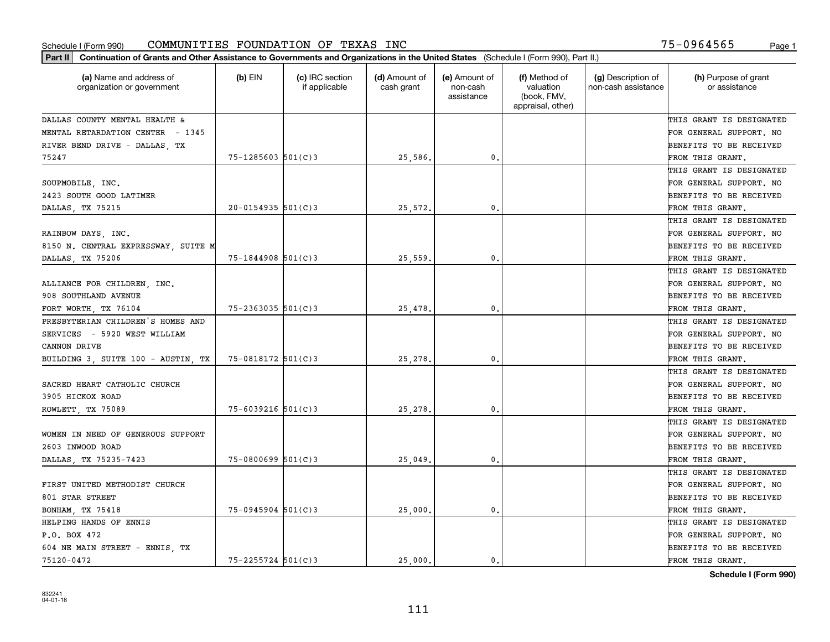| Part II   Continuation of Grants and Other Assistance to Governments and Organizations in the United States (Schedule I (Form 990), Part II.) |                        |                                  |                             |                                         |                                                                |                                           |                                       |
|-----------------------------------------------------------------------------------------------------------------------------------------------|------------------------|----------------------------------|-----------------------------|-----------------------------------------|----------------------------------------------------------------|-------------------------------------------|---------------------------------------|
| (a) Name and address of<br>organization or government                                                                                         | $(b)$ EIN              | (c) IRC section<br>if applicable | (d) Amount of<br>cash grant | (e) Amount of<br>non-cash<br>assistance | (f) Method of<br>valuation<br>(book, FMV,<br>appraisal, other) | (g) Description of<br>non-cash assistance | (h) Purpose of grant<br>or assistance |
| DALLAS COUNTY MENTAL HEALTH &                                                                                                                 |                        |                                  |                             |                                         |                                                                |                                           | THIS GRANT IS DESIGNATED              |
| MENTAL RETARDATION CENTER - 1345                                                                                                              |                        |                                  |                             |                                         |                                                                |                                           | FOR GENERAL SUPPORT. NO               |
| RIVER BEND DRIVE - DALLAS, TX                                                                                                                 |                        |                                  |                             |                                         |                                                                |                                           | BENEFITS TO BE RECEIVED               |
| 75247                                                                                                                                         | $75 - 1285603$ 501(C)3 |                                  | 25,586.                     | 0.                                      |                                                                |                                           | FROM THIS GRANT.                      |
|                                                                                                                                               |                        |                                  |                             |                                         |                                                                |                                           | THIS GRANT IS DESIGNATED              |
| SOUPMOBILE, INC.                                                                                                                              |                        |                                  |                             |                                         |                                                                |                                           | FOR GENERAL SUPPORT. NO               |
| 2423 SOUTH GOOD LATIMER                                                                                                                       |                        |                                  |                             |                                         |                                                                |                                           | BENEFITS TO BE RECEIVED               |
| DALLAS, TX 75215                                                                                                                              | $20 - 0154935$ 501(C)3 |                                  | 25,572.                     | 0.                                      |                                                                |                                           | FROM THIS GRANT.                      |
|                                                                                                                                               |                        |                                  |                             |                                         |                                                                |                                           | THIS GRANT IS DESIGNATED              |
| RAINBOW DAYS, INC.                                                                                                                            |                        |                                  |                             |                                         |                                                                |                                           | FOR GENERAL SUPPORT. NO               |
| 8150 N. CENTRAL EXPRESSWAY, SUITE M                                                                                                           |                        |                                  |                             |                                         |                                                                |                                           | BENEFITS TO BE RECEIVED               |
| DALLAS, TX 75206                                                                                                                              | $75 - 1844908$ 501(C)3 |                                  | 25,559                      | 0.                                      |                                                                |                                           | FROM THIS GRANT.                      |
|                                                                                                                                               |                        |                                  |                             |                                         |                                                                |                                           | THIS GRANT IS DESIGNATED              |
| ALLIANCE FOR CHILDREN, INC.                                                                                                                   |                        |                                  |                             |                                         |                                                                |                                           | FOR GENERAL SUPPORT. NO               |
| 908 SOUTHLAND AVENUE                                                                                                                          |                        |                                  |                             |                                         |                                                                |                                           | <b>BENEFITS TO BE RECEIVED</b>        |
| FORT WORTH, TX 76104                                                                                                                          | $75 - 2363035$ 501(C)3 |                                  | 25,478                      | 0.                                      |                                                                |                                           | FROM THIS GRANT.                      |
| PRESBYTERIAN CHILDREN'S HOMES AND                                                                                                             |                        |                                  |                             |                                         |                                                                |                                           | THIS GRANT IS DESIGNATED              |
| SERVICES - 5920 WEST WILLIAM                                                                                                                  |                        |                                  |                             |                                         |                                                                |                                           | FOR GENERAL SUPPORT. NO               |
| CANNON DRIVE                                                                                                                                  |                        |                                  |                             |                                         |                                                                |                                           | BENEFITS TO BE RECEIVED               |
| BUILDING 3, SUITE 100 - AUSTIN, TX                                                                                                            | 75-0818172 501(C)3     |                                  | 25,278.                     | 0.                                      |                                                                |                                           | FROM THIS GRANT.                      |
|                                                                                                                                               |                        |                                  |                             |                                         |                                                                |                                           | THIS GRANT IS DESIGNATED              |
| SACRED HEART CATHOLIC CHURCH                                                                                                                  |                        |                                  |                             |                                         |                                                                |                                           | FOR GENERAL SUPPORT. NO               |
| 3905 HICKOX ROAD                                                                                                                              |                        |                                  |                             |                                         |                                                                |                                           | <b>BENEFITS TO BE RECEIVED</b>        |
| ROWLETT, TX 75089                                                                                                                             | $75 - 6039216$ 501(C)3 |                                  | 25, 278.                    | 0.                                      |                                                                |                                           | FROM THIS GRANT.                      |
|                                                                                                                                               |                        |                                  |                             |                                         |                                                                |                                           | THIS GRANT IS DESIGNATED              |
| WOMEN IN NEED OF GENEROUS SUPPORT                                                                                                             |                        |                                  |                             |                                         |                                                                |                                           | FOR GENERAL SUPPORT. NO               |
| 2603 INWOOD ROAD                                                                                                                              |                        |                                  |                             |                                         |                                                                |                                           | <b>BENEFITS TO BE RECEIVED</b>        |
| DALLAS, TX 75235-7423                                                                                                                         | $75 - 0800699$ 501(C)3 |                                  | 25,049                      | 0.                                      |                                                                |                                           | FROM THIS GRANT.                      |
|                                                                                                                                               |                        |                                  |                             |                                         |                                                                |                                           | THIS GRANT IS DESIGNATED              |
| FIRST UNITED METHODIST CHURCH                                                                                                                 |                        |                                  |                             |                                         |                                                                |                                           | FOR GENERAL SUPPORT. NO               |
| 801 STAR STREET                                                                                                                               |                        |                                  |                             |                                         |                                                                |                                           | BENEFITS TO BE RECEIVED               |
| BONHAM, TX 75418                                                                                                                              | $75-0945904$ 501(C)3   |                                  | 25,000.                     | 0.                                      |                                                                |                                           | FROM THIS GRANT.                      |
| HELPING HANDS OF ENNIS                                                                                                                        |                        |                                  |                             |                                         |                                                                |                                           | THIS GRANT IS DESIGNATED              |
| P.O. BOX 472                                                                                                                                  |                        |                                  |                             |                                         |                                                                |                                           | FOR GENERAL SUPPORT. NO               |
| 604 NE MAIN STREET - ENNIS, TX                                                                                                                |                        |                                  |                             |                                         |                                                                |                                           | <b>BENEFITS TO BE RECEIVED</b>        |
| 75120-0472                                                                                                                                    | $75 - 2255724$ 501(C)3 |                                  | 25,000.                     | $\mathbf{0}$ .                          |                                                                |                                           | FROM THIS GRANT.                      |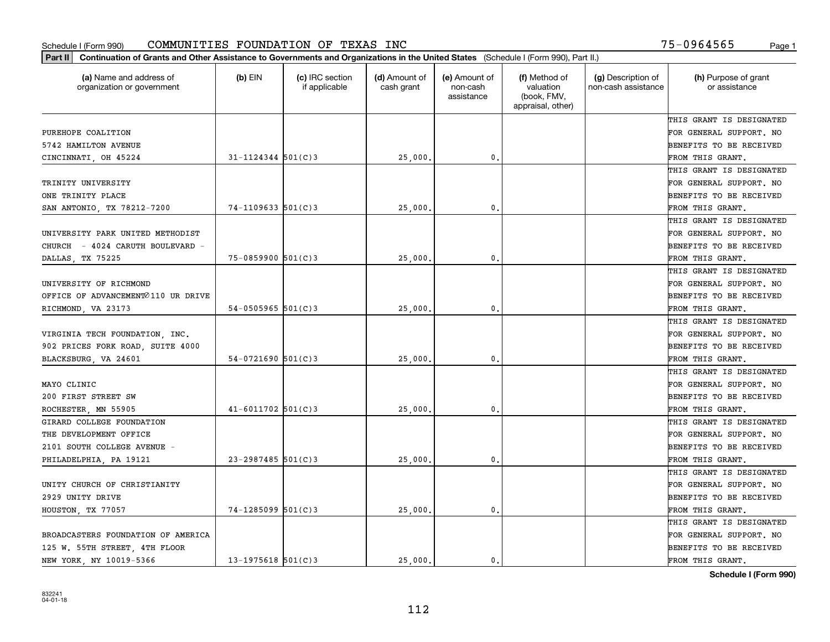| (a) Name and address of<br>organization or government | $(b)$ EIN                | (c) IRC section<br>if applicable | (d) Amount of<br>cash grant | (e) Amount of<br>non-cash<br>assistance | (f) Method of<br>valuation<br>(book, FMV,<br>appraisal, other) | (g) Description of<br>non-cash assistance | (h) Purpose of grant<br>or assistance |
|-------------------------------------------------------|--------------------------|----------------------------------|-----------------------------|-----------------------------------------|----------------------------------------------------------------|-------------------------------------------|---------------------------------------|
|                                                       |                          |                                  |                             |                                         |                                                                |                                           | THIS GRANT IS DESIGNATED              |
| PUREHOPE COALITION                                    |                          |                                  |                             |                                         |                                                                |                                           | FOR GENERAL SUPPORT. NO               |
| 5742 HAMILTON AVENUE                                  |                          |                                  |                             |                                         |                                                                |                                           | BENEFITS TO BE RECEIVED               |
| CINCINNATI, OH 45224                                  | $31 - 1124344$ 501(C)3   |                                  | 25,000                      | 0.                                      |                                                                |                                           | FROM THIS GRANT.                      |
|                                                       |                          |                                  |                             |                                         |                                                                |                                           | THIS GRANT IS DESIGNATED              |
| TRINITY UNIVERSITY                                    |                          |                                  |                             |                                         |                                                                |                                           | FOR GENERAL SUPPORT. NO               |
| ONE TRINITY PLACE                                     |                          |                                  |                             |                                         |                                                                |                                           | BENEFITS TO BE RECEIVED               |
| SAN ANTONIO, TX 78212-7200                            | $74 - 1109633$ $501(C)3$ |                                  | 25,000                      | $\mathbf{0}$                            |                                                                |                                           | FROM THIS GRANT.                      |
|                                                       |                          |                                  |                             |                                         |                                                                |                                           | THIS GRANT IS DESIGNATED              |
| UNIVERSITY PARK UNITED METHODIST                      |                          |                                  |                             |                                         |                                                                |                                           | FOR GENERAL SUPPORT. NO               |
| CHURCH - 4024 CARUTH BOULEVARD -                      |                          |                                  |                             |                                         |                                                                |                                           | BENEFITS TO BE RECEIVED               |
| DALLAS, TX 75225                                      | $75 - 0859900$ 501(C)3   |                                  | 25,000                      | $\mathbf{0}$ .                          |                                                                |                                           | FROM THIS GRANT.                      |
|                                                       |                          |                                  |                             |                                         |                                                                |                                           | THIS GRANT IS DESIGNATED              |
| UNIVERSITY OF RICHMOND                                |                          |                                  |                             |                                         |                                                                |                                           | FOR GENERAL SUPPORT. NO               |
| OFFICE OF ADVANCEMENT⊘110 UR DRIVE                    |                          |                                  |                             |                                         |                                                                |                                           | BENEFITS TO BE RECEIVED               |
| RICHMOND, VA 23173                                    | $54 - 0505965$ 501(C)3   |                                  | 25,000                      | $\mathbf{0}$                            |                                                                |                                           | FROM THIS GRANT.                      |
|                                                       |                          |                                  |                             |                                         |                                                                |                                           | THIS GRANT IS DESIGNATED              |
| VIRGINIA TECH FOUNDATION, INC.                        |                          |                                  |                             |                                         |                                                                |                                           | FOR GENERAL SUPPORT. NO               |
| 902 PRICES FORK ROAD, SUITE 4000                      |                          |                                  |                             |                                         |                                                                |                                           | BENEFITS TO BE RECEIVED               |
| BLACKSBURG, VA 24601                                  | $54 - 0721690$ 501(C)3   |                                  | 25,000                      | $\mathbf{0}$                            |                                                                |                                           | FROM THIS GRANT.                      |
|                                                       |                          |                                  |                             |                                         |                                                                |                                           | THIS GRANT IS DESIGNATED              |
| MAYO CLINIC                                           |                          |                                  |                             |                                         |                                                                |                                           | FOR GENERAL SUPPORT. NO               |
| 200 FIRST STREET SW                                   |                          |                                  |                             |                                         |                                                                |                                           | BENEFITS TO BE RECEIVED               |
| ROCHESTER, MN 55905                                   | $41 - 6011702$ 501(C)3   |                                  | 25,000                      | $\mathbf{0}$                            |                                                                |                                           | FROM THIS GRANT.                      |
| GIRARD COLLEGE FOUNDATION                             |                          |                                  |                             |                                         |                                                                |                                           | THIS GRANT IS DESIGNATED              |
| THE DEVELOPMENT OFFICE                                |                          |                                  |                             |                                         |                                                                |                                           | FOR GENERAL SUPPORT. NO               |
| 2101 SOUTH COLLEGE AVENUE -                           |                          |                                  |                             |                                         |                                                                |                                           | BENEFITS TO BE RECEIVED               |
| PHILADELPHIA, PA 19121                                | $23 - 2987485$ 501(C)3   |                                  | 25,000                      | $\mathbf{0}$ .                          |                                                                |                                           | FROM THIS GRANT.                      |
|                                                       |                          |                                  |                             |                                         |                                                                |                                           | THIS GRANT IS DESIGNATED              |
| UNITY CHURCH OF CHRISTIANITY                          |                          |                                  |                             |                                         |                                                                |                                           | FOR GENERAL SUPPORT. NO               |
| 2929 UNITY DRIVE                                      |                          |                                  |                             |                                         |                                                                |                                           | BENEFITS TO BE RECEIVED               |
| HOUSTON, TX 77057                                     | 74-1285099 501(C)3       |                                  | 25,000.                     | 0.                                      |                                                                |                                           | FROM THIS GRANT.                      |
|                                                       |                          |                                  |                             |                                         |                                                                |                                           | THIS GRANT IS DESIGNATED              |
| BROADCASTERS FOUNDATION OF AMERICA                    |                          |                                  |                             |                                         |                                                                |                                           | FOR GENERAL SUPPORT. NO               |
| 125 W. 55TH STREET, 4TH FLOOR                         |                          |                                  |                             |                                         |                                                                |                                           | BENEFITS TO BE RECEIVED               |
| NEW YORK, NY 10019-5366                               | $13 - 1975618$ 501(C)3   |                                  | 25,000.                     | 0.                                      |                                                                |                                           | FROM THIS GRANT.                      |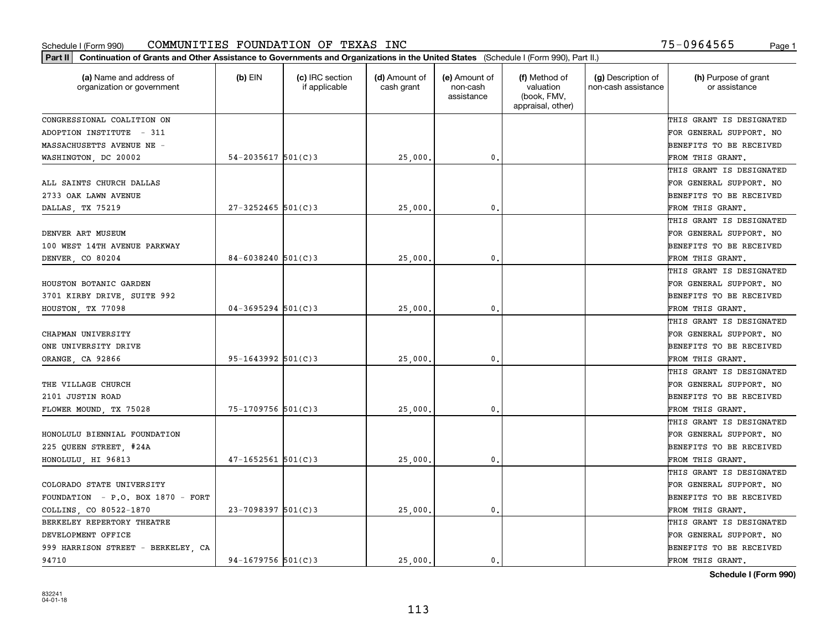| Part II   Continuation of Grants and Other Assistance to Governments and Organizations in the United States (Schedule I (Form 990), Part II.) |                        |                                  |                             |                                         |                                                                |                                           |                                       |
|-----------------------------------------------------------------------------------------------------------------------------------------------|------------------------|----------------------------------|-----------------------------|-----------------------------------------|----------------------------------------------------------------|-------------------------------------------|---------------------------------------|
| (a) Name and address of<br>organization or government                                                                                         | $(b)$ EIN              | (c) IRC section<br>if applicable | (d) Amount of<br>cash grant | (e) Amount of<br>non-cash<br>assistance | (f) Method of<br>valuation<br>(book, FMV,<br>appraisal, other) | (g) Description of<br>non-cash assistance | (h) Purpose of grant<br>or assistance |
| CONGRESSIONAL COALITION ON                                                                                                                    |                        |                                  |                             |                                         |                                                                |                                           | THIS GRANT IS DESIGNATED              |
| ADOPTION INSTITUTE - 311                                                                                                                      |                        |                                  |                             |                                         |                                                                |                                           | FOR GENERAL SUPPORT. NO               |
| MASSACHUSETTS AVENUE NE -                                                                                                                     |                        |                                  |                             |                                         |                                                                |                                           | BENEFITS TO BE RECEIVED               |
| WASHINGTON, DC 20002                                                                                                                          | $54 - 2035617$ 501(C)3 |                                  | 25,000.                     | $\mathbf{0}$ .                          |                                                                |                                           | FROM THIS GRANT.                      |
|                                                                                                                                               |                        |                                  |                             |                                         |                                                                |                                           | THIS GRANT IS DESIGNATED              |
| ALL SAINTS CHURCH DALLAS                                                                                                                      |                        |                                  |                             |                                         |                                                                |                                           | FOR GENERAL SUPPORT. NO               |
| 2733 OAK LAWN AVENUE                                                                                                                          |                        |                                  |                             |                                         |                                                                |                                           | BENEFITS TO BE RECEIVED               |
| DALLAS, TX 75219                                                                                                                              | $27 - 3252465$ 501(C)3 |                                  | 25,000                      | $\mathbf{0}$                            |                                                                |                                           | FROM THIS GRANT.                      |
|                                                                                                                                               |                        |                                  |                             |                                         |                                                                |                                           | THIS GRANT IS DESIGNATED              |
| DENVER ART MUSEUM                                                                                                                             |                        |                                  |                             |                                         |                                                                |                                           | FOR GENERAL SUPPORT. NO               |
| 100 WEST 14TH AVENUE PARKWAY                                                                                                                  |                        |                                  |                             |                                         |                                                                |                                           | BENEFITS TO BE RECEIVED               |
| DENVER, CO 80204                                                                                                                              | 84-6038240 $501(C)3$   |                                  | 25,000                      | $\mathfrak{o}$ .                        |                                                                |                                           | FROM THIS GRANT.                      |
|                                                                                                                                               |                        |                                  |                             |                                         |                                                                |                                           | THIS GRANT IS DESIGNATED              |
| HOUSTON BOTANIC GARDEN                                                                                                                        |                        |                                  |                             |                                         |                                                                |                                           | FOR GENERAL SUPPORT. NO               |
| 3701 KIRBY DRIVE, SUITE 992                                                                                                                   |                        |                                  |                             |                                         |                                                                |                                           | <b>BENEFITS TO BE RECEIVED</b>        |
| HOUSTON, TX 77098                                                                                                                             | $04 - 3695294$ 501(C)3 |                                  | 25,000.                     | $\mathbf{0}$                            |                                                                |                                           | FROM THIS GRANT.                      |
|                                                                                                                                               |                        |                                  |                             |                                         |                                                                |                                           | THIS GRANT IS DESIGNATED              |
| CHAPMAN UNIVERSITY                                                                                                                            |                        |                                  |                             |                                         |                                                                |                                           | FOR GENERAL SUPPORT. NO               |
| ONE UNIVERSITY DRIVE                                                                                                                          |                        |                                  |                             |                                         |                                                                |                                           | BENEFITS TO BE RECEIVED               |
| ORANGE, CA 92866                                                                                                                              | $95 - 1643992$ 501(C)3 |                                  | 25,000                      | 0.                                      |                                                                |                                           | FROM THIS GRANT.                      |
|                                                                                                                                               |                        |                                  |                             |                                         |                                                                |                                           | THIS GRANT IS DESIGNATED              |
| THE VILLAGE CHURCH                                                                                                                            |                        |                                  |                             |                                         |                                                                |                                           | FOR GENERAL SUPPORT. NO               |
| 2101 JUSTIN ROAD                                                                                                                              |                        |                                  |                             |                                         |                                                                |                                           | BENEFITS TO BE RECEIVED               |
| FLOWER MOUND, TX 75028                                                                                                                        | 75-1709756 501(C)3     |                                  | 25,000                      | 0.                                      |                                                                |                                           | FROM THIS GRANT.                      |
|                                                                                                                                               |                        |                                  |                             |                                         |                                                                |                                           | THIS GRANT IS DESIGNATED              |
| HONOLULU BIENNIAL FOUNDATION                                                                                                                  |                        |                                  |                             |                                         |                                                                |                                           | FOR GENERAL SUPPORT. NO               |
| 225 QUEEN STREET, #24A                                                                                                                        |                        |                                  |                             |                                         |                                                                |                                           | BENEFITS TO BE RECEIVED               |
| HONOLULU HI 96813                                                                                                                             | $47 - 1652561$ 501(C)3 |                                  | 25,000.                     | $\mathfrak{o}$ .                        |                                                                |                                           | FROM THIS GRANT.                      |
|                                                                                                                                               |                        |                                  |                             |                                         |                                                                |                                           | THIS GRANT IS DESIGNATED              |
| COLORADO STATE UNIVERSITY                                                                                                                     |                        |                                  |                             |                                         |                                                                |                                           | FOR GENERAL SUPPORT. NO               |
| FOUNDATION - P.O. BOX 1870 - FORT                                                                                                             |                        |                                  |                             |                                         |                                                                |                                           | BENEFITS TO BE RECEIVED               |
| COLLINS, CO 80522-1870                                                                                                                        | $23 - 7098397$ 501(C)3 |                                  | 25,000                      | 0.                                      |                                                                |                                           | FROM THIS GRANT.                      |
| BERKELEY REPERTORY THEATRE                                                                                                                    |                        |                                  |                             |                                         |                                                                |                                           | THIS GRANT IS DESIGNATED              |
| DEVELOPMENT OFFICE                                                                                                                            |                        |                                  |                             |                                         |                                                                |                                           | FOR GENERAL SUPPORT. NO               |
| 999 HARRISON STREET - BERKELEY, CA                                                                                                            |                        |                                  |                             |                                         |                                                                |                                           | BENEFITS TO BE RECEIVED               |
| 94710                                                                                                                                         | $94-1679756$ 501(C)3   |                                  | 25,000.                     | $\mathbf{0}$ .                          |                                                                |                                           | FROM THIS GRANT.                      |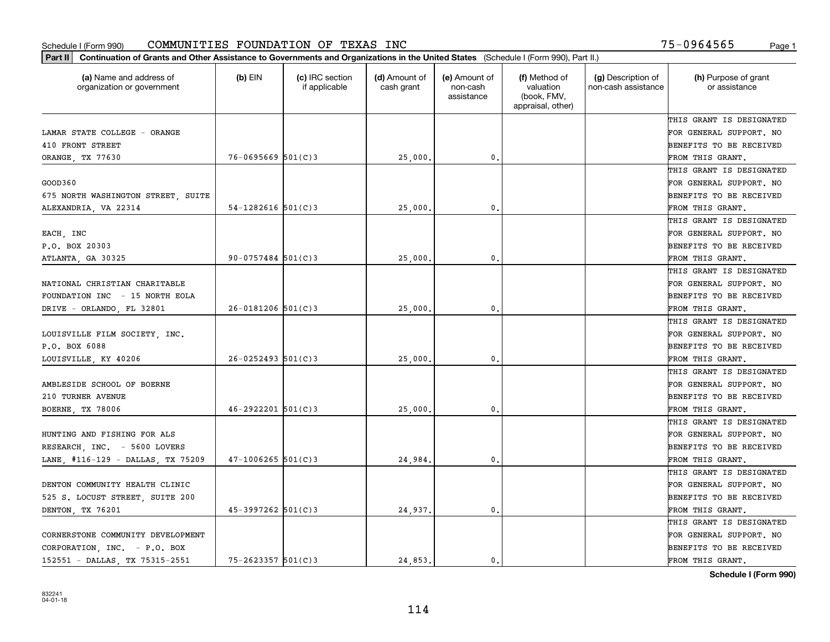| Part II   Continuation of Grants and Other Assistance to Governments and Organizations in the United States (Schedule I (Form 990), Part II.) |                          |                                  |                             |                                         |                                                                |                                           |                                       |
|-----------------------------------------------------------------------------------------------------------------------------------------------|--------------------------|----------------------------------|-----------------------------|-----------------------------------------|----------------------------------------------------------------|-------------------------------------------|---------------------------------------|
| (a) Name and address of<br>organization or government                                                                                         | $(b)$ EIN                | (c) IRC section<br>if applicable | (d) Amount of<br>cash grant | (e) Amount of<br>non-cash<br>assistance | (f) Method of<br>valuation<br>(book, FMV,<br>appraisal, other) | (g) Description of<br>non-cash assistance | (h) Purpose of grant<br>or assistance |
|                                                                                                                                               |                          |                                  |                             |                                         |                                                                |                                           | THIS GRANT IS DESIGNATED              |
| LAMAR STATE COLLEGE - ORANGE                                                                                                                  |                          |                                  |                             |                                         |                                                                |                                           | FOR GENERAL SUPPORT. NO               |
| 410 FRONT STREET                                                                                                                              |                          |                                  |                             |                                         |                                                                |                                           | BENEFITS TO BE RECEIVED               |
| ORANGE, TX 77630                                                                                                                              | $76 - 0695669$ 501(C)3   |                                  | 25,000.                     | 0.                                      |                                                                |                                           | FROM THIS GRANT.                      |
|                                                                                                                                               |                          |                                  |                             |                                         |                                                                |                                           | THIS GRANT IS DESIGNATED              |
| GOOD360                                                                                                                                       |                          |                                  |                             |                                         |                                                                |                                           | FOR GENERAL SUPPORT. NO               |
| 675 NORTH WASHINGTON STREET, SUITE                                                                                                            |                          |                                  |                             |                                         |                                                                |                                           | BENEFITS TO BE RECEIVED               |
| ALEXANDRIA, VA 22314                                                                                                                          | $54 - 1282616$ $501(C)3$ |                                  | 25,000                      | 0.                                      |                                                                |                                           | FROM THIS GRANT.                      |
|                                                                                                                                               |                          |                                  |                             |                                         |                                                                |                                           | THIS GRANT IS DESIGNATED              |
| EACH, INC                                                                                                                                     |                          |                                  |                             |                                         |                                                                |                                           | FOR GENERAL SUPPORT. NO               |
| P.O. BOX 20303                                                                                                                                |                          |                                  |                             |                                         |                                                                |                                           | BENEFITS TO BE RECEIVED               |
| ATLANTA, GA 30325                                                                                                                             | $90 - 0757484$ 501(C)3   |                                  | 25,000.                     | $\mathfrak{o}$ .                        |                                                                |                                           | FROM THIS GRANT.                      |
|                                                                                                                                               |                          |                                  |                             |                                         |                                                                |                                           | THIS GRANT IS DESIGNATED              |
| NATIONAL CHRISTIAN CHARITABLE                                                                                                                 |                          |                                  |                             |                                         |                                                                |                                           | FOR GENERAL SUPPORT. NO               |
| FOUNDATION INC - 15 NORTH EOLA                                                                                                                |                          |                                  |                             |                                         |                                                                |                                           | <b>BENEFITS TO BE RECEIVED</b>        |
| DRIVE - ORLANDO, FL 32801                                                                                                                     | $26 - 0181206$ 501(C)3   |                                  | 25,000.                     | $\mathbf{0}$ .                          |                                                                |                                           | FROM THIS GRANT.                      |
|                                                                                                                                               |                          |                                  |                             |                                         |                                                                |                                           | THIS GRANT IS DESIGNATED              |
| LOUISVILLE FILM SOCIETY, INC.                                                                                                                 |                          |                                  |                             |                                         |                                                                |                                           | FOR GENERAL SUPPORT. NO               |
| P.O. BOX 6088                                                                                                                                 |                          |                                  |                             |                                         |                                                                |                                           | BENEFITS TO BE RECEIVED               |
| LOUISVILLE, KY 40206                                                                                                                          | $26 - 0252493$ 501(C)3   |                                  | 25,000                      | 0.                                      |                                                                |                                           | FROM THIS GRANT.                      |
|                                                                                                                                               |                          |                                  |                             |                                         |                                                                |                                           | THIS GRANT IS DESIGNATED              |
| AMBLESIDE SCHOOL OF BOERNE                                                                                                                    |                          |                                  |                             |                                         |                                                                |                                           | FOR GENERAL SUPPORT. NO               |
| 210 TURNER AVENUE                                                                                                                             |                          |                                  |                             |                                         |                                                                |                                           | BENEFITS TO BE RECEIVED               |
| BOERNE, TX 78006                                                                                                                              | $46 - 2922201$ 501(C)3   |                                  | 25,000                      | $\mathfrak{o}$ .                        |                                                                |                                           | FROM THIS GRANT.                      |
|                                                                                                                                               |                          |                                  |                             |                                         |                                                                |                                           | THIS GRANT IS DESIGNATED              |
| HUNTING AND FISHING FOR ALS                                                                                                                   |                          |                                  |                             |                                         |                                                                |                                           | FOR GENERAL SUPPORT. NO               |
| RESEARCH, INC. - 5600 LOVERS                                                                                                                  |                          |                                  |                             |                                         |                                                                |                                           | BENEFITS TO BE RECEIVED               |
| LANE, #116-129 - DALLAS, TX 75209                                                                                                             | $47 - 1006265$ 501(C)3   |                                  | 24,984.                     | $\mathfrak{o}$ .                        |                                                                |                                           | FROM THIS GRANT.                      |
|                                                                                                                                               |                          |                                  |                             |                                         |                                                                |                                           | THIS GRANT IS DESIGNATED              |
| DENTON COMMUNITY HEALTH CLINIC                                                                                                                |                          |                                  |                             |                                         |                                                                |                                           | FOR GENERAL SUPPORT. NO               |
| 525 S. LOCUST STREET, SUITE 200                                                                                                               |                          |                                  |                             |                                         |                                                                |                                           | BENEFITS TO BE RECEIVED               |
| DENTON, TX 76201                                                                                                                              | $45-3997262$ 501(C)3     |                                  | 24,937.                     | 0.                                      |                                                                |                                           | FROM THIS GRANT.                      |
|                                                                                                                                               |                          |                                  |                             |                                         |                                                                |                                           | THIS GRANT IS DESIGNATED              |
| CORNERSTONE COMMUNITY DEVELOPMENT                                                                                                             |                          |                                  |                             |                                         |                                                                |                                           | FOR GENERAL SUPPORT. NO               |
| CORPORATION, INC. - P.O. BOX                                                                                                                  |                          |                                  |                             |                                         |                                                                |                                           | <b>BENEFITS TO BE RECEIVED</b>        |
| 152551 - DALLAS, TX 75315-2551                                                                                                                | $75 - 2623357$ 501(C)3   |                                  | 24,853.                     | 0.                                      |                                                                |                                           | FROM THIS GRANT.                      |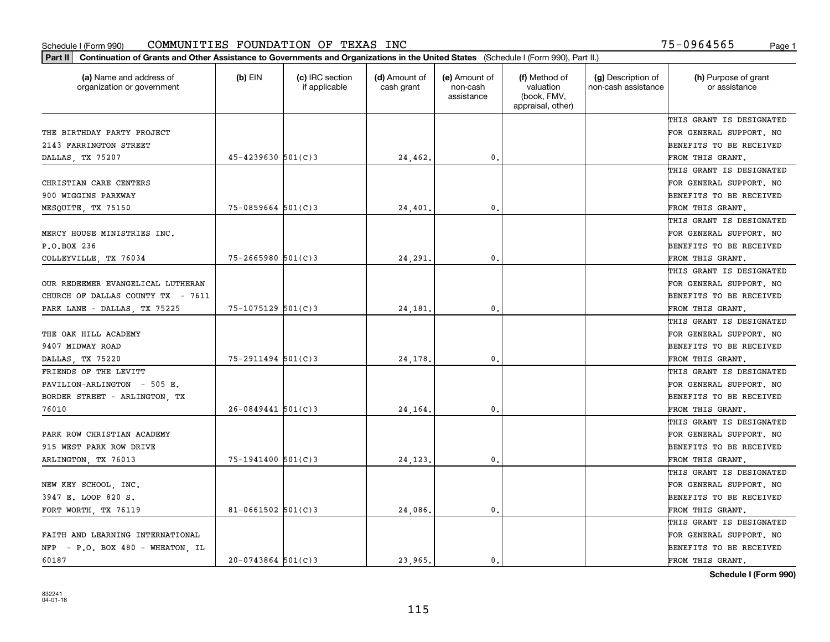| (a) Name and address of<br>organization or government | (b) EIN                | (c) IRC section<br>if applicable | (d) Amount of<br>cash grant | (e) Amount of<br>non-cash<br>assistance | (f) Method of<br>valuation<br>(book, FMV,<br>appraisal, other) | (g) Description of<br>non-cash assistance | (h) Purpose of grant<br>or assistance |
|-------------------------------------------------------|------------------------|----------------------------------|-----------------------------|-----------------------------------------|----------------------------------------------------------------|-------------------------------------------|---------------------------------------|
|                                                       |                        |                                  |                             |                                         |                                                                |                                           | THIS GRANT IS DESIGNATED              |
| THE BIRTHDAY PARTY PROJECT                            |                        |                                  |                             |                                         |                                                                |                                           | FOR GENERAL SUPPORT. NO               |
| 2143 FARRINGTON STREET                                |                        |                                  |                             |                                         |                                                                |                                           | BENEFITS TO BE RECEIVED               |
| DALLAS, TX 75207                                      | $45 - 4239630$ 501(C)3 |                                  | 24,462.                     | 0.                                      |                                                                |                                           | FROM THIS GRANT.                      |
|                                                       |                        |                                  |                             |                                         |                                                                |                                           | THIS GRANT IS DESIGNATED              |
| CHRISTIAN CARE CENTERS                                |                        |                                  |                             |                                         |                                                                |                                           | FOR GENERAL SUPPORT. NO               |
| 900 WIGGINS PARKWAY                                   |                        |                                  |                             |                                         |                                                                |                                           | BENEFITS TO BE RECEIVED               |
| MESQUITE, TX 75150                                    | $75 - 0859664$ 501(C)3 |                                  | 24,401                      | $\mathbf{0}$                            |                                                                |                                           | FROM THIS GRANT.                      |
|                                                       |                        |                                  |                             |                                         |                                                                |                                           | THIS GRANT IS DESIGNATED              |
| MERCY HOUSE MINISTRIES INC.                           |                        |                                  |                             |                                         |                                                                |                                           | FOR GENERAL SUPPORT. NO               |
| P.O.BOX 236                                           |                        |                                  |                             |                                         |                                                                |                                           | BENEFITS TO BE RECEIVED               |
| COLLEYVILLE, TX 76034                                 | $75 - 2665980$ 501(C)3 |                                  | 24,291                      | $\mathbf{0}$ .                          |                                                                |                                           | FROM THIS GRANT.                      |
|                                                       |                        |                                  |                             |                                         |                                                                |                                           | THIS GRANT IS DESIGNATED              |
| OUR REDEEMER EVANGELICAL LUTHERAN                     |                        |                                  |                             |                                         |                                                                |                                           | FOR GENERAL SUPPORT. NO               |
| CHURCH OF DALLAS COUNTY TX - 7611                     |                        |                                  |                             |                                         |                                                                |                                           | BENEFITS TO BE RECEIVED               |
| PARK LANE - DALLAS, TX 75225                          | $75 - 1075129$ 501(C)3 |                                  | 24,181                      | $\mathbf{0}$                            |                                                                |                                           | FROM THIS GRANT.                      |
|                                                       |                        |                                  |                             |                                         |                                                                |                                           | THIS GRANT IS DESIGNATED              |
| THE OAK HILL ACADEMY                                  |                        |                                  |                             |                                         |                                                                |                                           | FOR GENERAL SUPPORT. NO               |
| 9407 MIDWAY ROAD                                      |                        |                                  |                             |                                         |                                                                |                                           | BENEFITS TO BE RECEIVED               |
| DALLAS, TX 75220                                      | $75 - 2911494$ 501(C)3 |                                  | 24,178                      | 0.                                      |                                                                |                                           | FROM THIS GRANT.                      |
| FRIENDS OF THE LEVITT                                 |                        |                                  |                             |                                         |                                                                |                                           | THIS GRANT IS DESIGNATED              |
| PAVILION-ARLINGTON - 505 E.                           |                        |                                  |                             |                                         |                                                                |                                           | FOR GENERAL SUPPORT. NO               |
| BORDER STREET - ARLINGTON, TX                         |                        |                                  |                             |                                         |                                                                |                                           | BENEFITS TO BE RECEIVED               |
| 76010                                                 | $26 - 0849441$ 501(C)3 |                                  | 24,164                      | $\mathbf{0}$                            |                                                                |                                           | FROM THIS GRANT.                      |
|                                                       |                        |                                  |                             |                                         |                                                                |                                           | THIS GRANT IS DESIGNATED              |
| PARK ROW CHRISTIAN ACADEMY                            |                        |                                  |                             |                                         |                                                                |                                           | FOR GENERAL SUPPORT. NO               |
| 915 WEST PARK ROW DRIVE                               |                        |                                  |                             |                                         |                                                                |                                           | BENEFITS TO BE RECEIVED               |
| ARLINGTON, TX 76013                                   | 75-1941400 501(C)3     |                                  | 24,123                      | 0.                                      |                                                                |                                           | FROM THIS GRANT.                      |
|                                                       |                        |                                  |                             |                                         |                                                                |                                           | THIS GRANT IS DESIGNATED              |
| NEW KEY SCHOOL, INC.                                  |                        |                                  |                             |                                         |                                                                |                                           | FOR GENERAL SUPPORT. NO               |
| 3947 E. LOOP 820 S.                                   |                        |                                  |                             |                                         |                                                                |                                           | BENEFITS TO BE RECEIVED               |
| FORT WORTH, TX 76119                                  | $81 - 0661502$ 501(C)3 |                                  | 24,086                      | $\mathbf{0}$                            |                                                                |                                           | FROM THIS GRANT.                      |
|                                                       |                        |                                  |                             |                                         |                                                                |                                           | THIS GRANT IS DESIGNATED              |
| FAITH AND LEARNING INTERNATIONAL                      |                        |                                  |                             |                                         |                                                                |                                           | FOR GENERAL SUPPORT. NO               |
| NFP - P.O. BOX 480 - WHEATON, IL                      |                        |                                  |                             |                                         |                                                                |                                           | BENEFITS TO BE RECEIVED               |
| 60187                                                 | $20 - 0743864$ 501(C)3 |                                  | 23,965.                     | 0.                                      |                                                                |                                           | FROM THIS GRANT.                      |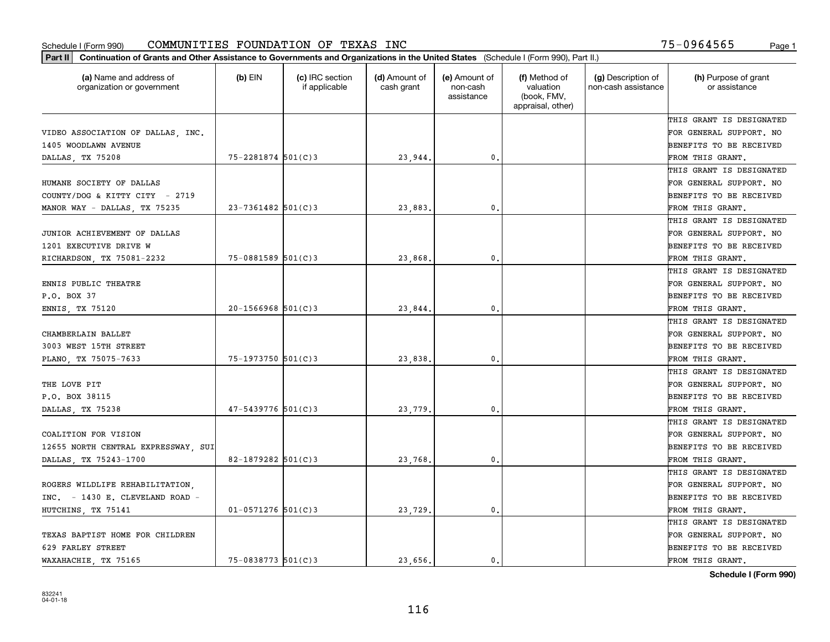| Part II   Continuation of Grants and Other Assistance to Governments and Organizations in the United States (Schedule I (Form 990), Part II.) |                        |                                  |                             |                                         |                                                                |                                           |                                       |
|-----------------------------------------------------------------------------------------------------------------------------------------------|------------------------|----------------------------------|-----------------------------|-----------------------------------------|----------------------------------------------------------------|-------------------------------------------|---------------------------------------|
| (a) Name and address of<br>organization or government                                                                                         | $(b)$ EIN              | (c) IRC section<br>if applicable | (d) Amount of<br>cash grant | (e) Amount of<br>non-cash<br>assistance | (f) Method of<br>valuation<br>(book, FMV,<br>appraisal, other) | (g) Description of<br>non-cash assistance | (h) Purpose of grant<br>or assistance |
|                                                                                                                                               |                        |                                  |                             |                                         |                                                                |                                           | THIS GRANT IS DESIGNATED              |
| VIDEO ASSOCIATION OF DALLAS, INC.                                                                                                             |                        |                                  |                             |                                         |                                                                |                                           | FOR GENERAL SUPPORT. NO               |
| 1405 WOODLAWN AVENUE                                                                                                                          |                        |                                  |                             |                                         |                                                                |                                           | BENEFITS TO BE RECEIVED               |
| DALLAS, TX 75208                                                                                                                              | 75-2281874 501(C)3     |                                  | 23,944.                     | 0.                                      |                                                                |                                           | FROM THIS GRANT.                      |
|                                                                                                                                               |                        |                                  |                             |                                         |                                                                |                                           | THIS GRANT IS DESIGNATED              |
| HUMANE SOCIETY OF DALLAS                                                                                                                      |                        |                                  |                             |                                         |                                                                |                                           | FOR GENERAL SUPPORT. NO               |
| COUNTY/DOG & KITTY CITY - 2719                                                                                                                |                        |                                  |                             |                                         |                                                                |                                           | BENEFITS TO BE RECEIVED               |
| MANOR WAY - DALLAS, TX 75235                                                                                                                  | $23 - 7361482$ 501(C)3 |                                  | 23,883                      | 0.                                      |                                                                |                                           | FROM THIS GRANT.                      |
|                                                                                                                                               |                        |                                  |                             |                                         |                                                                |                                           | THIS GRANT IS DESIGNATED              |
| JUNIOR ACHIEVEMENT OF DALLAS                                                                                                                  |                        |                                  |                             |                                         |                                                                |                                           | FOR GENERAL SUPPORT. NO               |
| 1201 EXECUTIVE DRIVE W                                                                                                                        |                        |                                  |                             |                                         |                                                                |                                           | BENEFITS TO BE RECEIVED               |
| RICHARDSON, TX 75081-2232                                                                                                                     | $75 - 0881589$ 501(C)3 |                                  | 23,868.                     | $\mathfrak{o}$ .                        |                                                                |                                           | FROM THIS GRANT.                      |
|                                                                                                                                               |                        |                                  |                             |                                         |                                                                |                                           | THIS GRANT IS DESIGNATED              |
| ENNIS PUBLIC THEATRE                                                                                                                          |                        |                                  |                             |                                         |                                                                |                                           | FOR GENERAL SUPPORT. NO               |
| P.O. BOX 37                                                                                                                                   |                        |                                  |                             |                                         |                                                                |                                           | <b>BENEFITS TO BE RECEIVED</b>        |
| ENNIS, TX 75120                                                                                                                               | $20 - 1566968$ 501(C)3 |                                  | 23,844.                     | 0.                                      |                                                                |                                           | FROM THIS GRANT.                      |
|                                                                                                                                               |                        |                                  |                             |                                         |                                                                |                                           | THIS GRANT IS DESIGNATED              |
| CHAMBERLAIN BALLET                                                                                                                            |                        |                                  |                             |                                         |                                                                |                                           | FOR GENERAL SUPPORT. NO               |
| 3003 WEST 15TH STREET                                                                                                                         |                        |                                  |                             |                                         |                                                                |                                           | BENEFITS TO BE RECEIVED               |
| PLANO, TX 75075-7633                                                                                                                          | $75 - 1973750$ 501(C)3 |                                  | 23,838.                     | 0.                                      |                                                                |                                           | FROM THIS GRANT.                      |
|                                                                                                                                               |                        |                                  |                             |                                         |                                                                |                                           | THIS GRANT IS DESIGNATED              |
| THE LOVE PIT                                                                                                                                  |                        |                                  |                             |                                         |                                                                |                                           | FOR GENERAL SUPPORT. NO               |
| P.O. BOX 38115                                                                                                                                |                        |                                  |                             |                                         |                                                                |                                           | BENEFITS TO BE RECEIVED               |
| DALLAS, TX 75238                                                                                                                              | $47 - 5439776$ 501(C)3 |                                  | 23,779                      | 0.                                      |                                                                |                                           | FROM THIS GRANT.                      |
|                                                                                                                                               |                        |                                  |                             |                                         |                                                                |                                           | THIS GRANT IS DESIGNATED              |
| COALITION FOR VISION                                                                                                                          |                        |                                  |                             |                                         |                                                                |                                           | FOR GENERAL SUPPORT. NO               |
| 12655 NORTH CENTRAL EXPRESSWAY, SUI                                                                                                           |                        |                                  |                             |                                         |                                                                |                                           | <b>BENEFITS TO BE RECEIVED</b>        |
| DALLAS, TX 75243-1700                                                                                                                         | 82-1879282 501(C)3     |                                  | 23,768                      | 0.                                      |                                                                |                                           | FROM THIS GRANT.                      |
|                                                                                                                                               |                        |                                  |                             |                                         |                                                                |                                           | THIS GRANT IS DESIGNATED              |
| ROGERS WILDLIFE REHABILITATION,                                                                                                               |                        |                                  |                             |                                         |                                                                |                                           | FOR GENERAL SUPPORT. NO               |
| INC. - 1430 E. CLEVELAND ROAD -                                                                                                               |                        |                                  |                             |                                         |                                                                |                                           | BENEFITS TO BE RECEIVED               |
| HUTCHINS, TX 75141                                                                                                                            | $01 - 0571276$ 501(C)3 |                                  | 23,729.                     | 0.                                      |                                                                |                                           | FROM THIS GRANT.                      |
|                                                                                                                                               |                        |                                  |                             |                                         |                                                                |                                           | THIS GRANT IS DESIGNATED              |
| TEXAS BAPTIST HOME FOR CHILDREN                                                                                                               |                        |                                  |                             |                                         |                                                                |                                           | FOR GENERAL SUPPORT. NO               |
| 629 FARLEY STREET                                                                                                                             |                        |                                  |                             |                                         |                                                                |                                           | <b>BENEFITS TO BE RECEIVED</b>        |
| WAXAHACHIE, TX 75165                                                                                                                          | $75 - 0838773$ 501(C)3 |                                  | 23,656.                     | 0.                                      |                                                                |                                           | FROM THIS GRANT.                      |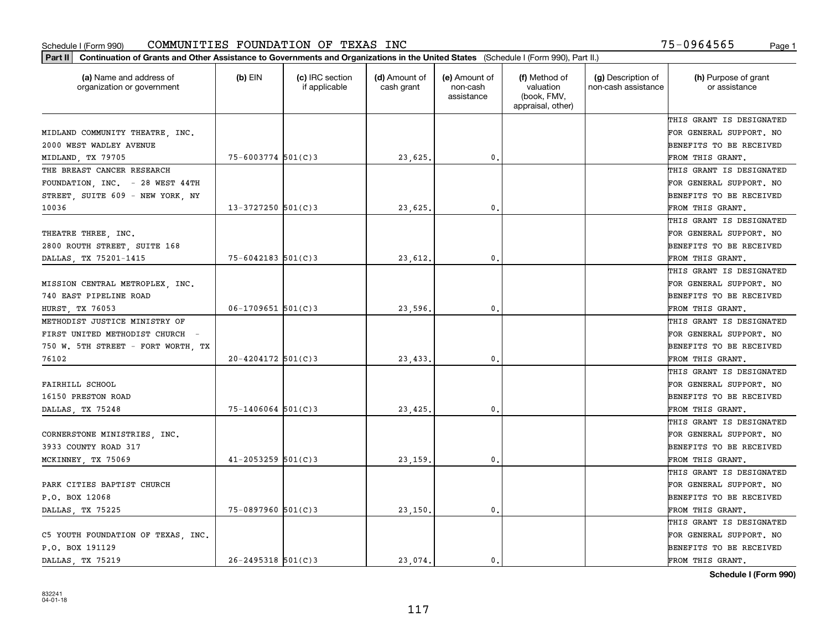| Part II   Continuation of Grants and Other Assistance to Governments and Organizations in the United States (Schedule I (Form 990), Part II.) |                        |                                  |                             |                                         |                                                                |                                           |                                       |
|-----------------------------------------------------------------------------------------------------------------------------------------------|------------------------|----------------------------------|-----------------------------|-----------------------------------------|----------------------------------------------------------------|-------------------------------------------|---------------------------------------|
| (a) Name and address of<br>organization or government                                                                                         | $(b)$ EIN              | (c) IRC section<br>if applicable | (d) Amount of<br>cash grant | (e) Amount of<br>non-cash<br>assistance | (f) Method of<br>valuation<br>(book, FMV,<br>appraisal, other) | (g) Description of<br>non-cash assistance | (h) Purpose of grant<br>or assistance |
|                                                                                                                                               |                        |                                  |                             |                                         |                                                                |                                           | THIS GRANT IS DESIGNATED              |
| MIDLAND COMMUNITY THEATRE, INC.                                                                                                               |                        |                                  |                             |                                         |                                                                |                                           | FOR GENERAL SUPPORT. NO               |
| 2000 WEST WADLEY AVENUE                                                                                                                       |                        |                                  |                             |                                         |                                                                |                                           | BENEFITS TO BE RECEIVED               |
| MIDLAND, TX 79705                                                                                                                             | $75 - 6003774$ 501(C)3 |                                  | 23,625.                     | 0.                                      |                                                                |                                           | FROM THIS GRANT.                      |
| THE BREAST CANCER RESEARCH                                                                                                                    |                        |                                  |                             |                                         |                                                                |                                           | THIS GRANT IS DESIGNATED              |
| FOUNDATION, INC. - 28 WEST 44TH                                                                                                               |                        |                                  |                             |                                         |                                                                |                                           | FOR GENERAL SUPPORT. NO               |
| STREET, SUITE 609 - NEW YORK, NY                                                                                                              |                        |                                  |                             |                                         |                                                                |                                           | BENEFITS TO BE RECEIVED               |
| 10036                                                                                                                                         | $13 - 3727250$ 501(C)3 |                                  | 23,625.                     | 0.                                      |                                                                |                                           | FROM THIS GRANT.                      |
|                                                                                                                                               |                        |                                  |                             |                                         |                                                                |                                           | THIS GRANT IS DESIGNATED              |
| THEATRE THREE, INC.                                                                                                                           |                        |                                  |                             |                                         |                                                                |                                           | FOR GENERAL SUPPORT. NO               |
| 2800 ROUTH STREET, SUITE 168                                                                                                                  |                        |                                  |                             |                                         |                                                                |                                           | BENEFITS TO BE RECEIVED               |
| DALLAS, TX 75201-1415                                                                                                                         | $75 - 6042183$ 501(C)3 |                                  | 23,612.                     | 0.                                      |                                                                |                                           | FROM THIS GRANT.                      |
|                                                                                                                                               |                        |                                  |                             |                                         |                                                                |                                           | THIS GRANT IS DESIGNATED              |
| MISSION CENTRAL METROPLEX, INC.                                                                                                               |                        |                                  |                             |                                         |                                                                |                                           | FOR GENERAL SUPPORT. NO               |
| 740 EAST PIPELINE ROAD                                                                                                                        |                        |                                  |                             |                                         |                                                                |                                           | <b>BENEFITS TO BE RECEIVED</b>        |
| HURST, TX 76053                                                                                                                               | $06 - 1709651$ 501(C)3 |                                  | 23,596.                     | 0.                                      |                                                                |                                           | FROM THIS GRANT.                      |
| METHODIST JUSTICE MINISTRY OF                                                                                                                 |                        |                                  |                             |                                         |                                                                |                                           | THIS GRANT IS DESIGNATED              |
| FIRST UNITED METHODIST CHURCH -                                                                                                               |                        |                                  |                             |                                         |                                                                |                                           | FOR GENERAL SUPPORT. NO               |
| 750 W. 5TH STREET - FORT WORTH, TX                                                                                                            |                        |                                  |                             |                                         |                                                                |                                           | BENEFITS TO BE RECEIVED               |
| 76102                                                                                                                                         | $20 - 4204172$ 501(C)3 |                                  | 23,433.                     | 0.                                      |                                                                |                                           | FROM THIS GRANT.                      |
|                                                                                                                                               |                        |                                  |                             |                                         |                                                                |                                           | THIS GRANT IS DESIGNATED              |
| FAIRHILL SCHOOL                                                                                                                               |                        |                                  |                             |                                         |                                                                |                                           | FOR GENERAL SUPPORT. NO               |
| 16150 PRESTON ROAD                                                                                                                            |                        |                                  |                             |                                         |                                                                |                                           | <b>BENEFITS TO BE RECEIVED</b>        |
| DALLAS, TX 75248                                                                                                                              | $75 - 1406064$ 501(C)3 |                                  | 23,425.                     | 0.                                      |                                                                |                                           | FROM THIS GRANT.                      |
|                                                                                                                                               |                        |                                  |                             |                                         |                                                                |                                           | THIS GRANT IS DESIGNATED              |
| CORNERSTONE MINISTRIES, INC.                                                                                                                  |                        |                                  |                             |                                         |                                                                |                                           | FOR GENERAL SUPPORT. NO               |
| 3933 COUNTY ROAD 317                                                                                                                          |                        |                                  |                             |                                         |                                                                |                                           | BENEFITS TO BE RECEIVED               |
| MCKINNEY, TX 75069                                                                                                                            | $41 - 2053259$ 501(C)3 |                                  | 23,159                      | 0.                                      |                                                                |                                           | FROM THIS GRANT.                      |
|                                                                                                                                               |                        |                                  |                             |                                         |                                                                |                                           | THIS GRANT IS DESIGNATED              |
| PARK CITIES BAPTIST CHURCH                                                                                                                    |                        |                                  |                             |                                         |                                                                |                                           | FOR GENERAL SUPPORT. NO               |
| P.O. BOX 12068                                                                                                                                |                        |                                  |                             |                                         |                                                                |                                           | BENEFITS TO BE RECEIVED               |
| DALLAS, TX 75225                                                                                                                              | $75 - 0897960$ 501(C)3 |                                  | 23,150.                     | 0.                                      |                                                                |                                           | FROM THIS GRANT.                      |
|                                                                                                                                               |                        |                                  |                             |                                         |                                                                |                                           | THIS GRANT IS DESIGNATED              |
| C5 YOUTH FOUNDATION OF TEXAS, INC.                                                                                                            |                        |                                  |                             |                                         |                                                                |                                           | FOR GENERAL SUPPORT. NO               |
| P.O. BOX 191129                                                                                                                               |                        |                                  |                             |                                         |                                                                |                                           | <b>BENEFITS TO BE RECEIVED</b>        |
| DALLAS, TX 75219                                                                                                                              | $26 - 2495318$ 501(C)3 |                                  | 23.074.                     | $\mathbf{0}$ .                          |                                                                |                                           | FROM THIS GRANT.                      |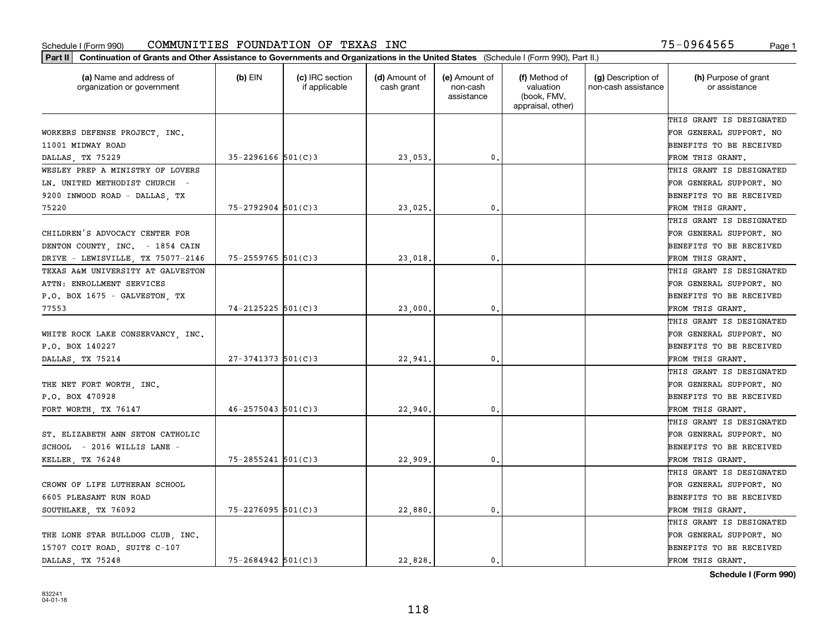| (a) Name and address of<br>organization or government | $(b)$ EIN              | (c) IRC section<br>if applicable | (d) Amount of<br>cash grant | (e) Amount of<br>non-cash<br>assistance | (f) Method of<br>valuation<br>(book, FMV,<br>appraisal, other) | (g) Description of<br>non-cash assistance | (h) Purpose of grant<br>or assistance |
|-------------------------------------------------------|------------------------|----------------------------------|-----------------------------|-----------------------------------------|----------------------------------------------------------------|-------------------------------------------|---------------------------------------|
|                                                       |                        |                                  |                             |                                         |                                                                |                                           | THIS GRANT IS DESIGNATED              |
| WORKERS DEFENSE PROJECT INC.                          |                        |                                  |                             |                                         |                                                                |                                           | FOR GENERAL SUPPORT. NO               |
| 11001 MIDWAY ROAD                                     |                        |                                  |                             |                                         |                                                                |                                           | BENEFITS TO BE RECEIVED               |
| DALLAS, TX 75229                                      | $35 - 2296166$ 501(C)3 |                                  | 23,053.                     | 0.                                      |                                                                |                                           | FROM THIS GRANT.                      |
| WESLEY PREP A MINISTRY OF LOVERS                      |                        |                                  |                             |                                         |                                                                |                                           | THIS GRANT IS DESIGNATED              |
| LN. UNITED METHODIST CHURCH -                         |                        |                                  |                             |                                         |                                                                |                                           | FOR GENERAL SUPPORT. NO               |
| 9200 INWOOD ROAD - DALLAS, TX                         |                        |                                  |                             |                                         |                                                                |                                           | BENEFITS TO BE RECEIVED               |
| 75220                                                 | $75 - 2792904$ 501(C)3 |                                  | 23,025                      | $\mathbf{0}$                            |                                                                |                                           | FROM THIS GRANT.                      |
|                                                       |                        |                                  |                             |                                         |                                                                |                                           | THIS GRANT IS DESIGNATED              |
| CHILDREN'S ADVOCACY CENTER FOR                        |                        |                                  |                             |                                         |                                                                |                                           | FOR GENERAL SUPPORT. NO               |
| DENTON COUNTY, INC. - 1854 CAIN                       |                        |                                  |                             |                                         |                                                                |                                           | BENEFITS TO BE RECEIVED               |
| DRIVE - LEWISVILLE, TX 75077-2146                     | $75 - 2559765$ 501(C)3 |                                  | 23,018                      | $\mathbf{0}$ .                          |                                                                |                                           | FROM THIS GRANT.                      |
| TEXAS A&M UNIVERSITY AT GALVESTON                     |                        |                                  |                             |                                         |                                                                |                                           | THIS GRANT IS DESIGNATED              |
| ATTN: ENROLLMENT SERVICES                             |                        |                                  |                             |                                         |                                                                |                                           | FOR GENERAL SUPPORT. NO               |
| P.O. BOX 1675 - GALVESTON, TX                         |                        |                                  |                             |                                         |                                                                |                                           | BENEFITS TO BE RECEIVED               |
| 77553                                                 | $74 - 2125225$ 501(C)3 |                                  | 23,000                      | 0.                                      |                                                                |                                           | FROM THIS GRANT.                      |
|                                                       |                        |                                  |                             |                                         |                                                                |                                           | THIS GRANT IS DESIGNATED              |
| WHITE ROCK LAKE CONSERVANCY INC.                      |                        |                                  |                             |                                         |                                                                |                                           | FOR GENERAL SUPPORT. NO               |
| P.O. BOX 140227                                       |                        |                                  |                             |                                         |                                                                |                                           | BENEFITS TO BE RECEIVED               |
| DALLAS, TX 75214                                      | $27 - 3741373$ 501(C)3 |                                  | 22,941                      | $\mathbf{0}$                            |                                                                |                                           | FROM THIS GRANT.                      |
|                                                       |                        |                                  |                             |                                         |                                                                |                                           | THIS GRANT IS DESIGNATED              |
| THE NET FORT WORTH, INC.                              |                        |                                  |                             |                                         |                                                                |                                           | FOR GENERAL SUPPORT. NO               |
| P.O. BOX 470928                                       |                        |                                  |                             |                                         |                                                                |                                           | BENEFITS TO BE RECEIVED               |
| FORT WORTH, TX 76147                                  | $46 - 2575043$ 501(C)3 |                                  | 22,940                      | $\mathbf{0}$                            |                                                                |                                           | FROM THIS GRANT.                      |
|                                                       |                        |                                  |                             |                                         |                                                                |                                           | THIS GRANT IS DESIGNATED              |
| ST. ELIZABETH ANN SETON CATHOLIC                      |                        |                                  |                             |                                         |                                                                |                                           | FOR GENERAL SUPPORT. NO               |
| SCHOOL - 2016 WILLIS LANE -                           |                        |                                  |                             |                                         |                                                                |                                           | BENEFITS TO BE RECEIVED               |
| KELLER, TX 76248                                      | $75 - 2855241$ 501(C)3 |                                  | 22,909                      | $\mathbf{0}$ .                          |                                                                |                                           | FROM THIS GRANT.                      |
|                                                       |                        |                                  |                             |                                         |                                                                |                                           | THIS GRANT IS DESIGNATED              |
| CROWN OF LIFE LUTHERAN SCHOOL                         |                        |                                  |                             |                                         |                                                                |                                           | FOR GENERAL SUPPORT. NO               |
| 6605 PLEASANT RUN ROAD                                |                        |                                  |                             |                                         |                                                                |                                           | BENEFITS TO BE RECEIVED               |
| SOUTHLAKE, TX 76092                                   | 75-2276095 501(C)3     |                                  | 22,880.                     | 0.                                      |                                                                |                                           | FROM THIS GRANT.                      |
|                                                       |                        |                                  |                             |                                         |                                                                |                                           | THIS GRANT IS DESIGNATED              |
| THE LONE STAR BULLDOG CLUB. INC.                      |                        |                                  |                             |                                         |                                                                |                                           | FOR GENERAL SUPPORT. NO               |
| 15707 COIT ROAD, SUITE C-107                          |                        |                                  |                             |                                         |                                                                |                                           | BENEFITS TO BE RECEIVED               |
| DALLAS TX 75248                                       | $75 - 2684942$ 501(C)3 |                                  | 22.828.                     | 0.                                      |                                                                |                                           | FROM THIS GRANT.                      |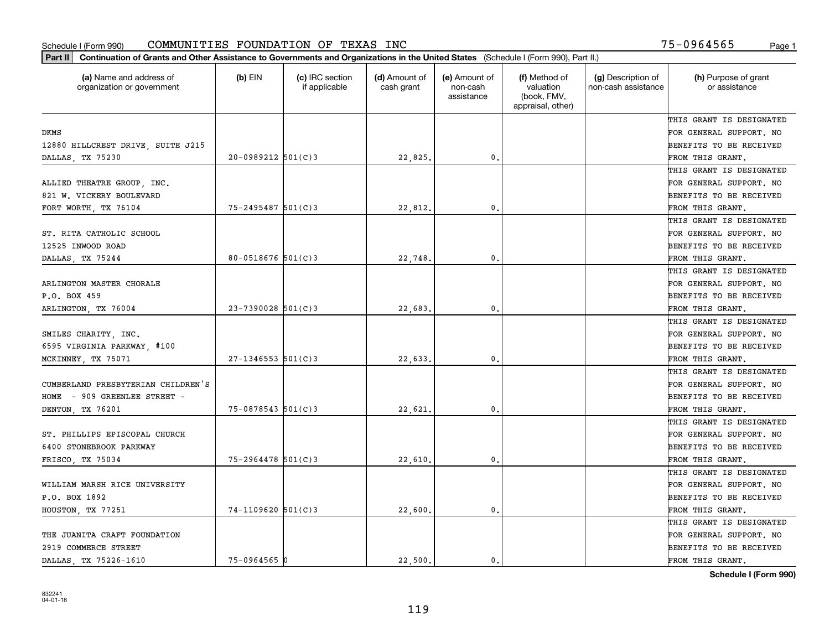| (a) Name and address of<br>organization or government | $(b)$ EIN              | (c) IRC section<br>if applicable | (d) Amount of<br>cash grant | (e) Amount of<br>non-cash<br>assistance | (f) Method of<br>valuation<br>(book, FMV,<br>appraisal, other) | (g) Description of<br>non-cash assistance | (h) Purpose of grant<br>or assistance |
|-------------------------------------------------------|------------------------|----------------------------------|-----------------------------|-----------------------------------------|----------------------------------------------------------------|-------------------------------------------|---------------------------------------|
|                                                       |                        |                                  |                             |                                         |                                                                |                                           | THIS GRANT IS DESIGNATED              |
| <b>DKMS</b>                                           |                        |                                  |                             |                                         |                                                                |                                           | FOR GENERAL SUPPORT. NO               |
| 12880 HILLCREST DRIVE, SUITE J215                     |                        |                                  |                             |                                         |                                                                |                                           | BENEFITS TO BE RECEIVED               |
| DALLAS, TX 75230                                      | $20-0989212$ 501(C)3   |                                  | 22,825.                     | $\mathfrak{o}$ .                        |                                                                |                                           | FROM THIS GRANT.                      |
|                                                       |                        |                                  |                             |                                         |                                                                |                                           | THIS GRANT IS DESIGNATED              |
| ALLIED THEATRE GROUP, INC.                            |                        |                                  |                             |                                         |                                                                |                                           | FOR GENERAL SUPPORT. NO               |
| 821 W. VICKERY BOULEVARD                              |                        |                                  |                             |                                         |                                                                |                                           | BENEFITS TO BE RECEIVED               |
| FORT WORTH, TX 76104                                  | 75-2495487 501(C)3     |                                  | 22,812.                     | $\mathbf{0}$                            |                                                                |                                           | FROM THIS GRANT.                      |
|                                                       |                        |                                  |                             |                                         |                                                                |                                           | THIS GRANT IS DESIGNATED              |
| ST. RITA CATHOLIC SCHOOL                              |                        |                                  |                             |                                         |                                                                |                                           | FOR GENERAL SUPPORT. NO               |
| 12525 INWOOD ROAD                                     |                        |                                  |                             |                                         |                                                                |                                           | BENEFITS TO BE RECEIVED               |
| DALLAS, TX 75244                                      | $80 - 0518676$ 501(C)3 |                                  | 22,748                      | 0.                                      |                                                                |                                           | FROM THIS GRANT.                      |
|                                                       |                        |                                  |                             |                                         |                                                                |                                           | THIS GRANT IS DESIGNATED              |
| ARLINGTON MASTER CHORALE                              |                        |                                  |                             |                                         |                                                                |                                           | FOR GENERAL SUPPORT. NO               |
| P.O. BOX 459                                          |                        |                                  |                             |                                         |                                                                |                                           | BENEFITS TO BE RECEIVED               |
| ARLINGTON, TX 76004                                   | $23 - 7390028$ 501(C)3 |                                  | 22,683                      | 0.                                      |                                                                |                                           | FROM THIS GRANT.                      |
|                                                       |                        |                                  |                             |                                         |                                                                |                                           | THIS GRANT IS DESIGNATED              |
| SMILES CHARITY, INC.                                  |                        |                                  |                             |                                         |                                                                |                                           | FOR GENERAL SUPPORT. NO               |
| 6595 VIRGINIA PARKWAY, #100                           |                        |                                  |                             |                                         |                                                                |                                           | BENEFITS TO BE RECEIVED               |
| MCKINNEY, TX 75071                                    | $27 - 1346553$ 501(C)3 |                                  | 22,633                      | $\mathbf{0}$                            |                                                                |                                           | FROM THIS GRANT.                      |
|                                                       |                        |                                  |                             |                                         |                                                                |                                           | THIS GRANT IS DESIGNATED              |
| CUMBERLAND PRESBYTERIAN CHILDREN'S                    |                        |                                  |                             |                                         |                                                                |                                           | FOR GENERAL SUPPORT. NO               |
| HOME - 909 GREENLEE STREET -                          |                        |                                  |                             |                                         |                                                                |                                           | BENEFITS TO BE RECEIVED               |
| DENTON, TX 76201                                      | $75 - 0878543$ 501(C)3 |                                  | 22,621                      | $\mathbf{0}$                            |                                                                |                                           | FROM THIS GRANT.                      |
|                                                       |                        |                                  |                             |                                         |                                                                |                                           | THIS GRANT IS DESIGNATED              |
| ST. PHILLIPS EPISCOPAL CHURCH                         |                        |                                  |                             |                                         |                                                                |                                           | FOR GENERAL SUPPORT. NO               |
| 6400 STONEBROOK PARKWAY                               |                        |                                  |                             |                                         |                                                                |                                           | BENEFITS TO BE RECEIVED               |
| FRISCO, TX 75034                                      | $75 - 2964478$ 501(C)3 |                                  | 22,610                      | $\mathbf{0}$ .                          |                                                                |                                           | FROM THIS GRANT.                      |
|                                                       |                        |                                  |                             |                                         |                                                                |                                           | THIS GRANT IS DESIGNATED              |
| WILLIAM MARSH RICE UNIVERSITY                         |                        |                                  |                             |                                         |                                                                |                                           | FOR GENERAL SUPPORT. NO               |
| P.O. BOX 1892                                         |                        |                                  |                             |                                         |                                                                |                                           | BENEFITS TO BE RECEIVED               |
| HOUSTON, TX 77251                                     | $74-1109620$ 501(C)3   |                                  | 22,600.                     | 0.                                      |                                                                |                                           | FROM THIS GRANT.                      |
|                                                       |                        |                                  |                             |                                         |                                                                |                                           | THIS GRANT IS DESIGNATED              |
| THE JUANITA CRAFT FOUNDATION                          |                        |                                  |                             |                                         |                                                                |                                           | FOR GENERAL SUPPORT. NO               |
| 2919 COMMERCE STREET                                  |                        |                                  |                             |                                         |                                                                |                                           | BENEFITS TO BE RECEIVED               |
| DALLAS TX 75226-1610                                  | $75 - 0964565$ 0       |                                  | 22,500.                     | 0.                                      |                                                                |                                           | FROM THIS GRANT.                      |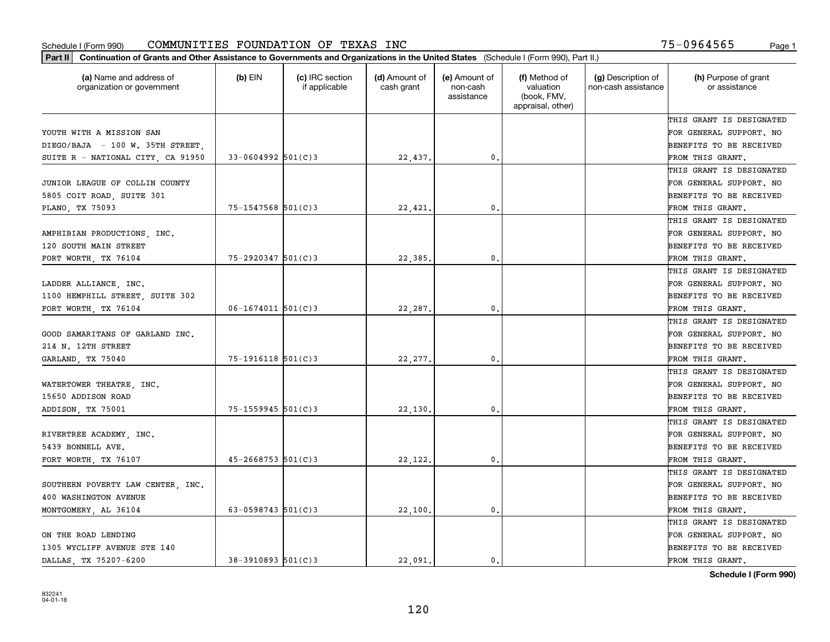| Part II   Continuation of Grants and Other Assistance to Governments and Organizations in the United States (Schedule I (Form 990), Part II.)<br>(a) Name and address of | $(b)$ EIN                | (c) IRC section | (d) Amount of | (e) Amount of          | (f) Method of                                 | (g) Description of  | (h) Purpose of grant           |
|--------------------------------------------------------------------------------------------------------------------------------------------------------------------------|--------------------------|-----------------|---------------|------------------------|-----------------------------------------------|---------------------|--------------------------------|
| organization or government                                                                                                                                               |                          | if applicable   | cash grant    | non-cash<br>assistance | valuation<br>(book, FMV,<br>appraisal, other) | non-cash assistance | or assistance                  |
|                                                                                                                                                                          |                          |                 |               |                        |                                               |                     | THIS GRANT IS DESIGNATED       |
| YOUTH WITH A MISSION SAN                                                                                                                                                 |                          |                 |               |                        |                                               |                     | FOR GENERAL SUPPORT. NO        |
| DIEGO/BAJA - 100 W. 35TH STREET,                                                                                                                                         |                          |                 |               |                        |                                               |                     | <b>BENEFITS TO BE RECEIVED</b> |
| SUITE R - NATIONAL CITY, CA 91950                                                                                                                                        | $33 - 0604992$ 501(C)3   |                 | 22,437.       | 0.                     |                                               |                     | FROM THIS GRANT.               |
|                                                                                                                                                                          |                          |                 |               |                        |                                               |                     | THIS GRANT IS DESIGNATED       |
| JUNIOR LEAGUE OF COLLIN COUNTY                                                                                                                                           |                          |                 |               |                        |                                               |                     | FOR GENERAL SUPPORT. NO        |
| 5805 COIT ROAD, SUITE 301                                                                                                                                                |                          |                 |               |                        |                                               |                     | BENEFITS TO BE RECEIVED        |
| PLANO, TX 75093                                                                                                                                                          | $75 - 1547568$ 501(C)3   |                 | 22,421        | 0.                     |                                               |                     | FROM THIS GRANT.               |
|                                                                                                                                                                          |                          |                 |               |                        |                                               |                     | THIS GRANT IS DESIGNATED       |
| AMPHIBIAN PRODUCTIONS, INC.                                                                                                                                              |                          |                 |               |                        |                                               |                     | FOR GENERAL SUPPORT. NO        |
| 120 SOUTH MAIN STREET                                                                                                                                                    |                          |                 |               |                        |                                               |                     | BENEFITS TO BE RECEIVED        |
| FORT WORTH, TX 76104                                                                                                                                                     | $75 - 2920347$ 501(C)3   |                 | 22,385.       | $\mathfrak{o}$ .       |                                               |                     | FROM THIS GRANT.               |
|                                                                                                                                                                          |                          |                 |               |                        |                                               |                     | THIS GRANT IS DESIGNATED       |
| LADDER ALLIANCE, INC.                                                                                                                                                    |                          |                 |               |                        |                                               |                     | FOR GENERAL SUPPORT. NO        |
| 1100 HEMPHILL STREET, SUITE 302                                                                                                                                          |                          |                 |               |                        |                                               |                     | <b>BENEFITS TO BE RECEIVED</b> |
| FORT WORTH, TX 76104                                                                                                                                                     | $06 - 1674011$ 501(C)3   |                 | 22,287.       | 0.                     |                                               |                     | FROM THIS GRANT.               |
|                                                                                                                                                                          |                          |                 |               |                        |                                               |                     | THIS GRANT IS DESIGNATED       |
| GOOD SAMARITANS OF GARLAND INC.                                                                                                                                          |                          |                 |               |                        |                                               |                     | FOR GENERAL SUPPORT. NO        |
| 214 N. 12TH STREET                                                                                                                                                       |                          |                 |               |                        |                                               |                     | <b>BENEFITS TO BE RECEIVED</b> |
| GARLAND, TX 75040                                                                                                                                                        | $75 - 1916118$ $501(C)3$ |                 | 22, 277.      | 0.                     |                                               |                     | FROM THIS GRANT.               |
|                                                                                                                                                                          |                          |                 |               |                        |                                               |                     | THIS GRANT IS DESIGNATED       |
| WATERTOWER THEATRE, INC.                                                                                                                                                 |                          |                 |               |                        |                                               |                     | FOR GENERAL SUPPORT. NO        |
| 15650 ADDISON ROAD                                                                                                                                                       |                          |                 |               |                        |                                               |                     | <b>BENEFITS TO BE RECEIVED</b> |
| ADDISON, TX 75001                                                                                                                                                        | $75 - 1559945$ 501(C)3   |                 | 22,130        | 0.                     |                                               |                     | FROM THIS GRANT.               |
|                                                                                                                                                                          |                          |                 |               |                        |                                               |                     | THIS GRANT IS DESIGNATED       |
| RIVERTREE ACADEMY, INC.                                                                                                                                                  |                          |                 |               |                        |                                               |                     | FOR GENERAL SUPPORT. NO        |
| 5439 BONNELL AVE.                                                                                                                                                        |                          |                 |               |                        |                                               |                     | <b>BENEFITS TO BE RECEIVED</b> |
| FORT WORTH, TX 76107                                                                                                                                                     | $45 - 2668753$ 501(C)3   |                 | 22,122.       | $\mathfrak{o}$ .       |                                               |                     | FROM THIS GRANT.               |
|                                                                                                                                                                          |                          |                 |               |                        |                                               |                     | THIS GRANT IS DESIGNATED       |
| SOUTHERN POVERTY LAW CENTER, INC.                                                                                                                                        |                          |                 |               |                        |                                               |                     | FOR GENERAL SUPPORT. NO        |
| 400 WASHINGTON AVENUE                                                                                                                                                    |                          |                 |               |                        |                                               |                     | BENEFITS TO BE RECEIVED        |
| MONTGOMERY, AL 36104                                                                                                                                                     | 63-0598743 $501(C)$ 3    |                 | 22,100.       | 0.                     |                                               |                     | FROM THIS GRANT.               |
|                                                                                                                                                                          |                          |                 |               |                        |                                               |                     | THIS GRANT IS DESIGNATED       |
| ON THE ROAD LENDING                                                                                                                                                      |                          |                 |               |                        |                                               |                     | FOR GENERAL SUPPORT. NO        |
| 1305 WYCLIFF AVENUE STE 140                                                                                                                                              |                          |                 |               |                        |                                               |                     | <b>BENEFITS TO BE RECEIVED</b> |
| DALLAS, TX 75207-6200                                                                                                                                                    | $38 - 3910893$ 501(C) 3  |                 | 22.091.       | $\mathbf{0}$ .         |                                               |                     | FROM THIS GRANT.               |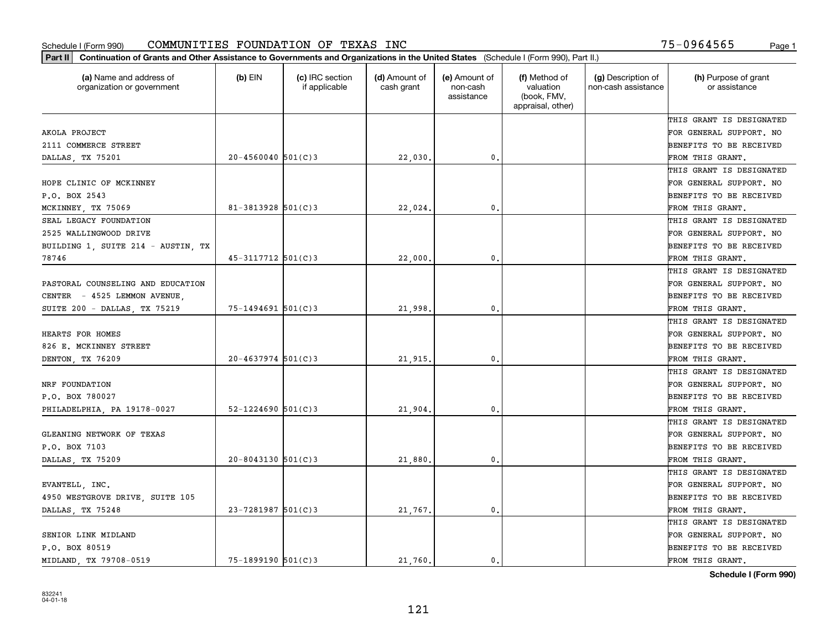| (a) Name and address of<br>organization or government | $(b)$ EIN              | (c) IRC section<br>if applicable | (d) Amount of<br>cash grant | (e) Amount of<br>non-cash<br>assistance | (f) Method of<br>valuation<br>(book, FMV,<br>appraisal, other) | (g) Description of<br>non-cash assistance | (h) Purpose of grant<br>or assistance |
|-------------------------------------------------------|------------------------|----------------------------------|-----------------------------|-----------------------------------------|----------------------------------------------------------------|-------------------------------------------|---------------------------------------|
|                                                       |                        |                                  |                             |                                         |                                                                |                                           | THIS GRANT IS DESIGNATED              |
| AKOLA PROJECT                                         |                        |                                  |                             |                                         |                                                                |                                           | FOR GENERAL SUPPORT. NO               |
| 2111 COMMERCE STREET                                  |                        |                                  |                             |                                         |                                                                |                                           | BENEFITS TO BE RECEIVED               |
| DALLAS, TX 75201                                      | $20 - 4560040$ 501(C)3 |                                  | 22,030                      | $\mathfrak{o}$ .                        |                                                                |                                           | FROM THIS GRANT.                      |
|                                                       |                        |                                  |                             |                                         |                                                                |                                           | THIS GRANT IS DESIGNATED              |
| HOPE CLINIC OF MCKINNEY                               |                        |                                  |                             |                                         |                                                                |                                           | FOR GENERAL SUPPORT. NO               |
| P.O. BOX 2543                                         |                        |                                  |                             |                                         |                                                                |                                           | BENEFITS TO BE RECEIVED               |
| MCKINNEY, TX 75069                                    | $81 - 3813928$ 501(C)3 |                                  | 22,024                      | $\mathbf{0}$                            |                                                                |                                           | FROM THIS GRANT.                      |
| SEAL LEGACY FOUNDATION                                |                        |                                  |                             |                                         |                                                                |                                           | THIS GRANT IS DESIGNATED              |
| 2525 WALLINGWOOD DRIVE                                |                        |                                  |                             |                                         |                                                                |                                           | FOR GENERAL SUPPORT. NO               |
| BUILDING 1, SUITE 214 - AUSTIN, TX                    |                        |                                  |                             |                                         |                                                                |                                           | BENEFITS TO BE RECEIVED               |
| 78746                                                 | 45-3117712 501(C)3     |                                  | 22,000                      | 0.                                      |                                                                |                                           | FROM THIS GRANT.                      |
|                                                       |                        |                                  |                             |                                         |                                                                |                                           | THIS GRANT IS DESIGNATED              |
| PASTORAL COUNSELING AND EDUCATION                     |                        |                                  |                             |                                         |                                                                |                                           | FOR GENERAL SUPPORT. NO               |
| CENTER - 4525 LEMMON AVENUE,                          |                        |                                  |                             |                                         |                                                                |                                           | BENEFITS TO BE RECEIVED               |
| SUITE 200 - DALLAS, TX 75219                          | $75 - 1494691$ 501(C)3 |                                  | 21,998                      | $\mathbf{0}$                            |                                                                |                                           | FROM THIS GRANT.                      |
|                                                       |                        |                                  |                             |                                         |                                                                |                                           | THIS GRANT IS DESIGNATED              |
| HEARTS FOR HOMES                                      |                        |                                  |                             |                                         |                                                                |                                           | FOR GENERAL SUPPORT. NO               |
| 826 E. MCKINNEY STREET                                |                        |                                  |                             |                                         |                                                                |                                           | BENEFITS TO BE RECEIVED               |
| DENTON, TX 76209                                      | $20 - 4637974$ 501(C)3 |                                  | 21,915                      | $\mathbf{0}$                            |                                                                |                                           | FROM THIS GRANT.                      |
|                                                       |                        |                                  |                             |                                         |                                                                |                                           | THIS GRANT IS DESIGNATED              |
| NRF FOUNDATION                                        |                        |                                  |                             |                                         |                                                                |                                           | FOR GENERAL SUPPORT. NO               |
| P.O. BOX 780027                                       |                        |                                  |                             |                                         |                                                                |                                           | BENEFITS TO BE RECEIVED               |
| PHILADELPHIA, PA 19178-0027                           | $52 - 1224690$ 501(C)3 |                                  | 21,904                      | $\mathbf{0}$                            |                                                                |                                           | FROM THIS GRANT.                      |
|                                                       |                        |                                  |                             |                                         |                                                                |                                           | THIS GRANT IS DESIGNATED              |
| GLEANING NETWORK OF TEXAS                             |                        |                                  |                             |                                         |                                                                |                                           | FOR GENERAL SUPPORT. NO               |
| P.O. BOX 7103                                         |                        |                                  |                             |                                         |                                                                |                                           | BENEFITS TO BE RECEIVED               |
| DALLAS, TX 75209                                      | $20 - 8043130$ 501(C)3 |                                  | 21,880                      | $\mathbf{0}$ .                          |                                                                |                                           | FROM THIS GRANT.                      |
|                                                       |                        |                                  |                             |                                         |                                                                |                                           | THIS GRANT IS DESIGNATED              |
| EVANTELL, INC.                                        |                        |                                  |                             |                                         |                                                                |                                           | FOR GENERAL SUPPORT. NO               |
| 4950 WESTGROVE DRIVE, SUITE 105                       |                        |                                  |                             |                                         |                                                                |                                           | BENEFITS TO BE RECEIVED               |
| DALLAS, TX 75248                                      | $23 - 7281987$ 501(C)3 |                                  | 21,767.                     | 0.                                      |                                                                |                                           | FROM THIS GRANT.                      |
|                                                       |                        |                                  |                             |                                         |                                                                |                                           | THIS GRANT IS DESIGNATED              |
| SENIOR LINK MIDLAND                                   |                        |                                  |                             |                                         |                                                                |                                           | FOR GENERAL SUPPORT. NO               |
| P.O. BOX 80519                                        |                        |                                  |                             |                                         |                                                                |                                           | BENEFITS TO BE RECEIVED               |
| MIDLAND, TX 79708-0519                                | $75 - 1899190$ 501(C)3 |                                  | 21,760.                     | 0.                                      |                                                                |                                           | FROM THIS GRANT.                      |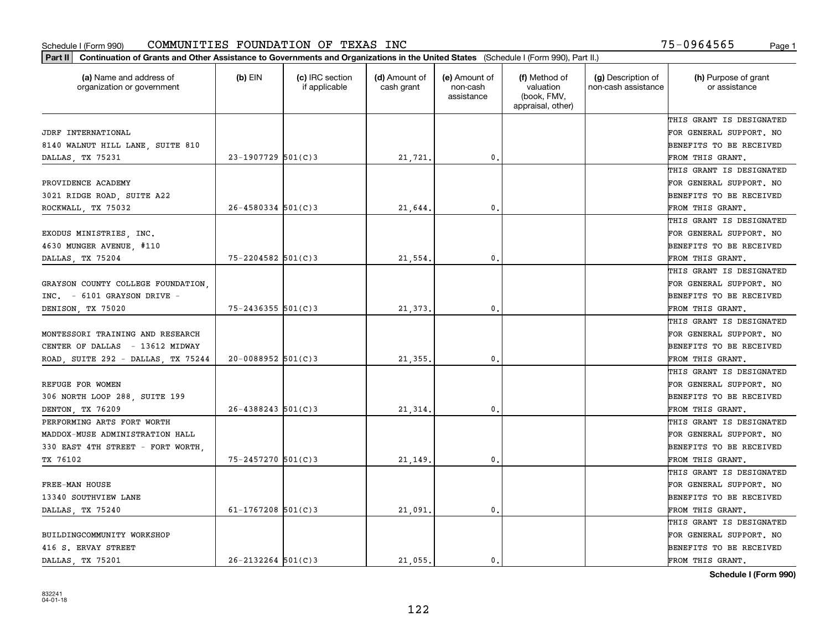| Part II   Continuation of Grants and Other Assistance to Governments and Organizations in the United States (Schedule I (Form 990), Part II.) |                          |                                  |                             |                                         |                                                                |                                           |                                       |
|-----------------------------------------------------------------------------------------------------------------------------------------------|--------------------------|----------------------------------|-----------------------------|-----------------------------------------|----------------------------------------------------------------|-------------------------------------------|---------------------------------------|
| (a) Name and address of<br>organization or government                                                                                         | $(b)$ EIN                | (c) IRC section<br>if applicable | (d) Amount of<br>cash grant | (e) Amount of<br>non-cash<br>assistance | (f) Method of<br>valuation<br>(book, FMV,<br>appraisal, other) | (g) Description of<br>non-cash assistance | (h) Purpose of grant<br>or assistance |
|                                                                                                                                               |                          |                                  |                             |                                         |                                                                |                                           | THIS GRANT IS DESIGNATED              |
| JDRF INTERNATIONAL                                                                                                                            |                          |                                  |                             |                                         |                                                                |                                           | FOR GENERAL SUPPORT. NO               |
| 8140 WALNUT HILL LANE, SUITE 810                                                                                                              |                          |                                  |                             |                                         |                                                                |                                           | <b>BENEFITS TO BE RECEIVED</b>        |
| DALLAS, TX 75231                                                                                                                              | $23 - 1907729$ 501(C)3   |                                  | 21,721.                     | 0.                                      |                                                                |                                           | FROM THIS GRANT.                      |
|                                                                                                                                               |                          |                                  |                             |                                         |                                                                |                                           | THIS GRANT IS DESIGNATED              |
| PROVIDENCE ACADEMY                                                                                                                            |                          |                                  |                             |                                         |                                                                |                                           | FOR GENERAL SUPPORT. NO               |
| 3021 RIDGE ROAD, SUITE A22                                                                                                                    |                          |                                  |                             |                                         |                                                                |                                           | BENEFITS TO BE RECEIVED               |
| ROCKWALL, TX 75032                                                                                                                            | $26 - 4580334$ 501(C)3   |                                  | 21,644.                     | 0.                                      |                                                                |                                           | FROM THIS GRANT.                      |
|                                                                                                                                               |                          |                                  |                             |                                         |                                                                |                                           | THIS GRANT IS DESIGNATED              |
| EXODUS MINISTRIES, INC.                                                                                                                       |                          |                                  |                             |                                         |                                                                |                                           | FOR GENERAL SUPPORT. NO               |
| 4630 MUNGER AVENUE, #110                                                                                                                      |                          |                                  |                             |                                         |                                                                |                                           | BENEFITS TO BE RECEIVED               |
| DALLAS, TX 75204                                                                                                                              | $75 - 2204582$ 501(C)3   |                                  | 21,554.                     | $^{\rm 0}$ .                            |                                                                |                                           | FROM THIS GRANT.                      |
|                                                                                                                                               |                          |                                  |                             |                                         |                                                                |                                           | THIS GRANT IS DESIGNATED              |
| GRAYSON COUNTY COLLEGE FOUNDATION,                                                                                                            |                          |                                  |                             |                                         |                                                                |                                           | FOR GENERAL SUPPORT. NO               |
| INC. - 6101 GRAYSON DRIVE -                                                                                                                   |                          |                                  |                             |                                         |                                                                |                                           | <b>BENEFITS TO BE RECEIVED</b>        |
| DENISON, TX 75020                                                                                                                             | $75 - 2436355$ 501(C)3   |                                  | 21,373.                     | 0.                                      |                                                                |                                           | FROM THIS GRANT.                      |
|                                                                                                                                               |                          |                                  |                             |                                         |                                                                |                                           | THIS GRANT IS DESIGNATED              |
| MONTESSORI TRAINING AND RESEARCH                                                                                                              |                          |                                  |                             |                                         |                                                                |                                           | FOR GENERAL SUPPORT. NO               |
| CENTER OF DALLAS - 13612 MIDWAY                                                                                                               |                          |                                  |                             |                                         |                                                                |                                           | <b>BENEFITS TO BE RECEIVED</b>        |
| ROAD, SUITE 292 - DALLAS, TX 75244                                                                                                            | $20 - 0088952$ 501(C)3   |                                  | 21,355.                     | 0.                                      |                                                                |                                           | FROM THIS GRANT.                      |
|                                                                                                                                               |                          |                                  |                             |                                         |                                                                |                                           | THIS GRANT IS DESIGNATED              |
| REFUGE FOR WOMEN                                                                                                                              |                          |                                  |                             |                                         |                                                                |                                           | FOR GENERAL SUPPORT. NO               |
| 306 NORTH LOOP 288, SUITE 199                                                                                                                 |                          |                                  |                             |                                         |                                                                |                                           | <b>BENEFITS TO BE RECEIVED</b>        |
| DENTON, TX 76209                                                                                                                              | $26 - 4388243$ $501(C)3$ |                                  | 21,314.                     | 0.                                      |                                                                |                                           | FROM THIS GRANT.                      |
| PERFORMING ARTS FORT WORTH                                                                                                                    |                          |                                  |                             |                                         |                                                                |                                           | THIS GRANT IS DESIGNATED              |
| MADDOX-MUSE ADMINISTRATION HALL                                                                                                               |                          |                                  |                             |                                         |                                                                |                                           | FOR GENERAL SUPPORT. NO               |
| 330 EAST 4TH STREET - FORT WORTH,                                                                                                             |                          |                                  |                             |                                         |                                                                |                                           | <b>BENEFITS TO BE RECEIVED</b>        |
| TX 76102                                                                                                                                      | 75-2457270 501(C)3       |                                  | 21,149                      | $\mathfrak{o}$ .                        |                                                                |                                           | FROM THIS GRANT.                      |
|                                                                                                                                               |                          |                                  |                             |                                         |                                                                |                                           | THIS GRANT IS DESIGNATED              |
| FREE-MAN HOUSE                                                                                                                                |                          |                                  |                             |                                         |                                                                |                                           | FOR GENERAL SUPPORT. NO               |
| 13340 SOUTHVIEW LANE                                                                                                                          |                          |                                  |                             |                                         |                                                                |                                           | BENEFITS TO BE RECEIVED               |
| DALLAS, TX 75240                                                                                                                              | 61-1767208 $501(C)3$     |                                  | 21,091.                     | $\mathbf{0}$ .                          |                                                                |                                           | FROM THIS GRANT.                      |
|                                                                                                                                               |                          |                                  |                             |                                         |                                                                |                                           | THIS GRANT IS DESIGNATED              |
| BUILDINGCOMMUNITY WORKSHOP                                                                                                                    |                          |                                  |                             |                                         |                                                                |                                           | FOR GENERAL SUPPORT. NO               |
| 416 S. ERVAY STREET                                                                                                                           |                          |                                  |                             |                                         |                                                                |                                           | <b>BENEFITS TO BE RECEIVED</b>        |
| DALLAS, TX 75201                                                                                                                              | $26 - 2132264$ 501(C)3   |                                  | 21.055.                     | $\mathbf{0}$ .                          |                                                                |                                           | FROM THIS GRANT.                      |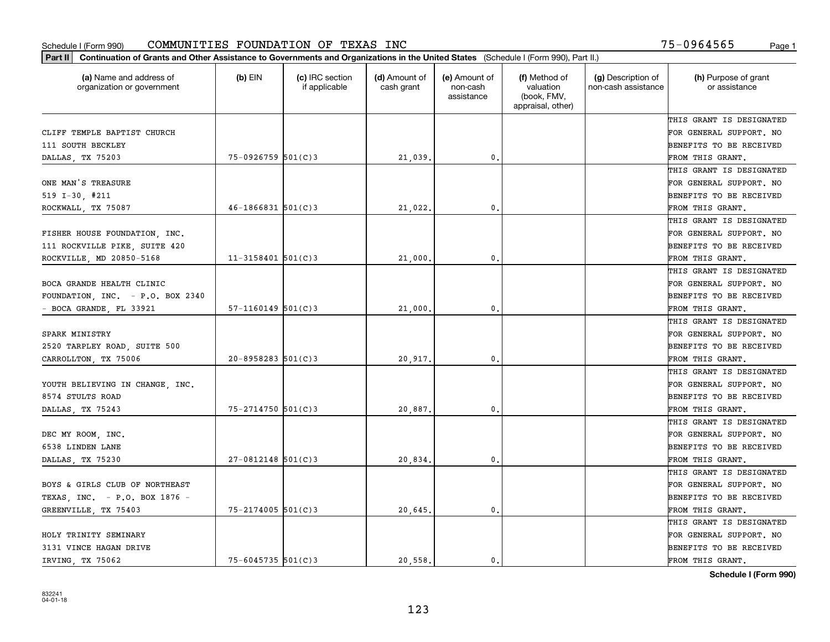| Part II   Continuation of Grants and Other Assistance to Governments and Organizations in the United States (Schedule I (Form 990), Part II.) |                        |                                  |                             |                                         |                                                                |                                           |                                       |
|-----------------------------------------------------------------------------------------------------------------------------------------------|------------------------|----------------------------------|-----------------------------|-----------------------------------------|----------------------------------------------------------------|-------------------------------------------|---------------------------------------|
| (a) Name and address of<br>organization or government                                                                                         | $(b)$ EIN              | (c) IRC section<br>if applicable | (d) Amount of<br>cash grant | (e) Amount of<br>non-cash<br>assistance | (f) Method of<br>valuation<br>(book, FMV,<br>appraisal, other) | (g) Description of<br>non-cash assistance | (h) Purpose of grant<br>or assistance |
|                                                                                                                                               |                        |                                  |                             |                                         |                                                                |                                           | THIS GRANT IS DESIGNATED              |
| CLIFF TEMPLE BAPTIST CHURCH                                                                                                                   |                        |                                  |                             |                                         |                                                                |                                           | FOR GENERAL SUPPORT. NO               |
| 111 SOUTH BECKLEY                                                                                                                             |                        |                                  |                             |                                         |                                                                |                                           | BENEFITS TO BE RECEIVED               |
| DALLAS, TX 75203                                                                                                                              | $75 - 0926759$ 501(C)3 |                                  | 21,039.                     | 0.                                      |                                                                |                                           | FROM THIS GRANT.                      |
|                                                                                                                                               |                        |                                  |                             |                                         |                                                                |                                           | THIS GRANT IS DESIGNATED              |
| ONE MAN'S TREASURE                                                                                                                            |                        |                                  |                             |                                         |                                                                |                                           | FOR GENERAL SUPPORT. NO               |
| 519 $I-30$ , #211                                                                                                                             |                        |                                  |                             |                                         |                                                                |                                           | BENEFITS TO BE RECEIVED               |
| ROCKWALL, TX 75087                                                                                                                            | $46 - 1866831$ 501(C)3 |                                  | 21,022.                     | 0.                                      |                                                                |                                           | FROM THIS GRANT.                      |
|                                                                                                                                               |                        |                                  |                             |                                         |                                                                |                                           | THIS GRANT IS DESIGNATED              |
| FISHER HOUSE FOUNDATION, INC.                                                                                                                 |                        |                                  |                             |                                         |                                                                |                                           | FOR GENERAL SUPPORT. NO               |
| 111 ROCKVILLE PIKE, SUITE 420                                                                                                                 |                        |                                  |                             |                                         |                                                                |                                           | BENEFITS TO BE RECEIVED               |
| ROCKVILLE, MD 20850-5168                                                                                                                      | $11 - 3158401$ 501(C)3 |                                  | 21,000.                     | $\mathfrak{o}$ .                        |                                                                |                                           | FROM THIS GRANT.                      |
|                                                                                                                                               |                        |                                  |                             |                                         |                                                                |                                           | THIS GRANT IS DESIGNATED              |
| BOCA GRANDE HEALTH CLINIC                                                                                                                     |                        |                                  |                             |                                         |                                                                |                                           | FOR GENERAL SUPPORT. NO               |
| FOUNDATION, INC. - P.O. BOX 2340                                                                                                              |                        |                                  |                             |                                         |                                                                |                                           | <b>BENEFITS TO BE RECEIVED</b>        |
| - BOCA GRANDE, FL 33921                                                                                                                       | $57-1160149$ $501(C)3$ |                                  | 21,000.                     | $\mathbf{0}$ .                          |                                                                |                                           | FROM THIS GRANT.                      |
|                                                                                                                                               |                        |                                  |                             |                                         |                                                                |                                           | THIS GRANT IS DESIGNATED              |
| SPARK MINISTRY                                                                                                                                |                        |                                  |                             |                                         |                                                                |                                           | FOR GENERAL SUPPORT. NO               |
| 2520 TARPLEY ROAD, SUITE 500                                                                                                                  |                        |                                  |                             |                                         |                                                                |                                           | BENEFITS TO BE RECEIVED               |
| CARROLLTON, TX 75006                                                                                                                          | $20 - 8958283$ 501(C)3 |                                  | 20,917.                     | 0.                                      |                                                                |                                           | FROM THIS GRANT.                      |
|                                                                                                                                               |                        |                                  |                             |                                         |                                                                |                                           | THIS GRANT IS DESIGNATED              |
| YOUTH BELIEVING IN CHANGE, INC.                                                                                                               |                        |                                  |                             |                                         |                                                                |                                           | FOR GENERAL SUPPORT. NO               |
| 8574 STULTS ROAD                                                                                                                              |                        |                                  |                             |                                         |                                                                |                                           | BENEFITS TO BE RECEIVED               |
| DALLAS, TX 75243                                                                                                                              | $75 - 2714750$ 501(C)3 |                                  | 20,887.                     | $\mathfrak{o}$ .                        |                                                                |                                           | FROM THIS GRANT.                      |
|                                                                                                                                               |                        |                                  |                             |                                         |                                                                |                                           | THIS GRANT IS DESIGNATED              |
| DEC MY ROOM, INC.                                                                                                                             |                        |                                  |                             |                                         |                                                                |                                           | FOR GENERAL SUPPORT. NO               |
| 6538 LINDEN LANE                                                                                                                              |                        |                                  |                             |                                         |                                                                |                                           | BENEFITS TO BE RECEIVED               |
| DALLAS, TX 75230                                                                                                                              | $27-0812148$ 501(C)3   |                                  | 20,834.                     | 0.                                      |                                                                |                                           | FROM THIS GRANT.                      |
|                                                                                                                                               |                        |                                  |                             |                                         |                                                                |                                           | THIS GRANT IS DESIGNATED              |
| BOYS & GIRLS CLUB OF NORTHEAST                                                                                                                |                        |                                  |                             |                                         |                                                                |                                           | FOR GENERAL SUPPORT. NO               |
| TEXAS, INC. - P.O. BOX 1876 -                                                                                                                 |                        |                                  |                             |                                         |                                                                |                                           | BENEFITS TO BE RECEIVED               |
| GREENVILLE, TX 75403                                                                                                                          | 75-2174005 501(C)3     |                                  | 20,645.                     | 0.                                      |                                                                |                                           | FROM THIS GRANT.                      |
|                                                                                                                                               |                        |                                  |                             |                                         |                                                                |                                           | THIS GRANT IS DESIGNATED              |
| HOLY TRINITY SEMINARY                                                                                                                         |                        |                                  |                             |                                         |                                                                |                                           | FOR GENERAL SUPPORT. NO               |
| 3131 VINCE HAGAN DRIVE                                                                                                                        |                        |                                  |                             |                                         |                                                                |                                           | <b>BENEFITS TO BE RECEIVED</b>        |
| IRVING, TX 75062                                                                                                                              | $75 - 6045735$ 501(C)3 |                                  | 20,558.                     | 0.                                      |                                                                |                                           | FROM THIS GRANT.                      |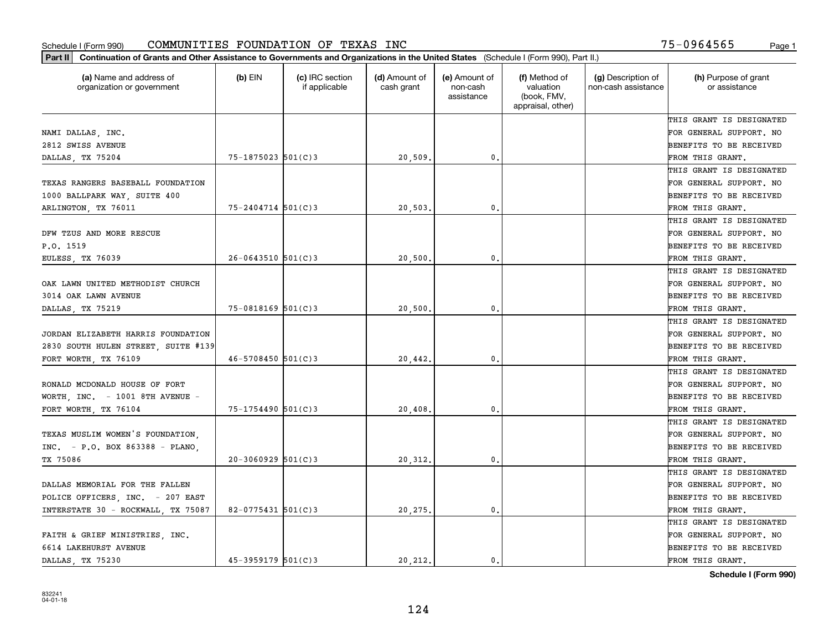| (a) Name and address of<br>organization or government | $(b)$ EIN              | (c) IRC section<br>if applicable | (d) Amount of<br>cash grant | (e) Amount of<br>non-cash<br>assistance | (f) Method of<br>valuation<br>(book, FMV,<br>appraisal, other) | (g) Description of<br>non-cash assistance | (h) Purpose of grant<br>or assistance |
|-------------------------------------------------------|------------------------|----------------------------------|-----------------------------|-----------------------------------------|----------------------------------------------------------------|-------------------------------------------|---------------------------------------|
|                                                       |                        |                                  |                             |                                         |                                                                |                                           | THIS GRANT IS DESIGNATED              |
| NAMI DALLAS, INC.                                     |                        |                                  |                             |                                         |                                                                |                                           | FOR GENERAL SUPPORT. NO               |
| 2812 SWISS AVENUE                                     |                        |                                  |                             |                                         |                                                                |                                           | BENEFITS TO BE RECEIVED               |
| DALLAS, TX 75204                                      | 75-1875023 501(C)3     |                                  | 20,509                      | 0.                                      |                                                                |                                           | FROM THIS GRANT.                      |
|                                                       |                        |                                  |                             |                                         |                                                                |                                           | THIS GRANT IS DESIGNATED              |
| TEXAS RANGERS BASEBALL FOUNDATION                     |                        |                                  |                             |                                         |                                                                |                                           | FOR GENERAL SUPPORT. NO               |
| 1000 BALLPARK WAY, SUITE 400                          |                        |                                  |                             |                                         |                                                                |                                           | BENEFITS TO BE RECEIVED               |
| ARLINGTON, TX 76011                                   | $75 - 2404714$ 501(C)3 |                                  | 20,503                      | $\mathbf{0}$                            |                                                                |                                           | FROM THIS GRANT.                      |
|                                                       |                        |                                  |                             |                                         |                                                                |                                           | THIS GRANT IS DESIGNATED              |
| DFW TZUS AND MORE RESCUE                              |                        |                                  |                             |                                         |                                                                |                                           | FOR GENERAL SUPPORT. NO               |
| P.0.1519                                              |                        |                                  |                             |                                         |                                                                |                                           | BENEFITS TO BE RECEIVED               |
| EULESS, TX 76039                                      | $26 - 0643510$ 501(C)3 |                                  | 20,500                      | 0.                                      |                                                                |                                           | FROM THIS GRANT.                      |
|                                                       |                        |                                  |                             |                                         |                                                                |                                           | THIS GRANT IS DESIGNATED              |
| OAK LAWN UNITED METHODIST CHURCH                      |                        |                                  |                             |                                         |                                                                |                                           | FOR GENERAL SUPPORT. NO               |
| 3014 OAK LAWN AVENUE                                  |                        |                                  |                             |                                         |                                                                |                                           | BENEFITS TO BE RECEIVED               |
| DALLAS, TX 75219                                      | $75 - 0818169$ 501(C)3 |                                  | 20,500                      | $\mathbf{0}$                            |                                                                |                                           | FROM THIS GRANT.                      |
|                                                       |                        |                                  |                             |                                         |                                                                |                                           | THIS GRANT IS DESIGNATED              |
| JORDAN ELIZABETH HARRIS FOUNDATION                    |                        |                                  |                             |                                         |                                                                |                                           | FOR GENERAL SUPPORT. NO               |
| 2830 SOUTH HULEN STREET, SUITE #139                   |                        |                                  |                             |                                         |                                                                |                                           | BENEFITS TO BE RECEIVED               |
| FORT WORTH, TX 76109                                  | $46 - 5708450$ 501(C)3 |                                  | 20,442.                     | $\mathbf{0}$                            |                                                                |                                           | FROM THIS GRANT.                      |
|                                                       |                        |                                  |                             |                                         |                                                                |                                           | THIS GRANT IS DESIGNATED              |
| RONALD MCDONALD HOUSE OF FORT                         |                        |                                  |                             |                                         |                                                                |                                           | FOR GENERAL SUPPORT. NO               |
| WORTH, INC. - 1001 8TH AVENUE -                       |                        |                                  |                             |                                         |                                                                |                                           | BENEFITS TO BE RECEIVED               |
| FORT WORTH, TX 76104                                  | $75 - 1754490$ 501(C)3 |                                  | 20,408                      | $\mathbf{0}$                            |                                                                |                                           | FROM THIS GRANT.                      |
|                                                       |                        |                                  |                             |                                         |                                                                |                                           | THIS GRANT IS DESIGNATED              |
| TEXAS MUSLIM WOMEN'S FOUNDATION.                      |                        |                                  |                             |                                         |                                                                |                                           | FOR GENERAL SUPPORT. NO               |
| $INC. - P.0. BOX 863388 - PLANO.$                     |                        |                                  |                             |                                         |                                                                |                                           | BENEFITS TO BE RECEIVED               |
| TX 75086                                              | $20-3060929$ $501(C)3$ |                                  | 20,312.                     | $\mathbf{0}$ .                          |                                                                |                                           | FROM THIS GRANT.                      |
|                                                       |                        |                                  |                             |                                         |                                                                |                                           | THIS GRANT IS DESIGNATED              |
| DALLAS MEMORIAL FOR THE FALLEN                        |                        |                                  |                             |                                         |                                                                |                                           | FOR GENERAL SUPPORT. NO               |
| POLICE OFFICERS, INC. - 207 EAST                      |                        |                                  |                             |                                         |                                                                |                                           | BENEFITS TO BE RECEIVED               |
| INTERSTATE 30 - ROCKWALL, TX 75087                    | 82-0775431 $501(C)$ 3  |                                  | 20,275.                     | 0.                                      |                                                                |                                           | FROM THIS GRANT.                      |
|                                                       |                        |                                  |                             |                                         |                                                                |                                           | THIS GRANT IS DESIGNATED              |
| FAITH & GRIEF MINISTRIES, INC.                        |                        |                                  |                             |                                         |                                                                |                                           | FOR GENERAL SUPPORT. NO               |
| 6614 LAKEHURST AVENUE                                 |                        |                                  |                             |                                         |                                                                |                                           | BENEFITS TO BE RECEIVED               |
| DALLAS TX 75230                                       | 45-3959179 501(C)3     |                                  | 20.212.                     | 0.                                      |                                                                |                                           | FROM THIS GRANT.                      |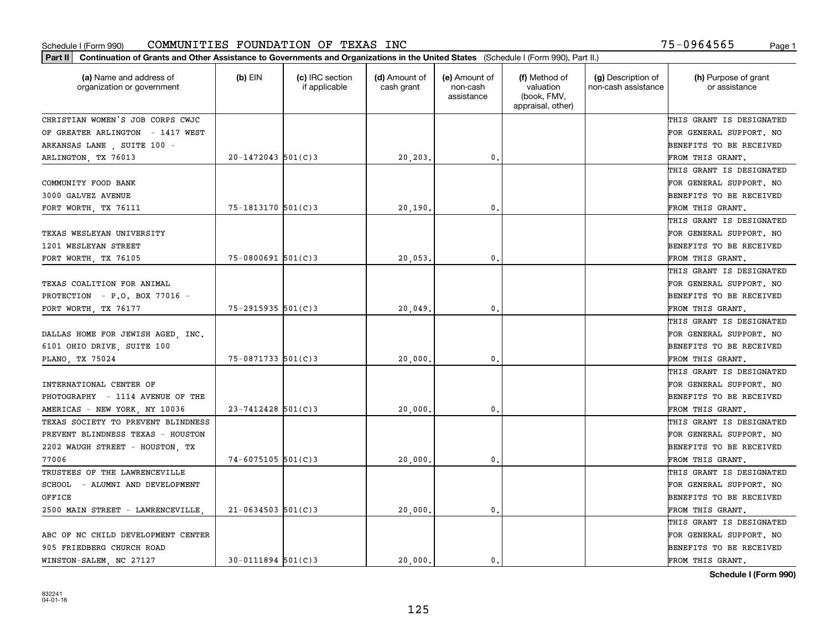| Part II   Continuation of Grants and Other Assistance to Governments and Organizations in the United States (Schedule I (Form 990), Part II.) |                         |                                  |                             |                                         |                                                                |                                           |                                       |
|-----------------------------------------------------------------------------------------------------------------------------------------------|-------------------------|----------------------------------|-----------------------------|-----------------------------------------|----------------------------------------------------------------|-------------------------------------------|---------------------------------------|
| (a) Name and address of<br>organization or government                                                                                         | $(b)$ EIN               | (c) IRC section<br>if applicable | (d) Amount of<br>cash grant | (e) Amount of<br>non-cash<br>assistance | (f) Method of<br>valuation<br>(book, FMV,<br>appraisal, other) | (g) Description of<br>non-cash assistance | (h) Purpose of grant<br>or assistance |
| CHRISTIAN WOMEN'S JOB CORPS CWJC                                                                                                              |                         |                                  |                             |                                         |                                                                |                                           | THIS GRANT IS DESIGNATED              |
| OF GREATER ARLINGTON - 1417 WEST                                                                                                              |                         |                                  |                             |                                         |                                                                |                                           | FOR GENERAL SUPPORT. NO               |
| ARKANSAS LANE, SUITE 100 -                                                                                                                    |                         |                                  |                             |                                         |                                                                |                                           | BENEFITS TO BE RECEIVED               |
| ARLINGTON, TX 76013                                                                                                                           | $20 - 1472043$ 501(C)3  |                                  | 20,203.                     | 0.                                      |                                                                |                                           | FROM THIS GRANT.                      |
|                                                                                                                                               |                         |                                  |                             |                                         |                                                                |                                           | THIS GRANT IS DESIGNATED              |
| COMMUNITY FOOD BANK                                                                                                                           |                         |                                  |                             |                                         |                                                                |                                           | FOR GENERAL SUPPORT. NO               |
| 3000 GALVEZ AVENUE                                                                                                                            |                         |                                  |                             |                                         |                                                                |                                           | BENEFITS TO BE RECEIVED               |
| FORT WORTH, TX 76111                                                                                                                          | 75-1813170 501(C)3      |                                  | 20,190                      | 0.                                      |                                                                |                                           | FROM THIS GRANT.                      |
|                                                                                                                                               |                         |                                  |                             |                                         |                                                                |                                           | THIS GRANT IS DESIGNATED              |
| TEXAS WESLEYAN UNIVERSITY                                                                                                                     |                         |                                  |                             |                                         |                                                                |                                           | FOR GENERAL SUPPORT. NO               |
| 1201 WESLEYAN STREET                                                                                                                          |                         |                                  |                             |                                         |                                                                |                                           | BENEFITS TO BE RECEIVED               |
| FORT WORTH, TX 76105                                                                                                                          | $75 - 0800691$ 501(C)3  |                                  | 20,053.                     | 0.                                      |                                                                |                                           | FROM THIS GRANT.                      |
|                                                                                                                                               |                         |                                  |                             |                                         |                                                                |                                           | THIS GRANT IS DESIGNATED              |
| TEXAS COALITION FOR ANIMAL                                                                                                                    |                         |                                  |                             |                                         |                                                                |                                           | FOR GENERAL SUPPORT. NO               |
| PROTECTION - P.O. BOX 77016 -                                                                                                                 |                         |                                  |                             |                                         |                                                                |                                           | <b>BENEFITS TO BE RECEIVED</b>        |
| FORT WORTH, TX 76177                                                                                                                          | $75 - 2915935$ 501(C)3  |                                  | 20,049                      | 0.                                      |                                                                |                                           | FROM THIS GRANT.                      |
|                                                                                                                                               |                         |                                  |                             |                                         |                                                                |                                           | THIS GRANT IS DESIGNATED              |
| DALLAS HOME FOR JEWISH AGED, INC.                                                                                                             |                         |                                  |                             |                                         |                                                                |                                           | FOR GENERAL SUPPORT. NO               |
| 6101 OHIO DRIVE, SUITE 100                                                                                                                    |                         |                                  |                             |                                         |                                                                |                                           | BENEFITS TO BE RECEIVED               |
| PLANO, TX 75024                                                                                                                               | $75 - 0871733$ 501(C)3  |                                  | 20,000                      | 0.                                      |                                                                |                                           | FROM THIS GRANT.                      |
|                                                                                                                                               |                         |                                  |                             |                                         |                                                                |                                           | THIS GRANT IS DESIGNATED              |
| INTERNATIONAL CENTER OF                                                                                                                       |                         |                                  |                             |                                         |                                                                |                                           | FOR GENERAL SUPPORT. NO               |
| PHOTOGRAPHY - 1114 AVENUE OF THE                                                                                                              |                         |                                  |                             |                                         |                                                                |                                           | <b>BENEFITS TO BE RECEIVED</b>        |
| AMERICAS - NEW YORK, NY 10036                                                                                                                 | $23 - 7412428$ 501(C)3  |                                  | 20,000                      | 0.                                      |                                                                |                                           | FROM THIS GRANT.                      |
| TEXAS SOCIETY TO PREVENT BLINDNESS                                                                                                            |                         |                                  |                             |                                         |                                                                |                                           | THIS GRANT IS DESIGNATED              |
| PREVENT BLINDNESS TEXAS - HOUSTON                                                                                                             |                         |                                  |                             |                                         |                                                                |                                           | FOR GENERAL SUPPORT. NO               |
| 2202 WAUGH STREET - HOUSTON, TX                                                                                                               |                         |                                  |                             |                                         |                                                                |                                           | <b>BENEFITS TO BE RECEIVED</b>        |
| 77006                                                                                                                                         | $74 - 6075105$ 501(C)3  |                                  | 20,000                      | 0.                                      |                                                                |                                           | FROM THIS GRANT.                      |
| TRUSTEES OF THE LAWRENCEVILLE                                                                                                                 |                         |                                  |                             |                                         |                                                                |                                           | THIS GRANT IS DESIGNATED              |
| SCHOOL - ALUMNI AND DEVELOPMENT                                                                                                               |                         |                                  |                             |                                         |                                                                |                                           | FOR GENERAL SUPPORT. NO               |
| OFFICE                                                                                                                                        |                         |                                  |                             |                                         |                                                                |                                           | BENEFITS TO BE RECEIVED               |
| 2500 MAIN STREET - LAWRENCEVILLE                                                                                                              | $21 - 0634503$ 501(C)3  |                                  | 20,000.                     | 0.                                      |                                                                |                                           | FROM THIS GRANT.                      |
|                                                                                                                                               |                         |                                  |                             |                                         |                                                                |                                           | THIS GRANT IS DESIGNATED              |
| ABC OF NC CHILD DEVELOPMENT CENTER                                                                                                            |                         |                                  |                             |                                         |                                                                |                                           | FOR GENERAL SUPPORT. NO               |
| 905 FRIEDBERG CHURCH ROAD                                                                                                                     |                         |                                  |                             |                                         |                                                                |                                           | <b>BENEFITS TO BE RECEIVED</b>        |
| WINSTON-SALEM, NC 27127                                                                                                                       | $30 - 0111894$ 501(C) 3 |                                  | 20,000.                     | $\mathbf{0}$ .                          |                                                                |                                           | FROM THIS GRANT.                      |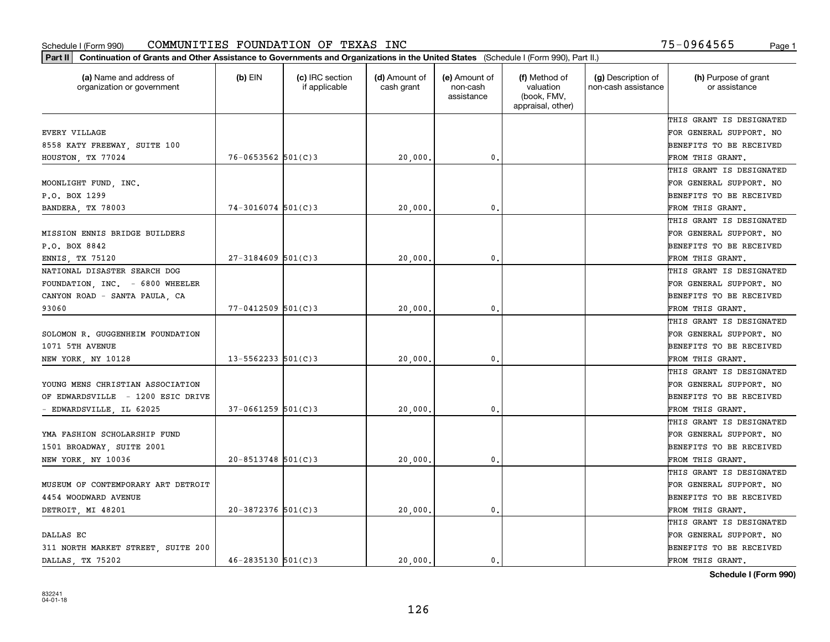| (a) Name and address of<br>organization or government | $(b)$ EIN                | (c) IRC section<br>if applicable | (d) Amount of<br>cash grant | (e) Amount of<br>non-cash<br>assistance | (f) Method of<br>valuation<br>(book, FMV,<br>appraisal, other) | (g) Description of<br>non-cash assistance | (h) Purpose of grant<br>or assistance |
|-------------------------------------------------------|--------------------------|----------------------------------|-----------------------------|-----------------------------------------|----------------------------------------------------------------|-------------------------------------------|---------------------------------------|
|                                                       |                          |                                  |                             |                                         |                                                                |                                           | THIS GRANT IS DESIGNATED              |
| <b>EVERY VILLAGE</b>                                  |                          |                                  |                             |                                         |                                                                |                                           | FOR GENERAL SUPPORT. NO               |
| 8558 KATY FREEWAY, SUITE 100                          |                          |                                  |                             |                                         |                                                                |                                           | BENEFITS TO BE RECEIVED               |
| HOUSTON, TX 77024                                     | $76 - 0653562$ 501(C)3   |                                  | 20,000                      | 0.                                      |                                                                |                                           | FROM THIS GRANT.                      |
|                                                       |                          |                                  |                             |                                         |                                                                |                                           | THIS GRANT IS DESIGNATED              |
| MOONLIGHT FUND, INC.                                  |                          |                                  |                             |                                         |                                                                |                                           | FOR GENERAL SUPPORT. NO               |
| P.O. BOX 1299                                         |                          |                                  |                             |                                         |                                                                |                                           | BENEFITS TO BE RECEIVED               |
| BANDERA, TX 78003                                     | $74-3016074$ 501(C)3     |                                  | 20,000                      | $\mathbf{0}$                            |                                                                |                                           | FROM THIS GRANT.                      |
|                                                       |                          |                                  |                             |                                         |                                                                |                                           | THIS GRANT IS DESIGNATED              |
| MISSION ENNIS BRIDGE BUILDERS                         |                          |                                  |                             |                                         |                                                                |                                           | FOR GENERAL SUPPORT. NO               |
| P.O. BOX 8842                                         |                          |                                  |                             |                                         |                                                                |                                           | BENEFITS TO BE RECEIVED               |
| ENNIS, TX 75120                                       | $27 - 3184609$ 501(C)3   |                                  | 20,000                      | $\mathbf{0}$ .                          |                                                                |                                           | FROM THIS GRANT.                      |
| NATIONAL DISASTER SEARCH DOG                          |                          |                                  |                             |                                         |                                                                |                                           | THIS GRANT IS DESIGNATED              |
| FOUNDATION, INC. - 6800 WHEELER                       |                          |                                  |                             |                                         |                                                                |                                           | FOR GENERAL SUPPORT. NO               |
| CANYON ROAD - SANTA PAULA, CA                         |                          |                                  |                             |                                         |                                                                |                                           | BENEFITS TO BE RECEIVED               |
| 93060                                                 | $77 - 0412509$ 501(C)3   |                                  | 20,000                      | $\mathbf{0}$                            |                                                                |                                           | FROM THIS GRANT.                      |
|                                                       |                          |                                  |                             |                                         |                                                                |                                           | THIS GRANT IS DESIGNATED              |
| SOLOMON R. GUGGENHEIM FOUNDATION                      |                          |                                  |                             |                                         |                                                                |                                           | FOR GENERAL SUPPORT. NO               |
| 1071 5TH AVENUE                                       |                          |                                  |                             |                                         |                                                                |                                           | BENEFITS TO BE RECEIVED               |
| NEW YORK, NY 10128                                    | $13 - 5562233$ $501(C)3$ |                                  | 20,000                      | $\mathbf{0}$                            |                                                                |                                           | FROM THIS GRANT.                      |
|                                                       |                          |                                  |                             |                                         |                                                                |                                           | THIS GRANT IS DESIGNATED              |
| YOUNG MENS CHRISTIAN ASSOCIATION                      |                          |                                  |                             |                                         |                                                                |                                           | FOR GENERAL SUPPORT. NO               |
| OF EDWARDSVILLE - 1200 ESIC DRIVE                     |                          |                                  |                             |                                         |                                                                |                                           | BENEFITS TO BE RECEIVED               |
| EDWARDSVILLE, IL 62025                                | $37 - 0661259$ 501(C)3   |                                  | 20,000                      | $\mathbf{0}$                            |                                                                |                                           | FROM THIS GRANT.                      |
|                                                       |                          |                                  |                             |                                         |                                                                |                                           | THIS GRANT IS DESIGNATED              |
| YMA FASHION SCHOLARSHIP FUND                          |                          |                                  |                             |                                         |                                                                |                                           | FOR GENERAL SUPPORT. NO               |
| 1501 BROADWAY, SUITE 2001                             |                          |                                  |                             |                                         |                                                                |                                           | BENEFITS TO BE RECEIVED               |
| NEW YORK, NY 10036                                    | $20 - 8513748$ 501(C) 3  |                                  | 20,000                      | $\mathbf{0}$ .                          |                                                                |                                           | FROM THIS GRANT.                      |
|                                                       |                          |                                  |                             |                                         |                                                                |                                           | THIS GRANT IS DESIGNATED              |
| MUSEUM OF CONTEMPORARY ART DETROIT                    |                          |                                  |                             |                                         |                                                                |                                           | FOR GENERAL SUPPORT. NO               |
| 4454 WOODWARD AVENUE                                  |                          |                                  |                             |                                         |                                                                |                                           | BENEFITS TO BE RECEIVED               |
| DETROIT, MI 48201                                     | $20 - 3872376$ 501(C)3   |                                  | 20,000.                     | $\mathbf{0}$ .                          |                                                                |                                           | FROM THIS GRANT.                      |
|                                                       |                          |                                  |                             |                                         |                                                                |                                           | THIS GRANT IS DESIGNATED              |
| DALLAS EC                                             |                          |                                  |                             |                                         |                                                                |                                           | FOR GENERAL SUPPORT. NO               |
| 311 NORTH MARKET STREET, SUITE 200                    |                          |                                  |                             |                                         |                                                                |                                           | BENEFITS TO BE RECEIVED               |
| DALLAS, TX 75202                                      | $46 - 2835130$ 501(C)3   |                                  | 20,000.                     | 0.                                      |                                                                |                                           | FROM THIS GRANT.                      |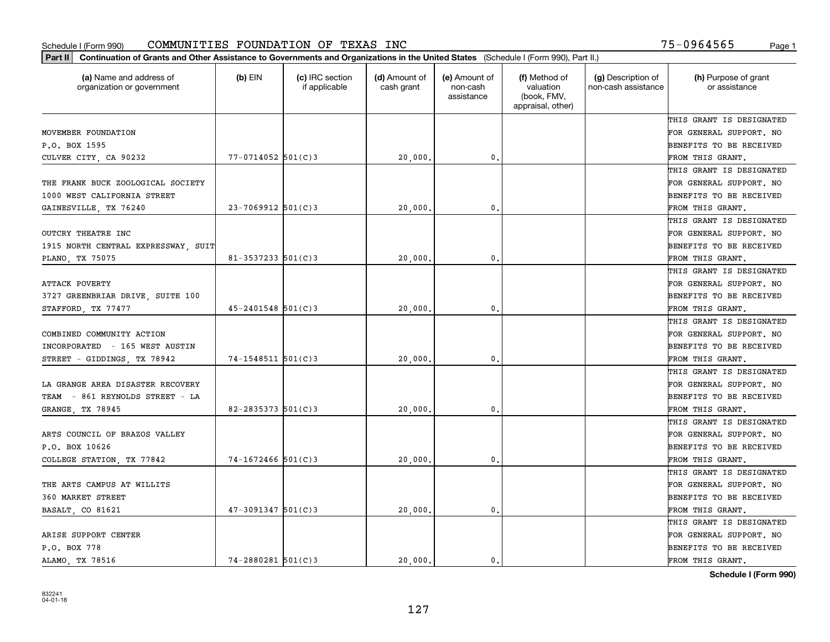| Part II   Continuation of Grants and Other Assistance to Governments and Organizations in the United States (Schedule I (Form 990), Part II.) |                          |                                  |                             |                                         |                                                                |                                           |                                       |
|-----------------------------------------------------------------------------------------------------------------------------------------------|--------------------------|----------------------------------|-----------------------------|-----------------------------------------|----------------------------------------------------------------|-------------------------------------------|---------------------------------------|
| (a) Name and address of<br>organization or government                                                                                         | $(b)$ EIN                | (c) IRC section<br>if applicable | (d) Amount of<br>cash grant | (e) Amount of<br>non-cash<br>assistance | (f) Method of<br>valuation<br>(book, FMV,<br>appraisal, other) | (g) Description of<br>non-cash assistance | (h) Purpose of grant<br>or assistance |
|                                                                                                                                               |                          |                                  |                             |                                         |                                                                |                                           | THIS GRANT IS DESIGNATED              |
| MOVEMBER FOUNDATION                                                                                                                           |                          |                                  |                             |                                         |                                                                |                                           | FOR GENERAL SUPPORT. NO               |
| P.O. BOX 1595                                                                                                                                 |                          |                                  |                             |                                         |                                                                |                                           | BENEFITS TO BE RECEIVED               |
| CULVER CITY, CA 90232                                                                                                                         | $77 - 0714052$ 501(C)3   |                                  | 20,000.                     | 0.                                      |                                                                |                                           | FROM THIS GRANT.                      |
|                                                                                                                                               |                          |                                  |                             |                                         |                                                                |                                           | THIS GRANT IS DESIGNATED              |
| THE FRANK BUCK ZOOLOGICAL SOCIETY                                                                                                             |                          |                                  |                             |                                         |                                                                |                                           | FOR GENERAL SUPPORT. NO               |
| 1000 WEST CALIFORNIA STREET                                                                                                                   |                          |                                  |                             |                                         |                                                                |                                           | BENEFITS TO BE RECEIVED               |
| GAINESVILLE, TX 76240                                                                                                                         | $23 - 7069912$ 501(C)3   |                                  | 20,000                      | 0.                                      |                                                                |                                           | FROM THIS GRANT.                      |
|                                                                                                                                               |                          |                                  |                             |                                         |                                                                |                                           | THIS GRANT IS DESIGNATED              |
| OUTCRY THEATRE INC                                                                                                                            |                          |                                  |                             |                                         |                                                                |                                           | FOR GENERAL SUPPORT. NO               |
| 1915 NORTH CENTRAL EXPRESSWAY, SUIT                                                                                                           |                          |                                  |                             |                                         |                                                                |                                           | BENEFITS TO BE RECEIVED               |
| PLANO, TX 75075                                                                                                                               | $81 - 3537233$ $501(C)3$ |                                  | 20,000                      | 0.                                      |                                                                |                                           | FROM THIS GRANT.                      |
|                                                                                                                                               |                          |                                  |                             |                                         |                                                                |                                           | THIS GRANT IS DESIGNATED              |
| <b>ATTACK POVERTY</b>                                                                                                                         |                          |                                  |                             |                                         |                                                                |                                           | FOR GENERAL SUPPORT. NO               |
| 3727 GREENBRIAR DRIVE, SUITE 100                                                                                                              |                          |                                  |                             |                                         |                                                                |                                           | <b>BENEFITS TO BE RECEIVED</b>        |
| STAFFORD, TX 77477                                                                                                                            | $45 - 2401548$ 501(C)3   |                                  | 20,000                      | 0.                                      |                                                                |                                           | FROM THIS GRANT.                      |
|                                                                                                                                               |                          |                                  |                             |                                         |                                                                |                                           | THIS GRANT IS DESIGNATED              |
| COMBINED COMMUNITY ACTION                                                                                                                     |                          |                                  |                             |                                         |                                                                |                                           | FOR GENERAL SUPPORT. NO               |
| INCORPORATED - 165 WEST AUSTIN                                                                                                                |                          |                                  |                             |                                         |                                                                |                                           | BENEFITS TO BE RECEIVED               |
| STREET - GIDDINGS, TX 78942                                                                                                                   | 74-1548511 501(C)3       |                                  | 20,000                      | 0.                                      |                                                                |                                           | FROM THIS GRANT.                      |
|                                                                                                                                               |                          |                                  |                             |                                         |                                                                |                                           | THIS GRANT IS DESIGNATED              |
| LA GRANGE AREA DISASTER RECOVERY                                                                                                              |                          |                                  |                             |                                         |                                                                |                                           | FOR GENERAL SUPPORT. NO               |
| TEAM - 861 REYNOLDS STREET - LA                                                                                                               |                          |                                  |                             |                                         |                                                                |                                           | <b>BENEFITS TO BE RECEIVED</b>        |
| GRANGE, TX 78945                                                                                                                              | $82 - 2835373$ 501(C) 3  |                                  | 20,000                      | 0.                                      |                                                                |                                           | FROM THIS GRANT.                      |
|                                                                                                                                               |                          |                                  |                             |                                         |                                                                |                                           | THIS GRANT IS DESIGNATED              |
| ARTS COUNCIL OF BRAZOS VALLEY                                                                                                                 |                          |                                  |                             |                                         |                                                                |                                           | FOR GENERAL SUPPORT. NO               |
| P.O. BOX 10626                                                                                                                                |                          |                                  |                             |                                         |                                                                |                                           | <b>BENEFITS TO BE RECEIVED</b>        |
| COLLEGE STATION, TX 77842                                                                                                                     | $74 - 1672466$ 501(C)3   |                                  | 20,000                      | 0.                                      |                                                                |                                           | FROM THIS GRANT.                      |
|                                                                                                                                               |                          |                                  |                             |                                         |                                                                |                                           | THIS GRANT IS DESIGNATED              |
| THE ARTS CAMPUS AT WILLITS                                                                                                                    |                          |                                  |                             |                                         |                                                                |                                           | FOR GENERAL SUPPORT. NO               |
| 360 MARKET STREET                                                                                                                             |                          |                                  |                             |                                         |                                                                |                                           | BENEFITS TO BE RECEIVED               |
| BASALT, CO 81621                                                                                                                              | $47 - 3091347$ 501(C)3   |                                  | 20,000.                     | 0.                                      |                                                                |                                           | FROM THIS GRANT.                      |
|                                                                                                                                               |                          |                                  |                             |                                         |                                                                |                                           | THIS GRANT IS DESIGNATED              |
| ARISE SUPPORT CENTER                                                                                                                          |                          |                                  |                             |                                         |                                                                |                                           | FOR GENERAL SUPPORT. NO               |
| P.O. BOX 778                                                                                                                                  |                          |                                  |                             |                                         |                                                                |                                           | <b>BENEFITS TO BE RECEIVED</b>        |
| ALAMO, TX 78516                                                                                                                               | $74 - 2880281$ 501(C)3   |                                  | 20,000.                     | $\mathbf{0}$ .                          |                                                                |                                           | FROM THIS GRANT.                      |
|                                                                                                                                               |                          |                                  |                             |                                         |                                                                |                                           |                                       |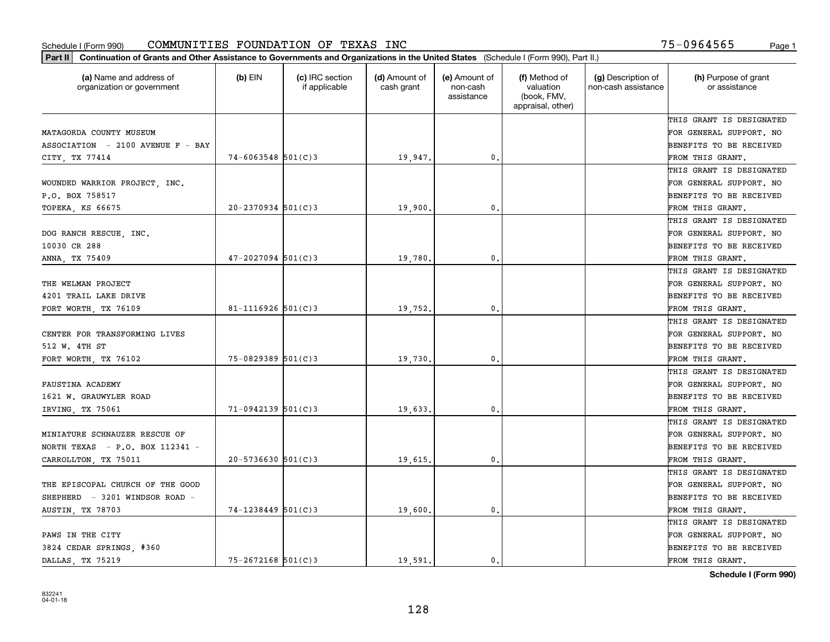| Part II   Continuation of Grants and Other Assistance to Governments and Organizations in the United States (Schedule I (Form 990), Part II.) |                        |                                  |                             |                                         |                                                                |                                           |                                       |
|-----------------------------------------------------------------------------------------------------------------------------------------------|------------------------|----------------------------------|-----------------------------|-----------------------------------------|----------------------------------------------------------------|-------------------------------------------|---------------------------------------|
| (a) Name and address of<br>organization or government                                                                                         | $(b)$ EIN              | (c) IRC section<br>if applicable | (d) Amount of<br>cash grant | (e) Amount of<br>non-cash<br>assistance | (f) Method of<br>valuation<br>(book, FMV,<br>appraisal, other) | (g) Description of<br>non-cash assistance | (h) Purpose of grant<br>or assistance |
|                                                                                                                                               |                        |                                  |                             |                                         |                                                                |                                           | THIS GRANT IS DESIGNATED              |
| MATAGORDA COUNTY MUSEUM                                                                                                                       |                        |                                  |                             |                                         |                                                                |                                           | FOR GENERAL SUPPORT. NO               |
| ASSOCIATION - 2100 AVENUE F - BAY                                                                                                             |                        |                                  |                             |                                         |                                                                |                                           | BENEFITS TO BE RECEIVED               |
| CITY, TX 77414                                                                                                                                | $74 - 6063548$ 501(C)3 |                                  | 19,947.                     | 0.                                      |                                                                |                                           | FROM THIS GRANT.                      |
|                                                                                                                                               |                        |                                  |                             |                                         |                                                                |                                           | THIS GRANT IS DESIGNATED              |
| WOUNDED WARRIOR PROJECT, INC.                                                                                                                 |                        |                                  |                             |                                         |                                                                |                                           | FOR GENERAL SUPPORT. NO               |
| P.O. BOX 758517                                                                                                                               |                        |                                  |                             |                                         |                                                                |                                           | BENEFITS TO BE RECEIVED               |
| TOPEKA, KS 66675                                                                                                                              | $20 - 2370934$ 501(C)3 |                                  | 19,900                      | 0.                                      |                                                                |                                           | FROM THIS GRANT.                      |
|                                                                                                                                               |                        |                                  |                             |                                         |                                                                |                                           | THIS GRANT IS DESIGNATED              |
| DOG RANCH RESCUE, INC.                                                                                                                        |                        |                                  |                             |                                         |                                                                |                                           | FOR GENERAL SUPPORT. NO               |
| 10030 CR 288                                                                                                                                  |                        |                                  |                             |                                         |                                                                |                                           | BENEFITS TO BE RECEIVED               |
| ANNA, TX 75409                                                                                                                                | $47 - 2027094$ 501(C)3 |                                  | 19,780.                     | $\mathfrak{o}$ .                        |                                                                |                                           | FROM THIS GRANT.                      |
|                                                                                                                                               |                        |                                  |                             |                                         |                                                                |                                           | THIS GRANT IS DESIGNATED              |
| THE WELMAN PROJECT                                                                                                                            |                        |                                  |                             |                                         |                                                                |                                           | FOR GENERAL SUPPORT. NO               |
| 4201 TRAIL LAKE DRIVE                                                                                                                         |                        |                                  |                             |                                         |                                                                |                                           | <b>BENEFITS TO BE RECEIVED</b>        |
| FORT WORTH, TX 76109                                                                                                                          | 81-1116926 $501(C)3$   |                                  | 19,752.                     | $\mathbf{0}$ .                          |                                                                |                                           | FROM THIS GRANT.                      |
|                                                                                                                                               |                        |                                  |                             |                                         |                                                                |                                           | THIS GRANT IS DESIGNATED              |
| CENTER FOR TRANSFORMING LIVES                                                                                                                 |                        |                                  |                             |                                         |                                                                |                                           | FOR GENERAL SUPPORT. NO               |
| 512 W. 4TH ST                                                                                                                                 |                        |                                  |                             |                                         |                                                                |                                           | BENEFITS TO BE RECEIVED               |
| FORT WORTH, TX 76102                                                                                                                          | $75 - 0829389$ 501(C)3 |                                  | 19,730.                     | 0.                                      |                                                                |                                           | FROM THIS GRANT.                      |
|                                                                                                                                               |                        |                                  |                             |                                         |                                                                |                                           | THIS GRANT IS DESIGNATED              |
| FAUSTINA ACADEMY                                                                                                                              |                        |                                  |                             |                                         |                                                                |                                           | FOR GENERAL SUPPORT. NO               |
| 1621 W. GRAUWYLER ROAD                                                                                                                        |                        |                                  |                             |                                         |                                                                |                                           | BENEFITS TO BE RECEIVED               |
| IRVING, TX 75061                                                                                                                              | $71-0942139$ 501(C)3   |                                  | 19,633.                     | $\mathfrak{o}$ .                        |                                                                |                                           | FROM THIS GRANT.                      |
|                                                                                                                                               |                        |                                  |                             |                                         |                                                                |                                           | THIS GRANT IS DESIGNATED              |
| MINIATURE SCHNAUZER RESCUE OF                                                                                                                 |                        |                                  |                             |                                         |                                                                |                                           | FOR GENERAL SUPPORT. NO               |
| NORTH TEXAS - $P.O.$ BOX 112341 -                                                                                                             |                        |                                  |                             |                                         |                                                                |                                           | BENEFITS TO BE RECEIVED               |
| CARROLLTON, TX 75011                                                                                                                          | $20 - 5736630$ 501(C)3 |                                  | 19,615.                     | $\mathfrak{o}$ .                        |                                                                |                                           | FROM THIS GRANT.                      |
|                                                                                                                                               |                        |                                  |                             |                                         |                                                                |                                           | THIS GRANT IS DESIGNATED              |
| THE EPISCOPAL CHURCH OF THE GOOD                                                                                                              |                        |                                  |                             |                                         |                                                                |                                           | FOR GENERAL SUPPORT. NO               |
| SHEPHERD - 3201 WINDSOR ROAD -                                                                                                                |                        |                                  |                             |                                         |                                                                |                                           | BENEFITS TO BE RECEIVED               |
| AUSTIN, TX 78703                                                                                                                              | $74 - 1238449$ 501(C)3 |                                  | 19,600.                     | 0.                                      |                                                                |                                           | FROM THIS GRANT.                      |
|                                                                                                                                               |                        |                                  |                             |                                         |                                                                |                                           | THIS GRANT IS DESIGNATED              |
| PAWS IN THE CITY                                                                                                                              |                        |                                  |                             |                                         |                                                                |                                           | FOR GENERAL SUPPORT. NO               |
| 3824 CEDAR SPRINGS, #360                                                                                                                      |                        |                                  |                             |                                         |                                                                |                                           | <b>BENEFITS TO BE RECEIVED</b>        |
| DALLAS, TX 75219                                                                                                                              | $75 - 2672168$ 501(C)3 |                                  | 19.591.                     | 0.                                      |                                                                |                                           | FROM THIS GRANT.                      |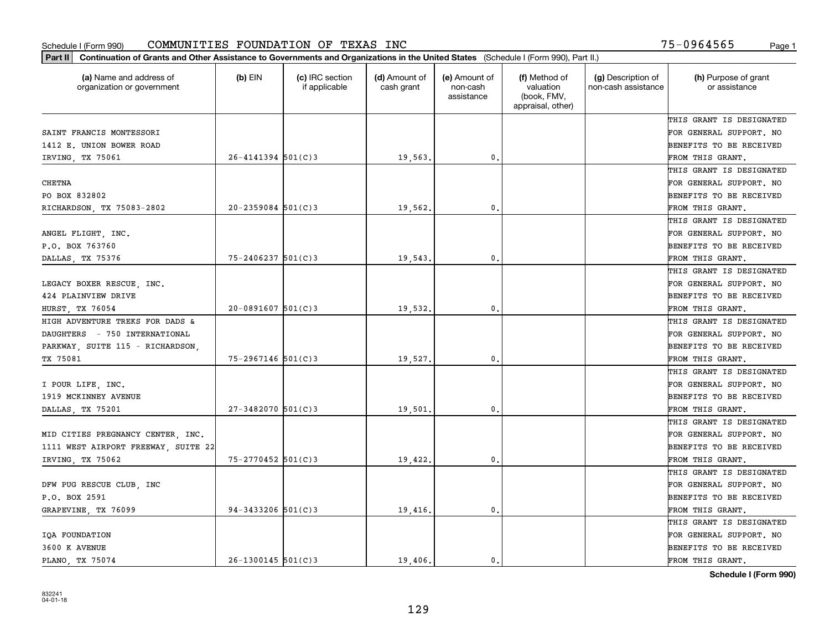| (a) Name and address of<br>organization or government | $(b)$ EIN              | (c) IRC section<br>if applicable | (d) Amount of<br>cash grant | (e) Amount of<br>non-cash<br>assistance | (f) Method of<br>valuation<br>(book, FMV,<br>appraisal, other) | (g) Description of<br>non-cash assistance | (h) Purpose of grant<br>or assistance |
|-------------------------------------------------------|------------------------|----------------------------------|-----------------------------|-----------------------------------------|----------------------------------------------------------------|-------------------------------------------|---------------------------------------|
|                                                       |                        |                                  |                             |                                         |                                                                |                                           | THIS GRANT IS DESIGNATED              |
| SAINT FRANCIS MONTESSORI                              |                        |                                  |                             |                                         |                                                                |                                           | FOR GENERAL SUPPORT. NO               |
| 1412 E. UNION BOWER ROAD                              |                        |                                  |                             |                                         |                                                                |                                           | BENEFITS TO BE RECEIVED               |
| IRVING, TX 75061                                      | $26 - 4141394$ 501(C)3 |                                  | 19,563.                     | 0.                                      |                                                                |                                           | FROM THIS GRANT.                      |
|                                                       |                        |                                  |                             |                                         |                                                                |                                           | THIS GRANT IS DESIGNATED              |
| <b>CHETNA</b>                                         |                        |                                  |                             |                                         |                                                                |                                           | FOR GENERAL SUPPORT. NO               |
| PO BOX 832802                                         |                        |                                  |                             |                                         |                                                                |                                           | BENEFITS TO BE RECEIVED               |
| RICHARDSON, TX 75083-2802                             | $20 - 2359084$ 501(C)3 |                                  | 19,562.                     | 0.                                      |                                                                |                                           | FROM THIS GRANT.                      |
|                                                       |                        |                                  |                             |                                         |                                                                |                                           | THIS GRANT IS DESIGNATED              |
| ANGEL FLIGHT, INC.                                    |                        |                                  |                             |                                         |                                                                |                                           | FOR GENERAL SUPPORT. NO               |
| P.O. BOX 763760                                       |                        |                                  |                             |                                         |                                                                |                                           | BENEFITS TO BE RECEIVED               |
| DALLAS, TX 75376                                      | 75-2406237 501(C)3     |                                  | 19,543                      | 0.                                      |                                                                |                                           | FROM THIS GRANT.                      |
|                                                       |                        |                                  |                             |                                         |                                                                |                                           | THIS GRANT IS DESIGNATED              |
| LEGACY BOXER RESCUE, INC.                             |                        |                                  |                             |                                         |                                                                |                                           | FOR GENERAL SUPPORT. NO               |
| 424 PLAINVIEW DRIVE                                   |                        |                                  |                             |                                         |                                                                |                                           | BENEFITS TO BE RECEIVED               |
| <b>HURST, TX 76054</b>                                | $20 - 0891607$ 501(C)3 |                                  | 19,532.                     | 0.                                      |                                                                |                                           | FROM THIS GRANT.                      |
| HIGH ADVENTURE TREKS FOR DADS &                       |                        |                                  |                             |                                         |                                                                |                                           | THIS GRANT IS DESIGNATED              |
| DAUGHTERS - 750 INTERNATIONAL                         |                        |                                  |                             |                                         |                                                                |                                           | FOR GENERAL SUPPORT. NO               |
| PARKWAY, SUITE 115 - RICHARDSON,                      |                        |                                  |                             |                                         |                                                                |                                           | BENEFITS TO BE RECEIVED               |
| TX 75081                                              | $75 - 2967146$ 501(C)3 |                                  | 19,527                      | 0.                                      |                                                                |                                           | FROM THIS GRANT.                      |
|                                                       |                        |                                  |                             |                                         |                                                                |                                           | THIS GRANT IS DESIGNATED              |
| I POUR LIFE, INC.                                     |                        |                                  |                             |                                         |                                                                |                                           | FOR GENERAL SUPPORT. NO               |
| 1919 MCKINNEY AVENUE                                  |                        |                                  |                             |                                         |                                                                |                                           | BENEFITS TO BE RECEIVED               |
| DALLAS, TX 75201                                      | $27 - 3482070$ 501(C)3 |                                  | 19,501                      | 0.                                      |                                                                |                                           | FROM THIS GRANT.                      |
|                                                       |                        |                                  |                             |                                         |                                                                |                                           | THIS GRANT IS DESIGNATED              |
| MID CITIES PREGNANCY CENTER, INC.                     |                        |                                  |                             |                                         |                                                                |                                           | FOR GENERAL SUPPORT. NO               |
| 1111 WEST AIRPORT FREEWAY, SUITE 22                   |                        |                                  |                             |                                         |                                                                |                                           | BENEFITS TO BE RECEIVED               |
| IRVING, TX 75062                                      | 75-2770452 501(C)3     |                                  | 19,422.                     | $\mathbf{0}$ .                          |                                                                |                                           | FROM THIS GRANT.                      |
|                                                       |                        |                                  |                             |                                         |                                                                |                                           | THIS GRANT IS DESIGNATED              |
| DFW PUG RESCUE CLUB, INC                              |                        |                                  |                             |                                         |                                                                |                                           | FOR GENERAL SUPPORT. NO               |
| P.O. BOX 2591                                         |                        |                                  |                             |                                         |                                                                |                                           | BENEFITS TO BE RECEIVED               |
| GRAPEVINE, TX 76099                                   | $94 - 3433206$ 501(C)3 |                                  | 19,416                      | 0.                                      |                                                                |                                           | FROM THIS GRANT.                      |
|                                                       |                        |                                  |                             |                                         |                                                                |                                           | THIS GRANT IS DESIGNATED              |
| IQA FOUNDATION                                        |                        |                                  |                             |                                         |                                                                |                                           | FOR GENERAL SUPPORT. NO               |
| 3600 K AVENUE                                         |                        |                                  |                             |                                         |                                                                |                                           | BENEFITS TO BE RECEIVED               |
| PLANO, TX 75074                                       | $26 - 1300145$ 501(C)3 |                                  | 19,406.                     | 0.                                      |                                                                |                                           | FROM THIS GRANT.                      |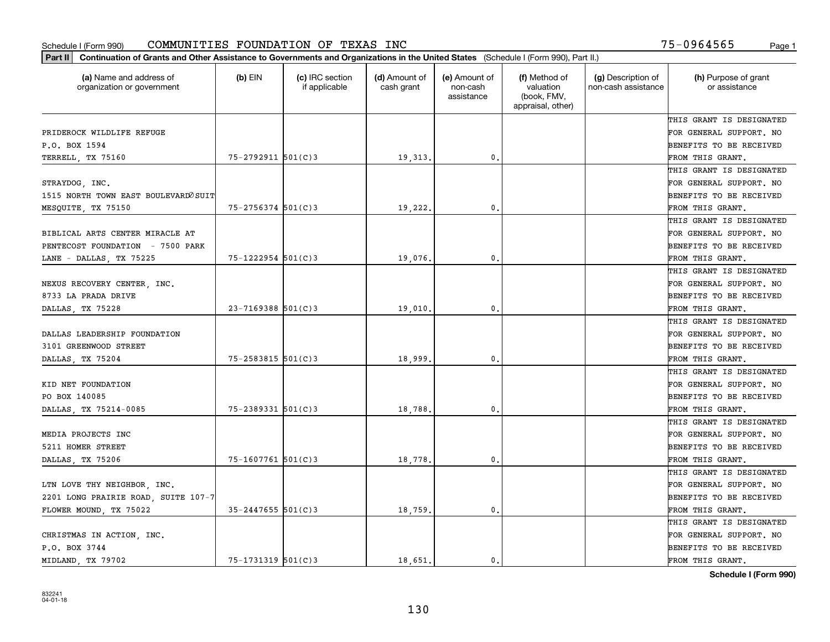| (a) Name and address of<br>organization or government | $(b)$ EIN               | (c) IRC section<br>if applicable | (d) Amount of<br>cash grant | (e) Amount of<br>non-cash<br>assistance | (f) Method of<br>valuation<br>(book, FMV,<br>appraisal, other) | (g) Description of<br>non-cash assistance | (h) Purpose of grant<br>or assistance |
|-------------------------------------------------------|-------------------------|----------------------------------|-----------------------------|-----------------------------------------|----------------------------------------------------------------|-------------------------------------------|---------------------------------------|
|                                                       |                         |                                  |                             |                                         |                                                                |                                           | THIS GRANT IS DESIGNATED              |
| PRIDEROCK WILDLIFE REFUGE                             |                         |                                  |                             |                                         |                                                                |                                           | FOR GENERAL SUPPORT. NO               |
| P.O. BOX 1594                                         |                         |                                  |                             |                                         |                                                                |                                           | BENEFITS TO BE RECEIVED               |
| TERRELL, TX 75160                                     | 75-2792911 501(C)3      |                                  | 19,313.                     | $\mathfrak{o}$ .                        |                                                                |                                           | FROM THIS GRANT.                      |
|                                                       |                         |                                  |                             |                                         |                                                                |                                           | THIS GRANT IS DESIGNATED              |
| STRAYDOG, INC.                                        |                         |                                  |                             |                                         |                                                                |                                           | FOR GENERAL SUPPORT. NO               |
| 1515 NORTH TOWN EAST BOULEVARD OSUIT                  |                         |                                  |                             |                                         |                                                                |                                           | BENEFITS TO BE RECEIVED               |
| MESQUITE, TX 75150                                    | $75 - 2756374$ 501(C)3  |                                  | 19,222.                     | $\mathbf{0}$                            |                                                                |                                           | FROM THIS GRANT.                      |
|                                                       |                         |                                  |                             |                                         |                                                                |                                           | THIS GRANT IS DESIGNATED              |
| BIBLICAL ARTS CENTER MIRACLE AT                       |                         |                                  |                             |                                         |                                                                |                                           | FOR GENERAL SUPPORT. NO               |
| PENTECOST FOUNDATION - 7500 PARK                      |                         |                                  |                             |                                         |                                                                |                                           | BENEFITS TO BE RECEIVED               |
| LANE - DALLAS, TX 75225                               | 75-1222954 501(C)3      |                                  | 19,076.                     | 0.                                      |                                                                |                                           | FROM THIS GRANT.                      |
|                                                       |                         |                                  |                             |                                         |                                                                |                                           | THIS GRANT IS DESIGNATED              |
| NEXUS RECOVERY CENTER, INC.                           |                         |                                  |                             |                                         |                                                                |                                           | FOR GENERAL SUPPORT. NO               |
| 8733 LA PRADA DRIVE                                   |                         |                                  |                             |                                         |                                                                |                                           | BENEFITS TO BE RECEIVED               |
| DALLAS, TX 75228                                      | $23 - 7169388$ 501(C)3  |                                  | 19,010                      | $\mathbf{0}$                            |                                                                |                                           | FROM THIS GRANT.                      |
|                                                       |                         |                                  |                             |                                         |                                                                |                                           | THIS GRANT IS DESIGNATED              |
| DALLAS LEADERSHIP FOUNDATION                          |                         |                                  |                             |                                         |                                                                |                                           | FOR GENERAL SUPPORT. NO               |
| 3101 GREENWOOD STREET                                 |                         |                                  |                             |                                         |                                                                |                                           | BENEFITS TO BE RECEIVED               |
| DALLAS, TX 75204                                      | 75-2583815 501(C)3      |                                  | 18,999                      | $\mathbf{0}$                            |                                                                |                                           | FROM THIS GRANT.                      |
|                                                       |                         |                                  |                             |                                         |                                                                |                                           | THIS GRANT IS DESIGNATED              |
| KID NET FOUNDATION                                    |                         |                                  |                             |                                         |                                                                |                                           | FOR GENERAL SUPPORT. NO               |
| PO BOX 140085                                         |                         |                                  |                             |                                         |                                                                |                                           | BENEFITS TO BE RECEIVED               |
| DALLAS, TX 75214-0085                                 | 75-2389331 501(C)3      |                                  | 18,788                      | $\mathbf{0}$                            |                                                                |                                           | FROM THIS GRANT.                      |
|                                                       |                         |                                  |                             |                                         |                                                                |                                           | THIS GRANT IS DESIGNATED              |
| MEDIA PROJECTS INC                                    |                         |                                  |                             |                                         |                                                                |                                           | FOR GENERAL SUPPORT. NO               |
| 5211 HOMER STREET                                     |                         |                                  |                             |                                         |                                                                |                                           | BENEFITS TO BE RECEIVED               |
| DALLAS, TX 75206                                      | 75-1607761 501(C)3      |                                  | 18,778                      | $\mathbf{0}$ .                          |                                                                |                                           | FROM THIS GRANT.                      |
|                                                       |                         |                                  |                             |                                         |                                                                |                                           | THIS GRANT IS DESIGNATED              |
| LTN LOVE THY NEIGHBOR, INC.                           |                         |                                  |                             |                                         |                                                                |                                           | FOR GENERAL SUPPORT. NO               |
| 2201 LONG PRAIRIE ROAD, SUITE 107-7                   |                         |                                  |                             |                                         |                                                                |                                           | BENEFITS TO BE RECEIVED               |
| FLOWER MOUND, TX 75022                                | $35 - 2447655$ 501(C) 3 |                                  | 18,759.                     | 0.                                      |                                                                |                                           | FROM THIS GRANT.                      |
|                                                       |                         |                                  |                             |                                         |                                                                |                                           | THIS GRANT IS DESIGNATED              |
| CHRISTMAS IN ACTION, INC.                             |                         |                                  |                             |                                         |                                                                |                                           | FOR GENERAL SUPPORT. NO               |
| P.O. BOX 3744                                         |                         |                                  |                             |                                         |                                                                |                                           | BENEFITS TO BE RECEIVED               |
| MIDLAND, TX 79702                                     | $75 - 1731319$ 501(C)3  |                                  | 18,651.                     | 0.                                      |                                                                |                                           | FROM THIS GRANT.                      |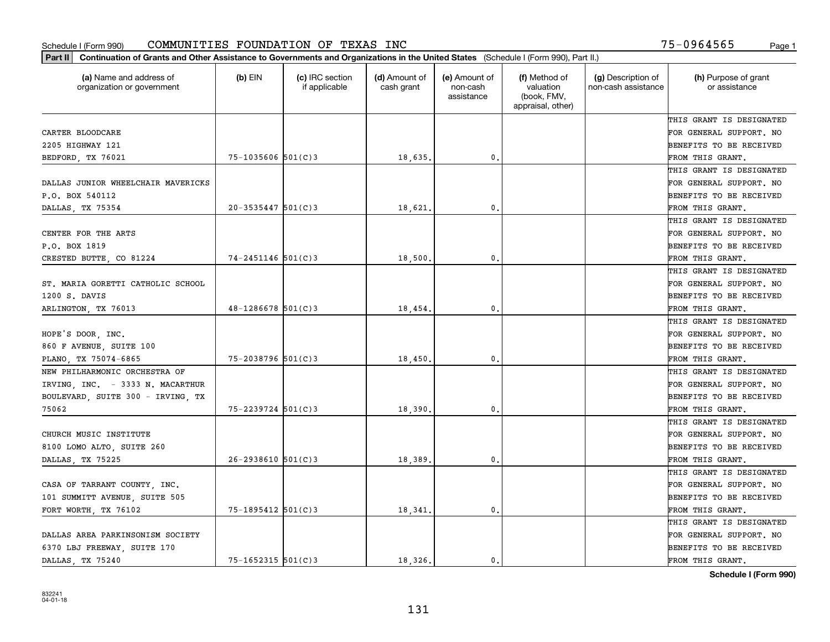| Part II   Continuation of Grants and Other Assistance to Governments and Organizations in the United States (Schedule I (Form 990), Part II.) |                          |                                  |                             |                                         |                                                                |                                           |                                       |
|-----------------------------------------------------------------------------------------------------------------------------------------------|--------------------------|----------------------------------|-----------------------------|-----------------------------------------|----------------------------------------------------------------|-------------------------------------------|---------------------------------------|
| (a) Name and address of<br>organization or government                                                                                         | $(b)$ EIN                | (c) IRC section<br>if applicable | (d) Amount of<br>cash grant | (e) Amount of<br>non-cash<br>assistance | (f) Method of<br>valuation<br>(book, FMV,<br>appraisal, other) | (g) Description of<br>non-cash assistance | (h) Purpose of grant<br>or assistance |
|                                                                                                                                               |                          |                                  |                             |                                         |                                                                |                                           | THIS GRANT IS DESIGNATED              |
| CARTER BLOODCARE                                                                                                                              |                          |                                  |                             |                                         |                                                                |                                           | FOR GENERAL SUPPORT. NO               |
| 2205 HIGHWAY 121                                                                                                                              |                          |                                  |                             |                                         |                                                                |                                           | BENEFITS TO BE RECEIVED               |
| BEDFORD, TX 76021                                                                                                                             | $75 - 1035606$ $501(C)3$ |                                  | 18,635.                     | 0.                                      |                                                                |                                           | FROM THIS GRANT.                      |
|                                                                                                                                               |                          |                                  |                             |                                         |                                                                |                                           | THIS GRANT IS DESIGNATED              |
| DALLAS JUNIOR WHEELCHAIR MAVERICKS                                                                                                            |                          |                                  |                             |                                         |                                                                |                                           | FOR GENERAL SUPPORT. NO               |
| P.O. BOX 540112                                                                                                                               |                          |                                  |                             |                                         |                                                                |                                           | BENEFITS TO BE RECEIVED               |
| DALLAS, TX 75354                                                                                                                              | $20 - 3535447$ 501(C)3   |                                  | 18,621                      | 0.                                      |                                                                |                                           | FROM THIS GRANT.                      |
|                                                                                                                                               |                          |                                  |                             |                                         |                                                                |                                           | THIS GRANT IS DESIGNATED              |
| CENTER FOR THE ARTS                                                                                                                           |                          |                                  |                             |                                         |                                                                |                                           | FOR GENERAL SUPPORT. NO               |
| P.O. BOX 1819                                                                                                                                 |                          |                                  |                             |                                         |                                                                |                                           | BENEFITS TO BE RECEIVED               |
| CRESTED BUTTE, CO 81224                                                                                                                       | $74 - 2451146$ 501(C)3   |                                  | 18,500,                     | $\mathbf{0}$ .                          |                                                                |                                           | FROM THIS GRANT.                      |
|                                                                                                                                               |                          |                                  |                             |                                         |                                                                |                                           | THIS GRANT IS DESIGNATED              |
| ST. MARIA GORETTI CATHOLIC SCHOOL                                                                                                             |                          |                                  |                             |                                         |                                                                |                                           | FOR GENERAL SUPPORT. NO               |
| 1200 S. DAVIS                                                                                                                                 |                          |                                  |                             |                                         |                                                                |                                           | <b>BENEFITS TO BE RECEIVED</b>        |
| ARLINGTON, TX 76013                                                                                                                           | 48-1286678 501(C)3       |                                  | 18,454.                     | 0.                                      |                                                                |                                           | FROM THIS GRANT.                      |
|                                                                                                                                               |                          |                                  |                             |                                         |                                                                |                                           | THIS GRANT IS DESIGNATED              |
| HOPE'S DOOR, INC.                                                                                                                             |                          |                                  |                             |                                         |                                                                |                                           | FOR GENERAL SUPPORT. NO               |
| 860 F AVENUE, SUITE 100                                                                                                                       |                          |                                  |                             |                                         |                                                                |                                           | BENEFITS TO BE RECEIVED               |
| PLANO, TX 75074-6865                                                                                                                          | $75 - 2038796$ 501(C)3   |                                  | 18,450                      | 0.                                      |                                                                |                                           | FROM THIS GRANT.                      |
| NEW PHILHARMONIC ORCHESTRA OF                                                                                                                 |                          |                                  |                             |                                         |                                                                |                                           | THIS GRANT IS DESIGNATED              |
| IRVING, INC. - 3333 N. MACARTHUR                                                                                                              |                          |                                  |                             |                                         |                                                                |                                           | FOR GENERAL SUPPORT. NO               |
| BOULEVARD, SUITE 300 - IRVING, TX                                                                                                             |                          |                                  |                             |                                         |                                                                |                                           | BENEFITS TO BE RECEIVED               |
| 75062                                                                                                                                         | 75-2239724 501(C)3       |                                  | 18,390                      | 0.                                      |                                                                |                                           | FROM THIS GRANT.                      |
|                                                                                                                                               |                          |                                  |                             |                                         |                                                                |                                           | THIS GRANT IS DESIGNATED              |
| CHURCH MUSIC INSTITUTE                                                                                                                        |                          |                                  |                             |                                         |                                                                |                                           | FOR GENERAL SUPPORT. NO               |
| 8100 LOMO ALTO, SUITE 260                                                                                                                     |                          |                                  |                             |                                         |                                                                |                                           | BENEFITS TO BE RECEIVED               |
| DALLAS, TX 75225                                                                                                                              | $26 - 2938610$ 501(C)3   |                                  | 18,389                      | 0.                                      |                                                                |                                           | FROM THIS GRANT.                      |
|                                                                                                                                               |                          |                                  |                             |                                         |                                                                |                                           | THIS GRANT IS DESIGNATED              |
| CASA OF TARRANT COUNTY, INC.                                                                                                                  |                          |                                  |                             |                                         |                                                                |                                           | FOR GENERAL SUPPORT. NO               |
| 101 SUMMITT AVENUE, SUITE 505                                                                                                                 |                          |                                  |                             |                                         |                                                                |                                           | BENEFITS TO BE RECEIVED               |
| FORT WORTH, TX 76102                                                                                                                          | 75-1895412 501(C)3       |                                  | 18,341.                     | $\mathbf{0}$ .                          |                                                                |                                           | FROM THIS GRANT.                      |
|                                                                                                                                               |                          |                                  |                             |                                         |                                                                |                                           | THIS GRANT IS DESIGNATED              |
| DALLAS AREA PARKINSONISM SOCIETY                                                                                                              |                          |                                  |                             |                                         |                                                                |                                           | FOR GENERAL SUPPORT. NO               |
| 6370 LBJ FREEWAY, SUITE 170                                                                                                                   |                          |                                  |                             |                                         |                                                                |                                           | BENEFITS TO BE RECEIVED               |
| DALLAS, TX 75240                                                                                                                              | $75 - 1652315$ 501(C)3   |                                  | 18.326.                     | $\mathbf{0}$ .                          |                                                                |                                           | FROM THIS GRANT.                      |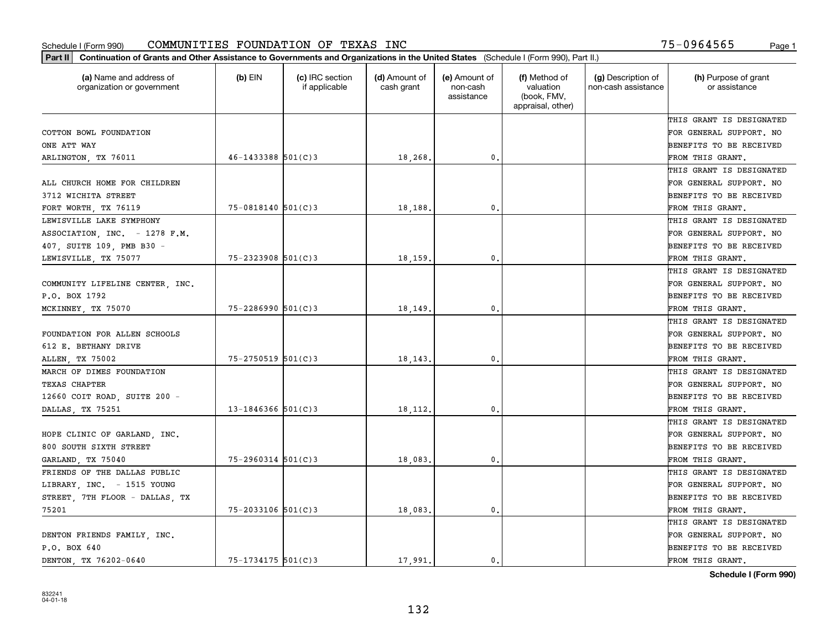| Part II   Continuation of Grants and Other Assistance to Governments and Organizations in the United States (Schedule I (Form 990), Part II.) |                        |                                  |                             |                                         |                                                                |                                           |                                       |
|-----------------------------------------------------------------------------------------------------------------------------------------------|------------------------|----------------------------------|-----------------------------|-----------------------------------------|----------------------------------------------------------------|-------------------------------------------|---------------------------------------|
| (a) Name and address of<br>organization or government                                                                                         | $(b)$ EIN              | (c) IRC section<br>if applicable | (d) Amount of<br>cash grant | (e) Amount of<br>non-cash<br>assistance | (f) Method of<br>valuation<br>(book, FMV,<br>appraisal, other) | (g) Description of<br>non-cash assistance | (h) Purpose of grant<br>or assistance |
|                                                                                                                                               |                        |                                  |                             |                                         |                                                                |                                           | THIS GRANT IS DESIGNATED              |
| COTTON BOWL FOUNDATION                                                                                                                        |                        |                                  |                             |                                         |                                                                |                                           | FOR GENERAL SUPPORT. NO               |
| ONE ATT WAY                                                                                                                                   |                        |                                  |                             |                                         |                                                                |                                           | BENEFITS TO BE RECEIVED               |
| ARLINGTON, TX 76011                                                                                                                           | $46 - 1433388$ 501(C)3 |                                  | 18,268.                     | 0.                                      |                                                                |                                           | FROM THIS GRANT.                      |
|                                                                                                                                               |                        |                                  |                             |                                         |                                                                |                                           | THIS GRANT IS DESIGNATED              |
| ALL CHURCH HOME FOR CHILDREN                                                                                                                  |                        |                                  |                             |                                         |                                                                |                                           | FOR GENERAL SUPPORT. NO               |
| 3712 WICHITA STREET                                                                                                                           |                        |                                  |                             |                                         |                                                                |                                           | BENEFITS TO BE RECEIVED               |
| FORT WORTH, TX 76119                                                                                                                          | $75 - 0818140$ 501(C)3 |                                  | 18,188                      | $\mathbf{0}$                            |                                                                |                                           | FROM THIS GRANT.                      |
| LEWISVILLE LAKE SYMPHONY                                                                                                                      |                        |                                  |                             |                                         |                                                                |                                           | THIS GRANT IS DESIGNATED              |
| ASSOCIATION, INC. - 1278 F.M.                                                                                                                 |                        |                                  |                             |                                         |                                                                |                                           | FOR GENERAL SUPPORT. NO               |
| 407, SUITE 109, PMB B30 -                                                                                                                     |                        |                                  |                             |                                         |                                                                |                                           | BENEFITS TO BE RECEIVED               |
| LEWISVILLE, TX 75077                                                                                                                          | $75 - 2323908$ 501(C)3 |                                  | 18,159                      | $\mathfrak{o}$ .                        |                                                                |                                           | FROM THIS GRANT.                      |
|                                                                                                                                               |                        |                                  |                             |                                         |                                                                |                                           | THIS GRANT IS DESIGNATED              |
| COMMUNITY LIFELINE CENTER, INC.                                                                                                               |                        |                                  |                             |                                         |                                                                |                                           | FOR GENERAL SUPPORT. NO               |
| P.O. BOX 1792                                                                                                                                 |                        |                                  |                             |                                         |                                                                |                                           | <b>BENEFITS TO BE RECEIVED</b>        |
| MCKINNEY, TX 75070                                                                                                                            | $75 - 2286990$ 501(C)3 |                                  | 18,149.                     | $\mathbf{0}$ .                          |                                                                |                                           | FROM THIS GRANT.                      |
|                                                                                                                                               |                        |                                  |                             |                                         |                                                                |                                           | THIS GRANT IS DESIGNATED              |
| FOUNDATION FOR ALLEN SCHOOLS                                                                                                                  |                        |                                  |                             |                                         |                                                                |                                           | FOR GENERAL SUPPORT. NO               |
| 612 E. BETHANY DRIVE                                                                                                                          |                        |                                  |                             |                                         |                                                                |                                           | BENEFITS TO BE RECEIVED               |
| ALLEN, TX 75002                                                                                                                               | $75 - 2750519$ 501(C)3 |                                  | 18, 143                     | $\mathbf{0}$                            |                                                                |                                           | FROM THIS GRANT.                      |
| MARCH OF DIMES FOUNDATION                                                                                                                     |                        |                                  |                             |                                         |                                                                |                                           | THIS GRANT IS DESIGNATED              |
| <b>TEXAS CHAPTER</b>                                                                                                                          |                        |                                  |                             |                                         |                                                                |                                           | FOR GENERAL SUPPORT. NO               |
| 12660 COIT ROAD, SUITE 200 -                                                                                                                  |                        |                                  |                             |                                         |                                                                |                                           | BENEFITS TO BE RECEIVED               |
| DALLAS, TX 75251                                                                                                                              | $13 - 1846366$ 501(C)3 |                                  | 18, 112.                    | 0.                                      |                                                                |                                           | FROM THIS GRANT.                      |
|                                                                                                                                               |                        |                                  |                             |                                         |                                                                |                                           | THIS GRANT IS DESIGNATED              |
| HOPE CLINIC OF GARLAND, INC.                                                                                                                  |                        |                                  |                             |                                         |                                                                |                                           | FOR GENERAL SUPPORT. NO               |
| 800 SOUTH SIXTH STREET                                                                                                                        |                        |                                  |                             |                                         |                                                                |                                           | BENEFITS TO BE RECEIVED               |
| GARLAND, TX 75040                                                                                                                             | $75 - 2960314$ 501(C)3 |                                  | 18,083                      | 0.                                      |                                                                |                                           | FROM THIS GRANT.                      |
| FRIENDS OF THE DALLAS PUBLIC                                                                                                                  |                        |                                  |                             |                                         |                                                                |                                           | THIS GRANT IS DESIGNATED              |
| LIBRARY, INC. - 1515 YOUNG                                                                                                                    |                        |                                  |                             |                                         |                                                                |                                           | FOR GENERAL SUPPORT. NO               |
| STREET, 7TH FLOOR - DALLAS, TX                                                                                                                |                        |                                  |                             |                                         |                                                                |                                           | BENEFITS TO BE RECEIVED               |
| 75201                                                                                                                                         | 75-2033106 501(C)3     |                                  | 18,083.                     | $\mathbf{0}$ .                          |                                                                |                                           | FROM THIS GRANT.                      |
|                                                                                                                                               |                        |                                  |                             |                                         |                                                                |                                           | THIS GRANT IS DESIGNATED              |
| DENTON FRIENDS FAMILY, INC.                                                                                                                   |                        |                                  |                             |                                         |                                                                |                                           | FOR GENERAL SUPPORT. NO               |
| P.O. BOX 640                                                                                                                                  |                        |                                  |                             |                                         |                                                                |                                           | <b>BENEFITS TO BE RECEIVED</b>        |
| DENTON TX 76202-0640                                                                                                                          | $75 - 1734175$ 501(C)3 |                                  | 17.991.                     | $\mathbf{0}$ .                          |                                                                |                                           | FROM THIS GRANT.                      |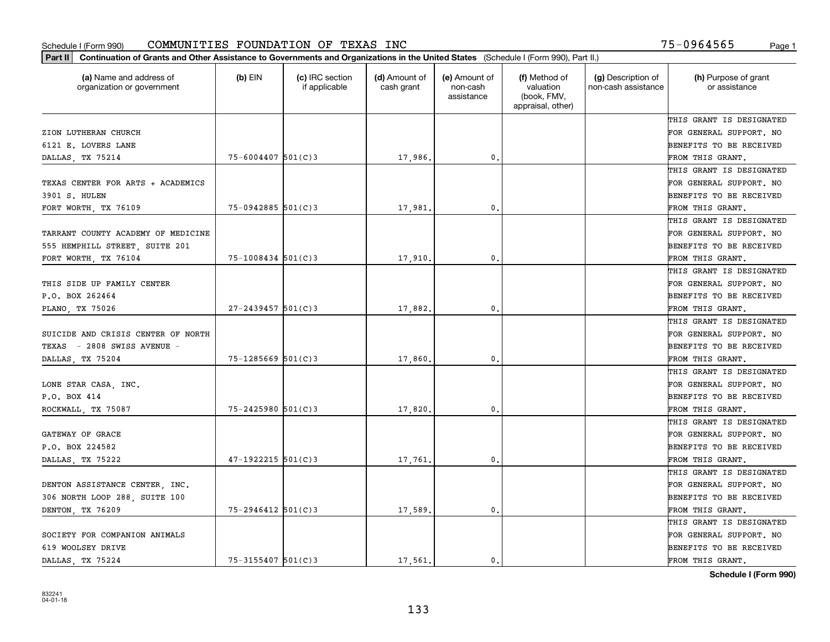| Part II   Continuation of Grants and Other Assistance to Governments and Organizations in the United States (Schedule I (Form 990), Part II.) |                         |                                  |                             |                                         |                                                                |                                           |                                       |
|-----------------------------------------------------------------------------------------------------------------------------------------------|-------------------------|----------------------------------|-----------------------------|-----------------------------------------|----------------------------------------------------------------|-------------------------------------------|---------------------------------------|
| (a) Name and address of<br>organization or government                                                                                         | (b) $EIN$               | (c) IRC section<br>if applicable | (d) Amount of<br>cash grant | (e) Amount of<br>non-cash<br>assistance | (f) Method of<br>valuation<br>(book, FMV,<br>appraisal, other) | (g) Description of<br>non-cash assistance | (h) Purpose of grant<br>or assistance |
|                                                                                                                                               |                         |                                  |                             |                                         |                                                                |                                           | THIS GRANT IS DESIGNATED              |
| ZION LUTHERAN CHURCH                                                                                                                          |                         |                                  |                             |                                         |                                                                |                                           | FOR GENERAL SUPPORT. NO               |
| 6121 E. LOVERS LANE                                                                                                                           |                         |                                  |                             |                                         |                                                                |                                           | BENEFITS TO BE RECEIVED               |
| DALLAS, TX 75214                                                                                                                              | $75 - 6004407$ 501(C)3  |                                  | 17,986.                     | 0.                                      |                                                                |                                           | FROM THIS GRANT.                      |
|                                                                                                                                               |                         |                                  |                             |                                         |                                                                |                                           | THIS GRANT IS DESIGNATED              |
| TEXAS CENTER FOR ARTS + ACADEMICS                                                                                                             |                         |                                  |                             |                                         |                                                                |                                           | FOR GENERAL SUPPORT. NO               |
| 3901 S. HULEN                                                                                                                                 |                         |                                  |                             |                                         |                                                                |                                           | BENEFITS TO BE RECEIVED               |
| FORT WORTH, TX 76109                                                                                                                          | $75 - 0942885$ 501(C)3  |                                  | 17,981.                     | 0.                                      |                                                                |                                           | FROM THIS GRANT.                      |
|                                                                                                                                               |                         |                                  |                             |                                         |                                                                |                                           | THIS GRANT IS DESIGNATED              |
| TARRANT COUNTY ACADEMY OF MEDICINE                                                                                                            |                         |                                  |                             |                                         |                                                                |                                           | FOR GENERAL SUPPORT. NO               |
| 555 HEMPHILL STREET, SUITE 201                                                                                                                |                         |                                  |                             |                                         |                                                                |                                           | BENEFITS TO BE RECEIVED               |
| FORT WORTH, TX 76104                                                                                                                          | $75 - 1008434$ 501(C)3  |                                  | 17,910.                     | 0.                                      |                                                                |                                           | FROM THIS GRANT.                      |
|                                                                                                                                               |                         |                                  |                             |                                         |                                                                |                                           | THIS GRANT IS DESIGNATED              |
| THIS SIDE UP FAMILY CENTER                                                                                                                    |                         |                                  |                             |                                         |                                                                |                                           | FOR GENERAL SUPPORT. NO               |
| P.O. BOX 262464                                                                                                                               |                         |                                  |                             |                                         |                                                                |                                           | <b>BENEFITS TO BE RECEIVED</b>        |
| PLANO, TX 75026                                                                                                                               | $27 - 2439457$ 501(C)3  |                                  | 17,882.                     | 0.                                      |                                                                |                                           | FROM THIS GRANT.                      |
|                                                                                                                                               |                         |                                  |                             |                                         |                                                                |                                           | THIS GRANT IS DESIGNATED              |
| SUICIDE AND CRISIS CENTER OF NORTH                                                                                                            |                         |                                  |                             |                                         |                                                                |                                           | FOR GENERAL SUPPORT. NO               |
| $-$ 2808 SWISS AVENUE $-$<br>TEXAS                                                                                                            |                         |                                  |                             |                                         |                                                                |                                           | BENEFITS TO BE RECEIVED               |
| DALLAS, TX 75204                                                                                                                              | $75 - 1285669$ 501(C)3  |                                  | 17,860,                     | 0.                                      |                                                                |                                           | FROM THIS GRANT.                      |
|                                                                                                                                               |                         |                                  |                             |                                         |                                                                |                                           | THIS GRANT IS DESIGNATED              |
| LONE STAR CASA, INC.                                                                                                                          |                         |                                  |                             |                                         |                                                                |                                           | FOR GENERAL SUPPORT. NO               |
| P.O. BOX 414                                                                                                                                  |                         |                                  |                             |                                         |                                                                |                                           | BENEFITS TO BE RECEIVED               |
| ROCKWALL, TX 75087                                                                                                                            | $75 - 2425980$ 501(C)3  |                                  | 17,820                      | 0.                                      |                                                                |                                           | FROM THIS GRANT.                      |
|                                                                                                                                               |                         |                                  |                             |                                         |                                                                |                                           | THIS GRANT IS DESIGNATED              |
| GATEWAY OF GRACE                                                                                                                              |                         |                                  |                             |                                         |                                                                |                                           | FOR GENERAL SUPPORT. NO               |
| P.O. BOX 224582                                                                                                                               |                         |                                  |                             |                                         |                                                                |                                           | <b>BENEFITS TO BE RECEIVED</b>        |
| DALLAS, TX 75222                                                                                                                              | $47-1922215$ 501(C)3    |                                  | 17,761.                     | 0.                                      |                                                                |                                           | FROM THIS GRANT.                      |
|                                                                                                                                               |                         |                                  |                             |                                         |                                                                |                                           | THIS GRANT IS DESIGNATED              |
| DENTON ASSISTANCE CENTER, INC.                                                                                                                |                         |                                  |                             |                                         |                                                                |                                           | FOR GENERAL SUPPORT. NO               |
| 306 NORTH LOOP 288, SUITE 100                                                                                                                 |                         |                                  |                             |                                         |                                                                |                                           | BENEFITS TO BE RECEIVED               |
| DENTON TX 76209                                                                                                                               | $75 - 2946412$ 501(C)3  |                                  | 17,589                      | 0.                                      |                                                                |                                           | FROM THIS GRANT.                      |
|                                                                                                                                               |                         |                                  |                             |                                         |                                                                |                                           | THIS GRANT IS DESIGNATED              |
| SOCIETY FOR COMPANION ANIMALS                                                                                                                 |                         |                                  |                             |                                         |                                                                |                                           | FOR GENERAL SUPPORT. NO               |
| 619 WOOLSEY DRIVE                                                                                                                             |                         |                                  |                             |                                         |                                                                |                                           | <b>BENEFITS TO BE RECEIVED</b>        |
| DALLAS TX 75224                                                                                                                               | $75 - 3155407$ 501(C) 3 |                                  | 17,561.                     | 0.                                      |                                                                |                                           | FROM THIS GRANT.                      |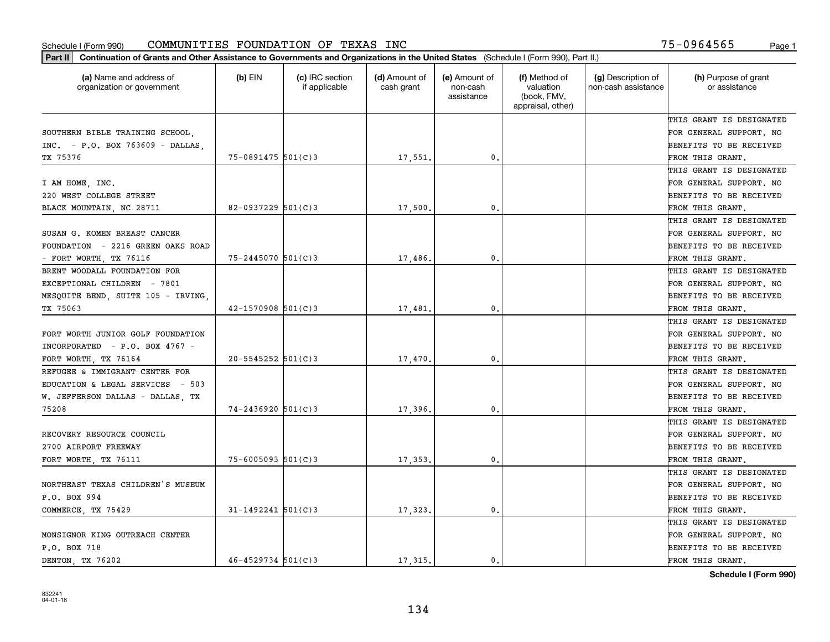| (a) Name and address of<br>organization or government | $(b)$ EIN                | (c) IRC section<br>if applicable | (d) Amount of<br>cash grant | (e) Amount of<br>non-cash<br>assistance | (f) Method of<br>valuation<br>(book, FMV,<br>appraisal, other) | (g) Description of<br>non-cash assistance | (h) Purpose of grant<br>or assistance |
|-------------------------------------------------------|--------------------------|----------------------------------|-----------------------------|-----------------------------------------|----------------------------------------------------------------|-------------------------------------------|---------------------------------------|
|                                                       |                          |                                  |                             |                                         |                                                                |                                           | THIS GRANT IS DESIGNATED              |
| SOUTHERN BIBLE TRAINING SCHOOL,                       |                          |                                  |                             |                                         |                                                                |                                           | FOR GENERAL SUPPORT. NO               |
| $INC. - P.O. BOX 763609 - DALLAS.$                    |                          |                                  |                             |                                         |                                                                |                                           | <b>BENEFITS TO BE RECEIVED</b>        |
| TX 75376                                              | $75 - 0891475$ 501(C)3   |                                  | 17,551.                     | 0.                                      |                                                                |                                           | FROM THIS GRANT.                      |
|                                                       |                          |                                  |                             |                                         |                                                                |                                           | THIS GRANT IS DESIGNATED              |
| I AM HOME, INC.                                       |                          |                                  |                             |                                         |                                                                |                                           | FOR GENERAL SUPPORT. NO               |
| 220 WEST COLLEGE STREET                               |                          |                                  |                             |                                         |                                                                |                                           | BENEFITS TO BE RECEIVED               |
| BLACK MOUNTAIN, NC 28711                              | $82 - 0937229$ 501(C)3   |                                  | 17,500                      | 0.                                      |                                                                |                                           | FROM THIS GRANT.                      |
|                                                       |                          |                                  |                             |                                         |                                                                |                                           | THIS GRANT IS DESIGNATED              |
| SUSAN G. KOMEN BREAST CANCER                          |                          |                                  |                             |                                         |                                                                |                                           | FOR GENERAL SUPPORT. NO               |
| FOUNDATION - 2216 GREEN OAKS ROAD                     |                          |                                  |                             |                                         |                                                                |                                           | BENEFITS TO BE RECEIVED               |
| - FORT WORTH, TX 76116                                | $75 - 2445070$ 501(C)3   |                                  | 17,486.                     | $\mathfrak{o}$ .                        |                                                                |                                           | FROM THIS GRANT.                      |
| BRENT WOODALL FOUNDATION FOR                          |                          |                                  |                             |                                         |                                                                |                                           | THIS GRANT IS DESIGNATED              |
| EXCEPTIONAL CHILDREN - 7801                           |                          |                                  |                             |                                         |                                                                |                                           | FOR GENERAL SUPPORT. NO               |
| MESQUITE BEND, SUITE 105 - IRVING,                    |                          |                                  |                             |                                         |                                                                |                                           | <b>BENEFITS TO BE RECEIVED</b>        |
| TX 75063                                              | $42 - 1570908$ $501(C)3$ |                                  | 17,481.                     | 0.                                      |                                                                |                                           | FROM THIS GRANT.                      |
|                                                       |                          |                                  |                             |                                         |                                                                |                                           | THIS GRANT IS DESIGNATED              |
| FORT WORTH JUNIOR GOLF FOUNDATION                     |                          |                                  |                             |                                         |                                                                |                                           | FOR GENERAL SUPPORT. NO               |
| INCORPORATED - P.O. BOX 4767 -                        |                          |                                  |                             |                                         |                                                                |                                           | BENEFITS TO BE RECEIVED               |
| FORT WORTH, TX 76164                                  | $20 - 5545252$ 501(C)3   |                                  | 17,470                      | 0.                                      |                                                                |                                           | FROM THIS GRANT.                      |
| REFUGEE & IMMIGRANT CENTER FOR                        |                          |                                  |                             |                                         |                                                                |                                           | THIS GRANT IS DESIGNATED              |
| EDUCATION & LEGAL SERVICES - 503                      |                          |                                  |                             |                                         |                                                                |                                           | FOR GENERAL SUPPORT. NO               |
| W. JEFFERSON DALLAS - DALLAS, TX                      |                          |                                  |                             |                                         |                                                                |                                           | <b>BENEFITS TO BE RECEIVED</b>        |
| 75208                                                 | $74 - 2436920$ 501(C)3   |                                  | 17,396.                     | 0.                                      |                                                                |                                           | FROM THIS GRANT.                      |
|                                                       |                          |                                  |                             |                                         |                                                                |                                           | THIS GRANT IS DESIGNATED              |
| RECOVERY RESOURCE COUNCIL                             |                          |                                  |                             |                                         |                                                                |                                           | FOR GENERAL SUPPORT. NO               |
| 2700 AIRPORT FREEWAY                                  |                          |                                  |                             |                                         |                                                                |                                           | <b>BENEFITS TO BE RECEIVED</b>        |
| FORT WORTH, TX 76111                                  | $75 - 6005093$ 501(C)3   |                                  | 17,353.                     | $\mathfrak{o}$ .                        |                                                                |                                           | FROM THIS GRANT.                      |
|                                                       |                          |                                  |                             |                                         |                                                                |                                           | THIS GRANT IS DESIGNATED              |
| NORTHEAST TEXAS CHILDREN'S MUSEUM                     |                          |                                  |                             |                                         |                                                                |                                           | FOR GENERAL SUPPORT. NO               |
| P.O. BOX 994                                          |                          |                                  |                             |                                         |                                                                |                                           | BENEFITS TO BE RECEIVED               |
| COMMERCE, TX 75429                                    | $31 - 1492241$ 501(C)3   |                                  | 17,323.                     | $\mathbf{0}$ .                          |                                                                |                                           | FROM THIS GRANT.                      |
|                                                       |                          |                                  |                             |                                         |                                                                |                                           | THIS GRANT IS DESIGNATED              |
| MONSIGNOR KING OUTREACH CENTER                        |                          |                                  |                             |                                         |                                                                |                                           | FOR GENERAL SUPPORT. NO               |
| P.O. BOX 718                                          |                          |                                  |                             |                                         |                                                                |                                           | <b>BENEFITS TO BE RECEIVED</b>        |
| DENTON, TX 76202                                      | $46 - 4529734$ 501(C)3   |                                  | 17.315.                     | $\mathbf{0}$ .                          |                                                                |                                           | FROM THIS GRANT.                      |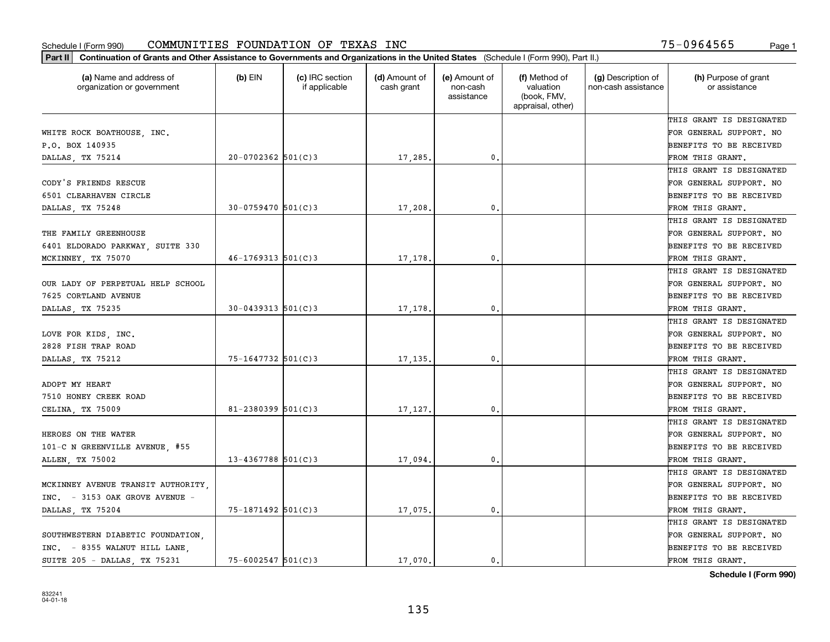| (a) Name and address of<br>organization or government | $(b)$ EIN               | (c) IRC section<br>if applicable | (d) Amount of<br>cash grant | (e) Amount of<br>non-cash<br>assistance | (f) Method of<br>valuation<br>(book, FMV,<br>appraisal, other) | (g) Description of<br>non-cash assistance | (h) Purpose of grant<br>or assistance |
|-------------------------------------------------------|-------------------------|----------------------------------|-----------------------------|-----------------------------------------|----------------------------------------------------------------|-------------------------------------------|---------------------------------------|
|                                                       |                         |                                  |                             |                                         |                                                                |                                           | THIS GRANT IS DESIGNATED              |
| WHITE ROCK BOATHOUSE, INC.                            |                         |                                  |                             |                                         |                                                                |                                           | FOR GENERAL SUPPORT. NO               |
| P.O. BOX 140935                                       |                         |                                  |                             |                                         |                                                                |                                           | BENEFITS TO BE RECEIVED               |
| DALLAS, TX 75214                                      | $20-0702362$ 501(C)3    |                                  | 17,285                      | 0.                                      |                                                                |                                           | FROM THIS GRANT.                      |
|                                                       |                         |                                  |                             |                                         |                                                                |                                           | THIS GRANT IS DESIGNATED              |
| CODY'S FRIENDS RESCUE                                 |                         |                                  |                             |                                         |                                                                |                                           | FOR GENERAL SUPPORT. NO               |
| 6501 CLEARHAVEN CIRCLE                                |                         |                                  |                             |                                         |                                                                |                                           | BENEFITS TO BE RECEIVED               |
| DALLAS, TX 75248                                      | $30 - 0759470$ 501(C)3  |                                  | 17,208                      | $\mathbf{0}$                            |                                                                |                                           | FROM THIS GRANT.                      |
|                                                       |                         |                                  |                             |                                         |                                                                |                                           | THIS GRANT IS DESIGNATED              |
| THE FAMILY GREENHOUSE                                 |                         |                                  |                             |                                         |                                                                |                                           | FOR GENERAL SUPPORT. NO               |
| 6401 ELDORADO PARKWAY, SUITE 330                      |                         |                                  |                             |                                         |                                                                |                                           | BENEFITS TO BE RECEIVED               |
| MCKINNEY, TX 75070                                    | $46 - 1769313$ 501(C)3  |                                  | 17,178                      | $\mathbf{0}$ .                          |                                                                |                                           | FROM THIS GRANT.                      |
|                                                       |                         |                                  |                             |                                         |                                                                |                                           | THIS GRANT IS DESIGNATED              |
| OUR LADY OF PERPETUAL HELP SCHOOL                     |                         |                                  |                             |                                         |                                                                |                                           | FOR GENERAL SUPPORT. NO               |
| 7625 CORTLAND AVENUE                                  |                         |                                  |                             |                                         |                                                                |                                           | BENEFITS TO BE RECEIVED               |
| DALLAS, TX 75235                                      | $30 - 0439313$ 501(C)3  |                                  | 17,178                      | 0.                                      |                                                                |                                           | FROM THIS GRANT.                      |
|                                                       |                         |                                  |                             |                                         |                                                                |                                           | THIS GRANT IS DESIGNATED              |
| LOVE FOR KIDS, INC.                                   |                         |                                  |                             |                                         |                                                                |                                           | FOR GENERAL SUPPORT. NO               |
| 2828 FISH TRAP ROAD                                   |                         |                                  |                             |                                         |                                                                |                                           | BENEFITS TO BE RECEIVED               |
| DALLAS, TX 75212                                      | 75-1647732 501(C)3      |                                  | 17,135                      | $\mathbf{0}$                            |                                                                |                                           | FROM THIS GRANT.                      |
|                                                       |                         |                                  |                             |                                         |                                                                |                                           | THIS GRANT IS DESIGNATED              |
| ADOPT MY HEART                                        |                         |                                  |                             |                                         |                                                                |                                           | FOR GENERAL SUPPORT. NO               |
| 7510 HONEY CREEK ROAD                                 |                         |                                  |                             |                                         |                                                                |                                           | BENEFITS TO BE RECEIVED               |
| CELINA, TX 75009                                      | $81 - 2380399$ 501(C)3  |                                  | 17,127                      | $\mathbf{0}$                            |                                                                |                                           | FROM THIS GRANT.                      |
|                                                       |                         |                                  |                             |                                         |                                                                |                                           | THIS GRANT IS DESIGNATED              |
| HEROES ON THE WATER                                   |                         |                                  |                             |                                         |                                                                |                                           | FOR GENERAL SUPPORT. NO               |
| 101-C N GREENVILLE AVENUE, #55                        |                         |                                  |                             |                                         |                                                                |                                           | BENEFITS TO BE RECEIVED               |
| ALLEN, TX 75002                                       | $13 - 4367788$ 501(C) 3 |                                  | 17,094                      | $\mathbf{0}$ .                          |                                                                |                                           | FROM THIS GRANT.                      |
|                                                       |                         |                                  |                             |                                         |                                                                |                                           | THIS GRANT IS DESIGNATED              |
| MCKINNEY AVENUE TRANSIT AUTHORITY,                    |                         |                                  |                             |                                         |                                                                |                                           | FOR GENERAL SUPPORT. NO               |
| INC. - 3153 OAK GROVE AVENUE -                        |                         |                                  |                             |                                         |                                                                |                                           | BENEFITS TO BE RECEIVED               |
| DALLAS, TX 75204                                      | 75-1871492 501(C)3      |                                  | 17,075.                     | $\mathbf{0}$ .                          |                                                                |                                           | FROM THIS GRANT.                      |
|                                                       |                         |                                  |                             |                                         |                                                                |                                           | THIS GRANT IS DESIGNATED              |
| SOUTHWESTERN DIABETIC FOUNDATION,                     |                         |                                  |                             |                                         |                                                                |                                           | FOR GENERAL SUPPORT. NO               |
| INC. - 8355 WALNUT HILL LANE,                         |                         |                                  |                             |                                         |                                                                |                                           | BENEFITS TO BE RECEIVED               |
| SUITE 205 - DALLAS, TX 75231                          | 75-6002547 501(C)3      |                                  | 17,070.                     | 0.                                      |                                                                |                                           | FROM THIS GRANT.                      |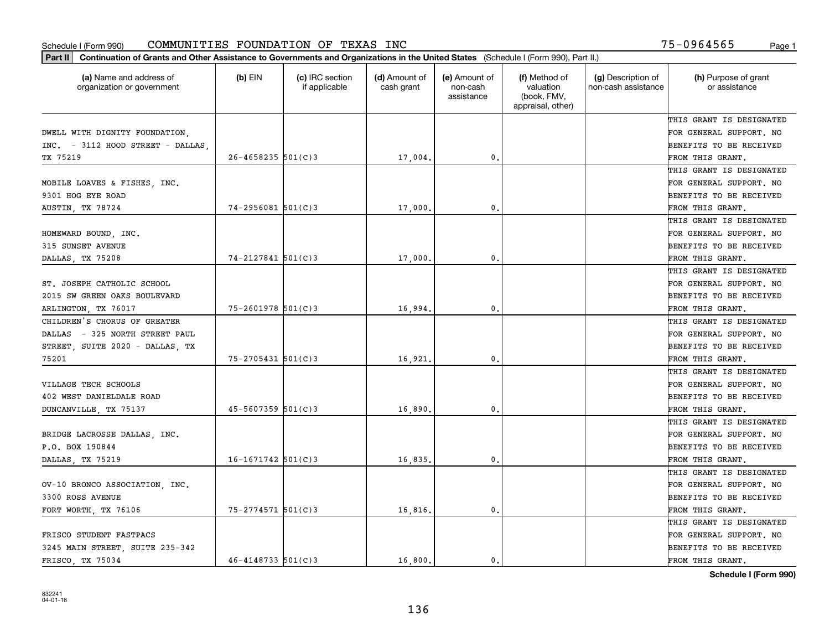| Part II   Continuation of Grants and Other Assistance to Governments and Organizations in the United States (Schedule I (Form 990), Part II.) |                        |                                  |                             |                                         |                                                                |                                           |                                       |
|-----------------------------------------------------------------------------------------------------------------------------------------------|------------------------|----------------------------------|-----------------------------|-----------------------------------------|----------------------------------------------------------------|-------------------------------------------|---------------------------------------|
| (a) Name and address of<br>organization or government                                                                                         | $(b)$ EIN              | (c) IRC section<br>if applicable | (d) Amount of<br>cash grant | (e) Amount of<br>non-cash<br>assistance | (f) Method of<br>valuation<br>(book, FMV,<br>appraisal, other) | (g) Description of<br>non-cash assistance | (h) Purpose of grant<br>or assistance |
|                                                                                                                                               |                        |                                  |                             |                                         |                                                                |                                           | THIS GRANT IS DESIGNATED              |
| DWELL WITH DIGNITY FOUNDATION,                                                                                                                |                        |                                  |                             |                                         |                                                                |                                           | FOR GENERAL SUPPORT. NO               |
| INC. - 3112 HOOD STREET - DALLAS                                                                                                              |                        |                                  |                             |                                         |                                                                |                                           | BENEFITS TO BE RECEIVED               |
| TX 75219                                                                                                                                      | $26 - 4658235$ 501(C)3 |                                  | 17,004.                     | 0.                                      |                                                                |                                           | FROM THIS GRANT.                      |
|                                                                                                                                               |                        |                                  |                             |                                         |                                                                |                                           | THIS GRANT IS DESIGNATED              |
| MOBILE LOAVES & FISHES, INC.                                                                                                                  |                        |                                  |                             |                                         |                                                                |                                           | FOR GENERAL SUPPORT. NO               |
| 9301 HOG EYE ROAD                                                                                                                             |                        |                                  |                             |                                         |                                                                |                                           | BENEFITS TO BE RECEIVED               |
| AUSTIN, TX 78724                                                                                                                              | $74 - 2956081$ 501(C)3 |                                  | 17,000                      | 0.                                      |                                                                |                                           | FROM THIS GRANT.                      |
|                                                                                                                                               |                        |                                  |                             |                                         |                                                                |                                           | THIS GRANT IS DESIGNATED              |
| HOMEWARD BOUND, INC.                                                                                                                          |                        |                                  |                             |                                         |                                                                |                                           | FOR GENERAL SUPPORT. NO               |
| 315 SUNSET AVENUE                                                                                                                             |                        |                                  |                             |                                         |                                                                |                                           | BENEFITS TO BE RECEIVED               |
| DALLAS, TX 75208                                                                                                                              | $74 - 2127841$ 501(C)3 |                                  | 17,000                      | 0.                                      |                                                                |                                           | FROM THIS GRANT.                      |
|                                                                                                                                               |                        |                                  |                             |                                         |                                                                |                                           | THIS GRANT IS DESIGNATED              |
| ST. JOSEPH CATHOLIC SCHOOL                                                                                                                    |                        |                                  |                             |                                         |                                                                |                                           | FOR GENERAL SUPPORT. NO               |
| 2015 SW GREEN OAKS BOULEVARD                                                                                                                  |                        |                                  |                             |                                         |                                                                |                                           | <b>BENEFITS TO BE RECEIVED</b>        |
| ARLINGTON, TX 76017                                                                                                                           | $75 - 2601978$ 501(C)3 |                                  | 16,994.                     | 0.                                      |                                                                |                                           | FROM THIS GRANT.                      |
| CHILDREN'S CHORUS OF GREATER                                                                                                                  |                        |                                  |                             |                                         |                                                                |                                           | THIS GRANT IS DESIGNATED              |
| DALLAS - 325 NORTH STREET PAUL                                                                                                                |                        |                                  |                             |                                         |                                                                |                                           | FOR GENERAL SUPPORT. NO               |
| STREET, SUITE 2020 - DALLAS, TX                                                                                                               |                        |                                  |                             |                                         |                                                                |                                           | BENEFITS TO BE RECEIVED               |
| 75201                                                                                                                                         | 75-2705431 501(C)3     |                                  | 16,921                      | 0.                                      |                                                                |                                           | FROM THIS GRANT.                      |
|                                                                                                                                               |                        |                                  |                             |                                         |                                                                |                                           | THIS GRANT IS DESIGNATED              |
| VILLAGE TECH SCHOOLS                                                                                                                          |                        |                                  |                             |                                         |                                                                |                                           | FOR GENERAL SUPPORT. NO               |
| 402 WEST DANIELDALE ROAD                                                                                                                      |                        |                                  |                             |                                         |                                                                |                                           | <b>BENEFITS TO BE RECEIVED</b>        |
| DUNCANVILLE, TX 75137                                                                                                                         | $45 - 5607359$ 501(C)3 |                                  | 16,890                      | 0.                                      |                                                                |                                           | FROM THIS GRANT.                      |
|                                                                                                                                               |                        |                                  |                             |                                         |                                                                |                                           | THIS GRANT IS DESIGNATED              |
| BRIDGE LACROSSE DALLAS, INC.                                                                                                                  |                        |                                  |                             |                                         |                                                                |                                           | FOR GENERAL SUPPORT. NO               |
| P.O. BOX 190844                                                                                                                               |                        |                                  |                             |                                         |                                                                |                                           | BENEFITS TO BE RECEIVED               |
| DALLAS, TX 75219                                                                                                                              | $16 - 1671742$ 501(C)3 |                                  | 16,835.                     | 0.                                      |                                                                |                                           | FROM THIS GRANT.                      |
|                                                                                                                                               |                        |                                  |                             |                                         |                                                                |                                           | THIS GRANT IS DESIGNATED              |
| OV-10 BRONCO ASSOCIATION, INC.                                                                                                                |                        |                                  |                             |                                         |                                                                |                                           | FOR GENERAL SUPPORT. NO               |
| 3300 ROSS AVENUE                                                                                                                              |                        |                                  |                             |                                         |                                                                |                                           | BENEFITS TO BE RECEIVED               |
| FORT WORTH, TX 76106                                                                                                                          | $75 - 2774571$ 501(C)3 |                                  | 16,816.                     | 0.                                      |                                                                |                                           | FROM THIS GRANT.                      |
|                                                                                                                                               |                        |                                  |                             |                                         |                                                                |                                           | THIS GRANT IS DESIGNATED              |
| FRISCO STUDENT FASTPACS                                                                                                                       |                        |                                  |                             |                                         |                                                                |                                           | FOR GENERAL SUPPORT. NO               |
| 3245 MAIN STREET, SUITE 235-342                                                                                                               |                        |                                  |                             |                                         |                                                                |                                           | <b>BENEFITS TO BE RECEIVED</b>        |
| FRISCO, TX 75034                                                                                                                              | $46 - 4148733$ 501(C)3 |                                  | 16,800.                     | $\mathbf{0}$ .                          |                                                                |                                           | FROM THIS GRANT.                      |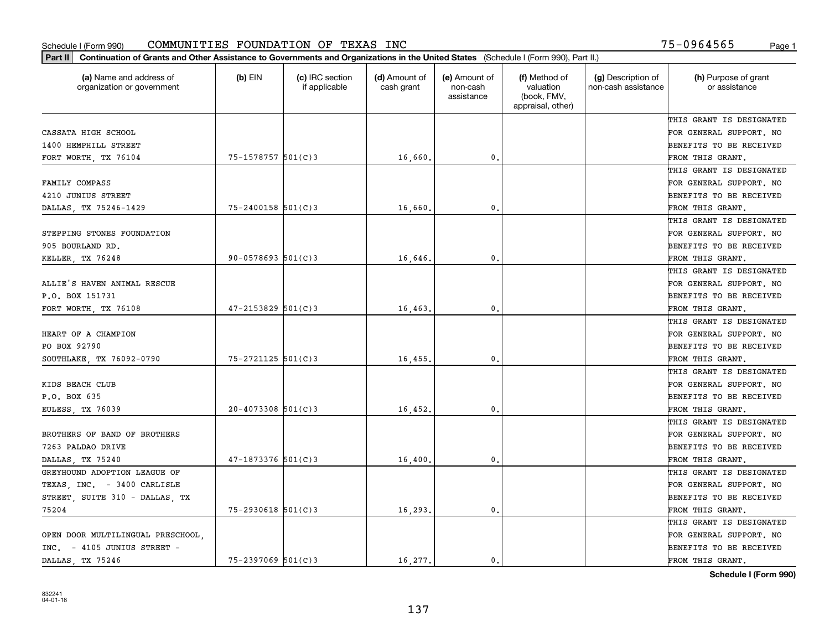| (a) Name and address of<br>organization or government | $(b)$ EIN                | (c) IRC section<br>if applicable | (d) Amount of<br>cash grant | (e) Amount of<br>non-cash<br>assistance | (f) Method of<br>valuation<br>(book, FMV,<br>appraisal, other) | (g) Description of<br>non-cash assistance | (h) Purpose of grant<br>or assistance |
|-------------------------------------------------------|--------------------------|----------------------------------|-----------------------------|-----------------------------------------|----------------------------------------------------------------|-------------------------------------------|---------------------------------------|
|                                                       |                          |                                  |                             |                                         |                                                                |                                           | THIS GRANT IS DESIGNATED              |
| CASSATA HIGH SCHOOL                                   |                          |                                  |                             |                                         |                                                                |                                           | FOR GENERAL SUPPORT. NO               |
| 1400 HEMPHILL STREET                                  |                          |                                  |                             |                                         |                                                                |                                           | BENEFITS TO BE RECEIVED               |
| FORT WORTH, TX 76104                                  | 75-1578757 501(C)3       |                                  | 16,660.                     | 0.                                      |                                                                |                                           | FROM THIS GRANT.                      |
|                                                       |                          |                                  |                             |                                         |                                                                |                                           | THIS GRANT IS DESIGNATED              |
| FAMILY COMPASS                                        |                          |                                  |                             |                                         |                                                                |                                           | FOR GENERAL SUPPORT. NO               |
| 4210 JUNIUS STREET                                    |                          |                                  |                             |                                         |                                                                |                                           | BENEFITS TO BE RECEIVED               |
| DALLAS, TX 75246-1429                                 | $75 - 2400158$ 501(C)3   |                                  | 16,660                      | $\mathbf{0}$                            |                                                                |                                           | FROM THIS GRANT.                      |
|                                                       |                          |                                  |                             |                                         |                                                                |                                           | THIS GRANT IS DESIGNATED              |
| STEPPING STONES FOUNDATION                            |                          |                                  |                             |                                         |                                                                |                                           | FOR GENERAL SUPPORT. NO               |
| 905 BOURLAND RD.                                      |                          |                                  |                             |                                         |                                                                |                                           | BENEFITS TO BE RECEIVED               |
| KELLER, TX 76248                                      | $90 - 0578693$ $501(C)3$ |                                  | 16,646.                     | $\mathbf{0}$ .                          |                                                                |                                           | FROM THIS GRANT.                      |
|                                                       |                          |                                  |                             |                                         |                                                                |                                           | THIS GRANT IS DESIGNATED              |
| ALLIE'S HAVEN ANIMAL RESCUE                           |                          |                                  |                             |                                         |                                                                |                                           | FOR GENERAL SUPPORT. NO               |
| P.O. BOX 151731                                       |                          |                                  |                             |                                         |                                                                |                                           | BENEFITS TO BE RECEIVED               |
| FORT WORTH, TX 76108                                  | $47 - 2153829$ 501(C)3   |                                  | 16,463                      | 0.                                      |                                                                |                                           | FROM THIS GRANT.                      |
|                                                       |                          |                                  |                             |                                         |                                                                |                                           | THIS GRANT IS DESIGNATED              |
| HEART OF A CHAMPION                                   |                          |                                  |                             |                                         |                                                                |                                           | FOR GENERAL SUPPORT. NO               |
| PO BOX 92790                                          |                          |                                  |                             |                                         |                                                                |                                           | BENEFITS TO BE RECEIVED               |
| SOUTHLAKE, TX 76092-0790                              | 75-2721125 501(C)3       |                                  | 16,455                      | $\mathbf{0}$                            |                                                                |                                           | FROM THIS GRANT.                      |
|                                                       |                          |                                  |                             |                                         |                                                                |                                           | THIS GRANT IS DESIGNATED              |
| KIDS BEACH CLUB                                       |                          |                                  |                             |                                         |                                                                |                                           | FOR GENERAL SUPPORT. NO               |
| P.O. BOX 635                                          |                          |                                  |                             |                                         |                                                                |                                           | BENEFITS TO BE RECEIVED               |
| EULESS, TX 76039                                      | $20 - 4073308$ 501(C)3   |                                  | 16,452.                     | $\mathbf{0}$                            |                                                                |                                           | FROM THIS GRANT.                      |
|                                                       |                          |                                  |                             |                                         |                                                                |                                           | THIS GRANT IS DESIGNATED              |
| BROTHERS OF BAND OF BROTHERS                          |                          |                                  |                             |                                         |                                                                |                                           | FOR GENERAL SUPPORT. NO               |
| 7263 PALDAO DRIVE                                     |                          |                                  |                             |                                         |                                                                |                                           | BENEFITS TO BE RECEIVED               |
| DALLAS, TX 75240                                      | $47-1873376$ 501(C)3     |                                  | 16,400                      | $\mathbf{0}$ .                          |                                                                |                                           | FROM THIS GRANT.                      |
| GREYHOUND ADOPTION LEAGUE OF                          |                          |                                  |                             |                                         |                                                                |                                           | THIS GRANT IS DESIGNATED              |
| TEXAS, INC. - 3400 CARLISLE                           |                          |                                  |                             |                                         |                                                                |                                           | FOR GENERAL SUPPORT. NO               |
| STREET, SUITE 310 - DALLAS, TX                        |                          |                                  |                             |                                         |                                                                |                                           | BENEFITS TO BE RECEIVED               |
| 75204                                                 | 75-2930618 501(C)3       |                                  | 16,293.                     | $\mathbf{0}$ .                          |                                                                |                                           | FROM THIS GRANT.                      |
|                                                       |                          |                                  |                             |                                         |                                                                |                                           | THIS GRANT IS DESIGNATED              |
| OPEN DOOR MULTILINGUAL PRESCHOOL.                     |                          |                                  |                             |                                         |                                                                |                                           | FOR GENERAL SUPPORT. NO               |
| INC. - 4105 JUNIUS STREET -                           |                          |                                  |                             |                                         |                                                                |                                           | BENEFITS TO BE RECEIVED               |
| DALLAS TX 75246                                       | $75 - 2397069$ 501(C)3   |                                  | 16,277.                     | 0.                                      |                                                                |                                           | FROM THIS GRANT.                      |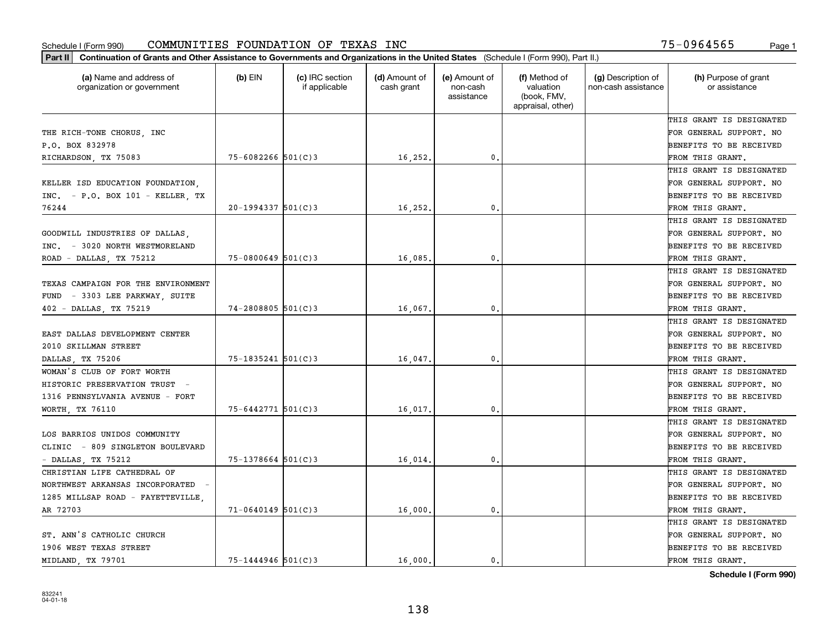| (a) Name and address of<br>organization or government | (b) EIN                | (c) IRC section<br>if applicable | (d) Amount of<br>cash grant | (e) Amount of<br>non-cash<br>assistance | (f) Method of<br>valuation<br>(book, FMV,<br>appraisal, other) | (g) Description of<br>non-cash assistance | (h) Purpose of grant<br>or assistance |
|-------------------------------------------------------|------------------------|----------------------------------|-----------------------------|-----------------------------------------|----------------------------------------------------------------|-------------------------------------------|---------------------------------------|
|                                                       |                        |                                  |                             |                                         |                                                                |                                           | THIS GRANT IS DESIGNATED              |
| THE RICH-TONE CHORUS, INC                             |                        |                                  |                             |                                         |                                                                |                                           | FOR GENERAL SUPPORT. NO               |
| P.O. BOX 832978                                       |                        |                                  |                             |                                         |                                                                |                                           | BENEFITS TO BE RECEIVED               |
| RICHARDSON, TX 75083                                  | $75 - 6082266$ 501(C)3 |                                  | 16,252.                     | 0.                                      |                                                                |                                           | FROM THIS GRANT.                      |
|                                                       |                        |                                  |                             |                                         |                                                                |                                           | THIS GRANT IS DESIGNATED              |
| KELLER ISD EDUCATION FOUNDATION.                      |                        |                                  |                             |                                         |                                                                |                                           | FOR GENERAL SUPPORT. NO               |
| $INC. - P.O. BOX 101 - KELLER, TX$                    |                        |                                  |                             |                                         |                                                                |                                           | BENEFITS TO BE RECEIVED               |
| 76244                                                 | $20 - 1994337$ 501(C)3 |                                  | 16,252.                     | $\mathbf{0}$                            |                                                                |                                           | FROM THIS GRANT.                      |
|                                                       |                        |                                  |                             |                                         |                                                                |                                           | THIS GRANT IS DESIGNATED              |
| GOODWILL INDUSTRIES OF DALLAS,                        |                        |                                  |                             |                                         |                                                                |                                           | FOR GENERAL SUPPORT. NO               |
| INC. - 3020 NORTH WESTMORELAND                        |                        |                                  |                             |                                         |                                                                |                                           | BENEFITS TO BE RECEIVED               |
| ROAD - DALLAS, TX 75212                               | $75 - 0800649$ 501(C)3 |                                  | 16,085                      | $\mathbf{0}$ .                          |                                                                |                                           | FROM THIS GRANT.                      |
|                                                       |                        |                                  |                             |                                         |                                                                |                                           | THIS GRANT IS DESIGNATED              |
| TEXAS CAMPAIGN FOR THE ENVIRONMENT                    |                        |                                  |                             |                                         |                                                                |                                           | FOR GENERAL SUPPORT. NO               |
| - 3303 LEE PARKWAY, SUITE<br>FUND                     |                        |                                  |                             |                                         |                                                                |                                           | BENEFITS TO BE RECEIVED               |
| 402 - DALLAS, TX 75219                                | $74 - 2808805$ 501(C)3 |                                  | 16,067                      | $\mathbf{0}$                            |                                                                |                                           | FROM THIS GRANT.                      |
|                                                       |                        |                                  |                             |                                         |                                                                |                                           | THIS GRANT IS DESIGNATED              |
| EAST DALLAS DEVELOPMENT CENTER                        |                        |                                  |                             |                                         |                                                                |                                           | FOR GENERAL SUPPORT. NO               |
| 2010 SKILLMAN STREET                                  |                        |                                  |                             |                                         |                                                                |                                           | BENEFITS TO BE RECEIVED               |
| DALLAS, TX 75206                                      | $75 - 1835241$ 501(C)3 |                                  | 16,047                      | 0.                                      |                                                                |                                           | FROM THIS GRANT.                      |
| WOMAN'S CLUB OF FORT WORTH                            |                        |                                  |                             |                                         |                                                                |                                           | THIS GRANT IS DESIGNATED              |
| HISTORIC PRESERVATION TRUST -                         |                        |                                  |                             |                                         |                                                                |                                           | FOR GENERAL SUPPORT. NO               |
| 1316 PENNSYLVANIA AVENUE - FORT                       |                        |                                  |                             |                                         |                                                                |                                           | BENEFITS TO BE RECEIVED               |
| WORTH, TX 76110                                       | 75-6442771 501(C)3     |                                  | 16,017                      | $\mathbf{0}$                            |                                                                |                                           | FROM THIS GRANT.                      |
|                                                       |                        |                                  |                             |                                         |                                                                |                                           | THIS GRANT IS DESIGNATED              |
| LOS BARRIOS UNIDOS COMMUNITY                          |                        |                                  |                             |                                         |                                                                |                                           | FOR GENERAL SUPPORT. NO               |
| CLINIC - 809 SINGLETON BOULEVARD                      |                        |                                  |                             |                                         |                                                                |                                           | BENEFITS TO BE RECEIVED               |
| - DALLAS, TX 75212                                    | $75 - 1378664$ 501(C)3 |                                  | 16,014                      | $\mathbf{0}$ .                          |                                                                |                                           | FROM THIS GRANT.                      |
| CHRISTIAN LIFE CATHEDRAL OF                           |                        |                                  |                             |                                         |                                                                |                                           | THIS GRANT IS DESIGNATED              |
| NORTHWEST ARKANSAS INCORPORATED -                     |                        |                                  |                             |                                         |                                                                |                                           | FOR GENERAL SUPPORT. NO               |
| 1285 MILLSAP ROAD - FAYETTEVILLE,                     |                        |                                  |                             |                                         |                                                                |                                           | BENEFITS TO BE RECEIVED               |
| AR 72703                                              | $71 - 0640149$ 501(C)3 |                                  | 16,000                      | $\mathbf{0}$                            |                                                                |                                           | FROM THIS GRANT.                      |
|                                                       |                        |                                  |                             |                                         |                                                                |                                           | THIS GRANT IS DESIGNATED              |
| ST. ANN'S CATHOLIC CHURCH                             |                        |                                  |                             |                                         |                                                                |                                           | FOR GENERAL SUPPORT. NO               |
| 1906 WEST TEXAS STREET                                |                        |                                  |                             |                                         |                                                                |                                           | BENEFITS TO BE RECEIVED               |
| MIDLAND, TX 79701                                     | $75 - 1444946$ 501(C)3 |                                  | 16,000.                     | 0.                                      |                                                                |                                           | FROM THIS GRANT.                      |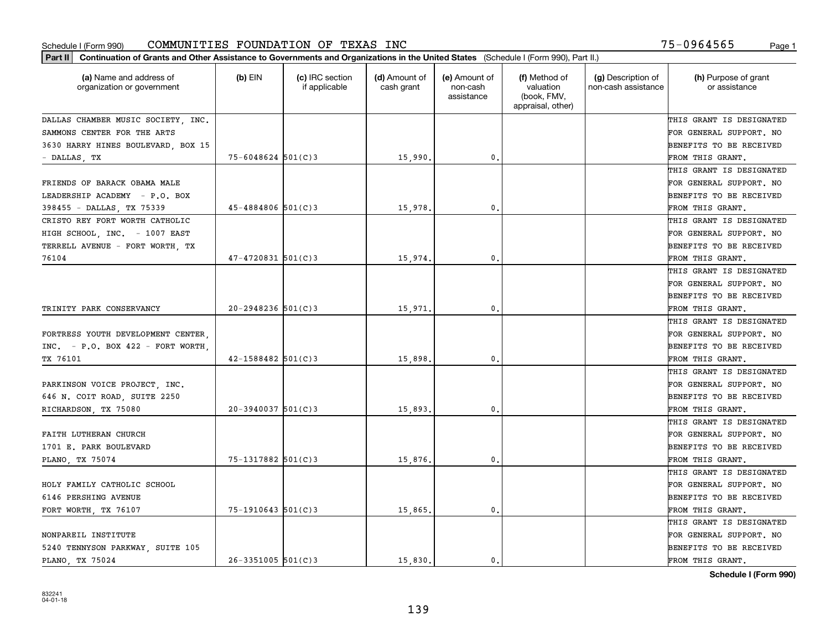| Part II   Continuation of Grants and Other Assistance to Governments and Organizations in the United States (Schedule I (Form 990), Part II.) |                        |                                  |                             |                                         |                                                                |                                           |                                       |
|-----------------------------------------------------------------------------------------------------------------------------------------------|------------------------|----------------------------------|-----------------------------|-----------------------------------------|----------------------------------------------------------------|-------------------------------------------|---------------------------------------|
| (a) Name and address of<br>organization or government                                                                                         | $(b)$ EIN              | (c) IRC section<br>if applicable | (d) Amount of<br>cash grant | (e) Amount of<br>non-cash<br>assistance | (f) Method of<br>valuation<br>(book, FMV,<br>appraisal, other) | (g) Description of<br>non-cash assistance | (h) Purpose of grant<br>or assistance |
| DALLAS CHAMBER MUSIC SOCIETY, INC.                                                                                                            |                        |                                  |                             |                                         |                                                                |                                           | THIS GRANT IS DESIGNATED              |
| SAMMONS CENTER FOR THE ARTS                                                                                                                   |                        |                                  |                             |                                         |                                                                |                                           | FOR GENERAL SUPPORT. NO               |
| 3630 HARRY HINES BOULEVARD, BOX 15                                                                                                            |                        |                                  |                             |                                         |                                                                |                                           | BENEFITS TO BE RECEIVED               |
| - DALLAS, TX                                                                                                                                  | $75 - 6048624$ 501(C)3 |                                  | 15,990.                     | 0.                                      |                                                                |                                           | FROM THIS GRANT.                      |
|                                                                                                                                               |                        |                                  |                             |                                         |                                                                |                                           | THIS GRANT IS DESIGNATED              |
| FRIENDS OF BARACK OBAMA MALE                                                                                                                  |                        |                                  |                             |                                         |                                                                |                                           | FOR GENERAL SUPPORT. NO               |
| LEADERSHIP ACADEMY - P.O. BOX                                                                                                                 |                        |                                  |                             |                                         |                                                                |                                           | BENEFITS TO BE RECEIVED               |
| 398455 - DALLAS, TX 75339                                                                                                                     | $45 - 4884806$ 501(C)3 |                                  | 15,978                      | 0.                                      |                                                                |                                           | FROM THIS GRANT.                      |
| CRISTO REY FORT WORTH CATHOLIC                                                                                                                |                        |                                  |                             |                                         |                                                                |                                           | THIS GRANT IS DESIGNATED              |
| HIGH SCHOOL, INC. - 1007 EAST                                                                                                                 |                        |                                  |                             |                                         |                                                                |                                           | FOR GENERAL SUPPORT. NO               |
| TERRELL AVENUE - FORT WORTH, TX                                                                                                               |                        |                                  |                             |                                         |                                                                |                                           | BENEFITS TO BE RECEIVED               |
| 76104                                                                                                                                         | $47 - 4720831$ 501(C)3 |                                  | 15,974.                     | 0.                                      |                                                                |                                           | FROM THIS GRANT.                      |
|                                                                                                                                               |                        |                                  |                             |                                         |                                                                |                                           | THIS GRANT IS DESIGNATED              |
|                                                                                                                                               |                        |                                  |                             |                                         |                                                                |                                           | FOR GENERAL SUPPORT. NO               |
|                                                                                                                                               |                        |                                  |                             |                                         |                                                                |                                           | <b>BENEFITS TO BE RECEIVED</b>        |
| TRINITY PARK CONSERVANCY                                                                                                                      | $20 - 2948236$ 501(C)3 |                                  | 15,971.                     | $\mathbf{0}$ .                          |                                                                |                                           | FROM THIS GRANT.                      |
|                                                                                                                                               |                        |                                  |                             |                                         |                                                                |                                           | THIS GRANT IS DESIGNATED              |
| FORTRESS YOUTH DEVELOPMENT CENTER.                                                                                                            |                        |                                  |                             |                                         |                                                                |                                           | FOR GENERAL SUPPORT. NO               |
| $INC. - P.0. BOX 422 - FORT WORK.$                                                                                                            |                        |                                  |                             |                                         |                                                                |                                           | BENEFITS TO BE RECEIVED               |
| TX 76101                                                                                                                                      | $42 - 1588482$ 501(C)3 |                                  | 15,898.                     | $\mathbf{0}$                            |                                                                |                                           | FROM THIS GRANT.                      |
|                                                                                                                                               |                        |                                  |                             |                                         |                                                                |                                           | THIS GRANT IS DESIGNATED              |
| PARKINSON VOICE PROJECT, INC.                                                                                                                 |                        |                                  |                             |                                         |                                                                |                                           | FOR GENERAL SUPPORT. NO               |
| 646 N. COIT ROAD, SUITE 2250                                                                                                                  |                        |                                  |                             |                                         |                                                                |                                           | BENEFITS TO BE RECEIVED               |
| RICHARDSON, TX 75080                                                                                                                          | $20 - 3940037$ 501(C)3 |                                  | 15,893                      | 0.                                      |                                                                |                                           | FROM THIS GRANT.                      |
|                                                                                                                                               |                        |                                  |                             |                                         |                                                                |                                           | THIS GRANT IS DESIGNATED              |
| FAITH LUTHERAN CHURCH                                                                                                                         |                        |                                  |                             |                                         |                                                                |                                           | FOR GENERAL SUPPORT. NO               |
| 1701 E. PARK BOULEVARD                                                                                                                        |                        |                                  |                             |                                         |                                                                |                                           | BENEFITS TO BE RECEIVED               |
| PLANO, TX 75074                                                                                                                               | 75-1317882 501(C)3     |                                  | 15,876.                     | 0.                                      |                                                                |                                           | FROM THIS GRANT.                      |
|                                                                                                                                               |                        |                                  |                             |                                         |                                                                |                                           | THIS GRANT IS DESIGNATED              |
| HOLY FAMILY CATHOLIC SCHOOL                                                                                                                   |                        |                                  |                             |                                         |                                                                |                                           | FOR GENERAL SUPPORT. NO               |
| 6146 PERSHING AVENUE                                                                                                                          |                        |                                  |                             |                                         |                                                                |                                           | BENEFITS TO BE RECEIVED               |
| FORT WORTH, TX 76107                                                                                                                          | $75 - 1910643$ 501(C)3 |                                  | 15,865.                     | $\mathbf{0}$ .                          |                                                                |                                           | FROM THIS GRANT.                      |
|                                                                                                                                               |                        |                                  |                             |                                         |                                                                |                                           | THIS GRANT IS DESIGNATED              |
| NONPAREIL INSTITUTE                                                                                                                           |                        |                                  |                             |                                         |                                                                |                                           | FOR GENERAL SUPPORT. NO               |
| 5240 TENNYSON PARKWAY, SUITE 105                                                                                                              |                        |                                  |                             |                                         |                                                                |                                           | <b>BENEFITS TO BE RECEIVED</b>        |
| PLANO, TX 75024                                                                                                                               | $26 - 3351005$ 501(C)3 |                                  | 15,830.                     | 0.                                      |                                                                |                                           | FROM THIS GRANT.                      |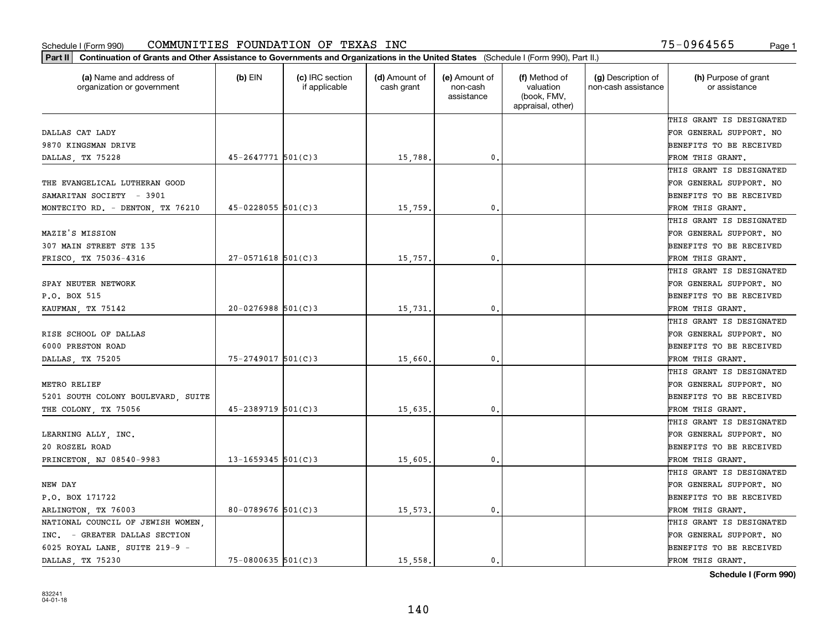| Part II   Continuation of Grants and Other Assistance to Governments and Organizations in the United States (Schedule I (Form 990), Part II.) |                        |                                  |                             |                                         |                                                                |                                           |                                       |
|-----------------------------------------------------------------------------------------------------------------------------------------------|------------------------|----------------------------------|-----------------------------|-----------------------------------------|----------------------------------------------------------------|-------------------------------------------|---------------------------------------|
| (a) Name and address of<br>organization or government                                                                                         | $(b)$ EIN              | (c) IRC section<br>if applicable | (d) Amount of<br>cash grant | (e) Amount of<br>non-cash<br>assistance | (f) Method of<br>valuation<br>(book, FMV,<br>appraisal, other) | (g) Description of<br>non-cash assistance | (h) Purpose of grant<br>or assistance |
|                                                                                                                                               |                        |                                  |                             |                                         |                                                                |                                           | THIS GRANT IS DESIGNATED              |
| DALLAS CAT LADY                                                                                                                               |                        |                                  |                             |                                         |                                                                |                                           | FOR GENERAL SUPPORT. NO               |
| 9870 KINGSMAN DRIVE                                                                                                                           |                        |                                  |                             |                                         |                                                                |                                           | BENEFITS TO BE RECEIVED               |
| DALLAS, TX 75228                                                                                                                              | $45 - 2647771$ 501(C)3 |                                  | 15,788.                     | 0.                                      |                                                                |                                           | FROM THIS GRANT.                      |
|                                                                                                                                               |                        |                                  |                             |                                         |                                                                |                                           | THIS GRANT IS DESIGNATED              |
| THE EVANGELICAL LUTHERAN GOOD                                                                                                                 |                        |                                  |                             |                                         |                                                                |                                           | FOR GENERAL SUPPORT. NO               |
| SAMARITAN SOCIETY - 3901                                                                                                                      |                        |                                  |                             |                                         |                                                                |                                           | BENEFITS TO BE RECEIVED               |
| MONTECITO RD. - DENTON, TX 76210                                                                                                              | $45 - 0228055$ 501(C)3 |                                  | 15,759.                     | 0.                                      |                                                                |                                           | FROM THIS GRANT.                      |
|                                                                                                                                               |                        |                                  |                             |                                         |                                                                |                                           | THIS GRANT IS DESIGNATED              |
| MAZIE'S MISSION                                                                                                                               |                        |                                  |                             |                                         |                                                                |                                           | FOR GENERAL SUPPORT. NO               |
| 307 MAIN STREET STE 135                                                                                                                       |                        |                                  |                             |                                         |                                                                |                                           | BENEFITS TO BE RECEIVED               |
| FRISCO, TX 75036-4316                                                                                                                         | $27 - 0571618$ 501(C)3 |                                  | 15,757.                     | 0.                                      |                                                                |                                           | FROM THIS GRANT.                      |
|                                                                                                                                               |                        |                                  |                             |                                         |                                                                |                                           | THIS GRANT IS DESIGNATED              |
| SPAY NEUTER NETWORK                                                                                                                           |                        |                                  |                             |                                         |                                                                |                                           | FOR GENERAL SUPPORT. NO               |
| P.O. BOX 515                                                                                                                                  |                        |                                  |                             |                                         |                                                                |                                           | <b>BENEFITS TO BE RECEIVED</b>        |
| KAUFMAN, TX 75142                                                                                                                             | $20 - 0276988$ 501(C)3 |                                  | 15,731.                     | 0.                                      |                                                                |                                           | FROM THIS GRANT.                      |
|                                                                                                                                               |                        |                                  |                             |                                         |                                                                |                                           | THIS GRANT IS DESIGNATED              |
| RISE SCHOOL OF DALLAS                                                                                                                         |                        |                                  |                             |                                         |                                                                |                                           | FOR GENERAL SUPPORT. NO               |
| 6000 PRESTON ROAD                                                                                                                             |                        |                                  |                             |                                         |                                                                |                                           | BENEFITS TO BE RECEIVED               |
| DALLAS, TX 75205                                                                                                                              | 75-2749017 501(C)3     |                                  | 15,660                      | 0.                                      |                                                                |                                           | FROM THIS GRANT.                      |
|                                                                                                                                               |                        |                                  |                             |                                         |                                                                |                                           | THIS GRANT IS DESIGNATED              |
| METRO RELIEF                                                                                                                                  |                        |                                  |                             |                                         |                                                                |                                           | FOR GENERAL SUPPORT. NO               |
| 5201 SOUTH COLONY BOULEVARD, SUITE                                                                                                            |                        |                                  |                             |                                         |                                                                |                                           | BENEFITS TO BE RECEIVED               |
| THE COLONY, TX 75056                                                                                                                          | $45 - 2389719$ 501(C)3 |                                  | 15,635.                     | 0.                                      |                                                                |                                           | FROM THIS GRANT.                      |
|                                                                                                                                               |                        |                                  |                             |                                         |                                                                |                                           | THIS GRANT IS DESIGNATED              |
| LEARNING ALLY, INC.                                                                                                                           |                        |                                  |                             |                                         |                                                                |                                           | FOR GENERAL SUPPORT. NO               |
| 20 ROSZEL ROAD                                                                                                                                |                        |                                  |                             |                                         |                                                                |                                           | BENEFITS TO BE RECEIVED               |
| PRINCETON, NJ 08540-9983                                                                                                                      | $13 - 1659345$ 501(C)3 |                                  | 15,605.                     | 0.                                      |                                                                |                                           | FROM THIS GRANT.                      |
|                                                                                                                                               |                        |                                  |                             |                                         |                                                                |                                           | THIS GRANT IS DESIGNATED              |
| NEW DAY                                                                                                                                       |                        |                                  |                             |                                         |                                                                |                                           | FOR GENERAL SUPPORT. NO               |
| P.O. BOX 171722                                                                                                                               |                        |                                  |                             |                                         |                                                                |                                           | BENEFITS TO BE RECEIVED               |
| ARLINGTON, TX 76003                                                                                                                           | $80 - 0789676$ 501(C)3 |                                  | 15,573.                     | 0.                                      |                                                                |                                           | FROM THIS GRANT.                      |
| NATIONAL COUNCIL OF JEWISH WOMEN,                                                                                                             |                        |                                  |                             |                                         |                                                                |                                           | THIS GRANT IS DESIGNATED              |
| INC. - GREATER DALLAS SECTION                                                                                                                 |                        |                                  |                             |                                         |                                                                |                                           | FOR GENERAL SUPPORT. NO               |
| 6025 ROYAL LANE, SUITE 219-9 -                                                                                                                |                        |                                  |                             |                                         |                                                                |                                           | <b>BENEFITS TO BE RECEIVED</b>        |
| DALLAS, TX 75230                                                                                                                              | $75 - 0800635$ 501(C)3 |                                  | 15,558.                     | $\mathbf{0}$ .                          |                                                                |                                           | FROM THIS GRANT.                      |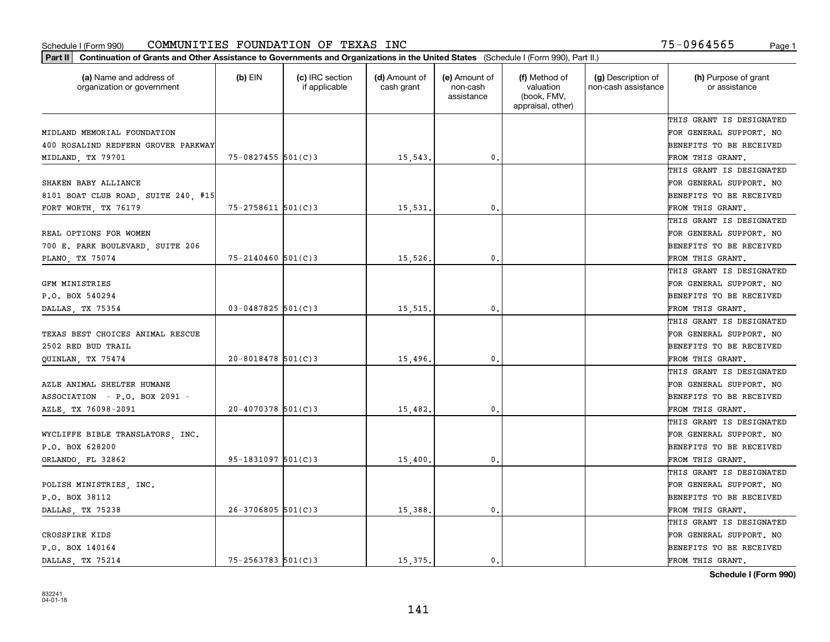| (a) Name and address of<br>organization or government | $(b)$ EIN              | (c) IRC section<br>if applicable | (d) Amount of<br>cash grant | (e) Amount of<br>non-cash<br>assistance | (f) Method of<br>valuation<br>(book, FMV,<br>appraisal, other) | (g) Description of<br>non-cash assistance | (h) Purpose of grant<br>or assistance |
|-------------------------------------------------------|------------------------|----------------------------------|-----------------------------|-----------------------------------------|----------------------------------------------------------------|-------------------------------------------|---------------------------------------|
|                                                       |                        |                                  |                             |                                         |                                                                |                                           | THIS GRANT IS DESIGNATED              |
| MIDLAND MEMORIAL FOUNDATION                           |                        |                                  |                             |                                         |                                                                |                                           | FOR GENERAL SUPPORT. NO               |
| 400 ROSALIND REDFERN GROVER PARKWAY                   |                        |                                  |                             |                                         |                                                                |                                           | <b>BENEFITS TO BE RECEIVED</b>        |
| MIDLAND, TX 79701                                     | $75 - 0827455$ 501(C)3 |                                  | 15,543.                     | 0.                                      |                                                                |                                           | FROM THIS GRANT.                      |
|                                                       |                        |                                  |                             |                                         |                                                                |                                           | THIS GRANT IS DESIGNATED              |
| SHAKEN BABY ALLIANCE                                  |                        |                                  |                             |                                         |                                                                |                                           | FOR GENERAL SUPPORT. NO               |
| 8101 BOAT CLUB ROAD, SUITE 240, #15                   |                        |                                  |                             |                                         |                                                                |                                           | BENEFITS TO BE RECEIVED               |
| FORT WORTH, TX 76179                                  | $75 - 2758611$ 501(C)3 |                                  | 15,531                      | 0.                                      |                                                                |                                           | FROM THIS GRANT.                      |
|                                                       |                        |                                  |                             |                                         |                                                                |                                           | THIS GRANT IS DESIGNATED              |
| REAL OPTIONS FOR WOMEN                                |                        |                                  |                             |                                         |                                                                |                                           | FOR GENERAL SUPPORT. NO               |
| 700 E. PARK BOULEVARD, SUITE 206                      |                        |                                  |                             |                                         |                                                                |                                           | BENEFITS TO BE RECEIVED               |
| PLANO, TX 75074                                       | $75 - 2140460$ 501(C)3 |                                  | 15,526.                     | $\mathfrak o$ .                         |                                                                |                                           | FROM THIS GRANT.                      |
|                                                       |                        |                                  |                             |                                         |                                                                |                                           | THIS GRANT IS DESIGNATED              |
| GFM MINISTRIES                                        |                        |                                  |                             |                                         |                                                                |                                           | FOR GENERAL SUPPORT. NO               |
| P.O. BOX 540294                                       |                        |                                  |                             |                                         |                                                                |                                           | BENEFITS TO BE RECEIVED               |
| DALLAS, TX 75354                                      | $03 - 0487825$ 501(C)3 |                                  | 15,515                      | 0.                                      |                                                                |                                           | FROM THIS GRANT.                      |
|                                                       |                        |                                  |                             |                                         |                                                                |                                           | THIS GRANT IS DESIGNATED              |
| TEXAS BEST CHOICES ANIMAL RESCUE                      |                        |                                  |                             |                                         |                                                                |                                           | FOR GENERAL SUPPORT. NO               |
| 2502 RED BUD TRAIL                                    |                        |                                  |                             |                                         |                                                                |                                           | BENEFITS TO BE RECEIVED               |
| QUINLAN, TX 75474                                     | $20 - 8018478$ 501(C)3 |                                  | 15,496.                     | 0.                                      |                                                                |                                           | FROM THIS GRANT.                      |
|                                                       |                        |                                  |                             |                                         |                                                                |                                           | THIS GRANT IS DESIGNATED              |
| AZLE ANIMAL SHELTER HUMANE                            |                        |                                  |                             |                                         |                                                                |                                           | FOR GENERAL SUPPORT. NO               |
| ASSOCIATION - P.O. BOX 2091 -                         |                        |                                  |                             |                                         |                                                                |                                           | <b>BENEFITS TO BE RECEIVED</b>        |
| AZLE, TX 76098-2091                                   | $20 - 4070378$ 501(C)3 |                                  | 15,482.                     | 0.                                      |                                                                |                                           | FROM THIS GRANT.                      |
|                                                       |                        |                                  |                             |                                         |                                                                |                                           | THIS GRANT IS DESIGNATED              |
| WYCLIFFE BIBLE TRANSLATORS, INC.                      |                        |                                  |                             |                                         |                                                                |                                           | FOR GENERAL SUPPORT. NO               |
| P.O. BOX 628200                                       |                        |                                  |                             |                                         |                                                                |                                           | BENEFITS TO BE RECEIVED               |
| ORLANDO, FL 32862                                     | $95 - 1831097$ 501(C)3 |                                  | 15,400                      | $\mathbf{0}$ .                          |                                                                |                                           | FROM THIS GRANT.                      |
|                                                       |                        |                                  |                             |                                         |                                                                |                                           | THIS GRANT IS DESIGNATED              |
| POLISH MINISTRIES, INC.                               |                        |                                  |                             |                                         |                                                                |                                           | FOR GENERAL SUPPORT. NO               |
| P.O. BOX 38112                                        |                        |                                  |                             |                                         |                                                                |                                           | BENEFITS TO BE RECEIVED               |
| DALLAS, TX 75238                                      | $26 - 3706805$ 501(C)3 |                                  | 15,388.                     | $\mathfrak o$ .                         |                                                                |                                           | FROM THIS GRANT.                      |
|                                                       |                        |                                  |                             |                                         |                                                                |                                           | THIS GRANT IS DESIGNATED              |
| CROSSFIRE KIDS                                        |                        |                                  |                             |                                         |                                                                |                                           | FOR GENERAL SUPPORT. NO               |
| P.O. BOX 140164                                       |                        |                                  |                             |                                         |                                                                |                                           | BENEFITS TO BE RECEIVED               |
| DALLAS, TX 75214                                      | $75 - 2563783$ 501(C)3 |                                  | 15.375.                     | 0.                                      |                                                                |                                           | FROM THIS GRANT.                      |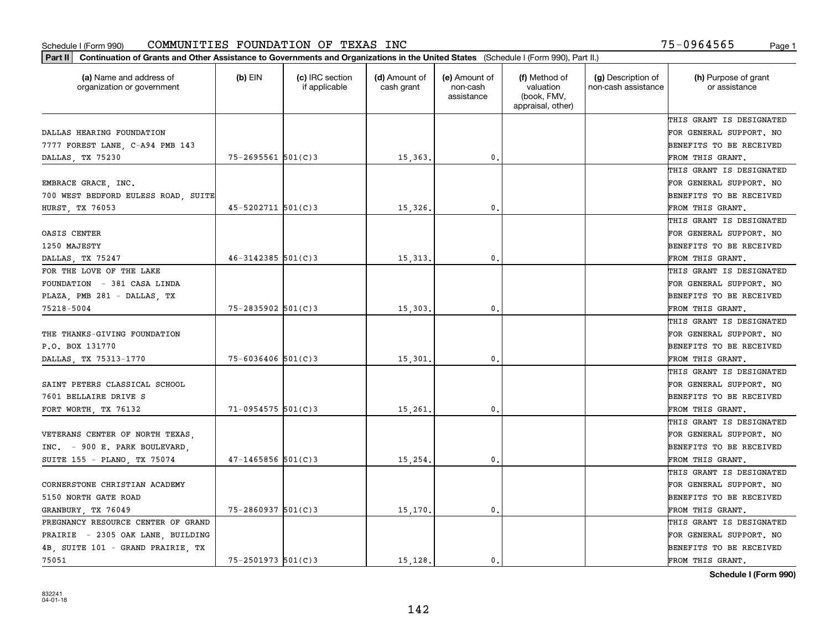| Part II   Continuation of Grants and Other Assistance to Governments and Organizations in the United States (Schedule I (Form 990), Part II.) |                          |                                  |                             |                                         |                                                                |                                           |                                       |
|-----------------------------------------------------------------------------------------------------------------------------------------------|--------------------------|----------------------------------|-----------------------------|-----------------------------------------|----------------------------------------------------------------|-------------------------------------------|---------------------------------------|
| (a) Name and address of<br>organization or government                                                                                         | $(b)$ EIN                | (c) IRC section<br>if applicable | (d) Amount of<br>cash grant | (e) Amount of<br>non-cash<br>assistance | (f) Method of<br>valuation<br>(book, FMV,<br>appraisal, other) | (g) Description of<br>non-cash assistance | (h) Purpose of grant<br>or assistance |
|                                                                                                                                               |                          |                                  |                             |                                         |                                                                |                                           | THIS GRANT IS DESIGNATED              |
| DALLAS HEARING FOUNDATION                                                                                                                     |                          |                                  |                             |                                         |                                                                |                                           | FOR GENERAL SUPPORT. NO               |
| 7777 FOREST LANE, C-A94 PMB 143                                                                                                               |                          |                                  |                             |                                         |                                                                |                                           | <b>BENEFITS TO BE RECEIVED</b>        |
| DALLAS, TX 75230                                                                                                                              | 75-2695561 501(C)3       |                                  | 15,363.                     | 0.                                      |                                                                |                                           | FROM THIS GRANT.                      |
|                                                                                                                                               |                          |                                  |                             |                                         |                                                                |                                           | THIS GRANT IS DESIGNATED              |
| EMBRACE GRACE, INC.                                                                                                                           |                          |                                  |                             |                                         |                                                                |                                           | FOR GENERAL SUPPORT. NO               |
| 700 WEST BEDFORD EULESS ROAD, SUITE                                                                                                           |                          |                                  |                             |                                         |                                                                |                                           | BENEFITS TO BE RECEIVED               |
| <b>HURST, TX 76053</b>                                                                                                                        | $45 - 5202711$ $501(C)3$ |                                  | 15,326.                     | 0.                                      |                                                                |                                           | FROM THIS GRANT.                      |
|                                                                                                                                               |                          |                                  |                             |                                         |                                                                |                                           | THIS GRANT IS DESIGNATED              |
| OASIS CENTER                                                                                                                                  |                          |                                  |                             |                                         |                                                                |                                           | FOR GENERAL SUPPORT. NO               |
| 1250 MAJESTY                                                                                                                                  |                          |                                  |                             |                                         |                                                                |                                           | BENEFITS TO BE RECEIVED               |
| DALLAS, TX 75247                                                                                                                              | $46 - 3142385$ 501(C)3   |                                  | 15, 313.                    | $\mathfrak{o}$ .                        |                                                                |                                           | FROM THIS GRANT.                      |
| FOR THE LOVE OF THE LAKE                                                                                                                      |                          |                                  |                             |                                         |                                                                |                                           | THIS GRANT IS DESIGNATED              |
| FOUNDATION - 381 CASA LINDA                                                                                                                   |                          |                                  |                             |                                         |                                                                |                                           | FOR GENERAL SUPPORT. NO               |
| PLAZA, PMB 281 - DALLAS, TX                                                                                                                   |                          |                                  |                             |                                         |                                                                |                                           | <b>BENEFITS TO BE RECEIVED</b>        |
| 75218-5004                                                                                                                                    | $75 - 2835902$ 501(C)3   |                                  | 15,303.                     | 0.                                      |                                                                |                                           | FROM THIS GRANT.                      |
|                                                                                                                                               |                          |                                  |                             |                                         |                                                                |                                           | THIS GRANT IS DESIGNATED              |
| THE THANKS-GIVING FOUNDATION                                                                                                                  |                          |                                  |                             |                                         |                                                                |                                           | FOR GENERAL SUPPORT. NO               |
| P.O. BOX 131770                                                                                                                               |                          |                                  |                             |                                         |                                                                |                                           | <b>BENEFITS TO BE RECEIVED</b>        |
| DALLAS, TX 75313-1770                                                                                                                         | $75 - 6036406$ 501(C)3   |                                  | 15,301.                     | 0.                                      |                                                                |                                           | FROM THIS GRANT.                      |
|                                                                                                                                               |                          |                                  |                             |                                         |                                                                |                                           | THIS GRANT IS DESIGNATED              |
| SAINT PETERS CLASSICAL SCHOOL                                                                                                                 |                          |                                  |                             |                                         |                                                                |                                           | FOR GENERAL SUPPORT. NO               |
| 7601 BELLAIRE DRIVE S                                                                                                                         |                          |                                  |                             |                                         |                                                                |                                           | <b>BENEFITS TO BE RECEIVED</b>        |
| FORT WORTH, TX 76132                                                                                                                          | $71-0954575$ 501(C)3     |                                  | 15,261.                     | 0.                                      |                                                                |                                           | FROM THIS GRANT.                      |
|                                                                                                                                               |                          |                                  |                             |                                         |                                                                |                                           | THIS GRANT IS DESIGNATED              |
| VETERANS CENTER OF NORTH TEXAS,                                                                                                               |                          |                                  |                             |                                         |                                                                |                                           | FOR GENERAL SUPPORT. NO               |
| INC. - 900 E. PARK BOULEVARD,                                                                                                                 |                          |                                  |                             |                                         |                                                                |                                           | <b>BENEFITS TO BE RECEIVED</b>        |
| SUITE 155 - PLANO, TX 75074                                                                                                                   | $47 - 1465856$ 501(C)3   |                                  | 15, 254.                    | $\mathbf{0}$ .                          |                                                                |                                           | FROM THIS GRANT.                      |
|                                                                                                                                               |                          |                                  |                             |                                         |                                                                |                                           | THIS GRANT IS DESIGNATED              |
| CORNERSTONE CHRISTIAN ACADEMY                                                                                                                 |                          |                                  |                             |                                         |                                                                |                                           | FOR GENERAL SUPPORT. NO               |
| 5150 NORTH GATE ROAD                                                                                                                          |                          |                                  |                             |                                         |                                                                |                                           | BENEFITS TO BE RECEIVED               |
| GRANBURY, TX 76049                                                                                                                            | $75 - 2860937$ 501(C)3   |                                  | 15,170.                     | 0.                                      |                                                                |                                           | FROM THIS GRANT.                      |
| PREGNANCY RESOURCE CENTER OF GRAND                                                                                                            |                          |                                  |                             |                                         |                                                                |                                           | THIS GRANT IS DESIGNATED              |
| PRAIRIE - 2305 OAK LANE, BUILDING                                                                                                             |                          |                                  |                             |                                         |                                                                |                                           | FOR GENERAL SUPPORT. NO               |
| 4B, SUITE 101 - GRAND PRAIRIE, TX                                                                                                             |                          |                                  |                             |                                         |                                                                |                                           | <b>BENEFITS TO BE RECEIVED</b>        |
| 75051                                                                                                                                         | $75 - 2501973$ 501(C)3   |                                  | 15,128.                     | 0.                                      |                                                                |                                           | FROM THIS GRANT.                      |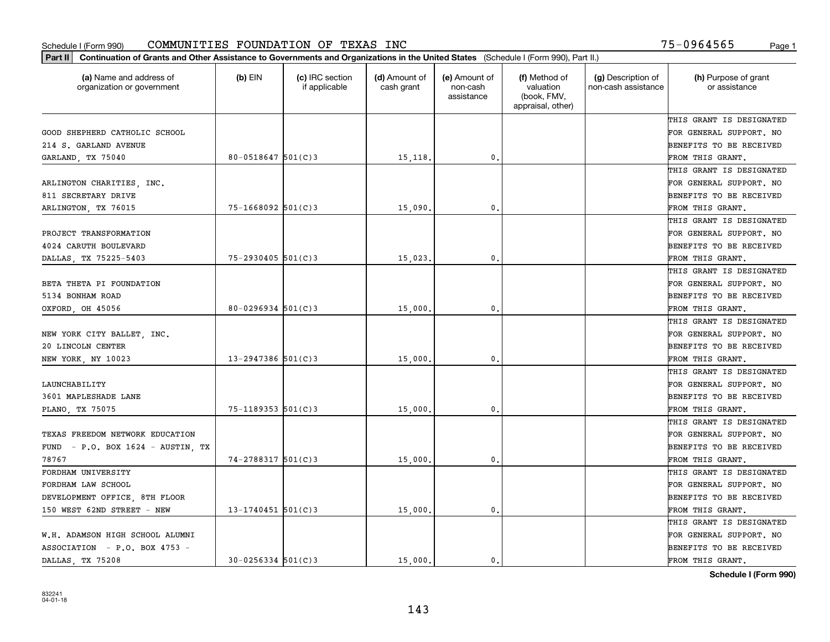| Part II   Continuation of Grants and Other Assistance to Governments and Organizations in the United States (Schedule I (Form 990), Part II.) |                          |                                  |                             |                                         |                                                                |                                           |                                       |
|-----------------------------------------------------------------------------------------------------------------------------------------------|--------------------------|----------------------------------|-----------------------------|-----------------------------------------|----------------------------------------------------------------|-------------------------------------------|---------------------------------------|
| (a) Name and address of<br>organization or government                                                                                         | $(b)$ EIN                | (c) IRC section<br>if applicable | (d) Amount of<br>cash grant | (e) Amount of<br>non-cash<br>assistance | (f) Method of<br>valuation<br>(book, FMV,<br>appraisal, other) | (g) Description of<br>non-cash assistance | (h) Purpose of grant<br>or assistance |
|                                                                                                                                               |                          |                                  |                             |                                         |                                                                |                                           | THIS GRANT IS DESIGNATED              |
| GOOD SHEPHERD CATHOLIC SCHOOL                                                                                                                 |                          |                                  |                             |                                         |                                                                |                                           | FOR GENERAL SUPPORT. NO               |
| 214 S. GARLAND AVENUE                                                                                                                         |                          |                                  |                             |                                         |                                                                |                                           | BENEFITS TO BE RECEIVED               |
| GARLAND, TX 75040                                                                                                                             | 80-0518647 $501(C)3$     |                                  | 15,118.                     | 0.                                      |                                                                |                                           | FROM THIS GRANT.                      |
|                                                                                                                                               |                          |                                  |                             |                                         |                                                                |                                           | THIS GRANT IS DESIGNATED              |
| ARLINGTON CHARITIES, INC.                                                                                                                     |                          |                                  |                             |                                         |                                                                |                                           | FOR GENERAL SUPPORT. NO               |
| 811 SECRETARY DRIVE                                                                                                                           |                          |                                  |                             |                                         |                                                                |                                           | BENEFITS TO BE RECEIVED               |
| ARLINGTON, TX 76015                                                                                                                           | $75 - 1668092$ 501(C)3   |                                  | 15,090                      | 0.                                      |                                                                |                                           | FROM THIS GRANT.                      |
|                                                                                                                                               |                          |                                  |                             |                                         |                                                                |                                           | THIS GRANT IS DESIGNATED              |
| PROJECT TRANSFORMATION                                                                                                                        |                          |                                  |                             |                                         |                                                                |                                           | FOR GENERAL SUPPORT. NO               |
| 4024 CARUTH BOULEVARD                                                                                                                         |                          |                                  |                             |                                         |                                                                |                                           | BENEFITS TO BE RECEIVED               |
| DALLAS, TX 75225-5403                                                                                                                         | $75 - 2930405$ 501(C)3   |                                  | 15,023.                     | $\mathfrak{o}$ .                        |                                                                |                                           | FROM THIS GRANT.                      |
|                                                                                                                                               |                          |                                  |                             |                                         |                                                                |                                           | THIS GRANT IS DESIGNATED              |
| BETA THETA PI FOUNDATION                                                                                                                      |                          |                                  |                             |                                         |                                                                |                                           | FOR GENERAL SUPPORT. NO               |
| 5134 BONHAM ROAD                                                                                                                              |                          |                                  |                             |                                         |                                                                |                                           | <b>BENEFITS TO BE RECEIVED</b>        |
| OXFORD, OH 45056                                                                                                                              | $80 - 0296934$ 501(C)3   |                                  | 15,000.                     | 0.                                      |                                                                |                                           | FROM THIS GRANT.                      |
|                                                                                                                                               |                          |                                  |                             |                                         |                                                                |                                           | THIS GRANT IS DESIGNATED              |
| NEW YORK CITY BALLET, INC.                                                                                                                    |                          |                                  |                             |                                         |                                                                |                                           | FOR GENERAL SUPPORT. NO               |
| 20 LINCOLN CENTER                                                                                                                             |                          |                                  |                             |                                         |                                                                |                                           | BENEFITS TO BE RECEIVED               |
| NEW YORK, NY 10023                                                                                                                            | $13 - 2947386$ 501(C)3   |                                  | 15,000                      | 0.                                      |                                                                |                                           | FROM THIS GRANT.                      |
|                                                                                                                                               |                          |                                  |                             |                                         |                                                                |                                           | THIS GRANT IS DESIGNATED              |
| LAUNCHABILITY                                                                                                                                 |                          |                                  |                             |                                         |                                                                |                                           | FOR GENERAL SUPPORT. NO               |
| 3601 MAPLESHADE LANE                                                                                                                          |                          |                                  |                             |                                         |                                                                |                                           | BENEFITS TO BE RECEIVED               |
| PLANO, TX 75075                                                                                                                               | $75 - 1189353$ $501(C)3$ |                                  | 15,000                      | 0.                                      |                                                                |                                           | FROM THIS GRANT.                      |
|                                                                                                                                               |                          |                                  |                             |                                         |                                                                |                                           | THIS GRANT IS DESIGNATED              |
| TEXAS FREEDOM NETWORK EDUCATION                                                                                                               |                          |                                  |                             |                                         |                                                                |                                           | FOR GENERAL SUPPORT. NO               |
| FUND - $P.O.$ BOX 1624 - AUSTIN, TX                                                                                                           |                          |                                  |                             |                                         |                                                                |                                           | BENEFITS TO BE RECEIVED               |
| 78767                                                                                                                                         | 74-2788317 501(C)3       |                                  | 15,000                      | 0.                                      |                                                                |                                           | FROM THIS GRANT.                      |
| FORDHAM UNIVERSITY                                                                                                                            |                          |                                  |                             |                                         |                                                                |                                           | THIS GRANT IS DESIGNATED              |
| FORDHAM LAW SCHOOL                                                                                                                            |                          |                                  |                             |                                         |                                                                |                                           | FOR GENERAL SUPPORT. NO               |
| DEVELOPMENT OFFICE, 8TH FLOOR                                                                                                                 |                          |                                  |                             |                                         |                                                                |                                           | BENEFITS TO BE RECEIVED               |
| 150 WEST 62ND STREET - NEW                                                                                                                    | $13 - 1740451$ 501(C)3   |                                  | 15,000                      | 0.                                      |                                                                |                                           | FROM THIS GRANT.                      |
|                                                                                                                                               |                          |                                  |                             |                                         |                                                                |                                           | THIS GRANT IS DESIGNATED              |
| W.H. ADAMSON HIGH SCHOOL ALUMNI                                                                                                               |                          |                                  |                             |                                         |                                                                |                                           | FOR GENERAL SUPPORT. NO               |
| ASSOCIATION - P.O. BOX 4753 -                                                                                                                 |                          |                                  |                             |                                         |                                                                |                                           | <b>BENEFITS TO BE RECEIVED</b>        |
| DALLAS, TX 75208                                                                                                                              | $30 - 0256334$ 501(C)3   |                                  | 15,000.                     | 0.                                      |                                                                |                                           | FROM THIS GRANT.                      |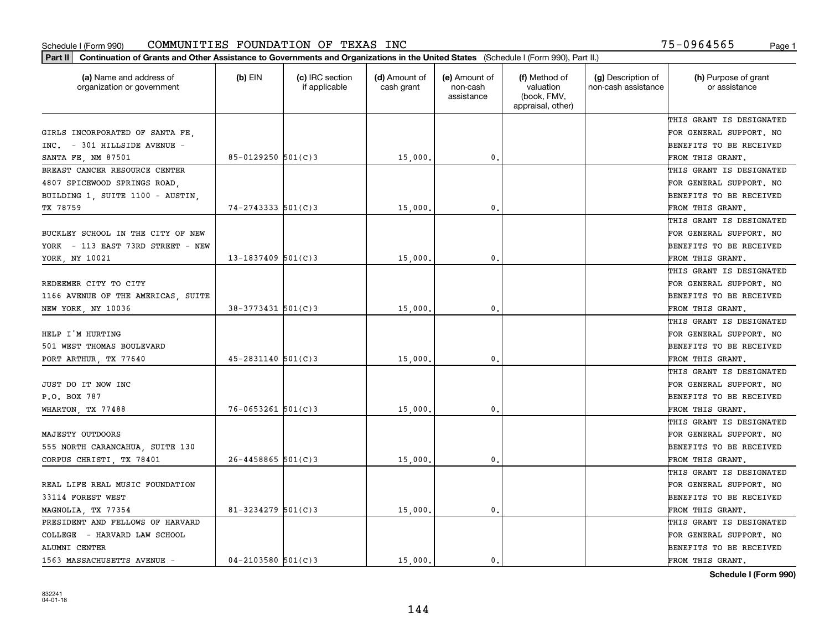| Part II   Continuation of Grants and Other Assistance to Governments and Organizations in the United States (Schedule I (Form 990), Part II.) |                          |                                  |                             |                                         |                                                                |                                           |                                       |
|-----------------------------------------------------------------------------------------------------------------------------------------------|--------------------------|----------------------------------|-----------------------------|-----------------------------------------|----------------------------------------------------------------|-------------------------------------------|---------------------------------------|
| (a) Name and address of<br>organization or government                                                                                         | $(b)$ EIN                | (c) IRC section<br>if applicable | (d) Amount of<br>cash grant | (e) Amount of<br>non-cash<br>assistance | (f) Method of<br>valuation<br>(book, FMV,<br>appraisal, other) | (g) Description of<br>non-cash assistance | (h) Purpose of grant<br>or assistance |
|                                                                                                                                               |                          |                                  |                             |                                         |                                                                |                                           | THIS GRANT IS DESIGNATED              |
| GIRLS INCORPORATED OF SANTA FE,                                                                                                               |                          |                                  |                             |                                         |                                                                |                                           | FOR GENERAL SUPPORT. NO               |
| INC. - 301 HILLSIDE AVENUE -                                                                                                                  |                          |                                  |                             |                                         |                                                                |                                           | BENEFITS TO BE RECEIVED               |
| SANTA FE, NM 87501                                                                                                                            | $85 - 0129250$ 501(C)3   |                                  | 15,000.                     | 0.                                      |                                                                |                                           | FROM THIS GRANT.                      |
| BREAST CANCER RESOURCE CENTER                                                                                                                 |                          |                                  |                             |                                         |                                                                |                                           | THIS GRANT IS DESIGNATED              |
| 4807 SPICEWOOD SPRINGS ROAD.                                                                                                                  |                          |                                  |                             |                                         |                                                                |                                           | FOR GENERAL SUPPORT. NO               |
| BUILDING 1, SUITE 1100 - AUSTIN,                                                                                                              |                          |                                  |                             |                                         |                                                                |                                           | BENEFITS TO BE RECEIVED               |
| TX 78759                                                                                                                                      | $74 - 2743333$ $501(C)3$ |                                  | 15,000                      | $\mathbf{0}$                            |                                                                |                                           | FROM THIS GRANT.                      |
|                                                                                                                                               |                          |                                  |                             |                                         |                                                                |                                           | THIS GRANT IS DESIGNATED              |
| BUCKLEY SCHOOL IN THE CITY OF NEW                                                                                                             |                          |                                  |                             |                                         |                                                                |                                           | FOR GENERAL SUPPORT. NO               |
| YORK - 113 EAST 73RD STREET - NEW                                                                                                             |                          |                                  |                             |                                         |                                                                |                                           | BENEFITS TO BE RECEIVED               |
| YORK, NY 10021                                                                                                                                | $13 - 1837409$ 501(C)3   |                                  | 15,000                      | 0.                                      |                                                                |                                           | FROM THIS GRANT.                      |
|                                                                                                                                               |                          |                                  |                             |                                         |                                                                |                                           | THIS GRANT IS DESIGNATED              |
| REDEEMER CITY TO CITY                                                                                                                         |                          |                                  |                             |                                         |                                                                |                                           | FOR GENERAL SUPPORT. NO               |
| 1166 AVENUE OF THE AMERICAS, SUITE                                                                                                            |                          |                                  |                             |                                         |                                                                |                                           | <b>BENEFITS TO BE RECEIVED</b>        |
| NEW YORK, NY 10036                                                                                                                            | $38 - 3773431$ 501(C)3   |                                  | 15,000.                     | 0.                                      |                                                                |                                           | FROM THIS GRANT.                      |
|                                                                                                                                               |                          |                                  |                             |                                         |                                                                |                                           | THIS GRANT IS DESIGNATED              |
| HELP I'M HURTING                                                                                                                              |                          |                                  |                             |                                         |                                                                |                                           | FOR GENERAL SUPPORT. NO               |
| 501 WEST THOMAS BOULEVARD                                                                                                                     |                          |                                  |                             |                                         |                                                                |                                           | BENEFITS TO BE RECEIVED               |
| PORT ARTHUR, TX 77640                                                                                                                         | $45 - 2831140$ 501(C)3   |                                  | 15,000                      | $\mathbf{0}$                            |                                                                |                                           | FROM THIS GRANT.                      |
|                                                                                                                                               |                          |                                  |                             |                                         |                                                                |                                           | THIS GRANT IS DESIGNATED              |
| JUST DO IT NOW INC                                                                                                                            |                          |                                  |                             |                                         |                                                                |                                           | FOR GENERAL SUPPORT. NO               |
| P.O. BOX 787                                                                                                                                  |                          |                                  |                             |                                         |                                                                |                                           | BENEFITS TO BE RECEIVED               |
| WHARTON, TX 77488                                                                                                                             | $76 - 0653261$ 501(C)3   |                                  | 15,000                      | 0.                                      |                                                                |                                           | FROM THIS GRANT.                      |
|                                                                                                                                               |                          |                                  |                             |                                         |                                                                |                                           | THIS GRANT IS DESIGNATED              |
| MAJESTY OUTDOORS                                                                                                                              |                          |                                  |                             |                                         |                                                                |                                           | FOR GENERAL SUPPORT. NO               |
| 555 NORTH CARANCAHUA, SUITE 130                                                                                                               |                          |                                  |                             |                                         |                                                                |                                           | BENEFITS TO BE RECEIVED               |
| CORPUS CHRISTI, TX 78401                                                                                                                      | $26 - 4458865$ 501(C)3   |                                  | 15,000                      | 0.                                      |                                                                |                                           | FROM THIS GRANT.                      |
|                                                                                                                                               |                          |                                  |                             |                                         |                                                                |                                           | THIS GRANT IS DESIGNATED              |
| REAL LIFE REAL MUSIC FOUNDATION                                                                                                               |                          |                                  |                             |                                         |                                                                |                                           | FOR GENERAL SUPPORT. NO               |
| 33114 FOREST WEST                                                                                                                             |                          |                                  |                             |                                         |                                                                |                                           | BENEFITS TO BE RECEIVED               |
| MAGNOLIA, TX 77354                                                                                                                            | 81-3234279 $501(C)3$     |                                  | 15,000.                     | $\mathbf{0}$ .                          |                                                                |                                           | FROM THIS GRANT.                      |
| PRESIDENT AND FELLOWS OF HARVARD                                                                                                              |                          |                                  |                             |                                         |                                                                |                                           | THIS GRANT IS DESIGNATED              |
| COLLEGE - HARVARD LAW SCHOOL                                                                                                                  |                          |                                  |                             |                                         |                                                                |                                           | FOR GENERAL SUPPORT. NO               |
| ALUMNI CENTER                                                                                                                                 |                          |                                  |                             |                                         |                                                                |                                           | <b>BENEFITS TO BE RECEIVED</b>        |
| 1563 MASSACHUSETTS AVENUE -                                                                                                                   | $04 - 2103580$ 501(C)3   |                                  | 15,000.                     | $\mathbf{0}$ .                          |                                                                |                                           | FROM THIS GRANT.                      |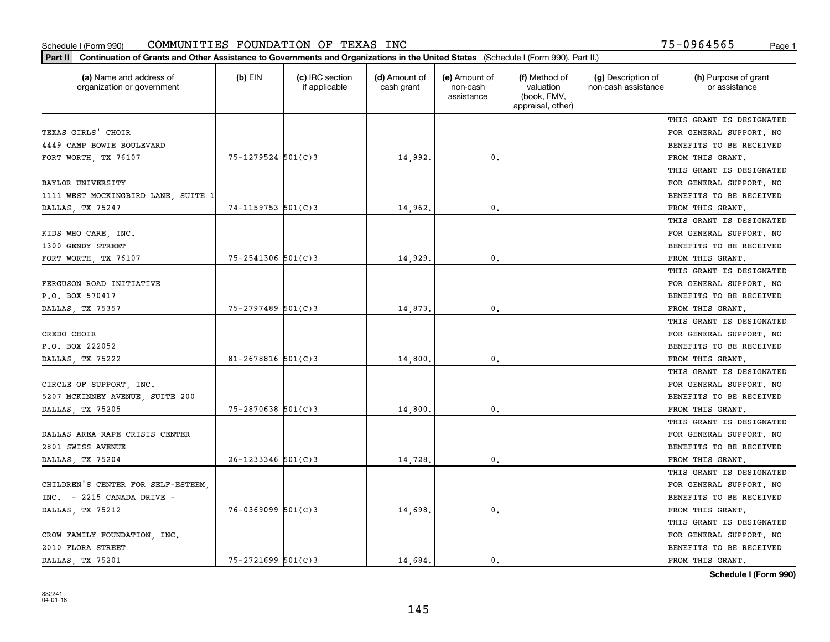| Part II   Continuation of Grants and Other Assistance to Governments and Organizations in the United States (Schedule I (Form 990), Part II.) |                        |                                  |                             |                                         |                                                                |                                           |                                       |
|-----------------------------------------------------------------------------------------------------------------------------------------------|------------------------|----------------------------------|-----------------------------|-----------------------------------------|----------------------------------------------------------------|-------------------------------------------|---------------------------------------|
| (a) Name and address of<br>organization or government                                                                                         | $(b)$ EIN              | (c) IRC section<br>if applicable | (d) Amount of<br>cash grant | (e) Amount of<br>non-cash<br>assistance | (f) Method of<br>valuation<br>(book, FMV,<br>appraisal, other) | (g) Description of<br>non-cash assistance | (h) Purpose of grant<br>or assistance |
|                                                                                                                                               |                        |                                  |                             |                                         |                                                                |                                           | THIS GRANT IS DESIGNATED              |
| TEXAS GIRLS' CHOIR                                                                                                                            |                        |                                  |                             |                                         |                                                                |                                           | FOR GENERAL SUPPORT. NO               |
| 4449 CAMP BOWIE BOULEVARD                                                                                                                     |                        |                                  |                             |                                         |                                                                |                                           | BENEFITS TO BE RECEIVED               |
| FORT WORTH, TX 76107                                                                                                                          | $75 - 1279524$ 501(C)3 |                                  | 14,992.                     | 0.                                      |                                                                |                                           | FROM THIS GRANT.                      |
|                                                                                                                                               |                        |                                  |                             |                                         |                                                                |                                           | THIS GRANT IS DESIGNATED              |
| <b>BAYLOR UNIVERSITY</b>                                                                                                                      |                        |                                  |                             |                                         |                                                                |                                           | FOR GENERAL SUPPORT. NO               |
| 1111 WEST MOCKINGBIRD LANE, SUITE 1                                                                                                           |                        |                                  |                             |                                         |                                                                |                                           | BENEFITS TO BE RECEIVED               |
| DALLAS, TX 75247                                                                                                                              | $74 - 1159753$ 501(C)3 |                                  | 14,962.                     | 0.                                      |                                                                |                                           | FROM THIS GRANT.                      |
|                                                                                                                                               |                        |                                  |                             |                                         |                                                                |                                           | THIS GRANT IS DESIGNATED              |
| KIDS WHO CARE, INC.                                                                                                                           |                        |                                  |                             |                                         |                                                                |                                           | FOR GENERAL SUPPORT. NO               |
| 1300 GENDY STREET                                                                                                                             |                        |                                  |                             |                                         |                                                                |                                           | BENEFITS TO BE RECEIVED               |
| FORT WORTH, TX 76107                                                                                                                          | $75 - 2541306$ 501(C)3 |                                  | 14,929                      | 0.                                      |                                                                |                                           | FROM THIS GRANT.                      |
|                                                                                                                                               |                        |                                  |                             |                                         |                                                                |                                           | THIS GRANT IS DESIGNATED              |
| FERGUSON ROAD INITIATIVE                                                                                                                      |                        |                                  |                             |                                         |                                                                |                                           | FOR GENERAL SUPPORT. NO               |
| P.O. BOX 570417                                                                                                                               |                        |                                  |                             |                                         |                                                                |                                           | <b>BENEFITS TO BE RECEIVED</b>        |
| DALLAS, TX 75357                                                                                                                              | $75 - 2797489$ 501(C)3 |                                  | 14,873.                     | 0.                                      |                                                                |                                           | FROM THIS GRANT.                      |
|                                                                                                                                               |                        |                                  |                             |                                         |                                                                |                                           | THIS GRANT IS DESIGNATED              |
| CREDO CHOIR                                                                                                                                   |                        |                                  |                             |                                         |                                                                |                                           | FOR GENERAL SUPPORT. NO               |
| P.O. BOX 222052                                                                                                                               |                        |                                  |                             |                                         |                                                                |                                           | BENEFITS TO BE RECEIVED               |
| DALLAS, TX 75222                                                                                                                              | 81-2678816 $501(C)$ 3  |                                  | 14,800                      | 0.                                      |                                                                |                                           | FROM THIS GRANT.                      |
|                                                                                                                                               |                        |                                  |                             |                                         |                                                                |                                           | THIS GRANT IS DESIGNATED              |
| CIRCLE OF SUPPORT, INC.                                                                                                                       |                        |                                  |                             |                                         |                                                                |                                           | FOR GENERAL SUPPORT. NO               |
| 5207 MCKINNEY AVENUE, SUITE 200                                                                                                               |                        |                                  |                             |                                         |                                                                |                                           | <b>BENEFITS TO BE RECEIVED</b>        |
| DALLAS, TX 75205                                                                                                                              | $75 - 2870638$ 501(C)3 |                                  | 14,800                      | 0.                                      |                                                                |                                           | FROM THIS GRANT.                      |
|                                                                                                                                               |                        |                                  |                             |                                         |                                                                |                                           | THIS GRANT IS DESIGNATED              |
| DALLAS AREA RAPE CRISIS CENTER                                                                                                                |                        |                                  |                             |                                         |                                                                |                                           | FOR GENERAL SUPPORT. NO               |
| 2801 SWISS AVENUE                                                                                                                             |                        |                                  |                             |                                         |                                                                |                                           | BENEFITS TO BE RECEIVED               |
| DALLAS, TX 75204                                                                                                                              | $26 - 1233346$ 501(C)3 |                                  | 14,728.                     | 0.                                      |                                                                |                                           | FROM THIS GRANT.                      |
|                                                                                                                                               |                        |                                  |                             |                                         |                                                                |                                           | THIS GRANT IS DESIGNATED              |
| CHILDREN'S CENTER FOR SELF-ESTEEM,                                                                                                            |                        |                                  |                             |                                         |                                                                |                                           | FOR GENERAL SUPPORT. NO               |
| $INC. = 2215$ CANADA DRIVE -                                                                                                                  |                        |                                  |                             |                                         |                                                                |                                           | BENEFITS TO BE RECEIVED               |
| DALLAS, TX 75212                                                                                                                              | $76 - 0369099$ 501(C)3 |                                  | 14,698.                     | 0.                                      |                                                                |                                           | FROM THIS GRANT.                      |
|                                                                                                                                               |                        |                                  |                             |                                         |                                                                |                                           | THIS GRANT IS DESIGNATED              |
| CROW FAMILY FOUNDATION, INC.                                                                                                                  |                        |                                  |                             |                                         |                                                                |                                           | FOR GENERAL SUPPORT. NO               |
| 2010 FLORA STREET                                                                                                                             |                        |                                  |                             |                                         |                                                                |                                           | <b>BENEFITS TO BE RECEIVED</b>        |
| DALLAS TX 75201                                                                                                                               | $75 - 2721699$ 501(C)3 |                                  | 14,684.                     | $\mathbf{0}$ .                          |                                                                |                                           | FROM THIS GRANT.                      |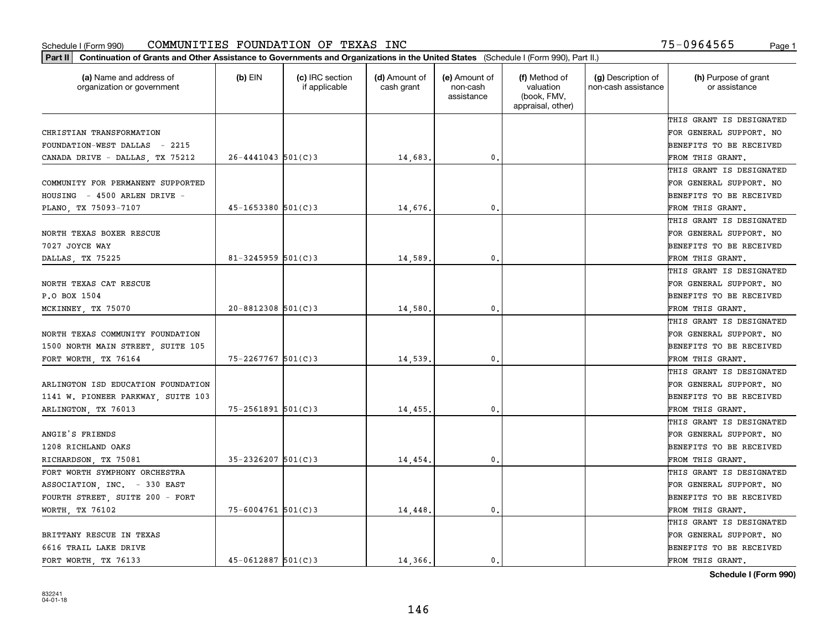| (a) Name and address of<br>organization or government | (b) EIN                | (c) IRC section<br>if applicable | (d) Amount of<br>cash grant | (e) Amount of<br>non-cash<br>assistance | (f) Method of<br>valuation<br>(book, FMV,<br>appraisal, other) | (g) Description of<br>non-cash assistance | (h) Purpose of grant<br>or assistance |
|-------------------------------------------------------|------------------------|----------------------------------|-----------------------------|-----------------------------------------|----------------------------------------------------------------|-------------------------------------------|---------------------------------------|
|                                                       |                        |                                  |                             |                                         |                                                                |                                           | THIS GRANT IS DESIGNATED              |
| CHRISTIAN TRANSFORMATION                              |                        |                                  |                             |                                         |                                                                |                                           | FOR GENERAL SUPPORT. NO               |
| FOUNDATION-WEST DALLAS - 2215                         |                        |                                  |                             |                                         |                                                                |                                           | BENEFITS TO BE RECEIVED               |
| CANADA DRIVE - DALLAS, TX 75212                       | $26 - 4441043$ 501(C)3 |                                  | 14,683                      | 0.                                      |                                                                |                                           | FROM THIS GRANT.                      |
|                                                       |                        |                                  |                             |                                         |                                                                |                                           | THIS GRANT IS DESIGNATED              |
| COMMUNITY FOR PERMANENT SUPPORTED                     |                        |                                  |                             |                                         |                                                                |                                           | FOR GENERAL SUPPORT. NO               |
| HOUSING - 4500 ARLEN DRIVE -                          |                        |                                  |                             |                                         |                                                                |                                           | BENEFITS TO BE RECEIVED               |
| PLANO, TX 75093-7107                                  | $45 - 1653380$ 501(C)3 |                                  | 14,676                      | $\mathbf{0}$                            |                                                                |                                           | FROM THIS GRANT.                      |
|                                                       |                        |                                  |                             |                                         |                                                                |                                           | THIS GRANT IS DESIGNATED              |
| NORTH TEXAS BOXER RESCUE                              |                        |                                  |                             |                                         |                                                                |                                           | FOR GENERAL SUPPORT. NO               |
| 7027 JOYCE WAY                                        |                        |                                  |                             |                                         |                                                                |                                           | BENEFITS TO BE RECEIVED               |
| DALLAS, TX 75225                                      | $81 - 3245959$ 501(C)3 |                                  | 14,589                      | 0.                                      |                                                                |                                           | FROM THIS GRANT.                      |
|                                                       |                        |                                  |                             |                                         |                                                                |                                           | THIS GRANT IS DESIGNATED              |
| NORTH TEXAS CAT RESCUE                                |                        |                                  |                             |                                         |                                                                |                                           | FOR GENERAL SUPPORT. NO               |
| P.O BOX 1504                                          |                        |                                  |                             |                                         |                                                                |                                           | BENEFITS TO BE RECEIVED               |
| MCKINNEY, TX 75070                                    | $20 - 8812308$ 501(C)3 |                                  | 14,580                      | $\mathbf{0}$                            |                                                                |                                           | FROM THIS GRANT.                      |
|                                                       |                        |                                  |                             |                                         |                                                                |                                           | THIS GRANT IS DESIGNATED              |
| NORTH TEXAS COMMUNITY FOUNDATION                      |                        |                                  |                             |                                         |                                                                |                                           | FOR GENERAL SUPPORT. NO               |
| 1500 NORTH MAIN STREET, SUITE 105                     |                        |                                  |                             |                                         |                                                                |                                           | BENEFITS TO BE RECEIVED               |
| FORT WORTH, TX 76164                                  | $75 - 2267767$ 501(C)3 |                                  | 14,539                      | 0.                                      |                                                                |                                           | FROM THIS GRANT.                      |
|                                                       |                        |                                  |                             |                                         |                                                                |                                           | THIS GRANT IS DESIGNATED              |
| ARLINGTON ISD EDUCATION FOUNDATION                    |                        |                                  |                             |                                         |                                                                |                                           | FOR GENERAL SUPPORT. NO               |
| 1141 W. PIONEER PARKWAY, SUITE 103                    |                        |                                  |                             |                                         |                                                                |                                           | BENEFITS TO BE RECEIVED               |
| ARLINGTON, TX 76013                                   | $75 - 2561891$ 501(C)3 |                                  | 14,455                      | $\mathbf{0}$                            |                                                                |                                           | FROM THIS GRANT.                      |
|                                                       |                        |                                  |                             |                                         |                                                                |                                           | THIS GRANT IS DESIGNATED              |
| ANGIE'S FRIENDS                                       |                        |                                  |                             |                                         |                                                                |                                           | FOR GENERAL SUPPORT. NO               |
| 1208 RICHLAND OAKS                                    |                        |                                  |                             |                                         |                                                                |                                           | BENEFITS TO BE RECEIVED               |
| RICHARDSON, TX 75081                                  | $35 - 2326207$ 501(C)3 |                                  | 14,454                      | $\mathbf{0}$ .                          |                                                                |                                           | FROM THIS GRANT.                      |
| FORT WORTH SYMPHONY ORCHESTRA                         |                        |                                  |                             |                                         |                                                                |                                           | THIS GRANT IS DESIGNATED              |
| ASSOCIATION, INC. - 330 EAST                          |                        |                                  |                             |                                         |                                                                |                                           | FOR GENERAL SUPPORT. NO               |
| FOURTH STREET, SUITE 200 - FORT                       |                        |                                  |                             |                                         |                                                                |                                           | BENEFITS TO BE RECEIVED               |
| WORTH TX 76102                                        | $75 - 6004761$ 501(C)3 |                                  | 14,448                      | $\mathbf{0}$                            |                                                                |                                           | FROM THIS GRANT.                      |
|                                                       |                        |                                  |                             |                                         |                                                                |                                           | THIS GRANT IS DESIGNATED              |
| BRITTANY RESCUE IN TEXAS                              |                        |                                  |                             |                                         |                                                                |                                           | FOR GENERAL SUPPORT. NO               |
| 6616 TRAIL LAKE DRIVE                                 |                        |                                  |                             |                                         |                                                                |                                           | BENEFITS TO BE RECEIVED               |
| FORT WORTH, TX 76133                                  | $45 - 0612887$ 501(C)3 |                                  | 14,366.                     | 0.                                      |                                                                |                                           | FROM THIS GRANT.                      |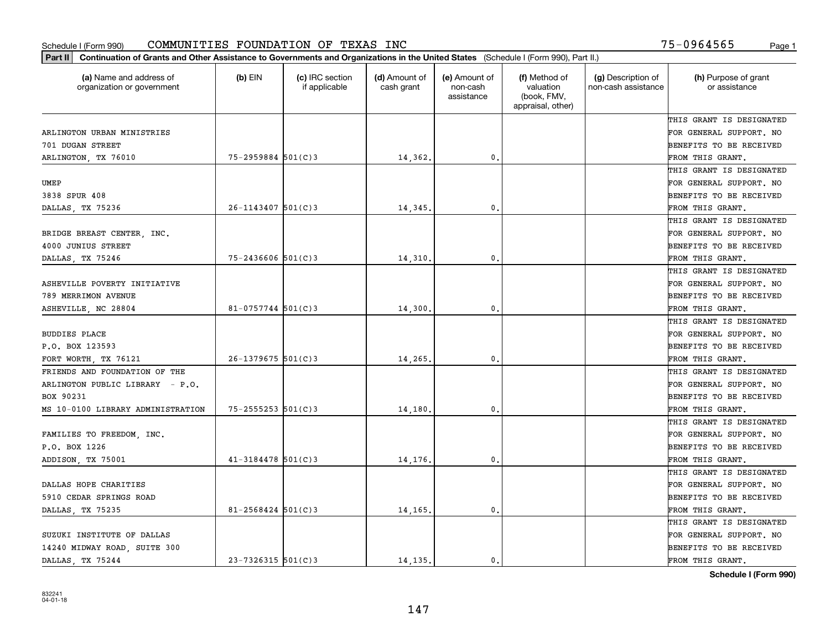| (a) Name and address of<br>organization or government | $(b)$ EIN              | (c) IRC section<br>if applicable | (d) Amount of<br>cash grant | (e) Amount of<br>non-cash<br>assistance | (f) Method of<br>valuation<br>(book, FMV,<br>appraisal, other) | (g) Description of<br>non-cash assistance | (h) Purpose of grant<br>or assistance |
|-------------------------------------------------------|------------------------|----------------------------------|-----------------------------|-----------------------------------------|----------------------------------------------------------------|-------------------------------------------|---------------------------------------|
|                                                       |                        |                                  |                             |                                         |                                                                |                                           | THIS GRANT IS DESIGNATED              |
| ARLINGTON URBAN MINISTRIES                            |                        |                                  |                             |                                         |                                                                |                                           | FOR GENERAL SUPPORT. NO               |
| 701 DUGAN STREET                                      |                        |                                  |                             |                                         |                                                                |                                           | BENEFITS TO BE RECEIVED               |
| ARLINGTON, TX 76010                                   | $75 - 2959884$ 501(C)3 |                                  | 14,362.                     | 0.                                      |                                                                |                                           | FROM THIS GRANT.                      |
|                                                       |                        |                                  |                             |                                         |                                                                |                                           | THIS GRANT IS DESIGNATED              |
| UMEP                                                  |                        |                                  |                             |                                         |                                                                |                                           | FOR GENERAL SUPPORT. NO               |
| 3838 SPUR 408                                         |                        |                                  |                             |                                         |                                                                |                                           | BENEFITS TO BE RECEIVED               |
| DALLAS, TX 75236                                      | 26-1143407 501(C)3     |                                  | 14,345                      | $\mathbf{0}$                            |                                                                |                                           | FROM THIS GRANT.                      |
|                                                       |                        |                                  |                             |                                         |                                                                |                                           | THIS GRANT IS DESIGNATED              |
| BRIDGE BREAST CENTER, INC.                            |                        |                                  |                             |                                         |                                                                |                                           | FOR GENERAL SUPPORT. NO               |
| 4000 JUNIUS STREET                                    |                        |                                  |                             |                                         |                                                                |                                           | BENEFITS TO BE RECEIVED               |
| DALLAS, TX 75246                                      | $75 - 2436606$ 501(C)3 |                                  | 14,310.                     | $\mathbf{0}$ .                          |                                                                |                                           | FROM THIS GRANT.                      |
|                                                       |                        |                                  |                             |                                         |                                                                |                                           | THIS GRANT IS DESIGNATED              |
| ASHEVILLE POVERTY INITIATIVE                          |                        |                                  |                             |                                         |                                                                |                                           | FOR GENERAL SUPPORT. NO               |
| 789 MERRIMON AVENUE                                   |                        |                                  |                             |                                         |                                                                |                                           | BENEFITS TO BE RECEIVED               |
| ASHEVILLE, NC 28804                                   | 81-0757744 $501(C)3$   |                                  | 14,300                      | 0.                                      |                                                                |                                           | FROM THIS GRANT.                      |
|                                                       |                        |                                  |                             |                                         |                                                                |                                           | THIS GRANT IS DESIGNATED              |
| <b>BUDDIES PLACE</b>                                  |                        |                                  |                             |                                         |                                                                |                                           | FOR GENERAL SUPPORT. NO               |
| P.O. BOX 123593                                       |                        |                                  |                             |                                         |                                                                |                                           | BENEFITS TO BE RECEIVED               |
| FORT WORTH, TX 76121                                  | $26 - 1379675$ 501(C)3 |                                  | 14,265                      | 0.                                      |                                                                |                                           | FROM THIS GRANT.                      |
| FRIENDS AND FOUNDATION OF THE                         |                        |                                  |                             |                                         |                                                                |                                           | THIS GRANT IS DESIGNATED              |
| ARLINGTON PUBLIC LIBRARY - P.O.                       |                        |                                  |                             |                                         |                                                                |                                           | FOR GENERAL SUPPORT. NO               |
| BOX 90231                                             |                        |                                  |                             |                                         |                                                                |                                           | BENEFITS TO BE RECEIVED               |
| MS 10-0100 LIBRARY ADMINISTRATION                     | $75 - 2555253$ 501(C)3 |                                  | 14,180                      | 0.                                      |                                                                |                                           | FROM THIS GRANT.                      |
|                                                       |                        |                                  |                             |                                         |                                                                |                                           | THIS GRANT IS DESIGNATED              |
| FAMILIES TO FREEDOM, INC.                             |                        |                                  |                             |                                         |                                                                |                                           | FOR GENERAL SUPPORT. NO               |
| P.O. BOX 1226                                         |                        |                                  |                             |                                         |                                                                |                                           | BENEFITS TO BE RECEIVED               |
| ADDISON, TX 75001                                     | $41 - 3184478$ 501(C)3 |                                  | 14,176                      | $\mathbf{0}$ .                          |                                                                |                                           | FROM THIS GRANT.                      |
|                                                       |                        |                                  |                             |                                         |                                                                |                                           | THIS GRANT IS DESIGNATED              |
| DALLAS HOPE CHARITIES                                 |                        |                                  |                             |                                         |                                                                |                                           | FOR GENERAL SUPPORT. NO               |
| 5910 CEDAR SPRINGS ROAD                               |                        |                                  |                             |                                         |                                                                |                                           | BENEFITS TO BE RECEIVED               |
| DALLAS, TX 75235                                      | $81 - 2568424$ 501(C)3 |                                  | 14,165.                     | $\mathbf{0}$ .                          |                                                                |                                           | FROM THIS GRANT.                      |
|                                                       |                        |                                  |                             |                                         |                                                                |                                           | THIS GRANT IS DESIGNATED              |
| SUZUKI INSTITUTE OF DALLAS                            |                        |                                  |                             |                                         |                                                                |                                           | FOR GENERAL SUPPORT. NO               |
| 14240 MIDWAY ROAD, SUITE 300                          |                        |                                  |                             |                                         |                                                                |                                           | BENEFITS TO BE RECEIVED               |
| DALLAS, TX 75244                                      | $23 - 7326315$ 501(C)3 |                                  | 14.135.                     | 0.                                      |                                                                |                                           | FROM THIS GRANT.                      |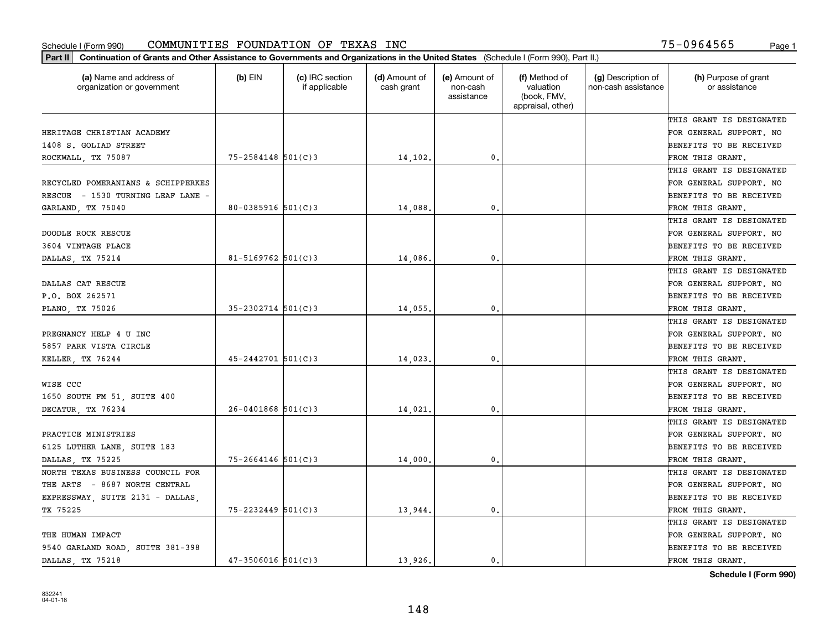| Part II   Continuation of Grants and Other Assistance to Governments and Organizations in the United States (Schedule I (Form 990), Part II.) |                        |                                  |                             |                                         |                                                                |                                           |                                       |
|-----------------------------------------------------------------------------------------------------------------------------------------------|------------------------|----------------------------------|-----------------------------|-----------------------------------------|----------------------------------------------------------------|-------------------------------------------|---------------------------------------|
| (a) Name and address of<br>organization or government                                                                                         | $(b)$ EIN              | (c) IRC section<br>if applicable | (d) Amount of<br>cash grant | (e) Amount of<br>non-cash<br>assistance | (f) Method of<br>valuation<br>(book, FMV,<br>appraisal, other) | (g) Description of<br>non-cash assistance | (h) Purpose of grant<br>or assistance |
|                                                                                                                                               |                        |                                  |                             |                                         |                                                                |                                           | THIS GRANT IS DESIGNATED              |
| HERITAGE CHRISTIAN ACADEMY                                                                                                                    |                        |                                  |                             |                                         |                                                                |                                           | FOR GENERAL SUPPORT. NO               |
| 1408 S. GOLIAD STREET                                                                                                                         |                        |                                  |                             |                                         |                                                                |                                           | BENEFITS TO BE RECEIVED               |
| ROCKWALL, TX 75087                                                                                                                            | $75 - 2584148$ 501(C)3 |                                  | 14,102.                     | 0.                                      |                                                                |                                           | FROM THIS GRANT.                      |
|                                                                                                                                               |                        |                                  |                             |                                         |                                                                |                                           | THIS GRANT IS DESIGNATED              |
| RECYCLED POMERANIANS & SCHIPPERKES                                                                                                            |                        |                                  |                             |                                         |                                                                |                                           | FOR GENERAL SUPPORT. NO               |
| RESCUE - 1530 TURNING LEAF LANE -                                                                                                             |                        |                                  |                             |                                         |                                                                |                                           | BENEFITS TO BE RECEIVED               |
| GARLAND, TX 75040                                                                                                                             | $80 - 0385916$ 501(C)3 |                                  | 14,088.                     | 0.                                      |                                                                |                                           | FROM THIS GRANT.                      |
|                                                                                                                                               |                        |                                  |                             |                                         |                                                                |                                           | THIS GRANT IS DESIGNATED              |
| DOODLE ROCK RESCUE                                                                                                                            |                        |                                  |                             |                                         |                                                                |                                           | FOR GENERAL SUPPORT. NO               |
| 3604 VINTAGE PLACE                                                                                                                            |                        |                                  |                             |                                         |                                                                |                                           | BENEFITS TO BE RECEIVED               |
| DALLAS, TX 75214                                                                                                                              | 81-5169762 $501(C)3$   |                                  | 14,086.                     | 0.                                      |                                                                |                                           | FROM THIS GRANT.                      |
|                                                                                                                                               |                        |                                  |                             |                                         |                                                                |                                           | THIS GRANT IS DESIGNATED              |
| DALLAS CAT RESCUE                                                                                                                             |                        |                                  |                             |                                         |                                                                |                                           | FOR GENERAL SUPPORT. NO               |
| P.O. BOX 262571                                                                                                                               |                        |                                  |                             |                                         |                                                                |                                           | <b>BENEFITS TO BE RECEIVED</b>        |
| PLANO, TX 75026                                                                                                                               | $35 - 2302714$ 501(C)3 |                                  | 14,055.                     | 0.                                      |                                                                |                                           | FROM THIS GRANT.                      |
|                                                                                                                                               |                        |                                  |                             |                                         |                                                                |                                           | THIS GRANT IS DESIGNATED              |
| PREGNANCY HELP 4 U INC                                                                                                                        |                        |                                  |                             |                                         |                                                                |                                           | FOR GENERAL SUPPORT. NO               |
| 5857 PARK VISTA CIRCLE                                                                                                                        |                        |                                  |                             |                                         |                                                                |                                           | BENEFITS TO BE RECEIVED               |
| KELLER, TX 76244                                                                                                                              | $45 - 2442701$ 501(C)3 |                                  | 14,023.                     | 0.                                      |                                                                |                                           | FROM THIS GRANT.                      |
|                                                                                                                                               |                        |                                  |                             |                                         |                                                                |                                           | THIS GRANT IS DESIGNATED              |
| WISE CCC                                                                                                                                      |                        |                                  |                             |                                         |                                                                |                                           | FOR GENERAL SUPPORT. NO               |
| 1650 SOUTH FM 51, SUITE 400                                                                                                                   |                        |                                  |                             |                                         |                                                                |                                           | <b>BENEFITS TO BE RECEIVED</b>        |
| DECATUR, TX 76234                                                                                                                             | $26 - 0401868$ 501(C)3 |                                  | 14,021.                     | 0.                                      |                                                                |                                           | FROM THIS GRANT.                      |
|                                                                                                                                               |                        |                                  |                             |                                         |                                                                |                                           | THIS GRANT IS DESIGNATED              |
| PRACTICE MINISTRIES                                                                                                                           |                        |                                  |                             |                                         |                                                                |                                           | FOR GENERAL SUPPORT. NO               |
| 6125 LUTHER LANE, SUITE 183                                                                                                                   |                        |                                  |                             |                                         |                                                                |                                           | BENEFITS TO BE RECEIVED               |
| DALLAS, TX 75225                                                                                                                              | $75 - 2664146$ 501(C)3 |                                  | 14,000                      | 0.                                      |                                                                |                                           | FROM THIS GRANT.                      |
| NORTH TEXAS BUSINESS COUNCIL FOR                                                                                                              |                        |                                  |                             |                                         |                                                                |                                           | THIS GRANT IS DESIGNATED              |
| THE ARTS - 8687 NORTH CENTRAL                                                                                                                 |                        |                                  |                             |                                         |                                                                |                                           | FOR GENERAL SUPPORT. NO               |
| EXPRESSWAY, SUITE 2131 - DALLAS,                                                                                                              |                        |                                  |                             |                                         |                                                                |                                           | BENEFITS TO BE RECEIVED               |
| TX 75225                                                                                                                                      | $75 - 2232449$ 501(C)3 |                                  | 13,944.                     | $\mathbf{0}$ .                          |                                                                |                                           | FROM THIS GRANT.                      |
|                                                                                                                                               |                        |                                  |                             |                                         |                                                                |                                           | THIS GRANT IS DESIGNATED              |
| THE HUMAN IMPACT                                                                                                                              |                        |                                  |                             |                                         |                                                                |                                           | FOR GENERAL SUPPORT. NO               |
| 9540 GARLAND ROAD, SUITE 381-398                                                                                                              |                        |                                  |                             |                                         |                                                                |                                           | <b>BENEFITS TO BE RECEIVED</b>        |
| DALLAS, TX 75218                                                                                                                              | $47 - 3506016$ 501(C)3 |                                  | 13.926.                     | 0.                                      |                                                                |                                           | FROM THIS GRANT.                      |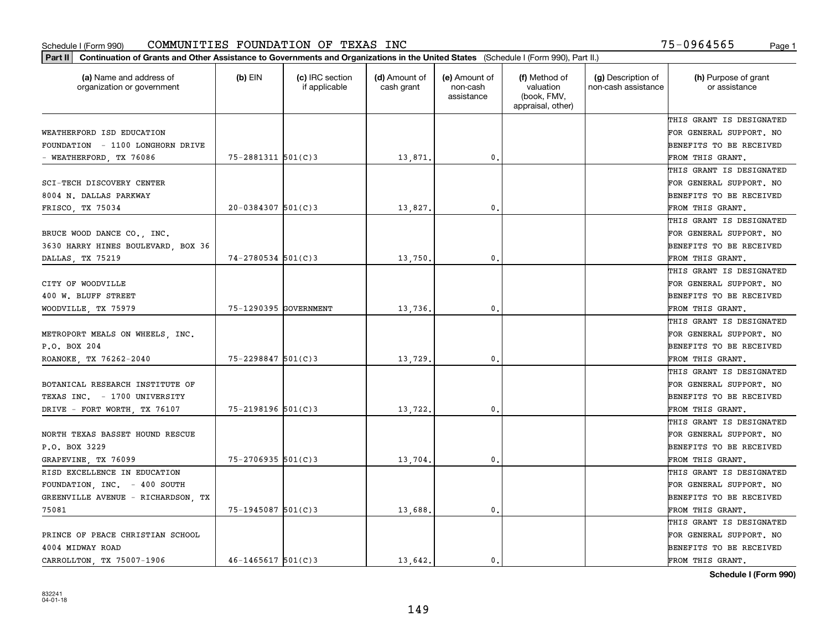| Part II   Continuation of Grants and Other Assistance to Governments and Organizations in the United States (Schedule I (Form 990), Part II.) |                          |                                  |                             |                                         |                                                                |                                           |                                       |
|-----------------------------------------------------------------------------------------------------------------------------------------------|--------------------------|----------------------------------|-----------------------------|-----------------------------------------|----------------------------------------------------------------|-------------------------------------------|---------------------------------------|
| (a) Name and address of<br>organization or government                                                                                         | $(b)$ EIN                | (c) IRC section<br>if applicable | (d) Amount of<br>cash grant | (e) Amount of<br>non-cash<br>assistance | (f) Method of<br>valuation<br>(book, FMV,<br>appraisal, other) | (g) Description of<br>non-cash assistance | (h) Purpose of grant<br>or assistance |
|                                                                                                                                               |                          |                                  |                             |                                         |                                                                |                                           | THIS GRANT IS DESIGNATED              |
| WEATHERFORD ISD EDUCATION                                                                                                                     |                          |                                  |                             |                                         |                                                                |                                           | FOR GENERAL SUPPORT. NO               |
| FOUNDATION - 1100 LONGHORN DRIVE                                                                                                              |                          |                                  |                             |                                         |                                                                |                                           | BENEFITS TO BE RECEIVED               |
| - WEATHERFORD, TX 76086                                                                                                                       | $75 - 2881311$ $501(C)3$ |                                  | 13,871.                     | 0.                                      |                                                                |                                           | FROM THIS GRANT.                      |
|                                                                                                                                               |                          |                                  |                             |                                         |                                                                |                                           | THIS GRANT IS DESIGNATED              |
| SCI-TECH DISCOVERY CENTER                                                                                                                     |                          |                                  |                             |                                         |                                                                |                                           | FOR GENERAL SUPPORT. NO               |
| 8004 N. DALLAS PARKWAY                                                                                                                        |                          |                                  |                             |                                         |                                                                |                                           | BENEFITS TO BE RECEIVED               |
| FRISCO, TX 75034                                                                                                                              | $20 - 0384307$ 501(C)3   |                                  | 13,827.                     | 0.                                      |                                                                |                                           | FROM THIS GRANT.                      |
|                                                                                                                                               |                          |                                  |                             |                                         |                                                                |                                           | THIS GRANT IS DESIGNATED              |
| BRUCE WOOD DANCE CO., INC.                                                                                                                    |                          |                                  |                             |                                         |                                                                |                                           | FOR GENERAL SUPPORT. NO               |
| 3630 HARRY HINES BOULEVARD, BOX 36                                                                                                            |                          |                                  |                             |                                         |                                                                |                                           | BENEFITS TO BE RECEIVED               |
| DALLAS, TX 75219                                                                                                                              | $74 - 2780534$ 501(C)3   |                                  | 13,750.                     | 0.                                      |                                                                |                                           | FROM THIS GRANT.                      |
|                                                                                                                                               |                          |                                  |                             |                                         |                                                                |                                           | THIS GRANT IS DESIGNATED              |
| CITY OF WOODVILLE                                                                                                                             |                          |                                  |                             |                                         |                                                                |                                           | FOR GENERAL SUPPORT. NO               |
| 400 W. BLUFF STREET                                                                                                                           |                          |                                  |                             |                                         |                                                                |                                           | <b>BENEFITS TO BE RECEIVED</b>        |
| WOODVILLE, TX 75979                                                                                                                           | 75-1290395 GOVERNMENT    |                                  | 13,736.                     | 0.                                      |                                                                |                                           | FROM THIS GRANT.                      |
|                                                                                                                                               |                          |                                  |                             |                                         |                                                                |                                           | THIS GRANT IS DESIGNATED              |
| METROPORT MEALS ON WHEELS, INC.                                                                                                               |                          |                                  |                             |                                         |                                                                |                                           | FOR GENERAL SUPPORT. NO               |
| P.O. BOX 204                                                                                                                                  |                          |                                  |                             |                                         |                                                                |                                           | BENEFITS TO BE RECEIVED               |
| ROANOKE TX 76262-2040                                                                                                                         | $75 - 2298847$ 501(C)3   |                                  | 13,729                      | 0.                                      |                                                                |                                           | FROM THIS GRANT.                      |
|                                                                                                                                               |                          |                                  |                             |                                         |                                                                |                                           | THIS GRANT IS DESIGNATED              |
| BOTANICAL RESEARCH INSTITUTE OF                                                                                                               |                          |                                  |                             |                                         |                                                                |                                           | FOR GENERAL SUPPORT. NO               |
| TEXAS INC. - 1700 UNIVERSITY                                                                                                                  |                          |                                  |                             |                                         |                                                                |                                           | <b>BENEFITS TO BE RECEIVED</b>        |
| DRIVE - FORT WORTH, TX 76107                                                                                                                  | $75 - 2198196$ 501(C)3   |                                  | 13,722.                     | 0.                                      |                                                                |                                           | FROM THIS GRANT.                      |
|                                                                                                                                               |                          |                                  |                             |                                         |                                                                |                                           | THIS GRANT IS DESIGNATED              |
| NORTH TEXAS BASSET HOUND RESCUE                                                                                                               |                          |                                  |                             |                                         |                                                                |                                           | FOR GENERAL SUPPORT. NO               |
| P.O. BOX 3229                                                                                                                                 |                          |                                  |                             |                                         |                                                                |                                           | <b>BENEFITS TO BE RECEIVED</b>        |
| GRAPEVINE, TX 76099                                                                                                                           | $75 - 2706935$ 501(C)3   |                                  | 13,704.                     | 0.                                      |                                                                |                                           | FROM THIS GRANT.                      |
| RISD EXCELLENCE IN EDUCATION                                                                                                                  |                          |                                  |                             |                                         |                                                                |                                           | THIS GRANT IS DESIGNATED              |
| FOUNDATION, INC. - 400 SOUTH                                                                                                                  |                          |                                  |                             |                                         |                                                                |                                           | FOR GENERAL SUPPORT. NO               |
| GREENVILLE AVENUE - RICHARDSON, TX                                                                                                            |                          |                                  |                             |                                         |                                                                |                                           | BENEFITS TO BE RECEIVED               |
| 75081                                                                                                                                         | $75 - 1945087$ 501(C)3   |                                  | 13,688.                     | 0.                                      |                                                                |                                           | FROM THIS GRANT.                      |
|                                                                                                                                               |                          |                                  |                             |                                         |                                                                |                                           | THIS GRANT IS DESIGNATED              |
| PRINCE OF PEACE CHRISTIAN SCHOOL                                                                                                              |                          |                                  |                             |                                         |                                                                |                                           | FOR GENERAL SUPPORT. NO               |
| 4004 MIDWAY ROAD                                                                                                                              |                          |                                  |                             |                                         |                                                                |                                           | <b>BENEFITS TO BE RECEIVED</b>        |
| CARROLLTON, TX 75007-1906                                                                                                                     | $46 - 1465617$ 501(C)3   |                                  | 13.642.                     | $\mathbf{0}$ .                          |                                                                |                                           | FROM THIS GRANT.                      |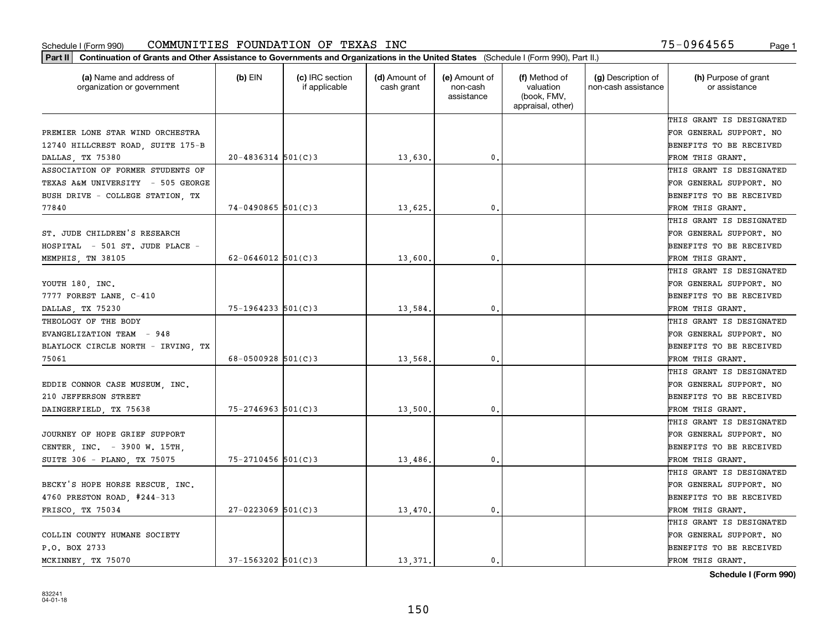| Part II   Continuation of Grants and Other Assistance to Governments and Organizations in the United States (Schedule I (Form 990), Part II.) |                        |                                  |                             |                                         |                                                                |                                           |                                       |
|-----------------------------------------------------------------------------------------------------------------------------------------------|------------------------|----------------------------------|-----------------------------|-----------------------------------------|----------------------------------------------------------------|-------------------------------------------|---------------------------------------|
| (a) Name and address of<br>organization or government                                                                                         | $(b)$ EIN              | (c) IRC section<br>if applicable | (d) Amount of<br>cash grant | (e) Amount of<br>non-cash<br>assistance | (f) Method of<br>valuation<br>(book, FMV,<br>appraisal, other) | (g) Description of<br>non-cash assistance | (h) Purpose of grant<br>or assistance |
|                                                                                                                                               |                        |                                  |                             |                                         |                                                                |                                           | THIS GRANT IS DESIGNATED              |
| PREMIER LONE STAR WIND ORCHESTRA                                                                                                              |                        |                                  |                             |                                         |                                                                |                                           | FOR GENERAL SUPPORT. NO               |
| 12740 HILLCREST ROAD, SUITE 175-B                                                                                                             |                        |                                  |                             |                                         |                                                                |                                           | BENEFITS TO BE RECEIVED               |
| DALLAS, TX 75380                                                                                                                              | $20 - 4836314$ 501(C)3 |                                  | 13,630.                     | 0.                                      |                                                                |                                           | FROM THIS GRANT.                      |
| ASSOCIATION OF FORMER STUDENTS OF                                                                                                             |                        |                                  |                             |                                         |                                                                |                                           | THIS GRANT IS DESIGNATED              |
| TEXAS A&M UNIVERSITY - 505 GEORGE                                                                                                             |                        |                                  |                             |                                         |                                                                |                                           | FOR GENERAL SUPPORT. NO               |
| BUSH DRIVE - COLLEGE STATION, TX                                                                                                              |                        |                                  |                             |                                         |                                                                |                                           | BENEFITS TO BE RECEIVED               |
| 77840                                                                                                                                         | $74 - 0490865$ 501(C)3 |                                  | 13,625.                     | 0.                                      |                                                                |                                           | FROM THIS GRANT.                      |
|                                                                                                                                               |                        |                                  |                             |                                         |                                                                |                                           | THIS GRANT IS DESIGNATED              |
| ST. JUDE CHILDREN'S RESEARCH                                                                                                                  |                        |                                  |                             |                                         |                                                                |                                           | FOR GENERAL SUPPORT. NO               |
| HOSPITAL - 501 ST. JUDE PLACE -                                                                                                               |                        |                                  |                             |                                         |                                                                |                                           | BENEFITS TO BE RECEIVED               |
| MEMPHIS, TN 38105                                                                                                                             | 62-0646012 $501(C)$ 3  |                                  | 13,600,                     | $\mathbf{0}$ .                          |                                                                |                                           | FROM THIS GRANT.                      |
|                                                                                                                                               |                        |                                  |                             |                                         |                                                                |                                           | THIS GRANT IS DESIGNATED              |
| YOUTH 180, INC.                                                                                                                               |                        |                                  |                             |                                         |                                                                |                                           | FOR GENERAL SUPPORT. NO               |
| 7777 FOREST LANE, C-410                                                                                                                       |                        |                                  |                             |                                         |                                                                |                                           | <b>BENEFITS TO BE RECEIVED</b>        |
| DALLAS, TX 75230                                                                                                                              | 75-1964233 501(C)3     |                                  | 13,584.                     | 0.                                      |                                                                |                                           | FROM THIS GRANT.                      |
| THEOLOGY OF THE BODY                                                                                                                          |                        |                                  |                             |                                         |                                                                |                                           | THIS GRANT IS DESIGNATED              |
| EVANGELIZATION TEAM - 948                                                                                                                     |                        |                                  |                             |                                         |                                                                |                                           | FOR GENERAL SUPPORT. NO               |
| BLAYLOCK CIRCLE NORTH - IRVING, TX                                                                                                            |                        |                                  |                             |                                         |                                                                |                                           | BENEFITS TO BE RECEIVED               |
| 75061                                                                                                                                         | $68 - 0500928$ 501(C)3 |                                  | 13,568.                     | 0.                                      |                                                                |                                           | FROM THIS GRANT.                      |
|                                                                                                                                               |                        |                                  |                             |                                         |                                                                |                                           | THIS GRANT IS DESIGNATED              |
| EDDIE CONNOR CASE MUSEUM, INC.                                                                                                                |                        |                                  |                             |                                         |                                                                |                                           | FOR GENERAL SUPPORT. NO               |
| 210 JEFFERSON STREET                                                                                                                          |                        |                                  |                             |                                         |                                                                |                                           | BENEFITS TO BE RECEIVED               |
| DAINGERFIELD, TX 75638                                                                                                                        | $75 - 2746963$ 501(C)3 |                                  | 13,500                      | 0.                                      |                                                                |                                           | FROM THIS GRANT.                      |
|                                                                                                                                               |                        |                                  |                             |                                         |                                                                |                                           | THIS GRANT IS DESIGNATED              |
| JOURNEY OF HOPE GRIEF SUPPORT                                                                                                                 |                        |                                  |                             |                                         |                                                                |                                           | FOR GENERAL SUPPORT. NO               |
| CENTER, INC. - 3900 W. 15TH,                                                                                                                  |                        |                                  |                             |                                         |                                                                |                                           | BENEFITS TO BE RECEIVED               |
| SUITE 306 - PLANO, TX 75075                                                                                                                   | $75 - 2710456$ 501(C)3 |                                  | 13,486.                     | 0.                                      |                                                                |                                           | FROM THIS GRANT.                      |
|                                                                                                                                               |                        |                                  |                             |                                         |                                                                |                                           | THIS GRANT IS DESIGNATED              |
| BECKY'S HOPE HORSE RESCUE, INC.                                                                                                               |                        |                                  |                             |                                         |                                                                |                                           | FOR GENERAL SUPPORT. NO               |
| 4760 PRESTON ROAD, #244-313                                                                                                                   |                        |                                  |                             |                                         |                                                                |                                           | BENEFITS TO BE RECEIVED               |
| FRISCO, TX 75034                                                                                                                              | $27 - 0223069$ 501(C)3 |                                  | 13,470.                     | $\mathbf{0}$ .                          |                                                                |                                           | FROM THIS GRANT.                      |
|                                                                                                                                               |                        |                                  |                             |                                         |                                                                |                                           | THIS GRANT IS DESIGNATED              |
| COLLIN COUNTY HUMANE SOCIETY                                                                                                                  |                        |                                  |                             |                                         |                                                                |                                           | FOR GENERAL SUPPORT. NO               |
| P.O. BOX 2733                                                                                                                                 |                        |                                  |                             |                                         |                                                                |                                           | <b>BENEFITS TO BE RECEIVED</b>        |
| MCKINNEY TX 75070                                                                                                                             | $37 - 1563202$ 501(C)3 |                                  | 13.371.                     | $\mathbf{0}$ .                          |                                                                |                                           | FROM THIS GRANT.                      |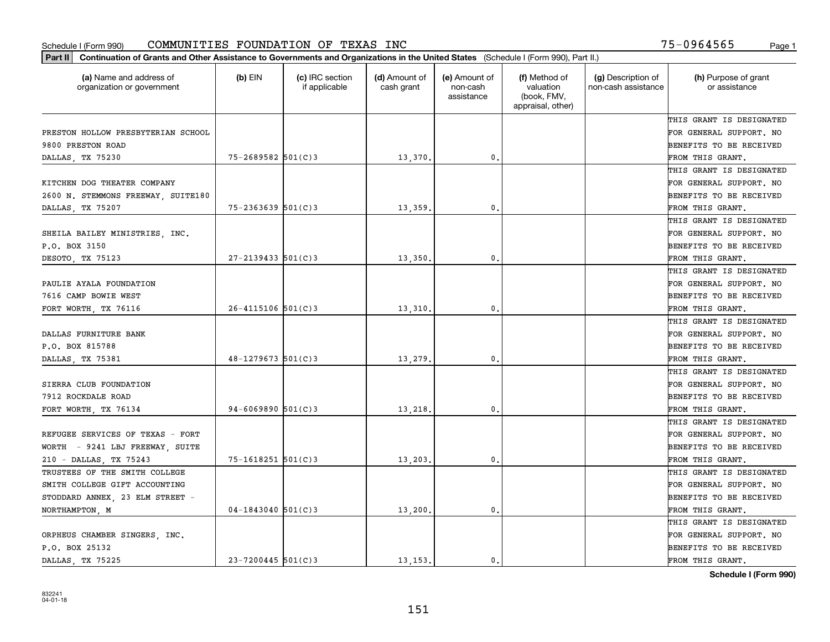| (a) Name and address of<br>organization or government | (b) EIN                  | (c) IRC section<br>if applicable | (d) Amount of<br>cash grant | (e) Amount of<br>non-cash<br>assistance | (f) Method of<br>valuation<br>(book, FMV,<br>appraisal, other) | (g) Description of<br>non-cash assistance | (h) Purpose of grant<br>or assistance |
|-------------------------------------------------------|--------------------------|----------------------------------|-----------------------------|-----------------------------------------|----------------------------------------------------------------|-------------------------------------------|---------------------------------------|
|                                                       |                          |                                  |                             |                                         |                                                                |                                           | THIS GRANT IS DESIGNATED              |
| PRESTON HOLLOW PRESBYTERIAN SCHOOL                    |                          |                                  |                             |                                         |                                                                |                                           | FOR GENERAL SUPPORT. NO               |
| 9800 PRESTON ROAD                                     |                          |                                  |                             |                                         |                                                                |                                           | BENEFITS TO BE RECEIVED               |
| DALLAS, TX 75230                                      | 75-2689582 501(C)3       |                                  | 13,370                      | 0.                                      |                                                                |                                           | FROM THIS GRANT.                      |
|                                                       |                          |                                  |                             |                                         |                                                                |                                           | THIS GRANT IS DESIGNATED              |
| KITCHEN DOG THEATER COMPANY                           |                          |                                  |                             |                                         |                                                                |                                           | FOR GENERAL SUPPORT. NO               |
| 2600 N. STEMMONS FREEWAY, SUITE180                    |                          |                                  |                             |                                         |                                                                |                                           | BENEFITS TO BE RECEIVED               |
| DALLAS, TX 75207                                      | $75 - 2363639$ $501(C)3$ |                                  | 13,359                      | $\mathbf{0}$                            |                                                                |                                           | FROM THIS GRANT.                      |
|                                                       |                          |                                  |                             |                                         |                                                                |                                           | THIS GRANT IS DESIGNATED              |
| SHEILA BAILEY MINISTRIES, INC.                        |                          |                                  |                             |                                         |                                                                |                                           | FOR GENERAL SUPPORT. NO               |
| P.O. BOX 3150                                         |                          |                                  |                             |                                         |                                                                |                                           | BENEFITS TO BE RECEIVED               |
| DESOTO, TX 75123                                      | $27 - 2139433$ 501(C)3   |                                  | 13,350                      | $\mathbf{0}$ .                          |                                                                |                                           | FROM THIS GRANT.                      |
|                                                       |                          |                                  |                             |                                         |                                                                |                                           | THIS GRANT IS DESIGNATED              |
| PAULIE AYALA FOUNDATION                               |                          |                                  |                             |                                         |                                                                |                                           | FOR GENERAL SUPPORT. NO               |
| 7616 CAMP BOWIE WEST                                  |                          |                                  |                             |                                         |                                                                |                                           | BENEFITS TO BE RECEIVED               |
| FORT WORTH, TX 76116                                  | $26 - 4115106$ 501(C)3   |                                  | 13,310                      | $\mathbf{0}$                            |                                                                |                                           | FROM THIS GRANT.                      |
|                                                       |                          |                                  |                             |                                         |                                                                |                                           | THIS GRANT IS DESIGNATED              |
| DALLAS FURNITURE BANK                                 |                          |                                  |                             |                                         |                                                                |                                           | FOR GENERAL SUPPORT. NO               |
| P.O. BOX 815788                                       |                          |                                  |                             |                                         |                                                                |                                           | BENEFITS TO BE RECEIVED               |
| DALLAS, TX 75381                                      | $48 - 1279673$ 501(C)3   |                                  | 13,279                      | 0.                                      |                                                                |                                           | FROM THIS GRANT.                      |
|                                                       |                          |                                  |                             |                                         |                                                                |                                           | THIS GRANT IS DESIGNATED              |
| SIERRA CLUB FOUNDATION                                |                          |                                  |                             |                                         |                                                                |                                           | FOR GENERAL SUPPORT. NO               |
| 7912 ROCKDALE ROAD                                    |                          |                                  |                             |                                         |                                                                |                                           | BENEFITS TO BE RECEIVED               |
| FORT WORTH, TX 76134                                  | $94 - 6069890$ 501(C)3   |                                  | 13,218                      | $\mathbf{0}$                            |                                                                |                                           | FROM THIS GRANT.                      |
|                                                       |                          |                                  |                             |                                         |                                                                |                                           | THIS GRANT IS DESIGNATED              |
| REFUGEE SERVICES OF TEXAS - FORT                      |                          |                                  |                             |                                         |                                                                |                                           | FOR GENERAL SUPPORT. NO               |
| WORTH - 9241 LBJ FREEWAY, SUITE                       |                          |                                  |                             |                                         |                                                                |                                           | BENEFITS TO BE RECEIVED               |
| 210 - DALLAS, TX 75243                                | $75 - 1618251$ 501(C)3   |                                  | 13,203                      | 0.                                      |                                                                |                                           | FROM THIS GRANT.                      |
| TRUSTEES OF THE SMITH COLLEGE                         |                          |                                  |                             |                                         |                                                                |                                           | THIS GRANT IS DESIGNATED              |
| SMITH COLLEGE GIFT ACCOUNTING                         |                          |                                  |                             |                                         |                                                                |                                           | FOR GENERAL SUPPORT. NO               |
| STODDARD ANNEX, 23 ELM STREET -                       |                          |                                  |                             |                                         |                                                                |                                           | BENEFITS TO BE RECEIVED               |
| NORTHAMPTON, M                                        | $04-1843040$ 501(C)3     |                                  | 13,200                      | $\mathbf{0}$                            |                                                                |                                           | FROM THIS GRANT.                      |
|                                                       |                          |                                  |                             |                                         |                                                                |                                           | THIS GRANT IS DESIGNATED              |
| ORPHEUS CHAMBER SINGERS, INC.                         |                          |                                  |                             |                                         |                                                                |                                           | FOR GENERAL SUPPORT. NO               |
| P.O. BOX 25132                                        |                          |                                  |                             |                                         |                                                                |                                           | BENEFITS TO BE RECEIVED               |
| DALLAS TX 75225                                       | $23 - 7200445$ 501(C)3   |                                  | 13.153.                     | 0.                                      |                                                                |                                           | FROM THIS GRANT.                      |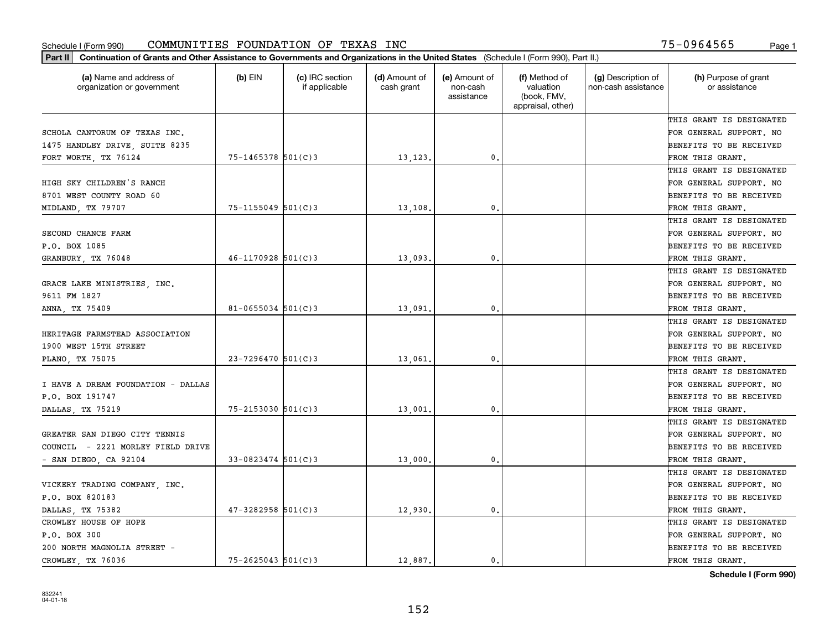| Part II   Continuation of Grants and Other Assistance to Governments and Organizations in the United States (Schedule I (Form 990), Part II.) |                        |                                  |                             |                                         |                                                                |                                           |                                       |
|-----------------------------------------------------------------------------------------------------------------------------------------------|------------------------|----------------------------------|-----------------------------|-----------------------------------------|----------------------------------------------------------------|-------------------------------------------|---------------------------------------|
| (a) Name and address of<br>organization or government                                                                                         | $(b)$ EIN              | (c) IRC section<br>if applicable | (d) Amount of<br>cash grant | (e) Amount of<br>non-cash<br>assistance | (f) Method of<br>valuation<br>(book, FMV,<br>appraisal, other) | (g) Description of<br>non-cash assistance | (h) Purpose of grant<br>or assistance |
|                                                                                                                                               |                        |                                  |                             |                                         |                                                                |                                           | THIS GRANT IS DESIGNATED              |
| SCHOLA CANTORUM OF TEXAS INC.                                                                                                                 |                        |                                  |                             |                                         |                                                                |                                           | FOR GENERAL SUPPORT. NO               |
| 1475 HANDLEY DRIVE, SUITE 8235                                                                                                                |                        |                                  |                             |                                         |                                                                |                                           | BENEFITS TO BE RECEIVED               |
| FORT WORTH, TX 76124                                                                                                                          | $75 - 1465378$ 501(C)3 |                                  | 13,123.                     | 0.                                      |                                                                |                                           | FROM THIS GRANT.                      |
|                                                                                                                                               |                        |                                  |                             |                                         |                                                                |                                           | THIS GRANT IS DESIGNATED              |
| HIGH SKY CHILDREN'S RANCH                                                                                                                     |                        |                                  |                             |                                         |                                                                |                                           | FOR GENERAL SUPPORT. NO               |
| 8701 WEST COUNTY ROAD 60                                                                                                                      |                        |                                  |                             |                                         |                                                                |                                           | BENEFITS TO BE RECEIVED               |
| MIDLAND, TX 79707                                                                                                                             | $75 - 1155049$ 501(C)3 |                                  | 13,108.                     | 0.                                      |                                                                |                                           | FROM THIS GRANT.                      |
|                                                                                                                                               |                        |                                  |                             |                                         |                                                                |                                           | THIS GRANT IS DESIGNATED              |
| SECOND CHANCE FARM                                                                                                                            |                        |                                  |                             |                                         |                                                                |                                           | FOR GENERAL SUPPORT. NO               |
| P.O. BOX 1085                                                                                                                                 |                        |                                  |                             |                                         |                                                                |                                           | BENEFITS TO BE RECEIVED               |
| GRANBURY, TX 76048                                                                                                                            | $46 - 1170928$ 501(C)3 |                                  | 13,093.                     | 0.                                      |                                                                |                                           | FROM THIS GRANT.                      |
|                                                                                                                                               |                        |                                  |                             |                                         |                                                                |                                           | THIS GRANT IS DESIGNATED              |
| GRACE LAKE MINISTRIES, INC.                                                                                                                   |                        |                                  |                             |                                         |                                                                |                                           | FOR GENERAL SUPPORT. NO               |
| 9611 FM 1827                                                                                                                                  |                        |                                  |                             |                                         |                                                                |                                           | <b>BENEFITS TO BE RECEIVED</b>        |
| ANNA, TX 75409                                                                                                                                | $81 - 0655034$ 501(C)3 |                                  | 13,091.                     | 0.                                      |                                                                |                                           | FROM THIS GRANT.                      |
|                                                                                                                                               |                        |                                  |                             |                                         |                                                                |                                           | THIS GRANT IS DESIGNATED              |
| HERITAGE FARMSTEAD ASSOCIATION                                                                                                                |                        |                                  |                             |                                         |                                                                |                                           | FOR GENERAL SUPPORT. NO               |
| 1900 WEST 15TH STREET                                                                                                                         |                        |                                  |                             |                                         |                                                                |                                           | BENEFITS TO BE RECEIVED               |
| PLANO, TX 75075                                                                                                                               | $23 - 7296470$ 501(C)3 |                                  | 13,061                      | 0.                                      |                                                                |                                           | FROM THIS GRANT.                      |
|                                                                                                                                               |                        |                                  |                             |                                         |                                                                |                                           | THIS GRANT IS DESIGNATED              |
| I HAVE A DREAM FOUNDATION - DALLAS                                                                                                            |                        |                                  |                             |                                         |                                                                |                                           | FOR GENERAL SUPPORT. NO               |
| P.O. BOX 191747                                                                                                                               |                        |                                  |                             |                                         |                                                                |                                           | BENEFITS TO BE RECEIVED               |
| DALLAS, TX 75219                                                                                                                              | $75 - 2153030$ 501(C)3 |                                  | 13,001                      | 0.                                      |                                                                |                                           | FROM THIS GRANT.                      |
|                                                                                                                                               |                        |                                  |                             |                                         |                                                                |                                           | THIS GRANT IS DESIGNATED              |
| GREATER SAN DIEGO CITY TENNIS                                                                                                                 |                        |                                  |                             |                                         |                                                                |                                           | FOR GENERAL SUPPORT. NO               |
| COUNCIL - 2221 MORLEY FIELD DRIVE                                                                                                             |                        |                                  |                             |                                         |                                                                |                                           | BENEFITS TO BE RECEIVED               |
| $-$ SAN DIEGO, CA 92104                                                                                                                       | $33 - 0823474$ 501(C)3 |                                  | 13,000                      | 0.                                      |                                                                |                                           | FROM THIS GRANT.                      |
|                                                                                                                                               |                        |                                  |                             |                                         |                                                                |                                           | THIS GRANT IS DESIGNATED              |
| VICKERY TRADING COMPANY, INC.                                                                                                                 |                        |                                  |                             |                                         |                                                                |                                           | FOR GENERAL SUPPORT. NO               |
| P.O. BOX 820183                                                                                                                               |                        |                                  |                             |                                         |                                                                |                                           | BENEFITS TO BE RECEIVED               |
| DALLAS, TX 75382                                                                                                                              | $47 - 3282958$ 501(C)3 |                                  | 12,930.                     | $\mathbf{0}$ .                          |                                                                |                                           | FROM THIS GRANT.                      |
| CROWLEY HOUSE OF HOPE                                                                                                                         |                        |                                  |                             |                                         |                                                                |                                           | THIS GRANT IS DESIGNATED              |
| P.O. BOX 300                                                                                                                                  |                        |                                  |                             |                                         |                                                                |                                           | FOR GENERAL SUPPORT. NO               |
| 200 NORTH MAGNOLIA STREET -                                                                                                                   |                        |                                  |                             |                                         |                                                                |                                           | <b>BENEFITS TO BE RECEIVED</b>        |
| CROWLEY TX 76036                                                                                                                              | $75 - 2625043$ 501(C)3 |                                  | 12,887.                     | $\mathbf{0}$ .                          |                                                                |                                           | FROM THIS GRANT.                      |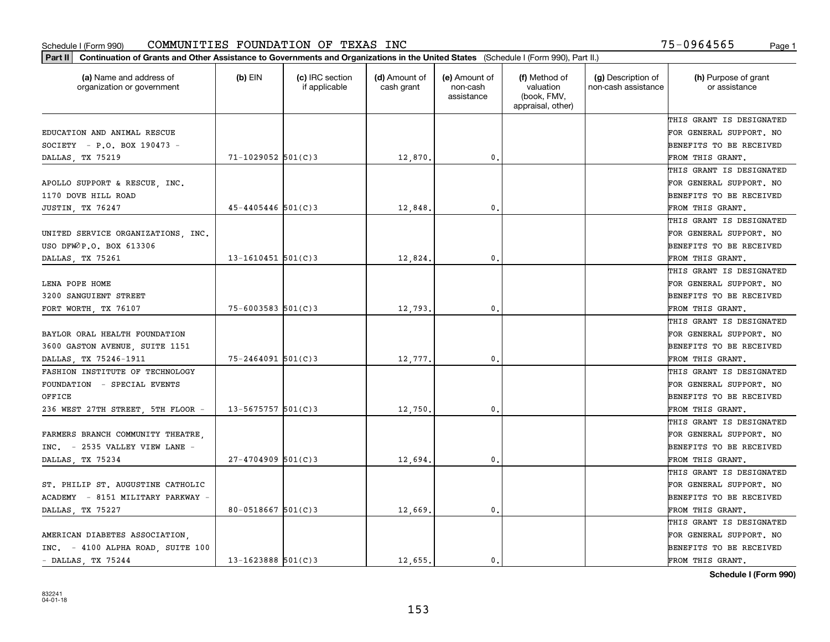| Part II   Continuation of Grants and Other Assistance to Governments and Organizations in the United States (Schedule I (Form 990), Part II.) |                        |                                  |                             |                                         |                                                                |                                           |                                       |
|-----------------------------------------------------------------------------------------------------------------------------------------------|------------------------|----------------------------------|-----------------------------|-----------------------------------------|----------------------------------------------------------------|-------------------------------------------|---------------------------------------|
| (a) Name and address of<br>organization or government                                                                                         | $(b)$ EIN              | (c) IRC section<br>if applicable | (d) Amount of<br>cash grant | (e) Amount of<br>non-cash<br>assistance | (f) Method of<br>valuation<br>(book, FMV,<br>appraisal, other) | (g) Description of<br>non-cash assistance | (h) Purpose of grant<br>or assistance |
|                                                                                                                                               |                        |                                  |                             |                                         |                                                                |                                           | THIS GRANT IS DESIGNATED              |
| EDUCATION AND ANIMAL RESCUE                                                                                                                   |                        |                                  |                             |                                         |                                                                |                                           | FOR GENERAL SUPPORT. NO               |
| $SOCIETY - P.O. BOX 190473 -$                                                                                                                 |                        |                                  |                             |                                         |                                                                |                                           | BENEFITS TO BE RECEIVED               |
| DALLAS, TX 75219                                                                                                                              | $71 - 1029052$ 501(C)3 |                                  | 12,870.                     | 0.                                      |                                                                |                                           | FROM THIS GRANT.                      |
|                                                                                                                                               |                        |                                  |                             |                                         |                                                                |                                           | THIS GRANT IS DESIGNATED              |
| APOLLO SUPPORT & RESCUE, INC.                                                                                                                 |                        |                                  |                             |                                         |                                                                |                                           | FOR GENERAL SUPPORT. NO               |
| 1170 DOVE HILL ROAD                                                                                                                           |                        |                                  |                             |                                         |                                                                |                                           | BENEFITS TO BE RECEIVED               |
| JUSTIN, TX 76247                                                                                                                              | $45 - 4405446$ 501(C)3 |                                  | 12,848                      | 0.                                      |                                                                |                                           | FROM THIS GRANT.                      |
|                                                                                                                                               |                        |                                  |                             |                                         |                                                                |                                           | THIS GRANT IS DESIGNATED              |
| UNITED SERVICE ORGANIZATIONS, INC.                                                                                                            |                        |                                  |                             |                                         |                                                                |                                           | FOR GENERAL SUPPORT. NO               |
| USO DFWOP.O. BOX 613306                                                                                                                       |                        |                                  |                             |                                         |                                                                |                                           | BENEFITS TO BE RECEIVED               |
| DALLAS, TX 75261                                                                                                                              | $13 - 1610451$ 501(C)3 |                                  | 12,824.                     | 0.                                      |                                                                |                                           | FROM THIS GRANT.                      |
|                                                                                                                                               |                        |                                  |                             |                                         |                                                                |                                           | THIS GRANT IS DESIGNATED              |
| LENA POPE HOME                                                                                                                                |                        |                                  |                             |                                         |                                                                |                                           | FOR GENERAL SUPPORT. NO               |
| 3200 SANGUIENT STREET                                                                                                                         |                        |                                  |                             |                                         |                                                                |                                           | <b>BENEFITS TO BE RECEIVED</b>        |
| FORT WORTH, TX 76107                                                                                                                          | $75 - 6003583$ 501(C)3 |                                  | 12,793.                     | 0.                                      |                                                                |                                           | FROM THIS GRANT.                      |
|                                                                                                                                               |                        |                                  |                             |                                         |                                                                |                                           | THIS GRANT IS DESIGNATED              |
| BAYLOR ORAL HEALTH FOUNDATION                                                                                                                 |                        |                                  |                             |                                         |                                                                |                                           | FOR GENERAL SUPPORT. NO               |
| 3600 GASTON AVENUE, SUITE 1151                                                                                                                |                        |                                  |                             |                                         |                                                                |                                           | BENEFITS TO BE RECEIVED               |
| DALLAS, TX 75246-1911                                                                                                                         | $75 - 2464091$ 501(C)3 |                                  | 12,777.                     | 0.                                      |                                                                |                                           | FROM THIS GRANT.                      |
| FASHION INSTITUTE OF TECHNOLOGY                                                                                                               |                        |                                  |                             |                                         |                                                                |                                           | THIS GRANT IS DESIGNATED              |
| FOUNDATION - SPECIAL EVENTS                                                                                                                   |                        |                                  |                             |                                         |                                                                |                                           | FOR GENERAL SUPPORT. NO               |
| OFFICE                                                                                                                                        |                        |                                  |                             |                                         |                                                                |                                           | BENEFITS TO BE RECEIVED               |
| 236 WEST 27TH STREET, 5TH FLOOR -                                                                                                             | $13 - 5675757$ 501(C)3 |                                  | 12,750                      | 0.                                      |                                                                |                                           | FROM THIS GRANT.                      |
|                                                                                                                                               |                        |                                  |                             |                                         |                                                                |                                           | THIS GRANT IS DESIGNATED              |
| FARMERS BRANCH COMMUNITY THEATRE,                                                                                                             |                        |                                  |                             |                                         |                                                                |                                           | FOR GENERAL SUPPORT. NO               |
| INC. - 2535 VALLEY VIEW LANE -                                                                                                                |                        |                                  |                             |                                         |                                                                |                                           | BENEFITS TO BE RECEIVED               |
| DALLAS, TX 75234                                                                                                                              | $27 - 4704909$ 501(C)3 |                                  | 12,694.                     | 0.                                      |                                                                |                                           | FROM THIS GRANT.                      |
|                                                                                                                                               |                        |                                  |                             |                                         |                                                                |                                           | THIS GRANT IS DESIGNATED              |
| ST. PHILIP ST. AUGUSTINE CATHOLIC                                                                                                             |                        |                                  |                             |                                         |                                                                |                                           | FOR GENERAL SUPPORT. NO               |
| ACADEMY - 8151 MILITARY PARKWAY -                                                                                                             |                        |                                  |                             |                                         |                                                                |                                           | BENEFITS TO BE RECEIVED               |
| DALLAS, TX 75227                                                                                                                              | $80 - 0518667$ 501(C)3 |                                  | 12,669.                     | $\mathbf{0}$ .                          |                                                                |                                           | FROM THIS GRANT.                      |
|                                                                                                                                               |                        |                                  |                             |                                         |                                                                |                                           | THIS GRANT IS DESIGNATED              |
| AMERICAN DIABETES ASSOCIATION.                                                                                                                |                        |                                  |                             |                                         |                                                                |                                           | FOR GENERAL SUPPORT. NO               |
| INC. - 4100 ALPHA ROAD, SUITE 100                                                                                                             |                        |                                  |                             |                                         |                                                                |                                           | <b>BENEFITS TO BE RECEIVED</b>        |
| $-$ DALLAS, TX 75244                                                                                                                          | $13 - 1623888$ 501(C)3 |                                  | 12,655.                     | $\mathbf{0}$ .                          |                                                                |                                           | FROM THIS GRANT.                      |
|                                                                                                                                               |                        |                                  |                             |                                         |                                                                |                                           |                                       |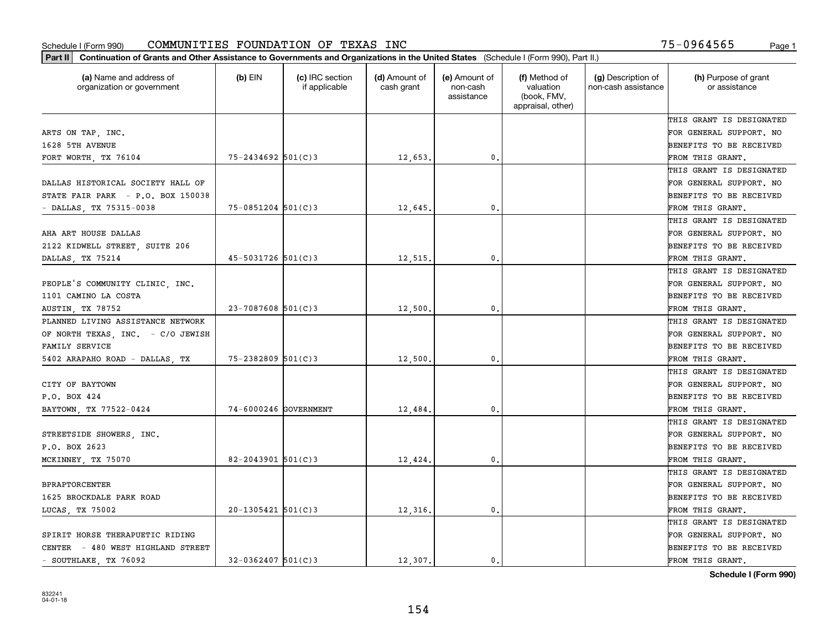| Part II   Continuation of Grants and Other Assistance to Governments and Organizations in the United States (Schedule I (Form 990), Part II.) |                         |                                  |                             |                                         |                                                                |                                           |                                       |
|-----------------------------------------------------------------------------------------------------------------------------------------------|-------------------------|----------------------------------|-----------------------------|-----------------------------------------|----------------------------------------------------------------|-------------------------------------------|---------------------------------------|
| (a) Name and address of<br>organization or government                                                                                         | (b) $EIN$               | (c) IRC section<br>if applicable | (d) Amount of<br>cash grant | (e) Amount of<br>non-cash<br>assistance | (f) Method of<br>valuation<br>(book, FMV,<br>appraisal, other) | (g) Description of<br>non-cash assistance | (h) Purpose of grant<br>or assistance |
|                                                                                                                                               |                         |                                  |                             |                                         |                                                                |                                           | THIS GRANT IS DESIGNATED              |
| ARTS ON TAP, INC.                                                                                                                             |                         |                                  |                             |                                         |                                                                |                                           | FOR GENERAL SUPPORT. NO               |
| 1628 5TH AVENUE                                                                                                                               |                         |                                  |                             |                                         |                                                                |                                           | BENEFITS TO BE RECEIVED               |
| FORT WORTH, TX 76104                                                                                                                          | 75-2434692 501(C)3      |                                  | 12,653.                     | 0.                                      |                                                                |                                           | FROM THIS GRANT.                      |
|                                                                                                                                               |                         |                                  |                             |                                         |                                                                |                                           | THIS GRANT IS DESIGNATED              |
| DALLAS HISTORICAL SOCIETY HALL OF                                                                                                             |                         |                                  |                             |                                         |                                                                |                                           | FOR GENERAL SUPPORT. NO               |
| STATE FAIR PARK - P.O. BOX 150038                                                                                                             |                         |                                  |                             |                                         |                                                                |                                           | BENEFITS TO BE RECEIVED               |
| - DALLAS, TX 75315-0038                                                                                                                       | $75 - 0851204$ 501(C)3  |                                  | 12,645.                     | 0.                                      |                                                                |                                           | FROM THIS GRANT.                      |
|                                                                                                                                               |                         |                                  |                             |                                         |                                                                |                                           | THIS GRANT IS DESIGNATED              |
| AHA ART HOUSE DALLAS                                                                                                                          |                         |                                  |                             |                                         |                                                                |                                           | FOR GENERAL SUPPORT. NO               |
| 2122 KIDWELL STREET, SUITE 206                                                                                                                |                         |                                  |                             |                                         |                                                                |                                           | BENEFITS TO BE RECEIVED               |
| DALLAS, TX 75214                                                                                                                              | 45-5031726 501(C)3      |                                  | 12,515.                     | 0.                                      |                                                                |                                           | FROM THIS GRANT.                      |
|                                                                                                                                               |                         |                                  |                             |                                         |                                                                |                                           | THIS GRANT IS DESIGNATED              |
| PEOPLE'S COMMUNITY CLINIC, INC.                                                                                                               |                         |                                  |                             |                                         |                                                                |                                           | FOR GENERAL SUPPORT. NO               |
| 1101 CAMINO LA COSTA                                                                                                                          |                         |                                  |                             |                                         |                                                                |                                           | <b>BENEFITS TO BE RECEIVED</b>        |
| AUSTIN, TX 78752                                                                                                                              | $23 - 7087608$ 501(C)3  |                                  | 12,500                      | 0.                                      |                                                                |                                           | FROM THIS GRANT.                      |
| PLANNED LIVING ASSISTANCE NETWORK                                                                                                             |                         |                                  |                             |                                         |                                                                |                                           | THIS GRANT IS DESIGNATED              |
| OF NORTH TEXAS, INC. - C/O JEWISH                                                                                                             |                         |                                  |                             |                                         |                                                                |                                           | FOR GENERAL SUPPORT. NO               |
| FAMILY SERVICE                                                                                                                                |                         |                                  |                             |                                         |                                                                |                                           | BENEFITS TO BE RECEIVED               |
| 5402 ARAPAHO ROAD - DALLAS, TX                                                                                                                | $75 - 2382809$ 501(C)3  |                                  | 12,500                      | 0.                                      |                                                                |                                           | FROM THIS GRANT.                      |
|                                                                                                                                               |                         |                                  |                             |                                         |                                                                |                                           | THIS GRANT IS DESIGNATED              |
| CITY OF BAYTOWN                                                                                                                               |                         |                                  |                             |                                         |                                                                |                                           | FOR GENERAL SUPPORT. NO               |
| P.O. BOX 424                                                                                                                                  |                         |                                  |                             |                                         |                                                                |                                           | BENEFITS TO BE RECEIVED               |
| BAYTOWN, TX 77522-0424                                                                                                                        | 74-6000246 GOVERNMENT   |                                  | 12,484.                     | 0.                                      |                                                                |                                           | FROM THIS GRANT.                      |
|                                                                                                                                               |                         |                                  |                             |                                         |                                                                |                                           | THIS GRANT IS DESIGNATED              |
| STREETSIDE SHOWERS, INC.                                                                                                                      |                         |                                  |                             |                                         |                                                                |                                           | FOR GENERAL SUPPORT. NO               |
| P.O. BOX 2623                                                                                                                                 |                         |                                  |                             |                                         |                                                                |                                           | BENEFITS TO BE RECEIVED               |
| MCKINNEY, TX 75070                                                                                                                            | 82-2043901 $501(C)$ 3   |                                  | 12,424.                     | $\mathbf{0}$ .                          |                                                                |                                           | FROM THIS GRANT.                      |
|                                                                                                                                               |                         |                                  |                             |                                         |                                                                |                                           | THIS GRANT IS DESIGNATED              |
| <b>BPRAPTORCENTER</b>                                                                                                                         |                         |                                  |                             |                                         |                                                                |                                           | FOR GENERAL SUPPORT. NO               |
| 1625 BROCKDALE PARK ROAD                                                                                                                      |                         |                                  |                             |                                         |                                                                |                                           | BENEFITS TO BE RECEIVED               |
| LUCAS TX 75002                                                                                                                                | $20-1305421$ 501(C)3    |                                  | 12,316.                     | 0.                                      |                                                                |                                           | FROM THIS GRANT.                      |
|                                                                                                                                               |                         |                                  |                             |                                         |                                                                |                                           | THIS GRANT IS DESIGNATED              |
| SPIRIT HORSE THERAPUETIC RIDING                                                                                                               |                         |                                  |                             |                                         |                                                                |                                           | FOR GENERAL SUPPORT. NO               |
| CENTER - 480 WEST HIGHLAND STREET                                                                                                             |                         |                                  |                             |                                         |                                                                |                                           | BENEFITS TO BE RECEIVED               |
| - SOUTHLAKE TX 76092                                                                                                                          | $32 - 0362407$ 501(C) 3 |                                  | 12,307.                     | 0.                                      |                                                                |                                           | FROM THIS GRANT.                      |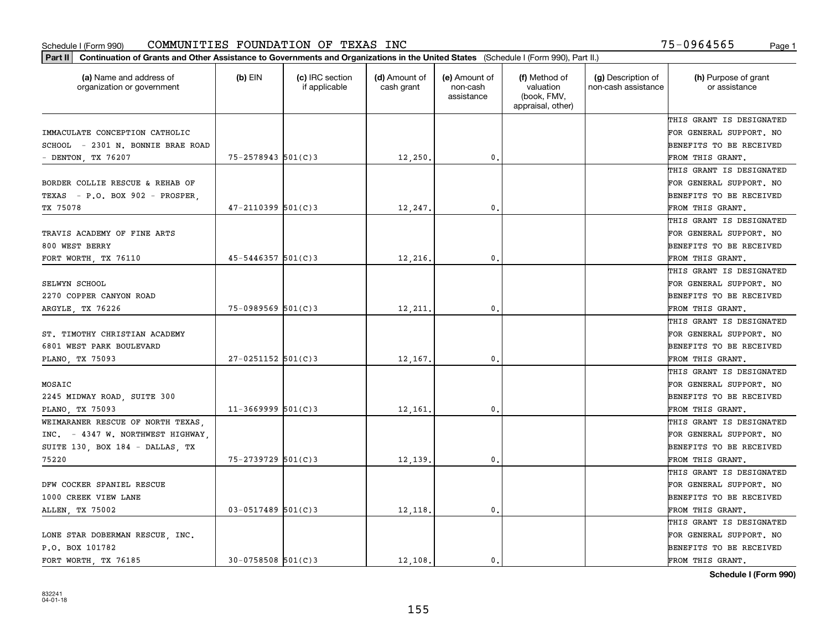| Part II   Continuation of Grants and Other Assistance to Governments and Organizations in the United States (Schedule I (Form 990), Part II.) |                         |                                  |                             |                                         |                                                                |                                           |                                       |
|-----------------------------------------------------------------------------------------------------------------------------------------------|-------------------------|----------------------------------|-----------------------------|-----------------------------------------|----------------------------------------------------------------|-------------------------------------------|---------------------------------------|
| (a) Name and address of<br>organization or government                                                                                         | $(b)$ EIN               | (c) IRC section<br>if applicable | (d) Amount of<br>cash grant | (e) Amount of<br>non-cash<br>assistance | (f) Method of<br>valuation<br>(book, FMV,<br>appraisal, other) | (g) Description of<br>non-cash assistance | (h) Purpose of grant<br>or assistance |
|                                                                                                                                               |                         |                                  |                             |                                         |                                                                |                                           | THIS GRANT IS DESIGNATED              |
| IMMACULATE CONCEPTION CATHOLIC                                                                                                                |                         |                                  |                             |                                         |                                                                |                                           | FOR GENERAL SUPPORT. NO               |
| SCHOOL - 2301 N. BONNIE BRAE ROAD                                                                                                             |                         |                                  |                             |                                         |                                                                |                                           | BENEFITS TO BE RECEIVED               |
| - DENTON, TX 76207                                                                                                                            | $75 - 2578943$ 501(C)3  |                                  | 12,250.                     | 0.                                      |                                                                |                                           | FROM THIS GRANT.                      |
|                                                                                                                                               |                         |                                  |                             |                                         |                                                                |                                           | THIS GRANT IS DESIGNATED              |
| BORDER COLLIE RESCUE & REHAB OF                                                                                                               |                         |                                  |                             |                                         |                                                                |                                           | FOR GENERAL SUPPORT. NO               |
| TEXAS - P.O. BOX 902 - PROSPER.                                                                                                               |                         |                                  |                             |                                         |                                                                |                                           | BENEFITS TO BE RECEIVED               |
| TX 75078                                                                                                                                      | $47 - 2110399$ 501(C)3  |                                  | 12,247.                     | 0.                                      |                                                                |                                           | FROM THIS GRANT.                      |
|                                                                                                                                               |                         |                                  |                             |                                         |                                                                |                                           | THIS GRANT IS DESIGNATED              |
| TRAVIS ACADEMY OF FINE ARTS                                                                                                                   |                         |                                  |                             |                                         |                                                                |                                           | FOR GENERAL SUPPORT. NO               |
| 800 WEST BERRY                                                                                                                                |                         |                                  |                             |                                         |                                                                |                                           | BENEFITS TO BE RECEIVED               |
| FORT WORTH, TX 76110                                                                                                                          | $45 - 5446357$ 501(C)3  |                                  | 12,216.                     | $\mathfrak{o}$ .                        |                                                                |                                           | FROM THIS GRANT.                      |
|                                                                                                                                               |                         |                                  |                             |                                         |                                                                |                                           | THIS GRANT IS DESIGNATED              |
| SELWYN SCHOOL                                                                                                                                 |                         |                                  |                             |                                         |                                                                |                                           | FOR GENERAL SUPPORT. NO               |
| 2270 COPPER CANYON ROAD                                                                                                                       |                         |                                  |                             |                                         |                                                                |                                           | <b>BENEFITS TO BE RECEIVED</b>        |
| ARGYLE, TX 76226                                                                                                                              | $75 - 0989569$ 501(C)3  |                                  | 12,211.                     | $\mathbf{0}$ .                          |                                                                |                                           | FROM THIS GRANT.                      |
|                                                                                                                                               |                         |                                  |                             |                                         |                                                                |                                           | THIS GRANT IS DESIGNATED              |
| ST. TIMOTHY CHRISTIAN ACADEMY                                                                                                                 |                         |                                  |                             |                                         |                                                                |                                           | FOR GENERAL SUPPORT. NO               |
| 6801 WEST PARK BOULEVARD                                                                                                                      |                         |                                  |                             |                                         |                                                                |                                           | BENEFITS TO BE RECEIVED               |
| PLANO, TX 75093                                                                                                                               | $27 - 0251152$ 501(C)3  |                                  | 12,167.                     | 0.                                      |                                                                |                                           | FROM THIS GRANT.                      |
|                                                                                                                                               |                         |                                  |                             |                                         |                                                                |                                           | THIS GRANT IS DESIGNATED              |
| MOSAIC                                                                                                                                        |                         |                                  |                             |                                         |                                                                |                                           | FOR GENERAL SUPPORT. NO               |
| 2245 MIDWAY ROAD, SUITE 300                                                                                                                   |                         |                                  |                             |                                         |                                                                |                                           | BENEFITS TO BE RECEIVED               |
| PLANO, TX 75093                                                                                                                               | $11-3669999$ $501(C)3$  |                                  | 12,161.                     | $\mathfrak{o}$ .                        |                                                                |                                           | FROM THIS GRANT.                      |
| WEIMARANER RESCUE OF NORTH TEXAS,                                                                                                             |                         |                                  |                             |                                         |                                                                |                                           | THIS GRANT IS DESIGNATED              |
| INC. - 4347 W. NORTHWEST HIGHWAY,                                                                                                             |                         |                                  |                             |                                         |                                                                |                                           | FOR GENERAL SUPPORT. NO               |
| SUITE 130, BOX 184 - DALLAS, TX                                                                                                               |                         |                                  |                             |                                         |                                                                |                                           | BENEFITS TO BE RECEIVED               |
| 75220                                                                                                                                         | 75-2739729 501(C)3      |                                  | 12,139                      | 0.                                      |                                                                |                                           | FROM THIS GRANT.                      |
|                                                                                                                                               |                         |                                  |                             |                                         |                                                                |                                           | THIS GRANT IS DESIGNATED              |
| DFW COCKER SPANIEL RESCUE                                                                                                                     |                         |                                  |                             |                                         |                                                                |                                           | FOR GENERAL SUPPORT. NO               |
| 1000 CREEK VIEW LANE                                                                                                                          |                         |                                  |                             |                                         |                                                                |                                           | BENEFITS TO BE RECEIVED               |
| ALLEN, TX 75002                                                                                                                               | $03 - 0517489$ 501(C)3  |                                  | 12,118.                     | 0.                                      |                                                                |                                           | FROM THIS GRANT.                      |
|                                                                                                                                               |                         |                                  |                             |                                         |                                                                |                                           | THIS GRANT IS DESIGNATED              |
| LONE STAR DOBERMAN RESCUE  INC.                                                                                                               |                         |                                  |                             |                                         |                                                                |                                           | FOR GENERAL SUPPORT. NO               |
| P.O. BOX 101782                                                                                                                               |                         |                                  |                             |                                         |                                                                |                                           | <b>BENEFITS TO BE RECEIVED</b>        |
| FORT WORTH TX 76185                                                                                                                           | $30 - 0758508$ 501(C) 3 |                                  | 12,108.                     | 0.                                      |                                                                |                                           | FROM THIS GRANT.                      |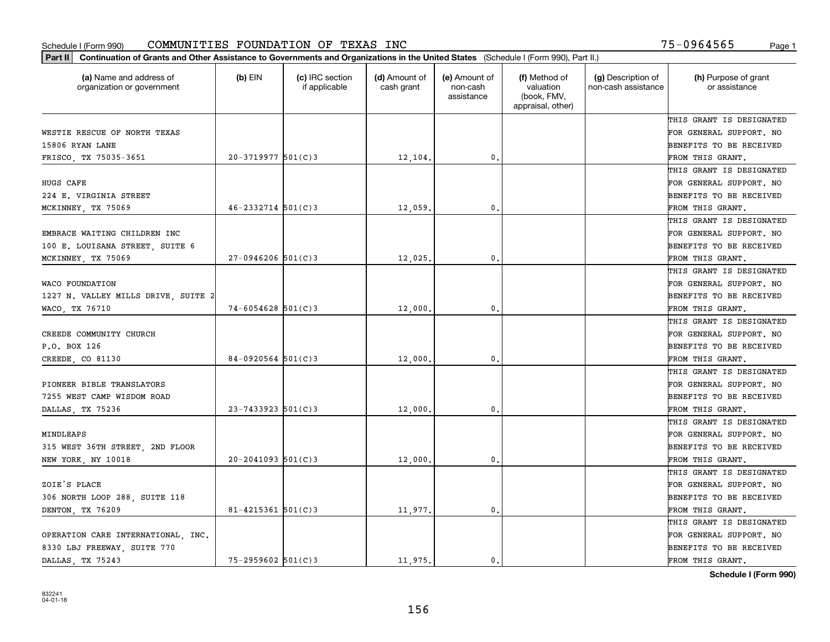| Part II   Continuation of Grants and Other Assistance to Governments and Organizations in the United States (Schedule I (Form 990), Part II.) |                        |                                  |                             |                                         |                                                                |                                           |                                       |
|-----------------------------------------------------------------------------------------------------------------------------------------------|------------------------|----------------------------------|-----------------------------|-----------------------------------------|----------------------------------------------------------------|-------------------------------------------|---------------------------------------|
| (a) Name and address of<br>organization or government                                                                                         | $(b)$ EIN              | (c) IRC section<br>if applicable | (d) Amount of<br>cash grant | (e) Amount of<br>non-cash<br>assistance | (f) Method of<br>valuation<br>(book, FMV,<br>appraisal, other) | (g) Description of<br>non-cash assistance | (h) Purpose of grant<br>or assistance |
|                                                                                                                                               |                        |                                  |                             |                                         |                                                                |                                           | THIS GRANT IS DESIGNATED              |
| WESTIE RESCUE OF NORTH TEXAS                                                                                                                  |                        |                                  |                             |                                         |                                                                |                                           | FOR GENERAL SUPPORT. NO               |
| 15806 RYAN LANE                                                                                                                               |                        |                                  |                             |                                         |                                                                |                                           | BENEFITS TO BE RECEIVED               |
| FRISCO, TX 75035-3651                                                                                                                         | $20-3719977$ 501(C)3   |                                  | 12,104.                     | 0.                                      |                                                                |                                           | FROM THIS GRANT.                      |
|                                                                                                                                               |                        |                                  |                             |                                         |                                                                |                                           | THIS GRANT IS DESIGNATED              |
| HUGS CAFE                                                                                                                                     |                        |                                  |                             |                                         |                                                                |                                           | FOR GENERAL SUPPORT. NO               |
| 224 E. VIRGINIA STREET                                                                                                                        |                        |                                  |                             |                                         |                                                                |                                           | BENEFITS TO BE RECEIVED               |
| MCKINNEY, TX 75069                                                                                                                            | $46 - 2332714$ 501(C)3 |                                  | 12,059                      | 0.                                      |                                                                |                                           | FROM THIS GRANT.                      |
|                                                                                                                                               |                        |                                  |                             |                                         |                                                                |                                           | THIS GRANT IS DESIGNATED              |
| EMBRACE WAITING CHILDREN INC                                                                                                                  |                        |                                  |                             |                                         |                                                                |                                           | FOR GENERAL SUPPORT. NO               |
| 100 E. LOUISANA STREET, SUITE 6                                                                                                               |                        |                                  |                             |                                         |                                                                |                                           | BENEFITS TO BE RECEIVED               |
| MCKINNEY, TX 75069                                                                                                                            | $27-0946206$ 501(C)3   |                                  | 12,025.                     | $\mathfrak{o}$ .                        |                                                                |                                           | FROM THIS GRANT.                      |
|                                                                                                                                               |                        |                                  |                             |                                         |                                                                |                                           | THIS GRANT IS DESIGNATED              |
| WACO FOUNDATION                                                                                                                               |                        |                                  |                             |                                         |                                                                |                                           | FOR GENERAL SUPPORT. NO               |
| 1227 N. VALLEY MILLS DRIVE, SUITE 2                                                                                                           |                        |                                  |                             |                                         |                                                                |                                           | <b>BENEFITS TO BE RECEIVED</b>        |
| WACO, TX 76710                                                                                                                                | 74-6054628 501(C)3     |                                  | 12,000.                     | $\mathbf{0}$ .                          |                                                                |                                           | FROM THIS GRANT.                      |
|                                                                                                                                               |                        |                                  |                             |                                         |                                                                |                                           | THIS GRANT IS DESIGNATED              |
| CREEDE COMMUNITY CHURCH                                                                                                                       |                        |                                  |                             |                                         |                                                                |                                           | FOR GENERAL SUPPORT. NO               |
| P.O. BOX 126                                                                                                                                  |                        |                                  |                             |                                         |                                                                |                                           | BENEFITS TO BE RECEIVED               |
| CREEDE, CO 81130                                                                                                                              | $84-0920564$ 501(C)3   |                                  | 12,000                      | 0.                                      |                                                                |                                           | FROM THIS GRANT.                      |
|                                                                                                                                               |                        |                                  |                             |                                         |                                                                |                                           | THIS GRANT IS DESIGNATED              |
| PIONEER BIBLE TRANSLATORS                                                                                                                     |                        |                                  |                             |                                         |                                                                |                                           | FOR GENERAL SUPPORT. NO               |
| 7255 WEST CAMP WISDOM ROAD                                                                                                                    |                        |                                  |                             |                                         |                                                                |                                           | BENEFITS TO BE RECEIVED               |
| DALLAS, TX 75236                                                                                                                              | $23 - 7433923$ 501(C)3 |                                  | 12,000                      | $\mathfrak{o}$ .                        |                                                                |                                           | FROM THIS GRANT.                      |
|                                                                                                                                               |                        |                                  |                             |                                         |                                                                |                                           | THIS GRANT IS DESIGNATED              |
| MINDLEAPS                                                                                                                                     |                        |                                  |                             |                                         |                                                                |                                           | FOR GENERAL SUPPORT. NO               |
| 315 WEST 36TH STREET, 2ND FLOOR                                                                                                               |                        |                                  |                             |                                         |                                                                |                                           | BENEFITS TO BE RECEIVED               |
| NEW YORK, NY 10018                                                                                                                            | $20 - 2041093$ 501(C)3 |                                  | 12,000                      | 0.                                      |                                                                |                                           | FROM THIS GRANT.                      |
|                                                                                                                                               |                        |                                  |                             |                                         |                                                                |                                           | THIS GRANT IS DESIGNATED              |
| ZOIE'S PLACE                                                                                                                                  |                        |                                  |                             |                                         |                                                                |                                           | FOR GENERAL SUPPORT. NO               |
| 306 NORTH LOOP 288, SUITE 118                                                                                                                 |                        |                                  |                             |                                         |                                                                |                                           | BENEFITS TO BE RECEIVED               |
| DENTON, TX 76209                                                                                                                              | 81-4215361 $501(C)$ 3  |                                  | 11,977.                     | 0.                                      |                                                                |                                           | FROM THIS GRANT.                      |
|                                                                                                                                               |                        |                                  |                             |                                         |                                                                |                                           | THIS GRANT IS DESIGNATED              |
| OPERATION CARE INTERNATIONAL, INC.                                                                                                            |                        |                                  |                             |                                         |                                                                |                                           | FOR GENERAL SUPPORT. NO               |
| 8330 LBJ FREEWAY, SUITE 770                                                                                                                   |                        |                                  |                             |                                         |                                                                |                                           | <b>BENEFITS TO BE RECEIVED</b>        |
| DALLAS, TX 75243                                                                                                                              | $75 - 2959602$ 501(C)3 |                                  | 11,975.                     | 0.                                      |                                                                |                                           | FROM THIS GRANT.                      |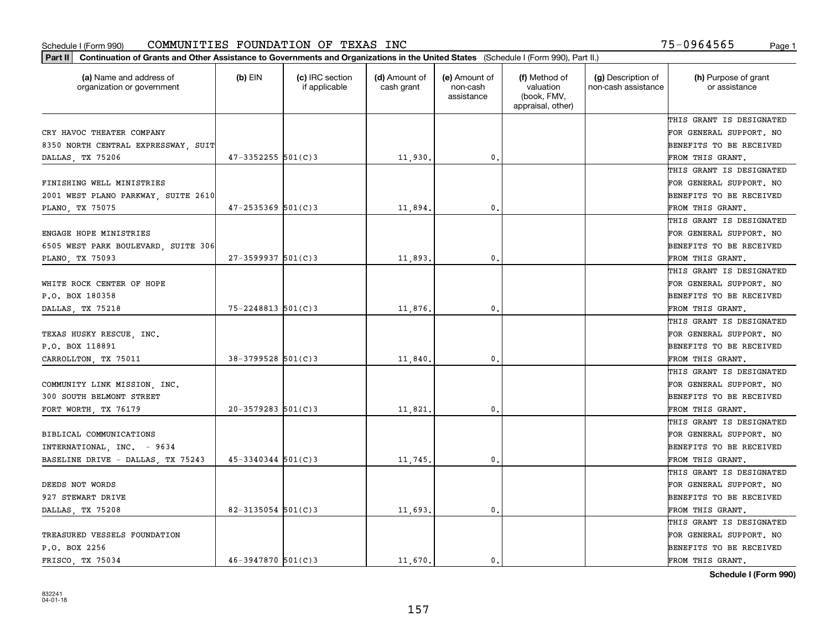| (a) Name and address of<br>organization or government | $(b)$ EIN              | (c) IRC section<br>if applicable | (d) Amount of<br>cash grant | (e) Amount of<br>non-cash<br>assistance | (f) Method of<br>valuation<br>(book, FMV,<br>appraisal, other) | (g) Description of<br>non-cash assistance | (h) Purpose of grant<br>or assistance |
|-------------------------------------------------------|------------------------|----------------------------------|-----------------------------|-----------------------------------------|----------------------------------------------------------------|-------------------------------------------|---------------------------------------|
|                                                       |                        |                                  |                             |                                         |                                                                |                                           | THIS GRANT IS DESIGNATED              |
| CRY HAVOC THEATER COMPANY                             |                        |                                  |                             |                                         |                                                                |                                           | FOR GENERAL SUPPORT. NO               |
| 8350 NORTH CENTRAL EXPRESSWAY, SUIT                   |                        |                                  |                             |                                         |                                                                |                                           | BENEFITS TO BE RECEIVED               |
| DALLAS, TX 75206                                      | $47 - 3352255$ 501(C)3 |                                  | 11,930.                     | 0.                                      |                                                                |                                           | FROM THIS GRANT.                      |
|                                                       |                        |                                  |                             |                                         |                                                                |                                           | THIS GRANT IS DESIGNATED              |
| FINISHING WELL MINISTRIES                             |                        |                                  |                             |                                         |                                                                |                                           | FOR GENERAL SUPPORT. NO               |
| 2001 WEST PLANO PARKWAY, SUITE 2610                   |                        |                                  |                             |                                         |                                                                |                                           | BENEFITS TO BE RECEIVED               |
| PLANO, TX 75075                                       | $47 - 2535369$ 501(C)3 |                                  | 11,894                      | 0.                                      |                                                                |                                           | FROM THIS GRANT.                      |
|                                                       |                        |                                  |                             |                                         |                                                                |                                           | THIS GRANT IS DESIGNATED              |
| ENGAGE HOPE MINISTRIES                                |                        |                                  |                             |                                         |                                                                |                                           | FOR GENERAL SUPPORT. NO               |
| 6505 WEST PARK BOULEVARD, SUITE 306                   |                        |                                  |                             |                                         |                                                                |                                           | BENEFITS TO BE RECEIVED               |
| PLANO, TX 75093                                       | $27 - 3599937$ 501(C)3 |                                  | 11,893.                     | 0.                                      |                                                                |                                           | FROM THIS GRANT.                      |
|                                                       |                        |                                  |                             |                                         |                                                                |                                           | THIS GRANT IS DESIGNATED              |
| WHITE ROCK CENTER OF HOPE                             |                        |                                  |                             |                                         |                                                                |                                           | FOR GENERAL SUPPORT. NO               |
| P.O. BOX 180358                                       |                        |                                  |                             |                                         |                                                                |                                           | <b>BENEFITS TO BE RECEIVED</b>        |
| DALLAS, TX 75218                                      | 75-2248813 501(C)3     |                                  | 11,876.                     | $\mathbf{0}$ .                          |                                                                |                                           | FROM THIS GRANT.                      |
|                                                       |                        |                                  |                             |                                         |                                                                |                                           | THIS GRANT IS DESIGNATED              |
| TEXAS HUSKY RESCUE, INC.                              |                        |                                  |                             |                                         |                                                                |                                           | FOR GENERAL SUPPORT. NO               |
| P.O. BOX 118891                                       |                        |                                  |                             |                                         |                                                                |                                           | BENEFITS TO BE RECEIVED               |
| CARROLLTON, TX 75011                                  | 38-3799528 501(C)3     |                                  | 11,840.                     | 0.                                      |                                                                |                                           | FROM THIS GRANT.                      |
|                                                       |                        |                                  |                             |                                         |                                                                |                                           | THIS GRANT IS DESIGNATED              |
| COMMUNITY LINK MISSION, INC.                          |                        |                                  |                             |                                         |                                                                |                                           | FOR GENERAL SUPPORT. NO               |
| 300 SOUTH BELMONT STREET                              |                        |                                  |                             |                                         |                                                                |                                           | BENEFITS TO BE RECEIVED               |
| FORT WORTH, TX 76179                                  | $20 - 3579283$ 501(C)3 |                                  | 11,821                      | 0.                                      |                                                                |                                           | FROM THIS GRANT.                      |
|                                                       |                        |                                  |                             |                                         |                                                                |                                           | THIS GRANT IS DESIGNATED              |
| BIBLICAL COMMUNICATIONS                               |                        |                                  |                             |                                         |                                                                |                                           | FOR GENERAL SUPPORT. NO               |
| INTERNATIONAL, INC. - 9634                            |                        |                                  |                             |                                         |                                                                |                                           | BENEFITS TO BE RECEIVED               |
| BASELINE DRIVE - DALLAS, TX 75243                     | $45 - 3340344$ 501(C)3 |                                  | 11,745.                     | 0.                                      |                                                                |                                           | FROM THIS GRANT.                      |
|                                                       |                        |                                  |                             |                                         |                                                                |                                           | THIS GRANT IS DESIGNATED              |
| DEEDS NOT WORDS                                       |                        |                                  |                             |                                         |                                                                |                                           | FOR GENERAL SUPPORT. NO               |
| 927 STEWART DRIVE                                     |                        |                                  |                             |                                         |                                                                |                                           | BENEFITS TO BE RECEIVED               |
| DALLAS, TX 75208                                      | 82-3135054 $501(C)$ 3  |                                  | 11,693.                     | 0.                                      |                                                                |                                           | FROM THIS GRANT.                      |
|                                                       |                        |                                  |                             |                                         |                                                                |                                           | THIS GRANT IS DESIGNATED              |
| TREASURED VESSELS FOUNDATION                          |                        |                                  |                             |                                         |                                                                |                                           | FOR GENERAL SUPPORT. NO               |
| P.O. BOX 2256                                         |                        |                                  |                             |                                         |                                                                |                                           | <b>BENEFITS TO BE RECEIVED</b>        |
| FRISCO TX 75034                                       | $46 - 3947870$ 501(C)3 |                                  | 11,670.                     | $\mathbf{0}$ .                          |                                                                |                                           | FROM THIS GRANT.                      |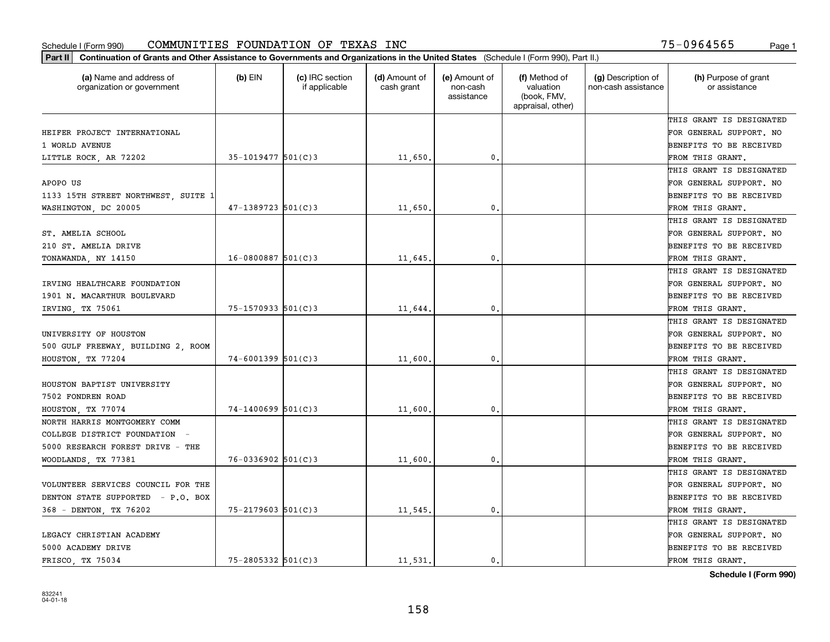| Part II   Continuation of Grants and Other Assistance to Governments and Organizations in the United States (Schedule I (Form 990), Part II.) |                        |                                  |                             |                                         |                                                                |                                           |                                       |
|-----------------------------------------------------------------------------------------------------------------------------------------------|------------------------|----------------------------------|-----------------------------|-----------------------------------------|----------------------------------------------------------------|-------------------------------------------|---------------------------------------|
| (a) Name and address of<br>organization or government                                                                                         | $(b)$ EIN              | (c) IRC section<br>if applicable | (d) Amount of<br>cash grant | (e) Amount of<br>non-cash<br>assistance | (f) Method of<br>valuation<br>(book, FMV,<br>appraisal, other) | (g) Description of<br>non-cash assistance | (h) Purpose of grant<br>or assistance |
|                                                                                                                                               |                        |                                  |                             |                                         |                                                                |                                           | THIS GRANT IS DESIGNATED              |
| HEIFER PROJECT INTERNATIONAL                                                                                                                  |                        |                                  |                             |                                         |                                                                |                                           | FOR GENERAL SUPPORT. NO               |
| 1 WORLD AVENUE                                                                                                                                |                        |                                  |                             |                                         |                                                                |                                           | BENEFITS TO BE RECEIVED               |
| LITTLE ROCK, AR 72202                                                                                                                         | $35 - 1019477$ 501(C)3 |                                  | 11,650.                     | 0.                                      |                                                                |                                           | FROM THIS GRANT.                      |
|                                                                                                                                               |                        |                                  |                             |                                         |                                                                |                                           | THIS GRANT IS DESIGNATED              |
| APOPO US                                                                                                                                      |                        |                                  |                             |                                         |                                                                |                                           | FOR GENERAL SUPPORT. NO               |
| 1133 15TH STREET NORTHWEST, SUITE 1                                                                                                           |                        |                                  |                             |                                         |                                                                |                                           | BENEFITS TO BE RECEIVED               |
| WASHINGTON, DC 20005                                                                                                                          | $47 - 1389723$ 501(C)3 |                                  | 11,650                      | 0.                                      |                                                                |                                           | FROM THIS GRANT.                      |
|                                                                                                                                               |                        |                                  |                             |                                         |                                                                |                                           | THIS GRANT IS DESIGNATED              |
| ST. AMELIA SCHOOL                                                                                                                             |                        |                                  |                             |                                         |                                                                |                                           | FOR GENERAL SUPPORT. NO               |
| 210 ST. AMELIA DRIVE                                                                                                                          |                        |                                  |                             |                                         |                                                                |                                           | BENEFITS TO BE RECEIVED               |
| TONAWANDA, NY 14150                                                                                                                           | $16 - 0800887$ 501(C)3 |                                  | 11,645.                     | $\mathfrak{o}$ .                        |                                                                |                                           | FROM THIS GRANT.                      |
|                                                                                                                                               |                        |                                  |                             |                                         |                                                                |                                           | THIS GRANT IS DESIGNATED              |
| IRVING HEALTHCARE FOUNDATION                                                                                                                  |                        |                                  |                             |                                         |                                                                |                                           | FOR GENERAL SUPPORT. NO               |
| 1901 N. MACARTHUR BOULEVARD                                                                                                                   |                        |                                  |                             |                                         |                                                                |                                           | <b>BENEFITS TO BE RECEIVED</b>        |
| IRVING, TX 75061                                                                                                                              | $75 - 1570933$ 501(C)3 |                                  | 11,644.                     | 0.                                      |                                                                |                                           | FROM THIS GRANT.                      |
|                                                                                                                                               |                        |                                  |                             |                                         |                                                                |                                           | THIS GRANT IS DESIGNATED              |
| UNIVERSITY OF HOUSTON                                                                                                                         |                        |                                  |                             |                                         |                                                                |                                           | FOR GENERAL SUPPORT. NO               |
| 500 GULF FREEWAY, BUILDING 2, ROOM                                                                                                            |                        |                                  |                             |                                         |                                                                |                                           | BENEFITS TO BE RECEIVED               |
| HOUSTON, TX 77204                                                                                                                             | $74 - 6001399$ 501(C)3 |                                  | 11,600                      | $\mathbf{0}$                            |                                                                |                                           | FROM THIS GRANT.                      |
|                                                                                                                                               |                        |                                  |                             |                                         |                                                                |                                           | THIS GRANT IS DESIGNATED              |
| HOUSTON BAPTIST UNIVERSITY                                                                                                                    |                        |                                  |                             |                                         |                                                                |                                           | FOR GENERAL SUPPORT. NO               |
| 7502 FONDREN ROAD                                                                                                                             |                        |                                  |                             |                                         |                                                                |                                           | BENEFITS TO BE RECEIVED               |
| HOUSTON, TX 77074                                                                                                                             | $74 - 1400699$ 501(C)3 |                                  | 11,600                      | 0.                                      |                                                                |                                           | FROM THIS GRANT.                      |
| NORTH HARRIS MONTGOMERY COMM                                                                                                                  |                        |                                  |                             |                                         |                                                                |                                           | THIS GRANT IS DESIGNATED              |
| COLLEGE DISTRICT FOUNDATION -                                                                                                                 |                        |                                  |                             |                                         |                                                                |                                           | FOR GENERAL SUPPORT. NO               |
| 5000 RESEARCH FOREST DRIVE - THE                                                                                                              |                        |                                  |                             |                                         |                                                                |                                           | BENEFITS TO BE RECEIVED               |
| WOODLANDS, TX 77381                                                                                                                           | $76 - 0336902$ 501(C)3 |                                  | 11,600                      | 0.                                      |                                                                |                                           | FROM THIS GRANT.                      |
|                                                                                                                                               |                        |                                  |                             |                                         |                                                                |                                           | THIS GRANT IS DESIGNATED              |
| VOLUNTEER SERVICES COUNCIL FOR THE                                                                                                            |                        |                                  |                             |                                         |                                                                |                                           | FOR GENERAL SUPPORT. NO               |
| DENTON STATE SUPPORTED - P.O. BOX                                                                                                             |                        |                                  |                             |                                         |                                                                |                                           | BENEFITS TO BE RECEIVED               |
| 368 - DENTON, TX 76202                                                                                                                        | $75 - 2179603$ 501(C)3 |                                  | 11,545.                     | 0.                                      |                                                                |                                           | FROM THIS GRANT.                      |
|                                                                                                                                               |                        |                                  |                             |                                         |                                                                |                                           | THIS GRANT IS DESIGNATED              |
| LEGACY CHRISTIAN ACADEMY                                                                                                                      |                        |                                  |                             |                                         |                                                                |                                           | FOR GENERAL SUPPORT. NO               |
| 5000 ACADEMY DRIVE                                                                                                                            |                        |                                  |                             |                                         |                                                                |                                           | <b>BENEFITS TO BE RECEIVED</b>        |
| FRISCO TX 75034                                                                                                                               | $75 - 2805332$ 501(C)3 |                                  | 11.531.                     | 0.                                      |                                                                |                                           | FROM THIS GRANT.                      |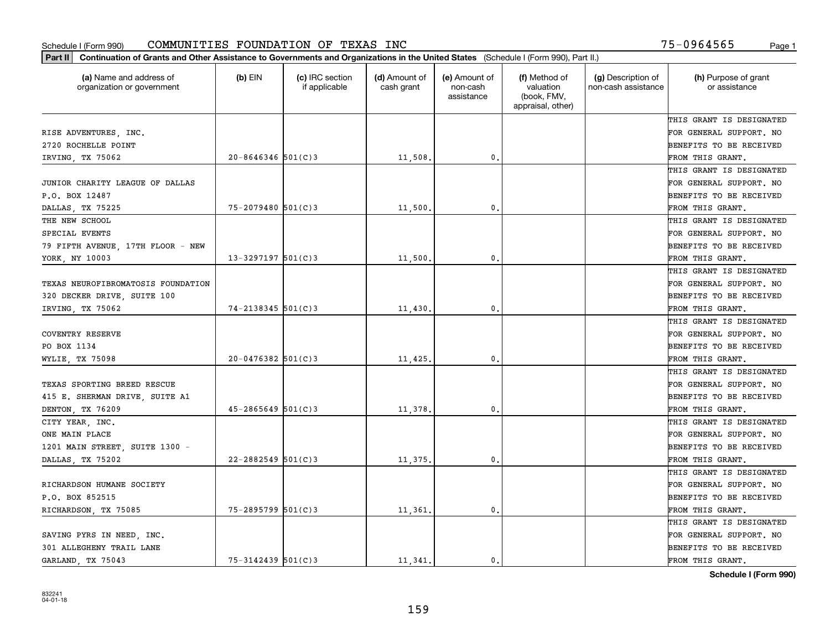| Part II   Continuation of Grants and Other Assistance to Governments and Organizations in the United States (Schedule I (Form 990), Part II.) |                        |                                  |                             |                                         |                                                                |                                           |                                       |
|-----------------------------------------------------------------------------------------------------------------------------------------------|------------------------|----------------------------------|-----------------------------|-----------------------------------------|----------------------------------------------------------------|-------------------------------------------|---------------------------------------|
| (a) Name and address of<br>organization or government                                                                                         | $(b)$ EIN              | (c) IRC section<br>if applicable | (d) Amount of<br>cash grant | (e) Amount of<br>non-cash<br>assistance | (f) Method of<br>valuation<br>(book, FMV,<br>appraisal, other) | (g) Description of<br>non-cash assistance | (h) Purpose of grant<br>or assistance |
|                                                                                                                                               |                        |                                  |                             |                                         |                                                                |                                           | THIS GRANT IS DESIGNATED              |
| RISE ADVENTURES, INC.                                                                                                                         |                        |                                  |                             |                                         |                                                                |                                           | FOR GENERAL SUPPORT. NO               |
| 2720 ROCHELLE POINT                                                                                                                           |                        |                                  |                             |                                         |                                                                |                                           | BENEFITS TO BE RECEIVED               |
| IRVING, TX 75062                                                                                                                              | $20 - 8646346$ 501(C)3 |                                  | 11,508.                     | 0.                                      |                                                                |                                           | FROM THIS GRANT.                      |
|                                                                                                                                               |                        |                                  |                             |                                         |                                                                |                                           | THIS GRANT IS DESIGNATED              |
| JUNIOR CHARITY LEAGUE OF DALLAS                                                                                                               |                        |                                  |                             |                                         |                                                                |                                           | FOR GENERAL SUPPORT. NO               |
| P.O. BOX 12487                                                                                                                                |                        |                                  |                             |                                         |                                                                |                                           | BENEFITS TO BE RECEIVED               |
| DALLAS, TX 75225                                                                                                                              | $75 - 2079480$ 501(C)3 |                                  | 11,500                      | 0.                                      |                                                                |                                           | FROM THIS GRANT.                      |
| THE NEW SCHOOL                                                                                                                                |                        |                                  |                             |                                         |                                                                |                                           | THIS GRANT IS DESIGNATED              |
| SPECIAL EVENTS                                                                                                                                |                        |                                  |                             |                                         |                                                                |                                           | FOR GENERAL SUPPORT. NO               |
| 79 FIFTH AVENUE, 17TH FLOOR - NEW                                                                                                             |                        |                                  |                             |                                         |                                                                |                                           | BENEFITS TO BE RECEIVED               |
| YORK, NY 10003                                                                                                                                | $13 - 3297197$ 501(C)3 |                                  | 11,500.                     | 0.                                      |                                                                |                                           | FROM THIS GRANT.                      |
|                                                                                                                                               |                        |                                  |                             |                                         |                                                                |                                           | THIS GRANT IS DESIGNATED              |
| TEXAS NEUROFIBROMATOSIS FOUNDATION                                                                                                            |                        |                                  |                             |                                         |                                                                |                                           | FOR GENERAL SUPPORT. NO               |
| 320 DECKER DRIVE, SUITE 100                                                                                                                   |                        |                                  |                             |                                         |                                                                |                                           | <b>BENEFITS TO BE RECEIVED</b>        |
| IRVING, TX 75062                                                                                                                              | $74 - 2138345$ 501(C)3 |                                  | 11,430.                     | 0.                                      |                                                                |                                           | FROM THIS GRANT.                      |
|                                                                                                                                               |                        |                                  |                             |                                         |                                                                |                                           | THIS GRANT IS DESIGNATED              |
| <b>COVENTRY RESERVE</b>                                                                                                                       |                        |                                  |                             |                                         |                                                                |                                           | FOR GENERAL SUPPORT. NO               |
| PO BOX 1134                                                                                                                                   |                        |                                  |                             |                                         |                                                                |                                           | BENEFITS TO BE RECEIVED               |
| WYLIE, TX 75098                                                                                                                               | $20 - 0476382$ 501(C)3 |                                  | $11,425$ .                  | 0.                                      |                                                                |                                           | FROM THIS GRANT.                      |
|                                                                                                                                               |                        |                                  |                             |                                         |                                                                |                                           | THIS GRANT IS DESIGNATED              |
| TEXAS SPORTING BREED RESCUE                                                                                                                   |                        |                                  |                             |                                         |                                                                |                                           | FOR GENERAL SUPPORT. NO               |
| 415 E. SHERMAN DRIVE, SUITE A1                                                                                                                |                        |                                  |                             |                                         |                                                                |                                           | BENEFITS TO BE RECEIVED               |
| DENTON, TX 76209                                                                                                                              | $45 - 2865649$ 501(C)3 |                                  | 11,378                      | 0.                                      |                                                                |                                           | FROM THIS GRANT.                      |
| CITY YEAR, INC.                                                                                                                               |                        |                                  |                             |                                         |                                                                |                                           | THIS GRANT IS DESIGNATED              |
| ONE MAIN PLACE                                                                                                                                |                        |                                  |                             |                                         |                                                                |                                           | FOR GENERAL SUPPORT. NO               |
| 1201 MAIN STREET, SUITE 1300 -                                                                                                                |                        |                                  |                             |                                         |                                                                |                                           | BENEFITS TO BE RECEIVED               |
| DALLAS, TX 75202                                                                                                                              | $22 - 2882549$ 501(C)3 |                                  | 11,375.                     | 0.                                      |                                                                |                                           | FROM THIS GRANT.                      |
|                                                                                                                                               |                        |                                  |                             |                                         |                                                                |                                           | THIS GRANT IS DESIGNATED              |
| RICHARDSON HUMANE SOCIETY                                                                                                                     |                        |                                  |                             |                                         |                                                                |                                           | FOR GENERAL SUPPORT. NO               |
| P.O. BOX 852515                                                                                                                               |                        |                                  |                             |                                         |                                                                |                                           | BENEFITS TO BE RECEIVED               |
| RICHARDSON, TX 75085                                                                                                                          | 75-2895799 501(C)3     |                                  | 11,361.                     | 0.                                      |                                                                |                                           | FROM THIS GRANT.                      |
|                                                                                                                                               |                        |                                  |                             |                                         |                                                                |                                           | THIS GRANT IS DESIGNATED              |
| SAVING PYRS IN NEED, INC.                                                                                                                     |                        |                                  |                             |                                         |                                                                |                                           | FOR GENERAL SUPPORT. NO               |
| 301 ALLEGHENY TRAIL LANE                                                                                                                      |                        |                                  |                             |                                         |                                                                |                                           | <b>BENEFITS TO BE RECEIVED</b>        |
| GARLAND, TX 75043                                                                                                                             | $75 - 3142439$ 501(C)3 |                                  | 11 341.                     | $\mathbf{0}$ .                          |                                                                |                                           | FROM THIS GRANT.                      |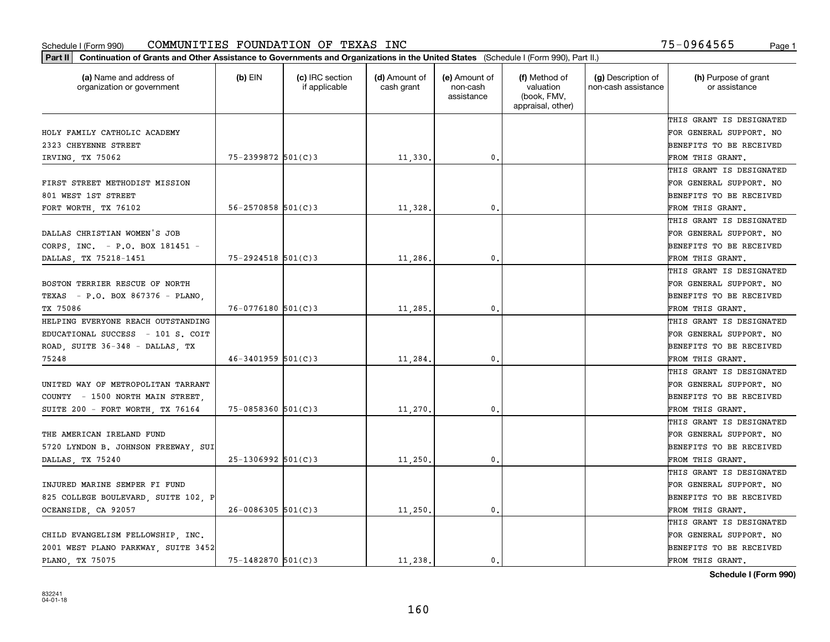| (a) Name and address of<br>organization or government | $(b)$ EIN                | (c) IRC section<br>if applicable | (d) Amount of<br>cash grant | (e) Amount of<br>non-cash<br>assistance | (f) Method of<br>valuation<br>(book, FMV,<br>appraisal, other) | (g) Description of<br>non-cash assistance | (h) Purpose of grant<br>or assistance |
|-------------------------------------------------------|--------------------------|----------------------------------|-----------------------------|-----------------------------------------|----------------------------------------------------------------|-------------------------------------------|---------------------------------------|
|                                                       |                          |                                  |                             |                                         |                                                                |                                           | THIS GRANT IS DESIGNATED              |
| HOLY FAMILY CATHOLIC ACADEMY                          |                          |                                  |                             |                                         |                                                                |                                           | FOR GENERAL SUPPORT. NO               |
| 2323 CHEYENNE STREET                                  |                          |                                  |                             |                                         |                                                                |                                           | BENEFITS TO BE RECEIVED               |
| IRVING, TX 75062                                      | 75-2399872 501(C)3       |                                  | 11,330.                     | 0.                                      |                                                                |                                           | FROM THIS GRANT.                      |
|                                                       |                          |                                  |                             |                                         |                                                                |                                           | THIS GRANT IS DESIGNATED              |
| FIRST STREET METHODIST MISSION                        |                          |                                  |                             |                                         |                                                                |                                           | FOR GENERAL SUPPORT. NO               |
| 801 WEST 1ST STREET                                   |                          |                                  |                             |                                         |                                                                |                                           | BENEFITS TO BE RECEIVED               |
| FORT WORTH, TX 76102                                  | $56 - 2570858$ $501(C)3$ |                                  | 11,328                      | $\mathbf{0}$                            |                                                                |                                           | FROM THIS GRANT.                      |
|                                                       |                          |                                  |                             |                                         |                                                                |                                           | THIS GRANT IS DESIGNATED              |
| DALLAS CHRISTIAN WOMEN'S JOB                          |                          |                                  |                             |                                         |                                                                |                                           | FOR GENERAL SUPPORT. NO               |
| CORPS, INC. - P.O. BOX 181451 -                       |                          |                                  |                             |                                         |                                                                |                                           | BENEFITS TO BE RECEIVED               |
| DALLAS, TX 75218-1451                                 | $75 - 2924518$ 501(C)3   |                                  | 11,286.                     | $\mathbf{0}$ .                          |                                                                |                                           | FROM THIS GRANT.                      |
|                                                       |                          |                                  |                             |                                         |                                                                |                                           | THIS GRANT IS DESIGNATED              |
| BOSTON TERRIER RESCUE OF NORTH                        |                          |                                  |                             |                                         |                                                                |                                           | FOR GENERAL SUPPORT. NO               |
| TEXAS - P.O. BOX 867376 - PLANO,                      |                          |                                  |                             |                                         |                                                                |                                           | BENEFITS TO BE RECEIVED               |
| TX 75086                                              | $76 - 0776180$ 501(C)3   |                                  | 11,285                      | 0.                                      |                                                                |                                           | FROM THIS GRANT.                      |
| HELPING EVERYONE REACH OUTSTANDING                    |                          |                                  |                             |                                         |                                                                |                                           | THIS GRANT IS DESIGNATED              |
| EDUCATIONAL SUCCESS - 101 S. COIT                     |                          |                                  |                             |                                         |                                                                |                                           | FOR GENERAL SUPPORT. NO               |
| ROAD, SUITE 36-348 - DALLAS, TX                       |                          |                                  |                             |                                         |                                                                |                                           | BENEFITS TO BE RECEIVED               |
| 75248                                                 | $46 - 3401959$ 501(C) 3  |                                  | 11,284                      | $\mathbf{0}$                            |                                                                |                                           | FROM THIS GRANT.                      |
|                                                       |                          |                                  |                             |                                         |                                                                |                                           | THIS GRANT IS DESIGNATED              |
| UNITED WAY OF METROPOLITAN TARRANT                    |                          |                                  |                             |                                         |                                                                |                                           | FOR GENERAL SUPPORT. NO               |
| COUNTY - 1500 NORTH MAIN STREET,                      |                          |                                  |                             |                                         |                                                                |                                           | BENEFITS TO BE RECEIVED               |
| SUITE 200 - FORT WORTH, TX 76164                      | $75 - 0858360$ 501(C)3   |                                  | 11,270                      | $\mathbf{0}$                            |                                                                |                                           | FROM THIS GRANT.                      |
|                                                       |                          |                                  |                             |                                         |                                                                |                                           | THIS GRANT IS DESIGNATED              |
| THE AMERICAN IRELAND FUND                             |                          |                                  |                             |                                         |                                                                |                                           | FOR GENERAL SUPPORT. NO               |
| 5720 LYNDON B. JOHNSON FREEWAY, SUI                   |                          |                                  |                             |                                         |                                                                |                                           | BENEFITS TO BE RECEIVED               |
| DALLAS, TX 75240                                      | $25-1306992$ 501(C)3     |                                  | 11,250                      | $\mathbf{0}$ .                          |                                                                |                                           | FROM THIS GRANT.                      |
|                                                       |                          |                                  |                             |                                         |                                                                |                                           | THIS GRANT IS DESIGNATED              |
| INJURED MARINE SEMPER FI FUND                         |                          |                                  |                             |                                         |                                                                |                                           | FOR GENERAL SUPPORT. NO               |
| 825 COLLEGE BOULEVARD, SUITE 102, P                   |                          |                                  |                             |                                         |                                                                |                                           | BENEFITS TO BE RECEIVED               |
| OCEANSIDE, CA 92057                                   | $26 - 0086305$ 501(C)3   |                                  | 11,250.                     | 0.                                      |                                                                |                                           | FROM THIS GRANT.                      |
|                                                       |                          |                                  |                             |                                         |                                                                |                                           | THIS GRANT IS DESIGNATED              |
| CHILD EVANGELISM FELLOWSHIP, INC.                     |                          |                                  |                             |                                         |                                                                |                                           | FOR GENERAL SUPPORT. NO               |
| 2001 WEST PLANO PARKWAY, SUITE 3452                   |                          |                                  |                             |                                         |                                                                |                                           | BENEFITS TO BE RECEIVED               |
| PLANO, TX 75075                                       | $75 - 1482870$ 501(C)3   |                                  | 11.238.                     | 0.                                      |                                                                |                                           | FROM THIS GRANT.                      |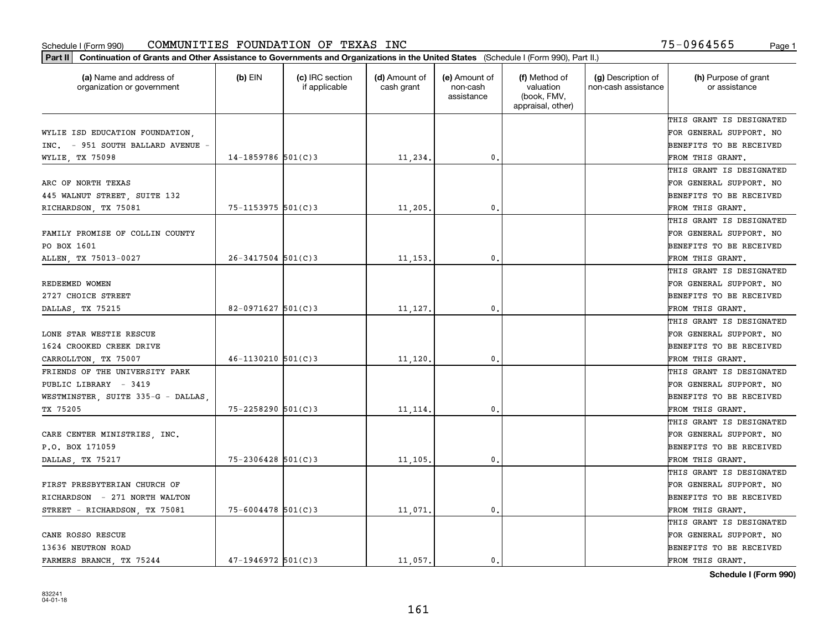| Part II   Continuation of Grants and Other Assistance to Governments and Organizations in the United States (Schedule I (Form 990), Part II.) |                        |                                  |                             |                                         |                                                                |                                           |                                       |
|-----------------------------------------------------------------------------------------------------------------------------------------------|------------------------|----------------------------------|-----------------------------|-----------------------------------------|----------------------------------------------------------------|-------------------------------------------|---------------------------------------|
| (a) Name and address of<br>organization or government                                                                                         | $(b)$ EIN              | (c) IRC section<br>if applicable | (d) Amount of<br>cash grant | (e) Amount of<br>non-cash<br>assistance | (f) Method of<br>valuation<br>(book, FMV,<br>appraisal, other) | (g) Description of<br>non-cash assistance | (h) Purpose of grant<br>or assistance |
|                                                                                                                                               |                        |                                  |                             |                                         |                                                                |                                           | THIS GRANT IS DESIGNATED              |
| WYLIE ISD EDUCATION FOUNDATION,                                                                                                               |                        |                                  |                             |                                         |                                                                |                                           | FOR GENERAL SUPPORT. NO               |
| INC. - 951 SOUTH BALLARD AVENUE -                                                                                                             |                        |                                  |                             |                                         |                                                                |                                           | BENEFITS TO BE RECEIVED               |
| WYLIE, TX 75098                                                                                                                               | $14 - 1859786$ 501(C)3 |                                  | 11,234.                     | 0.                                      |                                                                |                                           | FROM THIS GRANT.                      |
|                                                                                                                                               |                        |                                  |                             |                                         |                                                                |                                           | THIS GRANT IS DESIGNATED              |
| ARC OF NORTH TEXAS                                                                                                                            |                        |                                  |                             |                                         |                                                                |                                           | FOR GENERAL SUPPORT. NO               |
| 445 WALNUT STREET, SUITE 132                                                                                                                  |                        |                                  |                             |                                         |                                                                |                                           | BENEFITS TO BE RECEIVED               |
| RICHARDSON, TX 75081                                                                                                                          | $75 - 1153975$ 501(C)3 |                                  | 11,205.                     | 0.                                      |                                                                |                                           | FROM THIS GRANT.                      |
|                                                                                                                                               |                        |                                  |                             |                                         |                                                                |                                           | THIS GRANT IS DESIGNATED              |
| FAMILY PROMISE OF COLLIN COUNTY                                                                                                               |                        |                                  |                             |                                         |                                                                |                                           | FOR GENERAL SUPPORT. NO               |
| PO BOX 1601                                                                                                                                   |                        |                                  |                             |                                         |                                                                |                                           | BENEFITS TO BE RECEIVED               |
| ALLEN, TX 75013-0027                                                                                                                          | $26 - 3417504$ 501(C)3 |                                  | 11, 153.                    | 0.                                      |                                                                |                                           | FROM THIS GRANT.                      |
|                                                                                                                                               |                        |                                  |                             |                                         |                                                                |                                           | THIS GRANT IS DESIGNATED              |
| REDEEMED WOMEN                                                                                                                                |                        |                                  |                             |                                         |                                                                |                                           | FOR GENERAL SUPPORT. NO               |
| 2727 CHOICE STREET                                                                                                                            |                        |                                  |                             |                                         |                                                                |                                           | <b>BENEFITS TO BE RECEIVED</b>        |
| DALLAS, TX 75215                                                                                                                              | $82 - 0971627$ 501(C)3 |                                  | 11,127.                     | 0.                                      |                                                                |                                           | FROM THIS GRANT.                      |
|                                                                                                                                               |                        |                                  |                             |                                         |                                                                |                                           | THIS GRANT IS DESIGNATED              |
| LONE STAR WESTIE RESCUE                                                                                                                       |                        |                                  |                             |                                         |                                                                |                                           | FOR GENERAL SUPPORT. NO               |
| 1624 CROOKED CREEK DRIVE                                                                                                                      |                        |                                  |                             |                                         |                                                                |                                           | BENEFITS TO BE RECEIVED               |
| CARROLLTON, TX 75007                                                                                                                          | $46 - 1130210$ 501(C)3 |                                  | 11,120                      | 0.                                      |                                                                |                                           | FROM THIS GRANT.                      |
| FRIENDS OF THE UNIVERSITY PARK                                                                                                                |                        |                                  |                             |                                         |                                                                |                                           | THIS GRANT IS DESIGNATED              |
| PUBLIC LIBRARY - 3419                                                                                                                         |                        |                                  |                             |                                         |                                                                |                                           | FOR GENERAL SUPPORT. NO               |
| WESTMINSTER, SUITE 335-G - DALLAS                                                                                                             |                        |                                  |                             |                                         |                                                                |                                           | <b>BENEFITS TO BE RECEIVED</b>        |
| TX 75205                                                                                                                                      | $75 - 2258290$ 501(C)3 |                                  | 11, 114,                    | 0.                                      |                                                                |                                           | FROM THIS GRANT.                      |
|                                                                                                                                               |                        |                                  |                             |                                         |                                                                |                                           | THIS GRANT IS DESIGNATED              |
| CARE CENTER MINISTRIES, INC.                                                                                                                  |                        |                                  |                             |                                         |                                                                |                                           | FOR GENERAL SUPPORT. NO               |
| P.O. BOX 171059                                                                                                                               |                        |                                  |                             |                                         |                                                                |                                           | BENEFITS TO BE RECEIVED               |
| DALLAS, TX 75217                                                                                                                              | $75 - 2306428$ 501(C)3 |                                  | 11, 105.                    | 0.                                      |                                                                |                                           | FROM THIS GRANT.                      |
|                                                                                                                                               |                        |                                  |                             |                                         |                                                                |                                           | THIS GRANT IS DESIGNATED              |
| FIRST PRESBYTERIAN CHURCH OF                                                                                                                  |                        |                                  |                             |                                         |                                                                |                                           | FOR GENERAL SUPPORT. NO               |
| RICHARDSON - 271 NORTH WALTON                                                                                                                 |                        |                                  |                             |                                         |                                                                |                                           | BENEFITS TO BE RECEIVED               |
| STREET - RICHARDSON, TX 75081                                                                                                                 | $75 - 6004478$ 501(C)3 |                                  | 11,071.                     | 0.                                      |                                                                |                                           | FROM THIS GRANT.                      |
|                                                                                                                                               |                        |                                  |                             |                                         |                                                                |                                           | THIS GRANT IS DESIGNATED              |
| CANE ROSSO RESCUE                                                                                                                             |                        |                                  |                             |                                         |                                                                |                                           | FOR GENERAL SUPPORT. NO               |
| 13636 NEUTRON ROAD                                                                                                                            |                        |                                  |                             |                                         |                                                                |                                           | <b>BENEFITS TO BE RECEIVED</b>        |
| FARMERS BRANCH, TX 75244                                                                                                                      | $47 - 1946972$ 501(C)3 |                                  | 11,057.                     | $\mathbf{0}$ .                          |                                                                |                                           | FROM THIS GRANT.                      |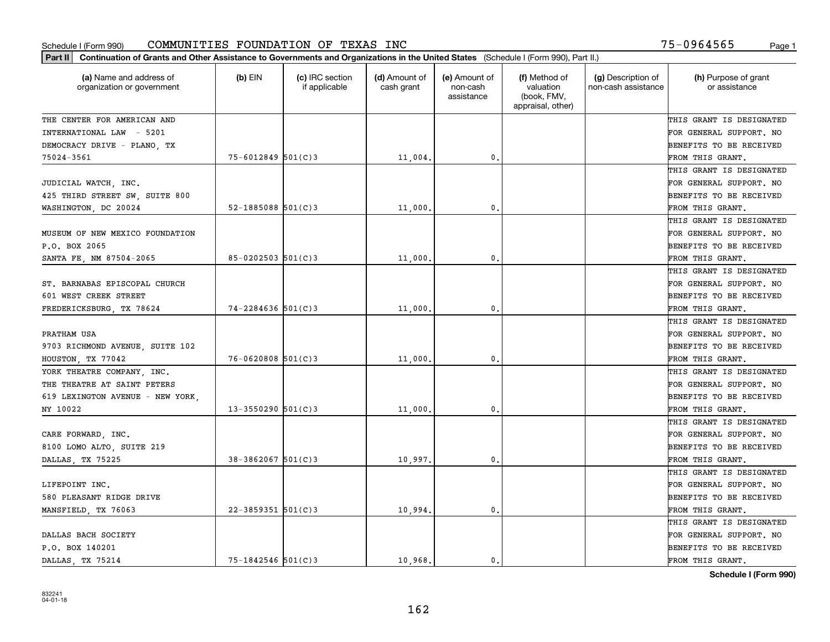| Part II   Continuation of Grants and Other Assistance to Governments and Organizations in the United States (Schedule I (Form 990), Part II.) |                          |                                  |                             |                                         |                                                                |                                           |                                       |
|-----------------------------------------------------------------------------------------------------------------------------------------------|--------------------------|----------------------------------|-----------------------------|-----------------------------------------|----------------------------------------------------------------|-------------------------------------------|---------------------------------------|
| (a) Name and address of<br>organization or government                                                                                         | $(b)$ EIN                | (c) IRC section<br>if applicable | (d) Amount of<br>cash grant | (e) Amount of<br>non-cash<br>assistance | (f) Method of<br>valuation<br>(book, FMV,<br>appraisal, other) | (g) Description of<br>non-cash assistance | (h) Purpose of grant<br>or assistance |
| THE CENTER FOR AMERICAN AND                                                                                                                   |                          |                                  |                             |                                         |                                                                |                                           | THIS GRANT IS DESIGNATED              |
| INTERNATIONAL LAW - 5201                                                                                                                      |                          |                                  |                             |                                         |                                                                |                                           | FOR GENERAL SUPPORT. NO               |
| DEMOCRACY DRIVE - PLANO, TX                                                                                                                   |                          |                                  |                             |                                         |                                                                |                                           | <b>BENEFITS TO BE RECEIVED</b>        |
| 75024-3561                                                                                                                                    | $75 - 6012849$ 501(C)3   |                                  | 11,004.                     | 0.                                      |                                                                |                                           | FROM THIS GRANT.                      |
|                                                                                                                                               |                          |                                  |                             |                                         |                                                                |                                           | THIS GRANT IS DESIGNATED              |
| JUDICIAL WATCH, INC.                                                                                                                          |                          |                                  |                             |                                         |                                                                |                                           | FOR GENERAL SUPPORT. NO               |
| 425 THIRD STREET SW, SUITE 800                                                                                                                |                          |                                  |                             |                                         |                                                                |                                           | BENEFITS TO BE RECEIVED               |
| WASHINGTON, DC 20024                                                                                                                          | $52 - 1885088$ $501(C)3$ |                                  | 11,000                      | 0.                                      |                                                                |                                           | FROM THIS GRANT.                      |
|                                                                                                                                               |                          |                                  |                             |                                         |                                                                |                                           | THIS GRANT IS DESIGNATED              |
| MUSEUM OF NEW MEXICO FOUNDATION                                                                                                               |                          |                                  |                             |                                         |                                                                |                                           | FOR GENERAL SUPPORT. NO               |
| P.O. BOX 2065                                                                                                                                 |                          |                                  |                             |                                         |                                                                |                                           | BENEFITS TO BE RECEIVED               |
| SANTA FE, NM 87504-2065                                                                                                                       | $85 - 0202503$ 501(C)3   |                                  | 11,000                      | $\mathfrak{o}$ .                        |                                                                |                                           | FROM THIS GRANT.                      |
|                                                                                                                                               |                          |                                  |                             |                                         |                                                                |                                           | THIS GRANT IS DESIGNATED              |
| ST. BARNABAS EPISCOPAL CHURCH                                                                                                                 |                          |                                  |                             |                                         |                                                                |                                           | FOR GENERAL SUPPORT. NO               |
| 601 WEST CREEK STREET                                                                                                                         |                          |                                  |                             |                                         |                                                                |                                           | <b>BENEFITS TO BE RECEIVED</b>        |
| FREDERICKSBURG, TX 78624                                                                                                                      | $74 - 2284636$ 501(C)3   |                                  | 11,000                      | 0.                                      |                                                                |                                           | FROM THIS GRANT.                      |
|                                                                                                                                               |                          |                                  |                             |                                         |                                                                |                                           | THIS GRANT IS DESIGNATED              |
| PRATHAM USA                                                                                                                                   |                          |                                  |                             |                                         |                                                                |                                           | FOR GENERAL SUPPORT. NO               |
| 9703 RICHMOND AVENUE, SUITE 102                                                                                                               |                          |                                  |                             |                                         |                                                                |                                           | <b>BENEFITS TO BE RECEIVED</b>        |
| HOUSTON, TX 77042                                                                                                                             | $76 - 0620808$ 501(C)3   |                                  | 11,000                      | 0.                                      |                                                                |                                           | FROM THIS GRANT.                      |
| YORK THEATRE COMPANY, INC.                                                                                                                    |                          |                                  |                             |                                         |                                                                |                                           | THIS GRANT IS DESIGNATED              |
| THE THEATRE AT SAINT PETERS                                                                                                                   |                          |                                  |                             |                                         |                                                                |                                           | FOR GENERAL SUPPORT. NO               |
| 619 LEXINGTON AVENUE - NEW YORK,                                                                                                              |                          |                                  |                             |                                         |                                                                |                                           | <b>BENEFITS TO BE RECEIVED</b>        |
| NY 10022                                                                                                                                      | $13 - 3550290$ 501(C)3   |                                  | 11,000                      | 0.                                      |                                                                |                                           | FROM THIS GRANT.                      |
|                                                                                                                                               |                          |                                  |                             |                                         |                                                                |                                           | THIS GRANT IS DESIGNATED              |
| CARE FORWARD, INC.                                                                                                                            |                          |                                  |                             |                                         |                                                                |                                           | FOR GENERAL SUPPORT. NO               |
| 8100 LOMO ALTO, SUITE 219                                                                                                                     |                          |                                  |                             |                                         |                                                                |                                           | <b>BENEFITS TO BE RECEIVED</b>        |
| DALLAS, TX 75225                                                                                                                              | $38 - 3862067$ 501(C)3   |                                  | 10,997.                     | $\mathfrak{o}$ .                        |                                                                |                                           | FROM THIS GRANT.                      |
|                                                                                                                                               |                          |                                  |                             |                                         |                                                                |                                           | THIS GRANT IS DESIGNATED              |
| LIFEPOINT INC.                                                                                                                                |                          |                                  |                             |                                         |                                                                |                                           | FOR GENERAL SUPPORT. NO               |
| 580 PLEASANT RIDGE DRIVE                                                                                                                      |                          |                                  |                             |                                         |                                                                |                                           | BENEFITS TO BE RECEIVED               |
| MANSFIELD, TX 76063                                                                                                                           | $22 - 3859351$ 501(C)3   |                                  | 10,994.                     | 0.                                      |                                                                |                                           | FROM THIS GRANT.                      |
|                                                                                                                                               |                          |                                  |                             |                                         |                                                                |                                           | THIS GRANT IS DESIGNATED              |
| DALLAS BACH SOCIETY                                                                                                                           |                          |                                  |                             |                                         |                                                                |                                           | FOR GENERAL SUPPORT. NO               |
| P.O. BOX 140201                                                                                                                               |                          |                                  |                             |                                         |                                                                |                                           | <b>BENEFITS TO BE RECEIVED</b>        |
| DALLAS, TX 75214                                                                                                                              | $75 - 1842546$ 501(C)3   |                                  | 10,968.                     | $\mathbf{0}$ .                          |                                                                |                                           | FROM THIS GRANT.                      |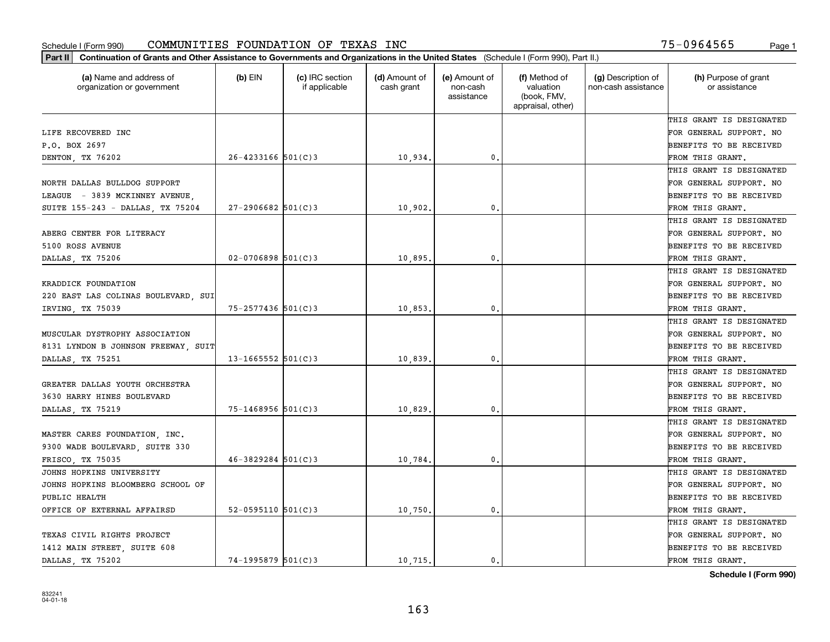| Part II   Continuation of Grants and Other Assistance to Governments and Organizations in the United States (Schedule I (Form 990), Part II.) |                        |                                  |                             |                                         |                                                                |                                           |                                       |
|-----------------------------------------------------------------------------------------------------------------------------------------------|------------------------|----------------------------------|-----------------------------|-----------------------------------------|----------------------------------------------------------------|-------------------------------------------|---------------------------------------|
| (a) Name and address of<br>organization or government                                                                                         | $(b)$ EIN              | (c) IRC section<br>if applicable | (d) Amount of<br>cash grant | (e) Amount of<br>non-cash<br>assistance | (f) Method of<br>valuation<br>(book, FMV,<br>appraisal, other) | (g) Description of<br>non-cash assistance | (h) Purpose of grant<br>or assistance |
|                                                                                                                                               |                        |                                  |                             |                                         |                                                                |                                           | THIS GRANT IS DESIGNATED              |
| LIFE RECOVERED INC                                                                                                                            |                        |                                  |                             |                                         |                                                                |                                           | FOR GENERAL SUPPORT. NO               |
| P.O. BOX 2697                                                                                                                                 |                        |                                  |                             |                                         |                                                                |                                           | BENEFITS TO BE RECEIVED               |
| DENTON, TX 76202                                                                                                                              | $26 - 4233166$ 501(C)3 |                                  | 10,934.                     | 0.                                      |                                                                |                                           | FROM THIS GRANT.                      |
|                                                                                                                                               |                        |                                  |                             |                                         |                                                                |                                           | THIS GRANT IS DESIGNATED              |
| NORTH DALLAS BULLDOG SUPPORT                                                                                                                  |                        |                                  |                             |                                         |                                                                |                                           | FOR GENERAL SUPPORT. NO               |
| LEAGUE - 3839 MCKINNEY AVENUE,                                                                                                                |                        |                                  |                             |                                         |                                                                |                                           | BENEFITS TO BE RECEIVED               |
| SUITE 155-243 - DALLAS, TX 75204                                                                                                              | $27 - 2906682$ 501(C)3 |                                  | 10,902.                     | 0.                                      |                                                                |                                           | FROM THIS GRANT.                      |
|                                                                                                                                               |                        |                                  |                             |                                         |                                                                |                                           | THIS GRANT IS DESIGNATED              |
| ABERG CENTER FOR LITERACY                                                                                                                     |                        |                                  |                             |                                         |                                                                |                                           | FOR GENERAL SUPPORT. NO               |
| 5100 ROSS AVENUE                                                                                                                              |                        |                                  |                             |                                         |                                                                |                                           | BENEFITS TO BE RECEIVED               |
| DALLAS, TX 75206                                                                                                                              | $02 - 0706898$ 501(C)3 |                                  | 10,895.                     | $\mathfrak{o}$ .                        |                                                                |                                           | FROM THIS GRANT.                      |
|                                                                                                                                               |                        |                                  |                             |                                         |                                                                |                                           | THIS GRANT IS DESIGNATED              |
| KRADDICK FOUNDATION                                                                                                                           |                        |                                  |                             |                                         |                                                                |                                           | FOR GENERAL SUPPORT. NO               |
| 220 EAST LAS COLINAS BOULEVARD, SUI                                                                                                           |                        |                                  |                             |                                         |                                                                |                                           | <b>BENEFITS TO BE RECEIVED</b>        |
| IRVING, TX 75039                                                                                                                              | 75-2577436 501(C)3     |                                  | 10,853.                     | $\mathbf{0}$ .                          |                                                                |                                           | FROM THIS GRANT.                      |
|                                                                                                                                               |                        |                                  |                             |                                         |                                                                |                                           | THIS GRANT IS DESIGNATED              |
| MUSCULAR DYSTROPHY ASSOCIATION                                                                                                                |                        |                                  |                             |                                         |                                                                |                                           | FOR GENERAL SUPPORT. NO               |
| 8131 LYNDON B JOHNSON FREEWAY, SUIT                                                                                                           |                        |                                  |                             |                                         |                                                                |                                           | BENEFITS TO BE RECEIVED               |
| DALLAS, TX 75251                                                                                                                              | $13 - 1665552$ 501(C)3 |                                  | 10,839                      | $\mathbf{0}$                            |                                                                |                                           | FROM THIS GRANT.                      |
|                                                                                                                                               |                        |                                  |                             |                                         |                                                                |                                           | THIS GRANT IS DESIGNATED              |
| GREATER DALLAS YOUTH ORCHESTRA                                                                                                                |                        |                                  |                             |                                         |                                                                |                                           | FOR GENERAL SUPPORT. NO               |
| 3630 HARRY HINES BOULEVARD                                                                                                                    |                        |                                  |                             |                                         |                                                                |                                           | BENEFITS TO BE RECEIVED               |
| DALLAS, TX 75219                                                                                                                              | $75 - 1468956$ 501(C)3 |                                  | 10,829                      | 0.                                      |                                                                |                                           | FROM THIS GRANT.                      |
|                                                                                                                                               |                        |                                  |                             |                                         |                                                                |                                           | THIS GRANT IS DESIGNATED              |
| MASTER CARES FOUNDATION, INC.                                                                                                                 |                        |                                  |                             |                                         |                                                                |                                           | FOR GENERAL SUPPORT. NO               |
| 9300 WADE BOULEVARD, SUITE 330                                                                                                                |                        |                                  |                             |                                         |                                                                |                                           | BENEFITS TO BE RECEIVED               |
| FRISCO, TX 75035                                                                                                                              | $46 - 3829284$ 501(C)3 |                                  | 10,784.                     | 0.                                      |                                                                |                                           | FROM THIS GRANT.                      |
| JOHNS HOPKINS UNIVERSITY                                                                                                                      |                        |                                  |                             |                                         |                                                                |                                           | THIS GRANT IS DESIGNATED              |
| JOHNS HOPKINS BLOOMBERG SCHOOL OF                                                                                                             |                        |                                  |                             |                                         |                                                                |                                           | FOR GENERAL SUPPORT. NO               |
| PUBLIC HEALTH                                                                                                                                 |                        |                                  |                             |                                         |                                                                |                                           | BENEFITS TO BE RECEIVED               |
| OFFICE OF EXTERNAL AFFAIRSD                                                                                                                   | 52-0595110 $501(C)3$   |                                  | 10,750.                     | $\mathbf{0}$ .                          |                                                                |                                           | FROM THIS GRANT.                      |
|                                                                                                                                               |                        |                                  |                             |                                         |                                                                |                                           | THIS GRANT IS DESIGNATED              |
| TEXAS CIVIL RIGHTS PROJECT                                                                                                                    |                        |                                  |                             |                                         |                                                                |                                           | FOR GENERAL SUPPORT. NO               |
| 1412 MAIN STREET, SUITE 608                                                                                                                   |                        |                                  |                             |                                         |                                                                |                                           | <b>BENEFITS TO BE RECEIVED</b>        |
| DALLAS, TX 75202                                                                                                                              | $74 - 1995879$ 501(C)3 |                                  | 10.715.                     | 0.                                      |                                                                |                                           | FROM THIS GRANT.                      |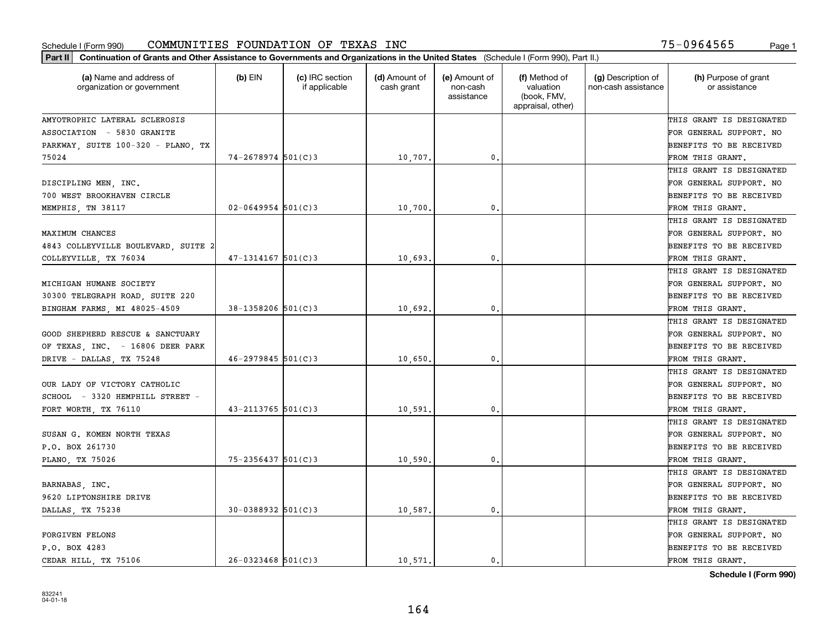| Part II   Continuation of Grants and Other Assistance to Governments and Organizations in the United States (Schedule I (Form 990), Part II.) |                        |                                  |                             |                                         |                                                                |                                           |                                       |
|-----------------------------------------------------------------------------------------------------------------------------------------------|------------------------|----------------------------------|-----------------------------|-----------------------------------------|----------------------------------------------------------------|-------------------------------------------|---------------------------------------|
| (a) Name and address of<br>organization or government                                                                                         | $(b)$ EIN              | (c) IRC section<br>if applicable | (d) Amount of<br>cash grant | (e) Amount of<br>non-cash<br>assistance | (f) Method of<br>valuation<br>(book, FMV,<br>appraisal, other) | (g) Description of<br>non-cash assistance | (h) Purpose of grant<br>or assistance |
| AMYOTROPHIC LATERAL SCLEROSIS                                                                                                                 |                        |                                  |                             |                                         |                                                                |                                           | THIS GRANT IS DESIGNATED              |
| ASSOCIATION - 5830 GRANITE                                                                                                                    |                        |                                  |                             |                                         |                                                                |                                           | FOR GENERAL SUPPORT. NO               |
| PARKWAY, SUITE 100-320 - PLANO, TX                                                                                                            |                        |                                  |                             |                                         |                                                                |                                           | <b>BENEFITS TO BE RECEIVED</b>        |
| 75024                                                                                                                                         | $74 - 2678974$ 501(C)3 |                                  | 10,707.                     | 0.                                      |                                                                |                                           | FROM THIS GRANT.                      |
|                                                                                                                                               |                        |                                  |                             |                                         |                                                                |                                           | THIS GRANT IS DESIGNATED              |
| DISCIPLING MEN, INC.                                                                                                                          |                        |                                  |                             |                                         |                                                                |                                           | FOR GENERAL SUPPORT. NO               |
| 700 WEST BROOKHAVEN CIRCLE                                                                                                                    |                        |                                  |                             |                                         |                                                                |                                           | BENEFITS TO BE RECEIVED               |
| MEMPHIS, TN 38117                                                                                                                             | $02 - 0649954$ 501(C)3 |                                  | 10,700                      | 0.                                      |                                                                |                                           | FROM THIS GRANT.                      |
|                                                                                                                                               |                        |                                  |                             |                                         |                                                                |                                           | THIS GRANT IS DESIGNATED              |
| MAXIMUM CHANCES                                                                                                                               |                        |                                  |                             |                                         |                                                                |                                           | FOR GENERAL SUPPORT. NO               |
| 4843 COLLEYVILLE BOULEVARD, SUITE 2                                                                                                           |                        |                                  |                             |                                         |                                                                |                                           | BENEFITS TO BE RECEIVED               |
| COLLEYVILLE, TX 76034                                                                                                                         | $47 - 1314167$ 501(C)3 |                                  | 10,693.                     | $^{\rm 0}$ .                            |                                                                |                                           | FROM THIS GRANT.                      |
|                                                                                                                                               |                        |                                  |                             |                                         |                                                                |                                           | THIS GRANT IS DESIGNATED              |
| MICHIGAN HUMANE SOCIETY                                                                                                                       |                        |                                  |                             |                                         |                                                                |                                           | FOR GENERAL SUPPORT. NO               |
| 30300 TELEGRAPH ROAD, SUITE 220                                                                                                               |                        |                                  |                             |                                         |                                                                |                                           | <b>BENEFITS TO BE RECEIVED</b>        |
| BINGHAM FARMS, MI 48025-4509                                                                                                                  | 38-1358206 501(C)3     |                                  | 10,692.                     | 0.                                      |                                                                |                                           | FROM THIS GRANT.                      |
|                                                                                                                                               |                        |                                  |                             |                                         |                                                                |                                           | THIS GRANT IS DESIGNATED              |
| GOOD SHEPHERD RESCUE & SANCTUARY                                                                                                              |                        |                                  |                             |                                         |                                                                |                                           | FOR GENERAL SUPPORT. NO               |
| OF TEXAS, INC. - 16806 DEER PARK                                                                                                              |                        |                                  |                             |                                         |                                                                |                                           | <b>BENEFITS TO BE RECEIVED</b>        |
| DRIVE - DALLAS, TX 75248                                                                                                                      | $46 - 2979845$ 501(C)3 |                                  | 10,650                      | 0.                                      |                                                                |                                           | FROM THIS GRANT.                      |
|                                                                                                                                               |                        |                                  |                             |                                         |                                                                |                                           | THIS GRANT IS DESIGNATED              |
| OUR LADY OF VICTORY CATHOLIC                                                                                                                  |                        |                                  |                             |                                         |                                                                |                                           | FOR GENERAL SUPPORT. NO               |
| SCHOOL - 3320 HEMPHILL STREET -                                                                                                               |                        |                                  |                             |                                         |                                                                |                                           | <b>BENEFITS TO BE RECEIVED</b>        |
| FORT WORTH, TX 76110                                                                                                                          | $43 - 2113765$ 501(C)3 |                                  | 10,591.                     | 0.                                      |                                                                |                                           | FROM THIS GRANT.                      |
|                                                                                                                                               |                        |                                  |                             |                                         |                                                                |                                           | THIS GRANT IS DESIGNATED              |
| SUSAN G. KOMEN NORTH TEXAS                                                                                                                    |                        |                                  |                             |                                         |                                                                |                                           | FOR GENERAL SUPPORT. NO               |
| P.O. BOX 261730                                                                                                                               |                        |                                  |                             |                                         |                                                                |                                           | <b>BENEFITS TO BE RECEIVED</b>        |
| PLANO, TX 75026                                                                                                                               | $75 - 2356437$ 501(C)3 |                                  | 10,590                      | $\mathfrak{o}$ .                        |                                                                |                                           | FROM THIS GRANT.                      |
|                                                                                                                                               |                        |                                  |                             |                                         |                                                                |                                           | THIS GRANT IS DESIGNATED              |
| BARNABAS, INC.                                                                                                                                |                        |                                  |                             |                                         |                                                                |                                           | FOR GENERAL SUPPORT. NO               |
| 9620 LIPTONSHIRE DRIVE                                                                                                                        |                        |                                  |                             |                                         |                                                                |                                           | BENEFITS TO BE RECEIVED               |
| DALLAS, TX 75238                                                                                                                              | $30 - 0388932$ 501(C)3 |                                  | 10,587.                     | $\mathbf{0}$ .                          |                                                                |                                           | FROM THIS GRANT.                      |
|                                                                                                                                               |                        |                                  |                             |                                         |                                                                |                                           | THIS GRANT IS DESIGNATED              |
| <b>FORGIVEN FELONS</b>                                                                                                                        |                        |                                  |                             |                                         |                                                                |                                           | FOR GENERAL SUPPORT. NO               |
| P.O. BOX 4283                                                                                                                                 |                        |                                  |                             |                                         |                                                                |                                           | <b>BENEFITS TO BE RECEIVED</b>        |
| CEDAR HILL, TX 75106                                                                                                                          | $26 - 0323468$ 501(C)3 |                                  | 10.571.                     | $\mathbf{0}$ .                          |                                                                |                                           | FROM THIS GRANT.                      |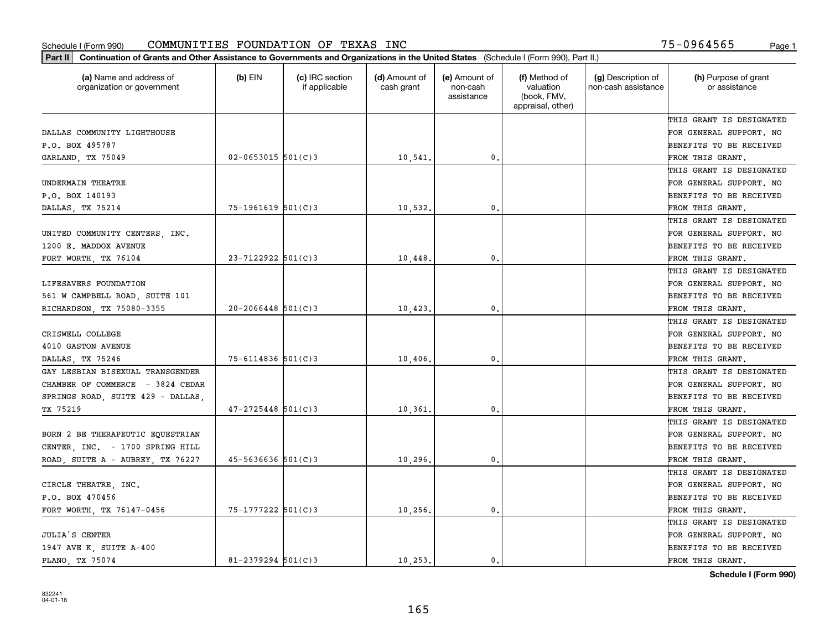| (a) Name and address of<br>organization or government | $(b)$ EIN                | (c) IRC section<br>if applicable | (d) Amount of<br>cash grant | (e) Amount of<br>non-cash<br>assistance | (f) Method of<br>valuation<br>(book, FMV,<br>appraisal, other) | (g) Description of<br>non-cash assistance | (h) Purpose of grant<br>or assistance |
|-------------------------------------------------------|--------------------------|----------------------------------|-----------------------------|-----------------------------------------|----------------------------------------------------------------|-------------------------------------------|---------------------------------------|
|                                                       |                          |                                  |                             |                                         |                                                                |                                           | THIS GRANT IS DESIGNATED              |
| DALLAS COMMUNITY LIGHTHOUSE                           |                          |                                  |                             |                                         |                                                                |                                           | FOR GENERAL SUPPORT. NO               |
| P.O. BOX 495787                                       |                          |                                  |                             |                                         |                                                                |                                           | BENEFITS TO BE RECEIVED               |
| GARLAND, TX 75049                                     | $02 - 0653015$ 501(C)3   |                                  | 10,541.                     | $\mathfrak{o}$ .                        |                                                                |                                           | FROM THIS GRANT.                      |
|                                                       |                          |                                  |                             |                                         |                                                                |                                           | THIS GRANT IS DESIGNATED              |
| UNDERMAIN THEATRE                                     |                          |                                  |                             |                                         |                                                                |                                           | FOR GENERAL SUPPORT. NO               |
| P.O. BOX 140193                                       |                          |                                  |                             |                                         |                                                                |                                           | BENEFITS TO BE RECEIVED               |
| DALLAS, TX 75214                                      | $75 - 1961619$ $501(C)3$ |                                  | 10,532.                     | $\mathbf{0}$                            |                                                                |                                           | FROM THIS GRANT.                      |
|                                                       |                          |                                  |                             |                                         |                                                                |                                           | THIS GRANT IS DESIGNATED              |
| UNITED COMMUNITY CENTERS, INC.                        |                          |                                  |                             |                                         |                                                                |                                           | FOR GENERAL SUPPORT. NO               |
| 1200 E. MADDOX AVENUE                                 |                          |                                  |                             |                                         |                                                                |                                           | BENEFITS TO BE RECEIVED               |
| FORT WORTH, TX 76104                                  | $23 - 7122922$ 501(C)3   |                                  | 10,448                      | $\mathbf{0}$ .                          |                                                                |                                           | FROM THIS GRANT.                      |
|                                                       |                          |                                  |                             |                                         |                                                                |                                           | THIS GRANT IS DESIGNATED              |
| LIFESAVERS FOUNDATION                                 |                          |                                  |                             |                                         |                                                                |                                           | FOR GENERAL SUPPORT. NO               |
| 561 W CAMPBELL ROAD, SUITE 101                        |                          |                                  |                             |                                         |                                                                |                                           | BENEFITS TO BE RECEIVED               |
| RICHARDSON, TX 75080-3355                             | $20 - 2066448$ 501(C)3   |                                  | 10,423                      | $\mathbf{0}$                            |                                                                |                                           | FROM THIS GRANT.                      |
|                                                       |                          |                                  |                             |                                         |                                                                |                                           | THIS GRANT IS DESIGNATED              |
| CRISWELL COLLEGE                                      |                          |                                  |                             |                                         |                                                                |                                           | FOR GENERAL SUPPORT. NO               |
| 4010 GASTON AVENUE                                    |                          |                                  |                             |                                         |                                                                |                                           | BENEFITS TO BE RECEIVED               |
| DALLAS, TX 75246                                      | 75-6114836 501(C)3       |                                  | 10,406                      | $\mathbf{0}$                            |                                                                |                                           | FROM THIS GRANT.                      |
| GAY LESBIAN BISEXUAL TRANSGENDER                      |                          |                                  |                             |                                         |                                                                |                                           | THIS GRANT IS DESIGNATED              |
| CHAMBER OF COMMERCE - 3824 CEDAR                      |                          |                                  |                             |                                         |                                                                |                                           | FOR GENERAL SUPPORT. NO               |
| SPRINGS ROAD, SUITE 429 - DALLAS,                     |                          |                                  |                             |                                         |                                                                |                                           | BENEFITS TO BE RECEIVED               |
| TX 75219                                              | $47 - 2725448$ 501(C)3   |                                  | 10,361                      | $\mathbf{0}$                            |                                                                |                                           | FROM THIS GRANT.                      |
|                                                       |                          |                                  |                             |                                         |                                                                |                                           | THIS GRANT IS DESIGNATED              |
| BORN 2 BE THERAPEUTIC EQUESTRIAN                      |                          |                                  |                             |                                         |                                                                |                                           | FOR GENERAL SUPPORT. NO               |
| CENTER, INC. - 1700 SPRING HILL                       |                          |                                  |                             |                                         |                                                                |                                           | BENEFITS TO BE RECEIVED               |
| ROAD, SUITE A - AUBREY, TX 76227                      | $45 - 5636636$ $501(C)3$ |                                  | 10,296                      | $\mathbf{0}$ .                          |                                                                |                                           | FROM THIS GRANT.                      |
|                                                       |                          |                                  |                             |                                         |                                                                |                                           | THIS GRANT IS DESIGNATED              |
| CIRCLE THEATRE, INC.                                  |                          |                                  |                             |                                         |                                                                |                                           | FOR GENERAL SUPPORT. NO               |
| P.O. BOX 470456                                       |                          |                                  |                             |                                         |                                                                |                                           | BENEFITS TO BE RECEIVED               |
| FORT WORTH, TX 76147-0456                             | 75-1777222 501(C)3       |                                  | 10,256.                     | $\mathbf{0}$ .                          |                                                                |                                           | FROM THIS GRANT.                      |
|                                                       |                          |                                  |                             |                                         |                                                                |                                           | THIS GRANT IS DESIGNATED              |
| <b>JULIA'S CENTER</b>                                 |                          |                                  |                             |                                         |                                                                |                                           | FOR GENERAL SUPPORT. NO               |
| 1947 AVE K, SUITE A-400                               |                          |                                  |                             |                                         |                                                                |                                           | BENEFITS TO BE RECEIVED               |
| PLANO, TX 75074                                       | $81 - 2379294$ 501(C)3   |                                  | 10.253.                     | 0.                                      |                                                                |                                           | FROM THIS GRANT.                      |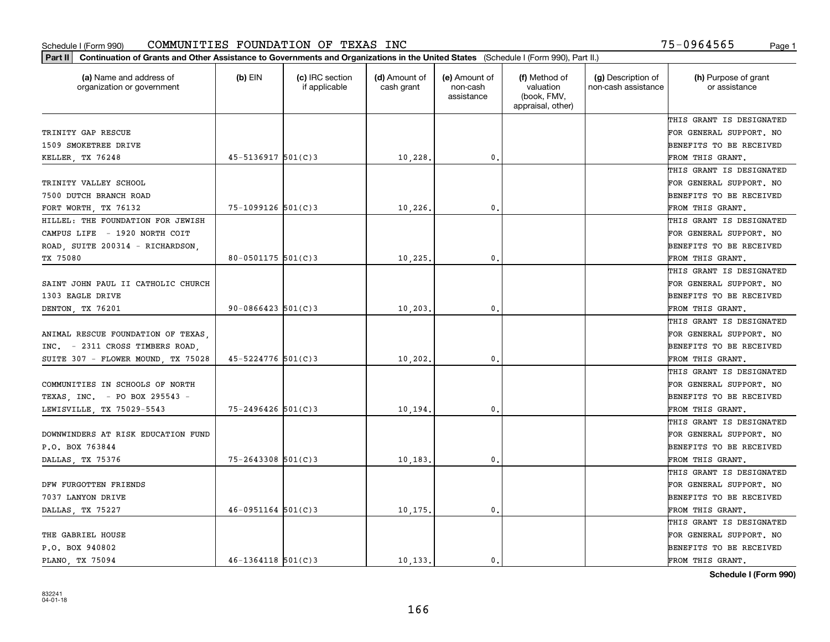| Part II   Continuation of Grants and Other Assistance to Governments and Organizations in the United States (Schedule I (Form 990), Part II.) |                        |                                  |                             |                                         |                                                                |                                           |                                       |
|-----------------------------------------------------------------------------------------------------------------------------------------------|------------------------|----------------------------------|-----------------------------|-----------------------------------------|----------------------------------------------------------------|-------------------------------------------|---------------------------------------|
| (a) Name and address of<br>organization or government                                                                                         | $(b)$ EIN              | (c) IRC section<br>if applicable | (d) Amount of<br>cash grant | (e) Amount of<br>non-cash<br>assistance | (f) Method of<br>valuation<br>(book, FMV,<br>appraisal, other) | (g) Description of<br>non-cash assistance | (h) Purpose of grant<br>or assistance |
|                                                                                                                                               |                        |                                  |                             |                                         |                                                                |                                           | THIS GRANT IS DESIGNATED              |
| TRINITY GAP RESCUE                                                                                                                            |                        |                                  |                             |                                         |                                                                |                                           | FOR GENERAL SUPPORT. NO               |
| 1509 SMOKETREE DRIVE                                                                                                                          |                        |                                  |                             |                                         |                                                                |                                           | <b>BENEFITS TO BE RECEIVED</b>        |
| KELLER, TX 76248                                                                                                                              | $45 - 5136917$ 501(C)3 |                                  | 10,228.                     | 0.                                      |                                                                |                                           | FROM THIS GRANT.                      |
|                                                                                                                                               |                        |                                  |                             |                                         |                                                                |                                           | THIS GRANT IS DESIGNATED              |
| TRINITY VALLEY SCHOOL                                                                                                                         |                        |                                  |                             |                                         |                                                                |                                           | FOR GENERAL SUPPORT. NO               |
| 7500 DUTCH BRANCH ROAD                                                                                                                        |                        |                                  |                             |                                         |                                                                |                                           | BENEFITS TO BE RECEIVED               |
| FORT WORTH, TX 76132                                                                                                                          | $75 - 1099126$ 501(C)3 |                                  | 10,226                      | 0.                                      |                                                                |                                           | FROM THIS GRANT.                      |
| HILLEL: THE FOUNDATION FOR JEWISH                                                                                                             |                        |                                  |                             |                                         |                                                                |                                           | THIS GRANT IS DESIGNATED              |
| CAMPUS LIFE - 1920 NORTH COIT                                                                                                                 |                        |                                  |                             |                                         |                                                                |                                           | FOR GENERAL SUPPORT. NO               |
| ROAD, SUITE 200314 - RICHARDSON,                                                                                                              |                        |                                  |                             |                                         |                                                                |                                           | BENEFITS TO BE RECEIVED               |
| TX 75080                                                                                                                                      | $80 - 0501175$ 501(C)3 |                                  | 10, 225.                    | $^{\rm 0}$ .                            |                                                                |                                           | FROM THIS GRANT.                      |
|                                                                                                                                               |                        |                                  |                             |                                         |                                                                |                                           | THIS GRANT IS DESIGNATED              |
| SAINT JOHN PAUL II CATHOLIC CHURCH                                                                                                            |                        |                                  |                             |                                         |                                                                |                                           | FOR GENERAL SUPPORT. NO               |
| 1303 EAGLE DRIVE                                                                                                                              |                        |                                  |                             |                                         |                                                                |                                           | <b>BENEFITS TO BE RECEIVED</b>        |
| DENTON, TX 76201                                                                                                                              | $90 - 0866423$ 501(C)3 |                                  | 10, 203.                    | 0.                                      |                                                                |                                           | FROM THIS GRANT.                      |
|                                                                                                                                               |                        |                                  |                             |                                         |                                                                |                                           | THIS GRANT IS DESIGNATED              |
| ANIMAL RESCUE FOUNDATION OF TEXAS,                                                                                                            |                        |                                  |                             |                                         |                                                                |                                           | FOR GENERAL SUPPORT. NO               |
| INC. - 2311 CROSS TIMBERS ROAD.                                                                                                               |                        |                                  |                             |                                         |                                                                |                                           | BENEFITS TO BE RECEIVED               |
| SUITE 307 - FLOWER MOUND, TX 75028                                                                                                            | $45 - 5224776$ 501(C)3 |                                  | 10, 202.                    | 0.                                      |                                                                |                                           | FROM THIS GRANT.                      |
|                                                                                                                                               |                        |                                  |                             |                                         |                                                                |                                           | THIS GRANT IS DESIGNATED              |
| COMMUNITIES IN SCHOOLS OF NORTH                                                                                                               |                        |                                  |                             |                                         |                                                                |                                           | FOR GENERAL SUPPORT. NO               |
| TEXAS, INC. - PO BOX 295543 -                                                                                                                 |                        |                                  |                             |                                         |                                                                |                                           | <b>BENEFITS TO BE RECEIVED</b>        |
| LEWISVILLE, TX 75029-5543                                                                                                                     | $75 - 2496426$ 501(C)3 |                                  | 10,194.                     | 0.                                      |                                                                |                                           | FROM THIS GRANT.                      |
|                                                                                                                                               |                        |                                  |                             |                                         |                                                                |                                           | THIS GRANT IS DESIGNATED              |
| DOWNWINDERS AT RISK EDUCATION FUND                                                                                                            |                        |                                  |                             |                                         |                                                                |                                           | FOR GENERAL SUPPORT. NO               |
| P.O. BOX 763844                                                                                                                               |                        |                                  |                             |                                         |                                                                |                                           | <b>BENEFITS TO BE RECEIVED</b>        |
| DALLAS, TX 75376                                                                                                                              | $75 - 2643308$ 501(C)3 |                                  | 10, 183                     | $\mathfrak{o}$ .                        |                                                                |                                           | FROM THIS GRANT.                      |
|                                                                                                                                               |                        |                                  |                             |                                         |                                                                |                                           | THIS GRANT IS DESIGNATED              |
| DFW FURGOTTEN FRIENDS                                                                                                                         |                        |                                  |                             |                                         |                                                                |                                           | FOR GENERAL SUPPORT. NO               |
| 7037 LANYON DRIVE                                                                                                                             |                        |                                  |                             |                                         |                                                                |                                           | BENEFITS TO BE RECEIVED               |
| DALLAS, TX 75227                                                                                                                              | $46 - 0951164$ 501(C)3 |                                  | 10,175.                     | $\mathbf{0}$ .                          |                                                                |                                           | FROM THIS GRANT.                      |
|                                                                                                                                               |                        |                                  |                             |                                         |                                                                |                                           | THIS GRANT IS DESIGNATED              |
| THE GABRIEL HOUSE                                                                                                                             |                        |                                  |                             |                                         |                                                                |                                           | FOR GENERAL SUPPORT. NO               |
| P.O. BOX 940802                                                                                                                               |                        |                                  |                             |                                         |                                                                |                                           | <b>BENEFITS TO BE RECEIVED</b>        |
| PLANO, TX 75094                                                                                                                               | $46 - 1364118$ 501(C)3 |                                  | 10 133.                     | $\mathbf{0}$ .                          |                                                                |                                           | FROM THIS GRANT.                      |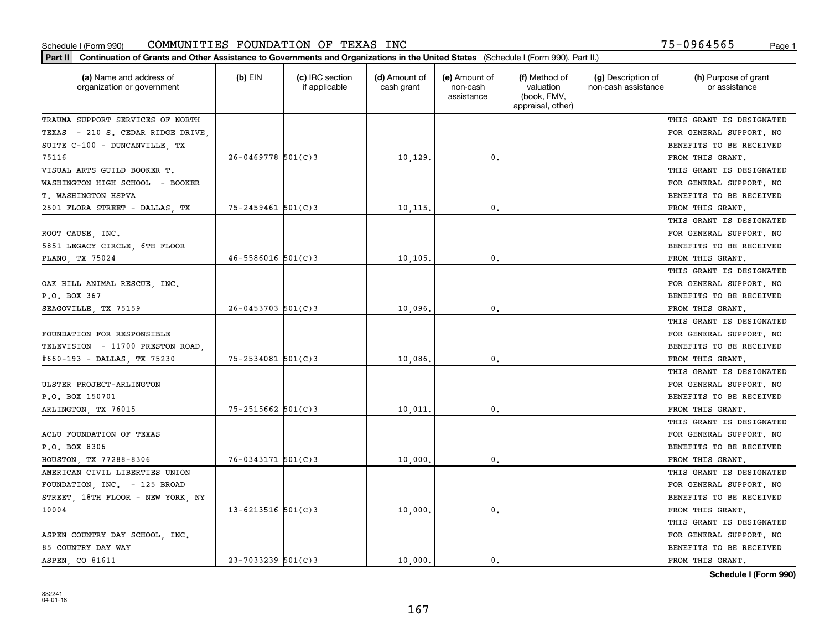| Part II   Continuation of Grants and Other Assistance to Governments and Organizations in the United States (Schedule I (Form 990), Part II.) |                        |                                  |                             |                                         |                                                                |                                           |                                       |
|-----------------------------------------------------------------------------------------------------------------------------------------------|------------------------|----------------------------------|-----------------------------|-----------------------------------------|----------------------------------------------------------------|-------------------------------------------|---------------------------------------|
| (a) Name and address of<br>organization or government                                                                                         | $(b)$ EIN              | (c) IRC section<br>if applicable | (d) Amount of<br>cash grant | (e) Amount of<br>non-cash<br>assistance | (f) Method of<br>valuation<br>(book, FMV,<br>appraisal, other) | (g) Description of<br>non-cash assistance | (h) Purpose of grant<br>or assistance |
| TRAUMA SUPPORT SERVICES OF NORTH                                                                                                              |                        |                                  |                             |                                         |                                                                |                                           | THIS GRANT IS DESIGNATED              |
| TEXAS - 210 S. CEDAR RIDGE DRIVE                                                                                                              |                        |                                  |                             |                                         |                                                                |                                           | FOR GENERAL SUPPORT. NO               |
| SUITE C-100 - DUNCANVILLE, TX                                                                                                                 |                        |                                  |                             |                                         |                                                                |                                           | BENEFITS TO BE RECEIVED               |
| 75116                                                                                                                                         | $26 - 0469778$ 501(C)3 |                                  | 10, 129.                    | 0.                                      |                                                                |                                           | FROM THIS GRANT.                      |
| VISUAL ARTS GUILD BOOKER T.                                                                                                                   |                        |                                  |                             |                                         |                                                                |                                           | THIS GRANT IS DESIGNATED              |
| WASHINGTON HIGH SCHOOL - BOOKER                                                                                                               |                        |                                  |                             |                                         |                                                                |                                           | FOR GENERAL SUPPORT. NO               |
| T. WASHINGTON HSPVA                                                                                                                           |                        |                                  |                             |                                         |                                                                |                                           | BENEFITS TO BE RECEIVED               |
| 2501 FLORA STREET - DALLAS, TX                                                                                                                | $75 - 2459461$ 501(C)3 |                                  | 10,115.                     | 0.                                      |                                                                |                                           | FROM THIS GRANT.                      |
|                                                                                                                                               |                        |                                  |                             |                                         |                                                                |                                           | THIS GRANT IS DESIGNATED              |
| ROOT CAUSE, INC.                                                                                                                              |                        |                                  |                             |                                         |                                                                |                                           | FOR GENERAL SUPPORT. NO               |
| 5851 LEGACY CIRCLE, 6TH FLOOR                                                                                                                 |                        |                                  |                             |                                         |                                                                |                                           | BENEFITS TO BE RECEIVED               |
| PLANO, TX 75024                                                                                                                               | $46 - 5586016$ 501(C)3 |                                  | 10, 105.                    | $\mathfrak{o}$ .                        |                                                                |                                           | FROM THIS GRANT.                      |
|                                                                                                                                               |                        |                                  |                             |                                         |                                                                |                                           | THIS GRANT IS DESIGNATED              |
| OAK HILL ANIMAL RESCUE, INC.                                                                                                                  |                        |                                  |                             |                                         |                                                                |                                           | FOR GENERAL SUPPORT. NO               |
| P.O. BOX 367                                                                                                                                  |                        |                                  |                             |                                         |                                                                |                                           | <b>BENEFITS TO BE RECEIVED</b>        |
| SEAGOVILLE, TX 75159                                                                                                                          | $26 - 0453703$ 501(C)3 |                                  | 10,096.                     | $\mathbf{0}$ .                          |                                                                |                                           | FROM THIS GRANT.                      |
|                                                                                                                                               |                        |                                  |                             |                                         |                                                                |                                           | THIS GRANT IS DESIGNATED              |
| FOUNDATION FOR RESPONSIBLE                                                                                                                    |                        |                                  |                             |                                         |                                                                |                                           | FOR GENERAL SUPPORT. NO               |
| TELEVISION - 11700 PRESTON ROAD,                                                                                                              |                        |                                  |                             |                                         |                                                                |                                           | BENEFITS TO BE RECEIVED               |
| #660-193 - DALLAS, TX 75230                                                                                                                   | $75 - 2534081$ 501(C)3 |                                  | 10,086.                     | $\mathbf{0}$                            |                                                                |                                           | FROM THIS GRANT.                      |
|                                                                                                                                               |                        |                                  |                             |                                         |                                                                |                                           | THIS GRANT IS DESIGNATED              |
| ULSTER PROJECT-ARLINGTON                                                                                                                      |                        |                                  |                             |                                         |                                                                |                                           | FOR GENERAL SUPPORT. NO               |
| P.O. BOX 150701                                                                                                                               |                        |                                  |                             |                                         |                                                                |                                           | BENEFITS TO BE RECEIVED               |
| ARLINGTON, TX 76015                                                                                                                           | $75 - 2515662$ 501(C)3 |                                  | 10,011                      | 0.                                      |                                                                |                                           | FROM THIS GRANT.                      |
|                                                                                                                                               |                        |                                  |                             |                                         |                                                                |                                           | THIS GRANT IS DESIGNATED              |
| ACLU FOUNDATION OF TEXAS                                                                                                                      |                        |                                  |                             |                                         |                                                                |                                           | FOR GENERAL SUPPORT. NO               |
| P.O. BOX 8306                                                                                                                                 |                        |                                  |                             |                                         |                                                                |                                           | BENEFITS TO BE RECEIVED               |
| HOUSTON, TX 77288-8306                                                                                                                        | $76 - 0343171$ 501(C)3 |                                  | 10,000                      | 0.                                      |                                                                |                                           | FROM THIS GRANT.                      |
| AMERICAN CIVIL LIBERTIES UNION                                                                                                                |                        |                                  |                             |                                         |                                                                |                                           | THIS GRANT IS DESIGNATED              |
| FOUNDATION, INC. - 125 BROAD                                                                                                                  |                        |                                  |                             |                                         |                                                                |                                           | FOR GENERAL SUPPORT. NO               |
| STREET, 18TH FLOOR - NEW YORK, NY                                                                                                             |                        |                                  |                             |                                         |                                                                |                                           | BENEFITS TO BE RECEIVED               |
| 10004                                                                                                                                         | $13 - 6213516$ 501(C)3 |                                  | 10,000.                     | $\mathbf{0}$ .                          |                                                                |                                           | FROM THIS GRANT.                      |
|                                                                                                                                               |                        |                                  |                             |                                         |                                                                |                                           | THIS GRANT IS DESIGNATED              |
| ASPEN COUNTRY DAY SCHOOL, INC.                                                                                                                |                        |                                  |                             |                                         |                                                                |                                           | FOR GENERAL SUPPORT. NO               |
| 85 COUNTRY DAY WAY                                                                                                                            |                        |                                  |                             |                                         |                                                                |                                           | <b>BENEFITS TO BE RECEIVED</b>        |
| ASPEN CO 81611                                                                                                                                | $23 - 7033239$ 501(C)3 |                                  | 10,000.                     | 0.                                      |                                                                |                                           | FROM THIS GRANT.                      |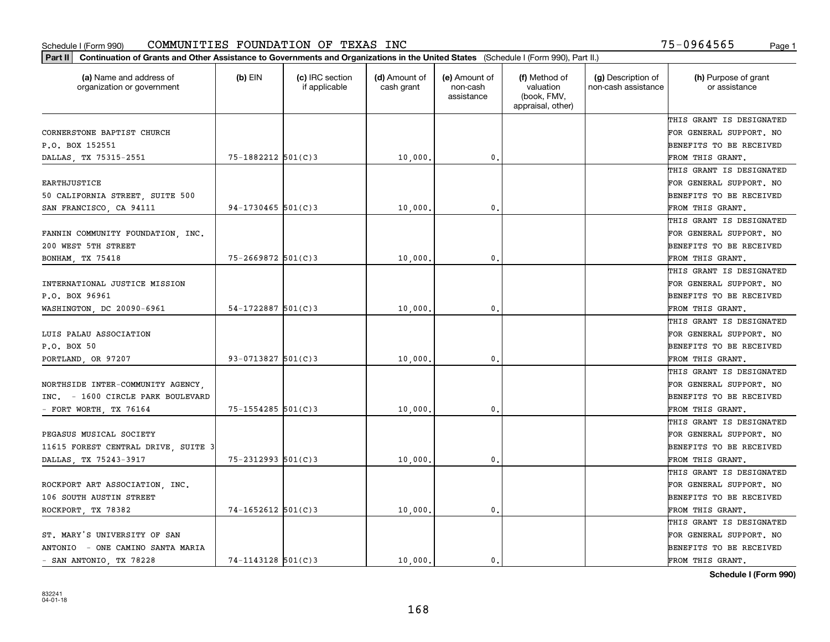| (a) Name and address of<br>organization or government | $(b)$ EIN              | (c) IRC section<br>if applicable | (d) Amount of<br>cash grant | (e) Amount of<br>non-cash<br>assistance | (f) Method of<br>valuation<br>(book, FMV,<br>appraisal, other) | (g) Description of<br>non-cash assistance | (h) Purpose of grant<br>or assistance |
|-------------------------------------------------------|------------------------|----------------------------------|-----------------------------|-----------------------------------------|----------------------------------------------------------------|-------------------------------------------|---------------------------------------|
|                                                       |                        |                                  |                             |                                         |                                                                |                                           | THIS GRANT IS DESIGNATED              |
| CORNERSTONE BAPTIST CHURCH                            |                        |                                  |                             |                                         |                                                                |                                           | FOR GENERAL SUPPORT. NO               |
| P.O. BOX 152551                                       |                        |                                  |                             |                                         |                                                                |                                           | BENEFITS TO BE RECEIVED               |
| DALLAS, TX 75315-2551                                 | 75-1882212 501(C)3     |                                  | 10,000                      | $\mathfrak{o}$ .                        |                                                                |                                           | FROM THIS GRANT.                      |
|                                                       |                        |                                  |                             |                                         |                                                                |                                           | THIS GRANT IS DESIGNATED              |
| <b>EARTHJUSTICE</b>                                   |                        |                                  |                             |                                         |                                                                |                                           | FOR GENERAL SUPPORT. NO               |
| 50 CALIFORNIA STREET, SUITE 500                       |                        |                                  |                             |                                         |                                                                |                                           | BENEFITS TO BE RECEIVED               |
| SAN FRANCISCO, CA 94111                               | $94-1730465$ 501(C)3   |                                  | 10,000                      | $\mathbf{0}$                            |                                                                |                                           | FROM THIS GRANT.                      |
|                                                       |                        |                                  |                             |                                         |                                                                |                                           | THIS GRANT IS DESIGNATED              |
| FANNIN COMMUNITY FOUNDATION, INC.                     |                        |                                  |                             |                                         |                                                                |                                           | FOR GENERAL SUPPORT. NO               |
| 200 WEST 5TH STREET                                   |                        |                                  |                             |                                         |                                                                |                                           | BENEFITS TO BE RECEIVED               |
| BONHAM, TX 75418                                      | $75 - 2669872$ 501(C)3 |                                  | 10,000                      | $\mathbf{0}$ .                          |                                                                |                                           | FROM THIS GRANT.                      |
|                                                       |                        |                                  |                             |                                         |                                                                |                                           | THIS GRANT IS DESIGNATED              |
| INTERNATIONAL JUSTICE MISSION                         |                        |                                  |                             |                                         |                                                                |                                           | FOR GENERAL SUPPORT. NO               |
| P.O. BOX 96961                                        |                        |                                  |                             |                                         |                                                                |                                           | BENEFITS TO BE RECEIVED               |
| WASHINGTON, DC 20090-6961                             | $54 - 1722887$ 501(C)3 |                                  | 10,000                      | $\mathbf{0}$                            |                                                                |                                           | FROM THIS GRANT.                      |
|                                                       |                        |                                  |                             |                                         |                                                                |                                           | THIS GRANT IS DESIGNATED              |
| LUIS PALAU ASSOCIATION                                |                        |                                  |                             |                                         |                                                                |                                           | FOR GENERAL SUPPORT. NO               |
| P.O. BOX 50                                           |                        |                                  |                             |                                         |                                                                |                                           | BENEFITS TO BE RECEIVED               |
| PORTLAND, OR 97207                                    | $93 - 0713827$ 501(C)3 |                                  | 10,000                      | $\mathbf{0}$                            |                                                                |                                           | FROM THIS GRANT.                      |
|                                                       |                        |                                  |                             |                                         |                                                                |                                           | THIS GRANT IS DESIGNATED              |
| NORTHSIDE INTER-COMMUNITY AGENCY,                     |                        |                                  |                             |                                         |                                                                |                                           | FOR GENERAL SUPPORT. NO               |
| INC. - 1600 CIRCLE PARK BOULEVARD                     |                        |                                  |                             |                                         |                                                                |                                           | BENEFITS TO BE RECEIVED               |
| - FORT WORTH, TX 76164                                | $75 - 1554285$ 501(C)3 |                                  | 10,000                      | $\mathbf{0}$                            |                                                                |                                           | FROM THIS GRANT.                      |
|                                                       |                        |                                  |                             |                                         |                                                                |                                           | THIS GRANT IS DESIGNATED              |
| PEGASUS MUSICAL SOCIETY                               |                        |                                  |                             |                                         |                                                                |                                           | FOR GENERAL SUPPORT. NO               |
| 11615 FOREST CENTRAL DRIVE, SUITE 3                   |                        |                                  |                             |                                         |                                                                |                                           | BENEFITS TO BE RECEIVED               |
| DALLAS, TX 75243-3917                                 | $75 - 2312993$ 501(C)3 |                                  | 10,000                      | $\mathbf{0}$ .                          |                                                                |                                           | FROM THIS GRANT.                      |
|                                                       |                        |                                  |                             |                                         |                                                                |                                           | THIS GRANT IS DESIGNATED              |
| ROCKPORT ART ASSOCIATION, INC.                        |                        |                                  |                             |                                         |                                                                |                                           | FOR GENERAL SUPPORT. NO               |
| 106 SOUTH AUSTIN STREET                               |                        |                                  |                             |                                         |                                                                |                                           | BENEFITS TO BE RECEIVED               |
| ROCKPORT, TX 78382                                    | $74 - 1652612$ 501(C)3 |                                  | 10,000.                     | $\mathbf{0}$ .                          |                                                                |                                           | FROM THIS GRANT.                      |
|                                                       |                        |                                  |                             |                                         |                                                                |                                           | THIS GRANT IS DESIGNATED              |
| ST. MARY'S UNIVERSITY OF SAN                          |                        |                                  |                             |                                         |                                                                |                                           | FOR GENERAL SUPPORT. NO               |
| ANTONIO - ONE CAMINO SANTA MARIA                      |                        |                                  |                             |                                         |                                                                |                                           | BENEFITS TO BE RECEIVED               |
| - SAN ANTONIO, TX 78228                               | $74 - 1143128$ 501(C)3 |                                  | 10,000.                     | 0.                                      |                                                                |                                           | FROM THIS GRANT.                      |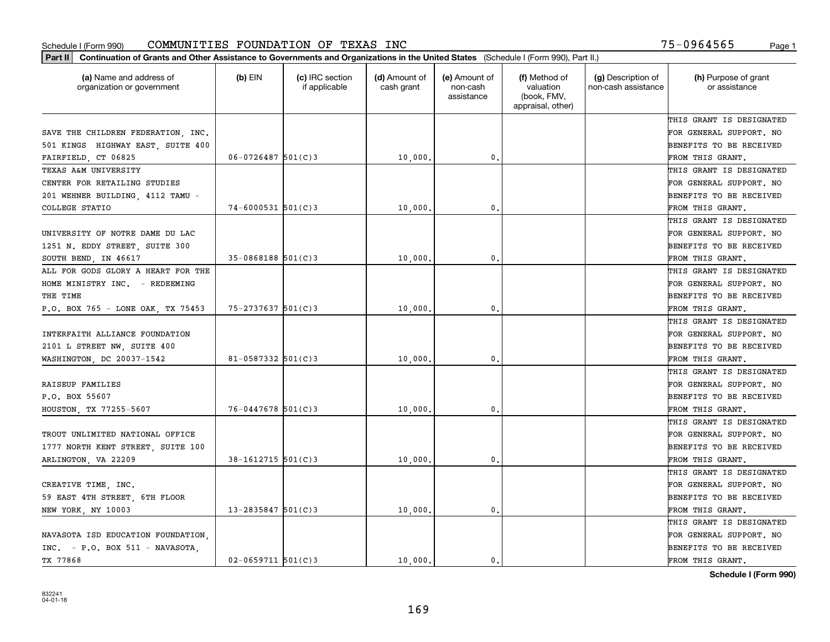| Part II   Continuation of Grants and Other Assistance to Governments and Organizations in the United States (Schedule I (Form 990), Part II.) |                        |                                  |                             |                                         |                                                                |                                           |                                       |
|-----------------------------------------------------------------------------------------------------------------------------------------------|------------------------|----------------------------------|-----------------------------|-----------------------------------------|----------------------------------------------------------------|-------------------------------------------|---------------------------------------|
| (a) Name and address of<br>organization or government                                                                                         | $(b)$ EIN              | (c) IRC section<br>if applicable | (d) Amount of<br>cash grant | (e) Amount of<br>non-cash<br>assistance | (f) Method of<br>valuation<br>(book, FMV,<br>appraisal, other) | (g) Description of<br>non-cash assistance | (h) Purpose of grant<br>or assistance |
|                                                                                                                                               |                        |                                  |                             |                                         |                                                                |                                           | THIS GRANT IS DESIGNATED              |
| SAVE THE CHILDREN FEDERATION, INC.                                                                                                            |                        |                                  |                             |                                         |                                                                |                                           | FOR GENERAL SUPPORT. NO               |
| 501 KINGS HIGHWAY EAST, SUITE 400                                                                                                             |                        |                                  |                             |                                         |                                                                |                                           | <b>BENEFITS TO BE RECEIVED</b>        |
| FAIRFIELD, CT 06825                                                                                                                           | $06 - 0726487$ 501(C)3 |                                  | 10,000,                     | 0.                                      |                                                                |                                           | FROM THIS GRANT.                      |
| TEXAS A&M UNIVERSITY                                                                                                                          |                        |                                  |                             |                                         |                                                                |                                           | THIS GRANT IS DESIGNATED              |
| CENTER FOR RETAILING STUDIES                                                                                                                  |                        |                                  |                             |                                         |                                                                |                                           | FOR GENERAL SUPPORT. NO               |
| 201 WEHNER BUILDING, 4112 TAMU -                                                                                                              |                        |                                  |                             |                                         |                                                                |                                           | BENEFITS TO BE RECEIVED               |
| COLLEGE STATIO                                                                                                                                | $74 - 6000531$ 501(C)3 |                                  | 10,000                      | 0.                                      |                                                                |                                           | FROM THIS GRANT.                      |
|                                                                                                                                               |                        |                                  |                             |                                         |                                                                |                                           | THIS GRANT IS DESIGNATED              |
| UNIVERSITY OF NOTRE DAME DU LAC                                                                                                               |                        |                                  |                             |                                         |                                                                |                                           | FOR GENERAL SUPPORT. NO               |
| 1251 N. EDDY STREET, SUITE 300                                                                                                                |                        |                                  |                             |                                         |                                                                |                                           | BENEFITS TO BE RECEIVED               |
| SOUTH BEND, IN 46617                                                                                                                          | $35 - 0868188$ 501(C)3 |                                  | 10,000                      | $\mathfrak{o}$ .                        |                                                                |                                           | FROM THIS GRANT.                      |
| ALL FOR GODS GLORY A HEART FOR THE                                                                                                            |                        |                                  |                             |                                         |                                                                |                                           | THIS GRANT IS DESIGNATED              |
| HOME MINISTRY INC. - REDEEMING                                                                                                                |                        |                                  |                             |                                         |                                                                |                                           | FOR GENERAL SUPPORT. NO               |
| THE TIME                                                                                                                                      |                        |                                  |                             |                                         |                                                                |                                           | <b>BENEFITS TO BE RECEIVED</b>        |
| P.O. BOX 765 - LONE OAK, TX 75453                                                                                                             | $75 - 2737637$ 501(C)3 |                                  | 10,000                      | 0.                                      |                                                                |                                           | FROM THIS GRANT.                      |
|                                                                                                                                               |                        |                                  |                             |                                         |                                                                |                                           | THIS GRANT IS DESIGNATED              |
| INTERFAITH ALLIANCE FOUNDATION                                                                                                                |                        |                                  |                             |                                         |                                                                |                                           | FOR GENERAL SUPPORT. NO               |
| 2101 L STREET NW, SUITE 400                                                                                                                   |                        |                                  |                             |                                         |                                                                |                                           | <b>BENEFITS TO BE RECEIVED</b>        |
| WASHINGTON, DC 20037-1542                                                                                                                     | 81-0587332 $501(C)3$   |                                  | 10,000                      | 0.                                      |                                                                |                                           | FROM THIS GRANT.                      |
|                                                                                                                                               |                        |                                  |                             |                                         |                                                                |                                           | THIS GRANT IS DESIGNATED              |
| RAISEUP FAMILIES                                                                                                                              |                        |                                  |                             |                                         |                                                                |                                           | FOR GENERAL SUPPORT. NO               |
| P.O. BOX 55607                                                                                                                                |                        |                                  |                             |                                         |                                                                |                                           | <b>BENEFITS TO BE RECEIVED</b>        |
| HOUSTON, TX 77255-5607                                                                                                                        | $76 - 0447678$ 501(C)3 |                                  | 10,000                      | 0.                                      |                                                                |                                           | FROM THIS GRANT.                      |
|                                                                                                                                               |                        |                                  |                             |                                         |                                                                |                                           | THIS GRANT IS DESIGNATED              |
| TROUT UNLIMITED NATIONAL OFFICE                                                                                                               |                        |                                  |                             |                                         |                                                                |                                           | FOR GENERAL SUPPORT. NO               |
| 1777 NORTH KENT STREET, SUITE 100                                                                                                             |                        |                                  |                             |                                         |                                                                |                                           | <b>BENEFITS TO BE RECEIVED</b>        |
| ARLINGTON, VA 22209                                                                                                                           | $38 - 1612715$ 501(C)3 |                                  | 10,000                      | $\mathfrak{o}$ .                        |                                                                |                                           | FROM THIS GRANT.                      |
|                                                                                                                                               |                        |                                  |                             |                                         |                                                                |                                           | THIS GRANT IS DESIGNATED              |
| CREATIVE TIME, INC.                                                                                                                           |                        |                                  |                             |                                         |                                                                |                                           | FOR GENERAL SUPPORT. NO               |
| 59 EAST 4TH STREET, 6TH FLOOR                                                                                                                 |                        |                                  |                             |                                         |                                                                |                                           | BENEFITS TO BE RECEIVED               |
| NEW YORK, NY 10003                                                                                                                            | $13 - 2835847$ 501(C)3 |                                  | 10,000.                     | 0.                                      |                                                                |                                           | FROM THIS GRANT.                      |
|                                                                                                                                               |                        |                                  |                             |                                         |                                                                |                                           | THIS GRANT IS DESIGNATED              |
| NAVASOTA ISD EDUCATION FOUNDATION.                                                                                                            |                        |                                  |                             |                                         |                                                                |                                           | FOR GENERAL SUPPORT. NO               |
| $INC. - P.O. BOX 511 - NAVASOTA.$                                                                                                             |                        |                                  |                             |                                         |                                                                |                                           | <b>BENEFITS TO BE RECEIVED</b>        |
| TX 77868                                                                                                                                      | $02 - 0659711$ 501(C)3 |                                  | 10,000.                     | $\mathbf{0}$ .                          |                                                                |                                           | FROM THIS GRANT.                      |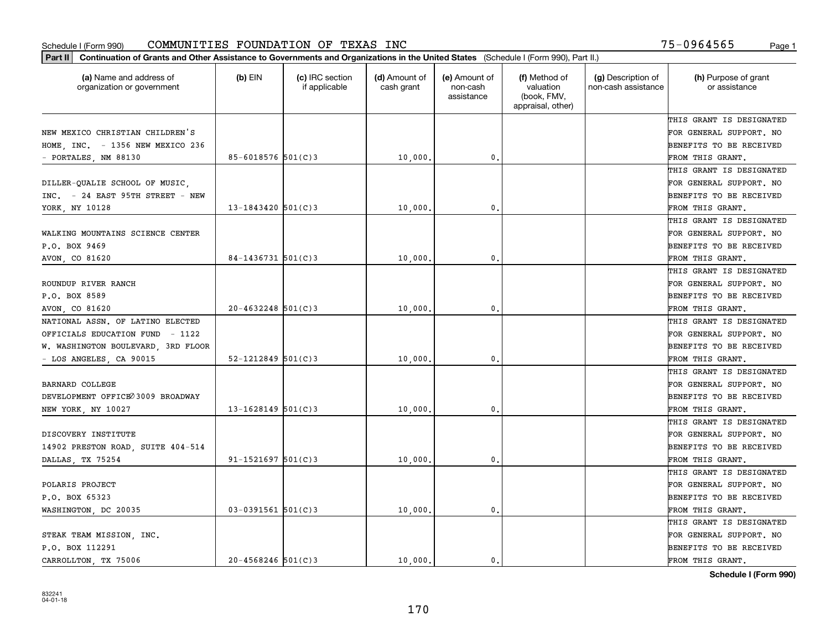| Part II   Continuation of Grants and Other Assistance to Governments and Organizations in the United States (Schedule I (Form 990), Part II.) |                          |                                  |                             |                                         |                                                                |                                           |                                       |
|-----------------------------------------------------------------------------------------------------------------------------------------------|--------------------------|----------------------------------|-----------------------------|-----------------------------------------|----------------------------------------------------------------|-------------------------------------------|---------------------------------------|
| (a) Name and address of<br>organization or government                                                                                         | $(b)$ EIN                | (c) IRC section<br>if applicable | (d) Amount of<br>cash grant | (e) Amount of<br>non-cash<br>assistance | (f) Method of<br>valuation<br>(book, FMV,<br>appraisal, other) | (g) Description of<br>non-cash assistance | (h) Purpose of grant<br>or assistance |
|                                                                                                                                               |                          |                                  |                             |                                         |                                                                |                                           | THIS GRANT IS DESIGNATED              |
| NEW MEXICO CHRISTIAN CHILDREN'S                                                                                                               |                          |                                  |                             |                                         |                                                                |                                           | FOR GENERAL SUPPORT. NO               |
| HOME, INC. - 1356 NEW MEXICO 236                                                                                                              |                          |                                  |                             |                                         |                                                                |                                           | <b>BENEFITS TO BE RECEIVED</b>        |
| - PORTALES, NM 88130                                                                                                                          | 85-6018576 $501(C)3$     |                                  | 10,000                      | 0.                                      |                                                                |                                           | FROM THIS GRANT.                      |
|                                                                                                                                               |                          |                                  |                             |                                         |                                                                |                                           | THIS GRANT IS DESIGNATED              |
| DILLER-QUALIE SCHOOL OF MUSIC,                                                                                                                |                          |                                  |                             |                                         |                                                                |                                           | FOR GENERAL SUPPORT. NO               |
| INC. - 24 EAST 95TH STREET - NEW                                                                                                              |                          |                                  |                             |                                         |                                                                |                                           | BENEFITS TO BE RECEIVED               |
| YORK NY 10128                                                                                                                                 | $13 - 1843420$ 501(C)3   |                                  | 10,000                      | 0.                                      |                                                                |                                           | FROM THIS GRANT.                      |
|                                                                                                                                               |                          |                                  |                             |                                         |                                                                |                                           | THIS GRANT IS DESIGNATED              |
| WALKING MOUNTAINS SCIENCE CENTER                                                                                                              |                          |                                  |                             |                                         |                                                                |                                           | FOR GENERAL SUPPORT. NO               |
| P.O. BOX 9469                                                                                                                                 |                          |                                  |                             |                                         |                                                                |                                           | BENEFITS TO BE RECEIVED               |
| AVON, CO 81620                                                                                                                                | $84 - 1436731$ 501(C)3   |                                  | 10,000                      | $\mathfrak{o}$ .                        |                                                                |                                           | FROM THIS GRANT.                      |
|                                                                                                                                               |                          |                                  |                             |                                         |                                                                |                                           | THIS GRANT IS DESIGNATED              |
| ROUNDUP RIVER RANCH                                                                                                                           |                          |                                  |                             |                                         |                                                                |                                           | FOR GENERAL SUPPORT. NO               |
| P.O. BOX 8589                                                                                                                                 |                          |                                  |                             |                                         |                                                                |                                           | <b>BENEFITS TO BE RECEIVED</b>        |
| AVON, CO 81620                                                                                                                                | $20 - 4632248$ 501(C)3   |                                  | 10,000                      | 0.                                      |                                                                |                                           | FROM THIS GRANT.                      |
| NATIONAL ASSN. OF LATINO ELECTED                                                                                                              |                          |                                  |                             |                                         |                                                                |                                           | THIS GRANT IS DESIGNATED              |
| OFFICIALS EDUCATION FUND - 1122                                                                                                               |                          |                                  |                             |                                         |                                                                |                                           | FOR GENERAL SUPPORT. NO               |
| W. WASHINGTON BOULEVARD, 3RD FLOOR                                                                                                            |                          |                                  |                             |                                         |                                                                |                                           | BENEFITS TO BE RECEIVED               |
| - LOS ANGELES, CA 90015                                                                                                                       | $52 - 1212849$ $501(C)3$ |                                  | 10,000                      | 0.                                      |                                                                |                                           | FROM THIS GRANT.                      |
|                                                                                                                                               |                          |                                  |                             |                                         |                                                                |                                           | THIS GRANT IS DESIGNATED              |
| <b>BARNARD COLLEGE</b>                                                                                                                        |                          |                                  |                             |                                         |                                                                |                                           | FOR GENERAL SUPPORT. NO               |
| DEVELOPMENT OFFICE 3009 BROADWAY                                                                                                              |                          |                                  |                             |                                         |                                                                |                                           | BENEFITS TO BE RECEIVED               |
| NEW YORK, NY 10027                                                                                                                            | $13 - 1628149$ 501(C)3   |                                  | 10,000                      | 0.                                      |                                                                |                                           | FROM THIS GRANT.                      |
|                                                                                                                                               |                          |                                  |                             |                                         |                                                                |                                           | THIS GRANT IS DESIGNATED              |
| DISCOVERY INSTITUTE                                                                                                                           |                          |                                  |                             |                                         |                                                                |                                           | FOR GENERAL SUPPORT. NO               |
| 14902 PRESTON ROAD, SUITE 404-514                                                                                                             |                          |                                  |                             |                                         |                                                                |                                           | <b>BENEFITS TO BE RECEIVED</b>        |
| DALLAS, TX 75254                                                                                                                              | $91 - 1521697$ $501(C)3$ |                                  | 10,000                      | 0.                                      |                                                                |                                           | FROM THIS GRANT.                      |
|                                                                                                                                               |                          |                                  |                             |                                         |                                                                |                                           | THIS GRANT IS DESIGNATED              |
| POLARIS PROJECT                                                                                                                               |                          |                                  |                             |                                         |                                                                |                                           | FOR GENERAL SUPPORT. NO               |
| P.O. BOX 65323                                                                                                                                |                          |                                  |                             |                                         |                                                                |                                           | BENEFITS TO BE RECEIVED               |
| WASHINGTON, DC 20035                                                                                                                          | $03 - 0391561$ 501(C)3   |                                  | 10,000                      | 0.                                      |                                                                |                                           | FROM THIS GRANT.                      |
|                                                                                                                                               |                          |                                  |                             |                                         |                                                                |                                           | THIS GRANT IS DESIGNATED              |
| STEAK TEAM MISSION, INC.                                                                                                                      |                          |                                  |                             |                                         |                                                                |                                           | FOR GENERAL SUPPORT. NO               |
| P.O. BOX 112291                                                                                                                               |                          |                                  |                             |                                         |                                                                |                                           | <b>BENEFITS TO BE RECEIVED</b>        |
| CARROLLTON, TX 75006                                                                                                                          | $20 - 4568246$ 501(C)3   |                                  | 10,000.                     | 0.                                      |                                                                |                                           | FROM THIS GRANT.                      |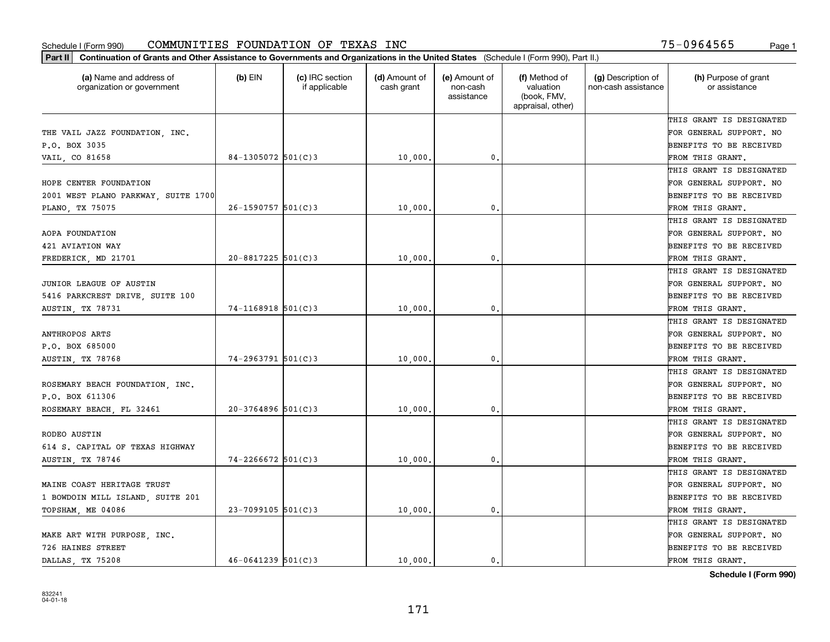| Part II   Continuation of Grants and Other Assistance to Governments and Organizations in the United States (Schedule I (Form 990), Part II.) |                        |                                  |                             |                                         |                                                                |                                           |                                       |
|-----------------------------------------------------------------------------------------------------------------------------------------------|------------------------|----------------------------------|-----------------------------|-----------------------------------------|----------------------------------------------------------------|-------------------------------------------|---------------------------------------|
| (a) Name and address of<br>organization or government                                                                                         | $(b)$ EIN              | (c) IRC section<br>if applicable | (d) Amount of<br>cash grant | (e) Amount of<br>non-cash<br>assistance | (f) Method of<br>valuation<br>(book, FMV,<br>appraisal, other) | (g) Description of<br>non-cash assistance | (h) Purpose of grant<br>or assistance |
|                                                                                                                                               |                        |                                  |                             |                                         |                                                                |                                           | THIS GRANT IS DESIGNATED              |
| THE VAIL JAZZ FOUNDATION, INC.                                                                                                                |                        |                                  |                             |                                         |                                                                |                                           | FOR GENERAL SUPPORT. NO               |
| P.O. BOX 3035                                                                                                                                 |                        |                                  |                             |                                         |                                                                |                                           | BENEFITS TO BE RECEIVED               |
| VAIL, CO 81658                                                                                                                                | 84-1305072 $501(C)3$   |                                  | 10,000.                     | 0.                                      |                                                                |                                           | FROM THIS GRANT.                      |
|                                                                                                                                               |                        |                                  |                             |                                         |                                                                |                                           | THIS GRANT IS DESIGNATED              |
| HOPE CENTER FOUNDATION                                                                                                                        |                        |                                  |                             |                                         |                                                                |                                           | FOR GENERAL SUPPORT. NO               |
| 2001 WEST PLANO PARKWAY, SUITE 1700                                                                                                           |                        |                                  |                             |                                         |                                                                |                                           | BENEFITS TO BE RECEIVED               |
| PLANO, TX 75075                                                                                                                               | $26 - 1590757$ 501(C)3 |                                  | 10,000                      | 0.                                      |                                                                |                                           | FROM THIS GRANT.                      |
|                                                                                                                                               |                        |                                  |                             |                                         |                                                                |                                           | THIS GRANT IS DESIGNATED              |
| AOPA FOUNDATION                                                                                                                               |                        |                                  |                             |                                         |                                                                |                                           | FOR GENERAL SUPPORT. NO               |
| 421 AVIATION WAY                                                                                                                              |                        |                                  |                             |                                         |                                                                |                                           | BENEFITS TO BE RECEIVED               |
| FREDERICK, MD 21701                                                                                                                           | $20 - 8817225$ 501(C)3 |                                  | 10,000.                     | 0.                                      |                                                                |                                           | FROM THIS GRANT.                      |
|                                                                                                                                               |                        |                                  |                             |                                         |                                                                |                                           | THIS GRANT IS DESIGNATED              |
| JUNIOR LEAGUE OF AUSTIN                                                                                                                       |                        |                                  |                             |                                         |                                                                |                                           | FOR GENERAL SUPPORT. NO               |
| 5416 PARKCREST DRIVE, SUITE 100                                                                                                               |                        |                                  |                             |                                         |                                                                |                                           | <b>BENEFITS TO BE RECEIVED</b>        |
| AUSTIN, TX 78731                                                                                                                              | $74 - 1168918$ 501(C)3 |                                  | 10,000.                     | $\mathbf{0}$ .                          |                                                                |                                           | FROM THIS GRANT.                      |
|                                                                                                                                               |                        |                                  |                             |                                         |                                                                |                                           | THIS GRANT IS DESIGNATED              |
| <b>ANTHROPOS ARTS</b>                                                                                                                         |                        |                                  |                             |                                         |                                                                |                                           | FOR GENERAL SUPPORT. NO               |
| P.O. BOX 685000                                                                                                                               |                        |                                  |                             |                                         |                                                                |                                           | BENEFITS TO BE RECEIVED               |
| AUSTIN, TX 78768                                                                                                                              | $74 - 2963791$ 501(C)3 |                                  | 10,000                      | 0.                                      |                                                                |                                           | FROM THIS GRANT.                      |
|                                                                                                                                               |                        |                                  |                             |                                         |                                                                |                                           | THIS GRANT IS DESIGNATED              |
| ROSEMARY BEACH FOUNDATION, INC.                                                                                                               |                        |                                  |                             |                                         |                                                                |                                           | FOR GENERAL SUPPORT. NO               |
| P.O. BOX 611306                                                                                                                               |                        |                                  |                             |                                         |                                                                |                                           | BENEFITS TO BE RECEIVED               |
| ROSEMARY BEACH, FL 32461                                                                                                                      | $20 - 3764896$ 501(C)3 |                                  | 10,000                      | $\mathfrak{o}$ .                        |                                                                |                                           | FROM THIS GRANT.                      |
|                                                                                                                                               |                        |                                  |                             |                                         |                                                                |                                           | THIS GRANT IS DESIGNATED              |
| RODEO AUSTIN                                                                                                                                  |                        |                                  |                             |                                         |                                                                |                                           | FOR GENERAL SUPPORT. NO               |
| 614 S. CAPITAL OF TEXAS HIGHWAY                                                                                                               |                        |                                  |                             |                                         |                                                                |                                           | BENEFITS TO BE RECEIVED               |
| AUSTIN, TX 78746                                                                                                                              | $74 - 2266672$ 501(C)3 |                                  | 10,000                      | 0.                                      |                                                                |                                           | FROM THIS GRANT.                      |
|                                                                                                                                               |                        |                                  |                             |                                         |                                                                |                                           | THIS GRANT IS DESIGNATED              |
| MAINE COAST HERITAGE TRUST                                                                                                                    |                        |                                  |                             |                                         |                                                                |                                           | FOR GENERAL SUPPORT. NO               |
| 1 BOWDOIN MILL ISLAND, SUITE 201                                                                                                              |                        |                                  |                             |                                         |                                                                |                                           | BENEFITS TO BE RECEIVED               |
| TOPSHAM, ME 04086                                                                                                                             | $23 - 7099105$ 501(C)3 |                                  | 10,000.                     | $\mathbf{0}$ .                          |                                                                |                                           | FROM THIS GRANT.                      |
|                                                                                                                                               |                        |                                  |                             |                                         |                                                                |                                           | THIS GRANT IS DESIGNATED              |
| MAKE ART WITH PURPOSE, INC.                                                                                                                   |                        |                                  |                             |                                         |                                                                |                                           | FOR GENERAL SUPPORT. NO               |
| 726 HAINES STREET                                                                                                                             |                        |                                  |                             |                                         |                                                                |                                           | <b>BENEFITS TO BE RECEIVED</b>        |
| DALLAS TX 75208                                                                                                                               | $46 - 0641239$ 501(C)3 |                                  | 10,000.                     | 0.                                      |                                                                |                                           | FROM THIS GRANT.                      |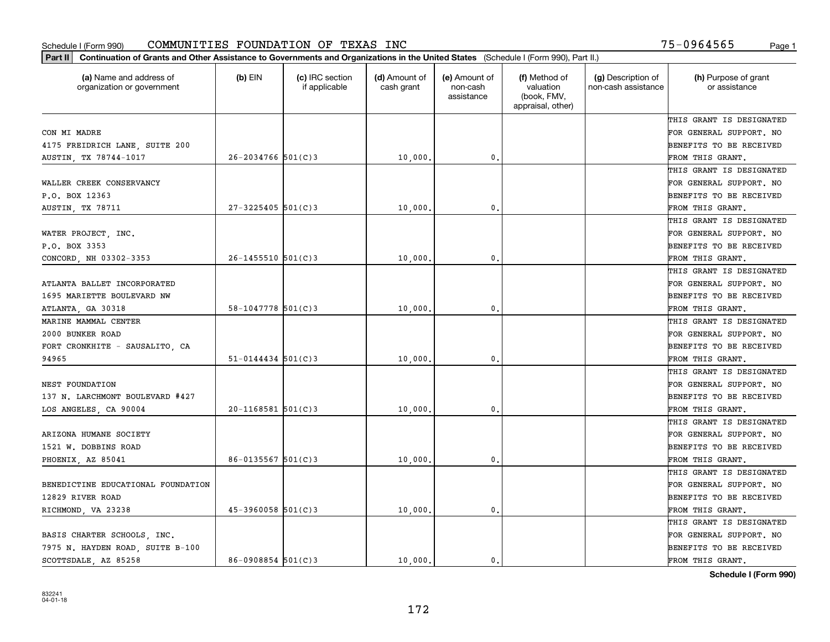| Part II   Continuation of Grants and Other Assistance to Governments and Organizations in the United States (Schedule I (Form 990), Part II.) |                          |                                  |                             |                                         |                                                                |                                           |                                       |
|-----------------------------------------------------------------------------------------------------------------------------------------------|--------------------------|----------------------------------|-----------------------------|-----------------------------------------|----------------------------------------------------------------|-------------------------------------------|---------------------------------------|
| (a) Name and address of<br>organization or government                                                                                         | $(b)$ EIN                | (c) IRC section<br>if applicable | (d) Amount of<br>cash grant | (e) Amount of<br>non-cash<br>assistance | (f) Method of<br>valuation<br>(book, FMV,<br>appraisal, other) | (g) Description of<br>non-cash assistance | (h) Purpose of grant<br>or assistance |
|                                                                                                                                               |                          |                                  |                             |                                         |                                                                |                                           | THIS GRANT IS DESIGNATED              |
| CON MI MADRE                                                                                                                                  |                          |                                  |                             |                                         |                                                                |                                           | FOR GENERAL SUPPORT. NO               |
| 4175 FREIDRICH LANE, SUITE 200                                                                                                                |                          |                                  |                             |                                         |                                                                |                                           | BENEFITS TO BE RECEIVED               |
| AUSTIN, TX 78744-1017                                                                                                                         | $26 - 2034766$ 501(C)3   |                                  | 10,000.                     | 0.                                      |                                                                |                                           | FROM THIS GRANT.                      |
|                                                                                                                                               |                          |                                  |                             |                                         |                                                                |                                           | THIS GRANT IS DESIGNATED              |
| WALLER CREEK CONSERVANCY                                                                                                                      |                          |                                  |                             |                                         |                                                                |                                           | FOR GENERAL SUPPORT. NO               |
| P.O. BOX 12363                                                                                                                                |                          |                                  |                             |                                         |                                                                |                                           | BENEFITS TO BE RECEIVED               |
| <b>AUSTIN, TX 78711</b>                                                                                                                       | $27 - 3225405$ 501(C)3   |                                  | 10,000                      | 0.                                      |                                                                |                                           | FROM THIS GRANT.                      |
|                                                                                                                                               |                          |                                  |                             |                                         |                                                                |                                           | THIS GRANT IS DESIGNATED              |
| WATER PROJECT, INC.                                                                                                                           |                          |                                  |                             |                                         |                                                                |                                           | FOR GENERAL SUPPORT. NO               |
| P.O. BOX 3353                                                                                                                                 |                          |                                  |                             |                                         |                                                                |                                           | BENEFITS TO BE RECEIVED               |
| CONCORD, NH 03302-3353                                                                                                                        | $26 - 1455510$ 501(C)3   |                                  | 10,000                      | 0.                                      |                                                                |                                           | FROM THIS GRANT.                      |
|                                                                                                                                               |                          |                                  |                             |                                         |                                                                |                                           | THIS GRANT IS DESIGNATED              |
| ATLANTA BALLET INCORPORATED                                                                                                                   |                          |                                  |                             |                                         |                                                                |                                           | FOR GENERAL SUPPORT. NO               |
| 1695 MARIETTE BOULEVARD NW                                                                                                                    |                          |                                  |                             |                                         |                                                                |                                           | <b>BENEFITS TO BE RECEIVED</b>        |
| ATLANTA, GA 30318                                                                                                                             | 58-1047778 $501(C)3$     |                                  | 10,000.                     | $\mathbf{0}$ .                          |                                                                |                                           | FROM THIS GRANT.                      |
| MARINE MAMMAL CENTER                                                                                                                          |                          |                                  |                             |                                         |                                                                |                                           | THIS GRANT IS DESIGNATED              |
| 2000 BUNKER ROAD                                                                                                                              |                          |                                  |                             |                                         |                                                                |                                           | FOR GENERAL SUPPORT. NO               |
| FORT CRONKHITE - SAUSALITO, CA                                                                                                                |                          |                                  |                             |                                         |                                                                |                                           | BENEFITS TO BE RECEIVED               |
| 94965                                                                                                                                         | $51 - 0144434$ $501(C)3$ |                                  | 10,000                      | $\mathbf{0}$                            |                                                                |                                           | FROM THIS GRANT.                      |
|                                                                                                                                               |                          |                                  |                             |                                         |                                                                |                                           | THIS GRANT IS DESIGNATED              |
| NEST FOUNDATION                                                                                                                               |                          |                                  |                             |                                         |                                                                |                                           | FOR GENERAL SUPPORT. NO               |
| 137 N. LARCHMONT BOULEVARD #427                                                                                                               |                          |                                  |                             |                                         |                                                                |                                           | BENEFITS TO BE RECEIVED               |
| LOS ANGELES, CA 90004                                                                                                                         | $20 - 1168581$ 501(C)3   |                                  | 10,000                      | 0.                                      |                                                                |                                           | FROM THIS GRANT.                      |
|                                                                                                                                               |                          |                                  |                             |                                         |                                                                |                                           | THIS GRANT IS DESIGNATED              |
| ARIZONA HUMANE SOCIETY                                                                                                                        |                          |                                  |                             |                                         |                                                                |                                           | FOR GENERAL SUPPORT. NO               |
| 1521 W. DOBBINS ROAD                                                                                                                          |                          |                                  |                             |                                         |                                                                |                                           | BENEFITS TO BE RECEIVED               |
| PHOENIX, AZ 85041                                                                                                                             | $86 - 0135567$ 501(C)3   |                                  | 10,000                      | 0.                                      |                                                                |                                           | FROM THIS GRANT.                      |
|                                                                                                                                               |                          |                                  |                             |                                         |                                                                |                                           | THIS GRANT IS DESIGNATED              |
| BENEDICTINE EDUCATIONAL FOUNDATION                                                                                                            |                          |                                  |                             |                                         |                                                                |                                           | FOR GENERAL SUPPORT. NO               |
| 12829 RIVER ROAD                                                                                                                              |                          |                                  |                             |                                         |                                                                |                                           | BENEFITS TO BE RECEIVED               |
| RICHMOND, VA 23238                                                                                                                            | $45 - 3960058$ 501(C)3   |                                  | 10,000.                     | $\mathbf{0}$ .                          |                                                                |                                           | FROM THIS GRANT.                      |
|                                                                                                                                               |                          |                                  |                             |                                         |                                                                |                                           | THIS GRANT IS DESIGNATED              |
| BASIS CHARTER SCHOOLS, INC.                                                                                                                   |                          |                                  |                             |                                         |                                                                |                                           | FOR GENERAL SUPPORT. NO               |
| 7975 N. HAYDEN ROAD, SUITE B-100                                                                                                              |                          |                                  |                             |                                         |                                                                |                                           | <b>BENEFITS TO BE RECEIVED</b>        |
| SCOTTSDALE AZ 85258                                                                                                                           | $86 - 0908854$ 501(C)3   |                                  | 10,000.                     | 0.                                      |                                                                |                                           | FROM THIS GRANT.                      |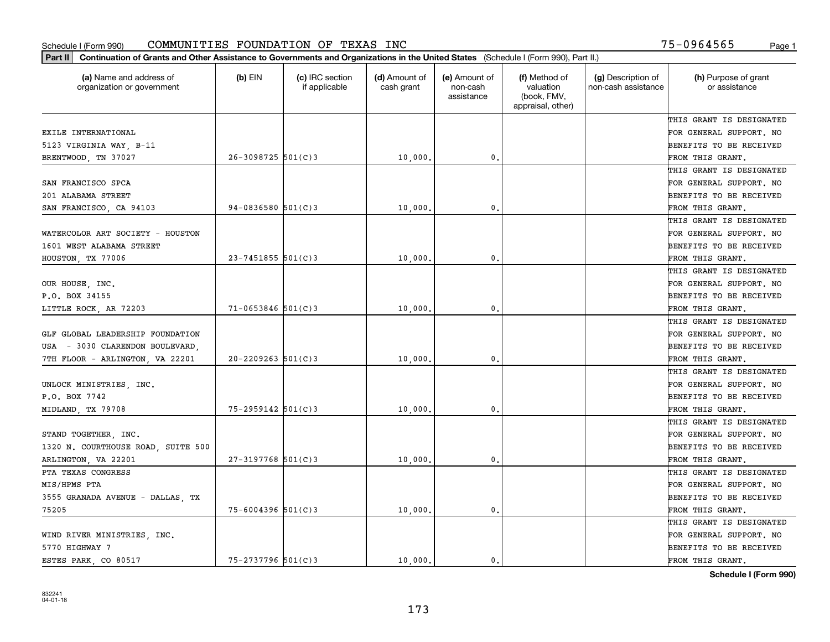| (a) Name and address of<br>organization or government | $(b)$ EIN              | (c) IRC section<br>if applicable | (d) Amount of<br>cash grant | (e) Amount of<br>non-cash<br>assistance | (f) Method of<br>valuation<br>(book, FMV,<br>appraisal, other) | (g) Description of<br>non-cash assistance | (h) Purpose of grant<br>or assistance |
|-------------------------------------------------------|------------------------|----------------------------------|-----------------------------|-----------------------------------------|----------------------------------------------------------------|-------------------------------------------|---------------------------------------|
|                                                       |                        |                                  |                             |                                         |                                                                |                                           | THIS GRANT IS DESIGNATED              |
| EXILE INTERNATIONAL                                   |                        |                                  |                             |                                         |                                                                |                                           | FOR GENERAL SUPPORT. NO               |
| 5123 VIRGINIA WAY, B-11                               |                        |                                  |                             |                                         |                                                                |                                           | BENEFITS TO BE RECEIVED               |
| BRENTWOOD, TN 37027                                   | 26-3098725 501(C)3     |                                  | 10,000                      | 0.                                      |                                                                |                                           | FROM THIS GRANT.                      |
|                                                       |                        |                                  |                             |                                         |                                                                |                                           | THIS GRANT IS DESIGNATED              |
| SAN FRANCISCO SPCA                                    |                        |                                  |                             |                                         |                                                                |                                           | FOR GENERAL SUPPORT. NO               |
| 201 ALABAMA STREET                                    |                        |                                  |                             |                                         |                                                                |                                           | BENEFITS TO BE RECEIVED               |
| SAN FRANCISCO, CA 94103                               | $94 - 0836580$ 501(C)3 |                                  | 10,000                      | $\mathbf{0}$                            |                                                                |                                           | FROM THIS GRANT.                      |
|                                                       |                        |                                  |                             |                                         |                                                                |                                           | THIS GRANT IS DESIGNATED              |
| WATERCOLOR ART SOCIETY - HOUSTON                      |                        |                                  |                             |                                         |                                                                |                                           | FOR GENERAL SUPPORT. NO               |
| 1601 WEST ALABAMA STREET                              |                        |                                  |                             |                                         |                                                                |                                           | BENEFITS TO BE RECEIVED               |
| HOUSTON, TX 77006                                     | $23 - 7451855$ 501(C)3 |                                  | 10,000                      | $\mathbf{0}$ .                          |                                                                |                                           | FROM THIS GRANT.                      |
|                                                       |                        |                                  |                             |                                         |                                                                |                                           | THIS GRANT IS DESIGNATED              |
| OUR HOUSE, INC.                                       |                        |                                  |                             |                                         |                                                                |                                           | FOR GENERAL SUPPORT. NO               |
| P.O. BOX 34155                                        |                        |                                  |                             |                                         |                                                                |                                           | BENEFITS TO BE RECEIVED               |
| LITTLE ROCK, AR 72203                                 | $71 - 0653846$ 501(C)3 |                                  | 10,000                      | $\mathbf{0}$                            |                                                                |                                           | FROM THIS GRANT.                      |
|                                                       |                        |                                  |                             |                                         |                                                                |                                           | THIS GRANT IS DESIGNATED              |
| GLF GLOBAL LEADERSHIP FOUNDATION                      |                        |                                  |                             |                                         |                                                                |                                           | FOR GENERAL SUPPORT. NO               |
| USA - 3030 CLARENDON BOULEVARD.                       |                        |                                  |                             |                                         |                                                                |                                           | BENEFITS TO BE RECEIVED               |
| 7TH FLOOR - ARLINGTON, VA 22201                       | $20 - 2209263$ 501(C)3 |                                  | 10,000                      | $\mathbf{0}$                            |                                                                |                                           | FROM THIS GRANT.                      |
|                                                       |                        |                                  |                             |                                         |                                                                |                                           | THIS GRANT IS DESIGNATED              |
| UNLOCK MINISTRIES, INC.                               |                        |                                  |                             |                                         |                                                                |                                           | FOR GENERAL SUPPORT. NO               |
| P.O. BOX 7742                                         |                        |                                  |                             |                                         |                                                                |                                           | BENEFITS TO BE RECEIVED               |
| MIDLAND, TX 79708                                     | 75-2959142 501(C)3     |                                  | 10,000                      | $\mathbf{0}$                            |                                                                |                                           | FROM THIS GRANT.                      |
|                                                       |                        |                                  |                             |                                         |                                                                |                                           | THIS GRANT IS DESIGNATED              |
| STAND TOGETHER, INC.                                  |                        |                                  |                             |                                         |                                                                |                                           | FOR GENERAL SUPPORT. NO               |
| 1320 N. COURTHOUSE ROAD, SUITE 500                    |                        |                                  |                             |                                         |                                                                |                                           | BENEFITS TO BE RECEIVED               |
| ARLINGTON, VA 22201                                   | $27 - 3197768$ 501(C)3 |                                  | 10,000                      | $\mathbf{0}$ .                          |                                                                |                                           | FROM THIS GRANT.                      |
| PTA TEXAS CONGRESS                                    |                        |                                  |                             |                                         |                                                                |                                           | THIS GRANT IS DESIGNATED              |
| MIS/HPMS PTA                                          |                        |                                  |                             |                                         |                                                                |                                           | FOR GENERAL SUPPORT. NO               |
| 3555 GRANADA AVENUE - DALLAS, TX                      |                        |                                  |                             |                                         |                                                                |                                           | BENEFITS TO BE RECEIVED               |
| 75205                                                 | $75 - 6004396$ 501(C)3 |                                  | 10,000.                     | $\mathbf{0}$ .                          |                                                                |                                           | FROM THIS GRANT.                      |
|                                                       |                        |                                  |                             |                                         |                                                                |                                           | THIS GRANT IS DESIGNATED              |
| WIND RIVER MINISTRIES, INC.                           |                        |                                  |                             |                                         |                                                                |                                           | FOR GENERAL SUPPORT. NO               |
| 5770 HIGHWAY 7                                        |                        |                                  |                             |                                         |                                                                |                                           | BENEFITS TO BE RECEIVED               |
| ESTES PARK, CO 80517                                  | $75 - 2737796$ 501(C)3 |                                  | 10,000.                     | 0.                                      |                                                                |                                           | FROM THIS GRANT.                      |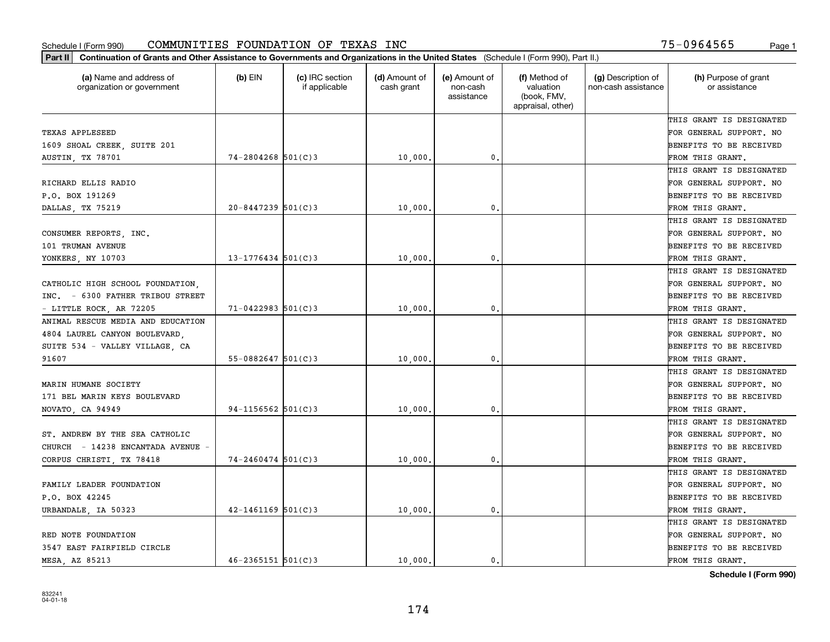| (a) Name and address of<br>organization or government | $(b)$ EIN              | (c) IRC section<br>if applicable | (d) Amount of<br>cash grant | (e) Amount of<br>non-cash<br>assistance | (f) Method of<br>valuation<br>(book, FMV,<br>appraisal, other) | (g) Description of<br>non-cash assistance | (h) Purpose of grant<br>or assistance |
|-------------------------------------------------------|------------------------|----------------------------------|-----------------------------|-----------------------------------------|----------------------------------------------------------------|-------------------------------------------|---------------------------------------|
|                                                       |                        |                                  |                             |                                         |                                                                |                                           | THIS GRANT IS DESIGNATED              |
| TEXAS APPLESEED                                       |                        |                                  |                             |                                         |                                                                |                                           | FOR GENERAL SUPPORT. NO               |
| 1609 SHOAL CREEK, SUITE 201                           |                        |                                  |                             |                                         |                                                                |                                           | BENEFITS TO BE RECEIVED               |
| <b>AUSTIN, TX 78701</b>                               | $74 - 2804268$ 501(C)3 |                                  | 10,000                      | 0.                                      |                                                                |                                           | FROM THIS GRANT.                      |
|                                                       |                        |                                  |                             |                                         |                                                                |                                           | THIS GRANT IS DESIGNATED              |
| RICHARD ELLIS RADIO                                   |                        |                                  |                             |                                         |                                                                |                                           | FOR GENERAL SUPPORT. NO               |
| P.O. BOX 191269                                       |                        |                                  |                             |                                         |                                                                |                                           | BENEFITS TO BE RECEIVED               |
| DALLAS, TX 75219                                      | $20 - 8447239$ 501(C)3 |                                  | 10,000                      | $\mathbf{0}$                            |                                                                |                                           | FROM THIS GRANT.                      |
|                                                       |                        |                                  |                             |                                         |                                                                |                                           | THIS GRANT IS DESIGNATED              |
| CONSUMER REPORTS, INC.                                |                        |                                  |                             |                                         |                                                                |                                           | FOR GENERAL SUPPORT. NO               |
| 101 TRUMAN AVENUE                                     |                        |                                  |                             |                                         |                                                                |                                           | BENEFITS TO BE RECEIVED               |
| YONKERS, NY 10703                                     | $13 - 1776434$ 501(C)3 |                                  | 10,000                      | $\mathbf{0}$ .                          |                                                                |                                           | FROM THIS GRANT.                      |
|                                                       |                        |                                  |                             |                                         |                                                                |                                           | THIS GRANT IS DESIGNATED              |
| CATHOLIC HIGH SCHOOL FOUNDATION,                      |                        |                                  |                             |                                         |                                                                |                                           | FOR GENERAL SUPPORT. NO               |
| INC. - 6300 FATHER TRIBOU STREET                      |                        |                                  |                             |                                         |                                                                |                                           | BENEFITS TO BE RECEIVED               |
| - LITTLE ROCK, AR 72205                               | $71 - 0422983$ 501(C)3 |                                  | 10,000                      | 0.                                      |                                                                |                                           | FROM THIS GRANT.                      |
| ANIMAL RESCUE MEDIA AND EDUCATION                     |                        |                                  |                             |                                         |                                                                |                                           | THIS GRANT IS DESIGNATED              |
| 4804 LAUREL CANYON BOULEVARD,                         |                        |                                  |                             |                                         |                                                                |                                           | FOR GENERAL SUPPORT. NO               |
| SUITE 534 - VALLEY VILLAGE, CA                        |                        |                                  |                             |                                         |                                                                |                                           | BENEFITS TO BE RECEIVED               |
| 91607                                                 | $55 - 0882647$ 501(C)3 |                                  | 10,000                      | $\mathbf{0}$                            |                                                                |                                           | FROM THIS GRANT.                      |
|                                                       |                        |                                  |                             |                                         |                                                                |                                           | THIS GRANT IS DESIGNATED              |
| MARIN HUMANE SOCIETY                                  |                        |                                  |                             |                                         |                                                                |                                           | FOR GENERAL SUPPORT. NO               |
| 171 BEL MARIN KEYS BOULEVARD                          |                        |                                  |                             |                                         |                                                                |                                           | BENEFITS TO BE RECEIVED               |
| NOVATO, CA 94949                                      | $94-1156562$ 501(C)3   |                                  | 10,000                      | $\mathbf{0}$                            |                                                                |                                           | FROM THIS GRANT.                      |
|                                                       |                        |                                  |                             |                                         |                                                                |                                           | THIS GRANT IS DESIGNATED              |
| ST. ANDREW BY THE SEA CATHOLIC                        |                        |                                  |                             |                                         |                                                                |                                           | FOR GENERAL SUPPORT. NO               |
| CHURCH - 14238 ENCANTADA AVENUE -                     |                        |                                  |                             |                                         |                                                                |                                           | BENEFITS TO BE RECEIVED               |
| CORPUS CHRISTI, TX 78418                              | $74 - 2460474$ 501(C)3 |                                  | 10,000                      | $\mathbf{0}$ .                          |                                                                |                                           | FROM THIS GRANT.                      |
|                                                       |                        |                                  |                             |                                         |                                                                |                                           | THIS GRANT IS DESIGNATED              |
| FAMILY LEADER FOUNDATION                              |                        |                                  |                             |                                         |                                                                |                                           | FOR GENERAL SUPPORT. NO               |
| P.O. BOX 42245                                        |                        |                                  |                             |                                         |                                                                |                                           | BENEFITS TO BE RECEIVED               |
| URBANDALE, IA 50323                                   | $42 - 1461169$ 501(C)3 |                                  | 10,000.                     | $\mathbf{0}$ .                          |                                                                |                                           | FROM THIS GRANT.                      |
|                                                       |                        |                                  |                             |                                         |                                                                |                                           | THIS GRANT IS DESIGNATED              |
| RED NOTE FOUNDATION                                   |                        |                                  |                             |                                         |                                                                |                                           | FOR GENERAL SUPPORT. NO               |
| 3547 EAST FAIRFIELD CIRCLE                            |                        |                                  |                             |                                         |                                                                |                                           | BENEFITS TO BE RECEIVED               |
| MESA, AZ 85213                                        | $46 - 2365151$ 501(C)3 |                                  | 10,000.                     | 0.                                      |                                                                |                                           | FROM THIS GRANT.                      |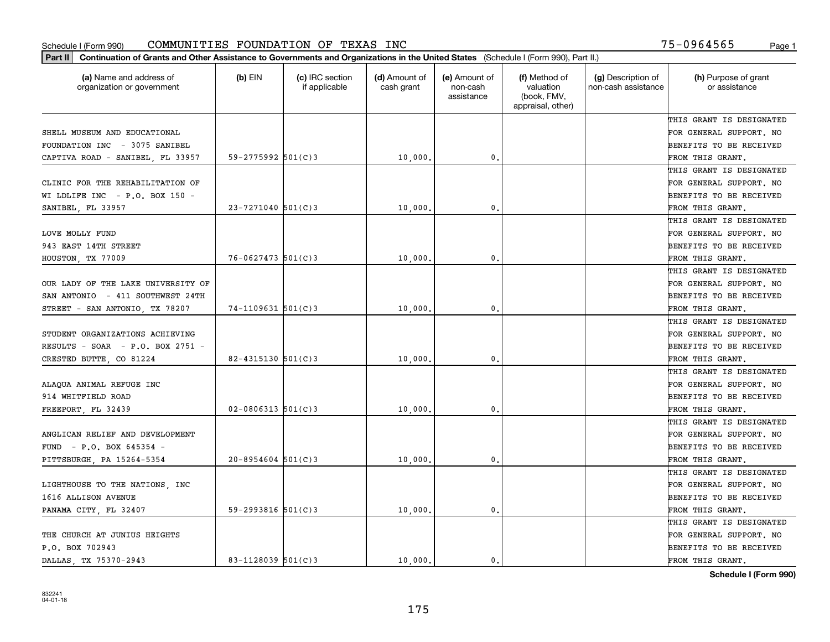| Part II   Continuation of Grants and Other Assistance to Governments and Organizations in the United States (Schedule I (Form 990), Part II.) |                        |                                  |                             |                                         |                                                                |                                           |                                       |
|-----------------------------------------------------------------------------------------------------------------------------------------------|------------------------|----------------------------------|-----------------------------|-----------------------------------------|----------------------------------------------------------------|-------------------------------------------|---------------------------------------|
| (a) Name and address of<br>organization or government                                                                                         | $(b)$ EIN              | (c) IRC section<br>if applicable | (d) Amount of<br>cash grant | (e) Amount of<br>non-cash<br>assistance | (f) Method of<br>valuation<br>(book, FMV,<br>appraisal, other) | (g) Description of<br>non-cash assistance | (h) Purpose of grant<br>or assistance |
|                                                                                                                                               |                        |                                  |                             |                                         |                                                                |                                           | THIS GRANT IS DESIGNATED              |
| SHELL MUSEUM AND EDUCATIONAL                                                                                                                  |                        |                                  |                             |                                         |                                                                |                                           | FOR GENERAL SUPPORT. NO               |
| FOUNDATION INC - 3075 SANIBEL                                                                                                                 |                        |                                  |                             |                                         |                                                                |                                           | BENEFITS TO BE RECEIVED               |
| CAPTIVA ROAD - SANIBEL, FL 33957                                                                                                              | $59 - 2775992$ 501(C)3 |                                  | 10,000.                     | 0.                                      |                                                                |                                           | FROM THIS GRANT.                      |
|                                                                                                                                               |                        |                                  |                             |                                         |                                                                |                                           | THIS GRANT IS DESIGNATED              |
| CLINIC FOR THE REHABILITATION OF                                                                                                              |                        |                                  |                             |                                         |                                                                |                                           | FOR GENERAL SUPPORT. NO               |
| WI LDLIFE INC $-$ P.O. BOX 150 $-$                                                                                                            |                        |                                  |                             |                                         |                                                                |                                           | BENEFITS TO BE RECEIVED               |
| SANIBEL, FL 33957                                                                                                                             | $23 - 7271040$ 501(C)3 |                                  | 10,000                      | $\mathbf{0}$                            |                                                                |                                           | FROM THIS GRANT.                      |
|                                                                                                                                               |                        |                                  |                             |                                         |                                                                |                                           | THIS GRANT IS DESIGNATED              |
| LOVE MOLLY FUND                                                                                                                               |                        |                                  |                             |                                         |                                                                |                                           | FOR GENERAL SUPPORT. NO               |
| 943 EAST 14TH STREET                                                                                                                          |                        |                                  |                             |                                         |                                                                |                                           | BENEFITS TO BE RECEIVED               |
| HOUSTON, TX 77009                                                                                                                             | $76 - 0627473$ 501(C)3 |                                  | 10,000                      | 0.                                      |                                                                |                                           | FROM THIS GRANT.                      |
|                                                                                                                                               |                        |                                  |                             |                                         |                                                                |                                           | THIS GRANT IS DESIGNATED              |
| OUR LADY OF THE LAKE UNIVERSITY OF                                                                                                            |                        |                                  |                             |                                         |                                                                |                                           | FOR GENERAL SUPPORT. NO               |
| SAN ANTONIO - 411 SOUTHWEST 24TH                                                                                                              |                        |                                  |                             |                                         |                                                                |                                           | <b>BENEFITS TO BE RECEIVED</b>        |
| STREET - SAN ANTONIO, TX 78207                                                                                                                | $74 - 1109631$ 501(C)3 |                                  | 10,000.                     | 0.                                      |                                                                |                                           | FROM THIS GRANT.                      |
|                                                                                                                                               |                        |                                  |                             |                                         |                                                                |                                           | THIS GRANT IS DESIGNATED              |
| STUDENT ORGANIZATIONS ACHIEVING                                                                                                               |                        |                                  |                             |                                         |                                                                |                                           | FOR GENERAL SUPPORT. NO               |
| RESULTS - SOAR - P.O. BOX 2751 -                                                                                                              |                        |                                  |                             |                                         |                                                                |                                           | BENEFITS TO BE RECEIVED               |
| CRESTED BUTTE, CO 81224                                                                                                                       | $82 - 4315130$ 501(C)3 |                                  | 10,000                      | $\mathbf{0}$                            |                                                                |                                           | FROM THIS GRANT.                      |
|                                                                                                                                               |                        |                                  |                             |                                         |                                                                |                                           | THIS GRANT IS DESIGNATED              |
| ALAQUA ANIMAL REFUGE INC                                                                                                                      |                        |                                  |                             |                                         |                                                                |                                           | FOR GENERAL SUPPORT. NO               |
| 914 WHITFIELD ROAD                                                                                                                            |                        |                                  |                             |                                         |                                                                |                                           | BENEFITS TO BE RECEIVED               |
| FREEPORT, FL 32439                                                                                                                            | $02 - 0806313$ 501(C)3 |                                  | 10,000                      | 0.                                      |                                                                |                                           | FROM THIS GRANT.                      |
|                                                                                                                                               |                        |                                  |                             |                                         |                                                                |                                           | THIS GRANT IS DESIGNATED              |
| ANGLICAN RELIEF AND DEVELOPMENT                                                                                                               |                        |                                  |                             |                                         |                                                                |                                           | FOR GENERAL SUPPORT. NO               |
| FUND $- P. O. BOX 645354 -$                                                                                                                   |                        |                                  |                             |                                         |                                                                |                                           | BENEFITS TO BE RECEIVED               |
| PITTSBURGH, PA 15264-5354                                                                                                                     | $20 - 8954604$ 501(C)3 |                                  | 10,000                      | 0.                                      |                                                                |                                           | FROM THIS GRANT.                      |
|                                                                                                                                               |                        |                                  |                             |                                         |                                                                |                                           | THIS GRANT IS DESIGNATED              |
| LIGHTHOUSE TO THE NATIONS, INC                                                                                                                |                        |                                  |                             |                                         |                                                                |                                           | FOR GENERAL SUPPORT. NO               |
| 1616 ALLISON AVENUE                                                                                                                           |                        |                                  |                             |                                         |                                                                |                                           | BENEFITS TO BE RECEIVED               |
| PANAMA CITY, FL 32407                                                                                                                         | $59 - 2993816$ 501(C)3 |                                  | 10,000.                     | $\mathbf{0}$ .                          |                                                                |                                           | FROM THIS GRANT.                      |
|                                                                                                                                               |                        |                                  |                             |                                         |                                                                |                                           | THIS GRANT IS DESIGNATED              |
| THE CHURCH AT JUNIUS HEIGHTS                                                                                                                  |                        |                                  |                             |                                         |                                                                |                                           | FOR GENERAL SUPPORT. NO               |
| P.O. BOX 702943                                                                                                                               |                        |                                  |                             |                                         |                                                                |                                           | <b>BENEFITS TO BE RECEIVED</b>        |
| DALLAS TX 75370-2943                                                                                                                          | $83 - 1128039$ 501(C)3 |                                  | 10,000.                     | 0.                                      |                                                                |                                           | FROM THIS GRANT.                      |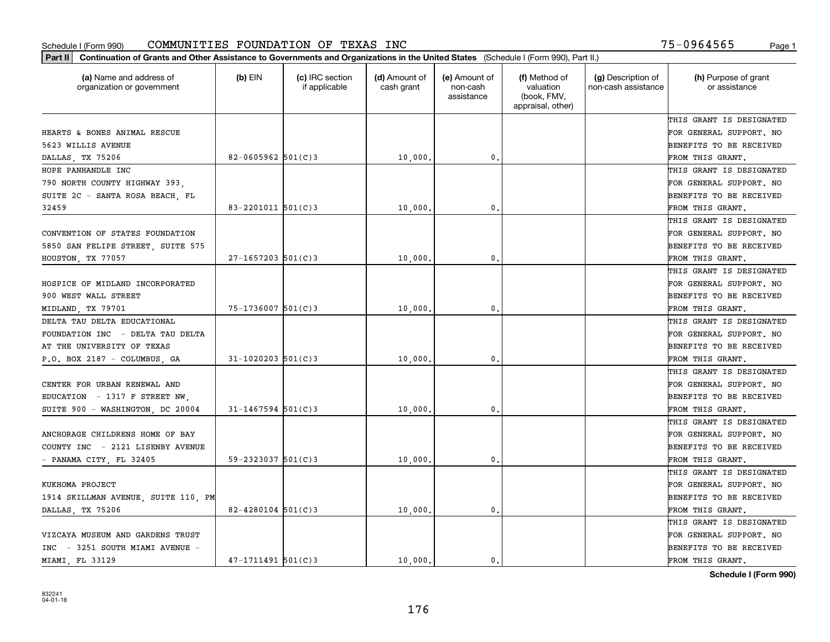| Part II   Continuation of Grants and Other Assistance to Governments and Organizations in the United States (Schedule I (Form 990), Part II.) |                          |                                  |                             |                                         |                                                                |                                           |                                       |
|-----------------------------------------------------------------------------------------------------------------------------------------------|--------------------------|----------------------------------|-----------------------------|-----------------------------------------|----------------------------------------------------------------|-------------------------------------------|---------------------------------------|
| (a) Name and address of<br>organization or government                                                                                         | $(b)$ EIN                | (c) IRC section<br>if applicable | (d) Amount of<br>cash grant | (e) Amount of<br>non-cash<br>assistance | (f) Method of<br>valuation<br>(book, FMV,<br>appraisal, other) | (g) Description of<br>non-cash assistance | (h) Purpose of grant<br>or assistance |
|                                                                                                                                               |                          |                                  |                             |                                         |                                                                |                                           | THIS GRANT IS DESIGNATED              |
| HEARTS & BONES ANIMAL RESCUE                                                                                                                  |                          |                                  |                             |                                         |                                                                |                                           | FOR GENERAL SUPPORT. NO               |
| 5623 WILLIS AVENUE                                                                                                                            |                          |                                  |                             |                                         |                                                                |                                           | BENEFITS TO BE RECEIVED               |
| DALLAS, TX 75206                                                                                                                              | 82-0605962 $501(C)3$     |                                  | 10,000,                     | 0.                                      |                                                                |                                           | FROM THIS GRANT.                      |
| HOPE PANHANDLE INC                                                                                                                            |                          |                                  |                             |                                         |                                                                |                                           | THIS GRANT IS DESIGNATED              |
| 790 NORTH COUNTY HIGHWAY 393,                                                                                                                 |                          |                                  |                             |                                         |                                                                |                                           | FOR GENERAL SUPPORT. NO               |
| SUITE 2C - SANTA ROSA BEACH, FL                                                                                                               |                          |                                  |                             |                                         |                                                                |                                           | BENEFITS TO BE RECEIVED               |
| 32459                                                                                                                                         | $83 - 2201011$ 501(C) 3  |                                  | 10,000                      | 0.                                      |                                                                |                                           | FROM THIS GRANT.                      |
|                                                                                                                                               |                          |                                  |                             |                                         |                                                                |                                           | THIS GRANT IS DESIGNATED              |
| CONVENTION OF STATES FOUNDATION                                                                                                               |                          |                                  |                             |                                         |                                                                |                                           | FOR GENERAL SUPPORT. NO               |
| 5850 SAN FELIPE STREET, SUITE 575                                                                                                             |                          |                                  |                             |                                         |                                                                |                                           | BENEFITS TO BE RECEIVED               |
| HOUSTON, TX 77057                                                                                                                             | $27 - 1657203$ 501(C)3   |                                  | 10,000                      | 0.                                      |                                                                |                                           | FROM THIS GRANT.                      |
|                                                                                                                                               |                          |                                  |                             |                                         |                                                                |                                           | THIS GRANT IS DESIGNATED              |
| HOSPICE OF MIDLAND INCORPORATED                                                                                                               |                          |                                  |                             |                                         |                                                                |                                           | FOR GENERAL SUPPORT. NO               |
| 900 WEST WALL STREET                                                                                                                          |                          |                                  |                             |                                         |                                                                |                                           | <b>BENEFITS TO BE RECEIVED</b>        |
| MIDLAND, TX 79701                                                                                                                             | $75 - 1736007$ 501(C)3   |                                  | 10,000                      | 0.                                      |                                                                |                                           | FROM THIS GRANT.                      |
| DELTA TAU DELTA EDUCATIONAL                                                                                                                   |                          |                                  |                             |                                         |                                                                |                                           | THIS GRANT IS DESIGNATED              |
| FOUNDATION INC - DELTA TAU DELTA                                                                                                              |                          |                                  |                             |                                         |                                                                |                                           | FOR GENERAL SUPPORT. NO               |
| AT THE UNIVERSITY OF TEXAS                                                                                                                    |                          |                                  |                             |                                         |                                                                |                                           | BENEFITS TO BE RECEIVED               |
| P.O. BOX 2187 - COLUMBUS, GA                                                                                                                  | $31 - 1020203$ $501(C)3$ |                                  | 10,000                      | 0.                                      |                                                                |                                           | FROM THIS GRANT.                      |
|                                                                                                                                               |                          |                                  |                             |                                         |                                                                |                                           | THIS GRANT IS DESIGNATED              |
| CENTER FOR URBAN RENEWAL AND                                                                                                                  |                          |                                  |                             |                                         |                                                                |                                           | FOR GENERAL SUPPORT. NO               |
| EDUCATION - 1317 F STREET NW,                                                                                                                 |                          |                                  |                             |                                         |                                                                |                                           | <b>BENEFITS TO BE RECEIVED</b>        |
| SUITE 900 - WASHINGTON, DC 20004                                                                                                              | $31 - 1467594$ 501(C)3   |                                  | 10,000                      | 0.                                      |                                                                |                                           | FROM THIS GRANT.                      |
|                                                                                                                                               |                          |                                  |                             |                                         |                                                                |                                           | THIS GRANT IS DESIGNATED              |
| ANCHORAGE CHILDRENS HOME OF BAY                                                                                                               |                          |                                  |                             |                                         |                                                                |                                           | FOR GENERAL SUPPORT. NO               |
| COUNTY INC - 2121 LISENBY AVENUE                                                                                                              |                          |                                  |                             |                                         |                                                                |                                           | BENEFITS TO BE RECEIVED               |
| - PANAMA CITY, FL 32405                                                                                                                       | $59 - 2323037$ $501(C)3$ |                                  | 10,000                      | 0.                                      |                                                                |                                           | FROM THIS GRANT.                      |
|                                                                                                                                               |                          |                                  |                             |                                         |                                                                |                                           | THIS GRANT IS DESIGNATED              |
| KUKHOMA PROJECT                                                                                                                               |                          |                                  |                             |                                         |                                                                |                                           | FOR GENERAL SUPPORT. NO               |
| 1914 SKILLMAN AVENUE, SUITE 110, PM                                                                                                           |                          |                                  |                             |                                         |                                                                |                                           | BENEFITS TO BE RECEIVED               |
| DALLAS, TX 75206                                                                                                                              | $82 - 4280104$ 501(C)3   |                                  | 10,000.                     | 0.                                      |                                                                |                                           | FROM THIS GRANT.                      |
|                                                                                                                                               |                          |                                  |                             |                                         |                                                                |                                           | THIS GRANT IS DESIGNATED              |
| VIZCAYA MUSEUM AND GARDENS TRUST                                                                                                              |                          |                                  |                             |                                         |                                                                |                                           | FOR GENERAL SUPPORT. NO               |
| INC - 3251 SOUTH MIAMI AVENUE -                                                                                                               |                          |                                  |                             |                                         |                                                                |                                           | <b>BENEFITS TO BE RECEIVED</b>        |
| MIAMI FL 33129                                                                                                                                | $47 - 1711491$ 501(C)3   |                                  | 10,000.                     | $\mathbf{0}$ .                          |                                                                |                                           | FROM THIS GRANT.                      |
|                                                                                                                                               |                          |                                  |                             |                                         |                                                                |                                           |                                       |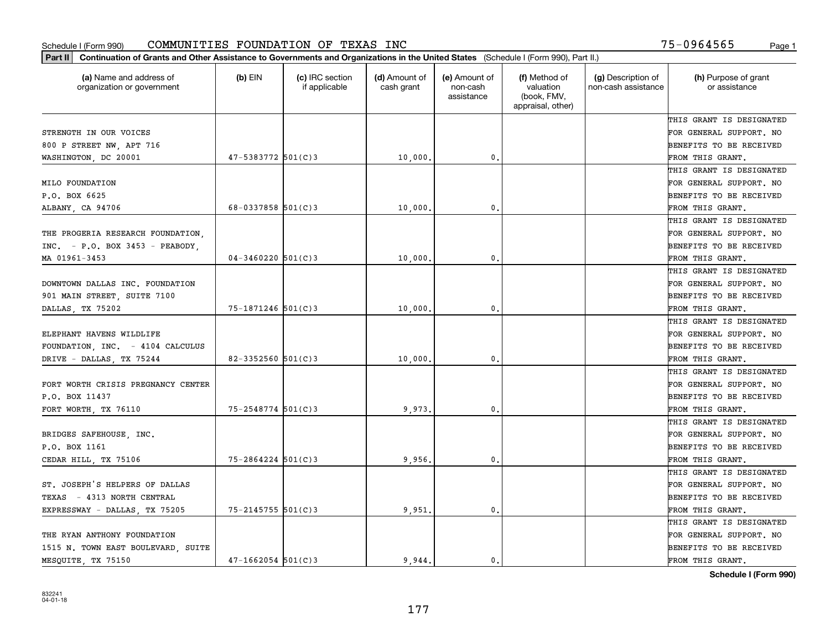| (a) Name and address of<br>organization or government | $(b)$ EIN                | (c) IRC section<br>if applicable | (d) Amount of<br>cash grant | (e) Amount of<br>non-cash<br>assistance | (f) Method of<br>valuation<br>(book, FMV,<br>appraisal, other) | (g) Description of<br>non-cash assistance | (h) Purpose of grant<br>or assistance |
|-------------------------------------------------------|--------------------------|----------------------------------|-----------------------------|-----------------------------------------|----------------------------------------------------------------|-------------------------------------------|---------------------------------------|
|                                                       |                          |                                  |                             |                                         |                                                                |                                           | THIS GRANT IS DESIGNATED              |
| STRENGTH IN OUR VOICES                                |                          |                                  |                             |                                         |                                                                |                                           | FOR GENERAL SUPPORT. NO               |
| 800 P STREET NW, APT 716                              |                          |                                  |                             |                                         |                                                                |                                           | BENEFITS TO BE RECEIVED               |
| WASHINGTON, DC 20001                                  | 47-5383772 501(C)3       |                                  | 10,000                      | 0.                                      |                                                                |                                           | FROM THIS GRANT.                      |
|                                                       |                          |                                  |                             |                                         |                                                                |                                           | THIS GRANT IS DESIGNATED              |
| MILO FOUNDATION                                       |                          |                                  |                             |                                         |                                                                |                                           | FOR GENERAL SUPPORT. NO               |
| P.O. BOX 6625                                         |                          |                                  |                             |                                         |                                                                |                                           | BENEFITS TO BE RECEIVED               |
| ALBANY, CA 94706                                      | $68 - 0337858$ $501(C)3$ |                                  | 10,000                      | $\mathbf{0}$                            |                                                                |                                           | FROM THIS GRANT.                      |
|                                                       |                          |                                  |                             |                                         |                                                                |                                           | THIS GRANT IS DESIGNATED              |
| THE PROGERIA RESEARCH FOUNDATION,                     |                          |                                  |                             |                                         |                                                                |                                           | FOR GENERAL SUPPORT. NO               |
| $INC. - P.0. BOX 3453 - PEBBODY.$                     |                          |                                  |                             |                                         |                                                                |                                           | BENEFITS TO BE RECEIVED               |
| MA 01961-3453                                         | $04 - 3460220$ 501(C)3   |                                  | 10,000                      | $\mathbf{0}$ .                          |                                                                |                                           | FROM THIS GRANT.                      |
|                                                       |                          |                                  |                             |                                         |                                                                |                                           | THIS GRANT IS DESIGNATED              |
| DOWNTOWN DALLAS INC. FOUNDATION                       |                          |                                  |                             |                                         |                                                                |                                           | FOR GENERAL SUPPORT. NO               |
| 901 MAIN STREET, SUITE 7100                           |                          |                                  |                             |                                         |                                                                |                                           | BENEFITS TO BE RECEIVED               |
| DALLAS, TX 75202                                      | 75-1871246 501(C)3       |                                  | 10,000                      | 0.                                      |                                                                |                                           | FROM THIS GRANT.                      |
|                                                       |                          |                                  |                             |                                         |                                                                |                                           | THIS GRANT IS DESIGNATED              |
| ELEPHANT HAVENS WILDLIFE                              |                          |                                  |                             |                                         |                                                                |                                           | FOR GENERAL SUPPORT. NO               |
| FOUNDATION, INC. - 4104 CALCULUS                      |                          |                                  |                             |                                         |                                                                |                                           | BENEFITS TO BE RECEIVED               |
| DRIVE - DALLAS, TX 75244                              | $82 - 3352560$ 501(C)3   |                                  | 10,000                      | $\mathbf{0}$                            |                                                                |                                           | FROM THIS GRANT.                      |
|                                                       |                          |                                  |                             |                                         |                                                                |                                           | THIS GRANT IS DESIGNATED              |
| FORT WORTH CRISIS PREGNANCY CENTER                    |                          |                                  |                             |                                         |                                                                |                                           | FOR GENERAL SUPPORT. NO               |
| P.O. BOX 11437                                        |                          |                                  |                             |                                         |                                                                |                                           | BENEFITS TO BE RECEIVED               |
| FORT WORTH, TX 76110                                  | $75 - 2548774$ 501(C)3   |                                  | 9,973                       | $\mathbf{0}$                            |                                                                |                                           | FROM THIS GRANT.                      |
|                                                       |                          |                                  |                             |                                         |                                                                |                                           | THIS GRANT IS DESIGNATED              |
| BRIDGES SAFEHOUSE, INC.                               |                          |                                  |                             |                                         |                                                                |                                           | FOR GENERAL SUPPORT. NO               |
| P.O. BOX 1161                                         |                          |                                  |                             |                                         |                                                                |                                           | BENEFITS TO BE RECEIVED               |
| CEDAR HILL, TX 75106                                  | $75 - 2864224$ 501(C)3   |                                  | 9,956                       | $\mathbf{0}$ .                          |                                                                |                                           | FROM THIS GRANT.                      |
|                                                       |                          |                                  |                             |                                         |                                                                |                                           | THIS GRANT IS DESIGNATED              |
| ST. JOSEPH'S HELPERS OF DALLAS                        |                          |                                  |                             |                                         |                                                                |                                           | FOR GENERAL SUPPORT. NO               |
| TEXAS - 4313 NORTH CENTRAL                            |                          |                                  |                             |                                         |                                                                |                                           | BENEFITS TO BE RECEIVED               |
| EXPRESSWAY - DALLAS, TX 75205                         | $75 - 2145755$ 501(C)3   |                                  | 9,951.                      | $\mathbf{0}$ .                          |                                                                |                                           | FROM THIS GRANT.                      |
|                                                       |                          |                                  |                             |                                         |                                                                |                                           | THIS GRANT IS DESIGNATED              |
| THE RYAN ANTHONY FOUNDATION                           |                          |                                  |                             |                                         |                                                                |                                           | FOR GENERAL SUPPORT. NO               |
| 1515 N. TOWN EAST BOULEVARD, SUITE                    |                          |                                  |                             |                                         |                                                                |                                           | BENEFITS TO BE RECEIVED               |
| MESQUITE, TX 75150                                    | $47 - 1662054$ 501(C)3   |                                  | 9.944.                      | 0.                                      |                                                                |                                           | FROM THIS GRANT.                      |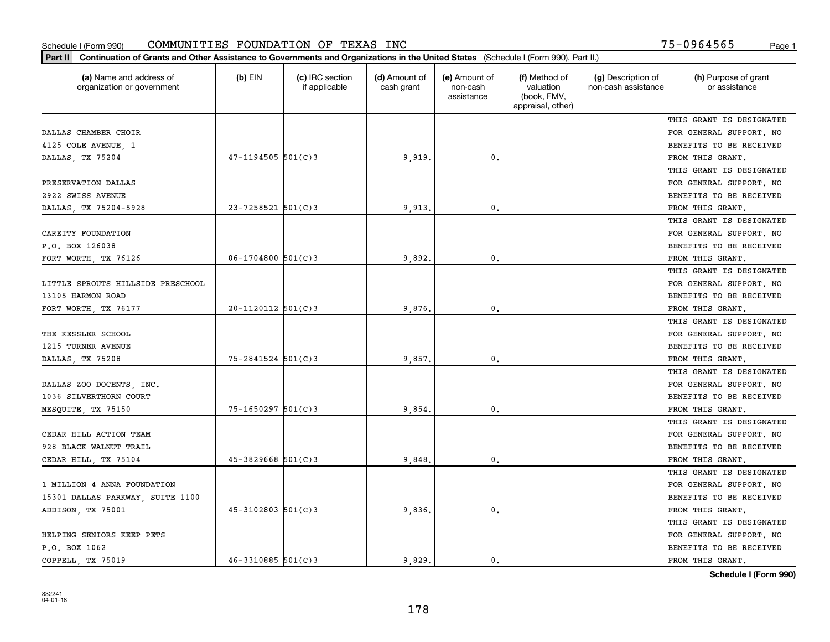| (a) Name and address of<br>organization or government | $(b)$ EIN              | (c) IRC section<br>if applicable | (d) Amount of<br>cash grant | (e) Amount of<br>non-cash<br>assistance | (f) Method of<br>valuation<br>(book, FMV,<br>appraisal, other) | (g) Description of<br>non-cash assistance | (h) Purpose of grant<br>or assistance |
|-------------------------------------------------------|------------------------|----------------------------------|-----------------------------|-----------------------------------------|----------------------------------------------------------------|-------------------------------------------|---------------------------------------|
|                                                       |                        |                                  |                             |                                         |                                                                |                                           | THIS GRANT IS DESIGNATED              |
| DALLAS CHAMBER CHOIR                                  |                        |                                  |                             |                                         |                                                                |                                           | FOR GENERAL SUPPORT. NO               |
| 4125 COLE AVENUE, 1                                   |                        |                                  |                             |                                         |                                                                |                                           | BENEFITS TO BE RECEIVED               |
| DALLAS, TX 75204                                      | $47 - 1194505$ 501(C)3 |                                  | 9,919                       | 0.                                      |                                                                |                                           | FROM THIS GRANT.                      |
|                                                       |                        |                                  |                             |                                         |                                                                |                                           | THIS GRANT IS DESIGNATED              |
| PRESERVATION DALLAS                                   |                        |                                  |                             |                                         |                                                                |                                           | FOR GENERAL SUPPORT. NO               |
| 2922 SWISS AVENUE                                     |                        |                                  |                             |                                         |                                                                |                                           | BENEFITS TO BE RECEIVED               |
| DALLAS, TX 75204-5928                                 | $23 - 7258521$ 501(C)3 |                                  | 9,913                       | $\mathbf{0}$                            |                                                                |                                           | FROM THIS GRANT.                      |
|                                                       |                        |                                  |                             |                                         |                                                                |                                           | THIS GRANT IS DESIGNATED              |
| CAREITY FOUNDATION                                    |                        |                                  |                             |                                         |                                                                |                                           | FOR GENERAL SUPPORT. NO               |
| P.O. BOX 126038                                       |                        |                                  |                             |                                         |                                                                |                                           | BENEFITS TO BE RECEIVED               |
| FORT WORTH, TX 76126                                  | $06 - 1704800$ 501(C)3 |                                  | 9,892.                      | $\mathbf{0}$ .                          |                                                                |                                           | FROM THIS GRANT.                      |
|                                                       |                        |                                  |                             |                                         |                                                                |                                           | THIS GRANT IS DESIGNATED              |
| LITTLE SPROUTS HILLSIDE PRESCHOOL                     |                        |                                  |                             |                                         |                                                                |                                           | FOR GENERAL SUPPORT. NO               |
| 13105 HARMON ROAD                                     |                        |                                  |                             |                                         |                                                                |                                           | BENEFITS TO BE RECEIVED               |
| FORT WORTH, TX 76177                                  | $20 - 1120112$ 501(C)3 |                                  | 9,876                       | $\mathbf{0}$                            |                                                                |                                           | FROM THIS GRANT.                      |
|                                                       |                        |                                  |                             |                                         |                                                                |                                           | THIS GRANT IS DESIGNATED              |
| THE KESSLER SCHOOL                                    |                        |                                  |                             |                                         |                                                                |                                           | FOR GENERAL SUPPORT. NO               |
| 1215 TURNER AVENUE                                    |                        |                                  |                             |                                         |                                                                |                                           | BENEFITS TO BE RECEIVED               |
| DALLAS, TX 75208                                      | $75 - 2841524$ 501(C)3 |                                  | 9,857                       | $\mathbf{0}$                            |                                                                |                                           | FROM THIS GRANT.                      |
|                                                       |                        |                                  |                             |                                         |                                                                |                                           | THIS GRANT IS DESIGNATED              |
| DALLAS ZOO DOCENTS, INC.                              |                        |                                  |                             |                                         |                                                                |                                           | FOR GENERAL SUPPORT. NO               |
| 1036 SILVERTHORN COURT                                |                        |                                  |                             |                                         |                                                                |                                           | BENEFITS TO BE RECEIVED               |
| MESQUITE, TX 75150                                    | $75 - 1650297$ 501(C)3 |                                  | 9,854                       | $\mathbf{0}$                            |                                                                |                                           | FROM THIS GRANT.                      |
|                                                       |                        |                                  |                             |                                         |                                                                |                                           | THIS GRANT IS DESIGNATED              |
| CEDAR HILL ACTION TEAM                                |                        |                                  |                             |                                         |                                                                |                                           | FOR GENERAL SUPPORT. NO               |
| 928 BLACK WALNUT TRAIL                                |                        |                                  |                             |                                         |                                                                |                                           | BENEFITS TO BE RECEIVED               |
| CEDAR HILL, TX 75104                                  | $45 - 3829668$ 501(C)3 |                                  | 9,848                       | $\mathbf{0}$ .                          |                                                                |                                           | FROM THIS GRANT.                      |
|                                                       |                        |                                  |                             |                                         |                                                                |                                           | THIS GRANT IS DESIGNATED              |
| 1 MILLION 4 ANNA FOUNDATION                           |                        |                                  |                             |                                         |                                                                |                                           | FOR GENERAL SUPPORT. NO               |
| 15301 DALLAS PARKWAY, SUITE 1100                      |                        |                                  |                             |                                         |                                                                |                                           | BENEFITS TO BE RECEIVED               |
| ADDISON, TX 75001                                     | $45 - 3102803$ 501(C)3 |                                  | 9,836.                      | $\mathbf{0}$ .                          |                                                                |                                           | FROM THIS GRANT.                      |
|                                                       |                        |                                  |                             |                                         |                                                                |                                           | THIS GRANT IS DESIGNATED              |
| HELPING SENIORS KEEP PETS                             |                        |                                  |                             |                                         |                                                                |                                           | FOR GENERAL SUPPORT. NO               |
| P.O. BOX 1062                                         |                        |                                  |                             |                                         |                                                                |                                           | BENEFITS TO BE RECEIVED               |
| COPPELL, TX 75019                                     | $46 - 3310885$ 501(C)3 |                                  | 9.829.                      | 0.                                      |                                                                |                                           | FROM THIS GRANT.                      |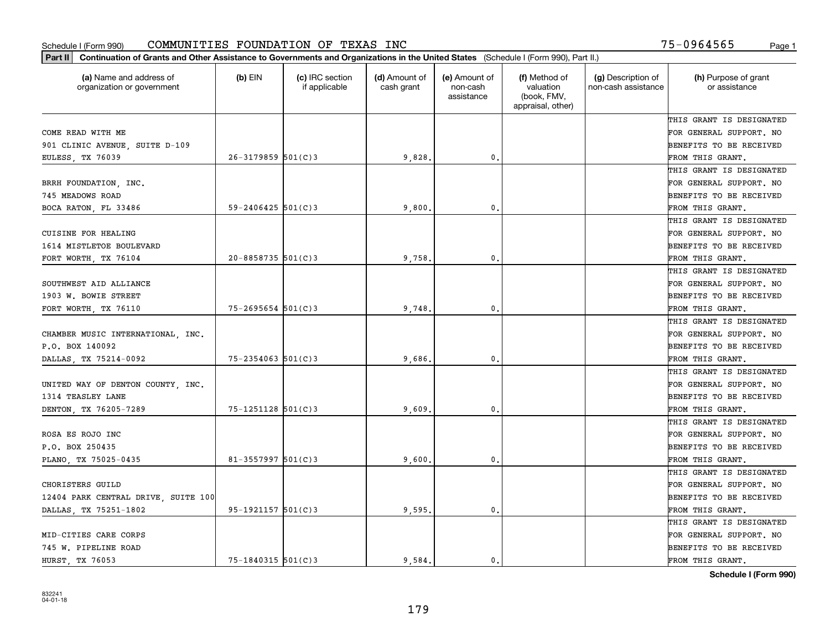| (a) Name and address of<br>organization or government | $(b)$ EIN               | (c) IRC section<br>if applicable | (d) Amount of<br>cash grant | (e) Amount of<br>non-cash<br>assistance | (f) Method of<br>valuation<br>(book, FMV,<br>appraisal, other) | (g) Description of<br>non-cash assistance | (h) Purpose of grant<br>or assistance |
|-------------------------------------------------------|-------------------------|----------------------------------|-----------------------------|-----------------------------------------|----------------------------------------------------------------|-------------------------------------------|---------------------------------------|
|                                                       |                         |                                  |                             |                                         |                                                                |                                           | THIS GRANT IS DESIGNATED              |
| COME READ WITH ME                                     |                         |                                  |                             |                                         |                                                                |                                           | FOR GENERAL SUPPORT. NO               |
| 901 CLINIC AVENUE, SUITE D-109                        |                         |                                  |                             |                                         |                                                                |                                           | BENEFITS TO BE RECEIVED               |
| EULESS, TX 76039                                      | $26 - 3179859$ 501(C)3  |                                  | 9,828                       | $\mathfrak{o}$ .                        |                                                                |                                           | FROM THIS GRANT.                      |
|                                                       |                         |                                  |                             |                                         |                                                                |                                           | THIS GRANT IS DESIGNATED              |
| BRRH FOUNDATION, INC.                                 |                         |                                  |                             |                                         |                                                                |                                           | FOR GENERAL SUPPORT. NO               |
| 745 MEADOWS ROAD                                      |                         |                                  |                             |                                         |                                                                |                                           | BENEFITS TO BE RECEIVED               |
| BOCA RATON, FL 33486                                  | $59 - 2406425$ 501(C)3  |                                  | 9,800                       | $\mathbf{0}$                            |                                                                |                                           | FROM THIS GRANT.                      |
|                                                       |                         |                                  |                             |                                         |                                                                |                                           | THIS GRANT IS DESIGNATED              |
| CUISINE FOR HEALING                                   |                         |                                  |                             |                                         |                                                                |                                           | FOR GENERAL SUPPORT. NO               |
| 1614 MISTLETOE BOULEVARD                              |                         |                                  |                             |                                         |                                                                |                                           | BENEFITS TO BE RECEIVED               |
| FORT WORTH, TX 76104                                  | $20 - 8858735$ 501(C)3  |                                  | 9,758                       | $\mathbf{0}$ .                          |                                                                |                                           | FROM THIS GRANT.                      |
|                                                       |                         |                                  |                             |                                         |                                                                |                                           | THIS GRANT IS DESIGNATED              |
| SOUTHWEST AID ALLIANCE                                |                         |                                  |                             |                                         |                                                                |                                           | FOR GENERAL SUPPORT. NO               |
| 1903 W. BOWIE STREET                                  |                         |                                  |                             |                                         |                                                                |                                           | BENEFITS TO BE RECEIVED               |
| FORT WORTH, TX 76110                                  | $75 - 2695654$ 501(C)3  |                                  | 9,748                       | $\mathbf{0}$                            |                                                                |                                           | FROM THIS GRANT.                      |
|                                                       |                         |                                  |                             |                                         |                                                                |                                           | THIS GRANT IS DESIGNATED              |
| CHAMBER MUSIC INTERNATIONAL, INC.                     |                         |                                  |                             |                                         |                                                                |                                           | FOR GENERAL SUPPORT. NO               |
| P.O. BOX 140092                                       |                         |                                  |                             |                                         |                                                                |                                           | BENEFITS TO BE RECEIVED               |
| DALLAS, TX 75214-0092                                 | $75 - 2354063$ 501(C)3  |                                  | 9,686                       | $\mathbf{0}$                            |                                                                |                                           | FROM THIS GRANT.                      |
|                                                       |                         |                                  |                             |                                         |                                                                |                                           | THIS GRANT IS DESIGNATED              |
| UNITED WAY OF DENTON COUNTY, INC.                     |                         |                                  |                             |                                         |                                                                |                                           | FOR GENERAL SUPPORT. NO               |
| 1314 TEASLEY LANE                                     |                         |                                  |                             |                                         |                                                                |                                           | BENEFITS TO BE RECEIVED               |
| DENTON, TX 76205-7289                                 | $75 - 1251128$ 501(C)3  |                                  | 9,609                       | $\mathbf{0}$                            |                                                                |                                           | FROM THIS GRANT.                      |
|                                                       |                         |                                  |                             |                                         |                                                                |                                           | THIS GRANT IS DESIGNATED              |
| ROSA ES ROJO INC                                      |                         |                                  |                             |                                         |                                                                |                                           | FOR GENERAL SUPPORT. NO               |
| P.O. BOX 250435                                       |                         |                                  |                             |                                         |                                                                |                                           | BENEFITS TO BE RECEIVED               |
| PLANO, TX 75025-0435                                  | $81 - 3557997$ 501(C) 3 |                                  | 9,600                       | $\mathbf{0}$ .                          |                                                                |                                           | FROM THIS GRANT.                      |
|                                                       |                         |                                  |                             |                                         |                                                                |                                           | THIS GRANT IS DESIGNATED              |
| CHORISTERS GUILD                                      |                         |                                  |                             |                                         |                                                                |                                           | FOR GENERAL SUPPORT. NO               |
| 12404 PARK CENTRAL DRIVE, SUITE 100                   |                         |                                  |                             |                                         |                                                                |                                           | BENEFITS TO BE RECEIVED               |
| DALLAS, TX 75251-1802                                 | 95-1921157 501(C)3      |                                  | 9,595.                      | $\mathbf{0}$ .                          |                                                                |                                           | FROM THIS GRANT.                      |
|                                                       |                         |                                  |                             |                                         |                                                                |                                           | THIS GRANT IS DESIGNATED              |
| MID-CITIES CARE CORPS                                 |                         |                                  |                             |                                         |                                                                |                                           | FOR GENERAL SUPPORT. NO               |
| 745 W. PIPELINE ROAD                                  |                         |                                  |                             |                                         |                                                                |                                           | BENEFITS TO BE RECEIVED               |
| HURST, TX 76053                                       | $75 - 1840315$ 501(C)3  |                                  | 9.584.                      | 0.                                      |                                                                |                                           | FROM THIS GRANT.                      |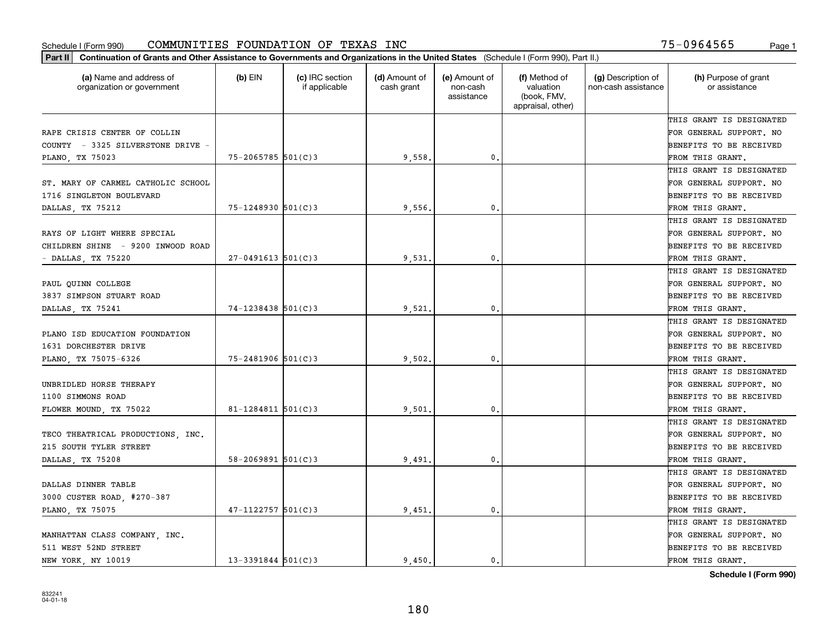| (a) Name and address of<br>organization or government | $(b)$ EIN                | (c) IRC section<br>if applicable | (d) Amount of<br>cash grant | (e) Amount of<br>non-cash<br>assistance | (f) Method of<br>valuation<br>(book, FMV,<br>appraisal, other) | (g) Description of<br>non-cash assistance | (h) Purpose of grant<br>or assistance |
|-------------------------------------------------------|--------------------------|----------------------------------|-----------------------------|-----------------------------------------|----------------------------------------------------------------|-------------------------------------------|---------------------------------------|
|                                                       |                          |                                  |                             |                                         |                                                                |                                           | THIS GRANT IS DESIGNATED              |
| RAPE CRISIS CENTER OF COLLIN                          |                          |                                  |                             |                                         |                                                                |                                           | FOR GENERAL SUPPORT. NO               |
| COUNTY - 3325 SILVERSTONE DRIVE -                     |                          |                                  |                             |                                         |                                                                |                                           | BENEFITS TO BE RECEIVED               |
| PLANO, TX 75023                                       | $75 - 2065785$ 501(C)3   |                                  | 9,558.                      | 0.                                      |                                                                |                                           | FROM THIS GRANT.                      |
|                                                       |                          |                                  |                             |                                         |                                                                |                                           | THIS GRANT IS DESIGNATED              |
| ST. MARY OF CARMEL CATHOLIC SCHOOL                    |                          |                                  |                             |                                         |                                                                |                                           | FOR GENERAL SUPPORT. NO               |
| 1716 SINGLETON BOULEVARD                              |                          |                                  |                             |                                         |                                                                |                                           | BENEFITS TO BE RECEIVED               |
| DALLAS, TX 75212                                      | $75 - 1248930$ 501(C)3   |                                  | 9,556                       | 0.                                      |                                                                |                                           | FROM THIS GRANT.                      |
|                                                       |                          |                                  |                             |                                         |                                                                |                                           | THIS GRANT IS DESIGNATED              |
| RAYS OF LIGHT WHERE SPECIAL                           |                          |                                  |                             |                                         |                                                                |                                           | FOR GENERAL SUPPORT. NO               |
| CHILDREN SHINE - 9200 INWOOD ROAD                     |                          |                                  |                             |                                         |                                                                |                                           | BENEFITS TO BE RECEIVED               |
| DALLAS, TX 75220                                      | $27 - 0491613$ 501(C)3   |                                  | 9,531                       | 0.                                      |                                                                |                                           | FROM THIS GRANT.                      |
|                                                       |                          |                                  |                             |                                         |                                                                |                                           | THIS GRANT IS DESIGNATED              |
| PAUL QUINN COLLEGE                                    |                          |                                  |                             |                                         |                                                                |                                           | FOR GENERAL SUPPORT. NO               |
| 3837 SIMPSON STUART ROAD                              |                          |                                  |                             |                                         |                                                                |                                           | <b>BENEFITS TO BE RECEIVED</b>        |
| DALLAS, TX 75241                                      | 74-1238438 501(C)3       |                                  | 9,521                       | $\mathbf{0}$ .                          |                                                                |                                           | FROM THIS GRANT.                      |
|                                                       |                          |                                  |                             |                                         |                                                                |                                           | THIS GRANT IS DESIGNATED              |
| PLANO ISD EDUCATION FOUNDATION                        |                          |                                  |                             |                                         |                                                                |                                           | FOR GENERAL SUPPORT. NO               |
| 1631 DORCHESTER DRIVE                                 |                          |                                  |                             |                                         |                                                                |                                           | BENEFITS TO BE RECEIVED               |
| PLANO, TX 75075-6326                                  | 75-2481906 501(C)3       |                                  | 9,502.                      | 0.                                      |                                                                |                                           | FROM THIS GRANT.                      |
|                                                       |                          |                                  |                             |                                         |                                                                |                                           | THIS GRANT IS DESIGNATED              |
| UNBRIDLED HORSE THERAPY                               |                          |                                  |                             |                                         |                                                                |                                           | FOR GENERAL SUPPORT. NO               |
| 1100 SIMMONS ROAD                                     |                          |                                  |                             |                                         |                                                                |                                           | BENEFITS TO BE RECEIVED               |
| FLOWER MOUND, TX 75022                                | $81 - 1284811$ 501(C)3   |                                  | 9,501                       | 0.                                      |                                                                |                                           | FROM THIS GRANT.                      |
|                                                       |                          |                                  |                             |                                         |                                                                |                                           | THIS GRANT IS DESIGNATED              |
| TECO THEATRICAL PRODUCTIONS, INC.                     |                          |                                  |                             |                                         |                                                                |                                           | FOR GENERAL SUPPORT. NO               |
| 215 SOUTH TYLER STREET                                |                          |                                  |                             |                                         |                                                                |                                           | BENEFITS TO BE RECEIVED               |
| DALLAS, TX 75208                                      | $58 - 2069891$ $501(C)3$ |                                  | 9,491                       | 0.                                      |                                                                |                                           | FROM THIS GRANT.                      |
|                                                       |                          |                                  |                             |                                         |                                                                |                                           | THIS GRANT IS DESIGNATED              |
| DALLAS DINNER TABLE                                   |                          |                                  |                             |                                         |                                                                |                                           | FOR GENERAL SUPPORT. NO               |
| 3000 CUSTER ROAD, #270-387                            |                          |                                  |                             |                                         |                                                                |                                           | BENEFITS TO BE RECEIVED               |
| PLANO, TX 75075                                       | $47 - 1122757$ 501(C)3   |                                  | 9,451.                      | 0.                                      |                                                                |                                           | FROM THIS GRANT.                      |
|                                                       |                          |                                  |                             |                                         |                                                                |                                           | THIS GRANT IS DESIGNATED              |
| MANHATTAN CLASS COMPANY, INC.                         |                          |                                  |                             |                                         |                                                                |                                           | FOR GENERAL SUPPORT. NO               |
| 511 WEST 52ND STREET                                  |                          |                                  |                             |                                         |                                                                |                                           | <b>BENEFITS TO BE RECEIVED</b>        |
| NEW YORK, NY 10019                                    | $13 - 3391844$ 501(C)3   |                                  | 9.450.                      | $\mathbf{0}$ .                          |                                                                |                                           | FROM THIS GRANT.                      |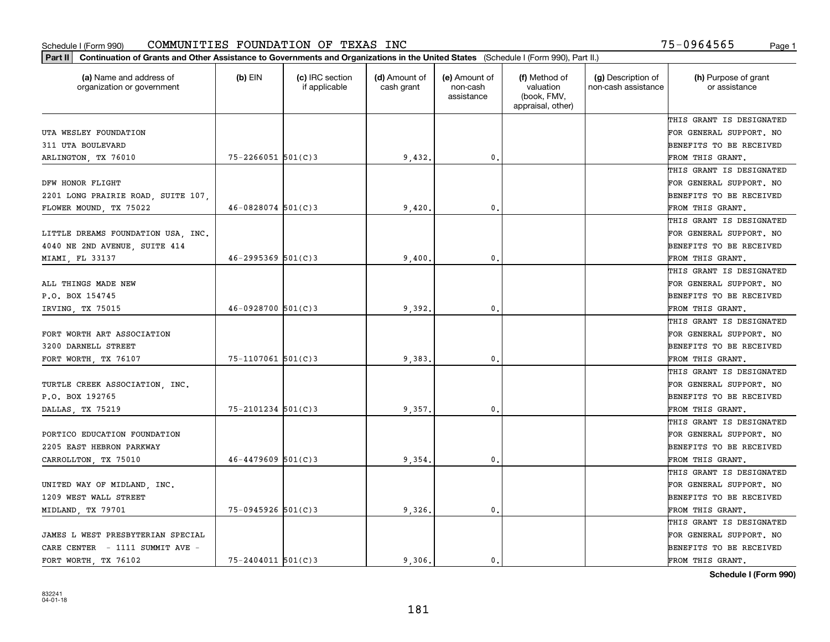| (a) Name and address of<br>organization or government | $(b)$ EIN              | (c) IRC section<br>if applicable | (d) Amount of<br>cash grant | (e) Amount of<br>non-cash<br>assistance | (f) Method of<br>valuation<br>(book, FMV,<br>appraisal, other) | (g) Description of<br>non-cash assistance | (h) Purpose of grant<br>or assistance |
|-------------------------------------------------------|------------------------|----------------------------------|-----------------------------|-----------------------------------------|----------------------------------------------------------------|-------------------------------------------|---------------------------------------|
|                                                       |                        |                                  |                             |                                         |                                                                |                                           | THIS GRANT IS DESIGNATED              |
| UTA WESLEY FOUNDATION                                 |                        |                                  |                             |                                         |                                                                |                                           | FOR GENERAL SUPPORT. NO               |
| 311 UTA BOULEVARD                                     |                        |                                  |                             |                                         |                                                                |                                           | BENEFITS TO BE RECEIVED               |
| ARLINGTON, TX 76010                                   | $75 - 2266051$ 501(C)3 |                                  | 9,432.                      | 0.                                      |                                                                |                                           | FROM THIS GRANT.                      |
|                                                       |                        |                                  |                             |                                         |                                                                |                                           | THIS GRANT IS DESIGNATED              |
| DFW HONOR FLIGHT                                      |                        |                                  |                             |                                         |                                                                |                                           | FOR GENERAL SUPPORT. NO               |
| 2201 LONG PRAIRIE ROAD, SUITE 107,                    |                        |                                  |                             |                                         |                                                                |                                           | BENEFITS TO BE RECEIVED               |
| FLOWER MOUND, TX 75022                                | $46 - 0828074$ 501(C)3 |                                  | 9,420                       | 0.                                      |                                                                |                                           | FROM THIS GRANT.                      |
|                                                       |                        |                                  |                             |                                         |                                                                |                                           | THIS GRANT IS DESIGNATED              |
| LITTLE DREAMS FOUNDATION USA, INC.                    |                        |                                  |                             |                                         |                                                                |                                           | FOR GENERAL SUPPORT. NO               |
| 4040 NE 2ND AVENUE, SUITE 414                         |                        |                                  |                             |                                         |                                                                |                                           | BENEFITS TO BE RECEIVED               |
| MIAMI, FL 33137                                       | $46 - 2995369$ 501(C)3 |                                  | 9,400                       | 0.                                      |                                                                |                                           | FROM THIS GRANT.                      |
|                                                       |                        |                                  |                             |                                         |                                                                |                                           | THIS GRANT IS DESIGNATED              |
| ALL THINGS MADE NEW                                   |                        |                                  |                             |                                         |                                                                |                                           | FOR GENERAL SUPPORT. NO               |
| P.O. BOX 154745                                       |                        |                                  |                             |                                         |                                                                |                                           | BENEFITS TO BE RECEIVED               |
| IRVING, TX 75015                                      | $46 - 0928700$ 501(C)3 |                                  | 9,392                       | $\mathbf 0$ .                           |                                                                |                                           | FROM THIS GRANT.                      |
|                                                       |                        |                                  |                             |                                         |                                                                |                                           | THIS GRANT IS DESIGNATED              |
| FORT WORTH ART ASSOCIATION                            |                        |                                  |                             |                                         |                                                                |                                           | FOR GENERAL SUPPORT. NO               |
| 3200 DARNELL STREET                                   |                        |                                  |                             |                                         |                                                                |                                           | BENEFITS TO BE RECEIVED               |
| FORT WORTH, TX 76107                                  | $75 - 1107061$ 501(C)3 |                                  | 9,383                       | 0.                                      |                                                                |                                           | FROM THIS GRANT.                      |
|                                                       |                        |                                  |                             |                                         |                                                                |                                           | THIS GRANT IS DESIGNATED              |
| TURTLE CREEK ASSOCIATION, INC.                        |                        |                                  |                             |                                         |                                                                |                                           | FOR GENERAL SUPPORT. NO               |
| P.O. BOX 192765                                       |                        |                                  |                             |                                         |                                                                |                                           | BENEFITS TO BE RECEIVED               |
| DALLAS, TX 75219                                      | $75 - 2101234$ 501(C)3 |                                  | 9,357                       | $\mathbf{0}$ .                          |                                                                |                                           | FROM THIS GRANT.                      |
|                                                       |                        |                                  |                             |                                         |                                                                |                                           | THIS GRANT IS DESIGNATED              |
| PORTICO EDUCATION FOUNDATION                          |                        |                                  |                             |                                         |                                                                |                                           | FOR GENERAL SUPPORT. NO               |
| 2205 EAST HEBRON PARKWAY                              |                        |                                  |                             |                                         |                                                                |                                           | BENEFITS TO BE RECEIVED               |
| CARROLLTON, TX 75010                                  | $46 - 4479609$ 501(C)3 |                                  | 9,354                       | $\mathbf{0}$ .                          |                                                                |                                           | FROM THIS GRANT.                      |
|                                                       |                        |                                  |                             |                                         |                                                                |                                           | THIS GRANT IS DESIGNATED              |
| UNITED WAY OF MIDLAND, INC.                           |                        |                                  |                             |                                         |                                                                |                                           | FOR GENERAL SUPPORT. NO               |
| 1209 WEST WALL STREET                                 |                        |                                  |                             |                                         |                                                                |                                           | BENEFITS TO BE RECEIVED               |
| MIDLAND, TX 79701                                     | $75-0945926$ 501(C)3   |                                  | 9,326                       | 0.                                      |                                                                |                                           | FROM THIS GRANT.                      |
|                                                       |                        |                                  |                             |                                         |                                                                |                                           | THIS GRANT IS DESIGNATED              |
| JAMES L WEST PRESBYTERIAN SPECIAL                     |                        |                                  |                             |                                         |                                                                |                                           | FOR GENERAL SUPPORT. NO               |
| CARE CENTER - 1111 SUMMIT AVE -                       |                        |                                  |                             |                                         |                                                                |                                           | BENEFITS TO BE RECEIVED               |
| FORT WORTH TX 76102                                   | $75 - 2404011$ 501(C)3 |                                  | 9.306.                      | 0.                                      |                                                                |                                           | FROM THIS GRANT.                      |
|                                                       |                        |                                  |                             |                                         |                                                                |                                           |                                       |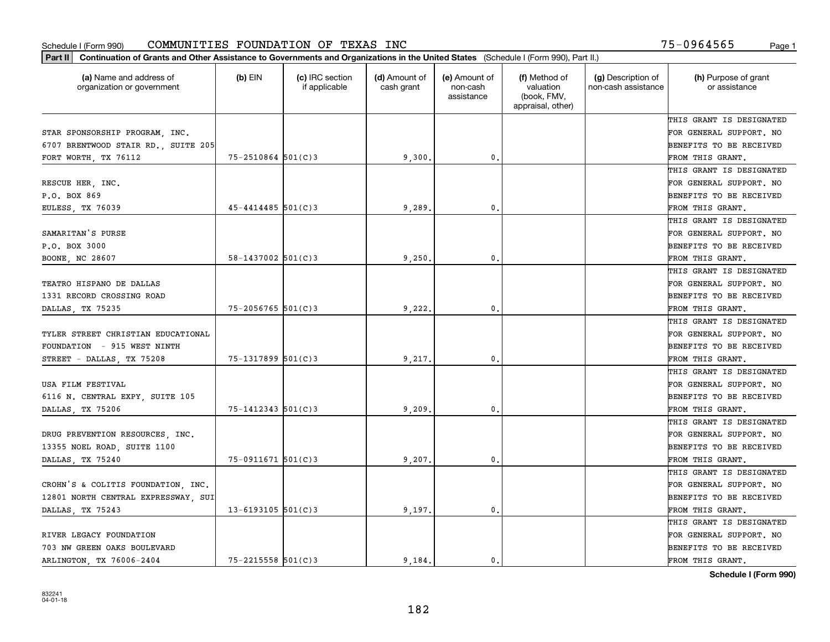| Part II   Continuation of Grants and Other Assistance to Governments and Organizations in the United States (Schedule I (Form 990), Part II.) |                          |                                  |                             |                                         |                                                                |                                           |                                       |
|-----------------------------------------------------------------------------------------------------------------------------------------------|--------------------------|----------------------------------|-----------------------------|-----------------------------------------|----------------------------------------------------------------|-------------------------------------------|---------------------------------------|
| (a) Name and address of<br>organization or government                                                                                         | $(b)$ EIN                | (c) IRC section<br>if applicable | (d) Amount of<br>cash grant | (e) Amount of<br>non-cash<br>assistance | (f) Method of<br>valuation<br>(book, FMV,<br>appraisal, other) | (g) Description of<br>non-cash assistance | (h) Purpose of grant<br>or assistance |
|                                                                                                                                               |                          |                                  |                             |                                         |                                                                |                                           | THIS GRANT IS DESIGNATED              |
| STAR SPONSORSHIP PROGRAM, INC.                                                                                                                |                          |                                  |                             |                                         |                                                                |                                           | FOR GENERAL SUPPORT. NO               |
| 6707 BRENTWOOD STAIR RD., SUITE 205                                                                                                           |                          |                                  |                             |                                         |                                                                |                                           | BENEFITS TO BE RECEIVED               |
| FORT WORTH, TX 76112                                                                                                                          | $75 - 2510864$ 501(C)3   |                                  | 9,300.                      | 0.                                      |                                                                |                                           | FROM THIS GRANT.                      |
|                                                                                                                                               |                          |                                  |                             |                                         |                                                                |                                           | THIS GRANT IS DESIGNATED              |
| RESCUE HER, INC.                                                                                                                              |                          |                                  |                             |                                         |                                                                |                                           | FOR GENERAL SUPPORT. NO               |
| P.O. BOX 869                                                                                                                                  |                          |                                  |                             |                                         |                                                                |                                           | BENEFITS TO BE RECEIVED               |
| EULESS, TX 76039                                                                                                                              | $45 - 4414485$ 501(C)3   |                                  | 9,289                       | $\mathbf{0}$                            |                                                                |                                           | FROM THIS GRANT.                      |
|                                                                                                                                               |                          |                                  |                             |                                         |                                                                |                                           | THIS GRANT IS DESIGNATED              |
| SAMARITAN'S PURSE                                                                                                                             |                          |                                  |                             |                                         |                                                                |                                           | FOR GENERAL SUPPORT. NO               |
| P.O. BOX 3000                                                                                                                                 |                          |                                  |                             |                                         |                                                                |                                           | BENEFITS TO BE RECEIVED               |
| BOONE, NC 28607                                                                                                                               | $58 - 1437002$ $501(C)3$ |                                  | 9,250.                      | 0.                                      |                                                                |                                           | FROM THIS GRANT.                      |
|                                                                                                                                               |                          |                                  |                             |                                         |                                                                |                                           | THIS GRANT IS DESIGNATED              |
| TEATRO HISPANO DE DALLAS                                                                                                                      |                          |                                  |                             |                                         |                                                                |                                           | FOR GENERAL SUPPORT. NO               |
| 1331 RECORD CROSSING ROAD                                                                                                                     |                          |                                  |                             |                                         |                                                                |                                           | <b>BENEFITS TO BE RECEIVED</b>        |
| DALLAS, TX 75235                                                                                                                              | 75-2056765 501(C)3       |                                  | 9,222.                      | $\mathbf{0}$ .                          |                                                                |                                           | FROM THIS GRANT.                      |
|                                                                                                                                               |                          |                                  |                             |                                         |                                                                |                                           | THIS GRANT IS DESIGNATED              |
| TYLER STREET CHRISTIAN EDUCATIONAL                                                                                                            |                          |                                  |                             |                                         |                                                                |                                           | FOR GENERAL SUPPORT. NO               |
| FOUNDATION - 915 WEST NINTH                                                                                                                   |                          |                                  |                             |                                         |                                                                |                                           | BENEFITS TO BE RECEIVED               |
| STREET - DALLAS, TX 75208                                                                                                                     | 75-1317899 501(C)3       |                                  | 9,217.                      | $\mathbf{0}$                            |                                                                |                                           | FROM THIS GRANT.                      |
|                                                                                                                                               |                          |                                  |                             |                                         |                                                                |                                           | THIS GRANT IS DESIGNATED              |
| USA FILM FESTIVAL                                                                                                                             |                          |                                  |                             |                                         |                                                                |                                           | FOR GENERAL SUPPORT. NO               |
| 6116 N. CENTRAL EXPY, SUITE 105                                                                                                               |                          |                                  |                             |                                         |                                                                |                                           | BENEFITS TO BE RECEIVED               |
| DALLAS, TX 75206                                                                                                                              | $75 - 1412343$ $501(C)3$ |                                  | 9,209                       | 0.                                      |                                                                |                                           | FROM THIS GRANT.                      |
|                                                                                                                                               |                          |                                  |                             |                                         |                                                                |                                           | THIS GRANT IS DESIGNATED              |
| DRUG PREVENTION RESOURCES, INC.                                                                                                               |                          |                                  |                             |                                         |                                                                |                                           | FOR GENERAL SUPPORT. NO               |
| 13355 NOEL ROAD, SUITE 1100                                                                                                                   |                          |                                  |                             |                                         |                                                                |                                           | BENEFITS TO BE RECEIVED               |
| DALLAS, TX 75240                                                                                                                              | $75-0911671$ 501(C)3     |                                  | 9,207                       | 0.                                      |                                                                |                                           | FROM THIS GRANT.                      |
|                                                                                                                                               |                          |                                  |                             |                                         |                                                                |                                           | THIS GRANT IS DESIGNATED              |
| CROHN'S & COLITIS FOUNDATION, INC.                                                                                                            |                          |                                  |                             |                                         |                                                                |                                           | FOR GENERAL SUPPORT. NO               |
| 12801 NORTH CENTRAL EXPRESSWAY, SUI                                                                                                           |                          |                                  |                             |                                         |                                                                |                                           | BENEFITS TO BE RECEIVED               |
| DALLAS, TX 75243                                                                                                                              | $13 - 6193105$ 501(C)3   |                                  | 9,197.                      | $\mathbf{0}$ .                          |                                                                |                                           | FROM THIS GRANT.                      |
|                                                                                                                                               |                          |                                  |                             |                                         |                                                                |                                           | THIS GRANT IS DESIGNATED              |
| RIVER LEGACY FOUNDATION                                                                                                                       |                          |                                  |                             |                                         |                                                                |                                           | FOR GENERAL SUPPORT. NO               |
| 703 NW GREEN OAKS BOULEVARD                                                                                                                   |                          |                                  |                             |                                         |                                                                |                                           | <b>BENEFITS TO BE RECEIVED</b>        |
| ARLINGTON, TX 76006-2404                                                                                                                      | $75 - 2215558$ 501(C)3   |                                  | 9.184.                      | 0.                                      |                                                                |                                           | FROM THIS GRANT.                      |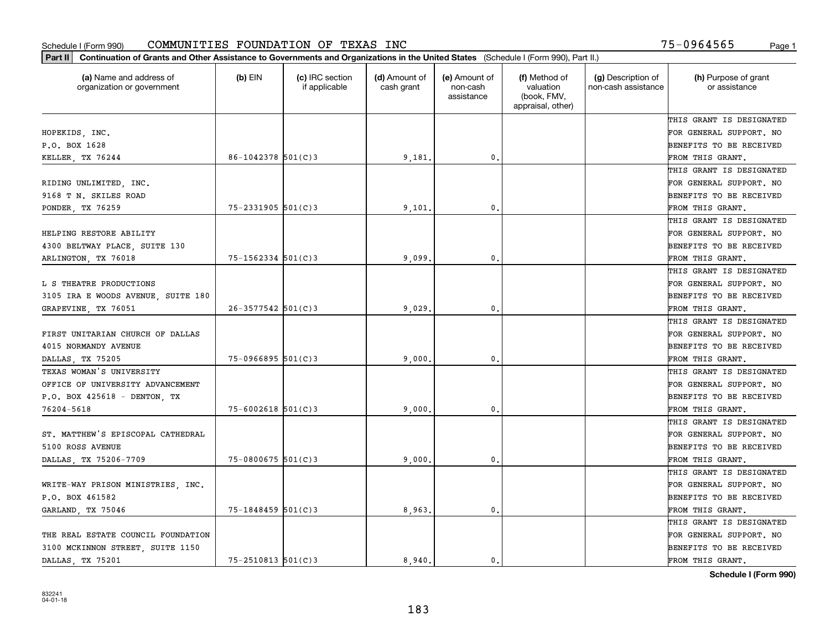| (a) Name and address of<br>organization or government | $(b)$ EIN              | (c) IRC section<br>if applicable | (d) Amount of<br>cash grant | (e) Amount of<br>non-cash<br>assistance | (f) Method of<br>valuation<br>(book, FMV,<br>appraisal, other) | (g) Description of<br>non-cash assistance | (h) Purpose of grant<br>or assistance |
|-------------------------------------------------------|------------------------|----------------------------------|-----------------------------|-----------------------------------------|----------------------------------------------------------------|-------------------------------------------|---------------------------------------|
|                                                       |                        |                                  |                             |                                         |                                                                |                                           | THIS GRANT IS DESIGNATED              |
| HOPEKIDS, INC.                                        |                        |                                  |                             |                                         |                                                                |                                           | FOR GENERAL SUPPORT. NO               |
| P.O. BOX 1628                                         |                        |                                  |                             |                                         |                                                                |                                           | BENEFITS TO BE RECEIVED               |
| KELLER, TX 76244                                      | $86 - 1042378$ 501(C)3 |                                  | 9,181.                      | 0.                                      |                                                                |                                           | FROM THIS GRANT.                      |
|                                                       |                        |                                  |                             |                                         |                                                                |                                           | THIS GRANT IS DESIGNATED              |
| RIDING UNLIMITED, INC.                                |                        |                                  |                             |                                         |                                                                |                                           | FOR GENERAL SUPPORT. NO               |
| 9168 T N. SKILES ROAD                                 |                        |                                  |                             |                                         |                                                                |                                           | BENEFITS TO BE RECEIVED               |
| PONDER, TX 76259                                      | $75 - 2331905$ 501(C)3 |                                  | 9,101                       | 0.                                      |                                                                |                                           | FROM THIS GRANT.                      |
|                                                       |                        |                                  |                             |                                         |                                                                |                                           | THIS GRANT IS DESIGNATED              |
| HELPING RESTORE ABILITY                               |                        |                                  |                             |                                         |                                                                |                                           | FOR GENERAL SUPPORT. NO               |
| 4300 BELTWAY PLACE, SUITE 130                         |                        |                                  |                             |                                         |                                                                |                                           | BENEFITS TO BE RECEIVED               |
| ARLINGTON, TX 76018                                   | $75 - 1562334$ 501(C)3 |                                  | 9,099                       | 0.                                      |                                                                |                                           | FROM THIS GRANT.                      |
|                                                       |                        |                                  |                             |                                         |                                                                |                                           | THIS GRANT IS DESIGNATED              |
| L S THEATRE PRODUCTIONS                               |                        |                                  |                             |                                         |                                                                |                                           | FOR GENERAL SUPPORT. NO               |
| 3105 IRA E WOODS AVENUE, SUITE 180                    |                        |                                  |                             |                                         |                                                                |                                           | <b>BENEFITS TO BE RECEIVED</b>        |
| GRAPEVINE, TX 76051                                   | $26 - 3577542$ 501(C)3 |                                  | 9,029                       | 0.                                      |                                                                |                                           | FROM THIS GRANT.                      |
|                                                       |                        |                                  |                             |                                         |                                                                |                                           | THIS GRANT IS DESIGNATED              |
| FIRST UNITARIAN CHURCH OF DALLAS                      |                        |                                  |                             |                                         |                                                                |                                           | FOR GENERAL SUPPORT. NO               |
| 4015 NORMANDY AVENUE                                  |                        |                                  |                             |                                         |                                                                |                                           | BENEFITS TO BE RECEIVED               |
| DALLAS, TX 75205                                      | $75 - 0966895$ 501(C)3 |                                  | 9,000                       | 0.                                      |                                                                |                                           | FROM THIS GRANT.                      |
| TEXAS WOMAN'S UNIVERSITY                              |                        |                                  |                             |                                         |                                                                |                                           | THIS GRANT IS DESIGNATED              |
| OFFICE OF UNIVERSITY ADVANCEMENT                      |                        |                                  |                             |                                         |                                                                |                                           | FOR GENERAL SUPPORT. NO               |
| P.O. BOX 425618 - DENTON, TX                          |                        |                                  |                             |                                         |                                                                |                                           | <b>BENEFITS TO BE RECEIVED</b>        |
| 76204-5618                                            | $75 - 6002618$ 501(C)3 |                                  | 9,000                       | 0.                                      |                                                                |                                           | FROM THIS GRANT.                      |
|                                                       |                        |                                  |                             |                                         |                                                                |                                           | THIS GRANT IS DESIGNATED              |
| ST. MATTHEW'S EPISCOPAL CATHEDRAL                     |                        |                                  |                             |                                         |                                                                |                                           | FOR GENERAL SUPPORT. NO               |
| 5100 ROSS AVENUE                                      |                        |                                  |                             |                                         |                                                                |                                           | BENEFITS TO BE RECEIVED               |
| DALLAS, TX 75206-7709                                 | $75 - 0800675$ 501(C)3 |                                  | 9,000                       | 0.                                      |                                                                |                                           | FROM THIS GRANT.                      |
|                                                       |                        |                                  |                             |                                         |                                                                |                                           | THIS GRANT IS DESIGNATED              |
| WRITE-WAY PRISON MINISTRIES, INC.                     |                        |                                  |                             |                                         |                                                                |                                           | FOR GENERAL SUPPORT. NO               |
| P.O. BOX 461582                                       |                        |                                  |                             |                                         |                                                                |                                           | BENEFITS TO BE RECEIVED               |
| GARLAND, TX 75046                                     | $75 - 1848459$ 501(C)3 |                                  | 8,963.                      | 0.                                      |                                                                |                                           | FROM THIS GRANT.                      |
|                                                       |                        |                                  |                             |                                         |                                                                |                                           | THIS GRANT IS DESIGNATED              |
| THE REAL ESTATE COUNCIL FOUNDATION                    |                        |                                  |                             |                                         |                                                                |                                           | FOR GENERAL SUPPORT. NO               |
| 3100 MCKINNON STREET, SUITE 1150                      |                        |                                  |                             |                                         |                                                                |                                           | <b>BENEFITS TO BE RECEIVED</b>        |
| DALLAS, TX 75201                                      | $75 - 2510813$ 501(C)3 |                                  | 8.940.                      | $\mathbf{0}$ .                          |                                                                |                                           | FROM THIS GRANT.                      |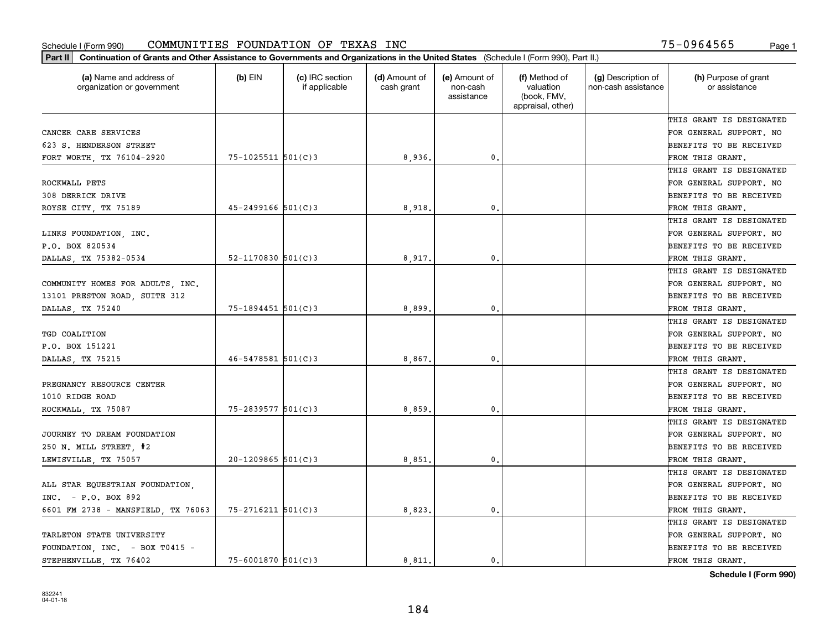| (a) Name and address of<br>organization or government | $(b)$ EIN                | (c) IRC section<br>if applicable | (d) Amount of<br>cash grant | (e) Amount of<br>non-cash<br>assistance | (f) Method of<br>valuation<br>(book, FMV,<br>appraisal, other) | (g) Description of<br>non-cash assistance | (h) Purpose of grant<br>or assistance |
|-------------------------------------------------------|--------------------------|----------------------------------|-----------------------------|-----------------------------------------|----------------------------------------------------------------|-------------------------------------------|---------------------------------------|
|                                                       |                          |                                  |                             |                                         |                                                                |                                           | THIS GRANT IS DESIGNATED              |
| CANCER CARE SERVICES                                  |                          |                                  |                             |                                         |                                                                |                                           | FOR GENERAL SUPPORT. NO               |
| 623 S. HENDERSON STREET                               |                          |                                  |                             |                                         |                                                                |                                           | BENEFITS TO BE RECEIVED               |
| FORT WORTH, TX 76104-2920                             | 75-1025511 501(C)3       |                                  | 8,936.                      | $\mathfrak{o}$ .                        |                                                                |                                           | FROM THIS GRANT.                      |
|                                                       |                          |                                  |                             |                                         |                                                                |                                           | THIS GRANT IS DESIGNATED              |
| ROCKWALL PETS                                         |                          |                                  |                             |                                         |                                                                |                                           | FOR GENERAL SUPPORT. NO               |
| 308 DERRICK DRIVE                                     |                          |                                  |                             |                                         |                                                                |                                           | BENEFITS TO BE RECEIVED               |
| ROYSE CITY, TX 75189                                  | $45 - 2499166$ 501(C)3   |                                  | 8,918                       | $\mathbf{0}$                            |                                                                |                                           | FROM THIS GRANT.                      |
|                                                       |                          |                                  |                             |                                         |                                                                |                                           | THIS GRANT IS DESIGNATED              |
| LINKS FOUNDATION, INC.                                |                          |                                  |                             |                                         |                                                                |                                           | FOR GENERAL SUPPORT. NO               |
| P.O. BOX 820534                                       |                          |                                  |                             |                                         |                                                                |                                           | BENEFITS TO BE RECEIVED               |
| DALLAS, TX 75382-0534                                 | $52 - 1170830$ $501(C)3$ |                                  | 8,917                       | $\mathbf{0}$ .                          |                                                                |                                           | FROM THIS GRANT.                      |
|                                                       |                          |                                  |                             |                                         |                                                                |                                           | THIS GRANT IS DESIGNATED              |
| COMMUNITY HOMES FOR ADULTS, INC.                      |                          |                                  |                             |                                         |                                                                |                                           | FOR GENERAL SUPPORT. NO               |
| 13101 PRESTON ROAD, SUITE 312                         |                          |                                  |                             |                                         |                                                                |                                           | BENEFITS TO BE RECEIVED               |
| DALLAS, TX 75240                                      | $75 - 1894451$ 501(C)3   |                                  | 8,899                       | $\mathbf{0}$                            |                                                                |                                           | FROM THIS GRANT.                      |
|                                                       |                          |                                  |                             |                                         |                                                                |                                           | THIS GRANT IS DESIGNATED              |
| TGD COALITION                                         |                          |                                  |                             |                                         |                                                                |                                           | FOR GENERAL SUPPORT. NO               |
| P.O. BOX 151221                                       |                          |                                  |                             |                                         |                                                                |                                           | BENEFITS TO BE RECEIVED               |
| DALLAS, TX 75215                                      | $46 - 5478581$ 501(C)3   |                                  | 8,867                       | $\mathbf{0}$                            |                                                                |                                           | FROM THIS GRANT.                      |
|                                                       |                          |                                  |                             |                                         |                                                                |                                           | THIS GRANT IS DESIGNATED              |
| PREGNANCY RESOURCE CENTER                             |                          |                                  |                             |                                         |                                                                |                                           | FOR GENERAL SUPPORT. NO               |
| 1010 RIDGE ROAD                                       |                          |                                  |                             |                                         |                                                                |                                           | BENEFITS TO BE RECEIVED               |
| ROCKWALL, TX 75087                                    | $75 - 2839577$ 501(C)3   |                                  | 8,859                       | $\mathbf{0}$                            |                                                                |                                           | FROM THIS GRANT.                      |
|                                                       |                          |                                  |                             |                                         |                                                                |                                           | THIS GRANT IS DESIGNATED              |
| JOURNEY TO DREAM FOUNDATION                           |                          |                                  |                             |                                         |                                                                |                                           | FOR GENERAL SUPPORT. NO               |
| 250 N. MILL STREET, #2                                |                          |                                  |                             |                                         |                                                                |                                           | BENEFITS TO BE RECEIVED               |
| LEWISVILLE, TX 75057                                  | $20-1209865$ 501(C)3     |                                  | 8,851                       | $\mathbf{0}$ .                          |                                                                |                                           | FROM THIS GRANT.                      |
|                                                       |                          |                                  |                             |                                         |                                                                |                                           | THIS GRANT IS DESIGNATED              |
| ALL STAR EQUESTRIAN FOUNDATION,                       |                          |                                  |                             |                                         |                                                                |                                           | FOR GENERAL SUPPORT. NO               |
| INC. $- P.0. BOX 892$                                 |                          |                                  |                             |                                         |                                                                |                                           | BENEFITS TO BE RECEIVED               |
| 6601 FM 2738 - MANSFIELD, TX 76063                    | $75 - 2716211$ 501(C)3   |                                  | 8,823.                      | $\mathbf{0}$ .                          |                                                                |                                           | FROM THIS GRANT.                      |
|                                                       |                          |                                  |                             |                                         |                                                                |                                           | THIS GRANT IS DESIGNATED              |
| TARLETON STATE UNIVERSITY                             |                          |                                  |                             |                                         |                                                                |                                           | FOR GENERAL SUPPORT. NO               |
| FOUNDATION, INC. - BOX T0415 -                        |                          |                                  |                             |                                         |                                                                |                                           | BENEFITS TO BE RECEIVED               |
| STEPHENVILLE TX 76402                                 | $75 - 6001870$ 501(C)3   |                                  | 8,811.                      | 0.                                      |                                                                |                                           | FROM THIS GRANT.                      |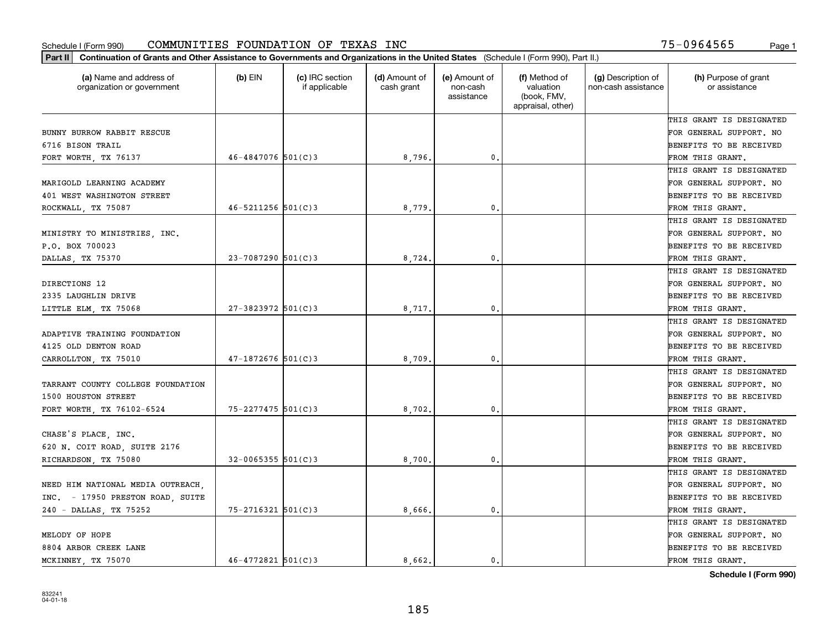| (a) Name and address of<br>organization or government | $(b)$ EIN                | (c) IRC section<br>if applicable | (d) Amount of<br>cash grant | (e) Amount of<br>non-cash<br>assistance | (f) Method of<br>valuation<br>(book, FMV,<br>appraisal, other) | (g) Description of<br>non-cash assistance | (h) Purpose of grant<br>or assistance |
|-------------------------------------------------------|--------------------------|----------------------------------|-----------------------------|-----------------------------------------|----------------------------------------------------------------|-------------------------------------------|---------------------------------------|
|                                                       |                          |                                  |                             |                                         |                                                                |                                           | THIS GRANT IS DESIGNATED              |
| BUNNY BURROW RABBIT RESCUE                            |                          |                                  |                             |                                         |                                                                |                                           | FOR GENERAL SUPPORT. NO               |
| 6716 BISON TRAIL                                      |                          |                                  |                             |                                         |                                                                |                                           | BENEFITS TO BE RECEIVED               |
| FORT WORTH, TX 76137                                  | $46 - 4847076$ 501(C)3   |                                  | 8,796.                      | 0.                                      |                                                                |                                           | FROM THIS GRANT.                      |
|                                                       |                          |                                  |                             |                                         |                                                                |                                           | THIS GRANT IS DESIGNATED              |
| MARIGOLD LEARNING ACADEMY                             |                          |                                  |                             |                                         |                                                                |                                           | FOR GENERAL SUPPORT. NO               |
| 401 WEST WASHINGTON STREET                            |                          |                                  |                             |                                         |                                                                |                                           | BENEFITS TO BE RECEIVED               |
| ROCKWALL, TX 75087                                    | $46 - 5211256$ $501(C)3$ |                                  | 8,779                       | $\mathbf{0}$                            |                                                                |                                           | FROM THIS GRANT.                      |
|                                                       |                          |                                  |                             |                                         |                                                                |                                           | THIS GRANT IS DESIGNATED              |
| MINISTRY TO MINISTRIES, INC.                          |                          |                                  |                             |                                         |                                                                |                                           | FOR GENERAL SUPPORT. NO               |
| P.O. BOX 700023                                       |                          |                                  |                             |                                         |                                                                |                                           | BENEFITS TO BE RECEIVED               |
| DALLAS, TX 75370                                      | 23-7087290 501(C)3       |                                  | 8,724                       | $\mathfrak{o}$ .                        |                                                                |                                           | FROM THIS GRANT.                      |
|                                                       |                          |                                  |                             |                                         |                                                                |                                           | THIS GRANT IS DESIGNATED              |
| DIRECTIONS 12                                         |                          |                                  |                             |                                         |                                                                |                                           | FOR GENERAL SUPPORT. NO               |
| 2335 LAUGHLIN DRIVE                                   |                          |                                  |                             |                                         |                                                                |                                           | BENEFITS TO BE RECEIVED               |
| LITTLE ELM, TX 75068                                  | $27 - 3823972$ 501(C)3   |                                  | 8,717                       | $\mathbf{0}$                            |                                                                |                                           | FROM THIS GRANT.                      |
|                                                       |                          |                                  |                             |                                         |                                                                |                                           | THIS GRANT IS DESIGNATED              |
| ADAPTIVE TRAINING FOUNDATION                          |                          |                                  |                             |                                         |                                                                |                                           | FOR GENERAL SUPPORT. NO               |
| 4125 OLD DENTON ROAD                                  |                          |                                  |                             |                                         |                                                                |                                           | BENEFITS TO BE RECEIVED               |
| CARROLLTON, TX 75010                                  | $47 - 1872676$ 501(C)3   |                                  | 8,709                       | $\mathbf{0}$                            |                                                                |                                           | FROM THIS GRANT.                      |
|                                                       |                          |                                  |                             |                                         |                                                                |                                           | THIS GRANT IS DESIGNATED              |
| TARRANT COUNTY COLLEGE FOUNDATION                     |                          |                                  |                             |                                         |                                                                |                                           | FOR GENERAL SUPPORT. NO               |
| 1500 HOUSTON STREET                                   |                          |                                  |                             |                                         |                                                                |                                           | BENEFITS TO BE RECEIVED               |
| FORT WORTH, TX 76102-6524                             | $75 - 2277475$ 501(C)3   |                                  | 8,702.                      | $\mathbf{0}$                            |                                                                |                                           | FROM THIS GRANT.                      |
|                                                       |                          |                                  |                             |                                         |                                                                |                                           | THIS GRANT IS DESIGNATED              |
| CHASE'S PLACE, INC.                                   |                          |                                  |                             |                                         |                                                                |                                           | FOR GENERAL SUPPORT. NO               |
| 620 N. COIT ROAD, SUITE 2176                          |                          |                                  |                             |                                         |                                                                |                                           | BENEFITS TO BE RECEIVED               |
| RICHARDSON, TX 75080                                  | $32 - 0065355$ 501(C)3   |                                  | 8,700                       | $\mathbf{0}$ .                          |                                                                |                                           | FROM THIS GRANT.                      |
|                                                       |                          |                                  |                             |                                         |                                                                |                                           | THIS GRANT IS DESIGNATED              |
| NEED HIM NATIONAL MEDIA OUTREACH,                     |                          |                                  |                             |                                         |                                                                |                                           | FOR GENERAL SUPPORT. NO               |
| INC. - 17950 PRESTON ROAD, SUITE                      |                          |                                  |                             |                                         |                                                                |                                           | BENEFITS TO BE RECEIVED               |
| 240 - DALLAS, TX 75252                                | 75-2716321 501(C)3       |                                  | 8,666.                      | $\mathbf{0}$ .                          |                                                                |                                           | FROM THIS GRANT.                      |
|                                                       |                          |                                  |                             |                                         |                                                                |                                           | THIS GRANT IS DESIGNATED              |
| MELODY OF HOPE                                        |                          |                                  |                             |                                         |                                                                |                                           | FOR GENERAL SUPPORT. NO               |
| 8804 ARBOR CREEK LANE                                 |                          |                                  |                             |                                         |                                                                |                                           | BENEFITS TO BE RECEIVED               |
| MCKINNEY, TX 75070                                    | $46 - 4772821$ 501(C)3   |                                  | 8.662.                      | 0.                                      |                                                                |                                           | FROM THIS GRANT.                      |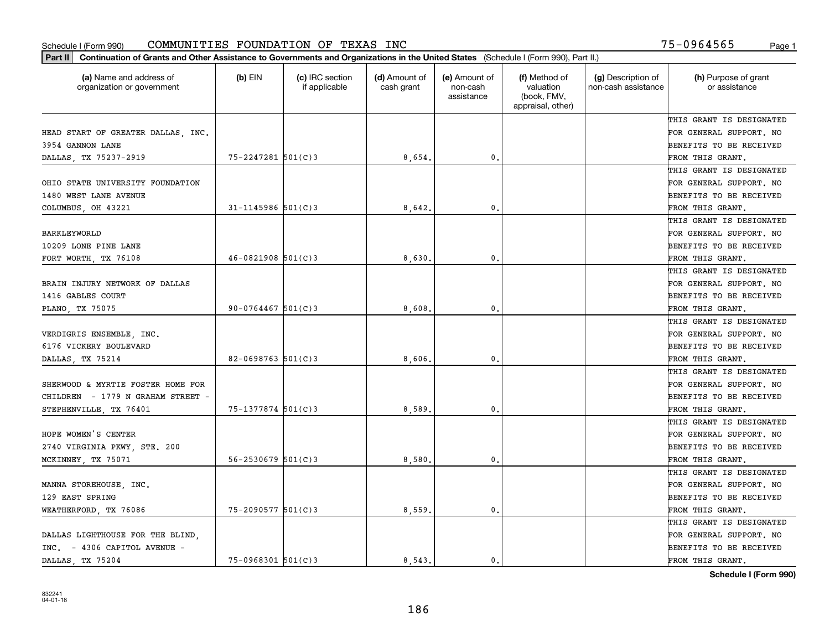| Part II   Continuation of Grants and Other Assistance to Governments and Organizations in the United States (Schedule I (Form 990), Part II.) |                          |                                  |                             |                                         |                                                                |                                           |                                       |
|-----------------------------------------------------------------------------------------------------------------------------------------------|--------------------------|----------------------------------|-----------------------------|-----------------------------------------|----------------------------------------------------------------|-------------------------------------------|---------------------------------------|
| (a) Name and address of<br>organization or government                                                                                         | $(b)$ EIN                | (c) IRC section<br>if applicable | (d) Amount of<br>cash grant | (e) Amount of<br>non-cash<br>assistance | (f) Method of<br>valuation<br>(book, FMV,<br>appraisal, other) | (g) Description of<br>non-cash assistance | (h) Purpose of grant<br>or assistance |
|                                                                                                                                               |                          |                                  |                             |                                         |                                                                |                                           | THIS GRANT IS DESIGNATED              |
| HEAD START OF GREATER DALLAS, INC.                                                                                                            |                          |                                  |                             |                                         |                                                                |                                           | FOR GENERAL SUPPORT. NO               |
| 3954 GANNON LANE                                                                                                                              |                          |                                  |                             |                                         |                                                                |                                           | BENEFITS TO BE RECEIVED               |
| DALLAS TX 75237-2919                                                                                                                          | $75 - 2247281$ 501(C)3   |                                  | 8,654.                      | 0.                                      |                                                                |                                           | FROM THIS GRANT.                      |
|                                                                                                                                               |                          |                                  |                             |                                         |                                                                |                                           | THIS GRANT IS DESIGNATED              |
| OHIO STATE UNIVERSITY FOUNDATION                                                                                                              |                          |                                  |                             |                                         |                                                                |                                           | FOR GENERAL SUPPORT. NO               |
| 1480 WEST LANE AVENUE                                                                                                                         |                          |                                  |                             |                                         |                                                                |                                           | BENEFITS TO BE RECEIVED               |
| COLUMBUS, OH 43221                                                                                                                            | $31 - 1145986$ 501(C)3   |                                  | 8,642.                      | $\mathbf{0}$                            |                                                                |                                           | FROM THIS GRANT.                      |
|                                                                                                                                               |                          |                                  |                             |                                         |                                                                |                                           | THIS GRANT IS DESIGNATED              |
| BARKLEYWORLD                                                                                                                                  |                          |                                  |                             |                                         |                                                                |                                           | FOR GENERAL SUPPORT. NO               |
| 10209 LONE PINE LANE                                                                                                                          |                          |                                  |                             |                                         |                                                                |                                           | BENEFITS TO BE RECEIVED               |
| FORT WORTH, TX 76108                                                                                                                          | $46 - 0821908$ 501(C)3   |                                  | 8,630.                      | $\mathfrak{o}$ .                        |                                                                |                                           | FROM THIS GRANT.                      |
|                                                                                                                                               |                          |                                  |                             |                                         |                                                                |                                           | THIS GRANT IS DESIGNATED              |
| BRAIN INJURY NETWORK OF DALLAS                                                                                                                |                          |                                  |                             |                                         |                                                                |                                           | FOR GENERAL SUPPORT. NO               |
| 1416 GABLES COURT                                                                                                                             |                          |                                  |                             |                                         |                                                                |                                           | <b>BENEFITS TO BE RECEIVED</b>        |
| PLANO, TX 75075                                                                                                                               | $90 - 0764467$ 501(C)3   |                                  | 8,608                       | 0.                                      |                                                                |                                           | FROM THIS GRANT.                      |
|                                                                                                                                               |                          |                                  |                             |                                         |                                                                |                                           | THIS GRANT IS DESIGNATED              |
| VERDIGRIS ENSEMBLE, INC.                                                                                                                      |                          |                                  |                             |                                         |                                                                |                                           | FOR GENERAL SUPPORT. NO               |
| 6176 VICKERY BOULEVARD                                                                                                                        |                          |                                  |                             |                                         |                                                                |                                           | BENEFITS TO BE RECEIVED               |
| DALLAS, TX 75214                                                                                                                              | $82 - 0698763$ 501(C)3   |                                  | 8,606.                      | $\mathbf{0}$                            |                                                                |                                           | FROM THIS GRANT.                      |
|                                                                                                                                               |                          |                                  |                             |                                         |                                                                |                                           | THIS GRANT IS DESIGNATED              |
| SHERWOOD & MYRTIE FOSTER HOME FOR                                                                                                             |                          |                                  |                             |                                         |                                                                |                                           | FOR GENERAL SUPPORT. NO               |
| CHILDREN - 1779 N GRAHAM STREET -                                                                                                             |                          |                                  |                             |                                         |                                                                |                                           | BENEFITS TO BE RECEIVED               |
| STEPHENVILLE, TX 76401                                                                                                                        | 75-1377874 501(C)3       |                                  | 8,589                       | 0.                                      |                                                                |                                           | FROM THIS GRANT.                      |
|                                                                                                                                               |                          |                                  |                             |                                         |                                                                |                                           | THIS GRANT IS DESIGNATED              |
| HOPE WOMEN'S CENTER                                                                                                                           |                          |                                  |                             |                                         |                                                                |                                           | FOR GENERAL SUPPORT. NO               |
| 2740 VIRGINIA PKWY, STE. 200                                                                                                                  |                          |                                  |                             |                                         |                                                                |                                           | BENEFITS TO BE RECEIVED               |
| MCKINNEY, TX 75071                                                                                                                            | $56 - 2530679$ $501(C)3$ |                                  | 8,580                       | $\mathfrak{o}$ .                        |                                                                |                                           | FROM THIS GRANT.                      |
|                                                                                                                                               |                          |                                  |                             |                                         |                                                                |                                           | THIS GRANT IS DESIGNATED              |
| MANNA STOREHOUSE, INC.                                                                                                                        |                          |                                  |                             |                                         |                                                                |                                           | FOR GENERAL SUPPORT. NO               |
| 129 EAST SPRING                                                                                                                               |                          |                                  |                             |                                         |                                                                |                                           | BENEFITS TO BE RECEIVED               |
| WEATHERFORD, TX 76086                                                                                                                         | $75 - 2090577$ 501(C)3   |                                  | 8,559.                      | $\mathbf{0}$ .                          |                                                                |                                           | FROM THIS GRANT.                      |
|                                                                                                                                               |                          |                                  |                             |                                         |                                                                |                                           | THIS GRANT IS DESIGNATED              |
| DALLAS LIGHTHOUSE FOR THE BLIND.                                                                                                              |                          |                                  |                             |                                         |                                                                |                                           | FOR GENERAL SUPPORT. NO               |
| INC. - 4306 CAPITOL AVENUE -                                                                                                                  |                          |                                  |                             |                                         |                                                                |                                           | <b>BENEFITS TO BE RECEIVED</b>        |
| DALLAS TX 75204                                                                                                                               | $75 - 0968301$ 501(C)3   |                                  | 8.543.                      | $\mathbf{0}$ .                          |                                                                |                                           | FROM THIS GRANT.                      |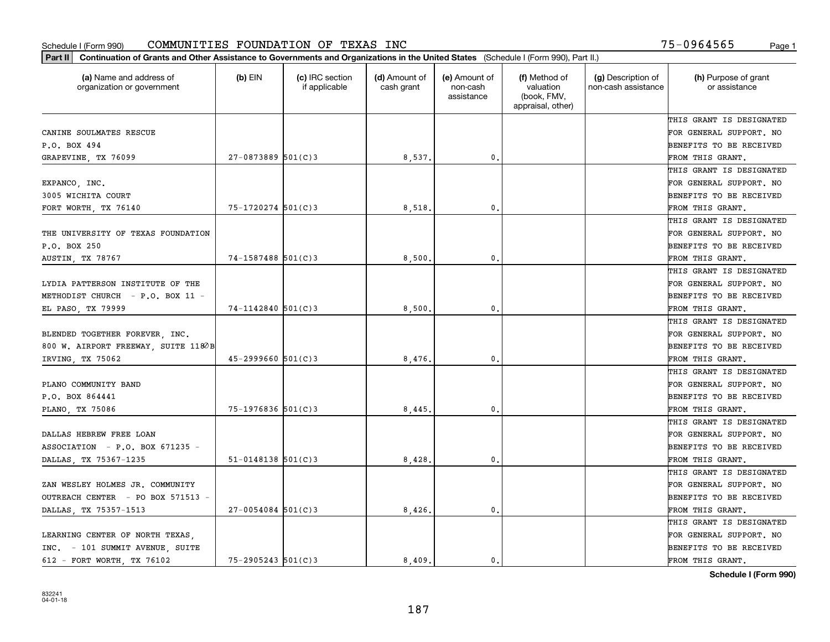| (a) Name and address of<br>organization or government | $(b)$ EIN                | (c) IRC section<br>if applicable | (d) Amount of<br>cash grant | (e) Amount of<br>non-cash<br>assistance | (f) Method of<br>valuation<br>(book, FMV,<br>appraisal, other) | (g) Description of<br>non-cash assistance | (h) Purpose of grant<br>or assistance |
|-------------------------------------------------------|--------------------------|----------------------------------|-----------------------------|-----------------------------------------|----------------------------------------------------------------|-------------------------------------------|---------------------------------------|
|                                                       |                          |                                  |                             |                                         |                                                                |                                           | THIS GRANT IS DESIGNATED              |
| CANINE SOULMATES RESCUE                               |                          |                                  |                             |                                         |                                                                |                                           | FOR GENERAL SUPPORT. NO               |
| P.O. BOX 494                                          |                          |                                  |                             |                                         |                                                                |                                           | BENEFITS TO BE RECEIVED               |
| GRAPEVINE, TX 76099                                   | $27 - 0873889$ 501(C)3   |                                  | 8,537.                      | 0.                                      |                                                                |                                           | FROM THIS GRANT.                      |
|                                                       |                          |                                  |                             |                                         |                                                                |                                           | THIS GRANT IS DESIGNATED              |
| EXPANCO, INC.                                         |                          |                                  |                             |                                         |                                                                |                                           | FOR GENERAL SUPPORT. NO               |
| 3005 WICHITA COURT                                    |                          |                                  |                             |                                         |                                                                |                                           | BENEFITS TO BE RECEIVED               |
| FORT WORTH, TX 76140                                  | 75-1720274 501(C)3       |                                  | 8,518                       | $\mathbf{0}$                            |                                                                |                                           | FROM THIS GRANT.                      |
|                                                       |                          |                                  |                             |                                         |                                                                |                                           | THIS GRANT IS DESIGNATED              |
| THE UNIVERSITY OF TEXAS FOUNDATION                    |                          |                                  |                             |                                         |                                                                |                                           | FOR GENERAL SUPPORT. NO               |
| P.O. BOX 250                                          |                          |                                  |                             |                                         |                                                                |                                           | BENEFITS TO BE RECEIVED               |
| AUSTIN, TX 78767                                      | 74-1587488 501(C)3       |                                  | 8,500.                      | $\mathbf{0}$ .                          |                                                                |                                           | FROM THIS GRANT.                      |
|                                                       |                          |                                  |                             |                                         |                                                                |                                           | THIS GRANT IS DESIGNATED              |
| LYDIA PATTERSON INSTITUTE OF THE                      |                          |                                  |                             |                                         |                                                                |                                           | FOR GENERAL SUPPORT. NO               |
| METHODIST CHURCH - P.O. BOX 11 -                      |                          |                                  |                             |                                         |                                                                |                                           | BENEFITS TO BE RECEIVED               |
| EL PASO, TX 79999                                     | $74 - 1142840$ 501(C)3   |                                  | 8,500                       | 0.                                      |                                                                |                                           | FROM THIS GRANT.                      |
|                                                       |                          |                                  |                             |                                         |                                                                |                                           | THIS GRANT IS DESIGNATED              |
| BLENDED TOGETHER FOREVER INC.                         |                          |                                  |                             |                                         |                                                                |                                           | FOR GENERAL SUPPORT. NO               |
| 800 W. AIRPORT FREEWAY, SUITE 1180B                   |                          |                                  |                             |                                         |                                                                |                                           | BENEFITS TO BE RECEIVED               |
| IRVING, TX 75062                                      | $45 - 2999660$ 501(C)3   |                                  | 8,476.                      | 0.                                      |                                                                |                                           | FROM THIS GRANT.                      |
|                                                       |                          |                                  |                             |                                         |                                                                |                                           | THIS GRANT IS DESIGNATED              |
| PLANO COMMUNITY BAND                                  |                          |                                  |                             |                                         |                                                                |                                           | FOR GENERAL SUPPORT. NO               |
| P.O. BOX 864441                                       |                          |                                  |                             |                                         |                                                                |                                           | BENEFITS TO BE RECEIVED               |
| PLANO, TX 75086                                       | $75 - 1976836$ 501(C)3   |                                  | 8,445                       | $\mathbf{0}$                            |                                                                |                                           | FROM THIS GRANT.                      |
|                                                       |                          |                                  |                             |                                         |                                                                |                                           | THIS GRANT IS DESIGNATED              |
| DALLAS HEBREW FREE LOAN                               |                          |                                  |                             |                                         |                                                                |                                           | FOR GENERAL SUPPORT. NO               |
| ASSOCIATION - P.O. BOX 671235 -                       |                          |                                  |                             |                                         |                                                                |                                           | BENEFITS TO BE RECEIVED               |
| DALLAS, TX 75367-1235                                 | $51 - 0148138$ $501(C)3$ |                                  | 8,428                       | 0.                                      |                                                                |                                           | FROM THIS GRANT.                      |
|                                                       |                          |                                  |                             |                                         |                                                                |                                           | THIS GRANT IS DESIGNATED              |
| ZAN WESLEY HOLMES JR. COMMUNITY                       |                          |                                  |                             |                                         |                                                                |                                           | FOR GENERAL SUPPORT. NO               |
| OUTREACH CENTER - PO BOX 571513 -                     |                          |                                  |                             |                                         |                                                                |                                           | BENEFITS TO BE RECEIVED               |
| DALLAS, TX 75357-1513                                 | $27 - 0054084$ 501(C)3   |                                  | 8,426.                      | $\mathbf{0}$ .                          |                                                                |                                           | FROM THIS GRANT.                      |
|                                                       |                          |                                  |                             |                                         |                                                                |                                           | THIS GRANT IS DESIGNATED              |
| LEARNING CENTER OF NORTH TEXAS.                       |                          |                                  |                             |                                         |                                                                |                                           | FOR GENERAL SUPPORT. NO               |
| INC. - 101 SUMMIT AVENUE, SUITE                       |                          |                                  |                             |                                         |                                                                |                                           | BENEFITS TO BE RECEIVED               |
| 612 - FORT WORTH, TX 76102                            | $75 - 2905243$ 501(C)3   |                                  | 8.409.                      | 0.                                      |                                                                |                                           | FROM THIS GRANT.                      |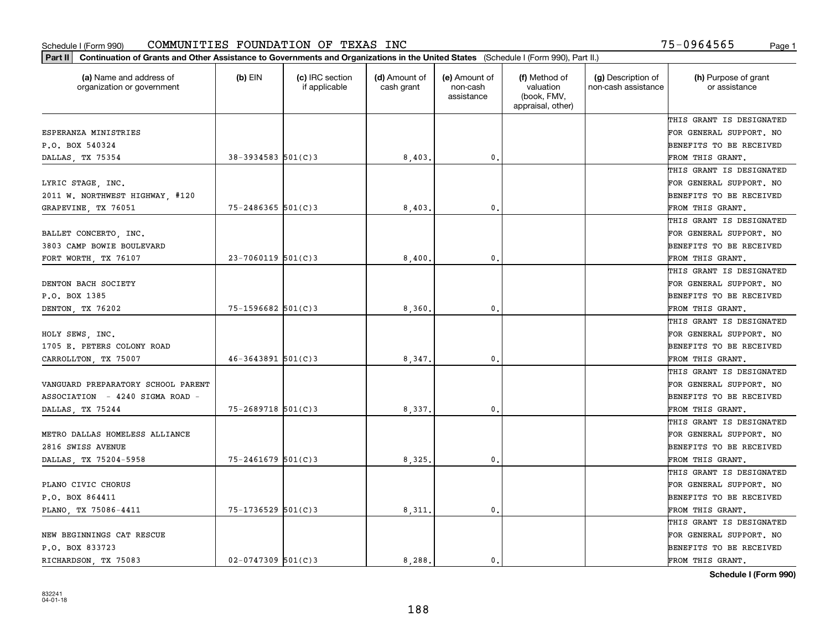| Part II   Continuation of Grants and Other Assistance to Governments and Organizations in the United States (Schedule I (Form 990), Part II.) |                         |                                  |                             |                                         |                                                                |                                           |                                       |
|-----------------------------------------------------------------------------------------------------------------------------------------------|-------------------------|----------------------------------|-----------------------------|-----------------------------------------|----------------------------------------------------------------|-------------------------------------------|---------------------------------------|
| (a) Name and address of<br>organization or government                                                                                         | $(b)$ EIN               | (c) IRC section<br>if applicable | (d) Amount of<br>cash grant | (e) Amount of<br>non-cash<br>assistance | (f) Method of<br>valuation<br>(book, FMV,<br>appraisal, other) | (g) Description of<br>non-cash assistance | (h) Purpose of grant<br>or assistance |
|                                                                                                                                               |                         |                                  |                             |                                         |                                                                |                                           | THIS GRANT IS DESIGNATED              |
| ESPERANZA MINISTRIES                                                                                                                          |                         |                                  |                             |                                         |                                                                |                                           | FOR GENERAL SUPPORT. NO               |
| P.O. BOX 540324                                                                                                                               |                         |                                  |                             |                                         |                                                                |                                           | BENEFITS TO BE RECEIVED               |
| DALLAS, TX 75354                                                                                                                              | $38 - 3934583$ 501(C) 3 |                                  | 8,403.                      | 0.                                      |                                                                |                                           | FROM THIS GRANT.                      |
|                                                                                                                                               |                         |                                  |                             |                                         |                                                                |                                           | THIS GRANT IS DESIGNATED              |
| LYRIC STAGE, INC.                                                                                                                             |                         |                                  |                             |                                         |                                                                |                                           | FOR GENERAL SUPPORT. NO               |
| 2011 W. NORTHWEST HIGHWAY, #120                                                                                                               |                         |                                  |                             |                                         |                                                                |                                           | BENEFITS TO BE RECEIVED               |
| GRAPEVINE, TX 76051                                                                                                                           | $75 - 2486365$ 501(C)3  |                                  | 8,403                       | 0.                                      |                                                                |                                           | FROM THIS GRANT.                      |
|                                                                                                                                               |                         |                                  |                             |                                         |                                                                |                                           | THIS GRANT IS DESIGNATED              |
| BALLET CONCERTO, INC.                                                                                                                         |                         |                                  |                             |                                         |                                                                |                                           | FOR GENERAL SUPPORT. NO               |
| 3803 CAMP BOWIE BOULEVARD                                                                                                                     |                         |                                  |                             |                                         |                                                                |                                           | BENEFITS TO BE RECEIVED               |
| FORT WORTH, TX 76107                                                                                                                          | $23 - 7060119$ 501(C)3  |                                  | 8,400.                      | $\mathfrak{o}$ .                        |                                                                |                                           | FROM THIS GRANT.                      |
|                                                                                                                                               |                         |                                  |                             |                                         |                                                                |                                           | THIS GRANT IS DESIGNATED              |
| DENTON BACH SOCIETY                                                                                                                           |                         |                                  |                             |                                         |                                                                |                                           | FOR GENERAL SUPPORT. NO               |
| P.O. BOX 1385                                                                                                                                 |                         |                                  |                             |                                         |                                                                |                                           | <b>BENEFITS TO BE RECEIVED</b>        |
| DENTON, TX 76202                                                                                                                              | 75-1596682 501(C)3      |                                  | 8,360.                      | $\mathbf{0}$ .                          |                                                                |                                           | FROM THIS GRANT.                      |
|                                                                                                                                               |                         |                                  |                             |                                         |                                                                |                                           | THIS GRANT IS DESIGNATED              |
| HOLY SEWS, INC.                                                                                                                               |                         |                                  |                             |                                         |                                                                |                                           | FOR GENERAL SUPPORT. NO               |
| 1705 E. PETERS COLONY ROAD                                                                                                                    |                         |                                  |                             |                                         |                                                                |                                           | BENEFITS TO BE RECEIVED               |
| CARROLLTON, TX 75007                                                                                                                          | $46 - 3643891$ 501(C)3  |                                  | 8,347.                      | $\mathbf{0}$                            |                                                                |                                           | FROM THIS GRANT.                      |
|                                                                                                                                               |                         |                                  |                             |                                         |                                                                |                                           | THIS GRANT IS DESIGNATED              |
| VANGUARD PREPARATORY SCHOOL PARENT                                                                                                            |                         |                                  |                             |                                         |                                                                |                                           | FOR GENERAL SUPPORT. NO               |
| ASSOCIATION - 4240 SIGMA ROAD -                                                                                                               |                         |                                  |                             |                                         |                                                                |                                           | BENEFITS TO BE RECEIVED               |
| DALLAS, TX 75244                                                                                                                              | $75 - 2689718$ 501(C)3  |                                  | 8,337.                      | 0.                                      |                                                                |                                           | FROM THIS GRANT.                      |
|                                                                                                                                               |                         |                                  |                             |                                         |                                                                |                                           | THIS GRANT IS DESIGNATED              |
| METRO DALLAS HOMELESS ALLIANCE                                                                                                                |                         |                                  |                             |                                         |                                                                |                                           | FOR GENERAL SUPPORT. NO               |
| 2816 SWISS AVENUE                                                                                                                             |                         |                                  |                             |                                         |                                                                |                                           | BENEFITS TO BE RECEIVED               |
| DALLAS, TX 75204-5958                                                                                                                         | $75 - 2461679$ 501(C)3  |                                  | 8,325                       | $\mathfrak{o}$ .                        |                                                                |                                           | FROM THIS GRANT.                      |
|                                                                                                                                               |                         |                                  |                             |                                         |                                                                |                                           | THIS GRANT IS DESIGNATED              |
| PLANO CIVIC CHORUS                                                                                                                            |                         |                                  |                             |                                         |                                                                |                                           | FOR GENERAL SUPPORT. NO               |
| P.O. BOX 864411                                                                                                                               |                         |                                  |                             |                                         |                                                                |                                           | BENEFITS TO BE RECEIVED               |
| PLANO, TX 75086-4411                                                                                                                          | 75-1736529 501(C)3      |                                  | 8,311.                      | $\mathbf{0}$ .                          |                                                                |                                           | FROM THIS GRANT.                      |
|                                                                                                                                               |                         |                                  |                             |                                         |                                                                |                                           | THIS GRANT IS DESIGNATED              |
| NEW BEGINNINGS CAT RESCUE                                                                                                                     |                         |                                  |                             |                                         |                                                                |                                           | FOR GENERAL SUPPORT. NO               |
| P.O. BOX 833723                                                                                                                               |                         |                                  |                             |                                         |                                                                |                                           | <b>BENEFITS TO BE RECEIVED</b>        |
| RICHARDSON, TX 75083                                                                                                                          | $02 - 0747309$ 501(C)3  |                                  | 8.288.                      | $\mathbf{0}$ .                          |                                                                |                                           | FROM THIS GRANT.                      |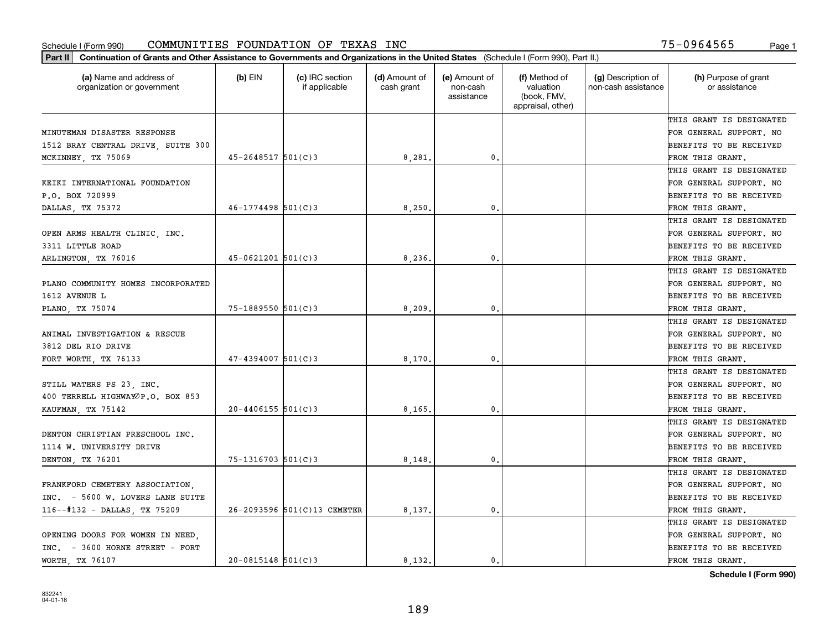| Part II   Continuation of Grants and Other Assistance to Governments and Organizations in the United States (Schedule I (Form 990), Part II.) |                         |                                  |                             |                                         |                                                                |                                           |                                       |
|-----------------------------------------------------------------------------------------------------------------------------------------------|-------------------------|----------------------------------|-----------------------------|-----------------------------------------|----------------------------------------------------------------|-------------------------------------------|---------------------------------------|
| (a) Name and address of<br>organization or government                                                                                         | $(b)$ EIN               | (c) IRC section<br>if applicable | (d) Amount of<br>cash grant | (e) Amount of<br>non-cash<br>assistance | (f) Method of<br>valuation<br>(book, FMV,<br>appraisal, other) | (g) Description of<br>non-cash assistance | (h) Purpose of grant<br>or assistance |
|                                                                                                                                               |                         |                                  |                             |                                         |                                                                |                                           | THIS GRANT IS DESIGNATED              |
| MINUTEMAN DISASTER RESPONSE                                                                                                                   |                         |                                  |                             |                                         |                                                                |                                           | FOR GENERAL SUPPORT. NO               |
| 1512 BRAY CENTRAL DRIVE, SUITE 300                                                                                                            |                         |                                  |                             |                                         |                                                                |                                           | BENEFITS TO BE RECEIVED               |
| MCKINNEY, TX 75069                                                                                                                            | $45 - 2648517$ 501(C) 3 |                                  | 8,281.                      | 0.                                      |                                                                |                                           | FROM THIS GRANT.                      |
|                                                                                                                                               |                         |                                  |                             |                                         |                                                                |                                           | THIS GRANT IS DESIGNATED              |
| KEIKI INTERNATIONAL FOUNDATION                                                                                                                |                         |                                  |                             |                                         |                                                                |                                           | FOR GENERAL SUPPORT. NO               |
| P.O. BOX 720999                                                                                                                               |                         |                                  |                             |                                         |                                                                |                                           | BENEFITS TO BE RECEIVED               |
| DALLAS, TX 75372                                                                                                                              | $46 - 1774498$ 501(C)3  |                                  | 8,250                       | 0.                                      |                                                                |                                           | FROM THIS GRANT.                      |
|                                                                                                                                               |                         |                                  |                             |                                         |                                                                |                                           | THIS GRANT IS DESIGNATED              |
| OPEN ARMS HEALTH CLINIC, INC.                                                                                                                 |                         |                                  |                             |                                         |                                                                |                                           | FOR GENERAL SUPPORT. NO               |
| 3311 LITTLE ROAD                                                                                                                              |                         |                                  |                             |                                         |                                                                |                                           | BENEFITS TO BE RECEIVED               |
| ARLINGTON, TX 76016                                                                                                                           | $45 - 0621201$ 501(C)3  |                                  | 8,236.                      | 0.                                      |                                                                |                                           | FROM THIS GRANT.                      |
|                                                                                                                                               |                         |                                  |                             |                                         |                                                                |                                           | THIS GRANT IS DESIGNATED              |
| PLANO COMMUNITY HOMES INCORPORATED                                                                                                            |                         |                                  |                             |                                         |                                                                |                                           | FOR GENERAL SUPPORT. NO               |
| 1612 AVENUE L                                                                                                                                 |                         |                                  |                             |                                         |                                                                |                                           | <b>BENEFITS TO BE RECEIVED</b>        |
| PLANO, TX 75074                                                                                                                               | $75 - 1889550$ 501(C)3  |                                  | 8,209                       | 0.                                      |                                                                |                                           | FROM THIS GRANT.                      |
|                                                                                                                                               |                         |                                  |                             |                                         |                                                                |                                           | THIS GRANT IS DESIGNATED              |
| ANIMAL INVESTIGATION & RESCUE                                                                                                                 |                         |                                  |                             |                                         |                                                                |                                           | FOR GENERAL SUPPORT. NO               |
| 3812 DEL RIO DRIVE                                                                                                                            |                         |                                  |                             |                                         |                                                                |                                           | BENEFITS TO BE RECEIVED               |
| FORT WORTH, TX 76133                                                                                                                          | $47 - 4394007$ 501(C)3  |                                  | 8,170                       | 0.                                      |                                                                |                                           | FROM THIS GRANT.                      |
|                                                                                                                                               |                         |                                  |                             |                                         |                                                                |                                           | THIS GRANT IS DESIGNATED              |
| STILL WATERS PS 23, INC.                                                                                                                      |                         |                                  |                             |                                         |                                                                |                                           | FOR GENERAL SUPPORT. NO               |
| 400 TERRELL HIGHWAYOP.O. BOX 853                                                                                                              |                         |                                  |                             |                                         |                                                                |                                           | BENEFITS TO BE RECEIVED               |
| KAUFMAN, TX 75142                                                                                                                             | $20 - 4406155$ 501(C)3  |                                  | 8, 165,                     | 0.                                      |                                                                |                                           | FROM THIS GRANT.                      |
|                                                                                                                                               |                         |                                  |                             |                                         |                                                                |                                           | THIS GRANT IS DESIGNATED              |
| DENTON CHRISTIAN PRESCHOOL INC.                                                                                                               |                         |                                  |                             |                                         |                                                                |                                           | FOR GENERAL SUPPORT. NO               |
| 1114 W. UNIVERSITY DRIVE                                                                                                                      |                         |                                  |                             |                                         |                                                                |                                           | BENEFITS TO BE RECEIVED               |
| DENTON, TX 76201                                                                                                                              | $75 - 1316703$ 501(C)3  |                                  | 8,148                       | 0.                                      |                                                                |                                           | FROM THIS GRANT.                      |
|                                                                                                                                               |                         |                                  |                             |                                         |                                                                |                                           | THIS GRANT IS DESIGNATED              |
| FRANKFORD CEMETERY ASSOCIATION,                                                                                                               |                         |                                  |                             |                                         |                                                                |                                           | FOR GENERAL SUPPORT. NO               |
| INC. - 5600 W. LOVERS LANE SUITE                                                                                                              |                         |                                  |                             |                                         |                                                                |                                           | BENEFITS TO BE RECEIVED               |
| 116--#132 - DALLAS, TX 75209                                                                                                                  |                         | 26-2093596 501(C)13 CEMETER      | 8,137.                      | 0.                                      |                                                                |                                           | FROM THIS GRANT.                      |
|                                                                                                                                               |                         |                                  |                             |                                         |                                                                |                                           | THIS GRANT IS DESIGNATED              |
| OPENING DOORS FOR WOMEN IN NEED.                                                                                                              |                         |                                  |                             |                                         |                                                                |                                           | FOR GENERAL SUPPORT. NO               |
| INC. - 3600 HORNE STREET - FORT                                                                                                               |                         |                                  |                             |                                         |                                                                |                                           | <b>BENEFITS TO BE RECEIVED</b>        |
| WORTH TX 76107                                                                                                                                | $20 - 0815148$ 501(C)3  |                                  | 8.132.                      | $\mathbf{0}$ .                          |                                                                |                                           | FROM THIS GRANT.                      |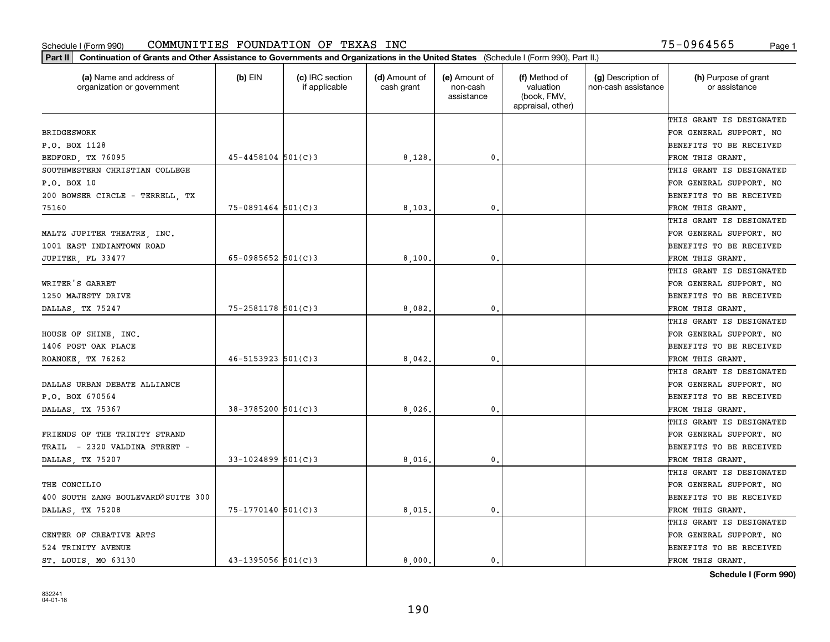| Part II   Continuation of Grants and Other Assistance to Governments and Organizations in the United States (Schedule I (Form 990), Part II.) |                          |                                  |                             |                                         |                                                                |                                           |                                       |
|-----------------------------------------------------------------------------------------------------------------------------------------------|--------------------------|----------------------------------|-----------------------------|-----------------------------------------|----------------------------------------------------------------|-------------------------------------------|---------------------------------------|
| (a) Name and address of<br>organization or government                                                                                         | $(b)$ EIN                | (c) IRC section<br>if applicable | (d) Amount of<br>cash grant | (e) Amount of<br>non-cash<br>assistance | (f) Method of<br>valuation<br>(book, FMV,<br>appraisal, other) | (g) Description of<br>non-cash assistance | (h) Purpose of grant<br>or assistance |
|                                                                                                                                               |                          |                                  |                             |                                         |                                                                |                                           | THIS GRANT IS DESIGNATED              |
| <b>BRIDGESWORK</b>                                                                                                                            |                          |                                  |                             |                                         |                                                                |                                           | FOR GENERAL SUPPORT. NO               |
| P.O. BOX 1128                                                                                                                                 |                          |                                  |                             |                                         |                                                                |                                           | BENEFITS TO BE RECEIVED               |
| BEDFORD, TX 76095                                                                                                                             | $45 - 4458104$ $501(C)3$ |                                  | 8,128.                      | 0.                                      |                                                                |                                           | FROM THIS GRANT.                      |
| SOUTHWESTERN CHRISTIAN COLLEGE                                                                                                                |                          |                                  |                             |                                         |                                                                |                                           | THIS GRANT IS DESIGNATED              |
| P.O. BOX 10                                                                                                                                   |                          |                                  |                             |                                         |                                                                |                                           | FOR GENERAL SUPPORT. NO               |
| 200 BOWSER CIRCLE - TERRELL, TX                                                                                                               |                          |                                  |                             |                                         |                                                                |                                           | BENEFITS TO BE RECEIVED               |
| 75160                                                                                                                                         | $75 - 0891464$ 501(C)3   |                                  | 8,103,                      | 0.                                      |                                                                |                                           | FROM THIS GRANT.                      |
|                                                                                                                                               |                          |                                  |                             |                                         |                                                                |                                           | THIS GRANT IS DESIGNATED              |
| MALTZ JUPITER THEATRE, INC.                                                                                                                   |                          |                                  |                             |                                         |                                                                |                                           | FOR GENERAL SUPPORT. NO               |
| 1001 EAST INDIANTOWN ROAD                                                                                                                     |                          |                                  |                             |                                         |                                                                |                                           | BENEFITS TO BE RECEIVED               |
| JUPITER, FL 33477                                                                                                                             | 65-0985652 $501(C)$ 3    |                                  | 8,100                       | 0.                                      |                                                                |                                           | FROM THIS GRANT.                      |
|                                                                                                                                               |                          |                                  |                             |                                         |                                                                |                                           | THIS GRANT IS DESIGNATED              |
| WRITER'S GARRET                                                                                                                               |                          |                                  |                             |                                         |                                                                |                                           | FOR GENERAL SUPPORT. NO               |
| 1250 MAJESTY DRIVE                                                                                                                            |                          |                                  |                             |                                         |                                                                |                                           | <b>BENEFITS TO BE RECEIVED</b>        |
| DALLAS, TX 75247                                                                                                                              | $75 - 2581178$ 501(C)3   |                                  | 8,082.                      | 0.                                      |                                                                |                                           | FROM THIS GRANT.                      |
|                                                                                                                                               |                          |                                  |                             |                                         |                                                                |                                           | THIS GRANT IS DESIGNATED              |
| HOUSE OF SHINE, INC.                                                                                                                          |                          |                                  |                             |                                         |                                                                |                                           | FOR GENERAL SUPPORT. NO               |
| 1406 POST OAK PLACE                                                                                                                           |                          |                                  |                             |                                         |                                                                |                                           | BENEFITS TO BE RECEIVED               |
| ROANOKE TX 76262                                                                                                                              | $46 - 5153923$ 501(C)3   |                                  | 8,042,                      | 0.                                      |                                                                |                                           | FROM THIS GRANT.                      |
|                                                                                                                                               |                          |                                  |                             |                                         |                                                                |                                           | THIS GRANT IS DESIGNATED              |
| DALLAS URBAN DEBATE ALLIANCE                                                                                                                  |                          |                                  |                             |                                         |                                                                |                                           | FOR GENERAL SUPPORT. NO               |
| P.O. BOX 670564                                                                                                                               |                          |                                  |                             |                                         |                                                                |                                           | BENEFITS TO BE RECEIVED               |
| DALLAS, TX 75367                                                                                                                              | $38 - 3785200$ 501(C) 3  |                                  | 8,026,                      | 0.                                      |                                                                |                                           | FROM THIS GRANT.                      |
|                                                                                                                                               |                          |                                  |                             |                                         |                                                                |                                           | THIS GRANT IS DESIGNATED              |
| FRIENDS OF THE TRINITY STRAND                                                                                                                 |                          |                                  |                             |                                         |                                                                |                                           | FOR GENERAL SUPPORT. NO               |
| TRAIL - 2320 VALDINA STREET -                                                                                                                 |                          |                                  |                             |                                         |                                                                |                                           | BENEFITS TO BE RECEIVED               |
| DALLAS, TX 75207                                                                                                                              | $33 - 1024899$ 501(C)3   |                                  | 8,016,                      | $\mathfrak{o}$ .                        |                                                                |                                           | FROM THIS GRANT.                      |
|                                                                                                                                               |                          |                                  |                             |                                         |                                                                |                                           | THIS GRANT IS DESIGNATED              |
| THE CONCILIO                                                                                                                                  |                          |                                  |                             |                                         |                                                                |                                           | FOR GENERAL SUPPORT. NO               |
| 400 SOUTH ZANG BOULEVARDO SUITE 300                                                                                                           |                          |                                  |                             |                                         |                                                                |                                           | BENEFITS TO BE RECEIVED               |
| DALLAS, TX 75208                                                                                                                              | 75-1770140 501(C)3       |                                  | 8,015.                      | 0.                                      |                                                                |                                           | FROM THIS GRANT.                      |
|                                                                                                                                               |                          |                                  |                             |                                         |                                                                |                                           | THIS GRANT IS DESIGNATED              |
| CENTER OF CREATIVE ARTS                                                                                                                       |                          |                                  |                             |                                         |                                                                |                                           | FOR GENERAL SUPPORT. NO               |
| 524 TRINITY AVENUE                                                                                                                            |                          |                                  |                             |                                         |                                                                |                                           | <b>BENEFITS TO BE RECEIVED</b>        |
|                                                                                                                                               |                          |                                  |                             |                                         |                                                                |                                           |                                       |
| ST. LOUIS, MO 63130                                                                                                                           | $43 - 1395056$ 501(C)3   |                                  | 8.000.                      | $\mathbf{0}$ .                          |                                                                |                                           | FROM THIS GRANT.                      |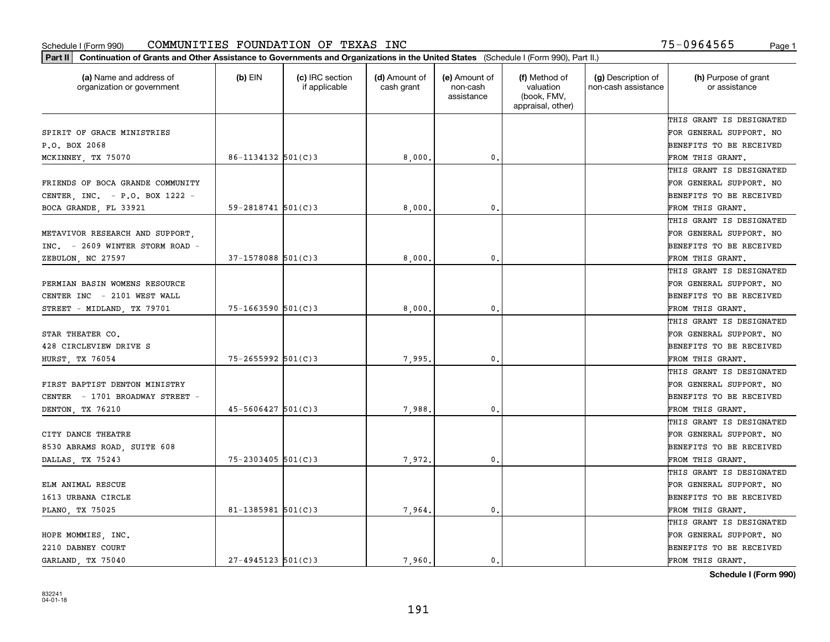| (a) Name and address of<br>organization or government | $(b)$ EIN                | (c) IRC section<br>if applicable | (d) Amount of<br>cash grant | (e) Amount of<br>non-cash<br>assistance | (f) Method of<br>valuation<br>(book, FMV,<br>appraisal, other) | (g) Description of<br>non-cash assistance | (h) Purpose of grant<br>or assistance |
|-------------------------------------------------------|--------------------------|----------------------------------|-----------------------------|-----------------------------------------|----------------------------------------------------------------|-------------------------------------------|---------------------------------------|
|                                                       |                          |                                  |                             |                                         |                                                                |                                           | THIS GRANT IS DESIGNATED              |
| SPIRIT OF GRACE MINISTRIES                            |                          |                                  |                             |                                         |                                                                |                                           | FOR GENERAL SUPPORT. NO               |
| P.O. BOX 2068                                         |                          |                                  |                             |                                         |                                                                |                                           | BENEFITS TO BE RECEIVED               |
| MCKINNEY, TX 75070                                    | $86 - 1134132$ $501(C)3$ |                                  | 8,000,                      | $\mathfrak{o}$ .                        |                                                                |                                           | FROM THIS GRANT.                      |
|                                                       |                          |                                  |                             |                                         |                                                                |                                           | THIS GRANT IS DESIGNATED              |
| FRIENDS OF BOCA GRANDE COMMUNITY                      |                          |                                  |                             |                                         |                                                                |                                           | FOR GENERAL SUPPORT. NO               |
| CENTER, INC. - P.O. BOX 1222 -                        |                          |                                  |                             |                                         |                                                                |                                           | BENEFITS TO BE RECEIVED               |
| BOCA GRANDE, FL 33921                                 | $59 - 2818741$ $501(C)3$ |                                  | 8,000                       | $\mathbf{0}$                            |                                                                |                                           | FROM THIS GRANT.                      |
|                                                       |                          |                                  |                             |                                         |                                                                |                                           | THIS GRANT IS DESIGNATED              |
| METAVIVOR RESEARCH AND SUPPORT,                       |                          |                                  |                             |                                         |                                                                |                                           | FOR GENERAL SUPPORT. NO               |
| $INC. = 2609$ WINTER STORM ROAD -                     |                          |                                  |                             |                                         |                                                                |                                           | BENEFITS TO BE RECEIVED               |
| ZEBULON, NC 27597                                     | $37 - 1578088$ 501(C)3   |                                  | 8,000                       | $\mathbf{0}$ .                          |                                                                |                                           | FROM THIS GRANT.                      |
|                                                       |                          |                                  |                             |                                         |                                                                |                                           | THIS GRANT IS DESIGNATED              |
| PERMIAN BASIN WOMENS RESOURCE                         |                          |                                  |                             |                                         |                                                                |                                           | FOR GENERAL SUPPORT. NO               |
| CENTER INC - 2101 WEST WALL                           |                          |                                  |                             |                                         |                                                                |                                           | BENEFITS TO BE RECEIVED               |
| STREET - MIDLAND, TX 79701                            | $75 - 1663590$ 501(C)3   |                                  | 8,000                       | $\mathbf{0}$                            |                                                                |                                           | FROM THIS GRANT.                      |
|                                                       |                          |                                  |                             |                                         |                                                                |                                           | THIS GRANT IS DESIGNATED              |
| STAR THEATER CO.                                      |                          |                                  |                             |                                         |                                                                |                                           | FOR GENERAL SUPPORT. NO               |
| 428 CIRCLEVIEW DRIVE S                                |                          |                                  |                             |                                         |                                                                |                                           | BENEFITS TO BE RECEIVED               |
| HURST, TX 76054                                       | $75 - 2655992$ 501(C)3   |                                  | 7,995                       | $\mathbf{0}$                            |                                                                |                                           | FROM THIS GRANT.                      |
|                                                       |                          |                                  |                             |                                         |                                                                |                                           | THIS GRANT IS DESIGNATED              |
| FIRST BAPTIST DENTON MINISTRY                         |                          |                                  |                             |                                         |                                                                |                                           | FOR GENERAL SUPPORT. NO               |
| CENTER - 1701 BROADWAY STREET -                       |                          |                                  |                             |                                         |                                                                |                                           | BENEFITS TO BE RECEIVED               |
| DENTON, TX 76210                                      | $45 - 5606427$ 501(C)3   |                                  | 7,988                       | $\mathbf{0}$                            |                                                                |                                           | FROM THIS GRANT.                      |
|                                                       |                          |                                  |                             |                                         |                                                                |                                           | THIS GRANT IS DESIGNATED              |
| CITY DANCE THEATRE                                    |                          |                                  |                             |                                         |                                                                |                                           | FOR GENERAL SUPPORT. NO               |
| 8530 ABRAMS ROAD, SUITE 608                           |                          |                                  |                             |                                         |                                                                |                                           | BENEFITS TO BE RECEIVED               |
| DALLAS, TX 75243                                      | $75 - 2303405$ 501(C)3   |                                  | 7,972.                      | $\mathbf{0}$ .                          |                                                                |                                           | FROM THIS GRANT.                      |
|                                                       |                          |                                  |                             |                                         |                                                                |                                           | THIS GRANT IS DESIGNATED              |
| ELM ANIMAL RESCUE                                     |                          |                                  |                             |                                         |                                                                |                                           | FOR GENERAL SUPPORT. NO               |
| 1613 URBANA CIRCLE                                    |                          |                                  |                             |                                         |                                                                |                                           | BENEFITS TO BE RECEIVED               |
| PLANO, TX 75025                                       | $81 - 1385981$ 501(C)3   |                                  | 7,964.                      | $\mathbf{0}$ .                          |                                                                |                                           | FROM THIS GRANT.                      |
|                                                       |                          |                                  |                             |                                         |                                                                |                                           | THIS GRANT IS DESIGNATED              |
| HOPE MOMMIES, INC.                                    |                          |                                  |                             |                                         |                                                                |                                           | FOR GENERAL SUPPORT. NO               |
| 2210 DABNEY COURT                                     |                          |                                  |                             |                                         |                                                                |                                           | BENEFITS TO BE RECEIVED               |
| GARLAND, TX 75040                                     | $27 - 4945123$ 501(C)3   |                                  | 7,960.                      | 0.                                      |                                                                |                                           | FROM THIS GRANT.                      |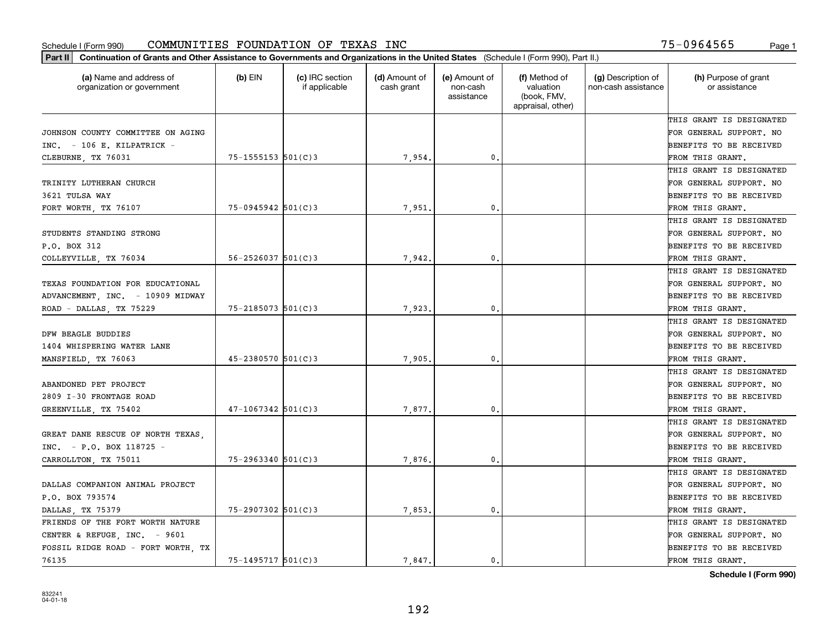| Part II   Continuation of Grants and Other Assistance to Governments and Organizations in the United States (Schedule I (Form 990), Part II.) |                          |                                  |                             |                                         |                                                                |                                           |                                       |
|-----------------------------------------------------------------------------------------------------------------------------------------------|--------------------------|----------------------------------|-----------------------------|-----------------------------------------|----------------------------------------------------------------|-------------------------------------------|---------------------------------------|
| (a) Name and address of<br>organization or government                                                                                         | $(b)$ EIN                | (c) IRC section<br>if applicable | (d) Amount of<br>cash grant | (e) Amount of<br>non-cash<br>assistance | (f) Method of<br>valuation<br>(book, FMV,<br>appraisal, other) | (g) Description of<br>non-cash assistance | (h) Purpose of grant<br>or assistance |
|                                                                                                                                               |                          |                                  |                             |                                         |                                                                |                                           | THIS GRANT IS DESIGNATED              |
| JOHNSON COUNTY COMMITTEE ON AGING                                                                                                             |                          |                                  |                             |                                         |                                                                |                                           | FOR GENERAL SUPPORT. NO               |
| INC. - 106 E. KILPATRICK -                                                                                                                    |                          |                                  |                             |                                         |                                                                |                                           | BENEFITS TO BE RECEIVED               |
| CLEBURNE, TX 76031                                                                                                                            | $75 - 1555153$ $501(C)3$ |                                  | 7,954.                      | 0.                                      |                                                                |                                           | FROM THIS GRANT.                      |
|                                                                                                                                               |                          |                                  |                             |                                         |                                                                |                                           | THIS GRANT IS DESIGNATED              |
| TRINITY LUTHERAN CHURCH                                                                                                                       |                          |                                  |                             |                                         |                                                                |                                           | FOR GENERAL SUPPORT. NO               |
| 3621 TULSA WAY                                                                                                                                |                          |                                  |                             |                                         |                                                                |                                           | BENEFITS TO BE RECEIVED               |
| FORT WORTH, TX 76107                                                                                                                          | $75 - 0945942$ 501(C)3   |                                  | 7,951.                      | 0.                                      |                                                                |                                           | FROM THIS GRANT.                      |
|                                                                                                                                               |                          |                                  |                             |                                         |                                                                |                                           | THIS GRANT IS DESIGNATED              |
| STUDENTS STANDING STRONG                                                                                                                      |                          |                                  |                             |                                         |                                                                |                                           | FOR GENERAL SUPPORT. NO               |
| P.O. BOX 312                                                                                                                                  |                          |                                  |                             |                                         |                                                                |                                           | BENEFITS TO BE RECEIVED               |
| COLLEYVILLE, TX 76034                                                                                                                         | $56 - 2526037$ $501(C)3$ |                                  | 7,942.                      | 0.                                      |                                                                |                                           | FROM THIS GRANT.                      |
|                                                                                                                                               |                          |                                  |                             |                                         |                                                                |                                           | THIS GRANT IS DESIGNATED              |
| TEXAS FOUNDATION FOR EDUCATIONAL                                                                                                              |                          |                                  |                             |                                         |                                                                |                                           | FOR GENERAL SUPPORT. NO               |
| ADVANCEMENT, INC. - 10909 MIDWAY                                                                                                              |                          |                                  |                             |                                         |                                                                |                                           | <b>BENEFITS TO BE RECEIVED</b>        |
| ROAD - DALLAS, TX 75229                                                                                                                       | $75 - 2185073$ 501(C)3   |                                  | 7,923.                      | 0.                                      |                                                                |                                           | FROM THIS GRANT.                      |
|                                                                                                                                               |                          |                                  |                             |                                         |                                                                |                                           | THIS GRANT IS DESIGNATED              |
| DFW BEAGLE BUDDIES                                                                                                                            |                          |                                  |                             |                                         |                                                                |                                           | FOR GENERAL SUPPORT. NO               |
| 1404 WHISPERING WATER LANE                                                                                                                    |                          |                                  |                             |                                         |                                                                |                                           | BENEFITS TO BE RECEIVED               |
| MANSFIELD, TX 76063                                                                                                                           | 45-2380570 501(C)3       |                                  | 7.905.                      | 0.                                      |                                                                |                                           | FROM THIS GRANT.                      |
|                                                                                                                                               |                          |                                  |                             |                                         |                                                                |                                           | THIS GRANT IS DESIGNATED              |
| ABANDONED PET PROJECT                                                                                                                         |                          |                                  |                             |                                         |                                                                |                                           | FOR GENERAL SUPPORT. NO               |
| 2809 I-30 FRONTAGE ROAD                                                                                                                       |                          |                                  |                             |                                         |                                                                |                                           | BENEFITS TO BE RECEIVED               |
| GREENVILLE, TX 75402                                                                                                                          | $47 - 1067342$ 501(C)3   |                                  | 7,877.                      | 0.                                      |                                                                |                                           | FROM THIS GRANT.                      |
|                                                                                                                                               |                          |                                  |                             |                                         |                                                                |                                           | THIS GRANT IS DESIGNATED              |
| GREAT DANE RESCUE OF NORTH TEXAS,                                                                                                             |                          |                                  |                             |                                         |                                                                |                                           | FOR GENERAL SUPPORT. NO               |
| $INC. - P.0. BOX 118725 -$                                                                                                                    |                          |                                  |                             |                                         |                                                                |                                           | BENEFITS TO BE RECEIVED               |
| CARROLLTON, TX 75011                                                                                                                          | $75 - 2963340$ 501(C)3   |                                  | 7,876,                      | 0.                                      |                                                                |                                           | FROM THIS GRANT.                      |
|                                                                                                                                               |                          |                                  |                             |                                         |                                                                |                                           | THIS GRANT IS DESIGNATED              |
| DALLAS COMPANION ANIMAL PROJECT                                                                                                               |                          |                                  |                             |                                         |                                                                |                                           | FOR GENERAL SUPPORT. NO               |
| P.O. BOX 793574                                                                                                                               |                          |                                  |                             |                                         |                                                                |                                           | BENEFITS TO BE RECEIVED               |
| DALLAS, TX 75379                                                                                                                              | 75-2907302 501(C)3       |                                  | 7,853.                      | 0.                                      |                                                                |                                           | FROM THIS GRANT.                      |
| FRIENDS OF THE FORT WORTH NATURE                                                                                                              |                          |                                  |                             |                                         |                                                                |                                           | THIS GRANT IS DESIGNATED              |
| CENTER & REFUGE, INC. - 9601                                                                                                                  |                          |                                  |                             |                                         |                                                                |                                           | FOR GENERAL SUPPORT. NO               |
| FOSSIL RIDGE ROAD - FORT WORTH, TX                                                                                                            |                          |                                  |                             |                                         |                                                                |                                           | <b>BENEFITS TO BE RECEIVED</b>        |
| 76135                                                                                                                                         | $75 - 1495717$ 501(C)3   |                                  | 7.847.                      | $\mathbf{0}$ .                          |                                                                |                                           | FROM THIS GRANT.                      |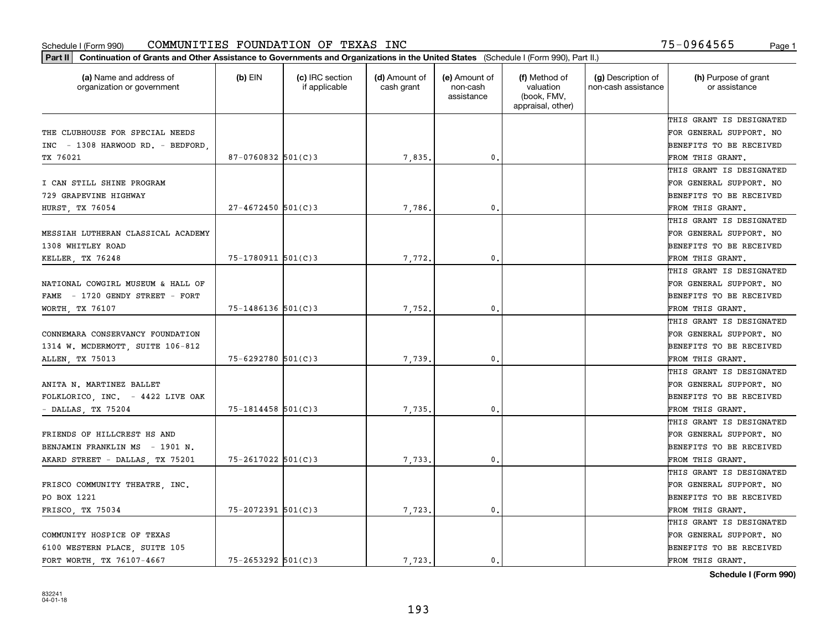| Part II   Continuation of Grants and Other Assistance to Governments and Organizations in the United States (Schedule I (Form 990), Part II.) |                        |                                  |                             |                                         |                                                                |                                           |                                       |
|-----------------------------------------------------------------------------------------------------------------------------------------------|------------------------|----------------------------------|-----------------------------|-----------------------------------------|----------------------------------------------------------------|-------------------------------------------|---------------------------------------|
| (a) Name and address of<br>organization or government                                                                                         | $(b)$ EIN              | (c) IRC section<br>if applicable | (d) Amount of<br>cash grant | (e) Amount of<br>non-cash<br>assistance | (f) Method of<br>valuation<br>(book, FMV,<br>appraisal, other) | (g) Description of<br>non-cash assistance | (h) Purpose of grant<br>or assistance |
|                                                                                                                                               |                        |                                  |                             |                                         |                                                                |                                           | THIS GRANT IS DESIGNATED              |
| THE CLUBHOUSE FOR SPECIAL NEEDS                                                                                                               |                        |                                  |                             |                                         |                                                                |                                           | FOR GENERAL SUPPORT. NO               |
| INC - 1308 HARWOOD RD. - BEDFORD.                                                                                                             |                        |                                  |                             |                                         |                                                                |                                           | <b>BENEFITS TO BE RECEIVED</b>        |
| TX 76021                                                                                                                                      | $87 - 0760832$ 501(C)3 |                                  | 7,835.                      | 0.                                      |                                                                |                                           | FROM THIS GRANT.                      |
|                                                                                                                                               |                        |                                  |                             |                                         |                                                                |                                           | THIS GRANT IS DESIGNATED              |
| I CAN STILL SHINE PROGRAM                                                                                                                     |                        |                                  |                             |                                         |                                                                |                                           | FOR GENERAL SUPPORT. NO               |
| 729 GRAPEVINE HIGHWAY                                                                                                                         |                        |                                  |                             |                                         |                                                                |                                           | <b>BENEFITS TO BE RECEIVED</b>        |
| HURST, TX 76054                                                                                                                               | $27 - 4672450$ 501(C)3 |                                  | 7,786.                      | 0.                                      |                                                                |                                           | FROM THIS GRANT.                      |
|                                                                                                                                               |                        |                                  |                             |                                         |                                                                |                                           | THIS GRANT IS DESIGNATED              |
| MESSIAH LUTHERAN CLASSICAL ACADEMY                                                                                                            |                        |                                  |                             |                                         |                                                                |                                           | FOR GENERAL SUPPORT. NO               |
| 1308 WHITLEY ROAD                                                                                                                             |                        |                                  |                             |                                         |                                                                |                                           | BENEFITS TO BE RECEIVED               |
| KELLER, TX 76248                                                                                                                              | 75-1780911 501(C)3     |                                  | 7,772.                      | $\mathfrak{o}$ .                        |                                                                |                                           | FROM THIS GRANT.                      |
|                                                                                                                                               |                        |                                  |                             |                                         |                                                                |                                           | THIS GRANT IS DESIGNATED              |
| NATIONAL COWGIRL MUSEUM & HALL OF                                                                                                             |                        |                                  |                             |                                         |                                                                |                                           | FOR GENERAL SUPPORT. NO               |
| FAME - 1720 GENDY STREET - FORT                                                                                                               |                        |                                  |                             |                                         |                                                                |                                           | <b>BENEFITS TO BE RECEIVED</b>        |
| WORTH, TX 76107                                                                                                                               | 75-1486136 501(C)3     |                                  | 7,752.                      | 0.                                      |                                                                |                                           | FROM THIS GRANT.                      |
|                                                                                                                                               |                        |                                  |                             |                                         |                                                                |                                           | THIS GRANT IS DESIGNATED              |
| CONNEMARA CONSERVANCY FOUNDATION                                                                                                              |                        |                                  |                             |                                         |                                                                |                                           | FOR GENERAL SUPPORT. NO               |
| 1314 W. MCDERMOTT, SUITE 106-812                                                                                                              |                        |                                  |                             |                                         |                                                                |                                           | BENEFITS TO BE RECEIVED               |
| ALLEN, TX 75013                                                                                                                               | $75 - 6292780$ 501(C)3 |                                  | 7,739                       | 0.                                      |                                                                |                                           | FROM THIS GRANT.                      |
|                                                                                                                                               |                        |                                  |                             |                                         |                                                                |                                           | THIS GRANT IS DESIGNATED              |
| ANITA N. MARTINEZ BALLET                                                                                                                      |                        |                                  |                             |                                         |                                                                |                                           | FOR GENERAL SUPPORT. NO               |
| FOLKLORICO, INC. - 4422 LIVE OAK                                                                                                              |                        |                                  |                             |                                         |                                                                |                                           | BENEFITS TO BE RECEIVED               |
| $-$ DALLAS, TX 75204                                                                                                                          | $75 - 1814458$ 501(C)3 |                                  | 7.735.                      | 0.                                      |                                                                |                                           | FROM THIS GRANT.                      |
|                                                                                                                                               |                        |                                  |                             |                                         |                                                                |                                           | THIS GRANT IS DESIGNATED              |
| FRIENDS OF HILLCREST HS AND                                                                                                                   |                        |                                  |                             |                                         |                                                                |                                           | FOR GENERAL SUPPORT. NO               |
| BENJAMIN FRANKLIN MS - 1901 N.                                                                                                                |                        |                                  |                             |                                         |                                                                |                                           | <b>BENEFITS TO BE RECEIVED</b>        |
| AKARD STREET - DALLAS, TX 75201                                                                                                               | $75 - 2617022$ 501(C)3 |                                  | 7,733.                      | $\mathbf{0}$ .                          |                                                                |                                           | FROM THIS GRANT.                      |
|                                                                                                                                               |                        |                                  |                             |                                         |                                                                |                                           | THIS GRANT IS DESIGNATED              |
| FRISCO COMMUNITY THEATRE, INC.                                                                                                                |                        |                                  |                             |                                         |                                                                |                                           | FOR GENERAL SUPPORT. NO               |
| PO BOX 1221                                                                                                                                   |                        |                                  |                             |                                         |                                                                |                                           | BENEFITS TO BE RECEIVED               |
| FRISCO, TX 75034                                                                                                                              | $75 - 2072391$ 501(C)3 |                                  | 7,723.                      | 0.                                      |                                                                |                                           | FROM THIS GRANT.                      |
|                                                                                                                                               |                        |                                  |                             |                                         |                                                                |                                           | THIS GRANT IS DESIGNATED              |
| COMMUNITY HOSPICE OF TEXAS                                                                                                                    |                        |                                  |                             |                                         |                                                                |                                           | FOR GENERAL SUPPORT. NO               |
| 6100 WESTERN PLACE, SUITE 105                                                                                                                 |                        |                                  |                             |                                         |                                                                |                                           | <b>BENEFITS TO BE RECEIVED</b>        |
| FORT WORTH TX 76107-4667                                                                                                                      | $75 - 2653292$ 501(C)3 |                                  | 7,723.                      | 0.                                      |                                                                |                                           | FROM THIS GRANT.                      |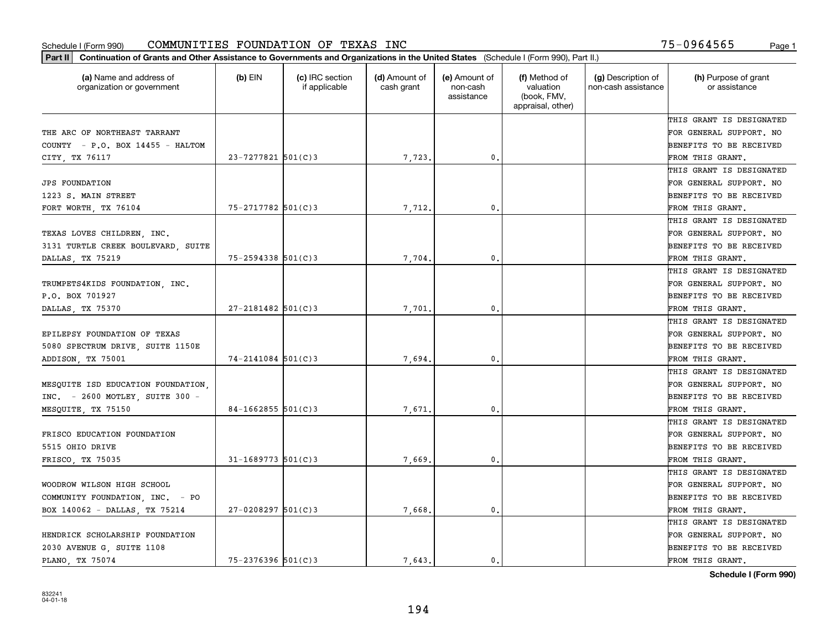| (a) Name and address of<br>organization or government | $(b)$ EIN               | (c) IRC section<br>if applicable | (d) Amount of<br>cash grant | (e) Amount of<br>non-cash<br>assistance | (f) Method of<br>valuation<br>(book, FMV,<br>appraisal, other) | (g) Description of<br>non-cash assistance | (h) Purpose of grant<br>or assistance |
|-------------------------------------------------------|-------------------------|----------------------------------|-----------------------------|-----------------------------------------|----------------------------------------------------------------|-------------------------------------------|---------------------------------------|
|                                                       |                         |                                  |                             |                                         |                                                                |                                           | THIS GRANT IS DESIGNATED              |
| THE ARC OF NORTHEAST TARRANT                          |                         |                                  |                             |                                         |                                                                |                                           | FOR GENERAL SUPPORT. NO               |
| COUNTY - P.O. BOX 14455 - HALTOM                      |                         |                                  |                             |                                         |                                                                |                                           | <b>BENEFITS TO BE RECEIVED</b>        |
| CITY, TX 76117                                        | $23 - 7277821$ 501(C)3  |                                  | 7,723.                      | 0.                                      |                                                                |                                           | FROM THIS GRANT.                      |
|                                                       |                         |                                  |                             |                                         |                                                                |                                           | THIS GRANT IS DESIGNATED              |
| <b>JPS FOUNDATION</b>                                 |                         |                                  |                             |                                         |                                                                |                                           | FOR GENERAL SUPPORT. NO               |
| 1223 S. MAIN STREET                                   |                         |                                  |                             |                                         |                                                                |                                           | <b>BENEFITS TO BE RECEIVED</b>        |
| FORT WORTH, TX 76104                                  | $75 - 2717782$ 501(C)3  |                                  | 7,712.                      | 0.                                      |                                                                |                                           | FROM THIS GRANT.                      |
|                                                       |                         |                                  |                             |                                         |                                                                |                                           | THIS GRANT IS DESIGNATED              |
| TEXAS LOVES CHILDREN, INC.                            |                         |                                  |                             |                                         |                                                                |                                           | FOR GENERAL SUPPORT. NO               |
| 3131 TURTLE CREEK BOULEVARD SUITE                     |                         |                                  |                             |                                         |                                                                |                                           | <b>BENEFITS TO BE RECEIVED</b>        |
| DALLAS, TX 75219                                      | $75 - 2594338$ 501(C)3  |                                  | 7,704                       | 0.                                      |                                                                |                                           | FROM THIS GRANT.                      |
|                                                       |                         |                                  |                             |                                         |                                                                |                                           | THIS GRANT IS DESIGNATED              |
| TRUMPETS4KIDS FOUNDATION, INC.                        |                         |                                  |                             |                                         |                                                                |                                           | FOR GENERAL SUPPORT. NO               |
| P.O. BOX 701927                                       |                         |                                  |                             |                                         |                                                                |                                           | <b>BENEFITS TO BE RECEIVED</b>        |
| DALLAS, TX 75370                                      | $27 - 2181482$ 501(C)3  |                                  | 7,701                       | $\mathbf{0}$ .                          |                                                                |                                           | FROM THIS GRANT.                      |
|                                                       |                         |                                  |                             |                                         |                                                                |                                           | THIS GRANT IS DESIGNATED              |
| EPILEPSY FOUNDATION OF TEXAS                          |                         |                                  |                             |                                         |                                                                |                                           | FOR GENERAL SUPPORT. NO               |
| 5080 SPECTRUM DRIVE, SUITE 1150E                      |                         |                                  |                             |                                         |                                                                |                                           | <b>BENEFITS TO BE RECEIVED</b>        |
| ADDISON, TX 75001                                     | $74 - 2141084$ 501(C)3  |                                  | 7,694.                      | 0.                                      |                                                                |                                           | FROM THIS GRANT.                      |
|                                                       |                         |                                  |                             |                                         |                                                                |                                           | THIS GRANT IS DESIGNATED              |
| MESQUITE ISD EDUCATION FOUNDATION,                    |                         |                                  |                             |                                         |                                                                |                                           | FOR GENERAL SUPPORT. NO               |
| INC. - 2600 MOTLEY, SUITE 300 -                       |                         |                                  |                             |                                         |                                                                |                                           | <b>BENEFITS TO BE RECEIVED</b>        |
| MESQUITE, TX 75150                                    | $84 - 1662855$ 501(C) 3 |                                  | 7,671                       | $\mathbf{0}$                            |                                                                |                                           | FROM THIS GRANT.                      |
|                                                       |                         |                                  |                             |                                         |                                                                |                                           | THIS GRANT IS DESIGNATED              |
| FRISCO EDUCATION FOUNDATION                           |                         |                                  |                             |                                         |                                                                |                                           | FOR GENERAL SUPPORT. NO               |
| 5515 OHIO DRIVE                                       |                         |                                  |                             |                                         |                                                                |                                           | <b>BENEFITS TO BE RECEIVED</b>        |
| FRISCO, TX 75035                                      | $31 - 1689773$ 501(C)3  |                                  | 7,669                       | $^{\circ}$ .                            |                                                                |                                           | FROM THIS GRANT.                      |
|                                                       |                         |                                  |                             |                                         |                                                                |                                           | THIS GRANT IS DESIGNATED              |
| WOODROW WILSON HIGH SCHOOL                            |                         |                                  |                             |                                         |                                                                |                                           | FOR GENERAL SUPPORT. NO               |
| COMMUNITY FOUNDATION, INC. - PO                       |                         |                                  |                             |                                         |                                                                |                                           | BENEFITS TO BE RECEIVED               |
| BOX 140062 - DALLAS, TX 75214                         | $27 - 0208297$ 501(C) 3 |                                  | 7,668.                      | 0.                                      |                                                                |                                           | FROM THIS GRANT.                      |
|                                                       |                         |                                  |                             |                                         |                                                                |                                           | THIS GRANT IS DESIGNATED              |
| HENDRICK SCHOLARSHIP FOUNDATION                       |                         |                                  |                             |                                         |                                                                |                                           | FOR GENERAL SUPPORT. NO               |
| 2030 AVENUE G, SUITE 1108                             |                         |                                  |                             |                                         |                                                                |                                           | <b>BENEFITS TO BE RECEIVED</b>        |
| PLANO, TX 75074                                       | $75 - 2376396$ 501(C)3  |                                  | 7.643.                      | $\mathfrak{o}$ .                        |                                                                |                                           | FROM THIS GRANT.                      |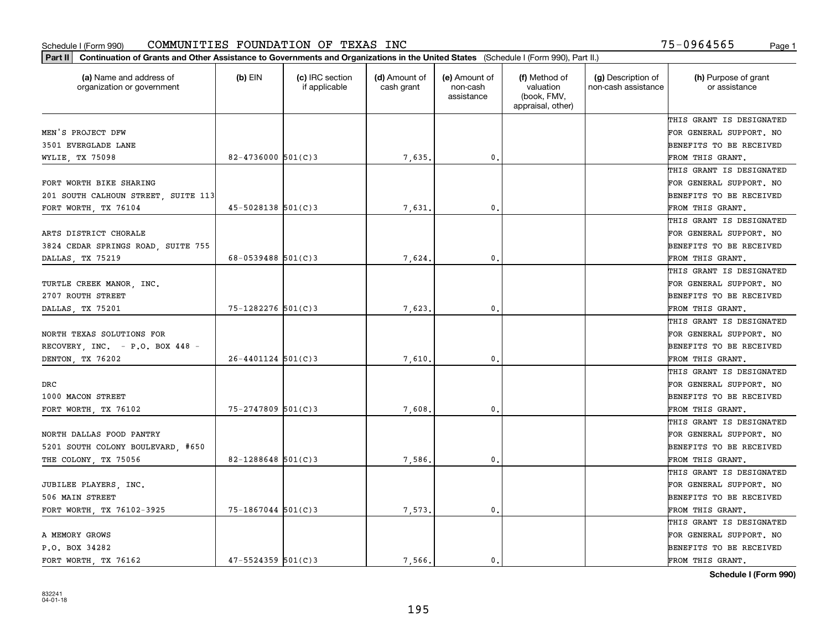| Part II   Continuation of Grants and Other Assistance to Governments and Organizations in the United States (Schedule I (Form 990), Part II.) |                          |                                  |                             |                                         |                                                                |                                           |                                       |
|-----------------------------------------------------------------------------------------------------------------------------------------------|--------------------------|----------------------------------|-----------------------------|-----------------------------------------|----------------------------------------------------------------|-------------------------------------------|---------------------------------------|
| (a) Name and address of<br>organization or government                                                                                         | $(b)$ EIN                | (c) IRC section<br>if applicable | (d) Amount of<br>cash grant | (e) Amount of<br>non-cash<br>assistance | (f) Method of<br>valuation<br>(book, FMV,<br>appraisal, other) | (g) Description of<br>non-cash assistance | (h) Purpose of grant<br>or assistance |
|                                                                                                                                               |                          |                                  |                             |                                         |                                                                |                                           | THIS GRANT IS DESIGNATED              |
| MEN'S PROJECT DFW                                                                                                                             |                          |                                  |                             |                                         |                                                                |                                           | FOR GENERAL SUPPORT. NO               |
| 3501 EVERGLADE LANE                                                                                                                           |                          |                                  |                             |                                         |                                                                |                                           | BENEFITS TO BE RECEIVED               |
| WYLIE, TX 75098                                                                                                                               | $82 - 4736000$ 501(C)3   |                                  | 7,635.                      | 0.                                      |                                                                |                                           | FROM THIS GRANT.                      |
|                                                                                                                                               |                          |                                  |                             |                                         |                                                                |                                           | THIS GRANT IS DESIGNATED              |
| FORT WORTH BIKE SHARING                                                                                                                       |                          |                                  |                             |                                         |                                                                |                                           | FOR GENERAL SUPPORT. NO               |
| 201 SOUTH CALHOUN STREET, SUITE 113                                                                                                           |                          |                                  |                             |                                         |                                                                |                                           | BENEFITS TO BE RECEIVED               |
| FORT WORTH, TX 76104                                                                                                                          | $45 - 5028138$ $501(C)3$ |                                  | 7,631.                      | 0.                                      |                                                                |                                           | FROM THIS GRANT.                      |
|                                                                                                                                               |                          |                                  |                             |                                         |                                                                |                                           | THIS GRANT IS DESIGNATED              |
| ARTS DISTRICT CHORALE                                                                                                                         |                          |                                  |                             |                                         |                                                                |                                           | FOR GENERAL SUPPORT. NO               |
| 3824 CEDAR SPRINGS ROAD, SUITE 755                                                                                                            |                          |                                  |                             |                                         |                                                                |                                           | BENEFITS TO BE RECEIVED               |
| DALLAS, TX 75219                                                                                                                              | 68-0539488 $501(C)$ 3    |                                  | 7,624.                      | 0.                                      |                                                                |                                           | FROM THIS GRANT.                      |
|                                                                                                                                               |                          |                                  |                             |                                         |                                                                |                                           | THIS GRANT IS DESIGNATED              |
| TURTLE CREEK MANOR, INC.                                                                                                                      |                          |                                  |                             |                                         |                                                                |                                           | FOR GENERAL SUPPORT. NO               |
| 2707 ROUTH STREET                                                                                                                             |                          |                                  |                             |                                         |                                                                |                                           | <b>BENEFITS TO BE RECEIVED</b>        |
| DALLAS, TX 75201                                                                                                                              | $75 - 1282276$ 501(C)3   |                                  | 7,623.                      | 0.                                      |                                                                |                                           | FROM THIS GRANT.                      |
|                                                                                                                                               |                          |                                  |                             |                                         |                                                                |                                           | THIS GRANT IS DESIGNATED              |
| NORTH TEXAS SOLUTIONS FOR                                                                                                                     |                          |                                  |                             |                                         |                                                                |                                           | FOR GENERAL SUPPORT. NO               |
| RECOVERY, INC. - P.O. BOX 448 -                                                                                                               |                          |                                  |                             |                                         |                                                                |                                           | BENEFITS TO BE RECEIVED               |
| DENTON, TX 76202                                                                                                                              | $26 - 4401124$ 501(C)3   |                                  | 7,610                       | 0.                                      |                                                                |                                           | FROM THIS GRANT.                      |
|                                                                                                                                               |                          |                                  |                             |                                         |                                                                |                                           | THIS GRANT IS DESIGNATED              |
| DRC                                                                                                                                           |                          |                                  |                             |                                         |                                                                |                                           | FOR GENERAL SUPPORT. NO               |
| 1000 MACON STREET                                                                                                                             |                          |                                  |                             |                                         |                                                                |                                           | <b>BENEFITS TO BE RECEIVED</b>        |
| FORT WORTH, TX 76102                                                                                                                          | $75 - 2747809$ 501(C)3   |                                  | 7,608                       | 0.                                      |                                                                |                                           | FROM THIS GRANT.                      |
|                                                                                                                                               |                          |                                  |                             |                                         |                                                                |                                           | THIS GRANT IS DESIGNATED              |
| NORTH DALLAS FOOD PANTRY                                                                                                                      |                          |                                  |                             |                                         |                                                                |                                           | FOR GENERAL SUPPORT. NO               |
| 5201 SOUTH COLONY BOULEVARD, #650                                                                                                             |                          |                                  |                             |                                         |                                                                |                                           | BENEFITS TO BE RECEIVED               |
| THE COLONY, TX 75056                                                                                                                          | 82-1288648 $501(C)$ 3    |                                  | 7,586,                      | 0.                                      |                                                                |                                           | FROM THIS GRANT.                      |
|                                                                                                                                               |                          |                                  |                             |                                         |                                                                |                                           | THIS GRANT IS DESIGNATED              |
| JUBILEE PLAYERS, INC.                                                                                                                         |                          |                                  |                             |                                         |                                                                |                                           | FOR GENERAL SUPPORT. NO               |
| 506 MAIN STREET                                                                                                                               |                          |                                  |                             |                                         |                                                                |                                           | BENEFITS TO BE RECEIVED               |
| FORT WORTH, TX 76102-3925                                                                                                                     | $75 - 1867044$ 501(C)3   |                                  | 7,573.                      | 0.                                      |                                                                |                                           | FROM THIS GRANT.                      |
|                                                                                                                                               |                          |                                  |                             |                                         |                                                                |                                           | THIS GRANT IS DESIGNATED              |
| A MEMORY GROWS                                                                                                                                |                          |                                  |                             |                                         |                                                                |                                           | FOR GENERAL SUPPORT. NO               |
| P.O. BOX 34282                                                                                                                                |                          |                                  |                             |                                         |                                                                |                                           | <b>BENEFITS TO BE RECEIVED</b>        |
| FORT WORTH, TX 76162                                                                                                                          | $47 - 5524359$ 501(C)3   |                                  | 7.566.                      | $\mathbf{0}$ .                          |                                                                |                                           | FROM THIS GRANT.                      |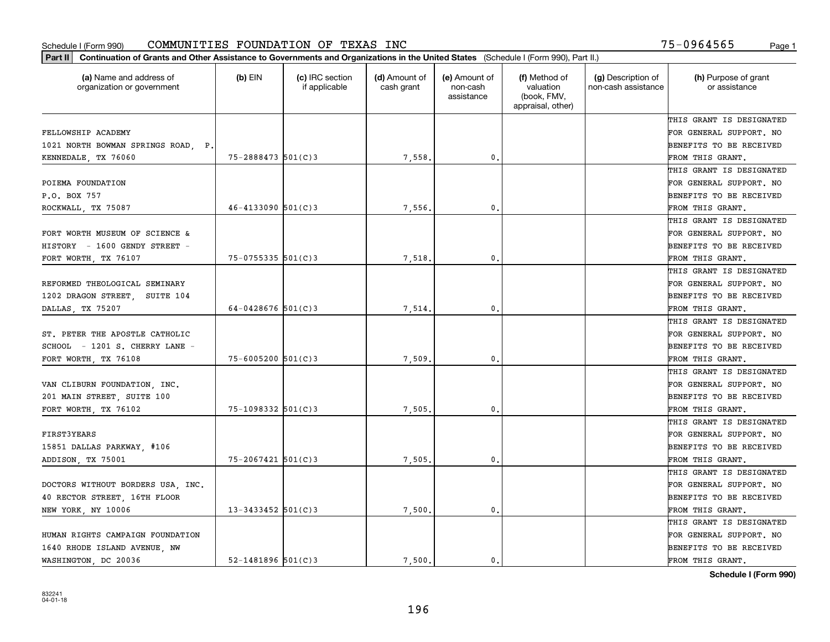| Part II   Continuation of Grants and Other Assistance to Governments and Organizations in the United States (Schedule I (Form 990), Part II.) |                        |                                  |                             |                                         |                                                                |                                           |                                       |
|-----------------------------------------------------------------------------------------------------------------------------------------------|------------------------|----------------------------------|-----------------------------|-----------------------------------------|----------------------------------------------------------------|-------------------------------------------|---------------------------------------|
| (a) Name and address of<br>organization or government                                                                                         | $(b)$ EIN              | (c) IRC section<br>if applicable | (d) Amount of<br>cash grant | (e) Amount of<br>non-cash<br>assistance | (f) Method of<br>valuation<br>(book, FMV,<br>appraisal, other) | (g) Description of<br>non-cash assistance | (h) Purpose of grant<br>or assistance |
|                                                                                                                                               |                        |                                  |                             |                                         |                                                                |                                           | THIS GRANT IS DESIGNATED              |
| FELLOWSHIP ACADEMY                                                                                                                            |                        |                                  |                             |                                         |                                                                |                                           | FOR GENERAL SUPPORT. NO               |
| 1021 NORTH BOWMAN SPRINGS ROAD, P.                                                                                                            |                        |                                  |                             |                                         |                                                                |                                           | BENEFITS TO BE RECEIVED               |
| KENNEDALE, TX 76060                                                                                                                           | $75 - 2888473$ 501(C)3 |                                  | 7,558,                      | 0.                                      |                                                                |                                           | FROM THIS GRANT.                      |
|                                                                                                                                               |                        |                                  |                             |                                         |                                                                |                                           | THIS GRANT IS DESIGNATED              |
| POIEMA FOUNDATION                                                                                                                             |                        |                                  |                             |                                         |                                                                |                                           | FOR GENERAL SUPPORT. NO               |
| P.O. BOX 757                                                                                                                                  |                        |                                  |                             |                                         |                                                                |                                           | BENEFITS TO BE RECEIVED               |
| ROCKWALL, TX 75087                                                                                                                            | $46 - 4133090$ 501(C)3 |                                  | 7,556.                      | 0.                                      |                                                                |                                           | FROM THIS GRANT.                      |
|                                                                                                                                               |                        |                                  |                             |                                         |                                                                |                                           | THIS GRANT IS DESIGNATED              |
| FORT WORTH MUSEUM OF SCIENCE &                                                                                                                |                        |                                  |                             |                                         |                                                                |                                           | FOR GENERAL SUPPORT. NO               |
| HISTORY - 1600 GENDY STREET -                                                                                                                 |                        |                                  |                             |                                         |                                                                |                                           | BENEFITS TO BE RECEIVED               |
| FORT WORTH, TX 76107                                                                                                                          | $75 - 0755335$ 501(C)3 |                                  | 7,518.                      | 0.                                      |                                                                |                                           | FROM THIS GRANT.                      |
|                                                                                                                                               |                        |                                  |                             |                                         |                                                                |                                           | THIS GRANT IS DESIGNATED              |
| REFORMED THEOLOGICAL SEMINARY                                                                                                                 |                        |                                  |                             |                                         |                                                                |                                           | FOR GENERAL SUPPORT. NO               |
| 1202 DRAGON STREET, SUITE 104                                                                                                                 |                        |                                  |                             |                                         |                                                                |                                           | <b>BENEFITS TO BE RECEIVED</b>        |
| DALLAS, TX 75207                                                                                                                              | $64 - 0428676$ 501(C)3 |                                  | 7,514.                      | 0.                                      |                                                                |                                           | FROM THIS GRANT.                      |
|                                                                                                                                               |                        |                                  |                             |                                         |                                                                |                                           | THIS GRANT IS DESIGNATED              |
| ST. PETER THE APOSTLE CATHOLIC                                                                                                                |                        |                                  |                             |                                         |                                                                |                                           | FOR GENERAL SUPPORT. NO               |
| SCHOOL - 1201 S. CHERRY LANE                                                                                                                  |                        |                                  |                             |                                         |                                                                |                                           | BENEFITS TO BE RECEIVED               |
| FORT WORTH, TX 76108                                                                                                                          | $75 - 6005200$ 501(C)3 |                                  | 7,509                       | 0.                                      |                                                                |                                           | FROM THIS GRANT.                      |
|                                                                                                                                               |                        |                                  |                             |                                         |                                                                |                                           | THIS GRANT IS DESIGNATED              |
| VAN CLIBURN FOUNDATION, INC.                                                                                                                  |                        |                                  |                             |                                         |                                                                |                                           | FOR GENERAL SUPPORT. NO               |
| 201 MAIN STREET, SUITE 100                                                                                                                    |                        |                                  |                             |                                         |                                                                |                                           | <b>BENEFITS TO BE RECEIVED</b>        |
| FORT WORTH, TX 76102                                                                                                                          | $75 - 1098332$ 501(C)3 |                                  | 7,505.                      | 0.                                      |                                                                |                                           | FROM THIS GRANT.                      |
|                                                                                                                                               |                        |                                  |                             |                                         |                                                                |                                           | THIS GRANT IS DESIGNATED              |
| <b>FIRST3YEARS</b>                                                                                                                            |                        |                                  |                             |                                         |                                                                |                                           | FOR GENERAL SUPPORT. NO               |
| 15851 DALLAS PARKWAY, #106                                                                                                                    |                        |                                  |                             |                                         |                                                                |                                           | <b>BENEFITS TO BE RECEIVED</b>        |
| ADDISON, TX 75001                                                                                                                             | $75 - 2067421$ 501(C)3 |                                  | 7,505.                      | 0.                                      |                                                                |                                           | FROM THIS GRANT.                      |
|                                                                                                                                               |                        |                                  |                             |                                         |                                                                |                                           | THIS GRANT IS DESIGNATED              |
| DOCTORS WITHOUT BORDERS USA, INC.                                                                                                             |                        |                                  |                             |                                         |                                                                |                                           | FOR GENERAL SUPPORT. NO               |
| 40 RECTOR STREET, 16TH FLOOR                                                                                                                  |                        |                                  |                             |                                         |                                                                |                                           | BENEFITS TO BE RECEIVED               |
| NEW YORK, NY 10006                                                                                                                            | $13 - 3433452$ 501(C)3 |                                  | 7,500.                      | 0.                                      |                                                                |                                           | FROM THIS GRANT.                      |
|                                                                                                                                               |                        |                                  |                             |                                         |                                                                |                                           | THIS GRANT IS DESIGNATED              |
| HUMAN RIGHTS CAMPAIGN FOUNDATION                                                                                                              |                        |                                  |                             |                                         |                                                                |                                           | FOR GENERAL SUPPORT. NO               |
| 1640 RHODE ISLAND AVENUE, NW                                                                                                                  |                        |                                  |                             |                                         |                                                                |                                           | <b>BENEFITS TO BE RECEIVED</b>        |
| WASHINGTON, DC 20036                                                                                                                          | $52 - 1481896$ 501(C)3 |                                  | 7.500.                      | $\mathbf{0}$ .                          |                                                                |                                           | FROM THIS GRANT.                      |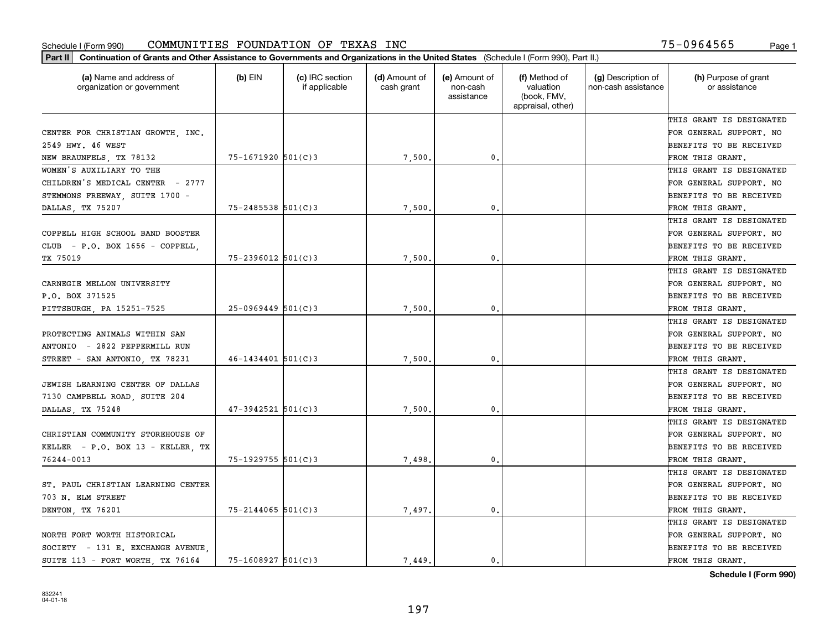| (a) Name and address of<br>$(b)$ EIN<br>(c) IRC section<br>(d) Amount of<br>(e) Amount of<br>(f) Method of<br>(g) Description of<br>organization or government<br>if applicable<br>cash grant<br>non-cash<br>valuation<br>non-cash assistance<br>(book, FMV,<br>assistance<br>appraisal, other)<br>CENTER FOR CHRISTIAN GROWTH INC.<br>2549 HWY. 46 WEST<br>$75 - 1671920$ 501(C)3<br>0.<br>7,500.<br>STEMMONS FREEWAY, SUITE 1700 -<br>$75 - 2485538$ 501(C)3<br>7,500<br>0.<br>DALLAS, TX 75207<br>COPPELL HIGH SCHOOL BAND BOOSTER<br>$75 - 2396012$ 501(C)3<br>TX 75019<br>7,500<br>0.<br>CARNEGIE MELLON UNIVERSITY<br>P.O. BOX 371525<br>$25 - 0969449$ 501(C)3<br>0.<br>PITTSBURGH, PA 15251-7525<br>7,500<br>PROTECTING ANIMALS WITHIN SAN<br>$46 - 1434401$ 501(C)3<br>7,500<br>STREET - SAN ANTONIO, TX 78231<br>0. |                                       |
|-------------------------------------------------------------------------------------------------------------------------------------------------------------------------------------------------------------------------------------------------------------------------------------------------------------------------------------------------------------------------------------------------------------------------------------------------------------------------------------------------------------------------------------------------------------------------------------------------------------------------------------------------------------------------------------------------------------------------------------------------------------------------------------------------------------------------------|---------------------------------------|
| NEW BRAUNFELS, TX 78132<br>WOMEN'S AUXILIARY TO THE<br>CHILDREN'S MEDICAL CENTER - 2777<br>CLUB - P.O. BOX 1656 - COPPELL,<br>ANTONIO - 2822 PEPPERMILL RUN                                                                                                                                                                                                                                                                                                                                                                                                                                                                                                                                                                                                                                                                   | (h) Purpose of grant<br>or assistance |
|                                                                                                                                                                                                                                                                                                                                                                                                                                                                                                                                                                                                                                                                                                                                                                                                                               | THIS GRANT IS DESIGNATED              |
|                                                                                                                                                                                                                                                                                                                                                                                                                                                                                                                                                                                                                                                                                                                                                                                                                               | FOR GENERAL SUPPORT. NO               |
|                                                                                                                                                                                                                                                                                                                                                                                                                                                                                                                                                                                                                                                                                                                                                                                                                               | BENEFITS TO BE RECEIVED               |
|                                                                                                                                                                                                                                                                                                                                                                                                                                                                                                                                                                                                                                                                                                                                                                                                                               | FROM THIS GRANT.                      |
|                                                                                                                                                                                                                                                                                                                                                                                                                                                                                                                                                                                                                                                                                                                                                                                                                               | THIS GRANT IS DESIGNATED              |
|                                                                                                                                                                                                                                                                                                                                                                                                                                                                                                                                                                                                                                                                                                                                                                                                                               | FOR GENERAL SUPPORT. NO               |
|                                                                                                                                                                                                                                                                                                                                                                                                                                                                                                                                                                                                                                                                                                                                                                                                                               | BENEFITS TO BE RECEIVED               |
|                                                                                                                                                                                                                                                                                                                                                                                                                                                                                                                                                                                                                                                                                                                                                                                                                               | FROM THIS GRANT.                      |
|                                                                                                                                                                                                                                                                                                                                                                                                                                                                                                                                                                                                                                                                                                                                                                                                                               | THIS GRANT IS DESIGNATED              |
|                                                                                                                                                                                                                                                                                                                                                                                                                                                                                                                                                                                                                                                                                                                                                                                                                               | FOR GENERAL SUPPORT. NO               |
|                                                                                                                                                                                                                                                                                                                                                                                                                                                                                                                                                                                                                                                                                                                                                                                                                               | BENEFITS TO BE RECEIVED               |
|                                                                                                                                                                                                                                                                                                                                                                                                                                                                                                                                                                                                                                                                                                                                                                                                                               | FROM THIS GRANT.                      |
|                                                                                                                                                                                                                                                                                                                                                                                                                                                                                                                                                                                                                                                                                                                                                                                                                               | THIS GRANT IS DESIGNATED              |
|                                                                                                                                                                                                                                                                                                                                                                                                                                                                                                                                                                                                                                                                                                                                                                                                                               | FOR GENERAL SUPPORT. NO               |
|                                                                                                                                                                                                                                                                                                                                                                                                                                                                                                                                                                                                                                                                                                                                                                                                                               | <b>BENEFITS TO BE RECEIVED</b>        |
|                                                                                                                                                                                                                                                                                                                                                                                                                                                                                                                                                                                                                                                                                                                                                                                                                               | FROM THIS GRANT.                      |
|                                                                                                                                                                                                                                                                                                                                                                                                                                                                                                                                                                                                                                                                                                                                                                                                                               | THIS GRANT IS DESIGNATED              |
|                                                                                                                                                                                                                                                                                                                                                                                                                                                                                                                                                                                                                                                                                                                                                                                                                               | FOR GENERAL SUPPORT. NO               |
|                                                                                                                                                                                                                                                                                                                                                                                                                                                                                                                                                                                                                                                                                                                                                                                                                               | BENEFITS TO BE RECEIVED               |
|                                                                                                                                                                                                                                                                                                                                                                                                                                                                                                                                                                                                                                                                                                                                                                                                                               | FROM THIS GRANT.                      |
|                                                                                                                                                                                                                                                                                                                                                                                                                                                                                                                                                                                                                                                                                                                                                                                                                               | THIS GRANT IS DESIGNATED              |
| JEWISH LEARNING CENTER OF DALLAS                                                                                                                                                                                                                                                                                                                                                                                                                                                                                                                                                                                                                                                                                                                                                                                              | FOR GENERAL SUPPORT. NO               |
| 7130 CAMPBELL ROAD, SUITE 204                                                                                                                                                                                                                                                                                                                                                                                                                                                                                                                                                                                                                                                                                                                                                                                                 | BENEFITS TO BE RECEIVED               |
| $47 - 3942521$ 501(C)3<br>7,500<br>0.<br>DALLAS, TX 75248                                                                                                                                                                                                                                                                                                                                                                                                                                                                                                                                                                                                                                                                                                                                                                     | FROM THIS GRANT.                      |
|                                                                                                                                                                                                                                                                                                                                                                                                                                                                                                                                                                                                                                                                                                                                                                                                                               | THIS GRANT IS DESIGNATED              |
| CHRISTIAN COMMUNITY STOREHOUSE OF                                                                                                                                                                                                                                                                                                                                                                                                                                                                                                                                                                                                                                                                                                                                                                                             | FOR GENERAL SUPPORT. NO               |
| KELLER - P.O. BOX 13 - KELLER, TX                                                                                                                                                                                                                                                                                                                                                                                                                                                                                                                                                                                                                                                                                                                                                                                             | BENEFITS TO BE RECEIVED               |
| 75-1929755 501(C)3<br>76244-0013<br>7,498.<br>0.                                                                                                                                                                                                                                                                                                                                                                                                                                                                                                                                                                                                                                                                                                                                                                              | FROM THIS GRANT.                      |
|                                                                                                                                                                                                                                                                                                                                                                                                                                                                                                                                                                                                                                                                                                                                                                                                                               | THIS GRANT IS DESIGNATED              |
| ST. PAUL CHRISTIAN LEARNING CENTER                                                                                                                                                                                                                                                                                                                                                                                                                                                                                                                                                                                                                                                                                                                                                                                            | FOR GENERAL SUPPORT. NO               |
| 703 N. ELM STREET                                                                                                                                                                                                                                                                                                                                                                                                                                                                                                                                                                                                                                                                                                                                                                                                             | BENEFITS TO BE RECEIVED               |
| $75 - 2144065$ 501(C)3<br>7,497.<br>0.<br>DENTON, TX 76201                                                                                                                                                                                                                                                                                                                                                                                                                                                                                                                                                                                                                                                                                                                                                                    | FROM THIS GRANT.                      |
|                                                                                                                                                                                                                                                                                                                                                                                                                                                                                                                                                                                                                                                                                                                                                                                                                               | THIS GRANT IS DESIGNATED              |
| NORTH FORT WORTH HISTORICAL                                                                                                                                                                                                                                                                                                                                                                                                                                                                                                                                                                                                                                                                                                                                                                                                   | FOR GENERAL SUPPORT. NO               |
| SOCIETY - 131 E. EXCHANGE AVENUE                                                                                                                                                                                                                                                                                                                                                                                                                                                                                                                                                                                                                                                                                                                                                                                              | <b>BENEFITS TO BE RECEIVED</b>        |
| $75 - 1608927$ 501(C)3<br>SUITE 113 - FORT WORTH, TX 76164<br>7.449.<br>$\mathbf{0}$ .                                                                                                                                                                                                                                                                                                                                                                                                                                                                                                                                                                                                                                                                                                                                        | FROM THIS GRANT.                      |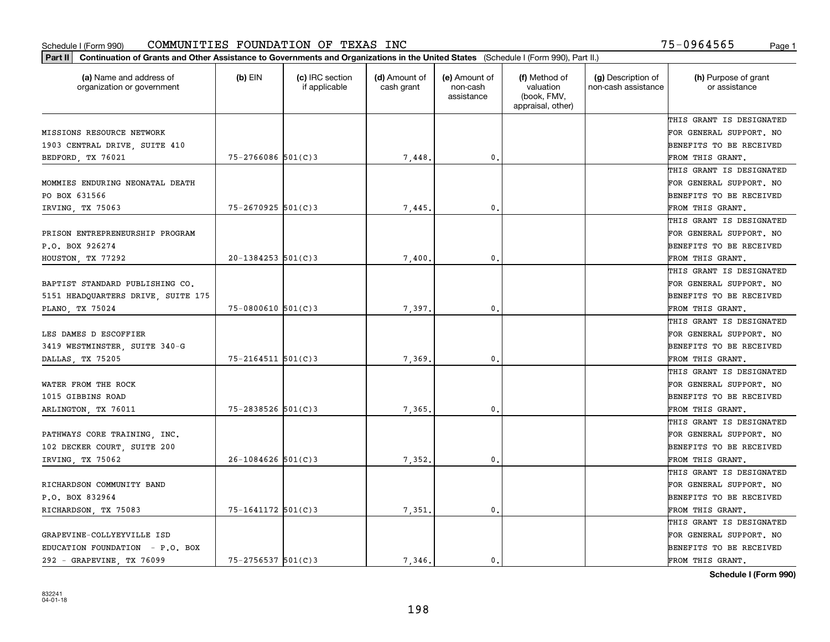| Part II   Continuation of Grants and Other Assistance to Governments and Organizations in the United States (Schedule I (Form 990), Part II.) |                        |                                  |                             |                                         |                                                                |                                           |                                       |
|-----------------------------------------------------------------------------------------------------------------------------------------------|------------------------|----------------------------------|-----------------------------|-----------------------------------------|----------------------------------------------------------------|-------------------------------------------|---------------------------------------|
| (a) Name and address of<br>organization or government                                                                                         | $(b)$ EIN              | (c) IRC section<br>if applicable | (d) Amount of<br>cash grant | (e) Amount of<br>non-cash<br>assistance | (f) Method of<br>valuation<br>(book, FMV,<br>appraisal, other) | (g) Description of<br>non-cash assistance | (h) Purpose of grant<br>or assistance |
|                                                                                                                                               |                        |                                  |                             |                                         |                                                                |                                           | THIS GRANT IS DESIGNATED              |
| MISSIONS RESOURCE NETWORK                                                                                                                     |                        |                                  |                             |                                         |                                                                |                                           | FOR GENERAL SUPPORT. NO               |
| 1903 CENTRAL DRIVE, SUITE 410                                                                                                                 |                        |                                  |                             |                                         |                                                                |                                           | BENEFITS TO BE RECEIVED               |
| BEDFORD, TX 76021                                                                                                                             | $75 - 2766086$ 501(C)3 |                                  | 7,448.                      | 0.                                      |                                                                |                                           | FROM THIS GRANT.                      |
|                                                                                                                                               |                        |                                  |                             |                                         |                                                                |                                           | THIS GRANT IS DESIGNATED              |
| MOMMIES ENDURING NEONATAL DEATH                                                                                                               |                        |                                  |                             |                                         |                                                                |                                           | FOR GENERAL SUPPORT. NO               |
| PO BOX 631566                                                                                                                                 |                        |                                  |                             |                                         |                                                                |                                           | BENEFITS TO BE RECEIVED               |
| IRVING, TX 75063                                                                                                                              | $75 - 2670925$ 501(C)3 |                                  | 7,445.                      | 0.                                      |                                                                |                                           | FROM THIS GRANT.                      |
|                                                                                                                                               |                        |                                  |                             |                                         |                                                                |                                           | THIS GRANT IS DESIGNATED              |
| PRISON ENTREPRENEURSHIP PROGRAM                                                                                                               |                        |                                  |                             |                                         |                                                                |                                           | FOR GENERAL SUPPORT. NO               |
| P.O. BOX 926274                                                                                                                               |                        |                                  |                             |                                         |                                                                |                                           | BENEFITS TO BE RECEIVED               |
| HOUSTON, TX 77292                                                                                                                             | $20-1384253$ 501(C)3   |                                  | 7,400.                      | $\mathfrak{o}$ .                        |                                                                |                                           | FROM THIS GRANT.                      |
|                                                                                                                                               |                        |                                  |                             |                                         |                                                                |                                           | THIS GRANT IS DESIGNATED              |
| BAPTIST STANDARD PUBLISHING CO.                                                                                                               |                        |                                  |                             |                                         |                                                                |                                           | FOR GENERAL SUPPORT. NO               |
| 5151 HEADQUARTERS DRIVE, SUITE 175                                                                                                            |                        |                                  |                             |                                         |                                                                |                                           | <b>BENEFITS TO BE RECEIVED</b>        |
| PLANO, TX 75024                                                                                                                               | $75 - 0800610$ 501(C)3 |                                  | 7,397.                      | $\mathbf{0}$ .                          |                                                                |                                           | FROM THIS GRANT.                      |
|                                                                                                                                               |                        |                                  |                             |                                         |                                                                |                                           | THIS GRANT IS DESIGNATED              |
| LES DAMES D ESCOFFIER                                                                                                                         |                        |                                  |                             |                                         |                                                                |                                           | FOR GENERAL SUPPORT. NO               |
| 3419 WESTMINSTER, SUITE 340-G                                                                                                                 |                        |                                  |                             |                                         |                                                                |                                           | BENEFITS TO BE RECEIVED               |
| DALLAS, TX 75205                                                                                                                              | $75 - 2164511$ 501(C)3 |                                  | 7,369                       | $\mathbf{0}$                            |                                                                |                                           | FROM THIS GRANT.                      |
|                                                                                                                                               |                        |                                  |                             |                                         |                                                                |                                           | THIS GRANT IS DESIGNATED              |
| WATER FROM THE ROCK                                                                                                                           |                        |                                  |                             |                                         |                                                                |                                           | FOR GENERAL SUPPORT. NO               |
| 1015 GIBBINS ROAD                                                                                                                             |                        |                                  |                             |                                         |                                                                |                                           | BENEFITS TO BE RECEIVED               |
| ARLINGTON, TX 76011                                                                                                                           | $75 - 2838526$ 501(C)3 |                                  | 7,365.                      | 0.                                      |                                                                |                                           | FROM THIS GRANT.                      |
|                                                                                                                                               |                        |                                  |                             |                                         |                                                                |                                           | THIS GRANT IS DESIGNATED              |
| PATHWAYS CORE TRAINING, INC.                                                                                                                  |                        |                                  |                             |                                         |                                                                |                                           | FOR GENERAL SUPPORT. NO               |
| 102 DECKER COURT, SUITE 200                                                                                                                   |                        |                                  |                             |                                         |                                                                |                                           | BENEFITS TO BE RECEIVED               |
| IRVING, TX 75062                                                                                                                              | $26 - 1084626$ 501(C)3 |                                  | 7,352.                      | 0.                                      |                                                                |                                           | FROM THIS GRANT.                      |
|                                                                                                                                               |                        |                                  |                             |                                         |                                                                |                                           | THIS GRANT IS DESIGNATED              |
| RICHARDSON COMMUNITY BAND                                                                                                                     |                        |                                  |                             |                                         |                                                                |                                           | FOR GENERAL SUPPORT. NO               |
| P.O. BOX 832964                                                                                                                               |                        |                                  |                             |                                         |                                                                |                                           | BENEFITS TO BE RECEIVED               |
| RICHARDSON, TX 75083                                                                                                                          | 75-1641172 501(C)3     |                                  | 7,351.                      | $\mathbf{0}$ .                          |                                                                |                                           | FROM THIS GRANT.                      |
|                                                                                                                                               |                        |                                  |                             |                                         |                                                                |                                           | THIS GRANT IS DESIGNATED              |
| GRAPEVINE-COLLYEYVILLE ISD                                                                                                                    |                        |                                  |                             |                                         |                                                                |                                           | FOR GENERAL SUPPORT. NO               |
| EDUCATION FOUNDATION - P.O. BOX                                                                                                               |                        |                                  |                             |                                         |                                                                |                                           | <b>BENEFITS TO BE RECEIVED</b>        |
| 292 - GRAPEVINE, TX 76099                                                                                                                     | $75 - 2756537$ 501(C)3 |                                  | 7.346.                      | $\mathbf{0}$ .                          |                                                                |                                           | FROM THIS GRANT.                      |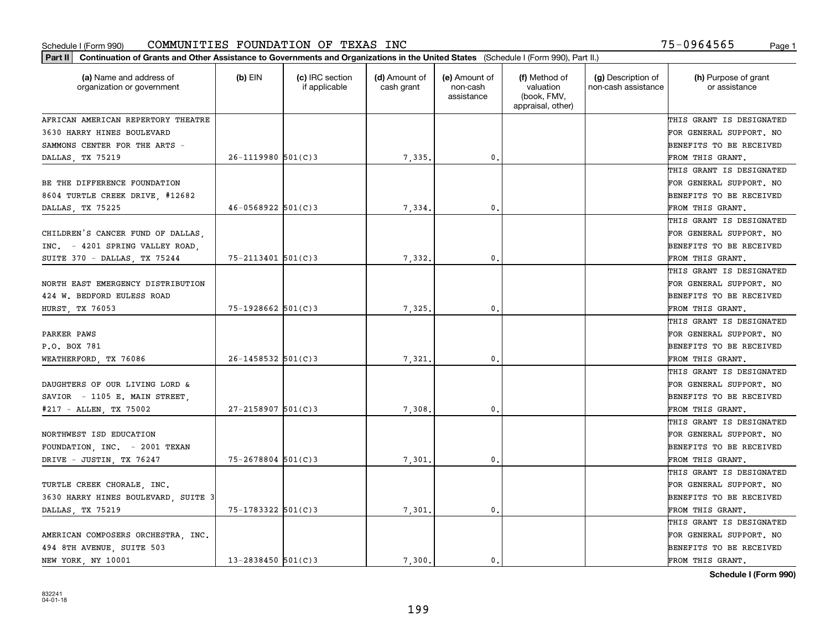| Part II   Continuation of Grants and Other Assistance to Governments and Organizations in the United States (Schedule I (Form 990), Part II.) |                          |                                  |                             |                                         |                                                                |                                           |                                       |
|-----------------------------------------------------------------------------------------------------------------------------------------------|--------------------------|----------------------------------|-----------------------------|-----------------------------------------|----------------------------------------------------------------|-------------------------------------------|---------------------------------------|
| (a) Name and address of<br>organization or government                                                                                         | $(b)$ EIN                | (c) IRC section<br>if applicable | (d) Amount of<br>cash grant | (e) Amount of<br>non-cash<br>assistance | (f) Method of<br>valuation<br>(book, FMV,<br>appraisal, other) | (g) Description of<br>non-cash assistance | (h) Purpose of grant<br>or assistance |
| AFRICAN AMERICAN REPERTORY THEATRE                                                                                                            |                          |                                  |                             |                                         |                                                                |                                           | THIS GRANT IS DESIGNATED              |
| 3630 HARRY HINES BOULEVARD                                                                                                                    |                          |                                  |                             |                                         |                                                                |                                           | FOR GENERAL SUPPORT. NO               |
| SAMMONS CENTER FOR THE ARTS -                                                                                                                 |                          |                                  |                             |                                         |                                                                |                                           | BENEFITS TO BE RECEIVED               |
| DALLAS, TX 75219                                                                                                                              | $26 - 1119980$ 501(C)3   |                                  | 7,335.                      | 0.                                      |                                                                |                                           | FROM THIS GRANT.                      |
|                                                                                                                                               |                          |                                  |                             |                                         |                                                                |                                           | THIS GRANT IS DESIGNATED              |
| BE THE DIFFERENCE FOUNDATION                                                                                                                  |                          |                                  |                             |                                         |                                                                |                                           | FOR GENERAL SUPPORT. NO               |
| 8604 TURTLE CREEK DRIVE, #12682                                                                                                               |                          |                                  |                             |                                         |                                                                |                                           | BENEFITS TO BE RECEIVED               |
| DALLAS, TX 75225                                                                                                                              | $46 - 0568922$ 501(C)3   |                                  | 7,334.                      | 0.                                      |                                                                |                                           | FROM THIS GRANT.                      |
|                                                                                                                                               |                          |                                  |                             |                                         |                                                                |                                           | THIS GRANT IS DESIGNATED              |
| CHILDREN'S CANCER FUND OF DALLAS,                                                                                                             |                          |                                  |                             |                                         |                                                                |                                           | FOR GENERAL SUPPORT. NO               |
| INC. - 4201 SPRING VALLEY ROAD.                                                                                                               |                          |                                  |                             |                                         |                                                                |                                           | BENEFITS TO BE RECEIVED               |
| SUITE 370 - DALLAS, TX 75244                                                                                                                  | $75 - 2113401$ 501(C)3   |                                  | 7,332.                      | 0.                                      |                                                                |                                           | FROM THIS GRANT.                      |
|                                                                                                                                               |                          |                                  |                             |                                         |                                                                |                                           | THIS GRANT IS DESIGNATED              |
| NORTH EAST EMERGENCY DISTRIBUTION                                                                                                             |                          |                                  |                             |                                         |                                                                |                                           | FOR GENERAL SUPPORT. NO               |
| 424 W. BEDFORD EULESS ROAD                                                                                                                    |                          |                                  |                             |                                         |                                                                |                                           | <b>BENEFITS TO BE RECEIVED</b>        |
| HURST, TX 76053                                                                                                                               | $75 - 1928662$ 501(C)3   |                                  | 7,325.                      | 0.                                      |                                                                |                                           | FROM THIS GRANT.                      |
|                                                                                                                                               |                          |                                  |                             |                                         |                                                                |                                           | THIS GRANT IS DESIGNATED              |
| PARKER PAWS                                                                                                                                   |                          |                                  |                             |                                         |                                                                |                                           | FOR GENERAL SUPPORT. NO               |
| P.O. BOX 781                                                                                                                                  |                          |                                  |                             |                                         |                                                                |                                           | BENEFITS TO BE RECEIVED               |
| WEATHERFORD, TX 76086                                                                                                                         | $26 - 1458532$ $501(C)3$ |                                  | 7,321                       | 0.                                      |                                                                |                                           | FROM THIS GRANT.                      |
|                                                                                                                                               |                          |                                  |                             |                                         |                                                                |                                           | THIS GRANT IS DESIGNATED              |
| DAUGHTERS OF OUR LIVING LORD &                                                                                                                |                          |                                  |                             |                                         |                                                                |                                           | FOR GENERAL SUPPORT. NO               |
| SAVIOR - 1105 E. MAIN STREET,                                                                                                                 |                          |                                  |                             |                                         |                                                                |                                           | <b>BENEFITS TO BE RECEIVED</b>        |
| #217 - ALLEN, TX 75002                                                                                                                        | $27 - 2158907$ 501(C) 3  |                                  | 7,308                       | 0.                                      |                                                                |                                           | FROM THIS GRANT.                      |
|                                                                                                                                               |                          |                                  |                             |                                         |                                                                |                                           | THIS GRANT IS DESIGNATED              |
| NORTHWEST ISD EDUCATION                                                                                                                       |                          |                                  |                             |                                         |                                                                |                                           | FOR GENERAL SUPPORT. NO               |
| FOUNDATION, INC. - 2001 TEXAN                                                                                                                 |                          |                                  |                             |                                         |                                                                |                                           | BENEFITS TO BE RECEIVED               |
| DRIVE - JUSTIN, TX 76247                                                                                                                      | $75 - 2678804$ 501(C)3   |                                  | 7,301.                      | 0.                                      |                                                                |                                           | FROM THIS GRANT.                      |
|                                                                                                                                               |                          |                                  |                             |                                         |                                                                |                                           | THIS GRANT IS DESIGNATED              |
| TURTLE CREEK CHORALE, INC.                                                                                                                    |                          |                                  |                             |                                         |                                                                |                                           | FOR GENERAL SUPPORT. NO               |
| 3630 HARRY HINES BOULEVARD, SUITE 3                                                                                                           |                          |                                  |                             |                                         |                                                                |                                           | BENEFITS TO BE RECEIVED               |
| DALLAS, TX 75219                                                                                                                              | 75-1783322 501(C)3       |                                  | 7,301.                      | 0.                                      |                                                                |                                           | FROM THIS GRANT.                      |
|                                                                                                                                               |                          |                                  |                             |                                         |                                                                |                                           | THIS GRANT IS DESIGNATED              |
| AMERICAN COMPOSERS ORCHESTRA, INC.                                                                                                            |                          |                                  |                             |                                         |                                                                |                                           | FOR GENERAL SUPPORT. NO               |
| 494 8TH AVENUE, SUITE 503                                                                                                                     |                          |                                  |                             |                                         |                                                                |                                           | <b>BENEFITS TO BE RECEIVED</b>        |
| NEW YORK, NY 10001                                                                                                                            | $13 - 2838450$ 501(C)3   |                                  | 7.300.                      | $\mathbf{0}$ .                          |                                                                |                                           | FROM THIS GRANT.                      |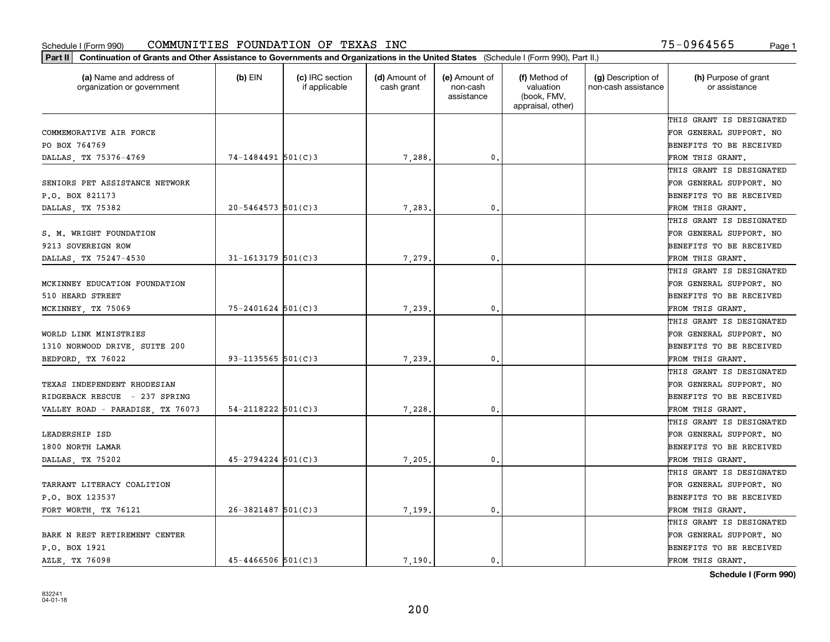| Part II   Continuation of Grants and Other Assistance to Governments and Organizations in the United States (Schedule I (Form 990), Part II.) |                          |                                  |                             |                                         |                                                                |                                           |                                       |
|-----------------------------------------------------------------------------------------------------------------------------------------------|--------------------------|----------------------------------|-----------------------------|-----------------------------------------|----------------------------------------------------------------|-------------------------------------------|---------------------------------------|
| (a) Name and address of<br>organization or government                                                                                         | $(b)$ EIN                | (c) IRC section<br>if applicable | (d) Amount of<br>cash grant | (e) Amount of<br>non-cash<br>assistance | (f) Method of<br>valuation<br>(book, FMV,<br>appraisal, other) | (g) Description of<br>non-cash assistance | (h) Purpose of grant<br>or assistance |
|                                                                                                                                               |                          |                                  |                             |                                         |                                                                |                                           | THIS GRANT IS DESIGNATED              |
| COMMEMORATIVE AIR FORCE                                                                                                                       |                          |                                  |                             |                                         |                                                                |                                           | FOR GENERAL SUPPORT. NO               |
| PO BOX 764769                                                                                                                                 |                          |                                  |                             |                                         |                                                                |                                           | <b>BENEFITS TO BE RECEIVED</b>        |
| DALLAS, TX 75376-4769                                                                                                                         | 74-1484491 501(C)3       |                                  | 7,288.                      | 0.                                      |                                                                |                                           | FROM THIS GRANT.                      |
|                                                                                                                                               |                          |                                  |                             |                                         |                                                                |                                           | THIS GRANT IS DESIGNATED              |
| SENIORS PET ASSISTANCE NETWORK                                                                                                                |                          |                                  |                             |                                         |                                                                |                                           | FOR GENERAL SUPPORT. NO               |
| P.O. BOX 821173                                                                                                                               |                          |                                  |                             |                                         |                                                                |                                           | BENEFITS TO BE RECEIVED               |
| DALLAS, TX 75382                                                                                                                              | $20 - 5464573$ 501(C)3   |                                  | 7,283.                      | 0.                                      |                                                                |                                           | FROM THIS GRANT.                      |
|                                                                                                                                               |                          |                                  |                             |                                         |                                                                |                                           | THIS GRANT IS DESIGNATED              |
| S. M. WRIGHT FOUNDATION                                                                                                                       |                          |                                  |                             |                                         |                                                                |                                           | FOR GENERAL SUPPORT. NO               |
| 9213 SOVEREIGN ROW                                                                                                                            |                          |                                  |                             |                                         |                                                                |                                           | BENEFITS TO BE RECEIVED               |
| DALLAS, TX 75247-4530                                                                                                                         | $31 - 1613179$ 501(C)3   |                                  | 7,279.                      | $\mathfrak{o}$ .                        |                                                                |                                           | FROM THIS GRANT.                      |
|                                                                                                                                               |                          |                                  |                             |                                         |                                                                |                                           | THIS GRANT IS DESIGNATED              |
| MCKINNEY EDUCATION FOUNDATION                                                                                                                 |                          |                                  |                             |                                         |                                                                |                                           | FOR GENERAL SUPPORT. NO               |
| 510 HEARD STREET                                                                                                                              |                          |                                  |                             |                                         |                                                                |                                           | <b>BENEFITS TO BE RECEIVED</b>        |
| MCKINNEY, TX 75069                                                                                                                            | $75 - 2401624$ 501(C)3   |                                  | 7,239                       | 0.                                      |                                                                |                                           | FROM THIS GRANT.                      |
|                                                                                                                                               |                          |                                  |                             |                                         |                                                                |                                           | THIS GRANT IS DESIGNATED              |
| WORLD LINK MINISTRIES                                                                                                                         |                          |                                  |                             |                                         |                                                                |                                           | FOR GENERAL SUPPORT. NO               |
| 1310 NORWOOD DRIVE, SUITE 200                                                                                                                 |                          |                                  |                             |                                         |                                                                |                                           | BENEFITS TO BE RECEIVED               |
| BEDFORD, TX 76022                                                                                                                             | $93 - 1135565$ $501(C)3$ |                                  | 7,239                       | 0.                                      |                                                                |                                           | FROM THIS GRANT.                      |
|                                                                                                                                               |                          |                                  |                             |                                         |                                                                |                                           | THIS GRANT IS DESIGNATED              |
| TEXAS INDEPENDENT RHODESIAN                                                                                                                   |                          |                                  |                             |                                         |                                                                |                                           | FOR GENERAL SUPPORT. NO               |
| RIDGEBACK RESCUE - 237 SPRING                                                                                                                 |                          |                                  |                             |                                         |                                                                |                                           | BENEFITS TO BE RECEIVED               |
| VALLEY ROAD - PARADISE, TX 76073                                                                                                              | $54 - 2118222$ $501(C)3$ |                                  | 7,228.                      | 0.                                      |                                                                |                                           | FROM THIS GRANT.                      |
|                                                                                                                                               |                          |                                  |                             |                                         |                                                                |                                           | THIS GRANT IS DESIGNATED              |
| LEADERSHIP ISD                                                                                                                                |                          |                                  |                             |                                         |                                                                |                                           | FOR GENERAL SUPPORT. NO               |
| 1800 NORTH LAMAR                                                                                                                              |                          |                                  |                             |                                         |                                                                |                                           | <b>BENEFITS TO BE RECEIVED</b>        |
| DALLAS, TX 75202                                                                                                                              | $45 - 2794224$ 501(C)3   |                                  | 7,205.                      | $^{\circ}$ .                            |                                                                |                                           | FROM THIS GRANT.                      |
|                                                                                                                                               |                          |                                  |                             |                                         |                                                                |                                           | THIS GRANT IS DESIGNATED              |
| TARRANT LITERACY COALITION                                                                                                                    |                          |                                  |                             |                                         |                                                                |                                           | FOR GENERAL SUPPORT. NO               |
| P.O. BOX 123537                                                                                                                               |                          |                                  |                             |                                         |                                                                |                                           | BENEFITS TO BE RECEIVED               |
| FORT WORTH, TX 76121                                                                                                                          | $26 - 3821487$ 501(C)3   |                                  | 7,199                       | 0.                                      |                                                                |                                           | FROM THIS GRANT.                      |
|                                                                                                                                               |                          |                                  |                             |                                         |                                                                |                                           | THIS GRANT IS DESIGNATED              |
| BARK N REST RETIREMENT CENTER                                                                                                                 |                          |                                  |                             |                                         |                                                                |                                           | FOR GENERAL SUPPORT. NO               |
| P.O. BOX 1921                                                                                                                                 |                          |                                  |                             |                                         |                                                                |                                           | <b>BENEFITS TO BE RECEIVED</b>        |
| AZLE, TX 76098                                                                                                                                | $45 - 4466506$ $501(C)3$ |                                  | 7.190.                      | 0.                                      |                                                                |                                           | FROM THIS GRANT.                      |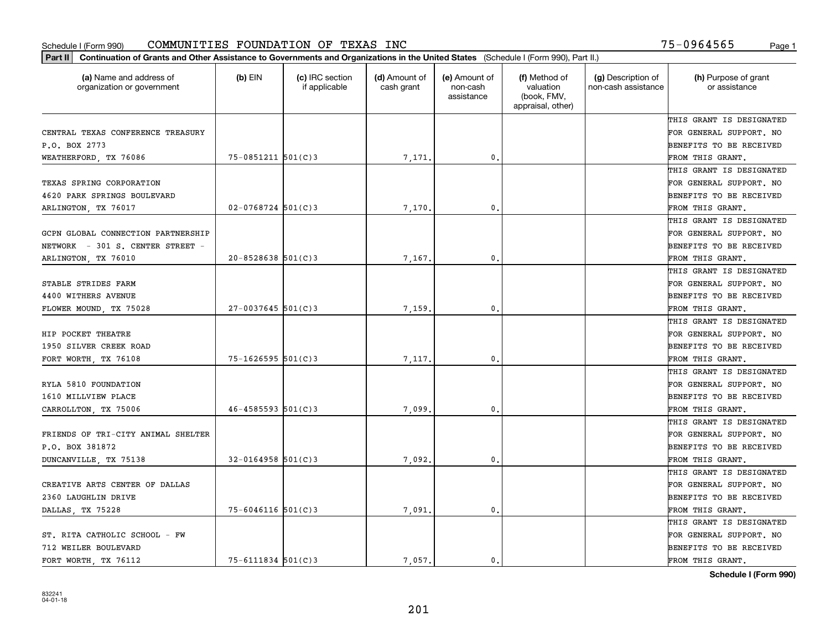| (a) Name and address of<br>organization or government | $(b)$ EIN              | (c) IRC section<br>if applicable | (d) Amount of<br>cash grant | (e) Amount of<br>non-cash<br>assistance | (f) Method of<br>valuation<br>(book, FMV,<br>appraisal, other) | (g) Description of<br>non-cash assistance | (h) Purpose of grant<br>or assistance |
|-------------------------------------------------------|------------------------|----------------------------------|-----------------------------|-----------------------------------------|----------------------------------------------------------------|-------------------------------------------|---------------------------------------|
|                                                       |                        |                                  |                             |                                         |                                                                |                                           | THIS GRANT IS DESIGNATED              |
| CENTRAL TEXAS CONFERENCE TREASURY                     |                        |                                  |                             |                                         |                                                                |                                           | FOR GENERAL SUPPORT. NO               |
| P.O. BOX 2773                                         |                        |                                  |                             |                                         |                                                                |                                           | BENEFITS TO BE RECEIVED               |
| WEATHERFORD, TX 76086                                 | $75 - 0851211$ 501(C)3 |                                  | 7,171.                      | $\mathfrak{o}$ .                        |                                                                |                                           | FROM THIS GRANT.                      |
|                                                       |                        |                                  |                             |                                         |                                                                |                                           | THIS GRANT IS DESIGNATED              |
| TEXAS SPRING CORPORATION                              |                        |                                  |                             |                                         |                                                                |                                           | FOR GENERAL SUPPORT. NO               |
| 4620 PARK SPRINGS BOULEVARD                           |                        |                                  |                             |                                         |                                                                |                                           | BENEFITS TO BE RECEIVED               |
| ARLINGTON, TX 76017                                   | $02 - 0768724$ 501(C)3 |                                  | 7,170                       | $\mathbf{0}$                            |                                                                |                                           | FROM THIS GRANT.                      |
|                                                       |                        |                                  |                             |                                         |                                                                |                                           | THIS GRANT IS DESIGNATED              |
| GCPN GLOBAL CONNECTION PARTNERSHIP                    |                        |                                  |                             |                                         |                                                                |                                           | FOR GENERAL SUPPORT. NO               |
| NETWORK - 301 S. CENTER STREET -                      |                        |                                  |                             |                                         |                                                                |                                           | BENEFITS TO BE RECEIVED               |
| ARLINGTON, TX 76010                                   | $20 - 8528638$ 501(C)3 |                                  | 7,167                       | $\mathbf{0}$ .                          |                                                                |                                           | FROM THIS GRANT.                      |
|                                                       |                        |                                  |                             |                                         |                                                                |                                           | THIS GRANT IS DESIGNATED              |
| STABLE STRIDES FARM                                   |                        |                                  |                             |                                         |                                                                |                                           | FOR GENERAL SUPPORT. NO               |
| 4400 WITHERS AVENUE                                   |                        |                                  |                             |                                         |                                                                |                                           | BENEFITS TO BE RECEIVED               |
| FLOWER MOUND, TX 75028                                | $27 - 0037645$ 501(C)3 |                                  | 7,159                       | $\mathbf{0}$                            |                                                                |                                           | FROM THIS GRANT.                      |
|                                                       |                        |                                  |                             |                                         |                                                                |                                           | THIS GRANT IS DESIGNATED              |
| HIP POCKET THEATRE                                    |                        |                                  |                             |                                         |                                                                |                                           | FOR GENERAL SUPPORT. NO               |
| 1950 SILVER CREEK ROAD                                |                        |                                  |                             |                                         |                                                                |                                           | BENEFITS TO BE RECEIVED               |
| FORT WORTH, TX 76108                                  | $75 - 1626595$ 501(C)3 |                                  | 7,117                       | $\mathbf{0}$                            |                                                                |                                           | FROM THIS GRANT.                      |
|                                                       |                        |                                  |                             |                                         |                                                                |                                           | THIS GRANT IS DESIGNATED              |
| RYLA 5810 FOUNDATION                                  |                        |                                  |                             |                                         |                                                                |                                           | FOR GENERAL SUPPORT. NO               |
| 1610 MILLVIEW PLACE                                   |                        |                                  |                             |                                         |                                                                |                                           | BENEFITS TO BE RECEIVED               |
| CARROLLTON, TX 75006                                  | $46 - 4585593$ 501(C)3 |                                  | 7,099                       | $\mathbf{0}$                            |                                                                |                                           | FROM THIS GRANT.                      |
|                                                       |                        |                                  |                             |                                         |                                                                |                                           | THIS GRANT IS DESIGNATED              |
| FRIENDS OF TRI-CITY ANIMAL SHELTER                    |                        |                                  |                             |                                         |                                                                |                                           | FOR GENERAL SUPPORT. NO               |
| P.O. BOX 381872                                       |                        |                                  |                             |                                         |                                                                |                                           | BENEFITS TO BE RECEIVED               |
| DUNCANVILLE, TX 75138                                 | $32 - 0164958$ 501(C)3 |                                  | 7,092.                      | $\mathbf{0}$ .                          |                                                                |                                           | FROM THIS GRANT.                      |
|                                                       |                        |                                  |                             |                                         |                                                                |                                           | THIS GRANT IS DESIGNATED              |
| CREATIVE ARTS CENTER OF DALLAS                        |                        |                                  |                             |                                         |                                                                |                                           | FOR GENERAL SUPPORT. NO               |
| 2360 LAUGHLIN DRIVE                                   |                        |                                  |                             |                                         |                                                                |                                           | BENEFITS TO BE RECEIVED               |
| DALLAS, TX 75228                                      | $75 - 6046116$ 501(C)3 |                                  | 7,091.                      | $\mathbf{0}$ .                          |                                                                |                                           | FROM THIS GRANT.                      |
|                                                       |                        |                                  |                             |                                         |                                                                |                                           | THIS GRANT IS DESIGNATED              |
| ST. RITA CATHOLIC SCHOOL - FW                         |                        |                                  |                             |                                         |                                                                |                                           | FOR GENERAL SUPPORT. NO               |
| 712 WEILER BOULEVARD                                  |                        |                                  |                             |                                         |                                                                |                                           | BENEFITS TO BE RECEIVED               |
| FORT WORTH, TX 76112                                  | $75 - 6111834$ 501(C)3 |                                  | 7.057.                      | 0.                                      |                                                                |                                           | FROM THIS GRANT.                      |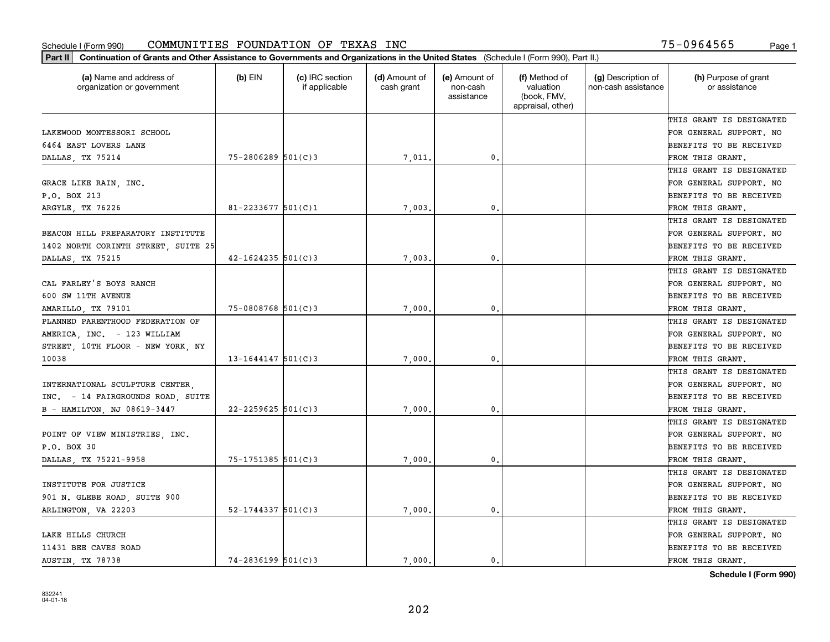| (a) Name and address of<br>organization or government | $(b)$ EIN                | (c) IRC section<br>if applicable | (d) Amount of<br>cash grant | (e) Amount of<br>non-cash<br>assistance | (f) Method of<br>valuation<br>(book, FMV,<br>appraisal, other) | (g) Description of<br>non-cash assistance | (h) Purpose of grant<br>or assistance |
|-------------------------------------------------------|--------------------------|----------------------------------|-----------------------------|-----------------------------------------|----------------------------------------------------------------|-------------------------------------------|---------------------------------------|
|                                                       |                          |                                  |                             |                                         |                                                                |                                           | THIS GRANT IS DESIGNATED              |
| LAKEWOOD MONTESSORI SCHOOL                            |                          |                                  |                             |                                         |                                                                |                                           | FOR GENERAL SUPPORT. NO               |
| 6464 EAST LOVERS LANE                                 |                          |                                  |                             |                                         |                                                                |                                           | BENEFITS TO BE RECEIVED               |
| DALLAS, TX 75214                                      | $75 - 2806289$ 501(C)3   |                                  | 7,011                       | 0.                                      |                                                                |                                           | FROM THIS GRANT.                      |
|                                                       |                          |                                  |                             |                                         |                                                                |                                           | THIS GRANT IS DESIGNATED              |
| GRACE LIKE RAIN, INC.                                 |                          |                                  |                             |                                         |                                                                |                                           | FOR GENERAL SUPPORT. NO               |
| P.O. BOX 213                                          |                          |                                  |                             |                                         |                                                                |                                           | BENEFITS TO BE RECEIVED               |
| ARGYLE, TX 76226                                      | $81 - 2233677$ 501(C)1   |                                  | 7,003                       | $\mathbf{0}$                            |                                                                |                                           | FROM THIS GRANT.                      |
|                                                       |                          |                                  |                             |                                         |                                                                |                                           | THIS GRANT IS DESIGNATED              |
| BEACON HILL PREPARATORY INSTITUTE                     |                          |                                  |                             |                                         |                                                                |                                           | FOR GENERAL SUPPORT. NO               |
| 1402 NORTH CORINTH STREET, SUITE 25                   |                          |                                  |                             |                                         |                                                                |                                           | BENEFITS TO BE RECEIVED               |
| DALLAS, TX 75215                                      | $42 - 1624235$ 501(C)3   |                                  | 7,003                       | $\mathbf{0}$ .                          |                                                                |                                           | FROM THIS GRANT.                      |
|                                                       |                          |                                  |                             |                                         |                                                                |                                           | THIS GRANT IS DESIGNATED              |
| CAL FARLEY'S BOYS RANCH                               |                          |                                  |                             |                                         |                                                                |                                           | FOR GENERAL SUPPORT. NO               |
| 600 SW 11TH AVENUE                                    |                          |                                  |                             |                                         |                                                                |                                           | BENEFITS TO BE RECEIVED               |
| AMARILLO, TX 79101                                    | 75-0808768 501(C)3       |                                  | 7,000                       | 0.                                      |                                                                |                                           | FROM THIS GRANT.                      |
| PLANNED PARENTHOOD FEDERATION OF                      |                          |                                  |                             |                                         |                                                                |                                           | THIS GRANT IS DESIGNATED              |
| AMERICA, INC. - 123 WILLIAM                           |                          |                                  |                             |                                         |                                                                |                                           | FOR GENERAL SUPPORT. NO               |
| STREET, 10TH FLOOR - NEW YORK, NY                     |                          |                                  |                             |                                         |                                                                |                                           | BENEFITS TO BE RECEIVED               |
| 10038                                                 | $13 - 1644147$ 501(C) 3  |                                  | 7,000                       | $\mathbf{0}$                            |                                                                |                                           | FROM THIS GRANT.                      |
|                                                       |                          |                                  |                             |                                         |                                                                |                                           | THIS GRANT IS DESIGNATED              |
| INTERNATIONAL SCULPTURE CENTER,                       |                          |                                  |                             |                                         |                                                                |                                           | FOR GENERAL SUPPORT. NO               |
| INC. - 14 FAIRGROUNDS ROAD, SUITE                     |                          |                                  |                             |                                         |                                                                |                                           | BENEFITS TO BE RECEIVED               |
| B - HAMILTON, NJ 08619-3447                           | $22 - 2259625$ 501(C)3   |                                  | 7,000                       | $\mathbf{0}$                            |                                                                |                                           | FROM THIS GRANT.                      |
|                                                       |                          |                                  |                             |                                         |                                                                |                                           | THIS GRANT IS DESIGNATED              |
| POINT OF VIEW MINISTRIES, INC.                        |                          |                                  |                             |                                         |                                                                |                                           | FOR GENERAL SUPPORT. NO               |
| P.O. BOX 30                                           |                          |                                  |                             |                                         |                                                                |                                           | BENEFITS TO BE RECEIVED               |
| DALLAS, TX 75221-9958                                 | 75-1751385 501(C)3       |                                  | 7,000                       | 0.                                      |                                                                |                                           | FROM THIS GRANT.                      |
|                                                       |                          |                                  |                             |                                         |                                                                |                                           | THIS GRANT IS DESIGNATED              |
| INSTITUTE FOR JUSTICE                                 |                          |                                  |                             |                                         |                                                                |                                           | FOR GENERAL SUPPORT. NO               |
| 901 N. GLEBE ROAD, SUITE 900                          |                          |                                  |                             |                                         |                                                                |                                           | BENEFITS TO BE RECEIVED               |
| ARLINGTON, VA 22203                                   | $52 - 1744337$ $501(C)3$ |                                  | 7,000.                      | $\mathbf{0}$ .                          |                                                                |                                           | FROM THIS GRANT.                      |
|                                                       |                          |                                  |                             |                                         |                                                                |                                           | THIS GRANT IS DESIGNATED              |
| LAKE HILLS CHURCH                                     |                          |                                  |                             |                                         |                                                                |                                           | FOR GENERAL SUPPORT. NO               |
| 11431 BEE CAVES ROAD                                  |                          |                                  |                             |                                         |                                                                |                                           | BENEFITS TO BE RECEIVED               |
| AUSTIN, TX 78738                                      | 74-2836199 501(C)3       |                                  | 7.000.                      | 0.                                      |                                                                |                                           | FROM THIS GRANT.                      |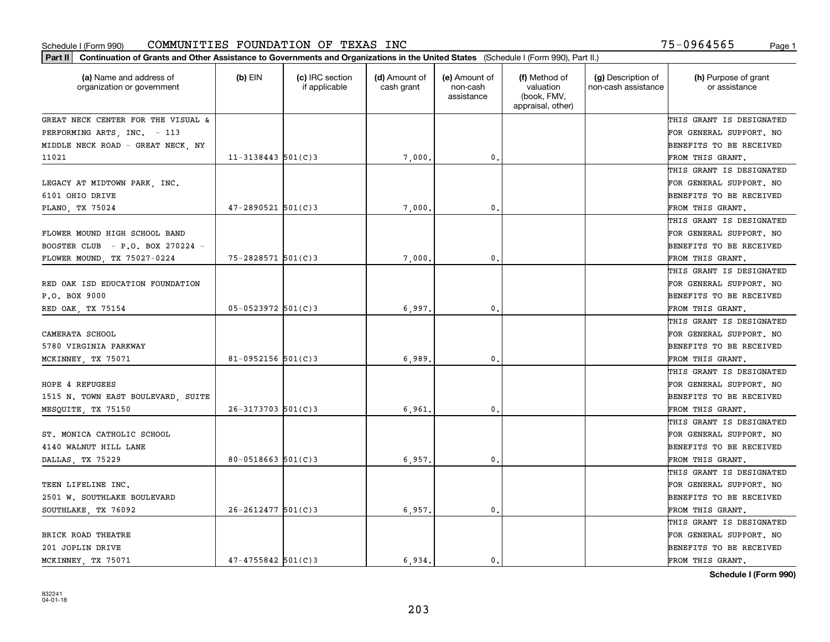|                                                       | Part II   Continuation of Grants and Other Assistance to Governments and Organizations in the United States (Schedule I (Form 990), Part II.) |                                  |                             |                                         |                                                                |                                           |                                       |  |  |  |  |
|-------------------------------------------------------|-----------------------------------------------------------------------------------------------------------------------------------------------|----------------------------------|-----------------------------|-----------------------------------------|----------------------------------------------------------------|-------------------------------------------|---------------------------------------|--|--|--|--|
| (a) Name and address of<br>organization or government | (b) $EIN$                                                                                                                                     | (c) IRC section<br>if applicable | (d) Amount of<br>cash grant | (e) Amount of<br>non-cash<br>assistance | (f) Method of<br>valuation<br>(book, FMV,<br>appraisal, other) | (g) Description of<br>non-cash assistance | (h) Purpose of grant<br>or assistance |  |  |  |  |
| GREAT NECK CENTER FOR THE VISUAL &                    |                                                                                                                                               |                                  |                             |                                         |                                                                |                                           | THIS GRANT IS DESIGNATED              |  |  |  |  |
| PERFORMING ARTS, INC. - 113                           |                                                                                                                                               |                                  |                             |                                         |                                                                |                                           | FOR GENERAL SUPPORT. NO               |  |  |  |  |
| MIDDLE NECK ROAD - GREAT NECK, NY                     |                                                                                                                                               |                                  |                             |                                         |                                                                |                                           | BENEFITS TO BE RECEIVED               |  |  |  |  |
| 11021                                                 | $11 - 3138443$ 501(C)3                                                                                                                        |                                  | 7,000                       | 0.                                      |                                                                |                                           | FROM THIS GRANT.                      |  |  |  |  |
|                                                       |                                                                                                                                               |                                  |                             |                                         |                                                                |                                           | THIS GRANT IS DESIGNATED              |  |  |  |  |
| LEGACY AT MIDTOWN PARK, INC.                          |                                                                                                                                               |                                  |                             |                                         |                                                                |                                           | FOR GENERAL SUPPORT. NO               |  |  |  |  |
| 6101 OHIO DRIVE                                       |                                                                                                                                               |                                  |                             |                                         |                                                                |                                           | BENEFITS TO BE RECEIVED               |  |  |  |  |
| PLANO, TX 75024                                       | $47 - 2890521$ 501(C)3                                                                                                                        |                                  | 7,000                       | 0.                                      |                                                                |                                           | FROM THIS GRANT.                      |  |  |  |  |
|                                                       |                                                                                                                                               |                                  |                             |                                         |                                                                |                                           | THIS GRANT IS DESIGNATED              |  |  |  |  |
| FLOWER MOUND HIGH SCHOOL BAND                         |                                                                                                                                               |                                  |                             |                                         |                                                                |                                           | FOR GENERAL SUPPORT. NO               |  |  |  |  |
| BOOSTER CLUB - P.O. BOX 270224 -                      |                                                                                                                                               |                                  |                             |                                         |                                                                |                                           | BENEFITS TO BE RECEIVED               |  |  |  |  |
| FLOWER MOUND, TX 75027-0224                           | 75-2828571 501(C)3                                                                                                                            |                                  | 7,000                       | 0.                                      |                                                                |                                           | FROM THIS GRANT.                      |  |  |  |  |
|                                                       |                                                                                                                                               |                                  |                             |                                         |                                                                |                                           | THIS GRANT IS DESIGNATED              |  |  |  |  |
| RED OAK ISD EDUCATION FOUNDATION                      |                                                                                                                                               |                                  |                             |                                         |                                                                |                                           | FOR GENERAL SUPPORT. NO               |  |  |  |  |
| P.O. BOX 9000                                         |                                                                                                                                               |                                  |                             |                                         |                                                                |                                           | <b>BENEFITS TO BE RECEIVED</b>        |  |  |  |  |
| RED OAK, TX 75154                                     | $05 - 0523972$ 501(C)3                                                                                                                        |                                  | 6,997.                      | 0.                                      |                                                                |                                           | FROM THIS GRANT.                      |  |  |  |  |
|                                                       |                                                                                                                                               |                                  |                             |                                         |                                                                |                                           | THIS GRANT IS DESIGNATED              |  |  |  |  |
| CAMERATA SCHOOL                                       |                                                                                                                                               |                                  |                             |                                         |                                                                |                                           | FOR GENERAL SUPPORT. NO               |  |  |  |  |
| 5780 VIRGINIA PARKWAY                                 |                                                                                                                                               |                                  |                             |                                         |                                                                |                                           | BENEFITS TO BE RECEIVED               |  |  |  |  |
| MCKINNEY, TX 75071                                    | 81-0952156 $501(C)$ 3                                                                                                                         |                                  | 6,989                       | 0.                                      |                                                                |                                           | FROM THIS GRANT.                      |  |  |  |  |
|                                                       |                                                                                                                                               |                                  |                             |                                         |                                                                |                                           | THIS GRANT IS DESIGNATED              |  |  |  |  |
| HOPE 4 REFUGEES                                       |                                                                                                                                               |                                  |                             |                                         |                                                                |                                           | FOR GENERAL SUPPORT. NO               |  |  |  |  |
| 1515 N. TOWN EAST BOULEVARD, SUITE                    |                                                                                                                                               |                                  |                             |                                         |                                                                |                                           | BENEFITS TO BE RECEIVED               |  |  |  |  |
| MESQUITE, TX 75150                                    | $26-3173703$ $501(C)3$                                                                                                                        |                                  | 6,961                       | 0.                                      |                                                                |                                           | FROM THIS GRANT.                      |  |  |  |  |
|                                                       |                                                                                                                                               |                                  |                             |                                         |                                                                |                                           | THIS GRANT IS DESIGNATED              |  |  |  |  |
| ST. MONICA CATHOLIC SCHOOL                            |                                                                                                                                               |                                  |                             |                                         |                                                                |                                           | FOR GENERAL SUPPORT. NO               |  |  |  |  |
| 4140 WALNUT HILL LANE                                 |                                                                                                                                               |                                  |                             |                                         |                                                                |                                           | BENEFITS TO BE RECEIVED               |  |  |  |  |
| DALLAS, TX 75229                                      | $80 - 0518663$ $501(C)3$                                                                                                                      |                                  | 6,957.                      | 0.                                      |                                                                |                                           | FROM THIS GRANT.                      |  |  |  |  |
|                                                       |                                                                                                                                               |                                  |                             |                                         |                                                                |                                           | THIS GRANT IS DESIGNATED              |  |  |  |  |
| TEEN LIFELINE INC.                                    |                                                                                                                                               |                                  |                             |                                         |                                                                |                                           | FOR GENERAL SUPPORT. NO               |  |  |  |  |
| 2501 W. SOUTHLAKE BOULEVARD                           |                                                                                                                                               |                                  |                             |                                         |                                                                |                                           | BENEFITS TO BE RECEIVED               |  |  |  |  |
| SOUTHLAKE, TX 76092                                   | $26 - 2612477$ 501(C)3                                                                                                                        |                                  | 6,957.                      | 0.                                      |                                                                |                                           | FROM THIS GRANT.                      |  |  |  |  |
|                                                       |                                                                                                                                               |                                  |                             |                                         |                                                                |                                           | THIS GRANT IS DESIGNATED              |  |  |  |  |
| BRICK ROAD THEATRE                                    |                                                                                                                                               |                                  |                             |                                         |                                                                |                                           | FOR GENERAL SUPPORT. NO               |  |  |  |  |
| 201 JOPLIN DRIVE                                      |                                                                                                                                               |                                  |                             |                                         |                                                                |                                           | BENEFITS TO BE RECEIVED               |  |  |  |  |
| MCKINNEY TX 75071                                     | $47 - 4755842$ 501(C)3                                                                                                                        |                                  | 6.934.                      | 0.                                      |                                                                |                                           | FROM THIS GRANT.                      |  |  |  |  |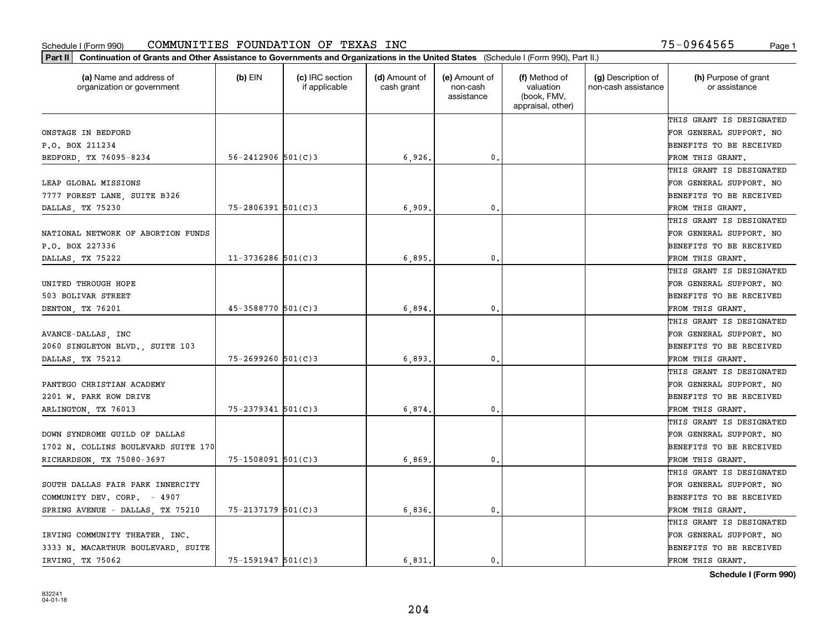| Part II   Continuation of Grants and Other Assistance to Governments and Organizations in the United States (Schedule I (Form 990), Part II.) |                          |                                  |                             |                                         |                                                                |                                           |                                       |
|-----------------------------------------------------------------------------------------------------------------------------------------------|--------------------------|----------------------------------|-----------------------------|-----------------------------------------|----------------------------------------------------------------|-------------------------------------------|---------------------------------------|
| (a) Name and address of<br>organization or government                                                                                         | $(b)$ EIN                | (c) IRC section<br>if applicable | (d) Amount of<br>cash grant | (e) Amount of<br>non-cash<br>assistance | (f) Method of<br>valuation<br>(book, FMV,<br>appraisal, other) | (g) Description of<br>non-cash assistance | (h) Purpose of grant<br>or assistance |
|                                                                                                                                               |                          |                                  |                             |                                         |                                                                |                                           | THIS GRANT IS DESIGNATED              |
| ONSTAGE IN BEDFORD                                                                                                                            |                          |                                  |                             |                                         |                                                                |                                           | FOR GENERAL SUPPORT. NO               |
| P.O. BOX 211234                                                                                                                               |                          |                                  |                             |                                         |                                                                |                                           | <b>BENEFITS TO BE RECEIVED</b>        |
| BEDFORD, TX 76095-8234                                                                                                                        | $56 - 2412906$ $501(C)3$ |                                  | 6,926,                      | 0.                                      |                                                                |                                           | FROM THIS GRANT.                      |
|                                                                                                                                               |                          |                                  |                             |                                         |                                                                |                                           | THIS GRANT IS DESIGNATED              |
| LEAP GLOBAL MISSIONS                                                                                                                          |                          |                                  |                             |                                         |                                                                |                                           | FOR GENERAL SUPPORT. NO               |
| 7777 FOREST LANE, SUITE B326                                                                                                                  |                          |                                  |                             |                                         |                                                                |                                           | <b>BENEFITS TO BE RECEIVED</b>        |
| DALLAS, TX 75230                                                                                                                              | $75 - 2806391$ 501(C)3   |                                  | 6,909                       | 0.                                      |                                                                |                                           | FROM THIS GRANT.                      |
|                                                                                                                                               |                          |                                  |                             |                                         |                                                                |                                           | THIS GRANT IS DESIGNATED              |
| NATIONAL NETWORK OF ABORTION FUNDS                                                                                                            |                          |                                  |                             |                                         |                                                                |                                           | FOR GENERAL SUPPORT. NO               |
| P.O. BOX 227336                                                                                                                               |                          |                                  |                             |                                         |                                                                |                                           | BENEFITS TO BE RECEIVED               |
| DALLAS, TX 75222                                                                                                                              | $11-3736286$ 501(C)3     |                                  | 6,895.                      | $\mathfrak{o}$ .                        |                                                                |                                           | FROM THIS GRANT.                      |
|                                                                                                                                               |                          |                                  |                             |                                         |                                                                |                                           | THIS GRANT IS DESIGNATED              |
| UNITED THROUGH HOPE                                                                                                                           |                          |                                  |                             |                                         |                                                                |                                           | FOR GENERAL SUPPORT. NO               |
| 503 BOLIVAR STREET                                                                                                                            |                          |                                  |                             |                                         |                                                                |                                           | <b>BENEFITS TO BE RECEIVED</b>        |
| DENTON, TX 76201                                                                                                                              | $45 - 3588770$ 501(C) 3  |                                  | 6,894.                      | 0.                                      |                                                                |                                           | FROM THIS GRANT.                      |
|                                                                                                                                               |                          |                                  |                             |                                         |                                                                |                                           | THIS GRANT IS DESIGNATED              |
| AVANCE-DALLAS, INC                                                                                                                            |                          |                                  |                             |                                         |                                                                |                                           | FOR GENERAL SUPPORT. NO               |
| 2060 SINGLETON BLVD., SUITE 103                                                                                                               |                          |                                  |                             |                                         |                                                                |                                           | BENEFITS TO BE RECEIVED               |
| DALLAS, TX 75212                                                                                                                              | $75 - 2699260$ 501(C)3   |                                  | 6,893                       | 0.                                      |                                                                |                                           | FROM THIS GRANT.                      |
|                                                                                                                                               |                          |                                  |                             |                                         |                                                                |                                           | THIS GRANT IS DESIGNATED              |
| PANTEGO CHRISTIAN ACADEMY                                                                                                                     |                          |                                  |                             |                                         |                                                                |                                           | FOR GENERAL SUPPORT. NO               |
| 2201 W. PARK ROW DRIVE                                                                                                                        |                          |                                  |                             |                                         |                                                                |                                           | BENEFITS TO BE RECEIVED               |
| ARLINGTON, TX 76013                                                                                                                           | $75 - 2379341$ 501(C)3   |                                  | 6,874.                      | 0.                                      |                                                                |                                           | FROM THIS GRANT.                      |
|                                                                                                                                               |                          |                                  |                             |                                         |                                                                |                                           | THIS GRANT IS DESIGNATED              |
| DOWN SYNDROME GUILD OF DALLAS                                                                                                                 |                          |                                  |                             |                                         |                                                                |                                           | FOR GENERAL SUPPORT. NO               |
| 1702 N. COLLINS BOULEVARD SUITE 170                                                                                                           |                          |                                  |                             |                                         |                                                                |                                           | <b>BENEFITS TO BE RECEIVED</b>        |
| RICHARDSON, TX 75080-3697                                                                                                                     | $75 - 1508091$ 501(C)3   |                                  | 6,869                       | $\mathfrak{o}$ .                        |                                                                |                                           | FROM THIS GRANT.                      |
|                                                                                                                                               |                          |                                  |                             |                                         |                                                                |                                           | THIS GRANT IS DESIGNATED              |
| SOUTH DALLAS FAIR PARK INNERCITY                                                                                                              |                          |                                  |                             |                                         |                                                                |                                           | FOR GENERAL SUPPORT. NO               |
| COMMUNITY DEV. CORP. - 4907                                                                                                                   |                          |                                  |                             |                                         |                                                                |                                           | BENEFITS TO BE RECEIVED               |
| SPRING AVENUE - DALLAS, TX 75210                                                                                                              | $75 - 2137179$ 501(C)3   |                                  | 6,836.                      | 0.                                      |                                                                |                                           | FROM THIS GRANT.                      |
|                                                                                                                                               |                          |                                  |                             |                                         |                                                                |                                           | THIS GRANT IS DESIGNATED              |
| IRVING COMMUNITY THEATER, INC.                                                                                                                |                          |                                  |                             |                                         |                                                                |                                           | FOR GENERAL SUPPORT. NO               |
| 3333 N. MACARTHUR BOULEVARD, SUITE                                                                                                            |                          |                                  |                             |                                         |                                                                |                                           | <b>BENEFITS TO BE RECEIVED</b>        |
| IRVING, TX 75062                                                                                                                              | $75 - 1591947$ 501(C)3   |                                  | 6.831.                      | 0.                                      |                                                                |                                           | FROM THIS GRANT.                      |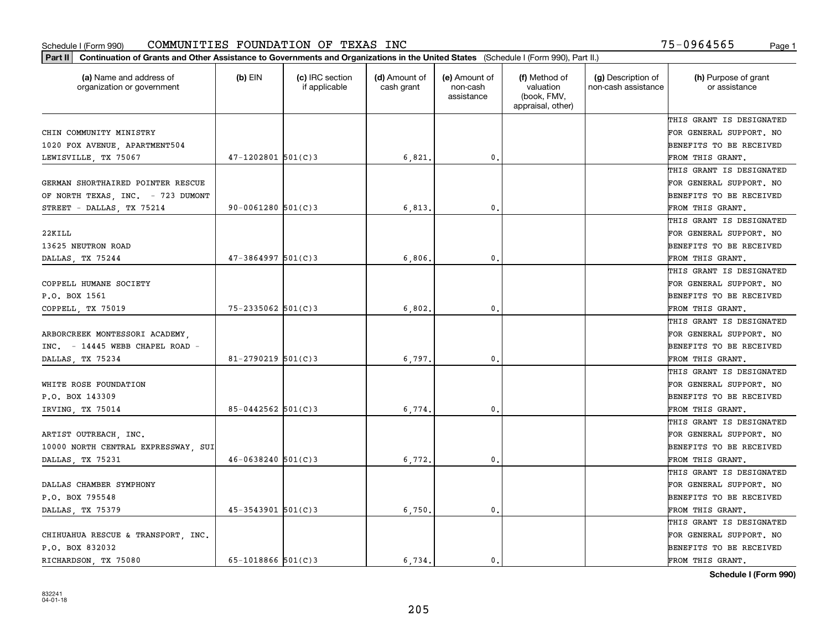| Part II   Continuation of Grants and Other Assistance to Governments and Organizations in the United States (Schedule I (Form 990), Part II.)<br>(a) Name and address of<br>organization or government | $(b)$ EIN              | (c) IRC section<br>if applicable | (d) Amount of<br>cash grant | (e) Amount of<br>non-cash<br>assistance | (f) Method of<br>valuation<br>(book, FMV,<br>appraisal, other) | (g) Description of<br>non-cash assistance | (h) Purpose of grant<br>or assistance |
|--------------------------------------------------------------------------------------------------------------------------------------------------------------------------------------------------------|------------------------|----------------------------------|-----------------------------|-----------------------------------------|----------------------------------------------------------------|-------------------------------------------|---------------------------------------|
|                                                                                                                                                                                                        |                        |                                  |                             |                                         |                                                                |                                           | THIS GRANT IS DESIGNATED              |
| CHIN COMMUNITY MINISTRY                                                                                                                                                                                |                        |                                  |                             |                                         |                                                                |                                           | FOR GENERAL SUPPORT. NO               |
| 1020 FOX AVENUE, APARTMENT504                                                                                                                                                                          |                        |                                  |                             |                                         |                                                                |                                           | <b>BENEFITS TO BE RECEIVED</b>        |
| LEWISVILLE, TX 75067                                                                                                                                                                                   | $47 - 1202801$ 501(C)3 |                                  | 6,821                       | 0.                                      |                                                                |                                           | FROM THIS GRANT.                      |
|                                                                                                                                                                                                        |                        |                                  |                             |                                         |                                                                |                                           | THIS GRANT IS DESIGNATED              |
| GERMAN SHORTHAIRED POINTER RESCUE                                                                                                                                                                      |                        |                                  |                             |                                         |                                                                |                                           | FOR GENERAL SUPPORT. NO               |
| OF NORTH TEXAS, INC. - 723 DUMONT                                                                                                                                                                      |                        |                                  |                             |                                         |                                                                |                                           | BENEFITS TO BE RECEIVED               |
| STREET - DALLAS, TX 75214                                                                                                                                                                              | $90 - 0061280$ 501(C)3 |                                  | 6,813                       | 0.                                      |                                                                |                                           | FROM THIS GRANT.                      |
|                                                                                                                                                                                                        |                        |                                  |                             |                                         |                                                                |                                           | THIS GRANT IS DESIGNATED              |
| 22KILL                                                                                                                                                                                                 |                        |                                  |                             |                                         |                                                                |                                           | FOR GENERAL SUPPORT. NO               |
| 13625 NEUTRON ROAD                                                                                                                                                                                     |                        |                                  |                             |                                         |                                                                |                                           | BENEFITS TO BE RECEIVED               |
| DALLAS, TX 75244                                                                                                                                                                                       | $47 - 3864997$ 501(C)3 |                                  | 6,806                       | $\mathbf{0}$ .                          |                                                                |                                           | FROM THIS GRANT.                      |
|                                                                                                                                                                                                        |                        |                                  |                             |                                         |                                                                |                                           | THIS GRANT IS DESIGNATED              |
| COPPELL HUMANE SOCIETY                                                                                                                                                                                 |                        |                                  |                             |                                         |                                                                |                                           | FOR GENERAL SUPPORT. NO               |
| P.O. BOX 1561                                                                                                                                                                                          |                        |                                  |                             |                                         |                                                                |                                           | BENEFITS TO BE RECEIVED               |
| COPPELL, TX 75019                                                                                                                                                                                      | $75 - 2335062$ 501(C)3 |                                  | 6,802                       | 0.                                      |                                                                |                                           | FROM THIS GRANT.                      |
|                                                                                                                                                                                                        |                        |                                  |                             |                                         |                                                                |                                           | THIS GRANT IS DESIGNATED              |
| ARBORCREEK MONTESSORI ACADEMY.                                                                                                                                                                         |                        |                                  |                             |                                         |                                                                |                                           | FOR GENERAL SUPPORT. NO               |
| $INC. = 14445 \text{ WEB CHAPEL ROAD}$ -                                                                                                                                                               |                        |                                  |                             |                                         |                                                                |                                           | BENEFITS TO BE RECEIVED               |
| DALLAS, TX 75234                                                                                                                                                                                       | $81 - 2790219$ 501(C)3 |                                  | 6,797                       | 0.                                      |                                                                |                                           | FROM THIS GRANT.                      |
|                                                                                                                                                                                                        |                        |                                  |                             |                                         |                                                                |                                           | THIS GRANT IS DESIGNATED              |
| WHITE ROSE FOUNDATION                                                                                                                                                                                  |                        |                                  |                             |                                         |                                                                |                                           | FOR GENERAL SUPPORT. NO               |
| P.O. BOX 143309                                                                                                                                                                                        |                        |                                  |                             |                                         |                                                                |                                           | <b>BENEFITS TO BE RECEIVED</b>        |
| IRVING, TX 75014                                                                                                                                                                                       | $85 - 0442562$ 501(C)3 |                                  | 6,774                       | 0.                                      |                                                                |                                           | FROM THIS GRANT.                      |
|                                                                                                                                                                                                        |                        |                                  |                             |                                         |                                                                |                                           | THIS GRANT IS DESIGNATED              |
| ARTIST OUTREACH, INC.                                                                                                                                                                                  |                        |                                  |                             |                                         |                                                                |                                           | FOR GENERAL SUPPORT. NO               |
| 10000 NORTH CENTRAL EXPRESSWAY, SUI                                                                                                                                                                    |                        |                                  |                             |                                         |                                                                |                                           | <b>BENEFITS TO BE RECEIVED</b>        |
| DALLAS, TX 75231                                                                                                                                                                                       | $46 - 0638240$ 501(C)3 |                                  | 6,772.                      | $\mathbf{0}$ .                          |                                                                |                                           | FROM THIS GRANT.                      |
|                                                                                                                                                                                                        |                        |                                  |                             |                                         |                                                                |                                           | THIS GRANT IS DESIGNATED              |
| DALLAS CHAMBER SYMPHONY                                                                                                                                                                                |                        |                                  |                             |                                         |                                                                |                                           | FOR GENERAL SUPPORT. NO               |
| P.O. BOX 795548                                                                                                                                                                                        |                        |                                  |                             |                                         |                                                                |                                           | BENEFITS TO BE RECEIVED               |
| DALLAS, TX 75379                                                                                                                                                                                       | $45 - 3543901$ 501(C)3 |                                  | 6,750.                      | $\mathfrak o$ .                         |                                                                |                                           | FROM THIS GRANT.                      |
|                                                                                                                                                                                                        |                        |                                  |                             |                                         |                                                                |                                           | THIS GRANT IS DESIGNATED              |
| CHIHUAHUA RESCUE & TRANSPORT  INC.                                                                                                                                                                     |                        |                                  |                             |                                         |                                                                |                                           | FOR GENERAL SUPPORT. NO               |
| P.O. BOX 832032                                                                                                                                                                                        |                        |                                  |                             |                                         |                                                                |                                           | BENEFITS TO BE RECEIVED               |
| RICHARDSON, TX 75080                                                                                                                                                                                   | $65 - 1018866$ 501(C)3 |                                  | 6.734.                      | 0.                                      |                                                                |                                           | FROM THIS GRANT.                      |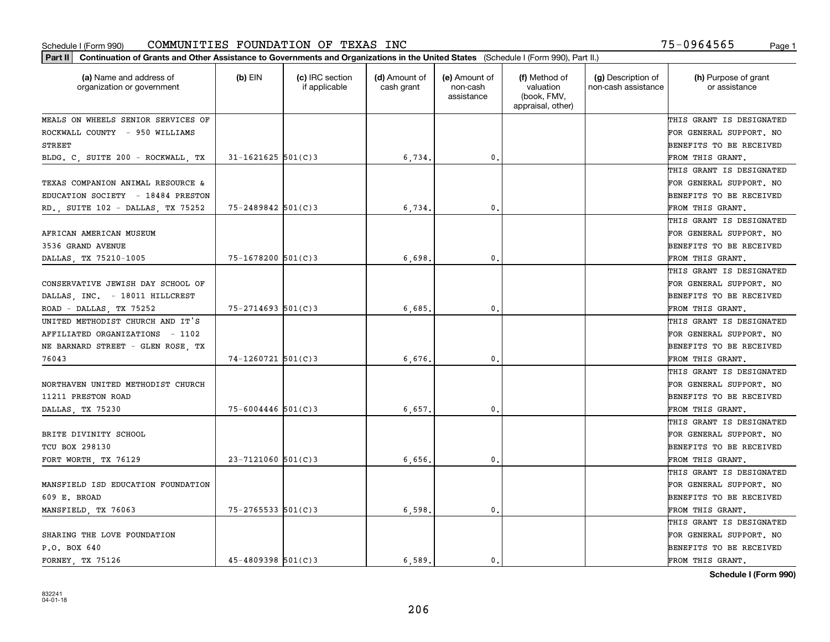| (a) Name and address of<br>organization or government | $(b)$ EIN                | (c) IRC section<br>if applicable | (d) Amount of<br>cash grant | (e) Amount of<br>non-cash<br>assistance | (f) Method of<br>valuation<br>(book, FMV,<br>appraisal, other) | (g) Description of<br>non-cash assistance | (h) Purpose of grant<br>or assistance |
|-------------------------------------------------------|--------------------------|----------------------------------|-----------------------------|-----------------------------------------|----------------------------------------------------------------|-------------------------------------------|---------------------------------------|
| MEALS ON WHEELS SENIOR SERVICES OF                    |                          |                                  |                             |                                         |                                                                |                                           | THIS GRANT IS DESIGNATED              |
| ROCKWALL COUNTY - 950 WILLIAMS                        |                          |                                  |                             |                                         |                                                                |                                           | FOR GENERAL SUPPORT. NO               |
| STREET                                                |                          |                                  |                             |                                         |                                                                |                                           | BENEFITS TO BE RECEIVED               |
| BLDG. C. SUITE 200 - ROCKWALL. TX                     | $31 - 1621625$ 501(C)3   |                                  | 6,734.                      | $\mathfrak{o}$ .                        |                                                                |                                           | FROM THIS GRANT.                      |
|                                                       |                          |                                  |                             |                                         |                                                                |                                           | THIS GRANT IS DESIGNATED              |
| TEXAS COMPANION ANIMAL RESOURCE &                     |                          |                                  |                             |                                         |                                                                |                                           | FOR GENERAL SUPPORT. NO               |
| EDUCATION SOCIETY - 18484 PRESTON                     |                          |                                  |                             |                                         |                                                                |                                           | BENEFITS TO BE RECEIVED               |
| RD., SUITE 102 - DALLAS, TX 75252                     | $75 - 2489842$ 501(C)3   |                                  | 6,734                       | $\mathbf{0}$                            |                                                                |                                           | FROM THIS GRANT.                      |
|                                                       |                          |                                  |                             |                                         |                                                                |                                           | THIS GRANT IS DESIGNATED              |
| AFRICAN AMERICAN MUSEUM                               |                          |                                  |                             |                                         |                                                                |                                           | FOR GENERAL SUPPORT. NO               |
| 3536 GRAND AVENUE                                     |                          |                                  |                             |                                         |                                                                |                                           | BENEFITS TO BE RECEIVED               |
| DALLAS, TX 75210-1005                                 | 75-1678200 501(C)3       |                                  | 6,698                       | $\mathfrak{o}$ .                        |                                                                |                                           | FROM THIS GRANT.                      |
|                                                       |                          |                                  |                             |                                         |                                                                |                                           | THIS GRANT IS DESIGNATED              |
| CONSERVATIVE JEWISH DAY SCHOOL OF                     |                          |                                  |                             |                                         |                                                                |                                           | FOR GENERAL SUPPORT. NO               |
| DALLAS, INC. - 18011 HILLCREST                        |                          |                                  |                             |                                         |                                                                |                                           | BENEFITS TO BE RECEIVED               |
| ROAD - DALLAS, TX 75252                               | $75 - 2714693$ 501(C)3   |                                  | 6,685                       | $\mathbf{0}$                            |                                                                |                                           | FROM THIS GRANT.                      |
| UNITED METHODIST CHURCH AND IT'S                      |                          |                                  |                             |                                         |                                                                |                                           | THIS GRANT IS DESIGNATED              |
| AFFILIATED ORGANIZATIONS - 1102                       |                          |                                  |                             |                                         |                                                                |                                           | FOR GENERAL SUPPORT. NO               |
| NE BARNARD STREET - GLEN ROSE, TX                     |                          |                                  |                             |                                         |                                                                |                                           | BENEFITS TO BE RECEIVED               |
| 76043                                                 | $74 - 1260721$ 501(C)3   |                                  | 6,676                       | $\mathbf{0}$                            |                                                                |                                           | FROM THIS GRANT.                      |
|                                                       |                          |                                  |                             |                                         |                                                                |                                           | THIS GRANT IS DESIGNATED              |
| NORTHAVEN UNITED METHODIST CHURCH                     |                          |                                  |                             |                                         |                                                                |                                           | FOR GENERAL SUPPORT. NO               |
| 11211 PRESTON ROAD                                    |                          |                                  |                             |                                         |                                                                |                                           | BENEFITS TO BE RECEIVED               |
| DALLAS, TX 75230                                      | $75 - 6004446$ 501(C)3   |                                  | 6,657                       | $\mathbf{0}$                            |                                                                |                                           | FROM THIS GRANT.                      |
|                                                       |                          |                                  |                             |                                         |                                                                |                                           | THIS GRANT IS DESIGNATED              |
| BRITE DIVINITY SCHOOL                                 |                          |                                  |                             |                                         |                                                                |                                           | FOR GENERAL SUPPORT. NO               |
| TCU BOX 298130                                        |                          |                                  |                             |                                         |                                                                |                                           | BENEFITS TO BE RECEIVED               |
| FORT WORTH, TX 76129                                  | $23 - 7121060$ 501(C)3   |                                  | 6,656                       | $\mathbf{0}$ .                          |                                                                |                                           | FROM THIS GRANT.                      |
|                                                       |                          |                                  |                             |                                         |                                                                |                                           | THIS GRANT IS DESIGNATED              |
| MANSFIELD ISD EDUCATION FOUNDATION                    |                          |                                  |                             |                                         |                                                                |                                           | FOR GENERAL SUPPORT. NO               |
| 609 E. BROAD                                          |                          |                                  |                             |                                         |                                                                |                                           | BENEFITS TO BE RECEIVED               |
| MANSFIELD, TX 76063                                   | $75 - 2765533$ $501(C)3$ |                                  | 6,598                       | $\mathbf{0}$ .                          |                                                                |                                           | FROM THIS GRANT.                      |
|                                                       |                          |                                  |                             |                                         |                                                                |                                           | THIS GRANT IS DESIGNATED              |
| SHARING THE LOVE FOUNDATION                           |                          |                                  |                             |                                         |                                                                |                                           | FOR GENERAL SUPPORT. NO               |
| P.O. BOX 640                                          |                          |                                  |                             |                                         |                                                                |                                           | BENEFITS TO BE RECEIVED               |
| FORNEY TX 75126                                       | $45 - 4809398$ 501(C)3   |                                  | 6,589.                      | 0.                                      |                                                                |                                           | FROM THIS GRANT.                      |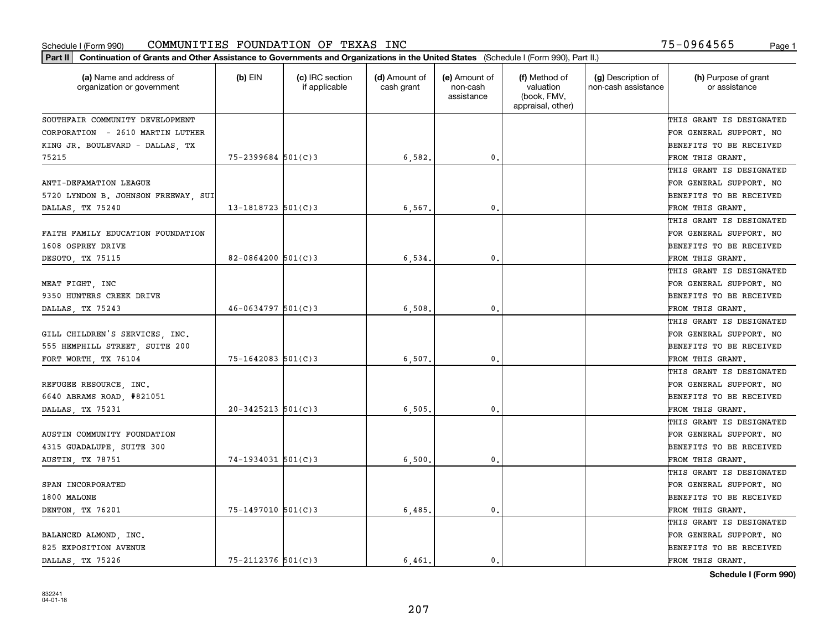| Part II   Continuation of Grants and Other Assistance to Governments and Organizations in the United States (Schedule I (Form 990), Part II.) |                        |                                  |                             |                                         |                                                                |                                           |                                       |
|-----------------------------------------------------------------------------------------------------------------------------------------------|------------------------|----------------------------------|-----------------------------|-----------------------------------------|----------------------------------------------------------------|-------------------------------------------|---------------------------------------|
| (a) Name and address of<br>organization or government                                                                                         | $(b)$ EIN              | (c) IRC section<br>if applicable | (d) Amount of<br>cash grant | (e) Amount of<br>non-cash<br>assistance | (f) Method of<br>valuation<br>(book, FMV,<br>appraisal, other) | (g) Description of<br>non-cash assistance | (h) Purpose of grant<br>or assistance |
| SOUTHFAIR COMMUNITY DEVELOPMENT                                                                                                               |                        |                                  |                             |                                         |                                                                |                                           | THIS GRANT IS DESIGNATED              |
| CORPORATION - 2610 MARTIN LUTHER                                                                                                              |                        |                                  |                             |                                         |                                                                |                                           | FOR GENERAL SUPPORT. NO               |
| KING JR. BOULEVARD - DALLAS, TX                                                                                                               |                        |                                  |                             |                                         |                                                                |                                           | BENEFITS TO BE RECEIVED               |
| 75215                                                                                                                                         | $75 - 2399684$ 501(C)3 |                                  | 6,582.                      | 0.                                      |                                                                |                                           | FROM THIS GRANT.                      |
|                                                                                                                                               |                        |                                  |                             |                                         |                                                                |                                           | THIS GRANT IS DESIGNATED              |
| ANTI-DEFAMATION LEAGUE                                                                                                                        |                        |                                  |                             |                                         |                                                                |                                           | FOR GENERAL SUPPORT. NO               |
| 5720 LYNDON B. JOHNSON FREEWAY, SUI                                                                                                           |                        |                                  |                             |                                         |                                                                |                                           | BENEFITS TO BE RECEIVED               |
| DALLAS, TX 75240                                                                                                                              | $13 - 1818723$ 501(C)3 |                                  | 6,567                       | $\mathbf{0}$                            |                                                                |                                           | FROM THIS GRANT.                      |
|                                                                                                                                               |                        |                                  |                             |                                         |                                                                |                                           | THIS GRANT IS DESIGNATED              |
| FAITH FAMILY EDUCATION FOUNDATION                                                                                                             |                        |                                  |                             |                                         |                                                                |                                           | FOR GENERAL SUPPORT. NO               |
| 1608 OSPREY DRIVE                                                                                                                             |                        |                                  |                             |                                         |                                                                |                                           | BENEFITS TO BE RECEIVED               |
| DESOTO, TX 75115                                                                                                                              | 82-0864200 $501(C)3$   |                                  | 6,534                       | $\mathfrak{o}$ .                        |                                                                |                                           | FROM THIS GRANT.                      |
|                                                                                                                                               |                        |                                  |                             |                                         |                                                                |                                           | THIS GRANT IS DESIGNATED              |
| MEAT FIGHT, INC                                                                                                                               |                        |                                  |                             |                                         |                                                                |                                           | FOR GENERAL SUPPORT. NO               |
| 9350 HUNTERS CREEK DRIVE                                                                                                                      |                        |                                  |                             |                                         |                                                                |                                           | <b>BENEFITS TO BE RECEIVED</b>        |
| DALLAS, TX 75243                                                                                                                              | $46 - 0634797$ 501(C)3 |                                  | 6,508                       | 0.                                      |                                                                |                                           | FROM THIS GRANT.                      |
|                                                                                                                                               |                        |                                  |                             |                                         |                                                                |                                           | THIS GRANT IS DESIGNATED              |
| GILL CHILDREN'S SERVICES, INC.                                                                                                                |                        |                                  |                             |                                         |                                                                |                                           | FOR GENERAL SUPPORT. NO               |
| 555 HEMPHILL STREET, SUITE 200                                                                                                                |                        |                                  |                             |                                         |                                                                |                                           | BENEFITS TO BE RECEIVED               |
| FORT WORTH, TX 76104                                                                                                                          | $75 - 1642083$ 501(C)3 |                                  | 6, 507                      | $\mathbf{0}$                            |                                                                |                                           | FROM THIS GRANT.                      |
|                                                                                                                                               |                        |                                  |                             |                                         |                                                                |                                           | THIS GRANT IS DESIGNATED              |
| REFUGEE RESOURCE, INC.                                                                                                                        |                        |                                  |                             |                                         |                                                                |                                           | FOR GENERAL SUPPORT. NO               |
| 6640 ABRAMS ROAD, #821051                                                                                                                     |                        |                                  |                             |                                         |                                                                |                                           | BENEFITS TO BE RECEIVED               |
| DALLAS, TX 75231                                                                                                                              | $20 - 3425213$ 501(C)3 |                                  | 6, 505                      | 0.                                      |                                                                |                                           | FROM THIS GRANT.                      |
|                                                                                                                                               |                        |                                  |                             |                                         |                                                                |                                           | THIS GRANT IS DESIGNATED              |
| AUSTIN COMMUNITY FOUNDATION                                                                                                                   |                        |                                  |                             |                                         |                                                                |                                           | FOR GENERAL SUPPORT. NO               |
| 4315 GUADALUPE, SUITE 300                                                                                                                     |                        |                                  |                             |                                         |                                                                |                                           | BENEFITS TO BE RECEIVED               |
| AUSTIN, TX 78751                                                                                                                              | $74-1934031$ 501(C)3   |                                  | 6,500                       | 0.                                      |                                                                |                                           | FROM THIS GRANT.                      |
|                                                                                                                                               |                        |                                  |                             |                                         |                                                                |                                           | THIS GRANT IS DESIGNATED              |
| SPAN INCORPORATED                                                                                                                             |                        |                                  |                             |                                         |                                                                |                                           | FOR GENERAL SUPPORT. NO               |
| 1800 MALONE                                                                                                                                   |                        |                                  |                             |                                         |                                                                |                                           | BENEFITS TO BE RECEIVED               |
| DENTON, TX 76201                                                                                                                              | 75-1497010 501(C)3     |                                  | 6,485.                      | $\mathbf{0}$ .                          |                                                                |                                           | FROM THIS GRANT.                      |
|                                                                                                                                               |                        |                                  |                             |                                         |                                                                |                                           | THIS GRANT IS DESIGNATED              |
| BALANCED ALMOND, INC.                                                                                                                         |                        |                                  |                             |                                         |                                                                |                                           | FOR GENERAL SUPPORT. NO               |
| 825 EXPOSITION AVENUE                                                                                                                         |                        |                                  |                             |                                         |                                                                |                                           | <b>BENEFITS TO BE RECEIVED</b>        |
| DALLAS TX 75226                                                                                                                               | $75 - 2112376$ 501(C)3 |                                  | 6.461.                      | $\mathbf{0}$ .                          |                                                                |                                           | FROM THIS GRANT.                      |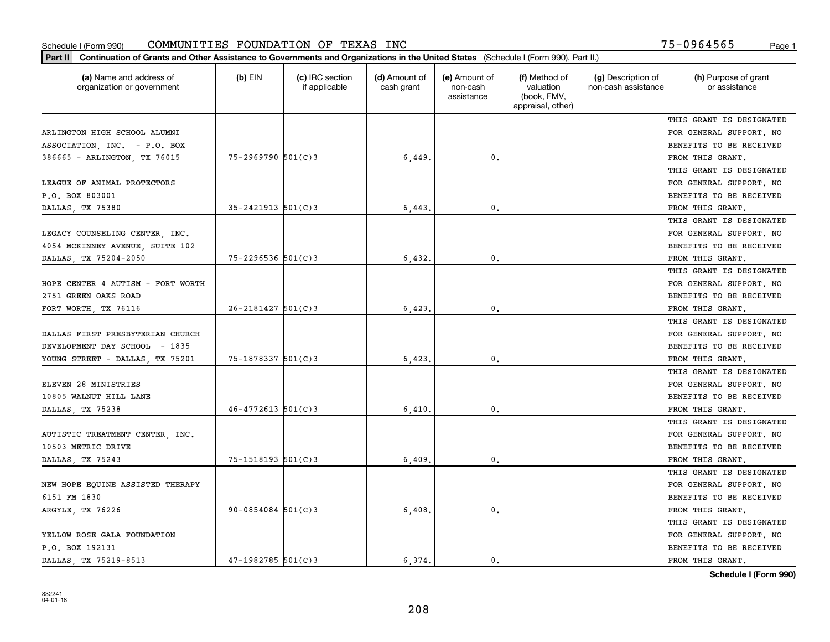| (a) Name and address of<br>organization or government | (b) EIN                  | (c) IRC section<br>if applicable | (d) Amount of<br>cash grant | (e) Amount of<br>non-cash<br>assistance | (f) Method of<br>valuation<br>(book, FMV,<br>appraisal, other) | (g) Description of<br>non-cash assistance | (h) Purpose of grant<br>or assistance |
|-------------------------------------------------------|--------------------------|----------------------------------|-----------------------------|-----------------------------------------|----------------------------------------------------------------|-------------------------------------------|---------------------------------------|
|                                                       |                          |                                  |                             |                                         |                                                                |                                           | THIS GRANT IS DESIGNATED              |
| ARLINGTON HIGH SCHOOL ALUMNI                          |                          |                                  |                             |                                         |                                                                |                                           | FOR GENERAL SUPPORT. NO               |
| ASSOCIATION, INC. - P.O. BOX                          |                          |                                  |                             |                                         |                                                                |                                           | BENEFITS TO BE RECEIVED               |
| 386665 - ARLINGTON, TX 76015                          | 75-2969790 501(C)3       |                                  | 6,449                       | 0.                                      |                                                                |                                           | FROM THIS GRANT.                      |
|                                                       |                          |                                  |                             |                                         |                                                                |                                           | THIS GRANT IS DESIGNATED              |
| LEAGUE OF ANIMAL PROTECTORS                           |                          |                                  |                             |                                         |                                                                |                                           | FOR GENERAL SUPPORT. NO               |
| P.O. BOX 803001                                       |                          |                                  |                             |                                         |                                                                |                                           | BENEFITS TO BE RECEIVED               |
| DALLAS, TX 75380                                      | $35 - 2421913$ $501(C)3$ |                                  | 6,443                       | $\mathbf{0}$                            |                                                                |                                           | FROM THIS GRANT.                      |
|                                                       |                          |                                  |                             |                                         |                                                                |                                           | THIS GRANT IS DESIGNATED              |
| LEGACY COUNSELING CENTER, INC.                        |                          |                                  |                             |                                         |                                                                |                                           | FOR GENERAL SUPPORT. NO               |
| 4054 MCKINNEY AVENUE, SUITE 102                       |                          |                                  |                             |                                         |                                                                |                                           | BENEFITS TO BE RECEIVED               |
| DALLAS, TX 75204-2050                                 | 75-2296536 501(C)3       |                                  | 6,432.                      | $\mathfrak{o}$ .                        |                                                                |                                           | FROM THIS GRANT.                      |
|                                                       |                          |                                  |                             |                                         |                                                                |                                           | THIS GRANT IS DESIGNATED              |
| HOPE CENTER 4 AUTISM - FORT WORTH                     |                          |                                  |                             |                                         |                                                                |                                           | FOR GENERAL SUPPORT. NO               |
| 2751 GREEN OAKS ROAD                                  |                          |                                  |                             |                                         |                                                                |                                           | BENEFITS TO BE RECEIVED               |
| FORT WORTH, TX 76116                                  | $26 - 2181427$ 501(C)3   |                                  | 6,423                       | $\mathbf{0}$                            |                                                                |                                           | FROM THIS GRANT.                      |
|                                                       |                          |                                  |                             |                                         |                                                                |                                           | THIS GRANT IS DESIGNATED              |
| DALLAS FIRST PRESBYTERIAN CHURCH                      |                          |                                  |                             |                                         |                                                                |                                           | FOR GENERAL SUPPORT. NO               |
| DEVELOPMENT DAY SCHOOL - 1835                         |                          |                                  |                             |                                         |                                                                |                                           | BENEFITS TO BE RECEIVED               |
| YOUNG STREET - DALLAS, TX 75201                       | 75-1878337 501(C)3       |                                  | 6,423                       | 0.                                      |                                                                |                                           | FROM THIS GRANT.                      |
|                                                       |                          |                                  |                             |                                         |                                                                |                                           | THIS GRANT IS DESIGNATED              |
| ELEVEN 28 MINISTRIES                                  |                          |                                  |                             |                                         |                                                                |                                           | FOR GENERAL SUPPORT. NO               |
| 10805 WALNUT HILL LANE                                |                          |                                  |                             |                                         |                                                                |                                           | BENEFITS TO BE RECEIVED               |
| DALLAS, TX 75238                                      | $46 - 4772613$ 501(C)3   |                                  | 6,410                       | $\mathbf{0}$                            |                                                                |                                           | FROM THIS GRANT.                      |
|                                                       |                          |                                  |                             |                                         |                                                                |                                           | THIS GRANT IS DESIGNATED              |
| AUTISTIC TREATMENT CENTER, INC.                       |                          |                                  |                             |                                         |                                                                |                                           | FOR GENERAL SUPPORT. NO               |
| 10503 METRIC DRIVE                                    |                          |                                  |                             |                                         |                                                                |                                           | BENEFITS TO BE RECEIVED               |
| DALLAS, TX 75243                                      | 75-1518193 501(C)3       |                                  | 6,409                       | $\mathbf{0}$ .                          |                                                                |                                           | FROM THIS GRANT.                      |
|                                                       |                          |                                  |                             |                                         |                                                                |                                           | THIS GRANT IS DESIGNATED              |
| NEW HOPE EQUINE ASSISTED THERAPY                      |                          |                                  |                             |                                         |                                                                |                                           | FOR GENERAL SUPPORT. NO               |
| 6151 FM 1830                                          |                          |                                  |                             |                                         |                                                                |                                           | BENEFITS TO BE RECEIVED               |
| ARGYLE, TX 76226                                      | $90 - 0854084$ 501(C)3   |                                  | 6,408                       | $\mathbf{0}$                            |                                                                |                                           | FROM THIS GRANT.                      |
|                                                       |                          |                                  |                             |                                         |                                                                |                                           | THIS GRANT IS DESIGNATED              |
| YELLOW ROSE GALA FOUNDATION                           |                          |                                  |                             |                                         |                                                                |                                           | FOR GENERAL SUPPORT. NO               |
| P.O. BOX 192131                                       |                          |                                  |                             |                                         |                                                                |                                           | BENEFITS TO BE RECEIVED               |
| DALLAS TX 75219-8513                                  | $47-1982785$ 501(C)3     |                                  | 6.374.                      | 0.                                      |                                                                |                                           | FROM THIS GRANT.                      |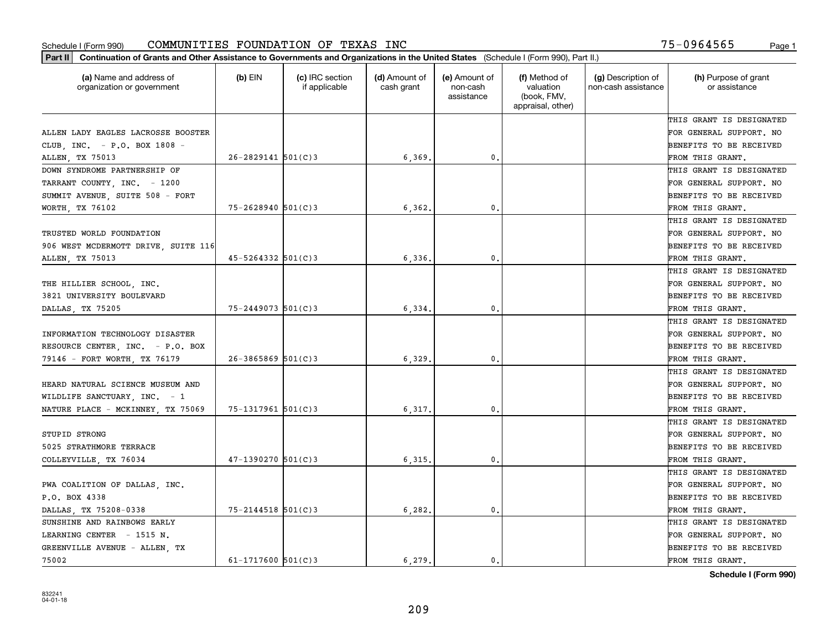| Part II   Continuation of Grants and Other Assistance to Governments and Organizations in the United States (Schedule I (Form 990), Part II.) |                          |                                  |                             |                                         |                                                                |                                           |                                       |
|-----------------------------------------------------------------------------------------------------------------------------------------------|--------------------------|----------------------------------|-----------------------------|-----------------------------------------|----------------------------------------------------------------|-------------------------------------------|---------------------------------------|
| (a) Name and address of<br>organization or government                                                                                         | $(b)$ EIN                | (c) IRC section<br>if applicable | (d) Amount of<br>cash grant | (e) Amount of<br>non-cash<br>assistance | (f) Method of<br>valuation<br>(book, FMV,<br>appraisal, other) | (g) Description of<br>non-cash assistance | (h) Purpose of grant<br>or assistance |
|                                                                                                                                               |                          |                                  |                             |                                         |                                                                |                                           | THIS GRANT IS DESIGNATED              |
| ALLEN LADY EAGLES LACROSSE BOOSTER                                                                                                            |                          |                                  |                             |                                         |                                                                |                                           | FOR GENERAL SUPPORT. NO               |
| CLUB, INC. - P.O. BOX 1808 -                                                                                                                  |                          |                                  |                             |                                         |                                                                |                                           | BENEFITS TO BE RECEIVED               |
| ALLEN, TX 75013                                                                                                                               | $26 - 2829141$ 501(C)3   |                                  | 6,369.                      | 0.                                      |                                                                |                                           | FROM THIS GRANT.                      |
| DOWN SYNDROME PARTNERSHIP OF                                                                                                                  |                          |                                  |                             |                                         |                                                                |                                           | THIS GRANT IS DESIGNATED              |
| TARRANT COUNTY, INC. - 1200                                                                                                                   |                          |                                  |                             |                                         |                                                                |                                           | FOR GENERAL SUPPORT. NO               |
| SUMMIT AVENUE, SUITE 508 - FORT                                                                                                               |                          |                                  |                             |                                         |                                                                |                                           | BENEFITS TO BE RECEIVED               |
| WORTH, TX 76102                                                                                                                               | $75 - 2628940$ 501(C)3   |                                  | 6, 362,                     | 0.                                      |                                                                |                                           | FROM THIS GRANT.                      |
|                                                                                                                                               |                          |                                  |                             |                                         |                                                                |                                           | THIS GRANT IS DESIGNATED              |
| TRUSTED WORLD FOUNDATION                                                                                                                      |                          |                                  |                             |                                         |                                                                |                                           | FOR GENERAL SUPPORT. NO               |
| 906 WEST MCDERMOTT DRIVE, SUITE 116                                                                                                           |                          |                                  |                             |                                         |                                                                |                                           | BENEFITS TO BE RECEIVED               |
| ALLEN, TX 75013                                                                                                                               | $45 - 5264332$ $501(C)3$ |                                  | 6,336,                      | 0.                                      |                                                                |                                           | FROM THIS GRANT.                      |
|                                                                                                                                               |                          |                                  |                             |                                         |                                                                |                                           | THIS GRANT IS DESIGNATED              |
| THE HILLIER SCHOOL, INC.                                                                                                                      |                          |                                  |                             |                                         |                                                                |                                           | FOR GENERAL SUPPORT. NO               |
| 3821 UNIVERSITY BOULEVARD                                                                                                                     |                          |                                  |                             |                                         |                                                                |                                           | <b>BENEFITS TO BE RECEIVED</b>        |
| DALLAS, TX 75205                                                                                                                              | $75 - 2449073$ 501(C)3   |                                  | 6,334.                      | 0.                                      |                                                                |                                           | FROM THIS GRANT.                      |
|                                                                                                                                               |                          |                                  |                             |                                         |                                                                |                                           | THIS GRANT IS DESIGNATED              |
| INFORMATION TECHNOLOGY DISASTER                                                                                                               |                          |                                  |                             |                                         |                                                                |                                           | FOR GENERAL SUPPORT. NO               |
| RESOURCE CENTER, INC. - P.O. BOX                                                                                                              |                          |                                  |                             |                                         |                                                                |                                           | BENEFITS TO BE RECEIVED               |
| 79146 - FORT WORTH, TX 76179                                                                                                                  | $26 - 3865869$ 501(C)3   |                                  | 6,329                       | 0.                                      |                                                                |                                           | FROM THIS GRANT.                      |
|                                                                                                                                               |                          |                                  |                             |                                         |                                                                |                                           | THIS GRANT IS DESIGNATED              |
| HEARD NATURAL SCIENCE MUSEUM AND                                                                                                              |                          |                                  |                             |                                         |                                                                |                                           | FOR GENERAL SUPPORT. NO               |
| WILDLIFE SANCTUARY, INC. - 1                                                                                                                  |                          |                                  |                             |                                         |                                                                |                                           | <b>BENEFITS TO BE RECEIVED</b>        |
| NATURE PLACE - MCKINNEY, TX 75069                                                                                                             | $75 - 1317961$ 501(C)3   |                                  | 6,317.                      | 0.                                      |                                                                |                                           | FROM THIS GRANT.                      |
|                                                                                                                                               |                          |                                  |                             |                                         |                                                                |                                           | THIS GRANT IS DESIGNATED              |
| STUPID STRONG                                                                                                                                 |                          |                                  |                             |                                         |                                                                |                                           | FOR GENERAL SUPPORT. NO               |
| 5025 STRATHMORE TERRACE                                                                                                                       |                          |                                  |                             |                                         |                                                                |                                           | BENEFITS TO BE RECEIVED               |
| COLLEYVILLE, TX 76034                                                                                                                         | $47-1390270$ 501(C)3     |                                  | 6,315,                      | 0.                                      |                                                                |                                           | FROM THIS GRANT.                      |
|                                                                                                                                               |                          |                                  |                             |                                         |                                                                |                                           | THIS GRANT IS DESIGNATED              |
| PWA COALITION OF DALLAS, INC.                                                                                                                 |                          |                                  |                             |                                         |                                                                |                                           | FOR GENERAL SUPPORT. NO               |
| P.O. BOX 4338                                                                                                                                 |                          |                                  |                             |                                         |                                                                |                                           | BENEFITS TO BE RECEIVED               |
| DALLAS, TX 75208-0338                                                                                                                         | $75 - 2144518$ 501(C)3   |                                  | 6,282.                      | 0.                                      |                                                                |                                           | FROM THIS GRANT.                      |
| SUNSHINE AND RAINBOWS EARLY                                                                                                                   |                          |                                  |                             |                                         |                                                                |                                           | THIS GRANT IS DESIGNATED              |
| LEARNING CENTER - 1515 N.                                                                                                                     |                          |                                  |                             |                                         |                                                                |                                           | FOR GENERAL SUPPORT. NO               |
| GREENVILLE AVENUE - ALLEN, TX                                                                                                                 |                          |                                  |                             |                                         |                                                                |                                           | <b>BENEFITS TO BE RECEIVED</b>        |
| 75002                                                                                                                                         | $61 - 1717600$ 501(C)3   |                                  | 6.279.                      | $\mathbf{0}$ .                          |                                                                |                                           | FROM THIS GRANT.                      |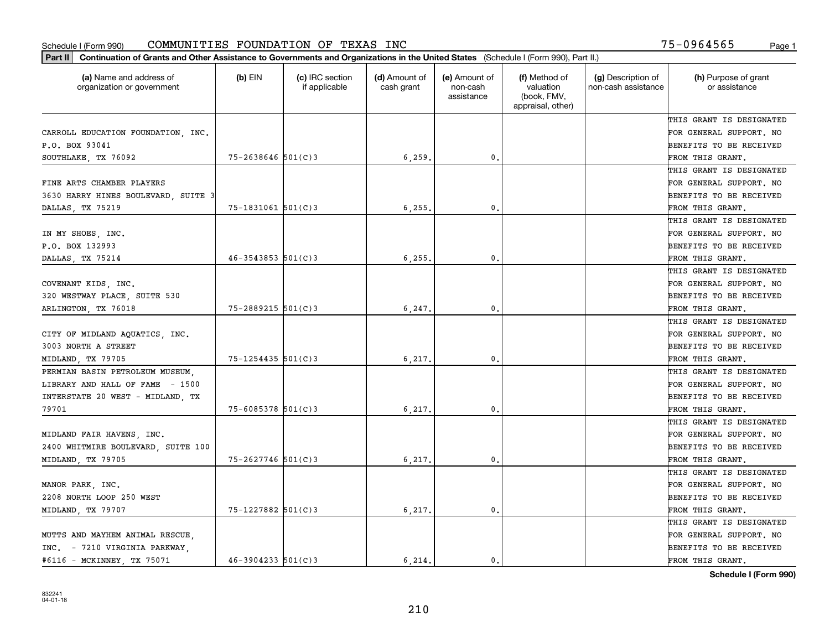| Part II   Continuation of Grants and Other Assistance to Governments and Organizations in the United States (Schedule I (Form 990), Part II.) |                          |                                  |                             |                                         |                                                                |                                           |                                       |
|-----------------------------------------------------------------------------------------------------------------------------------------------|--------------------------|----------------------------------|-----------------------------|-----------------------------------------|----------------------------------------------------------------|-------------------------------------------|---------------------------------------|
| (a) Name and address of<br>organization or government                                                                                         | $(b)$ EIN                | (c) IRC section<br>if applicable | (d) Amount of<br>cash grant | (e) Amount of<br>non-cash<br>assistance | (f) Method of<br>valuation<br>(book, FMV,<br>appraisal, other) | (g) Description of<br>non-cash assistance | (h) Purpose of grant<br>or assistance |
|                                                                                                                                               |                          |                                  |                             |                                         |                                                                |                                           | THIS GRANT IS DESIGNATED              |
| CARROLL EDUCATION FOUNDATION, INC.                                                                                                            |                          |                                  |                             |                                         |                                                                |                                           | FOR GENERAL SUPPORT. NO               |
| P.O. BOX 93041                                                                                                                                |                          |                                  |                             |                                         |                                                                |                                           | BENEFITS TO BE RECEIVED               |
| SOUTHLAKE, TX 76092                                                                                                                           | $75 - 2638646$ 501(C)3   |                                  | 6, 259.                     | 0.                                      |                                                                |                                           | FROM THIS GRANT.                      |
|                                                                                                                                               |                          |                                  |                             |                                         |                                                                |                                           | THIS GRANT IS DESIGNATED              |
| FINE ARTS CHAMBER PLAYERS                                                                                                                     |                          |                                  |                             |                                         |                                                                |                                           | FOR GENERAL SUPPORT. NO               |
| 3630 HARRY HINES BOULEVARD, SUITE 3                                                                                                           |                          |                                  |                             |                                         |                                                                |                                           | BENEFITS TO BE RECEIVED               |
| DALLAS, TX 75219                                                                                                                              | $75 - 1831061$ 501(C)3   |                                  | 6, 255,                     | 0.                                      |                                                                |                                           | FROM THIS GRANT.                      |
|                                                                                                                                               |                          |                                  |                             |                                         |                                                                |                                           | THIS GRANT IS DESIGNATED              |
| IN MY SHOES, INC.                                                                                                                             |                          |                                  |                             |                                         |                                                                |                                           | FOR GENERAL SUPPORT. NO               |
| P.O. BOX 132993                                                                                                                               |                          |                                  |                             |                                         |                                                                |                                           | BENEFITS TO BE RECEIVED               |
| DALLAS, TX 75214                                                                                                                              | $46 - 3543853$ $501(C)3$ |                                  | 6, 255.                     | 0.                                      |                                                                |                                           | FROM THIS GRANT.                      |
|                                                                                                                                               |                          |                                  |                             |                                         |                                                                |                                           | THIS GRANT IS DESIGNATED              |
| COVENANT KIDS, INC.                                                                                                                           |                          |                                  |                             |                                         |                                                                |                                           | FOR GENERAL SUPPORT. NO               |
| 320 WESTWAY PLACE, SUITE 530                                                                                                                  |                          |                                  |                             |                                         |                                                                |                                           | <b>BENEFITS TO BE RECEIVED</b>        |
| ARLINGTON, TX 76018                                                                                                                           | $75 - 2889215$ 501(C)3   |                                  | 6, 247.                     | 0.                                      |                                                                |                                           | FROM THIS GRANT.                      |
|                                                                                                                                               |                          |                                  |                             |                                         |                                                                |                                           | THIS GRANT IS DESIGNATED              |
| CITY OF MIDLAND AQUATICS, INC.                                                                                                                |                          |                                  |                             |                                         |                                                                |                                           | FOR GENERAL SUPPORT. NO               |
| 3003 NORTH A STREET                                                                                                                           |                          |                                  |                             |                                         |                                                                |                                           | BENEFITS TO BE RECEIVED               |
| MIDLAND, TX 79705                                                                                                                             | 75-1254435 501(C)3       |                                  | 6,217.                      | 0.                                      |                                                                |                                           | FROM THIS GRANT.                      |
| PERMIAN BASIN PETROLEUM MUSEUM,                                                                                                               |                          |                                  |                             |                                         |                                                                |                                           | THIS GRANT IS DESIGNATED              |
| LIBRARY AND HALL OF FAME - 1500                                                                                                               |                          |                                  |                             |                                         |                                                                |                                           | FOR GENERAL SUPPORT. NO               |
| INTERSTATE 20 WEST - MIDLAND, TX                                                                                                              |                          |                                  |                             |                                         |                                                                |                                           | BENEFITS TO BE RECEIVED               |
| 79701                                                                                                                                         | $75 - 6085378$ 501(C) 3  |                                  | 6,217.                      | 0.                                      |                                                                |                                           | FROM THIS GRANT.                      |
|                                                                                                                                               |                          |                                  |                             |                                         |                                                                |                                           | THIS GRANT IS DESIGNATED              |
| MIDLAND FAIR HAVENS, INC.                                                                                                                     |                          |                                  |                             |                                         |                                                                |                                           | FOR GENERAL SUPPORT. NO               |
| 2400 WHITMIRE BOULEVARD, SUITE 100                                                                                                            |                          |                                  |                             |                                         |                                                                |                                           | BENEFITS TO BE RECEIVED               |
| MIDLAND, TX 79705                                                                                                                             | 75-2627746 501(C)3       |                                  | 6,217.                      | 0.                                      |                                                                |                                           | FROM THIS GRANT.                      |
|                                                                                                                                               |                          |                                  |                             |                                         |                                                                |                                           | THIS GRANT IS DESIGNATED              |
| MANOR PARK, INC.                                                                                                                              |                          |                                  |                             |                                         |                                                                |                                           | FOR GENERAL SUPPORT. NO               |
| 2208 NORTH LOOP 250 WEST                                                                                                                      |                          |                                  |                             |                                         |                                                                |                                           | BENEFITS TO BE RECEIVED               |
| MIDLAND, TX 79707                                                                                                                             | 75-1227882 501(C)3       |                                  | 6,217.                      | 0.                                      |                                                                |                                           | FROM THIS GRANT.                      |
|                                                                                                                                               |                          |                                  |                             |                                         |                                                                |                                           | THIS GRANT IS DESIGNATED              |
| MUTTS AND MAYHEM ANIMAL RESCUE,                                                                                                               |                          |                                  |                             |                                         |                                                                |                                           | FOR GENERAL SUPPORT. NO               |
| INC. - 7210 VIRGINIA PARKWAY,                                                                                                                 |                          |                                  |                             |                                         |                                                                |                                           | <b>BENEFITS TO BE RECEIVED</b>        |
| #6116 - MCKINNEY, TX 75071                                                                                                                    | $46 - 3904233$ 501(C)3   |                                  | 6.214.                      | $\mathbf{0}$ .                          |                                                                |                                           | FROM THIS GRANT.                      |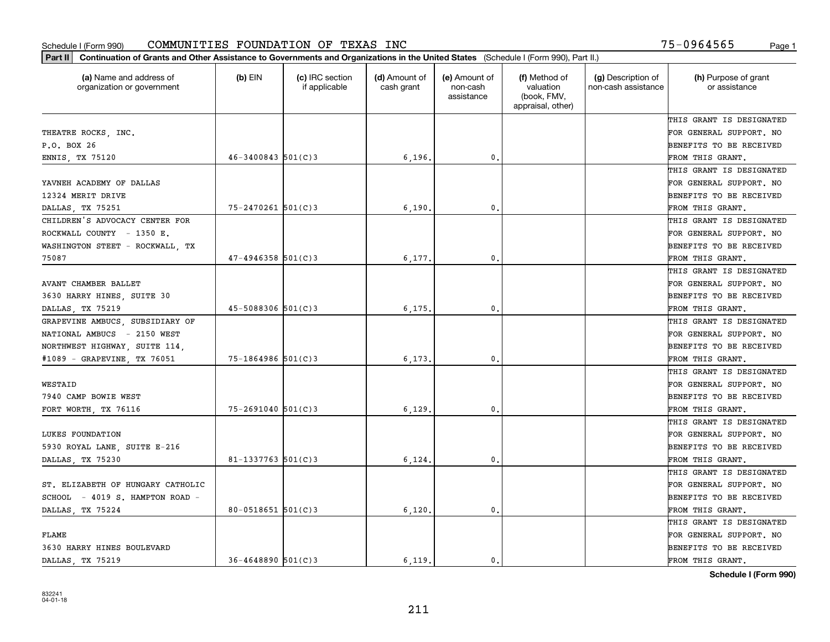| (a) Name and address of<br>organization or government | $(b)$ EIN               | (c) IRC section<br>if applicable | (d) Amount of<br>cash grant | (e) Amount of<br>non-cash<br>assistance | (f) Method of<br>valuation<br>(book, FMV,<br>appraisal, other) | (g) Description of<br>non-cash assistance | (h) Purpose of grant<br>or assistance |
|-------------------------------------------------------|-------------------------|----------------------------------|-----------------------------|-----------------------------------------|----------------------------------------------------------------|-------------------------------------------|---------------------------------------|
|                                                       |                         |                                  |                             |                                         |                                                                |                                           | THIS GRANT IS DESIGNATED              |
| THEATRE ROCKS, INC.                                   |                         |                                  |                             |                                         |                                                                |                                           | FOR GENERAL SUPPORT. NO               |
| P.O. BOX 26                                           |                         |                                  |                             |                                         |                                                                |                                           | <b>BENEFITS TO BE RECEIVED</b>        |
| ENNIS, TX 75120                                       | $46 - 3400843$ 501(C)3  |                                  | 6, 196.                     | 0.                                      |                                                                |                                           | FROM THIS GRANT.                      |
|                                                       |                         |                                  |                             |                                         |                                                                |                                           | THIS GRANT IS DESIGNATED              |
| YAVNEH ACADEMY OF DALLAS                              |                         |                                  |                             |                                         |                                                                |                                           | FOR GENERAL SUPPORT. NO               |
| 12324 MERIT DRIVE                                     |                         |                                  |                             |                                         |                                                                |                                           | BENEFITS TO BE RECEIVED               |
| DALLAS TX 75251                                       | $75 - 2470261$ 501(C)3  |                                  | 6,190                       | 0.                                      |                                                                |                                           | FROM THIS GRANT.                      |
| CHILDREN'S ADVOCACY CENTER FOR                        |                         |                                  |                             |                                         |                                                                |                                           | THIS GRANT IS DESIGNATED              |
| ROCKWALL COUNTY - 1350 E.                             |                         |                                  |                             |                                         |                                                                |                                           | FOR GENERAL SUPPORT. NO               |
| WASHINGTON STEET - ROCKWALL, TX                       |                         |                                  |                             |                                         |                                                                |                                           | BENEFITS TO BE RECEIVED               |
| 75087                                                 | $47 - 4946358$ 501(C)3  |                                  | 6,177                       | $\mathbf{0}$ .                          |                                                                |                                           | FROM THIS GRANT.                      |
|                                                       |                         |                                  |                             |                                         |                                                                |                                           | THIS GRANT IS DESIGNATED              |
| AVANT CHAMBER BALLET                                  |                         |                                  |                             |                                         |                                                                |                                           | FOR GENERAL SUPPORT. NO               |
| 3630 HARRY HINES, SUITE 30                            |                         |                                  |                             |                                         |                                                                |                                           | BENEFITS TO BE RECEIVED               |
| DALLAS, TX 75219                                      | $45 - 5088306$ 501(C)3  |                                  | 6,175                       | 0.                                      |                                                                |                                           | FROM THIS GRANT.                      |
| GRAPEVINE AMBUCS, SUBSIDIARY OF                       |                         |                                  |                             |                                         |                                                                |                                           | THIS GRANT IS DESIGNATED              |
| NATIONAL AMBUCS - 2150 WEST                           |                         |                                  |                             |                                         |                                                                |                                           | FOR GENERAL SUPPORT. NO               |
| NORTHWEST HIGHWAY, SUITE 114,                         |                         |                                  |                             |                                         |                                                                |                                           | BENEFITS TO BE RECEIVED               |
| #1089 - GRAPEVINE, TX 76051                           | $75 - 1864986$ 501(C)3  |                                  | 6,173                       | 0.                                      |                                                                |                                           | FROM THIS GRANT.                      |
|                                                       |                         |                                  |                             |                                         |                                                                |                                           | THIS GRANT IS DESIGNATED              |
| WESTAID                                               |                         |                                  |                             |                                         |                                                                |                                           | FOR GENERAL SUPPORT. NO               |
| 7940 CAMP BOWIE WEST                                  |                         |                                  |                             |                                         |                                                                |                                           | <b>BENEFITS TO BE RECEIVED</b>        |
| FORT WORTH, TX 76116                                  | $75 - 2691040$ 501(C)3  |                                  | 6,129                       | 0.                                      |                                                                |                                           | FROM THIS GRANT.                      |
|                                                       |                         |                                  |                             |                                         |                                                                |                                           | THIS GRANT IS DESIGNATED              |
| LUKES FOUNDATION                                      |                         |                                  |                             |                                         |                                                                |                                           | FOR GENERAL SUPPORT. NO               |
| 5930 ROYAL LANE, SUITE E-216                          |                         |                                  |                             |                                         |                                                                |                                           | <b>BENEFITS TO BE RECEIVED</b>        |
| DALLAS, TX 75230                                      | 81-1337763 $501(C)$ 3   |                                  | 6,124                       | $\mathbf{0}$ .                          |                                                                |                                           | FROM THIS GRANT.                      |
|                                                       |                         |                                  |                             |                                         |                                                                |                                           | THIS GRANT IS DESIGNATED              |
| ST. ELIZABETH OF HUNGARY CATHOLIC                     |                         |                                  |                             |                                         |                                                                |                                           | FOR GENERAL SUPPORT. NO               |
| SCHOOL - 4019 S. HAMPTON ROAD -                       |                         |                                  |                             |                                         |                                                                |                                           | BENEFITS TO BE RECEIVED               |
| DALLAS, TX 75224                                      | $80 - 0518651$ 501(C)3  |                                  | 6,120.                      | $\mathfrak o$ .                         |                                                                |                                           | FROM THIS GRANT.                      |
|                                                       |                         |                                  |                             |                                         |                                                                |                                           | THIS GRANT IS DESIGNATED              |
| FLAME                                                 |                         |                                  |                             |                                         |                                                                |                                           | FOR GENERAL SUPPORT. NO               |
| 3630 HARRY HINES BOULEVARD                            |                         |                                  |                             |                                         |                                                                |                                           | BENEFITS TO BE RECEIVED               |
| DALLAS TX 75219                                       | $36 - 4648890$ 501(C) 3 |                                  | 6.119.                      | 0.                                      |                                                                |                                           | FROM THIS GRANT.                      |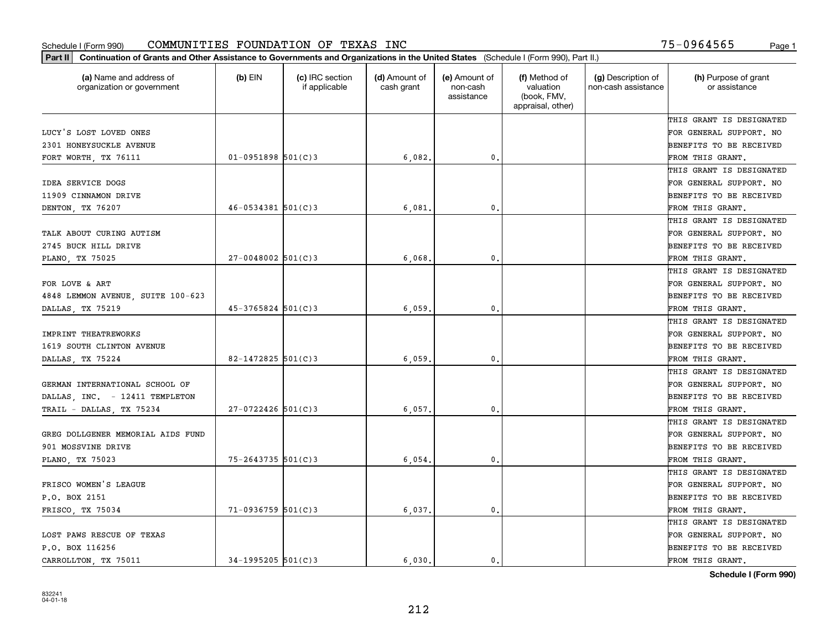| (a) Name and address of<br>organization or government | $(b)$ EIN                | (c) IRC section<br>if applicable | (d) Amount of<br>cash grant | (e) Amount of<br>non-cash<br>assistance | (f) Method of<br>valuation<br>(book, FMV,<br>appraisal, other) | (g) Description of<br>non-cash assistance | (h) Purpose of grant<br>or assistance |
|-------------------------------------------------------|--------------------------|----------------------------------|-----------------------------|-----------------------------------------|----------------------------------------------------------------|-------------------------------------------|---------------------------------------|
|                                                       |                          |                                  |                             |                                         |                                                                |                                           | THIS GRANT IS DESIGNATED              |
| LUCY'S LOST LOVED ONES                                |                          |                                  |                             |                                         |                                                                |                                           | FOR GENERAL SUPPORT. NO               |
| 2301 HONEYSUCKLE AVENUE                               |                          |                                  |                             |                                         |                                                                |                                           | BENEFITS TO BE RECEIVED               |
| FORT WORTH, TX 76111                                  | $01-0951898$ 501(C)3     |                                  | 6,082.                      | $\mathfrak{o}$ .                        |                                                                |                                           | FROM THIS GRANT.                      |
|                                                       |                          |                                  |                             |                                         |                                                                |                                           | THIS GRANT IS DESIGNATED              |
| <b>IDEA SERVICE DOGS</b>                              |                          |                                  |                             |                                         |                                                                |                                           | FOR GENERAL SUPPORT. NO               |
| 11909 CINNAMON DRIVE                                  |                          |                                  |                             |                                         |                                                                |                                           | BENEFITS TO BE RECEIVED               |
| DENTON, TX 76207                                      | $46 - 0534381$ $501(C)3$ |                                  | 6,081                       | $\mathbf{0}$                            |                                                                |                                           | FROM THIS GRANT.                      |
|                                                       |                          |                                  |                             |                                         |                                                                |                                           | THIS GRANT IS DESIGNATED              |
| TALK ABOUT CURING AUTISM                              |                          |                                  |                             |                                         |                                                                |                                           | FOR GENERAL SUPPORT. NO               |
| 2745 BUCK HILL DRIVE                                  |                          |                                  |                             |                                         |                                                                |                                           | BENEFITS TO BE RECEIVED               |
| PLANO, TX 75025                                       | $27 - 0048002$ 501(C)3   |                                  | 6,068                       | $\mathbf{0}$ .                          |                                                                |                                           | FROM THIS GRANT.                      |
|                                                       |                          |                                  |                             |                                         |                                                                |                                           | THIS GRANT IS DESIGNATED              |
| FOR LOVE & ART                                        |                          |                                  |                             |                                         |                                                                |                                           | FOR GENERAL SUPPORT. NO               |
| 4848 LEMMON AVENUE, SUITE 100-623                     |                          |                                  |                             |                                         |                                                                |                                           | BENEFITS TO BE RECEIVED               |
| DALLAS, TX 75219                                      | $45 - 3765824$ 501(C)3   |                                  | 6,059                       | $\mathbf{0}$                            |                                                                |                                           | FROM THIS GRANT.                      |
|                                                       |                          |                                  |                             |                                         |                                                                |                                           | THIS GRANT IS DESIGNATED              |
| IMPRINT THEATREWORKS                                  |                          |                                  |                             |                                         |                                                                |                                           | FOR GENERAL SUPPORT. NO               |
| 1619 SOUTH CLINTON AVENUE                             |                          |                                  |                             |                                         |                                                                |                                           | BENEFITS TO BE RECEIVED               |
| DALLAS, TX 75224                                      | $82 - 1472825$ 501(C)3   |                                  | 6.059                       | $\mathbf{0}$                            |                                                                |                                           | FROM THIS GRANT.                      |
|                                                       |                          |                                  |                             |                                         |                                                                |                                           | THIS GRANT IS DESIGNATED              |
| GERMAN INTERNATIONAL SCHOOL OF                        |                          |                                  |                             |                                         |                                                                |                                           | FOR GENERAL SUPPORT. NO               |
| DALLAS, INC. - 12411 TEMPLETON                        |                          |                                  |                             |                                         |                                                                |                                           | BENEFITS TO BE RECEIVED               |
| TRAIL - DALLAS, TX 75234                              | $27 - 0722426$ 501(C)3   |                                  | 6,057                       | $\mathbf{0}$                            |                                                                |                                           | FROM THIS GRANT.                      |
|                                                       |                          |                                  |                             |                                         |                                                                |                                           | THIS GRANT IS DESIGNATED              |
| GREG DOLLGENER MEMORIAL AIDS FUND                     |                          |                                  |                             |                                         |                                                                |                                           | FOR GENERAL SUPPORT. NO               |
| 901 MOSSVINE DRIVE                                    |                          |                                  |                             |                                         |                                                                |                                           | BENEFITS TO BE RECEIVED               |
| PLANO, TX 75023                                       | 75-2643735 501(C)3       |                                  | 6,054                       | $\mathbf{0}$ .                          |                                                                |                                           | FROM THIS GRANT.                      |
|                                                       |                          |                                  |                             |                                         |                                                                |                                           | THIS GRANT IS DESIGNATED              |
| FRISCO WOMEN'S LEAGUE                                 |                          |                                  |                             |                                         |                                                                |                                           | FOR GENERAL SUPPORT. NO               |
| P.O. BOX 2151                                         |                          |                                  |                             |                                         |                                                                |                                           | BENEFITS TO BE RECEIVED               |
| FRISCO, TX 75034                                      | 71-0936759 501(C)3       |                                  | 6,037.                      | $\mathbf{0}$ .                          |                                                                |                                           | FROM THIS GRANT.                      |
|                                                       |                          |                                  |                             |                                         |                                                                |                                           | THIS GRANT IS DESIGNATED              |
| LOST PAWS RESCUE OF TEXAS                             |                          |                                  |                             |                                         |                                                                |                                           | FOR GENERAL SUPPORT. NO               |
| P.O. BOX 116256                                       |                          |                                  |                             |                                         |                                                                |                                           | BENEFITS TO BE RECEIVED               |
| CARROLLTON, TX 75011                                  | $34-1995205$ 501(C)3     |                                  | 6.030.                      | 0.                                      |                                                                |                                           | FROM THIS GRANT.                      |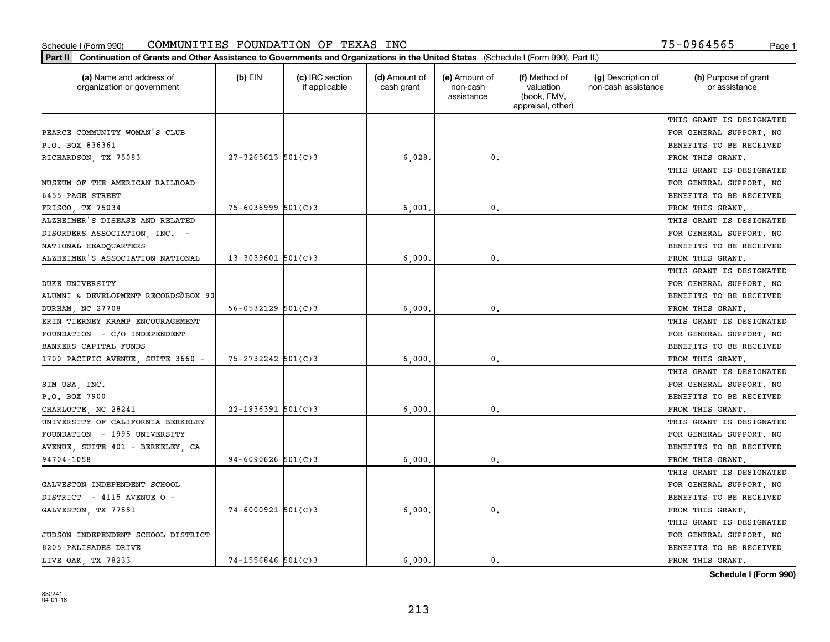| (a) Name and address of<br>organization or government | (b) EIN                  | (c) IRC section<br>if applicable | (d) Amount of<br>cash grant | (e) Amount of<br>non-cash<br>assistance | (f) Method of<br>valuation<br>(book, FMV,<br>appraisal, other) | (g) Description of<br>non-cash assistance | (h) Purpose of grant<br>or assistance |
|-------------------------------------------------------|--------------------------|----------------------------------|-----------------------------|-----------------------------------------|----------------------------------------------------------------|-------------------------------------------|---------------------------------------|
|                                                       |                          |                                  |                             |                                         |                                                                |                                           | THIS GRANT IS DESIGNATED              |
| PEARCE COMMUNITY WOMAN'S CLUB                         |                          |                                  |                             |                                         |                                                                |                                           | FOR GENERAL SUPPORT. NO               |
| P.O. BOX 836361                                       |                          |                                  |                             |                                         |                                                                |                                           | BENEFITS TO BE RECEIVED               |
| RICHARDSON, TX 75083                                  | $27 - 3265613$ 501(C)3   |                                  | 6,028                       | 0.                                      |                                                                |                                           | FROM THIS GRANT.                      |
|                                                       |                          |                                  |                             |                                         |                                                                |                                           | THIS GRANT IS DESIGNATED              |
| MUSEUM OF THE AMERICAN RAILROAD                       |                          |                                  |                             |                                         |                                                                |                                           | FOR GENERAL SUPPORT. NO               |
| 6455 PAGE STREET                                      |                          |                                  |                             |                                         |                                                                |                                           | BENEFITS TO BE RECEIVED               |
| FRISCO TX 75034                                       | $75 - 6036999$ 501(C)3   |                                  | 6,001                       | $\mathbf{0}$                            |                                                                |                                           | FROM THIS GRANT.                      |
| ALZHEIMER'S DISEASE AND RELATED                       |                          |                                  |                             |                                         |                                                                |                                           | THIS GRANT IS DESIGNATED              |
| DISORDERS ASSOCIATION, INC. -                         |                          |                                  |                             |                                         |                                                                |                                           | FOR GENERAL SUPPORT. NO               |
| NATIONAL HEADQUARTERS                                 |                          |                                  |                             |                                         |                                                                |                                           | BENEFITS TO BE RECEIVED               |
| ALZHEIMER'S ASSOCIATION NATIONAL                      | $13 - 3039601$ 501(C)3   |                                  | 6,000                       | $\mathfrak{o}$ .                        |                                                                |                                           | FROM THIS GRANT.                      |
|                                                       |                          |                                  |                             |                                         |                                                                |                                           | THIS GRANT IS DESIGNATED              |
| <b>DUKE UNIVERSITY</b>                                |                          |                                  |                             |                                         |                                                                |                                           | FOR GENERAL SUPPORT. NO               |
| ALUMNI & DEVELOPMENT RECORDSOBOX 90                   |                          |                                  |                             |                                         |                                                                |                                           | BENEFITS TO BE RECEIVED               |
| DURHAM, NC 27708                                      | $56 - 0532129$ $501(C)3$ |                                  | 6,000                       | $\mathbf{0}$                            |                                                                |                                           | FROM THIS GRANT.                      |
| ERIN TIERNEY KRAMP ENCOURAGEMENT                      |                          |                                  |                             |                                         |                                                                |                                           | THIS GRANT IS DESIGNATED              |
| FOUNDATION - C/O INDEPENDENT                          |                          |                                  |                             |                                         |                                                                |                                           | FOR GENERAL SUPPORT. NO               |
| BANKERS CAPITAL FUNDS                                 |                          |                                  |                             |                                         |                                                                |                                           | BENEFITS TO BE RECEIVED               |
| 1700 PACIFIC AVENUE, SUITE 3660 -                     | $75 - 2732242$ 501(C)3   |                                  | 6,000                       | 0.                                      |                                                                |                                           | FROM THIS GRANT.                      |
|                                                       |                          |                                  |                             |                                         |                                                                |                                           | THIS GRANT IS DESIGNATED              |
| SIM USA, INC.                                         |                          |                                  |                             |                                         |                                                                |                                           | FOR GENERAL SUPPORT. NO               |
| P.O. BOX 7900                                         |                          |                                  |                             |                                         |                                                                |                                           | BENEFITS TO BE RECEIVED               |
| CHARLOTTE, NC 28241                                   | $22 - 1936391$ 501(C)3   |                                  | 6,000                       | $\mathbf{0}$                            |                                                                |                                           | FROM THIS GRANT.                      |
| UNIVERSITY OF CALIFORNIA BERKELEY                     |                          |                                  |                             |                                         |                                                                |                                           | THIS GRANT IS DESIGNATED              |
| FOUNDATION - 1995 UNIVERSITY                          |                          |                                  |                             |                                         |                                                                |                                           | FOR GENERAL SUPPORT. NO               |
| AVENUE, SUITE 401 - BERKELEY, CA                      |                          |                                  |                             |                                         |                                                                |                                           | BENEFITS TO BE RECEIVED               |
| 94704-1058                                            | $94 - 6090626$ 501(C)3   |                                  | 6,000                       | $\mathbf{0}$ .                          |                                                                |                                           | FROM THIS GRANT.                      |
|                                                       |                          |                                  |                             |                                         |                                                                |                                           | THIS GRANT IS DESIGNATED              |
| GALVESTON INDEPENDENT SCHOOL                          |                          |                                  |                             |                                         |                                                                |                                           | FOR GENERAL SUPPORT. NO               |
| DISTRICT - 4115 AVENUE O -                            |                          |                                  |                             |                                         |                                                                |                                           | BENEFITS TO BE RECEIVED               |
| GALVESTON, TX 77551                                   | $74 - 6000921$ 501(C)3   |                                  | 6,000                       | $\mathbf{0}$                            |                                                                |                                           | FROM THIS GRANT.                      |
|                                                       |                          |                                  |                             |                                         |                                                                |                                           | THIS GRANT IS DESIGNATED              |
| JUDSON INDEPENDENT SCHOOL DISTRICT                    |                          |                                  |                             |                                         |                                                                |                                           | FOR GENERAL SUPPORT. NO               |
| 8205 PALISADES DRIVE                                  |                          |                                  |                             |                                         |                                                                |                                           | BENEFITS TO BE RECEIVED               |
| LIVE OAK, TX 78233                                    | $74 - 1556846$ 501(C)3   |                                  | 6.000.                      | 0.                                      |                                                                |                                           | FROM THIS GRANT.                      |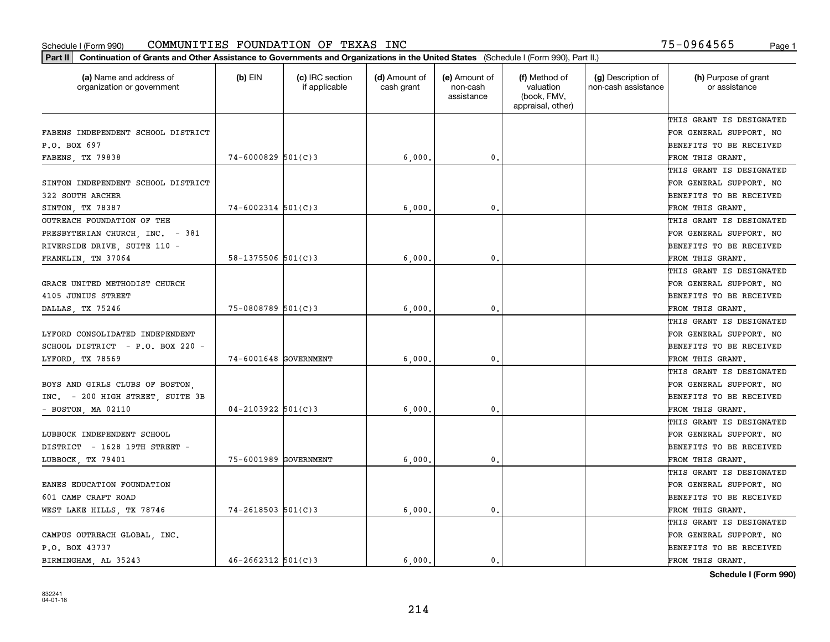| Part II   Continuation of Grants and Other Assistance to Governments and Organizations in the United States (Schedule I (Form 990), Part II.) |                          |                                  |                             |                                         |                                                                |                                           |                                       |
|-----------------------------------------------------------------------------------------------------------------------------------------------|--------------------------|----------------------------------|-----------------------------|-----------------------------------------|----------------------------------------------------------------|-------------------------------------------|---------------------------------------|
| (a) Name and address of<br>organization or government                                                                                         | $(b)$ EIN                | (c) IRC section<br>if applicable | (d) Amount of<br>cash grant | (e) Amount of<br>non-cash<br>assistance | (f) Method of<br>valuation<br>(book, FMV,<br>appraisal, other) | (g) Description of<br>non-cash assistance | (h) Purpose of grant<br>or assistance |
|                                                                                                                                               |                          |                                  |                             |                                         |                                                                |                                           | THIS GRANT IS DESIGNATED              |
| FABENS INDEPENDENT SCHOOL DISTRICT                                                                                                            |                          |                                  |                             |                                         |                                                                |                                           | FOR GENERAL SUPPORT. NO               |
| P.O. BOX 697                                                                                                                                  |                          |                                  |                             |                                         |                                                                |                                           | BENEFITS TO BE RECEIVED               |
| FABENS, TX 79838                                                                                                                              | $74 - 6000829$ 501(C)3   |                                  | 6,000,                      | 0.                                      |                                                                |                                           | FROM THIS GRANT.                      |
|                                                                                                                                               |                          |                                  |                             |                                         |                                                                |                                           | THIS GRANT IS DESIGNATED              |
| SINTON INDEPENDENT SCHOOL DISTRICT                                                                                                            |                          |                                  |                             |                                         |                                                                |                                           | FOR GENERAL SUPPORT. NO               |
| 322 SOUTH ARCHER                                                                                                                              |                          |                                  |                             |                                         |                                                                |                                           | BENEFITS TO BE RECEIVED               |
| SINTON, TX 78387                                                                                                                              | $74 - 6002314$ 501(C)3   |                                  | 6,000                       | $\mathbf{0}$                            |                                                                |                                           | FROM THIS GRANT.                      |
| OUTREACH FOUNDATION OF THE                                                                                                                    |                          |                                  |                             |                                         |                                                                |                                           | THIS GRANT IS DESIGNATED              |
| PRESBYTERIAN CHURCH, INC. - 381                                                                                                               |                          |                                  |                             |                                         |                                                                |                                           | FOR GENERAL SUPPORT. NO               |
| RIVERSIDE DRIVE, SUITE 110 -                                                                                                                  |                          |                                  |                             |                                         |                                                                |                                           | BENEFITS TO BE RECEIVED               |
| FRANKLIN, TN 37064                                                                                                                            | $58 - 1375506$ $501(C)3$ |                                  | 6,000                       | $\mathfrak{o}$ .                        |                                                                |                                           | FROM THIS GRANT.                      |
|                                                                                                                                               |                          |                                  |                             |                                         |                                                                |                                           | THIS GRANT IS DESIGNATED              |
| GRACE UNITED METHODIST CHURCH                                                                                                                 |                          |                                  |                             |                                         |                                                                |                                           | FOR GENERAL SUPPORT. NO               |
| 4105 JUNIUS STREET                                                                                                                            |                          |                                  |                             |                                         |                                                                |                                           | <b>BENEFITS TO BE RECEIVED</b>        |
| DALLAS, TX 75246                                                                                                                              | $75 - 0808789$ 501(C)3   |                                  | 6,000                       | 0.                                      |                                                                |                                           | FROM THIS GRANT.                      |
|                                                                                                                                               |                          |                                  |                             |                                         |                                                                |                                           | THIS GRANT IS DESIGNATED              |
| LYFORD CONSOLIDATED INDEPENDENT                                                                                                               |                          |                                  |                             |                                         |                                                                |                                           | FOR GENERAL SUPPORT. NO               |
| SCHOOL DISTRICT - P.O. BOX 220 -                                                                                                              |                          |                                  |                             |                                         |                                                                |                                           | BENEFITS TO BE RECEIVED               |
| LYFORD TX 78569                                                                                                                               | 74-6001648 GOVERNMENT    |                                  | 6,000                       | $\mathbf{0}$                            |                                                                |                                           | FROM THIS GRANT.                      |
|                                                                                                                                               |                          |                                  |                             |                                         |                                                                |                                           | THIS GRANT IS DESIGNATED              |
| BOYS AND GIRLS CLUBS OF BOSTON.                                                                                                               |                          |                                  |                             |                                         |                                                                |                                           | FOR GENERAL SUPPORT. NO               |
| INC. - 200 HIGH STREET, SUITE 3B                                                                                                              |                          |                                  |                             |                                         |                                                                |                                           | BENEFITS TO BE RECEIVED               |
| $-$ BOSTON, MA 02110                                                                                                                          | $04 - 2103922$ 501(C)3   |                                  | 6,000                       | 0.                                      |                                                                |                                           | FROM THIS GRANT.                      |
|                                                                                                                                               |                          |                                  |                             |                                         |                                                                |                                           | THIS GRANT IS DESIGNATED              |
| LUBBOCK INDEPENDENT SCHOOL                                                                                                                    |                          |                                  |                             |                                         |                                                                |                                           | FOR GENERAL SUPPORT. NO               |
| DISTRICT - 1628 19TH STREET -                                                                                                                 |                          |                                  |                             |                                         |                                                                |                                           | BENEFITS TO BE RECEIVED               |
| LUBBOCK, TX 79401                                                                                                                             | 75-6001989 GOVERNMENT    |                                  | 6,000                       | 0.                                      |                                                                |                                           | FROM THIS GRANT.                      |
|                                                                                                                                               |                          |                                  |                             |                                         |                                                                |                                           | THIS GRANT IS DESIGNATED              |
| EANES EDUCATION FOUNDATION                                                                                                                    |                          |                                  |                             |                                         |                                                                |                                           | FOR GENERAL SUPPORT. NO               |
| 601 CAMP CRAFT ROAD                                                                                                                           |                          |                                  |                             |                                         |                                                                |                                           | BENEFITS TO BE RECEIVED               |
| WEST LAKE HILLS, TX 78746                                                                                                                     | $74 - 2618503$ 501(C)3   |                                  | 6,000,                      | $\mathbf{0}$ .                          |                                                                |                                           | FROM THIS GRANT.                      |
|                                                                                                                                               |                          |                                  |                             |                                         |                                                                |                                           | THIS GRANT IS DESIGNATED              |
| CAMPUS OUTREACH GLOBAL, INC.                                                                                                                  |                          |                                  |                             |                                         |                                                                |                                           | FOR GENERAL SUPPORT. NO               |
| P.O. BOX 43737                                                                                                                                |                          |                                  |                             |                                         |                                                                |                                           | <b>BENEFITS TO BE RECEIVED</b>        |
| BIRMINGHAM, AL 35243                                                                                                                          | $46 - 2662312$ 501(C)3   |                                  | 6.000.                      | $\mathbf{0}$ .                          |                                                                |                                           | FROM THIS GRANT.                      |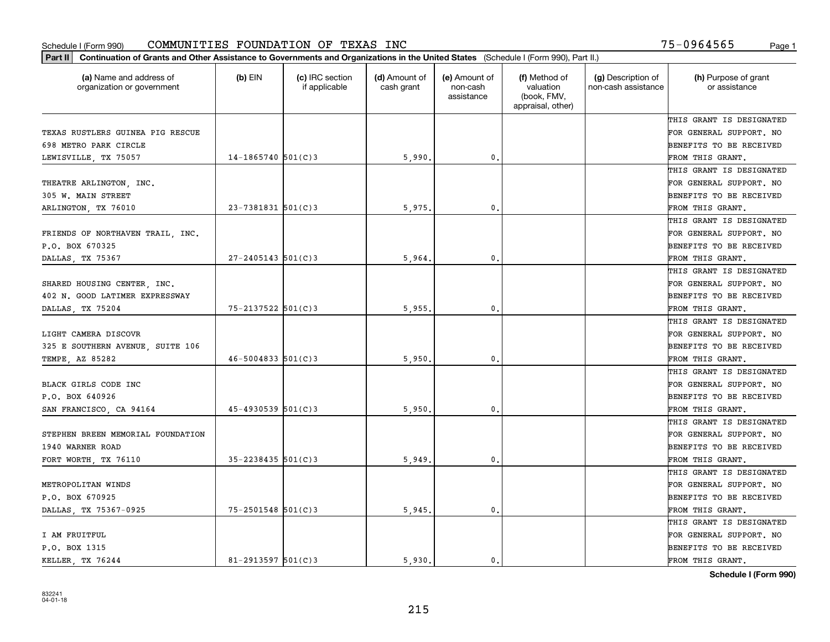| Part II   Continuation of Grants and Other Assistance to Governments and Organizations in the United States (Schedule I (Form 990), Part II.) |                         |                                  |                             |                                         |                                                                |                                           |                                       |
|-----------------------------------------------------------------------------------------------------------------------------------------------|-------------------------|----------------------------------|-----------------------------|-----------------------------------------|----------------------------------------------------------------|-------------------------------------------|---------------------------------------|
| (a) Name and address of<br>organization or government                                                                                         | (b) $EIN$               | (c) IRC section<br>if applicable | (d) Amount of<br>cash grant | (e) Amount of<br>non-cash<br>assistance | (f) Method of<br>valuation<br>(book, FMV,<br>appraisal, other) | (g) Description of<br>non-cash assistance | (h) Purpose of grant<br>or assistance |
|                                                                                                                                               |                         |                                  |                             |                                         |                                                                |                                           | THIS GRANT IS DESIGNATED              |
| TEXAS RUSTLERS GUINEA PIG RESCUE                                                                                                              |                         |                                  |                             |                                         |                                                                |                                           | FOR GENERAL SUPPORT. NO               |
| 698 METRO PARK CIRCLE                                                                                                                         |                         |                                  |                             |                                         |                                                                |                                           | BENEFITS TO BE RECEIVED               |
| LEWISVILLE, TX 75057                                                                                                                          | $14-1865740$ 501(C)3    |                                  | 5,990.                      | 0.                                      |                                                                |                                           | FROM THIS GRANT.                      |
|                                                                                                                                               |                         |                                  |                             |                                         |                                                                |                                           | THIS GRANT IS DESIGNATED              |
| THEATRE ARLINGTON, INC.                                                                                                                       |                         |                                  |                             |                                         |                                                                |                                           | FOR GENERAL SUPPORT. NO               |
| 305 W. MAIN STREET                                                                                                                            |                         |                                  |                             |                                         |                                                                |                                           | BENEFITS TO BE RECEIVED               |
| ARLINGTON, TX 76010                                                                                                                           | 23-7381831 501(C)3      |                                  | 5,975,                      | 0.                                      |                                                                |                                           | FROM THIS GRANT.                      |
|                                                                                                                                               |                         |                                  |                             |                                         |                                                                |                                           | THIS GRANT IS DESIGNATED              |
| FRIENDS OF NORTHAVEN TRAIL, INC.                                                                                                              |                         |                                  |                             |                                         |                                                                |                                           | FOR GENERAL SUPPORT. NO               |
| P.O. BOX 670325                                                                                                                               |                         |                                  |                             |                                         |                                                                |                                           | BENEFITS TO BE RECEIVED               |
| DALLAS, TX 75367                                                                                                                              | $27 - 2405143$ 501(C)3  |                                  | 5,964.                      | 0.                                      |                                                                |                                           | FROM THIS GRANT.                      |
|                                                                                                                                               |                         |                                  |                             |                                         |                                                                |                                           | THIS GRANT IS DESIGNATED              |
| SHARED HOUSING CENTER, INC.                                                                                                                   |                         |                                  |                             |                                         |                                                                |                                           | FOR GENERAL SUPPORT. NO               |
| 402 N. GOOD LATIMER EXPRESSWAY                                                                                                                |                         |                                  |                             |                                         |                                                                |                                           | <b>BENEFITS TO BE RECEIVED</b>        |
| DALLAS, TX 75204                                                                                                                              | 75-2137522 501(C)3      |                                  | 5,955,                      | 0.                                      |                                                                |                                           | FROM THIS GRANT.                      |
|                                                                                                                                               |                         |                                  |                             |                                         |                                                                |                                           | THIS GRANT IS DESIGNATED              |
| LIGHT CAMERA DISCOVR                                                                                                                          |                         |                                  |                             |                                         |                                                                |                                           | FOR GENERAL SUPPORT. NO               |
| 325 E SOUTHERN AVENUE, SUITE 106                                                                                                              |                         |                                  |                             |                                         |                                                                |                                           | BENEFITS TO BE RECEIVED               |
| TEMPE, AZ 85282                                                                                                                               | $46 - 5004833$ 501(C)3  |                                  | 5,950                       | 0.                                      |                                                                |                                           | FROM THIS GRANT.                      |
|                                                                                                                                               |                         |                                  |                             |                                         |                                                                |                                           | THIS GRANT IS DESIGNATED              |
| BLACK GIRLS CODE INC                                                                                                                          |                         |                                  |                             |                                         |                                                                |                                           | FOR GENERAL SUPPORT. NO               |
| P.O. BOX 640926                                                                                                                               |                         |                                  |                             |                                         |                                                                |                                           | BENEFITS TO BE RECEIVED               |
| SAN FRANCISCO, CA 94164                                                                                                                       | $45 - 4930539$ 501(C)3  |                                  | 5,950                       | 0.                                      |                                                                |                                           | FROM THIS GRANT.                      |
|                                                                                                                                               |                         |                                  |                             |                                         |                                                                |                                           | THIS GRANT IS DESIGNATED              |
| STEPHEN BREEN MEMORIAL FOUNDATION                                                                                                             |                         |                                  |                             |                                         |                                                                |                                           | FOR GENERAL SUPPORT. NO               |
| 1940 WARNER ROAD                                                                                                                              |                         |                                  |                             |                                         |                                                                |                                           | <b>BENEFITS TO BE RECEIVED</b>        |
| FORT WORTH, TX 76110                                                                                                                          | $35 - 2238435$ 501(C)3  |                                  | 5,949                       | 0.                                      |                                                                |                                           | FROM THIS GRANT.                      |
|                                                                                                                                               |                         |                                  |                             |                                         |                                                                |                                           | THIS GRANT IS DESIGNATED              |
| METROPOLITAN WINDS                                                                                                                            |                         |                                  |                             |                                         |                                                                |                                           | FOR GENERAL SUPPORT. NO               |
| P.O. BOX 670925                                                                                                                               |                         |                                  |                             |                                         |                                                                |                                           | BENEFITS TO BE RECEIVED               |
| DALLAS, TX 75367-0925                                                                                                                         | $75 - 2501548$ 501(C)3  |                                  | 5,945.                      | 0.                                      |                                                                |                                           | FROM THIS GRANT.                      |
|                                                                                                                                               |                         |                                  |                             |                                         |                                                                |                                           | THIS GRANT IS DESIGNATED              |
| I AM FRUITFUL                                                                                                                                 |                         |                                  |                             |                                         |                                                                |                                           | FOR GENERAL SUPPORT. NO               |
| P.O. BOX 1315                                                                                                                                 |                         |                                  |                             |                                         |                                                                |                                           | <b>BENEFITS TO BE RECEIVED</b>        |
| KELLER TX 76244                                                                                                                               | $81 - 2913597$ 501(C) 3 |                                  | 5.930.                      | 0.                                      |                                                                |                                           | FROM THIS GRANT.                      |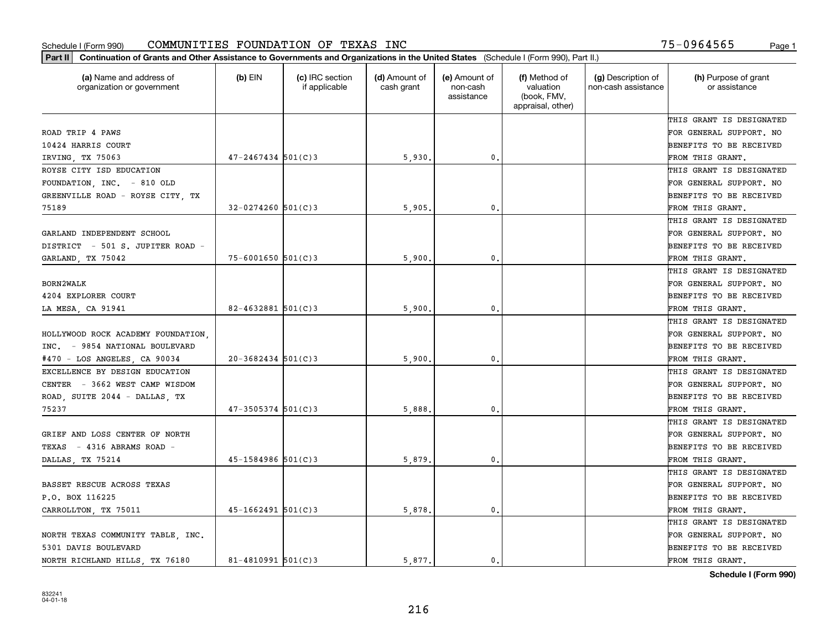| (a) Name and address of<br>organization or government | $(b)$ EIN              | (c) IRC section<br>if applicable | (d) Amount of<br>cash grant | (e) Amount of<br>non-cash<br>assistance | (f) Method of<br>valuation<br>(book, FMV,<br>appraisal, other) | (g) Description of<br>non-cash assistance | (h) Purpose of grant<br>or assistance |
|-------------------------------------------------------|------------------------|----------------------------------|-----------------------------|-----------------------------------------|----------------------------------------------------------------|-------------------------------------------|---------------------------------------|
|                                                       |                        |                                  |                             |                                         |                                                                |                                           | THIS GRANT IS DESIGNATED              |
| ROAD TRIP 4 PAWS                                      |                        |                                  |                             |                                         |                                                                |                                           | FOR GENERAL SUPPORT. NO               |
| 10424 HARRIS COURT                                    |                        |                                  |                             |                                         |                                                                |                                           | <b>BENEFITS TO BE RECEIVED</b>        |
| IRVING, TX 75063                                      | $47 - 2467434$ 501(C)3 |                                  | 5,930                       | 0.                                      |                                                                |                                           | FROM THIS GRANT.                      |
| ROYSE CITY ISD EDUCATION                              |                        |                                  |                             |                                         |                                                                |                                           | THIS GRANT IS DESIGNATED              |
| FOUNDATION, INC. - 810 OLD                            |                        |                                  |                             |                                         |                                                                |                                           | FOR GENERAL SUPPORT. NO               |
| GREENVILLE ROAD - ROYSE CITY, TX                      |                        |                                  |                             |                                         |                                                                |                                           | BENEFITS TO BE RECEIVED               |
| 75189                                                 | $32 - 0274260$ 501(C)3 |                                  | 5,905,                      | 0.                                      |                                                                |                                           | FROM THIS GRANT.                      |
|                                                       |                        |                                  |                             |                                         |                                                                |                                           | THIS GRANT IS DESIGNATED              |
| GARLAND INDEPENDENT SCHOOL                            |                        |                                  |                             |                                         |                                                                |                                           | FOR GENERAL SUPPORT. NO               |
| DISTRICT - 501 S. JUPITER ROAD -                      |                        |                                  |                             |                                         |                                                                |                                           | BENEFITS TO BE RECEIVED               |
| GARLAND, TX 75042                                     | $75 - 6001650$ 501(C)3 |                                  | 5,900                       | $\mathfrak{o}$ .                        |                                                                |                                           | FROM THIS GRANT.                      |
|                                                       |                        |                                  |                             |                                         |                                                                |                                           | THIS GRANT IS DESIGNATED              |
| BORN2WALK                                             |                        |                                  |                             |                                         |                                                                |                                           | FOR GENERAL SUPPORT. NO               |
| 4204 EXPLORER COURT                                   |                        |                                  |                             |                                         |                                                                |                                           | <b>BENEFITS TO BE RECEIVED</b>        |
| LA MESA, CA 91941                                     | $82 - 4632881$ 501(C)3 |                                  | 5,900                       | 0.                                      |                                                                |                                           | FROM THIS GRANT.                      |
|                                                       |                        |                                  |                             |                                         |                                                                |                                           | THIS GRANT IS DESIGNATED              |
| HOLLYWOOD ROCK ACADEMY FOUNDATION.                    |                        |                                  |                             |                                         |                                                                |                                           | FOR GENERAL SUPPORT. NO               |
| INC. - 9854 NATIONAL BOULEVARD                        |                        |                                  |                             |                                         |                                                                |                                           | <b>BENEFITS TO BE RECEIVED</b>        |
| #470 - LOS ANGELES, CA 90034                          | $20 - 3682434$ 501(C)3 |                                  | 5,900                       | 0.                                      |                                                                |                                           | FROM THIS GRANT.                      |
| EXCELLENCE BY DESIGN EDUCATION                        |                        |                                  |                             |                                         |                                                                |                                           | THIS GRANT IS DESIGNATED              |
| CENTER - 3662 WEST CAMP WISDOM                        |                        |                                  |                             |                                         |                                                                |                                           | FOR GENERAL SUPPORT. NO               |
| ROAD, SUITE 2044 - DALLAS, TX                         |                        |                                  |                             |                                         |                                                                |                                           | <b>BENEFITS TO BE RECEIVED</b>        |
| 75237                                                 | $47 - 3505374$ 501(C)3 |                                  | 5,888                       | 0.                                      |                                                                |                                           | FROM THIS GRANT.                      |
|                                                       |                        |                                  |                             |                                         |                                                                |                                           | THIS GRANT IS DESIGNATED              |
| GRIEF AND LOSS CENTER OF NORTH                        |                        |                                  |                             |                                         |                                                                |                                           | FOR GENERAL SUPPORT. NO               |
| TEXAS - 4316 ABRAMS ROAD -                            |                        |                                  |                             |                                         |                                                                |                                           | <b>BENEFITS TO BE RECEIVED</b>        |
| DALLAS, TX 75214                                      | $45 - 1584986$ 501(C)3 |                                  | 5,879                       | $\mathfrak{o}$ .                        |                                                                |                                           | FROM THIS GRANT.                      |
|                                                       |                        |                                  |                             |                                         |                                                                |                                           | THIS GRANT IS DESIGNATED              |
| BASSET RESCUE ACROSS TEXAS                            |                        |                                  |                             |                                         |                                                                |                                           | FOR GENERAL SUPPORT. NO               |
| P.O. BOX 116225                                       |                        |                                  |                             |                                         |                                                                |                                           | BENEFITS TO BE RECEIVED               |
| CARROLLTON, TX 75011                                  | $45 - 1662491$ 501(C)3 |                                  | 5,878.                      | $\mathbf{0}$ .                          |                                                                |                                           | FROM THIS GRANT.                      |
|                                                       |                        |                                  |                             |                                         |                                                                |                                           | THIS GRANT IS DESIGNATED              |
| NORTH TEXAS COMMUNITY TABLE  INC.                     |                        |                                  |                             |                                         |                                                                |                                           | FOR GENERAL SUPPORT. NO               |
| 5301 DAVIS BOULEVARD                                  |                        |                                  |                             |                                         |                                                                |                                           | <b>BENEFITS TO BE RECEIVED</b>        |
| NORTH RICHLAND HILLS, TX 76180                        | $81 - 4810991$ 501(C)3 |                                  | 5.877.                      | $\mathbf{0}$ .                          |                                                                |                                           | FROM THIS GRANT.                      |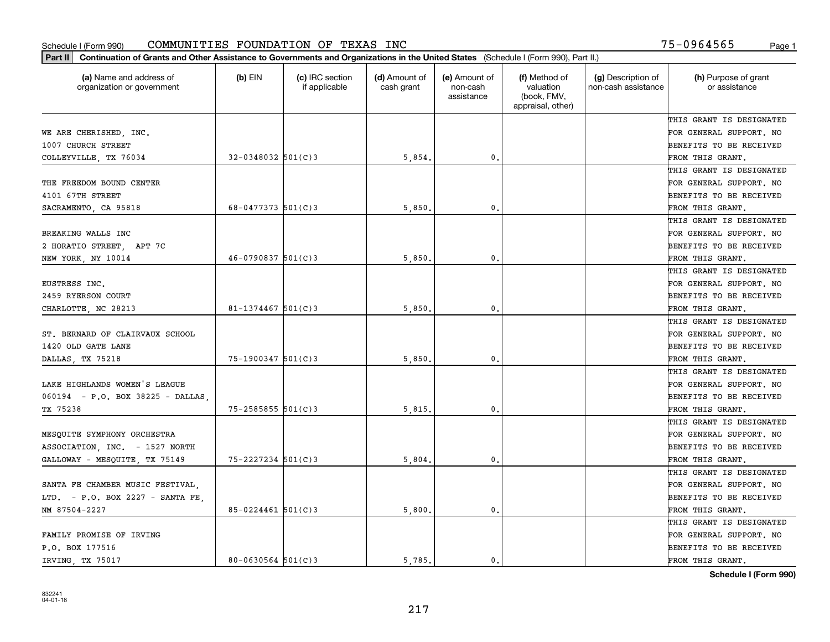| Part II   Continuation of Grants and Other Assistance to Governments and Organizations in the United States (Schedule I (Form 990), Part II.) |                        |                                  |                             |                                         |                                                                |                                           |                                       |
|-----------------------------------------------------------------------------------------------------------------------------------------------|------------------------|----------------------------------|-----------------------------|-----------------------------------------|----------------------------------------------------------------|-------------------------------------------|---------------------------------------|
| (a) Name and address of<br>organization or government                                                                                         | $(b)$ EIN              | (c) IRC section<br>if applicable | (d) Amount of<br>cash grant | (e) Amount of<br>non-cash<br>assistance | (f) Method of<br>valuation<br>(book, FMV,<br>appraisal, other) | (g) Description of<br>non-cash assistance | (h) Purpose of grant<br>or assistance |
|                                                                                                                                               |                        |                                  |                             |                                         |                                                                |                                           | THIS GRANT IS DESIGNATED              |
| WE ARE CHERISHED, INC.                                                                                                                        |                        |                                  |                             |                                         |                                                                |                                           | FOR GENERAL SUPPORT. NO               |
| 1007 CHURCH STREET                                                                                                                            |                        |                                  |                             |                                         |                                                                |                                           | BENEFITS TO BE RECEIVED               |
| COLLEYVILLE, TX 76034                                                                                                                         | $32 - 0348032$ 501(C)3 |                                  | 5,854.                      | 0.                                      |                                                                |                                           | FROM THIS GRANT.                      |
|                                                                                                                                               |                        |                                  |                             |                                         |                                                                |                                           | THIS GRANT IS DESIGNATED              |
| THE FREEDOM BOUND CENTER                                                                                                                      |                        |                                  |                             |                                         |                                                                |                                           | FOR GENERAL SUPPORT. NO               |
| 4101 67TH STREET                                                                                                                              |                        |                                  |                             |                                         |                                                                |                                           | BENEFITS TO BE RECEIVED               |
| SACRAMENTO, CA 95818                                                                                                                          | $68 - 0477373$ 501(C)3 |                                  | 5,850                       | $\mathbf{0}$                            |                                                                |                                           | FROM THIS GRANT.                      |
|                                                                                                                                               |                        |                                  |                             |                                         |                                                                |                                           | THIS GRANT IS DESIGNATED              |
| BREAKING WALLS INC                                                                                                                            |                        |                                  |                             |                                         |                                                                |                                           | FOR GENERAL SUPPORT. NO               |
| 2 HORATIO STREET, APT 7C                                                                                                                      |                        |                                  |                             |                                         |                                                                |                                           | BENEFITS TO BE RECEIVED               |
| NEW YORK, NY 10014                                                                                                                            | $46 - 0790837$ 501(C)3 |                                  | 5,850                       | $\mathfrak{o}$ .                        |                                                                |                                           | FROM THIS GRANT.                      |
|                                                                                                                                               |                        |                                  |                             |                                         |                                                                |                                           | THIS GRANT IS DESIGNATED              |
| EUSTRESS INC.                                                                                                                                 |                        |                                  |                             |                                         |                                                                |                                           | FOR GENERAL SUPPORT. NO               |
| 2459 RYERSON COURT                                                                                                                            |                        |                                  |                             |                                         |                                                                |                                           | <b>BENEFITS TO BE RECEIVED</b>        |
| CHARLOTTE, NC 28213                                                                                                                           | $81 - 1374467$ 501(C)3 |                                  | 5,850                       | 0.                                      |                                                                |                                           | FROM THIS GRANT.                      |
|                                                                                                                                               |                        |                                  |                             |                                         |                                                                |                                           | THIS GRANT IS DESIGNATED              |
| ST. BERNARD OF CLAIRVAUX SCHOOL                                                                                                               |                        |                                  |                             |                                         |                                                                |                                           | FOR GENERAL SUPPORT. NO               |
| 1420 OLD GATE LANE                                                                                                                            |                        |                                  |                             |                                         |                                                                |                                           | BENEFITS TO BE RECEIVED               |
| DALLAS, TX 75218                                                                                                                              | $75 - 1900347$ 501(C)3 |                                  | 5,850                       | $\mathbf{0}$                            |                                                                |                                           | FROM THIS GRANT.                      |
|                                                                                                                                               |                        |                                  |                             |                                         |                                                                |                                           | THIS GRANT IS DESIGNATED              |
| LAKE HIGHLANDS WOMEN'S LEAGUE                                                                                                                 |                        |                                  |                             |                                         |                                                                |                                           | FOR GENERAL SUPPORT. NO               |
| 060194 - P.O. BOX 38225 - DALLAS                                                                                                              |                        |                                  |                             |                                         |                                                                |                                           | BENEFITS TO BE RECEIVED               |
| TX 75238                                                                                                                                      | $75 - 2585855$ 501(C)3 |                                  | 5,815.                      | 0.                                      |                                                                |                                           | FROM THIS GRANT.                      |
|                                                                                                                                               |                        |                                  |                             |                                         |                                                                |                                           | THIS GRANT IS DESIGNATED              |
| MESQUITE SYMPHONY ORCHESTRA                                                                                                                   |                        |                                  |                             |                                         |                                                                |                                           | FOR GENERAL SUPPORT. NO               |
| ASSOCIATION, INC. - 1527 NORTH                                                                                                                |                        |                                  |                             |                                         |                                                                |                                           | BENEFITS TO BE RECEIVED               |
| GALLOWAY - MESQUITE, TX 75149                                                                                                                 | 75-2227234 501(C)3     |                                  | 5,804                       | $\mathfrak{o}$ .                        |                                                                |                                           | FROM THIS GRANT.                      |
|                                                                                                                                               |                        |                                  |                             |                                         |                                                                |                                           | THIS GRANT IS DESIGNATED              |
| SANTA FE CHAMBER MUSIC FESTIVAL,                                                                                                              |                        |                                  |                             |                                         |                                                                |                                           | FOR GENERAL SUPPORT. NO               |
| LTD. - P.O. BOX 2227 - SANTA FE.                                                                                                              |                        |                                  |                             |                                         |                                                                |                                           | BENEFITS TO BE RECEIVED               |
| NM 87504-2227                                                                                                                                 | $85 - 0224461$ 501(C)3 |                                  | 5,800.                      | $\mathbf{0}$ .                          |                                                                |                                           | FROM THIS GRANT.                      |
|                                                                                                                                               |                        |                                  |                             |                                         |                                                                |                                           | THIS GRANT IS DESIGNATED              |
| FAMILY PROMISE OF IRVING                                                                                                                      |                        |                                  |                             |                                         |                                                                |                                           | FOR GENERAL SUPPORT. NO               |
| P.O. BOX 177516                                                                                                                               |                        |                                  |                             |                                         |                                                                |                                           | <b>BENEFITS TO BE RECEIVED</b>        |
| IRVING, TX 75017                                                                                                                              | $80 - 0630564$ 501(C)3 |                                  | 5.785.                      | $\mathbf{0}$ .                          |                                                                |                                           | FROM THIS GRANT.                      |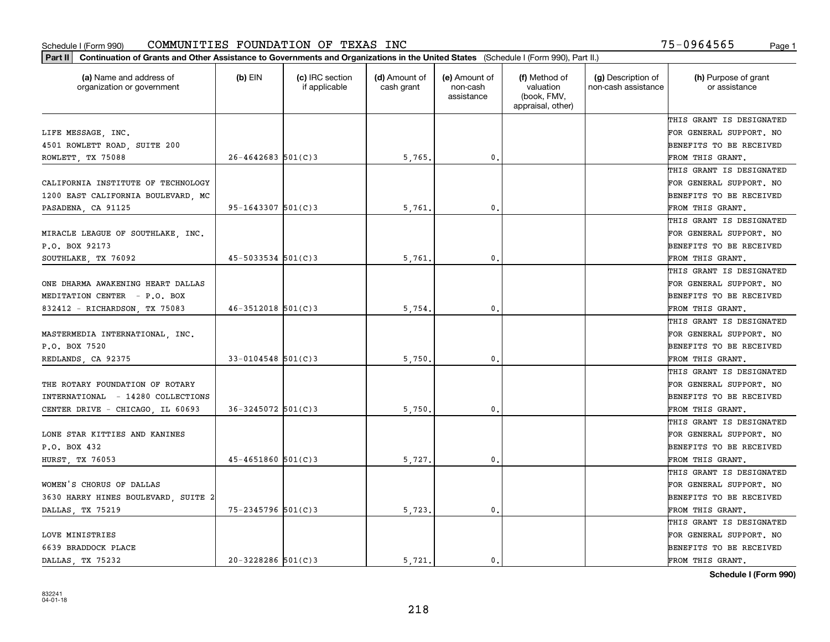| (a) Name and address of<br>organization or government | $(b)$ EIN               | (c) IRC section<br>if applicable | (d) Amount of<br>cash grant | (e) Amount of<br>non-cash<br>assistance | (f) Method of<br>valuation<br>(book, FMV,<br>appraisal, other) | (g) Description of<br>non-cash assistance | (h) Purpose of grant<br>or assistance |
|-------------------------------------------------------|-------------------------|----------------------------------|-----------------------------|-----------------------------------------|----------------------------------------------------------------|-------------------------------------------|---------------------------------------|
|                                                       |                         |                                  |                             |                                         |                                                                |                                           | THIS GRANT IS DESIGNATED              |
| LIFE MESSAGE, INC.                                    |                         |                                  |                             |                                         |                                                                |                                           | FOR GENERAL SUPPORT. NO               |
| 4501 ROWLETT ROAD, SUITE 200                          |                         |                                  |                             |                                         |                                                                |                                           | BENEFITS TO BE RECEIVED               |
| ROWLETT, TX 75088                                     | $26 - 4642683$ 501(C)3  |                                  | 5,765.                      | 0.                                      |                                                                |                                           | FROM THIS GRANT.                      |
|                                                       |                         |                                  |                             |                                         |                                                                |                                           | THIS GRANT IS DESIGNATED              |
| CALIFORNIA INSTITUTE OF TECHNOLOGY                    |                         |                                  |                             |                                         |                                                                |                                           | FOR GENERAL SUPPORT. NO               |
| 1200 EAST CALIFORNIA BOULEVARD, MC                    |                         |                                  |                             |                                         |                                                                |                                           | BENEFITS TO BE RECEIVED               |
| PASADENA, CA 91125                                    | $95 - 1643307$ 501(C)3  |                                  | 5,761.                      | 0.                                      |                                                                |                                           | FROM THIS GRANT.                      |
|                                                       |                         |                                  |                             |                                         |                                                                |                                           | THIS GRANT IS DESIGNATED              |
| MIRACLE LEAGUE OF SOUTHLAKE, INC.                     |                         |                                  |                             |                                         |                                                                |                                           | FOR GENERAL SUPPORT. NO               |
| P.O. BOX 92173                                        |                         |                                  |                             |                                         |                                                                |                                           | BENEFITS TO BE RECEIVED               |
| SOUTHLAKE, TX 76092                                   | $45 - 5033534$ 501(C)3  |                                  | 5,761.                      | 0.                                      |                                                                |                                           | FROM THIS GRANT.                      |
|                                                       |                         |                                  |                             |                                         |                                                                |                                           | THIS GRANT IS DESIGNATED              |
| ONE DHARMA AWAKENING HEART DALLAS                     |                         |                                  |                             |                                         |                                                                |                                           | FOR GENERAL SUPPORT. NO               |
| MEDITATION CENTER - P.O. BOX                          |                         |                                  |                             |                                         |                                                                |                                           | <b>BENEFITS TO BE RECEIVED</b>        |
| 832412 - RICHARDSON, TX 75083                         | $46 - 3512018$ 501(C)3  |                                  | 5,754.                      | 0.                                      |                                                                |                                           | FROM THIS GRANT.                      |
|                                                       |                         |                                  |                             |                                         |                                                                |                                           | THIS GRANT IS DESIGNATED              |
| MASTERMEDIA INTERNATIONAL INC.                        |                         |                                  |                             |                                         |                                                                |                                           | FOR GENERAL SUPPORT. NO               |
| P.O. BOX 7520                                         |                         |                                  |                             |                                         |                                                                |                                           | BENEFITS TO BE RECEIVED               |
| REDLANDS CA 92375                                     | $33 - 0104548$ 501(C) 3 |                                  | 5,750                       | 0.                                      |                                                                |                                           | FROM THIS GRANT.                      |
|                                                       |                         |                                  |                             |                                         |                                                                |                                           | THIS GRANT IS DESIGNATED              |
| THE ROTARY FOUNDATION OF ROTARY                       |                         |                                  |                             |                                         |                                                                |                                           | FOR GENERAL SUPPORT. NO               |
| INTERNATIONAL - 14280 COLLECTIONS                     |                         |                                  |                             |                                         |                                                                |                                           | BENEFITS TO BE RECEIVED               |
| CENTER DRIVE - CHICAGO, IL 60693                      | $36 - 3245072$ 501(C)3  |                                  | 5,750                       | 0.                                      |                                                                |                                           | FROM THIS GRANT.                      |
|                                                       |                         |                                  |                             |                                         |                                                                |                                           | THIS GRANT IS DESIGNATED              |
| LONE STAR KITTIES AND KANINES                         |                         |                                  |                             |                                         |                                                                |                                           | FOR GENERAL SUPPORT. NO               |
| P.O. BOX 432                                          |                         |                                  |                             |                                         |                                                                |                                           | BENEFITS TO BE RECEIVED               |
| HURST, TX 76053                                       | $45 - 4651860$ 501(C)3  |                                  | 5,727.                      | 0.                                      |                                                                |                                           | FROM THIS GRANT.                      |
|                                                       |                         |                                  |                             |                                         |                                                                |                                           | THIS GRANT IS DESIGNATED              |
| WOMEN'S CHORUS OF DALLAS                              |                         |                                  |                             |                                         |                                                                |                                           | FOR GENERAL SUPPORT. NO               |
| 3630 HARRY HINES BOULEVARD, SUITE 2                   |                         |                                  |                             |                                         |                                                                |                                           | BENEFITS TO BE RECEIVED               |
| DALLAS, TX 75219                                      | 75-2345796 501(C)3      |                                  | 5,723.                      | 0.                                      |                                                                |                                           | FROM THIS GRANT.                      |
|                                                       |                         |                                  |                             |                                         |                                                                |                                           | THIS GRANT IS DESIGNATED              |
| LOVE MINISTRIES                                       |                         |                                  |                             |                                         |                                                                |                                           | FOR GENERAL SUPPORT. NO               |
| 6639 BRADDOCK PLACE                                   |                         |                                  |                             |                                         |                                                                |                                           | <b>BENEFITS TO BE RECEIVED</b>        |
| DALLAS, TX 75232                                      | $20 - 3228286$ 501(C)3  |                                  | 5.721.                      | $\mathbf{0}$ .                          |                                                                |                                           | FROM THIS GRANT.                      |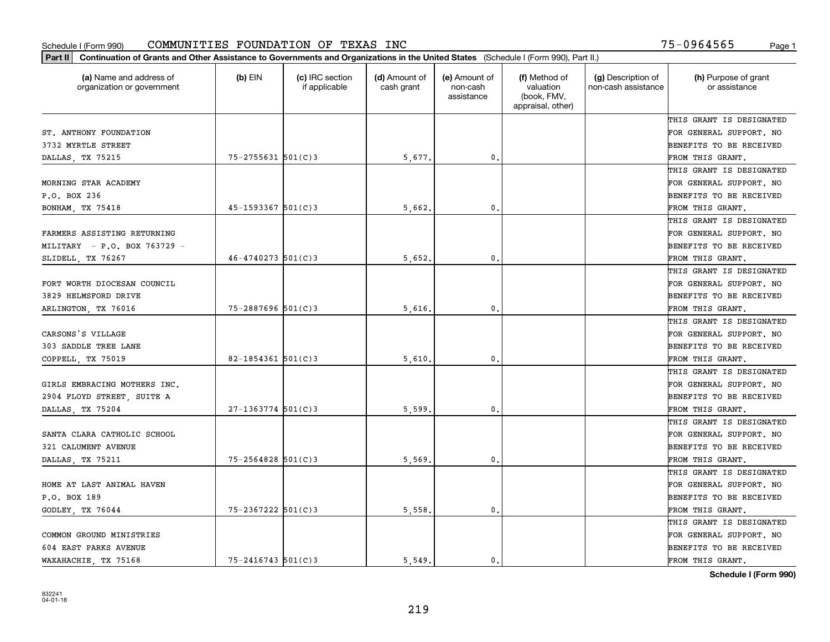| (a) Name and address of<br>organization or government | $(b)$ EIN              | (c) IRC section<br>if applicable | (d) Amount of<br>cash grant | (e) Amount of<br>non-cash<br>assistance | (f) Method of<br>valuation<br>(book, FMV,<br>appraisal, other) | (g) Description of<br>non-cash assistance | (h) Purpose of grant<br>or assistance |
|-------------------------------------------------------|------------------------|----------------------------------|-----------------------------|-----------------------------------------|----------------------------------------------------------------|-------------------------------------------|---------------------------------------|
|                                                       |                        |                                  |                             |                                         |                                                                |                                           | THIS GRANT IS DESIGNATED              |
| ST. ANTHONY FOUNDATION                                |                        |                                  |                             |                                         |                                                                |                                           | FOR GENERAL SUPPORT. NO               |
| 3732 MYRTLE STREET                                    |                        |                                  |                             |                                         |                                                                |                                           | BENEFITS TO BE RECEIVED               |
| DALLAS, TX 75215                                      | $75 - 2755631$ 501(C)3 |                                  | 5,677.                      | 0.                                      |                                                                |                                           | FROM THIS GRANT.                      |
|                                                       |                        |                                  |                             |                                         |                                                                |                                           | THIS GRANT IS DESIGNATED              |
| MORNING STAR ACADEMY                                  |                        |                                  |                             |                                         |                                                                |                                           | FOR GENERAL SUPPORT. NO               |
| P.O. BOX 236                                          |                        |                                  |                             |                                         |                                                                |                                           | BENEFITS TO BE RECEIVED               |
| BONHAM, TX 75418                                      | 45-1593367 501(C)3     |                                  | 5,662.                      | $\mathbf{0}$                            |                                                                |                                           | FROM THIS GRANT.                      |
|                                                       |                        |                                  |                             |                                         |                                                                |                                           | THIS GRANT IS DESIGNATED              |
| FARMERS ASSISTING RETURNING                           |                        |                                  |                             |                                         |                                                                |                                           | FOR GENERAL SUPPORT. NO               |
| $MILITARY = P.O. BOX 763729 -$                        |                        |                                  |                             |                                         |                                                                |                                           | BENEFITS TO BE RECEIVED               |
| SLIDELL, TX 76267                                     | $46 - 4740273$ 501(C)3 |                                  | 5,652.                      | $\mathbf{0}$ .                          |                                                                |                                           | FROM THIS GRANT.                      |
|                                                       |                        |                                  |                             |                                         |                                                                |                                           | THIS GRANT IS DESIGNATED              |
| FORT WORTH DIOCESAN COUNCIL                           |                        |                                  |                             |                                         |                                                                |                                           | FOR GENERAL SUPPORT. NO               |
| 3829 HELMSFORD DRIVE                                  |                        |                                  |                             |                                         |                                                                |                                           | BENEFITS TO BE RECEIVED               |
| ARLINGTON, TX 76016                                   | $75 - 2887696$ 501(C)3 |                                  | 5,616                       | 0.                                      |                                                                |                                           | FROM THIS GRANT.                      |
|                                                       |                        |                                  |                             |                                         |                                                                |                                           | THIS GRANT IS DESIGNATED              |
| CARSONS'S VILLAGE                                     |                        |                                  |                             |                                         |                                                                |                                           | FOR GENERAL SUPPORT. NO               |
| 303 SADDLE TREE LANE                                  |                        |                                  |                             |                                         |                                                                |                                           | BENEFITS TO BE RECEIVED               |
| COPPELL, TX 75019                                     | $82 - 1854361$ 501(C)3 |                                  | 5,610                       | 0.                                      |                                                                |                                           | FROM THIS GRANT.                      |
|                                                       |                        |                                  |                             |                                         |                                                                |                                           | THIS GRANT IS DESIGNATED              |
| GIRLS EMBRACING MOTHERS INC.                          |                        |                                  |                             |                                         |                                                                |                                           | FOR GENERAL SUPPORT. NO               |
| 2904 FLOYD STREET, SUITE A                            |                        |                                  |                             |                                         |                                                                |                                           | BENEFITS TO BE RECEIVED               |
| DALLAS, TX 75204                                      | 27-1363774 501(C)3     |                                  | 5,599                       | $\mathbf{0}$                            |                                                                |                                           | FROM THIS GRANT.                      |
|                                                       |                        |                                  |                             |                                         |                                                                |                                           | THIS GRANT IS DESIGNATED              |
| SANTA CLARA CATHOLIC SCHOOL                           |                        |                                  |                             |                                         |                                                                |                                           | FOR GENERAL SUPPORT. NO               |
| 321 CALUMENT AVENUE                                   |                        |                                  |                             |                                         |                                                                |                                           | BENEFITS TO BE RECEIVED               |
| DALLAS, TX 75211                                      | $75 - 2564828$ 501(C)3 |                                  | 5,569                       | 0.                                      |                                                                |                                           | FROM THIS GRANT.                      |
|                                                       |                        |                                  |                             |                                         |                                                                |                                           | THIS GRANT IS DESIGNATED              |
| HOME AT LAST ANIMAL HAVEN                             |                        |                                  |                             |                                         |                                                                |                                           | FOR GENERAL SUPPORT. NO               |
| P.O. BOX 189                                          |                        |                                  |                             |                                         |                                                                |                                           | BENEFITS TO BE RECEIVED               |
| GODLEY, TX 76044                                      | 75-2367222 501(C)3     |                                  | 5,558.                      | $\mathbf{0}$ .                          |                                                                |                                           | FROM THIS GRANT.                      |
|                                                       |                        |                                  |                             |                                         |                                                                |                                           | THIS GRANT IS DESIGNATED              |
| COMMON GROUND MINISTRIES                              |                        |                                  |                             |                                         |                                                                |                                           | FOR GENERAL SUPPORT. NO               |
| 604 EAST PARKS AVENUE                                 |                        |                                  |                             |                                         |                                                                |                                           | BENEFITS TO BE RECEIVED               |
| WAXAHACHIE, TX 75168                                  | $75 - 2416743$ 501(C)3 |                                  | 5.549.                      | 0.                                      |                                                                |                                           | FROM THIS GRANT.                      |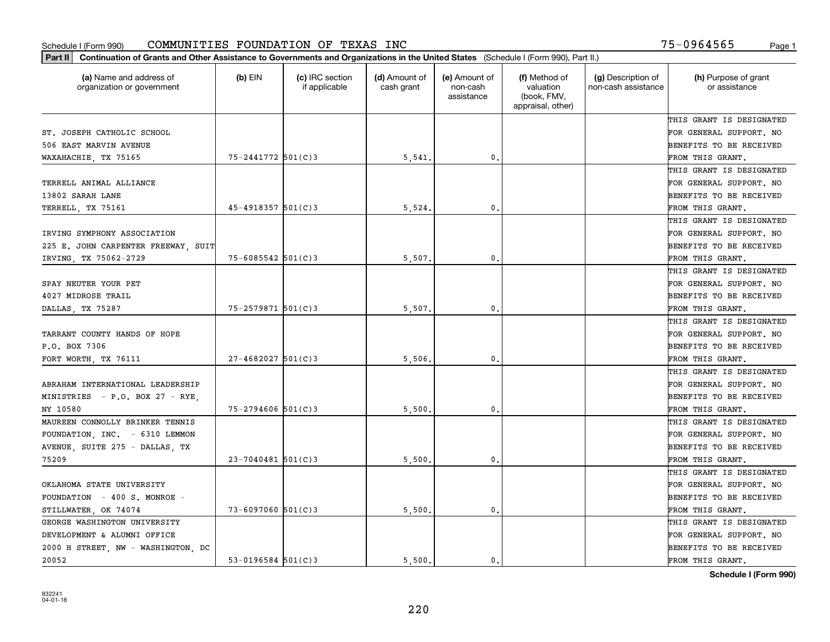| Part II   Continuation of Grants and Other Assistance to Governments and Organizations in the United States (Schedule I (Form 990), Part II.) |                        |                                  |                             |                                         |                                                                |                                           |                                       |
|-----------------------------------------------------------------------------------------------------------------------------------------------|------------------------|----------------------------------|-----------------------------|-----------------------------------------|----------------------------------------------------------------|-------------------------------------------|---------------------------------------|
| (a) Name and address of<br>organization or government                                                                                         | $(b)$ EIN              | (c) IRC section<br>if applicable | (d) Amount of<br>cash grant | (e) Amount of<br>non-cash<br>assistance | (f) Method of<br>valuation<br>(book, FMV,<br>appraisal, other) | (g) Description of<br>non-cash assistance | (h) Purpose of grant<br>or assistance |
|                                                                                                                                               |                        |                                  |                             |                                         |                                                                |                                           | THIS GRANT IS DESIGNATED              |
| ST. JOSEPH CATHOLIC SCHOOL                                                                                                                    |                        |                                  |                             |                                         |                                                                |                                           | FOR GENERAL SUPPORT. NO               |
| 506 EAST MARVIN AVENUE                                                                                                                        |                        |                                  |                             |                                         |                                                                |                                           | BENEFITS TO BE RECEIVED               |
| WAXAHACHIE, TX 75165                                                                                                                          | 75-2441772 501(C)3     |                                  | 5,541                       | $\mathbf{0}$ .                          |                                                                |                                           | FROM THIS GRANT.                      |
|                                                                                                                                               |                        |                                  |                             |                                         |                                                                |                                           | THIS GRANT IS DESIGNATED              |
| TERRELL ANIMAL ALLIANCE                                                                                                                       |                        |                                  |                             |                                         |                                                                |                                           | FOR GENERAL SUPPORT. NO               |
| 13802 SARAH LANE                                                                                                                              |                        |                                  |                             |                                         |                                                                |                                           | BENEFITS TO BE RECEIVED               |
| TERRELL, TX 75161                                                                                                                             | 45-4918357 501(C)3     |                                  | 5,524                       | $\mathbf 0$ .                           |                                                                |                                           | FROM THIS GRANT.                      |
|                                                                                                                                               |                        |                                  |                             |                                         |                                                                |                                           | THIS GRANT IS DESIGNATED              |
| IRVING SYMPHONY ASSOCIATION                                                                                                                   |                        |                                  |                             |                                         |                                                                |                                           | FOR GENERAL SUPPORT. NO               |
| 225 E. JOHN CARPENTER FREEWAY SUIT                                                                                                            |                        |                                  |                             |                                         |                                                                |                                           | BENEFITS TO BE RECEIVED               |
| IRVING, TX 75062-2729                                                                                                                         | $75 - 6085542$ 501(C)3 |                                  | 5,507                       | 0.                                      |                                                                |                                           | FROM THIS GRANT.                      |
|                                                                                                                                               |                        |                                  |                             |                                         |                                                                |                                           | THIS GRANT IS DESIGNATED              |
| SPAY NEUTER YOUR PET                                                                                                                          |                        |                                  |                             |                                         |                                                                |                                           | FOR GENERAL SUPPORT. NO               |
| 4027 MIDROSE TRAIL                                                                                                                            |                        |                                  |                             |                                         |                                                                |                                           | BENEFITS TO BE RECEIVED               |
| DALLAS, TX 75287                                                                                                                              | 75-2579871 501(C)3     |                                  | 5,507                       | 0.                                      |                                                                |                                           | FROM THIS GRANT.                      |
|                                                                                                                                               |                        |                                  |                             |                                         |                                                                |                                           | THIS GRANT IS DESIGNATED              |
| TARRANT COUNTY HANDS OF HOPE                                                                                                                  |                        |                                  |                             |                                         |                                                                |                                           | FOR GENERAL SUPPORT. NO               |
| P.O. BOX 7306                                                                                                                                 |                        |                                  |                             |                                         |                                                                |                                           | BENEFITS TO BE RECEIVED               |
| FORT WORTH, TX 76111                                                                                                                          | $27 - 4682027$ 501(C)3 |                                  | 5,506                       | 0.                                      |                                                                |                                           | FROM THIS GRANT.                      |
|                                                                                                                                               |                        |                                  |                             |                                         |                                                                |                                           | THIS GRANT IS DESIGNATED              |
| ABRAHAM INTERNATIONAL LEADERSHIP                                                                                                              |                        |                                  |                             |                                         |                                                                |                                           | FOR GENERAL SUPPORT. NO               |
| MINISTRIES - P.O. BOX 27 - RYE,                                                                                                               |                        |                                  |                             |                                         |                                                                |                                           | BENEFITS TO BE RECEIVED               |
| NY 10580                                                                                                                                      | $75 - 2794606$ 501(C)3 |                                  | 5,500                       | 0.                                      |                                                                |                                           | FROM THIS GRANT.                      |
| MAUREEN CONNOLLY BRINKER TENNIS                                                                                                               |                        |                                  |                             |                                         |                                                                |                                           | THIS GRANT IS DESIGNATED              |
| FOUNDATION, INC. - 6310 LEMMON                                                                                                                |                        |                                  |                             |                                         |                                                                |                                           | FOR GENERAL SUPPORT. NO               |
| AVENUE, SUITE 275 - DALLAS, TX                                                                                                                |                        |                                  |                             |                                         |                                                                |                                           | BENEFITS TO BE RECEIVED               |
| 75209                                                                                                                                         | $23 - 7040481$ 501(C)3 |                                  | 5,500                       | 0.                                      |                                                                |                                           | FROM THIS GRANT.                      |
|                                                                                                                                               |                        |                                  |                             |                                         |                                                                |                                           | THIS GRANT IS DESIGNATED              |
| OKLAHOMA STATE UNIVERSITY                                                                                                                     |                        |                                  |                             |                                         |                                                                |                                           | FOR GENERAL SUPPORT. NO               |
| FOUNDATION - 400 S. MONROE -                                                                                                                  |                        |                                  |                             |                                         |                                                                |                                           | BENEFITS TO BE RECEIVED               |
| STILLWATER, OK 74074                                                                                                                          | $73 - 6097060$ 501(C)3 |                                  | 5,500                       | 0.                                      |                                                                |                                           | FROM THIS GRANT.                      |
| GEORGE WASHINGTON UNIVERSITY                                                                                                                  |                        |                                  |                             |                                         |                                                                |                                           | THIS GRANT IS DESIGNATED              |
| DEVELOPMENT & ALUMNI OFFICE                                                                                                                   |                        |                                  |                             |                                         |                                                                |                                           | FOR GENERAL SUPPORT. NO               |
| 2000 H STREET, NW - WASHINGTON, DC                                                                                                            |                        |                                  |                             |                                         |                                                                |                                           | BENEFITS TO BE RECEIVED               |
| 20052                                                                                                                                         | $53 - 0196584$ 501(C)3 |                                  | 5,500.                      | 0.                                      |                                                                |                                           | FROM THIS GRANT.                      |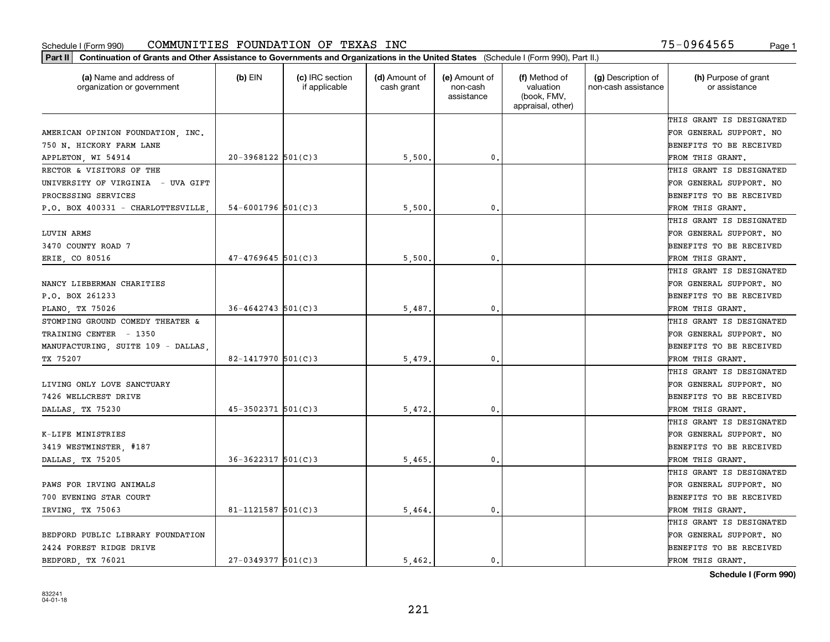| (a) Name and address of<br>organization or government | $(b)$ EIN                | (c) IRC section<br>if applicable | (d) Amount of<br>cash grant | (e) Amount of<br>non-cash<br>assistance | (f) Method of<br>valuation<br>(book, FMV,<br>appraisal, other) | (g) Description of<br>non-cash assistance | (h) Purpose of grant<br>or assistance |
|-------------------------------------------------------|--------------------------|----------------------------------|-----------------------------|-----------------------------------------|----------------------------------------------------------------|-------------------------------------------|---------------------------------------|
|                                                       |                          |                                  |                             |                                         |                                                                |                                           | THIS GRANT IS DESIGNATED              |
| AMERICAN OPINION FOUNDATION, INC.                     |                          |                                  |                             |                                         |                                                                |                                           | FOR GENERAL SUPPORT. NO               |
| 750 N. HICKORY FARM LANE                              |                          |                                  |                             |                                         |                                                                |                                           | BENEFITS TO BE RECEIVED               |
| APPLETON, WI 54914                                    | $20-3968122$ 501(C)3     |                                  | 5,500                       | 0.                                      |                                                                |                                           | FROM THIS GRANT.                      |
| RECTOR & VISITORS OF THE                              |                          |                                  |                             |                                         |                                                                |                                           | THIS GRANT IS DESIGNATED              |
| UNIVERSITY OF VIRGINIA - UVA GIFT                     |                          |                                  |                             |                                         |                                                                |                                           | FOR GENERAL SUPPORT. NO               |
| PROCESSING SERVICES                                   |                          |                                  |                             |                                         |                                                                |                                           | BENEFITS TO BE RECEIVED               |
| P.O. BOX 400331 - CHARLOTTESVILLE                     | $54 - 6001796$ 501(C)3   |                                  | 5,500                       | 0.                                      |                                                                |                                           | FROM THIS GRANT.                      |
|                                                       |                          |                                  |                             |                                         |                                                                |                                           | THIS GRANT IS DESIGNATED              |
| LUVIN ARMS                                            |                          |                                  |                             |                                         |                                                                |                                           | FOR GENERAL SUPPORT. NO               |
| 3470 COUNTY ROAD 7                                    |                          |                                  |                             |                                         |                                                                |                                           | BENEFITS TO BE RECEIVED               |
| ERIE, CO 80516                                        | $47 - 4769645$ 501(C)3   |                                  | 5,500                       | $\mathbf{0}$ .                          |                                                                |                                           | FROM THIS GRANT.                      |
|                                                       |                          |                                  |                             |                                         |                                                                |                                           | THIS GRANT IS DESIGNATED              |
| NANCY LIEBERMAN CHARITIES                             |                          |                                  |                             |                                         |                                                                |                                           | FOR GENERAL SUPPORT. NO               |
| P.O. BOX 261233                                       |                          |                                  |                             |                                         |                                                                |                                           | BENEFITS TO BE RECEIVED               |
| PLANO, TX 75026                                       | $36 - 4642743$ 501(C) 3  |                                  | 5,487                       | 0.                                      |                                                                |                                           | FROM THIS GRANT.                      |
| STOMPING GROUND COMEDY THEATER &                      |                          |                                  |                             |                                         |                                                                |                                           | THIS GRANT IS DESIGNATED              |
| TRAINING CENTER - 1350                                |                          |                                  |                             |                                         |                                                                |                                           | FOR GENERAL SUPPORT. NO               |
| MANUFACTURING, SUITE 109 - DALLAS,                    |                          |                                  |                             |                                         |                                                                |                                           | BENEFITS TO BE RECEIVED               |
| TX 75207                                              | $82 - 1417970$ 501(C)3   |                                  | 5,479                       | 0.                                      |                                                                |                                           | FROM THIS GRANT.                      |
|                                                       |                          |                                  |                             |                                         |                                                                |                                           | THIS GRANT IS DESIGNATED              |
| LIVING ONLY LOVE SANCTUARY                            |                          |                                  |                             |                                         |                                                                |                                           | FOR GENERAL SUPPORT. NO               |
| 7426 WELLCREST DRIVE                                  |                          |                                  |                             |                                         |                                                                |                                           | BENEFITS TO BE RECEIVED               |
| DALLAS, TX 75230                                      | $45 - 3502371$ 501(C)3   |                                  | 5,472                       | 0.                                      |                                                                |                                           | FROM THIS GRANT.                      |
|                                                       |                          |                                  |                             |                                         |                                                                |                                           | THIS GRANT IS DESIGNATED              |
| K-LIFE MINISTRIES                                     |                          |                                  |                             |                                         |                                                                |                                           | FOR GENERAL SUPPORT. NO               |
| 3419 WESTMINSTER, #187                                |                          |                                  |                             |                                         |                                                                |                                           | BENEFITS TO BE RECEIVED               |
| DALLAS, TX 75205                                      | $36 - 3622317$ $501(C)3$ |                                  | 5,465                       | $\mathbf{0}$ .                          |                                                                |                                           | FROM THIS GRANT.                      |
|                                                       |                          |                                  |                             |                                         |                                                                |                                           | THIS GRANT IS DESIGNATED              |
| PAWS FOR IRVING ANIMALS                               |                          |                                  |                             |                                         |                                                                |                                           | FOR GENERAL SUPPORT. NO               |
| 700 EVENING STAR COURT                                |                          |                                  |                             |                                         |                                                                |                                           | BENEFITS TO BE RECEIVED               |
| IRVING, TX 75063                                      | $81 - 1121587$ 501(C)3   |                                  | 5,464.                      | $\mathbf{0}$ .                          |                                                                |                                           | FROM THIS GRANT.                      |
|                                                       |                          |                                  |                             |                                         |                                                                |                                           | THIS GRANT IS DESIGNATED              |
| BEDFORD PUBLIC LIBRARY FOUNDATION                     |                          |                                  |                             |                                         |                                                                |                                           | FOR GENERAL SUPPORT. NO               |
| 2424 FOREST RIDGE DRIVE                               |                          |                                  |                             |                                         |                                                                |                                           | BENEFITS TO BE RECEIVED               |
| BEDFORD, TX 76021                                     | $27 - 0349377$ 501(C)3   |                                  | 5.462.                      | 0.                                      |                                                                |                                           | FROM THIS GRANT.                      |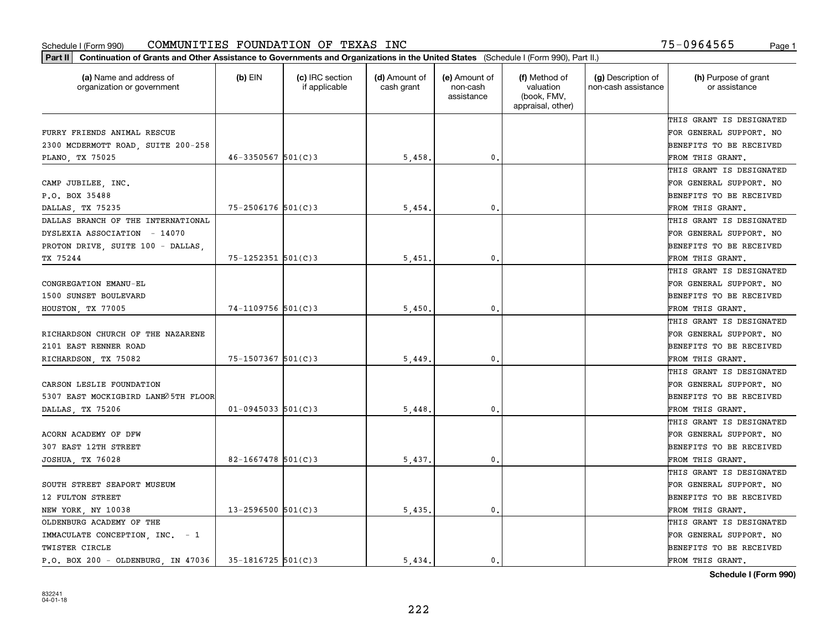| (a) Name and address of<br>organization or government | $(b)$ EIN               | (c) IRC section<br>if applicable | (d) Amount of<br>cash grant | (e) Amount of<br>non-cash<br>assistance | (f) Method of<br>valuation<br>(book, FMV,<br>appraisal, other) | (g) Description of<br>non-cash assistance | (h) Purpose of grant<br>or assistance |
|-------------------------------------------------------|-------------------------|----------------------------------|-----------------------------|-----------------------------------------|----------------------------------------------------------------|-------------------------------------------|---------------------------------------|
|                                                       |                         |                                  |                             |                                         |                                                                |                                           | THIS GRANT IS DESIGNATED              |
| FURRY FRIENDS ANIMAL RESCUE                           |                         |                                  |                             |                                         |                                                                |                                           | FOR GENERAL SUPPORT. NO               |
| 2300 MCDERMOTT ROAD, SUITE 200-258                    |                         |                                  |                             |                                         |                                                                |                                           | <b>BENEFITS TO BE RECEIVED</b>        |
| PLANO, TX 75025                                       | $46 - 3350567$ 501(C) 3 |                                  | 5,458.                      | 0.                                      |                                                                |                                           | FROM THIS GRANT.                      |
|                                                       |                         |                                  |                             |                                         |                                                                |                                           | THIS GRANT IS DESIGNATED              |
| CAMP JUBILEE, INC.                                    |                         |                                  |                             |                                         |                                                                |                                           | FOR GENERAL SUPPORT. NO               |
| P.O. BOX 35488                                        |                         |                                  |                             |                                         |                                                                |                                           | <b>BENEFITS TO BE RECEIVED</b>        |
| DALLAS, TX 75235                                      | $75 - 2506176$ 501(C)3  |                                  | 5,454                       | 0.                                      |                                                                |                                           | FROM THIS GRANT.                      |
| DALLAS BRANCH OF THE INTERNATIONAL                    |                         |                                  |                             |                                         |                                                                |                                           | THIS GRANT IS DESIGNATED              |
| DYSLEXIA ASSOCIATION - 14070                          |                         |                                  |                             |                                         |                                                                |                                           | FOR GENERAL SUPPORT. NO               |
| PROTON DRIVE, SUITE 100 - DALLAS,                     |                         |                                  |                             |                                         |                                                                |                                           | <b>BENEFITS TO BE RECEIVED</b>        |
| TX 75244                                              | $75 - 1252351$ 501(C)3  |                                  | 5,451                       | 0.                                      |                                                                |                                           | FROM THIS GRANT.                      |
|                                                       |                         |                                  |                             |                                         |                                                                |                                           | THIS GRANT IS DESIGNATED              |
| CONGREGATION EMANU-EL                                 |                         |                                  |                             |                                         |                                                                |                                           | FOR GENERAL SUPPORT. NO               |
| 1500 SUNSET BOULEVARD                                 |                         |                                  |                             |                                         |                                                                |                                           | <b>BENEFITS TO BE RECEIVED</b>        |
| HOUSTON, TX 77005                                     | 74-1109756 501(C)3      |                                  | 5,450                       | $\mathbf{0}$ .                          |                                                                |                                           | FROM THIS GRANT.                      |
|                                                       |                         |                                  |                             |                                         |                                                                |                                           | THIS GRANT IS DESIGNATED              |
| RICHARDSON CHURCH OF THE NAZARENE                     |                         |                                  |                             |                                         |                                                                |                                           | FOR GENERAL SUPPORT. NO               |
| 2101 EAST RENNER ROAD                                 |                         |                                  |                             |                                         |                                                                |                                           | <b>BENEFITS TO BE RECEIVED</b>        |
| RICHARDSON, TX 75082                                  | $75 - 1507367$ 501(C)3  |                                  | 5,449                       | 0.                                      |                                                                |                                           | FROM THIS GRANT.                      |
|                                                       |                         |                                  |                             |                                         |                                                                |                                           | THIS GRANT IS DESIGNATED              |
| CARSON LESLIE FOUNDATION                              |                         |                                  |                             |                                         |                                                                |                                           | FOR GENERAL SUPPORT. NO               |
| 5307 EAST MOCKIGBIRD LANE O5TH FLOOR                  |                         |                                  |                             |                                         |                                                                |                                           | <b>BENEFITS TO BE RECEIVED</b>        |
| DALLAS, TX 75206                                      | $01 - 0945033$ 501(C)3  |                                  | 5,448.                      | $\mathbf{0}$                            |                                                                |                                           | FROM THIS GRANT.                      |
|                                                       |                         |                                  |                             |                                         |                                                                |                                           | THIS GRANT IS DESIGNATED              |
| ACORN ACADEMY OF DFW                                  |                         |                                  |                             |                                         |                                                                |                                           | FOR GENERAL SUPPORT. NO               |
| 307 EAST 12TH STREET                                  |                         |                                  |                             |                                         |                                                                |                                           | <b>BENEFITS TO BE RECEIVED</b>        |
| JOSHUA, TX 76028                                      | $82 - 1667478$ 501(C)3  |                                  | 5,437.                      | 0.                                      |                                                                |                                           | FROM THIS GRANT.                      |
|                                                       |                         |                                  |                             |                                         |                                                                |                                           | THIS GRANT IS DESIGNATED              |
| SOUTH STREET SEAPORT MUSEUM                           |                         |                                  |                             |                                         |                                                                |                                           | FOR GENERAL SUPPORT. NO               |
| 12 FULTON STREET                                      |                         |                                  |                             |                                         |                                                                |                                           | BENEFITS TO BE RECEIVED               |
| NEW YORK, NY 10038                                    | $13 - 2596500$ 501(C)3  |                                  | 5,435.                      | $\mathbf{0}$ .                          |                                                                |                                           | FROM THIS GRANT.                      |
| OLDENBURG ACADEMY OF THE                              |                         |                                  |                             |                                         |                                                                |                                           | THIS GRANT IS DESIGNATED              |
| IMMACULATE CONCEPTION, INC. - 1                       |                         |                                  |                             |                                         |                                                                |                                           | FOR GENERAL SUPPORT. NO               |
| TWISTER CIRCLE                                        |                         |                                  |                             |                                         |                                                                |                                           | <b>BENEFITS TO BE RECEIVED</b>        |
| $P.O.$ BOX 200 - OLDENBURG, IN 47036                  | $35 - 1816725$ 501(C)3  |                                  | 5.434.                      | $\mathbf{0}$ .                          |                                                                |                                           | FROM THIS GRANT.                      |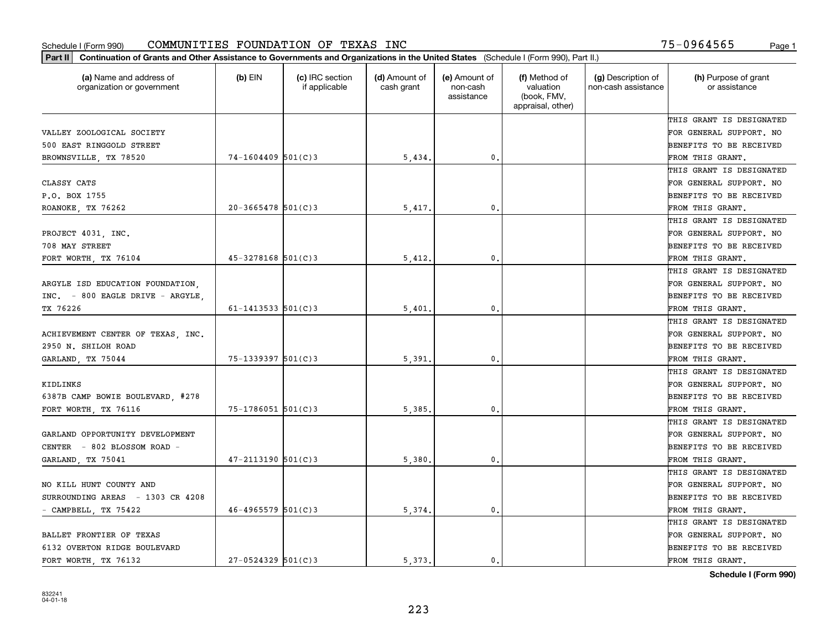| Part II   Continuation of Grants and Other Assistance to Governments and Organizations in the United States (Schedule I (Form 990), Part II.) |                          |                                  |                             |                                         |                                                                |                                           |                                       |
|-----------------------------------------------------------------------------------------------------------------------------------------------|--------------------------|----------------------------------|-----------------------------|-----------------------------------------|----------------------------------------------------------------|-------------------------------------------|---------------------------------------|
| (a) Name and address of<br>organization or government                                                                                         | $(b)$ EIN                | (c) IRC section<br>if applicable | (d) Amount of<br>cash grant | (e) Amount of<br>non-cash<br>assistance | (f) Method of<br>valuation<br>(book, FMV,<br>appraisal, other) | (g) Description of<br>non-cash assistance | (h) Purpose of grant<br>or assistance |
|                                                                                                                                               |                          |                                  |                             |                                         |                                                                |                                           | THIS GRANT IS DESIGNATED              |
| VALLEY ZOOLOGICAL SOCIETY                                                                                                                     |                          |                                  |                             |                                         |                                                                |                                           | FOR GENERAL SUPPORT. NO               |
| 500 EAST RINGGOLD STREET                                                                                                                      |                          |                                  |                             |                                         |                                                                |                                           | BENEFITS TO BE RECEIVED               |
| BROWNSVILLE, TX 78520                                                                                                                         | $74-1604409$ 501(C)3     |                                  | 5,434.                      | 0.                                      |                                                                |                                           | FROM THIS GRANT.                      |
|                                                                                                                                               |                          |                                  |                             |                                         |                                                                |                                           | THIS GRANT IS DESIGNATED              |
| CLASSY CATS                                                                                                                                   |                          |                                  |                             |                                         |                                                                |                                           | FOR GENERAL SUPPORT. NO               |
| P.O. BOX 1755                                                                                                                                 |                          |                                  |                             |                                         |                                                                |                                           | BENEFITS TO BE RECEIVED               |
| ROANOKE, TX 76262                                                                                                                             | $20 - 3665478$ 501(C)3   |                                  | 5,417                       | 0.                                      |                                                                |                                           | FROM THIS GRANT.                      |
|                                                                                                                                               |                          |                                  |                             |                                         |                                                                |                                           | THIS GRANT IS DESIGNATED              |
| PROJECT 4031, INC.                                                                                                                            |                          |                                  |                             |                                         |                                                                |                                           | FOR GENERAL SUPPORT. NO               |
| 708 MAY STREET                                                                                                                                |                          |                                  |                             |                                         |                                                                |                                           | BENEFITS TO BE RECEIVED               |
| FORT WORTH, TX 76104                                                                                                                          | $45 - 3278168$ 501(C)3   |                                  | 5,412.                      | $\mathfrak{o}$ .                        |                                                                |                                           | FROM THIS GRANT.                      |
|                                                                                                                                               |                          |                                  |                             |                                         |                                                                |                                           | THIS GRANT IS DESIGNATED              |
| ARGYLE ISD EDUCATION FOUNDATION.                                                                                                              |                          |                                  |                             |                                         |                                                                |                                           | FOR GENERAL SUPPORT. NO               |
| INC. - 800 EAGLE DRIVE - ARGYLE,                                                                                                              |                          |                                  |                             |                                         |                                                                |                                           | <b>BENEFITS TO BE RECEIVED</b>        |
| TX 76226                                                                                                                                      | $61 - 1413533$ $501(C)3$ |                                  | 5,401.                      | 0.                                      |                                                                |                                           | FROM THIS GRANT.                      |
|                                                                                                                                               |                          |                                  |                             |                                         |                                                                |                                           | THIS GRANT IS DESIGNATED              |
| ACHIEVEMENT CENTER OF TEXAS, INC.                                                                                                             |                          |                                  |                             |                                         |                                                                |                                           | FOR GENERAL SUPPORT. NO               |
| 2950 N. SHILOH ROAD                                                                                                                           |                          |                                  |                             |                                         |                                                                |                                           | BENEFITS TO BE RECEIVED               |
| GARLAND, TX 75044                                                                                                                             | $75 - 1339397$ 501(C)3   |                                  | 5,391                       | $\mathbf{0}$                            |                                                                |                                           | FROM THIS GRANT.                      |
|                                                                                                                                               |                          |                                  |                             |                                         |                                                                |                                           | THIS GRANT IS DESIGNATED              |
| KIDLINKS                                                                                                                                      |                          |                                  |                             |                                         |                                                                |                                           | FOR GENERAL SUPPORT. NO               |
| 6387B CAMP BOWIE BOULEVARD, #278                                                                                                              |                          |                                  |                             |                                         |                                                                |                                           | BENEFITS TO BE RECEIVED               |
| FORT WORTH, TX 76116                                                                                                                          | $75 - 1786051$ 501(C)3   |                                  | 5,385                       | 0.                                      |                                                                |                                           | FROM THIS GRANT.                      |
|                                                                                                                                               |                          |                                  |                             |                                         |                                                                |                                           | THIS GRANT IS DESIGNATED              |
| GARLAND OPPORTUNITY DEVELOPMENT                                                                                                               |                          |                                  |                             |                                         |                                                                |                                           | FOR GENERAL SUPPORT. NO               |
| CENTER - 802 BLOSSOM ROAD -                                                                                                                   |                          |                                  |                             |                                         |                                                                |                                           | BENEFITS TO BE RECEIVED               |
| GARLAND, TX 75041                                                                                                                             | $47 - 2113190$ 501(C)3   |                                  | 5,380                       | $\mathfrak{o}$ .                        |                                                                |                                           | FROM THIS GRANT.                      |
|                                                                                                                                               |                          |                                  |                             |                                         |                                                                |                                           | THIS GRANT IS DESIGNATED              |
| NO KILL HUNT COUNTY AND                                                                                                                       |                          |                                  |                             |                                         |                                                                |                                           | FOR GENERAL SUPPORT. NO               |
| SURROUNDING AREAS - 1303 CR 4208                                                                                                              |                          |                                  |                             |                                         |                                                                |                                           | BENEFITS TO BE RECEIVED               |
| - CAMPBELL, TX 75422                                                                                                                          | $46 - 4965579$ 501(C)3   |                                  | 5,374.                      | $\mathbf{0}$ .                          |                                                                |                                           | FROM THIS GRANT.                      |
|                                                                                                                                               |                          |                                  |                             |                                         |                                                                |                                           | THIS GRANT IS DESIGNATED              |
| BALLET FRONTIER OF TEXAS                                                                                                                      |                          |                                  |                             |                                         |                                                                |                                           | FOR GENERAL SUPPORT. NO               |
| 6132 OVERTON RIDGE BOULEVARD                                                                                                                  |                          |                                  |                             |                                         |                                                                |                                           | <b>BENEFITS TO BE RECEIVED</b>        |
| FORT WORTH, TX 76132                                                                                                                          | $27 - 0524329$ 501(C)3   |                                  | 5.373.                      | 0.                                      |                                                                |                                           | FROM THIS GRANT.                      |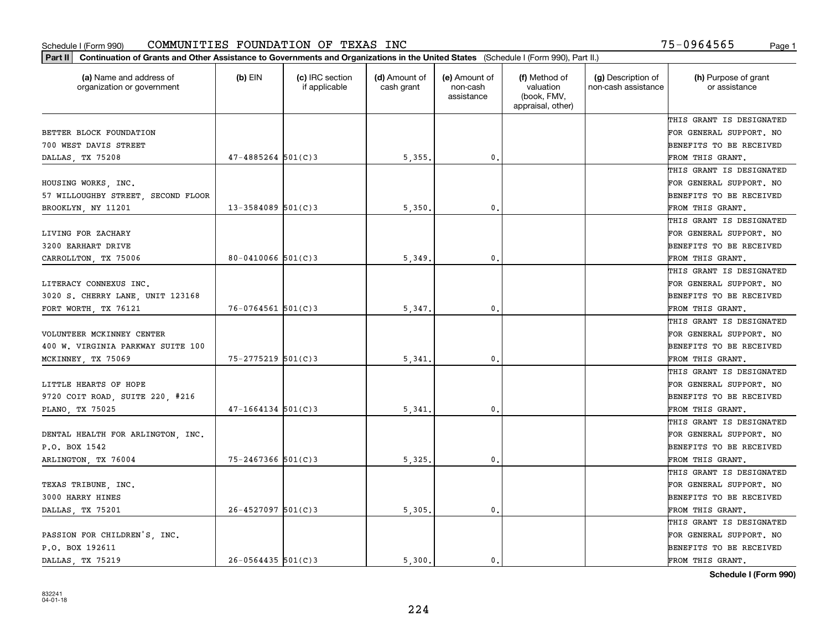| (a) Name and address of<br>organization or government | $(b)$ EIN              | (c) IRC section<br>if applicable | (d) Amount of<br>cash grant | (e) Amount of<br>non-cash<br>assistance | (f) Method of<br>valuation<br>(book, FMV,<br>appraisal, other) | (g) Description of<br>non-cash assistance | (h) Purpose of grant<br>or assistance |
|-------------------------------------------------------|------------------------|----------------------------------|-----------------------------|-----------------------------------------|----------------------------------------------------------------|-------------------------------------------|---------------------------------------|
|                                                       |                        |                                  |                             |                                         |                                                                |                                           | THIS GRANT IS DESIGNATED              |
| BETTER BLOCK FOUNDATION                               |                        |                                  |                             |                                         |                                                                |                                           | FOR GENERAL SUPPORT. NO               |
| 700 WEST DAVIS STREET                                 |                        |                                  |                             |                                         |                                                                |                                           | <b>BENEFITS TO BE RECEIVED</b>        |
| DALLAS, TX 75208                                      | $47 - 4885264$ 501(C)3 |                                  | 5,355.                      | 0.                                      |                                                                |                                           | FROM THIS GRANT.                      |
|                                                       |                        |                                  |                             |                                         |                                                                |                                           | THIS GRANT IS DESIGNATED              |
| HOUSING WORKS, INC.                                   |                        |                                  |                             |                                         |                                                                |                                           | FOR GENERAL SUPPORT. NO               |
| 57 WILLOUGHBY STREET, SECOND FLOOR                    |                        |                                  |                             |                                         |                                                                |                                           | BENEFITS TO BE RECEIVED               |
| BROOKLYN, NY 11201                                    | $13 - 3584089$ 501(C)3 |                                  | 5,350                       | 0.                                      |                                                                |                                           | FROM THIS GRANT.                      |
|                                                       |                        |                                  |                             |                                         |                                                                |                                           | THIS GRANT IS DESIGNATED              |
| LIVING FOR ZACHARY                                    |                        |                                  |                             |                                         |                                                                |                                           | FOR GENERAL SUPPORT. NO               |
| 3200 EARHART DRIVE                                    |                        |                                  |                             |                                         |                                                                |                                           | BENEFITS TO BE RECEIVED               |
| CARROLLTON, TX 75006                                  | 80-0410066 $501(C)3$   |                                  | 5,349                       | $\mathfrak{o}$ .                        |                                                                |                                           | FROM THIS GRANT.                      |
|                                                       |                        |                                  |                             |                                         |                                                                |                                           | THIS GRANT IS DESIGNATED              |
| LITERACY CONNEXUS INC.                                |                        |                                  |                             |                                         |                                                                |                                           | FOR GENERAL SUPPORT. NO               |
| 3020 S. CHERRY LANE, UNIT 123168                      |                        |                                  |                             |                                         |                                                                |                                           | <b>BENEFITS TO BE RECEIVED</b>        |
| FORT WORTH, TX 76121                                  | $76 - 0764561$ 501(C)3 |                                  | 5,347.                      | 0.                                      |                                                                |                                           | FROM THIS GRANT.                      |
|                                                       |                        |                                  |                             |                                         |                                                                |                                           | THIS GRANT IS DESIGNATED              |
| VOLUNTEER MCKINNEY CENTER                             |                        |                                  |                             |                                         |                                                                |                                           | FOR GENERAL SUPPORT. NO               |
| 400 W. VIRGINIA PARKWAY SUITE 100                     |                        |                                  |                             |                                         |                                                                |                                           | <b>BENEFITS TO BE RECEIVED</b>        |
| MCKINNEY, TX 75069                                    | $75 - 2775219$ 501(C)3 |                                  | 5,341                       | 0.                                      |                                                                |                                           | FROM THIS GRANT.                      |
|                                                       |                        |                                  |                             |                                         |                                                                |                                           | THIS GRANT IS DESIGNATED              |
| LITTLE HEARTS OF HOPE                                 |                        |                                  |                             |                                         |                                                                |                                           | FOR GENERAL SUPPORT. NO               |
| 9720 COIT ROAD, SUITE 220, #216                       |                        |                                  |                             |                                         |                                                                |                                           | <b>BENEFITS TO BE RECEIVED</b>        |
| PLANO, TX 75025                                       | $47 - 1664134$ 501(C)3 |                                  | 5,341                       | 0.                                      |                                                                |                                           | FROM THIS GRANT.                      |
|                                                       |                        |                                  |                             |                                         |                                                                |                                           | THIS GRANT IS DESIGNATED              |
| DENTAL HEALTH FOR ARLINGTON, INC.                     |                        |                                  |                             |                                         |                                                                |                                           | FOR GENERAL SUPPORT. NO               |
| P.O. BOX 1542                                         |                        |                                  |                             |                                         |                                                                |                                           | <b>BENEFITS TO BE RECEIVED</b>        |
| ARLINGTON, TX 76004                                   | $75 - 2467366$ 501(C)3 |                                  | 5,325,                      | $\mathfrak{o}$ .                        |                                                                |                                           | FROM THIS GRANT.                      |
|                                                       |                        |                                  |                             |                                         |                                                                |                                           | THIS GRANT IS DESIGNATED              |
| TEXAS TRIBUNE, INC.                                   |                        |                                  |                             |                                         |                                                                |                                           | FOR GENERAL SUPPORT. NO               |
| 3000 HARRY HINES                                      |                        |                                  |                             |                                         |                                                                |                                           | BENEFITS TO BE RECEIVED               |
| DALLAS, TX 75201                                      | $26 - 4527097$ 501(C)3 |                                  | 5,305.                      | 0.                                      |                                                                |                                           | FROM THIS GRANT.                      |
|                                                       |                        |                                  |                             |                                         |                                                                |                                           | THIS GRANT IS DESIGNATED              |
| PASSION FOR CHILDREN'S, INC.                          |                        |                                  |                             |                                         |                                                                |                                           | FOR GENERAL SUPPORT. NO               |
| P.O. BOX 192611                                       |                        |                                  |                             |                                         |                                                                |                                           | <b>BENEFITS TO BE RECEIVED</b>        |
| DALLAS, TX 75219                                      | $26 - 0564435$ 501(C)3 |                                  | 5.300.                      | $\mathbf{0}$ .                          |                                                                |                                           | FROM THIS GRANT.                      |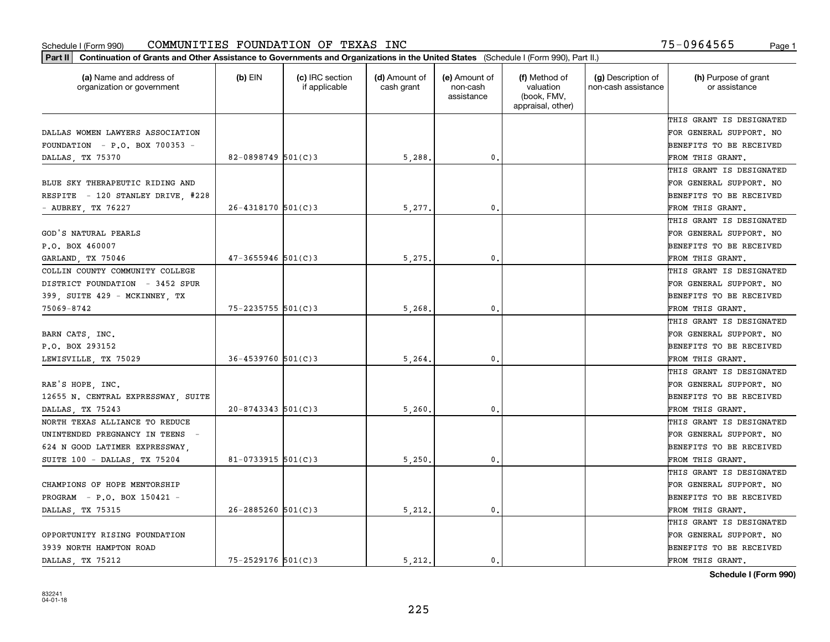| (a) Name and address of<br>organization or government | $(b)$ EIN              | (c) IRC section<br>if applicable | (d) Amount of<br>cash grant | (e) Amount of<br>non-cash<br>assistance | (f) Method of<br>valuation<br>(book, FMV,<br>appraisal, other) | (g) Description of<br>non-cash assistance | (h) Purpose of grant<br>or assistance |
|-------------------------------------------------------|------------------------|----------------------------------|-----------------------------|-----------------------------------------|----------------------------------------------------------------|-------------------------------------------|---------------------------------------|
|                                                       |                        |                                  |                             |                                         |                                                                |                                           | THIS GRANT IS DESIGNATED              |
| DALLAS WOMEN LAWYERS ASSOCIATION                      |                        |                                  |                             |                                         |                                                                |                                           | FOR GENERAL SUPPORT. NO               |
| FOUNDATION - $P.O.$ BOX 700353 -                      |                        |                                  |                             |                                         |                                                                |                                           | BENEFITS TO BE RECEIVED               |
| DALLAS, TX 75370                                      | 82-0898749 $501(C)$ 3  |                                  | 5,288.                      | 0.                                      |                                                                |                                           | FROM THIS GRANT.                      |
|                                                       |                        |                                  |                             |                                         |                                                                |                                           | THIS GRANT IS DESIGNATED              |
| BLUE SKY THERAPEUTIC RIDING AND                       |                        |                                  |                             |                                         |                                                                |                                           | FOR GENERAL SUPPORT. NO               |
| RESPITE - 120 STANLEY DRIVE, #228                     |                        |                                  |                             |                                         |                                                                |                                           | BENEFITS TO BE RECEIVED               |
| - AUBREY, TX 76227                                    | $26 - 4318170$ 501(C)3 |                                  | 5,277                       | $\mathbf{0}$                            |                                                                |                                           | FROM THIS GRANT.                      |
|                                                       |                        |                                  |                             |                                         |                                                                |                                           | THIS GRANT IS DESIGNATED              |
| GOD'S NATURAL PEARLS                                  |                        |                                  |                             |                                         |                                                                |                                           | FOR GENERAL SUPPORT. NO               |
| P.O. BOX 460007                                       |                        |                                  |                             |                                         |                                                                |                                           | BENEFITS TO BE RECEIVED               |
| GARLAND, TX 75046                                     | $47 - 3655946$ 501(C)3 |                                  | 5,275                       | 0.                                      |                                                                |                                           | FROM THIS GRANT.                      |
| COLLIN COUNTY COMMUNITY COLLEGE                       |                        |                                  |                             |                                         |                                                                |                                           | THIS GRANT IS DESIGNATED              |
| DISTRICT FOUNDATION - 3452 SPUR                       |                        |                                  |                             |                                         |                                                                |                                           | FOR GENERAL SUPPORT. NO               |
| 399, SUITE 429 - MCKINNEY, TX                         |                        |                                  |                             |                                         |                                                                |                                           | <b>BENEFITS TO BE RECEIVED</b>        |
| 75069-8742                                            | $75 - 2235755$ 501(C)3 |                                  | 5,268                       | 0.                                      |                                                                |                                           | FROM THIS GRANT.                      |
|                                                       |                        |                                  |                             |                                         |                                                                |                                           | THIS GRANT IS DESIGNATED              |
| BARN CATS, INC.                                       |                        |                                  |                             |                                         |                                                                |                                           | FOR GENERAL SUPPORT. NO               |
| P.O. BOX 293152                                       |                        |                                  |                             |                                         |                                                                |                                           | BENEFITS TO BE RECEIVED               |
| LEWISVILLE, TX 75029                                  | $36 - 4539760$ 501(C)3 |                                  | 5,264                       | $\mathbf{0}$                            |                                                                |                                           | FROM THIS GRANT.                      |
|                                                       |                        |                                  |                             |                                         |                                                                |                                           | THIS GRANT IS DESIGNATED              |
| RAE'S HOPE, INC.                                      |                        |                                  |                             |                                         |                                                                |                                           | FOR GENERAL SUPPORT. NO               |
| 12655 N. CENTRAL EXPRESSWAY, SUITE                    |                        |                                  |                             |                                         |                                                                |                                           | BENEFITS TO BE RECEIVED               |
| DALLAS, TX 75243                                      | $20 - 8743343$ 501(C)3 |                                  | 5,260.                      | 0.                                      |                                                                |                                           | FROM THIS GRANT.                      |
| NORTH TEXAS ALLIANCE TO REDUCE                        |                        |                                  |                             |                                         |                                                                |                                           | THIS GRANT IS DESIGNATED              |
| UNINTENDED PREGNANCY IN TEENS -                       |                        |                                  |                             |                                         |                                                                |                                           | FOR GENERAL SUPPORT. NO               |
| 624 N GOOD LATIMER EXPRESSWAY,                        |                        |                                  |                             |                                         |                                                                |                                           | BENEFITS TO BE RECEIVED               |
| SUITE 100 - DALLAS, TX 75204                          | $81 - 0733915$ 501(C)3 |                                  | 5,250.                      | 0.                                      |                                                                |                                           | FROM THIS GRANT.                      |
|                                                       |                        |                                  |                             |                                         |                                                                |                                           | THIS GRANT IS DESIGNATED              |
| CHAMPIONS OF HOPE MENTORSHIP                          |                        |                                  |                             |                                         |                                                                |                                           | FOR GENERAL SUPPORT. NO               |
| PROGRAM - P.O. BOX 150421 -                           |                        |                                  |                             |                                         |                                                                |                                           | BENEFITS TO BE RECEIVED               |
| DALLAS, TX 75315                                      | $26 - 2885260$ 501(C)3 |                                  | 5,212.                      | 0.                                      |                                                                |                                           | FROM THIS GRANT.                      |
|                                                       |                        |                                  |                             |                                         |                                                                |                                           | THIS GRANT IS DESIGNATED              |
| OPPORTUNITY RISING FOUNDATION                         |                        |                                  |                             |                                         |                                                                |                                           | FOR GENERAL SUPPORT. NO               |
| 3939 NORTH HAMPTON ROAD                               |                        |                                  |                             |                                         |                                                                |                                           | BENEFITS TO BE RECEIVED               |
| DALLAS, TX 75212                                      | $75 - 2529176$ 501(C)3 |                                  | 5.212.                      | $\mathbf{0}$ .                          |                                                                |                                           | FROM THIS GRANT.                      |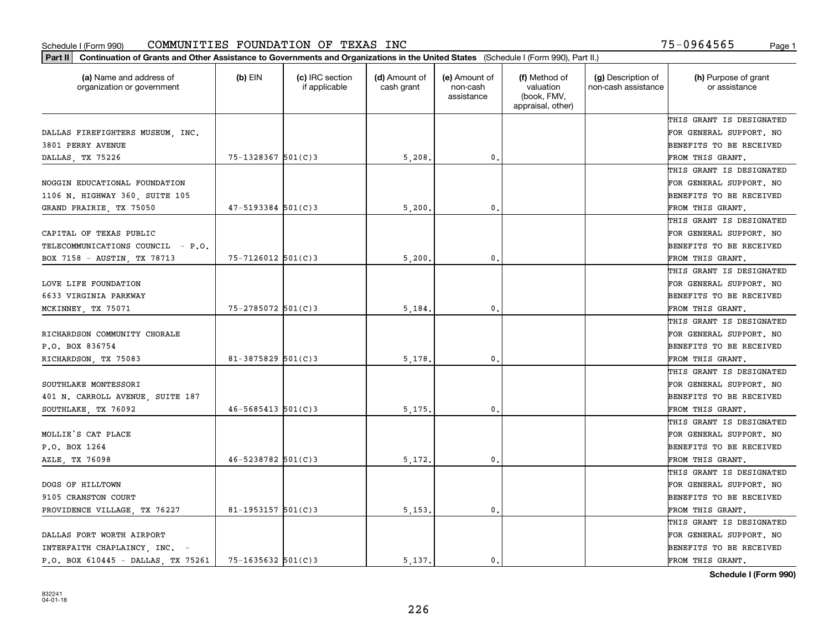| Part II   Continuation of Grants and Other Assistance to Governments and Organizations in the United States (Schedule I (Form 990), Part II.) |                          |                                  |                             |                                         |                                                                |                                           |                                       |
|-----------------------------------------------------------------------------------------------------------------------------------------------|--------------------------|----------------------------------|-----------------------------|-----------------------------------------|----------------------------------------------------------------|-------------------------------------------|---------------------------------------|
| (a) Name and address of<br>organization or government                                                                                         | $(b)$ EIN                | (c) IRC section<br>if applicable | (d) Amount of<br>cash grant | (e) Amount of<br>non-cash<br>assistance | (f) Method of<br>valuation<br>(book, FMV,<br>appraisal, other) | (g) Description of<br>non-cash assistance | (h) Purpose of grant<br>or assistance |
|                                                                                                                                               |                          |                                  |                             |                                         |                                                                |                                           | THIS GRANT IS DESIGNATED              |
| DALLAS FIREFIGHTERS MUSEUM, INC.                                                                                                              |                          |                                  |                             |                                         |                                                                |                                           | FOR GENERAL SUPPORT. NO               |
| 3801 PERRY AVENUE                                                                                                                             |                          |                                  |                             |                                         |                                                                |                                           | BENEFITS TO BE RECEIVED               |
| DALLAS, TX 75226                                                                                                                              | $75 - 1328367$ 501(C)3   |                                  | 5,208.                      | 0.                                      |                                                                |                                           | FROM THIS GRANT.                      |
|                                                                                                                                               |                          |                                  |                             |                                         |                                                                |                                           | THIS GRANT IS DESIGNATED              |
| NOGGIN EDUCATIONAL FOUNDATION                                                                                                                 |                          |                                  |                             |                                         |                                                                |                                           | FOR GENERAL SUPPORT. NO               |
| 1106 N. HIGHWAY 360, SUITE 105                                                                                                                |                          |                                  |                             |                                         |                                                                |                                           | BENEFITS TO BE RECEIVED               |
| GRAND PRAIRIE, TX 75050                                                                                                                       | $47 - 5193384$ 501(C)3   |                                  | 5,200                       | $\mathbf{0}$                            |                                                                |                                           | FROM THIS GRANT.                      |
|                                                                                                                                               |                          |                                  |                             |                                         |                                                                |                                           | THIS GRANT IS DESIGNATED              |
| CAPITAL OF TEXAS PUBLIC                                                                                                                       |                          |                                  |                             |                                         |                                                                |                                           | FOR GENERAL SUPPORT. NO               |
| TELECOMMUNICATIONS COUNCIL - P.O.                                                                                                             |                          |                                  |                             |                                         |                                                                |                                           | BENEFITS TO BE RECEIVED               |
| BOX 7158 - AUSTIN, TX 78713                                                                                                                   | $75 - 7126012$ 501(C)3   |                                  | 5,200.                      | $\mathfrak{o}$ .                        |                                                                |                                           | FROM THIS GRANT.                      |
|                                                                                                                                               |                          |                                  |                             |                                         |                                                                |                                           | THIS GRANT IS DESIGNATED              |
| LOVE LIFE FOUNDATION                                                                                                                          |                          |                                  |                             |                                         |                                                                |                                           | FOR GENERAL SUPPORT. NO               |
| 6633 VIRGINIA PARKWAY                                                                                                                         |                          |                                  |                             |                                         |                                                                |                                           | <b>BENEFITS TO BE RECEIVED</b>        |
| MCKINNEY, TX 75071                                                                                                                            | $75 - 2785072$ 501(C)3   |                                  | 5,184.                      | 0.                                      |                                                                |                                           | FROM THIS GRANT.                      |
|                                                                                                                                               |                          |                                  |                             |                                         |                                                                |                                           | THIS GRANT IS DESIGNATED              |
| RICHARDSON COMMUNITY CHORALE                                                                                                                  |                          |                                  |                             |                                         |                                                                |                                           | FOR GENERAL SUPPORT. NO               |
| P.O. BOX 836754                                                                                                                               |                          |                                  |                             |                                         |                                                                |                                           | BENEFITS TO BE RECEIVED               |
| RICHARDSON, TX 75083                                                                                                                          | $81 - 3875829$ 501(C)3   |                                  | 5,178                       | $\mathbf{0}$                            |                                                                |                                           | FROM THIS GRANT.                      |
|                                                                                                                                               |                          |                                  |                             |                                         |                                                                |                                           | THIS GRANT IS DESIGNATED              |
| SOUTHLAKE MONTESSORI                                                                                                                          |                          |                                  |                             |                                         |                                                                |                                           | FOR GENERAL SUPPORT. NO               |
| 401 N. CARROLL AVENUE, SUITE 187                                                                                                              |                          |                                  |                             |                                         |                                                                |                                           | BENEFITS TO BE RECEIVED               |
| SOUTHLAKE, TX 76092                                                                                                                           | $46 - 5685413$ $501(C)3$ |                                  | 5, 175.                     | 0.                                      |                                                                |                                           | FROM THIS GRANT.                      |
|                                                                                                                                               |                          |                                  |                             |                                         |                                                                |                                           | THIS GRANT IS DESIGNATED              |
| MOLLIE'S CAT PLACE                                                                                                                            |                          |                                  |                             |                                         |                                                                |                                           | FOR GENERAL SUPPORT. NO               |
| P.O. BOX 1264                                                                                                                                 |                          |                                  |                             |                                         |                                                                |                                           | BENEFITS TO BE RECEIVED               |
| AZLE, TX 76098                                                                                                                                | $46 - 5238782$ 501(C)3   |                                  | 5,172.                      | 0.                                      |                                                                |                                           | FROM THIS GRANT.                      |
|                                                                                                                                               |                          |                                  |                             |                                         |                                                                |                                           | THIS GRANT IS DESIGNATED              |
| DOGS OF HILLTOWN                                                                                                                              |                          |                                  |                             |                                         |                                                                |                                           | FOR GENERAL SUPPORT. NO               |
| 9105 CRANSTON COURT                                                                                                                           |                          |                                  |                             |                                         |                                                                |                                           | BENEFITS TO BE RECEIVED               |
| PROVIDENCE VILLAGE, TX 76227                                                                                                                  | 81-1953157 $501(C)$ 3    |                                  | 5,153.                      | $\mathbf{0}$ .                          |                                                                |                                           | FROM THIS GRANT.                      |
|                                                                                                                                               |                          |                                  |                             |                                         |                                                                |                                           | THIS GRANT IS DESIGNATED              |
| DALLAS FORT WORTH AIRPORT                                                                                                                     |                          |                                  |                             |                                         |                                                                |                                           | FOR GENERAL SUPPORT. NO               |
| INTERFAITH CHAPLAINCY, INC. -                                                                                                                 |                          |                                  |                             |                                         |                                                                |                                           | <b>BENEFITS TO BE RECEIVED</b>        |
| P.O. BOX 610445 - DALLAS, TX 75261                                                                                                            | $75 - 1635632$ 501(C)3   |                                  | 5.137.                      | $\mathbf{0}$ .                          |                                                                |                                           | FROM THIS GRANT.                      |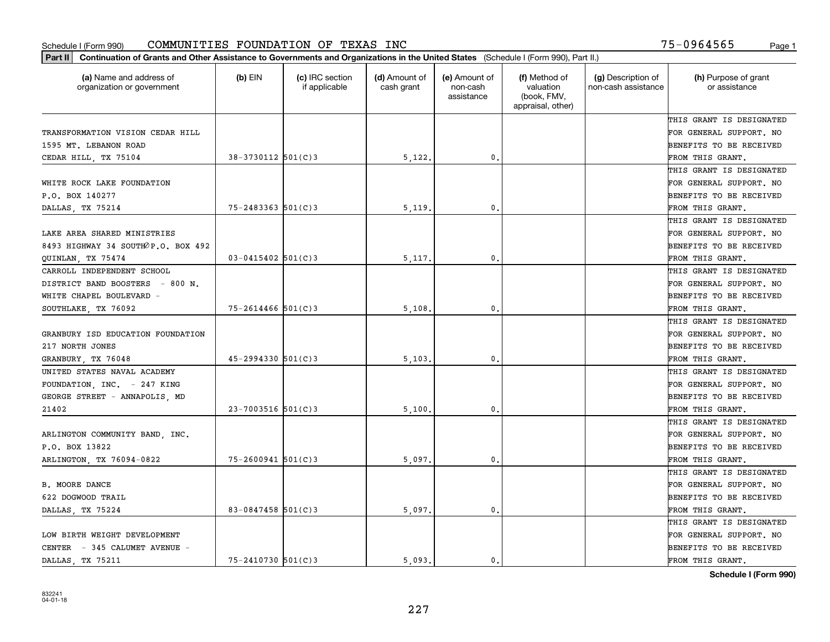| (a) Name and address of<br>organization or government | (b) EIN                | (c) IRC section<br>if applicable | (d) Amount of<br>cash grant | (e) Amount of<br>non-cash<br>assistance | (f) Method of<br>valuation<br>(book, FMV,<br>appraisal, other) | (g) Description of<br>non-cash assistance | (h) Purpose of grant<br>or assistance |
|-------------------------------------------------------|------------------------|----------------------------------|-----------------------------|-----------------------------------------|----------------------------------------------------------------|-------------------------------------------|---------------------------------------|
|                                                       |                        |                                  |                             |                                         |                                                                |                                           | THIS GRANT IS DESIGNATED              |
| TRANSFORMATION VISION CEDAR HILL                      |                        |                                  |                             |                                         |                                                                |                                           | FOR GENERAL SUPPORT. NO               |
| 1595 MT. LEBANON ROAD                                 |                        |                                  |                             |                                         |                                                                |                                           | BENEFITS TO BE RECEIVED               |
| CEDAR HILL, TX 75104                                  | 38-3730112 501(C)3     |                                  | 5,122.                      | 0.                                      |                                                                |                                           | FROM THIS GRANT.                      |
|                                                       |                        |                                  |                             |                                         |                                                                |                                           | THIS GRANT IS DESIGNATED              |
| WHITE ROCK LAKE FOUNDATION                            |                        |                                  |                             |                                         |                                                                |                                           | FOR GENERAL SUPPORT. NO               |
| P.O. BOX 140277                                       |                        |                                  |                             |                                         |                                                                |                                           | BENEFITS TO BE RECEIVED               |
| DALLAS, TX 75214                                      | $75 - 2483363$ 501(C)3 |                                  | 5,119                       | $\mathbf{0}$                            |                                                                |                                           | FROM THIS GRANT.                      |
|                                                       |                        |                                  |                             |                                         |                                                                |                                           | THIS GRANT IS DESIGNATED              |
| LAKE AREA SHARED MINISTRIES                           |                        |                                  |                             |                                         |                                                                |                                           | FOR GENERAL SUPPORT. NO               |
| 8493 HIGHWAY 34 SOUTHOP.O. BOX 492                    |                        |                                  |                             |                                         |                                                                |                                           | BENEFITS TO BE RECEIVED               |
| QUINLAN, TX 75474                                     | $03 - 0415402$ 501(C)3 |                                  | 5,117.                      | $\mathfrak{o}$ .                        |                                                                |                                           | FROM THIS GRANT.                      |
| CARROLL INDEPENDENT SCHOOL                            |                        |                                  |                             |                                         |                                                                |                                           | THIS GRANT IS DESIGNATED              |
| DISTRICT BAND BOOSTERS - 800 N.                       |                        |                                  |                             |                                         |                                                                |                                           | FOR GENERAL SUPPORT. NO               |
| WHITE CHAPEL BOULEVARD -                              |                        |                                  |                             |                                         |                                                                |                                           | BENEFITS TO BE RECEIVED               |
| SOUTHLAKE, TX 76092                                   | $75 - 2614466$ 501(C)3 |                                  | 5,108                       | $\mathbf{0}$                            |                                                                |                                           | FROM THIS GRANT.                      |
|                                                       |                        |                                  |                             |                                         |                                                                |                                           | THIS GRANT IS DESIGNATED              |
| GRANBURY ISD EDUCATION FOUNDATION                     |                        |                                  |                             |                                         |                                                                |                                           | FOR GENERAL SUPPORT. NO               |
| 217 NORTH JONES                                       |                        |                                  |                             |                                         |                                                                |                                           | BENEFITS TO BE RECEIVED               |
| GRANBURY, TX 76048                                    | $45 - 2994330$ 501(C)3 |                                  | 5,103                       | 0.                                      |                                                                |                                           | FROM THIS GRANT.                      |
| UNITED STATES NAVAL ACADEMY                           |                        |                                  |                             |                                         |                                                                |                                           | THIS GRANT IS DESIGNATED              |
| FOUNDATION, INC. - 247 KING                           |                        |                                  |                             |                                         |                                                                |                                           | FOR GENERAL SUPPORT. NO               |
| GEORGE STREET - ANNAPOLIS, MD                         |                        |                                  |                             |                                         |                                                                |                                           | BENEFITS TO BE RECEIVED               |
| 21402                                                 | $23 - 7003516$ 501(C)3 |                                  | 5,100                       | $\mathbf{0}$                            |                                                                |                                           | FROM THIS GRANT.                      |
|                                                       |                        |                                  |                             |                                         |                                                                |                                           | THIS GRANT IS DESIGNATED              |
| ARLINGTON COMMUNITY BAND, INC.                        |                        |                                  |                             |                                         |                                                                |                                           | FOR GENERAL SUPPORT. NO               |
| P.O. BOX 13822                                        |                        |                                  |                             |                                         |                                                                |                                           | BENEFITS TO BE RECEIVED               |
| ARLINGTON, TX 76094-0822                              | $75 - 2600941$ 501(C)3 |                                  | 5,097                       | $\mathbf{0}$ .                          |                                                                |                                           | FROM THIS GRANT.                      |
|                                                       |                        |                                  |                             |                                         |                                                                |                                           | THIS GRANT IS DESIGNATED              |
| <b>B. MOORE DANCE</b>                                 |                        |                                  |                             |                                         |                                                                |                                           | FOR GENERAL SUPPORT. NO               |
| 622 DOGWOOD TRAIL                                     |                        |                                  |                             |                                         |                                                                |                                           | BENEFITS TO BE RECEIVED               |
| DALLAS, TX 75224                                      | 83-0847458 501(C)3     |                                  | 5,097                       | $\mathbf{0}$                            |                                                                |                                           | FROM THIS GRANT.                      |
|                                                       |                        |                                  |                             |                                         |                                                                |                                           | THIS GRANT IS DESIGNATED              |
| LOW BIRTH WEIGHT DEVELOPMENT                          |                        |                                  |                             |                                         |                                                                |                                           | FOR GENERAL SUPPORT. NO               |
| CENTER - 345 CALUMET AVENUE -                         |                        |                                  |                             |                                         |                                                                |                                           | BENEFITS TO BE RECEIVED               |
| DALLAS TX 75211                                       | $75 - 2410730$ 501(C)3 |                                  | 5,093.                      | 0.                                      |                                                                |                                           | FROM THIS GRANT.                      |
|                                                       |                        |                                  |                             |                                         |                                                                |                                           |                                       |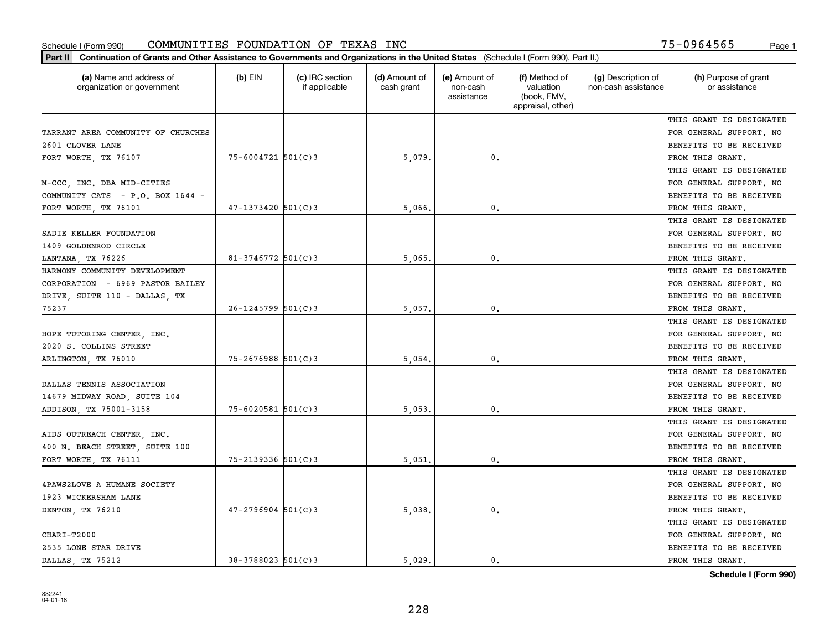| (a) Name and address of<br>organization or government | $(b)$ EIN              | (c) IRC section<br>if applicable | (d) Amount of<br>cash grant | (e) Amount of<br>non-cash<br>assistance | (f) Method of<br>valuation<br>(book, FMV,<br>appraisal, other) | (g) Description of<br>non-cash assistance | (h) Purpose of grant<br>or assistance |
|-------------------------------------------------------|------------------------|----------------------------------|-----------------------------|-----------------------------------------|----------------------------------------------------------------|-------------------------------------------|---------------------------------------|
|                                                       |                        |                                  |                             |                                         |                                                                |                                           | THIS GRANT IS DESIGNATED              |
| TARRANT AREA COMMUNITY OF CHURCHES                    |                        |                                  |                             |                                         |                                                                |                                           | FOR GENERAL SUPPORT. NO               |
| 2601 CLOVER LANE                                      |                        |                                  |                             |                                         |                                                                |                                           | BENEFITS TO BE RECEIVED               |
| FORT WORTH, TX 76107                                  | $75 - 6004721$ 501(C)3 |                                  | 5,079                       | $\mathfrak{o}$ .                        |                                                                |                                           | FROM THIS GRANT.                      |
|                                                       |                        |                                  |                             |                                         |                                                                |                                           | THIS GRANT IS DESIGNATED              |
| M-CCC, INC. DBA MID-CITIES                            |                        |                                  |                             |                                         |                                                                |                                           | FOR GENERAL SUPPORT. NO               |
| COMMUNITY CATS - P.O. BOX 1644 -                      |                        |                                  |                             |                                         |                                                                |                                           | BENEFITS TO BE RECEIVED               |
| FORT WORTH, TX 76101                                  | $47 - 1373420$ 501(C)3 |                                  | 5,066                       | $\mathbf{0}$                            |                                                                |                                           | FROM THIS GRANT.                      |
|                                                       |                        |                                  |                             |                                         |                                                                |                                           | THIS GRANT IS DESIGNATED              |
| SADIE KELLER FOUNDATION                               |                        |                                  |                             |                                         |                                                                |                                           | FOR GENERAL SUPPORT. NO               |
| 1409 GOLDENROD CIRCLE                                 |                        |                                  |                             |                                         |                                                                |                                           | BENEFITS TO BE RECEIVED               |
| LANTANA, TX 76226                                     | $81 - 3746772$ 501(C)3 |                                  | 5,065                       | $\mathbf{0}$ .                          |                                                                |                                           | FROM THIS GRANT.                      |
| HARMONY COMMUNITY DEVELOPMENT                         |                        |                                  |                             |                                         |                                                                |                                           | THIS GRANT IS DESIGNATED              |
| CORPORATION - 6969 PASTOR BAILEY                      |                        |                                  |                             |                                         |                                                                |                                           | FOR GENERAL SUPPORT. NO               |
| DRIVE, SUITE 110 - DALLAS, TX                         |                        |                                  |                             |                                         |                                                                |                                           | BENEFITS TO BE RECEIVED               |
| 75237                                                 | $26 - 1245799$ 501(C)3 |                                  | 5,057                       | $\mathbf{0}$                            |                                                                |                                           | FROM THIS GRANT.                      |
|                                                       |                        |                                  |                             |                                         |                                                                |                                           | THIS GRANT IS DESIGNATED              |
| HOPE TUTORING CENTER, INC.                            |                        |                                  |                             |                                         |                                                                |                                           | FOR GENERAL SUPPORT. NO               |
| 2020 S. COLLINS STREET                                |                        |                                  |                             |                                         |                                                                |                                           | BENEFITS TO BE RECEIVED               |
| ARLINGTON, TX 76010                                   | $75 - 2676988$ 501(C)3 |                                  | 5,054                       | $\mathbf{0}$                            |                                                                |                                           | FROM THIS GRANT.                      |
|                                                       |                        |                                  |                             |                                         |                                                                |                                           | THIS GRANT IS DESIGNATED              |
| DALLAS TENNIS ASSOCIATION                             |                        |                                  |                             |                                         |                                                                |                                           | FOR GENERAL SUPPORT. NO               |
| 14679 MIDWAY ROAD, SUITE 104                          |                        |                                  |                             |                                         |                                                                |                                           | BENEFITS TO BE RECEIVED               |
| ADDISON, TX 75001-3158                                | $75 - 6020581$ 501(C)3 |                                  | 5,053                       | $\mathbf{0}$                            |                                                                |                                           | FROM THIS GRANT.                      |
|                                                       |                        |                                  |                             |                                         |                                                                |                                           | THIS GRANT IS DESIGNATED              |
| AIDS OUTREACH CENTER, INC.                            |                        |                                  |                             |                                         |                                                                |                                           | FOR GENERAL SUPPORT. NO               |
| 400 N. BEACH STREET, SUITE 100                        |                        |                                  |                             |                                         |                                                                |                                           | BENEFITS TO BE RECEIVED               |
| FORT WORTH, TX 76111                                  | 75-2139336 501(C)3     |                                  | 5,051                       | $\mathbf{0}$ .                          |                                                                |                                           | FROM THIS GRANT.                      |
|                                                       |                        |                                  |                             |                                         |                                                                |                                           | THIS GRANT IS DESIGNATED              |
| 4PAWS2LOVE A HUMANE SOCIETY                           |                        |                                  |                             |                                         |                                                                |                                           | FOR GENERAL SUPPORT. NO               |
| 1923 WICKERSHAM LANE                                  |                        |                                  |                             |                                         |                                                                |                                           | BENEFITS TO BE RECEIVED               |
| DENTON, TX 76210                                      | $47 - 2796904$ 501(C)3 |                                  | 5,038.                      | $\mathbf{0}$ .                          |                                                                |                                           | FROM THIS GRANT.                      |
|                                                       |                        |                                  |                             |                                         |                                                                |                                           | THIS GRANT IS DESIGNATED              |
| CHARI-T2000                                           |                        |                                  |                             |                                         |                                                                |                                           | FOR GENERAL SUPPORT. NO               |
| 2535 LONE STAR DRIVE                                  |                        |                                  |                             |                                         |                                                                |                                           | BENEFITS TO BE RECEIVED               |
| DALLAS, TX 75212                                      | 38-3788023 501(C)3     |                                  | 5.029                       | 0.                                      |                                                                |                                           | FROM THIS GRANT.                      |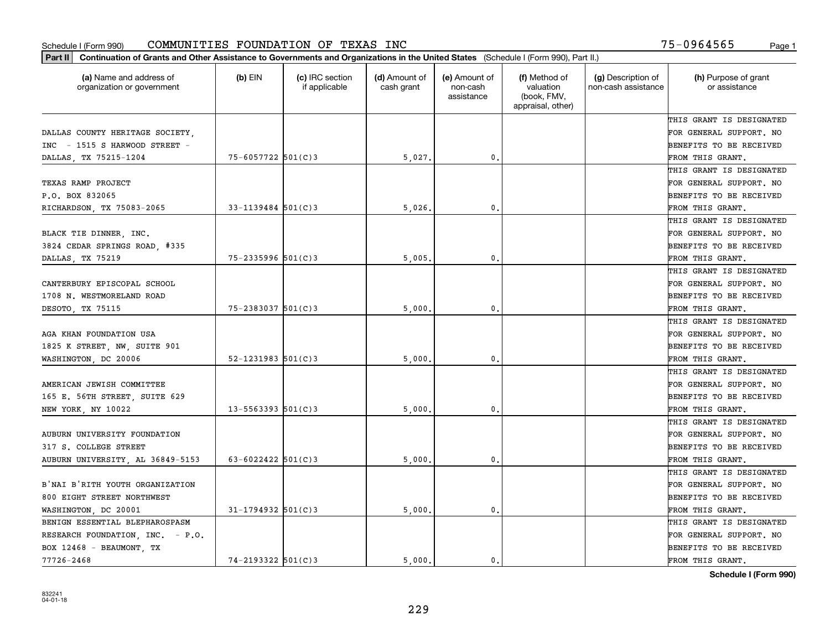| Part II   Continuation of Grants and Other Assistance to Governments and Organizations in the United States (Schedule I (Form 990), Part II.) |                          |                                  |                             |                                         |                                                                |                                           |                                       |
|-----------------------------------------------------------------------------------------------------------------------------------------------|--------------------------|----------------------------------|-----------------------------|-----------------------------------------|----------------------------------------------------------------|-------------------------------------------|---------------------------------------|
| (a) Name and address of<br>organization or government                                                                                         | (b) $EIN$                | (c) IRC section<br>if applicable | (d) Amount of<br>cash grant | (e) Amount of<br>non-cash<br>assistance | (f) Method of<br>valuation<br>(book, FMV,<br>appraisal, other) | (g) Description of<br>non-cash assistance | (h) Purpose of grant<br>or assistance |
|                                                                                                                                               |                          |                                  |                             |                                         |                                                                |                                           | THIS GRANT IS DESIGNATED              |
| DALLAS COUNTY HERITAGE SOCIETY,                                                                                                               |                          |                                  |                             |                                         |                                                                |                                           | FOR GENERAL SUPPORT. NO               |
| INC - 1515 S HARWOOD STREET -                                                                                                                 |                          |                                  |                             |                                         |                                                                |                                           | BENEFITS TO BE RECEIVED               |
| DALLAS, TX 75215-1204                                                                                                                         | 75-6057722 501(C)3       |                                  | 5,027.                      | 0.                                      |                                                                |                                           | FROM THIS GRANT.                      |
|                                                                                                                                               |                          |                                  |                             |                                         |                                                                |                                           | THIS GRANT IS DESIGNATED              |
| TEXAS RAMP PROJECT                                                                                                                            |                          |                                  |                             |                                         |                                                                |                                           | FOR GENERAL SUPPORT. NO               |
| P.O. BOX 832065                                                                                                                               |                          |                                  |                             |                                         |                                                                |                                           | BENEFITS TO BE RECEIVED               |
| RICHARDSON, TX 75083-2065                                                                                                                     | $33 - 1139484$ 501(C)3   |                                  | 5.026                       | 0.                                      |                                                                |                                           | FROM THIS GRANT.                      |
|                                                                                                                                               |                          |                                  |                             |                                         |                                                                |                                           | THIS GRANT IS DESIGNATED              |
| BLACK TIE DINNER, INC.                                                                                                                        |                          |                                  |                             |                                         |                                                                |                                           | FOR GENERAL SUPPORT. NO               |
| 3824 CEDAR SPRINGS ROAD, #335                                                                                                                 |                          |                                  |                             |                                         |                                                                |                                           | BENEFITS TO BE RECEIVED               |
| DALLAS, TX 75219                                                                                                                              | $75 - 2335996$ 501(C)3   |                                  | 5,005                       | 0.                                      |                                                                |                                           | FROM THIS GRANT.                      |
|                                                                                                                                               |                          |                                  |                             |                                         |                                                                |                                           | THIS GRANT IS DESIGNATED              |
| CANTERBURY EPISCOPAL SCHOOL                                                                                                                   |                          |                                  |                             |                                         |                                                                |                                           | FOR GENERAL SUPPORT. NO               |
| 1708 N. WESTMORELAND ROAD                                                                                                                     |                          |                                  |                             |                                         |                                                                |                                           | <b>BENEFITS TO BE RECEIVED</b>        |
| DESOTO, TX 75115                                                                                                                              | $75 - 2383037$ 501(C)3   |                                  | 5,000                       | 0.                                      |                                                                |                                           | FROM THIS GRANT.                      |
|                                                                                                                                               |                          |                                  |                             |                                         |                                                                |                                           | THIS GRANT IS DESIGNATED              |
| AGA KHAN FOUNDATION USA                                                                                                                       |                          |                                  |                             |                                         |                                                                |                                           | FOR GENERAL SUPPORT. NO               |
| 1825 K STREET, NW, SUITE 901                                                                                                                  |                          |                                  |                             |                                         |                                                                |                                           | BENEFITS TO BE RECEIVED               |
| WASHINGTON, DC 20006                                                                                                                          | $52 - 1231983$ $501(C)3$ |                                  | 5,000                       | 0.                                      |                                                                |                                           | FROM THIS GRANT.                      |
|                                                                                                                                               |                          |                                  |                             |                                         |                                                                |                                           | THIS GRANT IS DESIGNATED              |
| AMERICAN JEWISH COMMITTEE                                                                                                                     |                          |                                  |                             |                                         |                                                                |                                           | FOR GENERAL SUPPORT. NO               |
| 165 E. 56TH STREET, SUITE 629                                                                                                                 |                          |                                  |                             |                                         |                                                                |                                           | BENEFITS TO BE RECEIVED               |
| NEW YORK, NY 10022                                                                                                                            | $13 - 5563393$ $501(C)3$ |                                  | 5,000                       | 0.                                      |                                                                |                                           | FROM THIS GRANT.                      |
|                                                                                                                                               |                          |                                  |                             |                                         |                                                                |                                           | THIS GRANT IS DESIGNATED              |
| AUBURN UNIVERSITY FOUNDATION                                                                                                                  |                          |                                  |                             |                                         |                                                                |                                           | FOR GENERAL SUPPORT. NO               |
| 317 S. COLLEGE STREET                                                                                                                         |                          |                                  |                             |                                         |                                                                |                                           | <b>BENEFITS TO BE RECEIVED</b>        |
| AUBURN UNIVERSITY, AL 36849-5153                                                                                                              | 63-6022422 $501(C)3$     |                                  | 5,000                       | 0.                                      |                                                                |                                           | FROM THIS GRANT.                      |
|                                                                                                                                               |                          |                                  |                             |                                         |                                                                |                                           | THIS GRANT IS DESIGNATED              |
| B'NAI B'RITH YOUTH ORGANIZATION                                                                                                               |                          |                                  |                             |                                         |                                                                |                                           | FOR GENERAL SUPPORT. NO               |
| 800 EIGHT STREET NORTHWEST                                                                                                                    |                          |                                  |                             |                                         |                                                                |                                           | BENEFITS TO BE RECEIVED               |
| WASHINGTON, DC 20001                                                                                                                          | $31 - 1794932$ 501(C)3   |                                  | 5,000                       | 0.                                      |                                                                |                                           | FROM THIS GRANT.                      |
| BENIGN ESSENTIAL BLEPHAROSPASM                                                                                                                |                          |                                  |                             |                                         |                                                                |                                           | THIS GRANT IS DESIGNATED              |
| RESEARCH FOUNDATION, INC. - P.O.                                                                                                              |                          |                                  |                             |                                         |                                                                |                                           | FOR GENERAL SUPPORT. NO               |
| BOX 12468 - BEAUMONT, TX                                                                                                                      |                          |                                  |                             |                                         |                                                                |                                           | <b>BENEFITS TO BE RECEIVED</b>        |
| 77726-2468                                                                                                                                    | $74 - 2193322$ 501(C)3   |                                  | 5.000.                      | $\mathbf{0}$ .                          |                                                                |                                           | FROM THIS GRANT.                      |
|                                                                                                                                               |                          |                                  |                             |                                         |                                                                |                                           |                                       |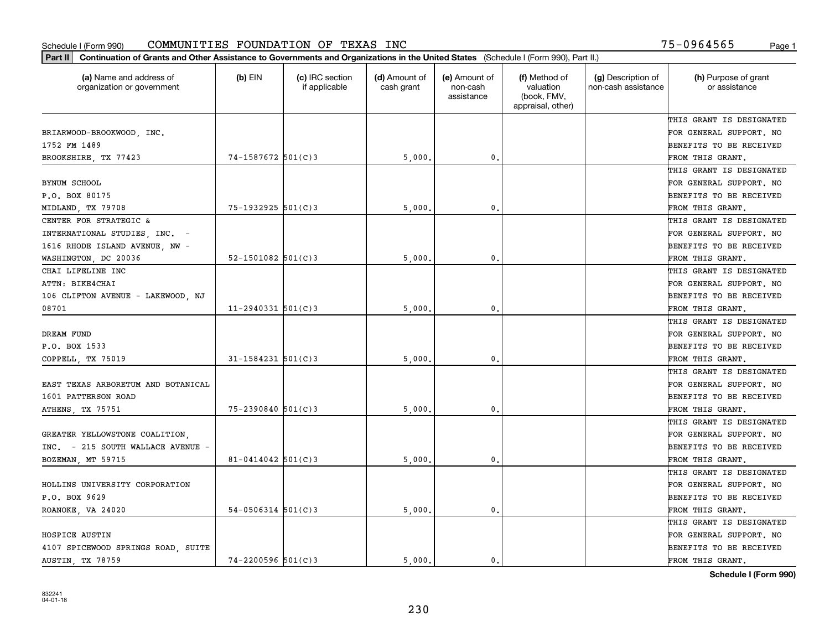| (a) Name and address of<br>organization or government | $(b)$ EIN              | (c) IRC section<br>if applicable | (d) Amount of<br>cash grant | (e) Amount of<br>non-cash<br>assistance | (f) Method of<br>valuation<br>(book, FMV,<br>appraisal, other) | (g) Description of<br>non-cash assistance | (h) Purpose of grant<br>or assistance |
|-------------------------------------------------------|------------------------|----------------------------------|-----------------------------|-----------------------------------------|----------------------------------------------------------------|-------------------------------------------|---------------------------------------|
|                                                       |                        |                                  |                             |                                         |                                                                |                                           | THIS GRANT IS DESIGNATED              |
| BRIARWOOD-BROOKWOOD, INC.                             |                        |                                  |                             |                                         |                                                                |                                           | FOR GENERAL SUPPORT. NO               |
| 1752 FM 1489                                          |                        |                                  |                             |                                         |                                                                |                                           | BENEFITS TO BE RECEIVED               |
| BROOKSHIRE, TX 77423                                  | 74-1587672 501(C)3     |                                  | 5,000                       | 0.                                      |                                                                |                                           | FROM THIS GRANT.                      |
|                                                       |                        |                                  |                             |                                         |                                                                |                                           | THIS GRANT IS DESIGNATED              |
| <b>BYNUM SCHOOL</b>                                   |                        |                                  |                             |                                         |                                                                |                                           | FOR GENERAL SUPPORT. NO               |
| P.O. BOX 80175                                        |                        |                                  |                             |                                         |                                                                |                                           | BENEFITS TO BE RECEIVED               |
| MIDLAND, TX 79708                                     | $75 - 1932925$ 501(C)3 |                                  | 5,000                       | $\mathbf{0}$                            |                                                                |                                           | FROM THIS GRANT.                      |
| CENTER FOR STRATEGIC &                                |                        |                                  |                             |                                         |                                                                |                                           | THIS GRANT IS DESIGNATED              |
| INTERNATIONAL STUDIES, INC. -                         |                        |                                  |                             |                                         |                                                                |                                           | FOR GENERAL SUPPORT. NO               |
| 1616 RHODE ISLAND AVENUE, NW -                        |                        |                                  |                             |                                         |                                                                |                                           | BENEFITS TO BE RECEIVED               |
| WASHINGTON, DC 20036                                  | $52 - 1501082$ 501(C)3 |                                  | 5,000                       | $\mathbf{0}$ .                          |                                                                |                                           | FROM THIS GRANT.                      |
| CHAI LIFELINE INC                                     |                        |                                  |                             |                                         |                                                                |                                           | THIS GRANT IS DESIGNATED              |
| ATTN: BIKE4CHAI                                       |                        |                                  |                             |                                         |                                                                |                                           | FOR GENERAL SUPPORT. NO               |
| 106 CLIFTON AVENUE - LAKEWOOD, NJ                     |                        |                                  |                             |                                         |                                                                |                                           | BENEFITS TO BE RECEIVED               |
| 08701                                                 | $11 - 2940331$ 501(C)3 |                                  | 5,000                       | $\mathbf{0}$                            |                                                                |                                           | FROM THIS GRANT.                      |
|                                                       |                        |                                  |                             |                                         |                                                                |                                           | THIS GRANT IS DESIGNATED              |
| DREAM FUND                                            |                        |                                  |                             |                                         |                                                                |                                           | FOR GENERAL SUPPORT. NO               |
| P.O. BOX 1533                                         |                        |                                  |                             |                                         |                                                                |                                           | BENEFITS TO BE RECEIVED               |
| COPPELL, TX 75019                                     | $31 - 1584231$ 501(C)3 |                                  | 5,000                       | $\mathbf{0}$                            |                                                                |                                           | FROM THIS GRANT.                      |
|                                                       |                        |                                  |                             |                                         |                                                                |                                           | THIS GRANT IS DESIGNATED              |
| EAST TEXAS ARBORETUM AND BOTANICAL                    |                        |                                  |                             |                                         |                                                                |                                           | FOR GENERAL SUPPORT. NO               |
| 1601 PATTERSON ROAD                                   |                        |                                  |                             |                                         |                                                                |                                           | BENEFITS TO BE RECEIVED               |
| ATHENS, TX 75751                                      | $75 - 2390840$ 501(C)3 |                                  | 5,000                       | $\mathbf{0}$                            |                                                                |                                           | FROM THIS GRANT.                      |
|                                                       |                        |                                  |                             |                                         |                                                                |                                           | THIS GRANT IS DESIGNATED              |
| GREATER YELLOWSTONE COALITION,                        |                        |                                  |                             |                                         |                                                                |                                           | FOR GENERAL SUPPORT. NO               |
| INC. - 215 SOUTH WALLACE AVENUE -                     |                        |                                  |                             |                                         |                                                                |                                           | BENEFITS TO BE RECEIVED               |
| BOZEMAN, MT 59715                                     | $81 - 0414042$ 501(C)3 |                                  | 5,000                       | $\mathbf{0}$ .                          |                                                                |                                           | FROM THIS GRANT.                      |
|                                                       |                        |                                  |                             |                                         |                                                                |                                           | THIS GRANT IS DESIGNATED              |
| HOLLINS UNIVERSITY CORPORATION                        |                        |                                  |                             |                                         |                                                                |                                           | FOR GENERAL SUPPORT. NO               |
| P.O. BOX 9629                                         |                        |                                  |                             |                                         |                                                                |                                           | BENEFITS TO BE RECEIVED               |
| ROANOKE, VA 24020                                     | $54-0506314$ 501(C)3   |                                  | 5,000                       | $\mathbf{0}$ .                          |                                                                |                                           | FROM THIS GRANT.                      |
|                                                       |                        |                                  |                             |                                         |                                                                |                                           | THIS GRANT IS DESIGNATED              |
| HOSPICE AUSTIN                                        |                        |                                  |                             |                                         |                                                                |                                           | FOR GENERAL SUPPORT. NO               |
| 4107 SPICEWOOD SPRINGS ROAD, SUITE                    |                        |                                  |                             |                                         |                                                                |                                           | BENEFITS TO BE RECEIVED               |
| AUSTIN, TX 78759                                      | $74 - 2200596$ 501(C)3 |                                  | 5000.                       | 0.                                      |                                                                |                                           | FROM THIS GRANT.                      |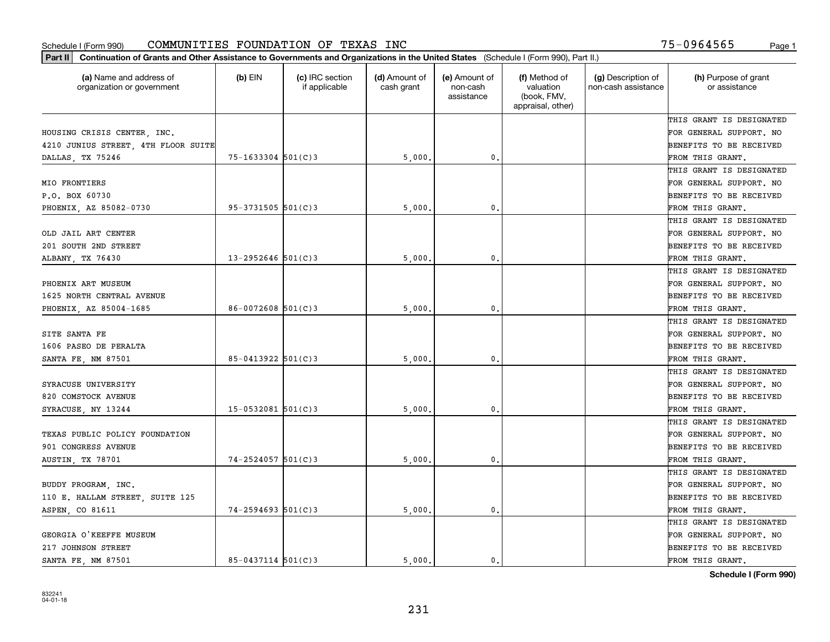| Part II   Continuation of Grants and Other Assistance to Governments and Organizations in the United States (Schedule I (Form 990), Part II.) |                        |                                  |                             |                                         |                                                                |                                           |                                       |
|-----------------------------------------------------------------------------------------------------------------------------------------------|------------------------|----------------------------------|-----------------------------|-----------------------------------------|----------------------------------------------------------------|-------------------------------------------|---------------------------------------|
| (a) Name and address of<br>organization or government                                                                                         | $(b)$ EIN              | (c) IRC section<br>if applicable | (d) Amount of<br>cash grant | (e) Amount of<br>non-cash<br>assistance | (f) Method of<br>valuation<br>(book, FMV,<br>appraisal, other) | (g) Description of<br>non-cash assistance | (h) Purpose of grant<br>or assistance |
|                                                                                                                                               |                        |                                  |                             |                                         |                                                                |                                           | THIS GRANT IS DESIGNATED              |
| HOUSING CRISIS CENTER, INC.                                                                                                                   |                        |                                  |                             |                                         |                                                                |                                           | FOR GENERAL SUPPORT. NO               |
| 4210 JUNIUS STREET, 4TH FLOOR SUITE                                                                                                           |                        |                                  |                             |                                         |                                                                |                                           | BENEFITS TO BE RECEIVED               |
| DALLAS, TX 75246                                                                                                                              | $75 - 1633304$ 501(C)3 |                                  | 5,000                       | 0.                                      |                                                                |                                           | FROM THIS GRANT.                      |
|                                                                                                                                               |                        |                                  |                             |                                         |                                                                |                                           | THIS GRANT IS DESIGNATED              |
| MIO FRONTIERS                                                                                                                                 |                        |                                  |                             |                                         |                                                                |                                           | FOR GENERAL SUPPORT. NO               |
| P.O. BOX 60730                                                                                                                                |                        |                                  |                             |                                         |                                                                |                                           | BENEFITS TO BE RECEIVED               |
| PHOENIX, AZ 85082-0730                                                                                                                        | $95 - 3731505$ 501(C)3 |                                  | 5,000                       | 0.                                      |                                                                |                                           | FROM THIS GRANT.                      |
|                                                                                                                                               |                        |                                  |                             |                                         |                                                                |                                           | THIS GRANT IS DESIGNATED              |
| OLD JAIL ART CENTER                                                                                                                           |                        |                                  |                             |                                         |                                                                |                                           | FOR GENERAL SUPPORT. NO               |
| 201 SOUTH 2ND STREET                                                                                                                          |                        |                                  |                             |                                         |                                                                |                                           | BENEFITS TO BE RECEIVED               |
| ALBANY, TX 76430                                                                                                                              | $13 - 2952646$ 501(C)3 |                                  | 5,000                       | 0.                                      |                                                                |                                           | FROM THIS GRANT.                      |
|                                                                                                                                               |                        |                                  |                             |                                         |                                                                |                                           | THIS GRANT IS DESIGNATED              |
| PHOENIX ART MUSEUM                                                                                                                            |                        |                                  |                             |                                         |                                                                |                                           | FOR GENERAL SUPPORT. NO               |
| 1625 NORTH CENTRAL AVENUE                                                                                                                     |                        |                                  |                             |                                         |                                                                |                                           | <b>BENEFITS TO BE RECEIVED</b>        |
| PHOENIX, AZ 85004-1685                                                                                                                        | $86 - 0072608$ 501(C)3 |                                  | 5,000                       | 0.                                      |                                                                |                                           | FROM THIS GRANT.                      |
|                                                                                                                                               |                        |                                  |                             |                                         |                                                                |                                           | THIS GRANT IS DESIGNATED              |
| SITE SANTA FE                                                                                                                                 |                        |                                  |                             |                                         |                                                                |                                           | FOR GENERAL SUPPORT. NO               |
| 1606 PASEO DE PERALTA                                                                                                                         |                        |                                  |                             |                                         |                                                                |                                           | BENEFITS TO BE RECEIVED               |
| SANTA FE, NM 87501                                                                                                                            | 85-0413922 501(C)3     |                                  | 5,000                       | 0.                                      |                                                                |                                           | FROM THIS GRANT.                      |
|                                                                                                                                               |                        |                                  |                             |                                         |                                                                |                                           | THIS GRANT IS DESIGNATED              |
| SYRACUSE UNIVERSITY                                                                                                                           |                        |                                  |                             |                                         |                                                                |                                           | FOR GENERAL SUPPORT. NO               |
| 820 COMSTOCK AVENUE                                                                                                                           |                        |                                  |                             |                                         |                                                                |                                           | <b>BENEFITS TO BE RECEIVED</b>        |
| SYRACUSE, NY 13244                                                                                                                            | $15 - 0532081$ 501(C)3 |                                  | 5,000                       | 0.                                      |                                                                |                                           | FROM THIS GRANT.                      |
|                                                                                                                                               |                        |                                  |                             |                                         |                                                                |                                           | THIS GRANT IS DESIGNATED              |
| TEXAS PUBLIC POLICY FOUNDATION                                                                                                                |                        |                                  |                             |                                         |                                                                |                                           | FOR GENERAL SUPPORT. NO               |
| 901 CONGRESS AVENUE                                                                                                                           |                        |                                  |                             |                                         |                                                                |                                           | BENEFITS TO BE RECEIVED               |
| <b>AUSTIN, TX 78701</b>                                                                                                                       | $74 - 2524057$ 501(C)3 |                                  | 5,000                       | $^{\rm 0}$ .                            |                                                                |                                           | FROM THIS GRANT.                      |
|                                                                                                                                               |                        |                                  |                             |                                         |                                                                |                                           | THIS GRANT IS DESIGNATED              |
| BUDDY PROGRAM, INC.                                                                                                                           |                        |                                  |                             |                                         |                                                                |                                           | FOR GENERAL SUPPORT. NO               |
| 110 E. HALLAM STREET, SUITE 125                                                                                                               |                        |                                  |                             |                                         |                                                                |                                           | BENEFITS TO BE RECEIVED               |
| ASPEN, CO 81611                                                                                                                               | $74 - 2594693$ 501(C)3 |                                  | 5,000.                      | 0.                                      |                                                                |                                           | FROM THIS GRANT.                      |
|                                                                                                                                               |                        |                                  |                             |                                         |                                                                |                                           | THIS GRANT IS DESIGNATED              |
| GEORGIA O'KEEFFE MUSEUM                                                                                                                       |                        |                                  |                             |                                         |                                                                |                                           | FOR GENERAL SUPPORT. NO               |
| 217 JOHNSON STREET                                                                                                                            |                        |                                  |                             |                                         |                                                                |                                           | <b>BENEFITS TO BE RECEIVED</b>        |
| SANTA FE, NM 87501                                                                                                                            | $85 - 0437114$ 501(C)3 |                                  | 5.000.                      | $\mathbf{0}$ .                          |                                                                |                                           | FROM THIS GRANT.                      |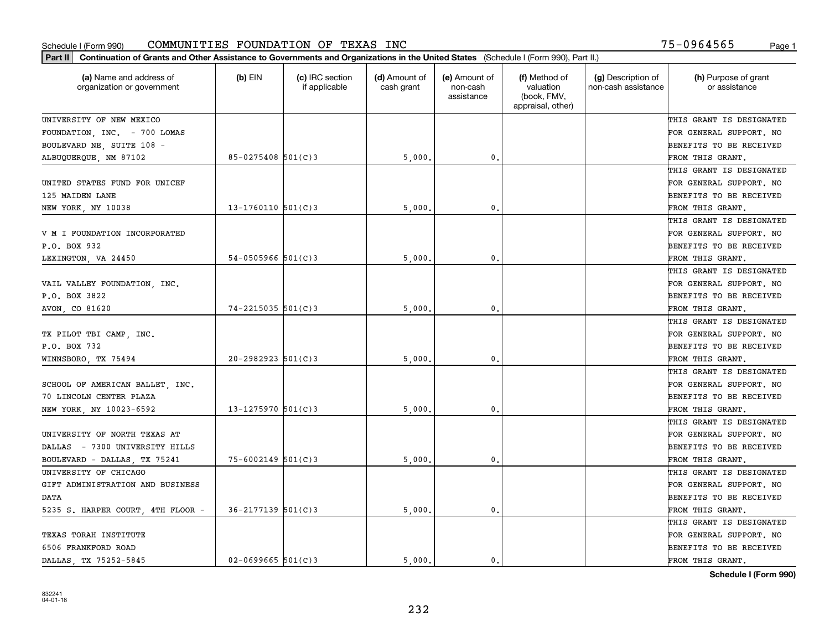| (a) Name and address of<br>organization or government | $(b)$ EIN                | (c) IRC section<br>if applicable | (d) Amount of<br>cash grant | (e) Amount of<br>non-cash<br>assistance | (f) Method of<br>valuation<br>(book, FMV,<br>appraisal, other) | (g) Description of<br>non-cash assistance | (h) Purpose of grant<br>or assistance |
|-------------------------------------------------------|--------------------------|----------------------------------|-----------------------------|-----------------------------------------|----------------------------------------------------------------|-------------------------------------------|---------------------------------------|
| UNIVERSITY OF NEW MEXICO                              |                          |                                  |                             |                                         |                                                                |                                           | THIS GRANT IS DESIGNATED              |
| FOUNDATION, INC. - 700 LOMAS                          |                          |                                  |                             |                                         |                                                                |                                           | FOR GENERAL SUPPORT. NO               |
| BOULEVARD NE, SUITE 108 -                             |                          |                                  |                             |                                         |                                                                |                                           | BENEFITS TO BE RECEIVED               |
| ALBUQUERQUE, NM 87102                                 | $85 - 0275408$ 501(C)3   |                                  | 5,000                       | 0.                                      |                                                                |                                           | FROM THIS GRANT.                      |
|                                                       |                          |                                  |                             |                                         |                                                                |                                           | THIS GRANT IS DESIGNATED              |
| UNITED STATES FUND FOR UNICEF                         |                          |                                  |                             |                                         |                                                                |                                           | FOR GENERAL SUPPORT. NO               |
| 125 MAIDEN LANE                                       |                          |                                  |                             |                                         |                                                                |                                           | BENEFITS TO BE RECEIVED               |
| NEW YORK, NY 10038                                    | $13 - 1760110$ 501(C)3   |                                  | 5,000                       | $\mathbf{0}$                            |                                                                |                                           | FROM THIS GRANT.                      |
|                                                       |                          |                                  |                             |                                         |                                                                |                                           | THIS GRANT IS DESIGNATED              |
| V M I FOUNDATION INCORPORATED                         |                          |                                  |                             |                                         |                                                                |                                           | FOR GENERAL SUPPORT. NO               |
| P.O. BOX 932                                          |                          |                                  |                             |                                         |                                                                |                                           | BENEFITS TO BE RECEIVED               |
| LEXINGTON, VA 24450                                   | $54 - 0505966$ $501(C)3$ |                                  | 5,000                       | $\mathbf{0}$ .                          |                                                                |                                           | FROM THIS GRANT.                      |
|                                                       |                          |                                  |                             |                                         |                                                                |                                           | THIS GRANT IS DESIGNATED              |
| VAIL VALLEY FOUNDATION, INC.                          |                          |                                  |                             |                                         |                                                                |                                           | FOR GENERAL SUPPORT. NO               |
| P.O. BOX 3822                                         |                          |                                  |                             |                                         |                                                                |                                           | BENEFITS TO BE RECEIVED               |
| AVON, CO 81620                                        | $74 - 2215035$ 501(C)3   |                                  | 5,000                       | 0.                                      |                                                                |                                           | FROM THIS GRANT.                      |
|                                                       |                          |                                  |                             |                                         |                                                                |                                           | THIS GRANT IS DESIGNATED              |
| TX PILOT TBI CAMP, INC.                               |                          |                                  |                             |                                         |                                                                |                                           | FOR GENERAL SUPPORT. NO               |
| P.O. BOX 732                                          |                          |                                  |                             |                                         |                                                                |                                           | BENEFITS TO BE RECEIVED               |
| WINNSBORO, TX 75494                                   | $20 - 2982923$ 501(C)3   |                                  | 5,000                       | $\mathbf{0}$                            |                                                                |                                           | FROM THIS GRANT.                      |
|                                                       |                          |                                  |                             |                                         |                                                                |                                           | THIS GRANT IS DESIGNATED              |
| SCHOOL OF AMERICAN BALLET, INC.                       |                          |                                  |                             |                                         |                                                                |                                           | FOR GENERAL SUPPORT. NO               |
| 70 LINCOLN CENTER PLAZA                               |                          |                                  |                             |                                         |                                                                |                                           | BENEFITS TO BE RECEIVED               |
| NEW YORK, NY 10023-6592                               | $13 - 1275970$ 501(C)3   |                                  | 5,000                       | $\mathbf{0}$                            |                                                                |                                           | FROM THIS GRANT.                      |
|                                                       |                          |                                  |                             |                                         |                                                                |                                           | THIS GRANT IS DESIGNATED              |
| UNIVERSITY OF NORTH TEXAS AT                          |                          |                                  |                             |                                         |                                                                |                                           | FOR GENERAL SUPPORT. NO               |
| DALLAS - 7300 UNIVERSITY HILLS                        |                          |                                  |                             |                                         |                                                                |                                           | BENEFITS TO BE RECEIVED               |
| BOULEVARD - DALLAS, TX 75241                          | $75 - 6002149$ 501(C)3   |                                  | 5,000                       | 0.                                      |                                                                |                                           | FROM THIS GRANT.                      |
| UNIVERSITY OF CHICAGO                                 |                          |                                  |                             |                                         |                                                                |                                           | THIS GRANT IS DESIGNATED              |
| GIFT ADMINISTRATION AND BUSINESS                      |                          |                                  |                             |                                         |                                                                |                                           | FOR GENERAL SUPPORT. NO               |
| DATA                                                  |                          |                                  |                             |                                         |                                                                |                                           | BENEFITS TO BE RECEIVED               |
| 5235 S. HARPER COURT, 4TH FLOOR -                     | 36-2177139 501(C)3       |                                  | 5,000.                      | $\mathbf{0}$ .                          |                                                                |                                           | FROM THIS GRANT.                      |
|                                                       |                          |                                  |                             |                                         |                                                                |                                           | THIS GRANT IS DESIGNATED              |
| TEXAS TORAH INSTITUTE                                 |                          |                                  |                             |                                         |                                                                |                                           | FOR GENERAL SUPPORT. NO               |
| 6506 FRANKFORD ROAD                                   |                          |                                  |                             |                                         |                                                                |                                           | BENEFITS TO BE RECEIVED               |
| DALLAS TX 75252-5845                                  | $02 - 0699665$ 501(C)3   |                                  | 5000.                       | 0.                                      |                                                                |                                           | FROM THIS GRANT.                      |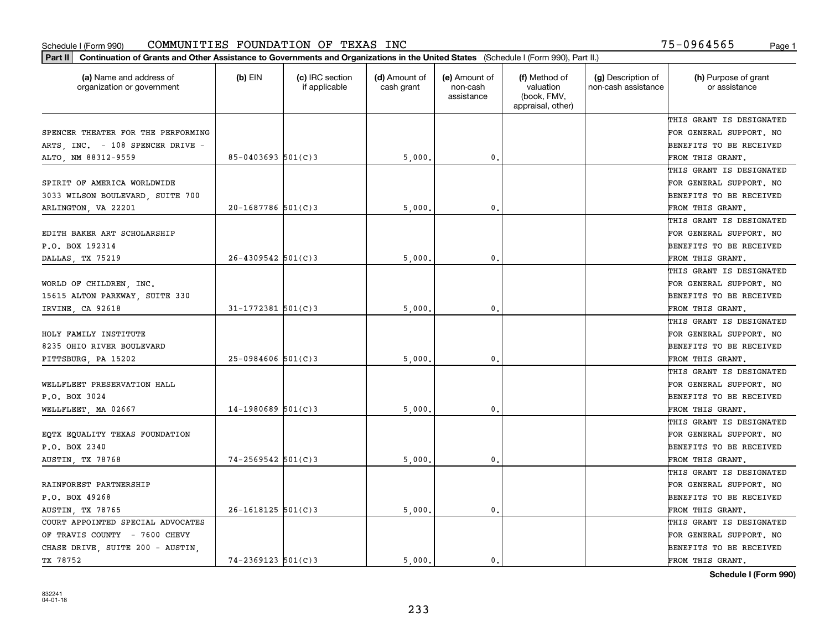| (a) Name and address of<br>organization or government | $(b)$ EIN              | (c) IRC section<br>if applicable | (d) Amount of<br>cash grant | (e) Amount of<br>non-cash<br>assistance | (f) Method of<br>valuation<br>(book, FMV,<br>appraisal, other) | (g) Description of<br>non-cash assistance | (h) Purpose of grant<br>or assistance |
|-------------------------------------------------------|------------------------|----------------------------------|-----------------------------|-----------------------------------------|----------------------------------------------------------------|-------------------------------------------|---------------------------------------|
|                                                       |                        |                                  |                             |                                         |                                                                |                                           | THIS GRANT IS DESIGNATED              |
| SPENCER THEATER FOR THE PERFORMING                    |                        |                                  |                             |                                         |                                                                |                                           | FOR GENERAL SUPPORT. NO               |
| ARTS, INC. - 108 SPENCER DRIVE -                      |                        |                                  |                             |                                         |                                                                |                                           | BENEFITS TO BE RECEIVED               |
| ALTO, NM 88312-9559                                   | $85 - 0403693$ 501(C)3 |                                  | 5,000                       | $\mathfrak{o}$ .                        |                                                                |                                           | FROM THIS GRANT.                      |
|                                                       |                        |                                  |                             |                                         |                                                                |                                           | THIS GRANT IS DESIGNATED              |
| SPIRIT OF AMERICA WORLDWIDE                           |                        |                                  |                             |                                         |                                                                |                                           | FOR GENERAL SUPPORT. NO               |
| 3033 WILSON BOULEVARD, SUITE 700                      |                        |                                  |                             |                                         |                                                                |                                           | BENEFITS TO BE RECEIVED               |
| ARLINGTON, VA 22201                                   | $20-1687786$ 501(C)3   |                                  | 5,000                       | $\mathbf{0}$                            |                                                                |                                           | FROM THIS GRANT.                      |
|                                                       |                        |                                  |                             |                                         |                                                                |                                           | THIS GRANT IS DESIGNATED              |
| EDITH BAKER ART SCHOLARSHIP                           |                        |                                  |                             |                                         |                                                                |                                           | FOR GENERAL SUPPORT. NO               |
| P.O. BOX 192314                                       |                        |                                  |                             |                                         |                                                                |                                           | BENEFITS TO BE RECEIVED               |
| DALLAS, TX 75219                                      | $26 - 4309542$ 501(C)3 |                                  | 5,000                       | $\mathbf{0}$ .                          |                                                                |                                           | FROM THIS GRANT.                      |
|                                                       |                        |                                  |                             |                                         |                                                                |                                           | THIS GRANT IS DESIGNATED              |
| WORLD OF CHILDREN, INC.                               |                        |                                  |                             |                                         |                                                                |                                           | FOR GENERAL SUPPORT. NO               |
| 15615 ALTON PARKWAY, SUITE 330                        |                        |                                  |                             |                                         |                                                                |                                           | BENEFITS TO BE RECEIVED               |
| IRVINE, CA 92618                                      | $31 - 1772381$ 501(C)3 |                                  | 5,000                       | 0.                                      |                                                                |                                           | FROM THIS GRANT.                      |
|                                                       |                        |                                  |                             |                                         |                                                                |                                           | THIS GRANT IS DESIGNATED              |
| HOLY FAMILY INSTITUTE                                 |                        |                                  |                             |                                         |                                                                |                                           | FOR GENERAL SUPPORT. NO               |
| 8235 OHIO RIVER BOULEVARD                             |                        |                                  |                             |                                         |                                                                |                                           | BENEFITS TO BE RECEIVED               |
| PITTSBURG, PA 15202                                   | $25 - 0984606$ 501(C)3 |                                  | 5,000                       | $\mathbf{0}$                            |                                                                |                                           | FROM THIS GRANT.                      |
|                                                       |                        |                                  |                             |                                         |                                                                |                                           | THIS GRANT IS DESIGNATED              |
| WELLFLEET PRESERVATION HALL                           |                        |                                  |                             |                                         |                                                                |                                           | FOR GENERAL SUPPORT. NO               |
| P.O. BOX 3024                                         |                        |                                  |                             |                                         |                                                                |                                           | BENEFITS TO BE RECEIVED               |
| WELLFLEET, MA 02667                                   | $14-1980689$ 501(C)3   |                                  | 5,000                       | $\mathbf{0}$                            |                                                                |                                           | FROM THIS GRANT.                      |
|                                                       |                        |                                  |                             |                                         |                                                                |                                           | THIS GRANT IS DESIGNATED              |
| EQTX EQUALITY TEXAS FOUNDATION                        |                        |                                  |                             |                                         |                                                                |                                           | FOR GENERAL SUPPORT. NO               |
| P.O. BOX 2340                                         |                        |                                  |                             |                                         |                                                                |                                           | BENEFITS TO BE RECEIVED               |
| AUSTIN, TX 78768                                      | $74 - 2569542$ 501(C)3 |                                  | 5,000                       | $\mathbf{0}$ .                          |                                                                |                                           | FROM THIS GRANT.                      |
|                                                       |                        |                                  |                             |                                         |                                                                |                                           | THIS GRANT IS DESIGNATED              |
| RAINFOREST PARTNERSHIP                                |                        |                                  |                             |                                         |                                                                |                                           | FOR GENERAL SUPPORT. NO               |
| P.O. BOX 49268                                        |                        |                                  |                             |                                         |                                                                |                                           | BENEFITS TO BE RECEIVED               |
| AUSTIN, TX 78765                                      | $26 - 1618125$ 501(C)3 |                                  | 5,000.                      | $\mathbf{0}$ .                          |                                                                |                                           | FROM THIS GRANT.                      |
| COURT APPOINTED SPECIAL ADVOCATES                     |                        |                                  |                             |                                         |                                                                |                                           | THIS GRANT IS DESIGNATED              |
| OF TRAVIS COUNTY - 7600 CHEVY                         |                        |                                  |                             |                                         |                                                                |                                           | FOR GENERAL SUPPORT. NO               |
| CHASE DRIVE, SUITE 200 - AUSTIN,                      |                        |                                  |                             |                                         |                                                                |                                           | BENEFITS TO BE RECEIVED               |
| TX 78752                                              | $74 - 2369123$ 501(C)3 |                                  | 5000.                       | 0.                                      |                                                                |                                           | FROM THIS GRANT.                      |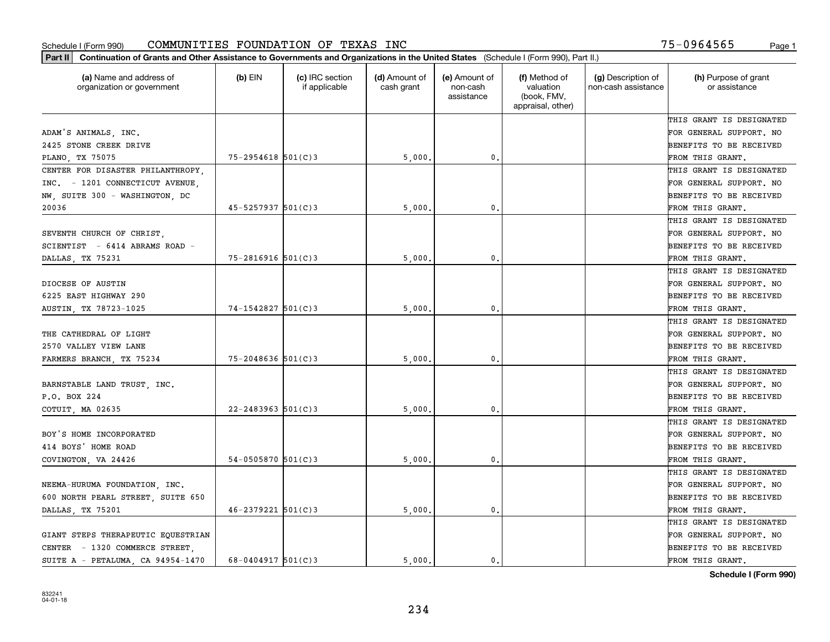| Part II   Continuation of Grants and Other Assistance to Governments and Organizations in the United States (Schedule I (Form 990), Part II.) |                        |                                  |                             |                                         |                                                                |                                           |                                       |
|-----------------------------------------------------------------------------------------------------------------------------------------------|------------------------|----------------------------------|-----------------------------|-----------------------------------------|----------------------------------------------------------------|-------------------------------------------|---------------------------------------|
| (a) Name and address of<br>organization or government                                                                                         | $(b)$ EIN              | (c) IRC section<br>if applicable | (d) Amount of<br>cash grant | (e) Amount of<br>non-cash<br>assistance | (f) Method of<br>valuation<br>(book, FMV,<br>appraisal, other) | (g) Description of<br>non-cash assistance | (h) Purpose of grant<br>or assistance |
|                                                                                                                                               |                        |                                  |                             |                                         |                                                                |                                           | THIS GRANT IS DESIGNATED              |
| ADAM'S ANIMALS, INC.                                                                                                                          |                        |                                  |                             |                                         |                                                                |                                           | FOR GENERAL SUPPORT. NO               |
| 2425 STONE CREEK DRIVE                                                                                                                        |                        |                                  |                             |                                         |                                                                |                                           | BENEFITS TO BE RECEIVED               |
| PLANO, TX 75075                                                                                                                               | $75 - 2954618$ 501(C)3 |                                  | 5,000                       | 0.                                      |                                                                |                                           | FROM THIS GRANT.                      |
| CENTER FOR DISASTER PHILANTHROPY,                                                                                                             |                        |                                  |                             |                                         |                                                                |                                           | THIS GRANT IS DESIGNATED              |
| INC. - 1201 CONNECTICUT AVENUE.                                                                                                               |                        |                                  |                             |                                         |                                                                |                                           | FOR GENERAL SUPPORT. NO               |
| NW, SUITE 300 - WASHINGTON, DC                                                                                                                |                        |                                  |                             |                                         |                                                                |                                           | BENEFITS TO BE RECEIVED               |
| 20036                                                                                                                                         | $45 - 5257937$ 501(C)3 |                                  | 5,000                       | 0.                                      |                                                                |                                           | FROM THIS GRANT.                      |
|                                                                                                                                               |                        |                                  |                             |                                         |                                                                |                                           | THIS GRANT IS DESIGNATED              |
| SEVENTH CHURCH OF CHRIST,                                                                                                                     |                        |                                  |                             |                                         |                                                                |                                           | FOR GENERAL SUPPORT. NO               |
| SCIENTIST - 6414 ABRAMS ROAD -                                                                                                                |                        |                                  |                             |                                         |                                                                |                                           | BENEFITS TO BE RECEIVED               |
| DALLAS, TX 75231                                                                                                                              | $75 - 2816916$ 501(C)3 |                                  | 5,000                       | 0.                                      |                                                                |                                           | FROM THIS GRANT.                      |
|                                                                                                                                               |                        |                                  |                             |                                         |                                                                |                                           | THIS GRANT IS DESIGNATED              |
| DIOCESE OF AUSTIN                                                                                                                             |                        |                                  |                             |                                         |                                                                |                                           | FOR GENERAL SUPPORT. NO               |
| 6225 EAST HIGHWAY 290                                                                                                                         |                        |                                  |                             |                                         |                                                                |                                           | <b>BENEFITS TO BE RECEIVED</b>        |
| AUSTIN, TX 78723-1025                                                                                                                         | $74 - 1542827$ 501(C)3 |                                  | 5,000                       | 0.                                      |                                                                |                                           | FROM THIS GRANT.                      |
|                                                                                                                                               |                        |                                  |                             |                                         |                                                                |                                           | THIS GRANT IS DESIGNATED              |
| THE CATHEDRAL OF LIGHT                                                                                                                        |                        |                                  |                             |                                         |                                                                |                                           | FOR GENERAL SUPPORT. NO               |
| 2570 VALLEY VIEW LANE                                                                                                                         |                        |                                  |                             |                                         |                                                                |                                           | BENEFITS TO BE RECEIVED               |
| FARMERS BRANCH, TX 75234                                                                                                                      | $75 - 2048636$ 501(C)3 |                                  | 5,000                       | 0.                                      |                                                                |                                           | FROM THIS GRANT.                      |
|                                                                                                                                               |                        |                                  |                             |                                         |                                                                |                                           | THIS GRANT IS DESIGNATED              |
| BARNSTABLE LAND TRUST, INC.                                                                                                                   |                        |                                  |                             |                                         |                                                                |                                           | FOR GENERAL SUPPORT. NO               |
| P.O. BOX 224                                                                                                                                  |                        |                                  |                             |                                         |                                                                |                                           | <b>BENEFITS TO BE RECEIVED</b>        |
| COTUIT, MA 02635                                                                                                                              | $22 - 2483963$ 501(C)3 |                                  | 5,000                       | 0.                                      |                                                                |                                           | FROM THIS GRANT.                      |
|                                                                                                                                               |                        |                                  |                             |                                         |                                                                |                                           | THIS GRANT IS DESIGNATED              |
| BOY'S HOME INCORPORATED                                                                                                                       |                        |                                  |                             |                                         |                                                                |                                           | FOR GENERAL SUPPORT. NO               |
| 414 BOYS' HOME ROAD                                                                                                                           |                        |                                  |                             |                                         |                                                                |                                           | BENEFITS TO BE RECEIVED               |
| COVINGTON, VA 24426                                                                                                                           | $54 - 0505870$ 501(C)3 |                                  | 5,000                       | 0.                                      |                                                                |                                           | FROM THIS GRANT.                      |
|                                                                                                                                               |                        |                                  |                             |                                         |                                                                |                                           | THIS GRANT IS DESIGNATED              |
| NEEMA-HURUMA FOUNDATION, INC.                                                                                                                 |                        |                                  |                             |                                         |                                                                |                                           | FOR GENERAL SUPPORT. NO               |
| 600 NORTH PEARL STREET, SUITE 650                                                                                                             |                        |                                  |                             |                                         |                                                                |                                           | BENEFITS TO BE RECEIVED               |
| DALLAS, TX 75201                                                                                                                              | $46 - 2379221$ 501(C)3 |                                  | 5,000.                      | 0.                                      |                                                                |                                           | FROM THIS GRANT.                      |
|                                                                                                                                               |                        |                                  |                             |                                         |                                                                |                                           | THIS GRANT IS DESIGNATED              |
| GIANT STEPS THERAPEUTIC EOUESTRIAN                                                                                                            |                        |                                  |                             |                                         |                                                                |                                           | FOR GENERAL SUPPORT. NO               |
| CENTER - 1320 COMMERCE STREET,                                                                                                                |                        |                                  |                             |                                         |                                                                |                                           | <b>BENEFITS TO BE RECEIVED</b>        |
| SUITE A - PETALUMA, CA 94954-1470                                                                                                             | $68 - 0404917$ 501(C)3 |                                  | 5.000.                      | $\mathbf{0}$ .                          |                                                                |                                           | FROM THIS GRANT.                      |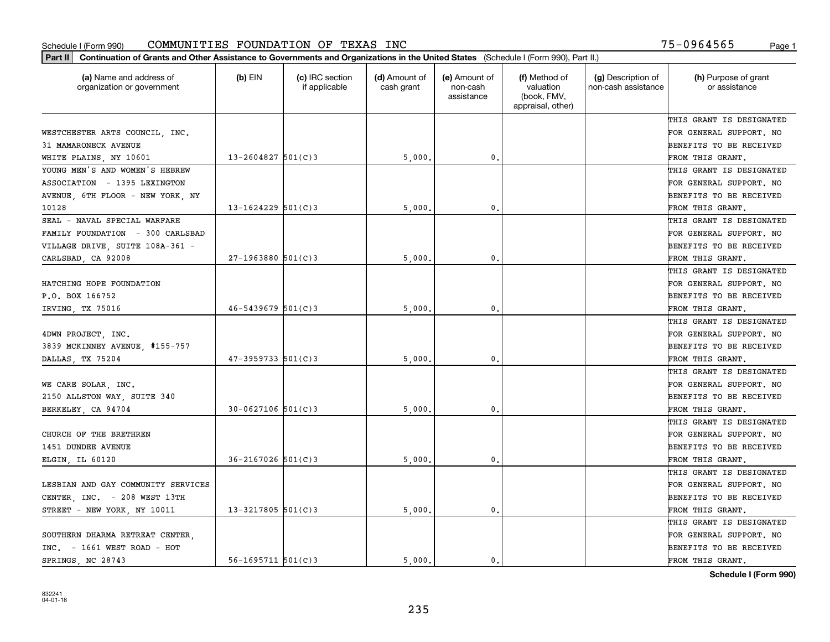| (a) Name and address of<br>organization or government | $(b)$ EIN                | (c) IRC section<br>if applicable | (d) Amount of<br>cash grant | (e) Amount of<br>non-cash<br>assistance | (f) Method of<br>valuation<br>(book, FMV,<br>appraisal, other) | (g) Description of<br>non-cash assistance | (h) Purpose of grant<br>or assistance |
|-------------------------------------------------------|--------------------------|----------------------------------|-----------------------------|-----------------------------------------|----------------------------------------------------------------|-------------------------------------------|---------------------------------------|
|                                                       |                          |                                  |                             |                                         |                                                                |                                           | THIS GRANT IS DESIGNATED              |
| WESTCHESTER ARTS COUNCIL, INC.                        |                          |                                  |                             |                                         |                                                                |                                           | FOR GENERAL SUPPORT. NO               |
| 31 MAMARONECK AVENUE                                  |                          |                                  |                             |                                         |                                                                |                                           | BENEFITS TO BE RECEIVED               |
| WHITE PLAINS, NY 10601                                | $13 - 2604827$ 501(C)3   |                                  | 5,000                       | 0.                                      |                                                                |                                           | FROM THIS GRANT.                      |
| YOUNG MEN'S AND WOMEN'S HEBREW                        |                          |                                  |                             |                                         |                                                                |                                           | THIS GRANT IS DESIGNATED              |
| ASSOCIATION - 1395 LEXINGTON                          |                          |                                  |                             |                                         |                                                                |                                           | FOR GENERAL SUPPORT. NO               |
| AVENUE, 6TH FLOOR - NEW YORK, NY                      |                          |                                  |                             |                                         |                                                                |                                           | BENEFITS TO BE RECEIVED               |
| 10128                                                 | $13 - 1624229$ 501(C)3   |                                  | 5,000                       | $\mathbf{0}$                            |                                                                |                                           | FROM THIS GRANT.                      |
| SEAL - NAVAL SPECIAL WARFARE                          |                          |                                  |                             |                                         |                                                                |                                           | THIS GRANT IS DESIGNATED              |
| FAMILY FOUNDATION - 300 CARLSBAD                      |                          |                                  |                             |                                         |                                                                |                                           | FOR GENERAL SUPPORT. NO               |
| VILLAGE DRIVE, SUITE 108A-361 -                       |                          |                                  |                             |                                         |                                                                |                                           | BENEFITS TO BE RECEIVED               |
| CARLSBAD, CA 92008                                    | $27-1963880$ 501(C)3     |                                  | 5,000                       | $\mathfrak{o}$ .                        |                                                                |                                           | FROM THIS GRANT.                      |
|                                                       |                          |                                  |                             |                                         |                                                                |                                           | THIS GRANT IS DESIGNATED              |
| HATCHING HOPE FOUNDATION                              |                          |                                  |                             |                                         |                                                                |                                           | FOR GENERAL SUPPORT. NO               |
| P.O. BOX 166752                                       |                          |                                  |                             |                                         |                                                                |                                           | BENEFITS TO BE RECEIVED               |
| IRVING, TX 75016                                      | $46 - 5439679$ 501(C)3   |                                  | 5,000                       | $\mathbf{0}$                            |                                                                |                                           | FROM THIS GRANT.                      |
|                                                       |                          |                                  |                             |                                         |                                                                |                                           | THIS GRANT IS DESIGNATED              |
| 4DWN PROJECT, INC.                                    |                          |                                  |                             |                                         |                                                                |                                           | FOR GENERAL SUPPORT. NO               |
| 3839 MCKINNEY AVENUE, #155-757                        |                          |                                  |                             |                                         |                                                                |                                           | BENEFITS TO BE RECEIVED               |
| DALLAS, TX 75204                                      | $47 - 3959733$ 501(C)3   |                                  | 5,000                       | $\mathbf{0}$                            |                                                                |                                           | FROM THIS GRANT.                      |
|                                                       |                          |                                  |                             |                                         |                                                                |                                           | THIS GRANT IS DESIGNATED              |
| WE CARE SOLAR, INC.                                   |                          |                                  |                             |                                         |                                                                |                                           | FOR GENERAL SUPPORT. NO               |
| 2150 ALLSTON WAY, SUITE 340                           |                          |                                  |                             |                                         |                                                                |                                           | BENEFITS TO BE RECEIVED               |
| BERKELEY, CA 94704                                    | $30 - 0627106$ 501(C)3   |                                  | 5,000                       | $\mathbf{0}$                            |                                                                |                                           | FROM THIS GRANT.                      |
|                                                       |                          |                                  |                             |                                         |                                                                |                                           | THIS GRANT IS DESIGNATED              |
| CHURCH OF THE BRETHREN                                |                          |                                  |                             |                                         |                                                                |                                           | FOR GENERAL SUPPORT. NO               |
| <b>1451 DUNDEE AVENUE</b>                             |                          |                                  |                             |                                         |                                                                |                                           | BENEFITS TO BE RECEIVED               |
| ELGIN, IL 60120                                       | $36 - 2167026$ 501(C)3   |                                  | 5,000                       | $\mathbf{0}$ .                          |                                                                |                                           | FROM THIS GRANT.                      |
|                                                       |                          |                                  |                             |                                         |                                                                |                                           | THIS GRANT IS DESIGNATED              |
| LESBIAN AND GAY COMMUNITY SERVICES                    |                          |                                  |                             |                                         |                                                                |                                           | FOR GENERAL SUPPORT. NO               |
| CENTER, INC. - 208 WEST 13TH                          |                          |                                  |                             |                                         |                                                                |                                           | BENEFITS TO BE RECEIVED               |
| STREET - NEW YORK, NY 10011                           | $13 - 3217805$ 501(C)3   |                                  | 5,000.                      | $\mathbf{0}$ .                          |                                                                |                                           | FROM THIS GRANT.                      |
|                                                       |                          |                                  |                             |                                         |                                                                |                                           | THIS GRANT IS DESIGNATED              |
| SOUTHERN DHARMA RETREAT CENTER.                       |                          |                                  |                             |                                         |                                                                |                                           | FOR GENERAL SUPPORT. NO               |
| $INC. - 1661 WEST ROAD - HOT$                         |                          |                                  |                             |                                         |                                                                |                                           | BENEFITS TO BE RECEIVED               |
| SPRINGS NC 28743                                      | $56 - 1695711$ $501(C)3$ |                                  | 5000.                       | 0.                                      |                                                                |                                           | FROM THIS GRANT.                      |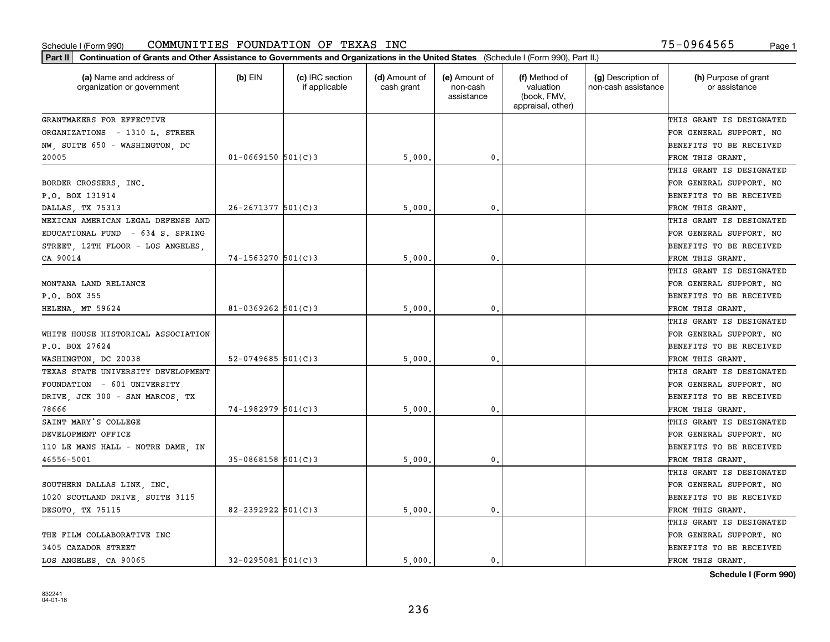| Part II   Continuation of Grants and Other Assistance to Governments and Organizations in the United States (Schedule I (Form 990), Part II.) |                         |                                  |                             |                                         |                                                                |                                           |                                       |
|-----------------------------------------------------------------------------------------------------------------------------------------------|-------------------------|----------------------------------|-----------------------------|-----------------------------------------|----------------------------------------------------------------|-------------------------------------------|---------------------------------------|
| (a) Name and address of<br>organization or government                                                                                         | $(b)$ EIN               | (c) IRC section<br>if applicable | (d) Amount of<br>cash grant | (e) Amount of<br>non-cash<br>assistance | (f) Method of<br>valuation<br>(book, FMV,<br>appraisal, other) | (g) Description of<br>non-cash assistance | (h) Purpose of grant<br>or assistance |
| GRANTMAKERS FOR EFFECTIVE                                                                                                                     |                         |                                  |                             |                                         |                                                                |                                           | THIS GRANT IS DESIGNATED              |
| ORGANIZATIONS - 1310 L. STREER                                                                                                                |                         |                                  |                             |                                         |                                                                |                                           | FOR GENERAL SUPPORT. NO               |
| NW, SUITE 650 - WASHINGTON, DC                                                                                                                |                         |                                  |                             |                                         |                                                                |                                           | <b>BENEFITS TO BE RECEIVED</b>        |
| 20005                                                                                                                                         | $01 - 0669150$ 501(C)3  |                                  | 5,000                       | 0.                                      |                                                                |                                           | FROM THIS GRANT.                      |
|                                                                                                                                               |                         |                                  |                             |                                         |                                                                |                                           | THIS GRANT IS DESIGNATED              |
| BORDER CROSSERS, INC.                                                                                                                         |                         |                                  |                             |                                         |                                                                |                                           | FOR GENERAL SUPPORT. NO               |
| P.O. BOX 131914                                                                                                                               |                         |                                  |                             |                                         |                                                                |                                           | <b>BENEFITS TO BE RECEIVED</b>        |
| DALLAS TX 75313                                                                                                                               | $26 - 2671377$ 501(C) 3 |                                  | 5,000                       | 0.                                      |                                                                |                                           | FROM THIS GRANT.                      |
| MEXICAN AMERICAN LEGAL DEFENSE AND                                                                                                            |                         |                                  |                             |                                         |                                                                |                                           | THIS GRANT IS DESIGNATED              |
| EDUCATIONAL FUND - 634 S. SPRING                                                                                                              |                         |                                  |                             |                                         |                                                                |                                           | FOR GENERAL SUPPORT. NO               |
| STREET, 12TH FLOOR - LOS ANGELES,                                                                                                             |                         |                                  |                             |                                         |                                                                |                                           | BENEFITS TO BE RECEIVED               |
| CA 90014                                                                                                                                      | $74 - 1563270$ 501(C)3  |                                  | 5,000                       | $\mathfrak{o}$ .                        |                                                                |                                           | FROM THIS GRANT.                      |
|                                                                                                                                               |                         |                                  |                             |                                         |                                                                |                                           | THIS GRANT IS DESIGNATED              |
| MONTANA LAND RELIANCE                                                                                                                         |                         |                                  |                             |                                         |                                                                |                                           | FOR GENERAL SUPPORT. NO               |
| P.O. BOX 355                                                                                                                                  |                         |                                  |                             |                                         |                                                                |                                           | <b>BENEFITS TO BE RECEIVED</b>        |
| HELENA, MT 59624                                                                                                                              | $81 - 0369262$ 501(C)3  |                                  | 5,000                       | 0.                                      |                                                                |                                           | FROM THIS GRANT.                      |
|                                                                                                                                               |                         |                                  |                             |                                         |                                                                |                                           | THIS GRANT IS DESIGNATED              |
| WHITE HOUSE HISTORICAL ASSOCIATION                                                                                                            |                         |                                  |                             |                                         |                                                                |                                           | FOR GENERAL SUPPORT. NO               |
| P.O. BOX 27624                                                                                                                                |                         |                                  |                             |                                         |                                                                |                                           | BENEFITS TO BE RECEIVED               |
| WASHINGTON, DC 20038                                                                                                                          | $52 - 0749685$ 501(C)3  |                                  | 5,000                       | 0.                                      |                                                                |                                           | FROM THIS GRANT.                      |
| TEXAS STATE UNIVERSITY DEVELOPMENT                                                                                                            |                         |                                  |                             |                                         |                                                                |                                           | THIS GRANT IS DESIGNATED              |
| FOUNDATION - 601 UNIVERSITY                                                                                                                   |                         |                                  |                             |                                         |                                                                |                                           | FOR GENERAL SUPPORT. NO               |
| DRIVE, JCK 300 - SAN MARCOS, TX                                                                                                               |                         |                                  |                             |                                         |                                                                |                                           | <b>BENEFITS TO BE RECEIVED</b>        |
| 78666                                                                                                                                         | 74-1982979 501(C)3      |                                  | 5,000                       | 0.                                      |                                                                |                                           | FROM THIS GRANT.                      |
| SAINT MARY'S COLLEGE                                                                                                                          |                         |                                  |                             |                                         |                                                                |                                           | THIS GRANT IS DESIGNATED              |
| DEVELOPMENT OFFICE                                                                                                                            |                         |                                  |                             |                                         |                                                                |                                           | FOR GENERAL SUPPORT. NO               |
| 110 LE MANS HALL - NOTRE DAME, IN                                                                                                             |                         |                                  |                             |                                         |                                                                |                                           | <b>BENEFITS TO BE RECEIVED</b>        |
| 46556-5001                                                                                                                                    | $35-0868158$ $501(C)3$  |                                  | 5,000                       | 0.                                      |                                                                |                                           | FROM THIS GRANT.                      |
|                                                                                                                                               |                         |                                  |                             |                                         |                                                                |                                           | THIS GRANT IS DESIGNATED              |
| SOUTHERN DALLAS LINK, INC.                                                                                                                    |                         |                                  |                             |                                         |                                                                |                                           | FOR GENERAL SUPPORT. NO               |
| 1020 SCOTLAND DRIVE, SUITE 3115                                                                                                               |                         |                                  |                             |                                         |                                                                |                                           | BENEFITS TO BE RECEIVED               |
| DESOTO, TX 75115                                                                                                                              | 82-2392922 $501(C)3$    |                                  | 5,000                       | 0.                                      |                                                                |                                           | FROM THIS GRANT.                      |
|                                                                                                                                               |                         |                                  |                             |                                         |                                                                |                                           | THIS GRANT IS DESIGNATED              |
| THE FILM COLLABORATIVE INC                                                                                                                    |                         |                                  |                             |                                         |                                                                |                                           | FOR GENERAL SUPPORT. NO               |
| 3405 CAZADOR STREET                                                                                                                           |                         |                                  |                             |                                         |                                                                |                                           | <b>BENEFITS TO BE RECEIVED</b>        |
| LOS ANGELES, CA 90065                                                                                                                         | $32 - 0295081$ 501(C)3  |                                  | 5.000.                      | $\mathbf{0}$ .                          |                                                                |                                           | FROM THIS GRANT.                      |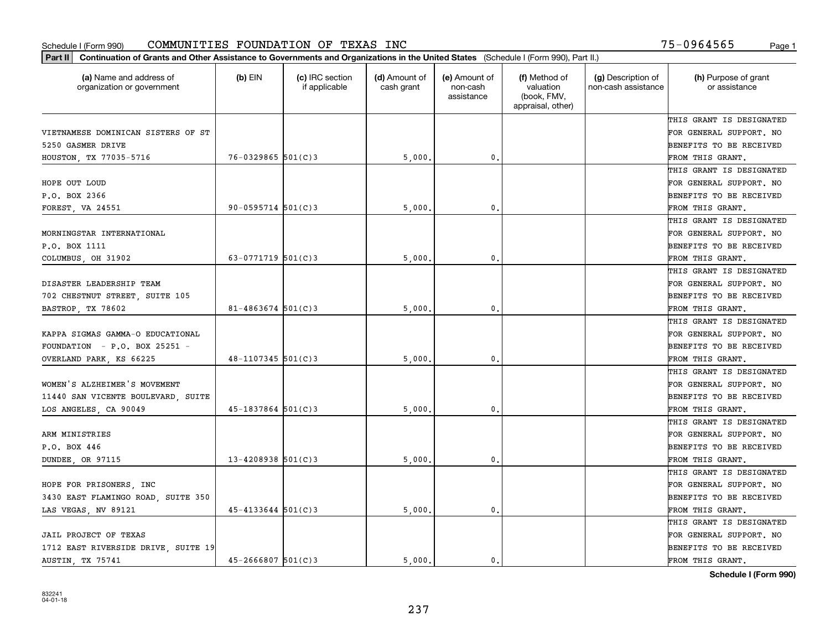| (a) Name and address of<br>organization or government | $(b)$ EIN              | (c) IRC section<br>if applicable | (d) Amount of<br>cash grant | (e) Amount of<br>non-cash<br>assistance | (f) Method of<br>valuation<br>(book, FMV,<br>appraisal, other) | (g) Description of<br>non-cash assistance | (h) Purpose of grant<br>or assistance |
|-------------------------------------------------------|------------------------|----------------------------------|-----------------------------|-----------------------------------------|----------------------------------------------------------------|-------------------------------------------|---------------------------------------|
|                                                       |                        |                                  |                             |                                         |                                                                |                                           | THIS GRANT IS DESIGNATED              |
| VIETNAMESE DOMINICAN SISTERS OF ST                    |                        |                                  |                             |                                         |                                                                |                                           | FOR GENERAL SUPPORT. NO               |
| 5250 GASMER DRIVE                                     |                        |                                  |                             |                                         |                                                                |                                           | BENEFITS TO BE RECEIVED               |
| HOUSTON, TX 77035-5716                                | $76 - 0329865$ 501(C)3 |                                  | 5,000                       | 0.                                      |                                                                |                                           | FROM THIS GRANT.                      |
|                                                       |                        |                                  |                             |                                         |                                                                |                                           | THIS GRANT IS DESIGNATED              |
| HOPE OUT LOUD                                         |                        |                                  |                             |                                         |                                                                |                                           | FOR GENERAL SUPPORT. NO               |
| P.O. BOX 2366                                         |                        |                                  |                             |                                         |                                                                |                                           | BENEFITS TO BE RECEIVED               |
| <b>FOREST, VA 24551</b>                               | $90 - 0595714$ 501(C)3 |                                  | 5,000                       | 0.                                      |                                                                |                                           | FROM THIS GRANT.                      |
|                                                       |                        |                                  |                             |                                         |                                                                |                                           | THIS GRANT IS DESIGNATED              |
| MORNINGSTAR INTERNATIONAL                             |                        |                                  |                             |                                         |                                                                |                                           | FOR GENERAL SUPPORT. NO               |
| P.O. BOX 1111                                         |                        |                                  |                             |                                         |                                                                |                                           | BENEFITS TO BE RECEIVED               |
| COLUMBUS, OH 31902                                    | 63-0771719 $501(C)$ 3  |                                  | 5,000                       | 0.                                      |                                                                |                                           | FROM THIS GRANT.                      |
|                                                       |                        |                                  |                             |                                         |                                                                |                                           | THIS GRANT IS DESIGNATED              |
| DISASTER LEADERSHIP TEAM                              |                        |                                  |                             |                                         |                                                                |                                           | FOR GENERAL SUPPORT. NO               |
| 702 CHESTNUT STREET, SUITE 105                        |                        |                                  |                             |                                         |                                                                |                                           | BENEFITS TO BE RECEIVED               |
| BASTROP, TX 78602                                     | $81 - 4863674$ 501(C)3 |                                  | 5,000                       | 0.                                      |                                                                |                                           | FROM THIS GRANT.                      |
|                                                       |                        |                                  |                             |                                         |                                                                |                                           | THIS GRANT IS DESIGNATED              |
| KAPPA SIGMAS GAMMA-O EDUCATIONAL                      |                        |                                  |                             |                                         |                                                                |                                           | FOR GENERAL SUPPORT. NO               |
| FOUNDATION - P.O. BOX 25251 -                         |                        |                                  |                             |                                         |                                                                |                                           | BENEFITS TO BE RECEIVED               |
| OVERLAND PARK, KS 66225                               | $48 - 1107345$ 501(C)3 |                                  | 5,000                       | 0.                                      |                                                                |                                           | FROM THIS GRANT.                      |
|                                                       |                        |                                  |                             |                                         |                                                                |                                           | THIS GRANT IS DESIGNATED              |
| WOMEN'S ALZHEIMER'S MOVEMENT                          |                        |                                  |                             |                                         |                                                                |                                           | FOR GENERAL SUPPORT. NO               |
| 11440 SAN VICENTE BOULEVARD, SUITE                    |                        |                                  |                             |                                         |                                                                |                                           | BENEFITS TO BE RECEIVED               |
| LOS ANGELES, CA 90049                                 | $45 - 1837864$ 501(C)3 |                                  | 5,000                       | 0.                                      |                                                                |                                           | FROM THIS GRANT.                      |
|                                                       |                        |                                  |                             |                                         |                                                                |                                           | THIS GRANT IS DESIGNATED              |
| ARM MINISTRIES                                        |                        |                                  |                             |                                         |                                                                |                                           | FOR GENERAL SUPPORT. NO               |
| P.O. BOX 446                                          |                        |                                  |                             |                                         |                                                                |                                           | BENEFITS TO BE RECEIVED               |
| DUNDEE, OR 97115                                      | $13 - 4208938$ 501(C)3 |                                  | 5,000                       | $\mathbf{0}$ .                          |                                                                |                                           | FROM THIS GRANT.                      |
|                                                       |                        |                                  |                             |                                         |                                                                |                                           | THIS GRANT IS DESIGNATED              |
| HOPE FOR PRISONERS, INC                               |                        |                                  |                             |                                         |                                                                |                                           | FOR GENERAL SUPPORT. NO               |
| 3430 EAST FLAMINGO ROAD, SUITE 350                    |                        |                                  |                             |                                         |                                                                |                                           | BENEFITS TO BE RECEIVED               |
| LAS VEGAS, NV 89121                                   | $45 - 4133644$ 501(C)3 |                                  | 5,000                       | 0.                                      |                                                                |                                           | FROM THIS GRANT.                      |
|                                                       |                        |                                  |                             |                                         |                                                                |                                           | THIS GRANT IS DESIGNATED              |
| JAIL PROJECT OF TEXAS                                 |                        |                                  |                             |                                         |                                                                |                                           | FOR GENERAL SUPPORT. NO               |
| 1712 EAST RIVERSIDE DRIVE, SUITE 19                   |                        |                                  |                             |                                         |                                                                |                                           | BENEFITS TO BE RECEIVED               |
| AUSTIN, TX 75741                                      | $45 - 2666807$ 501(C)3 |                                  | 5,000.                      | 0.                                      |                                                                |                                           | FROM THIS GRANT.                      |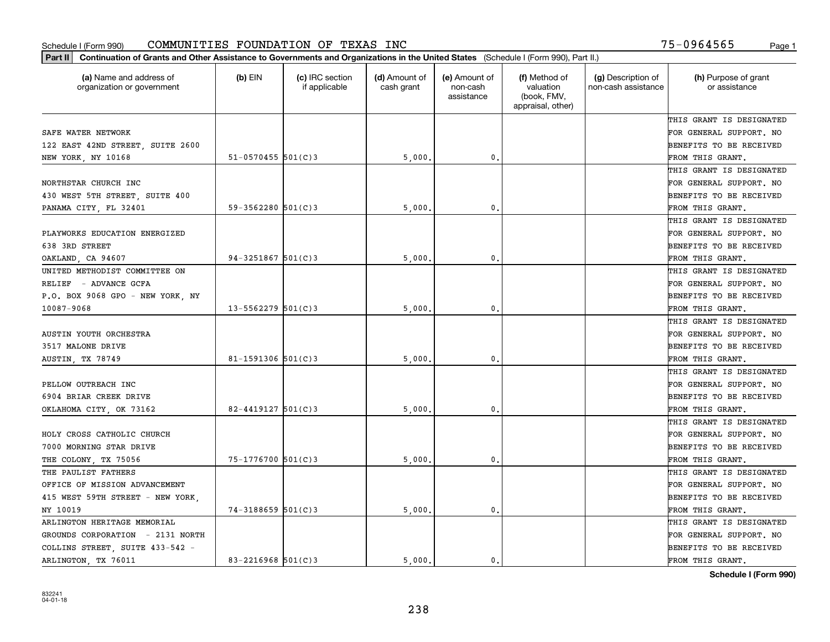| Part II   Continuation of Grants and Other Assistance to Governments and Organizations in the United States (Schedule I (Form 990), Part II.) |                          |                                  |                             |                                         |                                                                |                                           |                                       |
|-----------------------------------------------------------------------------------------------------------------------------------------------|--------------------------|----------------------------------|-----------------------------|-----------------------------------------|----------------------------------------------------------------|-------------------------------------------|---------------------------------------|
| (a) Name and address of<br>organization or government                                                                                         | $(b)$ EIN                | (c) IRC section<br>if applicable | (d) Amount of<br>cash grant | (e) Amount of<br>non-cash<br>assistance | (f) Method of<br>valuation<br>(book, FMV,<br>appraisal, other) | (g) Description of<br>non-cash assistance | (h) Purpose of grant<br>or assistance |
|                                                                                                                                               |                          |                                  |                             |                                         |                                                                |                                           | THIS GRANT IS DESIGNATED              |
| SAFE WATER NETWORK                                                                                                                            |                          |                                  |                             |                                         |                                                                |                                           | FOR GENERAL SUPPORT. NO               |
| 122 EAST 42ND STREET, SUITE 2600                                                                                                              |                          |                                  |                             |                                         |                                                                |                                           | BENEFITS TO BE RECEIVED               |
| NEW YORK, NY 10168                                                                                                                            | $51 - 0570455$ 501(C)3   |                                  | 5,000.                      | 0.                                      |                                                                |                                           | FROM THIS GRANT.                      |
|                                                                                                                                               |                          |                                  |                             |                                         |                                                                |                                           | THIS GRANT IS DESIGNATED              |
| NORTHSTAR CHURCH INC                                                                                                                          |                          |                                  |                             |                                         |                                                                |                                           | FOR GENERAL SUPPORT. NO               |
| 430 WEST 5TH STREET, SUITE 400                                                                                                                |                          |                                  |                             |                                         |                                                                |                                           | BENEFITS TO BE RECEIVED               |
| PANAMA CITY, FL 32401                                                                                                                         | $59 - 3562280$ $501(C)3$ |                                  | 5,000                       | 0.                                      |                                                                |                                           | FROM THIS GRANT.                      |
|                                                                                                                                               |                          |                                  |                             |                                         |                                                                |                                           | THIS GRANT IS DESIGNATED              |
| PLAYWORKS EDUCATION ENERGIZED                                                                                                                 |                          |                                  |                             |                                         |                                                                |                                           | FOR GENERAL SUPPORT. NO               |
| 638 3RD STREET                                                                                                                                |                          |                                  |                             |                                         |                                                                |                                           | BENEFITS TO BE RECEIVED               |
| OAKLAND, CA 94607                                                                                                                             | $94 - 3251867$ 501(C) 3  |                                  | 5,000                       | 0.                                      |                                                                |                                           | FROM THIS GRANT.                      |
| UNITED METHODIST COMMITTEE ON                                                                                                                 |                          |                                  |                             |                                         |                                                                |                                           | THIS GRANT IS DESIGNATED              |
| RELIEF - ADVANCE GCFA                                                                                                                         |                          |                                  |                             |                                         |                                                                |                                           | FOR GENERAL SUPPORT. NO               |
| P.O. BOX 9068 GPO - NEW YORK, NY                                                                                                              |                          |                                  |                             |                                         |                                                                |                                           | <b>BENEFITS TO BE RECEIVED</b>        |
| 10087-9068                                                                                                                                    | $13 - 5562279$ 501(C)3   |                                  | 5,000                       | 0.                                      |                                                                |                                           | FROM THIS GRANT.                      |
|                                                                                                                                               |                          |                                  |                             |                                         |                                                                |                                           | THIS GRANT IS DESIGNATED              |
| AUSTIN YOUTH ORCHESTRA                                                                                                                        |                          |                                  |                             |                                         |                                                                |                                           | FOR GENERAL SUPPORT. NO               |
| 3517 MALONE DRIVE                                                                                                                             |                          |                                  |                             |                                         |                                                                |                                           | BENEFITS TO BE RECEIVED               |
| AUSTIN, TX 78749                                                                                                                              | $81 - 1591306$ 501(C)3   |                                  | 5,000                       | 0.                                      |                                                                |                                           | FROM THIS GRANT.                      |
|                                                                                                                                               |                          |                                  |                             |                                         |                                                                |                                           | THIS GRANT IS DESIGNATED              |
| PELLOW OUTREACH INC                                                                                                                           |                          |                                  |                             |                                         |                                                                |                                           | FOR GENERAL SUPPORT. NO               |
| 6904 BRIAR CREEK DRIVE                                                                                                                        |                          |                                  |                             |                                         |                                                                |                                           | BENEFITS TO BE RECEIVED               |
| OKLAHOMA CITY, OK 73162                                                                                                                       | $82 - 4419127$ 501(C)3   |                                  | 5,000                       | 0.                                      |                                                                |                                           | FROM THIS GRANT.                      |
|                                                                                                                                               |                          |                                  |                             |                                         |                                                                |                                           | THIS GRANT IS DESIGNATED              |
| HOLY CROSS CATHOLIC CHURCH                                                                                                                    |                          |                                  |                             |                                         |                                                                |                                           | FOR GENERAL SUPPORT. NO               |
| 7000 MORNING STAR DRIVE                                                                                                                       |                          |                                  |                             |                                         |                                                                |                                           | <b>BENEFITS TO BE RECEIVED</b>        |
| THE COLONY, TX 75056                                                                                                                          | 75-1776700 501(C)3       |                                  | 5,000                       | 0.                                      |                                                                |                                           | FROM THIS GRANT.                      |
| THE PAULIST FATHERS                                                                                                                           |                          |                                  |                             |                                         |                                                                |                                           | THIS GRANT IS DESIGNATED              |
| OFFICE OF MISSION ADVANCEMENT                                                                                                                 |                          |                                  |                             |                                         |                                                                |                                           | FOR GENERAL SUPPORT. NO               |
| 415 WEST 59TH STREET - NEW YORK,                                                                                                              |                          |                                  |                             |                                         |                                                                |                                           | BENEFITS TO BE RECEIVED               |
| NY 10019                                                                                                                                      | $74 - 3188659$ 501(C)3   |                                  | 5,000                       | $\mathbf 0$ .                           |                                                                |                                           | FROM THIS GRANT.                      |
| ARLINGTON HERITAGE MEMORIAL                                                                                                                   |                          |                                  |                             |                                         |                                                                |                                           | THIS GRANT IS DESIGNATED              |
| GROUNDS CORPORATION - 2131 NORTH                                                                                                              |                          |                                  |                             |                                         |                                                                |                                           | FOR GENERAL SUPPORT. NO               |
| COLLINS STREET, SUITE 433-542 -                                                                                                               |                          |                                  |                             |                                         |                                                                |                                           | <b>BENEFITS TO BE RECEIVED</b>        |
| ARLINGTON, TX 76011                                                                                                                           | 83-2216968 501(C)3       |                                  | 5.000.                      | 0.                                      |                                                                |                                           | FROM THIS GRANT.                      |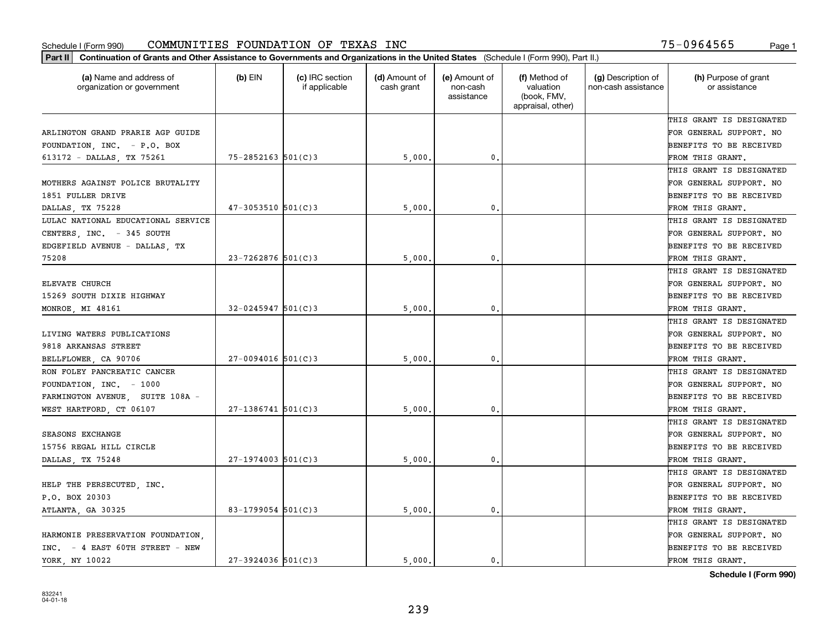| Part II   Continuation of Grants and Other Assistance to Governments and Organizations in the United States (Schedule I (Form 990), Part II.) |                         |                                  |                             |                                         |                                                                |                                           |                                       |
|-----------------------------------------------------------------------------------------------------------------------------------------------|-------------------------|----------------------------------|-----------------------------|-----------------------------------------|----------------------------------------------------------------|-------------------------------------------|---------------------------------------|
| (a) Name and address of<br>organization or government                                                                                         | $(b)$ EIN               | (c) IRC section<br>if applicable | (d) Amount of<br>cash grant | (e) Amount of<br>non-cash<br>assistance | (f) Method of<br>valuation<br>(book, FMV,<br>appraisal, other) | (g) Description of<br>non-cash assistance | (h) Purpose of grant<br>or assistance |
|                                                                                                                                               |                         |                                  |                             |                                         |                                                                |                                           | THIS GRANT IS DESIGNATED              |
| ARLINGTON GRAND PRARIE AGP GUIDE                                                                                                              |                         |                                  |                             |                                         |                                                                |                                           | FOR GENERAL SUPPORT. NO               |
| FOUNDATION, INC. - P.O. BOX                                                                                                                   |                         |                                  |                             |                                         |                                                                |                                           | BENEFITS TO BE RECEIVED               |
| 613172 - DALLAS, TX 75261                                                                                                                     | $75 - 2852163$ 501(C)3  |                                  | 5,000.                      | 0.                                      |                                                                |                                           | FROM THIS GRANT.                      |
|                                                                                                                                               |                         |                                  |                             |                                         |                                                                |                                           | THIS GRANT IS DESIGNATED              |
| MOTHERS AGAINST POLICE BRUTALITY                                                                                                              |                         |                                  |                             |                                         |                                                                |                                           | FOR GENERAL SUPPORT. NO               |
| 1851 FULLER DRIVE                                                                                                                             |                         |                                  |                             |                                         |                                                                |                                           | BENEFITS TO BE RECEIVED               |
| DALLAS TX 75228                                                                                                                               | $47 - 3053510$ 501(C)3  |                                  | 5,000                       | $\mathbf{0}$                            |                                                                |                                           | FROM THIS GRANT.                      |
| LULAC NATIONAL EDUCATIONAL SERVICE                                                                                                            |                         |                                  |                             |                                         |                                                                |                                           | THIS GRANT IS DESIGNATED              |
| CENTERS, INC. - 345 SOUTH                                                                                                                     |                         |                                  |                             |                                         |                                                                |                                           | FOR GENERAL SUPPORT. NO               |
| EDGEFIELD AVENUE - DALLAS, TX                                                                                                                 |                         |                                  |                             |                                         |                                                                |                                           | BENEFITS TO BE RECEIVED               |
| 75208                                                                                                                                         | $23 - 7262876$ 501(C)3  |                                  | 5,000                       | $\mathfrak{o}$ .                        |                                                                |                                           | FROM THIS GRANT.                      |
|                                                                                                                                               |                         |                                  |                             |                                         |                                                                |                                           | THIS GRANT IS DESIGNATED              |
| ELEVATE CHURCH                                                                                                                                |                         |                                  |                             |                                         |                                                                |                                           | FOR GENERAL SUPPORT. NO               |
| 15269 SOUTH DIXIE HIGHWAY                                                                                                                     |                         |                                  |                             |                                         |                                                                |                                           | <b>BENEFITS TO BE RECEIVED</b>        |
| MONROE, MI 48161                                                                                                                              | $32 - 0245947$ 501(C) 3 |                                  | 5,000                       | $\mathbf 0$ .                           |                                                                |                                           | FROM THIS GRANT.                      |
|                                                                                                                                               |                         |                                  |                             |                                         |                                                                |                                           | THIS GRANT IS DESIGNATED              |
| LIVING WATERS PUBLICATIONS                                                                                                                    |                         |                                  |                             |                                         |                                                                |                                           | FOR GENERAL SUPPORT. NO               |
| 9818 ARKANSAS STREET                                                                                                                          |                         |                                  |                             |                                         |                                                                |                                           | BENEFITS TO BE RECEIVED               |
| BELLFLOWER, CA 90706                                                                                                                          | $27-0094016$ 501(C)3    |                                  | 5,000                       | $\mathbf{0}$                            |                                                                |                                           | FROM THIS GRANT.                      |
| RON FOLEY PANCREATIC CANCER                                                                                                                   |                         |                                  |                             |                                         |                                                                |                                           | THIS GRANT IS DESIGNATED              |
| FOUNDATION, INC. - 1000                                                                                                                       |                         |                                  |                             |                                         |                                                                |                                           | FOR GENERAL SUPPORT. NO               |
| FARMINGTON AVENUE, SUITE 108A -                                                                                                               |                         |                                  |                             |                                         |                                                                |                                           | BENEFITS TO BE RECEIVED               |
| WEST HARTFORD, CT 06107                                                                                                                       | $27 - 1386741$ 501(C)3  |                                  | 5,000                       | 0.                                      |                                                                |                                           | FROM THIS GRANT.                      |
|                                                                                                                                               |                         |                                  |                             |                                         |                                                                |                                           | THIS GRANT IS DESIGNATED              |
| SEASONS EXCHANGE                                                                                                                              |                         |                                  |                             |                                         |                                                                |                                           | FOR GENERAL SUPPORT. NO               |
| 15756 REGAL HILL CIRCLE                                                                                                                       |                         |                                  |                             |                                         |                                                                |                                           | BENEFITS TO BE RECEIVED               |
| DALLAS, TX 75248                                                                                                                              | $27-1974003$ 501(C)3    |                                  | 5,000                       | $\mathbf{0}$ .                          |                                                                |                                           | FROM THIS GRANT.                      |
|                                                                                                                                               |                         |                                  |                             |                                         |                                                                |                                           | THIS GRANT IS DESIGNATED              |
| HELP THE PERSECUTED, INC.                                                                                                                     |                         |                                  |                             |                                         |                                                                |                                           | FOR GENERAL SUPPORT. NO               |
| P.O. BOX 20303                                                                                                                                |                         |                                  |                             |                                         |                                                                |                                           | BENEFITS TO BE RECEIVED               |
| ATLANTA, GA 30325                                                                                                                             | 83-1799054 $501(C)$ 3   |                                  | 5,000.                      | $\mathbf{0}$ .                          |                                                                |                                           | FROM THIS GRANT.                      |
|                                                                                                                                               |                         |                                  |                             |                                         |                                                                |                                           | THIS GRANT IS DESIGNATED              |
| HARMONIE PRESERVATION FOUNDATION.                                                                                                             |                         |                                  |                             |                                         |                                                                |                                           | FOR GENERAL SUPPORT. NO               |
| INC. - 4 EAST 60TH STREET - NEW                                                                                                               |                         |                                  |                             |                                         |                                                                |                                           | <b>BENEFITS TO BE RECEIVED</b>        |
| YORK, NY 10022                                                                                                                                | $27 - 3924036$ 501(C)3  |                                  | 5000.                       | $\mathbf{0}$ .                          |                                                                |                                           | FROM THIS GRANT.                      |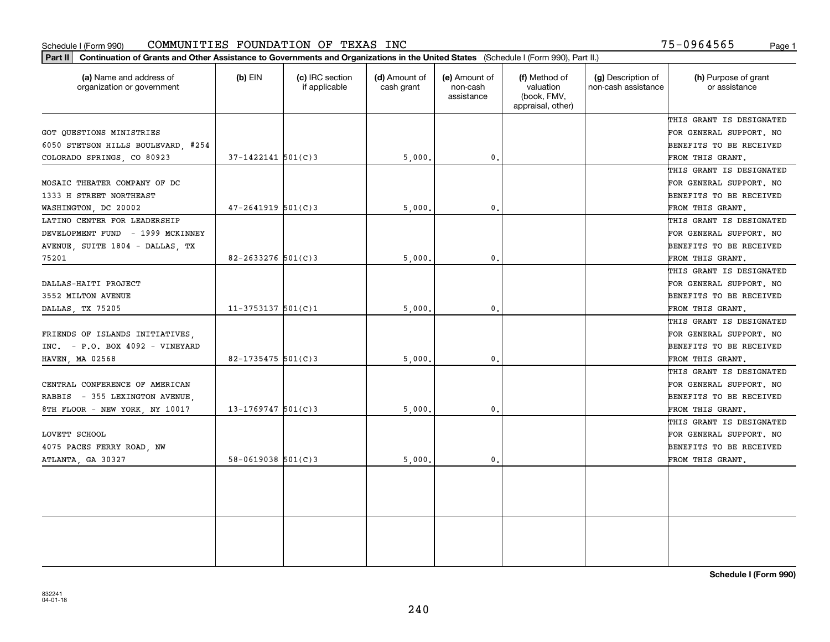#### Schedule I (Form 990) Page 1 COMMUNITIES FOUNDATION OF TEXAS INC

75-0964565

| (a) Name and address of<br>organization or government | $(b)$ EIN              | (c) IRC section<br>if applicable | (d) Amount of<br>cash grant | (e) Amount of<br>non-cash<br>assistance | (f) Method of<br>valuation<br>(book, FMV,<br>appraisal, other) | (g) Description of<br>non-cash assistance | (h) Purpose of grant<br>or assistance |
|-------------------------------------------------------|------------------------|----------------------------------|-----------------------------|-----------------------------------------|----------------------------------------------------------------|-------------------------------------------|---------------------------------------|
|                                                       |                        |                                  |                             |                                         |                                                                |                                           | THIS GRANT IS DESIGNATED              |
| GOT QUESTIONS MINISTRIES                              |                        |                                  |                             |                                         |                                                                |                                           | FOR GENERAL SUPPORT. NO               |
| 6050 STETSON HILLS BOULEVARD #254                     |                        |                                  |                             |                                         |                                                                |                                           | BENEFITS TO BE RECEIVED               |
| COLORADO SPRINGS, CO 80923                            | $37-1422141$ $501(C)3$ |                                  | 5,000                       | 0.                                      |                                                                |                                           | FROM THIS GRANT.                      |
|                                                       |                        |                                  |                             |                                         |                                                                |                                           | THIS GRANT IS DESIGNATED              |
| MOSAIC THEATER COMPANY OF DC                          |                        |                                  |                             |                                         |                                                                |                                           | FOR GENERAL SUPPORT. NO               |
| 1333 H STREET NORTHEAST                               |                        |                                  |                             |                                         |                                                                |                                           | BENEFITS TO BE RECEIVED               |
| WASHINGTON, DC 20002                                  | $47 - 2641919$ 501(C)3 |                                  | 5,000                       | $\mathbf{0}$ .                          |                                                                |                                           | FROM THIS GRANT.                      |
| LATINO CENTER FOR LEADERSHIP                          |                        |                                  |                             |                                         |                                                                |                                           | THIS GRANT IS DESIGNATED              |
| DEVELOPMENT FUND - 1999 MCKINNEY                      |                        |                                  |                             |                                         |                                                                |                                           | FOR GENERAL SUPPORT. NO               |
| AVENUE, SUITE 1804 - DALLAS, TX                       |                        |                                  |                             |                                         |                                                                |                                           | BENEFITS TO BE RECEIVED               |
| 75201                                                 | $82 - 2633276$ 501(C)3 |                                  | 5,000,                      | $\mathbf{0}$ .                          |                                                                |                                           | FROM THIS GRANT.                      |
|                                                       |                        |                                  |                             |                                         |                                                                |                                           | THIS GRANT IS DESIGNATED              |
| DALLAS-HAITI PROJECT                                  |                        |                                  |                             |                                         |                                                                |                                           | FOR GENERAL SUPPORT. NO               |
| 3552 MILTON AVENUE                                    |                        |                                  |                             |                                         |                                                                |                                           | BENEFITS TO BE RECEIVED               |
| DALLAS, TX 75205                                      | $11-3753137$ 501(C)1   |                                  | 5,000                       | $\mathfrak{o}$ .                        |                                                                |                                           | FROM THIS GRANT.                      |
|                                                       |                        |                                  |                             |                                         |                                                                |                                           | THIS GRANT IS DESIGNATED              |
| FRIENDS OF ISLANDS INITIATIVES,                       |                        |                                  |                             |                                         |                                                                |                                           | FOR GENERAL SUPPORT. NO               |
| $INC. = P.O. BOX 4092 - VINEYARD$                     |                        |                                  |                             |                                         |                                                                |                                           | BENEFITS TO BE RECEIVED               |
| HAVEN, MA 02568                                       | 82-1735475 $501(C)3$   |                                  | 5,000                       | $\mathbf{0}$ .                          |                                                                |                                           | FROM THIS GRANT.                      |
|                                                       |                        |                                  |                             |                                         |                                                                |                                           | THIS GRANT IS DESIGNATED              |
| CENTRAL CONFERENCE OF AMERICAN                        |                        |                                  |                             |                                         |                                                                |                                           | FOR GENERAL SUPPORT. NO               |
| RABBIS - 355 LEXINGTON AVENUE                         |                        |                                  |                             |                                         |                                                                |                                           | BENEFITS TO BE RECEIVED               |
| 8TH FLOOR - NEW YORK, NY 10017                        | $13 - 1769747$ 501(C)3 |                                  | 5,000                       | $\mathbf{0}$ .                          |                                                                |                                           | FROM THIS GRANT.                      |
|                                                       |                        |                                  |                             |                                         |                                                                |                                           | THIS GRANT IS DESIGNATED              |
| LOVETT SCHOOL                                         |                        |                                  |                             |                                         |                                                                |                                           | FOR GENERAL SUPPORT. NO               |
| 4075 PACES FERRY ROAD, NW                             |                        |                                  |                             |                                         |                                                                |                                           | BENEFITS TO BE RECEIVED               |
| ATLANTA, GA 30327                                     | $58-0619038$ $501(C)3$ |                                  | 5,000.                      | $\mathbf{0}$ .                          |                                                                |                                           | FROM THIS GRANT.                      |
|                                                       |                        |                                  |                             |                                         |                                                                |                                           |                                       |
|                                                       |                        |                                  |                             |                                         |                                                                |                                           |                                       |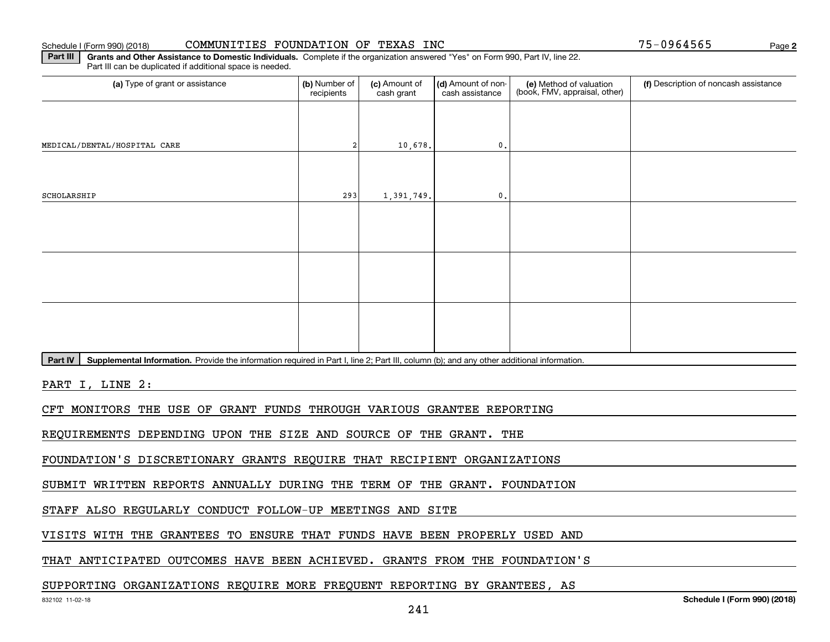#### Schedule I (Form 990) (2018) CO**MMUNITIES FOUNDATION OF TEXAS INC** Page

**2**

**Part III** | Grants and Other Assistance to Domestic Individuals. Complete if the organization answered "Yes" on Form 990, Part IV, line 22. Part III can be duplicated if additional space is needed.

| (a) Type of grant or assistance                                                                                                                      | (b) Number of<br>recipients | (c) Amount of<br>cash grant | (d) Amount of non-<br>cash assistance | (e) Method of valuation<br>(book, FMV, appraisal, other) | (f) Description of noncash assistance |
|------------------------------------------------------------------------------------------------------------------------------------------------------|-----------------------------|-----------------------------|---------------------------------------|----------------------------------------------------------|---------------------------------------|
|                                                                                                                                                      |                             |                             |                                       |                                                          |                                       |
| MEDICAL/DENTAL/HOSPITAL CARE                                                                                                                         |                             | 10,678.                     | $\mathbf{0}$ .                        |                                                          |                                       |
|                                                                                                                                                      |                             |                             |                                       |                                                          |                                       |
| SCHOLARSHIP                                                                                                                                          | 293                         | 1,391,749.                  | $\mathbf 0$ .                         |                                                          |                                       |
|                                                                                                                                                      |                             |                             |                                       |                                                          |                                       |
|                                                                                                                                                      |                             |                             |                                       |                                                          |                                       |
|                                                                                                                                                      |                             |                             |                                       |                                                          |                                       |
|                                                                                                                                                      |                             |                             |                                       |                                                          |                                       |
|                                                                                                                                                      |                             |                             |                                       |                                                          |                                       |
|                                                                                                                                                      |                             |                             |                                       |                                                          |                                       |
| Supplemental Information. Provide the information required in Part I, line 2; Part III, column (b); and any other additional information.<br>Part IV |                             |                             |                                       |                                                          |                                       |
| PART I, LINE 2:                                                                                                                                      |                             |                             |                                       |                                                          |                                       |
|                                                                                                                                                      |                             |                             |                                       |                                                          |                                       |

CFT MONITORS THE USE OF GRANT FUNDS THROUGH VARIOUS GRANTEE REPORTING

REQUIREMENTS DEPENDING UPON THE SIZE AND SOURCE OF THE GRANT. THE

FOUNDATION'S DISCRETIONARY GRANTS REQUIRE THAT RECIPIENT ORGANIZATIONS

SUBMIT WRITTEN REPORTS ANNUALLY DURING THE TERM OF THE GRANT. FOUNDATION

STAFF ALSO REGULARLY CONDUCT FOLLOW-UP MEETINGS AND SITE

VISITS WITH THE GRANTEES TO ENSURE THAT FUNDS HAVE BEEN PROPERLY USED AND

THAT ANTICIPATED OUTCOMES HAVE BEEN ACHIEVED. GRANTS FROM THE FOUNDATION'S

SUPPORTING ORGANIZATIONS REQUIRE MORE FREQUENT REPORTING BY GRANTEES, AS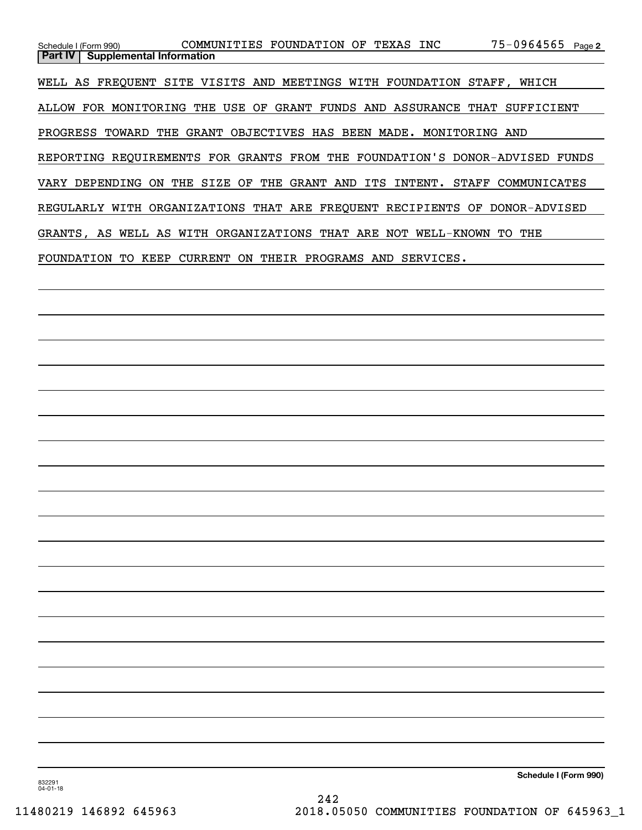| Schedule I (Form 990)                                                       | COMMUNITIES FOUNDATION OF TEXAS INC                |                |     |           | 75-0964565 Page 2  |  |
|-----------------------------------------------------------------------------|----------------------------------------------------|----------------|-----|-----------|--------------------|--|
| Part IV<br><b>Supplemental Information</b>                                  |                                                    |                |     |           |                    |  |
| WELL AS FREOUENT SITE VISITS AND MEETINGS WITH FOUNDATION STAFF, WHICH      |                                                    |                |     |           |                    |  |
|                                                                             |                                                    |                |     |           |                    |  |
| ALLOW FOR MONITORING THE USE OF GRANT FUNDS AND ASSURANCE THAT SUFFICIENT   |                                                    |                |     |           |                    |  |
| PROGRESS TOWARD                                                             | THE GRANT OBJECTIVES HAS BEEN MADE. MONITORING AND |                |     |           |                    |  |
|                                                                             |                                                    |                |     |           |                    |  |
| REPORTING REQUIREMENTS FOR GRANTS FROM THE FOUNDATION'S DONOR-ADVISED FUNDS |                                                    |                |     |           |                    |  |
| ON<br>VARY DEPENDING                                                        | THE SIZE OF THE GRANT AND ITS INTENT.              |                |     |           | STAFF COMMUNICATES |  |
| REGULARLY WITH ORGANIZATIONS THAT ARE FREQUENT RECIPIENTS OF                |                                                    |                |     |           | DONOR-ADVISED      |  |
| GRANTS, AS WELL AS WITH ORGANIZATIONS THAT ARE NOT WELL-KNOWN               |                                                    |                |     |           | THE<br>TO.         |  |
| FOUNDATION<br>TO.<br>KEEP                                                   | CURRENT<br>ON.                                     | THEIR PROGRAMS | AND | SERVICES. |                    |  |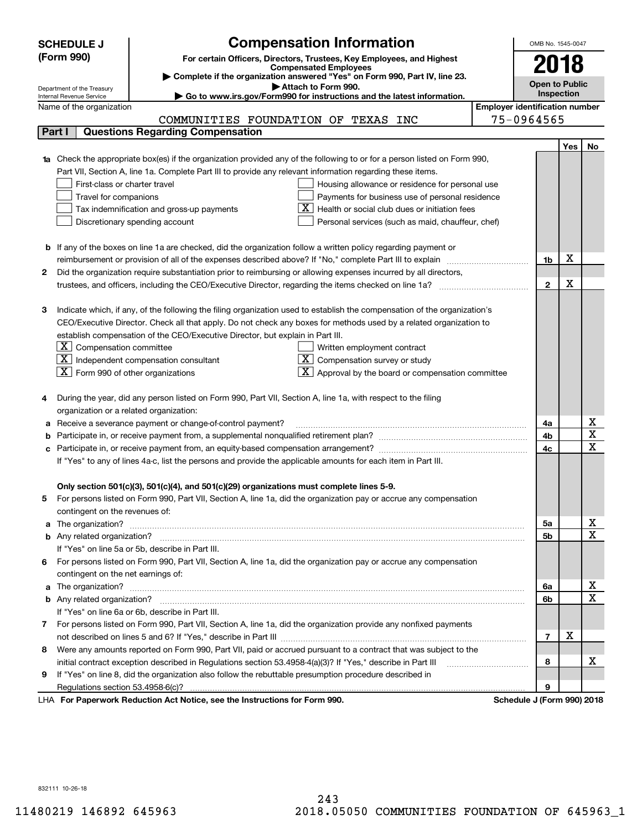|    | <b>SCHEDULE J</b>                                    | <b>Compensation Information</b>                                                                                                                                                                                                    |                                       | OMB No. 1545-0047     |            |                         |
|----|------------------------------------------------------|------------------------------------------------------------------------------------------------------------------------------------------------------------------------------------------------------------------------------------|---------------------------------------|-----------------------|------------|-------------------------|
|    | (Form 990)                                           | For certain Officers, Directors, Trustees, Key Employees, and Highest                                                                                                                                                              |                                       | 2018                  |            |                         |
|    |                                                      | <b>Compensated Employees</b>                                                                                                                                                                                                       |                                       |                       |            |                         |
|    | Department of the Treasury                           | Complete if the organization answered "Yes" on Form 990, Part IV, line 23.<br>Attach to Form 990.                                                                                                                                  |                                       | <b>Open to Public</b> |            |                         |
|    | Internal Revenue Service                             | Go to www.irs.gov/Form990 for instructions and the latest information.                                                                                                                                                             |                                       |                       | Inspection |                         |
|    | Name of the organization                             |                                                                                                                                                                                                                                    | <b>Employer identification number</b> |                       |            |                         |
|    |                                                      | COMMUNITIES FOUNDATION OF TEXAS INC                                                                                                                                                                                                |                                       | 75-0964565            |            |                         |
|    | Part I                                               | <b>Questions Regarding Compensation</b>                                                                                                                                                                                            |                                       |                       |            |                         |
|    |                                                      |                                                                                                                                                                                                                                    |                                       |                       | <b>Yes</b> | No                      |
|    |                                                      | <b>1a</b> Check the appropriate box(es) if the organization provided any of the following to or for a person listed on Form 990,                                                                                                   |                                       |                       |            |                         |
|    |                                                      | Part VII, Section A, line 1a. Complete Part III to provide any relevant information regarding these items.                                                                                                                         |                                       |                       |            |                         |
|    | First-class or charter travel                        | Housing allowance or residence for personal use                                                                                                                                                                                    |                                       |                       |            |                         |
|    | Travel for companions                                | Payments for business use of personal residence                                                                                                                                                                                    |                                       |                       |            |                         |
|    |                                                      | Health or social club dues or initiation fees<br>Tax indemnification and gross-up payments                                                                                                                                         |                                       |                       |            |                         |
|    |                                                      | Discretionary spending account<br>Personal services (such as maid, chauffeur, chef)                                                                                                                                                |                                       |                       |            |                         |
|    |                                                      |                                                                                                                                                                                                                                    |                                       |                       |            |                         |
|    |                                                      | <b>b</b> If any of the boxes on line 1a are checked, did the organization follow a written policy regarding payment or<br>reimbursement or provision of all of the expenses described above? If "No," complete Part III to explain |                                       | 1b                    | х          |                         |
| 2  |                                                      | Did the organization require substantiation prior to reimbursing or allowing expenses incurred by all directors,                                                                                                                   |                                       |                       |            |                         |
|    |                                                      |                                                                                                                                                                                                                                    |                                       | $\mathbf{2}$          | X          |                         |
|    |                                                      |                                                                                                                                                                                                                                    |                                       |                       |            |                         |
| з  |                                                      | Indicate which, if any, of the following the filing organization used to establish the compensation of the organization's                                                                                                          |                                       |                       |            |                         |
|    |                                                      | CEO/Executive Director. Check all that apply. Do not check any boxes for methods used by a related organization to                                                                                                                 |                                       |                       |            |                         |
|    |                                                      | establish compensation of the CEO/Executive Director, but explain in Part III.                                                                                                                                                     |                                       |                       |            |                         |
|    | $\boxed{\textbf{X}}$ Compensation committee          | Written employment contract                                                                                                                                                                                                        |                                       |                       |            |                         |
|    |                                                      | $ \mathbf{X} $ Independent compensation consultant<br>Compensation survey or study                                                                                                                                                 |                                       |                       |            |                         |
|    | $\boxed{\textbf{X}}$ Form 990 of other organizations | Approval by the board or compensation committee                                                                                                                                                                                    |                                       |                       |            |                         |
|    |                                                      |                                                                                                                                                                                                                                    |                                       |                       |            |                         |
|    |                                                      | During the year, did any person listed on Form 990, Part VII, Section A, line 1a, with respect to the filing                                                                                                                       |                                       |                       |            |                         |
|    | organization or a related organization:              |                                                                                                                                                                                                                                    |                                       |                       |            |                         |
|    |                                                      | Receive a severance payment or change-of-control payment?                                                                                                                                                                          |                                       | 4a                    |            | x                       |
|    |                                                      |                                                                                                                                                                                                                                    |                                       | 4b                    |            | $\overline{\text{x}}$   |
|    |                                                      |                                                                                                                                                                                                                                    |                                       | 4c                    |            | $\overline{\text{x}}$   |
|    |                                                      | If "Yes" to any of lines 4a-c, list the persons and provide the applicable amounts for each item in Part III.                                                                                                                      |                                       |                       |            |                         |
|    |                                                      |                                                                                                                                                                                                                                    |                                       |                       |            |                         |
|    |                                                      | Only section 501(c)(3), 501(c)(4), and 501(c)(29) organizations must complete lines 5-9.                                                                                                                                           |                                       |                       |            |                         |
| 5. |                                                      | For persons listed on Form 990, Part VII, Section A, line 1a, did the organization pay or accrue any compensation                                                                                                                  |                                       |                       |            |                         |
|    | contingent on the revenues of:                       |                                                                                                                                                                                                                                    |                                       | 5a                    |            | <u>x</u>                |
|    |                                                      | a The organization? <b>Manual Community Community</b> Community Community Community Community Community Community Community                                                                                                        |                                       | 5b                    |            | $\overline{\mathbf{x}}$ |
|    |                                                      | If "Yes" on line 5a or 5b, describe in Part III.                                                                                                                                                                                   |                                       |                       |            |                         |
| 6. |                                                      | For persons listed on Form 990, Part VII, Section A, line 1a, did the organization pay or accrue any compensation                                                                                                                  |                                       |                       |            |                         |
|    | contingent on the net earnings of:                   |                                                                                                                                                                                                                                    |                                       |                       |            |                         |
|    |                                                      |                                                                                                                                                                                                                                    |                                       | 6a                    |            | x                       |
|    |                                                      |                                                                                                                                                                                                                                    |                                       | 6b                    |            | $\overline{\mathbf{x}}$ |
|    |                                                      | If "Yes" on line 6a or 6b, describe in Part III.                                                                                                                                                                                   |                                       |                       |            |                         |
|    |                                                      | 7 For persons listed on Form 990, Part VII, Section A, line 1a, did the organization provide any nonfixed payments                                                                                                                 |                                       |                       |            |                         |
|    |                                                      |                                                                                                                                                                                                                                    |                                       | $\overline{7}$        | х          |                         |
| 8  |                                                      | Were any amounts reported on Form 990, Part VII, paid or accrued pursuant to a contract that was subject to the                                                                                                                    |                                       |                       |            |                         |
|    |                                                      |                                                                                                                                                                                                                                    |                                       | 8                     |            | х                       |
| 9  |                                                      | If "Yes" on line 8, did the organization also follow the rebuttable presumption procedure described in                                                                                                                             |                                       |                       |            |                         |
|    |                                                      |                                                                                                                                                                                                                                    |                                       | 9                     |            |                         |
|    |                                                      | Bediretion Ast Notice, and the Instructions for Form 000                                                                                                                                                                           |                                       | $\overline{10}$       |            |                         |

LHA For Paperwork Reduction Act Notice, see the Instructions for Form 990. Schedule J (Form 990) 2018

832111 10-26-18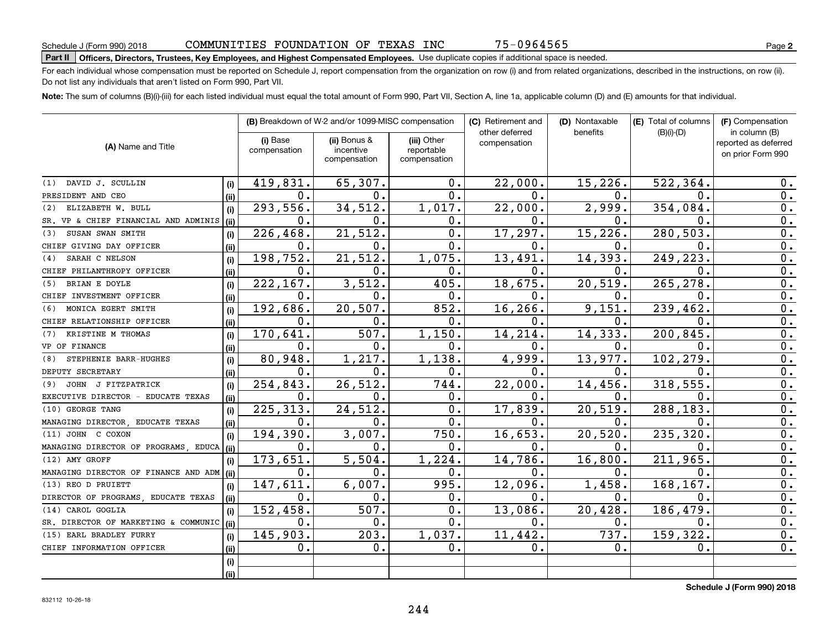# **Part II Officers, Directors, Trustees, Key Employees, and Highest Compensated Employees.**  Schedule J (Form 990) 2018 Page Use duplicate copies if additional space is needed.

For each individual whose compensation must be reported on Schedule J, report compensation from the organization on row (i) and from related organizations, described in the instructions, on row (ii). Do not list any individuals that aren't listed on Form 990, Part VII.

**Note:**  The sum of columns (B)(i)-(iii) for each listed individual must equal the total amount of Form 990, Part VII, Section A, line 1a, applicable column (D) and (E) amounts for that individual.

|                                      |       |                          | (B) Breakdown of W-2 and/or 1099-MISC compensation |                                           | (C) Retirement and             | (D) Nontaxable | (E) Total of columns | (F) Compensation                                           |
|--------------------------------------|-------|--------------------------|----------------------------------------------------|-------------------------------------------|--------------------------------|----------------|----------------------|------------------------------------------------------------|
| (A) Name and Title                   |       | (i) Base<br>compensation | (ii) Bonus &<br>incentive<br>compensation          | (iii) Other<br>reportable<br>compensation | other deferred<br>compensation | benefits       | $(B)(i)-(D)$         | in column (B)<br>reported as deferred<br>on prior Form 990 |
| DAVID J. SCULLIN<br>(1)              | (i)   | 419,831.                 | 65,307.                                            | 0.                                        | 22,000.                        | 15,226.        | 522,364.             | 0.                                                         |
| PRESIDENT AND CEO                    | (ii)  | $\mathbf 0$ .            | 0.                                                 | 0.                                        | $\Omega$ .                     | О.             | Ω.                   | 0.                                                         |
| ELIZABETH W. BULL<br>(2)             | (i)   | 293,556.                 | 34,512.                                            | 1,017.                                    | 22,000.                        | 2,999.         | 354,084              | 0.                                                         |
| SR. VP & CHIEF FINANCIAL AND ADMINIS | (ii)  | 0.                       | 0.                                                 | 0.                                        | $\mathbf 0$ .                  | 0.             | 0.                   | 0.                                                         |
| SUSAN SWAN SMITH<br>(3)              | (i)   | 226,468.                 | 21,512.                                            | 0.                                        | 17,297.                        | 15,226.        | 280,503              | 0.                                                         |
| CHIEF GIVING DAY OFFICER             | (ii)  | 0.                       | О.                                                 | 0.                                        | $\mathbf 0$ .                  | 0.             | 0.                   | 0.                                                         |
| SARAH C NELSON<br>(4)                | (i)   | 198,752.                 | 21,512.                                            | 1,075.                                    | 13,491.                        | 14,393.        | 249, 223             | 0.                                                         |
| CHIEF PHILANTHROPY OFFICER           | (ii)  | $0$ .                    | о.                                                 | 0.                                        | $\mathbf 0$ .                  | 0.             | 0.                   | 0.                                                         |
| BRIAN E DOYLE<br>(5)                 | (i)   | 222,167.                 | 3,512.                                             | 405.                                      | 18,675.                        | 20,519.        | 265,278              | $\overline{0}$ .                                           |
| CHIEF INVESTMENT OFFICER             | (ii)  | $0$ .                    | 0.                                                 | $0$ .                                     | $\mathbf 0$ .                  | 0.             | 0.                   | $\overline{0}$ .                                           |
| MONICA EGERT SMITH<br>(6)            | (i)   | 192, 686.                | 20, 507.                                           | 852.                                      | 16,266.                        | 9,151.         | 239, 462.            | $\overline{0}$ .                                           |
| CHIEF RELATIONSHIP OFFICER           | (ii)  | 0.                       | О.                                                 | 0.                                        | 0.                             | О.             | 0.                   | 0.                                                         |
| KRISTINE M THOMAS<br>(7)             | (i)   | 170,641.                 | 507.                                               | 1,150.                                    | 14,214.                        | 14, 333.       | 200,845              | 0.                                                         |
| VP OF FINANCE                        | (ii)  | 0.                       | 0.                                                 | $0$ .                                     | 0.                             | 0.             | 0.                   | 0.                                                         |
| STEPHENIE BARR-HUGHES<br>(8)         | (i)   | 80,948.                  | 1,217.                                             | 1,138.                                    | 4,999.                         | 13,977.        | 102,279              | 0.                                                         |
| DEPUTY SECRETARY                     | (ii)  | 0.                       | о.                                                 | 0.                                        | 0.                             | 0.             | $\mathbf 0$ .        | 0.                                                         |
| JOHN J FITZPATRICK<br>(9)            | (i)   | 254,843.                 | 26,512.                                            | 744.                                      | 22,000.                        | 14, 456.       | 318,555              | 0.                                                         |
| EXECUTIVE DIRECTOR - EDUCATE TEXAS   | (ii)  | 0.                       | О.                                                 | 0.                                        | 0.                             | 0.             | 0.                   | 0.                                                         |
| (10) GEORGE TANG                     | (i)   | 225, 313.                | 24,512.                                            | 0.                                        | 17,839.                        | 20,519.        | 288,183              | 0.                                                         |
| MANAGING DIRECTOR EDUCATE TEXAS      | (ii)  | 0.                       | 0.                                                 | 0.                                        | 0.                             | 0.             | 0.                   | 0.                                                         |
| (11) JOHN C COXON                    | (i)   | 194,390.                 | 3,007.                                             | 750                                       | 16,653.                        | 20,520.        | 235,320              | 0.                                                         |
| MANAGING DIRECTOR OF PROGRAMS, EDUCA | (iii) | 0.                       | о.                                                 | 0.                                        | $\mathbf 0$ .                  | О.             | 0.                   | 0.                                                         |
| (12) AMY GROFF                       | (i)   | 173,651.                 | 5,504                                              | 1,224.                                    | 14,786.                        | 16,800.        | 211,965              | 0.                                                         |
| MANAGING DIRECTOR OF FINANCE AND ADM | (iii) | 0.                       | о.                                                 | 0.                                        | 0.                             | О.             | 0.                   | 0.                                                         |
| (13) REO D PRUIETT                   | (i)   | 147,611.                 | 6,007.                                             | 995.                                      | 12,096.                        | 1,458.         | 168, 167.            | 0.                                                         |
| DIRECTOR OF PROGRAMS, EDUCATE TEXAS  | (ii)  | 0.                       | О.                                                 | 0.                                        | Ο.                             | О.             | 0.                   | 0.                                                         |
| (14) CAROL GOGLIA                    | (i)   | 152,458.                 | 507.                                               | $\overline{0}$ .                          | 13,086.                        | 20,428.        | 186,479              | 0.                                                         |
| SR. DIRECTOR OF MARKETING & COMMUNIC | (ii)  | $0$ .                    | $\mathbf 0$ .                                      | $\overline{0}$ .                          | $\mathbf 0$ .                  | 0.             | $\mathbf 0$ .        | 0.                                                         |
| (15) EARL BRADLEY FURRY              | (i)   | 145,903.                 | 203.                                               | 1,037.                                    | 11,442.                        | 737.           | 159,322              | 0.                                                         |
| CHIEF INFORMATION OFFICER            | (ii)  | 0.                       | $\mathbf 0$ .                                      | 0.                                        | 0.                             | 0.             | 0.                   | 0.                                                         |
|                                      | (i)   |                          |                                                    |                                           |                                |                |                      |                                                            |
|                                      | (ii)  |                          |                                                    |                                           |                                |                |                      |                                                            |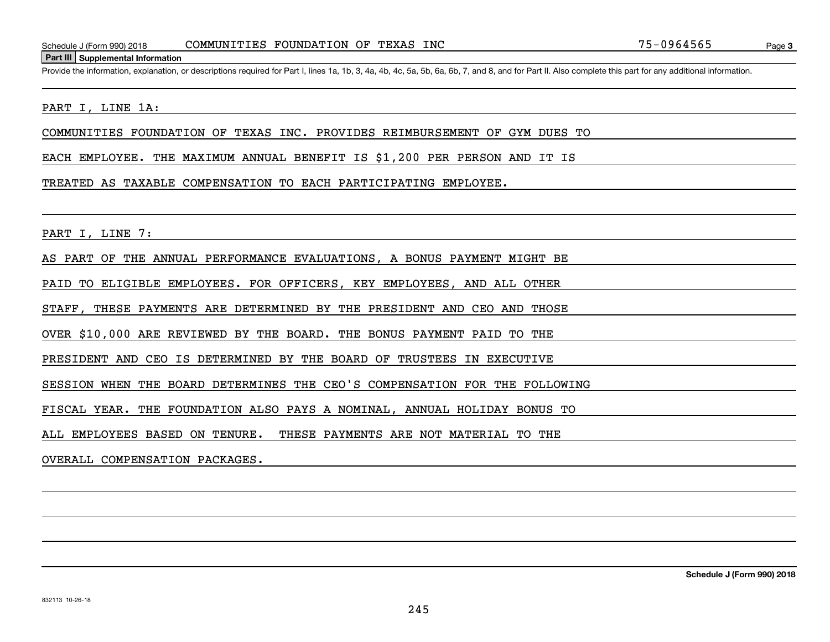#### **Part III Supplemental Information**

Schedule J (Form 990) 2018 COMMUNITIES FOUNDATION OF TEXAS INC 75-0964565<br>Part III Supplemental Information<br>Provide the information, explanation, or descriptions required for Part I, lines 1a, 1b, 3, 4a, 4b, 4c, 5a, 5b, 6a

#### PART I, LINE 1A:

COMMUNITIES FOUNDATION OF TEXAS INC. PROVIDES REIMBURSEMENT OF GYM DUES TO

EACH EMPLOYEE. THE MAXIMUM ANNUAL BENEFIT IS \$1,200 PER PERSON AND IT IS

#### TREATED AS TAXABLE COMPENSATION TO EACH PARTICIPATING EMPLOYEE.

PART I, LINE 7:

AS PART OF THE ANNUAL PERFORMANCE EVALUATIONS, A BONUS PAYMENT MIGHT BE

PAID TO ELIGIBLE EMPLOYEES. FOR OFFICERS, KEY EMPLOYEES, AND ALL OTHER

STAFF, THESE PAYMENTS ARE DETERMINED BY THE PRESIDENT AND CEO AND THOSE

OVER \$10,000 ARE REVIEWED BY THE BOARD. THE BONUS PAYMENT PAID TO THE

PRESIDENT AND CEO IS DETERMINED BY THE BOARD OF TRUSTEES IN EXECUTIVE

SESSION WHEN THE BOARD DETERMINES THE CEO'S COMPENSATION FOR THE FOLLOWING

FISCAL YEAR. THE FOUNDATION ALSO PAYS A NOMINAL, ANNUAL HOLIDAY BONUS TO

ALL EMPLOYEES BASED ON TENURE. THESE PAYMENTS ARE NOT MATERIAL TO THE

OVERALL COMPENSATION PACKAGES.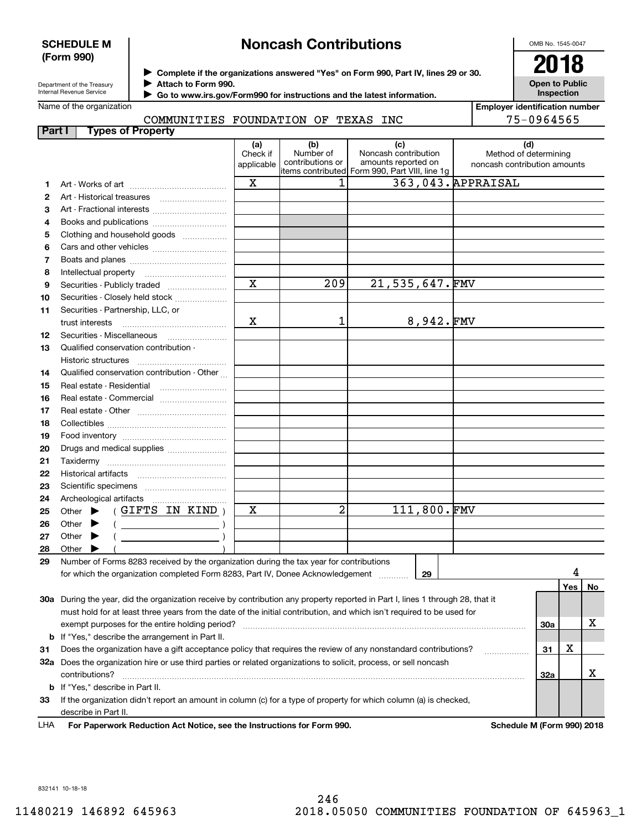### **SCHEDULE M (Form 990)**

# **Noncash Contributions**

OMB No. 1545-0047

**Open to Public Inspection**

| Department of the Treasury      |  |
|---------------------------------|--|
| <b>Internal Revenue Service</b> |  |

**Complete if the organizations answered "Yes" on Form 990, Part IV, lines 29 or 30.** <sup>J</sup>**2018**

**Attach to Form 990.** J

 **Go to www.irs.gov/Form990 for instructions and the latest information.** J

|  | Name of the organization |
|--|--------------------------|
|--|--------------------------|

**Employer identification number** 75-0964565

| COMMUNITIES FOUNDATION OF TEXAS INC |  |  |  |
|-------------------------------------|--|--|--|
|                                     |  |  |  |

| Part I |       | <b>Types of Property</b>                                                                                                       |             |                               |                                                |              |                              |     |     |    |
|--------|-------|--------------------------------------------------------------------------------------------------------------------------------|-------------|-------------------------------|------------------------------------------------|--------------|------------------------------|-----|-----|----|
|        |       |                                                                                                                                | (a)         | (b)                           | (c)                                            |              | (d)                          |     |     |    |
|        |       |                                                                                                                                | Check if    | Number of<br>contributions or | Noncash contribution<br>amounts reported on    |              | Method of determining        |     |     |    |
|        |       |                                                                                                                                | applicable  |                               | items contributed Form 990, Part VIII, line 1g |              | noncash contribution amounts |     |     |    |
| 1      |       |                                                                                                                                | X           | 1                             |                                                |              | 363,043. APPRAISAL           |     |     |    |
| 2      |       |                                                                                                                                |             |                               |                                                |              |                              |     |     |    |
| 3      |       | Art - Fractional interests                                                                                                     |             |                               |                                                |              |                              |     |     |    |
| 4      |       | Books and publications                                                                                                         |             |                               |                                                |              |                              |     |     |    |
| 5      |       | Clothing and household goods                                                                                                   |             |                               |                                                |              |                              |     |     |    |
| 6      |       |                                                                                                                                |             |                               |                                                |              |                              |     |     |    |
| 7      |       |                                                                                                                                |             |                               |                                                |              |                              |     |     |    |
| 8      |       | Intellectual property                                                                                                          |             |                               |                                                |              |                              |     |     |    |
| 9      |       | Securities - Publicly traded                                                                                                   | $\mathbf x$ | 209                           | $21,535,647$ . FMV                             |              |                              |     |     |    |
| 10     |       | Securities - Closely held stock                                                                                                |             |                               |                                                |              |                              |     |     |    |
| 11     |       | Securities - Partnership, LLC, or                                                                                              |             |                               |                                                |              |                              |     |     |    |
|        |       | trust interests                                                                                                                | x           | 1                             |                                                | $8,942.$ FMV |                              |     |     |    |
| 12     |       | Securities - Miscellaneous                                                                                                     |             |                               |                                                |              |                              |     |     |    |
| 13     |       | Qualified conservation contribution -                                                                                          |             |                               |                                                |              |                              |     |     |    |
|        |       | Historic structures                                                                                                            |             |                               |                                                |              |                              |     |     |    |
| 14     |       | Qualified conservation contribution - Other                                                                                    |             |                               |                                                |              |                              |     |     |    |
| 15     |       |                                                                                                                                |             |                               |                                                |              |                              |     |     |    |
|        |       | Real estate - Residential<br>Real estate - Commercial                                                                          |             |                               |                                                |              |                              |     |     |    |
| 16     |       |                                                                                                                                |             |                               |                                                |              |                              |     |     |    |
| 17     |       |                                                                                                                                |             |                               |                                                |              |                              |     |     |    |
| 18     |       |                                                                                                                                |             |                               |                                                |              |                              |     |     |    |
| 19     |       |                                                                                                                                |             |                               |                                                |              |                              |     |     |    |
| 20     |       | Drugs and medical supplies                                                                                                     |             |                               |                                                |              |                              |     |     |    |
| 21     |       | Taxidermy                                                                                                                      |             |                               |                                                |              |                              |     |     |    |
| 22     |       |                                                                                                                                |             |                               |                                                |              |                              |     |     |    |
| 23     |       |                                                                                                                                |             |                               |                                                |              |                              |     |     |    |
| 24     |       |                                                                                                                                |             | $\overline{2}$                |                                                | 111,800.FMV  |                              |     |     |    |
| 25     |       | (GIFTS IN KIND)<br>Other $\blacktriangleright$                                                                                 | x           |                               |                                                |              |                              |     |     |    |
| 26     |       | Other $\blacktriangleright$<br>$\left(\begin{array}{ccc}\n&\quad&\quad&\n\end{array}\right)$                                   |             |                               |                                                |              |                              |     |     |    |
| 27     |       | Other $\blacktriangleright$<br><u> 1990 - Johann Barn, mars ann an t-Sa</u>                                                    |             |                               |                                                |              |                              |     |     |    |
| 28     | Other |                                                                                                                                |             |                               |                                                |              |                              |     |     |    |
| 29     |       | Number of Forms 8283 received by the organization during the tax year for contributions                                        |             |                               |                                                |              |                              |     |     |    |
|        |       | for which the organization completed Form 8283, Part IV, Donee Acknowledgement                                                 |             |                               |                                                | 29           |                              |     |     |    |
|        |       |                                                                                                                                |             |                               |                                                |              |                              |     | Yes | No |
|        |       | 30a During the year, did the organization receive by contribution any property reported in Part I, lines 1 through 28, that it |             |                               |                                                |              |                              |     |     |    |
|        |       | must hold for at least three years from the date of the initial contribution, and which isn't required to be used for          |             |                               |                                                |              |                              |     |     | х  |
|        |       | exempt purposes for the entire holding period?                                                                                 |             |                               |                                                |              |                              | 30a |     |    |
|        |       | <b>b</b> If "Yes," describe the arrangement in Part II.                                                                        |             |                               |                                                |              |                              |     | х   |    |
| 31     |       | Does the organization have a gift acceptance policy that requires the review of any nonstandard contributions?                 |             |                               |                                                |              |                              | 31  |     |    |
|        |       | 32a Does the organization hire or use third parties or related organizations to solicit, process, or sell noncash              |             |                               |                                                |              |                              |     |     | х  |
|        |       | contributions?                                                                                                                 |             |                               |                                                |              |                              | 32a |     |    |
|        |       | <b>b</b> If "Yes," describe in Part II.                                                                                        |             |                               |                                                |              |                              |     |     |    |
| 33     |       | If the organization didn't report an amount in column (c) for a type of property for which column (a) is checked,              |             |                               |                                                |              |                              |     |     |    |
|        |       | describe in Part II.                                                                                                           |             |                               |                                                |              |                              |     |     |    |
| LHA    |       | For Paperwork Reduction Act Notice, see the Instructions for Form 990.                                                         |             |                               |                                                |              | Schedule M (Form 990) 2018   |     |     |    |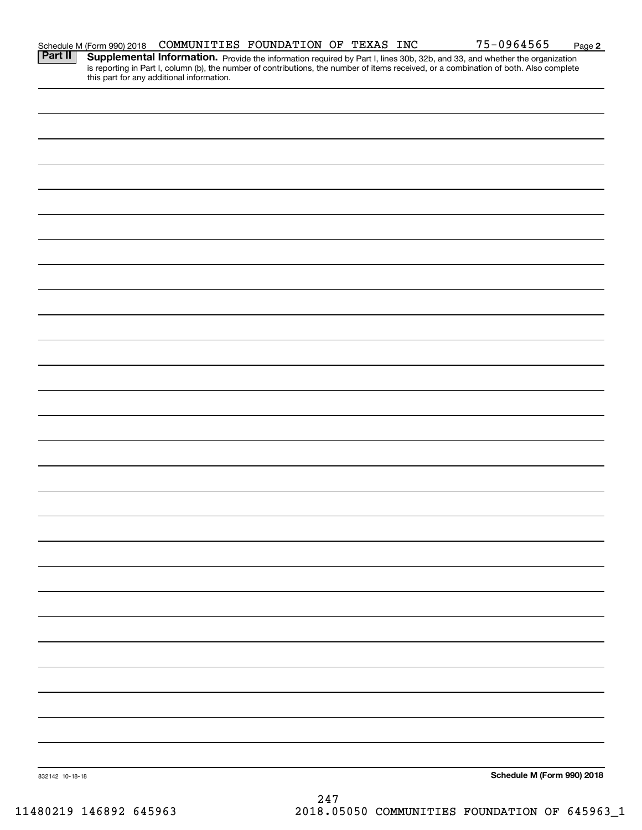|                 | Schedule M (Form 990) 2018 | COMMUNITIES FOUNDATION OF TEXAS INC                                                                                                                                                                                                                                                                               |  |  |  | 75-0964565 | Page 2                     |
|-----------------|----------------------------|-------------------------------------------------------------------------------------------------------------------------------------------------------------------------------------------------------------------------------------------------------------------------------------------------------------------|--|--|--|------------|----------------------------|
| <b>Part II</b>  |                            | Supplemental Information. Provide the information required by Part I, lines 30b, 32b, and 33, and whether the organization<br>is reporting in Part I, column (b), the number of contributions, the number of items received, or a combination of both. Also complete<br>this part for any additional information. |  |  |  |            |                            |
|                 |                            |                                                                                                                                                                                                                                                                                                                   |  |  |  |            |                            |
|                 |                            |                                                                                                                                                                                                                                                                                                                   |  |  |  |            |                            |
|                 |                            |                                                                                                                                                                                                                                                                                                                   |  |  |  |            |                            |
|                 |                            |                                                                                                                                                                                                                                                                                                                   |  |  |  |            |                            |
|                 |                            |                                                                                                                                                                                                                                                                                                                   |  |  |  |            |                            |
|                 |                            |                                                                                                                                                                                                                                                                                                                   |  |  |  |            |                            |
|                 |                            |                                                                                                                                                                                                                                                                                                                   |  |  |  |            |                            |
|                 |                            |                                                                                                                                                                                                                                                                                                                   |  |  |  |            |                            |
|                 |                            |                                                                                                                                                                                                                                                                                                                   |  |  |  |            |                            |
|                 |                            |                                                                                                                                                                                                                                                                                                                   |  |  |  |            |                            |
|                 |                            |                                                                                                                                                                                                                                                                                                                   |  |  |  |            |                            |
|                 |                            |                                                                                                                                                                                                                                                                                                                   |  |  |  |            |                            |
|                 |                            |                                                                                                                                                                                                                                                                                                                   |  |  |  |            |                            |
|                 |                            |                                                                                                                                                                                                                                                                                                                   |  |  |  |            |                            |
|                 |                            |                                                                                                                                                                                                                                                                                                                   |  |  |  |            |                            |
|                 |                            |                                                                                                                                                                                                                                                                                                                   |  |  |  |            |                            |
|                 |                            |                                                                                                                                                                                                                                                                                                                   |  |  |  |            |                            |
|                 |                            |                                                                                                                                                                                                                                                                                                                   |  |  |  |            |                            |
|                 |                            |                                                                                                                                                                                                                                                                                                                   |  |  |  |            |                            |
|                 |                            |                                                                                                                                                                                                                                                                                                                   |  |  |  |            |                            |
|                 |                            |                                                                                                                                                                                                                                                                                                                   |  |  |  |            |                            |
|                 |                            |                                                                                                                                                                                                                                                                                                                   |  |  |  |            |                            |
|                 |                            |                                                                                                                                                                                                                                                                                                                   |  |  |  |            |                            |
|                 |                            |                                                                                                                                                                                                                                                                                                                   |  |  |  |            |                            |
|                 |                            |                                                                                                                                                                                                                                                                                                                   |  |  |  |            |                            |
|                 |                            |                                                                                                                                                                                                                                                                                                                   |  |  |  |            |                            |
|                 |                            |                                                                                                                                                                                                                                                                                                                   |  |  |  |            |                            |
|                 |                            |                                                                                                                                                                                                                                                                                                                   |  |  |  |            |                            |
|                 |                            |                                                                                                                                                                                                                                                                                                                   |  |  |  |            |                            |
| 832142 10-18-18 |                            |                                                                                                                                                                                                                                                                                                                   |  |  |  |            | Schedule M (Form 990) 2018 |
|                 |                            |                                                                                                                                                                                                                                                                                                                   |  |  |  |            |                            |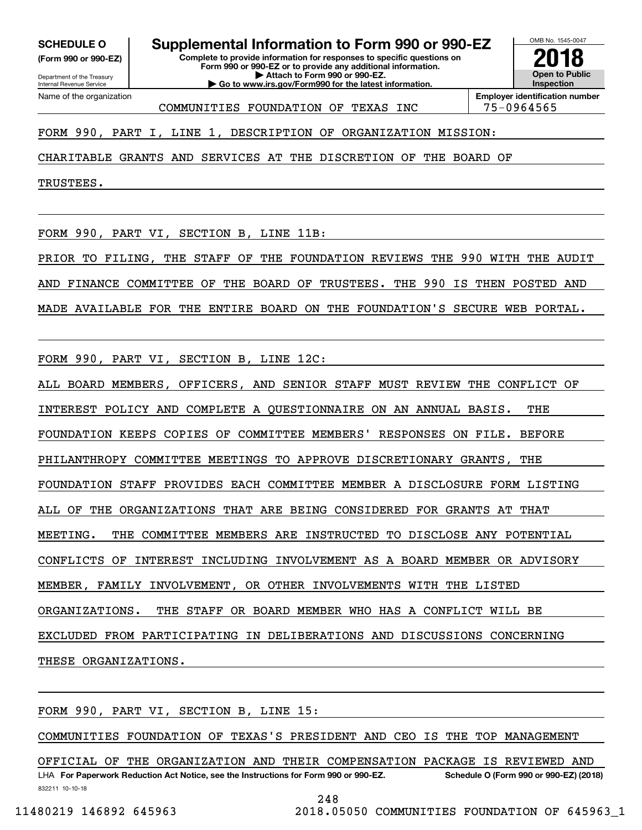**(Form 990 or 990-EZ)**

Department of the Treasury Internal Revenue Service Name of the organization

**Complete to provide information for responses to specific questions on Form 990 or 990-EZ or to provide any additional information. SCHEDULE O Supplemental Information to Form 990 or 990-EZ**

OMB No. 1545-0047 **Open to Public Inspection2018**

**| Go to www.irs.gov/Form990 for the latest information.** COMMUNITIES FOUNDATION OF TEXAS INC 75-0964565

**| Attach to Form 990 or 990-EZ.**

**Employer identification number**

FORM 990, PART I, LINE 1, DESCRIPTION OF ORGANIZATION MISSION:

CHARITABLE GRANTS AND SERVICES AT THE DISCRETION OF THE BOARD OF

TRUSTEES.

FORM 990, PART VI, SECTION B, LINE 11B:

PRIOR TO FILING, THE STAFF OF THE FOUNDATION REVIEWS THE 990 WITH THE AUDIT AND FINANCE COMMITTEE OF THE BOARD OF TRUSTEES. THE 990 IS THEN POSTED AND MADE AVAILABLE FOR THE ENTIRE BOARD ON THE FOUNDATION'S SECURE WEB PORTAL.

FORM 990, PART VI, SECTION B, LINE 12C:

ALL BOARD MEMBERS, OFFICERS, AND SENIOR STAFF MUST REVIEW THE CONFLICT OF INTEREST POLICY AND COMPLETE A QUESTIONNAIRE ON AN ANNUAL BASIS. THE FOUNDATION KEEPS COPIES OF COMMITTEE MEMBERS' RESPONSES ON FILE. BEFORE PHILANTHROPY COMMITTEE MEETINGS TO APPROVE DISCRETIONARY GRANTS, THE FOUNDATION STAFF PROVIDES EACH COMMITTEE MEMBER A DISCLOSURE FORM LISTING ALL OF THE ORGANIZATIONS THAT ARE BEING CONSIDERED FOR GRANTS AT THAT MEETING. THE COMMITTEE MEMBERS ARE INSTRUCTED TO DISCLOSE ANY POTENTIAL CONFLICTS OF INTEREST INCLUDING INVOLVEMENT AS A BOARD MEMBER OR ADVISORY MEMBER, FAMILY INVOLVEMENT, OR OTHER INVOLVEMENTS WITH THE LISTED ORGANIZATIONS. THE STAFF OR BOARD MEMBER WHO HAS A CONFLICT WILL BE EXCLUDED FROM PARTICIPATING IN DELIBERATIONS AND DISCUSSIONS CONCERNING THESE ORGANIZATIONS.

FORM 990, PART VI, SECTION B, LINE 15:

COMMUNITIES FOUNDATION OF TEXAS'S PRESIDENT AND CEO IS THE TOP MANAGEMENT

832211 10-10-18 LHA For Paperwork Reduction Act Notice, see the Instructions for Form 990 or 990-EZ. Schedule O (Form 990 or 990-EZ) (2018) OFFICIAL OF THE ORGANIZATION AND THEIR COMPENSATION PACKAGE IS REVIEWED AND

248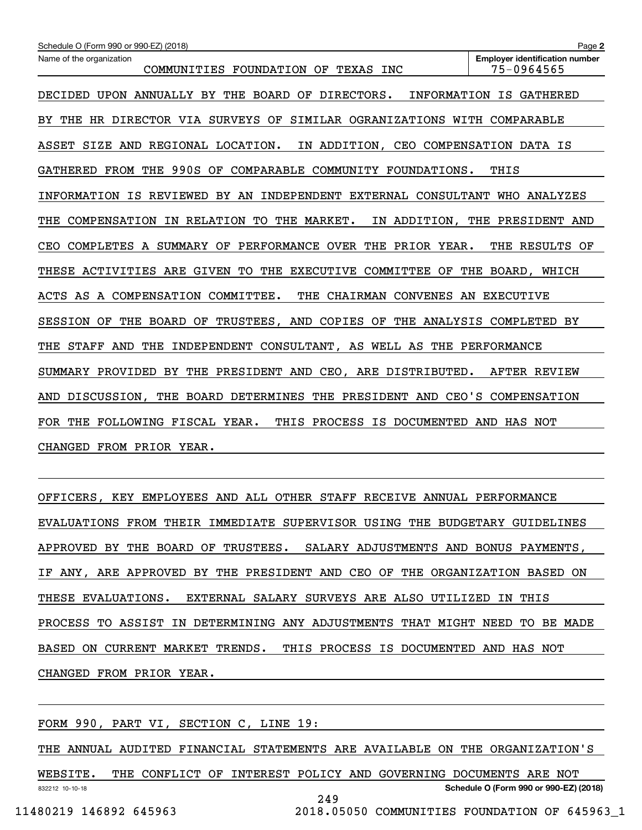| Schedule O (Form 990 or 990-EZ) (2018)                                             | Page 2                                                              |  |  |  |  |  |  |  |
|------------------------------------------------------------------------------------|---------------------------------------------------------------------|--|--|--|--|--|--|--|
| Name of the organization<br>COMMUNITIES FOUNDATION OF<br>TEXAS INC                 | <b>Employer identification number</b><br>75-0964565                 |  |  |  |  |  |  |  |
| DECIDED UPON ANNUALLY BY THE BOARD OF DIRECTORS.                                   | INFORMATION IS GATHERED                                             |  |  |  |  |  |  |  |
| THE HR DIRECTOR VIA SURVEYS OF<br>SIMILAR OGRANIZATIONS WITH COMPARABLE<br>BY.     |                                                                     |  |  |  |  |  |  |  |
| ASSET SIZE AND<br>REGIONAL LOCATION.<br>IN ADDITION, CEO COMPENSATION DATA IS      |                                                                     |  |  |  |  |  |  |  |
|                                                                                    | GATHERED FROM THE 990S OF COMPARABLE COMMUNITY FOUNDATIONS.<br>THIS |  |  |  |  |  |  |  |
| INFORMATION IS REVIEWED BY AN INDEPENDENT EXTERNAL CONSULTANT WHO ANALYZES         |                                                                     |  |  |  |  |  |  |  |
| THE MARKET.<br>COMPENSATION<br>IN RELATION TO<br>THE                               | IN ADDITION, THE PRESIDENT AND                                      |  |  |  |  |  |  |  |
| COMPLETES A SUMMARY OF PERFORMANCE OVER THE PRIOR YEAR.<br>CEO                     | THE RESULTS OF                                                      |  |  |  |  |  |  |  |
| THESE ACTIVITIES ARE GIVEN TO THE EXECUTIVE COMMITTEE OF                           | THE BOARD, WHICH                                                    |  |  |  |  |  |  |  |
| ACTS AS A COMPENSATION COMMITTEE.<br>CHAIRMAN CONVENES AN EXECUTIVE<br>THE         |                                                                     |  |  |  |  |  |  |  |
| THE BOARD<br>TRUSTEES, AND<br>COPIES OF<br>SESSION OF<br>OF                        | THE ANALYSIS COMPLETED BY                                           |  |  |  |  |  |  |  |
| THE<br>THE<br>STAFF<br>AND<br>INDEPENDENT CONSULTANT, AS WELL AS THE PERFORMANCE   |                                                                     |  |  |  |  |  |  |  |
| SUMMARY PROVIDED BY THE PRESIDENT AND CEO, ARE DISTRIBUTED.                        | AFTER REVIEW                                                        |  |  |  |  |  |  |  |
| THE PRESIDENT AND CEO'S COMPENSATION<br>THE BOARD DETERMINES<br>DISCUSSION,<br>AND |                                                                     |  |  |  |  |  |  |  |
| FOLLOWING FISCAL YEAR.<br>THIS PROCESS IS DOCUMENTED<br>THE<br>FOR.                | AND HAS NOT                                                         |  |  |  |  |  |  |  |
| CHANGED FROM PRIOR YEAR.                                                           |                                                                     |  |  |  |  |  |  |  |

OFFICERS, KEY EMPLOYEES AND ALL OTHER STAFF RECEIVE ANNUAL PERFORMANCE EVALUATIONS FROM THEIR IMMEDIATE SUPERVISOR USING THE BUDGETARY GUIDELINES APPROVED BY THE BOARD OF TRUSTEES. SALARY ADJUSTMENTS AND BONUS PAYMENTS, IF ANY, ARE APPROVED BY THE PRESIDENT AND CEO OF THE ORGANIZATION BASED ON THESE EVALUATIONS. EXTERNAL SALARY SURVEYS ARE ALSO UTILIZED IN THIS PROCESS TO ASSIST IN DETERMINING ANY ADJUSTMENTS THAT MIGHT NEED TO BE MADE BASED ON CURRENT MARKET TRENDS. THIS PROCESS IS DOCUMENTED AND HAS NOT CHANGED FROM PRIOR YEAR.

FORM 990, PART VI, SECTION C, LINE 19:

THE ANNUAL AUDITED FINANCIAL STATEMENTS ARE AVAILABLE ON THE ORGANIZATION'S

832212 10-10-18 **Schedule O (Form 990 or 990-EZ) (2018)** WEBSITE. THE CONFLICT OF INTEREST POLICY AND GOVERNING DOCUMENTS ARE NOT 249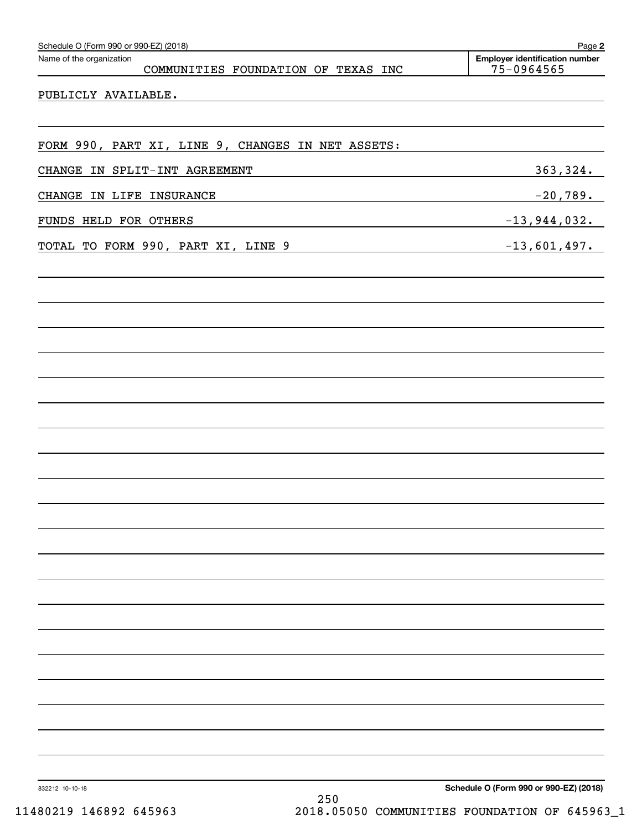| Schedule O (Form 990 or 990-EZ) (2018)                          | Page 2                                              |
|-----------------------------------------------------------------|-----------------------------------------------------|
| Name of the organization<br>COMMUNITIES FOUNDATION OF TEXAS INC | <b>Employer identification number</b><br>75-0964565 |
| PUBLICLY AVAILABLE.                                             |                                                     |
|                                                                 |                                                     |
|                                                                 |                                                     |
| FORM 990, PART XI, LINE 9, CHANGES IN NET ASSETS:               |                                                     |
| CHANGE IN SPLIT-INT AGREEMENT                                   | 363, 324.                                           |
| CHANGE IN LIFE INSURANCE                                        | $-20,789.$                                          |
| FUNDS HELD FOR OTHERS                                           | $-13,944,032.$                                      |
| TOTAL TO FORM 990, PART XI, LINE 9                              | $-13,601,497.$                                      |
|                                                                 |                                                     |
|                                                                 |                                                     |
|                                                                 |                                                     |
|                                                                 |                                                     |
|                                                                 |                                                     |
|                                                                 |                                                     |
|                                                                 |                                                     |
|                                                                 |                                                     |
|                                                                 |                                                     |
|                                                                 |                                                     |
|                                                                 |                                                     |
|                                                                 |                                                     |
|                                                                 |                                                     |
|                                                                 |                                                     |
|                                                                 |                                                     |
|                                                                 |                                                     |
|                                                                 |                                                     |
|                                                                 |                                                     |
|                                                                 |                                                     |
|                                                                 |                                                     |
|                                                                 |                                                     |
|                                                                 |                                                     |
|                                                                 |                                                     |
|                                                                 |                                                     |
| 832212 10-10-18                                                 | Schedule O (Form 990 or 990-EZ) (2018)              |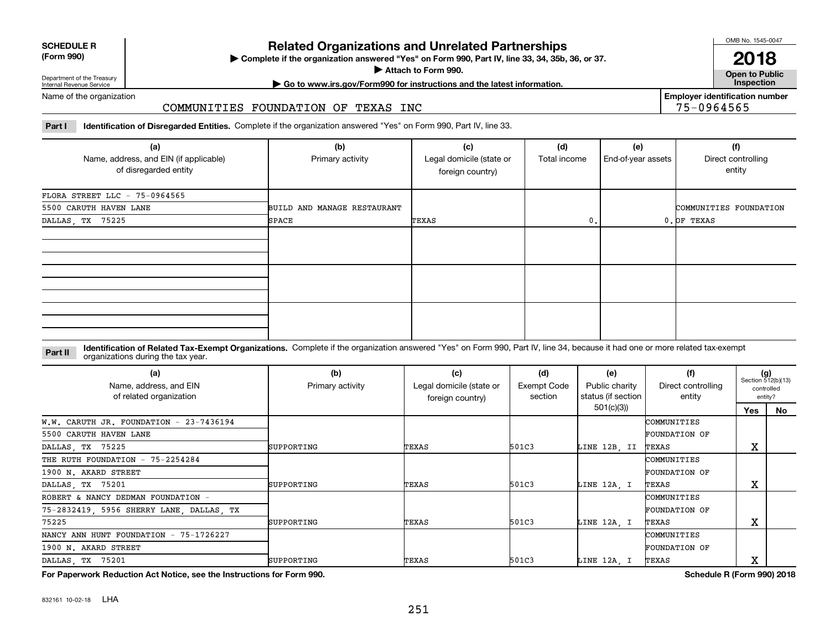| <b>SCHEDULE R</b>                          |  |
|--------------------------------------------|--|
| $\mathbf{r}$ , $\mathbf{r}$ , $\mathbf{r}$ |  |

#### **(Form 990)**

## **Related Organizations and Unrelated Partnerships**

**Complete if the organization answered "Yes" on Form 990, Part IV, line 33, 34, 35b, 36, or 37.** |

**Attach to Form 990.**  |

OMB No. 1545-0047

**Open to Public 2018**

**Employer identification number**

75-0964565

Department of the Treasury Internal Revenue Service

## **| Go to www.irs.gov/Form990 for instructions and the latest information. Inspection**

Name of the organization

#### COMMUNITIES FOUNDATION OF TEXAS INC

**Part I Identification of Disregarded Entities.**  Complete if the organization answered "Yes" on Form 990, Part IV, line 33.

| (a)<br>Name, address, and EIN (if applicable)<br>of disregarded entity | (b)<br>Primary activity     | (c)<br>Legal domicile (state or<br>foreign country) | (d)<br>Total income | (e)<br>End-of-year assets | (f)<br>Direct controlling<br>entity |
|------------------------------------------------------------------------|-----------------------------|-----------------------------------------------------|---------------------|---------------------------|-------------------------------------|
| FLORA STREET LLC - 75-0964565                                          |                             |                                                     |                     |                           |                                     |
| 5500 CARUTH HAVEN LANE                                                 | BUILD AND MANAGE RESTAURANT |                                                     |                     |                           | COMMUNITIES FOUNDATION              |
| DALLAS, TX 75225                                                       | SPACE                       | TEXAS                                               | 0.                  |                           | $0.$ OF TEXAS                       |
|                                                                        |                             |                                                     |                     |                           |                                     |
|                                                                        |                             |                                                     |                     |                           |                                     |
|                                                                        |                             |                                                     |                     |                           |                                     |

#### **Identification of Related Tax-Exempt Organizations.** Complete if the organization answered "Yes" on Form 990, Part IV, line 34, because it had one or more related tax-exempt **Part II** organizations during the tax year.

| (a)<br>Name, address, and EIN<br>of related organization | (b)<br>Primary activity | (c)<br>Legal domicile (state or<br>foreign country) | (d)<br>Exempt Code<br>section | (e)<br>Public charity<br>status (if section | (f)<br>Direct controlling<br>entity |        | $(g)$<br>Section 512(b)(13)<br>controlled<br>entity? |
|----------------------------------------------------------|-------------------------|-----------------------------------------------------|-------------------------------|---------------------------------------------|-------------------------------------|--------|------------------------------------------------------|
|                                                          |                         |                                                     |                               | 501(c)(3)                                   |                                     | Yes    | No                                                   |
| W.W. CARUTH JR. FOUNDATION - $23-7436194$                |                         |                                                     |                               |                                             | COMMUNITIES                         |        |                                                      |
| 5500 CARUTH HAVEN LANE                                   |                         |                                                     |                               |                                             | FOUNDATION OF                       |        |                                                      |
| DALLAS, TX 75225                                         | SUPPORTING              | TEXAS                                               | 501C3                         | LINE 12B, II                                | TEXAS                               | v<br>ᅀ |                                                      |
| THE RUTH FOUNDATION - 75-2254284                         |                         |                                                     |                               |                                             | COMMUNITIES                         |        |                                                      |
| 1900 N. AKARD STREET                                     |                         |                                                     |                               |                                             | <b>FOUNDATION OF</b>                |        |                                                      |
| DALLAS, TX 75201                                         | SUPPORTING              | TEXAS                                               | 501C3                         | LINE 12A, I                                 | TEXAS                               | Χ      |                                                      |
| ROBERT & NANCY DEDMAN FOUNDATION -                       |                         |                                                     |                               |                                             | COMMUNITIES                         |        |                                                      |
| 75-2832419, 5956 SHERRY LANE, DALLAS, TX                 |                         |                                                     |                               |                                             | FOUNDATION OF                       |        |                                                      |
| 75225                                                    | SUPPORTING              | TEXAS                                               | 501C3                         | LINE 12A, I                                 | TEXAS                               | Χ      |                                                      |
| NANCY ANN HUNT FOUNDATION - 75-1726227                   |                         |                                                     |                               |                                             | COMMUNITIES                         |        |                                                      |
| 1900 N. AKARD STREET                                     |                         |                                                     |                               |                                             | <b>FOUNDATION OF</b>                |        |                                                      |
| DALLAS, TX 75201                                         | SUPPORTING              | TEXAS                                               | 501C3                         | LINE 12A, I                                 | TEXAS                               | Χ      |                                                      |

**For Paperwork Reduction Act Notice, see the Instructions for Form 990. Schedule R (Form 990) 2018**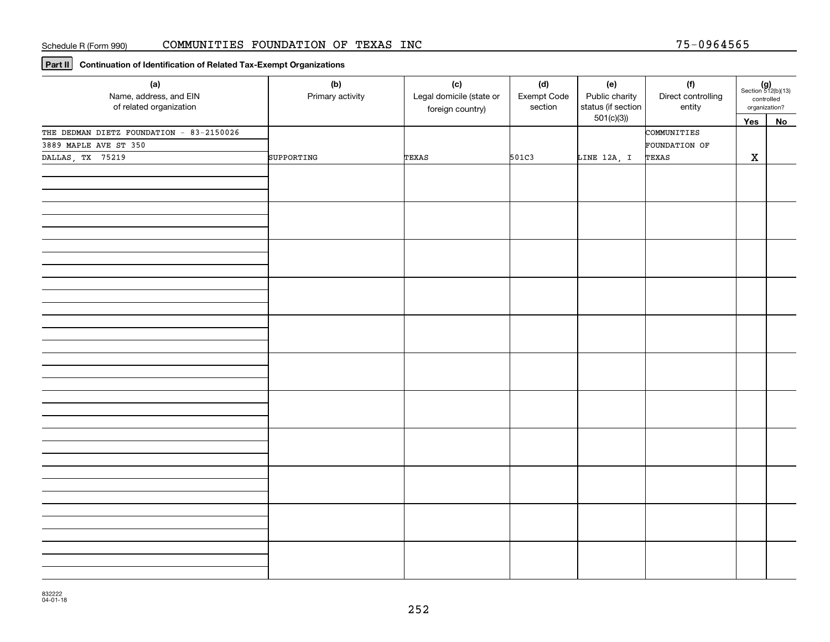**Part II Continuation of Identification of Related Tax-Exempt Organizations**

| (a)<br>Name, address, and EIN<br>of related organization | (b)<br>Primary activity | (c)<br>Legal domicile (state or<br>foreign country) | (d)<br>Exempt Code<br>section | (e)<br>Public charity<br>status (if section | (f)<br>Direct controlling<br>entity | $(g)$<br>Section 512(b)(13)<br>controlled<br>organization? |    |
|----------------------------------------------------------|-------------------------|-----------------------------------------------------|-------------------------------|---------------------------------------------|-------------------------------------|------------------------------------------------------------|----|
|                                                          |                         |                                                     |                               | 501(c)(3)                                   |                                     | Yes                                                        | No |
| THE DEDMAN DIETZ FOUNDATION - 83-2150026                 |                         |                                                     |                               |                                             | COMMUNITIES                         |                                                            |    |
| 3889 MAPLE AVE ST 350                                    |                         |                                                     |                               |                                             | FOUNDATION OF                       |                                                            |    |
| DALLAS, TX 75219                                         | SUPPORTING              | TEXAS                                               | 501C3                         | LINE 12A, I                                 | TEXAS                               | $\mathbf X$                                                |    |
|                                                          |                         |                                                     |                               |                                             |                                     |                                                            |    |
|                                                          |                         |                                                     |                               |                                             |                                     |                                                            |    |
|                                                          |                         |                                                     |                               |                                             |                                     |                                                            |    |
|                                                          |                         |                                                     |                               |                                             |                                     |                                                            |    |
|                                                          |                         |                                                     |                               |                                             |                                     |                                                            |    |
|                                                          |                         |                                                     |                               |                                             |                                     |                                                            |    |
|                                                          |                         |                                                     |                               |                                             |                                     |                                                            |    |
|                                                          |                         |                                                     |                               |                                             |                                     |                                                            |    |
|                                                          |                         |                                                     |                               |                                             |                                     |                                                            |    |
|                                                          |                         |                                                     |                               |                                             |                                     |                                                            |    |
|                                                          |                         |                                                     |                               |                                             |                                     |                                                            |    |
|                                                          |                         |                                                     |                               |                                             |                                     |                                                            |    |
|                                                          |                         |                                                     |                               |                                             |                                     |                                                            |    |
|                                                          |                         |                                                     |                               |                                             |                                     |                                                            |    |
|                                                          |                         |                                                     |                               |                                             |                                     |                                                            |    |
|                                                          |                         |                                                     |                               |                                             |                                     |                                                            |    |
|                                                          |                         |                                                     |                               |                                             |                                     |                                                            |    |
|                                                          |                         |                                                     |                               |                                             |                                     |                                                            |    |
|                                                          |                         |                                                     |                               |                                             |                                     |                                                            |    |
|                                                          |                         |                                                     |                               |                                             |                                     |                                                            |    |
|                                                          |                         |                                                     |                               |                                             |                                     |                                                            |    |
|                                                          |                         |                                                     |                               |                                             |                                     |                                                            |    |
|                                                          |                         |                                                     |                               |                                             |                                     |                                                            |    |
|                                                          |                         |                                                     |                               |                                             |                                     |                                                            |    |
|                                                          |                         |                                                     |                               |                                             |                                     |                                                            |    |
|                                                          |                         |                                                     |                               |                                             |                                     |                                                            |    |
|                                                          |                         |                                                     |                               |                                             |                                     |                                                            |    |
|                                                          |                         |                                                     |                               |                                             |                                     |                                                            |    |
|                                                          |                         |                                                     |                               |                                             |                                     |                                                            |    |
|                                                          |                         |                                                     |                               |                                             |                                     |                                                            |    |
|                                                          |                         |                                                     |                               |                                             |                                     |                                                            |    |
|                                                          |                         |                                                     |                               |                                             |                                     |                                                            |    |
|                                                          |                         |                                                     |                               |                                             |                                     |                                                            |    |
|                                                          |                         |                                                     |                               |                                             |                                     |                                                            |    |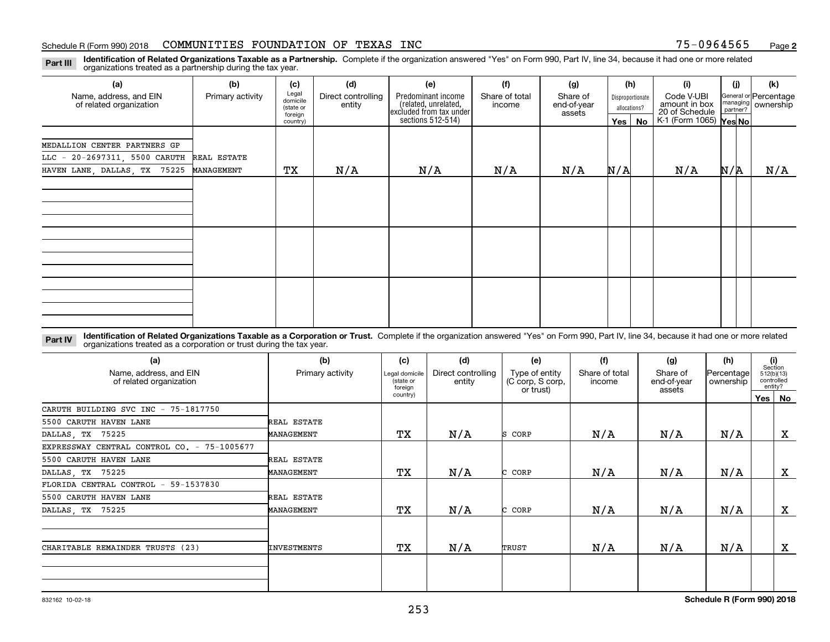**Identification of Related Organizations Taxable as a Partnership.** Complete if the organization answered "Yes" on Form 990, Part IV, line 34, because it had one or more related **Part III** organizations treated as a partnership during the tax year.

| (a)                                                                       | (b)              | (c)                                       | (d)                          | (e)                                                                   | (f)                      | (g)                               |                                  | (h)      | (i)                                           | (i)                                                        | (k) |
|---------------------------------------------------------------------------|------------------|-------------------------------------------|------------------------------|-----------------------------------------------------------------------|--------------------------|-----------------------------------|----------------------------------|----------|-----------------------------------------------|------------------------------------------------------------|-----|
| Name, address, and EIN<br>of related organization                         | Primary activity | Legal<br>domicile<br>(state or<br>foreign | Direct controlling<br>entity | Predominant income<br>(related, unrelated,<br>excluded from tax under | Share of total<br>income | Share of<br>end-of-year<br>assets | Disproportionate<br>allocations? |          | Code V-UBI<br>amount in box<br>20 of Schedule | General or Percentage<br>managing<br>partner?<br>ownership |     |
|                                                                           |                  | country)                                  |                              | sections $512-514$ )                                                  |                          |                                   |                                  | Yes   No | K-1 (Form 1065) Yes No                        |                                                            |     |
| MEDALLION CENTER PARTNERS GP<br>LLC - 20-2697311, 5500 CARUTH REAL ESTATE |                  |                                           |                              |                                                                       |                          |                                   |                                  |          |                                               |                                                            |     |
| HAVEN LANE, DALLAS, TX 75225                                              | MANAGEMENT       | ТX                                        | N/A                          | N/A                                                                   | N/A                      | N/A                               | N/A                              |          | N/A                                           | N/A                                                        | N/A |
|                                                                           |                  |                                           |                              |                                                                       |                          |                                   |                                  |          |                                               |                                                            |     |
|                                                                           |                  |                                           |                              |                                                                       |                          |                                   |                                  |          |                                               |                                                            |     |
|                                                                           |                  |                                           |                              |                                                                       |                          |                                   |                                  |          |                                               |                                                            |     |
|                                                                           |                  |                                           |                              |                                                                       |                          |                                   |                                  |          |                                               |                                                            |     |
|                                                                           |                  |                                           |                              |                                                                       |                          |                                   |                                  |          |                                               |                                                            |     |
|                                                                           |                  |                                           |                              |                                                                       |                          |                                   |                                  |          |                                               |                                                            |     |
|                                                                           |                  |                                           |                              |                                                                       |                          |                                   |                                  |          |                                               |                                                            |     |
|                                                                           |                  |                                           |                              |                                                                       |                          |                                   |                                  |          |                                               |                                                            |     |

**Identification of Related Organizations Taxable as a Corporation or Trust.** Complete if the organization answered "Yes" on Form 990, Part IV, line 34, because it had one or more related **Part IV** organizations treated as a corporation or trust during the tax year.

| (a)<br>Name, address, and EIN<br>of related organization | (b)<br>Primary activity | (c)<br>Legal domicile<br>(state or<br>foreign | (d)<br>Direct controlling<br>entity | (e)<br>Type of entity<br>(C corp, S corp,<br>or trust) | (f)<br>Share of total<br>income | (g)<br>Share of<br>end-of-year<br>assets | (h)<br>Percentage<br>ownership | (i)<br>Section<br>512(b)(13)<br>controlled<br>entity? |              |
|----------------------------------------------------------|-------------------------|-----------------------------------------------|-------------------------------------|--------------------------------------------------------|---------------------------------|------------------------------------------|--------------------------------|-------------------------------------------------------|--------------|
|                                                          |                         | country)                                      |                                     |                                                        |                                 |                                          |                                | Yes   No                                              |              |
| CARUTH BUILDING SVC INC - 75-1817750                     |                         |                                               |                                     |                                                        |                                 |                                          |                                |                                                       |              |
| 5500 CARUTH HAVEN LANE                                   | REAL ESTATE             |                                               |                                     |                                                        |                                 |                                          |                                |                                                       |              |
| DALLAS, TX 75225                                         | MANAGEMENT              | TХ                                            | N/A                                 | S CORP                                                 | N/A                             | N/A                                      | N/A                            |                                                       | X            |
| EXPRESSWAY CENTRAL CONTROL CO. - 75-1005677              |                         |                                               |                                     |                                                        |                                 |                                          |                                |                                                       |              |
| 5500 CARUTH HAVEN LANE                                   | REAL ESTATE             |                                               |                                     |                                                        |                                 |                                          |                                |                                                       |              |
| DALLAS, TX 75225                                         | MANAGEMENT              | TХ                                            | N/A                                 | CORP                                                   | N/A                             | N/A                                      | N/A                            |                                                       | $\mathbf{x}$ |
| FLORIDA CENTRAL CONTROL - 59-1537830                     |                         |                                               |                                     |                                                        |                                 |                                          |                                |                                                       |              |
| 5500 CARUTH HAVEN LANE                                   | REAL ESTATE             |                                               |                                     |                                                        |                                 |                                          |                                |                                                       |              |
| DALLAS, TX 75225                                         | MANAGEMENT              | TХ                                            | N/A                                 | CORP                                                   | N/A                             | N/A                                      | N/A                            |                                                       | X            |
| CHARITABLE REMAINDER TRUSTS (23)                         | INVESTMENTS             | TХ                                            | N/A                                 | TRUST                                                  | N/A                             | N/A                                      | N/A                            |                                                       | $\mathbf{x}$ |
|                                                          |                         |                                               |                                     |                                                        |                                 |                                          |                                |                                                       |              |
|                                                          |                         |                                               |                                     |                                                        |                                 |                                          |                                |                                                       |              |
|                                                          |                         |                                               |                                     |                                                        |                                 |                                          |                                |                                                       |              |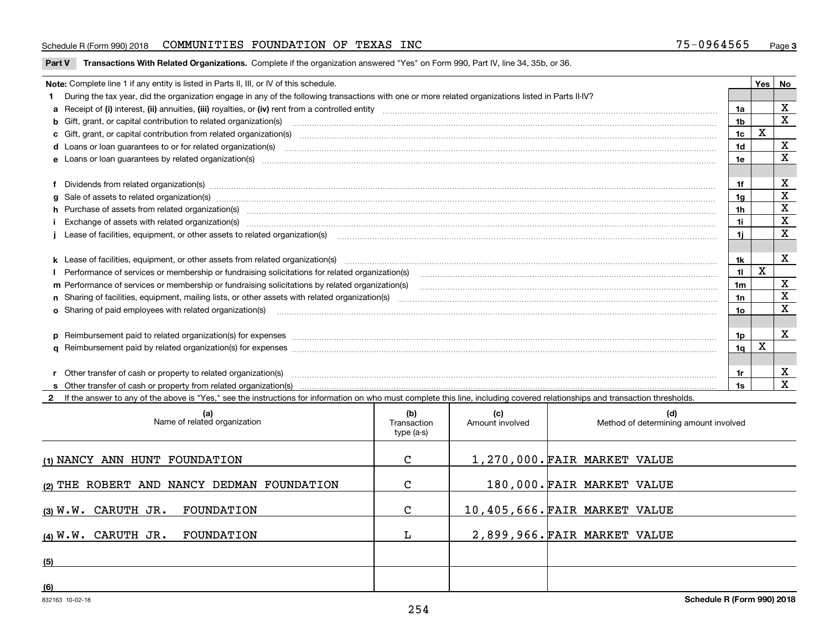**Part V** T**ransactions With Related Organizations.** Complete if the organization answered "Yes" on Form 990, Part IV, line 34, 35b, or 36.

| Note: Complete line 1 if any entity is listed in Parts II, III, or IV of this schedule.                                                                                                                                        |                | Yes | No          |
|--------------------------------------------------------------------------------------------------------------------------------------------------------------------------------------------------------------------------------|----------------|-----|-------------|
| 1 During the tax year, did the organization engage in any of the following transactions with one or more related organizations listed in Parts II-IV?                                                                          |                |     |             |
|                                                                                                                                                                                                                                | 1a             |     | x           |
| <b>b</b> Gift, grant, or capital contribution to related organization(s)                                                                                                                                                       | 1 <sub>b</sub> |     | $\mathbf x$ |
| c Gift, grant, or capital contribution from related organization(s)                                                                                                                                                            | 1c             | X   |             |
| d Loans or loan guarantees to or for related organization(s) committion contracts are constructed as a control or contract or contract or contract or contract or contract or contract or contract or contract or contract or  | 1 <sub>d</sub> |     | X           |
|                                                                                                                                                                                                                                | 1e             |     | X           |
| f Dividends from related organization(s) www.assession.com/www.assession.com/www.assession.com/www.assession.com/www.assession.com/www.assession.com/www.assession.com/www.assession.com/www.assession.com/www.assession.com/w | 1f             |     | х           |
|                                                                                                                                                                                                                                | 1a             |     | X           |
| h Purchase of assets from related organization(s) manufactured and content to content the content of assets from related organization(s)                                                                                       | 1h             |     | х           |
|                                                                                                                                                                                                                                | 1i.            |     | X           |
| Lease of facilities, equipment, or other assets to related organization(s) contain an according to the content of the state of facilities, equipment, or other assets to related organization(s) contained according to the co | 11             |     | X           |
|                                                                                                                                                                                                                                |                |     |             |
|                                                                                                                                                                                                                                | 1k             |     | X           |
|                                                                                                                                                                                                                                | 11             | X   |             |
| m Performance of services or membership or fundraising solicitations by related organization(s)                                                                                                                                | 1m             |     | X           |
|                                                                                                                                                                                                                                | 1n             |     | $\mathbf X$ |
| <b>o</b> Sharing of paid employees with related organization(s)                                                                                                                                                                | 10             |     | X           |
|                                                                                                                                                                                                                                | 1p             |     | X           |
| p Reimbursement paid to related organization(s) for expenses [1111] and the content of the content of the content of the content of the content of the content of the content of the content of the content of the content of  |                |     |             |
|                                                                                                                                                                                                                                | 1q             | X   |             |
|                                                                                                                                                                                                                                |                |     |             |
| r Other transfer of cash or property to related organization(s)                                                                                                                                                                | 1r             |     | X           |
| If the answer to any of the above is "Yes," see the instructions for information on who must complete this line, including covered relationships and transaction thresholds.                                                   | 1s             |     | $\mathbf x$ |

| (a)<br>Name of related organization        | (b)<br>Transaction<br>type (a-s) | (c)<br>Amount involved | (d)<br>Method of determining amount involved |
|--------------------------------------------|----------------------------------|------------------------|----------------------------------------------|
| (1) NANCY ANN HUNT FOUNDATION              | C                                |                        | 1,270,000. FAIR MARKET VALUE                 |
| (2) THE ROBERT AND NANCY DEDMAN FOUNDATION | C                                |                        | 180,000. FAIR MARKET VALUE                   |
| $(3)$ W.W. CARUTH JR.<br>FOUNDATION        | C                                |                        | 10,405,666. FAIR MARKET VALUE                |
| $(4)$ W.W. CARUTH JR.<br>FOUNDATION        |                                  |                        | 2,899,966. FAIR MARKET VALUE                 |
| (5)                                        |                                  |                        |                                              |
| (6)                                        |                                  |                        |                                              |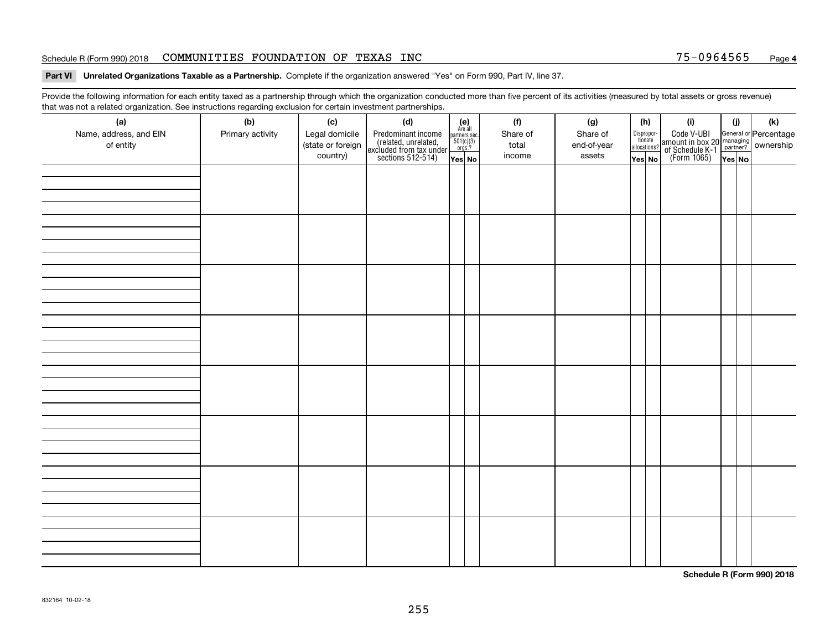#### Schedule R (Form 990) 2018 CO**MMUNITIES FOUNDATION OF TEXAS INC** 75-0964565 <sub>Page</sub>

#### **Part VI Unrelated Organizations Taxable as a Partnership. Complete if the organization answered "Yes" on Form 990, Part IV, line 37.**

Provide the following information for each entity taxed as a partnership through which the organization conducted more than five percent of its activities (measured by total assets or gross revenue) that was not a related organization. See instructions regarding exclusion for certain investment partnerships.

| ັ<br>(a)<br>Name, address, and EIN<br>of entity | ັ<br>ັ<br>(b)<br>Primary activity | (c)<br>Legal domicile<br>(state or foreign<br>country) | (d)<br>Predominant income<br>(related, unrelated,<br>excluded from tax under<br>sections 512-514) | (e)<br>Are all<br>$\begin{array}{c}\n\text{partners} \text{ sec.} \\ 501(c)(3) \\ \text{orgs.?}\n\end{array}$<br>Yes No | (f)<br>Share of<br>total<br>income | (g)<br>Share of<br>end-of-year<br>assets | (h)<br>Dispropor-<br>tionate<br>allocations?<br>Yes No | (i)<br>Code V-UBI<br>amount in box 20 managing<br>of Schedule K-1<br>(Form 1065)<br>$\overline{Yes}$ No | (i)<br>Yes No | (k) |
|-------------------------------------------------|-----------------------------------|--------------------------------------------------------|---------------------------------------------------------------------------------------------------|-------------------------------------------------------------------------------------------------------------------------|------------------------------------|------------------------------------------|--------------------------------------------------------|---------------------------------------------------------------------------------------------------------|---------------|-----|
|                                                 |                                   |                                                        |                                                                                                   |                                                                                                                         |                                    |                                          |                                                        |                                                                                                         |               |     |
|                                                 |                                   |                                                        |                                                                                                   |                                                                                                                         |                                    |                                          |                                                        |                                                                                                         |               |     |
|                                                 |                                   |                                                        |                                                                                                   |                                                                                                                         |                                    |                                          |                                                        |                                                                                                         |               |     |
|                                                 |                                   |                                                        |                                                                                                   |                                                                                                                         |                                    |                                          |                                                        |                                                                                                         |               |     |
|                                                 |                                   |                                                        |                                                                                                   |                                                                                                                         |                                    |                                          |                                                        |                                                                                                         |               |     |
|                                                 |                                   |                                                        |                                                                                                   |                                                                                                                         |                                    |                                          |                                                        |                                                                                                         |               |     |
|                                                 |                                   |                                                        |                                                                                                   |                                                                                                                         |                                    |                                          |                                                        |                                                                                                         |               |     |
|                                                 |                                   |                                                        |                                                                                                   |                                                                                                                         |                                    |                                          |                                                        |                                                                                                         |               |     |

**Schedule R (Form 990) 2018**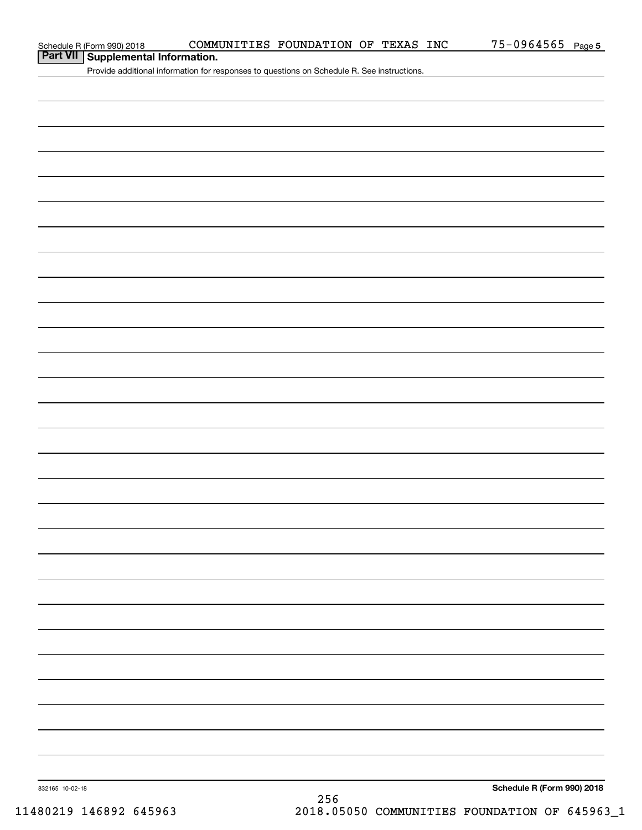### **Part VII Supplemental Information.**

Provide additional information for responses to questions on Schedule R. See instructions.

832165 10-02-18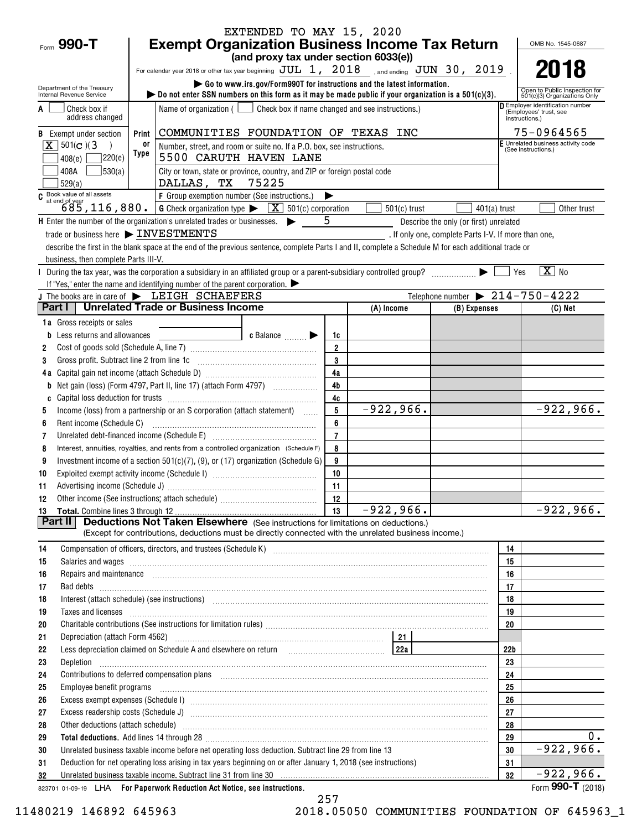|                                                                  |                                                                                                                                                                                                                                                                                                                                          | EXTENDED TO MAY 15, 2020                                                         |                     |                |                                                                                                |                                                                            |
|------------------------------------------------------------------|------------------------------------------------------------------------------------------------------------------------------------------------------------------------------------------------------------------------------------------------------------------------------------------------------------------------------------------|----------------------------------------------------------------------------------|---------------------|----------------|------------------------------------------------------------------------------------------------|----------------------------------------------------------------------------|
| Form 990-T                                                       | <b>Exempt Organization Business Income Tax Return</b>                                                                                                                                                                                                                                                                                    |                                                                                  |                     |                |                                                                                                | OMB No. 1545-0687                                                          |
|                                                                  |                                                                                                                                                                                                                                                                                                                                          | (and proxy tax under section 6033(e))                                            |                     |                |                                                                                                | 2018                                                                       |
|                                                                  | For calendar year 2018 or other tax year beginning $JUL$ 1, $2018$ , and ending $JUN$ 30, $2019$                                                                                                                                                                                                                                         | Go to www.irs.gov/Form990T for instructions and the latest information.          |                     |                |                                                                                                |                                                                            |
| Department of the Treasury<br>Internal Revenue Service           | $\triangleright$ Do not enter SSN numbers on this form as it may be made public if your organization is a 501(c)(3).                                                                                                                                                                                                                     |                                                                                  |                     |                |                                                                                                | Open to Public Inspection for<br>501(c)(3) Organizations Only              |
| Check box if<br>address changed                                  |                                                                                                                                                                                                                                                                                                                                          | Name of organization $($ $\Box$ Check box if name changed and see instructions.) |                     |                |                                                                                                | Employer identification number<br>(Employees' trust, see<br>instructions.) |
| <b>B</b> Exempt under section                                    | Print                                                                                                                                                                                                                                                                                                                                    | COMMUNITIES FOUNDATION OF TEXAS INC                                              |                     |                |                                                                                                | 75-0964565                                                                 |
| $X \mid 501(c)$ (3)                                              | 0ľ                                                                                                                                                                                                                                                                                                                                       | Number, street, and room or suite no. If a P.O. box, see instructions.           |                     |                |                                                                                                | F Unrelated business activity code<br>(See instructions.)                  |
| 7220(e)<br>408(e)                                                | Type                                                                                                                                                                                                                                                                                                                                     | 5500 CARUTH HAVEN LANE                                                           |                     |                |                                                                                                |                                                                            |
| 30(a)<br>408A<br>529(a)                                          | City or town, state or province, country, and ZIP or foreign postal code<br>DALLAS, TX 75225                                                                                                                                                                                                                                             |                                                                                  |                     |                |                                                                                                |                                                                            |
|                                                                  | C Book value of all assets<br>685, 116, 880. G Check organization type $\sqrt{\frac{X}{N}}$ 501(c) corporation                                                                                                                                                                                                                           |                                                                                  |                     |                |                                                                                                |                                                                            |
|                                                                  |                                                                                                                                                                                                                                                                                                                                          |                                                                                  |                     | $501(c)$ trust | $401(a)$ trust                                                                                 | Other trust                                                                |
|                                                                  | H Enter the number of the organization's unrelated trades or businesses.<br>trade or business here > INVESTMENTS                                                                                                                                                                                                                         |                                                                                  | -5                  |                | Describe the only (or first) unrelated<br>. If only one, complete Parts I-V. If more than one, |                                                                            |
|                                                                  | describe the first in the blank space at the end of the previous sentence, complete Parts I and II, complete a Schedule M for each additional trade or                                                                                                                                                                                   |                                                                                  |                     |                |                                                                                                |                                                                            |
| business, then complete Parts III-V.                             |                                                                                                                                                                                                                                                                                                                                          |                                                                                  |                     |                |                                                                                                |                                                                            |
|                                                                  | During the tax year, was the corporation a subsidiary in an affiliated group or a parent-subsidiary controlled group?<br>Subsetting the tax year, was the corporation a subsidiary in an affiliated group or a parent-subsidiary                                                                                                         |                                                                                  |                     |                |                                                                                                | $\overline{X}$ No<br>  Yes                                                 |
|                                                                  | If "Yes," enter the name and identifying number of the parent corporation. $\blacktriangleright$                                                                                                                                                                                                                                         |                                                                                  |                     |                |                                                                                                |                                                                            |
|                                                                  | J The books are in care of $\blacktriangleright$ LEIGH SCHAEFERS<br><b>Unrelated Trade or Business Income</b>                                                                                                                                                                                                                            |                                                                                  |                     |                | Telephone number $\triangleright$ 214-750-4222                                                 |                                                                            |
| Part I                                                           |                                                                                                                                                                                                                                                                                                                                          |                                                                                  |                     | (A) Income     | (B) Expenses                                                                                   | (C) Net                                                                    |
| <b>1a</b> Gross receipts or sales<br>Less returns and allowances |                                                                                                                                                                                                                                                                                                                                          | c Balance <b>Division</b>                                                        | 1c                  |                |                                                                                                |                                                                            |
| 2                                                                |                                                                                                                                                                                                                                                                                                                                          |                                                                                  | $\overline{2}$      |                |                                                                                                |                                                                            |
| Gross profit. Subtract line 2 from line 1c<br>3                  |                                                                                                                                                                                                                                                                                                                                          |                                                                                  | 3                   |                |                                                                                                |                                                                            |
| 4a                                                               |                                                                                                                                                                                                                                                                                                                                          |                                                                                  | 4a                  |                |                                                                                                |                                                                            |
| b                                                                | Net gain (loss) (Form 4797, Part II, line 17) (attach Form 4797)                                                                                                                                                                                                                                                                         |                                                                                  | 4 <sub>b</sub>      |                |                                                                                                |                                                                            |
| C                                                                |                                                                                                                                                                                                                                                                                                                                          |                                                                                  | 4c                  |                |                                                                                                |                                                                            |
| 5                                                                | Income (loss) from a partnership or an S corporation (attach statement)                                                                                                                                                                                                                                                                  |                                                                                  | 5                   | $-922,966.$    |                                                                                                | $-922,966.$                                                                |
| Rent income (Schedule C)<br>6<br>7                               | Unrelated debt-financed income (Schedule E) [11] [2010] [2010] [2010] [2010] [2010] [2010] [2010] [2010] [2010                                                                                                                                                                                                                           |                                                                                  | 6<br>$\overline{7}$ |                |                                                                                                |                                                                            |
| 8                                                                | Interest, annuities, royalties, and rents from a controlled organization (Schedule F)                                                                                                                                                                                                                                                    |                                                                                  | 8                   |                |                                                                                                |                                                                            |
| 9                                                                | Investment income of a section 501(c)(7), (9), or (17) organization (Schedule G)                                                                                                                                                                                                                                                         |                                                                                  | 9                   |                |                                                                                                |                                                                            |
| 10                                                               |                                                                                                                                                                                                                                                                                                                                          |                                                                                  | 10                  |                |                                                                                                |                                                                            |
| 11                                                               |                                                                                                                                                                                                                                                                                                                                          |                                                                                  | 11                  |                |                                                                                                |                                                                            |
| 12                                                               |                                                                                                                                                                                                                                                                                                                                          |                                                                                  |                     |                |                                                                                                |                                                                            |
| 13<br>Part II                                                    | <b>Deductions Not Taken Elsewhere</b> (See instructions for limitations on deductions.)                                                                                                                                                                                                                                                  |                                                                                  |                     | $-922, 966.$   |                                                                                                | $-922,966.$                                                                |
|                                                                  | (Except for contributions, deductions must be directly connected with the unrelated business income.)                                                                                                                                                                                                                                    |                                                                                  |                     |                |                                                                                                |                                                                            |
| 14                                                               | Compensation of officers, directors, and trustees (Schedule K) [11] [2000] [2000] [2000] [2000] [2000] [2000] [3000] [3000] [3000] [3000] [3000] [3000] [3000] [3000] [3000] [3000] [3000] [3000] [3000] [3000] [3000] [3000]                                                                                                            |                                                                                  |                     |                | 14                                                                                             |                                                                            |
| 15                                                               | Salaries and wages informational contracts and wages in the same contracts of the set of the set of the set of the set of the set of the set of the set of the set of the set of the set of the set of the set of the set of t                                                                                                           |                                                                                  |                     |                | 15                                                                                             |                                                                            |
| 16                                                               | Repairs and maintenance <i>[1] [1] [1] [1] [1] [1] [1] [1] [1] [1]</i> [1] <b>[1]</b> [1] <b>[1]</b> [1] <b>[1] [1] [1] [1] [1] [1] [1] [1] [1] [1] [1] [1] [1] [1] [1] [1] [1] [1] [1] [1] [1] [1]</b>                                                                                                                                  |                                                                                  |                     |                | 16                                                                                             |                                                                            |
| 17                                                               |                                                                                                                                                                                                                                                                                                                                          |                                                                                  |                     |                | 17                                                                                             |                                                                            |
| 18                                                               | Interest (attach schedule) (see instructions) www.communicalisations.communicalisations.communicalisations.com                                                                                                                                                                                                                           |                                                                                  |                     |                | 18                                                                                             |                                                                            |
| 19<br>20                                                         | Taxes and licenses <b>constructed and licenses construction and constructed and licenses construction</b>                                                                                                                                                                                                                                |                                                                                  |                     |                | 19<br>20                                                                                       |                                                                            |
| 21                                                               |                                                                                                                                                                                                                                                                                                                                          |                                                                                  |                     |                |                                                                                                |                                                                            |
| 22                                                               | Less depreciation claimed on Schedule A and elsewhere on return [1989] [228] [228]                                                                                                                                                                                                                                                       |                                                                                  |                     |                | 22 <sub>b</sub>                                                                                |                                                                            |
| 23<br>Depletion                                                  |                                                                                                                                                                                                                                                                                                                                          |                                                                                  |                     |                | 23                                                                                             |                                                                            |
| 24                                                               | Contributions to deferred compensation plans [11] manufactured manufactured manufactured manufactured manufactured manufactured manufactured manufactured manufactured manufactured manufactured manufactured manufactured man                                                                                                           |                                                                                  |                     |                | 24                                                                                             |                                                                            |
| 25                                                               | Employee benefit programs in the continuum contract of the contract of the contract of the contract of the contract of the contract of the contract of the contract of the contract of the contract of the contract of the con                                                                                                           |                                                                                  |                     |                | 25                                                                                             |                                                                            |
| 26                                                               |                                                                                                                                                                                                                                                                                                                                          |                                                                                  |                     |                | 26                                                                                             |                                                                            |
| 27                                                               |                                                                                                                                                                                                                                                                                                                                          |                                                                                  |                     |                | 27<br>28                                                                                       |                                                                            |
| 28<br>29                                                         | Other deductions (attach schedule) www.communications.communications.communications.communications.com<br>Total deductions. Add lines 14 through 28 [11] manufactures and the control of the control of the control of the control of the control of the control of the control of the control of the control of the control of the cont |                                                                                  |                     |                | 29                                                                                             | 0.                                                                         |
| 30                                                               | Unrelated business taxable income before net operating loss deduction. Subtract line 29 from line 13                                                                                                                                                                                                                                     |                                                                                  |                     |                | 30                                                                                             | $-922,966.$                                                                |
| 31                                                               | Deduction for net operating loss arising in tax years beginning on or after January 1, 2018 (see instructions)                                                                                                                                                                                                                           |                                                                                  |                     |                | 31                                                                                             |                                                                            |
| 32                                                               | Unrelated business taxable income. Subtract line 31 from line 30 manufacture contains and the manufacture contained to the Unit of the Subtracture of the Subtracture of the Subtracture of the Subtracture of the Subtracture                                                                                                           |                                                                                  |                     |                | 32                                                                                             | $-922,966.$                                                                |
|                                                                  | 823701 01-09-19 LHA For Paperwork Reduction Act Notice, see instructions.                                                                                                                                                                                                                                                                |                                                                                  |                     |                |                                                                                                | Form 990-T (2018)                                                          |

257 11480219 146892 645963 2018.05050 COMMUNITIES FOUNDATION OF 645963\_1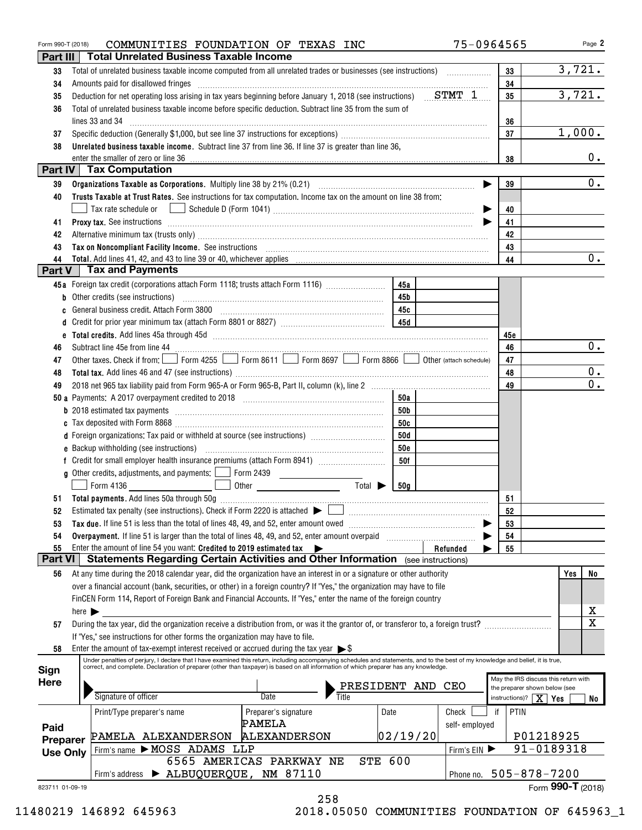| Form 990-T (2018) | COMMUNITIES FOUNDATION OF TEXAS INC                                                                                                                                                                                                                                                                                       |                                                                                                                                                                                                                                                                                                                                                                                                                                                  | 75-0964565              |                                         | Page 2                               |
|-------------------|---------------------------------------------------------------------------------------------------------------------------------------------------------------------------------------------------------------------------------------------------------------------------------------------------------------------------|--------------------------------------------------------------------------------------------------------------------------------------------------------------------------------------------------------------------------------------------------------------------------------------------------------------------------------------------------------------------------------------------------------------------------------------------------|-------------------------|-----------------------------------------|--------------------------------------|
| Part III          | <b>Total Unrelated Business Taxable Income</b>                                                                                                                                                                                                                                                                            |                                                                                                                                                                                                                                                                                                                                                                                                                                                  |                         |                                         |                                      |
| 33                |                                                                                                                                                                                                                                                                                                                           |                                                                                                                                                                                                                                                                                                                                                                                                                                                  |                         | 33                                      | 3,721.                               |
| 34                | Amounts paid for disallowed fringes                                                                                                                                                                                                                                                                                       | $\begin{minipage}{0.5\textwidth} \begin{tabular}{ l l l } \hline \multicolumn{1}{ l l l } \hline \multicolumn{1}{ l l } \hline \multicolumn{1}{ l } \multicolumn{1}{ l } \hline \multicolumn{1}{ l } \multicolumn{1}{ l } \multicolumn{1}{ l } \hline \multicolumn{1}{ l } \multicolumn{1}{ l } \multicolumn{1}{ l } \hline \multicolumn{1}{ l } \multicolumn{1}{ l } \hline \multicolumn{1}{ l } \multicolumn{1}{ l } \hline \multicolumn{1}{ $ |                         | 34                                      |                                      |
| 35                | Deduction for net operating loss arising in tax years beginning before January 1, 2018 (see instructions) $STMT_1$                                                                                                                                                                                                        |                                                                                                                                                                                                                                                                                                                                                                                                                                                  |                         | 35                                      | 3,721.                               |
| 36                | Total of unrelated business taxable income before specific deduction. Subtract line 35 from the sum of                                                                                                                                                                                                                    |                                                                                                                                                                                                                                                                                                                                                                                                                                                  |                         |                                         |                                      |
|                   | lines 33 and 34                                                                                                                                                                                                                                                                                                           |                                                                                                                                                                                                                                                                                                                                                                                                                                                  |                         | 36                                      |                                      |
| 37                |                                                                                                                                                                                                                                                                                                                           |                                                                                                                                                                                                                                                                                                                                                                                                                                                  |                         | 37                                      | 1,000.                               |
| 38                | Unrelated business taxable income. Subtract line 37 from line 36. If line 37 is greater than line 36,                                                                                                                                                                                                                     |                                                                                                                                                                                                                                                                                                                                                                                                                                                  |                         |                                         |                                      |
|                   | enter the smaller of zero or line 36                                                                                                                                                                                                                                                                                      |                                                                                                                                                                                                                                                                                                                                                                                                                                                  |                         | 38                                      | $0$ .                                |
|                   | Part IV   Tax Computation                                                                                                                                                                                                                                                                                                 |                                                                                                                                                                                                                                                                                                                                                                                                                                                  |                         |                                         |                                      |
| 39                |                                                                                                                                                                                                                                                                                                                           |                                                                                                                                                                                                                                                                                                                                                                                                                                                  |                         | 39                                      | 0.                                   |
| 40                | Trusts Taxable at Trust Rates. See instructions for tax computation. Income tax on the amount on line 38 from:                                                                                                                                                                                                            |                                                                                                                                                                                                                                                                                                                                                                                                                                                  |                         |                                         |                                      |
|                   |                                                                                                                                                                                                                                                                                                                           |                                                                                                                                                                                                                                                                                                                                                                                                                                                  |                         | 40                                      |                                      |
| 41                | Proxy tax. See instructions informational contracts and all the contracts of the contracts and contracts are contracted as a property of the contract of the contract of the contract of the contract of the contract of the c                                                                                            |                                                                                                                                                                                                                                                                                                                                                                                                                                                  |                         | 41                                      |                                      |
| 42                | Alternative minimum tax (trusts only) [11] manufacture in the contract of the state of the state of the state only                                                                                                                                                                                                        |                                                                                                                                                                                                                                                                                                                                                                                                                                                  |                         | 42                                      |                                      |
| 43                | Tax on Noncompliant Facility Income. See instructions [11] [12] manufacture in the contract on Noncompliant Facility Income. See instructions [11] manufacture in the set of the set of the set of the set of the set of the s                                                                                            |                                                                                                                                                                                                                                                                                                                                                                                                                                                  |                         | 43                                      |                                      |
| 44                |                                                                                                                                                                                                                                                                                                                           |                                                                                                                                                                                                                                                                                                                                                                                                                                                  |                         | 44                                      | 0.                                   |
| Part V            | <b>Tax and Payments</b>                                                                                                                                                                                                                                                                                                   |                                                                                                                                                                                                                                                                                                                                                                                                                                                  |                         |                                         |                                      |
|                   | 45a Foreign tax credit (corporations attach Form 1118; trusts attach Form 1116) [                                                                                                                                                                                                                                         |                                                                                                                                                                                                                                                                                                                                                                                                                                                  | 45a                     |                                         |                                      |
| b                 |                                                                                                                                                                                                                                                                                                                           |                                                                                                                                                                                                                                                                                                                                                                                                                                                  | 45b                     |                                         |                                      |
|                   | General business credit. Attach Form 3800                                                                                                                                                                                                                                                                                 |                                                                                                                                                                                                                                                                                                                                                                                                                                                  | 45c                     |                                         |                                      |
|                   |                                                                                                                                                                                                                                                                                                                           |                                                                                                                                                                                                                                                                                                                                                                                                                                                  | 45d                     |                                         |                                      |
| d                 |                                                                                                                                                                                                                                                                                                                           |                                                                                                                                                                                                                                                                                                                                                                                                                                                  |                         |                                         |                                      |
|                   |                                                                                                                                                                                                                                                                                                                           |                                                                                                                                                                                                                                                                                                                                                                                                                                                  |                         | 45e                                     | 0.                                   |
| 46                | Other taxes. Check if from:   Form 4255   Form 8611   Form 8697   Form 8866                                                                                                                                                                                                                                               |                                                                                                                                                                                                                                                                                                                                                                                                                                                  |                         | 46                                      |                                      |
| 47                |                                                                                                                                                                                                                                                                                                                           |                                                                                                                                                                                                                                                                                                                                                                                                                                                  | Other (attach schedule) | 47                                      | 0.                                   |
| 48                |                                                                                                                                                                                                                                                                                                                           |                                                                                                                                                                                                                                                                                                                                                                                                                                                  |                         | 48                                      | 0.                                   |
| 49                |                                                                                                                                                                                                                                                                                                                           |                                                                                                                                                                                                                                                                                                                                                                                                                                                  |                         | 49                                      |                                      |
|                   |                                                                                                                                                                                                                                                                                                                           |                                                                                                                                                                                                                                                                                                                                                                                                                                                  | 50a                     |                                         |                                      |
|                   | <b>b</b> 2018 estimated tax payments <b>constructs</b> and <b>constructs</b> and <b>constructs</b> and <b>constructs</b> and <b>constructs</b> and <b>constructs</b> and <b>constructs</b> and <b>constructs</b> and <b>constructs</b> and <b>constructs</b> and <b>constructs</b> and <b>co</b>                          |                                                                                                                                                                                                                                                                                                                                                                                                                                                  | <b>50b</b>              |                                         |                                      |
|                   |                                                                                                                                                                                                                                                                                                                           |                                                                                                                                                                                                                                                                                                                                                                                                                                                  | 50c                     |                                         |                                      |
|                   | d Foreign organizations: Tax paid or withheld at source (see instructions)                                                                                                                                                                                                                                                |                                                                                                                                                                                                                                                                                                                                                                                                                                                  | 50d                     |                                         |                                      |
|                   |                                                                                                                                                                                                                                                                                                                           |                                                                                                                                                                                                                                                                                                                                                                                                                                                  | <b>50e</b>              |                                         |                                      |
|                   |                                                                                                                                                                                                                                                                                                                           |                                                                                                                                                                                                                                                                                                                                                                                                                                                  | 50f                     |                                         |                                      |
|                   | <b>g</b> Other credits, adjustments, and payments: $\Box$ Form 2439                                                                                                                                                                                                                                                       |                                                                                                                                                                                                                                                                                                                                                                                                                                                  |                         |                                         |                                      |
|                   | Form 4136                                                                                                                                                                                                                                                                                                                 | Total $\blacktriangleright$                                                                                                                                                                                                                                                                                                                                                                                                                      | 50a                     |                                         |                                      |
|                   |                                                                                                                                                                                                                                                                                                                           |                                                                                                                                                                                                                                                                                                                                                                                                                                                  |                         | 51                                      |                                      |
|                   |                                                                                                                                                                                                                                                                                                                           |                                                                                                                                                                                                                                                                                                                                                                                                                                                  |                         | 52                                      |                                      |
| 53                |                                                                                                                                                                                                                                                                                                                           |                                                                                                                                                                                                                                                                                                                                                                                                                                                  |                         | 53                                      |                                      |
| 54                | Overpayment. If line 51 is larger than the total of lines 48, 49, and 52, enter amount overpaid                                                                                                                                                                                                                           |                                                                                                                                                                                                                                                                                                                                                                                                                                                  |                         | 54                                      |                                      |
| 55                | Enter the amount of line 54 you want: Credited to 2019 estimated tax                                                                                                                                                                                                                                                      |                                                                                                                                                                                                                                                                                                                                                                                                                                                  | Refunded                | 55                                      |                                      |
| <b>Part VI</b>    | Statements Regarding Certain Activities and Other Information (see instructions)                                                                                                                                                                                                                                          |                                                                                                                                                                                                                                                                                                                                                                                                                                                  |                         |                                         |                                      |
| 56                | At any time during the 2018 calendar year, did the organization have an interest in or a signature or other authority                                                                                                                                                                                                     |                                                                                                                                                                                                                                                                                                                                                                                                                                                  |                         |                                         | No<br>Yes                            |
|                   | over a financial account (bank, securities, or other) in a foreign country? If "Yes," the organization may have to file                                                                                                                                                                                                   |                                                                                                                                                                                                                                                                                                                                                                                                                                                  |                         |                                         |                                      |
|                   | FinCEN Form 114, Report of Foreign Bank and Financial Accounts. If "Yes," enter the name of the foreign country                                                                                                                                                                                                           |                                                                                                                                                                                                                                                                                                                                                                                                                                                  |                         |                                         |                                      |
|                   | here $\blacktriangleright$                                                                                                                                                                                                                                                                                                |                                                                                                                                                                                                                                                                                                                                                                                                                                                  |                         |                                         | х                                    |
| 57                | During the tax year, did the organization receive a distribution from, or was it the grantor of, or transferor to, a foreign trust?                                                                                                                                                                                       |                                                                                                                                                                                                                                                                                                                                                                                                                                                  |                         |                                         | $\mathbf x$                          |
|                   | If "Yes," see instructions for other forms the organization may have to file.                                                                                                                                                                                                                                             |                                                                                                                                                                                                                                                                                                                                                                                                                                                  |                         |                                         |                                      |
| 58                | Enter the amount of tax-exempt interest received or accrued during the tax year $\triangleright$ \$                                                                                                                                                                                                                       |                                                                                                                                                                                                                                                                                                                                                                                                                                                  |                         |                                         |                                      |
| Sign              | Under penalties of perjury, I declare that I have examined this return, including accompanying schedules and statements, and to the best of my knowledge and belief, it is true,<br>correct, and complete. Declaration of preparer (other than taxpayer) is based on all information of which preparer has any knowledge. |                                                                                                                                                                                                                                                                                                                                                                                                                                                  |                         |                                         |                                      |
| Here              |                                                                                                                                                                                                                                                                                                                           |                                                                                                                                                                                                                                                                                                                                                                                                                                                  |                         |                                         | May the IRS discuss this return with |
|                   | Signature of officer                                                                                                                                                                                                                                                                                                      | PRESIDENT<br>Date<br>Title                                                                                                                                                                                                                                                                                                                                                                                                                       | CEO<br>AND              | the preparer shown below (see           |                                      |
|                   |                                                                                                                                                                                                                                                                                                                           |                                                                                                                                                                                                                                                                                                                                                                                                                                                  |                         | instructions)? $\boxed{\mathbf{X}}$ Yes | No                                   |
|                   | Print/Type preparer's name                                                                                                                                                                                                                                                                                                | Preparer's signature<br>Date                                                                                                                                                                                                                                                                                                                                                                                                                     | Check                   | PTIN<br>if                              |                                      |
| Paid              |                                                                                                                                                                                                                                                                                                                           | PAMELA                                                                                                                                                                                                                                                                                                                                                                                                                                           | self-employed           |                                         |                                      |
| Preparer          | PAMELA ALEXANDERSON                                                                                                                                                                                                                                                                                                       | <b>ALEXANDERSON</b>                                                                                                                                                                                                                                                                                                                                                                                                                              | 02/19/20                |                                         | P01218925                            |
| <b>Use Only</b>   | Firm's name MOSS ADAMS LLP                                                                                                                                                                                                                                                                                                |                                                                                                                                                                                                                                                                                                                                                                                                                                                  | Firm's EIN              |                                         | 91-0189318                           |
|                   |                                                                                                                                                                                                                                                                                                                           | <b>STE 600</b><br>6565 AMERICAS PARKWAY NE                                                                                                                                                                                                                                                                                                                                                                                                       |                         |                                         |                                      |
|                   | > ALBUQUERQUE, NM 87110<br>Firm's address                                                                                                                                                                                                                                                                                 |                                                                                                                                                                                                                                                                                                                                                                                                                                                  | Phone no.               | $505 - 878 - 7200$                      |                                      |
| 823711 01-09-19   |                                                                                                                                                                                                                                                                                                                           |                                                                                                                                                                                                                                                                                                                                                                                                                                                  |                         |                                         | Form 990-T (2018)                    |
|                   |                                                                                                                                                                                                                                                                                                                           | 258                                                                                                                                                                                                                                                                                                                                                                                                                                              |                         |                                         |                                      |

 <sup>11480219 146892 645963 2018.05050</sup> COMMUNITIES FOUNDATION OF 645963\_1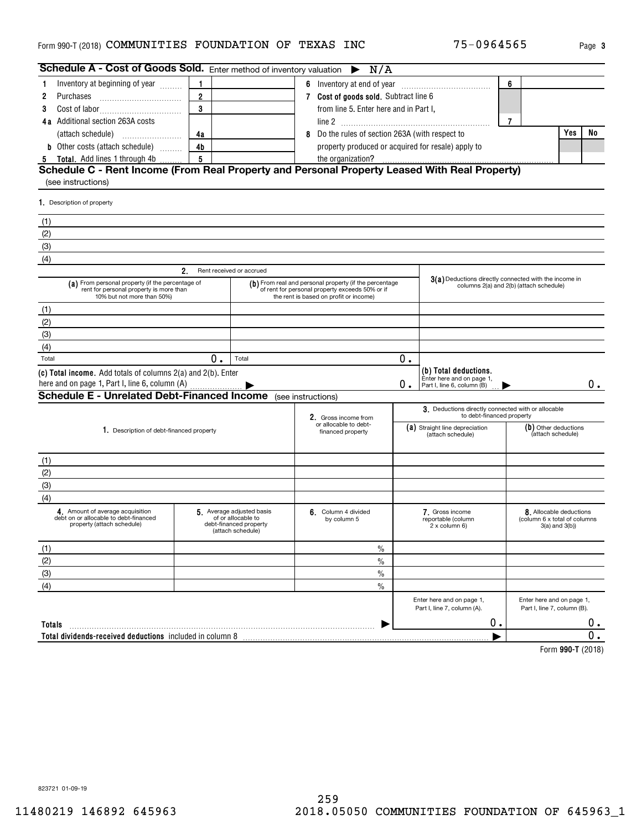### Form 990-T (2018) **COMMUNITIES FOUNDATION OF TEXAS INC** 75-0964565 Page 3

| Schedule A - Cost of Goods Sold. Enter method of inventory valuation                                                                                                 |                                |                                                                   |                                                    | $\triangleright$ N/A                                                                                                                                |                                                                                  |                                                                                  |                |                                                                           |    |  |  |  |
|----------------------------------------------------------------------------------------------------------------------------------------------------------------------|--------------------------------|-------------------------------------------------------------------|----------------------------------------------------|-----------------------------------------------------------------------------------------------------------------------------------------------------|----------------------------------------------------------------------------------|----------------------------------------------------------------------------------|----------------|---------------------------------------------------------------------------|----|--|--|--|
| Inventory at beginning of year<br>1.                                                                                                                                 | 1                              |                                                                   |                                                    |                                                                                                                                                     |                                                                                  |                                                                                  | 6              |                                                                           |    |  |  |  |
| Purchases<br>2                                                                                                                                                       | $\overline{2}$                 |                                                                   |                                                    | 7 Cost of goods sold. Subtract line 6                                                                                                               |                                                                                  |                                                                                  |                |                                                                           |    |  |  |  |
| 3                                                                                                                                                                    | 3                              |                                                                   |                                                    | from line 5. Enter here and in Part I,                                                                                                              |                                                                                  |                                                                                  |                |                                                                           |    |  |  |  |
| 4a Additional section 263A costs                                                                                                                                     |                                |                                                                   |                                                    |                                                                                                                                                     |                                                                                  |                                                                                  | $\overline{7}$ |                                                                           |    |  |  |  |
|                                                                                                                                                                      | 4a                             |                                                                   | 8                                                  | Do the rules of section 263A (with respect to                                                                                                       |                                                                                  |                                                                                  |                | Yes                                                                       | No |  |  |  |
| <b>b</b> Other costs (attach schedule)                                                                                                                               | 4 <sub>b</sub>                 |                                                                   | property produced or acquired for resale) apply to |                                                                                                                                                     |                                                                                  |                                                                                  |                |                                                                           |    |  |  |  |
| <b>5</b> Total. Add lines 1 through 4b                                                                                                                               | 5                              |                                                                   |                                                    |                                                                                                                                                     |                                                                                  |                                                                                  |                |                                                                           |    |  |  |  |
| Schedule C - Rent Income (From Real Property and Personal Property Leased With Real Property)<br>(see instructions)                                                  |                                |                                                                   |                                                    |                                                                                                                                                     |                                                                                  |                                                                                  |                |                                                                           |    |  |  |  |
| 1. Description of property                                                                                                                                           |                                |                                                                   |                                                    |                                                                                                                                                     |                                                                                  |                                                                                  |                |                                                                           |    |  |  |  |
| (1)                                                                                                                                                                  |                                |                                                                   |                                                    |                                                                                                                                                     |                                                                                  |                                                                                  |                |                                                                           |    |  |  |  |
| (2)                                                                                                                                                                  |                                |                                                                   |                                                    |                                                                                                                                                     |                                                                                  |                                                                                  |                |                                                                           |    |  |  |  |
| (3)                                                                                                                                                                  |                                |                                                                   |                                                    |                                                                                                                                                     |                                                                                  |                                                                                  |                |                                                                           |    |  |  |  |
| (4)                                                                                                                                                                  |                                |                                                                   |                                                    |                                                                                                                                                     |                                                                                  |                                                                                  |                |                                                                           |    |  |  |  |
|                                                                                                                                                                      | 2.<br>Rent received or accrued |                                                                   |                                                    |                                                                                                                                                     |                                                                                  |                                                                                  |                |                                                                           |    |  |  |  |
| (a) From personal property (if the percentage of<br>rent for personal property is more than<br>10% but not more than 50%)                                            |                                |                                                                   |                                                    | (b) From real and personal property (if the percentage<br>of rent for personal property exceeds 50% or if<br>the rent is based on profit or income) |                                                                                  | 3(a) Deductions directly connected with the income in                            |                | columns 2(a) and 2(b) (attach schedule)                                   |    |  |  |  |
| (1)                                                                                                                                                                  |                                |                                                                   |                                                    |                                                                                                                                                     |                                                                                  |                                                                                  |                |                                                                           |    |  |  |  |
| (2)                                                                                                                                                                  |                                |                                                                   |                                                    |                                                                                                                                                     |                                                                                  |                                                                                  |                |                                                                           |    |  |  |  |
| (3)                                                                                                                                                                  |                                |                                                                   |                                                    |                                                                                                                                                     |                                                                                  |                                                                                  |                |                                                                           |    |  |  |  |
| (4)                                                                                                                                                                  |                                |                                                                   |                                                    |                                                                                                                                                     |                                                                                  |                                                                                  |                |                                                                           |    |  |  |  |
| Total                                                                                                                                                                | 0.                             | Total                                                             |                                                    |                                                                                                                                                     | 0.                                                                               |                                                                                  |                |                                                                           |    |  |  |  |
| (c) Total income. Add totals of columns 2(a) and 2(b). Enter<br>here and on page 1, Part I, line 6, column (A)<br><b>Schedule E - Unrelated Debt-Financed Income</b> |                                |                                                                   |                                                    |                                                                                                                                                     | О.                                                                               | (b) Total deductions.<br>Enter here and on page 1,<br>Part I, line 6, column (B) |                |                                                                           | 0. |  |  |  |
|                                                                                                                                                                      |                                |                                                                   | (see instructions)                                 |                                                                                                                                                     |                                                                                  | 3. Deductions directly connected with or allocable                               |                |                                                                           |    |  |  |  |
| 1. Description of debt-financed property                                                                                                                             |                                |                                                                   |                                                    | 2. Gross income from<br>or allocable to debt-<br>financed property                                                                                  | to debt-financed property<br>(a) Straight line depreciation<br>(attach schedule) |                                                                                  |                | (b) Other deductions<br>(attach schedule)                                 |    |  |  |  |
| (1)                                                                                                                                                                  |                                |                                                                   |                                                    |                                                                                                                                                     |                                                                                  |                                                                                  |                |                                                                           |    |  |  |  |
| (2)                                                                                                                                                                  |                                |                                                                   |                                                    |                                                                                                                                                     |                                                                                  |                                                                                  |                |                                                                           |    |  |  |  |
| (3)                                                                                                                                                                  |                                |                                                                   |                                                    |                                                                                                                                                     |                                                                                  |                                                                                  |                |                                                                           |    |  |  |  |
| (4)                                                                                                                                                                  |                                |                                                                   |                                                    |                                                                                                                                                     |                                                                                  |                                                                                  |                |                                                                           |    |  |  |  |
| 4. Amount of average acquisition<br>debt on or allocable to debt-financed<br>property (attach schedule)                                                              | 5. Average adjusted basis      | of or allocable to<br>debt-financed propertv<br>(attach schedule) |                                                    | 6. Column 4 divided<br>by column 5                                                                                                                  |                                                                                  | 7. Gross income<br>reportable (column<br>2 x column 6)                           |                | 8. Allocable deductions<br>(column 6 x total of columns<br>3(a) and 3(b)) |    |  |  |  |
| (1)                                                                                                                                                                  |                                |                                                                   |                                                    | $\%$                                                                                                                                                |                                                                                  |                                                                                  |                |                                                                           |    |  |  |  |
| (2)                                                                                                                                                                  |                                |                                                                   |                                                    | $\%$                                                                                                                                                |                                                                                  |                                                                                  |                |                                                                           |    |  |  |  |
| (3)                                                                                                                                                                  |                                |                                                                   |                                                    | $\%$                                                                                                                                                |                                                                                  |                                                                                  |                |                                                                           |    |  |  |  |
| (4)                                                                                                                                                                  |                                |                                                                   |                                                    | $\frac{0}{0}$                                                                                                                                       |                                                                                  |                                                                                  |                |                                                                           |    |  |  |  |
|                                                                                                                                                                      |                                |                                                                   |                                                    |                                                                                                                                                     |                                                                                  | Enter here and on page 1,<br>Part I, line 7, column (A).                         |                | Enter here and on page 1,<br>Part I, line 7, column (B).                  |    |  |  |  |
| Totals                                                                                                                                                               |                                |                                                                   |                                                    |                                                                                                                                                     |                                                                                  | 0.                                                                               |                |                                                                           | 0. |  |  |  |
| Total dividends-received deductions included in column 8                                                                                                             |                                |                                                                   |                                                    |                                                                                                                                                     |                                                                                  |                                                                                  |                |                                                                           | 0. |  |  |  |
|                                                                                                                                                                      |                                |                                                                   |                                                    |                                                                                                                                                     |                                                                                  |                                                                                  |                | $Larm$ 000 T (0040)                                                       |    |  |  |  |

**990-T**  Form (2018)

823721 01-09-19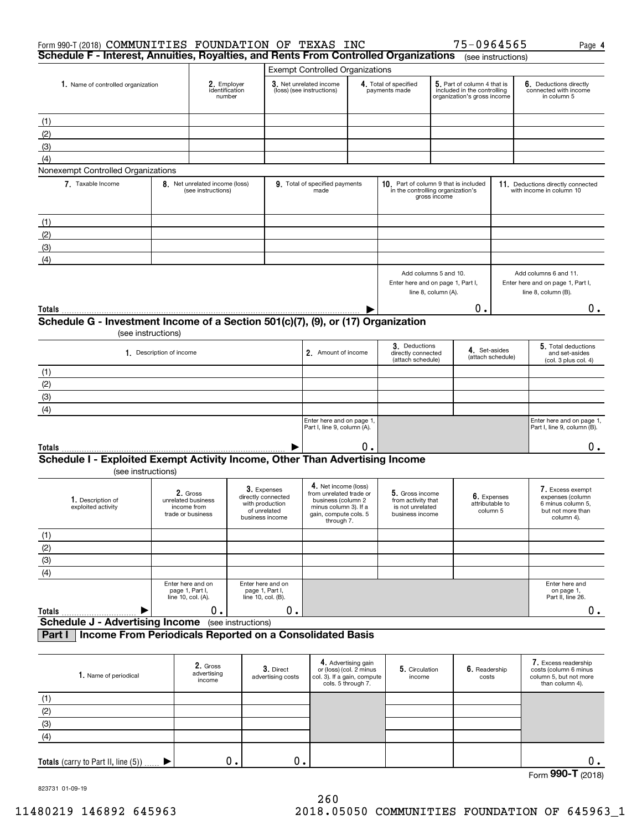| Form 990-T (2018) COMMUNITIES FOUNDATION OF TEXAS INC<br>Schedule F - Interest, Annuities, Royalties, and Rents From Controlled Organizations |                          |                                                                    |                    |                                                                                         |                                                                                                                                       |                                                                                                     |                                                                              |                                         | 75-0964565                                                                                |                         | Page 4                                                                                       |
|-----------------------------------------------------------------------------------------------------------------------------------------------|--------------------------|--------------------------------------------------------------------|--------------------|-----------------------------------------------------------------------------------------|---------------------------------------------------------------------------------------------------------------------------------------|-----------------------------------------------------------------------------------------------------|------------------------------------------------------------------------------|-----------------------------------------|-------------------------------------------------------------------------------------------|-------------------------|----------------------------------------------------------------------------------------------|
|                                                                                                                                               |                          |                                                                    |                    |                                                                                         |                                                                                                                                       |                                                                                                     |                                                                              |                                         |                                                                                           | (see instructions)      |                                                                                              |
| 1. Name of controlled organization                                                                                                            |                          | 2. Employer<br>identification<br>number                            |                    |                                                                                         | <b>Exempt Controlled Organizations</b><br>3. Net unrelated income<br>(loss) (see instructions)                                        |                                                                                                     | 4. Total of specified<br>payments made                                       |                                         | 5. Part of column 4 that is<br>included in the controlling<br>organization's gross income |                         | 6. Deductions directly<br>connected with income<br>in column 5                               |
| (1)                                                                                                                                           |                          |                                                                    |                    |                                                                                         |                                                                                                                                       |                                                                                                     |                                                                              |                                         |                                                                                           |                         |                                                                                              |
| (2)                                                                                                                                           |                          |                                                                    |                    |                                                                                         |                                                                                                                                       |                                                                                                     |                                                                              |                                         |                                                                                           |                         |                                                                                              |
| (3)                                                                                                                                           |                          |                                                                    |                    |                                                                                         |                                                                                                                                       |                                                                                                     |                                                                              |                                         |                                                                                           |                         |                                                                                              |
| (4)                                                                                                                                           |                          |                                                                    |                    |                                                                                         |                                                                                                                                       |                                                                                                     |                                                                              |                                         |                                                                                           |                         |                                                                                              |
| Nonexempt Controlled Organizations                                                                                                            |                          |                                                                    |                    |                                                                                         |                                                                                                                                       |                                                                                                     |                                                                              |                                         |                                                                                           |                         |                                                                                              |
| 7. Taxable Income                                                                                                                             |                          | 8. Net unrelated income (loss)<br>(see instructions)               |                    |                                                                                         | 9. Total of specified payments<br>made                                                                                                |                                                                                                     | 10. Part of column 9 that is included<br>in the controlling organization's   | gross income                            |                                                                                           |                         | 11. Deductions directly connected<br>with income in column 10                                |
| (1)                                                                                                                                           |                          |                                                                    |                    |                                                                                         |                                                                                                                                       |                                                                                                     |                                                                              |                                         |                                                                                           |                         |                                                                                              |
| (2)                                                                                                                                           |                          |                                                                    |                    |                                                                                         |                                                                                                                                       |                                                                                                     |                                                                              |                                         |                                                                                           |                         |                                                                                              |
| (3)                                                                                                                                           |                          |                                                                    |                    |                                                                                         |                                                                                                                                       |                                                                                                     |                                                                              |                                         |                                                                                           |                         |                                                                                              |
| (4)                                                                                                                                           |                          |                                                                    |                    |                                                                                         |                                                                                                                                       |                                                                                                     |                                                                              |                                         |                                                                                           |                         |                                                                                              |
|                                                                                                                                               |                          |                                                                    |                    |                                                                                         |                                                                                                                                       |                                                                                                     | Add columns 5 and 10.<br>Enter here and on page 1, Part I,                   | line 8, column (A).                     |                                                                                           |                         | Add columns 6 and 11.<br>Enter here and on page 1, Part I,<br>line 8, column (B).            |
| Totals                                                                                                                                        |                          |                                                                    |                    |                                                                                         |                                                                                                                                       |                                                                                                     |                                                                              |                                         | 0.                                                                                        |                         | 0.                                                                                           |
| Schedule G - Investment Income of a Section 501(c)(7), (9), or (17) Organization                                                              |                          |                                                                    |                    |                                                                                         |                                                                                                                                       |                                                                                                     |                                                                              |                                         |                                                                                           |                         |                                                                                              |
| (see instructions)                                                                                                                            |                          |                                                                    |                    |                                                                                         |                                                                                                                                       |                                                                                                     | 3. Deductions                                                                |                                         |                                                                                           |                         | 5. Total deductions                                                                          |
|                                                                                                                                               | 1. Description of income |                                                                    |                    |                                                                                         | 2. Amount of income                                                                                                                   |                                                                                                     |                                                                              | directly connected<br>(attach schedule) | 4. Set-asides                                                                             | (attach schedule)       | and set-asides<br>(col. 3 plus col. 4)                                                       |
| (1)                                                                                                                                           |                          |                                                                    |                    |                                                                                         |                                                                                                                                       |                                                                                                     |                                                                              |                                         |                                                                                           |                         |                                                                                              |
| (2)                                                                                                                                           |                          |                                                                    |                    |                                                                                         |                                                                                                                                       |                                                                                                     |                                                                              |                                         |                                                                                           |                         |                                                                                              |
| (3)                                                                                                                                           |                          |                                                                    |                    |                                                                                         |                                                                                                                                       |                                                                                                     |                                                                              |                                         |                                                                                           |                         |                                                                                              |
| (4)                                                                                                                                           |                          |                                                                    |                    |                                                                                         |                                                                                                                                       |                                                                                                     |                                                                              |                                         |                                                                                           |                         |                                                                                              |
|                                                                                                                                               |                          |                                                                    |                    |                                                                                         | Enter here and on page 1,<br>Part I, line 9, column (A).                                                                              |                                                                                                     |                                                                              |                                         |                                                                                           |                         | Enter here and on page 1,<br>Part I, line 9, column (B).                                     |
| Totals                                                                                                                                        |                          |                                                                    |                    |                                                                                         |                                                                                                                                       | О.                                                                                                  |                                                                              |                                         |                                                                                           |                         | $0$ .                                                                                        |
| Schedule I - Exploited Exempt Activity Income, Other Than Advertising Income<br>(see instructions)                                            |                          |                                                                    |                    |                                                                                         |                                                                                                                                       |                                                                                                     |                                                                              |                                         |                                                                                           |                         |                                                                                              |
| 1. Description of<br>exploited activity                                                                                                       |                          | 2. Gross<br>unrelated business<br>income from<br>trade or business |                    | 3. Expenses<br>directly connected<br>with production<br>of unrelated<br>business income | 4. Net income (loss)<br>from unrelated trade or<br>business (column 2<br>minus column 3). If a<br>gain, compute cols. 5<br>through 7. |                                                                                                     | 5. Gross income<br>from activity that<br>is not unrelated<br>business income |                                         | attributable to                                                                           | 6. Expenses<br>column 5 | 7. Excess exempt<br>expenses (column<br>6 minus column 5,<br>but not more than<br>column 4). |
| (1)                                                                                                                                           |                          |                                                                    |                    |                                                                                         |                                                                                                                                       |                                                                                                     |                                                                              |                                         |                                                                                           |                         |                                                                                              |
| (2)                                                                                                                                           |                          |                                                                    |                    |                                                                                         |                                                                                                                                       |                                                                                                     |                                                                              |                                         |                                                                                           |                         |                                                                                              |
| (3)                                                                                                                                           |                          |                                                                    |                    |                                                                                         |                                                                                                                                       |                                                                                                     |                                                                              |                                         |                                                                                           |                         |                                                                                              |
| (4)                                                                                                                                           |                          |                                                                    |                    |                                                                                         |                                                                                                                                       |                                                                                                     |                                                                              |                                         |                                                                                           |                         |                                                                                              |
| Totals                                                                                                                                        |                          | Enter here and on<br>page 1, Part I,<br>line 10, col. (A).<br>Ο.   |                    | Enter here and on<br>page 1, Part I,<br>line 10, col. (B).<br>0.                        |                                                                                                                                       |                                                                                                     |                                                                              |                                         |                                                                                           |                         | Enter here and<br>on page 1,<br>Part II, line 26.<br>0.                                      |
| <b>Schedule J - Advertising Income</b>                                                                                                        |                          |                                                                    | (see instructions) |                                                                                         |                                                                                                                                       |                                                                                                     |                                                                              |                                         |                                                                                           |                         |                                                                                              |
| Income From Periodicals Reported on a Consolidated Basis<br>Part I                                                                            |                          |                                                                    |                    |                                                                                         |                                                                                                                                       |                                                                                                     |                                                                              |                                         |                                                                                           |                         |                                                                                              |
| 1. Name of periodical                                                                                                                         |                          | 2. Gross<br>advertising<br>income                                  |                    | 3. Direct<br>advertising costs                                                          |                                                                                                                                       | 4. Advertising gain<br>or (loss) (col. 2 minus<br>col. 3). If a gain, compute<br>cols. 5 through 7. | 5. Circulation<br>income                                                     |                                         | 6. Readership<br>costs                                                                    |                         | 7. Excess readership<br>costs (column 6 minus<br>column 5, but not more<br>than column 4).   |
| (1)                                                                                                                                           |                          |                                                                    |                    |                                                                                         |                                                                                                                                       |                                                                                                     |                                                                              |                                         |                                                                                           |                         |                                                                                              |
| (2)                                                                                                                                           |                          |                                                                    |                    |                                                                                         |                                                                                                                                       |                                                                                                     |                                                                              |                                         |                                                                                           |                         |                                                                                              |
| (3)                                                                                                                                           |                          |                                                                    |                    |                                                                                         |                                                                                                                                       |                                                                                                     |                                                                              |                                         |                                                                                           |                         |                                                                                              |

823731 01-09-19

(4)

**Totals** (carry to Part II, line (5))

 $\blacktriangleright$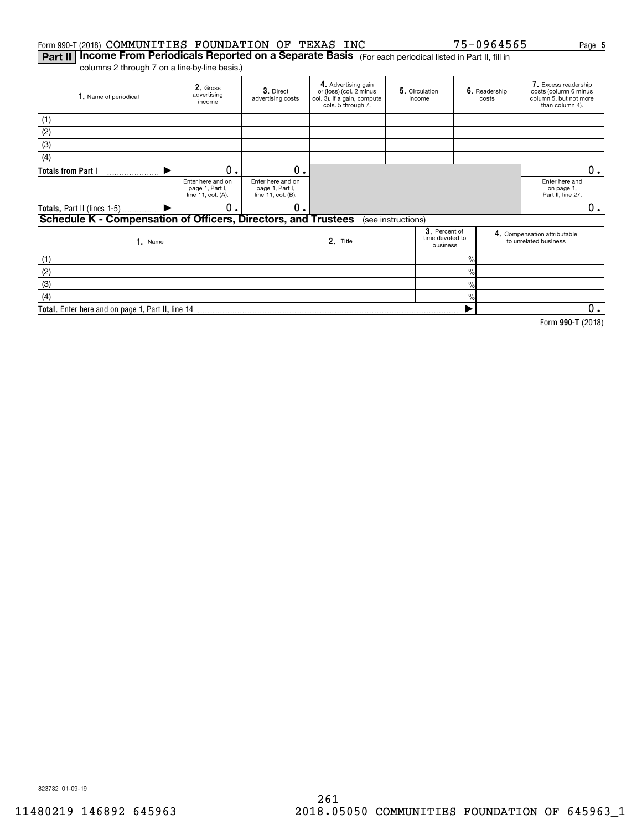#### Form 990-T(2018)  $\mathsf{COMMUNITIES}$  FOUNDATION OF TEXAS INC  $75\text{--}0964565$  Page

 $\frac{9}{6}$ 

 $\blacktriangleright$ 

**Part II | Income From Periodicals Reported on a Separate Basis** (For each periodical listed in Part II, fill in columns 2 through 7 on a line-by-line basis.)

**Total.**  Enter here and on page 1, Part II, line 14

**2.** Gross<br>advertising income **3.** Direct advertising costs **4.** Advertising gain<br>or (loss) (col. 2 minus col. 3). If a gain, compute cols. 5 through 7. **5.** Circulation | **6.** income Readership costs Excess readership **7.**  costs (column 6 minus column 5, but not more than column 4). **1.** Name of periodical Enter here and on page 1, Part I, line 11, col. (A). Enter here and on page 1, Part I, line 11, col. (B). Enter here and on page 1, Part II, line 27. **3**. Percent of<br>time devoted to<br>business e and the compensation attributable<br>
2. Title to unrelated business<br>
to unrelated business<br>
to unrelated business Name**1. 2. Totals from Part I Totals,** Part II (lines 1-5) **Schedule K - Compensation of Officers, Directors, and Trustees 3. 4.**  $\frac{1}{2}$  $\frac{1}{2}$ %(1) (2) (3) (4) (see instructions) (1) (2) (3) $\blacktriangleright$  $\blacktriangleright$  $0.$  0 0. 0. 0.  $0_{.}$ 

 $\overline{0}$ .

**990-T**  Form (2018)

823732 01-09-19

(4)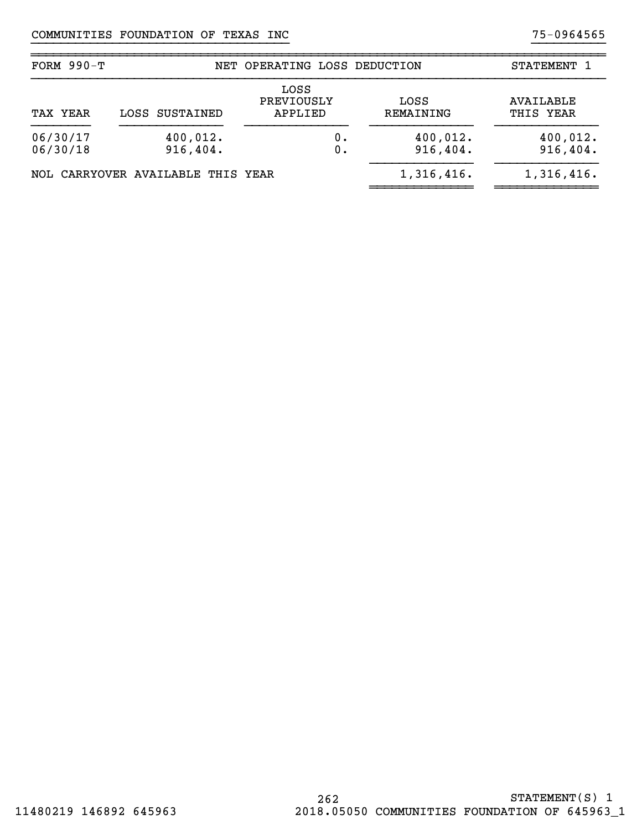| FORM $990-T$               |                                   | NET OPERATING LOSS DEDUCTION  |                      | STATEMENT 1            |
|----------------------------|-----------------------------------|-------------------------------|----------------------|------------------------|
| LOSS SUSTAINED<br>TAX YEAR |                                   | LOSS<br>PREVIOUSLY<br>APPLIED | LOSS<br>REMAINING    | AVAILABLE<br>THIS YEAR |
| 06/30/17<br>06/30/18       | 400,012.<br>916, 404.             | О.<br>0.                      | 400,012.<br>916,404. | 400,012.<br>916,404.   |
|                            | NOL CARRYOVER AVAILABLE THIS YEAR |                               | 1,316,416.           | 1,316,416.             |

}}}}}}}}}}}}}}}}}}}}}}}}}}}}}}}}}}} }}}}}}}}}}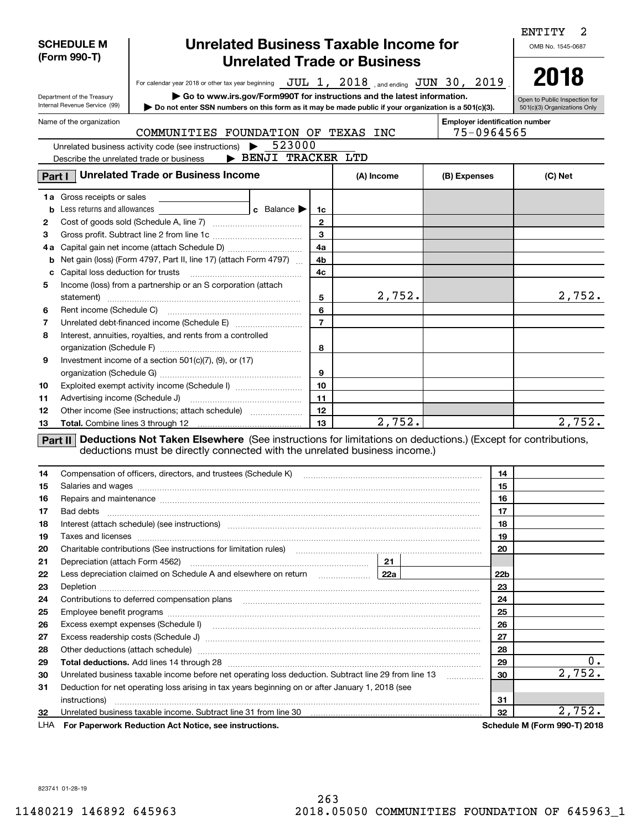|          | <b>Unrelated Business Taxable Income for</b><br><b>SCHEDULE M</b><br>(Form 990-T)<br><b>Unrelated Trade or Business</b> |                                                                                                                                                                                                                                                                                                                      |                     |                         |  |            |                                                     |                 |                               |  |
|----------|-------------------------------------------------------------------------------------------------------------------------|----------------------------------------------------------------------------------------------------------------------------------------------------------------------------------------------------------------------------------------------------------------------------------------------------------------------|---------------------|-------------------------|--|------------|-----------------------------------------------------|-----------------|-------------------------------|--|
|          |                                                                                                                         | For calendar year 2018 or other tax year beginning $JUL$ 1, $2018$ , and ending $JUN$ 30, $2019$                                                                                                                                                                                                                     |                     |                         |  |            |                                                     |                 | 2018                          |  |
|          | Department of the Treasury<br>Internal Revenue Service (99)                                                             | Go to www.irs.gov/Form990T for instructions and the latest information.                                                                                                                                                                                                                                              |                     |                         |  |            |                                                     |                 | Open to Public Inspection for |  |
|          |                                                                                                                         | Do not enter SSN numbers on this form as it may be made public if your organization is a 501(c)(3).                                                                                                                                                                                                                  |                     |                         |  |            |                                                     |                 | 501(c)(3) Organizations Only  |  |
|          | Name of the organization                                                                                                | COMMUNITIES FOUNDATION OF TEXAS                                                                                                                                                                                                                                                                                      |                     |                         |  | <b>INC</b> | <b>Employer identification number</b><br>75-0964565 |                 |                               |  |
|          |                                                                                                                         | Unrelated business activity code (see instructions)                                                                                                                                                                                                                                                                  | 523000              |                         |  |            |                                                     |                 |                               |  |
|          |                                                                                                                         | Describe the unrelated trade or business                                                                                                                                                                                                                                                                             | > BENJI TRACKER LTD |                         |  |            |                                                     |                 |                               |  |
| Part I   |                                                                                                                         | <b>Unrelated Trade or Business Income</b>                                                                                                                                                                                                                                                                            |                     |                         |  | (A) Income | (B) Expenses                                        |                 | (C) Net                       |  |
|          | <b>1a</b> Gross receipts or sales                                                                                       |                                                                                                                                                                                                                                                                                                                      |                     |                         |  |            |                                                     |                 |                               |  |
|          | <b>b</b> Less returns and allowances                                                                                    |                                                                                                                                                                                                                                                                                                                      | c Balance           | 1c                      |  |            |                                                     |                 |                               |  |
| 2        |                                                                                                                         |                                                                                                                                                                                                                                                                                                                      |                     | $\mathbf{2}$            |  |            |                                                     |                 |                               |  |
| з        |                                                                                                                         |                                                                                                                                                                                                                                                                                                                      |                     | $\overline{\mathbf{3}}$ |  |            |                                                     |                 |                               |  |
|          |                                                                                                                         | 4a Capital gain net income (attach Schedule D)                                                                                                                                                                                                                                                                       |                     | 4a                      |  |            |                                                     |                 |                               |  |
| b        |                                                                                                                         | Net gain (loss) (Form 4797, Part II, line 17) (attach Form 4797)                                                                                                                                                                                                                                                     |                     | 4b                      |  |            |                                                     |                 |                               |  |
| c        |                                                                                                                         |                                                                                                                                                                                                                                                                                                                      |                     | 4c                      |  |            |                                                     |                 |                               |  |
| 5        |                                                                                                                         | Income (loss) from a partnership or an S corporation (attach                                                                                                                                                                                                                                                         |                     |                         |  | 2,752.     |                                                     |                 | 2,752.                        |  |
| 6        |                                                                                                                         |                                                                                                                                                                                                                                                                                                                      |                     | 5<br>6                  |  |            |                                                     |                 |                               |  |
| 7        |                                                                                                                         |                                                                                                                                                                                                                                                                                                                      |                     | $\overline{7}$          |  |            |                                                     |                 |                               |  |
| 8        |                                                                                                                         | Interest, annuities, royalties, and rents from a controlled                                                                                                                                                                                                                                                          |                     |                         |  |            |                                                     |                 |                               |  |
|          |                                                                                                                         |                                                                                                                                                                                                                                                                                                                      |                     | 8                       |  |            |                                                     |                 |                               |  |
| 9        |                                                                                                                         | Investment income of a section $501(c)(7)$ , $(9)$ , or $(17)$                                                                                                                                                                                                                                                       |                     |                         |  |            |                                                     |                 |                               |  |
|          |                                                                                                                         |                                                                                                                                                                                                                                                                                                                      |                     | 9                       |  |            |                                                     |                 |                               |  |
| 10       |                                                                                                                         | Exploited exempt activity income (Schedule I)                                                                                                                                                                                                                                                                        |                     | 10                      |  |            |                                                     |                 |                               |  |
| 11       |                                                                                                                         |                                                                                                                                                                                                                                                                                                                      |                     | 11                      |  |            |                                                     |                 |                               |  |
| 12       |                                                                                                                         | Other income (See instructions; attach schedule)                                                                                                                                                                                                                                                                     |                     | 12                      |  |            |                                                     |                 |                               |  |
| 13       |                                                                                                                         |                                                                                                                                                                                                                                                                                                                      |                     | 13                      |  | 2,752.     |                                                     |                 | 2,752.                        |  |
| 14       |                                                                                                                         | Part II Deductions Not Taken Elsewhere (See instructions for limitations on deductions.) (Except for contributions,<br>deductions must be directly connected with the unrelated business income.)<br>Compensation of officers, directors, and trustees (Schedule K) [11] [2000] [2000] [2000] [2000] [2000] [2000] [ |                     |                         |  |            |                                                     | 14              |                               |  |
| 15       |                                                                                                                         | Salaries and wages with the continuum contract of the contract of the contract of the contract of the contract of the contract of the contract of the contract of the contract of the contract of the contract of the contract                                                                                       |                     |                         |  |            |                                                     | 15              |                               |  |
| 16       |                                                                                                                         | Repairs and maintenance measurements are all the contract of the contract of the contract of the contract of the contract of the contract of the contract of the contract of the contract of the contract of the contract of t                                                                                       |                     |                         |  |            |                                                     | 16              |                               |  |
| 17       |                                                                                                                         |                                                                                                                                                                                                                                                                                                                      |                     |                         |  |            |                                                     | 17              |                               |  |
| 18       |                                                                                                                         |                                                                                                                                                                                                                                                                                                                      |                     |                         |  |            |                                                     | 18              |                               |  |
| 19       |                                                                                                                         |                                                                                                                                                                                                                                                                                                                      |                     |                         |  |            |                                                     | 19              |                               |  |
| 20       |                                                                                                                         | Charitable contributions (See instructions for limitation rules) [11] manufacture contributions (See instructions for limitation rules)                                                                                                                                                                              |                     |                         |  |            |                                                     | 20              |                               |  |
| 21       |                                                                                                                         |                                                                                                                                                                                                                                                                                                                      |                     |                         |  |            |                                                     |                 |                               |  |
| 22       |                                                                                                                         | Less depreciation claimed on Schedule A and elsewhere on return <b>2000</b> 22a   22a   22a   22a   22a   22a   22a   22a   22a   22a   22a   22a   22a   22a   22a   22a   22a   22a   22a   22a   22a   22a   22a   22a   22a   2                                                                                  |                     |                         |  |            |                                                     | 22 <sub>b</sub> |                               |  |
| 23       |                                                                                                                         |                                                                                                                                                                                                                                                                                                                      |                     |                         |  |            |                                                     | 23              |                               |  |
| 24       |                                                                                                                         |                                                                                                                                                                                                                                                                                                                      |                     |                         |  |            |                                                     | 24              |                               |  |
| 25       |                                                                                                                         |                                                                                                                                                                                                                                                                                                                      |                     |                         |  |            |                                                     | 25              |                               |  |
| 26       |                                                                                                                         |                                                                                                                                                                                                                                                                                                                      |                     |                         |  |            |                                                     | 26<br>27        |                               |  |
| 27<br>28 |                                                                                                                         |                                                                                                                                                                                                                                                                                                                      |                     |                         |  |            |                                                     | 28              |                               |  |
| 29       |                                                                                                                         | Other deductions (attach schedule) manufactured and an architecture of the deductions (attach schedule) manufactured and architecture of the deductions (attach schedule)                                                                                                                                            |                     |                         |  |            |                                                     | 29              | 0.                            |  |
| 30       |                                                                                                                         | Unrelated business taxable income before net operating loss deduction. Subtract line 29 from line 13                                                                                                                                                                                                                 |                     |                         |  |            |                                                     | 30              | 2,752.                        |  |
| 31       |                                                                                                                         | Deduction for net operating loss arising in tax years beginning on or after January 1, 2018 (see                                                                                                                                                                                                                     |                     |                         |  |            |                                                     |                 |                               |  |
|          |                                                                                                                         |                                                                                                                                                                                                                                                                                                                      |                     |                         |  |            |                                                     | 31              |                               |  |
| 32       |                                                                                                                         | Unrelated business taxable income. Subtract line 31 from line 30 manufacture incommunity control of the United                                                                                                                                                                                                       |                     |                         |  |            |                                                     | 32              | 2,752.                        |  |
| LHA      |                                                                                                                         | For Paperwork Reduction Act Notice, see instructions.                                                                                                                                                                                                                                                                |                     |                         |  |            |                                                     |                 | Schedule M (Form 990-T) 2018  |  |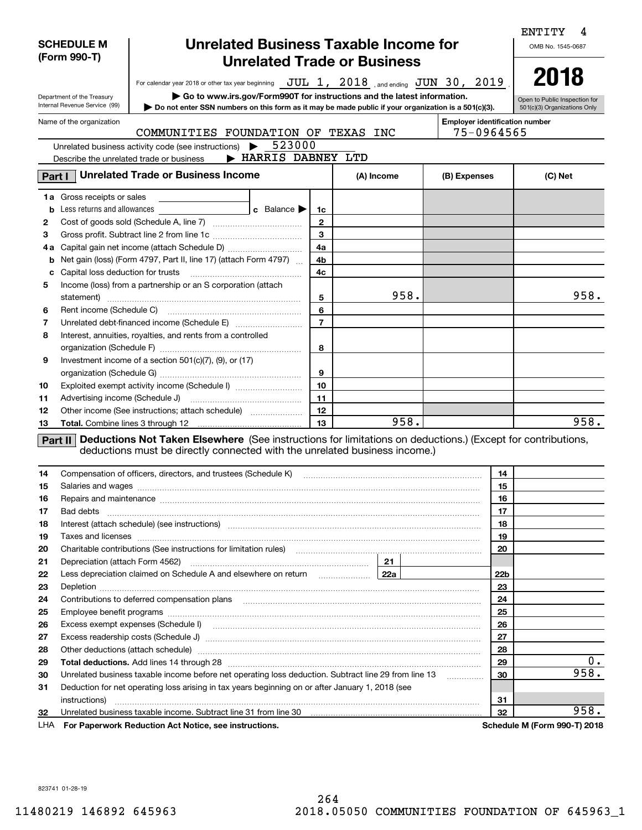|          | <b>SCHEDULE M</b><br>(Form 990-T) |                                                                                                                                                                                                                                                                     | ENTITY<br>OMB No. 1545-0687 |                |            |      |                                                     |                 |                               |
|----------|-----------------------------------|---------------------------------------------------------------------------------------------------------------------------------------------------------------------------------------------------------------------------------------------------------------------|-----------------------------|----------------|------------|------|-----------------------------------------------------|-----------------|-------------------------------|
|          |                                   | For calendar year 2018 or other tax year beginning JUL 1, 2018, and ending JUN 30, 2019                                                                                                                                                                             |                             |                |            |      |                                                     |                 | 2018                          |
|          | Department of the Treasury        | $\triangleright$ Go to www.irs.gov/Form990T for instructions and the latest information.                                                                                                                                                                            |                             |                |            |      |                                                     |                 | Open to Public Inspection for |
|          | Internal Revenue Service (99)     | Do not enter SSN numbers on this form as it may be made public if your organization is a 501(c)(3).                                                                                                                                                                 |                             |                |            |      |                                                     |                 | 501(c)(3) Organizations Only  |
|          | Name of the organization          | COMMUNITIES FOUNDATION OF TEXAS INC                                                                                                                                                                                                                                 |                             |                |            |      | <b>Employer identification number</b><br>75-0964565 |                 |                               |
|          |                                   | Unrelated business activity code (see instructions)<br>▶                                                                                                                                                                                                            | 523000                      |                |            |      |                                                     |                 |                               |
|          |                                   | Describe the unrelated trade or business                                                                                                                                                                                                                            | > HARRIS DABNEY LTD         |                |            |      |                                                     |                 |                               |
|          |                                   | <b>Unrelated Trade or Business Income</b>                                                                                                                                                                                                                           |                             |                |            |      |                                                     |                 |                               |
| Part I   |                                   |                                                                                                                                                                                                                                                                     |                             |                | (A) Income |      | (B) Expenses                                        |                 | (C) Net                       |
|          | 1a Gross receipts or sales        |                                                                                                                                                                                                                                                                     |                             |                |            |      |                                                     |                 |                               |
| b        | Less returns and allowances       |                                                                                                                                                                                                                                                                     | c Balance                   | 1c             |            |      |                                                     |                 |                               |
| 2        |                                   |                                                                                                                                                                                                                                                                     |                             | $\mathbf{2}$   |            |      |                                                     |                 |                               |
| з        |                                   |                                                                                                                                                                                                                                                                     |                             | 3              |            |      |                                                     |                 |                               |
|          |                                   | 4a Capital gain net income (attach Schedule D)                                                                                                                                                                                                                      |                             | 4a             |            |      |                                                     |                 |                               |
| b        |                                   | Net gain (loss) (Form 4797, Part II, line 17) (attach Form 4797)                                                                                                                                                                                                    |                             | 4b<br>4c       |            |      |                                                     |                 |                               |
| c<br>5   |                                   | Income (loss) from a partnership or an S corporation (attach                                                                                                                                                                                                        |                             |                |            |      |                                                     |                 |                               |
|          |                                   |                                                                                                                                                                                                                                                                     |                             | 5              |            | 958. |                                                     |                 | 958.                          |
| 6        |                                   |                                                                                                                                                                                                                                                                     |                             | 6              |            |      |                                                     |                 |                               |
| 7        |                                   |                                                                                                                                                                                                                                                                     |                             | $\overline{7}$ |            |      |                                                     |                 |                               |
| 8        |                                   | Interest, annuities, royalties, and rents from a controlled                                                                                                                                                                                                         |                             |                |            |      |                                                     |                 |                               |
|          |                                   |                                                                                                                                                                                                                                                                     |                             | 8              |            |      |                                                     |                 |                               |
| 9        |                                   | Investment income of a section $501(c)(7)$ , $(9)$ , or $(17)$                                                                                                                                                                                                      |                             |                |            |      |                                                     |                 |                               |
|          |                                   |                                                                                                                                                                                                                                                                     |                             | 9              |            |      |                                                     |                 |                               |
| 10       |                                   | Exploited exempt activity income (Schedule I)                                                                                                                                                                                                                       |                             | 10             |            |      |                                                     |                 |                               |
| 11       |                                   |                                                                                                                                                                                                                                                                     |                             | 11             |            |      |                                                     |                 |                               |
| 12       |                                   | Other income (See instructions; attach schedule)                                                                                                                                                                                                                    |                             | 12             |            |      |                                                     |                 |                               |
| 13       |                                   |                                                                                                                                                                                                                                                                     |                             | 13             |            | 958. |                                                     |                 | 958.                          |
| 14       |                                   | Part II Deductions Not Taken Elsewhere (See instructions for limitations on deductions.) (Except for contributions,<br>deductions must be directly connected with the unrelated business income.)<br>Compensation of officers, directors, and trustees (Schedule K) |                             |                |            |      |                                                     | 14              |                               |
| 15       |                                   | Salaries and wages with the continuum contract of the contract of the contract of the contract of the contract of the contract of the contract of the contract of the contract of the contract of the contract of the contract                                      |                             |                |            |      |                                                     | 15              |                               |
|          |                                   | Repairs and maintenance material content and a state of the state of the state of the state of the state of the state of the state of the state of the state of the state of the state of the state of the state of the state                                       |                             |                |            |      |                                                     | 16              |                               |
| 17       | Bad debts                         |                                                                                                                                                                                                                                                                     |                             |                |            |      |                                                     | 17              |                               |
| 18       |                                   | Interest (attach schedule) (see instructions) manufactured and according to the contract of the schedule) (see instructions)                                                                                                                                        |                             |                |            |      |                                                     | 18              |                               |
| 19       |                                   | Taxes and licenses <b>with a construction of the construction of the construction of the construction</b> of the construction of the construction of the construction of the construction of the construction of the construction o                                 |                             |                |            |      |                                                     | 19              |                               |
| 20       |                                   | Charitable contributions (See instructions for limitation rules) [11] manufacture contributions (See instructions for limitation rules) [11] manufacture contributions (See instructions for limitation rules) [11] manufactur                                      |                             |                |            |      |                                                     | 20              |                               |
| 21       |                                   |                                                                                                                                                                                                                                                                     |                             |                |            | 21   |                                                     |                 |                               |
| 22       |                                   | Less depreciation claimed on Schedule A and elsewhere on return [22a]                                                                                                                                                                                               |                             |                |            |      |                                                     | 22 <sub>b</sub> |                               |
| 23       |                                   |                                                                                                                                                                                                                                                                     |                             |                |            |      |                                                     | 23              |                               |
| 24       |                                   |                                                                                                                                                                                                                                                                     |                             |                |            |      |                                                     | 24              |                               |
| 25       |                                   |                                                                                                                                                                                                                                                                     |                             |                |            |      |                                                     | 25              |                               |
| 26       |                                   |                                                                                                                                                                                                                                                                     |                             |                |            |      |                                                     | 26              |                               |
| 27       |                                   |                                                                                                                                                                                                                                                                     |                             |                |            |      |                                                     | 27              |                               |
| 28       |                                   | Other deductions (attach schedule) manufactured and according to the deductions (attach schedule) manufactured and according to the deductions (attach schedule) manufactured and according to the deduction of the determinan                                      |                             |                |            |      |                                                     | 28              | $0$ .                         |
| 29       |                                   |                                                                                                                                                                                                                                                                     |                             |                |            |      |                                                     | 29<br>30        | 958.                          |
| 30<br>31 |                                   | Unrelated business taxable income before net operating loss deduction. Subtract line 29 from line 13<br>Deduction for net operating loss arising in tax years beginning on or after January 1, 2018 (see                                                            |                             |                |            |      | .                                                   |                 |                               |
|          |                                   |                                                                                                                                                                                                                                                                     |                             |                |            |      |                                                     | 31              |                               |
| 32       |                                   | Unrelated business taxable income. Subtract line 31 from line 30 manufactured incommunity control of the Unit                                                                                                                                                       |                             |                |            |      |                                                     | 32              | 958.                          |
| LHA      |                                   | For Paperwork Reduction Act Notice, see instructions.                                                                                                                                                                                                               |                             |                |            |      |                                                     |                 | Schedule M (Form 990-T) 2018  |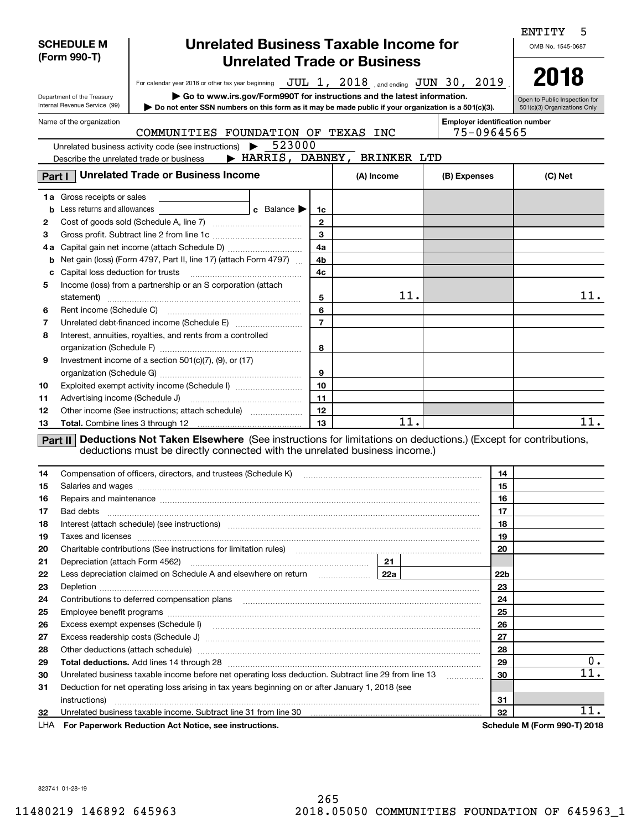|          |                                   |                                                                                                                                                                                                                                      |                |            |                                       |          | ENTITY<br>5                   |
|----------|-----------------------------------|--------------------------------------------------------------------------------------------------------------------------------------------------------------------------------------------------------------------------------------|----------------|------------|---------------------------------------|----------|-------------------------------|
|          | <b>SCHEDULE M</b>                 | <b>Unrelated Business Taxable Income for</b>                                                                                                                                                                                         |                |            |                                       |          | OMB No. 1545-0687             |
|          | (Form 990-T)                      | <b>Unrelated Trade or Business</b>                                                                                                                                                                                                   |                |            |                                       |          |                               |
|          |                                   |                                                                                                                                                                                                                                      |                |            |                                       |          | 2018                          |
|          |                                   | For calendar year 2018 or other tax year beginning $JUL$ 1, $2018$ and ending $JUN$ 30, $2019$                                                                                                                                       |                |            |                                       |          |                               |
|          | Department of the Treasury        | Go to www.irs.gov/Form990T for instructions and the latest information.                                                                                                                                                              |                |            |                                       |          | Open to Public Inspection for |
|          | Internal Revenue Service (99)     | Do not enter SSN numbers on this form as it may be made public if your organization is a 501(c)(3).                                                                                                                                  |                |            |                                       |          | 501(c)(3) Organizations Only  |
|          | Name of the organization          |                                                                                                                                                                                                                                      |                |            | <b>Employer identification number</b> |          |                               |
|          |                                   | COMMUNITIES FOUNDATION OF TEXAS INC<br>523000                                                                                                                                                                                        |                |            | 75-0964565                            |          |                               |
|          |                                   | Unrelated business activity code (see instructions) $\blacktriangleright$<br>> HARRIS, DABNEY, BRINKER LTD                                                                                                                           |                |            |                                       |          |                               |
|          |                                   | Describe the unrelated trade or business                                                                                                                                                                                             |                |            |                                       |          |                               |
| Part I   |                                   | <b>Unrelated Trade or Business Income</b>                                                                                                                                                                                            |                | (A) Income | (B) Expenses                          |          | (C) Net                       |
|          | <b>1a</b> Gross receipts or sales |                                                                                                                                                                                                                                      |                |            |                                       |          |                               |
| b        | Less returns and allowances       | <b>c</b> Balance $\blacktriangleright$                                                                                                                                                                                               | 1c             |            |                                       |          |                               |
| 2        |                                   |                                                                                                                                                                                                                                      | $\mathbf{2}$   |            |                                       |          |                               |
| 3        |                                   |                                                                                                                                                                                                                                      | $\mathbf{3}$   |            |                                       |          |                               |
| 4a       |                                   |                                                                                                                                                                                                                                      | 4a             |            |                                       |          |                               |
| b        |                                   | Net gain (loss) (Form 4797, Part II, line 17) (attach Form 4797)                                                                                                                                                                     | 4b             |            |                                       |          |                               |
| с        | Capital loss deduction for trusts |                                                                                                                                                                                                                                      | 4 <sub>c</sub> |            |                                       |          |                               |
| 5        |                                   | Income (loss) from a partnership or an S corporation (attach                                                                                                                                                                         |                |            |                                       |          |                               |
|          |                                   |                                                                                                                                                                                                                                      | 5              | 11.        |                                       |          | 11.                           |
| 6        |                                   |                                                                                                                                                                                                                                      | 6              |            |                                       |          |                               |
| 7        |                                   |                                                                                                                                                                                                                                      | $\overline{7}$ |            |                                       |          |                               |
| 8        |                                   | Interest, annuities, royalties, and rents from a controlled                                                                                                                                                                          |                |            |                                       |          |                               |
|          |                                   |                                                                                                                                                                                                                                      | 8              |            |                                       |          |                               |
| 9        |                                   | Investment income of a section $501(c)(7)$ , (9), or (17)                                                                                                                                                                            |                |            |                                       |          |                               |
|          |                                   |                                                                                                                                                                                                                                      | 9              |            |                                       |          |                               |
| 10       |                                   | Exploited exempt activity income (Schedule I)                                                                                                                                                                                        | 10             |            |                                       |          |                               |
| 11       |                                   |                                                                                                                                                                                                                                      | 11<br>12       |            |                                       |          |                               |
| 12       |                                   | Other income (See instructions; attach schedule)                                                                                                                                                                                     | 13             | 11.        |                                       |          | 11.                           |
| 13       |                                   |                                                                                                                                                                                                                                      |                |            |                                       |          |                               |
|          | Part II                           | Deductions Not Taken Elsewhere (See instructions for limitations on deductions.) (Except for contributions,<br>deductions must be directly connected with the unrelated business income.)                                            |                |            |                                       |          |                               |
|          |                                   |                                                                                                                                                                                                                                      |                |            |                                       |          |                               |
| 14       |                                   | Compensation of officers, directors, and trustees (Schedule K)                                                                                                                                                                       |                |            |                                       | 14       |                               |
| 15       |                                   | Salaries and wages <b>construction and construction of the set of the set of the set of the set of the set of the set of the set of the set of the set of the set of the set of the set of the set of the set of the set of the </b> |                |            |                                       | 15       |                               |
| 16       |                                   | Repairs and maintenance www.communication.com/www.communication.com/www.communication.com/www.com                                                                                                                                    |                |            |                                       | 16       |                               |
| 17       | Bad debts                         |                                                                                                                                                                                                                                      |                |            |                                       | 17       |                               |
| 18       |                                   |                                                                                                                                                                                                                                      |                |            |                                       | 18       |                               |
| 19       |                                   |                                                                                                                                                                                                                                      |                |            |                                       | 19       |                               |
| 20       |                                   | Charitable contributions (See instructions for limitation rules) [11] manufacture contributions (See instructions for limitation rules)                                                                                              |                |            |                                       | 20       |                               |
| 21       |                                   |                                                                                                                                                                                                                                      |                |            |                                       |          |                               |
| 22       |                                   | Less depreciation claimed on Schedule A and elsewhere on return <i>manumenting</i> 22a                                                                                                                                               |                |            |                                       | 22b      |                               |
| 23       |                                   |                                                                                                                                                                                                                                      |                |            |                                       | 23       |                               |
| 24       |                                   |                                                                                                                                                                                                                                      |                |            |                                       | 24       |                               |
| 25       |                                   |                                                                                                                                                                                                                                      |                |            |                                       | 25       |                               |
| 26       |                                   | Excess exempt expenses (Schedule I) <b>manual contract and contract and contract and contract and contract and contract and contract and contract and contract and contract and contract and contract and contract and contract </b> |                |            |                                       | 26       |                               |
| 27       |                                   |                                                                                                                                                                                                                                      |                |            |                                       | 27       |                               |
| 28       |                                   | Other deductions (attach schedule) manufactured and content to the deductions of the deductions (attach schedule)                                                                                                                    |                |            |                                       | 28       | $0$ .                         |
| 29<br>30 |                                   | Unrelated business taxable income before net operating loss deduction. Subtract line 29 from line 13                                                                                                                                 |                |            |                                       | 29<br>30 | 11.                           |
| 31       |                                   | Deduction for net operating loss arising in tax years beginning on or after January 1, 2018 (see                                                                                                                                     |                |            |                                       |          |                               |
|          | instructions)                     |                                                                                                                                                                                                                                      |                |            |                                       | 31       |                               |
| 32       |                                   | Unrelated business taxable income. Subtract line 31 from line 30 manufactured incommunity contracts and the Un                                                                                                                       |                |            |                                       | 32       | 11.                           |
| LHA      |                                   | For Paperwork Reduction Act Notice, see instructions.                                                                                                                                                                                |                |            |                                       |          | Schedule M (Form 990-T) 2018  |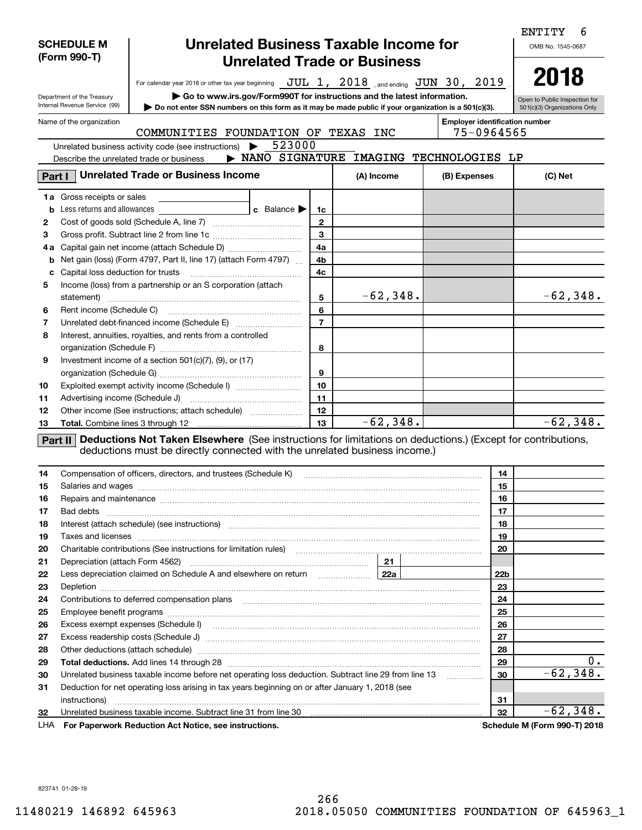|        | <b>SCHEDULE M</b><br>(Form 990-T) |                                                                                                                                                                                                                                                                                                                      | ENTITY<br>OMB No. 1545-0687            |                |            |             |                                          |                 |                               |  |  |
|--------|-----------------------------------|----------------------------------------------------------------------------------------------------------------------------------------------------------------------------------------------------------------------------------------------------------------------------------------------------------------------|----------------------------------------|----------------|------------|-------------|------------------------------------------|-----------------|-------------------------------|--|--|
|        |                                   | For calendar year 2018 or other tax year beginning $JUL$ 1, $2018$ , and ending $JUN$ 30, $2019$                                                                                                                                                                                                                     |                                        |                |            |             |                                          |                 | 2018                          |  |  |
|        | Department of the Treasury        | $\triangleright$ Go to www.irs.gov/Form990T for instructions and the latest information.                                                                                                                                                                                                                             |                                        |                |            |             |                                          |                 | Open to Public Inspection for |  |  |
|        | Internal Revenue Service (99)     | Do not enter SSN numbers on this form as it may be made public if your organization is a 501(c)(3).                                                                                                                                                                                                                  |                                        |                |            |             |                                          |                 | 501(c)(3) Organizations Only  |  |  |
|        | Name of the organization          | COMMUNITIES FOUNDATION OF TEXAS INC                                                                                                                                                                                                                                                                                  |                                        |                |            | 75-0964565  | <b>Employer identification number</b>    |                 |                               |  |  |
|        |                                   | Unrelated business activity code (see instructions)<br>▶                                                                                                                                                                                                                                                             | 523000                                 |                |            |             |                                          |                 |                               |  |  |
|        |                                   | Describe the unrelated trade or business                                                                                                                                                                                                                                                                             |                                        |                |            |             | > NANO SIGNATURE IMAGING TECHNOLOGIES LP |                 |                               |  |  |
| Part I |                                   | <b>Unrelated Trade or Business Income</b>                                                                                                                                                                                                                                                                            |                                        |                | (A) Income |             | (B) Expenses                             |                 | (C) Net                       |  |  |
|        | <b>1a</b> Gross receipts or sales |                                                                                                                                                                                                                                                                                                                      |                                        |                |            |             |                                          |                 |                               |  |  |
| b      | Less returns and allowances       |                                                                                                                                                                                                                                                                                                                      | <b>c</b> Balance $\blacktriangleright$ | 1c             |            |             |                                          |                 |                               |  |  |
| 2      |                                   |                                                                                                                                                                                                                                                                                                                      |                                        | $\mathbf{2}$   |            |             |                                          |                 |                               |  |  |
| з      |                                   |                                                                                                                                                                                                                                                                                                                      |                                        | 3              |            |             |                                          |                 |                               |  |  |
| 4а     |                                   |                                                                                                                                                                                                                                                                                                                      |                                        | 4a             |            |             |                                          |                 |                               |  |  |
| b      |                                   | Net gain (loss) (Form 4797, Part II, line 17) (attach Form 4797)                                                                                                                                                                                                                                                     |                                        | 4b             |            |             |                                          |                 |                               |  |  |
| c      |                                   | Income (loss) from a partnership or an S corporation (attach                                                                                                                                                                                                                                                         |                                        | 4c             |            |             |                                          |                 |                               |  |  |
| 5      |                                   |                                                                                                                                                                                                                                                                                                                      |                                        | 5              |            | $-62, 348.$ |                                          |                 | $-62,348.$                    |  |  |
| 6      |                                   |                                                                                                                                                                                                                                                                                                                      |                                        | 6              |            |             |                                          |                 |                               |  |  |
| 7      |                                   |                                                                                                                                                                                                                                                                                                                      |                                        | $\overline{7}$ |            |             |                                          |                 |                               |  |  |
| 8      |                                   | Interest, annuities, royalties, and rents from a controlled                                                                                                                                                                                                                                                          |                                        |                |            |             |                                          |                 |                               |  |  |
|        |                                   |                                                                                                                                                                                                                                                                                                                      |                                        | 8              |            |             |                                          |                 |                               |  |  |
| 9      |                                   | Investment income of a section $501(c)(7)$ , $(9)$ , or $(17)$                                                                                                                                                                                                                                                       |                                        |                |            |             |                                          |                 |                               |  |  |
|        |                                   |                                                                                                                                                                                                                                                                                                                      |                                        | 9              |            |             |                                          |                 |                               |  |  |
| 10     |                                   | Exploited exempt activity income (Schedule I)                                                                                                                                                                                                                                                                        |                                        | 10             |            |             |                                          |                 |                               |  |  |
| 11     |                                   |                                                                                                                                                                                                                                                                                                                      |                                        | 11             |            |             |                                          |                 |                               |  |  |
| 12     |                                   | Other income (See instructions; attach schedule)                                                                                                                                                                                                                                                                     |                                        | 12             |            |             |                                          |                 |                               |  |  |
| 13     |                                   |                                                                                                                                                                                                                                                                                                                      |                                        | 13             |            | $-62,348.$  |                                          |                 | $-62, 348.$                   |  |  |
| 14     |                                   | Part II Deductions Not Taken Elsewhere (See instructions for limitations on deductions.) (Except for contributions,<br>deductions must be directly connected with the unrelated business income.)<br>Compensation of officers, directors, and trustees (Schedule K) [11] [2000] [2000] [2000] [2000] [2000] [2000] [ |                                        |                |            |             |                                          | 14              |                               |  |  |
| 15     |                                   | Salaries and wages <b>manufactures</b> and wages <b>contract to the contract of the contract of the contract of the contract of the contract of the contract of the contract of the contract of the contract of the contract of the c</b>                                                                            |                                        |                |            |             |                                          | 15              |                               |  |  |
|        |                                   | Repairs and maintenance manufactured and contract and manufactured and maintenance and maintenance manufacture                                                                                                                                                                                                       |                                        |                |            |             |                                          | 16              |                               |  |  |
| 17     | Bad debts                         |                                                                                                                                                                                                                                                                                                                      |                                        |                |            |             |                                          | 17              |                               |  |  |
| 18     |                                   | Interest (attach schedule) (see instructions) material content in the content of the content of the content of                                                                                                                                                                                                       |                                        |                |            |             |                                          | 18              |                               |  |  |
| 19     |                                   |                                                                                                                                                                                                                                                                                                                      |                                        |                |            |             |                                          | 19              |                               |  |  |
| 20     |                                   | Charitable contributions (See instructions for limitation rules) [11] manufacture contributions (See instructions for limitation rules) [11] manufacture contributions (See instructions for limitation rules) [11] manufactur                                                                                       |                                        |                |            |             |                                          | 20              |                               |  |  |
| 21     |                                   |                                                                                                                                                                                                                                                                                                                      |                                        |                |            |             |                                          |                 |                               |  |  |
| 22     |                                   | Less depreciation claimed on Schedule A and elsewhere on return <b>Fig. 1988</b>                                                                                                                                                                                                                                     |                                        |                |            |             |                                          | 22 <sub>b</sub> |                               |  |  |
| 23     |                                   |                                                                                                                                                                                                                                                                                                                      |                                        |                |            |             |                                          | 23              |                               |  |  |
| 24     |                                   |                                                                                                                                                                                                                                                                                                                      |                                        |                |            |             |                                          | 24              |                               |  |  |
| 25     |                                   |                                                                                                                                                                                                                                                                                                                      |                                        |                |            |             |                                          | 25              |                               |  |  |
| 26     |                                   |                                                                                                                                                                                                                                                                                                                      |                                        |                |            |             |                                          | 26              |                               |  |  |
| 27     |                                   | Excess readership costs (Schedule J) [[11] [2000] [2000] [2000] [3000] [3000] [3000] [3000] [3000] [3000] [3000                                                                                                                                                                                                      |                                        |                |            |             |                                          | 27              |                               |  |  |
| 28     |                                   | Other deductions (attach schedule) manufactured and an architecture of the deductions (attach schedule) manufactured and architecture of the deductions (attach schedule) manufactured and architecture of the determinant con                                                                                       |                                        |                |            |             |                                          | 28              |                               |  |  |
| 29     |                                   |                                                                                                                                                                                                                                                                                                                      |                                        |                |            |             |                                          | 29              | $0$ .<br>$-62,348.$           |  |  |
| 30     |                                   | Unrelated business taxable income before net operating loss deduction. Subtract line 29 from line 13                                                                                                                                                                                                                 |                                        |                |            |             | .                                        | 30              |                               |  |  |
| 31     |                                   | Deduction for net operating loss arising in tax years beginning on or after January 1, 2018 (see                                                                                                                                                                                                                     |                                        |                |            |             |                                          |                 |                               |  |  |
| 32     |                                   |                                                                                                                                                                                                                                                                                                                      |                                        |                |            |             |                                          | 31<br>32        | $-62,348.$                    |  |  |
| LHA    |                                   | For Paperwork Reduction Act Notice, see instructions.                                                                                                                                                                                                                                                                |                                        |                |            |             |                                          |                 | Schedule M (Form 990-T) 2018  |  |  |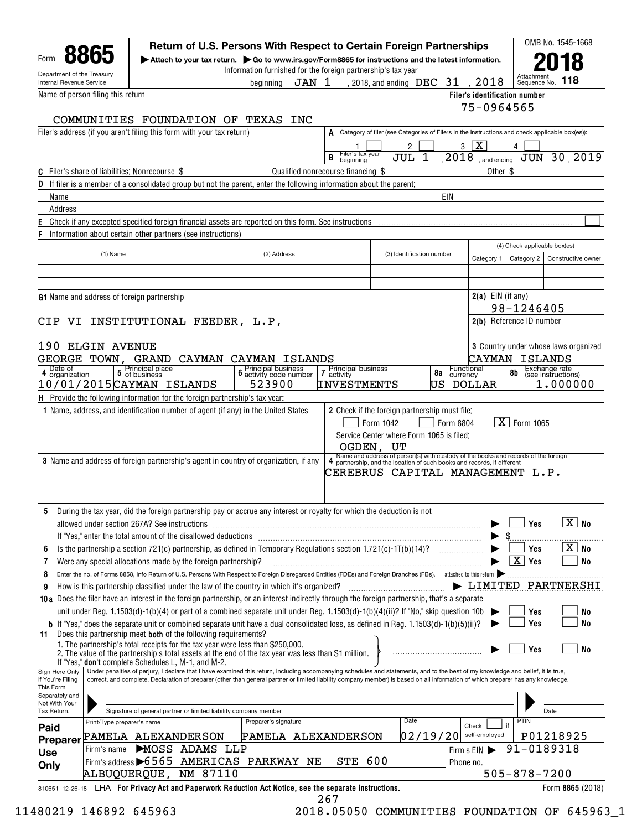|                                                        |                                                                                                                                                                                                                                                                                                                                                                      |        | Attach to your tax return. $\triangleright$ Go to www.irs.gov/Form8865 for instructions and the latest information.<br>Information furnished for the foreign partnership's tax year |                                     |                                                                                                                                                                                                   |                |                               |                                        |                                      |
|--------------------------------------------------------|----------------------------------------------------------------------------------------------------------------------------------------------------------------------------------------------------------------------------------------------------------------------------------------------------------------------------------------------------------------------|--------|-------------------------------------------------------------------------------------------------------------------------------------------------------------------------------------|-------------------------------------|---------------------------------------------------------------------------------------------------------------------------------------------------------------------------------------------------|----------------|-------------------------------|----------------------------------------|--------------------------------------|
| Department of the Treasury<br>Internal Revenue Service |                                                                                                                                                                                                                                                                                                                                                                      |        | JAN 1<br>beainnina                                                                                                                                                                  |                                     | , 2018, and ending $\rm\,DEC$                                                                                                                                                                     | 31.            | 2018                          | Attachmer<br>Sequence No.              | 118                                  |
|                                                        | Name of person filing this return                                                                                                                                                                                                                                                                                                                                    |        |                                                                                                                                                                                     |                                     |                                                                                                                                                                                                   |                | Filer's identification number |                                        |                                      |
|                                                        |                                                                                                                                                                                                                                                                                                                                                                      |        |                                                                                                                                                                                     |                                     |                                                                                                                                                                                                   |                | 75-0964565                    |                                        |                                      |
|                                                        | COMMUNITIES FOUNDATION OF TEXAS                                                                                                                                                                                                                                                                                                                                      |        | INC                                                                                                                                                                                 |                                     |                                                                                                                                                                                                   |                |                               |                                        |                                      |
|                                                        | Filer's address (if you aren't filing this form with your tax return)                                                                                                                                                                                                                                                                                                |        |                                                                                                                                                                                     |                                     | A Category of filer (see Categories of Filers in the instructions and check applicable box(es)):                                                                                                  |                | l X                           |                                        |                                      |
|                                                        |                                                                                                                                                                                                                                                                                                                                                                      |        |                                                                                                                                                                                     | Filer's tax year<br>B<br>beginning  | 2<br>1<br>JUL                                                                                                                                                                                     | 3<br>2018      | and ending                    | JUN                                    | 30.2019                              |
|                                                        | <b>C</b> Filer's share of liabilities: Nonrecourse \$                                                                                                                                                                                                                                                                                                                |        |                                                                                                                                                                                     | Qualified nonrecourse financing \$  |                                                                                                                                                                                                   |                | Other \$                      |                                        |                                      |
|                                                        | If filer is a member of a consolidated group but not the parent, enter the following information about the parent;                                                                                                                                                                                                                                                   |        |                                                                                                                                                                                     |                                     |                                                                                                                                                                                                   |                |                               |                                        |                                      |
| Name                                                   |                                                                                                                                                                                                                                                                                                                                                                      |        |                                                                                                                                                                                     |                                     |                                                                                                                                                                                                   | EIN            |                               |                                        |                                      |
| Address                                                |                                                                                                                                                                                                                                                                                                                                                                      |        |                                                                                                                                                                                     |                                     |                                                                                                                                                                                                   |                |                               |                                        |                                      |
|                                                        | Check if any excepted specified foreign financial assets are reported on this form. See instructions                                                                                                                                                                                                                                                                 |        |                                                                                                                                                                                     |                                     |                                                                                                                                                                                                   |                |                               |                                        |                                      |
|                                                        | Information about certain other partners (see instructions)                                                                                                                                                                                                                                                                                                          |        |                                                                                                                                                                                     |                                     |                                                                                                                                                                                                   |                |                               | (4) Check applicable box(es)           |                                      |
|                                                        | (1) Name                                                                                                                                                                                                                                                                                                                                                             |        | (2) Address                                                                                                                                                                         |                                     | (3) Identification number                                                                                                                                                                         |                | Category 1                    | Category 2                             | Constructive owner                   |
|                                                        |                                                                                                                                                                                                                                                                                                                                                                      |        |                                                                                                                                                                                     |                                     |                                                                                                                                                                                                   |                |                               |                                        |                                      |
|                                                        |                                                                                                                                                                                                                                                                                                                                                                      |        |                                                                                                                                                                                     |                                     |                                                                                                                                                                                                   |                |                               |                                        |                                      |
|                                                        | <b>G1</b> Name and address of foreign partnership                                                                                                                                                                                                                                                                                                                    |        |                                                                                                                                                                                     |                                     |                                                                                                                                                                                                   |                | $2(a)$ EIN (if any)           |                                        |                                      |
|                                                        | CIP VI INSTITUTIONAL FEEDER, L.P,                                                                                                                                                                                                                                                                                                                                    |        |                                                                                                                                                                                     |                                     |                                                                                                                                                                                                   |                |                               | 98-1246405<br>2(b) Reference ID number |                                      |
|                                                        |                                                                                                                                                                                                                                                                                                                                                                      |        |                                                                                                                                                                                     |                                     |                                                                                                                                                                                                   |                |                               |                                        |                                      |
|                                                        | 190 ELGIN AVENUE                                                                                                                                                                                                                                                                                                                                                     |        |                                                                                                                                                                                     |                                     |                                                                                                                                                                                                   |                |                               |                                        | 3 Country under whose laws organized |
|                                                        | GEORGE TOWN, GRAND                                                                                                                                                                                                                                                                                                                                                   | CAYMAN | CAYMAN ISLANDS                                                                                                                                                                      |                                     |                                                                                                                                                                                                   |                | CAYMAN                        |                                        | ISLANDS                              |
| Date of<br>4 organization                              | 5 Principal place<br>5 of business                                                                                                                                                                                                                                                                                                                                   |        | <b>Principal business</b><br>6 activity code number                                                                                                                                 | Principal business<br>7<br>activity |                                                                                                                                                                                                   | 8a<br>currency | Functional                    | 8b                                     | Exchange rate<br>(see instructions)  |
|                                                        | 10/01/2015 CAYMAN ISLANDS<br><b>H</b> Provide the following information for the foreign partnership's tax year:                                                                                                                                                                                                                                                      |        | 523900                                                                                                                                                                              | INVESTMENTS                         |                                                                                                                                                                                                   | US             | DOLLAR                        |                                        | 1.000000                             |
|                                                        |                                                                                                                                                                                                                                                                                                                                                                      |        |                                                                                                                                                                                     |                                     | Form 1042<br>Service Center where Form 1065 is filed:<br>OGDEN, UT                                                                                                                                | Form 8804      |                               | $\sqrt{X}$ Form 1065                   |                                      |
|                                                        | <b>3</b> Name and address of foreign partnership's agent in country of organization, if any                                                                                                                                                                                                                                                                          |        |                                                                                                                                                                                     |                                     | Name and address of person(s) with custody of the books and records of the foreign<br>4 partnership, and the location of such books and records, if different<br>CEREBRUS CAPITAL MANAGEMENT L.P. |                |                               |                                        |                                      |
|                                                        | During the tax year, did the foreign partnership pay or accrue any interest or royalty for which the deduction is not                                                                                                                                                                                                                                                |        |                                                                                                                                                                                     |                                     |                                                                                                                                                                                                   |                |                               |                                        |                                      |
|                                                        |                                                                                                                                                                                                                                                                                                                                                                      |        |                                                                                                                                                                                     |                                     |                                                                                                                                                                                                   |                |                               | Yes                                    | $\overline{\mathbf{X}}$ No           |
|                                                        | If "Yes," enter the total amount of the disallowed deductions                                                                                                                                                                                                                                                                                                        |        |                                                                                                                                                                                     |                                     |                                                                                                                                                                                                   |                |                               |                                        |                                      |
| 6                                                      | Were any special allocations made by the foreign partnership?                                                                                                                                                                                                                                                                                                        |        |                                                                                                                                                                                     |                                     |                                                                                                                                                                                                   |                |                               | Yes<br>$\boxed{\text{X}}$ Yes          | X   No<br><b>No</b>                  |
| 8                                                      | Enter the no. of Forms 8858, Info Return of U.S. Persons With Respect to Foreign Disregarded Entities (FDEs) and Foreign Branches (FBs), attached to this return                                                                                                                                                                                                     |        |                                                                                                                                                                                     |                                     |                                                                                                                                                                                                   |                |                               |                                        |                                      |
| 9                                                      | How is this partnership classified under the law of the country in which it's organized?                                                                                                                                                                                                                                                                             |        |                                                                                                                                                                                     |                                     |                                                                                                                                                                                                   |                | $\blacktriangleright$ LIMITED |                                        |                                      |
|                                                        | 10a Does the filer have an interest in the foreign partnership, or an interest indirectly through the foreign partnership, that's a separate                                                                                                                                                                                                                         |        |                                                                                                                                                                                     |                                     |                                                                                                                                                                                                   |                |                               |                                        |                                      |
|                                                        | unit under Reg. 1.1503(d)-1(b)(4) or part of a combined separate unit under Reg. 1.1503(d)-1(b)(4)(ii)? If "No," skip question 10b                                                                                                                                                                                                                                   |        |                                                                                                                                                                                     |                                     |                                                                                                                                                                                                   |                |                               | Yes<br>Yes                             | No<br><b>No</b>                      |
| 11                                                     | b If "Yes," does the separate unit or combined separate unit have a dual consolidated loss, as defined in Reg. 1.1503(d)-1(b)(5)(ii)?<br>Does this partnership meet both of the following requirements?                                                                                                                                                              |        |                                                                                                                                                                                     |                                     |                                                                                                                                                                                                   |                |                               |                                        |                                      |
|                                                        | 1. The partnership's total receipts for the tax year were less than \$250,000.<br>2. The value of the partnership's total assets at the end of the tax year was less than \$1 million.<br>If "Yes," <b>don't</b> complete Schedules L, M-1, and M-2.                                                                                                                 |        |                                                                                                                                                                                     |                                     |                                                                                                                                                                                                   |                |                               | Yes                                    | No                                   |
| Sign Here Only<br>if You're Filing<br>This Form        | Under penalties of perjury, I declare that I have examined this return, including accompanying schedules and statements, and to the best of my knowledge and belief, it is true,<br>correct, and complete. Declaration of preparer (other than general partner or limited liability company member) is based on all information of which preparer has any knowledge. |        |                                                                                                                                                                                     |                                     |                                                                                                                                                                                                   |                |                               |                                        |                                      |
| Separately and<br>Not With Your                        |                                                                                                                                                                                                                                                                                                                                                                      |        |                                                                                                                                                                                     |                                     |                                                                                                                                                                                                   |                |                               |                                        |                                      |
| Tax Return.                                            | Signature of general partner or limited liability company member                                                                                                                                                                                                                                                                                                     |        | Preparer's signature                                                                                                                                                                |                                     | Date                                                                                                                                                                                              |                |                               | <b>PTIN</b>                            | Date                                 |
| Paid                                                   | Print/Type preparer's name                                                                                                                                                                                                                                                                                                                                           |        |                                                                                                                                                                                     |                                     |                                                                                                                                                                                                   |                | Check<br>self-employed        |                                        |                                      |
| Preparer                                               | PAMELA ALEXANDERSON<br>MOSS ADAMS LLP<br>Firm's name                                                                                                                                                                                                                                                                                                                 |        | PAMELA ALEXANDERSON                                                                                                                                                                 |                                     |                                                                                                                                                                                                   | 02/19/20       | Firm's EIN                    | 91-0189318                             | PARTNERSHI<br>P01218925              |
| <b>Use</b>                                             | Firm's address 6565 AMERICAS PARKWAY NE                                                                                                                                                                                                                                                                                                                              |        |                                                                                                                                                                                     | <b>STE 600</b>                      |                                                                                                                                                                                                   | Phone no.      |                               |                                        |                                      |
| Only                                                   | ALBUQUERQUE, NM 87110<br>810651 12-26-18 LHA For Privacy Act and Paperwork Reduction Act Notice, see the separate instructions.                                                                                                                                                                                                                                      |        |                                                                                                                                                                                     |                                     |                                                                                                                                                                                                   |                |                               | $505 - 878 - 7200$                     | Form 8865 (2018)                     |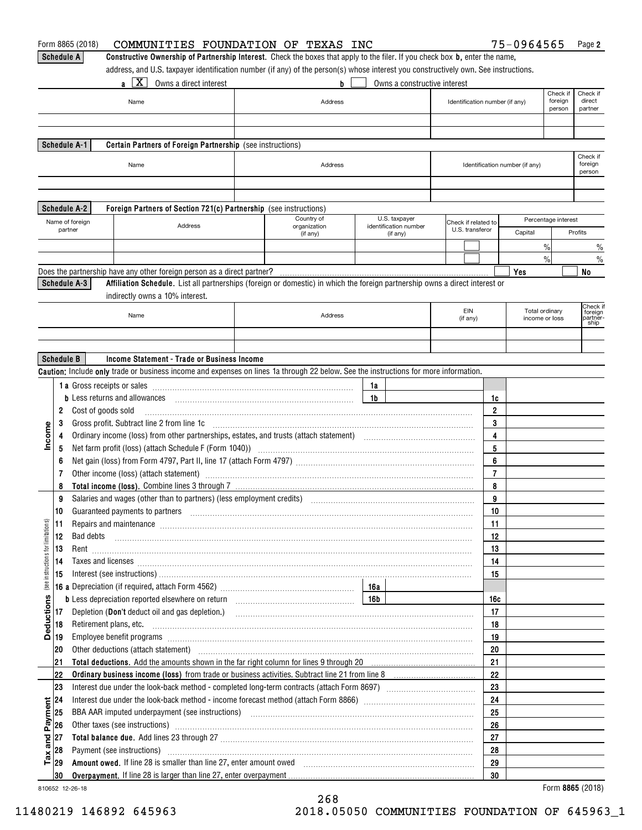|                                    |                   | Form 8865 (2018)<br>COMMUNITIES FOUNDATION OF TEXAS INC                                                                                                                                                                        |              |                |                              |                                        |                | 75-0964565                     |                     | Page 2                         |
|------------------------------------|-------------------|--------------------------------------------------------------------------------------------------------------------------------------------------------------------------------------------------------------------------------|--------------|----------------|------------------------------|----------------------------------------|----------------|--------------------------------|---------------------|--------------------------------|
|                                    | <b>Schedule A</b> | Constructive Ownership of Partnership Interest. Check the boxes that apply to the filer. If you check box b, enter the name,                                                                                                   |              |                |                              |                                        |                |                                |                     |                                |
|                                    |                   | address, and U.S. taxpayer identification number (if any) of the person(s) whose interest you constructively own. See instructions.                                                                                            |              |                |                              |                                        |                |                                |                     |                                |
|                                    |                   | $a \mid X \mid$<br>Owns a direct interest                                                                                                                                                                                      | b            |                | Owns a constructive interest |                                        |                |                                |                     |                                |
|                                    |                   |                                                                                                                                                                                                                                |              |                |                              |                                        |                |                                | Check if            | Check if                       |
|                                    |                   | Name                                                                                                                                                                                                                           | Address      |                |                              | Identification number (if any)         |                |                                | foreign<br>person   | direct<br>partner              |
|                                    |                   |                                                                                                                                                                                                                                |              |                |                              |                                        |                |                                |                     |                                |
|                                    |                   |                                                                                                                                                                                                                                |              |                |                              |                                        |                |                                |                     |                                |
|                                    |                   | Schedule A-1<br>Certain Partners of Foreign Partnership (see instructions)                                                                                                                                                     |              |                |                              |                                        |                |                                |                     |                                |
|                                    |                   |                                                                                                                                                                                                                                |              |                |                              |                                        |                |                                |                     | Check if                       |
|                                    |                   | Name                                                                                                                                                                                                                           | Address      |                |                              |                                        |                | Identification number (if any) |                     | foreign<br>person              |
|                                    |                   |                                                                                                                                                                                                                                |              |                |                              |                                        |                |                                |                     |                                |
|                                    |                   |                                                                                                                                                                                                                                |              |                |                              |                                        |                |                                |                     |                                |
|                                    |                   | <b>Schedule A-2</b><br>Foreign Partners of Section 721(c) Partnership (see instructions)                                                                                                                                       |              |                |                              |                                        |                |                                |                     |                                |
|                                    |                   |                                                                                                                                                                                                                                | Country of   |                | U.S. taxpayer                |                                        |                |                                | Percentage interest |                                |
|                                    |                   | Name of foreign<br>Address<br>partner                                                                                                                                                                                          | organization |                | identification number        | Check if related to<br>U.S. transferor |                | Capital                        |                     | Profits                        |
|                                    |                   |                                                                                                                                                                                                                                | (if any)     |                | (if any)                     |                                        |                |                                |                     |                                |
|                                    |                   |                                                                                                                                                                                                                                |              |                |                              |                                        |                |                                | $\frac{0}{0}$       | $\frac{0}{0}$                  |
|                                    |                   |                                                                                                                                                                                                                                |              |                |                              |                                        |                |                                | $\frac{0}{0}$       | $\frac{0}{0}$                  |
|                                    |                   | Does the partnership have any other foreign person as a direct partner?                                                                                                                                                        |              |                |                              |                                        |                | Yes                            |                     | No                             |
|                                    |                   | Schedule A-3<br>Affiliation Schedule. List all partnerships (foreign or domestic) in which the foreign partnership owns a direct interest or                                                                                   |              |                |                              |                                        |                |                                |                     |                                |
|                                    |                   | indirectly owns a 10% interest.                                                                                                                                                                                                |              |                |                              |                                        |                |                                |                     |                                |
|                                    |                   | Name                                                                                                                                                                                                                           | Address      |                |                              | EIN                                    |                | Total ordinary                 |                     | Check if<br>foreign<br>partněr |
|                                    |                   |                                                                                                                                                                                                                                |              |                |                              | (if any)                               |                | income or loss                 |                     | ship                           |
|                                    |                   |                                                                                                                                                                                                                                |              |                |                              |                                        |                |                                |                     |                                |
|                                    |                   |                                                                                                                                                                                                                                |              |                |                              |                                        |                |                                |                     |                                |
|                                    | <b>Schedule B</b> | Income Statement - Trade or Business Income                                                                                                                                                                                    |              |                |                              |                                        |                |                                |                     |                                |
|                                    |                   | Caution: Include only trade or business income and expenses on lines 1a through 22 below. See the instructions for more information.                                                                                           |              |                |                              |                                        |                |                                |                     |                                |
|                                    |                   |                                                                                                                                                                                                                                |              | 1a             |                              |                                        |                |                                |                     |                                |
|                                    |                   | <b>b</b> Less returns and allowances                                                                                                                                                                                           |              | 1 <sub>b</sub> |                              |                                        | 1c             |                                |                     |                                |
|                                    | 2                 | Cost of goods sold                                                                                                                                                                                                             |              |                |                              |                                        | $\overline{2}$ |                                |                     |                                |
|                                    | 3                 |                                                                                                                                                                                                                                |              |                |                              |                                        | 3              |                                |                     |                                |
| Income                             | 4                 |                                                                                                                                                                                                                                |              |                |                              |                                        | 4              |                                |                     |                                |
|                                    | 5                 | Net farm profit (loss) (attach Schedule F (Form 1040)) (2000) (2000) (2000) (2000) (2000) (2000) (2000) (2000)                                                                                                                 |              |                |                              |                                        | 5              |                                |                     |                                |
|                                    | 6                 |                                                                                                                                                                                                                                |              |                |                              |                                        | 6              |                                |                     |                                |
|                                    | 7                 | Other income (loss) (attach statement) manufactured and according to the statement of the statement of the statement of the statement of the statement of the statement of the statement of the statement of the statement of  |              |                |                              |                                        | $\overline{7}$ |                                |                     |                                |
|                                    | 8                 |                                                                                                                                                                                                                                |              |                |                              |                                        | 8              |                                |                     |                                |
|                                    | 9                 |                                                                                                                                                                                                                                |              |                |                              |                                        | 9              |                                |                     |                                |
|                                    | 10                |                                                                                                                                                                                                                                |              |                |                              |                                        | 10             |                                |                     |                                |
|                                    | 11                | Repairs and maintenance material contracts and maintenance material contracts and maintenance material contracts                                                                                                               |              |                |                              |                                        | 11             |                                |                     |                                |
|                                    | 12                | Bad debts                                                                                                                                                                                                                      |              |                |                              |                                        | 12             |                                |                     |                                |
|                                    | 13                |                                                                                                                                                                                                                                |              |                |                              |                                        | 13             |                                |                     |                                |
|                                    | 14                |                                                                                                                                                                                                                                |              |                |                              |                                        | 14             |                                |                     |                                |
| (see instructions for limitations) | 15                | Taxes and licenses <b>construction and construction of the construction of the construction of the construction</b>                                                                                                            |              |                |                              |                                        | 15             |                                |                     |                                |
|                                    |                   |                                                                                                                                                                                                                                |              |                |                              |                                        |                |                                |                     |                                |
|                                    |                   |                                                                                                                                                                                                                                |              |                |                              |                                        | 16c            |                                |                     |                                |
| <b>Deductions</b>                  | 17                |                                                                                                                                                                                                                                |              |                |                              |                                        | 17             |                                |                     |                                |
|                                    |                   |                                                                                                                                                                                                                                |              |                |                              |                                        |                |                                |                     |                                |
|                                    | 18                |                                                                                                                                                                                                                                |              |                |                              |                                        | 18             |                                |                     |                                |
|                                    | 19                | Employee benefit programs informational contracts and contracts are contracted and contract and contract and contract and contract and contract and contract and contract and contract and contract and contract and contract  |              |                |                              |                                        | 19             |                                |                     |                                |
|                                    | 20                | Other deductions (attach statement) manufactured and according to the deductions (attach statement)                                                                                                                            |              |                |                              |                                        | 20             |                                |                     |                                |
|                                    | 21                |                                                                                                                                                                                                                                |              |                |                              |                                        | 21             |                                |                     |                                |
|                                    | 22                |                                                                                                                                                                                                                                |              |                |                              |                                        | 22             |                                |                     |                                |
|                                    | 23                |                                                                                                                                                                                                                                |              |                |                              |                                        | 23             |                                |                     |                                |
|                                    | 24                |                                                                                                                                                                                                                                |              |                |                              |                                        | 24             |                                |                     |                                |
|                                    | 25                |                                                                                                                                                                                                                                |              |                |                              |                                        | 25             |                                |                     |                                |
| and Payment                        | 26                | Other taxes (see instructions) manufactured and contract the set of the contract of the contract of the contract of the contract of the contract of the contract of the contract of the contract of the contract of the contra |              |                |                              |                                        | 26             |                                |                     |                                |
|                                    | 27                |                                                                                                                                                                                                                                |              |                |                              |                                        | 27             |                                |                     |                                |
|                                    | 28                | Payment (see instructions) manufactured and contract the set of the set of the set of the set of the set of the set of the set of the set of the set of the set of the set of the set of the set of the set of the set of the  |              |                |                              |                                        | 28             |                                |                     |                                |
| $\mathsf{T} \mathsf{a} \mathsf{x}$ | 29                | Amount owed. If line 28 is smaller than line 27, enter amount owed [11] contains according to the container than 100 M                                                                                                         |              |                |                              |                                        | 29             |                                |                     |                                |
|                                    | 30                |                                                                                                                                                                                                                                |              |                |                              |                                        | 30             |                                |                     |                                |
|                                    |                   | 810652 12-26-18                                                                                                                                                                                                                |              |                |                              |                                        |                |                                |                     | Form 8865 (2018)               |

810652 12-26-18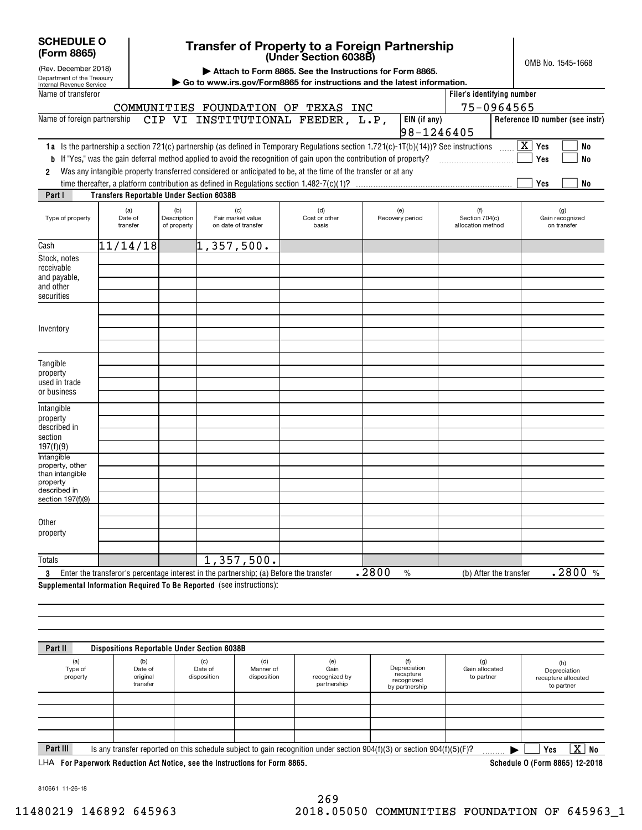| <b>SCHEDULE O</b> |  |
|-------------------|--|
| (Form 8865)       |  |

(Rev. December 2018)

### **(Under Section 6038B) Transfer of Property to a Foreign Partnership**

OMB No. 1545-1668

|  |  | Attach to Form 8865. See the Instructions for Form 8865. |  |  |  |  |  |  |  |  |  |  |  |  |
|--|--|----------------------------------------------------------|--|--|--|--|--|--|--|--|--|--|--|--|
|--|--|----------------------------------------------------------|--|--|--|--|--|--|--|--|--|--|--|--|

| Department of the Treasury<br>Internal Revenue Service                                                   |                                                 |                                   | Go to www.irs.gov/Form8865 for instructions and the latest information.                                                                                                                                                                                                                                                                                                       |                               |                                |                                            |                                                        |
|----------------------------------------------------------------------------------------------------------|-------------------------------------------------|-----------------------------------|-------------------------------------------------------------------------------------------------------------------------------------------------------------------------------------------------------------------------------------------------------------------------------------------------------------------------------------------------------------------------------|-------------------------------|--------------------------------|--------------------------------------------|--------------------------------------------------------|
| Name of transferor                                                                                       |                                                 |                                   | COMMUNITIES FOUNDATION OF TEXAS INC                                                                                                                                                                                                                                                                                                                                           |                               |                                | Filer's identifying number<br>75-0964565   |                                                        |
| Name of foreign partnership                                                                              |                                                 |                                   | CIP VI INSTITUTIONAL FEEDER, L.P,                                                                                                                                                                                                                                                                                                                                             |                               | EIN (if any)<br>$98 - 1246405$ |                                            | Reference ID number (see instr)                        |
| b<br>2<br>Part I                                                                                         | <b>Transfers Reportable Under Section 6038B</b> |                                   | 1a Is the partnership a section 721(c) partnership (as defined in Temporary Regulations section 1.721(c)-1T(b)(14))? See instructions<br>If "Yes," was the gain deferral method applied to avoid the recognition of gain upon the contribution of property?<br>Was any intangible property transferred considered or anticipated to be, at the time of the transfer or at any |                               |                                |                                            | $\boxed{\text{X}}$ Yes<br>No<br>Yes<br>No<br>Yes<br>No |
| Type of property                                                                                         | (a)<br>Date of<br>transfer                      | (b)<br>Description<br>of property | (c)<br>Fair market value<br>on date of transfer                                                                                                                                                                                                                                                                                                                               | (d)<br>Cost or other<br>basis | (e)<br>Recovery period         | (f)<br>Section 704(c)<br>allocation method | (g)<br>Gain recognized<br>on transfer                  |
| Cash                                                                                                     | 11/14/18                                        |                                   | 1,357,500.                                                                                                                                                                                                                                                                                                                                                                    |                               |                                |                                            |                                                        |
| Stock, notes<br>receivable<br>and payable,<br>and other<br>securities                                    |                                                 |                                   |                                                                                                                                                                                                                                                                                                                                                                               |                               |                                |                                            |                                                        |
| Inventory                                                                                                |                                                 |                                   |                                                                                                                                                                                                                                                                                                                                                                               |                               |                                |                                            |                                                        |
| Tangible<br>property<br>used in trade<br>or business                                                     |                                                 |                                   |                                                                                                                                                                                                                                                                                                                                                                               |                               |                                |                                            |                                                        |
| Intangible<br>property<br>described in<br>section<br>197(f)(9)                                           |                                                 |                                   |                                                                                                                                                                                                                                                                                                                                                                               |                               |                                |                                            |                                                        |
| <b>Intangible</b><br>property, other<br>than intangible<br>property<br>described in<br>section 197(f)(9) |                                                 |                                   |                                                                                                                                                                                                                                                                                                                                                                               |                               |                                |                                            |                                                        |
| Other<br>property                                                                                        |                                                 |                                   |                                                                                                                                                                                                                                                                                                                                                                               |                               |                                |                                            |                                                        |
| <b>Totals</b>                                                                                            |                                                 |                                   | 1,357,500.                                                                                                                                                                                                                                                                                                                                                                    |                               |                                |                                            |                                                        |
| 3                                                                                                        |                                                 |                                   | Enter the transferor's percentage interest in the partnership: (a) Before the transfer                                                                                                                                                                                                                                                                                        |                               | .2800<br>$\frac{0}{0}$         | (b) After the transfer                     | .2800%                                                 |

**Supplemental Information Required To Be Reported**  (see instructions):

| Part II                                                                     | <b>Dispositions Reportable Under Section 6038B</b> |                               |                                 |                                             |                                                                                                                             |                                     |                                                          |
|-----------------------------------------------------------------------------|----------------------------------------------------|-------------------------------|---------------------------------|---------------------------------------------|-----------------------------------------------------------------------------------------------------------------------------|-------------------------------------|----------------------------------------------------------|
| (a)<br>Type of<br>property                                                  | (b)<br>Date of<br>original<br>transfer             | (c)<br>Date of<br>disposition | (d)<br>Manner of<br>disposition | (e)<br>Gain<br>recognized by<br>partnership | (f)<br>Depreciation<br>recapture<br>recognized<br>by partnership                                                            | (g)<br>Gain allocated<br>to partner | (h)<br>Depreciation<br>recapture allocated<br>to partner |
|                                                                             |                                                    |                               |                                 |                                             |                                                                                                                             |                                     |                                                          |
|                                                                             |                                                    |                               |                                 |                                             |                                                                                                                             |                                     |                                                          |
|                                                                             |                                                    |                               |                                 |                                             |                                                                                                                             |                                     |                                                          |
|                                                                             |                                                    |                               |                                 |                                             |                                                                                                                             |                                     |                                                          |
| Part III                                                                    |                                                    |                               |                                 |                                             | Is any transfer reported on this schedule subject to gain recognition under section $904(f)(3)$ or section $904(f)(5)(F)$ ? |                                     | $\overline{\mathtt{x}}$ )<br>No<br>Yes                   |
| LHA For Paperwork Reduction Act Notice, see the Instructions for Form 8865. |                                                    |                               |                                 |                                             |                                                                                                                             |                                     | Schedule 0 (Form 8865) 12-2018                           |

810661 11-26-18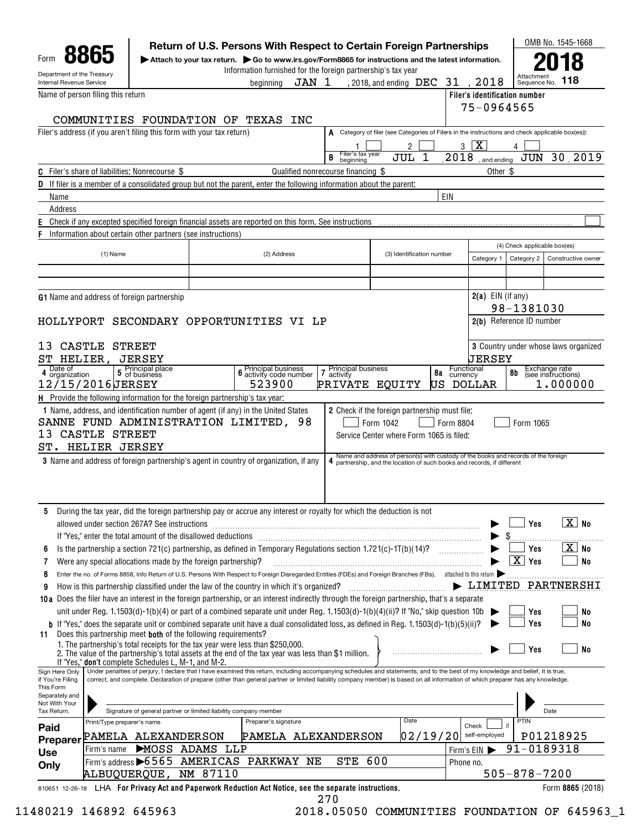|                                    | Department of the Treasury                                                                                                                                                                                                                                                                                                                                                |                                                                  |                                                              | Information furnished for the foreign partnership's tax year |                                                                                                                                                                                              |                              |                     | Attachmen                              |                                             |
|------------------------------------|---------------------------------------------------------------------------------------------------------------------------------------------------------------------------------------------------------------------------------------------------------------------------------------------------------------------------------------------------------------------------|------------------------------------------------------------------|--------------------------------------------------------------|--------------------------------------------------------------|----------------------------------------------------------------------------------------------------------------------------------------------------------------------------------------------|------------------------------|---------------------|----------------------------------------|---------------------------------------------|
| Internal Revenue Service           |                                                                                                                                                                                                                                                                                                                                                                           |                                                                  | beainnina                                                    | JAN 1                                                        | , 2018, and ending  DEC $\,$ 31 $\,$ , 2018                                                                                                                                                  |                              |                     | Sequence No.                           | 118                                         |
|                                    | Name of person filing this return                                                                                                                                                                                                                                                                                                                                         |                                                                  |                                                              |                                                              |                                                                                                                                                                                              |                              | 75-0964565          | Filer's identification number          |                                             |
|                                    | COMMUNITIES FOUNDATION OF TEXAS                                                                                                                                                                                                                                                                                                                                           |                                                                  | INC                                                          |                                                              |                                                                                                                                                                                              |                              |                     |                                        |                                             |
|                                    | Filer's address (if you aren't filing this form with your tax return)                                                                                                                                                                                                                                                                                                     |                                                                  |                                                              |                                                              | A Category of filer (see Categories of Filers in the instructions and check applicable box(es)):                                                                                             |                              |                     |                                        |                                             |
|                                    |                                                                                                                                                                                                                                                                                                                                                                           |                                                                  |                                                              |                                                              | 2                                                                                                                                                                                            | 3                            | X                   |                                        |                                             |
|                                    |                                                                                                                                                                                                                                                                                                                                                                           |                                                                  |                                                              | Filer's tax year<br>B<br>beginning                           | JUL                                                                                                                                                                                          | 2018                         | and ending          |                                        | JUN 30 2019                                 |
|                                    | <b>C</b> Filer's share of liabilities: Nonrecourse \$                                                                                                                                                                                                                                                                                                                     |                                                                  |                                                              | Qualified nonrecourse financing \$                           |                                                                                                                                                                                              |                              | Other \$            |                                        |                                             |
|                                    | <b>D</b> If filer is a member of a consolidated group but not the parent, enter the following information about the parent;                                                                                                                                                                                                                                               |                                                                  |                                                              |                                                              |                                                                                                                                                                                              |                              |                     |                                        |                                             |
| Name                               |                                                                                                                                                                                                                                                                                                                                                                           |                                                                  |                                                              |                                                              |                                                                                                                                                                                              | EIN                          |                     |                                        |                                             |
| Address                            | Check if any excepted specified foreign financial assets are reported on this form. See instructions                                                                                                                                                                                                                                                                      |                                                                  |                                                              |                                                              |                                                                                                                                                                                              |                              |                     |                                        |                                             |
|                                    | Information about certain other partners (see instructions)                                                                                                                                                                                                                                                                                                               |                                                                  |                                                              |                                                              |                                                                                                                                                                                              |                              |                     |                                        |                                             |
|                                    |                                                                                                                                                                                                                                                                                                                                                                           |                                                                  |                                                              |                                                              |                                                                                                                                                                                              |                              |                     | (4) Check applicable box(es)           |                                             |
|                                    | (1) Name                                                                                                                                                                                                                                                                                                                                                                  |                                                                  | (2) Address                                                  |                                                              | (3) Identification number                                                                                                                                                                    |                              | Category 1          | Category 2                             | Constructive owner                          |
|                                    |                                                                                                                                                                                                                                                                                                                                                                           |                                                                  |                                                              |                                                              |                                                                                                                                                                                              |                              |                     |                                        |                                             |
|                                    |                                                                                                                                                                                                                                                                                                                                                                           |                                                                  |                                                              |                                                              |                                                                                                                                                                                              |                              |                     |                                        |                                             |
|                                    | <b>G1</b> Name and address of foreign partnership                                                                                                                                                                                                                                                                                                                         |                                                                  |                                                              |                                                              |                                                                                                                                                                                              |                              | $2(a)$ EIN (if any) |                                        |                                             |
|                                    | HOLLYPORT SECONDARY OPPORTUNITIES VI LP                                                                                                                                                                                                                                                                                                                                   |                                                                  |                                                              |                                                              |                                                                                                                                                                                              |                              |                     | 98-1381030<br>2(b) Reference ID number |                                             |
|                                    |                                                                                                                                                                                                                                                                                                                                                                           |                                                                  |                                                              |                                                              |                                                                                                                                                                                              |                              |                     |                                        |                                             |
|                                    | 13 CASTLE STREET                                                                                                                                                                                                                                                                                                                                                          |                                                                  |                                                              |                                                              |                                                                                                                                                                                              |                              |                     |                                        | <b>3</b> Country under whose laws organized |
| SΤ<br>HELIER,                      | JERSEY                                                                                                                                                                                                                                                                                                                                                                    |                                                                  |                                                              |                                                              |                                                                                                                                                                                              |                              | UERSEY              |                                        |                                             |
| Date of<br>4 organization          | 5 Principal place<br>5 of business                                                                                                                                                                                                                                                                                                                                        |                                                                  | <b>6</b> Principal business<br><b>6</b> activity code number | Principal business<br>$\overline{\mathbf{r}}$<br>activity    |                                                                                                                                                                                              | Functional<br>8a<br>currency |                     | 8b                                     | Exchange rate<br>(see instructions)         |
|                                    |                                                                                                                                                                                                                                                                                                                                                                           |                                                                  |                                                              |                                                              |                                                                                                                                                                                              |                              | DOLLAR              |                                        | 1.000000                                    |
|                                    | 12/15/2016JERSEY<br><b>H</b> Provide the following information for the foreign partnership's tax year:<br>1 Name, address, and identification number of agent (if any) in the United States<br>SANNE FUND ADMINISTRATION LIMITED, 98<br>CASTLE STREET<br>ST. HELIER JERSEY<br><b>3</b> Name and address of foreign partnership's agent in country of organization, if any |                                                                  | 523900                                                       | PRIVATE EQUITY                                               | 2 Check if the foreign partnership must file:<br>Form 1042<br>Service Center where Form 1065 is filed:<br>Name and address of person(s) with custody of the books and records of the foreign | US<br>Form 8804              |                     | Form 1065                              |                                             |
|                                    |                                                                                                                                                                                                                                                                                                                                                                           |                                                                  |                                                              |                                                              | 4 partnership, and the location of such books and records, if different                                                                                                                      |                              |                     |                                        |                                             |
|                                    |                                                                                                                                                                                                                                                                                                                                                                           |                                                                  |                                                              |                                                              |                                                                                                                                                                                              |                              |                     |                                        |                                             |
|                                    | During the tax year, did the foreign partnership pay or accrue any interest or royalty for which the deduction is not<br>allowed under section 267A? See instructions                                                                                                                                                                                                     |                                                                  |                                                              |                                                              |                                                                                                                                                                                              |                              |                     | Yes                                    | $\boxed{\text{X}}$ No                       |
| 6                                  |                                                                                                                                                                                                                                                                                                                                                                           |                                                                  |                                                              |                                                              |                                                                                                                                                                                              |                              |                     | Yes                                    | X No                                        |
|                                    | Is the partnership a section 721(c) partnership, as defined in Temporary Regulations section 1.721(c)-1T(b)(14)?<br>Were any special allocations made by the foreign partnership?                                                                                                                                                                                         |                                                                  |                                                              |                                                              |                                                                                                                                                                                              | .                            |                     | $\overline{\mathtt{x}}$ )<br>Yes       | <b>No</b>                                   |
| 8                                  | Enter the no. of Forms 8858, Info Return of U.S. Persons With Respect to Foreign Disregarded Entities (FDEs) and Foreign Branches (FBs), attached to this return                                                                                                                                                                                                          |                                                                  |                                                              |                                                              |                                                                                                                                                                                              |                              |                     |                                        |                                             |
| 9                                  | How is this partnership classified under the law of the country in which it's organized?                                                                                                                                                                                                                                                                                  |                                                                  |                                                              |                                                              |                                                                                                                                                                                              |                              |                     |                                        |                                             |
|                                    | 10a Does the filer have an interest in the foreign partnership, or an interest indirectly through the foreign partnership, that's a separate                                                                                                                                                                                                                              |                                                                  |                                                              |                                                              |                                                                                                                                                                                              |                              |                     |                                        |                                             |
|                                    | unit under Reg. 1.1503(d)-1(b)(4) or part of a combined separate unit under Reg. 1.1503(d)-1(b)(4)(ii)? If "No," skip question 10b $\blacktriangleright$                                                                                                                                                                                                                  |                                                                  |                                                              |                                                              |                                                                                                                                                                                              |                              |                     | Yes                                    | No                                          |
|                                    | b If "Yes," does the separate unit or combined separate unit have a dual consolidated loss, as defined in Reg. 1.1503(d)-1(b)(5)(ii)?<br>Does this partnership meet both of the following requirements?                                                                                                                                                                   |                                                                  |                                                              |                                                              |                                                                                                                                                                                              |                              |                     | Yes                                    | No                                          |
| 13<br>11                           | 1. The partnership's total receipts for the tax year were less than \$250,000.<br>2. The value of the partnership's total assets at the end of the tax year was less than \$1 million.                                                                                                                                                                                    |                                                                  |                                                              |                                                              |                                                                                                                                                                                              |                              |                     | Yes                                    | No                                          |
|                                    | If "Yes," don't complete Schedules L, M-1, and M-2.                                                                                                                                                                                                                                                                                                                       |                                                                  |                                                              |                                                              |                                                                                                                                                                                              |                              |                     |                                        |                                             |
| Sign Here Only<br>if You're Filing | Under penalties of perjury, I declare that I have examined this return, including accompanying schedules and statements, and to the best of my knowledge and belief, it is true,<br>correct, and complete. Declaration of preparer (other than general partner or limited liability company member) is based on all information of which preparer has any knowledge.      |                                                                  |                                                              |                                                              |                                                                                                                                                                                              |                              |                     |                                        |                                             |
| This Form<br>Separately and        |                                                                                                                                                                                                                                                                                                                                                                           |                                                                  |                                                              |                                                              |                                                                                                                                                                                              |                              |                     |                                        |                                             |
| Not With Your<br>Tax Return.       |                                                                                                                                                                                                                                                                                                                                                                           | Signature of general partner or limited liability company member |                                                              |                                                              |                                                                                                                                                                                              |                              |                     |                                        | Date                                        |
|                                    | Print/Type preparer's name                                                                                                                                                                                                                                                                                                                                                |                                                                  | Preparer's signature                                         |                                                              | Date                                                                                                                                                                                         |                              | Check               | PTIN                                   | LIMITED PARTNERSHI                          |
| Paid                               | PAMELA ALEXANDERSON                                                                                                                                                                                                                                                                                                                                                       |                                                                  |                                                              | PAMELA ALEXANDERSON                                          |                                                                                                                                                                                              | 02/19/20                     | self-employed       |                                        | P01218925                                   |
| Preparer<br><b>Use</b>             | Firm's name                                                                                                                                                                                                                                                                                                                                                               | MOSS ADAMS LLP                                                   |                                                              |                                                              |                                                                                                                                                                                              |                              | Firm's EIN          | 91-0189318                             |                                             |
| Only                               | Firm's address >6565 AMERICAS PARKWAY NE<br>ALBUQUERQUE, NM 87110                                                                                                                                                                                                                                                                                                         |                                                                  |                                                              | <b>STE 600</b>                                               |                                                                                                                                                                                              | Phone no.                    |                     | $505 - 878 - 7200$                     |                                             |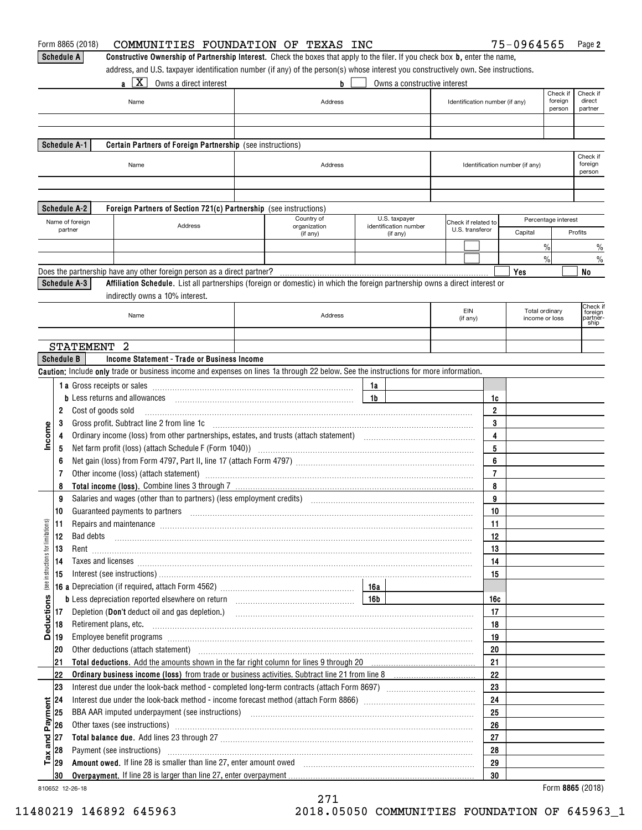|                                     |                   | Form 8865 (2018)<br>COMMUNITIES FOUNDATION OF TEXAS INC                                                                                                                                                                        |                          |          |                                   |                                |                         | 75-0964565                     |                     | Page 2                     |
|-------------------------------------|-------------------|--------------------------------------------------------------------------------------------------------------------------------------------------------------------------------------------------------------------------------|--------------------------|----------|-----------------------------------|--------------------------------|-------------------------|--------------------------------|---------------------|----------------------------|
|                                     |                   | Constructive Ownership of Partnership Interest. Check the boxes that apply to the filer. If you check box b, enter the name,<br><b>Schedule A</b>                                                                              |                          |          |                                   |                                |                         |                                |                     |                            |
|                                     |                   | address, and U.S. taxpayer identification number (if any) of the person(s) whose interest you constructively own. See instructions.                                                                                            |                          |          |                                   |                                |                         |                                |                     |                            |
|                                     |                   | $a$   X  <br>Owns a direct interest                                                                                                                                                                                            | b                        |          | Owns a constructive interest      |                                |                         |                                |                     |                            |
|                                     |                   |                                                                                                                                                                                                                                |                          |          |                                   |                                |                         |                                | Check if<br>foreign | Check if<br>direct         |
|                                     |                   | Name                                                                                                                                                                                                                           | Address                  |          |                                   | Identification number (if any) |                         |                                | person              | partner                    |
|                                     |                   |                                                                                                                                                                                                                                |                          |          |                                   |                                |                         |                                |                     |                            |
|                                     |                   |                                                                                                                                                                                                                                |                          |          |                                   |                                |                         |                                |                     |                            |
|                                     |                   | Schedule A-1<br>Certain Partners of Foreign Partnership (see instructions)                                                                                                                                                     |                          |          |                                   |                                |                         |                                |                     |                            |
|                                     |                   |                                                                                                                                                                                                                                |                          |          |                                   |                                |                         |                                |                     | Check if                   |
|                                     |                   | Name                                                                                                                                                                                                                           | Address                  |          |                                   |                                |                         | Identification number (if any) |                     | foreign<br>person          |
|                                     |                   |                                                                                                                                                                                                                                |                          |          |                                   |                                |                         |                                |                     |                            |
|                                     |                   |                                                                                                                                                                                                                                |                          |          |                                   |                                |                         |                                |                     |                            |
|                                     |                   | Schedule A-2<br>Foreign Partners of Section 721(c) Partnership (see instructions)                                                                                                                                              |                          |          |                                   |                                |                         |                                |                     |                            |
|                                     |                   | Name of foreign                                                                                                                                                                                                                | Country of               |          | U.S. taxpayer                     | Check if related to            |                         |                                | Percentage interest |                            |
|                                     |                   | Address<br>partner                                                                                                                                                                                                             | organization<br>(if any) |          | identification number<br>(if any) | U.S. transferor                |                         | Capital                        |                     | Profits                    |
|                                     |                   |                                                                                                                                                                                                                                |                          |          |                                   |                                |                         |                                | $\frac{0}{0}$       | $\%$                       |
|                                     |                   |                                                                                                                                                                                                                                |                          |          |                                   |                                |                         | $\%$                           |                     | $\frac{0}{0}$              |
|                                     |                   | Does the partnership have any other foreign person as a direct partner?                                                                                                                                                        |                          |          |                                   |                                |                         | Yes                            |                     | No                         |
|                                     |                   | Schedule A-3<br>Affiliation Schedule. List all partnerships (foreign or domestic) in which the foreign partnership owns a direct interest or                                                                                   |                          |          |                                   |                                |                         |                                |                     |                            |
|                                     |                   | indirectly owns a 10% interest.                                                                                                                                                                                                |                          |          |                                   |                                |                         |                                |                     |                            |
|                                     |                   |                                                                                                                                                                                                                                |                          |          |                                   | EIN                            |                         | Total ordinary                 |                     | Check if                   |
|                                     |                   | Name                                                                                                                                                                                                                           | Address                  |          |                                   | (if any)                       |                         | income or loss                 |                     | foreign<br>partnēr<br>ship |
|                                     |                   |                                                                                                                                                                                                                                |                          |          |                                   |                                |                         |                                |                     |                            |
|                                     |                   | STATEMENT <sub>2</sub>                                                                                                                                                                                                         |                          |          |                                   |                                |                         |                                |                     |                            |
|                                     | <b>Schedule B</b> | Income Statement - Trade or Business Income                                                                                                                                                                                    |                          |          |                                   |                                |                         |                                |                     |                            |
|                                     |                   | Caution: Include only trade or business income and expenses on lines 1a through 22 below. See the instructions for more information.                                                                                           |                          |          |                                   |                                |                         |                                |                     |                            |
|                                     |                   |                                                                                                                                                                                                                                |                          |          |                                   |                                |                         |                                |                     |                            |
|                                     |                   |                                                                                                                                                                                                                                |                          | 1a<br>1b |                                   |                                |                         |                                |                     |                            |
|                                     |                   | <b>b</b> Less returns and allowances                                                                                                                                                                                           |                          |          |                                   |                                | 1c                      |                                |                     |                            |
|                                     | 2                 | Cost of goods sold                                                                                                                                                                                                             |                          |          |                                   |                                | $\overline{\mathbf{2}}$ |                                |                     |                            |
| Income                              | 3                 |                                                                                                                                                                                                                                |                          |          |                                   |                                | 3                       |                                |                     |                            |
|                                     | 4                 |                                                                                                                                                                                                                                |                          |          |                                   |                                | 4                       |                                |                     |                            |
|                                     | 5                 |                                                                                                                                                                                                                                |                          |          |                                   |                                | 5                       |                                |                     |                            |
|                                     | 6                 |                                                                                                                                                                                                                                |                          |          |                                   |                                | 6                       |                                |                     |                            |
|                                     | 7                 | Other income (loss) (attach statement) manufactured and according to the statement of the statement of the statement of the statement of the statement of the statement of the statement of the statement of the statement of  |                          |          |                                   |                                | 7                       |                                |                     |                            |
|                                     | 8                 |                                                                                                                                                                                                                                |                          |          |                                   |                                | 8                       |                                |                     |                            |
|                                     | 9                 | Salaries and wages (other than to partners) (less employment credits) [11] manufactures and wages (other than to partners) (less employment credits)                                                                           |                          |          |                                   |                                | 9                       |                                |                     |                            |
|                                     | 10                | Guaranteed payments to partners [11] manufactured and manufactured and manufactured as a manufactured and manufactured and manufactured and manufactured and manufactured and manufactured and manufactured and manufactured a |                          |          |                                   |                                | 10 <sub>1</sub>         |                                |                     |                            |
|                                     | 11                | Repairs and maintenance material contains and container container and maintenance material contains and maintenance                                                                                                            |                          |          |                                   |                                | 11                      |                                |                     |                            |
|                                     | 12                |                                                                                                                                                                                                                                |                          |          |                                   |                                | 12                      |                                |                     |                            |
|                                     | 13                |                                                                                                                                                                                                                                |                          |          |                                   |                                | 13                      |                                |                     |                            |
| (see instructions for limitations)  | 14                | Taxes and licenses <b>construction and construction of the construction of the construction of the construction</b>                                                                                                            |                          |          |                                   |                                | 14                      |                                |                     |                            |
|                                     | 15                |                                                                                                                                                                                                                                |                          |          |                                   |                                | 15                      |                                |                     |                            |
|                                     |                   |                                                                                                                                                                                                                                |                          |          |                                   |                                |                         |                                |                     |                            |
| <b>Deductions</b>                   |                   |                                                                                                                                                                                                                                |                          |          |                                   |                                | 16c                     |                                |                     |                            |
|                                     | 17                | Depletion (Don't deduct oil and gas depletion.) manufactured and contain an according of the contraction of the                                                                                                                |                          |          |                                   |                                | 17                      |                                |                     |                            |
|                                     | 18                |                                                                                                                                                                                                                                |                          |          |                                   |                                | 18                      |                                |                     |                            |
|                                     | 19                | Employee benefit programs informational contracts and contracts are the contract of the contract of the contract of the contract of the contract of the contract of the contract of the contract of the contract of the contra |                          |          |                                   |                                | 19                      |                                |                     |                            |
|                                     | 20                | Other deductions (attach statement) manufactured and according to the deductions (attach statement)                                                                                                                            |                          |          |                                   |                                | 20                      |                                |                     |                            |
|                                     | 21                |                                                                                                                                                                                                                                |                          |          |                                   |                                | 21                      |                                |                     |                            |
|                                     | 22                |                                                                                                                                                                                                                                |                          |          |                                   |                                | 22                      |                                |                     |                            |
|                                     | 23                |                                                                                                                                                                                                                                |                          |          |                                   |                                | 23                      |                                |                     |                            |
| 24<br>and Payment<br>28<br>28<br>28 |                   |                                                                                                                                                                                                                                |                          |          |                                   |                                | 24                      |                                |                     |                            |
|                                     |                   |                                                                                                                                                                                                                                |                          |          |                                   |                                | 25                      |                                |                     |                            |
|                                     |                   | Other taxes (see instructions) with an according to the contract of the contract of the contract of the contract of the contract of the contract of the contract of the contract of the contract of the contract of the contra |                          |          |                                   |                                | 26                      |                                |                     |                            |
|                                     |                   |                                                                                                                                                                                                                                |                          |          |                                   |                                | 27                      |                                |                     |                            |
|                                     | 28                | Payment (see instructions) manufactured and contract the set of the set of the set of the set of the set of the set of the set of the set of the set of the set of the set of the set of the set of the set of the set of the  |                          |          |                                   |                                | 28                      |                                |                     |                            |
| $\frac{8}{6}$ $29$                  |                   | Amount owed. If line 28 is smaller than line 27, enter amount owed [11] manufactured and the contract of the contract of the 27 settlem and the contract of the contract of the contract of the contract of the contract of th |                          |          |                                   |                                | 29                      |                                |                     |                            |
|                                     | 30                |                                                                                                                                                                                                                                |                          |          |                                   |                                | 30                      |                                |                     |                            |
|                                     |                   | 810652 12-26-18                                                                                                                                                                                                                |                          |          |                                   |                                |                         |                                |                     | Form 8865 (2018)           |

810652 12-26-18

271 11480219 146892 645963 2018.05050 COMMUNITIES FOUNDATION OF 645963\_1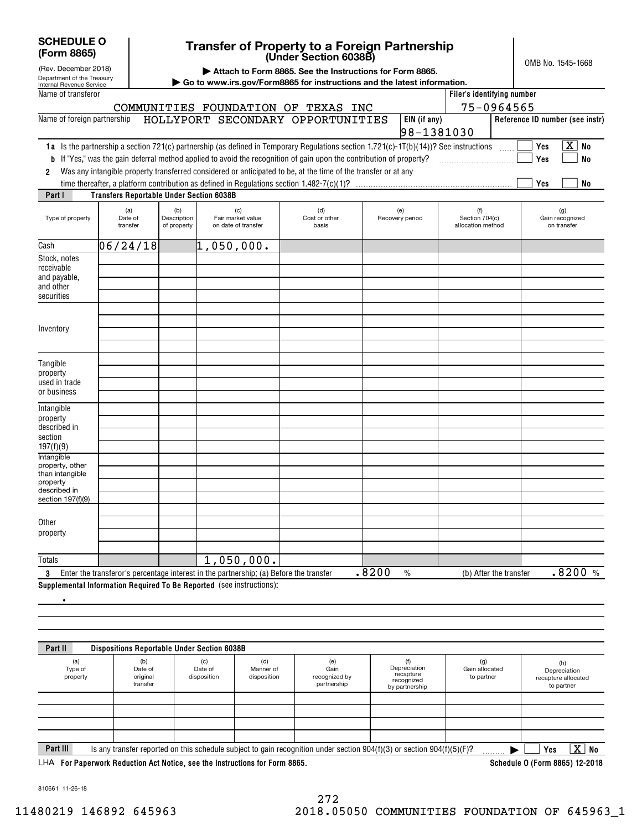| <b>SCHEDULE O</b> |  |
|-------------------|--|
| (Form 8865)       |  |

(Rev. December 2018)

### **(Under Section 6038B) Transfer of Property to a Foreign Partnership**

OMB No. 1545-1668

|  |  |  |  |  | Attach to Form 8865. See the Instructions for Form 8865. |  |  |  |
|--|--|--|--|--|----------------------------------------------------------|--|--|--|
|--|--|--|--|--|----------------------------------------------------------|--|--|--|

| Department of the Treasury<br>Internal Revenue Service                                                   |                                                 |                                   |                                                                                        | Go to www.irs.gov/Form8865 for instructions and the latest information.                                                               |                        |                                            |                                       |
|----------------------------------------------------------------------------------------------------------|-------------------------------------------------|-----------------------------------|----------------------------------------------------------------------------------------|---------------------------------------------------------------------------------------------------------------------------------------|------------------------|--------------------------------------------|---------------------------------------|
| Name of transferor                                                                                       |                                                 |                                   |                                                                                        |                                                                                                                                       |                        | Filer's identifying number                 |                                       |
|                                                                                                          |                                                 |                                   |                                                                                        | COMMUNITIES FOUNDATION OF TEXAS INC                                                                                                   |                        |                                            | 75-0964565                            |
| Name of foreign partnership                                                                              |                                                 |                                   |                                                                                        | HOLLYPORT SECONDARY OPPORTUNITIES                                                                                                     | EIN (if any)           | 98-1381030                                 | Reference ID number (see instr)       |
|                                                                                                          |                                                 |                                   |                                                                                        | 1a Is the partnership a section 721(c) partnership (as defined in Temporary Regulations section 1.721(c)-1T(b)(14))? See instructions |                        |                                            | $\boxed{\text{X}}$ No<br>Yes          |
|                                                                                                          |                                                 |                                   |                                                                                        | <b>b</b> If "Yes," was the gain deferral method applied to avoid the recognition of gain upon the contribution of property?           |                        |                                            | <b>No</b><br>Yes                      |
| $\overline{2}$                                                                                           |                                                 |                                   |                                                                                        | Was any intangible property transferred considered or anticipated to be, at the time of the transfer or at any                        |                        |                                            |                                       |
|                                                                                                          |                                                 |                                   |                                                                                        |                                                                                                                                       |                        |                                            | Yes<br>No                             |
| Part I                                                                                                   | <b>Transfers Reportable Under Section 6038B</b> |                                   |                                                                                        |                                                                                                                                       |                        |                                            |                                       |
| Type of property                                                                                         | (a)<br>Date of<br>transfer                      | (b)<br>Description<br>of property | (c)<br>Fair market value<br>on date of transfer                                        | (d)<br>Cost or other<br>basis                                                                                                         | (e)<br>Recovery period | (f)<br>Section 704(c)<br>allocation method | (g)<br>Gain recognized<br>on transfer |
| Cash                                                                                                     | 06/24/18                                        |                                   | $ 1,050,000$ .                                                                         |                                                                                                                                       |                        |                                            |                                       |
| Stock, notes<br>receivable<br>and payable,<br>and other<br>securities                                    |                                                 |                                   |                                                                                        |                                                                                                                                       |                        |                                            |                                       |
| Inventory                                                                                                |                                                 |                                   |                                                                                        |                                                                                                                                       |                        |                                            |                                       |
| Tangible<br>property<br>used in trade<br>or business                                                     |                                                 |                                   |                                                                                        |                                                                                                                                       |                        |                                            |                                       |
| Intangible<br>property<br>described in<br>section<br>197(f)(9)                                           |                                                 |                                   |                                                                                        |                                                                                                                                       |                        |                                            |                                       |
| <b>Intangible</b><br>property, other<br>than intangible<br>property<br>described in<br>section 197(f)(9) |                                                 |                                   |                                                                                        |                                                                                                                                       |                        |                                            |                                       |
| Other<br>property                                                                                        |                                                 |                                   |                                                                                        |                                                                                                                                       |                        |                                            |                                       |
| Totals                                                                                                   |                                                 |                                   | 1,050,000.                                                                             |                                                                                                                                       |                        |                                            |                                       |
| 3                                                                                                        |                                                 |                                   | Enter the transferor's percentage interest in the partnership: (a) Before the transfer |                                                                                                                                       | .8200<br>$\frac{0}{0}$ |                                            | .8200%<br>(b) After the transfer      |
|                                                                                                          |                                                 |                                   | Supplemental Information Required To Be Reported (see instructions):                   |                                                                                                                                       |                        |                                            |                                       |

.

(a) Type of property (b) Date of original transfer(c) Date of disposition (d) Manner of disposition (e) Gain recognized by partnership (f) Depreciation recapture recognized by partnership (g) Gain allocated to partner (h) Depreciation recapture allocated to partner **Part II Dispositions Reportable Under Section 6038B Part III** Is any transfer reported on this schedule subject to gain recognition under section 904(f)(3) or section 904(f)(5)(F)? <sub>.........</sub>  $\blacktriangleright$  **Yes**  $\blacktriangleright$   $\Box$  Yes  $\boxed{X}$  No  $\mathcal{L}^{\text{max}}$ 

**For Paperwork Reduction Act Notice, see the Instructions for Form 8865. Schedule O (Form 8865) 12-2018** LHA

810661 11-26-18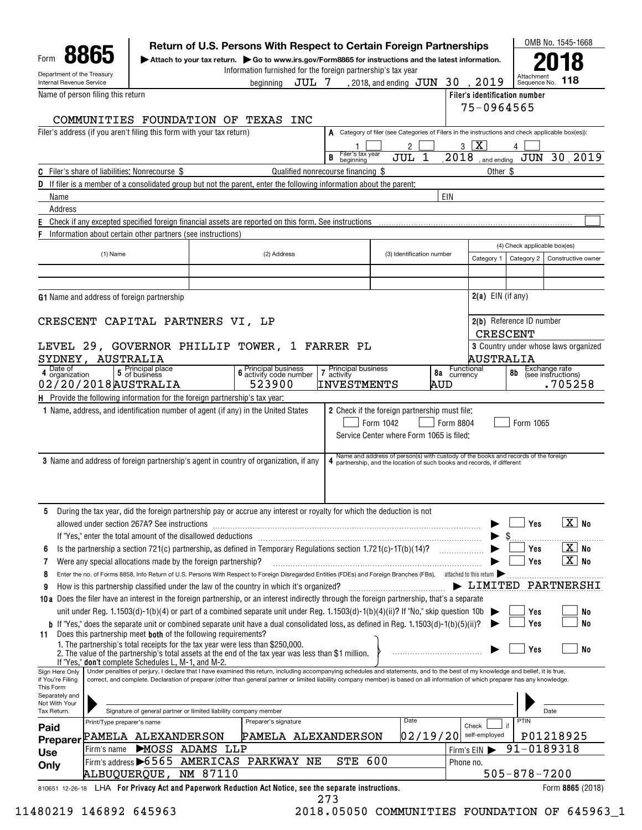| Internal Revenue Service                        | Department of the Treasury                            |                                                                             | Information furnished for the foreign partnership's tax year<br>beainnina                                                                                                                                                                                                                                                                                            | JUL 7                              | , 2018, and ending $\rm\,JUN$                                                                                                                                 | 30          | 2019                          | Attachmer<br>Sequence No.     | 118                                  |
|-------------------------------------------------|-------------------------------------------------------|-----------------------------------------------------------------------------|----------------------------------------------------------------------------------------------------------------------------------------------------------------------------------------------------------------------------------------------------------------------------------------------------------------------------------------------------------------------|------------------------------------|---------------------------------------------------------------------------------------------------------------------------------------------------------------|-------------|-------------------------------|-------------------------------|--------------------------------------|
|                                                 | Name of person filing this return                     |                                                                             |                                                                                                                                                                                                                                                                                                                                                                      |                                    |                                                                                                                                                               |             |                               | Filer's identification number |                                      |
|                                                 |                                                       |                                                                             |                                                                                                                                                                                                                                                                                                                                                                      |                                    |                                                                                                                                                               |             | 75-0964565                    |                               |                                      |
|                                                 |                                                       | COMMUNITIES FOUNDATION OF TEXAS                                             | INC                                                                                                                                                                                                                                                                                                                                                                  |                                    |                                                                                                                                                               |             |                               |                               |                                      |
|                                                 |                                                       | Filer's address (if you aren't filing this form with your tax return)       |                                                                                                                                                                                                                                                                                                                                                                      |                                    | A Category of filer (see Categories of Filers in the instructions and check applicable box(es)):                                                              |             |                               |                               |                                      |
|                                                 |                                                       |                                                                             |                                                                                                                                                                                                                                                                                                                                                                      |                                    | 2                                                                                                                                                             |             | $3 \overline{X}$              |                               |                                      |
|                                                 |                                                       |                                                                             |                                                                                                                                                                                                                                                                                                                                                                      | Filer's tax year<br>beginning<br>B | JUL<br>1                                                                                                                                                      | 2018        | and ending                    | JUN                           | 30 2019                              |
|                                                 | <b>C</b> Filer's share of liabilities: Nonrecourse \$ |                                                                             |                                                                                                                                                                                                                                                                                                                                                                      | Qualified nonrecourse financing \$ |                                                                                                                                                               |             | Other \$                      |                               |                                      |
|                                                 |                                                       |                                                                             | <b>D</b> If filer is a member of a consolidated group but not the parent, enter the following information about the parent:                                                                                                                                                                                                                                          |                                    |                                                                                                                                                               |             |                               |                               |                                      |
| Name<br>Address                                 |                                                       |                                                                             |                                                                                                                                                                                                                                                                                                                                                                      |                                    |                                                                                                                                                               | EIN         |                               |                               |                                      |
|                                                 |                                                       |                                                                             | Check if any excepted specified foreign financial assets are reported on this form. See instructions                                                                                                                                                                                                                                                                 |                                    |                                                                                                                                                               |             |                               |                               |                                      |
|                                                 |                                                       | Information about certain other partners (see instructions)                 |                                                                                                                                                                                                                                                                                                                                                                      |                                    |                                                                                                                                                               |             |                               |                               |                                      |
|                                                 |                                                       |                                                                             |                                                                                                                                                                                                                                                                                                                                                                      |                                    |                                                                                                                                                               |             |                               | (4) Check applicable box(es)  |                                      |
|                                                 | (1) Name                                              |                                                                             | (2) Address                                                                                                                                                                                                                                                                                                                                                          |                                    | (3) Identification number                                                                                                                                     |             | Category 1                    | Category 2                    | Constructive owner                   |
|                                                 |                                                       |                                                                             |                                                                                                                                                                                                                                                                                                                                                                      |                                    |                                                                                                                                                               |             |                               |                               |                                      |
|                                                 |                                                       |                                                                             |                                                                                                                                                                                                                                                                                                                                                                      |                                    |                                                                                                                                                               |             |                               |                               |                                      |
|                                                 | G1 Name and address of foreign partnership            |                                                                             |                                                                                                                                                                                                                                                                                                                                                                      |                                    |                                                                                                                                                               |             | $2(a)$ EIN (if any)           |                               |                                      |
|                                                 |                                                       | CRESCENT CAPITAL PARTNERS VI, LP                                            |                                                                                                                                                                                                                                                                                                                                                                      |                                    |                                                                                                                                                               |             |                               | 2(b) Reference ID number      |                                      |
|                                                 |                                                       |                                                                             |                                                                                                                                                                                                                                                                                                                                                                      |                                    |                                                                                                                                                               |             | <b>CRESCENT</b>               |                               |                                      |
|                                                 |                                                       |                                                                             | LEVEL 29, GOVERNOR PHILLIP TOWER, 1 FARRER PL                                                                                                                                                                                                                                                                                                                        |                                    |                                                                                                                                                               |             |                               |                               | 3 Country under whose laws organized |
|                                                 | SYDNEY, AUSTRALIA                                     |                                                                             |                                                                                                                                                                                                                                                                                                                                                                      |                                    |                                                                                                                                                               |             | AUSTRALIA                     |                               |                                      |
| Date of<br>4 organization                       | 5 Principal place<br>5 of business                    |                                                                             | <b>6</b> Principal business<br><b>6</b> activity code number                                                                                                                                                                                                                                                                                                         | Principal business<br>7 activity   |                                                                                                                                                               | 8a currency | Functional                    | 8b                            | Exchange rate<br>(see instructions)  |
|                                                 | 02/20/2018 AUSTRALIA                                  |                                                                             | 523900                                                                                                                                                                                                                                                                                                                                                               | <b>INVESTMENTS</b>                 |                                                                                                                                                               | AUD         |                               |                               | .705258                              |
|                                                 |                                                       | H Provide the following information for the foreign partnership's tax year: |                                                                                                                                                                                                                                                                                                                                                                      |                                    |                                                                                                                                                               |             |                               |                               |                                      |
|                                                 |                                                       |                                                                             | 1 Name, address, and identification number of agent (if any) in the United States                                                                                                                                                                                                                                                                                    |                                    | 2 Check if the foreign partnership must file:<br>Form 1042<br>Service Center where Form 1065 is filed:                                                        | Form 8804   |                               | Form 1065                     |                                      |
|                                                 |                                                       |                                                                             | 3 Name and address of foreign partnership's agent in country of organization, if any                                                                                                                                                                                                                                                                                 |                                    | Name and address of person(s) with custody of the books and records of the foreign<br>4 partnership, and the location of such books and records, if different |             |                               |                               |                                      |
|                                                 |                                                       |                                                                             |                                                                                                                                                                                                                                                                                                                                                                      |                                    |                                                                                                                                                               |             |                               |                               |                                      |
| 5                                               | allowed under section 267A? See instructions          |                                                                             | During the tax year, did the foreign partnership pay or accrue any interest or royalty for which the deduction is not                                                                                                                                                                                                                                                |                                    |                                                                                                                                                               |             |                               | Yes                           | $\boxed{\text{X}}$ No                |
| 6                                               |                                                       | If "Yes," enter the total amount of the disallowed deductions               |                                                                                                                                                                                                                                                                                                                                                                      |                                    |                                                                                                                                                               |             |                               | Yes                           | $\boxed{\text{X}}$ No                |
| 7                                               |                                                       | Were any special allocations made by the foreign partnership?               | Is the partnership a section 721(c) partnership, as defined in Temporary Regulations section 1.721(c)-1T(b)(14)?                                                                                                                                                                                                                                                     |                                    |                                                                                                                                                               |             |                               | Yes                           | $\boxed{\text{X}}$ No                |
| 8                                               |                                                       |                                                                             | Enter the no. of Forms 8858, Info Return of U.S. Persons With Respect to Foreign Disregarded Entities (FDEs) and Foreign Branches (FBs), attached to this return                                                                                                                                                                                                     |                                    |                                                                                                                                                               |             |                               |                               |                                      |
| 9                                               |                                                       |                                                                             | How is this partnership classified under the law of the country in which it's organized?                                                                                                                                                                                                                                                                             |                                    |                                                                                                                                                               |             | $\blacktriangleright$ LIMITED |                               |                                      |
|                                                 |                                                       |                                                                             | 10a Does the filer have an interest in the foreign partnership, or an interest indirectly through the foreign partnership, that's a separate                                                                                                                                                                                                                         |                                    |                                                                                                                                                               |             |                               |                               |                                      |
|                                                 |                                                       |                                                                             | unit under Reg. 1.1503(d)-1(b)(4) or part of a combined separate unit under Reg. 1.1503(d)-1(b)(4)(ii)? If "No," skip question 10b $\blacktriangleright$                                                                                                                                                                                                             |                                    |                                                                                                                                                               |             |                               | Yes                           | No                                   |
|                                                 |                                                       | Does this partnership meet <b>both</b> of the following requirements?       | b If "Yes," does the separate unit or combined separate unit have a dual consolidated loss, as defined in Reg. 1.1503(d)-1(b)(5)(ii)?                                                                                                                                                                                                                                |                                    |                                                                                                                                                               |             |                               | Yes                           | <b>No</b>                            |
| 11                                              | If "Yes," don't complete Schedules L, M-1, and M-2.   |                                                                             | 1. The partnership's total receipts for the tax year were less than \$250,000.<br>2. The value of the partnership's total assets at the end of the tax year was less than \$1 million.                                                                                                                                                                               |                                    |                                                                                                                                                               |             |                               | Yes                           | No                                   |
| Sign Here Only<br>if You're Filing<br>This Form |                                                       |                                                                             | Under penalties of perjury, I declare that I have examined this return, including accompanying schedules and statements, and to the best of my knowledge and belief, it is true,<br>correct, and complete. Declaration of preparer (other than general partner or limited liability company member) is based on all information of which preparer has any knowledge. |                                    |                                                                                                                                                               |             |                               |                               |                                      |
| Separately and<br>Not With Your                 |                                                       |                                                                             |                                                                                                                                                                                                                                                                                                                                                                      |                                    |                                                                                                                                                               |             |                               |                               |                                      |
| Tax Return.                                     |                                                       | Signature of general partner or limited liability company member            |                                                                                                                                                                                                                                                                                                                                                                      |                                    |                                                                                                                                                               |             |                               |                               | Date                                 |
| Paid                                            | Print/Type preparer's name                            |                                                                             | Preparer's signature                                                                                                                                                                                                                                                                                                                                                 |                                    | Date                                                                                                                                                          |             | Check                         | PTIN                          |                                      |
| <b>Preparer</b>                                 | PAMELA ALEXANDERSON                                   |                                                                             | PAMELA ALEXANDERSON                                                                                                                                                                                                                                                                                                                                                  |                                    |                                                                                                                                                               | 02/19/20    | self-employed                 |                               | PARTNERSHI<br>P01218925              |
| <b>Use</b>                                      | Firm's name                                           | MOSS ADAMS LLP                                                              |                                                                                                                                                                                                                                                                                                                                                                      |                                    |                                                                                                                                                               |             | Firm's EIN                    | 91-0189318                    |                                      |
| Only                                            |                                                       | ALBUQUERQUE, NM 87110                                                       | Firm's address 6565 AMERICAS PARKWAY NE                                                                                                                                                                                                                                                                                                                              | STE                                | 600                                                                                                                                                           | Phone no.   |                               | $505 - 878 - 7200$            |                                      |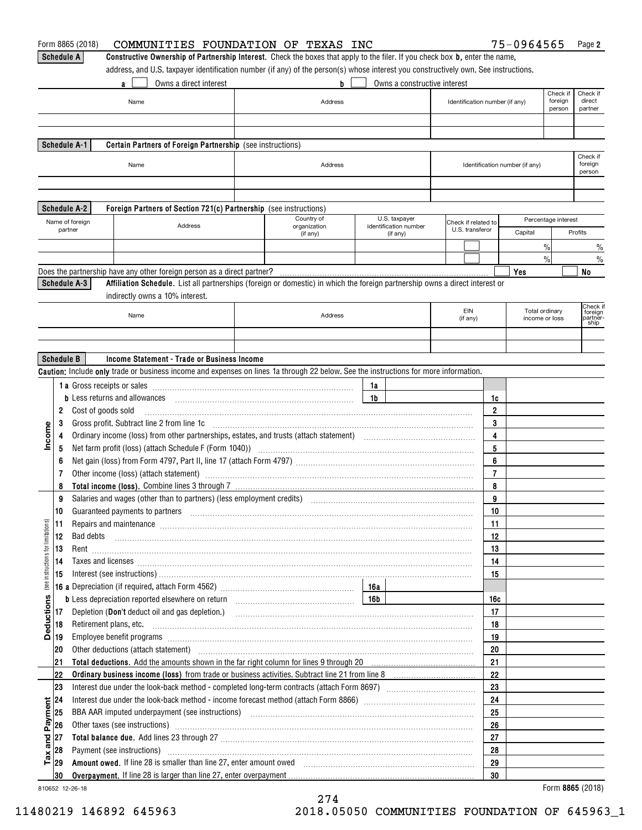|                                    |                   | Form 8865 (2018)<br>COMMUNITIES FOUNDATION OF TEXAS INC                                                                                                                                                                        |              |                |                              |                                        |                         | 75-0964565                     |                     | Page 2                         |
|------------------------------------|-------------------|--------------------------------------------------------------------------------------------------------------------------------------------------------------------------------------------------------------------------------|--------------|----------------|------------------------------|----------------------------------------|-------------------------|--------------------------------|---------------------|--------------------------------|
|                                    | <b>Schedule A</b> | Constructive Ownership of Partnership Interest. Check the boxes that apply to the filer. If you check box b, enter the name,                                                                                                   |              |                |                              |                                        |                         |                                |                     |                                |
|                                    |                   | address, and U.S. taxpayer identification number (if any) of the person(s) whose interest you constructively own. See instructions.                                                                                            |              |                |                              |                                        |                         |                                |                     |                                |
|                                    |                   | Owns a direct interest<br>a                                                                                                                                                                                                    | b            |                | Owns a constructive interest |                                        |                         |                                |                     |                                |
|                                    |                   |                                                                                                                                                                                                                                |              |                |                              |                                        |                         |                                | Check if            | Check if                       |
|                                    |                   | Name                                                                                                                                                                                                                           | Address      |                |                              | Identification number (if any)         |                         |                                | foreign<br>person   | direct<br>partner              |
|                                    |                   |                                                                                                                                                                                                                                |              |                |                              |                                        |                         |                                |                     |                                |
|                                    |                   |                                                                                                                                                                                                                                |              |                |                              |                                        |                         |                                |                     |                                |
|                                    |                   | Schedule A-1<br>Certain Partners of Foreign Partnership (see instructions)                                                                                                                                                     |              |                |                              |                                        |                         |                                |                     |                                |
|                                    |                   |                                                                                                                                                                                                                                |              |                |                              |                                        |                         |                                |                     | Check if                       |
|                                    |                   | Name                                                                                                                                                                                                                           | Address      |                |                              |                                        |                         | Identification number (if any) |                     | foreign<br>person              |
|                                    |                   |                                                                                                                                                                                                                                |              |                |                              |                                        |                         |                                |                     |                                |
|                                    |                   |                                                                                                                                                                                                                                |              |                |                              |                                        |                         |                                |                     |                                |
|                                    |                   | <b>Schedule A-2</b><br>Foreign Partners of Section 721(c) Partnership (see instructions)                                                                                                                                       |              |                |                              |                                        |                         |                                |                     |                                |
|                                    |                   |                                                                                                                                                                                                                                | Country of   |                | U.S. taxpayer                |                                        |                         |                                | Percentage interest |                                |
|                                    |                   | Name of foreign<br>Address<br>partner                                                                                                                                                                                          | organization |                | identification number        | Check if related to<br>U.S. transferor |                         | Capital                        |                     | Profits                        |
|                                    |                   |                                                                                                                                                                                                                                | (if any)     |                | (if any)                     |                                        |                         |                                |                     |                                |
|                                    |                   |                                                                                                                                                                                                                                |              |                |                              |                                        |                         |                                | $\frac{0}{0}$       | $\frac{0}{0}$                  |
|                                    |                   |                                                                                                                                                                                                                                |              |                |                              |                                        |                         |                                | $\frac{0}{0}$       | $\frac{0}{0}$                  |
|                                    |                   | Does the partnership have any other foreign person as a direct partner?                                                                                                                                                        |              |                |                              |                                        |                         | Yes                            |                     | No                             |
|                                    |                   | Schedule A-3<br>Affiliation Schedule. List all partnerships (foreign or domestic) in which the foreign partnership owns a direct interest or                                                                                   |              |                |                              |                                        |                         |                                |                     |                                |
|                                    |                   | indirectly owns a 10% interest.                                                                                                                                                                                                |              |                |                              |                                        |                         |                                |                     |                                |
|                                    |                   | Name                                                                                                                                                                                                                           | Address      |                |                              | EIN                                    |                         | Total ordinary                 |                     | Check if<br>foreign<br>partněr |
|                                    |                   |                                                                                                                                                                                                                                |              |                |                              | (if any)                               |                         | income or loss                 |                     | ship                           |
|                                    |                   |                                                                                                                                                                                                                                |              |                |                              |                                        |                         |                                |                     |                                |
|                                    |                   |                                                                                                                                                                                                                                |              |                |                              |                                        |                         |                                |                     |                                |
|                                    | <b>Schedule B</b> | Income Statement - Trade or Business Income                                                                                                                                                                                    |              |                |                              |                                        |                         |                                |                     |                                |
|                                    |                   | Caution: Include only trade or business income and expenses on lines 1a through 22 below. See the instructions for more information.                                                                                           |              |                |                              |                                        |                         |                                |                     |                                |
|                                    |                   |                                                                                                                                                                                                                                |              | 1a             |                              |                                        |                         |                                |                     |                                |
|                                    |                   | <b>b</b> Less returns and allowances                                                                                                                                                                                           |              | 1 <sub>b</sub> |                              |                                        | 1c                      |                                |                     |                                |
|                                    | 2                 | Cost of goods sold                                                                                                                                                                                                             |              |                |                              |                                        | $\overline{2}$          |                                |                     |                                |
|                                    | 3                 |                                                                                                                                                                                                                                |              |                |                              |                                        | 3                       |                                |                     |                                |
| Income                             | 4                 |                                                                                                                                                                                                                                |              |                |                              |                                        | 4                       |                                |                     |                                |
|                                    | 5                 | Net farm profit (loss) (attach Schedule F (Form 1040)) (2000) (2000) (2000) (2000) (2000) (2000) (2000) (2000)                                                                                                                 |              |                |                              |                                        | 5                       |                                |                     |                                |
|                                    | 6                 |                                                                                                                                                                                                                                |              |                |                              |                                        | 6                       |                                |                     |                                |
|                                    | 7                 | Other income (loss) (attach statement) manufactured and according to the statement of the statement of the statement of the statement of the statement of the statement of the statement of the statement of the statement of  |              |                |                              |                                        | $\overline{\mathbf{r}}$ |                                |                     |                                |
|                                    | 8                 |                                                                                                                                                                                                                                |              |                |                              |                                        | 8                       |                                |                     |                                |
|                                    | 9                 |                                                                                                                                                                                                                                |              |                |                              |                                        | 9                       |                                |                     |                                |
|                                    | 10                | Guaranteed payments to partners [11] manufactured and manufactured and manufactured as a manufactured and manufactured and manufactured and manufactured and manufactured and manufactured and manufactured and manufactured a |              |                |                              |                                        | 10                      |                                |                     |                                |
|                                    | 11                | Repairs and maintenance material continuum contract and maintenance material contract and maintenance material                                                                                                                 |              |                |                              |                                        | 11                      |                                |                     |                                |
|                                    | 12                | Bad debts                                                                                                                                                                                                                      |              |                |                              |                                        | 12                      |                                |                     |                                |
|                                    | 13                |                                                                                                                                                                                                                                |              |                |                              |                                        | 13                      |                                |                     |                                |
|                                    | 14                |                                                                                                                                                                                                                                |              |                |                              |                                        | 14                      |                                |                     |                                |
| (see instructions for limitations) | 15                | Taxes and licenses <b>construction and construction of the construction of the construction of the construction</b>                                                                                                            |              |                |                              |                                        | 15                      |                                |                     |                                |
|                                    |                   |                                                                                                                                                                                                                                |              |                |                              |                                        |                         |                                |                     |                                |
|                                    |                   |                                                                                                                                                                                                                                |              |                |                              |                                        | 16c                     |                                |                     |                                |
| <b>Deductions</b>                  | 17                |                                                                                                                                                                                                                                |              |                |                              |                                        | 17                      |                                |                     |                                |
|                                    |                   |                                                                                                                                                                                                                                |              |                |                              |                                        |                         |                                |                     |                                |
|                                    | 18                |                                                                                                                                                                                                                                |              |                |                              |                                        | 18                      |                                |                     |                                |
|                                    | 19                | Employee benefit programs informational contracts and contracts are contracted and contract and contract and contract and contract and contract and contract and contract and contract and contract and contract and contract  |              |                |                              |                                        | 19                      |                                |                     |                                |
|                                    | 20                | Other deductions (attach statement) manufactured and according to the deductions (attach statement)                                                                                                                            |              |                |                              |                                        | 20                      |                                |                     |                                |
|                                    | 21                |                                                                                                                                                                                                                                |              |                |                              |                                        | 21                      |                                |                     |                                |
|                                    | 22                |                                                                                                                                                                                                                                |              |                |                              |                                        | 22                      |                                |                     |                                |
|                                    | 23                |                                                                                                                                                                                                                                |              |                |                              |                                        | 23                      |                                |                     |                                |
|                                    | 24                |                                                                                                                                                                                                                                |              |                |                              |                                        | 24                      |                                |                     |                                |
|                                    | 25                |                                                                                                                                                                                                                                |              |                |                              |                                        | 25                      |                                |                     |                                |
| and Payment                        | 26                | Other taxes (see instructions) manufactured and content to the set of the content of the content of the content of the content of the content of the content of the content of the content of the content of the content of th |              |                |                              |                                        | 26                      |                                |                     |                                |
|                                    | 27                |                                                                                                                                                                                                                                |              |                |                              |                                        | 27                      |                                |                     |                                |
|                                    | 28                | Payment (see instructions) manufactured and contact the set of the contact of the contact of the contact of the contact of the contact of the contact of the contact of the contact of the contact of the contact of the conta |              |                |                              |                                        | 28                      |                                |                     |                                |
| $\mathsf{T} \mathsf{a} \mathsf{x}$ | 29                | Amount owed. If line 28 is smaller than line 27, enter amount owed [11] contains according to the container than 100 M                                                                                                         |              |                |                              |                                        | 29                      |                                |                     |                                |
|                                    | 30                |                                                                                                                                                                                                                                |              |                |                              |                                        | 30                      |                                |                     |                                |
|                                    |                   | 810652 12-26-18                                                                                                                                                                                                                |              |                |                              |                                        |                         |                                |                     | Form 8865 (2018)               |

810652 12-26-18

274 11480219 146892 645963 2018.05050 COMMUNITIES FOUNDATION OF 645963\_1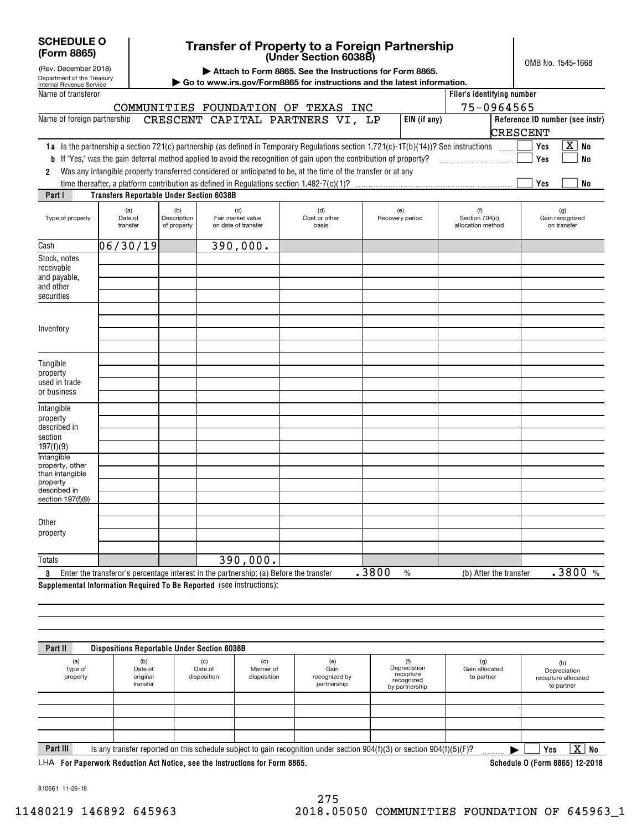| <b>SCHEDULE O</b> |  |
|-------------------|--|
| $(Form$ $RRA$     |  |

# **Transfer of Property to a Foreign Partnership**

Department of the Treasury Internal Revenue Service (a) Date of transfer(b) Description of property (c) Fair market value on date of transfer (d) Cost or other basis(e) Recovery period (f) Section 704(c) allocation method (g) Gain recognized on transfer Type of property (Rev. December 2018) **Intangible** property, other than intangible property described in section 197(f)(9) **Filer's identifying number EIN (if any) Reference ID number (see instr) 1 <b>a** Is the partnership a section 721(c) partnership (as defined in Temporary Regulations section 1.721(c)-1T(b)(14))? See instructions  $\quad \ldots \ldots$ **2b**If "Yes," was the gain deferral method applied to avoid the recognition of gain upon the contribution of property? ~~~~~~~~~~ **YesYesNo** X **No Yes No Part I Transfers Reportable Under Section 6038B | Attach to Form 8865. See the Instructions for Form 8865. | Go to www.irs.gov/Form8865 for instructions and the latest information.** OMB No. 1545-1668 Name of transferor Name of foreign partnership Was any intangible property transferred considered or anticipated to be, at the time of the transfer or at any time thereafter, a platform contribution as defined in Regulations section 1.482-7(c)(1)? CashStock, notes receivable and payable, and other securitiesInventoryTangible property used in trade or business Intangible property described in section 197(f)(9) **Other** property**(Form 8865) (Under Section 6038B)**  $\mathcal{L}^{\text{max}}$  $\mathcal{L}^{\text{max}}$  $\mathcal{L}^{\text{max}}$  $\mathcal{L}^{\text{max}}$ COMMUNITIES FOUNDATION OF TEXAS INC CRESCENT CAPITAL PARTNERS VI, LP 06/30/19 390,000. 75-0964565 CRESCENT

| Totals                                                                                |                                                                                                        |  |  |  |  |  |  |                            |         |
|---------------------------------------------------------------------------------------|--------------------------------------------------------------------------------------------------------|--|--|--|--|--|--|----------------------------|---------|
|                                                                                       | s percentage interest in the partnership: (a)<br>Enter the<br>: the transfer<br>transferor's<br>Betore |  |  |  |  |  |  | After<br>the transfer<br>b | n/<br>n |
| <b>Supplemental Information Required</b><br>l To Be Renorted<br>l (see instructions). |                                                                                                        |  |  |  |  |  |  |                            |         |

**Supplemental Information Required To Be Reported**  (see instructions):

| (a)<br>Type of<br>property | (b)<br>Date of<br>original<br>transfer | (c)<br>Date of<br>disposition | (d)<br>Manner of<br>disposition | (e)<br>Gain<br>recognized by<br>partnership | Depreciation<br>recapture<br>recognized<br>by partnership                                                                   | (g)<br>Gain allocated<br>to partner | (h)<br>Depreciation<br>recapture allocated<br>to partner |
|----------------------------|----------------------------------------|-------------------------------|---------------------------------|---------------------------------------------|-----------------------------------------------------------------------------------------------------------------------------|-------------------------------------|----------------------------------------------------------|
|                            |                                        |                               |                                 |                                             |                                                                                                                             |                                     |                                                          |
|                            |                                        |                               |                                 |                                             |                                                                                                                             |                                     |                                                          |
| Part III                   |                                        |                               |                                 |                                             | Is any transfer reported on this schedule subject to gain recognition under section $904(f)(3)$ or section $904(f)(5)(F)$ ? |                                     | $\overline{\text{X}}$ $\overline{\text{}}$<br>No<br>Yes  |

**For Paperwork Reduction Act Notice, see the Instructions for Form 8865. Schedule O (Form 8865) 12-2018** LHA

810661 11-26-18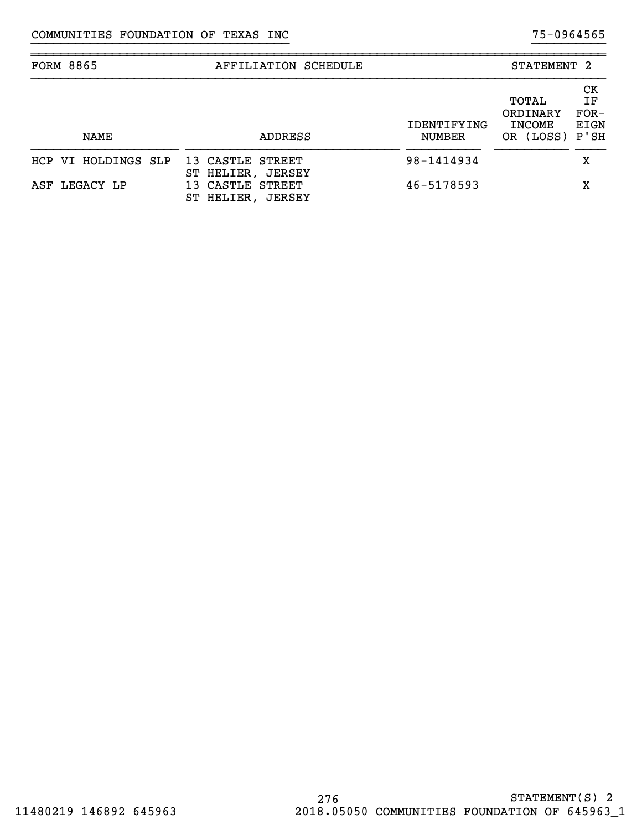| <b>FORM 8865</b>    | AFFILIATION SCHEDULE                                                           |                              | STATEMENT 2                                          |                            |
|---------------------|--------------------------------------------------------------------------------|------------------------------|------------------------------------------------------|----------------------------|
| <b>NAME</b>         | ADDRESS                                                                        | IDENTIFYING<br><b>NUMBER</b> | TOTAL<br>ORDINARY<br><b>INCOME</b><br>OR (LOSS) P'SH | СK<br>ΙF<br>$FOR-$<br>EIGN |
| HCP VI HOLDINGS SLP | 13 CASTLE STREET                                                               | 98-1414934                   |                                                      | х                          |
| ASF LEGACY LP       | ST HELIER,<br><b>JERSEY</b><br>CASTLE<br>STREET<br>13.<br>ST HELIER.<br>JERSEY | $46 - 5178593$               |                                                      | х                          |

}}}}}}}}}}}}}}}}}}}}}}}}}}}}}}}}}}} }}}}}}}}}}

~~~~~~~~~~~~~~~~~~~~~~~~~~~~~~~~~~~~~~~~~~~~~~~~~~~~~~~~~~~~~~~~~~~~~~~~~~~~~~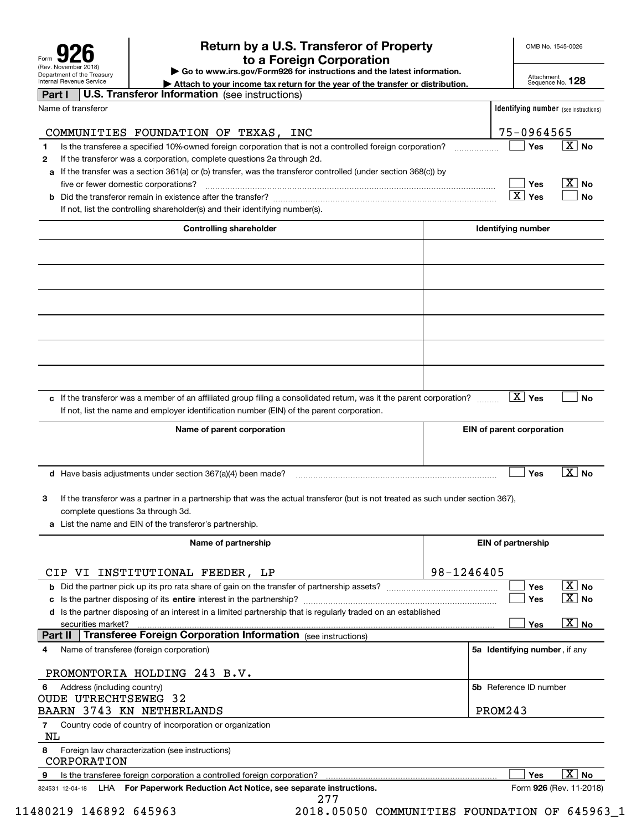| Form                                                   |  |  |  |  |  |  |
|--------------------------------------------------------|--|--|--|--|--|--|
| (Rev. November 2018)                                   |  |  |  |  |  |  |
| Department of the Treasury<br>Internal Revenue Service |  |  |  |  |  |  |

## **Return by a U.S. Transferor of Property 926 to a Foreign Corporation**

OMB No. 1545-0026

**| Go to www.irs.gov/Form926 for instructions and the latest information.**

Attachment Sequence No. **128**

| Internal Revenue Service<br>Attach to your income tax return for the year of the transfer or distribution.                           |            |                                              | Sequence No. 128                          |
|--------------------------------------------------------------------------------------------------------------------------------------|------------|----------------------------------------------|-------------------------------------------|
| <b>U.S. Transferor Information</b> (see instructions)<br>Part I                                                                      |            |                                              |                                           |
| Name of transferor                                                                                                                   |            | <b>Identifying number</b> (see instructions) |                                           |
|                                                                                                                                      |            |                                              |                                           |
| COMMUNITIES FOUNDATION OF TEXAS,<br>INC                                                                                              |            | 75-0964565                                   |                                           |
| Is the transferee a specified 10%-owned foreign corporation that is not a controlled foreign corporation?<br>1                       |            | Yes                                          | $\vert$ $\boldsymbol{\mathrm{X}}\vert$ No |
| If the transferor was a corporation, complete questions 2a through 2d.<br>$\mathbf{2}$                                               |            |                                              |                                           |
| If the transfer was a section 361(a) or (b) transfer, was the transferor controlled (under section 368(c)) by<br>a                   |            |                                              |                                           |
| five or fewer domestic corporations?                                                                                                 |            | Yes<br>$\overline{X}$ Yes                    | $\vert$ $\mathrm{X}\vert$ No              |
|                                                                                                                                      |            |                                              | No                                        |
| If not, list the controlling shareholder(s) and their identifying number(s).                                                         |            |                                              |                                           |
| <b>Controlling shareholder</b>                                                                                                       |            | Identifying number                           |                                           |
|                                                                                                                                      |            |                                              |                                           |
|                                                                                                                                      |            |                                              |                                           |
|                                                                                                                                      |            |                                              |                                           |
|                                                                                                                                      |            |                                              |                                           |
|                                                                                                                                      |            |                                              |                                           |
|                                                                                                                                      |            |                                              |                                           |
| c If the transferor was a member of an affiliated group filing a consolidated return, was it the parent corporation?                 |            | $ X $ Yes                                    | <b>No</b>                                 |
| If not, list the name and employer identification number (EIN) of the parent corporation.                                            |            |                                              |                                           |
| Name of parent corporation                                                                                                           |            | EIN of parent corporation                    |                                           |
|                                                                                                                                      |            |                                              |                                           |
|                                                                                                                                      |            |                                              |                                           |
| <b>d</b> Have basis adjustments under section $367(a)(4)$ been made?                                                                 |            | Yes                                          | $\boxed{\text{X}}$ No                     |
|                                                                                                                                      |            |                                              |                                           |
| If the transferor was a partner in a partnership that was the actual transferor (but is not treated as such under section 367),<br>3 |            |                                              |                                           |
| complete questions 3a through 3d.<br>a List the name and EIN of the transferor's partnership.                                        |            |                                              |                                           |
|                                                                                                                                      |            |                                              |                                           |
| Name of partnership                                                                                                                  |            | <b>EIN of partnership</b>                    |                                           |
|                                                                                                                                      |            |                                              |                                           |
| VI INSTITUTIONAL FEEDER, LP<br>CIP                                                                                                   | 98-1246405 |                                              |                                           |
| <b>b</b> Did the partner pick up its pro rata share of gain on the transfer of partnership assets?                                   |            | Yes                                          | $\boxed{\text{X}}$ No                     |
|                                                                                                                                      |            | Yes                                          | $\overline{X}$ No                         |
| d Is the partner disposing of an interest in a limited partnership that is regularly traded on an established                        |            |                                              |                                           |
| securities market?<br><b>Transferee Foreign Corporation Information</b> (see instructions)<br>Part II                                |            | Yes                                          | $\boxed{\text{X}}$ No                     |
| Name of transferee (foreign corporation)<br>4                                                                                        |            | 5a Identifying number, if any                |                                           |
|                                                                                                                                      |            |                                              |                                           |
| PROMONTORIA HOLDING 243 B.V.                                                                                                         |            |                                              |                                           |
| Address (including country)<br>6                                                                                                     |            | 5b Reference ID number                       |                                           |
| <b>OUDE UTRECHTSEWEG 32</b>                                                                                                          |            |                                              |                                           |
| BAARN 3743 KN NETHERLANDS                                                                                                            |            | PROM243                                      |                                           |
| Country code of country of incorporation or organization<br>7<br>NL                                                                  |            |                                              |                                           |
| 8<br>Foreign law characterization (see instructions)                                                                                 |            |                                              |                                           |
| CORPORATION                                                                                                                          |            |                                              |                                           |
| Is the transferee foreign corporation a controlled foreign corporation?<br>9                                                         |            | Yes                                          | $\overline{X}$ No                         |
| LHA For Paperwork Reduction Act Notice, see separate instructions.<br>824531 12-04-18<br>277                                         |            |                                              | Form 926 (Rev. 11-2018)                   |

11480219 146892 645963 2018.05050 COMMUNITIES FOUNDATION OF 645963\_1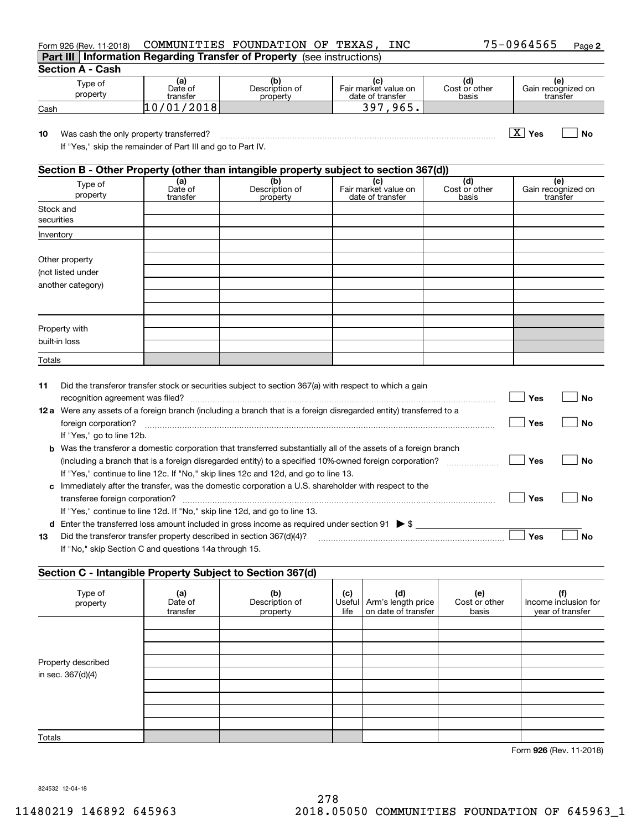| Form 926 (Rev. 11-2018)                                                                                      |                            | COMMUNITIES FOUNDATION OF TEXAS,                              | INC                                             |                               | 75-0964565<br>Page 2                  |
|--------------------------------------------------------------------------------------------------------------|----------------------------|---------------------------------------------------------------|-------------------------------------------------|-------------------------------|---------------------------------------|
| Part III                                                                                                     |                            | Information Regarding Transfer of Property (see instructions) |                                                 |                               |                                       |
| <b>Section A - Cash</b>                                                                                      |                            |                                                               |                                                 |                               |                                       |
| Type of<br>property                                                                                          | (a)<br>Date of<br>transfer | (b)<br>Description of<br>property                             | (c)<br>Fair market value on<br>date of transfer | (d)<br>Cost or other<br>basis | (e)<br>Gain recognized on<br>transfer |
| Cash                                                                                                         | 10/01/2018                 |                                                               | 397,965.                                        |                               |                                       |
| Was cash the only property transferred?<br>10<br>If "Yes," skip the remainder of Part III and go to Part IV. |                            |                                                               |                                                 |                               | $\mathbf{X}$<br>Yes<br>Nο             |
| Section B - Other Property (other than intangible property subject to section 367(d))                        |                            |                                                               |                                                 |                               |                                       |
| Type of<br>property                                                                                          | (a)<br>Date of<br>transfer | (b)<br>Description of<br>property                             | (c)<br>Fair market value on<br>date of transfer | (d)<br>Cost or other<br>basis | (e)<br>Gain recognized on<br>transfer |
| Stock and<br>securities                                                                                      |                            |                                                               |                                                 |                               |                                       |
| Inventory                                                                                                    |                            |                                                               |                                                 |                               |                                       |
| Other property<br>(not listed under<br>another category)                                                     |                            |                                                               |                                                 |                               |                                       |
|                                                                                                              |                            |                                                               |                                                 |                               |                                       |

| 11   | Did the transferor transfer stock or securities subject to section 367(a) with respect to which a gain<br>recognition agreement was filed? The contract of the contract of the contract of the contract of the contract of the contract of the contract of the contract of the contract of the contract of the contract of the contract | Yes | Nο |
|------|-----------------------------------------------------------------------------------------------------------------------------------------------------------------------------------------------------------------------------------------------------------------------------------------------------------------------------------------|-----|----|
| 12 a | Were any assets of a foreign branch (including a branch that is a foreign disregarded entity) transferred to a                                                                                                                                                                                                                          |     |    |
|      | foreign corporation?                                                                                                                                                                                                                                                                                                                    | Yes | Nο |
|      | If "Yes," go to line 12b.                                                                                                                                                                                                                                                                                                               |     |    |
| b    | Was the transferor a domestic corporation that transferred substantially all of the assets of a foreign branch                                                                                                                                                                                                                          |     |    |
|      | (including a branch that is a foreign disregarded entity) to a specified 10%-owned foreign corporation?                                                                                                                                                                                                                                 | Yes | Nο |
|      | If "Yes," continue to line 12c. If "No," skip lines 12c and 12d, and go to line 13.                                                                                                                                                                                                                                                     |     |    |
| C    | Immediately after the transfer, was the domestic corporation a U.S. shareholder with respect to the                                                                                                                                                                                                                                     |     |    |
|      | transferee foreign corporation?                                                                                                                                                                                                                                                                                                         | Yes | N٥ |
|      | If "Yes," continue to line 12d. If "No," skip line 12d, and go to line 13.                                                                                                                                                                                                                                                              |     |    |
| d    | Enter the transferred loss amount included in gross income as required under section 91 $\triangleright$ \$                                                                                                                                                                                                                             |     |    |
| 13   | Did the transferor transfer property described in section 367(d)(4)?                                                                                                                                                                                                                                                                    | Yes | Nο |
|      | If "No," skip Section C and questions 14a through 15.                                                                                                                                                                                                                                                                                   |     |    |

### **Section C - Intangible Property Subject to Section 367(d)**

| $\tilde{\phantom{a}}$ |                            | $\cdots$                          |             |                                                           |                               |                                                 |
|-----------------------|----------------------------|-----------------------------------|-------------|-----------------------------------------------------------|-------------------------------|-------------------------------------------------|
| Type of<br>property   | (a)<br>Date of<br>transfer | (b)<br>Description of<br>property | (c)<br>life | (d)<br>Useful   Arm's length price<br>on date of transfer | (e)<br>Cost or other<br>basis | (f)<br>Income inclusion for<br>year of transfer |
|                       |                            |                                   |             |                                                           |                               |                                                 |
|                       |                            |                                   |             |                                                           |                               |                                                 |
|                       |                            |                                   |             |                                                           |                               |                                                 |
| Property described    |                            |                                   |             |                                                           |                               |                                                 |
| in sec. 367(d)(4)     |                            |                                   |             |                                                           |                               |                                                 |
|                       |                            |                                   |             |                                                           |                               |                                                 |
|                       |                            |                                   |             |                                                           |                               |                                                 |
|                       |                            |                                   |             |                                                           |                               |                                                 |
|                       |                            |                                   |             |                                                           |                               |                                                 |
| Totals                |                            |                                   |             |                                                           |                               |                                                 |

**926**Form (Rev. 11-2018)

824532 12-04-18

Property with built-in loss Totals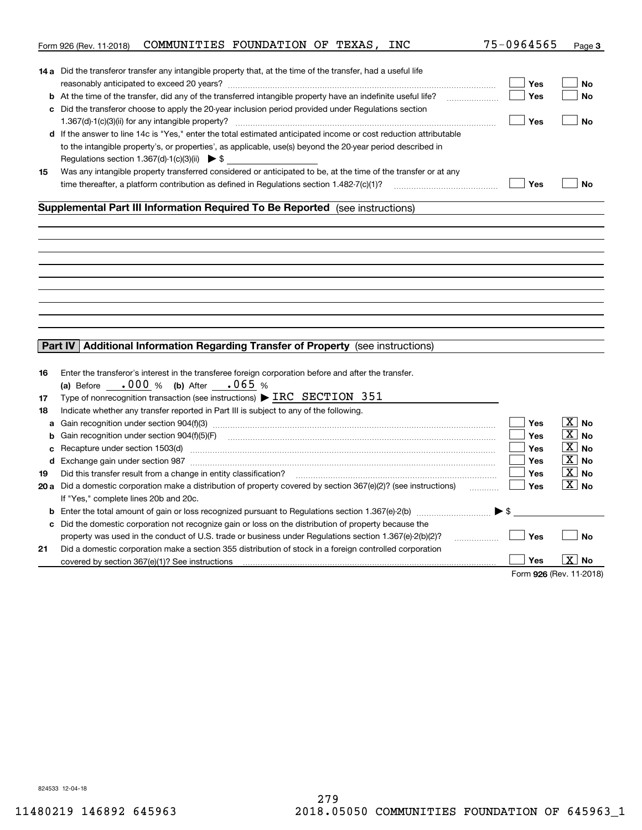|    | COMMUNITIES FOUNDATION OF TEXAS, INC<br>Form 926 (Rev. 11-2018)                                                                                                                                                               | 75-0964565              | Page 3                |
|----|-------------------------------------------------------------------------------------------------------------------------------------------------------------------------------------------------------------------------------|-------------------------|-----------------------|
|    |                                                                                                                                                                                                                               |                         |                       |
|    | <b>14 a</b> Did the transferor transfer any intangible property that, at the time of the transfer, had a useful life                                                                                                          |                         |                       |
|    |                                                                                                                                                                                                                               | Yes                     | No                    |
|    | <b>b</b> At the time of the transfer, did any of the transferred intangible property have an indefinite useful life?                                                                                                          | Yes                     | No                    |
|    | c Did the transferor choose to apply the 20-year inclusion period provided under Regulations section                                                                                                                          |                         |                       |
|    |                                                                                                                                                                                                                               | Yes                     | <b>No</b>             |
|    | d If the answer to line 14c is "Yes," enter the total estimated anticipated income or cost reduction attributable                                                                                                             |                         |                       |
|    | to the intangible property's, or properties', as applicable, use(s) beyond the 20-year period described in                                                                                                                    |                         |                       |
|    | Regulations section 1.367(d)-1(c)(3)(ii) $\triangleright$ \$                                                                                                                                                                  |                         |                       |
| 15 | Was any intangible property transferred considered or anticipated to be, at the time of the transfer or at any                                                                                                                |                         |                       |
|    | time thereafter, a platform contribution as defined in Regulations section $1.482 - 7(c)(1)$ ?                                                                                                                                | Yes                     | <b>No</b>             |
|    |                                                                                                                                                                                                                               |                         |                       |
|    | Supplemental Part III Information Required To Be Reported (see instructions)                                                                                                                                                  |                         |                       |
|    |                                                                                                                                                                                                                               |                         |                       |
|    |                                                                                                                                                                                                                               |                         |                       |
|    |                                                                                                                                                                                                                               |                         |                       |
|    |                                                                                                                                                                                                                               |                         |                       |
|    |                                                                                                                                                                                                                               |                         |                       |
|    |                                                                                                                                                                                                                               |                         |                       |
|    |                                                                                                                                                                                                                               |                         |                       |
|    |                                                                                                                                                                                                                               |                         |                       |
|    |                                                                                                                                                                                                                               |                         |                       |
|    |                                                                                                                                                                                                                               |                         |                       |
|    | Additional Information Regarding Transfer of Property (see instructions)<br>Part IV                                                                                                                                           |                         |                       |
|    |                                                                                                                                                                                                                               |                         |                       |
| 16 | Enter the transferor's interest in the transferee foreign corporation before and after the transfer.                                                                                                                          |                         |                       |
|    | (a) Before $.000\%$ (b) After $.065\%$                                                                                                                                                                                        |                         |                       |
| 17 | Type of nonrecognition transaction (see instructions) $\triangleright$ IRC SECTION 351                                                                                                                                        |                         |                       |
| 18 | Indicate whether any transfer reported in Part III is subject to any of the following.                                                                                                                                        |                         |                       |
| a  |                                                                                                                                                                                                                               | Yes                     | $\boxed{\text{X}}$ No |
| b  | Gain recognition under section 904(f)(5)(F)                                                                                                                                                                                   | Yes                     | $\boxed{\text{X}}$ No |
| c  | Recapture under section 1503(d) machinesis and content to the content of the capture under section 1503(d)                                                                                                                    | <b>Yes</b>              | $ X $ No              |
|    | d Exchange gain under section 987 [111] Martin Martin Martin Martin Martin Martin Martin Martin Martin Martin Martin Martin Martin Martin Martin Martin Martin Martin Martin Martin Martin Martin Martin Martin Martin Martin | <b>Yes</b>              | $\boxed{\text{X}}$ No |
| 19 | Did this transfer result from a change in entity classification?                                                                                                                                                              | <b>Yes</b>              | $\boxed{\text{X}}$ No |
|    |                                                                                                                                                                                                                               | Yes                     | $\boxed{\text{X}}$ No |
|    | 20 a Did a domestic corporation make a distribution of property covered by section 367(e)(2)? (see instructions)                                                                                                              |                         |                       |
|    | If "Yes," complete lines 20b and 20c.                                                                                                                                                                                         |                         |                       |
|    | <b>b</b> Enter the total amount of gain or loss recognized pursuant to Regulations section 1.367(e)-2(b) $\ldots$ $\ldots$ $\blacktriangleright$ \$                                                                           |                         |                       |
| c  | Did the domestic corporation not recognize gain or loss on the distribution of property because the                                                                                                                           |                         |                       |
|    | property was used in the conduct of U.S. trade or business under Regulations section 1.367(e)-2(b)(2)?<br>.                                                                                                                   | Yes                     | <b>No</b>             |
| 21 | Did a domestic corporation make a section 355 distribution of stock in a foreign controlled corporation                                                                                                                       |                         |                       |
|    | covered by section 367(e)(1)? See instructions                                                                                                                                                                                | Yes                     | X  <br>No             |
|    |                                                                                                                                                                                                                               | Form 926 (Rev. 11-2018) |                       |

824533 12-04-18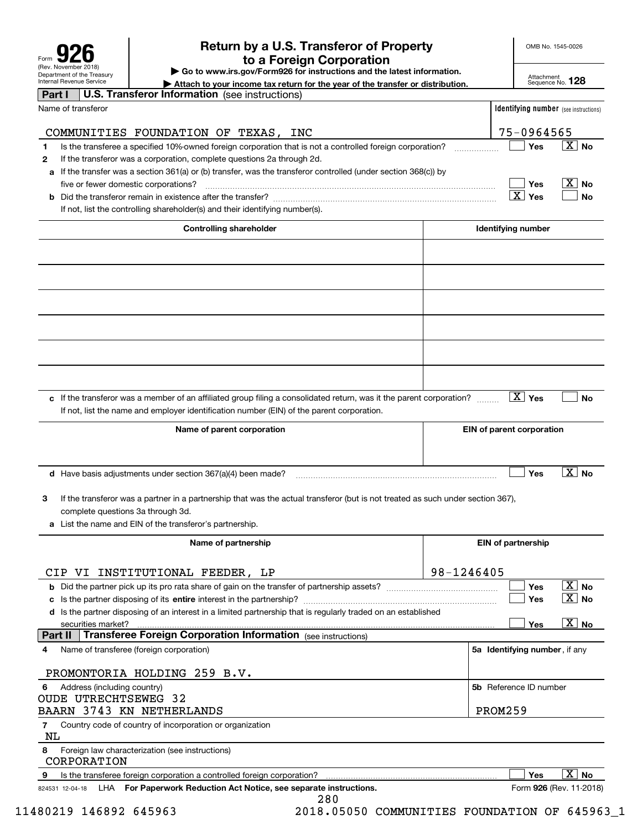| Form                                                   |
|--------------------------------------------------------|
| (Rev. November 2018)                                   |
| Department of the Treasury<br>Internal Revenue Service |

## **Return by a U.S. Transferor of Property 926 to a Foreign Corporation**

OMB No. 1545-0026

**| Go to www.irs.gov/Form926 for instructions and the latest information.**

Attachment Sequence No. **128**

| Internal Revenue Service<br>Attach to your income tax return for the year of the transfer or distribution.                           |            |                                              | Sequence No. 128                          |
|--------------------------------------------------------------------------------------------------------------------------------------|------------|----------------------------------------------|-------------------------------------------|
| <b>U.S. Transferor Information</b> (see instructions)<br>Part I                                                                      |            |                                              |                                           |
| Name of transferor                                                                                                                   |            | <b>Identifying number</b> (see instructions) |                                           |
|                                                                                                                                      |            |                                              |                                           |
| COMMUNITIES FOUNDATION OF TEXAS,<br>INC                                                                                              |            | 75-0964565                                   |                                           |
| Is the transferee a specified 10%-owned foreign corporation that is not a controlled foreign corporation?<br>1                       |            | Yes                                          | $\vert$ $\boldsymbol{\mathrm{X}}\vert$ No |
| If the transferor was a corporation, complete questions 2a through 2d.<br>$\mathbf{2}$                                               |            |                                              |                                           |
| If the transfer was a section 361(a) or (b) transfer, was the transferor controlled (under section 368(c)) by<br>a                   |            |                                              |                                           |
| five or fewer domestic corporations?                                                                                                 |            | Yes<br>$\overline{X}$ Yes                    | $\vert$ $\mathrm{X}\vert$ No              |
|                                                                                                                                      |            |                                              | No                                        |
| If not, list the controlling shareholder(s) and their identifying number(s).                                                         |            |                                              |                                           |
| <b>Controlling shareholder</b>                                                                                                       |            | Identifying number                           |                                           |
|                                                                                                                                      |            |                                              |                                           |
|                                                                                                                                      |            |                                              |                                           |
|                                                                                                                                      |            |                                              |                                           |
|                                                                                                                                      |            |                                              |                                           |
|                                                                                                                                      |            |                                              |                                           |
|                                                                                                                                      |            |                                              |                                           |
| c If the transferor was a member of an affiliated group filing a consolidated return, was it the parent corporation?                 |            | $ X $ Yes                                    | <b>No</b>                                 |
| If not, list the name and employer identification number (EIN) of the parent corporation.                                            |            |                                              |                                           |
| Name of parent corporation                                                                                                           |            | EIN of parent corporation                    |                                           |
|                                                                                                                                      |            |                                              |                                           |
|                                                                                                                                      |            |                                              | $\boxed{\text{X}}$ No                     |
| <b>d</b> Have basis adjustments under section $367(a)(4)$ been made?                                                                 |            | Yes                                          |                                           |
| If the transferor was a partner in a partnership that was the actual transferor (but is not treated as such under section 367),<br>3 |            |                                              |                                           |
| complete questions 3a through 3d.                                                                                                    |            |                                              |                                           |
| a List the name and EIN of the transferor's partnership.                                                                             |            |                                              |                                           |
|                                                                                                                                      |            |                                              |                                           |
| Name of partnership                                                                                                                  |            | <b>EIN of partnership</b>                    |                                           |
|                                                                                                                                      |            |                                              |                                           |
| VI INSTITUTIONAL FEEDER, LP<br>CIP                                                                                                   | 98-1246405 |                                              |                                           |
| <b>b</b> Did the partner pick up its pro rata share of gain on the transfer of partnership assets?                                   |            | Yes                                          | $\boxed{\text{X}}$ No                     |
|                                                                                                                                      |            | Yes                                          | $\overline{X}$ No                         |
| d Is the partner disposing of an interest in a limited partnership that is regularly traded on an established                        |            | Yes                                          | $\boxed{\text{X}}$ No                     |
| securities market?<br><b>Transferee Foreign Corporation Information</b> (see instructions)<br>Part II                                |            |                                              |                                           |
| Name of transferee (foreign corporation)<br>4                                                                                        |            | 5a Identifying number, if any                |                                           |
|                                                                                                                                      |            |                                              |                                           |
| PROMONTORIA HOLDING 259 B.V.                                                                                                         |            |                                              |                                           |
| Address (including country)<br>6                                                                                                     |            | 5b Reference ID number                       |                                           |
| <b>OUDE UTRECHTSEWEG 32</b>                                                                                                          |            |                                              |                                           |
| BAARN 3743 KN NETHERLANDS                                                                                                            |            | PROM259                                      |                                           |
| Country code of country of incorporation or organization<br>7<br>NL                                                                  |            |                                              |                                           |
| 8<br>Foreign law characterization (see instructions)                                                                                 |            |                                              |                                           |
| CORPORATION<br>Is the transferee foreign corporation a controlled foreign corporation?<br>9                                          |            | Yes                                          | $\overline{X}$ No                         |
| LHA For Paperwork Reduction Act Notice, see separate instructions.<br>824531 12-04-18                                                |            |                                              | Form 926 (Rev. 11-2018)                   |
| 280                                                                                                                                  |            |                                              |                                           |

11480219 146892 645963 2018.05050 COMMUNITIES FOUNDATION OF 645963\_1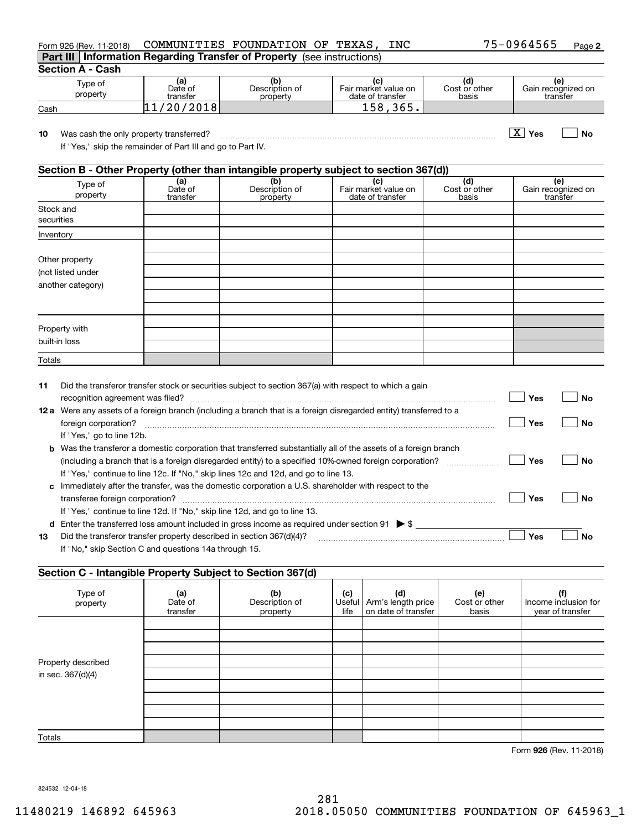| Form 926 (Rev. 11-2018)                                                                                      |                            | COMMUNITIES FOUNDATION OF TEXAS,                                                      | INC                                             |                               | 75-0964565<br>Page 2                  |
|--------------------------------------------------------------------------------------------------------------|----------------------------|---------------------------------------------------------------------------------------|-------------------------------------------------|-------------------------------|---------------------------------------|
|                                                                                                              |                            | Part III   Information Regarding Transfer of Property (see instructions)              |                                                 |                               |                                       |
| <b>Section A - Cash</b>                                                                                      |                            |                                                                                       |                                                 |                               |                                       |
| Type of<br>property                                                                                          | (a)<br>Date of<br>transfer | (b)<br>Description of<br>property                                                     | (c)<br>Fair market value on<br>date of transfer | (d)<br>Cost or other<br>basis | (e)<br>Gain recognized on<br>transfer |
| Cash                                                                                                         | 11/20/2018                 |                                                                                       | 158,365.                                        |                               |                                       |
| 10<br>Was cash the only property transferred?<br>If "Yes," skip the remainder of Part III and go to Part IV. |                            |                                                                                       |                                                 |                               | $\vert X \vert$ Yes<br><b>No</b>      |
|                                                                                                              |                            | Section B - Other Property (other than intangible property subject to section 367(d)) |                                                 |                               |                                       |
| Type of<br>property                                                                                          | (a)<br>Date of<br>transfer | (b)<br>Description of<br>property                                                     | (c)<br>Fair market value on<br>date of transfer | (d)<br>Cost or other<br>basis | (e)<br>Gain recognized on<br>transfer |
| Stock and<br>securities                                                                                      |                            |                                                                                       |                                                 |                               |                                       |
| Inventory                                                                                                    |                            |                                                                                       |                                                 |                               |                                       |
| Other property<br>(not listed under<br>another category)                                                     |                            |                                                                                       |                                                 |                               |                                       |
|                                                                                                              |                            |                                                                                       |                                                 |                               |                                       |

| 11   | Did the transferor transfer stock or securities subject to section 367(a) with respect to which a gain                  |     |    |
|------|-------------------------------------------------------------------------------------------------------------------------|-----|----|
|      | recognition agreement was filed?                                                                                        | Yes | No |
| 12 a | Were any assets of a foreign branch (including a branch that is a foreign disregarded entity) transferred to a          |     |    |
|      | foreign corporation?                                                                                                    | Yes | Nο |
|      | If "Yes," go to line 12b.                                                                                               |     |    |
|      | <b>b</b> Was the transferor a domestic corporation that transferred substantially all of the assets of a foreign branch |     |    |
|      | (including a branch that is a foreign disregarded entity) to a specified 10%-owned foreign corporation?                 | Yes | Nο |
|      | If "Yes," continue to line 12c. If "No," skip lines 12c and 12d, and go to line 13.                                     |     |    |
| c.   | Immediately after the transfer, was the domestic corporation a U.S. shareholder with respect to the                     |     |    |
|      | transferee foreign corporation?                                                                                         | Yes | Nο |
|      | If "Yes," continue to line 12d. If "No," skip line 12d, and go to line 13.                                              |     |    |
| d    | Enter the transferred loss amount included in gross income as required under section 91 $\triangleright$ \$             |     |    |
| 13   | Did the transferor transfer property described in section 367(d)(4)?                                                    | Yes | Nο |
|      | If "No," skip Section C and questions 14a through 15.                                                                   |     |    |
|      |                                                                                                                         |     |    |

### **Section C - Intangible Property Subject to Section 367(d)**

| Type of<br>property | (a)<br>Date of<br>transfer | (b)<br>Description of<br>property | (c)<br>life | (d)<br>Useful   Arm's length price<br>on date of transfer | (e)<br>Cost or other<br>basis | (f)<br>Income inclusion for<br>year of transfer |
|---------------------|----------------------------|-----------------------------------|-------------|-----------------------------------------------------------|-------------------------------|-------------------------------------------------|
|                     |                            |                                   |             |                                                           |                               |                                                 |
|                     |                            |                                   |             |                                                           |                               |                                                 |
|                     |                            |                                   |             |                                                           |                               |                                                 |
| Property described  |                            |                                   |             |                                                           |                               |                                                 |
| in sec. 367(d)(4)   |                            |                                   |             |                                                           |                               |                                                 |
|                     |                            |                                   |             |                                                           |                               |                                                 |
|                     |                            |                                   |             |                                                           |                               |                                                 |
|                     |                            |                                   |             |                                                           |                               |                                                 |
|                     |                            |                                   |             |                                                           |                               |                                                 |
| Totals              |                            |                                   |             |                                                           |                               |                                                 |

**926**Form (Rev. 11-2018)

824532 12-04-18

Property with built-in loss Totals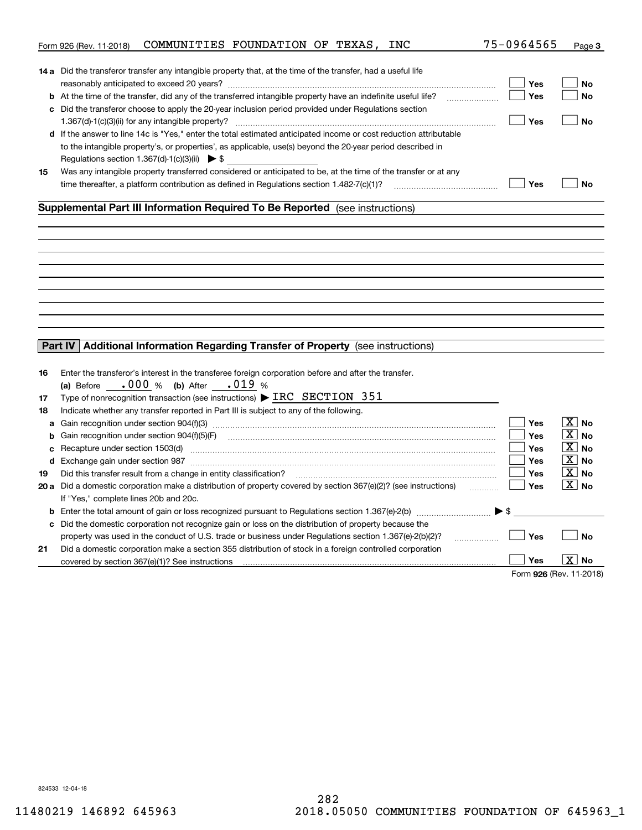|    | COMMUNITIES FOUNDATION OF TEXAS, INC<br>Form 926 (Rev. 11-2018)                                                                                                                                                               | 75-0964565              | Page 3                |
|----|-------------------------------------------------------------------------------------------------------------------------------------------------------------------------------------------------------------------------------|-------------------------|-----------------------|
|    |                                                                                                                                                                                                                               |                         |                       |
|    | <b>14 a</b> Did the transferor transfer any intangible property that, at the time of the transfer, had a useful life                                                                                                          |                         |                       |
|    |                                                                                                                                                                                                                               | Yes                     | No                    |
|    | <b>b</b> At the time of the transfer, did any of the transferred intangible property have an indefinite useful life?                                                                                                          | Yes                     | No                    |
|    | c Did the transferor choose to apply the 20-year inclusion period provided under Regulations section                                                                                                                          |                         |                       |
|    |                                                                                                                                                                                                                               | Yes                     | <b>No</b>             |
|    | d If the answer to line 14c is "Yes," enter the total estimated anticipated income or cost reduction attributable                                                                                                             |                         |                       |
|    | to the intangible property's, or properties', as applicable, use(s) beyond the 20-year period described in                                                                                                                    |                         |                       |
|    | Regulations section 1.367(d)-1(c)(3)(ii) $\triangleright$ \$                                                                                                                                                                  |                         |                       |
| 15 | Was any intangible property transferred considered or anticipated to be, at the time of the transfer or at any                                                                                                                |                         |                       |
|    | time thereafter, a platform contribution as defined in Regulations section $1.482 - 7(c)(1)$ ?                                                                                                                                | Yes                     | <b>No</b>             |
|    |                                                                                                                                                                                                                               |                         |                       |
|    | Supplemental Part III Information Required To Be Reported (see instructions)                                                                                                                                                  |                         |                       |
|    |                                                                                                                                                                                                                               |                         |                       |
|    |                                                                                                                                                                                                                               |                         |                       |
|    |                                                                                                                                                                                                                               |                         |                       |
|    |                                                                                                                                                                                                                               |                         |                       |
|    |                                                                                                                                                                                                                               |                         |                       |
|    |                                                                                                                                                                                                                               |                         |                       |
|    |                                                                                                                                                                                                                               |                         |                       |
|    |                                                                                                                                                                                                                               |                         |                       |
|    |                                                                                                                                                                                                                               |                         |                       |
|    |                                                                                                                                                                                                                               |                         |                       |
|    | Additional Information Regarding Transfer of Property (see instructions)<br>Part IV                                                                                                                                           |                         |                       |
|    |                                                                                                                                                                                                                               |                         |                       |
| 16 | Enter the transferor's interest in the transferee foreign corporation before and after the transfer.                                                                                                                          |                         |                       |
|    | (a) Before $.000\%$ (b) After $.019\%$                                                                                                                                                                                        |                         |                       |
| 17 | Type of nonrecognition transaction (see instructions) $\triangleright$ IRC SECTION 351                                                                                                                                        |                         |                       |
| 18 | Indicate whether any transfer reported in Part III is subject to any of the following.                                                                                                                                        |                         |                       |
| a  |                                                                                                                                                                                                                               | Yes                     | $\boxed{\text{X}}$ No |
| b  | Gain recognition under section 904(f)(5)(F)                                                                                                                                                                                   | Yes                     | $\boxed{\text{X}}$ No |
| c  | Recapture under section 1503(d) machinesis and content to the content of the capture under section 1503(d)                                                                                                                    | <b>Yes</b>              | $ X $ No              |
|    | d Exchange gain under section 987 [111] Martin Martin Martin Martin Martin Martin Martin Martin Martin Martin Martin Martin Martin Martin Martin Martin Martin Martin Martin Martin Martin Martin Martin Martin Martin Martin | <b>Yes</b>              | $\boxed{\text{X}}$ No |
| 19 | Did this transfer result from a change in entity classification?                                                                                                                                                              | <b>Yes</b>              | $\boxed{\text{X}}$ No |
|    | 20 a Did a domestic corporation make a distribution of property covered by section 367(e)(2)? (see instructions)                                                                                                              | Yes                     | $\boxed{\text{X}}$ No |
|    | If "Yes," complete lines 20b and 20c.                                                                                                                                                                                         |                         |                       |
|    | <b>b</b> Enter the total amount of gain or loss recognized pursuant to Regulations section 1.367(e)-2(b) $\ldots$ $\ldots$ $\blacktriangleright$ \$                                                                           |                         |                       |
| c  | Did the domestic corporation not recognize gain or loss on the distribution of property because the                                                                                                                           |                         |                       |
|    | property was used in the conduct of U.S. trade or business under Regulations section 1.367(e)-2(b)(2)?                                                                                                                        | Yes                     | <b>No</b>             |
|    | .                                                                                                                                                                                                                             |                         |                       |
| 21 | Did a domestic corporation make a section 355 distribution of stock in a foreign controlled corporation                                                                                                                       | Yes                     | X  <br>No             |
|    | covered by section 367(e)(1)? See instructions                                                                                                                                                                                |                         |                       |
|    |                                                                                                                                                                                                                               | Form 926 (Rev. 11-2018) |                       |

824533 12-04-18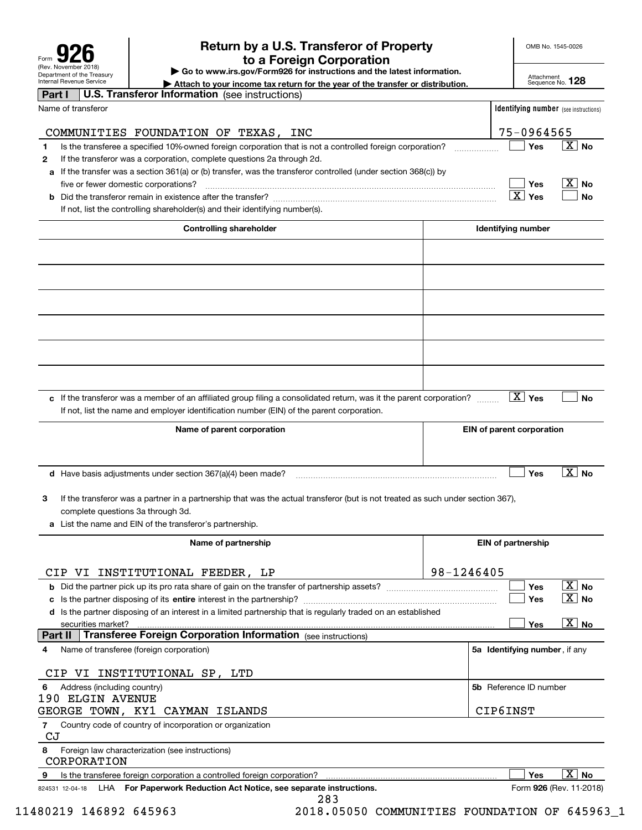| Form                                                   |
|--------------------------------------------------------|
| (Rev. November 2018)                                   |
| Department of the Treasury<br>Internal Revenue Service |

## **Return by a U.S. Transferor of Property 926 to a Foreign Corporation**

OMB No. 1545-0026

**| Go to www.irs.gov/Form926 for instructions and the latest information.**

Attachment Sequence No. **128**

| Internal Revenue Service<br>Attach to your income tax return for the year of the transfer or distribution.                           |            |                                              | Sequence No. 120                          |
|--------------------------------------------------------------------------------------------------------------------------------------|------------|----------------------------------------------|-------------------------------------------|
| <b>U.S. Transferor Information</b> (see instructions)<br>Part I                                                                      |            |                                              |                                           |
| Name of transferor                                                                                                                   |            | <b>Identifying number</b> (see instructions) |                                           |
|                                                                                                                                      |            |                                              |                                           |
| COMMUNITIES FOUNDATION OF TEXAS, INC                                                                                                 |            | 75-0964565                                   |                                           |
| Is the transferee a specified 10%-owned foreign corporation that is not a controlled foreign corporation?<br>1                       |            | Yes                                          | $\overline{X}$ No                         |
| If the transferor was a corporation, complete questions 2a through 2d.<br>2                                                          |            |                                              |                                           |
| If the transfer was a section 361(a) or (b) transfer, was the transferor controlled (under section 368(c)) by<br>а                   |            |                                              |                                           |
| five or fewer domestic corporations?                                                                                                 |            | Yes                                          | $\overline{\mathbf{X}}$ No                |
| b                                                                                                                                    |            | $\vert X \vert$ Yes                          | No                                        |
| If not, list the controlling shareholder(s) and their identifying number(s).                                                         |            |                                              |                                           |
|                                                                                                                                      |            |                                              |                                           |
| <b>Controlling shareholder</b>                                                                                                       |            | <b>Identifying number</b>                    |                                           |
|                                                                                                                                      |            |                                              |                                           |
|                                                                                                                                      |            |                                              |                                           |
|                                                                                                                                      |            |                                              |                                           |
|                                                                                                                                      |            |                                              |                                           |
|                                                                                                                                      |            |                                              |                                           |
|                                                                                                                                      |            |                                              |                                           |
|                                                                                                                                      |            |                                              |                                           |
|                                                                                                                                      |            |                                              |                                           |
|                                                                                                                                      |            |                                              |                                           |
|                                                                                                                                      |            |                                              |                                           |
|                                                                                                                                      |            |                                              |                                           |
|                                                                                                                                      |            |                                              |                                           |
| c If the transferor was a member of an affiliated group filing a consolidated return, was it the parent corporation?                 |            | $\boxed{\text{X}}$ Yes                       | No                                        |
| If not, list the name and employer identification number (EIN) of the parent corporation.                                            |            |                                              |                                           |
|                                                                                                                                      |            |                                              |                                           |
| Name of parent corporation                                                                                                           |            | <b>EIN of parent corporation</b>             |                                           |
|                                                                                                                                      |            |                                              |                                           |
|                                                                                                                                      |            |                                              |                                           |
| <b>d</b> Have basis adjustments under section $367(a)(4)$ been made?                                                                 |            | Yes                                          | $\overline{X}$ No                         |
|                                                                                                                                      |            |                                              |                                           |
| If the transferor was a partner in a partnership that was the actual transferor (but is not treated as such under section 367),<br>3 |            |                                              |                                           |
| complete questions 3a through 3d.                                                                                                    |            |                                              |                                           |
| List the name and EIN of the transferor's partnership.<br>a                                                                          |            |                                              |                                           |
|                                                                                                                                      |            |                                              |                                           |
| Name of partnership                                                                                                                  |            | <b>EIN of partnership</b>                    |                                           |
|                                                                                                                                      |            |                                              |                                           |
| CIP VI INSTITUTIONAL FEEDER, LP                                                                                                      | 98-1246405 |                                              |                                           |
|                                                                                                                                      |            | Yes                                          | $\boxed{\text{X}}$ No                     |
| с                                                                                                                                    |            | Yes                                          | $\vert$ $\boldsymbol{\mathrm{X}}\vert$ No |
| d Is the partner disposing of an interest in a limited partnership that is regularly traded on an established                        |            |                                              |                                           |
| securities market?                                                                                                                   |            | Yes                                          | $\overline{X}$ No                         |
| <b>Transferee Foreign Corporation Information</b> (see instructions)<br>Part II                                                      |            |                                              |                                           |
| Name of transferee (foreign corporation)<br>4                                                                                        |            | 5a Identifying number, if any                |                                           |
|                                                                                                                                      |            |                                              |                                           |
| CIP VI INSTITUTIONAL SP, LTD                                                                                                         |            |                                              |                                           |
| Address (including country)<br>6                                                                                                     |            | 5b Reference ID number                       |                                           |
| <b>190 ELGIN AVENUE</b>                                                                                                              |            |                                              |                                           |
| GEORGE TOWN, KY1 CAYMAN ISLANDS                                                                                                      |            | CIP6INST                                     |                                           |
| Country code of country of incorporation or organization<br>7                                                                        |            |                                              |                                           |
| CJ                                                                                                                                   |            |                                              |                                           |
| Foreign law characterization (see instructions)<br>8                                                                                 |            |                                              |                                           |
| CORPORATION                                                                                                                          |            |                                              |                                           |
| Is the transferee foreign corporation a controlled foreign corporation?<br>9                                                         |            | Yes                                          | $\overline{X}$ No                         |
| LHA For Paperwork Reduction Act Notice, see separate instructions.<br>824531 12-04-18                                                |            |                                              | Form 926 (Rev. 11-2018)                   |
| 283                                                                                                                                  |            |                                              |                                           |

11480219 146892 645963 2018.05050 COMMUNITIES FOUNDATION OF 645963\_1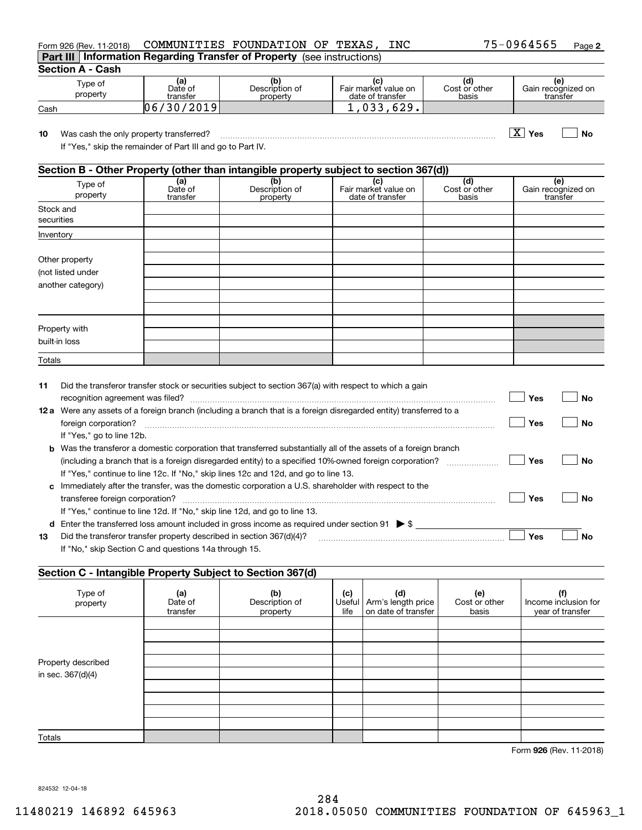| Tvpe of<br>property | (a)<br>Date of<br>transfer | Description of<br>property | (c)<br>life | Useful   Arm's length price<br>l on date of transfer | Cost or other<br>basis | (f<br>Income inclusion f<br>vear of transfer |
|---------------------|----------------------------|----------------------------|-------------|------------------------------------------------------|------------------------|----------------------------------------------|
|                     |                            |                            |             |                                                      |                        |                                              |

|      | recognition agreement was filed?                      |                |                                                                                                                |               |                                        |                      | Yes | No                   |
|------|-------------------------------------------------------|----------------|----------------------------------------------------------------------------------------------------------------|---------------|----------------------------------------|----------------------|-----|----------------------|
| 12 a |                                                       |                | Were any assets of a foreign branch (including a branch that is a foreign disregarded entity) transferred to a |               |                                        |                      |     |                      |
|      | foreign corporation?                                  |                |                                                                                                                |               |                                        |                      | Yes | No                   |
|      | If "Yes," go to line 12b.                             |                |                                                                                                                |               |                                        |                      |     |                      |
| b    |                                                       |                | Was the transferor a domestic corporation that transferred substantially all of the assets of a foreign branch |               |                                        |                      |     |                      |
|      |                                                       |                | (including a branch that is a foreign disregarded entity) to a specified 10%-owned foreign corporation?        |               |                                        |                      | Yes | No                   |
|      |                                                       |                | If "Yes," continue to line 12c. If "No," skip lines 12c and 12d, and go to line 13.                            |               |                                        |                      |     |                      |
| c    |                                                       |                | Immediately after the transfer, was the domestic corporation a U.S. shareholder with respect to the            |               |                                        |                      |     |                      |
|      | transferee foreign corporation?                       |                |                                                                                                                |               |                                        |                      | Yes | No                   |
|      |                                                       |                | If "Yes," continue to line 12d. If "No," skip line 12d, and go to line 13.                                     |               |                                        |                      |     |                      |
| d    |                                                       |                | Enter the transferred loss amount included in gross income as required under section 91 $\triangleright$ \$    |               |                                        |                      |     |                      |
| 13   |                                                       |                | Did the transferor transfer property described in section 367(d)(4)?                                           |               |                                        |                      | Yes | No                   |
|      | If "No," skip Section C and questions 14a through 15. |                |                                                                                                                |               |                                        |                      |     |                      |
|      |                                                       |                |                                                                                                                |               |                                        |                      |     |                      |
|      |                                                       |                | Section C - Intangible Property Subject to Section 367(d)                                                      |               |                                        |                      |     |                      |
|      |                                                       |                |                                                                                                                |               |                                        |                      |     |                      |
|      | Type of<br>property                                   | (a)<br>Date of | (b)<br>Description of                                                                                          | (c)<br>Useful | (d)<br>Arm's length price              | (e)<br>Cost or other |     | Income inclusion for |
|      |                                                       | 1 <i></i>      |                                                                                                                | $11.5 - 1$    | ورجاكا مرموزية كالمراج المتاحر المراجر |                      |     | .                    |

| . | was cash the only property transiched:                      |                                                                                       |  |  |
|---|-------------------------------------------------------------|---------------------------------------------------------------------------------------|--|--|
|   | If "Yes," skip the remainder of Part III and go to Part IV. |                                                                                       |  |  |
|   |                                                             |                                                                                       |  |  |
|   |                                                             | Section B - Other Property (other than intangible property subject to section 367(d)) |  |  |
|   | Tvpe of                                                     |                                                                                       |  |  |

| 10        | Was cash the only property transferred?<br>If "Yes," skip the remainder of Part III and go to Part IV. | Yes                 | Nο                                                                                    |                                                 |                               |  |                                       |
|-----------|--------------------------------------------------------------------------------------------------------|---------------------|---------------------------------------------------------------------------------------|-------------------------------------------------|-------------------------------|--|---------------------------------------|
|           |                                                                                                        |                     | Section B - Other Property (other than intangible property subject to section 367(d)) |                                                 |                               |  |                                       |
|           | Type of<br>property                                                                                    | Date of<br>transfer | Description of<br>property                                                            | (c)<br>Fair market value on<br>date of transfer | (d)<br>Cost or other<br>basis |  | (e)<br>Gain recognized on<br>transfer |
|           | Stock and<br>securities                                                                                |                     |                                                                                       |                                                 |                               |  |                                       |
| Inventory |                                                                                                        |                     |                                                                                       |                                                 |                               |  |                                       |

| Type of<br>property | la<br>Date of<br>transfer | Description of<br>property | Fair market value on<br>date of transfer | Cost or other<br>basis | Ιe<br>Gain recognized on<br>transfer |
|---------------------|---------------------------|----------------------------|------------------------------------------|------------------------|--------------------------------------|
| Cash                | 2019<br>١Λ                |                            | ۵ ۲۵                                     |                        |                                      |

Form 926 (Rev. 11-2018) COMMUNITIES FOUNDATION OF TEXAS,INC 75-0964565 Page **Part III Information Regarding Transfer of Property**  (see instructions)

Did the transferor transfer stock or securities subject to section 367(a) with respect to which a gain

**926**Form (Rev. 11-2018)

824532 12-04-18

Totals

Property described in sec. 367(d)(4)

**11**

Totals

Other property (not listed under another category)

**Section A - Cash**

Property with built-in loss

| NDATION OF TEXAS, INC |  |  |  |
|-----------------------|--|--|--|

**2**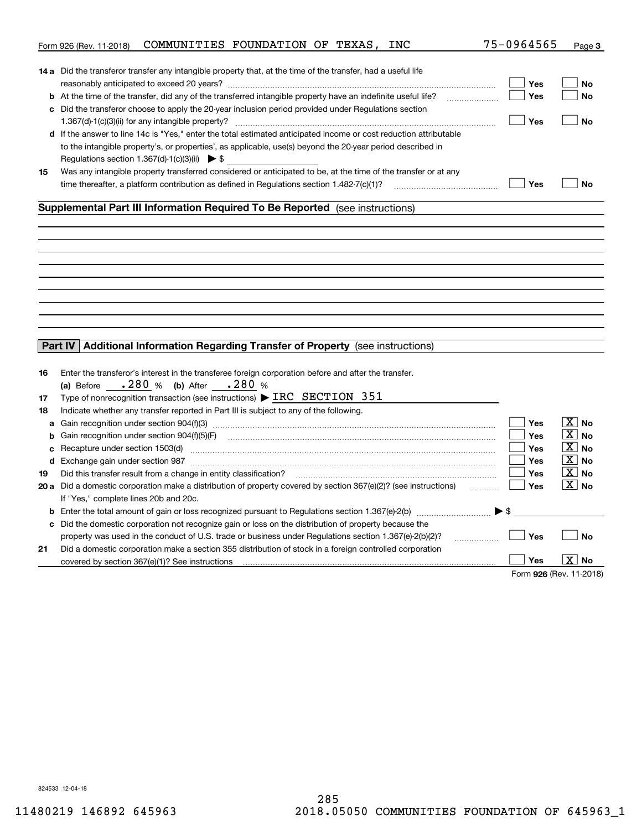|    | COMMUNITIES FOUNDATION OF TEXAS, INC<br>Form 926 (Rev. 11-2018)                                                                                                                                                               | 75-0964565              | Page 3                |
|----|-------------------------------------------------------------------------------------------------------------------------------------------------------------------------------------------------------------------------------|-------------------------|-----------------------|
|    |                                                                                                                                                                                                                               |                         |                       |
|    | <b>14 a</b> Did the transferor transfer any intangible property that, at the time of the transfer, had a useful life                                                                                                          |                         |                       |
|    |                                                                                                                                                                                                                               | Yes                     | No                    |
|    | <b>b</b> At the time of the transfer, did any of the transferred intangible property have an indefinite useful life?                                                                                                          | Yes                     | No                    |
|    | c Did the transferor choose to apply the 20-year inclusion period provided under Regulations section                                                                                                                          |                         |                       |
|    |                                                                                                                                                                                                                               | Yes                     | <b>No</b>             |
|    | d If the answer to line 14c is "Yes," enter the total estimated anticipated income or cost reduction attributable                                                                                                             |                         |                       |
|    | to the intangible property's, or properties', as applicable, use(s) beyond the 20-year period described in                                                                                                                    |                         |                       |
|    | Regulations section 1.367(d)-1(c)(3)(ii) $\triangleright$ \$                                                                                                                                                                  |                         |                       |
| 15 | Was any intangible property transferred considered or anticipated to be, at the time of the transfer or at any                                                                                                                |                         |                       |
|    | time thereafter, a platform contribution as defined in Regulations section $1.482 - 7(c)(1)$ ?                                                                                                                                | Yes                     | <b>No</b>             |
|    |                                                                                                                                                                                                                               |                         |                       |
|    | Supplemental Part III Information Required To Be Reported (see instructions)                                                                                                                                                  |                         |                       |
|    |                                                                                                                                                                                                                               |                         |                       |
|    |                                                                                                                                                                                                                               |                         |                       |
|    |                                                                                                                                                                                                                               |                         |                       |
|    |                                                                                                                                                                                                                               |                         |                       |
|    |                                                                                                                                                                                                                               |                         |                       |
|    |                                                                                                                                                                                                                               |                         |                       |
|    |                                                                                                                                                                                                                               |                         |                       |
|    |                                                                                                                                                                                                                               |                         |                       |
|    |                                                                                                                                                                                                                               |                         |                       |
|    |                                                                                                                                                                                                                               |                         |                       |
|    | Additional Information Regarding Transfer of Property (see instructions)<br>Part IV                                                                                                                                           |                         |                       |
|    |                                                                                                                                                                                                                               |                         |                       |
| 16 | Enter the transferor's interest in the transferee foreign corporation before and after the transfer.                                                                                                                          |                         |                       |
|    | (a) Before $.280 \%$ (b) After $.280 \%$                                                                                                                                                                                      |                         |                       |
| 17 | Type of nonrecognition transaction (see instructions) $\triangleright$ IRC SECTION 351                                                                                                                                        |                         |                       |
| 18 | Indicate whether any transfer reported in Part III is subject to any of the following.                                                                                                                                        |                         |                       |
| a  |                                                                                                                                                                                                                               | Yes                     | $\boxed{\text{X}}$ No |
| b  | Gain recognition under section 904(f)(5)(F)                                                                                                                                                                                   | Yes                     | $\boxed{\text{X}}$ No |
| c  | Recapture under section 1503(d) machinesis and content to the content of the capture under section 1503(d)                                                                                                                    | Yes                     | $ X $ No              |
|    | d Exchange gain under section 987 [111] Martin Martin Martin Martin Martin Martin Martin Martin Martin Martin Martin Martin Martin Martin Martin Martin Martin Martin Martin Martin Martin Martin Martin Martin Martin Martin | <b>Yes</b>              | $\boxed{\text{X}}$ No |
| 19 | Did this transfer result from a change in entity classification?                                                                                                                                                              | <b>Yes</b>              | $\boxed{\text{X}}$ No |
|    | 20 a Did a domestic corporation make a distribution of property covered by section 367(e)(2)? (see instructions)                                                                                                              | Yes                     | $\boxed{\text{X}}$ No |
|    | If "Yes," complete lines 20b and 20c.                                                                                                                                                                                         |                         |                       |
|    | <b>b</b> Enter the total amount of gain or loss recognized pursuant to Regulations section 1.367(e)-2(b) $\ldots$ $\ldots$ $\blacktriangleright$ \$                                                                           |                         |                       |
| c  | Did the domestic corporation not recognize gain or loss on the distribution of property because the                                                                                                                           |                         |                       |
|    | property was used in the conduct of U.S. trade or business under Regulations section 1.367(e)-2(b)(2)?                                                                                                                        | Yes                     | <b>No</b>             |
|    | .                                                                                                                                                                                                                             |                         |                       |
| 21 | Did a domestic corporation make a section 355 distribution of stock in a foreign controlled corporation                                                                                                                       | Yes                     | X  <br>No             |
|    | covered by section 367(e)(1)? See instructions                                                                                                                                                                                |                         |                       |
|    |                                                                                                                                                                                                                               | Form 926 (Rev. 11-2018) |                       |

824533 12-04-18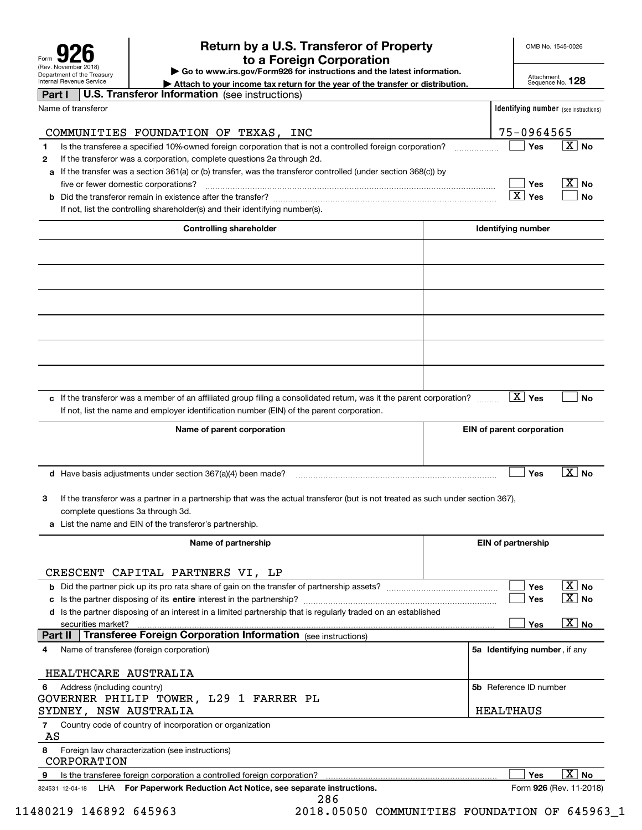| Form                                                   |  |  |  |  |  |  |
|--------------------------------------------------------|--|--|--|--|--|--|
| (Rev. November 2018)                                   |  |  |  |  |  |  |
| Department of the Treasury<br>Internal Revenue Service |  |  |  |  |  |  |

## **Return by a U.S. Transferor of Property 926 to a Foreign Corporation**

OMB No. 1545-0026

**| Go to www.irs.gov/Form926 for instructions and the latest information.**

Attachment Sequence No. **128**

| Internal Revenue Service<br>Attach to your income tax return for the year of the transfer or distribution.                           | Sequence No. 120                             |
|--------------------------------------------------------------------------------------------------------------------------------------|----------------------------------------------|
| <b>U.S. Transferor Information</b> (see instructions)<br>Part I                                                                      |                                              |
| Name of transferor                                                                                                                   | <b>Identifying number</b> (see instructions) |
|                                                                                                                                      |                                              |
| COMMUNITIES FOUNDATION OF TEXAS,<br>INC                                                                                              | 75-0964565                                   |
| Is the transferee a specified 10%-owned foreign corporation that is not a controlled foreign corporation?<br>1                       | $\boxed{\text{X}}$ No<br>Yes                 |
| If the transferor was a corporation, complete questions 2a through 2d.<br>2                                                          |                                              |
| If the transfer was a section 361(a) or (b) transfer, was the transferor controlled (under section 368(c)) by<br>а                   |                                              |
| five or fewer domestic corporations?                                                                                                 | $\overline{\mathbf{X}}$ No<br>Yes            |
|                                                                                                                                      | $X$ Yes<br>No                                |
| If not, list the controlling shareholder(s) and their identifying number(s).                                                         |                                              |
|                                                                                                                                      |                                              |
| <b>Controlling shareholder</b>                                                                                                       | <b>Identifying number</b>                    |
|                                                                                                                                      |                                              |
|                                                                                                                                      |                                              |
|                                                                                                                                      |                                              |
|                                                                                                                                      |                                              |
|                                                                                                                                      |                                              |
|                                                                                                                                      |                                              |
|                                                                                                                                      |                                              |
|                                                                                                                                      |                                              |
|                                                                                                                                      |                                              |
|                                                                                                                                      |                                              |
|                                                                                                                                      |                                              |
| c If the transferor was a member of an affiliated group filing a consolidated return, was it the parent corporation?                 | $\boxed{\text{X}}$ Yes<br>No                 |
| If not, list the name and employer identification number (EIN) of the parent corporation.                                            |                                              |
|                                                                                                                                      |                                              |
| Name of parent corporation                                                                                                           | <b>EIN of parent corporation</b>             |
|                                                                                                                                      |                                              |
|                                                                                                                                      |                                              |
| <b>d</b> Have basis adjustments under section $367(a)(4)$ been made?                                                                 | $\overline{X}$ No<br>Yes                     |
|                                                                                                                                      |                                              |
| If the transferor was a partner in a partnership that was the actual transferor (but is not treated as such under section 367).<br>3 |                                              |
| complete questions 3a through 3d.                                                                                                    |                                              |
| a List the name and EIN of the transferor's partnership.                                                                             |                                              |
|                                                                                                                                      |                                              |
| Name of partnership                                                                                                                  | <b>EIN of partnership</b>                    |
|                                                                                                                                      |                                              |
| CRESCENT CAPITAL PARTNERS VI, LP                                                                                                     |                                              |
|                                                                                                                                      | $\boxed{\text{X}}$ No<br>Yes                 |
|                                                                                                                                      | $\vert$ $\mathrm{X}\vert$ No<br>Yes          |
| d Is the partner disposing of an interest in a limited partnership that is regularly traded on an established                        |                                              |
| securities market?                                                                                                                   | $\overline{X}$ No<br>Yes                     |
| <b>Transferee Foreign Corporation Information</b> (see instructions)<br>Part II                                                      |                                              |
| Name of transferee (foreign corporation)<br>4                                                                                        | 5a Identifying number, if any                |
|                                                                                                                                      |                                              |
| HEALTHCARE AUSTRALIA                                                                                                                 |                                              |
| Address (including country)<br>6                                                                                                     | 5b Reference ID number                       |
| GOVERNER PHILIP TOWER, L29 1 FARRER PL                                                                                               |                                              |
| SYDNEY, NSW AUSTRALIA                                                                                                                | HEALTHAUS                                    |
| Country code of country of incorporation or organization<br>7                                                                        |                                              |
| AS                                                                                                                                   |                                              |
| 8<br>Foreign law characterization (see instructions)<br>CORPORATION                                                                  |                                              |
| Is the transferee foreign corporation a controlled foreign corporation?<br>9                                                         | $\overline{\mathbf{X}}$<br>Yes<br><b>No</b>  |
| LHA For Paperwork Reduction Act Notice, see separate instructions.<br>824531 12-04-18                                                | Form 926 (Rev. 11-2018)                      |
| 286                                                                                                                                  |                                              |

11480219 146892 645963 2018.05050 COMMUNITIES FOUNDATION OF 645963\_1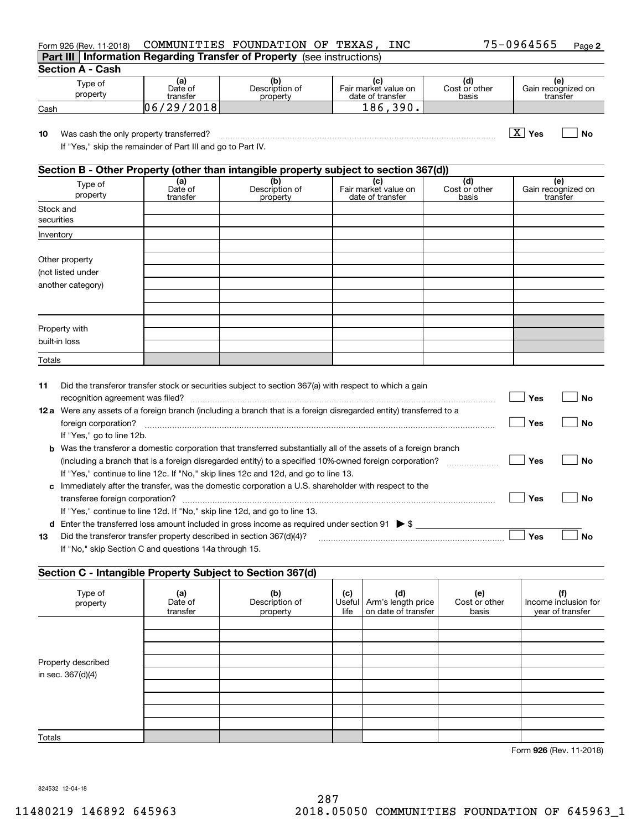| Form 926 (Rev. 11-2018)                                  |                                                             | COMMUNITIES FOUNDATION OF TEXAS, INC                                                  |                                                 |                               | 75-0964565<br>Page 2                  |
|----------------------------------------------------------|-------------------------------------------------------------|---------------------------------------------------------------------------------------|-------------------------------------------------|-------------------------------|---------------------------------------|
|                                                          |                                                             | Part III   Information Regarding Transfer of Property (see instructions)              |                                                 |                               |                                       |
| <b>Section A - Cash</b>                                  |                                                             |                                                                                       |                                                 |                               |                                       |
| Type of<br>property                                      | (a)<br>Date of<br>transfer                                  | (b)<br>Description of<br>property                                                     | (c)<br>Fair market value on<br>date of transfer | (d)<br>Cost or other<br>basis | (e)<br>Gain recognized on<br>transfer |
| Cash                                                     | 06/29/2018                                                  |                                                                                       | 186,390.                                        |                               |                                       |
| 10<br>Was cash the only property transferred?            | If "Yes," skip the remainder of Part III and go to Part IV. |                                                                                       |                                                 |                               | $\boxed{\text{X}}$ Yes<br><b>No</b>   |
|                                                          |                                                             | Section B - Other Property (other than intangible property subject to section 367(d)) |                                                 |                               |                                       |
| Type of<br>property                                      | (a)<br>Date of<br>transfer                                  | (b)<br>Description of<br>property                                                     | (c)<br>Fair market value on<br>date of transfer | (d)<br>Cost or other<br>basis | (e)<br>Gain recognized on<br>transfer |
| Stock and<br>securities                                  |                                                             |                                                                                       |                                                 |                               |                                       |
| Inventory                                                |                                                             |                                                                                       |                                                 |                               |                                       |
| Other property<br>(not listed under<br>another category) |                                                             |                                                                                       |                                                 |                               |                                       |
| Property with<br>built-in loss                           |                                                             |                                                                                       |                                                 |                               |                                       |

| 11   | Did the transferor transfer stock or securities subject to section 367(a) with respect to which a gain                  |     |           |
|------|-------------------------------------------------------------------------------------------------------------------------|-----|-----------|
|      |                                                                                                                         | Yes | No.       |
| 12 a | Were any assets of a foreign branch (including a branch that is a foreign disregarded entity) transferred to a          |     |           |
|      | foreign corporation?                                                                                                    | Yes | <b>No</b> |
|      | If "Yes," go to line 12b.                                                                                               |     |           |
|      | <b>b</b> Was the transferor a domestic corporation that transferred substantially all of the assets of a foreign branch |     |           |
|      | (including a branch that is a foreign disregarded entity) to a specified 10%-owned foreign corporation?                 | Yes | No.       |
|      | If "Yes," continue to line 12c. If "No," skip lines 12c and 12d, and go to line 13.                                     |     |           |
| c    | Immediately after the transfer, was the domestic corporation a U.S. shareholder with respect to the                     |     |           |
|      |                                                                                                                         | Yes | Nο        |
|      | If "Yes," continue to line 12d. If "No," skip line 12d, and go to line 13.                                              |     |           |
| d    | Enter the transferred loss amount included in gross income as required under section 91 $\triangleright$ \$             |     |           |
| 13   | Did the transferor transfer property described in section $367(d)(4)?$                                                  | Yes | Nο        |
|      | If "No," skip Section C and questions 14a through 15.                                                                   |     |           |

### **Section C - Intangible Property Subject to Section 367(d)**

| ັ                   | . .                        | $\sqrt{2}$                        |             |                                                             |                               |                                                 |
|---------------------|----------------------------|-----------------------------------|-------------|-------------------------------------------------------------|-------------------------------|-------------------------------------------------|
| Type of<br>property | (a)<br>Date of<br>transfer | (b)<br>Description of<br>property | (c)<br>life | (d)<br>Useful   Arm's length price  <br>on date of transfer | (e)<br>Cost or other<br>basis | (f)<br>Income inclusion for<br>year of transfer |
|                     |                            |                                   |             |                                                             |                               |                                                 |
|                     |                            |                                   |             |                                                             |                               |                                                 |
|                     |                            |                                   |             |                                                             |                               |                                                 |
| Property described  |                            |                                   |             |                                                             |                               |                                                 |
| in sec. 367(d)(4)   |                            |                                   |             |                                                             |                               |                                                 |
|                     |                            |                                   |             |                                                             |                               |                                                 |
|                     |                            |                                   |             |                                                             |                               |                                                 |
|                     |                            |                                   |             |                                                             |                               |                                                 |
|                     |                            |                                   |             |                                                             |                               |                                                 |
| <b>Totals</b>       |                            |                                   |             |                                                             |                               |                                                 |

**926** Form (Rev. 11-2018)

824532 12-04-18

Totals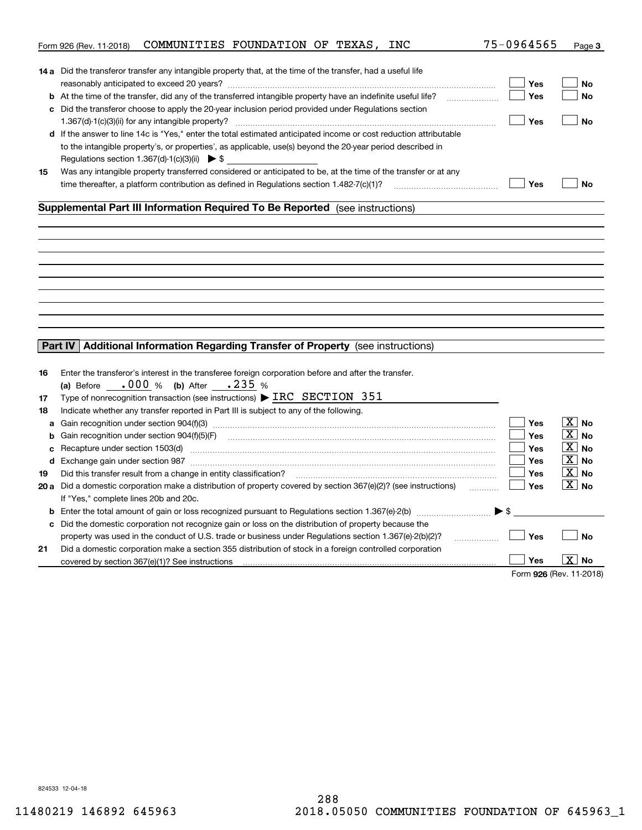| <b>14 a</b> Did the transferor transfer any intangible property that, at the time of the transfer, had a useful life<br>Yes<br>No<br>b At the time of the transfer, did any of the transferred intangible property have an indefinite useful life?<br>Yes<br>No<br>c Did the transferor choose to apply the 20-year inclusion period provided under Regulations section<br>Yes<br><b>No</b><br>d If the answer to line 14c is "Yes," enter the total estimated anticipated income or cost reduction attributable<br>to the intangible property's, or properties', as applicable, use(s) beyond the 20-year period described in<br>Regulations section 1.367(d)-1(c)(3)(ii) $\triangleright$ \$<br>Was any intangible property transferred considered or anticipated to be, at the time of the transfer or at any<br>15<br>Yes<br>time thereafter, a platform contribution as defined in Regulations section 1.482-7(c)(1)?<br><b>No</b><br>Supplemental Part III Information Required To Be Reported (see instructions)<br>Additional Information Regarding Transfer of Property (see instructions)<br>Part IV<br>Enter the transferor's interest in the transferee foreign corporation before and after the transfer.<br>16<br>(a) Before $.000 %$ (b) After $.235 %$<br>Type of nonrecognition transaction (see instructions) > IRC SECTION 351<br>17<br>Indicate whether any transfer reported in Part III is subject to any of the following.<br>18<br>$\boxed{\text{X}}$ No<br>Yes<br>a<br>$\boxed{\text{X}}$ No<br>Yes<br>Gain recognition under section 904(f)(5)(F)<br>b<br>$\boxed{\text{X}}$ No<br><b>Yes</b><br>Recapture under section 1503(d) machinesis and continuum control and control to the control of the control of<br>с<br>$\boxed{\text{X}}$ No<br><b>Yes</b><br>d Exchange gain under section 987 [11] manufacture in the contract of the section of the section of the section 987<br>$\boxed{\text{X}}$ No<br>Did this transfer result from a change in entity classification?<br><b>Yes</b><br>19<br>$\boxed{\text{X}}$ No<br>20 a Did a domestic corporation make a distribution of property covered by section 367(e)(2)? (see instructions)<br>Yes<br>If "Yes," complete lines 20b and 20c.<br><b>b</b> Enter the total amount of gain or loss recognized pursuant to Regulations section 1.367(e)-2(b) $\ldots$ $\ldots$ $\blacktriangleright$ \$<br>Did the domestic corporation not recognize gain or loss on the distribution of property because the<br>c<br>Yes<br>property was used in the conduct of U.S. trade or business under Regulations section 1.367(e)-2(b)(2)?<br><b>No</b><br>.<br>21<br>Did a domestic corporation make a section 355 distribution of stock in a foreign controlled corporation<br>  X  <br>Yes<br>No<br>covered by section 367(e)(1)? See instructions<br>Form 926 (Rev. 11-2018) | COMMUNITIES FOUNDATION OF TEXAS, INC<br>Form 926 (Rev. 11-2018) | 75-0964565 | Page 3 |
|-----------------------------------------------------------------------------------------------------------------------------------------------------------------------------------------------------------------------------------------------------------------------------------------------------------------------------------------------------------------------------------------------------------------------------------------------------------------------------------------------------------------------------------------------------------------------------------------------------------------------------------------------------------------------------------------------------------------------------------------------------------------------------------------------------------------------------------------------------------------------------------------------------------------------------------------------------------------------------------------------------------------------------------------------------------------------------------------------------------------------------------------------------------------------------------------------------------------------------------------------------------------------------------------------------------------------------------------------------------------------------------------------------------------------------------------------------------------------------------------------------------------------------------------------------------------------------------------------------------------------------------------------------------------------------------------------------------------------------------------------------------------------------------------------------------------------------------------------------------------------------------------------------------------------------------------------------------------------------------------------------------------------------------------------------------------------------------------------------------------------------------------------------------------------------------------------------------------------------------------------------------------------------------------------------------------------------------------------------------------------------------------------------------------------------------------------------------------------------------------------------------------------------------------------------------------------------------------------------------------------------------------------------------------------------------------------------------------------------------------------------------------------------------------------------------------------------------------------------|-----------------------------------------------------------------|------------|--------|
|                                                                                                                                                                                                                                                                                                                                                                                                                                                                                                                                                                                                                                                                                                                                                                                                                                                                                                                                                                                                                                                                                                                                                                                                                                                                                                                                                                                                                                                                                                                                                                                                                                                                                                                                                                                                                                                                                                                                                                                                                                                                                                                                                                                                                                                                                                                                                                                                                                                                                                                                                                                                                                                                                                                                                                                                                                                     |                                                                 |            |        |
|                                                                                                                                                                                                                                                                                                                                                                                                                                                                                                                                                                                                                                                                                                                                                                                                                                                                                                                                                                                                                                                                                                                                                                                                                                                                                                                                                                                                                                                                                                                                                                                                                                                                                                                                                                                                                                                                                                                                                                                                                                                                                                                                                                                                                                                                                                                                                                                                                                                                                                                                                                                                                                                                                                                                                                                                                                                     |                                                                 |            |        |
|                                                                                                                                                                                                                                                                                                                                                                                                                                                                                                                                                                                                                                                                                                                                                                                                                                                                                                                                                                                                                                                                                                                                                                                                                                                                                                                                                                                                                                                                                                                                                                                                                                                                                                                                                                                                                                                                                                                                                                                                                                                                                                                                                                                                                                                                                                                                                                                                                                                                                                                                                                                                                                                                                                                                                                                                                                                     |                                                                 |            |        |
|                                                                                                                                                                                                                                                                                                                                                                                                                                                                                                                                                                                                                                                                                                                                                                                                                                                                                                                                                                                                                                                                                                                                                                                                                                                                                                                                                                                                                                                                                                                                                                                                                                                                                                                                                                                                                                                                                                                                                                                                                                                                                                                                                                                                                                                                                                                                                                                                                                                                                                                                                                                                                                                                                                                                                                                                                                                     |                                                                 |            |        |
|                                                                                                                                                                                                                                                                                                                                                                                                                                                                                                                                                                                                                                                                                                                                                                                                                                                                                                                                                                                                                                                                                                                                                                                                                                                                                                                                                                                                                                                                                                                                                                                                                                                                                                                                                                                                                                                                                                                                                                                                                                                                                                                                                                                                                                                                                                                                                                                                                                                                                                                                                                                                                                                                                                                                                                                                                                                     |                                                                 |            |        |
|                                                                                                                                                                                                                                                                                                                                                                                                                                                                                                                                                                                                                                                                                                                                                                                                                                                                                                                                                                                                                                                                                                                                                                                                                                                                                                                                                                                                                                                                                                                                                                                                                                                                                                                                                                                                                                                                                                                                                                                                                                                                                                                                                                                                                                                                                                                                                                                                                                                                                                                                                                                                                                                                                                                                                                                                                                                     |                                                                 |            |        |
|                                                                                                                                                                                                                                                                                                                                                                                                                                                                                                                                                                                                                                                                                                                                                                                                                                                                                                                                                                                                                                                                                                                                                                                                                                                                                                                                                                                                                                                                                                                                                                                                                                                                                                                                                                                                                                                                                                                                                                                                                                                                                                                                                                                                                                                                                                                                                                                                                                                                                                                                                                                                                                                                                                                                                                                                                                                     |                                                                 |            |        |
|                                                                                                                                                                                                                                                                                                                                                                                                                                                                                                                                                                                                                                                                                                                                                                                                                                                                                                                                                                                                                                                                                                                                                                                                                                                                                                                                                                                                                                                                                                                                                                                                                                                                                                                                                                                                                                                                                                                                                                                                                                                                                                                                                                                                                                                                                                                                                                                                                                                                                                                                                                                                                                                                                                                                                                                                                                                     |                                                                 |            |        |
|                                                                                                                                                                                                                                                                                                                                                                                                                                                                                                                                                                                                                                                                                                                                                                                                                                                                                                                                                                                                                                                                                                                                                                                                                                                                                                                                                                                                                                                                                                                                                                                                                                                                                                                                                                                                                                                                                                                                                                                                                                                                                                                                                                                                                                                                                                                                                                                                                                                                                                                                                                                                                                                                                                                                                                                                                                                     |                                                                 |            |        |
|                                                                                                                                                                                                                                                                                                                                                                                                                                                                                                                                                                                                                                                                                                                                                                                                                                                                                                                                                                                                                                                                                                                                                                                                                                                                                                                                                                                                                                                                                                                                                                                                                                                                                                                                                                                                                                                                                                                                                                                                                                                                                                                                                                                                                                                                                                                                                                                                                                                                                                                                                                                                                                                                                                                                                                                                                                                     |                                                                 |            |        |
|                                                                                                                                                                                                                                                                                                                                                                                                                                                                                                                                                                                                                                                                                                                                                                                                                                                                                                                                                                                                                                                                                                                                                                                                                                                                                                                                                                                                                                                                                                                                                                                                                                                                                                                                                                                                                                                                                                                                                                                                                                                                                                                                                                                                                                                                                                                                                                                                                                                                                                                                                                                                                                                                                                                                                                                                                                                     |                                                                 |            |        |
|                                                                                                                                                                                                                                                                                                                                                                                                                                                                                                                                                                                                                                                                                                                                                                                                                                                                                                                                                                                                                                                                                                                                                                                                                                                                                                                                                                                                                                                                                                                                                                                                                                                                                                                                                                                                                                                                                                                                                                                                                                                                                                                                                                                                                                                                                                                                                                                                                                                                                                                                                                                                                                                                                                                                                                                                                                                     |                                                                 |            |        |
|                                                                                                                                                                                                                                                                                                                                                                                                                                                                                                                                                                                                                                                                                                                                                                                                                                                                                                                                                                                                                                                                                                                                                                                                                                                                                                                                                                                                                                                                                                                                                                                                                                                                                                                                                                                                                                                                                                                                                                                                                                                                                                                                                                                                                                                                                                                                                                                                                                                                                                                                                                                                                                                                                                                                                                                                                                                     |                                                                 |            |        |
|                                                                                                                                                                                                                                                                                                                                                                                                                                                                                                                                                                                                                                                                                                                                                                                                                                                                                                                                                                                                                                                                                                                                                                                                                                                                                                                                                                                                                                                                                                                                                                                                                                                                                                                                                                                                                                                                                                                                                                                                                                                                                                                                                                                                                                                                                                                                                                                                                                                                                                                                                                                                                                                                                                                                                                                                                                                     |                                                                 |            |        |
|                                                                                                                                                                                                                                                                                                                                                                                                                                                                                                                                                                                                                                                                                                                                                                                                                                                                                                                                                                                                                                                                                                                                                                                                                                                                                                                                                                                                                                                                                                                                                                                                                                                                                                                                                                                                                                                                                                                                                                                                                                                                                                                                                                                                                                                                                                                                                                                                                                                                                                                                                                                                                                                                                                                                                                                                                                                     |                                                                 |            |        |
|                                                                                                                                                                                                                                                                                                                                                                                                                                                                                                                                                                                                                                                                                                                                                                                                                                                                                                                                                                                                                                                                                                                                                                                                                                                                                                                                                                                                                                                                                                                                                                                                                                                                                                                                                                                                                                                                                                                                                                                                                                                                                                                                                                                                                                                                                                                                                                                                                                                                                                                                                                                                                                                                                                                                                                                                                                                     |                                                                 |            |        |
|                                                                                                                                                                                                                                                                                                                                                                                                                                                                                                                                                                                                                                                                                                                                                                                                                                                                                                                                                                                                                                                                                                                                                                                                                                                                                                                                                                                                                                                                                                                                                                                                                                                                                                                                                                                                                                                                                                                                                                                                                                                                                                                                                                                                                                                                                                                                                                                                                                                                                                                                                                                                                                                                                                                                                                                                                                                     |                                                                 |            |        |
|                                                                                                                                                                                                                                                                                                                                                                                                                                                                                                                                                                                                                                                                                                                                                                                                                                                                                                                                                                                                                                                                                                                                                                                                                                                                                                                                                                                                                                                                                                                                                                                                                                                                                                                                                                                                                                                                                                                                                                                                                                                                                                                                                                                                                                                                                                                                                                                                                                                                                                                                                                                                                                                                                                                                                                                                                                                     |                                                                 |            |        |
|                                                                                                                                                                                                                                                                                                                                                                                                                                                                                                                                                                                                                                                                                                                                                                                                                                                                                                                                                                                                                                                                                                                                                                                                                                                                                                                                                                                                                                                                                                                                                                                                                                                                                                                                                                                                                                                                                                                                                                                                                                                                                                                                                                                                                                                                                                                                                                                                                                                                                                                                                                                                                                                                                                                                                                                                                                                     |                                                                 |            |        |
|                                                                                                                                                                                                                                                                                                                                                                                                                                                                                                                                                                                                                                                                                                                                                                                                                                                                                                                                                                                                                                                                                                                                                                                                                                                                                                                                                                                                                                                                                                                                                                                                                                                                                                                                                                                                                                                                                                                                                                                                                                                                                                                                                                                                                                                                                                                                                                                                                                                                                                                                                                                                                                                                                                                                                                                                                                                     |                                                                 |            |        |
|                                                                                                                                                                                                                                                                                                                                                                                                                                                                                                                                                                                                                                                                                                                                                                                                                                                                                                                                                                                                                                                                                                                                                                                                                                                                                                                                                                                                                                                                                                                                                                                                                                                                                                                                                                                                                                                                                                                                                                                                                                                                                                                                                                                                                                                                                                                                                                                                                                                                                                                                                                                                                                                                                                                                                                                                                                                     |                                                                 |            |        |
|                                                                                                                                                                                                                                                                                                                                                                                                                                                                                                                                                                                                                                                                                                                                                                                                                                                                                                                                                                                                                                                                                                                                                                                                                                                                                                                                                                                                                                                                                                                                                                                                                                                                                                                                                                                                                                                                                                                                                                                                                                                                                                                                                                                                                                                                                                                                                                                                                                                                                                                                                                                                                                                                                                                                                                                                                                                     |                                                                 |            |        |
|                                                                                                                                                                                                                                                                                                                                                                                                                                                                                                                                                                                                                                                                                                                                                                                                                                                                                                                                                                                                                                                                                                                                                                                                                                                                                                                                                                                                                                                                                                                                                                                                                                                                                                                                                                                                                                                                                                                                                                                                                                                                                                                                                                                                                                                                                                                                                                                                                                                                                                                                                                                                                                                                                                                                                                                                                                                     |                                                                 |            |        |
|                                                                                                                                                                                                                                                                                                                                                                                                                                                                                                                                                                                                                                                                                                                                                                                                                                                                                                                                                                                                                                                                                                                                                                                                                                                                                                                                                                                                                                                                                                                                                                                                                                                                                                                                                                                                                                                                                                                                                                                                                                                                                                                                                                                                                                                                                                                                                                                                                                                                                                                                                                                                                                                                                                                                                                                                                                                     |                                                                 |            |        |
|                                                                                                                                                                                                                                                                                                                                                                                                                                                                                                                                                                                                                                                                                                                                                                                                                                                                                                                                                                                                                                                                                                                                                                                                                                                                                                                                                                                                                                                                                                                                                                                                                                                                                                                                                                                                                                                                                                                                                                                                                                                                                                                                                                                                                                                                                                                                                                                                                                                                                                                                                                                                                                                                                                                                                                                                                                                     |                                                                 |            |        |
|                                                                                                                                                                                                                                                                                                                                                                                                                                                                                                                                                                                                                                                                                                                                                                                                                                                                                                                                                                                                                                                                                                                                                                                                                                                                                                                                                                                                                                                                                                                                                                                                                                                                                                                                                                                                                                                                                                                                                                                                                                                                                                                                                                                                                                                                                                                                                                                                                                                                                                                                                                                                                                                                                                                                                                                                                                                     |                                                                 |            |        |
|                                                                                                                                                                                                                                                                                                                                                                                                                                                                                                                                                                                                                                                                                                                                                                                                                                                                                                                                                                                                                                                                                                                                                                                                                                                                                                                                                                                                                                                                                                                                                                                                                                                                                                                                                                                                                                                                                                                                                                                                                                                                                                                                                                                                                                                                                                                                                                                                                                                                                                                                                                                                                                                                                                                                                                                                                                                     |                                                                 |            |        |
|                                                                                                                                                                                                                                                                                                                                                                                                                                                                                                                                                                                                                                                                                                                                                                                                                                                                                                                                                                                                                                                                                                                                                                                                                                                                                                                                                                                                                                                                                                                                                                                                                                                                                                                                                                                                                                                                                                                                                                                                                                                                                                                                                                                                                                                                                                                                                                                                                                                                                                                                                                                                                                                                                                                                                                                                                                                     |                                                                 |            |        |
|                                                                                                                                                                                                                                                                                                                                                                                                                                                                                                                                                                                                                                                                                                                                                                                                                                                                                                                                                                                                                                                                                                                                                                                                                                                                                                                                                                                                                                                                                                                                                                                                                                                                                                                                                                                                                                                                                                                                                                                                                                                                                                                                                                                                                                                                                                                                                                                                                                                                                                                                                                                                                                                                                                                                                                                                                                                     |                                                                 |            |        |
|                                                                                                                                                                                                                                                                                                                                                                                                                                                                                                                                                                                                                                                                                                                                                                                                                                                                                                                                                                                                                                                                                                                                                                                                                                                                                                                                                                                                                                                                                                                                                                                                                                                                                                                                                                                                                                                                                                                                                                                                                                                                                                                                                                                                                                                                                                                                                                                                                                                                                                                                                                                                                                                                                                                                                                                                                                                     |                                                                 |            |        |
|                                                                                                                                                                                                                                                                                                                                                                                                                                                                                                                                                                                                                                                                                                                                                                                                                                                                                                                                                                                                                                                                                                                                                                                                                                                                                                                                                                                                                                                                                                                                                                                                                                                                                                                                                                                                                                                                                                                                                                                                                                                                                                                                                                                                                                                                                                                                                                                                                                                                                                                                                                                                                                                                                                                                                                                                                                                     |                                                                 |            |        |
|                                                                                                                                                                                                                                                                                                                                                                                                                                                                                                                                                                                                                                                                                                                                                                                                                                                                                                                                                                                                                                                                                                                                                                                                                                                                                                                                                                                                                                                                                                                                                                                                                                                                                                                                                                                                                                                                                                                                                                                                                                                                                                                                                                                                                                                                                                                                                                                                                                                                                                                                                                                                                                                                                                                                                                                                                                                     |                                                                 |            |        |
|                                                                                                                                                                                                                                                                                                                                                                                                                                                                                                                                                                                                                                                                                                                                                                                                                                                                                                                                                                                                                                                                                                                                                                                                                                                                                                                                                                                                                                                                                                                                                                                                                                                                                                                                                                                                                                                                                                                                                                                                                                                                                                                                                                                                                                                                                                                                                                                                                                                                                                                                                                                                                                                                                                                                                                                                                                                     |                                                                 |            |        |
|                                                                                                                                                                                                                                                                                                                                                                                                                                                                                                                                                                                                                                                                                                                                                                                                                                                                                                                                                                                                                                                                                                                                                                                                                                                                                                                                                                                                                                                                                                                                                                                                                                                                                                                                                                                                                                                                                                                                                                                                                                                                                                                                                                                                                                                                                                                                                                                                                                                                                                                                                                                                                                                                                                                                                                                                                                                     |                                                                 |            |        |
|                                                                                                                                                                                                                                                                                                                                                                                                                                                                                                                                                                                                                                                                                                                                                                                                                                                                                                                                                                                                                                                                                                                                                                                                                                                                                                                                                                                                                                                                                                                                                                                                                                                                                                                                                                                                                                                                                                                                                                                                                                                                                                                                                                                                                                                                                                                                                                                                                                                                                                                                                                                                                                                                                                                                                                                                                                                     |                                                                 |            |        |
|                                                                                                                                                                                                                                                                                                                                                                                                                                                                                                                                                                                                                                                                                                                                                                                                                                                                                                                                                                                                                                                                                                                                                                                                                                                                                                                                                                                                                                                                                                                                                                                                                                                                                                                                                                                                                                                                                                                                                                                                                                                                                                                                                                                                                                                                                                                                                                                                                                                                                                                                                                                                                                                                                                                                                                                                                                                     |                                                                 |            |        |
|                                                                                                                                                                                                                                                                                                                                                                                                                                                                                                                                                                                                                                                                                                                                                                                                                                                                                                                                                                                                                                                                                                                                                                                                                                                                                                                                                                                                                                                                                                                                                                                                                                                                                                                                                                                                                                                                                                                                                                                                                                                                                                                                                                                                                                                                                                                                                                                                                                                                                                                                                                                                                                                                                                                                                                                                                                                     |                                                                 |            |        |
|                                                                                                                                                                                                                                                                                                                                                                                                                                                                                                                                                                                                                                                                                                                                                                                                                                                                                                                                                                                                                                                                                                                                                                                                                                                                                                                                                                                                                                                                                                                                                                                                                                                                                                                                                                                                                                                                                                                                                                                                                                                                                                                                                                                                                                                                                                                                                                                                                                                                                                                                                                                                                                                                                                                                                                                                                                                     |                                                                 |            |        |
|                                                                                                                                                                                                                                                                                                                                                                                                                                                                                                                                                                                                                                                                                                                                                                                                                                                                                                                                                                                                                                                                                                                                                                                                                                                                                                                                                                                                                                                                                                                                                                                                                                                                                                                                                                                                                                                                                                                                                                                                                                                                                                                                                                                                                                                                                                                                                                                                                                                                                                                                                                                                                                                                                                                                                                                                                                                     |                                                                 |            |        |
|                                                                                                                                                                                                                                                                                                                                                                                                                                                                                                                                                                                                                                                                                                                                                                                                                                                                                                                                                                                                                                                                                                                                                                                                                                                                                                                                                                                                                                                                                                                                                                                                                                                                                                                                                                                                                                                                                                                                                                                                                                                                                                                                                                                                                                                                                                                                                                                                                                                                                                                                                                                                                                                                                                                                                                                                                                                     |                                                                 |            |        |
|                                                                                                                                                                                                                                                                                                                                                                                                                                                                                                                                                                                                                                                                                                                                                                                                                                                                                                                                                                                                                                                                                                                                                                                                                                                                                                                                                                                                                                                                                                                                                                                                                                                                                                                                                                                                                                                                                                                                                                                                                                                                                                                                                                                                                                                                                                                                                                                                                                                                                                                                                                                                                                                                                                                                                                                                                                                     |                                                                 |            |        |
|                                                                                                                                                                                                                                                                                                                                                                                                                                                                                                                                                                                                                                                                                                                                                                                                                                                                                                                                                                                                                                                                                                                                                                                                                                                                                                                                                                                                                                                                                                                                                                                                                                                                                                                                                                                                                                                                                                                                                                                                                                                                                                                                                                                                                                                                                                                                                                                                                                                                                                                                                                                                                                                                                                                                                                                                                                                     |                                                                 |            |        |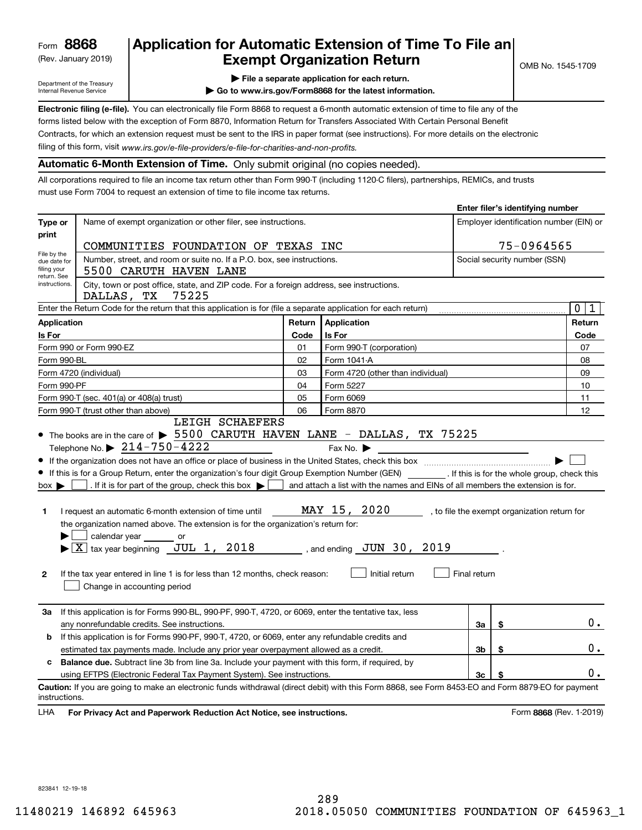(Rev. January 2019)

## **Application for Automatic Extension of Time To File an Exempt Organization Return**

Department of the Treasury Internal Revenue Service

- **| File a separate application for each return.**
- **| Go to www.irs.gov/Form8868 for the latest information.**

**Electronic filing (e-file).**  You can electronically file Form 8868 to request a 6-month automatic extension of time to file any of the filing of this form, visit www.irs.gov/e-file-providers/e-file-for-charities-and-non-profits. forms listed below with the exception of Form 8870, Information Return for Transfers Associated With Certain Personal Benefit Contracts, for which an extension request must be sent to the IRS in paper format (see instructions). For more details on the electronic

### **Automatic 6-Month Extension of Time.** Only submit original (no copies needed).

All corporations required to file an income tax return other than Form 990-T (including 1120-C filers), partnerships, REMICs, and trusts must use Form 7004 to request an extension of time to file income tax returns.

|                                                 |                                                                                                                                                                                                                                                                                                                                                                                                                                                                                                                                                                                                                                                                        |        |                                                                                                                                                   |                                         | Enter filer's identifying number |                                              |
|-------------------------------------------------|------------------------------------------------------------------------------------------------------------------------------------------------------------------------------------------------------------------------------------------------------------------------------------------------------------------------------------------------------------------------------------------------------------------------------------------------------------------------------------------------------------------------------------------------------------------------------------------------------------------------------------------------------------------------|--------|---------------------------------------------------------------------------------------------------------------------------------------------------|-----------------------------------------|----------------------------------|----------------------------------------------|
| Type or                                         | Name of exempt organization or other filer, see instructions.                                                                                                                                                                                                                                                                                                                                                                                                                                                                                                                                                                                                          |        |                                                                                                                                                   | Employer identification number (EIN) or |                                  |                                              |
| print                                           |                                                                                                                                                                                                                                                                                                                                                                                                                                                                                                                                                                                                                                                                        |        |                                                                                                                                                   |                                         |                                  |                                              |
| File by the                                     | COMMUNITIES FOUNDATION OF TEXAS INC                                                                                                                                                                                                                                                                                                                                                                                                                                                                                                                                                                                                                                    |        | 75-0964565                                                                                                                                        |                                         |                                  |                                              |
| due date for<br>filing your<br>return. See      | Number, street, and room or suite no. If a P.O. box, see instructions.<br>5500 CARUTH HAVEN LANE                                                                                                                                                                                                                                                                                                                                                                                                                                                                                                                                                                       |        |                                                                                                                                                   |                                         | Social security number (SSN)     |                                              |
| instructions.                                   | City, town or post office, state, and ZIP code. For a foreign address, see instructions.<br>DALLAS, TX<br>75225                                                                                                                                                                                                                                                                                                                                                                                                                                                                                                                                                        |        |                                                                                                                                                   |                                         |                                  |                                              |
|                                                 | Enter the Return Code for the return that this application is for (file a separate application for each return)                                                                                                                                                                                                                                                                                                                                                                                                                                                                                                                                                        |        |                                                                                                                                                   |                                         |                                  | $\overline{0}$<br>1                          |
| <b>Application</b>                              |                                                                                                                                                                                                                                                                                                                                                                                                                                                                                                                                                                                                                                                                        | Return | Application                                                                                                                                       |                                         |                                  | Return                                       |
| Is For                                          |                                                                                                                                                                                                                                                                                                                                                                                                                                                                                                                                                                                                                                                                        | Code   | Is For                                                                                                                                            |                                         | Code                             |                                              |
|                                                 | Form 990 or Form 990-EZ                                                                                                                                                                                                                                                                                                                                                                                                                                                                                                                                                                                                                                                | 01     | Form 990-T (corporation)                                                                                                                          |                                         |                                  | 07                                           |
| Form 990-BL                                     |                                                                                                                                                                                                                                                                                                                                                                                                                                                                                                                                                                                                                                                                        | 02     | Form 1041-A                                                                                                                                       |                                         |                                  | 08                                           |
|                                                 | Form 4720 (individual)                                                                                                                                                                                                                                                                                                                                                                                                                                                                                                                                                                                                                                                 | 03     | Form 4720 (other than individual)                                                                                                                 |                                         |                                  | 09                                           |
| Form 990-PF                                     |                                                                                                                                                                                                                                                                                                                                                                                                                                                                                                                                                                                                                                                                        | 04     | Form 5227                                                                                                                                         |                                         |                                  | 10                                           |
|                                                 | Form 990-T (sec. 401(a) or 408(a) trust)                                                                                                                                                                                                                                                                                                                                                                                                                                                                                                                                                                                                                               | 05     | Form 6069                                                                                                                                         |                                         |                                  | 11                                           |
|                                                 | Form 990-T (trust other than above)                                                                                                                                                                                                                                                                                                                                                                                                                                                                                                                                                                                                                                    | 06     | Form 8870                                                                                                                                         |                                         |                                  | 12                                           |
| $box \blacktriangleright$<br>1.<br>$\mathbf{2}$ | Telephone No. $\triangleright$ 214-750-4222<br>If this is for a Group Return, enter the organization's four digit Group Exemption Number (GEN) [If this is for the whole group, check this<br>. If it is for part of the group, check this box $\blacktriangleright$  <br>I request an automatic 6-month extension of time until<br>the organization named above. The extension is for the organization's return for:<br>calendar year ______<br>or<br>$\blacktriangleright$ $\boxed{\text{X}}$ tax year beginning JUL 1, 2018 , and ending JUN 30, 2019<br>If the tax year entered in line 1 is for less than 12 months, check reason:<br>Change in accounting period |        | Fax No. $\blacktriangleright$<br>and attach a list with the names and EINs of all members the extension is for.<br>MAY 15, 2020<br>Initial return | Final return                            |                                  | , to file the exempt organization return for |
| За                                              | If this application is for Forms 990-BL, 990-PF, 990-T, 4720, or 6069, enter the tentative tax, less<br>any nonrefundable credits. See instructions.                                                                                                                                                                                                                                                                                                                                                                                                                                                                                                                   |        |                                                                                                                                                   | За                                      | \$                               | $0$ .                                        |
| b                                               | If this application is for Forms 990-PF, 990-T, 4720, or 6069, enter any refundable credits and                                                                                                                                                                                                                                                                                                                                                                                                                                                                                                                                                                        |        |                                                                                                                                                   |                                         |                                  |                                              |
|                                                 | 3b<br>\$<br>estimated tax payments made. Include any prior year overpayment allowed as a credit.                                                                                                                                                                                                                                                                                                                                                                                                                                                                                                                                                                       |        |                                                                                                                                                   |                                         |                                  | $0$ .                                        |
| c                                               | <b>Balance due.</b> Subtract line 3b from line 3a. Include your payment with this form, if required, by                                                                                                                                                                                                                                                                                                                                                                                                                                                                                                                                                                |        |                                                                                                                                                   |                                         |                                  |                                              |
|                                                 | using EFTPS (Electronic Federal Tax Payment System). See instructions.                                                                                                                                                                                                                                                                                                                                                                                                                                                                                                                                                                                                 |        |                                                                                                                                                   | 3c                                      | \$                               | 0.                                           |
| instructions.                                   | Caution: If you are going to make an electronic funds withdrawal (direct debit) with this Form 8868, see Form 8453-EO and Form 8879-EO for payment                                                                                                                                                                                                                                                                                                                                                                                                                                                                                                                     |        |                                                                                                                                                   |                                         |                                  |                                              |
| LHA                                             | For Privacy Act and Paperwork Reduction Act Notice, see instructions.                                                                                                                                                                                                                                                                                                                                                                                                                                                                                                                                                                                                  |        |                                                                                                                                                   |                                         |                                  | Form 8868 (Rev. 1-2019)                      |